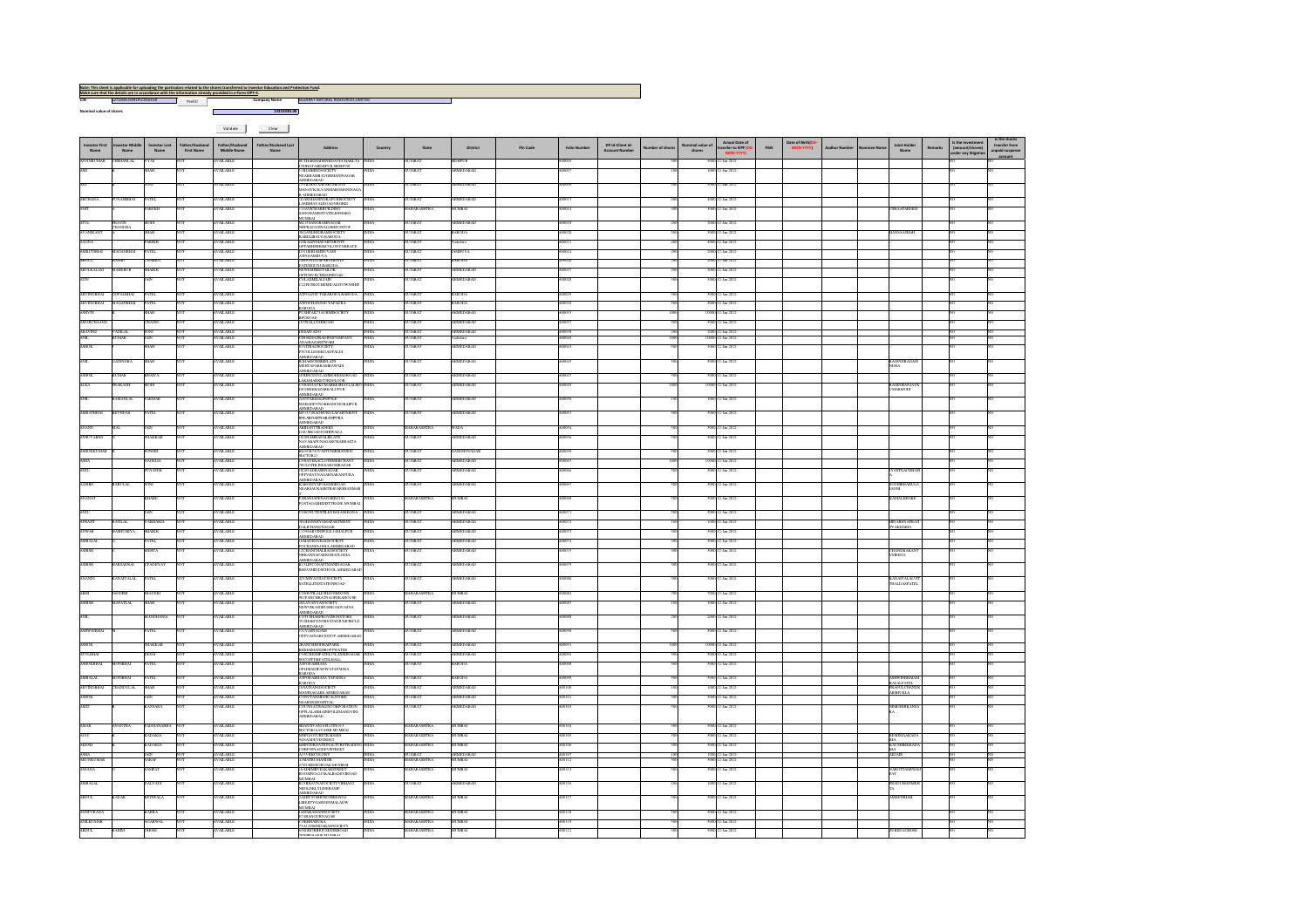|                               |                              |                       |                             |                                                                                                                                          | Note: This sheet is applicable for uploading the particulars related to the shares transferred to Investor Education and Protection Fund |                                                                                         |              |                    |                  |          |               |                                    |               |                           |                        |     |                                             |            |                                  |                                                           |                                             |
|-------------------------------|------------------------------|-----------------------|-----------------------------|------------------------------------------------------------------------------------------------------------------------------------------|------------------------------------------------------------------------------------------------------------------------------------------|-----------------------------------------------------------------------------------------|--------------|--------------------|------------------|----------|---------------|------------------------------------|---------------|---------------------------|------------------------|-----|---------------------------------------------|------------|----------------------------------|-----------------------------------------------------------|---------------------------------------------|
|                               | L27100GJ1991PLC016158        |                       | Prefill                     | Make sure that the details are in accordance with the information already provided in e-form IEPF-4.<br>CIN 273100611991PC016158 Prefili | <b>Company Name</b>                                                                                                                      | <b>GUJARAT NATURAL RESOURCES LIMITED</b>                                                |              |                    |                  |          |               |                                    |               |                           |                        |     |                                             |            |                                  |                                                           |                                             |
| Nominal value of shares       |                              |                       |                             |                                                                                                                                          | 13310330.00                                                                                                                              |                                                                                         |              |                    |                  |          |               |                                    |               |                           |                        |     |                                             |            |                                  |                                                           |                                             |
|                               |                              |                       |                             |                                                                                                                                          |                                                                                                                                          |                                                                                         |              |                    |                  |          |               |                                    |               |                           |                        |     |                                             |            |                                  |                                                           |                                             |
|                               |                              |                       |                             | Validate                                                                                                                                 | Clear                                                                                                                                    |                                                                                         |              |                    |                  |          |               |                                    |               |                           |                        |     |                                             |            |                                  |                                                           |                                             |
|                               |                              |                       |                             |                                                                                                                                          |                                                                                                                                          |                                                                                         |              |                    |                  |          |               |                                    |               |                           | <b>Actual Date of</b>  |     |                                             |            |                                  | is the Inv                                                |                                             |
| <b>Investor First</b><br>Name | stor Midd<br><b>Name</b>     | Investor Last<br>Name | ather/Husbane<br>First Name | Father/Husband<br>Middle Name                                                                                                            | Father/Husband Last<br>Name                                                                                                              | Address                                                                                 | Country      | State              | District         | Pin Code | Folio Numbe   | DP Id-Client Id-<br>Account Number | umher of shan | ominal value of<br>shares | MON-YYYY)              | PAN | Date of Birth <mark>IDE</mark><br>MON-YYYY) | Aadhar Nur | <b>Joint Holder</b><br>Name      | a cre meescones<br>(amount/shares)<br>inder any litigatio | transfer from<br>unpaid suspense<br>account |
| <b>INKUMA</b>                 | WLM                          |                       |                             | AL ABLE                                                                                                                                  |                                                                                                                                          | VECHAKLTA                                                                               |              | <b>JUJARAT</b>     | <b>HPUR</b>      |          |               |                                    |               |                           | J <sub>202</sub>       |     |                                             |            |                                  |                                                           |                                             |
|                               |                              |                       |                             | <b>All ABLE</b>                                                                                                                          |                                                                                                                                          | GHATASIDHPUR SIDHPUR<br>BLAIHINDSOCIETY                                                 |              | <b>ARA</b>         |                  |          |               |                                    |               |                           | $an-202$               |     |                                             |            |                                  |                                                           |                                             |
|                               |                              |                       |                             |                                                                                                                                          |                                                                                                                                          | FARRAMBALIGHMANINAGAR                                                                   |              |                    |                  |          |               |                                    |               |                           |                        |     |                                             |            |                                  |                                                           |                                             |
|                               |                              |                       |                             | <b>AILABLE</b>                                                                                                                           |                                                                                                                                          | HMEDABAD<br>SVIDHATAAPARTMENTS<br><b>IANAVKALYANMARGMANINAC</b>                         |              | JARAT              | HMEDABAE         |          | 1005          |                                    |               |                           | J <sub>202</sub>       |     |                                             |            |                                  |                                                           |                                             |
| ARCHANA                       | NAMBHAI                      | ŒL                    |                             | <b>AVAILABLE</b>                                                                                                                         |                                                                                                                                          | ANAVA-va-112<br>AHMEDABAD<br>DARSHANINDRAPURISOCIETY                                    | <b>IDLA</b>  | GUJARAT            | HMEDABAD         |          |               |                                    |               |                           | 4000 12-Jan-2021       |     |                                             |            |                                  |                                                           |                                             |
|                               |                              | ۳w                    |                             | AT ADET                                                                                                                                  |                                                                                                                                          | AMBHAVALROADNRGRID<br>LLAMOWAR RUILINNO                                                 |              |                    | 302              |          |               |                                    |               |                           |                        |     |                                             |            |                                  |                                                           |                                             |
|                               |                              |                       |                             |                                                                                                                                          |                                                                                                                                          | 14A YR. EI ARDULLINNU<br>ANGHANIESTATELISSMARG                                          |              |                    |                  |          |               |                                    |               |                           |                        |     |                                             |            |                                  |                                                           |                                             |
| ATUL.                         | <b>RAVIN</b><br><b>ANDRA</b> | <b>IODI</b>           |                             | <b>AVAILABLE</b>                                                                                                                         |                                                                                                                                          | IUMBAI<br>1215SANGRAMNAGAR                                                              |              | <b>GUJARAT</b>     | HMEDABAD         |          | 00018         |                                    | 200           |                           | 2000 12-Jan-2021       |     |                                             |            |                                  |                                                           |                                             |
| AVANIKANT                     |                              | IАН                   |                             | VAILABLE                                                                                                                                 |                                                                                                                                          | <b>RPRAGATINAGARBUSSTOP</b><br>OGANDHIGRAMSOCIETY                                       |              | <b>GUJARAT</b>     | <b>ARODA</b>     |          | 10020         |                                    |               | 5000 1                    | -Jan-2021              |     |                                             |            | <b>NSAASHAF</b>                  |                                                           |                                             |
| <b>AAGNA</b>                  |                              | ARIKH                 |                             | <b>VALABLE</b>                                                                                                                           |                                                                                                                                          | <b>LARELIBAUG BARODA</b><br>12KALINDIAPARTMENTS                                         | <b>IDLA</b>  | GUJARAT            | adodara          |          | 00021         |                                    | 400           |                           | 4000 12-Jan-2021       |     |                                             |            |                                  |                                                           |                                             |
| AMRUTBHA                      |                              | का                    |                             | ALABLE                                                                                                                                   |                                                                                                                                          | PPABHISHEKCOLONYNRRACI<br>31GEBJAMBUVASS<br>SIMBAG<br>TPOJAMBUVA<br>******LITAPARTMENTS |              | JARAT              | MBUVA            |          | 024           |                                    |               |                           | J <sub>202</sub>       |     |                                             |            |                                  |                                                           |                                             |
| <b>ABDUL</b>                  |                              | <b>AKRA</b>           |                             | VAILABLE                                                                                                                                 |                                                                                                                                          | ATEHGUNI BARODA<br>EWEMPIRETAILOR                                                       |              | UJARAT             | RODA             |          |               |                                    |               |                           |                        |     |                                             |            |                                  |                                                           |                                             |
| <b>ABULKALAM</b>              | HEBUB                        | <b>NKH</b>            |                             | <b>AVAILABLE</b>                                                                                                                         |                                                                                                                                          | PPCHURCHMAINROAD<br>OLAXMILALJAIN                                                       | <b>NDIA</b>  | GUJARAT            | <b>HMEDABAD</b>  |          | mm            |                                    |               |                           | 2000 12-Jan-2021       |     |                                             |            |                                  |                                                           |                                             |
| $\overline{AB}$               |                              |                       |                             | .<br>VAILABLE                                                                                                                            |                                                                                                                                          | 22PETROCHEMICALSTOWNSHI                                                                 | NDIA         | GUJARAT            | HMEDABAD         |          | 0028          |                                    |               |                           | 3000 12-Jan-2021       |     |                                             |            |                                  |                                                           |                                             |
| <b>ARVINDBHAI</b>             | <b>OPALBE</b>                |                       |                             | <b>AVAILABLE</b>                                                                                                                         |                                                                                                                                          | <b>TPOAJOD TABARODA BARODA</b>                                                          |              | GUJARA             | ARODA            |          |               |                                    |               |                           | 3000 12-Jan-2021       |     |                                             |            |                                  |                                                           |                                             |
| <b>ARVINDBHAI</b>             | <b>GANRHAI</b>               | $\overline{m}$        |                             | .<br>VAILABLE                                                                                                                            |                                                                                                                                          | <b>TPOCHANSAD TAPADRA</b>                                                               |              | <b>GUJARAT</b>     | <b>ARODA</b>     |          | mote          |                                    |               |                           | 5000 12-Jan-2021       |     |                                             |            |                                  |                                                           |                                             |
| ASHVIN                        |                              |                       |                             | <b>VAILABLE</b>                                                                                                                          |                                                                                                                                          | ARODA<br>USHPAK75AURMISOCIETY                                                           |              | GUJARAT            | <b>HMEDABAD</b>  |          |               |                                    |               |                           | 10000 12-Jan-2021      |     |                                             |            |                                  |                                                           |                                             |
| <b>AMARCHAAN</b>              |                              | HAJED                 |                             | <b>AVAILABLE</b>                                                                                                                         |                                                                                                                                          | PCROAD<br>03WALLTARROAD                                                                 | <b>NDIA</b>  | GUJARAT            | HMEDABAD         |          | mn33          |                                    | 500           |                           | 5000 12-Jan-2021       |     |                                             |            |                                  |                                                           |                                             |
| ARAVIND<br>ANIL               | ADILAL                       |                       |                             | <b>AVAILABLE</b>                                                                                                                         |                                                                                                                                          | <b>DESAIVADO</b>                                                                        | <b>INDIA</b> | <b>GUJARAT</b>     | HMEDABAD         |          | A00038        |                                    | 200           |                           | 2000 12-Jan-2021       |     |                                             |            |                                  |                                                           |                                             |
|                               | <b>UMAR</b>                  |                       |                             | <b>AVAILABLE</b>                                                                                                                         |                                                                                                                                          | <b>CHORDIATRADINGCOMPANY</b>                                                            | <b>INDIA</b> | GUJARAT            | abdara           |          | 100040        |                                    | 1000          |                           | 10000 12-Jan-2021      |     |                                             |            |                                  |                                                           |                                             |
| ASHOK                         |                              | IАH                   |                             | VAILABLE                                                                                                                                 |                                                                                                                                          | ANAIBAZARITWARI<br>SI VITRAGSOCIETY<br>PTCOLLEGEROADPALDI                               | DIA          | <b>UJARAT</b>      | <b>HMEDARAD</b>  |          | 00043         |                                    |               | 5000                      | 2-Jan-2021             |     |                                             |            |                                  |                                                           |                                             |
| ANIT                          |                              |                       |                             | All ABLE                                                                                                                                 |                                                                                                                                          | HAMEDABAD<br>HMEDABAD<br>**HARKOMSBIFLATS                                               |              | <b>JARA</b>        |                  |          |               |                                    |               |                           |                        |     |                                             |            |                                  |                                                           |                                             |
|                               |                              |                       |                             |                                                                                                                                          |                                                                                                                                          | EHTAPARKAMBAWADI<br>HMEDABAD<br>PRINCEGULAMMOHMADROAD                                   |              |                    |                  |          |               |                                    |               |                           |                        |     |                                             |            | NDRA                             |                                                           |                                             |
| <b>ASHOK</b>                  |                              | ai¥a                  |                             | <b>AILABLE</b>                                                                                                                           |                                                                                                                                          | .<br>AKEMARKET3RDFLOOR<br>YOSANJAYKUMARKESHAVLALM                                       |              | JARAT              | MEDABAL          |          |               |                                    |               |                           | tan(202)               |     |                                             |            |                                  |                                                           |                                             |
| <b>ALKA</b>                   | AKAS                         |                       |                             | <b>ALABLE</b>                                                                                                                            |                                                                                                                                          | I GHEEBAZARKALUPUR                                                                      |              | UJARAT             | HMEDABAE         |          |               |                                    |               | 1000                      | J <sub>20</sub> 202    |     |                                             |            | AGINISAND<br>MARMODI             |                                                           |                                             |
| ANIT                          |                              | .<br>2Mai             |                             | All ABLE                                                                                                                                 |                                                                                                                                          | A<br><u>WIMEDABAD<br/>2485PAKHALINIPOLE</u><br>MAHADEVNOKHANCHORAIPUR<br>-              |              | <b>JARA</b>        | <b>HMEDARAL</b>  |          |               |                                    |               |                           | $tan-202$              |     |                                             |            |                                  |                                                           |                                             |
| AMR ATRH                      |                              |                       |                             | AILABLE                                                                                                                                  |                                                                                                                                          | AHMEDABAD<br>M31371RAGHUKULAPARTMENT                                                    |              | <b>JARA</b>        | <b>IMEDABA</b>   |          |               |                                    |               |                           |                        |     |                                             |            |                                  |                                                           |                                             |
|                               |                              |                       |                             |                                                                                                                                          |                                                                                                                                          | ATLAROADNAR ANPER A                                                                     |              |                    |                  |          |               |                                    |               |                           |                        |     |                                             |            |                                  |                                                           |                                             |
| ANAND                         | 4AL                          |                       |                             | <b>AVAILABLE</b>                                                                                                                         |                                                                                                                                          | HMEDABAD<br>RIHANTTRADERS                                                               | NDIA         | <b>MAHARASHTRA</b> | VADA             |          | 00054         |                                    |               |                           | 5000 12-Jan-2021       |     |                                             |            |                                  |                                                           |                                             |
| <b><i>INSUYABE</i></b>        |                              | <b>AKKAS</b>          |                             | All ABI                                                                                                                                  |                                                                                                                                          | MUIROADIOSHIWADA<br>8208AMRAPALIFLATS<br>{AVABAPUNAGARCHARRASTA                         |              |                    | <b>JEDABA</b>    |          |               |                                    |               |                           |                        |     |                                             |            |                                  |                                                           |                                             |
| <b>ASHOKKUM</b>               |                              | $5 - 81$              |                             | VAILAREE                                                                                                                                 |                                                                                                                                          | HMEDABAD<br>I OCE743VASTI NIRMANSOC                                                     |              |                    | <b>NINH NATA</b> |          |               |                                    |               |                           |                        |     |                                             |            |                                  |                                                           |                                             |
| ASHA                          |                              | GELU                  |                             | VAILABLE                                                                                                                                 |                                                                                                                                          | LUKA<br><u>ECTOR !!</u><br>^^ºAVERACLOTHMERCHANT                                        |              | UJARAT             | MEDABAL          |          |               |                                    |               |                           | m/10                   |     |                                             |            |                                  |                                                           |                                             |
|                               |                              | NATER                 |                             | <b>VAILABLE</b>                                                                                                                          |                                                                                                                                          | 78CLOTHLINESAKCHIBAZAR<br>1820SADRASHNAGAR                                              |              | UJARAT             | HMEDABAD         |          |               |                                    |               |                           | J <sub>20</sub> 202    |     |                                             |            | OSTNACHE                         |                                                           |                                             |
|                               |                              |                       |                             |                                                                                                                                          |                                                                                                                                          | <b>PPVIJAYNAGARNARANPURA</b>                                                            |              |                    |                  |          |               |                                    |               |                           |                        |     |                                             |            |                                  |                                                           |                                             |
| AASHH                         |                              |                       |                             | AILABLI                                                                                                                                  |                                                                                                                                          | HMEDABAD<br>ARODIYAPDI FMGROAD                                                          |              | <b>TARA</b>        | <b>HMFDARA</b>   |          |               |                                    |               |                           |                        |     |                                             |            | <b>NURED</b>                     |                                                           |                                             |
| ANANAT                        |                              | <b>IARF</b>           |                             | VAILABLE                                                                                                                                 |                                                                                                                                          | EARSAURASHTRAFARSHANMA                                                                  |              | <b>HARASHTRA</b>   | <b>TIMRAL</b>    |          | ince          |                                    |               |                           | 2.562                  |     |                                             |            | SONI<br><b>AMAI KHAR</b>         |                                                           |                                             |
|                               |                              |                       |                             |                                                                                                                                          |                                                                                                                                          | T<br>PARANJAPENAGARB4101<br>POSTAGASHIDISTTHANE MUMBAI                                  |              |                    |                  |          |               |                                    |               |                           |                        |     |                                             |            |                                  |                                                           |                                             |
| ANJU                          |                              |                       |                             | <b>AVAILABLE</b>                                                                                                                         |                                                                                                                                          | OSONUTEXTILES BAJAJKHANA                                                                | NDIA         | GUJARAT            | HMEDABAD         |          | 00071         |                                    |               |                           | 5000 12-Jan-2021       |     |                                             |            |                                  |                                                           |                                             |
| <b>APRAJE</b>                 |                              |                       |                             | All ABI                                                                                                                                  |                                                                                                                                          | <b>HANSIVAMAPARTMENT</b>                                                                |              |                    |                  |          |               |                                    |               |                           |                        |     |                                             |            |                                  |                                                           |                                             |
| <b>ANWAR</b>                  | EUMIY.                       |                       |                             | All ABLE                                                                                                                                 |                                                                                                                                          | <u>ALICHANDNAGAR</u><br>159SARVINIPOLE JAMALPUR                                         |              | .<br>Jarat         | <b>MEDARA</b>    |          |               |                                    |               |                           | $tan-202$              |     |                                             |            | VAKHARIA                         |                                                           |                                             |
| AMBALAL                       |                              |                       |                             | <b>VAILABLE</b>                                                                                                                          |                                                                                                                                          | HMEDABAD<br>«MADHAVBAGSOCIETY                                                           |              | <b>JUARAT</b>      | MEDARAE          |          |               |                                    |               |                           | Im 202                 |     |                                             |            |                                  |                                                           |                                             |
| ASHISH                        |                              | <b>SHTA</b>           |                             | VAILABLE                                                                                                                                 |                                                                                                                                          | <b>OCHANDLODIA AHMEDABAD</b><br>2CHANCHALBAGSOCIETY<br><b>NRRANNAPARKGHATLODIA</b>      |              | UJARAT             | HMEDABAD         |          |               |                                    |               |                           | J <sub>202</sub>       |     |                                             |            | <b>IANDRAKA</b><br><b>MEHTA</b>  |                                                           |                                             |
| <b>ASHISH</b>                 | <b>RSADRAI</b>               | <b>ADHYAY</b>         |                             | <b>VALABLE</b>                                                                                                                           |                                                                                                                                          | NHMEDABAD<br>BI 3LINCONAPTMANINAGAR<br>BHJAYHINDSCHOOL AHMEDABA                         |              | GUJARAT            | HMEDABAD         |          |               |                                    |               |                           | 5000 12-Jan-2021       |     |                                             |            |                                  |                                                           |                                             |
|                               |                              |                       |                             |                                                                                                                                          |                                                                                                                                          |                                                                                         |              |                    |                  |          |               |                                    |               |                           |                        |     |                                             |            |                                  |                                                           |                                             |
| ANANDI                        | VAIVAL A                     | का                    |                             | ALABLE                                                                                                                                   |                                                                                                                                          | <b>HMIVAVILAVSOCIETY</b><br>ATELLITESTATIONROAD                                         |              | 1149.47            | <b>BEDARA</b>    |          |               |                                    |               |                           | Im 202                 |     |                                             |            | .<br>ANAIY ALALVI<br>HALDASPATEI |                                                           |                                             |
| ABHI                          | <b>AGDISH</b>                | <b>IAVERI</b>         |                             | <b>AVAILABLE</b>                                                                                                                         |                                                                                                                                          | <b>OMOTILALDJHAVERISONS</b>                                                             | NDIA         | <b>MAHARASHTRA</b> | <b>JUMBAI</b>    |          | 00034         |                                    |               |                           | 7000 12-Jan-2021       |     |                                             |            |                                  |                                                           |                                             |
| ASHISH                        | <b>VATLAL</b>                | Æ                     |                             | All ABLE                                                                                                                                 |                                                                                                                                          | <b>SONDITALISMA ELECCIONALISTICALES</b><br>28LAVANYASOCIETY<br>NEWVIKASGRUHROADVASNA    |              | UJARAT             | HMEDABAD         |          | 00s           |                                    |               |                           | J <sub>20</sub> 202    |     |                                             |            |                                  |                                                           |                                             |
|                               |                              |                       |                             |                                                                                                                                          |                                                                                                                                          |                                                                                         |              |                    |                  |          |               |                                    |               |                           |                        |     |                                             |            |                                  |                                                           |                                             |
| ANII                          |                              |                       |                             | All ABLE                                                                                                                                 |                                                                                                                                          | <b>GWALDABAD</b><br>COTUSHARPROVISIONSTORE<br>TUSHARCENTRESTADIUMCIRCLE                 |              | IARA)              | MEDABAI          |          |               |                                    |               |                           | $Jan-202$              |     |                                             |            |                                  |                                                           |                                             |
| ASHWINBH                      |                              |                       |                             | VAILABLE                                                                                                                                 |                                                                                                                                          | <b>MEDABAD</b><br>VASNAGAN                                                              |              | <b>JARA</b>        | HMEDABAE         |          |               |                                    |               |                           |                        |     |                                             |            |                                  |                                                           |                                             |
|                               |                              |                       |                             |                                                                                                                                          |                                                                                                                                          | <b>PPVASNABUSSTOP AHMEDABA</b>                                                          |              |                    |                  |          |               |                                    |               |                           |                        |     |                                             |            |                                  |                                                           |                                             |
| ASHOK                         |                              | <b>HAKKAR</b>         |                             | <b>WAILABLE</b>                                                                                                                          |                                                                                                                                          | RANCHHODRAIPARK<br><b>HMAIMANDIROPPWATER</b><br>DSURESHPATELSSLAXMI                     | <b>DIA</b>   | <b>GUJARAT</b>     | HMEDABAD         |          | 0091          |                                    |               |                           | 10000 12-Jan-2021      |     |                                             |            |                                  |                                                           |                                             |
| <b>ATULBHA</b>                |                              |                       |                             | <b>AILABLE</b>                                                                                                                           |                                                                                                                                          | SOCOPPDKPATELHALL                                                                       |              | -<br>13.937        | <b>BEDARA</b>    |          |               |                                    |               |                           |                        |     |                                             |            |                                  |                                                           |                                             |
| <b>ASHOK RHA</b>              |                              | $\overline{m}$        |                             | VAII ARI F                                                                                                                               |                                                                                                                                          |                                                                                         |              | $\frac{1}{2}$      | <b>ARODA</b>     |          |               |                                    |               |                           | Im 20                  |     |                                             |            |                                  |                                                           |                                             |
| AMBALAL                       | <b>OTBHAI</b>                | <b>ATEL</b>           |                             | <b>AVAILABLE</b>                                                                                                                         |                                                                                                                                          | UPODOBRASA<br>DPLIMADIFADIYATAPADRA<br>IARODA<br>(TPODABHASA TAPADRA                    | <b>NDIA</b>  | GUJARAT            | <b>ARODA</b>     |          | 00099         |                                    |               |                           | $\frac{1}{2}$ an-2021  |     |                                             |            | <b>HWINBHAIA</b>                 |                                                           |                                             |
| <b>ARVINDBHAI</b>             | <b>JANDULAL</b>              | IАН                   |                             | .<br>VAILABLE                                                                                                                            |                                                                                                                                          | IARODA<br>6SATSANGSOCIETY                                                               | NDIA         | <b>JUARAT</b>      | HMEDABAD         |          | 100100        |                                    |               | 1000                      | 2-Jan-2021             |     |                                             |            | BALALPATEL<br>PRAFULCHAND        |                                                           |                                             |
| ASHOK                         |                              |                       |                             | <b>VAILABLE</b>                                                                                                                          |                                                                                                                                          | <b>IANINAGARE AHMEDABAD</b><br>ONUTANMEDICALSTORE                                       |              | <b>JARAT</b>       | MEDABAL          |          | $_{101}$      |                                    |               | 500                       | $\frac{1}{2}$ an-2021  |     |                                             |            | ABSHUKLA                         |                                                           |                                             |
|                               |                              |                       |                             | <b>MLABLE</b>                                                                                                                            |                                                                                                                                          | EARMGHOSPITAL<br>ARMGHOSPITAL<br>ARMATISALESCORPORATI                                   |              |                    |                  |          |               |                                    |               |                           |                        |     |                                             |            |                                  |                                                           |                                             |
|                               |                              |                       |                             |                                                                                                                                          |                                                                                                                                          | COUNNATISALESCORPO<br>OPPLALABHAINIPOLEM<br>AHMEDABAD                                   |              |                    |                  |          |               |                                    |               |                           |                        |     |                                             |            |                                  |                                                           |                                             |
| <b>AMAR</b>                   | <b>NTHA</b>                  | ADMANABH              |                             | <b>AVAILABLE</b>                                                                                                                         |                                                                                                                                          | HANTIVANI 6PLOTNOI 5                                                                    | NDIA         | <b>MAHARASHTRA</b> | MUMBAI           |          | 10104         |                                    |               |                           | 5000 12-Jan-2021       |     |                                             |            |                                  |                                                           |                                             |
| <b>AJAY</b>                   |                              | ADAKIA                |                             | VAILABLE                                                                                                                                 |                                                                                                                                          | ECTOR 16 AVASHI MUMBAL<br>ISINDOTUBETRADERS                                             | <b>DIA</b>   | <b>MAHARASHTRA</b> | <b>IUMBAI</b>    |          |               |                                    |               | 5000                      | J <sub>20</sub> 202    |     |                                             |            | <b>SHMAAKAD</b>                  |                                                           |                                             |
| AKESH                         |                              | .<br>DAKIA            |                             | <b>VAILABLE</b>                                                                                                                          |                                                                                                                                          | MNAGDEVISTREET<br>MSINTERNATIONALTUBETRADI                                              |              | <b>AHARASHTR</b>   | <b>UMBAI</b>     |          |               |                                    |               |                           | $\frac{1}{2}$ lan-2021 |     |                                             |            | KIA<br>KAUSHIKKKAI               |                                                           |                                             |
| ASHA<br>ARUNKUMAF             |                              |                       |                             | <b>AVAILABLE</b>                                                                                                                         |                                                                                                                                          | ORP98NAGDEVISTREET<br>155 RKCOLONY                                                      | NDIA         | GUJARAT            | HMEDABAL         |          | A00107        |                                    |               |                           | J <sub>202</sub>       |     |                                             |            | AIA<br>AKJAIN                    |                                                           |                                             |
|                               |                              | SARAF                 |                             | <b>WAILABLE</b>                                                                                                                          |                                                                                                                                          | <b>IMATRUMANDIR</b>                                                                     | NDIA         | MAHARASHTR         | <b>IUMBAI</b>    |          | a0112         |                                    |               |                           | 1000 12-ran-ave.       |     |                                             |            |                                  |                                                           |                                             |
| ANJANA                        |                              | 1017                  |                             | VAILABLE                                                                                                                                 |                                                                                                                                          | +1 MATRUMANDR<br>178TARDEOROAD MUMBAI<br>16ADRMBVELKARSTREET<br>ROOMNO4243KALBADEVIROAD |              | <b>MARASHTRA</b>   | <b>UMBAI</b>     |          | $\frac{1}{2}$ |                                    |               |                           | -<br>-<br>Jan-202      |     |                                             |            | <b>SDOPTAL</b>                   |                                                           |                                             |
| AMBALAL                       |                              | LVADI                 |                             | <b>ALABLE</b>                                                                                                                            |                                                                                                                                          | <b>GUILEAL</b><br>BEBBHAVNASOCIETYVIBHAC<br>COMPANY ASSOCIETYVIBHAC                     |              | JARAT              | <b>HMEDABAI</b>  |          | mit           |                                    |               |                           | $-3a + 202$            |     |                                             |            | RADUMA                           |                                                           |                                             |
|                               |                              |                       |                             |                                                                                                                                          |                                                                                                                                          | <b>NROLDRLYLINERANIP</b>                                                                |              |                    |                  |          |               |                                    |               |                           |                        |     |                                             |            |                                  |                                                           |                                             |
| ABDUL.                        | ADAR                         | <b>ETIWALA</b>        |                             | <b>VAILABLE</b>                                                                                                                          |                                                                                                                                          | HMEDABAD<br>ASHUTOSHCROSSRDNO4<br>IBERTYGARDENMALADW                                    |              | <b>ANARASHTRA</b>  | <b>IUMBAI</b>    |          | 00117         |                                    |               | 5000                      | 12-Jan-2021            |     |                                             |            | MEETSHAH                         |                                                           |                                             |
| <b>ANNPURANA</b>              |                              | BR                    |                             | <b>All ABLE</b>                                                                                                                          |                                                                                                                                          | <b>IUMBAI</b><br>• <sup>TT A R</sup> AMANISOCIETY                                       |              |                    | MBAI             |          |               |                                    |               |                           |                        |     |                                             |            |                                  |                                                           |                                             |
| <b>ANILKUMAR</b>              |                              | <b>LARWAL</b>         |                             | VAILABLE                                                                                                                                 |                                                                                                                                          | AITARAMANIS<br>?J4BANGURN<br>?ORBHARUKA                                                 |              | <b>HARASHIRA</b>   | UMBAI            |          |               |                                    |               |                           | tan 202                |     |                                             |            |                                  |                                                           |                                             |
| ABDUL.                        |                              |                       |                             | <b>ALABLE</b>                                                                                                                            |                                                                                                                                          | <b>SAL4VRINDABANSOCIETY</b>                                                             |              |                    | <b>TMRAI</b>     |          |               |                                    |               |                           |                        |     |                                             |            |                                  |                                                           |                                             |
|                               |                              |                       |                             |                                                                                                                                          |                                                                                                                                          | THE GRADE MAGAZINE                                                                      |              |                    |                  |          |               |                                    |               |                           |                        |     |                                             |            |                                  |                                                           |                                             |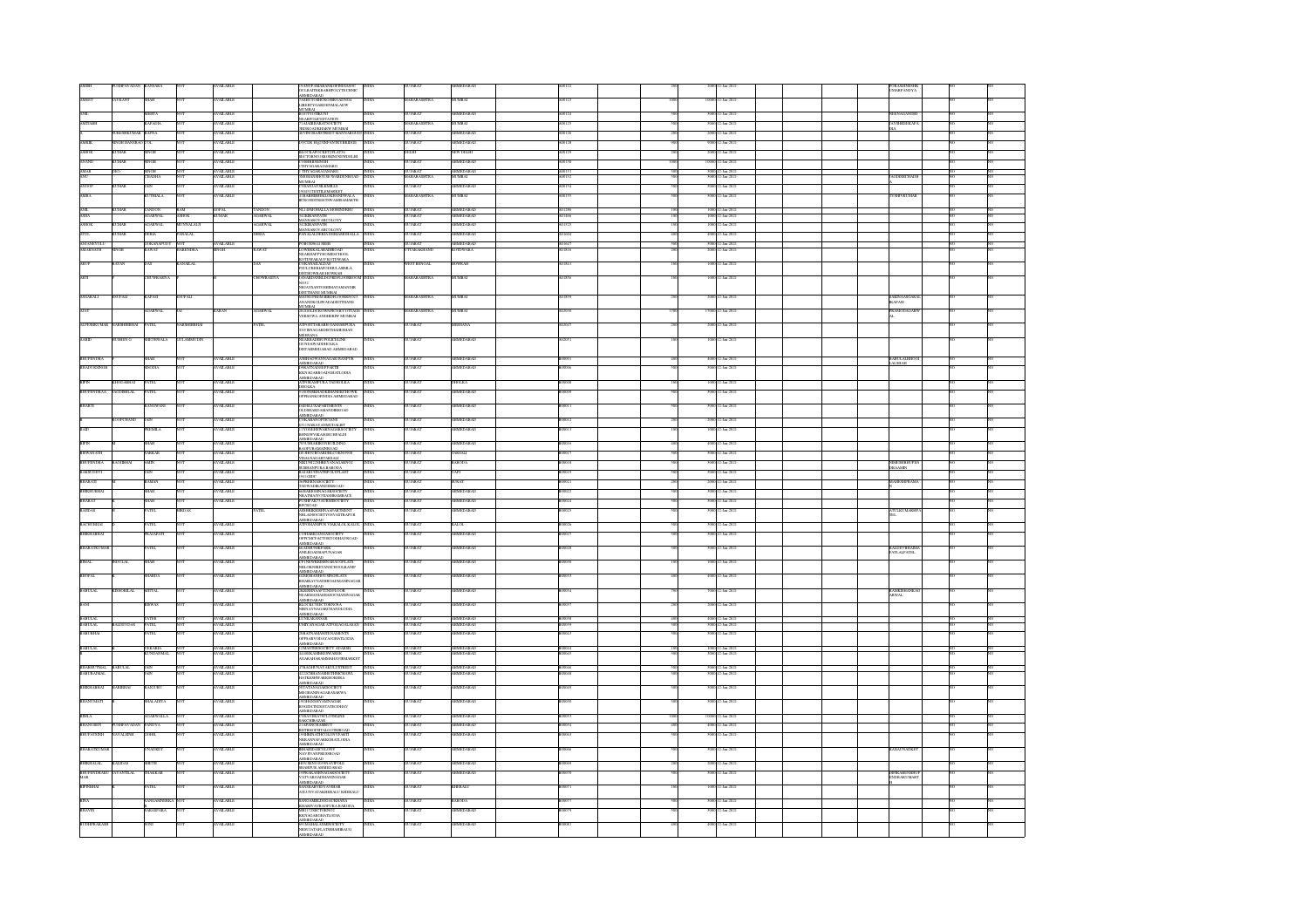|                                | SHPAVADA          | <b><i>INSARA</i></b> |                 | <b>AILABLE</b>            |               | 19ANUPAMABANKOFINDIASOC<br>GULBAITEKRABHPOLYTECHNIC                                                                                                                                                                            |              | JARAT                        | MEDABAD                             |        |      |                        |  |  | PORASDINESH)<br>UMARPANDY A      |  |  |
|--------------------------------|-------------------|----------------------|-----------------|---------------------------|---------------|--------------------------------------------------------------------------------------------------------------------------------------------------------------------------------------------------------------------------------|--------------|------------------------------|-------------------------------------|--------|------|------------------------|--|--|----------------------------------|--|--|
|                                |                   |                      |                 | All ARE                   |               | HMEDABAD<br>ASHUTOSHCROSSROADNO                                                                                                                                                                                                |              |                              |                                     |        |      |                        |  |  |                                  |  |  |
|                                |                   |                      |                 |                           |               | <b>JBERTYGARDENMALADW</b>                                                                                                                                                                                                      |              |                              |                                     |        |      |                        |  |  |                                  |  |  |
| ANIL.                          |                   | <b>JEHTA</b>         |                 | VAILABLE                  |               | MBAI<br><sup>17</sup> JYOTIKUNJ                                                                                                                                                                                                | NDIA         | UJARAT                       | HMEDABAD                            | 10124  |      | 3000 12-Jan-2021       |  |  | EENAGANDH                        |  |  |
| AMITABH                        |                   |                      |                 | <b>VAILABLE</b>           |               | NEARPOLICESTATION<br>71 AJAIBHARATSOCIETY<br>3RDROADKHARW MUMBAI<br>46 VINOBAIISTREET MANNARI                                                                                                                                  | <b>SDLA</b>  | <b><i>HARASHTRA</i></b>      | MBA                                 |        |      | 2-Jan-202              |  |  | <b>JAYSHREEKAP</b>               |  |  |
|                                | <b>IKTIMA</b>     |                      |                 | VAILAREE                  |               |                                                                                                                                                                                                                                |              | <b>TEAR AT</b>               | <b>BEDARAT</b>                      |        |      | 5.1m/202               |  |  | DБĄ                              |  |  |
| <b>AMRIK</b>                   | <b>NGH HANSEZ</b> |                      |                 | .<br>AVAILABLE            |               | <b>YCDR HQ25INFANTRYBRIDGE</b>                                                                                                                                                                                                 | <b>INDIA</b> | <b>GUJARAT</b>               | <b>HMEDARAD</b>                     | 400128 |      | 9000 12-Jan-2021       |  |  |                                  |  |  |
| <b>ASHOK</b>                   | MAR               | SGH                  |                 | VAILABLE                  |               |                                                                                                                                                                                                                                | <b>NDIA</b>  | ELHI                         | EW DELHI                            | 100129 |      | 2000 12-Jan-2021       |  |  |                                  |  |  |
| <b>ANAND</b>                   | MAR               |                      |                 | <b>VAILABLE</b>           |               | BLOCKAPOCKET2FLAT36<br>SECTORNO18ROHINI NEWDELHI<br>COSHRUSSINGH                                                                                                                                                               | NDIA         | UJARAT                       | EDABAD                              | 00130  | 1000 | 2-Jan-2021             |  |  |                                  |  |  |
|                                |                   |                      |                 |                           |               | THYAGARAJAMARG                                                                                                                                                                                                                 |              |                              |                                     |        |      |                        |  |  |                                  |  |  |
| AMAR<br>AMIT                   |                   | <b>IADHA</b>         |                 | AVAILABLE<br>AVAILABLE    |               | THY MANKAJAMARG<br>MOHANSHOUSE WARDENROAD                                                                                                                                                                                      | NDIA         | GUJARAT<br><b>MAHARASHTR</b> | MBAD<br>MBAI                        | 40132  | 3000 | 3-Jan-2021             |  |  | <b>AGDISHCHAD</b>                |  |  |
|                                |                   |                      |                 | AILABLE                   |               | MUMBAI<br>MUMBAI<br>" <sup>O</sup> SANJAYSILKMILL!                                                                                                                                                                             |              |                              |                                     |        |      | $5m-202$               |  |  |                                  |  |  |
| <b>AMRA</b>                    |                   | THIAI.               |                 | VAILABLE                  |               | <b>OSANJAYSILKMILL5<br/>9045 ITEXTILEMARKET</b><br>***********KLOKHAN                                                                                                                                                          | <b>TYLA</b>  | <b>AHARASHTRA</b>            | <b>IMRAI</b>                        |        |      |                        |  |  | <b>SHIVKI IMA</b>                |  |  |
|                                |                   |                      |                 |                           |               | <b>ICROSSSTREETSWAMISAMARTH</b>                                                                                                                                                                                                |              |                              |                                     |        |      |                        |  |  |                                  |  |  |
| ANIL<br>ASHA                   | <b>KUMAR</b>      | ANDO?                |                 | GOPAL<br>KUMAR            | <b>TANDON</b> | <b>E.148MOHALLA MOHINDRRU NDIA</b>                                                                                                                                                                                             |              | GUJARAT                      | AHMEDABAD                           | A01286 |      | 1000 12-Jan-202        |  |  |                                  |  |  |
|                                |                   | <b>GARWAL</b>        | <b>SHOK</b>     |                           | <b>GARWAL</b> | 2KIRANPATH<br><b>IANSAROVARCOLONY</b><br>EXIRANPATH                                                                                                                                                                            | NDIA         | GUJARAT                      | HMEDABAD                            | A01466 | 1000 | 2-Jan-2021             |  |  |                                  |  |  |
| ASHOK                          | MA                | <b>JARWAL</b>        | NNALALII        |                           | <b>TARWAL</b> |                                                                                                                                                                                                                                | .<br>NDLA    | <b>UJARAT</b>                | <b>HMEDABAD</b>                     | 11529  |      | 2-Jan-2021             |  |  |                                  |  |  |
| ATUL                           | MA                | ERIA                 |                 |                           |               | IANSAROVARCOLONY<br>ANALALDERIA DERIAMOHALLA                                                                                                                                                                                   | NDIA         | UJARAT                       | MEDABAD                             |        |      | 4000 12-Jan-202        |  |  |                                  |  |  |
| <b>ANJANEYULI</b>              |                   | <b>JOKANAPU</b>      |                 | VAILABLE                  |               | <b>IROXIGAL SEER</b>                                                                                                                                                                                                           | <b>NDIA</b>  | UJARAT                       | <b>HMEDARAD</b>                     | 11647  |      | 00 12-Jan-202          |  |  |                                  |  |  |
|                                |                   |                      |                 |                           |               | OBOX9944 SEEB<br>OWERKALABAIHROAD<br>EARHAPPYHOMESCHOOL<br>COTDWARAUP KOTDWARA<br>OKANAILALDAS                                                                                                                                 |              |                              |                                     |        |      |                        |  |  |                                  |  |  |
| ARTIP                          | <b>TAN</b>        |                      | <b>WAILAL</b>   |                           |               | CONANAILALIAS<br>PSULUBERIAPODHULASIMLA                                                                                                                                                                                        | <b>TYLA</b>  | WEST RENGAL                  | <b>CAND AH</b>                      | 11841  |      | 2-Jan-2021             |  |  |                                  |  |  |
|                                |                   |                      |                 |                           |               |                                                                                                                                                                                                                                |              |                              |                                     |        |      |                        |  |  |                                  |  |  |
| <b>ARTI</b>                    |                   | <b>HUWRASIYA</b>     |                 |                           | OWRASIYA      | THE TRANSPORTED THE TRANSPORTED STRUCK AND A STRUCK WANT THE TRANSPORT OF THE TRANSPORT OF THE TRANSPORTED THAT A MALE OF THE TRANSPORTED THE TRANSPORTED THAT A MALE OF THE TRANSPORTED THE TRANSPORTED THAT A MALE OF THE TR | <b>DIA</b>   | <b>IAHARASHTRA</b>           | <b>UMBAI</b>                        | 1856   |      | 2-Jan-2021             |  |  |                                  |  |  |
|                                |                   |                      |                 |                           |               |                                                                                                                                                                                                                                |              |                              |                                     |        |      |                        |  |  |                                  |  |  |
| ASGARALI                       |                   | PAS                  | FAL             |                           |               | DISTTHANE MUMBAI<br>MATRUPREM IIIRDFLOORRNO2<br>ANANDKOLIWADADISTTHANE                                                                                                                                                         |              | HARASHTRA                    | MBA                                 |        |      |                        |  |  | SAKINAA<br>IKAPASI               |  |  |
| <b>AJAY</b>                    |                   | <b>GARWAL</b>        |                 |                           | <b>GARWAL</b> | MUMBAI<br>202GOLDCROWNPICNICCOTTAGE<br>VERSOWA ANDHERIW MUMBAI                                                                                                                                                                 | NDLA         | <b>IAHARASHTRA</b>           | <b>EUMBAI</b>                       |        |      | 2-Jan-2021             |  |  | PRAMODAGAR                       |  |  |
|                                |                   |                      |                 |                           |               |                                                                                                                                                                                                                                |              |                              |                                     |        |      |                        |  |  |                                  |  |  |
| <b>ALPESHI</b>                 |                   | TEL.                 |                 |                           |               | <b>POSTTARABH GANESHPURA</b>                                                                                                                                                                                                   |              | <b>JARAT</b>                 |                                     |        |      |                        |  |  |                                  |  |  |
| AABID                          |                   |                      |                 |                           |               | VISNAGARDISTMAHESHAN<br>4EHSANA<br>@ARBADIBUPOLICELINE                                                                                                                                                                         |              |                              | <b>IMEDABAL</b>                     |        |      |                        |  |  |                                  |  |  |
|                                | <b>SHEN G</b>     | <b>ETHWALA</b>       | <b>LAMMUDIN</b> |                           |               | GUNDAWADDHOLKA<br>DISTAHMEDABAD AHMEDABAD                                                                                                                                                                                      | <b>STYTA</b> | UJARAT                       |                                     |        |      | $34m-202$              |  |  |                                  |  |  |
|                                |                   |                      |                 |                           |               | <b>BHAGWANNAGAR</b>                                                                                                                                                                                                            |              |                              |                                     |        |      |                        |  |  |                                  |  |  |
| <b>BHUPENDRA</b>               |                   |                      |                 | <b>AILABLE</b>            |               |                                                                                                                                                                                                                                |              | JARA                         |                                     |        |      | 12-Jan-202             |  |  | BABULALBH<br>LALSHAH             |  |  |
|                                |                   | 00U                  |                 | <b>AILABLE</b>            |               | MMEDABAD<br>≫RATNADEEPPARTII<br>KKNAGARROADGHATLODIA                                                                                                                                                                           |              | JARAT                        |                                     |        |      |                        |  |  |                                  |  |  |
| RIPIN                          | <b>DIMBRIAT</b>   | ATEL.                |                 | VAILABLE                  |               | HMEDABAD<br>IPORAMPURA TADHOLKA                                                                                                                                                                                                | <b>NDIA</b>  | UJARAT                       | HOLKA                               |        |      | 2-Jan-2021             |  |  |                                  |  |  |
| BHUPENDRAA                     | <b>GDISHLAI</b>   |                      |                 | VAILABLE                  |               | <b>DHOLKA</b><br>DHOLKA<br>SI SONISKHADKIMANEKCHOWK                                                                                                                                                                            |              | .<br>Jarat                   | <b>IMEDABAD</b>                     |        |      | -<br>-<br>Jan-202      |  |  |                                  |  |  |
|                                |                   |                      |                 |                           |               | OPPBANKOFINDIA AHMEDABAD                                                                                                                                                                                                       |              |                              |                                     |        |      |                        |  |  |                                  |  |  |
| BHARTI                         |                   |                      |                 | <b>ALABLE</b>             |               | .<br>DIDELUXAPARTMENTS<br>OLDSHARDAMANDIRROAD                                                                                                                                                                                  |              | <b>JARAT</b>                 | <b>SCOARAT</b>                      |        |      |                        |  |  |                                  |  |  |
|                                | <b>ROOPCHAND</b>  |                      |                 | <b>AVAILABLE</b>          |               | <b>HMEDABAD</b><br>COKAHANOPTICIANS                                                                                                                                                                                            | <b>INDIA</b> | GUJARAT                      | HMEDABAD                            |        |      | 2000 12-Jan-2021       |  |  |                                  |  |  |
|                                |                   |                      |                 | <b>ALABLE</b>             |               | SHINARAYANMUDALIST<br>  YOGEHSWARNAGARSOCIET<br> HNEWVIKASGRUHPALD                                                                                                                                                             | DИ           | <b>JARAT</b>                 |                                     |        |      | Jan-2021               |  |  |                                  |  |  |
|                                |                   |                      |                 |                           |               |                                                                                                                                                                                                                                |              |                              |                                     |        |      |                        |  |  |                                  |  |  |
|                                |                   |                      |                 | <b>ALABLE</b>             |               | HMEDABAD<br>nuishakironBuilding<br>AOPURAMAINROAD                                                                                                                                                                              |              | <b>JARAT</b>                 |                                     |        |      | $-3an-202$             |  |  |                                  |  |  |
| <b>BISWANATH</b>               |                   | RKAR                 |                 | VAILABLE                  |               |                                                                                                                                                                                                                                | <b>SDIA</b>  | <b>JARAT</b>                 | RSALI                               |        |      | $\frac{1}{2}$ an-2021  |  |  |                                  |  |  |
| <b>BHUPENDRA</b>               |                   |                      |                 | <b>VAILABLE</b>           |               | <b>ISALNAGARTARSALI</b><br>JIKUNI22SHREYANAGARNO2                                                                                                                                                                              | NDIA         | UJARAT                       | <b>ARODA</b>                        |        |      | 2-Jan-202              |  |  | DRAAMIN                          |  |  |
| BAKSUDEVI                      |                   |                      |                 | VAILABLE                  |               | SUBHANPURA BARODA<br>RAJARUGNATHPOLYPLAST                                                                                                                                                                                      | NDLA         | UJARAT                       | API                                 |        |      | 5000 12-Jan-2021       |  |  |                                  |  |  |
| BHARATI                        |                   |                      |                 | <b>ALABLE</b>             |               | 911GIDC<br>GREENASOCIETY                                                                                                                                                                                                       | .<br>DIA     | <b>JARAT</b>                 | RAT                                 |        |      | 2-Jan-20               |  |  |                                  |  |  |
| <b>BHIKHUBHAI</b>              |                   | <b>TAH</b>           |                 | .<br>WAILABLE             |               | <b>FADWADIRANDERROAD</b><br>66HARIOMNAGARSOCIETY                                                                                                                                                                               | <b>NDIA</b>  | <b>UJARAT</b>                | <b>HMEDARAD</b>                     |        |      | 3000 12-Jan-2021       |  |  |                                  |  |  |
| BHARAT                         |                   | łМ                   |                 | VAILABLE                  |               | <b>SRATMAJYOTIASHRAMRACE</b><br>PUSHPAK75AURMISOCIETY                                                                                                                                                                          | NDIA         | <b>JUARAT</b>                | <b>IMEDARAD</b>                     | noza   |      | 5000 12-Jan-2021       |  |  |                                  |  |  |
| BAJIDAS                        |                   |                      |                 |                           |               | FOSD AND MARGEMENT ASSHRIKRISHNAAPARTMENT<br>NRLADSOCIETYOSVASTRAPUR                                                                                                                                                           | DИ           | <b>JARAT</b>                 | MEDABAD                             |        |      | $\frac{1}{2}$          |  |  | ATULKUMARH                       |  |  |
| <b>RACHURHAL</b>               |                   |                      |                 | VAII ARI F                |               | HMEDABAD<br>TPOMANIPUR VIAKALOL KALOI                                                                                                                                                                                          | nu           | <b>TTARAT</b>                | at Of                               |        |      | Im 202                 |  |  |                                  |  |  |
|                                |                   |                      |                 |                           |               |                                                                                                                                                                                                                                |              |                              |                                     |        |      |                        |  |  |                                  |  |  |
| BHIKHABHA                      |                   | <b>EALAPAT</b>       |                 | VAILABLE                  |               | <b>HARIGANGASOCIETY</b><br>OPPCMCFACTORYODHAVROAD                                                                                                                                                                              | nu           | UJARAT                       | <b>HMEDARAD</b>                     |        |      | $\frac{1}{2}$ an-2021  |  |  |                                  |  |  |
| <b>BHARATKU</b>                |                   |                      |                 | VAILABLE                  |               | AHMEDABAD<br>AHMEDABAD<br>66ADHUNIKPARK<br>ANILROADBAPUNAGAR                                                                                                                                                                   |              | .<br>Jarat                   | EDABAL                              |        |      |                        |  |  | <b>BALDEVBHAD</b><br>FATLALPATEL |  |  |
|                                |                   |                      |                 |                           |               |                                                                                                                                                                                                                                |              |                              |                                     |        |      |                        |  |  |                                  |  |  |
| <b>BIMAL</b>                   | XIIA              |                      |                 | VAILABLE                  |               | HMEDABAD<br>FINEWKRISHNABAUGFLATS<br>NRLOKNIKETANSCHOOLRANIP                                                                                                                                                                   |              | UJARAT                       | <b>IMEDARAD</b>                     |        |      | $Jan-202$              |  |  |                                  |  |  |
| <b>BHOPAL</b>                  |                   | <b>LARDA</b>         |                 | VAILABLE                  |               | <b>HMEDABAD</b><br>AHMEDABAD<br>G2MOHANHOUSINGFLATS<br>BHAIRAVNATHROADMANINAGAR                                                                                                                                                | <b>SDLA</b>  | UJARAT                       | <b>IMEDABAD</b>                     |        |      | Man-2021               |  |  |                                  |  |  |
|                                |                   |                      |                 |                           |               |                                                                                                                                                                                                                                |              |                              |                                     |        |      |                        |  |  |                                  |  |  |
| <b>BABULAL</b>                 | ORLAL             | TAI                  |                 | <b>ALABLE</b>             |               | BIYARA 133.411<br>AHMEDABAD<br>ZKRISHNAAPT2NDFLOOR<br>NEARMANIASHASOCMANINAGAB                                                                                                                                                 |              | JARAT                        | MEDABAL                             |        |      | $tan-202$              |  |  | RAMKISI<br>ARWAL                 |  |  |
| BANI                           |                   | N'A                  |                 | <b>ALABLE</b>             |               | HMEDABAD<br>LOCKCSSECTORNOSA                                                                                                                                                                                                   |              | JARAT                        | <b>MEDABAD</b>                      |        |      | Im(202)                |  |  |                                  |  |  |
|                                |                   |                      |                 |                           |               | <b>GRNAYNAGARCHANDLODIA</b>                                                                                                                                                                                                    |              |                              |                                     |        |      |                        |  |  |                                  |  |  |
| BABULAL<br>BABULAL             |                   |                      |                 | AVAILABLE<br>AVAILABLE    |               | NHMEDABAD<br>JINKARANSAR<br>JMY ANAGAR ATPOGAGALASAN                                                                                                                                                                           |              | <b>GUJARAT</b>               |                                     |        |      |                        |  |  |                                  |  |  |
|                                | <b>U.DEVDAS</b>   | <b>ATEL</b>          |                 | ALABLE                    |               | <b>DATE ALEXANDER AREATE</b>                                                                                                                                                                                                   | INDIA        | iuarat<br><b>HARAY</b>       | <b>IMEDARAD</b><br><b>HASTLARAD</b> |        |      | 5000 12-Jan-2021       |  |  |                                  |  |  |
| <b>BABUBHAI</b>                |                   |                      |                 |                           |               |                                                                                                                                                                                                                                |              |                              |                                     |        |      |                        |  |  |                                  |  |  |
| BABULAL                        |                   |                      |                 |                           |               |                                                                                                                                                                                                                                |              |                              |                                     |        |      |                        |  |  |                                  |  |  |
|                                |                   |                      |                 | .<br>VAILABLE<br>VAILABLE |               | JURATNAMANITENAMENTS<br>OPPSARVODAYA3GHATLODIA<br>AHMEDABAD<br>I2MASTERSOCIETY ADARSH<br>4440EKAMBRESWARER<br>AGARAHARAMMAHAVIRMARKET                                                                                          |              | UJARAT<br>UJARAT             |                                     |        |      |                        |  |  |                                  |  |  |
|                                |                   |                      |                 |                           |               |                                                                                                                                                                                                                                |              |                              |                                     |        |      |                        |  |  |                                  |  |  |
| <b>BHABHUTMA</b><br>BABURAIMAL |                   |                      |                 | AVAILABLE<br>AVAILABLE    |               | .<br>222CHHANASHETHNICHAWI<br>222CHHANASHETHNICHAWI                                                                                                                                                                            | NDIA<br>NDIA | GUJARAT<br>GUJARAT           | IMEDABAD<br>IMEDABAD                |        |      | -Jan-2021<br>-Jan-2021 |  |  |                                  |  |  |
| <b>BHIKHABHA</b>               |                   |                      |                 | <b>VAILABLE</b>           |               | <b>IATKESHWARKHOKHRA</b>                                                                                                                                                                                                       |              | UJARAT                       |                                     |        |      |                        |  |  |                                  |  |  |
|                                | <b>VRIBHAI</b>    | AKHEL                |                 |                           |               | HATKESHWARKHOKHICA<br>AHMEDABAD<br>SUTATANAGARSOCIETY<br>MEGHANINAGARASARWA                                                                                                                                                    | <b>SDLA</b>  |                              | <b>IMEDABAD</b>                     |        |      | 2-Jan-2021             |  |  |                                  |  |  |
| <b>HANUMAT</b>                 |                   | <b>LADIYA</b>        |                 | AILABLE                   |               | AHMEDABAD<br>19GHANSHYAMNAGAR<br>BOGIDCINDESTATEODHAV                                                                                                                                                                          |              | JARAT                        |                                     |        |      | $tan-2021$             |  |  |                                  |  |  |
| <b>BIMLA</b>                   |                   |                      |                 |                           |               | HMEDABAD<br>OSAVERA78CLOTHLINE                                                                                                                                                                                                 |              |                              |                                     |        |      |                        |  |  |                                  |  |  |
|                                |                   | <b>ARWALL</b>        |                 | VAILABLE                  |               | <b>SAKCHIBAZAR</b><br>21 APANCHAMRUT                                                                                                                                                                                           | NDIA         | UJARAT                       | <b>MEDARAD</b>                      |        | 100  | -Jan-2021              |  |  |                                  |  |  |
| BHANUBEN                       | SHPAVADAN         | WDYA                 |                 | VAILABLE                  |               |                                                                                                                                                                                                                                | <b>NDLA</b>  | UJARAT                       | HMEDABAD                            |        | 4000 | 2-Jan-2021             |  |  |                                  |  |  |
| BHUPATSINE                     |                   |                      |                 | All ABLE                  |               | BHTBHOPSITALGOTRIROAD<br>19SHRINATHCOLONYPARTI<br>NRRANNAPARKGHATLODIA                                                                                                                                                         |              | <b>JARA'</b>                 | <b>MEDARA</b>                       |        |      |                        |  |  |                                  |  |  |
| <b>BHARATKUM</b>               |                   | GADKET               |                 | VAILABLE                  |               | HMEDABAD<br>HARIDASCOLONY                                                                                                                                                                                                      | <b>NDIA</b>  | UJARAT                       | <b>IMEDARAD</b>                     |        |      | -Jan-2021              |  |  | AXAUNADKE                        |  |  |
|                                |                   |                      |                 |                           |               | <b>AVIVANPRESSROAD</b>                                                                                                                                                                                                         |              |                              |                                     |        |      |                        |  |  |                                  |  |  |
| <b>BHIKHALAL</b>               | CALIDAS           | HETH                 |                 | <b>AVAILABLE</b>          |               | HMEDABAD<br>IOUSENO1039NAVIPOLE                                                                                                                                                                                                | <b>INDIA</b> | GUJARAT                      | HMEDABAD                            |        |      | 2000 12-Jan-2021       |  |  |                                  |  |  |
| <b>BHUPENDRAM</b><br>MAR       | <b>ANTILAL</b>    | <b>AKKAR</b>         |                 | <b>AILABLE</b>            |               | SHAHPUR AHMEDABAD<br>19PRAKASHNAGARSOCIET<br>VATVAROADMANINAGAR                                                                                                                                                                | <b>DIA</b>   | .<br>Jarat                   | <b>EDABAL</b>                       |        |      | $tan-202$              |  |  | DIPIKABENBHI<br>ENDRAKUMAR       |  |  |
| <b>BIPINBHA</b>                |                   |                      |                 | VAILABLE                  |               | HMEDABAD<br>**SKARVIDYAVIHAR                                                                                                                                                                                                   |              | <b>JARAT</b>                 | ERALL                               |        |      |                        |  |  |                                  |  |  |
|                                |                   |                      |                 |                           |               | ATLUNVATAKHERALU KHERALL                                                                                                                                                                                                       |              |                              |                                     |        |      |                        |  |  |                                  |  |  |
| BINA                           |                   | NGAMNERKA            |                 | <b>AVAILABLE</b>          |               | <b>ANGAMBLDGGAUKHANA</b>                                                                                                                                                                                                       | <b>NDLA</b>  | UJARAT                       | ARODA                               |        |      | 5000 12-Jan-2021       |  |  |                                  |  |  |
| BHAVE                          |                   |                      |                 | <b>MLABL</b>              |               | <b>CHARIVAVRAOPURA BARODA</b><br>MIGU22SECTORNO2                                                                                                                                                                               |              | 13.9 3                       |                                     |        |      |                        |  |  |                                  |  |  |
| <b>BUDHPRAKAS</b>              |                   |                      |                 | VAILABLE                  |               | BKII 72SECTORNO2<br>KNAGARGHATLODIA<br>HMEDABAD<br>91MAHALAXMISOCIETY                                                                                                                                                          | nu           | UJARAT                       | MEDABA                              |        |      |                        |  |  |                                  |  |  |
|                                |                   |                      |                 |                           |               | <b>NRSUJATAFLATSSHAHIBAUG</b>                                                                                                                                                                                                  |              |                              |                                     |        |      |                        |  |  |                                  |  |  |
|                                |                   |                      |                 |                           |               | AHMEDABAD                                                                                                                                                                                                                      |              |                              |                                     |        |      |                        |  |  |                                  |  |  |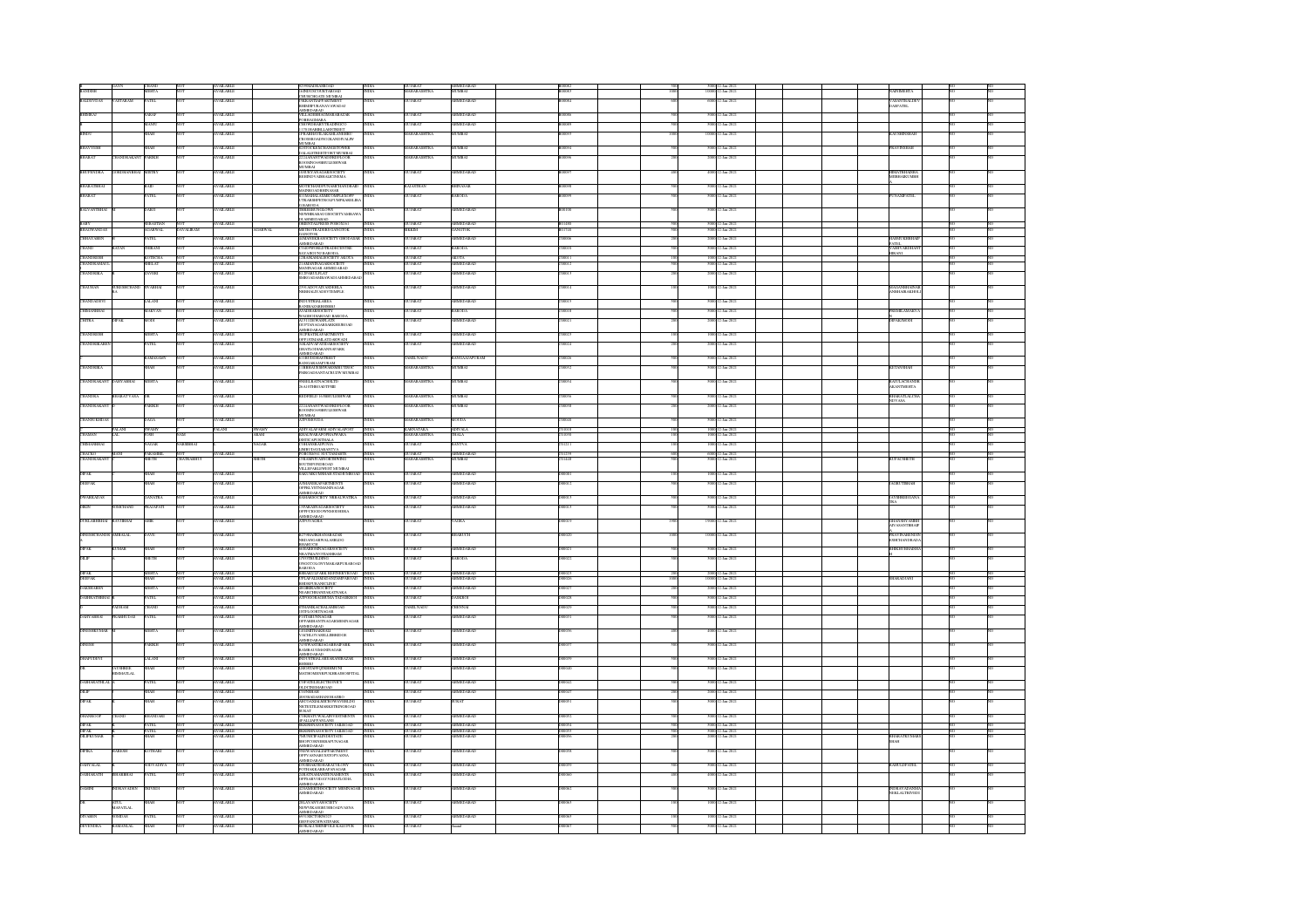|                      |                  |                      |                 |                        |               | <b>MADRASROAD</b>                                                                                       | INDIA                       | <b>GUJARAT</b>     |                         |       |                     |                                      |  |                            |  |  |
|----------------------|------------------|----------------------|-----------------|------------------------|---------------|---------------------------------------------------------------------------------------------------------|-----------------------------|--------------------|-------------------------|-------|---------------------|--------------------------------------|--|----------------------------|--|--|
|                      |                  | <b>EHTA</b>          |                 | AVAILABLE<br>AVAILABLE |               | <b>SYSKUKSKOOD</b><br>HURCHGATE MUMBAI<br>SKRANTIAPPARTMENT                                             | INDIA                       |                    | AHMEDABAI<br>MUMBAI     |       |                     |                                      |  |                            |  |  |
| <b>MLDEVDAY</b>      | <b>STARAM</b>    | <b>TEL</b>           |                 | ALABLE                 |               |                                                                                                         | <b>DIA</b>                  | JARAT              | <b>IMEDABAD</b>         |       |                     | $-202$                               |  | SANTBALDE                  |  |  |
|                      |                  |                      |                 |                        |               | <b>MJIPURANAVAWADAJ</b>                                                                                 |                             |                    |                         |       |                     |                                      |  | SPATEL.                    |  |  |
|                      |                  |                      |                 |                        |               | HMEDABAD<br>TILAGEBHAGMARABAZAR                                                                         |                             |                    |                         |       |                     |                                      |  |                            |  |  |
| <b>HIMRAJ</b>        |                  | ARAF                 |                 | <b>VALABLE</b>         |               |                                                                                                         | NDIA                        | GUJARAT            | HMEDABAD                |       |                     | 5000 12-Jan-2021                     |  |                            |  |  |
|                      |                  | wл                   |                 | <b>AILABLE</b>         |               | OBHAGMARA<br>HOWDHARYTRADINGCO                                                                          |                             | <b>JARAT</b>       | <b>MEDABAI</b>          |       |                     | J <sub>2021</sub>                    |  |                            |  |  |
|                      |                  | <b>TAH</b>           |                 | <b>VAILABLE</b>        |               | 01HABIBLLAHSTREET<br><sup>01HABIBLLAHSTREET</sup>                                                       |                             | <b>AHARASHTR</b>   | <b>EUMBAI</b>           |       |                     | J <sub>202</sub>                     |  |                            |  |  |
|                      |                  |                      |                 |                        |               | ROSSROADNOZKANDIVALIW                                                                                   |                             |                    |                         |       |                     |                                      |  |                            |  |  |
| BHAVYESH             |                  | HAH                  |                 | VAILABLE               |               | MBAI<br>STOCKEXCHANGETOWER                                                                              |                             | MAHARASHTRA        | <b>EUMBAI</b>           |       |                     | 5000 12-Jan-2021                     |  | RAVINSHAH                  |  |  |
|                      |                  |                      |                 |                        |               |                                                                                                         | NDIA                        |                    |                         |       |                     |                                      |  |                            |  |  |
| <b>BHARAT</b>        | ANDRAKAN         | <b>ARIKH</b>         |                 | <b>VAILABLE</b>        |               | MLALSTREETFORT MUMBAI<br>224ANANTWADI3RDFLOOR<br>IOOMNO69BHULESHWAR                                     | <b>DU</b>                   | .<br>IAHARASHTRA   | <b>EUMBAI</b>           |       |                     | 2-Jan-2021                           |  |                            |  |  |
|                      |                  |                      |                 |                        |               |                                                                                                         |                             |                    |                         |       |                     |                                      |  |                            |  |  |
| <b>BHUPENDRA</b>     |                  | <b>ISTRY</b>         |                 | VAILABLE               |               | IUMBAI<br>OSURYANAGARSOCIETY<br>IEHINDVAISHALICINEMA                                                    | <b>DIA</b>                  | JARAT              | <b>MEDARAE</b>          |       |                     | 58.202                               |  | <b>MATRHAISH</b>           |  |  |
|                      |                  |                      |                 |                        |               |                                                                                                         |                             |                    |                         |       |                     |                                      |  | BHAIKUMB                   |  |  |
| BHARATBHAI           |                  | AD                   |                 | <b>VAILABLE</b>        |               | <b>MOTICHANDPUNAMCHANDBAID</b>                                                                          | <b>INDIA</b>                | <b>AJASTHAN</b>    | <b>HINASAR</b>          |       |                     | 5000 12-Jan-2021                     |  |                            |  |  |
|                      |                  |                      |                 |                        |               |                                                                                                         |                             |                    |                         |       |                     |                                      |  |                            |  |  |
| HARAT                |                  | VTEL.                |                 | ALABLE                 |               | MAINROADBHINASAR<br>SI IMAHALAXMICOMPLEXOPP<br>UTKARSHPETROLPUMPKARELIBA                                | <b>NDIA</b>                 | <b>JARAT</b>       | ARODA                   |       | 5000                | $3m-202$                             |  | <b>GAXIPATEI</b>           |  |  |
|                      |                  |                      |                 |                        |               |                                                                                                         |                             |                    |                         |       |                     |                                      |  |                            |  |  |
| <b>BALVANTBHA</b>    |                  | ARJI                 |                 | VAILABLE               |               | <b>INARCOLA</b><br><b>HEFEBUNGLOWS</b>                                                                  |                             | UJARAT             | HMEDABAD                |       |                     | $\frac{1}{2}$ an-2021                |  |                            |  |  |
|                      |                  |                      |                 |                        |               | EWHIRABAUGSOCIETYAMBAW/                                                                                 |                             |                    |                         |       |                     |                                      |  |                            |  |  |
| BABY<br>BHAGWANDA    |                  | EBASTIAN             |                 | <b>AVAILABLE</b>       |               | DI AHMEDABAD<br>ORIENTALPRESS POBOXI 61                                                                 | <b>INDIA</b>                | GUJARAT            | AHMEDABAD               | 1481  |                     | 000 12-Jan-202                       |  |                            |  |  |
|                      |                  | <b>GARWAL</b>        | <b>AVALIRAM</b> |                        | <b>GARWAL</b> | <b>METROTRADERS GANGTOK</b>                                                                             | <b>INDIA</b>                | <b>SIKKIM</b>      | ANGTOK                  | 1740  |                     | 5000 12-Jan-2021                     |  |                            |  |  |
| <b>HHAYABEN</b>      |                  | <b>TEL</b>           |                 | <b>ALABLE</b>          |               | ANGTOK<br>¤MANEKBASOCIETY GHODASAR                                                                      | <b>INDIA</b>                | UJARAT             | <b>IMEDABAD</b>         | 000   |                     | 2-Jan-2021                           |  | ASMUKHBH                   |  |  |
|                      |                  |                      |                 |                        |               | HMEDABAD<br>YO409WORLDTRADECENTRE                                                                       |                             |                    |                         |       |                     |                                      |  | PATEL<br>YASHVARDHA!       |  |  |
| HAND <sup>-</sup>    |                  | -<br>HRANI           |                 | <b>AILABLE</b>         |               |                                                                                                         | INDIA                       | <b>GUJARAT</b>     | ARODA                   |       | $\frac{5000}{2000}$ | 2-Jan-2021                           |  | RAN                        |  |  |
|                      |                  | OTECHA<br>HELAT      |                 | /AILABLE<br>/AILABLE   |               | AYARGUNI BARODA<br>2RAIKAMALSOCIETY AKOTA<br>LAMANINAGARSOCIETY                                         |                             | GUJARAT<br>GUJARAT | KOTA<br>JIMEDABAL       |       |                     |                                      |  |                            |  |  |
| HANDRESH<br>HANDRAMA |                  |                      |                 |                        |               |                                                                                                         |                             |                    |                         |       |                     | 1000 12-Jan-2021<br>5000 12-Jan-2021 |  |                            |  |  |
| <b>HANDRIK</b>       |                  | VERI                 |                 | <b>AILABLE</b>         |               |                                                                                                         |                             | <b>JARA</b>        |                         |       |                     |                                      |  |                            |  |  |
|                      |                  |                      |                 |                        |               | .<br>IANINAGAR AHMEDABAD<br>I 2PARULFLAT<br>MROADAMBAWADI AHMEDABAD                                     |                             |                    |                         |       |                     |                                      |  |                            |  |  |
| <b>CHAUHAN</b>       | URESHCHAN        | VABHAI               |                 | VAILABLE               |               | 91 ADOVAIYASDEHLA                                                                                       |                             | <b>JUARAT</b>      | <b>HMEDARAD</b>         |       | 1000                | $-3$ an-2021                         |  | <b>GANBHAIN</b>            |  |  |
|                      |                  |                      |                 |                        |               | <b>BHALIYADEVTEMPLE</b>                                                                                 |                             |                    |                         |       |                     |                                      |  | BHARAKHO                   |  |  |
|                      |                  |                      |                 | ALABLE                 |               | <b>STRIALAREA</b>                                                                                       |                             |                    |                         |       |                     |                                      |  |                            |  |  |
|                      |                  | LANI                 |                 |                        |               |                                                                                                         |                             | <b>JARA</b>        |                         |       |                     | $tan-202$                            |  |                            |  |  |
|                      |                  | <b>KVAN</b>          |                 | <b>ALABLE</b>          |               | ANIBAZARBHSBRJ<br>SADHARSOCIETY<br>!AGHODIAROAD BARODA<br>1311DEWASFLATS                                |                             | JARAT              | <b>RODA</b>             |       |                     | $tan-2021$                           |  | <b>MLAMA</b>               |  |  |
| <b>HITRA</b>         |                  | <b>TOO</b>           |                 | <b>ALABLE</b>          |               |                                                                                                         | <b>DIA</b>                  | UJARAT             | HMEDABAD                |       |                     | $\frac{1}{2}$ lan-2021               |  | <b>AKJMODI</b>             |  |  |
|                      |                  |                      |                 |                        |               | <b>GUPTANAGARSARKHEJROAD</b>                                                                            |                             |                    |                         |       |                     |                                      |  |                            |  |  |
|                      |                  |                      |                 |                        |               | HMEDABAD<br>)2PRATIKAPARTMENTS                                                                          |                             |                    | <b>IMEDABAD</b>         |       |                     | 1000 12-Jan-2021                     |  |                            |  |  |
| <b>HANDRESH</b>      |                  | EHTA                 |                 | VAILABLE               |               |                                                                                                         | <b>DIA</b>                  | UJARAT             |                         |       |                     |                                      |  |                            |  |  |
| <b>HANDRIB</b>       |                  | .<br>VTEI            |                 | ALABLE                 |               | OPPI STMAMLATDARWADI<br>34KADVAPATIDARSOCIETY<br>GHATLODIARANNAPARK<br>AHMEDABAD<br>611BUDDHASTREET     |                             | <b>JARA</b>        |                         |       |                     |                                      |  |                            |  |  |
|                      |                  |                      |                 |                        |               |                                                                                                         |                             |                    |                         |       |                     |                                      |  |                            |  |  |
|                      |                  | AMASAMY              |                 | VAILABLE               |               |                                                                                                         | <b>NDIA</b>                 | TAMIL NADU         | ANGAALAPURAM            | 0026  |                     | 5000 12-Jan-2021                     |  |                            |  |  |
| <b>HANDRIKA</b>      |                  | HAH                  |                 | ALABLE                 |               | ANGARAJAPURAM<br>IBBHAUESHWARSMRUTISOC                                                                  |                             | <b>AHARASHTRA</b>  | <b>EUMBAI</b>           | 0032  | 5000                | 2-Jan-2021                           |  | ETANSHAH                   |  |  |
|                      |                  |                      |                 |                        |               | MROADSANTACRUZW MUMBAI                                                                                  | NDIA                        |                    |                         |       |                     |                                      |  |                            |  |  |
|                      |                  |                      |                 |                        |               |                                                                                                         |                             |                    |                         |       |                     |                                      |  |                            |  |  |
| <b>HANDRAKAN</b>     | <b>IYABHAI</b>   | EHTA                 |                 | <b>ALABLE</b>          |               | <b>EELRATNACHSLTD</b>                                                                                   |                             | <b>IARASHTRA</b>   | MBAI                    |       |                     | J <sub>2021</sub>                    |  | AJULACHANI<br>KANTMEHTA    |  |  |
|                      |                  |                      |                 |                        |               | <b>IOTHROADTPSII</b>                                                                                    |                             |                    |                         |       |                     |                                      |  |                            |  |  |
| <b>HANDRA</b>        | <b>ARAT VASA</b> |                      |                 | <b>AILABLE</b>         |               | EDFIELD 163BHULESHWAR                                                                                   | <b>TYLA</b>                 | <b>JARASHTRA</b>   | <b>JUMBAI</b>           |       |                     | $tan-202$                            |  | <b>IARATLALCH</b>          |  |  |
| <b>HANDRAKAN</b>     |                  | vrikh                |                 | <b>AILABLE</b>         |               | 224ANANTWADBRDFLOOR                                                                                     |                             | <b>HARASHTRA</b>   | <b>UMBAI</b>            |       |                     | $3m-202$                             |  | <b>VASA</b>                |  |  |
|                      |                  |                      |                 |                        |               | OOMNO69BHULESHWAR                                                                                       |                             |                    |                         |       |                     |                                      |  |                            |  |  |
| HANSUKI              |                  |                      |                 | <b>MLABLE</b>          |               | <b>UMBAI</b><br>IPOMOUDA                                                                                |                             |                    | $_{\text{\tiny{QUDJ}}}$ |       |                     |                                      |  |                            |  |  |
|                      |                  |                      |                 |                        |               |                                                                                                         |                             |                    |                         |       |                     |                                      |  |                            |  |  |
|                      | 1 AN             | <b>VAMN</b>          |                 | <b>TAN</b>             |               | .<br>NALAFARM ADIVALAPOST                                                                               |                             | <b>ARNATAKA</b>    | <b>VDIVALA</b>          |       |                     |                                      |  |                            |  |  |
|                      |                  |                      |                 |                        | ARAM          | ALWARAPOPHAJWARA                                                                                        |                             |                    | łАLА                    |       |                     |                                      |  |                            |  |  |
| <b>HIMANRHA</b>      |                  | <b>MOAR</b>          |                 |                        | <b>MAP</b>    | <b>SSTICAPURTHALA</b><br>YOHANSR AIPUNIA                                                                | <b>NDIA</b>                 | TLARAT             | ANTVA                   | 121   |                     | 1000 12-Jan-2021                     |  |                            |  |  |
|                      |                  | ARAMBIL              |                 | <b>AVAILABLE</b>       |               |                                                                                                         | <b>INDIA</b>                | GUJARAT            | <b>VIMEDABAD</b>        | 01239 |                     |                                      |  |                            |  |  |
|                      |                  |                      | 'nτ             |                        |               |                                                                                                         |                             |                    |                         |       |                     |                                      |  |                            |  |  |
|                      |                  |                      |                 |                        |               |                                                                                                         |                             |                    |                         |       |                     |                                      |  |                            |  |  |
| CHACKO<br>CHANDRA    |                  |                      |                 |                        |               |                                                                                                         |                             |                    | <b>TMBA</b>             |       |                     | 6000 12-Jan-2021                     |  | <b>PACSHETH</b>            |  |  |
|                      |                  |                      |                 |                        |               | URANSKAITUNA<br>IMBUDAVIABANTVA<br>OBOX6561 SUCTAMABTE<br>SRAMNIVASNORTHWING<br>OUTHPONDROAD            |                             |                    |                         |       |                     |                                      |  |                            |  |  |
| <b>DIPAK</b>         |                  | HAH                  |                 | <b>VAILABLE</b>        |               | .<br>TLLEPARLEWEST MUMBAL<br>AKUMKUMSHAH STADIUMROAD . INDIA                                            |                             | GUJARAT            | HMEDABAD                | 0001  |                     | 1000 12-Jan-2021                     |  |                            |  |  |
| EEPAK                |                  |                      |                 | ALABLE                 |               | <b>MANEKAPARTMENTS</b>                                                                                  |                             | <b>JARA</b>        | <b>ACTARDAT</b>         |       |                     |                                      |  |                            |  |  |
|                      |                  |                      |                 |                        |               | PPRLYSTNMANINAGAR                                                                                       |                             |                    |                         |       |                     |                                      |  |                            |  |  |
|                      |                  |                      |                 |                        |               |                                                                                                         |                             |                    | MEDABAL                 |       |                     |                                      |  |                            |  |  |
| DWARKADAS            |                  | .<br>NATRA           |                 | All ABLE               |               | IMEDABAD<br>MARSOCIETY NRBALWATIKA                                                                      |                             | <b>JARA</b>        |                         |       |                     |                                      |  |                            |  |  |
| DIKIN                | <b>MCHAND</b>    | RAJAPATI             |                 | <b>AILABLE</b>         |               |                                                                                                         |                             | JARAT              | HMEDABAD                |       |                     | $tan-202$                            |  |                            |  |  |
|                      |                  |                      |                 |                        |               | <b>3PARASNAGARSOCIETY<br/>PPFCIGODOWNMODHERA</b>                                                        |                             |                    |                         |       |                     |                                      |  |                            |  |  |
| URLABI               |                  |                      |                 | ALABLE                 |               | IMEDABAD<br>POVAGRA                                                                                     |                             | .<br>Mka           | um.                     |       |                     |                                      |  |                            |  |  |
|                      |                  |                      |                 |                        |               |                                                                                                         |                             |                    |                         |       |                     |                                      |  | VASANTBHAI                 |  |  |
| DINESHCHANI          | <b>MBALAL</b>    | <b>AVE</b>           |                 | VAILABLE               |               | TOHATIK HAN ARAZAR                                                                                      |                             | UJARAT             | HARUCH                  |       |                     |                                      |  | .<br>RAVINABENE            |  |  |
|                      |                  |                      |                 |                        |               | RDANGARWALASBLDG                                                                                        |                             |                    |                         |       |                     |                                      |  | SHCHANDRAD                 |  |  |
| DIPAK                | <b>L'MAR</b>     | НАН                  |                 | <b>AVAILABLE</b>       |               | HARUCH<br>6HARIOMNAGAR SOCIETY                                                                          | NDIA                        | GUJARAT            | HMEDABAD                |       |                     | 5000 12-Jan-2021                     |  | <b>HIKHUBHAIS</b>          |  |  |
|                      |                  |                      |                 |                        |               |                                                                                                         |                             |                    |                         |       |                     |                                      |  |                            |  |  |
|                      |                  |                      |                 | <b>ALABLE</b>          |               | ATMAJYOTIASHRAM<br> OTBUILDING                                                                          |                             | <b>JARA</b>        |                         |       |                     |                                      |  |                            |  |  |
|                      |                  |                      |                 |                        |               | GCCOLONYMAKARPURAROAL                                                                                   |                             |                    |                         |       |                     |                                      |  |                            |  |  |
|                      |                  |                      |                 |                        |               |                                                                                                         |                             |                    |                         |       |                     |                                      |  |                            |  |  |
| DIPAK<br>DEEPAK      |                  |                      |                 | NAILABLE<br>NAILABLE   |               |                                                                                                         |                             | <b>JARAT</b>       | IMEDARAE                |       |                     |                                      |  | <b>HARADJANI</b>           |  |  |
| <b>AKSHABE</b>       |                  | <b>EHTA</b>          |                 | ALABLE                 |               | ARODA<br>SBAKULPARK REFINERYROAD<br>PLAFALIAMADANZAMPAROAI<br>HDRPURANK'LINK<br>SCIRIRAISOCIETY         |                             | 13.937             | <b>MEDARAE</b>          |       |                     |                                      |  |                            |  |  |
| <b>ASHRATHBI</b>     |                  | <b>ATEL</b>          |                 | VAILABLE               |               | .<br>EARCHHANIJAKATNAKA<br>IPOGORAGHUMA TADASKROI                                                       | NDIA                        | <b>UARAT</b>       | ASKROD                  |       | 5000                | $\frac{1}{2}$ lan-2021               |  |                            |  |  |
|                      |                  |                      |                 |                        |               |                                                                                                         |                             |                    |                         |       |                     |                                      |  |                            |  |  |
|                      |                  | HAND                 |                 | <b>VAILABLE</b>        |               | <b>HANIKACHALAMROAD</b>                                                                                 |                             | .<br>MIL NADI      | <b>HENNAI</b>           |       | 5000                | $\frac{1}{2}$ an-2021                |  |                            |  |  |
| <b>AHYABHA</b>       |                  | ATEL.                |                 | <b>ALABLE</b>          |               |                                                                                                         |                             | <b>JARA</b>        | <b>IMEDABA</b>          |       |                     |                                      |  |                            |  |  |
|                      |                  |                      |                 |                        |               |                                                                                                         |                             |                    |                         |       |                     |                                      |  |                            |  |  |
| <b>DINESHKUMA</b>    |                  | EHTA                 |                 | VAILABLE               |               |                                                                                                         |                             | UJARAT             | HMEDABAD                |       |                     | $tan-202$                            |  |                            |  |  |
|                      |                  |                      |                 |                        |               | STFLOORTNAGAR<br>FUTARUNNAGAR<br>DPPARIHANTNAGARMEMNAGAR<br>HMEDABAD<br>HMEDABAD<br>ACHLOVASELLISBRIDGE |                             |                    |                         |       |                     |                                      |  |                            |  |  |
|                      |                  |                      |                 |                        |               |                                                                                                         |                             |                    |                         |       |                     |                                      |  |                            |  |  |
| <b>INESH</b>         |                  | vrikh                |                 | VAILABLE               |               | HMEDABAD<br>45SWASTIKJAGABHAIPARK<br><b>MBAUGMANINAGAR</b>                                              |                             | UJARAT             | MEDABAD                 |       |                     | J <sub>20</sub> 202                  |  |                            |  |  |
|                      |                  |                      |                 |                        |               |                                                                                                         |                             |                    |                         |       |                     |                                      |  |                            |  |  |
| <b>IAPUDEV</b>       |                  |                      |                 | <b>ALABLE</b>          |               |                                                                                                         |                             | ARA)               |                         |       |                     | J <sub>202</sub>                     |  |                            |  |  |
|                      |                  | 'nш                  |                 | VAILABLE               |               | <b>WIMEDABAD<br/>NDUSTRIALAREARANIBA<br/>BHSBBI<br/>MOSTAFFQTRIBBMUNI</b>                               |                             | JARAT              | HMEDABAD                |       |                     | tan 202                              |  |                            |  |  |
|                      | MMATLAL          |                      |                 |                        |               | <b>ATHOMENRPUKHRAJHOSPITAL</b>                                                                          |                             |                    |                         |       |                     |                                      |  |                            |  |  |
| <b>ASHARATHL</b>     |                  | <b>VTEL</b>          |                 | ALABLE                 |               | <b>PATELELECTRONICS</b>                                                                                 |                             | <b>UJARA</b>       | <b>IMEDABAL</b>         |       |                     | 2-Jan-2021                           |  |                            |  |  |
|                      |                  |                      |                 |                        |               | OLDCINEMAROAD                                                                                           |                             |                    |                         |       |                     |                                      |  |                            |  |  |
| DILIP                |                  |                      |                 | <b>VAILABLE</b>        |               |                                                                                                         |                             | .<br>Uarat         | HMEDABAE                |       |                     | 2000 12-Jan-2021                     |  |                            |  |  |
| DIPAK                |                  | <b>TAH</b>           |                 | <b>VAILABLE</b>        |               | <b>SSBADASHANOHAIIRO<br/>ECOAXIALMICROWAVEBLDG</b>                                                      | .<br>ma                     | <b>IUJARAT</b>     | <b>TRAT</b>             |       |                     | $\frac{1}{2000}$ 12.1se $202$        |  |                            |  |  |
|                      |                  |                      |                 |                        |               | <b>NRTEXTLEMARKETRINGROAD</b>                                                                           |                             |                    |                         |       |                     |                                      |  |                            |  |  |
| DHANROOP             | <b>IAND</b>      | HANDARI              |                 | <b>VAILABLE</b>        |               | SURAT<br>COKHATUWALAINVESTMENTS                                                                         | INDIA                       | GUJARAT            | HMEDABAD                | 0052  |                     | 3000 12-Jan-2021                     |  |                            |  |  |
|                      |                  |                      |                 |                        |               |                                                                                                         |                             |                    |                         |       |                     |                                      |  |                            |  |  |
| DIPAK                |                  | <b>ATEL</b><br>ATEL. |                 | <b>AVAILABLE</b>       |               | {PALLIAPPANLANE<br>\$KRISHNASOCIETY JAILROAD<br>SKRISHNASOCIETY JAILROAD                                | <b>INDU</b><br><b>INDIA</b> | GUJARAT            | HMEDABAD                |       |                     | 5000 12-Jan-202                      |  |                            |  |  |
| DIPAK<br>DILIPKUMAR  |                  | <b>IAH</b>           |                 | AVAILABLE<br>AVAILABLE |               | <b>MUNICIPALINDESTATE</b>                                                                               | ة<br>GNLA                   | GUJARAT<br>GUJARAT | AHMEDABAD<br>AHMEDABAD  |       | 2000                | 5000 12-Jan-2021<br>2000 12-Jan-2021 |  | <b>HARATKUMA</b>           |  |  |
|                      |                  |                      |                 |                        |               | HOPCORNERBAPUNAGAR                                                                                      |                             |                    |                         |       |                     |                                      |  | <b>HAH</b>                 |  |  |
|                      | VRESH            |                      |                 |                        |               |                                                                                                         |                             |                    |                         |       |                     |                                      |  |                            |  |  |
| <b>DIFIKA</b>        |                  | <b>OTHARI</b>        |                 | VAILABLE               |               | HMEDABAD<br>NEWANIALIAPPARTMENT<br>NPPVASNABUSSTOPVASNA                                                 |                             | UJARAT             | <b>IMEDABAD</b>         |       |                     | $-3an-202$                           |  |                            |  |  |
| AHVAL A              |                  | WADE                 |                 | All ARI F              |               |                                                                                                         |                             | iale a             | <b>SUIVARAE</b>         |       |                     |                                      |  |                            |  |  |
|                      |                  |                      |                 |                        |               | <b>FYSICIA</b><br>(MEDABAD<br>GRHAKTIDHARACOLONY                                                        |                             |                    |                         |       |                     |                                      |  |                            |  |  |
| <b>ASHARATH</b>      |                  | ATEL                 |                 | VAILABLE               |               | <b>OTHAKKARBAPANAGAR</b><br>***************************                                                 |                             | UJARAT             | HMEDABAD                |       |                     | J <sub>2021</sub>                    |  |                            |  |  |
|                      |                  |                      |                 |                        |               | PPSARVODAY3GHATLODIA                                                                                    |                             |                    |                         |       |                     |                                      |  |                            |  |  |
| <b>MMINI</b>         | <b>DRAVADEN</b>  | tvedi                |                 | <b>ALABLE</b>          |               |                                                                                                         |                             | UJARAT             | <b>IMEDABAD</b>         |       |                     | J <sub>202</sub>                     |  |                            |  |  |
|                      |                  |                      |                 |                        |               | H MEDABAD<br>HMEDABAD<br>HMEDABAD<br>HMEDABAD                                                           |                             |                    |                         |       |                     |                                      |  | NDRAVADANN<br>NEKLALTRIVEI |  |  |
|                      |                  |                      |                 | All ARLE               |               | <b>LAVANYASOCIETY</b>                                                                                   |                             | 1149.57            | <b>HMFDARAI</b>         |       |                     |                                      |  |                            |  |  |
|                      | AFATLAL          |                      |                 |                        |               |                                                                                                         |                             |                    |                         |       |                     |                                      |  |                            |  |  |
| <b>DIVABEN</b>       | <b>DMDAS</b>     | <b>STEL</b>          |                 | VAILABLE               |               | ZNIAVANYLSOCIETY<br>NEWVIKASGRUHROADVASNA<br>AHMEDABAD<br>5951SECTORNO23                                | <b>NDIA</b>                 | <b>GUJARAT</b>     | HMEDABAD                |       |                     | 1000 12-Jan-2021                     |  |                            |  |  |
| DEVENDRA             | AMANLAL          | HAH                  |                 | VAILABLE               |               | <b>OPSTSEL LONGOLE</b><br>GHSPANCHWATPARK<br>S69KALUSHINPOLE KALUPUR<br>AHMEDABAD                       | <b>INDIA</b>                | <b>GUJARAT</b>     | ă                       |       |                     | 5000 12-Jan-2021                     |  |                            |  |  |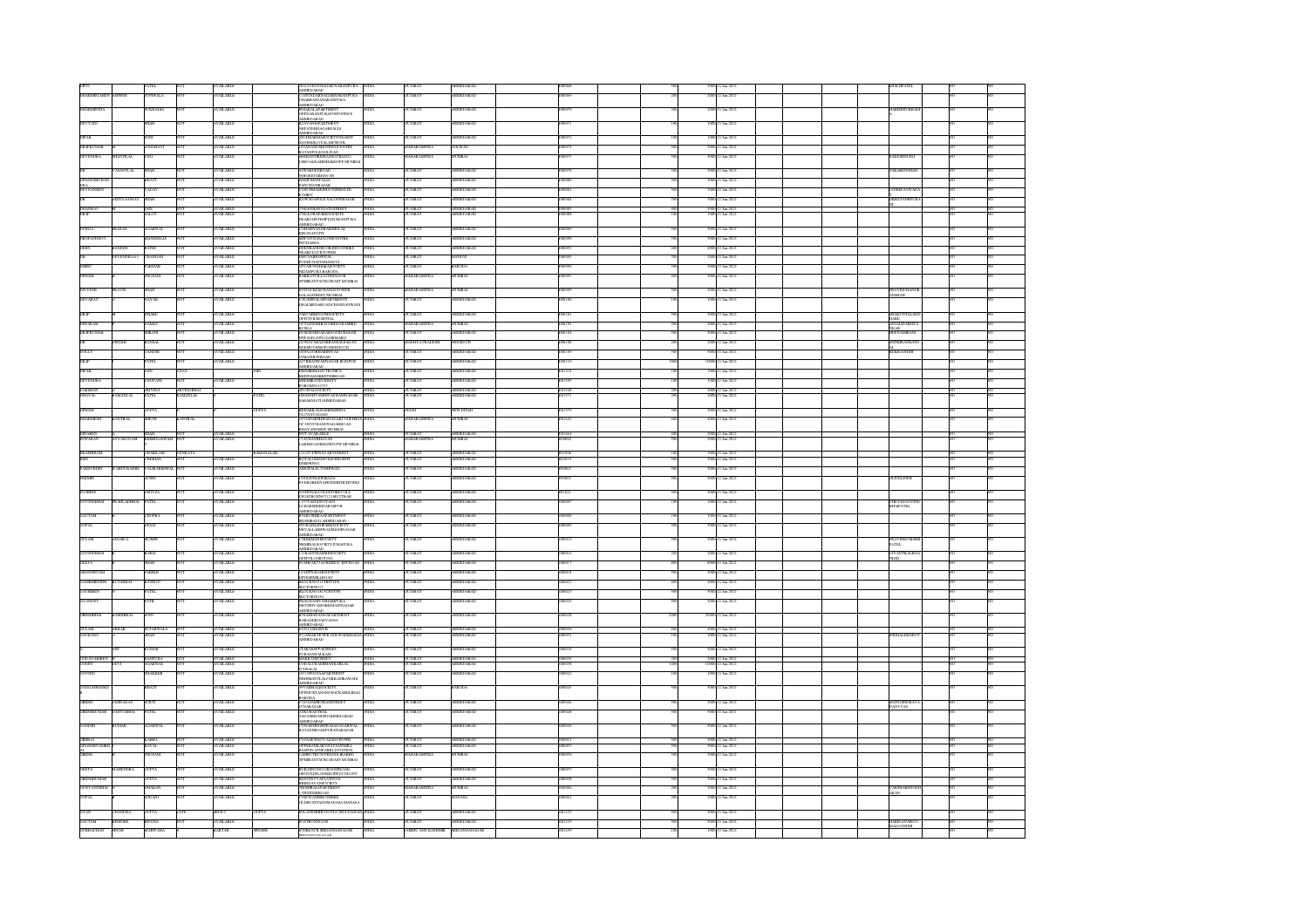|                                         |                                |            | <b>JLABLE</b>               |             | <b>HI6VIJAYNAGAR NARANPURA</b>                                                                   |              | JARAT                        |                                           |                       |     |                     |                                      |  |                              |  |  |
|-----------------------------------------|--------------------------------|------------|-----------------------------|-------------|--------------------------------------------------------------------------------------------------|--------------|------------------------------|-------------------------------------------|-----------------------|-----|---------------------|--------------------------------------|--|------------------------------|--|--|
|                                         |                                |            | ALABLE                      |             | HMEDABAD<br>14SUNDARNAGARNARANPURA                                                               |              | <b>JARAT</b>                 |                                           |                       |     |                     |                                      |  |                              |  |  |
|                                         |                                |            |                             |             | <b>HARRASTANARANPURA</b>                                                                         |              |                              |                                           |                       |     |                     |                                      |  |                              |  |  |
|                                         |                                |            |                             |             |                                                                                                  |              |                              |                                           |                       |     |                     |                                      |  |                              |  |  |
| DEVYANI                                 | <b>IAH</b>                     |            | <b>VAILABLE</b>             |             | HMEDABAD<br>HMEDABAD<br>PFNARANPURAPOSTOFFICE<br>HMEDABAD<br>2AVANIAPARTMENT                     |              | UJARAT                       | HMEDABAD                                  |                       |     | 100                 | $\frac{1}{2}$                        |  |                              |  |  |
|                                         |                                |            |                             |             | <b>REATEHNAGARPALDI</b>                                                                          |              |                              |                                           |                       |     |                     |                                      |  |                              |  |  |
| <b>XPAK</b>                             |                                |            | All ABLE                    |             | <b>TATION OF BUILDING INCOME<br/>COMMANDO CIETYNEARS!</b>                                        |              | 183                          |                                           |                       |     |                     |                                      |  |                              |  |  |
| DEJPKUMAR                               | <b>NGHAV</b>                   |            | <b>VAILABLE</b>             |             | <b>CAVIERSLOYALASCHOOL</b><br>105ANANDSHOPPINGCENTRE                                             |              | <b>HARASHTP</b>              | <b>OLWAD</b>                              |                       |     | $\frac{1}{2000}$    | 3m/20                                |  |                              |  |  |
| <b>DEVENDRA</b><br>VTII AI              |                                |            | VAII ARI F                  |             | AATANPOLEGOLWAD<br>@SHANTIKISHANSOCBLDG2                                                         |              | <b>AHARASHTRA</b>            | <b>ELMRAT</b>                             |                       |     |                     | $\frac{1}{2}$                        |  | <b>III ESHSIANI</b>          |  |  |
|                                         |                                |            |                             |             | SROADDAHISHAREOPP MUMBA                                                                          |              |                              |                                           |                       |     |                     |                                      |  |                              |  |  |
| ASANTLAL                                | HAH                            |            | VAILABLE                    |             | 3WARDENROAD                                                                                      | <b>JDIA</b>  | <b>JUJARAT</b>               | HMEDABAD                                  |                       |     |                     | 5000 12-Jan-2021                     |  | TARABENSHAF                  |  |  |
|                                         |                                |            | AILABLE                     |             | <b>SOBGEETABHAVAN<br/>HAMUMANFALIA<br/>PANCHATIBAZAR<br/>COSUPREMEINDUST</b>                     |              | <b>JARAT</b>                 |                                           |                       |     |                     | $3m-202$                             |  |                              |  |  |
| DRA<br>DEVNANB                          |                                |            | <b>VAILABLE</b>             |             | <b>TRIES! TD</b>                                                                                 |              | UJARAT                       | <b>NEDARAD</b>                            |                       |     |                     | $30^{10}$                            |  |                              |  |  |
| <b>MITA SANJAY</b>                      | <b>SHAH</b>                    |            | <b>VAILABLE</b>             |             | <b>BMIDC</b><br>OWADAPOLE SALOONBAZAR                                                            | <b>STYLE</b> | UJARAT                       | HMEDABAD                                  | mes                   |     |                     | 7000 12-Jan-202                      |  | v<br>DRKETANRPURJ            |  |  |
|                                         |                                |            |                             |             | SELEPHA!<br><b>ATESTREE</b>                                                                      |              |                              |                                           |                       |     |                     |                                      |  |                              |  |  |
| <b>DHANRAJ</b><br>DILIP                 | uπ                             |            | WAILABLE<br>WAILABLE        |             | 37ELLORAPARKSOCIETY<br><b>EARJAINTEMPLENARANPURA</b>                                             | NDIA         | IUJARAT<br>IUJARAT           | AHMEDABAD<br>AHMEDABAD                    | $\frac{20008}{00088}$ |     |                     | 5000 12-Jan-2021<br>1000 12-Jan-2021 |  |                              |  |  |
| DURGA                                   | <b>AGARWAL</b>                 |            | <b>WAILABLE</b>             |             | IMEDABAD<br>HARNANDRAISHIVLAL                                                                    |              | <b>JUJARAT</b>               | HMEDABAD                                  |                       |     |                     |                                      |  |                              |  |  |
| RASAI<br><b>DROPATIDEVI</b>             | <b>HANDELIA</b>                |            | <b>VAILABLE</b>             |             | GRANAPATTI<br>«ISPATODIACLOTHCENTRE                                                              |              | <b>UJARAT</b>                | HMEDABAD                                  |                       |     |                     | 5000 12-Jan-202<br>5000 12-Jan-202   |  |                              |  |  |
| DEEN                                    |                                |            | <b>VAILABLE</b>             |             | <b>CHAREA</b><br>EENBANDHUOLINDUSTRIES                                                           |              | <b>UARAT</b>                 | HMEDABAD                                  |                       |     |                     | 4000 12-Jan-202                      |  |                              |  |  |
|                                         | ATHI                           |            |                             |             | EARCLOCKTOWER<br>HUNAIHOSPITAL                                                                   |              |                              |                                           |                       |     |                     |                                      |  |                              |  |  |
| <b>DEVENDRAAJ</b>                       | CHANDAN                        |            | <b>VAILABLE</b>             |             |                                                                                                  | <b>DIA</b>   | <b>JUJARAT</b>               | <b>MANDVI</b>                             |                       | 200 |                     | 2000 12-Jan-2021                     |  |                              |  |  |
|                                         |                                |            | ALABLE                      |             | PODHUNAITAMANDVI<br>IOVASUNDHARASOCIETY<br>NIZAMPURA BARODA<br>BARKATVILLA2NDFLOOR               |              | <b>JARAT</b>                 | ARODA                                     |                       |     |                     | 5000 12-Jan-202                      |  |                              |  |  |
|                                         |                                |            | <b>ALABLE</b>               |             | <b>IIISANTACRUZEAST MUMBAL</b>                                                                   |              | <b>HARASHTE</b>              | <b>UMBAI</b>                              |                       |     |                     |                                      |  |                              |  |  |
| DIVYESH                                 | .<br>HAH                       |            | <b>VAILABLE</b>             |             | TOCKEXCHANGETOWER                                                                                |              | <b>AHARASHTRA</b>            | MUMBAI                                    |                       |     |                     |                                      |  | <b>AVINCHAN</b>              |  |  |
| DEVARAY                                 | <b>AYAK</b>                    |            | <b>VAILABLE</b>             |             |                                                                                                  |              | UJARAT                       | HMEDABAI                                  |                       |     |                     | -Jan-202                             |  | HAHSK                        |  |  |
|                                         |                                |            |                             |             | DALALSTREET MUMBAL<br>DALALSTREET MUMBAL<br>DRALMEDAROADCHANDANWAL                               |              |                              |                                           |                       |     |                     |                                      |  |                              |  |  |
| <b>DILIP</b>                            | <b>MARE</b>                    |            | <b>VAILABLE</b>             |             | AKUMBHNATHSOCIETY                                                                                | <b>STOR</b>  | <b>TARATE</b>                | <b>HMEDARAD</b>                           |                       |     |                     | 5000 12-Jan-202                      |  | <b>HAKLINTALA</b>            |  |  |
| <b>DIWAKAR</b>                          | <b>MALE</b>                    |            | <b>VAILABLE</b>             |             | ANOTHINGSPITAL<br>SPPCIVILHOSPITAL<br>STGANESHBAL/GBELGRAMIRD                                    | urvi s       | .<br>IAHARASHTRA             | <b>JUMBAI</b>                             |                       |     |                     | 2000 12-Jan-2021                     |  | HARE<br>WIALIDABHY           |  |  |
| DEPKUMAR                                | <b>IRANI</b>                   |            | <b>VAILABLE</b>             |             | URLA<br>URGESHDADARSOCRUKMANI                                                                    | <b>DIA</b>   | <b>JUARAT</b>                | HMEDABAD                                  | 00104                 |     |                     | 5000 12-Jan-2021                     |  | NKAR<br>HEENAMIRANI          |  |  |
|                                         |                                |            | <b>ILABLE</b>               |             |                                                                                                  |              | <b>DHYAPS</b>                |                                           |                       |     |                     |                                      |  |                              |  |  |
| DOM EN                                  | <b>ATMA</b>                    |            | VAILAREE                    |             | GWASFLATNO24SBMARG<br>143NAY ABAZARBANSALSADAN<br>GEMUCHMOPONEEMUCH<br>ISTFLOORHARINIVAS         |              | <b>HARAT</b>                 | 1601149.41                                |                       |     |                     | $\frac{1}{2}$ and $\frac{1}{2}$      |  | .<br>Wilayah                 |  |  |
| <b>DEP</b>                              |                                |            | <b>ALABLE</b>               |             | TFLUORIDSBART<br>MATHEWROAD<br>**RHAGWANNAGAR ISANPUR                                            |              | UJARAT                       | MEDARAI                                   |                       |     |                     | $302 - 202$                          |  |                              |  |  |
| DIPAK                                   |                                |            |                             |             | HMEDABAD<br>REMIERELECTRONICS                                                                    |              | UJARAT                       | HMEDABAD                                  |                       |     |                     | 1000 12-Jan-2021                     |  |                              |  |  |
| <b>DEVENDRA</b>                         | <b>NIVANI</b>                  |            | <b>VAILABLE</b>             |             | (ISNAMARKETHBROAD)<br>SEMIRATEURERTY                                                             |              | <b>HAPAT</b>                 | <b>INCONST</b>                            |                       |     |                     | 1000 12-Jan-202                      |  |                              |  |  |
|                                         |                                |            |                             |             |                                                                                                  |              |                              |                                           |                       |     |                     |                                      |  |                              |  |  |
| DARSHAN<br>DHAVAL                       |                                |            |                             |             | OBOXNO12797<br>SUTPALSOCIETY<br>HANSHY AMNIVAS RAMNAGAR<br>ABARMATI AHMEDABAD                    |              | iarat<br>iarat               |                                           |                       |     |                     |                                      |  |                              |  |  |
| <b>DINESH</b>                           |                                |            |                             |             | <b>BEHARILALRAMKRISHNA</b>                                                                       |              |                              |                                           |                       |     |                     |                                      |  |                              |  |  |
|                                         | <b>GUPTA</b>                   |            |                             | UPTA        | 27NAYAGANI<br>33APARSHWANAGARCOOPHSG                                                             | <b>TVIA</b>  | DEI HI                       | <b>GEW DELHL</b>                          | u cha                 |     |                     | 3000 12-Jan-2021                     |  |                              |  |  |
| <b>DHARMESH</b><br>NTILAL.              | HETH                           | .<br>NTLAL |                             |             | C DEVCHANDNAGARROAD                                                                              | <b>DIA</b>   | .<br>IAHARASHTRA             | <b>JUMBAI</b>                             | [64]                  |     |                     | 4000 12-Jan-2021                     |  |                              |  |  |
| DINABEN<br>ESWARAN                      |                                |            |                             |             | IAYANDERW MUMBAL<br>YLAVAILARLE                                                                  |              | <b>JARA</b>                  |                                           |                       |     |                     |                                      |  |                              |  |  |
| <b>YAKUDAM</b>                          |                                |            | ALABLE                      |             | OI AVARABLE<br>!AVBAYBHAVAN<br>AKEROADBHANDUPW MUMBA                                             |              | <b>AHARASHTRA</b>            | UMBAI                                     |                       |     |                     | J <sub>202</sub>                     |  |                              |  |  |
|                                         | <b>JAKILAN</b>                 |            |                             |             | 1107 PINNAVAR VSTREET                                                                            |              | <b>HARA</b>                  |                                           |                       |     |                     |                                      |  |                              |  |  |
| EKAMBRAM<br>EIPE                        | RIAN                           |            |                             |             |                                                                                                  |              |                              |                                           |                       |     |                     |                                      |  |                              |  |  |
|                                         |                                |            | ALABLE                      |             | ALOMANPOLICEHOSPE                                                                                |              | <b>JARAT</b>                 |                                           |                       |     |                     | $3m-202$                             |  |                              |  |  |
| <b>FAKHURDIN</b><br>RIM IR AHI          | <b>URARD</b>                   |            | <b>AILARLE</b>              |             | 04SPBNO2<br>MLIFALIA VOHRWAD                                                                     |              | <b>HARAT</b>                 | <b>IMEDARAD</b>                           |                       |     |                     |                                      |  |                              |  |  |
| FERMIN                                  | av.                            |            | <b>ALABLE</b>               |             |                                                                                                  |              | <b>UARAT</b>                 | HMEDABAD                                  |                       |     |                     | J <sub>202</sub>                     |  | <b>IVELEWE</b>               |  |  |
|                                         |                                |            |                             |             | .<br>NERGREENAPRTSMITHCHOWKI                                                                     |              |                              |                                           |                       |     |                     |                                      |  |                              |  |  |
| <b>FLORINE</b>                          | <b>SOUZA</b>                   |            | .<br>Vallable               |             | TIONALCOLDSTORECOLL                                                                              |              | JARAT                        | MEDABAI                                   |                       |     |                     | 5000 12-Jan-202                      |  |                              |  |  |
| <b>GOVINDRHA</b><br><b>UI ADDUA</b>     | <b>ATEL</b>                    |            | <b>VAILABLE</b>             |             | POSTBOXNO7121MUTTRAH<br>137VASUDEVVADI<br><b>UHARSHERISARASPUR</b>                               | ma           | <b>UJARAT</b>                | <b>HMEDARAD</b>                           |                       |     |                     | $1000$ $12.582202$                   |  | <b>HETANGOVE</b><br>HAIPATEL |  |  |
| <b>GAUTAM</b>                           | HOPRA                          |            | <b>VAILABLE</b>             |             |                                                                                                  | <b>CDLA</b>  | <b>JUARAT</b>                | HMEDABAD                                  |                       |     |                     | 1000 12-Jan-2021                     |  |                              |  |  |
| GOPAL.                                  | SAI                            |            | <b>ALABLE</b>               |             | HARMANIA<br>HMEDABAD<br>34RUSHIKAAPARTMENT                                                       |              | UJARAT                       | IMEDARAD                                  |                       |     | 5000                | : Jan-2021                           |  |                              |  |  |
|                                         |                                |            |                             |             | SHAHIBAUG AHMEDABAD<br>SSURAMANIPARKSOCIETY<br>NRVALLABHWADIMANINAGAR                            |              |                              |                                           |                       |     |                     |                                      |  |                              |  |  |
| GULAM                                   | WIN                            |            | <b>AILABLE</b>              |             | HMEDABAD<br><sup>70FHMANISOCIETY</sup><br>SRMINALSOCIETYJUHAPURA                                 |              | UJARAT                       | <b>IMEDARAD</b>                           |                       |     |                     |                                      |  | PRAVINKUM.<br>PATEL          |  |  |
| SOVINDBHAI                              |                                |            | ALABLE                      |             | IMEDABAD<br>IRAISTHAMBHSOCIETY                                                                   |              | JARAT                        | <b>IMEDABAD</b>                           |                       |     |                     | 2000 12-Jan-202                      |  | <b>WANTEALE</b>              |  |  |
|                                         |                                |            |                             |             |                                                                                                  |              |                              | <b>IMEDABAD</b>                           |                       |     |                     | 8000 12-Jan-202                      |  | <b>IHG</b>                   |  |  |
| GEETA<br><b><i><b>GHANSHYAM</b></i></b> | <b>LDIKH</b>                   |            | VAILABLE<br>VAILAREE        |             | <b>DPPOLOGROUND<br/>PUSHPAK75AURMISOC BPCROAD</b><br><b>AMITNAGARSOCIETY</b>                     |              | <b>JARAT</b><br><b>TARAT</b> | <b>HMEDARAD</b>                           |                       |     |                     | $5000$ $12.5$ m <sup>202</sup>       |  |                              |  |  |
| <b>JAMBHIRSINE</b>                      | <b>THOD</b>                    |            | <b>ALABLE</b>               |             | INESHMILLROAD<br>LOCKNO31CHHTYPE                                                                 |              | <b>UJARAT</b>                | <b>IMEDABAD</b>                           |                       |     |                     | 4000 12-Jan-202                      |  |                              |  |  |
|                                         |                                |            |                             |             |                                                                                                  |              |                              |                                           |                       |     |                     |                                      |  |                              |  |  |
| <b>GAURIBEN</b>                         | ATEL.                          |            | <b>VAILABLE</b>             |             | ECTORNO17<br>LOCKNO1813CHTYPE                                                                    |              | <b>JUARAT</b>                | HMEDABAD                                  |                       |     |                     | 5000 12-Jan-202                      |  |                              |  |  |
| <b>YANDEV</b>                           |                                |            | <b>ALABLE</b>               |             | SECTORNO30<br>PRAGNANIVASHARIPURA<br>NRVISHVASPARKMANINAGAR                                      |              | <b>JARAT</b>                 | MEDABAI                                   |                       |     |                     |                                      |  |                              |  |  |
| <b>IRIGHRH</b>                          |                                |            | <b>ALABLE</b>               |             | VHMEDABAD<br>ISSAHJANANDAPARTMENT                                                                |              | UJARAT                       | <b><i>IMPDARAD</i></b>                    |                       |     |                     |                                      |  |                              |  |  |
|                                         |                                |            |                             |             | BARAGEROADVASNA                                                                                  |              |                              |                                           |                       |     |                     |                                      |  |                              |  |  |
| GULAM<br>GAURANG<br><b>AKBAR</b>        | <b>SUTARWALA</b><br>łАН        |            | AVAILABLE<br>AVAILABLE      |             | BARAGEROADVASNA<br>AHMEDABAD<br>51054 LILEZPUR<br>972AMAK:HOWK GOLWADKHADL                       | <b>NDIA</b>  | SUJARAT<br>SUJARAT           | AHMEDABAD<br>AHMEDABAD                    |                       |     | 40001               | 2-Jan-202<br>2-Jan-202               |  | EHALDBARC                    |  |  |
|                                         |                                |            |                             |             | <b>HMEDABAD</b>                                                                                  |              |                              |                                           |                       |     |                     |                                      |  |                              |  |  |
|                                         | <b>UMAR</b>                    |            | VAILABLE                    |             | <b>TARASAPPASTREET</b>                                                                           |              | UJARAT                       | <b>IMEDABAD</b>                           |                       |     |                     | 5000 12-Jan-202                      |  |                              |  |  |
|                                         | ANPURA<br><b><i>GARWAL</i></b> |            | <b>AVAILABLE</b>            |             | PURASAWALKAM<br>MAKRANISTREET                                                                    |              | UJARAT                       | HMEDABAD<br>HMEDABAD                      |                       |     |                     | J <sub>202</sub>                     |  |                              |  |  |
| GODAVARII<br>GOMTI<br><b>GOVINE</b>     | <b>AKKER</b>                   |            | VAILABLE<br><b>VAILABLE</b> |             | ODALURAMSHANKARLAL<br>JGSALAI<br>0119POOJAAPARTMENT                                              |              | UJARAT<br><b>UJARAT</b>      | <b>IMEDARAD</b>                           |                       |     | 10000               | $1 - 20$                             |  |                              |  |  |
|                                         |                                |            |                             |             | RHIMANTLALPARKAMBAWADI                                                                           |              |                              |                                           |                       |     |                     |                                      |  |                              |  |  |
| <b>GANGASHANB</b>                       | IATT                           |            | <b>VAILABLE</b>             |             | IMEDABAD<br>VAISHALISOCIETY                                                                      |              | UJARAT                       | ARODA                                     |                       |     |                     | 12-Jan-202                           |  |                              |  |  |
|                                         |                                |            |                             |             | PMUKTANANDSOCKARELIBAG                                                                           |              |                              |                                           |                       |     |                     |                                      |  |                              |  |  |
| <b>IVARHA</b>                           | URTI<br><b>ATEL</b>            |            | VAILABLE                    |             | ARODA<br>1054JAMIETRAMSTREET                                                                     |              | <b>JARAT</b>                 | <b>IMEDABAD</b><br><b><i>IMEDARAL</i></b> |                       |     |                     | 12-Jan-2021                          |  | NOJINDRA)<br>VVYAS           |  |  |
| <b>GIRISHKUMAR</b>                      |                                |            | <b>ALABLE</b>               |             | NABAZAR<br>INABAZAR<br>INUBADTHAL<br>ADASKROIDISTAHMEDABAD                                       |              | <b>UJARAT</b>                |                                           |                       |     |                     |                                      |  |                              |  |  |
| <b>JANESE</b>                           | <b>JARWAL</b>                  |            | VAILABLE                    |             | <b>IMEDARAD</b><br>NARSINGHPRASADAGARWAL                                                         |              | <b>UJARAT</b>                | HMEDABAD                                  |                       |     |                     | 2-Jan-202                            |  |                              |  |  |
|                                         |                                |            |                             |             | <b>ATANJROADPURANABAZAR</b>                                                                      |              |                              |                                           |                       |     |                     |                                      |  |                              |  |  |
|                                         | KABRA<br>RAVAL                 |            | WAILABLE<br>WAILABLE        |             |                                                                                                  |              | JARAT<br>JARAT               |                                           |                       |     | $\frac{5000}{5000}$ | -Jan-202<br>-Jan-202                 |  |                              |  |  |
|                                         |                                |            | All ARE                     |             | OJAGETIACO AZADCHOWK<br>PPSHANKARVIJAYSAWMILI.<br>AMNIVASNEARRLYSTATION<br>AMRUTKUNJ3RDGOLIBARRD |              | 180.5                        | <b>TMRA</b>                               |                       |     |                     |                                      |  |                              |  |  |
|                                         |                                |            |                             |             | <b>IIISANTACRUZEAST MUMBAI</b>                                                                   |              |                              |                                           |                       |     |                     |                                      |  |                              |  |  |
| GEETA<br><b><i>AHENDRA</i></b>          | <b>GUPTA</b>                   |            | VALABLE                     |             | BUILDINGNO12ROOMNO406                                                                            |              | UJARAT                       | HMEDABAD                                  |                       |     |                     | 5000 12-Jan-2021                     |  |                              |  |  |
| JIRISHKUMAR                             | UPTA                           |            | VAILABLE                    |             |                                                                                                  |              | UJARAT                       | HMEDABAD                                  |                       |     |                     | 5000 12-Jan-2021                     |  |                              |  |  |
| <b>NVANTRH</b>                          | <b>TAKAN</b>                   |            | <b>VAILABLE</b>             |             | GROUNDFLOORKOPRYCOLONY<br>BLDGNO71AFLATNO34<br>BRINDAVANSOCIETY<br>7BDHRAJAPARTMENT              |              | <b>AHARASHTR</b>             | <b>EUMBAL</b>                             |                       |     |                     | $\frac{1}{2}$                        |  | <b><i>RSHARFNO</i></b>       |  |  |
| <b>GOPAL</b>                            |                                |            | <b>ALABLE</b>               |             | <b>PEDDERROAD</b><br><b>JUBUSSTANDMANASA MANASA</b>                                              |              | UJARAT                       | .<br>ANASA                                |                       |     |                     |                                      |  |                              |  |  |
| <b>YAN</b>                              |                                |            |                             | <b>UPTA</b> |                                                                                                  |              |                              | HMEDABAD                                  |                       |     |                     |                                      |  |                              |  |  |
| ANDRA<br>SHORE                          | <b>UPTA</b><br><b>TATTA</b>    |            | <b>RIHC</b>                 |             | <b>DLATESRIHCGUPTA 28DUGAWA</b><br><b>STRONNOM</b>                                               |              | UJARAT<br><b>UJARAT</b>      | <b>IMFDARA</b>                            |                       |     | $\overline{300}$    | 2-Jan-202<br>3m <sub>202</sub>       |  | 0033443000                   |  |  |
| SAUTAM<br>GURBACHAN<br>NGH              | <b>LARWAHA</b>                 |            | <b>VAILABLE</b><br>ARTAR    |             | <b>DBLOCK SRIGANGANAGAR</b>                                                                      |              | <b>IMU AND KAS</b>           |                                           |                       |     |                     |                                      |  | <b>INCIANDEL</b>             |  |  |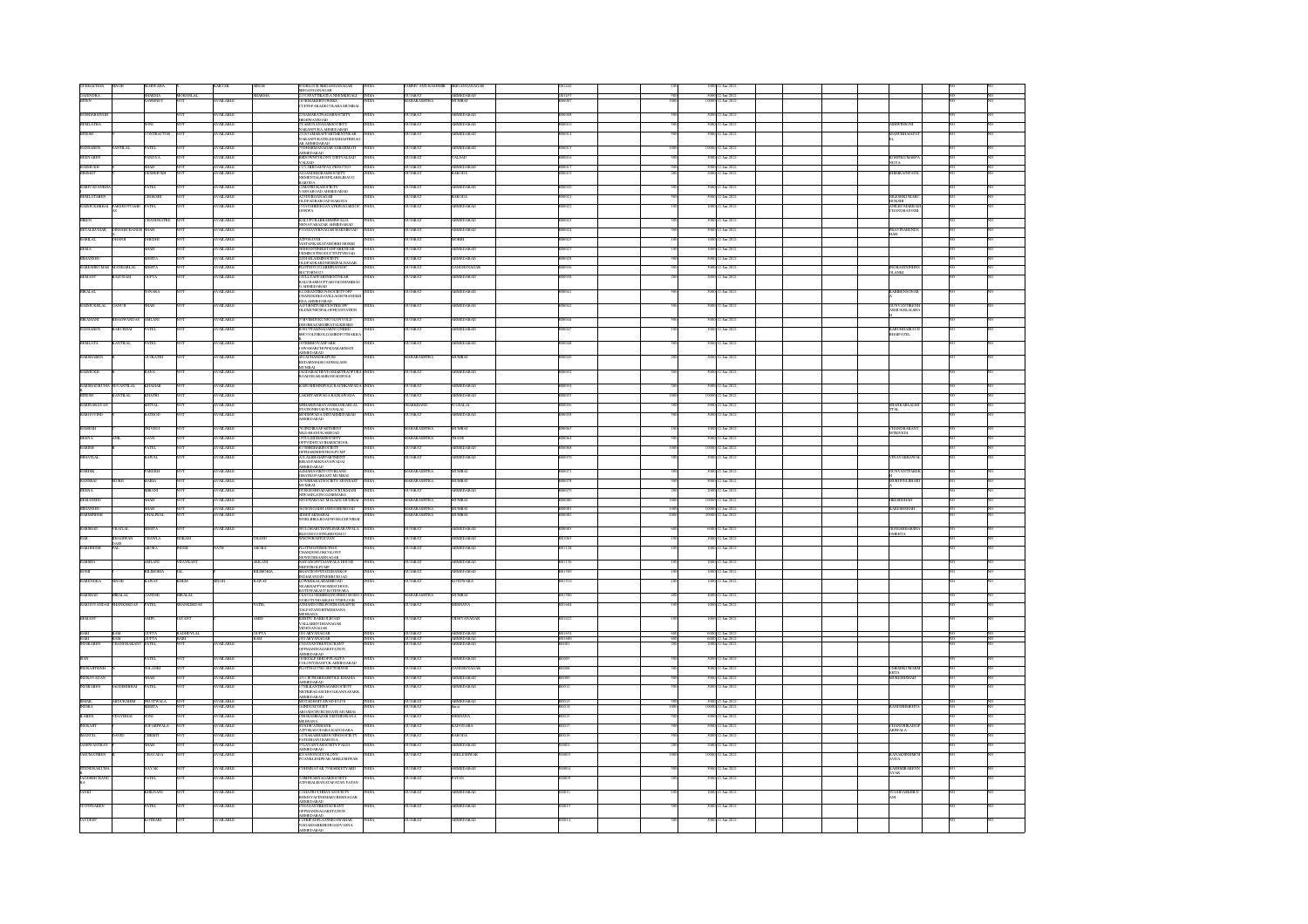| <b>URBACH</b>                |                  |                      |                | RTAR                              | NG <sub>F</sub> | 83DBLOCK SRIGANGANAGAR                                                                                     | <b>INDIA</b>                   | <b>MMU AND KASHMI</b>                   | RIGANGANAGAB                  |                   |                  |                                 |  |  |                                     |  |  |
|------------------------------|------------------|----------------------|----------------|-----------------------------------|-----------------|------------------------------------------------------------------------------------------------------------|--------------------------------|-----------------------------------------|-------------------------------|-------------------|------------------|---------------------------------|--|--|-------------------------------------|--|--|
|                              |                  |                      |                |                                   |                 | SRIGANGANAGAR<br>21518PATTIKATLA NEEMKIG                                                                   |                                |                                         |                               |                   |                  |                                 |  |  |                                     |  |  |
|                              |                  | <b><i>AWHNEY</i></b> |                | <b>ALABLE</b>                     |                 | <b>S3BMAKERTOWERS</b><br><b>SJONAKER HUWERS</b><br>'UFFEPARADECOLABA MUMBAI                                | NDIA                           | <b>AHARASHTRA</b>                       | <b>JUMBAI</b>                 |                   | 10000            | J <sub>20</sub>                 |  |  |                                     |  |  |
|                              |                  |                      |                | ul ABI I                          |                 | <b>MARATNAGARSOCE</b>                                                                                      |                                |                                         |                               |                   |                  |                                 |  |  |                                     |  |  |
|                              |                  |                      |                |                                   |                 | <b>BGHWAYROAD</b>                                                                                          |                                |                                         |                               |                   |                  |                                 |  |  |                                     |  |  |
|                              |                  |                      |                | All ABLE                          |                 | Y ASBURNARI<br><u>ARANPURA AHMEDABAD</u><br>**** *MAR APPARTMENTN                                          |                                | IARA                                    |                               |                   |                  |                                 |  |  |                                     |  |  |
| <b>TTESH</b>                 |                  | NTR ACTOR            |                | <b>AILABLE</b>                    |                 | ARANPURATELEEXSHASTRINA                                                                                    | VINI A                         | <b>TARAT</b>                            | <b>MEDARA</b>                 |                   |                  |                                 |  |  | <b>NUDUAE</b>                       |  |  |
| <b><i>EANSABEN</i></b>       | <b>NTLAL</b>     | ATEL.                |                | <b>AILABLE</b>                    |                 | R AHMEDABAD<br>SDHARMANAGAR SABARMATI                                                                      | <b>INDIA</b>                   | UJARAT                                  | <b>HMEDABAD</b>               |                   |                  | 10000 12-Jan-202                |  |  |                                     |  |  |
|                              |                  | <b>ANDYA</b>         |                |                                   |                 | AHMEDABAD<br>BSDOWNCOLONY DISTVALSAD                                                                       | <b>INDIA</b>                   |                                         |                               |                   |                  | 5000 12-Jan-202                 |  |  | HITKUMARI                           |  |  |
| HEENABEN                     |                  |                      |                | <b>ALABLE</b>                     |                 | /ALSAD<br> 1712BROADWAY PBN07823                                                                           |                                | UJARAT                                  | ALSAD                         |                   |                  |                                 |  |  | DYA.                                |  |  |
| HASMUKH<br>MMAT              |                  | ESHMUK.              |                | <b>ALABLE</b><br><b>ALABLE</b>    |                 |                                                                                                            | NDIA                           | JARAT<br>UJARAT                         | <b>HMEDAB</b><br><b>ARODA</b> |                   | 2000             | $-1202$                         |  |  | MRAJNPAT                            |  |  |
|                              |                  |                      |                |                                   |                 | 34GANDHIGRAMSOCIETY<br>NRMENTALHOSPKARELIBAUG                                                              |                                |                                         |                               |                   |                  |                                 |  |  |                                     |  |  |
| <b>HARIVADAN</b>             |                  | <b>ATEL</b>          |                | <b>WAILABLE</b>                   |                 | IARODA<br>2MATRUKASOCIETY                                                                                  | <b>NDIA</b>                    | GUJARAT                                 | HMEDABAD                      |                   |                  | 5000 12-Jan-202                 |  |  |                                     |  |  |
| .<br>HEMLATABEN              |                  | HOKSHI               |                | <b>ALABLE</b>                     |                 | VASNAROAD AHMEDABAD.<br>A23DURGANAGAR                                                                      | <b>INDIA</b>                   | GUJARAT                                 | ARODA                         |                   |                  | 5000 12-Jan-2021                |  |  | <b>SILESHKUMAR</b>                  |  |  |
| <b>EASMUKHBHA</b>            | <b>RSHOTTAMP</b> | ATEL.                |                | <b>ALABLE</b>                     |                 | <b>OLDPADRAROAD BARODA</b><br>ISJAYSHREEGAYATRINAGARSOC                                                    | INDIA                          | UJARAT                                  | HMEDABAD                      |                   | 1000             | -Jan-202                        |  |  | HOKSHI<br>ANILKUMARRA               |  |  |
|                              |                  |                      |                |                                   |                 | <b>GORWA</b>                                                                                               |                                |                                         |                               |                   |                  |                                 |  |  | <b>HANDRAJOSH</b>                   |  |  |
|                              |                  |                      |                | All ABLE                          |                 | <b>CALUPURABI</b>                                                                                          |                                | ARA                                     |                               |                   |                  | J <sub>202</sub>                |  |  |                                     |  |  |
| <b>HETALKUMA</b>             |                  |                      |                | <b>AILARLE</b>                    |                 | <b>RNAVABAZAR AHMEDABAL</b><br>LOSTAVEDNACAR HARNIRO                                                       | <b>STYLE</b>                   | <b>HARAT</b>                            | MEDARAI                       |                   |                  | Im 202                          |  |  |                                     |  |  |
| HARILAL                      |                  | HEDHI                |                | <b>All ARIF</b>                   |                 | <b>POSAVIM</b>                                                                                             | .<br>NDIA                      | <b>HARAT</b>                            | <b>MORRI</b>                  |                   |                  | Im 202                          |  |  |                                     |  |  |
| HEMA                         |                  | ₹AH                  |                | <b>ALABLE</b>                     |                 | VIATANKARATAMORBI MORBI<br>SBSHANTINIKETANPARKNEAR                                                         | <b>INDIA</b>                   | UJARAT                                  | MEDABAD                       |                   |                  | $3m-202$                        |  |  |                                     |  |  |
|                              |                  | <b>EHTA</b>          |                | All ABLE                          |                 |                                                                                                            |                                | <b>IARA</b>                             | MEDABAI                       |                   | 5000             | $3m-202$                        |  |  |                                     |  |  |
| ARESHKI                      |                  | .<br>683 Ta          |                | All ARLE                          |                 | <b>URMISOCPRODUCTIVITYROAD<br/>24DJAILAXMISOCIETY<br/>OLDPADRARDNRSRIPALNAGAR<br/>PLOTNOS2S2ABHINAVSOC</b> |                                | <b>TARA</b>                             | <b>START STA</b>              |                   |                  |                                 |  |  |                                     |  |  |
| HEMANT                       | <b>ALURAM</b>    | UPTA                 |                | ALABLE                            |                 | SECTORNO23<br>UULLYAPPARTMENTNEAR                                                                          |                                | <b>UARAT</b>                            | <b><i>IMEDARAE</i></b>        |                   |                  | $\frac{1}{2}$ and $\frac{2}{2}$ |  |  | <b>LANKI</b>                        |  |  |
|                              |                  |                      |                |                                   |                 | BALURAMGUPTAROADSHAHIBAL                                                                                   |                                |                                         |                               |                   |                  |                                 |  |  |                                     |  |  |
| HIRALAL                      |                  | ONARA                |                | VAILABLE                          |                 | G AHMEDABAD<br>E41SHANTIKUNISOCIETYOPP<br>CHANDKHEDAVILLAGECHANDKE                                         | <b>INDIA</b>                   | GUJARAT                                 | HMEDARAD                      |                   |                  | 5000 12-Jan-2021                |  |  | <b>ABIBENSON</b>                    |  |  |
|                              |                  |                      |                |                                   |                 | <b>CDA AHMEDABAD</b><br>ALFURNITURECENTREOPP                                                               |                                |                                         |                               |                   |                  |                                 |  |  |                                     |  |  |
| <b>ASMUKHL</b>               |                  |                      |                | <b>ALABLE</b>                     |                 | OLDMUNICIPALOFFICESTATION                                                                                  |                                | $\overline{11121}$                      | ASCONDA                       |                   |                  |                                 |  |  | <b>UU AVTE</b><br>SMUKHLALSH        |  |  |
| <b>HIRAMANI</b>              | <b>GWANDAS</b>   | ME ANI               |                | <b>ALABLE</b>                     |                 | <b>BURHIVKI NICOLONYOLD</b>                                                                                |                                | <b>LARA</b>                             | MEDARAD                       |                   |                  |                                 |  |  |                                     |  |  |
| <b>LANSABEN</b>              | ABUBHAI          | ATEI                 |                | <b>ALABLE</b>                     |                 | DHORBAZARMIRATALKIESRD<br>B30UTTAMNAGARNO2NRRD                                                             |                                | JARAT                                   | MEDABAD                       |                   |                  | Im(202)                         |  |  | <b>ABUBHAIR</b>                     |  |  |
|                              |                  |                      |                |                                   |                 | SHCOOLNIKOLGAMRDPOTHAKK                                                                                    |                                |                                         |                               |                   |                  |                                 |  |  | <b>BHAIPATEL</b>                    |  |  |
| HEMLATA                      | VIILA            | viel                 |                | ALABLE                            |                 | !<br>OTRIBHOVANPARK<br>AWAHARCHOWKSABARMATI                                                                |                                | <b>JARA</b>                             | <b>MEDARAL</b>                |                   |                  | $\frac{1}{2}$ an-202            |  |  |                                     |  |  |
|                              |                  |                      |                |                                   |                 |                                                                                                            |                                |                                         |                               |                   |                  |                                 |  |  |                                     |  |  |
| HARSHABE!                    |                  | URATH                |                | VAILABLE                          |                 | <b>VHMEDABAD</b><br>001ACHANDRAPURI<br><b>KEDARMALROADMALADE</b>                                           |                                | <b>AHARASHTR.</b>                       | <b>TMRAI</b>                  |                   |                  | Im 202                          |  |  |                                     |  |  |
| <b>EASMUKH</b>               |                  | ANA                  |                | VAILABLE                          |                 |                                                                                                            |                                | <b>JUJARAT</b>                          | <b>IMEDABAD</b>               |                   |                  | 5000 12-Jan-2021                |  |  |                                     |  |  |
|                              |                  |                      |                |                                   |                 | MUMBAI<br>MUMBAI<br>RODABACHEVDAMARTRAOPURA INDIA<br>ROADNEARAMBAWADIPOLE                                  |                                |                                         |                               |                   |                  |                                 |  |  |                                     |  |  |
| <b>LARSHADKU</b>             | AVTH 2           | $\overline{\cdots}$  |                | <b>ALABLE</b>                     |                 | <b>ASUSHERVIPOLE RACHKAWA</b>                                                                              |                                | 1494                                    | ASCONDA                       |                   |                  | $\frac{1}{2}$                   |  |  |                                     |  |  |
|                              | .<br>TILAI       | <b>ATR</b>           |                | <b>ALABLE</b>                     |                 | .<br>KHIYARWADA RAJKAWADA                                                                                  |                                | <b>JARAT</b>                            | <b>JEDARAI</b>                |                   |                  |                                 |  |  |                                     |  |  |
| <b>JARINARAY</b>             |                  | <b>ITTAL</b>         |                | VAILABLE                          |                 | <b>HARINARAYANSHANKARLAL</b>                                                                               | <b>NDIA</b>                    | ARKHANI                                 | GSALAI                        |                   | $\overline{900}$ | $tan-202$                       |  |  | <b>VYKARLAL</b>                     |  |  |
| <b>IARGOVINI</b>             |                  | ATHOD                |                | <b>VAILABLE</b>                   |                 | STATIONROADJUGSALAI<br>MODHWADA DISTAHMEDABAD                                                              | <b>INDIA</b>                   | <b>UJARAT</b>                           | HMEDABAD                      |                   | 3000             | 12-Jan-2021                     |  |  | <b>TTAI</b>                         |  |  |
|                              |                  |                      |                |                                   |                 | <b>AHMEDABAD</b>                                                                                           |                                |                                         |                               |                   |                  |                                 |  |  |                                     |  |  |
| <b>MESE</b>                  |                  | <b>ENED</b>          |                | ALABLE                            |                 | <b>INDIRAAPARTMENT</b>                                                                                     | INDIA                          |                                         | <b>MRA</b>                    |                   |                  | 1000 12-Jan-202                 |  |  |                                     |  |  |
| HEENA                        |                  | <b>ave</b>           |                | <b>WAILABLE</b>                   |                 | <b>MLDAHANUKARROAD</b><br>19TULSIDHAMSOCIETY                                                               | <b>INDIA</b>                   | MAHARASHTRA                             | <b>THANE</b>                  |                   |                  | 5000 12-Jan-2021                |  |  | CHANDRAK)<br>MTRIVEDI               |  |  |
| <b>IARISH</b>                |                  | <b>ATEL</b>          |                | VAILABLE                          |                 | OPPVIDHYAVIHARSCHOOL<br>813SHRIHARISOCIETY                                                                 | <b>INDIA</b>                   | <b>JUARAT</b>                           | HMEDARAD                      | nks:              |                  | 10000 12-Jan-202                |  |  |                                     |  |  |
| <b>IMATLAL</b>               |                  | AWAL.                |                | <b>ALABLE</b>                     |                 | OPPHARISHPETROLPUMP<br>AILALBHAIAPPARTMENT                                                                 |                                | UJARAT                                  | HMEDABAD                      |                   |                  | -Jan-202                        |  |  |                                     |  |  |
|                              |                  |                      |                |                                   |                 | <b>KIRANPARKNAVAWADAJ</b>                                                                                  | <b>NDIA</b>                    |                                         |                               |                   | 900              |                                 |  |  | NAYAKRAW                            |  |  |
| <b>ARDIK</b>                 |                  |                      |                | All ABLE                          |                 | <b>JRANT ON </b><br>HIMEDABAD<br>******VIRJYOTVBLANE                                                       |                                |                                         |                               |                   |                  | J <sub>20</sub> 202             |  |  |                                     |  |  |
| <b>LANSBAL</b>               |                  | .<br>Pla             |                | <b>All ARIF</b>                   |                 | HMERTAVIRIYOTVBL-v<br>GHATKOPAREAST MUMBAL<br>CHATKOPAREAST MUMBAL<br>SCGRHARATSOCIETY SIONEAST            | <b>NDIA</b>                    | AHARASHTRA                              | <b>TMRAI</b>                  |                   |                  | Im 202                          |  |  |                                     |  |  |
| <b>IFFNA</b>                 |                  | .<br>IRANI           |                | <b>All ARIF</b>                   |                 | <b>JUMBAI<br/>XURGESHDADARSOCRUKMANI</b>                                                                   | <b>INDIA</b>                   | TERRAT                                  | <b>HMEDARAL</b>               |                   |                  | Im 202                          |  |  |                                     |  |  |
| <b>IEMANSHU</b>              |                  | HAF                  |                | <b>AILABLE</b>                    |                 | NIWASFLATNO24SBMARG<br>NIVETIAROAD MALADE MUMBAI                                                           |                                | <b>AHARASHTRA</b>                       | UMBAI                         |                   |                  | $3m-202$                        |  |  | ESHSHAH                             |  |  |
|                              |                  |                      |                |                                   |                 |                                                                                                            | <b>INDIA</b>                   |                                         |                               |                   | 1000             |                                 |  |  |                                     |  |  |
| HIMANSHU<br><b>LARMINDER</b> |                  | HALIWAI              |                | <b>AVAILABLE</b><br><b>ALABLE</b> |                 | 361SONGADH 48HUGHESROAD NDIA                                                                               | <b>INDIA</b>                   | <b>MAHARASHTRA</b><br><b>AHARASHTRA</b> | MUMBAI<br><b>JUMBAI</b>       | 100081<br>me.     | 20000            | 10000 12-Jan-2021<br>$3m-202$   |  |  | RAKESHSHAH                          |  |  |
|                              |                  |                      |                |                                   |                 | 4DEEPAKMAHAL<br>WORLIHILLROADWORLI MUMBAI                                                                  |                                |                                         |                               |                   |                  |                                 |  |  |                                     |  |  |
| <b>TARSHAD</b>               |                  | <b>EHTA</b>          |                | ALABLE                            |                 | <b>ILOHARCHAWLHARARAWALA</b>                                                                               |                                | <b>JARAT</b>                            | <b>IMEDABA</b>                |                   | 6000             | $3m-202$                        |  |  | ecuus                               |  |  |
|                              |                  | $_{\text{HAMT}}$     |                |                                   |                 | BLDGNO21STFLRROOM12<br>WM290BASTGUZAN                                                                      |                                | 13.937                                  |                               |                   |                  |                                 |  |  | <b>MEHTA</b>                        |  |  |
| HARJINDER                    |                  | RORA                 | <b>DER</b>     |                                   | RORA            | LOTNO4STREETNOI                                                                                            | <b>NDIA</b>                    | UJARAT                                  | HMEDABAD                      | $\overline{1128}$ |                  | 1000 12-Jan-202                 |  |  |                                     |  |  |
|                              |                  |                      |                |                                   |                 | CHANDERLOKCOLONY                                                                                           |                                |                                         |                               |                   |                  |                                 |  |  |                                     |  |  |
| <b>JARSHA</b>                |                  | MLANI                | <b>UAYKANT</b> |                                   | MLANI           | <b>JEWSUBHASHNAGAR</b><br>VAYANOPPTAJAWALA HOUSE                                                           | <b>INDIA</b>                   | GUJARAT                                 | <b>IMEDABAD</b>               | 01136             |                  | 1000 12-Jan-202                 |  |  |                                     |  |  |
| DAO                          |                  | <b>ILIMORIA</b>      |                |                                   | <b>ILIMORIA</b> | &PETROLPUMP<br>HANTIOPPSTATEBANKOF                                                                         | INDIA                          | UJARAT                                  | MEDABAD                       | 1309              |                  | 1000 12-Jan-2021                |  |  |                                     |  |  |
| <b>LARENDR</b>               |                  | wat                  |                |                                   | w.<br>N         | <b>INDIAPANDITNEHRUROAD</b><br>LOWERKALABAIHROAD<br>NEARHAPPYHOMESCHOOL                                    | <b>SDIA</b>                    | IJARAT                                  | DWARA                         |                   |                  | J <sub>202</sub>                |  |  |                                     |  |  |
|                              |                  |                      |                |                                   |                 | <b>IDWARAUP KOTOWARA</b><br>40243SEBIREGNOINB01                                                            |                                |                                         |                               |                   |                  |                                 |  |  |                                     |  |  |
| <b>EARSHAD</b>               | RALAL.           | HKINA                | LALAS          |                                   |                 | NROTUNDABLDG STHFLOOR<br>TMANDOTRI POSTHANSAPUR                                                            | NDIA                           | <b>AHARASHTRA</b>                       | <b>JUMBAI</b>                 |                   |                  | 4000 12-Jan-202                 |  |  |                                     |  |  |
| <b>LARGOVA</b>               |                  | viel                 |                |                                   |                 | <b>TALPATANDISTMEHSANA</b>                                                                                 |                                | Jarat                                   |                               |                   |                  | 202                             |  |  |                                     |  |  |
| aray                         |                  |                      |                |                                   |                 | MEHSANA<br>KSHITU BAKROLROAD<br>VALLABHVDHANAGAR                                                           |                                | iar a                                   | <b>DHYANAG</b>                |                   |                  |                                 |  |  |                                     |  |  |
|                              |                  |                      |                |                                   |                 |                                                                                                            |                                |                                         |                               |                   |                  |                                 |  |  |                                     |  |  |
| HARI                         |                  | <b>UPTA</b>          | RADHEYLAL      |                                   | <b>GUPTA</b>    | <b>IDHYANAGAR</b><br>00 ARYANAGAR                                                                          |                                | <b>GUJARAT</b>                          | HMEDABAD                      |                   |                  | 6000 12-Jan-202                 |  |  |                                     |  |  |
|                              |                  | UPTA<br>NTEL         |                | <b>AILABLE</b>                    |                 | 100 ARYANAGAR<br>COJAYANTRESTAURANT<br>DPPMANNAGARSTATION                                                  | <b>INDIA</b><br>INDIA<br>INDIA | GUJARAT<br>GUJARAT<br>GUJARAT           |                               |                   |                  | : Jan-202<br>: Jan-202          |  |  |                                     |  |  |
|                              |                  |                      |                |                                   |                 |                                                                                                            |                                |                                         |                               |                   |                  |                                 |  |  |                                     |  |  |
| <b>SAN</b>                   |                  | <b>ATEL</b>          |                | <b>AVAILABLE</b>                  |                 | AHMEDABAD<br>10SEJALPARKOPPLALITA<br>COLONYISANPUR AHMEDABAD<br>PLOTNO437B1 SECTORNOS                      | <b>INDIA</b>                   | GUJARAT                                 | HMEDARAD                      |                   |                  | 5000 12-Jan-2021                |  |  |                                     |  |  |
| <b>INDRAJITSINH</b>          |                  | OLANKI               |                | VAILABLE                          |                 |                                                                                                            | <b>INDIA</b>                   | GUJARAT                                 | ANDHI NAGAR                   | mre               |                  | 3000 12-Jan-2021                |  |  | <b>MESHKUMAR</b>                    |  |  |
| NDRAVADAN                    |                  | HAH                  |                | VAILABLE                          |                 | <b>I LIETHABHAISPOLE KHADIA</b>                                                                            | INDIA                          | UJARAT                                  | <b>IMEDARAD</b>               |                   |                  | 5000 12-Jan-2021                |  |  | EHTA<br>MUKESHSH                    |  |  |
| <b>DIRABE!</b>               |                  | <b>ATEL</b>          |                | <b>ALABLE</b>                     |                 |                                                                                                            |                                | <b>ARAT</b>                             | EDABAL                        |                   |                  | J <sub>202</sub>                |  |  |                                     |  |  |
|                              |                  |                      |                |                                   |                 |                                                                                                            |                                |                                         |                               |                   |                  |                                 |  |  |                                     |  |  |
| ISMAIL<br>INDIRA             |                  | <b>TITWA</b><br>HTA  |                | AIL AREE                          |                 |                                                                                                            |                                |                                         |                               |                   |                  | $3m-202$                        |  |  |                                     |  |  |
|                              |                  |                      |                | <b>ALABLE</b><br>VAII ARI F       |                 | ROADCHURCHGATE MUMBAI<br>HOKASIBAZAR DISTMEHSANA                                                           | <b>SDIA</b>                    | Jarat<br>1149.47                        |                               |                   | 1000             |                                 |  |  |                                     |  |  |
| AREN                         |                  |                      |                |                                   |                 | <b>ÆHSANA</b><br>SYNDICATEBANK                                                                             | VN A                           |                                         | <b>HSANA</b>                  |                   |                  | Im 202                          |  |  |                                     |  |  |
| <b>INDRAJIT</b>              |                  | <b>PARIWAL</b>       |                | <b>AILABLE</b>                    |                 |                                                                                                            | NDIA                           | UJARAT                                  | <b>ADODARA</b>                |                   | 900              | 12-Jan-2021                     |  |  | <b>HANDRIKAISO</b><br><b>RIWALA</b> |  |  |
| MANUE.                       | WIE              | HRISTI               |                | <b>ALABLE</b>                     |                 | ATPOKADODARA KADODARA<br>147SARABHAIHOUSINGSOCIETY                                                         | INDIA                          | UJARAT                                  | <b>ARODA</b>                  |                   | 5000 13          | $2 - 202$                       |  |  |                                     |  |  |
| <b>ASHWANTRA</b>             |                  |                      |                | ALABLE                            |                 | FATEHGANI BARODA<br>57LAVANYASOCIETY PALDI                                                                 |                                | <b>JARAT</b>                            | <b>NEDARA</b>                 |                   | $2000$ $12$      | -<br>1-Jan-2021                 |  |  |                                     |  |  |
| <b>JASUMATIBEN</b>           |                  | <b>HAVADA</b>        |                | <b>VAILABLE</b>                   |                 | AHMEDABAD<br>KVASFONGCCOLONY                                                                               | <b>NDIA</b>                    | UJARAT                                  | <b>HKT ESHWAR</b>             |                   |                  | 10000 12-Jan-2021               |  |  | <b><i>CANAKSINH</i></b>             |  |  |
|                              |                  |                      |                |                                   |                 | DANKLESHWAR AHKLESHWAR                                                                                     |                                |                                         |                               |                   |                  |                                 |  |  | .<br>VDA                            |  |  |
| TENDRAKUN                    |                  | <b>AYAK</b>          |                | VAILABLE                          |                 | <b>COHMINAYAK 75MARKETYARD</b>                                                                             | <b>NDIA</b>                    | <b>JUARAT</b>                           | HMEDARAD                      |                   |                  | 5000 12-Jan-202                 |  |  | <b>CASHMIRAB</b><br><b>VAK</b>      |  |  |
| S<br>AGDISHCHANI             |                  | <b>ATEL</b>          |                | VAILABLE                          |                 | HISHWARNAGARSOCIETY<br>XIPOBALISANATAPATAN PATAN                                                           | NDIA                           | UJARAT                                  | <b>ATAN</b>                   |                   |                  | 5000 12-Jan-2021                |  |  |                                     |  |  |
|                              |                  |                      |                | All ABLE                          |                 |                                                                                                            |                                | IARA                                    |                               |                   |                  |                                 |  |  |                                     |  |  |
|                              |                  |                      |                |                                   |                 | MATRUCHHAYASOCIETY<br>IMAYACINEMAKUBERNAGAR                                                                |                                |                                         |                               |                   |                  |                                 |  |  | $\frac{1}{2}$                       |  |  |
| <b>TXNARE</b>                |                  |                      |                | <b>AILABLE</b>                    |                 | HMEDABAD<br>TOJAYANTRESTAURANT                                                                             |                                | JARA                                    | MEDABAI                       |                   |                  |                                 |  |  |                                     |  |  |
|                              |                  |                      |                |                                   |                 | <b>OPPMANINAGARSTATION</b>                                                                                 |                                |                                         |                               |                   |                  |                                 |  |  |                                     |  |  |
|                              |                  |                      |                | ALABLE                            |                 | NHMEDABAD<br>NHMEDABAD<br>NAGARSARKHEJROADVASNA                                                            |                                | JARA                                    |                               |                   |                  |                                 |  |  |                                     |  |  |
|                              |                  |                      |                |                                   |                 | <b>MEDABAD</b>                                                                                             |                                |                                         |                               |                   |                  |                                 |  |  |                                     |  |  |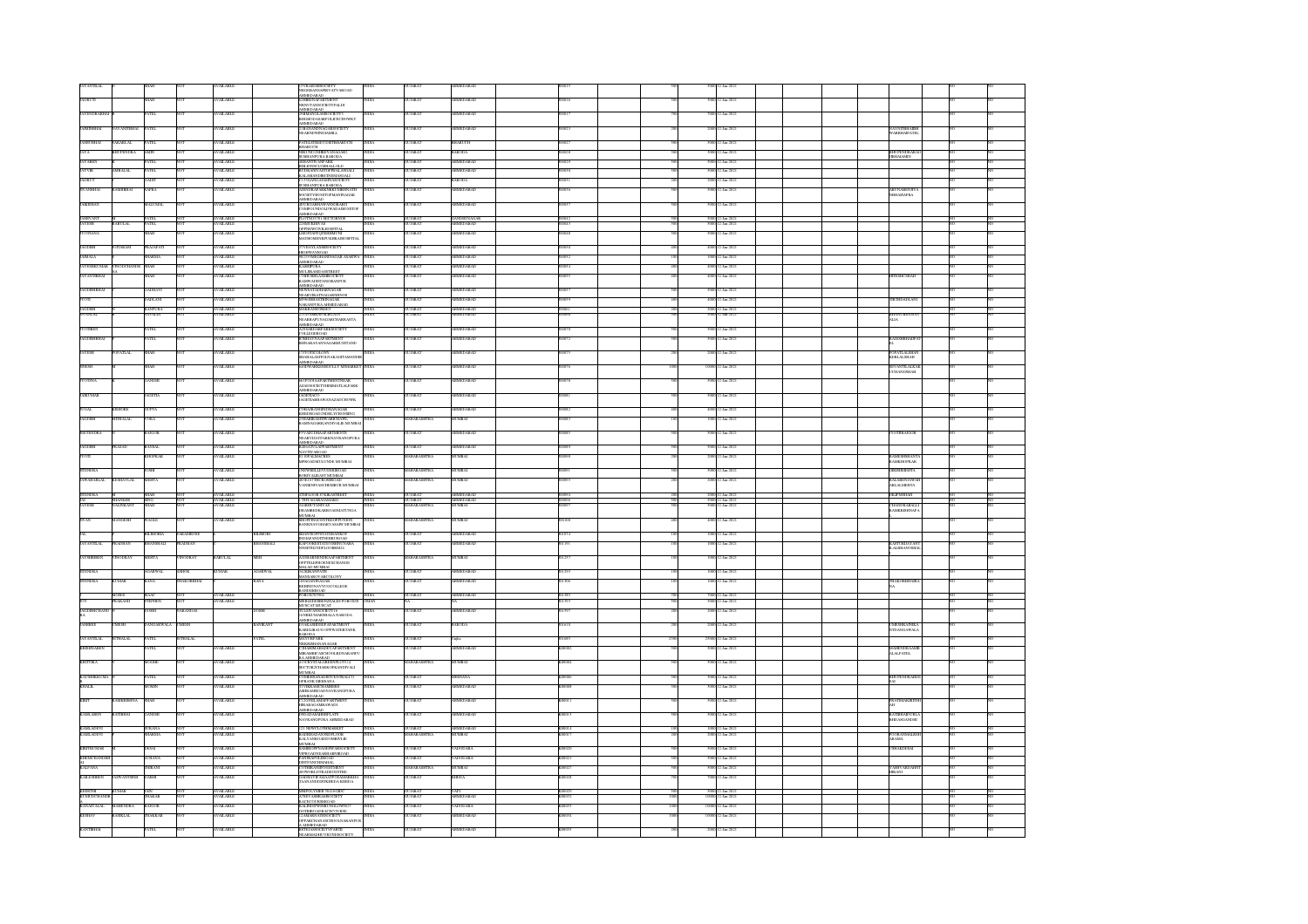|                           |                         |                         |                | LABL                   |                 | <b>SVRAJESHSOCIETY</b><br>ISVRAJESHSOCIETY<br>NRGEBANSAPIRVATVAROAD                                                      |              |                        |                                  |                       |                    |                                       |  |                                   |  |
|---------------------------|-------------------------|-------------------------|----------------|------------------------|-----------------|--------------------------------------------------------------------------------------------------------------------------|--------------|------------------------|----------------------------------|-----------------------|--------------------|---------------------------------------|--|-----------------------------------|--|
|                           |                         |                         |                |                        |                 | NRGEBANSSM<br>AEHBEDARIARTMENT<br>SCHIRENAPARTMENT<br>NRNGEABAD<br>HMEDABAD<br>TOBMANGLAMSOCIETY3                        |              |                        |                                  |                       |                    |                                       |  |                                   |  |
|                           |                         |                         |                | AILABLE                |                 |                                                                                                                          |              |                        |                                  |                       |                    |                                       |  |                                   |  |
|                           |                         |                         |                |                        |                 |                                                                                                                          |              |                        |                                  |                       |                    |                                       |  |                                   |  |
|                           |                         |                         |                |                        |                 | 29BMANGLAMSOCIETY.><br>BHGHODASARPOLICECHOWKY                                                                            |              |                        |                                  |                       |                    |                                       |  |                                   |  |
| <b>AMINBHAI</b>           | <b>ANITBHAI</b>         | ATEL.                   |                | VAILABLE               |                 | <b>HMEDABAD</b><br>HBANANDNAGARSOCIETY<br><b>EARNEWINDIAMILL</b>                                                         |              | <b>JARA</b>            | HMEDABAD                         |                       |                    | 2000 12-Jan-202                       |  | <b>AVNITBHAIISE</b><br>ARBHAIPATE |  |
| $\frac{1}{2}$             | <b>ARTAI</b>            |                         |                | All ARLE               |                 | <b>TELETRICIT INCTRILARI</b>                                                                                             |              | 1.01                   | <b>ABIN'S</b>                    |                       |                    | $\sim$                                |  |                                   |  |
| <b>IAVA</b>               | <b>IUPENDRA</b>         |                         |                | <b>VAILABLE</b>        |                 | BHARUCH<br>NIKUNI22SHREYANAGAR2                                                                                          | .<br>VDI A   | <b>TARAT</b>           | <b>ARODA</b>                     |                       |                    | 3000 12-Jan-202                       |  | <b>BHI PENDRAR</b>                |  |
| <b>AYABEN</b>             |                         |                         |                | ALABLE                 |                 | <b>SUBHANPURA BARODA</b><br>4SHANTIVANPARK                                                                               |              | JARAT                  | <b>HMEDARAD</b>                  |                       |                    | 5000 12-Jan-202                       |  |                                   |  |
|                           |                         | ŒL                      |                |                        |                 | BHLIONSCLUBHALLOLD<br>RUDRANIVASTOPIWALASGALI                                                                            | NDIA         |                        |                                  |                       |                    |                                       |  |                                   |  |
| AYVIR                     | MBALAL                  | ATEL.                   |                | <b>ALABLE</b>          |                 |                                                                                                                          | NDIA         | Jarat                  | MEDABAD                          |                       | 5000 13            | $3\text{-}$ lan $-2021$               |  |                                   |  |
| <b>VGRUT</b>              |                         |                         |                | <b>MLABLE</b>          |                 | <u>IALAMANDIRCINEMASGALI</u><br>"133GANGAJAMNASOCIETY                                                                    |              | .<br>ARAI              | RODA                             |                       |                    | J <sub>202</sub>                      |  |                                   |  |
| VANBHA                    |                         | <b>JPRA</b>             |                | <b>ALABLE</b>          |                 | SOCIETYBUSSTOPMANINAGAR                                                                                                  |              | <b>JARAT</b>           | EDABAL                           |                       |                    |                                       |  | BHAISAPRA                         |  |
| <b>AKSHAN</b>             |                         | .<br>Alumal             |                | VAILABLE               |                 | <b>MMEDABAD</b><br>IDURGABHAWANSORABJI                                                                                   |              | <b>JARA</b>            | <b>IMEDABAD</b>                  |                       |                    | S000 12-Jan-202                       |  |                                   |  |
|                           |                         |                         |                |                        |                 | COMPOUNDOLDWADAJBUSSTOR                                                                                                  |              |                        |                                  |                       |                    |                                       |  |                                   |  |
| JASHVANT<br>JAYESH        |                         |                         |                | AVAILABLE<br>AVAILABLE |                 | <b>MHMEDABAD<br/>M.OTNO3781 SECTORNOS</b><br>228MUKHIVAS                                                                 |              |                        | NDHI NAGAR<br>MEDABAD            |                       |                    |                                       |  |                                   |  |
|                           | <b>ABULAL</b>           |                         |                |                        |                 |                                                                                                                          |              | <b>JARA</b>            |                                  |                       | 5000 12<br>5000 12 | -Jan-2021<br>-Jan-2021                |  |                                   |  |
|                           |                         |                         |                | 1.011                  |                 | ARMONIANA<br>LMOSTAFFQTRHHMUNI<br>MATHOMENRPUKHRAJHOSPITAL                                                               |              |                        |                                  |                       |                    |                                       |  |                                   |  |
| <b>JAGDISH</b>            | <b>JOITARAM</b>         | RAJAPATI                |                | ALABLE                 |                 | <b>7VIJAYLAXMISOCIETY</b>                                                                                                | <b>STOLA</b> | JARAT                  | HMEDABAD                         |                       |                    | 4000 12-Jan-202                       |  |                                   |  |
| <b>JAMALA</b>             |                         |                         |                | ALABLE                 |                 | IIGHWAYROAD<br>82335MEGHANINAGAR ASARWA                                                                                  |              |                        |                                  |                       |                    |                                       |  |                                   |  |
|                           |                         | <b>IARMA</b>            |                |                        |                 | AHMEDABAD                                                                                                                | <b>INDIA</b> | IJARAT                 | IMEDABAD                         |                       |                    | 1000 12-Jan-2021                      |  |                                   |  |
| <b>AYESHKUM</b>           | <b>SODCHANE</b>         | łАН                     |                | <b>AILABLE</b>         |                 | KASHIPURA<br>MULJIRAMDASSTREET<br>17SHUBHLAXMISOCIET                                                                     |              | <b>JARAT</b>           | MEDABAD                          |                       |                    | 4000 12-Jan-2021                      |  |                                   |  |
| <b>AYANTIBE</b>           |                         |                         |                | <b>AILABLE</b>         |                 | AMWADISTANDISANPUR                                                                                                       |              | <b>JARAT</b>           | MEDABAD                          |                       | 2000               | $3m-202$                              |  |                                   |  |
| AGDISHBHAI                |                         | <b>IDHAVI</b>           |                | VAILABLE               |                 | <b>VHMEDABAD</b><br>VEWSATADHARNAGAR                                                                                     |              | <b>JARA</b>            | MEDABAD                          |                       |                    | 5000 12-Jan-202                       |  |                                   |  |
| <b>vott</b>               |                         | <b>ADLANI</b>           |                | <b>VAILABLE</b>        |                 | NEARVIRATNAGARNHNOS<br>M5968SHASTRINAGAR                                                                                 |              | <b>JARA</b>            | <b>HMEDABAD</b>                  |                       |                    | 4000 12-Jan-2021                      |  | <b>THDADL</b>                     |  |
|                           |                         |                         |                |                        |                 |                                                                                                                          |              | <b>JARA</b>            | MEDARAD                          |                       |                    |                                       |  |                                   |  |
| <b>JAGDISH</b><br>JIVANLA |                         | NPURA<br>VALLA          |                | VAILABLE<br>VAILABLE   |                 | MOSSSHASIRIKAGAR<br>MARANPURA AHMEDABAD<br>MARRANISTREET<br>21145AMRAPALIPLATS<br>NEARBAPUNAGARCHARRASTA<br>NEARCHARA    |              |                        |                                  |                       |                    |                                       |  | $\overline{1}$                    |  |
|                           |                         |                         |                |                        |                 |                                                                                                                          |              |                        |                                  |                       |                    |                                       |  | LIA.                              |  |
| VOTIBEN                   |                         | <b>ATEL</b>             |                | <b>ALABLE</b>          |                 | HMEDABAD<br>***SARDARPARKSOCIETY                                                                                         | <b>STYLE</b> | <b>TARAT</b>           | MEDARAD                          |                       | $5000$ 13          | 2-Jan-202                             |  |                                   |  |
| AGDISHBHA                 |                         | ŒL                      |                | All ABLE               |                 | COLLEGEROAD<br>R7BHAVNAAPARTMENT<br>R/BHAVNAAPARIMENT<br>BHNARAYANNAGARBUSSTAND                                          |              | .<br>Jarat             | <b>HMEDABAD</b>                  |                       | 5000               | $3m-202$                              |  | <b>NESHBHAL</b>                   |  |
|                           |                         |                         |                | <b>MLABLE</b>          |                 |                                                                                                                          |              | ARA                    |                                  |                       |                    |                                       |  |                                   |  |
|                           |                         |                         |                |                        |                 | TIYOTICOLONY<br>SHAHALAMTOLNAKAGITAMANDIR<br>                                                                            |              |                        |                                  |                       |                    |                                       |  | JPATLALSHAH<br>ERLALSHAH          |  |
| INESH                     |                         | <b>HAF</b>              |                | VAILABLE               |                 | AHMEDABAD<br>640DWARKESHGULLY MIMARKET                                                                                   |              | JARAT                  | <b>IMEDARAD</b>                  |                       | 10000              | $\frac{1}{2}$ and $\frac{2}{2}$       |  | EVANTILALKA<br>ICHANDSHAH         |  |
|                           |                         |                         |                |                        |                 |                                                                                                                          |              |                        |                                  |                       |                    |                                       |  |                                   |  |
| <b>TISNA</b>              |                         | <b>NDH</b>              |                | <b>ALABLE</b>          |                 | 661POOJAAPARTMENTNEAR<br>AZADSOCIETYHIMMATLALPARK                                                                        |              | JARAT                  | MEDABAD                          |                       |                    |                                       |  |                                   |  |
| <b>ARTMAR</b>             |                         | cema                    |                | All ARLE               |                 | <b>VHMEDABAD</b><br>WGETIACO                                                                                             |              | 149.47                 | MEDARAD                          |                       |                    |                                       |  |                                   |  |
|                           |                         |                         |                |                        |                 | <b>JAGETIABHAWANAZADCHOWK</b>                                                                                            |              |                        |                                  |                       |                    |                                       |  |                                   |  |
| UGAL.                     | SHORE                   | <b>GUPTA</b>            |                | <b>ALABLE</b>          |                 |                                                                                                                          |              | JARAT                  | HMEDABAD                         |                       | 40001              | $-$ Jan-202                           |  |                                   |  |
| <b>GDISH</b>              | HALAL.                  | <b>BRA</b>              |                | <b>ALABLE</b>          |                 | COBAIR ANGINDHANAGAR<br>KHEDROAD?NDRLYCROSSING<br>23HARIRAMTIWARICHAWL<br>RAMNAGARKANDIVALIE MUMBAI                      |              | <b>HARASHTR</b>        | <b>IMBAI</b>                     |                       | 1000               | J <sub>202</sub>                      |  |                                   |  |
|                           |                         |                         |                |                        |                 |                                                                                                                          |              |                        |                                  |                       |                    |                                       |  |                                   |  |
| <b>ETENDRA</b>            |                         | <b>JOOR</b>             |                | <b>ALABLE</b>          |                 | <b>3VASUDHAAPARTMENTS</b><br>NEARVIJAYPARKNAVRANGPURA                                                                    |              | <b>JARA</b>            | MEDABAD                          |                       |                    |                                       |  | TURAIGO                           |  |
| <b>AGDISH</b>             | <b>PRASAD</b>           | ANSAL                   |                | VAILABLE               |                 | HMEDABAD<br>1406ATULAPPARTMENT                                                                                           |              | <b>JARA</b>            | HMEDABAD                         |                       |                    | 5000 12-Jan-202                       |  |                                   |  |
|                           |                         |                         |                | <b>MLABLI</b>          |                 |                                                                                                                          |              |                        |                                  |                       |                    |                                       |  |                                   |  |
|                           |                         |                         |                |                        |                 | NAVITY AROAD<br>E110PALMACRES<br>MPROADMULUNDE MUMBAI                                                                    |              |                        |                                  |                       |                    |                                       |  | MKHOPKAR                          |  |
| <b>ITENDRA</b>            |                         |                         |                | ALABLE                 |                 | NEWBELLEVUEMGROAD                                                                                                        |              | HARASHTR               | <b>JUMBAI</b>                    |                       | 50001              | $\frac{1}{2}$ and $\frac{1}{2}$ (1)   |  | <b>RISHMEHT</b>                   |  |
| <b>AWAHARLAL</b>          | SHAVLAL                 |                         |                | ALABLE                 |                 | HARMALIEAST MUMBAL<br>403E167THCROSSROAD<br>VANIKNIVASCHEMBUR MUMBAL                                                     |              | <b>AHARASHTR</b>       | <b>UMBAI</b>                     |                       | 2000               | J <sub>202</sub>                      |  |                                   |  |
|                           |                         | <b>EHTA</b>             |                |                        |                 |                                                                                                                          |              |                        |                                  |                       |                    |                                       |  |                                   |  |
|                           |                         |                         |                |                        |                 |                                                                                                                          |              |                        |                                  |                       |                    |                                       |  | ALABENJAWA<br>RLALMEHTA           |  |
| ENDRA                     |                         |                         |                | <b>AVAILABLE</b>       |                 | THFLOOR 87KIKASTREET                                                                                                     |              |                        |                                  |                       | 2000 1             |                                       |  | <b>ILIPMSHAI</b>                  |  |
| <b>VESH</b>               | HANKER<br><b>UJNKAN</b> | IЛН                     |                | AVAILABLE<br>AVAILABLE |                 | I THYAGARAJAMARG<br>144BHUTANIVAS                                                                                        |              | JARAT<br>VHARASHTR     | HMEDABAD<br>{UMBA}               |                       |                    | 5000 12-Jan-2021<br>5000 12-Jan-2021  |  | <b>IANDRABALL</b>                 |  |
|                           |                         |                         |                |                        |                 | <b>DRAMBEDKARROADMATUNGA</b>                                                                                             |              |                        |                                  |                       |                    |                                       |  | <b>AMKRISHNAP</b>                 |  |
| ΆN                        | NGESH                   | AGLE                    |                | <b>ALABLE</b>          |                 |                                                                                                                          |              | <b><i>HARASHTR</i></b> | MBAI                             |                       |                    | J <sub>202</sub>                      |  |                                   |  |
|                           |                         |                         |                |                        |                 | MUMBAI<br>SHOPPINGCENTREOPPUNION<br>BANKNAVGHARVASAIW MUMBA                                                              |              |                        |                                  |                       |                    |                                       |  |                                   |  |
|                           |                         | <b>SILIMORIA</b>        | RAMROSE        |                        | <b>SILIMORI</b> | HANTIOPPSTATEBANKOF                                                                                                      |              | <b>JARA</b>            | <b>IMEDARAD</b>                  |                       | 1000               | -Jan-202                              |  |                                   |  |
| <b>JAYANTILAL</b>         | PRADHAM                 | <b>LANSHAL</b>          | <b>RADHAN</b>  |                        | <b>IANSHAL</b>  | INDIAPANDITNEHRUROAD<br>KAPOORESTATEVISHNUNAHA<br><b><i>INSETH2NDFLOORRM24</i></b>                                       | <b>SDL</b>   | .<br>Jarat             | <b>IMEDABAD</b>                  |                       |                    | 1000 12-Jan-202                       |  | <b>ASTURBAYAN</b><br>ALBHANOSH    |  |
| <b>AVSHRIR</b>            |                         |                         | <b>NODRA</b>   |                        |                 |                                                                                                                          |              |                        | <b>IMRAI</b>                     |                       | 1000               | Jan-202                               |  |                                   |  |
|                           |                         |                         |                |                        |                 |                                                                                                                          |              |                        |                                  |                       |                    |                                       |  |                                   |  |
| <b>ITENDRA</b>            |                         | <b>GARWAL</b>           | HOK            |                        | <b>JARWA</b>    | AI DHARNENDRAAPARTMENT<br>OPPTELEPHOENEXCHANGE<br>MALAD MUMBAI<br>342KIRANPATH                                           |              | <b>JARA</b>            | <b>IMEDARAI</b>                  |                       | $\overline{1000}$  | Im(202)                               |  |                                   |  |
| TENDRA                    | MAI                     | ιNΑ.                    | <b>AKORBHA</b> |                        |                 |                                                                                                                          |              | <b>JARA</b>            | MEDABAI                          |                       |                    | $3m-202$                              |  | <b>HAKORBHA</b>                   |  |
|                           |                         |                         |                | LABLE                  |                 | MANSAROVARCOLONY<br>MANSAROVARCOLONY<br>ISJAGANINAGAR<br>BEHINDNAVYUGCOLLEGE<br>RANDERROA                                |              |                        | MEDABAI                          |                       |                    |                                       |  |                                   |  |
|                           | RAKASH                  | EPHEN                   |                | <b>AILABLE</b>         |                 |                                                                                                                          |              |                        |                                  |                       | 5000               | $Jan-202$                             |  |                                   |  |
|                           |                         |                         |                |                        |                 | POBOX/102904<br>MERLEDESBENZSALES POBOXS<br>MUSCAT MUSCAT<br>TULSIVANSOCIETY16                                           |              |                        |                                  |                       |                    |                                       |  |                                   |  |
|                           |                         |                         |                |                        |                 | 6NRKUMARSHALA NARODA                                                                                                     |              |                        |                                  |                       |                    |                                       |  |                                   |  |
| <b>ASHREE</b>             | VEG                     |                         |                |                        |                 | NKNOLL<br>HMEDABAD<br>GAKASHDEEPAPARTMENT<br>KARELIBAUG OPPWATERTANK                                                     |              | <b>IARA</b>            | <b>ARODA</b>                     |                       | 2000               |                                       |  | MESHRAJNIKA<br>TDANGAWALA         |  |
| <b>AYANTILAL</b>          |                         |                         | HALA           |                        |                 |                                                                                                                          |              |                        |                                  |                       |                    |                                       |  |                                   |  |
| <b>KRISHNARES</b>         |                         | $\overline{\text{ref}}$ |                | 'All ARI F             |                 |                                                                                                                          |              | <b>TARAT</b>           | <b>EDARAD</b>                    |                       |                    | $\frac{1}{2}$                         |  | <b>SHENDRAAM</b>                  |  |
|                           |                         |                         |                |                        |                 | BARODA<br>MAYURPARK<br>NRKRISHANANAGAR<br>C2HARIMAHADEVAPARTMENT                                                         |              |                        |                                  |                       |                    |                                       |  | <b>MALPATEL</b>                   |  |
| KRITTIKA                  |                         | OGHE                    |                | <b>AILABLE</b>         |                 |                                                                                                                          |              | <b>AHARASHTRA</b>      | <b>JUMBAI</b>                    |                       |                    | J <sub>202</sub>                      |  |                                   |  |
|                           |                         |                         |                |                        |                 | CHARMARY AND EVALUATION<br>MRAMBICASCHOOL RDNARANPU<br>RA AHMEDABAD<br>413CRYSTALGREENPLOT114<br>SECTOR2CHARKOFKANDIVALI |              |                        |                                  |                       |                    |                                       |  |                                   |  |
| <b>AUSHK</b>              |                         |                         |                | <b>MLABLE</b>          |                 | <b>JUMBAI</b><br>"OMEHSANADISTCENTRALCO                                                                                  |              |                        |                                  |                       |                    |                                       |  |                                   |  |
| K<br>KHALIL               |                         | <b>COMP</b>             |                | VAILABLE               |                 | <b>PRANK MEHSANA</b><br>TVIKRAMCHAMBERS<br><b>SHRAMROADNAVRANGPURA</b>                                                   |              | JARAT                  | <b>IMEDARAD</b>                  |                       | 3000               | -Jan-202                              |  |                                   |  |
| KIRIT                     | <b>MKRISHNA</b>         | IАН                     |                | VAILABLE               |                 |                                                                                                                          |              | <b>JARA</b>            | <b>IMEDABAD</b>                  |                       | 5000               | $3m-202$                              |  | PRATIMAKIRI                       |  |
|                           |                         |                         |                |                        |                 | ASTRASHOADINA VEANGT<br>CI 203NILAMAPPARTMENT<br>HIRABAGAMBAWADI                                                         |              |                        |                                  |                       |                    |                                       |  |                                   |  |
| CAMLABE                   |                         | .<br>TV                 |                | All ABLE               |                 |                                                                                                                          |              | IAR.                   | MEDARAI                          |                       |                    |                                       |  |                                   |  |
|                           |                         |                         |                |                        |                 | AHMEDABAD<br>D9DADASAHEBFLATS<br>NAVRANGPURA AHMEDABAD                                                                   |              |                        |                                  |                       |                    |                                       |  | :ATIBHAIDUR<br>(HDASGANDH         |  |
| KAMLADEVI<br>KAMLADEVI    |                         | SURANA<br>SHARMA        |                | AVAILABLE<br>AVAILABLE |                 | 21 NEWCLOTHMARKET<br>LADRISADAN3RDELOOR                                                                                  |              | iularat<br>Iaharashtr  | <b>AHMEDABAD</b><br><b>IMRAI</b> | $\frac{30014}{20014}$ |                    | 1000 12-Jan-202<br>2000 12-Jan-202    |  | <b>OOR ANMAL</b>                  |  |
|                           |                         |                         |                |                        |                 | KALYANROADDOMBIVLIE                                                                                                      |              |                        |                                  |                       |                    |                                       |  | RAMA                              |  |
| CIRITKUMAR                |                         | <b>XESAI</b>            |                | <b>AILABLE</b>         |                 | <b>ALMBAI<br/>KAMIROPPNAGESWARSOCIETY</b>                                                                                | INDIA        | JARAT                  | <b>ADODARA</b>                   |                       |                    | 5000 12-Jan-202                       |  | SHAKDESAI                         |  |
| KHEMCHANI                 |                         | <b>HANA</b>             |                | <b>AILABLE</b>         |                 |                                                                                                                          | DИ           | JARAT                  | <b>ADODARA</b>                   |                       | 5000               | $3\text{-}$ lan $-2021$               |  |                                   |  |
| <br>KALPANA               |                         | <b>DAN</b>              |                | ALABLE                 |                 | VIPROADNEARHARNIROAD<br>PANIRAPOLEROAD<br>DISTPANCHMAHAL<br>COTHIRANINAERTAENT                                           |              |                        | <b>IMBAI</b>                     |                       |                    | Im 202                                |  |                                   |  |
| <b>KAILESHBEN</b>         |                         | .<br>BHI                |                | ALABLE                 |                 | <b>OSWORLDTRADECENTRE</b><br>IADHAVIFALIAATPOSAMARKH                                                                     |              | <b>JARA</b>            | <b>HEDA</b>                      |                       | .<br>ave           | $3m-202$                              |  | <b>IRANI</b>                      |  |
|                           |                         |                         |                |                        |                 | <b>FAANANDDISTKHEDA KHEDA</b>                                                                                            |              |                        |                                  |                       |                    |                                       |  |                                   |  |
| KEERTHI<br>KUMUDCHANE     |                         | un<br>HAKAR             |                | VAILABLE<br>VAILABLE   |                 | <b>MMPOLYMER 50410GIDC</b><br>A7SEVASHRAMSOCIETY                                                                         | <b>SDIA</b>  | JARAT<br>JARAT         | HMEDABAD                         |                       |                    | 5000 12-Jan-2021<br>10000 12-Jan-2021 |  |                                   |  |
| a<br>Kanaiyalal           |                         | <b>Kink</b>             |                | <b>ALABLE</b>          |                 | <b>ACECOURSEROAD</b><br>ALINDITWINBUNGLOWN                                                                               |              | <b>JARA</b>            | <b>DODARA</b>                    |                       | toon <sup>1</sup>  | $-3m - 202$                           |  |                                   |  |
|                           |                         | <b>AKKA</b>             |                | ALABLE                 |                 | <b>JOTRIROADRACECOURSE</b>                                                                                               |              | TAD A'                 |                                  |                       |                    |                                       |  |                                   |  |
|                           |                         |                         |                |                        |                 |                                                                                                                          |              |                        |                                  |                       |                    |                                       |  |                                   |  |
| <b>KANTIBHAI</b>          |                         | <b>PATEL</b>            |                | <b>AVAILABLE</b>       |                 | 12 AMARNATHSOCIETY<br>OPPARCHANASCHOOLNARANPUR<br>A AHMEDABAD<br>BSTEJASSOCIETYPARTII<br>NEARMADHUVRUNDSOCIETY           | <b>INDIA</b> | <b>GUJARAT</b>         | AHMEDABAD                        |                       |                    | 2000 12-Jan-202                       |  |                                   |  |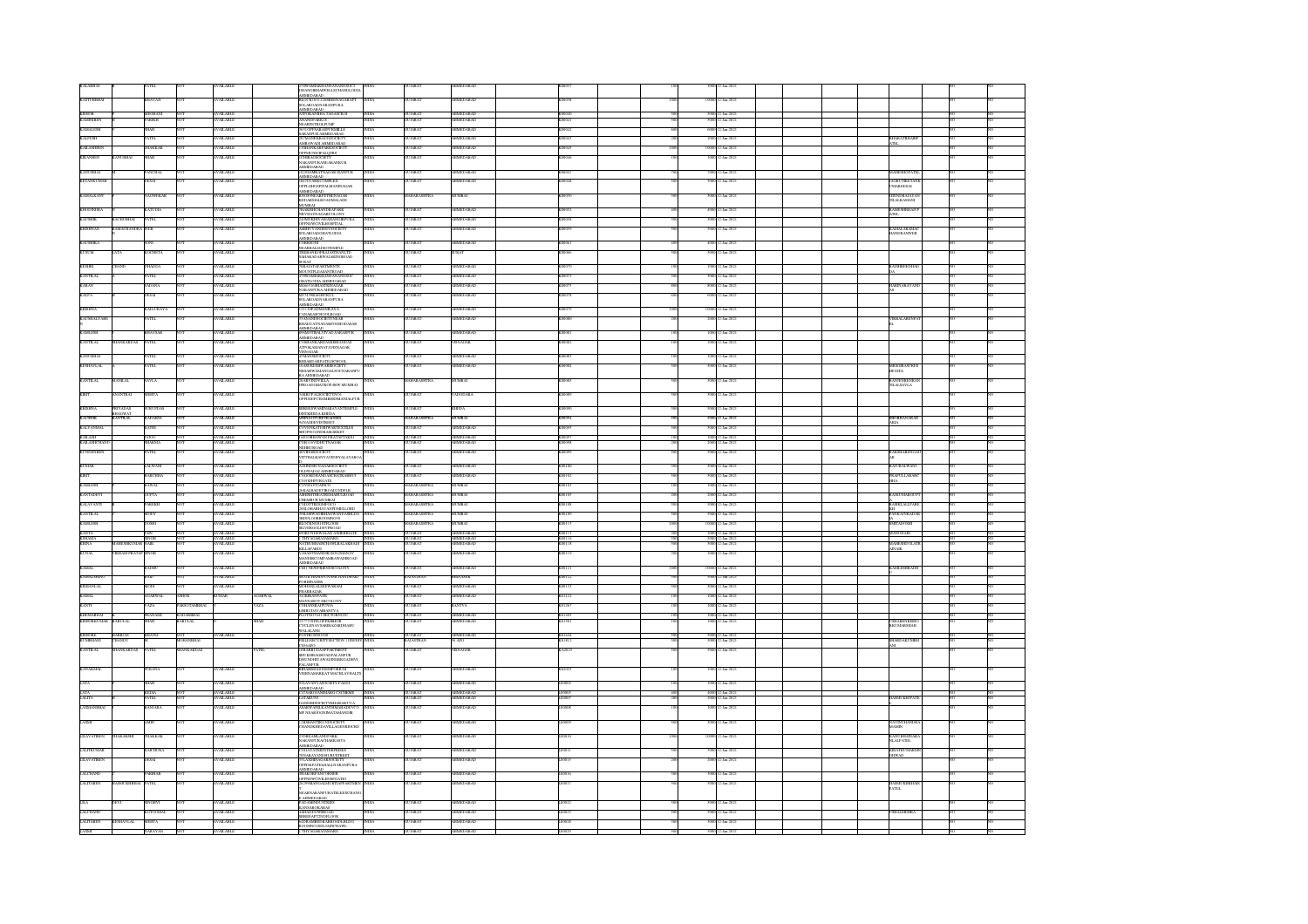|                        |                                |                         |                  | LABL                         | 7SWAMIAKHANDANANDSOC2                                                                 |                |                           |                            |                |  |       |                                      |  |                                        |  |
|------------------------|--------------------------------|-------------------------|------------------|------------------------------|---------------------------------------------------------------------------------------|----------------|---------------------------|----------------------------|----------------|--|-------|--------------------------------------|--|----------------------------------------|--|
|                        |                                |                         |                  |                              | DHANGIBHAIWELLSCHANDLODIA<br>HMEDABAD<br>ILOCK1031228SREENAGARAPT                     |                |                           |                            |                |  |       |                                      |  |                                        |  |
|                        |                                |                         |                  | All ABLE                     | SOLAROADNARANPURA                                                                     |                |                           |                            |                |  |       |                                      |  |                                        |  |
|                        |                                |                         |                  |                              | <b>HMEDABAD</b>                                                                       |                |                           |                            |                |  |       |                                      |  |                                        |  |
|                        |                                | RIKH                    |                  | AILABLE<br>AILABLE           | POKANBHA I.<br>ANDPARK IS<br>EARPETROLPUMP                                            |                | JAKAI<br>JARAT            |                            |                |  |       | Jan-2021<br>Jan-2021                 |  |                                        |  |
| <b>MALES</b>           |                                |                         |                  | LABLE                        |                                                                                       |                |                           |                            |                |  |       |                                      |  |                                        |  |
| KALPESH                |                                | <b>ATEL</b>             |                  | <b>VAILABLE</b>              | 651OPPSARASPURAHILLARAD<br>ARASPUR AHMEDABAD<br><sup>07</sup> MANEKBAUGSOCIET         | <b>SDIA</b>    | JARAT                     | <b>IMEDABAD</b>            |                |  |       | 2-Jan-2021                           |  | ARATBHAI                               |  |
| <b>KAILASHBEN</b>      |                                | HAKKAR                  |                  | VAILABLE                     | MBAWADI AHMEDABAD<br>  SSHANKARPARKSOCIETY                                            | NDLA           | <b>JARAT</b>              | HMEDARAD                   |                |  |       | 10000 12-Jan-2021                    |  |                                        |  |
| KIRANBEN               |                                |                         |                  | <b>VAILABLE</b>              | OPPMUNICIPALQTRS<br>ICHIRAGSOCIETY                                                    |                | .<br>Jarat                | HMEDABAD                   |                |  |       | $\frac{1}{2}$                        |  |                                        |  |
|                        |                                |                         |                  |                              | <b>GARANPURANEARANKUR</b>                                                             |                |                           |                            |                |  |       |                                      |  |                                        |  |
| KANUBHAI               |                                | <b>ANCHAL</b>           |                  | <b>AVAILABLE</b>             | HMEDABAD<br>029SAMRATNAGAR ISANPUR                                                    | <b>NDIA</b>    | UJARAT                    | <b>IMEDARAD</b>            |                |  |       | 7000 12-Jan-2021                     |  | <b>MAHESHOPAT</b>                      |  |
| KETANKUMAR             |                                | $\overline{\text{sat}}$ |                  | ALABLE                       | <b>HMEDABAD</b><br>KOTYARKCOMPLEX<br><b>OPPLGHOSPITALMANINAGAR</b>                    |                | JARAT                     | <b>IMEDABAD</b>            |                |  | 9000  | J <sub>202</sub>                     |  | <b>AGRUTIKETAS</b><br><b>UMARDESAL</b> |  |
| <b>KAMALKANT</b>       |                                | <b>AGWEKAR</b>          |                  | VAILABLE                     | AHMEDABAD<br>RNOS9NEARPETHENAGAR<br>KEDARMALROADMALADE                                | <b>DIA</b>     | <b>IAHARASHTRA</b>        | <b>JUMBAI</b>              |                |  |       | 2-Jan-2021                           |  |                                        |  |
|                        |                                |                         |                  |                              |                                                                                       |                |                           |                            |                |  |       |                                      |  | <b>ITTENDRAJAY)</b><br>TILALKAMANI     |  |
| KHODINDR/              |                                | <b>TUDI</b>             |                  | <b>AILABLE</b>               | <b><i>AUMBAI<br/>HARISHCHANDRAPARK</i></b>                                            |                |                           |                            |                |  |       |                                      |  | urcu                                   |  |
| <b>KAUSHIK</b>         | CHUBHAI                        | <b>ATEL</b>             |                  | ALABLE                       | <b>GRVIJAYNAGARCOLONY</b><br>H9MUKHIVASIAHANGIRPURA                                   | .<br>NDI A     | <b>JARAT</b>              | <b>HMEDARAD</b>            |                |  | 9000  | 2-Jan-2021                           |  |                                        |  |
| KRISHNAN               | MACHANE                        |                         |                  | <b>ALABLE</b>                | <b>OPPNEWCIVILHOSPITAL</b><br>A6BHUYANGDEVSOCIETY                                     |                | JARAT                     | HMEDABAD                   |                |  |       | J <sub>202</sub>                     |  |                                        |  |
|                        |                                |                         |                  |                              | SOLAROADGHATLODIA<br>HMEDABAD<br>YIRRAYNI                                             |                |                           |                            |                |  |       |                                      |  | KAMALARAMA<br>HANDRANIYER              |  |
| <b>KAUSHIKA</b>        |                                |                         |                  | <b>AILABLE</b>               |                                                                                       |                |                           | <b>NEDARAT</b>             |                |  |       | 2-Jan-202                            |  |                                        |  |
| <b>KUSUM</b>           | <b>ATA</b>                     | <b>OCHETA</b>           |                  | <b>ALABLE</b>                | <b>GEARBALIADEOTEMPLE</b><br>THEBANKOFRAJASTHANLTD<br><b>SAHARADARWAJARINGROAD</b>    | VINI A         | <b>TARAT</b>              | <b>TRAT</b>                |                |  |       | $\frac{1}{2}$ (m) $\frac{1}{2}$      |  |                                        |  |
| <b>KESHRI</b>          | <b>HANI</b>                    | <b>ACCIABL</b>          |                  | VAILABLE                     | <b>URAT</b><br><b>IORAJATAPARTMENTS</b>                                               | NDIA           | JARAT                     | HMEDABAD                   |                |  |       | 1000 12-Jan-2021                     |  | RAJSHREEDHA                            |  |
|                        |                                |                         |                  |                              |                                                                                       |                |                           | MEDABAL                    |                |  |       |                                      |  |                                        |  |
| KANTILAL               |                                | <b>ATEL</b>             |                  | <b>ALABLE</b><br>ALABLE      | MOUNTPLEASANTROAD<br>47SWAMIAKHANDANAND<br>GHATLODIA AHMEDABAD<br>GHATLODIA AHMEDABAD | NDIA           | Jarat<br>$\overline{181}$ |                            |                |  | 3000  | $2-3an-2021$                         |  |                                        |  |
| .<br>KARAN             |                                |                         |                  |                              | .<br>ARANPURA AHMEDABA<br>437439RAGHUKUL                                              |                |                           |                            |                |  |       |                                      |  |                                        |  |
| <b>KALPA</b>           |                                |                         |                  | VAILABLE                     | SOLAROADNARANPURA                                                                     | vnu            | <b>JARAT</b>              | MEDABAL                    |                |  |       | J <sub>202</sub>                     |  |                                        |  |
| <b>KRISHNA</b>         |                                | <b>KALLURAYA</b>        |                  | <b>VAILABLE</b>              | HMEDABAD<br>21130PADMANILAYA                                                          | <b>SDIA</b>    | UJARAT                    | HMEDABAD                   |                |  |       | 10000 12-Jan-2021                    |  |                                        |  |
| KAUSHALY/              |                                |                         |                  | ALABLE                       | CANARASCHOOLROAD<br>33ANANDSOCIETYNEAR<br>BHADUATNAGARPOGHODASAR                      |                | <b>JARA'</b>              | <b>MEDARA</b>              |                |  |       |                                      |  |                                        |  |
|                        |                                |                         |                  |                              |                                                                                       |                |                           |                            |                |  |       |                                      |  |                                        |  |
| CAMLESH                |                                | <b>GAPVA</b>            |                  | VAILABLE                     | VHMEDABAD<br>198MOTISALVIVAD SARASPUR                                                 |                | 1149.47                   | <b>SEDARAD</b>             |                |  |       | $1 - 202$                            |  |                                        |  |
| KANTILAL.              | <b>KARDAS</b>                  | <b>TEL</b>              |                  | <b>ALABLE</b>                | AHMEDABAD<br>COSHANKARDASKISHANDAS                                                    |                | <b>JARAT</b>              | <b>ISNAGAR</b>             | one            |  | 1000  | J <sub>202</sub>                     |  |                                        |  |
|                        |                                |                         |                  |                              | <b>ITPOKAMANATAVISNAGAR</b>                                                           |                |                           |                            |                |  |       |                                      |  |                                        |  |
|                        |                                |                         |                  | <b>MLABLI</b>                | <b>TENAGAR<br/>ISMANSISOCIETY</b><br>BHSARDARPATEL<br>CHOOL                           |                |                           |                            |                |  |       |                                      |  |                                        |  |
| HAVI-                  |                                |                         |                  | All ARLE                     | <b>ASLIPESHWARK</b><br>NRSARWAMANGALSOCNARANPU                                        |                | 101                       | MEDARA                     |                |  |       |                                      |  | <b><i>IRSORAS</i></b><br>HPATEL        |  |
| KANTILAL.              | NILAL                          | .<br>VLA                |                  | <b>ALABLE</b>                | A AHMEDABAD<br>IARVINDVILLA                                                           |                | <b>HARASHTRA</b>          | <b>JUMBAI</b>              |                |  |       | $tan-202$                            |  |                                        |  |
|                        |                                |                         |                  |                              | PROADGHATKOPARW MUMBAI                                                                |                |                           |                            |                |  |       |                                      |  | RANJENBENK<br>TILALSAVLA               |  |
| $V$ HD $TT$            |                                |                         |                  | ALABLE                       | 34KRUPALSOCIETYNOI<br>OPPDEEPCHAMBERSMANJALPUR                                        |                |                           | <b>IDODAR</b>              |                |  |       |                                      |  |                                        |  |
|                        |                                |                         |                  | LABLE                        | <b>BEESWAMINARAYANTEMPLE</b>                                                          |                |                           |                            |                |  |       |                                      |  |                                        |  |
| <b>KAUSHIK</b>         | BHAGWAT<br>KANTILAL            | <b>KADAKIA</b>          |                  | <b>VAILABLE</b>              | <b>ISTKHEDA KHEDA</b><br>ISINDOTUBETRADERS                                            |                | .<br>AHARASHTRA           | <b>CMBAL</b>               |                |  |       | 5000 12-Jan-2021                     |  | SHOBHANAKA                             |  |
|                        |                                |                         |                  |                              | NNAGDEVISTREET<br>COVENKATESHWARTEXTILES                                              | NDIA           |                           |                            |                |  |       |                                      |  | <b>AKU</b>                             |  |
| <b>CALYANMAI</b>       |                                | ۱THI                    |                  | <b>ALABLE</b>                |                                                                                       | NDIA           | JARAT                     | MEDABAL                    |                |  |       | 5000 12-Jan-2021                     |  |                                        |  |
| KAILASH<br>KAILASHCHAN |                                | SHARMA                  |                  | All ABLE<br><b>AVAILABLE</b> | SHOPNOI INDRAMARKET<br>JAJOOBHAWAN PRATAPTAKEJ<br>COB116VIDHUTNAGAR                   | NDIA           | 1101<br><b>JUJARAT</b>    | <b>ACTURAT</b><br>HMEDABAD | 0098           |  |       | 2000 12-Jan-2021                     |  |                                        |  |
| NDENI                  |                                |                         |                  | <b>MLABLE</b>                | NEHRUROAD<br>40VIHARSOCIETY<br>VITTHALKANYAVIDHYALAYARO                               |                | <b>ARAT</b>               | <b>DARA1</b>               |                |  |       |                                      |  |                                        |  |
|                        |                                |                         |                  |                              |                                                                                       |                |                           |                            |                |  |       |                                      |  |                                        |  |
| <b>KUMAR</b>           |                                | AI WANT                 |                  | <b>ALABLE</b>                | .<br>2SINDHUNAGARSOCIETY                                                              |                | <b>HARAT</b>              | MEDARAD                    |                |  |       | $J_{502}$ 202                        |  | AHIRALWA                               |  |
| KIRIT                  |                                | <b>ARCHHA</b>           |                  | <b>VAILABLE</b>              | OLDWADAI AHMEDABAD<br>COGORDHANDASCHATRABHUJ                                          | NDIA           | <b>JARAT</b>              | HMEDABAD                   |                |  |       | 5000 12-Jan-2021                     |  | <b>PRAFULLABA</b>                      |  |
| CAMLESH                |                                | .<br>WAI                |                  | AILABLE                      | COJODHPURGATE<br>COVIJAYTJAINCO                                                       |                |                           | <b>IMBAL</b>               |                |  |       | J <sub>202</sub>                     |  | <b>HHA</b>                             |  |
| <b>CANTADEVI</b>       |                                | .<br>IPTA               |                  | <b>AILABLE</b>               | 26 KALBADEVIROAD2NDFLR<br>ASHISHTHEATREMAHULROAD                                      |                |                           | <b>MRAT</b>                |                |  |       | J <sub>20</sub> 202                  |  |                                        |  |
| <b>CALAVANTE</b>       |                                | APEKH                   |                  | All ARLE                     | <b>CHEMBUR MUMBAL</b>                                                                 |                | <b>AHARASHTRA</b>         | <b>TMRAL</b>               | n trio         |  |       | 5000 12-Jan-2021                     |  | <b>SIKT ALL PAR</b>                    |  |
| KANTILAL.              |                                | MODY                    |                  | <b>VAILABLE</b>              | <b>1081.OHABHAVANPDMELLORD</b><br>19RAMWADIBHAGWANDASBLDG                             | INDIA          | <b>AHARASHTRA</b>         | <b>MUMBAI</b>              | 30105          |  |       | 5000 12-Jan-2021                     |  | a<br>WKAJNKADA                         |  |
| <b>CAMILESH</b>        |                                | DOSHI                   |                  | <b>VAILABLE</b>              | BEDFLOORROOMNO50<br>BLOCKNOSISTFLOOR                                                  | NDIA           | <b>AHARASHTRA</b>         | <b>JUMBAI</b>              | 30113          |  |       | 10000 12-Jan-2021                    |  | a<br>Mitadoshi                         |  |
|                        |                                |                         |                  | <b>ALABLE</b>                | SILVERGOLDSVPROAD<br>690KUNDEWALAN AJM                                                |                |                           | <b>MEDAR</b>               |                |  |       |                                      |  |                                        |  |
|                        |                                |                         |                  |                              | THYAGARAJAMARO                                                                        |                |                           |                            |                |  | 20001 | J <sub>20</sub>                      |  |                                        |  |
| KSHAMA<br>KRINA        | HESHKUMAR                      | śАК                     |                  | AVAILABLE<br>AVAILABLE       | NATHUBHAISCHAWLBALAKHADI                                                              | INDIA<br>INDIA | GUJARAT<br>GUJARAT        | HMEDABAD<br>HMEDABAD       | 30118          |  |       | 5000 12-Jan-2021<br>5000 12-Jan-2021 |  | <b>MAHESHDOLA'</b><br><b>LAJR</b>      |  |
| NAL                    |                                |                         |                  | <b>MLABLE</b>                | KILLAPARDI<br>VASANTMANDIRI B202MANAV<br>MANDIRCOMPAMBAWADIROAD                       |                | wai                       | EDABA                      |                |  |       | an 20.                               |  |                                        |  |
| KAMAL                  |                                |                         |                  | <b>ALABLE</b>                | <b>VHMEDABAD</b><br>7681 NEWFRIENDSCOLON'                                             |                | $\overline{181}$          | <b>MEDARAI</b>             |                |  |       |                                      |  | MLESHR                                 |  |
| <b>KAMALSHIN</b>       |                                |                         |                  | ALABLE                       | <b>MOTICHANDPUNAMCHANDBAID</b>                                                        |                | <b>JASTHAN</b>            | <b>INASER</b>              | 10122          |  | 5000  | 2-Jan-2021                           |  |                                        |  |
| SHANLAI                |                                |                         |                  | ALABLE                       | .<br>DBHINASER<br>KHANLALSEEWARAM                                                     |                |                           | EDABA                      |                |  |       |                                      |  |                                        |  |
|                        |                                |                         |                  |                              | PHARBAZAR<br>342KIRANPATH                                                             |                |                           |                            |                |  |       |                                      |  |                                        |  |
| KAMAL.                 |                                | .<br>GARWAL             | <b>SHOK</b>      | MAS<br><b>GARWA</b>          |                                                                                       |                | <b>JARAT</b>              | HMEDABAD                   |                |  |       | $2 - \frac{1}{2} - \frac{1}{2}$      |  |                                        |  |
| <b>CANTI</b>           |                                | 17 <sub>A</sub>         |                  | AΖA                          | MANSAROVARCOLONY<br>COHANSRAIPUNIA<br>IMBUDAVAIBANTVA<br>LOTNO7041 SECTORNO           |                | <b>JARAT</b>              | <b>NTVA</b>                |                |  |       | J <sub>20</sub>                      |  |                                        |  |
| KHEMABH                |                                | <b>EANAMI</b>           | DARBHAI          |                              |                                                                                       |                | <b>JARAT</b><br>ARA       | <b>HMEDABAL</b>            |                |  |       |                                      |  |                                        |  |
|                        |                                |                         |                  |                              | 37771STFLOPPKISHOR<br>'YCLENAVSARIBAZARDHABU                                          |                |                           |                            |                |  |       |                                      |  | .<br>SHABENKISH<br>KUMARSHAH           |  |
| KISHORE<br>KUMBHANI    | <b>HARIDAS</b><br><b>LANDI</b> | <b>BHATIA</b>           | o<br>Na ambalat  | VAILABLE                     | WALALANE<br>POSTBOXNO208<br>FIELDSECURITYSECTION I UNFD                               | <b>INDIA</b>   | IUJARAT<br>AJASTHAN       | <b>\HMEDABAD</b><br>16 APO | )1644<br>)1812 |  |       | 5000 12-Jan-2021<br>5000 12-Jan-2021 |  | SHARDAKIN                              |  |
|                        |                                |                         |                  |                              | 056APO<br>0BARBUDAAPPARTMENT                                                          |                |                           |                            |                |  |       |                                      |  |                                        |  |
| KANTILAL               | ANKARDAS                       | <b>ATEL</b>             | <b>JANKARDAS</b> |                              |                                                                                       |                | <b>JARAT</b>              | <b>ISNAGAR</b>             | <b>2023</b>    |  | 5000  | $\frac{1}{2}$                        |  |                                        |  |
|                        |                                |                         |                  |                              | SHUKHBAGROADPALANPUR<br>DHUNDHIYAWADINEBKGADHVI                                       |                |                           |                            |                |  |       |                                      |  |                                        |  |
| <b>ANAKMA</b>          |                                | RANA                    |                  | <b>MLABLE</b>                | PALANPUR<br>BIHARRIGGONEMPORIUM<br>VISHNAMARKAT MACHLAVHALTS                          |                |                           |                            |                |  |       | $an-202$                             |  |                                        |  |
|                        |                                |                         |                  | <b>ALABLE</b>                | <b>SLAVANYASOCIETY PALDI</b>                                                          |                | <b>TARA</b>               | MEDARAE                    |                |  |       | $tan-202$                            |  |                                        |  |
|                        |                                |                         |                  |                              | <b>SLAVANA </b><br>@HMEDABAD<br>~~~ & & QJAN <u>MARG CSCHEME</u>                      |                |                           |                            |                |  |       |                                      |  |                                        |  |
| LATA<br>LALITA         |                                | KEDIA<br>PATEL          |                  | AVAILABLE<br>AVAILABLE       |                                                                                       | INDIA<br>INDIA | GUJARAT<br>GUJARAT        | HMEDABAD<br>HMEDABAD       |                |  |       | 4000 12-Jan-2021<br>2000 12-Jan-2021 |  | HASMUKHJPAT                            |  |
|                        |                                |                         |                  | AILABLE                      | <b>JANESHSOCIETYKHARAKUVA</b><br>NSARWANILKANTHMAHADEVC                               |                |                           |                            |                |  |       |                                      |  |                                        |  |
|                        |                                |                         |                  |                              | MP NEARJOGNIMATAMANDIR                                                                |                |                           |                            |                |  |       |                                      |  |                                        |  |
| <b>LAXMI</b>           |                                |                         |                  | ALABLE                       | 12BSHANTIKUNISOCIETY<br>CHANDKHEDAVILLAGENRIOCRD                                      |                |                           |                            |                |  |       |                                      |  | NAVINCH.<br>MAMIN                      |  |
| <b>LILAVATIBEN</b>     | <b>AKARSH</b>                  | <b>IAKKAR</b>           |                  | <b>ALABLE</b>                | 3DREAMLANDPARK                                                                        |                | <b>JARAT</b>              | MEDABAD                    |                |  |       | m, 202                               |  | CANUBHAIN                              |  |
|                        |                                |                         |                  |                              | <b>NARANPURACHARRASTA</b>                                                             |                |                           |                            |                |  |       |                                      |  | <b>NANUBRAIN</b>                       |  |
| <b>LALITKUMAR</b>      |                                | <b>ACHURA</b>           |                  | All ABLE                     | HMEDABAD<br>OGAYATRIENTERPRISES                                                       |                |                           |                            |                |  |       |                                      |  | KIRATKUMAR                             |  |
| LAVATIBE               |                                |                         |                  | AILABLE                      | FONARAYANDHURUSTREET<br>SLAXMINAGARSOCIETY<br>OPPDKPATELHALINARANPURA                 |                | ARAT                      |                            |                |  |       | $n-202$                              |  | DHWAD                                  |  |
|                        |                                |                         |                  |                              | HMEDABAD<br>HAKORPANCORNER                                                            |                |                           |                            |                |  |       |                                      |  |                                        |  |
| <b>LALCHAND</b>        |                                | ARIHAR                  |                  | VAILABLE                     | <b>OPPNEWCIVILHOSPGATES</b><br>26299MANGALMURTIAPPA                                   |                | JARAT                     | <b>HMEDARAE</b>            |                |  | 3000  | J <sub>202</sub>                     |  |                                        |  |
| <b>NLITABE</b>         |                                |                         |                  | ALABLE                       |                                                                                       |                |                           |                            |                |  |       |                                      |  | PATEL                                  |  |
|                        |                                |                         |                  |                              | <b>EARNARANPURATELEEXCHANG</b>                                                        |                |                           |                            |                |  |       |                                      |  |                                        |  |
|                        |                                |                         |                  | <b>ALABLE</b>                | AHMEDABAD<br>MAAMINDUSTRIES                                                           |                |                           | MEDABAI                    |                |  |       |                                      |  |                                        |  |
|                        |                                | <b>TOOMAL</b>           |                  | ALABLE                       | ANSAROKABAS<br>VHADDOWSROAL                                                           |                | JARAT                     | MEDARAI                    |                |  |       |                                      |  |                                        |  |
| <b>ALITABEN</b>        | <b>KESHAVLAL</b>               | <b>MEHTA</b>            |                  | <b>VAILABLE</b>              | SHREEAPT2NDFLOOR<br>S4DRAMBEDKARROADLBLDG                                             | <b>INDIA</b>   | UJARAT                    | <b>HMEDARAD</b>            |                |  |       | 3000 12-Jan-2021                     |  |                                        |  |
| LAXMI                  |                                | <b>NARAYAN</b>          |                  | <b>AVAILABLE</b>             | ROOMNO28DLJAINCHAWL.<br>1 THYAGARAJAMARG                                              | <b>INDIA</b>   | GUJARAT                   | AHMEDARAD                  |                |  |       | 5000 12-Jan-202                      |  |                                        |  |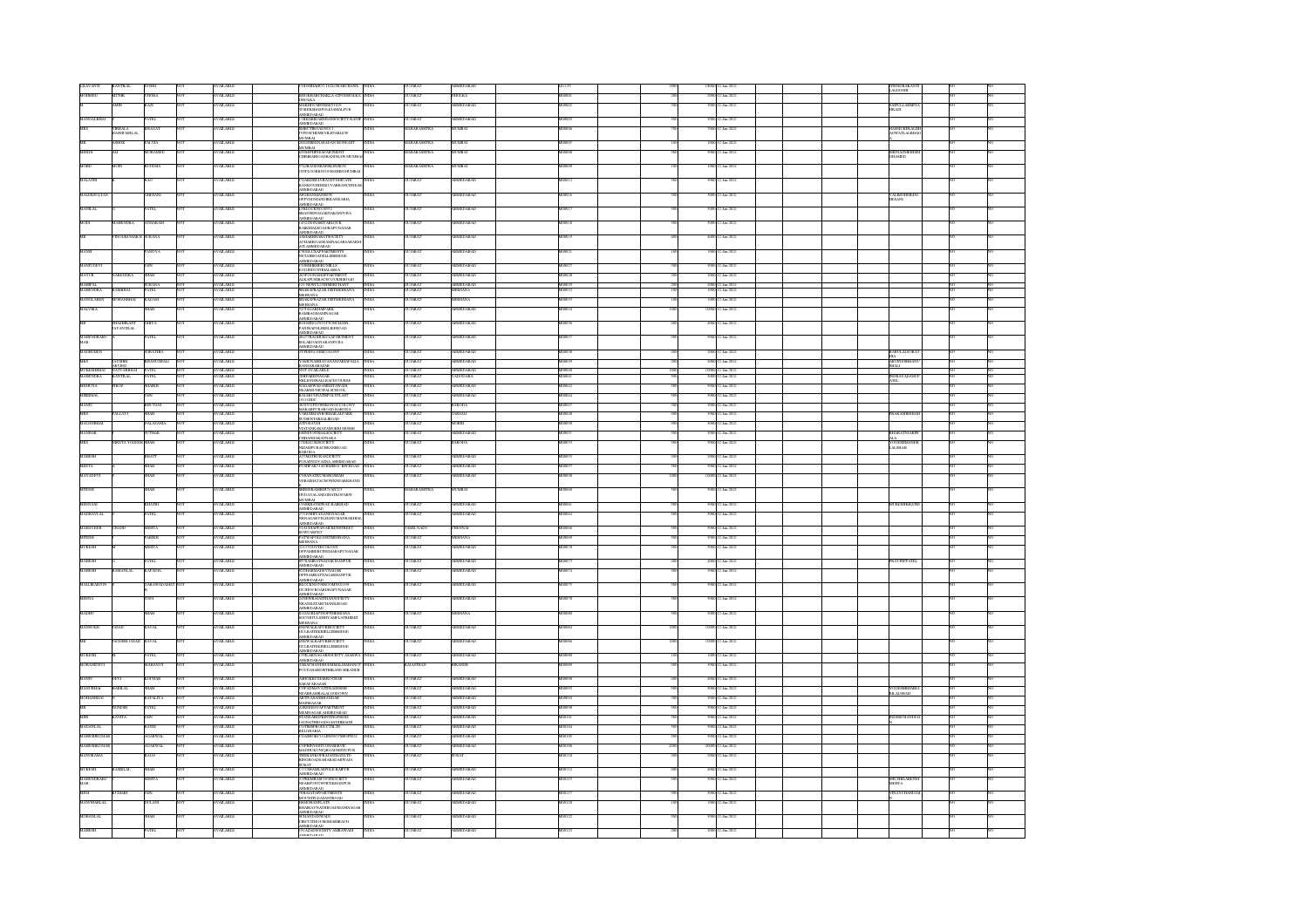|                                                       |                | <b>AILABLE</b>         | <b>LOHARCHAWI</b>                                                                                                    | JARAT             | <b>MEDARA</b>   |             |  |      |                                       |  | <b>ITENDRAKAN</b>          |  |  |
|-------------------------------------------------------|----------------|------------------------|----------------------------------------------------------------------------------------------------------------------|-------------------|-----------------|-------------|--|------|---------------------------------------|--|----------------------------|--|--|
|                                                       |                | VAILABLE               | <b>HOKHARCHAKLA ATPODHOLKA</b>                                                                                       | UJARAT            | HOLKA           |             |  |      |                                       |  | LALDOSHI                   |  |  |
|                                                       |                | VAILABLE               | KHUNA<br>DHOLKA<br>MAKHUNASTREETI019<br>TYKERSHASPOLEJAMALPUR                                                        | UJARAT            | IMEDABAD        |             |  |      | $3m-202$                              |  |                            |  |  |
|                                                       |                |                        |                                                                                                                      |                   |                 |             |  |      |                                       |  | SAIFULLAHMIY<br>HKAZI      |  |  |
| <b>EANGAL RH</b>                                      |                | <b>VAILABLE</b>        | HMEDABAD<br><sup>1 RH</sup> ARIDARSHANSOCIETY RANIF                                                                  | UJARAT            | <b>HMEDARAD</b> |             |  |      |                                       |  |                            |  |  |
| 3.ALA                                                 |                | VAILABLE               | IMEDABAD<br>IRUTIROADNOI I                                                                                           | <b>HARASHTR.</b>  | <b>EUMBAI</b>   |             |  |      |                                       |  | MUKHLAI                    |  |  |
| <b>JASMUKHLAL</b>                                     |                |                        | VPDSCHEMEVILEPARLEW                                                                                                  |                   |                 |             |  |      |                                       |  | <b>GWATLALBHA</b>          |  |  |
| яюк                                                   | ALVIA          | <b>VAILABLE</b>        | UMBAI<br>BEEMEENASADAN SIONEAST                                                                                      | <b>HARASHTRA</b>  | <b>EUMBAI</b>   |             |  |      | 1000 12-Jan-202                       |  |                            |  |  |
| MEHD                                                  | $\frac{1}{2}$  | VAILABLE               | AUMBAI<br>JOSEPHINEAPARTMENT                                                                                         | <b>HARASHTRA</b>  | <b>EUMBAI</b>   |             |  |      | $3m-20$                               |  | SHENAZMEHD<br>OHAMED       |  |  |
|                                                       |                |                        | <b>USEFILMA OS ISLAM</b><br>HIMBAIROADBANDRAW MUMB                                                                   |                   |                 |             |  |      |                                       |  |                            |  |  |
| MOHD                                                  | UDDHA          | VAILABLE               | 7LJRAODSHAFIMANSION<br><b>ISTFLOORRNO10MAHIM MUMBA</b>                                                               | <b>AHARASHTRA</b> | <b>JUMBAI</b>   |             |  |      | $3m-202$                              |  |                            |  |  |
|                                                       |                |                        |                                                                                                                      |                   |                 |             |  |      |                                       |  |                            |  |  |
| <b>MALATHI</b>                                        |                | <b>MLABLE</b>          | <b>:OAKESHAVRAGSYNDICATE</b><br>IANKPATHERKUVABRANCHNEAI<br>IHMEDABAD<br>IFGHANMANSION                               | ARAT              |                 |             |  |      |                                       |  |                            |  |  |
| MALEKSULTAN                                           | HESANI         | <b>ALABLE</b>          |                                                                                                                      | UJARAT            | HMEDABAD        |             |  |      | J <sub>202</sub>                      |  |                            |  |  |
|                                                       |                |                        | <b>OPPVEDMANDIRKANKARIA</b>                                                                                          |                   |                 |             |  |      |                                       |  | VALIMOHMED<br>HESANI       |  |  |
| <b>ANLAL</b>                                          |                | <b>ALABLE</b>          | MINEDARAD<br>LSBLOCKNO18552<br>SHASTRINAGARNARANPURA                                                                 | <b>JARA</b>       |                 |             |  |      |                                       |  |                            |  |  |
|                                                       |                |                        |                                                                                                                      |                   |                 |             |  |      |                                       |  |                            |  |  |
| MODI                                                  |                | VAILABLE               | <b>WIMEDABAD</b><br>WIMEDABAD<br>RAIKHIALROADBAPUNAGAR                                                               | IJARAT            | DARAI           |             |  |      | J <sub>20</sub>                       |  |                            |  |  |
| <b>ODKUMAR E</b>                                      | URANA          | VAILABLE               | GAKHIM KOMBAPUNALIM<br>HIMEDABAD<br>IAMARBHARATSOCIETY<br>ACHARROADRAMNAGARSABARA<br>DIA                             | UJARAT            | HMEDABAD        |             |  |      | J <sub>20</sub> 202                   |  |                            |  |  |
|                                                       |                |                        |                                                                                                                      |                   |                 |             |  |      |                                       |  |                            |  |  |
| MANS                                                  |                | <b>ALABLE</b>          | <b>TI AHMEDABAD<br/>SDELUXAPPARTMENTS<br/>ETAJIROADELLISBRIDGE</b>                                                   | IJARAT            |                 |             |  |      |                                       |  |                            |  |  |
|                                                       |                |                        |                                                                                                                      |                   |                 |             |  |      |                                       |  |                            |  |  |
| <b>MANIEDEVI</b>                                      |                | AT ARI F               | HMEDABAD<br>VISHRIBHERUMILLS                                                                                         | <b>HARAT</b>      | <b>IMEDARAD</b> |             |  |      |                                       |  |                            |  |  |
| <b>MAYUR</b><br>RENDRA                                | <b>SHAH</b>    | <b>VAILABLE</b>        | 02INDUSTRIALAREA<br>3POONAMAPPARTMENT<br><b>SDIA</b>                                                                 | UJARAT            | HMEDABAD        |             |  |      | 2000 12-Jan-202                       |  |                            |  |  |
|                                                       | <b>SURANA</b>  |                        | <b>U.KAPURIRACECOURSEROAD</b>                                                                                        |                   |                 |             |  |      |                                       |  |                            |  |  |
| MAHPAL<br>MAHENDRA<br><b>IBHA</b>                     | ATEL.          | VAILABLE               | SHARAFBAZAR DISTMEHSANA<br><b>NDIA</b>                                                                               | UJARAT            | <b>JEHSANA</b>  |             |  |      | 2000 12-Jan-2021<br>1000 12-Jan-2021  |  |                            |  |  |
|                                                       |                | ALABLE                 | EHSANA<br>LARAFBAZAR DISTMEHSANA                                                                                     | 13837             |                 |             |  |      |                                       |  |                            |  |  |
| MALVIKA                                               |                | VAILABLE               | <b>MEHSANA<br/>7471AGABHAIPARK<br/>RAMBAGMANINAGAR</b>                                                               | UJARAT            | <b>BEDARA</b>   |             |  |      | 10000 12-Jan-202                      |  |                            |  |  |
|                                                       |                |                        |                                                                                                                      |                   |                 |             |  |      |                                       |  |                            |  |  |
| HASHIKANT<br>AYANTILAL                                | <b>IIVA</b>    | VAILABLE               | RAMBAUMENNADAR<br>AHMEDABAD<br>ROOMNO25COTTONCHAWL<br>PANJRAPOLERELIEFROAD<br>DIA                                    | UJARAT            | HMEDABAD        |             |  |      | 4000 12-Jan-2021                      |  |                            |  |  |
|                                                       |                |                        |                                                                                                                      |                   |                 |             |  |      |                                       |  |                            |  |  |
| MAHENDRA<br>MAR                                       |                | <b>ALABLE</b>          | HMEDABAD<br>0477RAGHUKULAPARTMEN<br>0LAROADNARANPURA<br>0LAROADNARANPURA                                             | IJARAT            |                 |             |  |      |                                       |  |                            |  |  |
| <b>MADHLIRES</b>                                      | <b>RATHIA</b>  | AT ARI F               | VHMEDABAD<br>IYPEIIS4 GEBCOLONY                                                                                      | <b>HARAT</b>      | <b>IMEDARAD</b> |             |  |      |                                       |  | ARULAUSOR (                |  |  |
|                                                       |                |                        |                                                                                                                      |                   |                 |             |  |      |                                       |  |                            |  |  |
| <b>VIRS</b><br><b>SHR</b>                             | HANUSHALI      | VAILABLE               | AMUNABHAVANANJARIAFALIA<br>.<br>DIA                                                                                  | UJARAT            | HMEDABAD        |             |  |      | 2000 12-Jan-2021                      |  | 11A<br>VRVINDSBHAN<br>LIAH |  |  |
| ARVIND<br>NATVARBHAI<br><b>MUKESHBHAI</b><br>MAHENDRA |                | AVAILABLE<br>AVAILABLE | <u>WSARABAZAR</u><br>)TAVAILABLE                                                                                     |                   |                 |             |  |      | 10000 12-Jan-2021<br>5000 12-Jan-2021 |  | INDRAVADANCI               |  |  |
| KANTILAL                                              | ATEL.          |                        | <b>BPARISNAGAR</b><br><b>NDIA</b>                                                                                    | UJARAT            | <b>ADODARA</b>  |             |  |      |                                       |  |                            |  |  |
|                                                       |                | ALABLE                 | ISBPARISNALIAE<br>GRLIONSHALLRACECOURSE<br>GAGARWADAMEHTAWADI<br>GEARMUNICIPALSCHOOL<br>GAJARUGNATHPOLYPLAST         | 181               |                 |             |  |      |                                       |  |                            |  |  |
| <b>IRPIMAL</b>                                        |                | VAILAREE               |                                                                                                                      | <b>HARAY</b>      | <b>HMFDARAD</b> |             |  |      | 5000 12-5m200                         |  |                            |  |  |
| MANJU                                                 | <b>HUTANI</b>  | VAILABLE               | APPROVED A SUITE ON THE ABOVE AND A STRONG COLONY                                                                    | UJARAT            | ARODA           |             |  |      | 3000 12-Jan-202                       |  |                            |  |  |
| VIRS<br><b>NLLAVI</b>                                 | нлн            | VAILABLE               | MAKARPURAROAD BARODA.<br>VARDHMANB3BHAILALPARK<br><b>DIA</b>                                                         | UJARAT            | <b>TARSALI</b>  | 0048        |  |      | 3000 12-Jan-2021                      |  | PRAKASHBSH                 |  |  |
|                                                       | <b>LASAN</b>   | <b>ALABLE</b>          | USSENTARSALIROAD                                                                                                     | JARAT             | torbi           |             |  |      | $\frac{1}{2}$ an-2021                 |  |                            |  |  |
|                                                       |                | All ABLE               | IATANKARATAMORBI MORBI                                                                                               | <b>JARAT</b>      | <b>MEDAR</b>    |             |  |      |                                       |  |                            |  |  |
|                                                       |                |                        | SINDUSTRIAL SOCIETY<br>HHANIJAKATNAKA<br>7DELUXESOCIETY                                                              |                   |                 |             |  |      |                                       |  |                            |  |  |
|                                                       | .<br>I AH      | ALABLE                 | NIZAMPURACHHANIROAD                                                                                                  | UJARAT            | ARODA           |             |  |      | J <sub>20</sub>                       |  | -A<br>DGESHMANE<br>ALSHAH  |  |  |
|                                                       |                | ALABLE                 | <b>WODA</b><br>S7MATRUKASOCIETY                                                                                      | ARA1              |                 |             |  |      | J <sub>20</sub>                       |  |                            |  |  |
|                                                       |                |                        |                                                                                                                      |                   |                 |             |  |      |                                       |  |                            |  |  |
|                                                       |                |                        |                                                                                                                      |                   |                 |             |  |      |                                       |  |                            |  |  |
| MEETA                                                 | .<br>Тан       | VAILABLE               | POSAIYEDVASNA AHMEDABAD<br>PUSHPAK75AURMISOC BPCROAD                                                                 | 1139.57           | MEDARAT         |             |  |      | 5000 12-Jan-202                       |  |                            |  |  |
| <b>MAYADEVI</b>                                       | HAH            | <b>VAILABLE</b>        | OSANATKUMARGSHAH                                                                                                     | <b>UARAT</b>      | HMEDABAD        |             |  |      | -Jan-202                              |  |                            |  |  |
|                                                       |                |                        | <b>ERAMATACHOWKNEARKHAND</b>                                                                                         |                   |                 |             |  |      |                                       |  |                            |  |  |
| <b>ATTESH</b>                                         | łАН            | VAILABLE               | HREERAMBHUVAN215<br>VDAYALANEGHATKOPARW                                                                              | <b>AHARASHTRA</b> | UMBAI           |             |  |      | J <sub>202</sub>                      |  |                            |  |  |
|                                                       |                |                        |                                                                                                                      |                   |                 |             |  |      |                                       |  |                            |  |  |
|                                                       |                | <b>ALABLE</b>          | IUMBAI<br>S68KHATRIWAD RAIKHAD                                                                                       |                   |                 |             |  |      | Im202                                 |  |                            |  |  |
| MADHAVLAI                                             | <b>VTEL</b>    | <b>VAILABLE</b>        | 568Khalain<br>HMEDABAD<br>?Sa%HIVANANDNAGAR<br><b>NRNAGARVELHANUMANRAKHIA</b>                                        | <b>JARAT</b>      | <b>IMEDARAD</b> |             |  |      |                                       |  |                            |  |  |
| MAHAVEER                                              | энтл           | <b>ALABLE</b>          | MEDABAD<br>AUDIAPPANAICKENSTREET                                                                                     | MIL NAD           | .<br>NNA        |             |  |      | J <sub>20</sub>                       |  |                            |  |  |
| urreeu                                                | <b>LDIKH</b>   |                        |                                                                                                                      | -<br>13.937       | <b>ISANA</b>    |             |  |      |                                       |  |                            |  |  |
|                                                       |                | VAILABLE               | <b>SOWCARPET</b><br>PATWAPOLE DISTMEHSANA                                                                            |                   |                 |             |  | 5000 |                                       |  |                            |  |  |
| MUKESH                                                | <b>БИТА</b>    | VAILABLE               | IEHSANA<br>2127GOVTECOLONY<br><b>PPAMBERCINEMABAPUNAGAR</b>                                                          | UJARAT            | <b>HMEDARAD</b> |             |  |      | $2000$ 12.1se-202                     |  |                            |  |  |
| MAHESH                                                | ATEL.          | <b>AVAILABLE</b>       | HMEDABAD<br>27SAMRATNAGAR ISANPUR                                                                                    | <b>GUJARAT</b>    | HMEDABAD        |             |  |      | 4000 12-Jan-202                       |  | RAVINPPATEL                |  |  |
|                                                       |                |                        |                                                                                                                      |                   |                 |             |  |      |                                       |  |                            |  |  |
|                                                       | <b>APADIA</b>  | <b>AILABLE</b>         |                                                                                                                      | <b>JARAT</b>      | MEDABAD         |             |  |      | J <sub>202</sub>                      |  |                            |  |  |
| <b>MALLIKARJO</b>                                     | 0.11           | <b>ALABLE</b>          | <b><i>975MBDABAD</i></b><br><b>GEMEDABAD<br/>CEMARAMADEVNAGAR<br/>PFSAMRATNAGARISANPUR<br/>RILOCKNO398ROOMNO2199</b> | JARAT             | <b>IMEDABAD</b> |             |  |      |                                       |  |                            |  |  |
|                                                       |                |                        | <b>JUHOUBOARDBAPUNAGAR</b>                                                                                           |                   |                 |             |  |      |                                       |  |                            |  |  |
| MEENA                                                 |                | VAILABLE               | MEDABAD<br>NEWRAJASTHANSOCIETY                                                                                       | UJARAT            | HMEDABAD        |             |  |      | 5000 12-Jan-2021                      |  |                            |  |  |
|                                                       |                |                        | RANILSTARCHANILROAD                                                                                                  |                   |                 |             |  |      |                                       |  |                            |  |  |
| <b>MADHU</b>                                          |                | <b>ALABLE</b>          | <b>WIMEDABAD</b><br>GIGAURIAPTSOPPMEHSANA<br>GOCNRTULSISHYAMFLATBHIMJI                                               | <b>JARA</b>       | HSANA           |             |  |      |                                       |  |                            |  |  |
| MANSUKH<br>ŝАI                                        | AVAL           | VAILABLE               | <b>DIA</b>                                                                                                           | UJARAT            | HMEDABAD        |             |  |      | 3 <sub>202</sub>                      |  |                            |  |  |
|                                                       |                |                        | SOCNRTULSISH LASIFIZATISH<br>MEHSANA<br>GULBAITEKRIELLISBRIDGE                                                       |                   |                 |             |  |      |                                       |  |                            |  |  |
|                                                       |                | AILABLI                |                                                                                                                      | JARA              |                 |             |  |      |                                       |  |                            |  |  |
|                                                       |                |                        | HMEDABAD<br>NEWALKAPURISOCIETY<br>ULBAITEKRIELLISBRIDGE                                                              |                   |                 |             |  |      |                                       |  |                            |  |  |
| <b>MEKESH</b>                                         |                | All ARI F              | HMEDABAD<br>3TILAKNAGARSOCIETY ASARW                                                                                 | <b>TARAT</b>      | MEDARAT         |             |  |      |                                       |  |                            |  |  |
| MOHANIDEV                                             | AHANC          | <b>VAILABLE</b>        | HMEDABAD<br>ARACHANDBUDHMALMAHANO                                                                                    | <b>NASTHAN</b>    | <b>BIKANER</b>  |             |  |      | $3an - 202$                           |  |                            |  |  |
|                                                       |                |                        | <b>OUDASARDISTBIKANE BIKANER</b>                                                                                     |                   |                 |             |  |      |                                       |  |                            |  |  |
| MANJU                                                 | <b>XHAR</b>    | VAILABLE               | <b>HOKKUMARKOCHAR</b>                                                                                                | <b>JARAT</b>      | <b>MEDARAD</b>  |             |  |      | J <sub>20</sub>                       |  |                            |  |  |
| .<br>MANI IRHAI<br><b>SPILAT</b>                      | .<br>жан       | <b>VAILABLE</b>        | SARAFABAZAR<br>COPADMAVATITRADERSH<br><b>STYLE</b>                                                                   | <b>TARAT</b>      | <b>HMEDARAD</b> |             |  |      | 9000 12-Jan-202                       |  | OCESHRHAT                  |  |  |
| MOHANBHAI                                             | <b>AFALIYA</b> | VAILABLE               | <b>EARRAMBALALGODOWN</b><br><b>NDIA</b>                                                                              | UJARAT            | HMEDABAD        | <b>YOOJ</b> |  |      | 3000 12-Jan-2021                      |  | ILALSHAH                   |  |  |
|                                                       | ATEL.          | <b>ALABLE</b>          | DIA                                                                                                                  | UJARAT            | <b>IMEDABAD</b> |             |  |      | 5000 12-Jan-2021                      |  |                            |  |  |
|                                                       |                | ALABLE                 |                                                                                                                      | <b>UJARAT</b>     | FDARAD          |             |  |      | tan 20                                |  |                            |  |  |
|                                                       |                |                        | MAINBAZAR<br>MAINBAZAR<br>MEMNAGAR AHMEDABAD<br>STANDARDPRINTINGPRESS                                                |                   |                 |             |  |      |                                       |  |                            |  |  |
| <b>MADANLAI</b>                                       |                | <b>AILABLE</b>         | <b>GNATHROADGANDHIBAGH</b><br>DTIMSPRODUCTSLTD                                                                       | UJARAT            | MEDARAD         |             |  |      |                                       |  |                            |  |  |
| MAHESHKUMA                                            | <b>GARWAL</b>  | VAILABLE               | LGHARIA<br>DASHOKCO LINENO7SHOPNO2<br><b>SDIA</b>                                                                    | UJARAT            | HMEDABAD        |             |  |      | $3m-202$                              |  |                            |  |  |
|                                                       | <b>JARWAL</b>  | ALABLE                 | PBINVESTCONSSERVIC                                                                                                   | <b>JARA</b>       |                 |             |  |      | 3m/20                                 |  |                            |  |  |
|                                                       |                |                        | <b>ADHUKUNIQROADBISTUPUR</b><br>HEBANKOFRAJASTHANI TO                                                                |                   |                 |             |  |      |                                       |  |                            |  |  |
|                                                       |                |                        | <b>GROADSAHARADARWAJA</b>                                                                                            |                   |                 |             |  |      |                                       |  |                            |  |  |
| MUKESH<br><b>EASIKLAL</b>                             | <b>SHAH</b>    | VAILABLE               | RAT<br>'I SHAMLASPOLE RAIPUR                                                                                         | UJARAT            | HMEDABAD        | 112         |  |      | 4000 12-Jan-202                       |  |                            |  |  |
|                                                       |                | <b>NLABLE</b>          | MEDABAD<br>PREMRASCOOPSOCIETY                                                                                        | ARA               |                 |             |  |      |                                       |  | IUSHILABE                  |  |  |
| MAHENDRAI<br>MAR                                      |                |                        | <b>EARPOSTOFFICEKHANPUR</b>                                                                                          |                   |                 |             |  |      |                                       |  | <b>JEHTA</b>               |  |  |
| $rac{1}{2}$                                           |                | AILABLE                |                                                                                                                      |                   |                 |             |  |      |                                       |  |                            |  |  |
| MANOHARI.                                             |                | <b>ALABLE</b>          | HMEDABAD<br>ORAJATAPPARTMENTS<br>OUNTPLEASANTROAD                                                                    | JARAT             |                 |             |  |      |                                       |  |                            |  |  |
|                                                       |                |                        | <b>HAIRAVNATHROADMANINAGA</b>                                                                                        |                   |                 |             |  |      |                                       |  |                            |  |  |
| MOHANLAL                                              |                | ALABLE                 | HMEDABAD<br><sup>PHANDANWADE</sup>                                                                                   | JARA              |                 |             |  |      |                                       |  |                            |  |  |
| <b>MAHESH</b>                                         |                | All ABLE               | TRCUITHOUSESHAHIBAUG<br>IMEDABAD<br>(IAZADSOCIETY AMBAWADI                                                           |                   |                 |             |  |      |                                       |  |                            |  |  |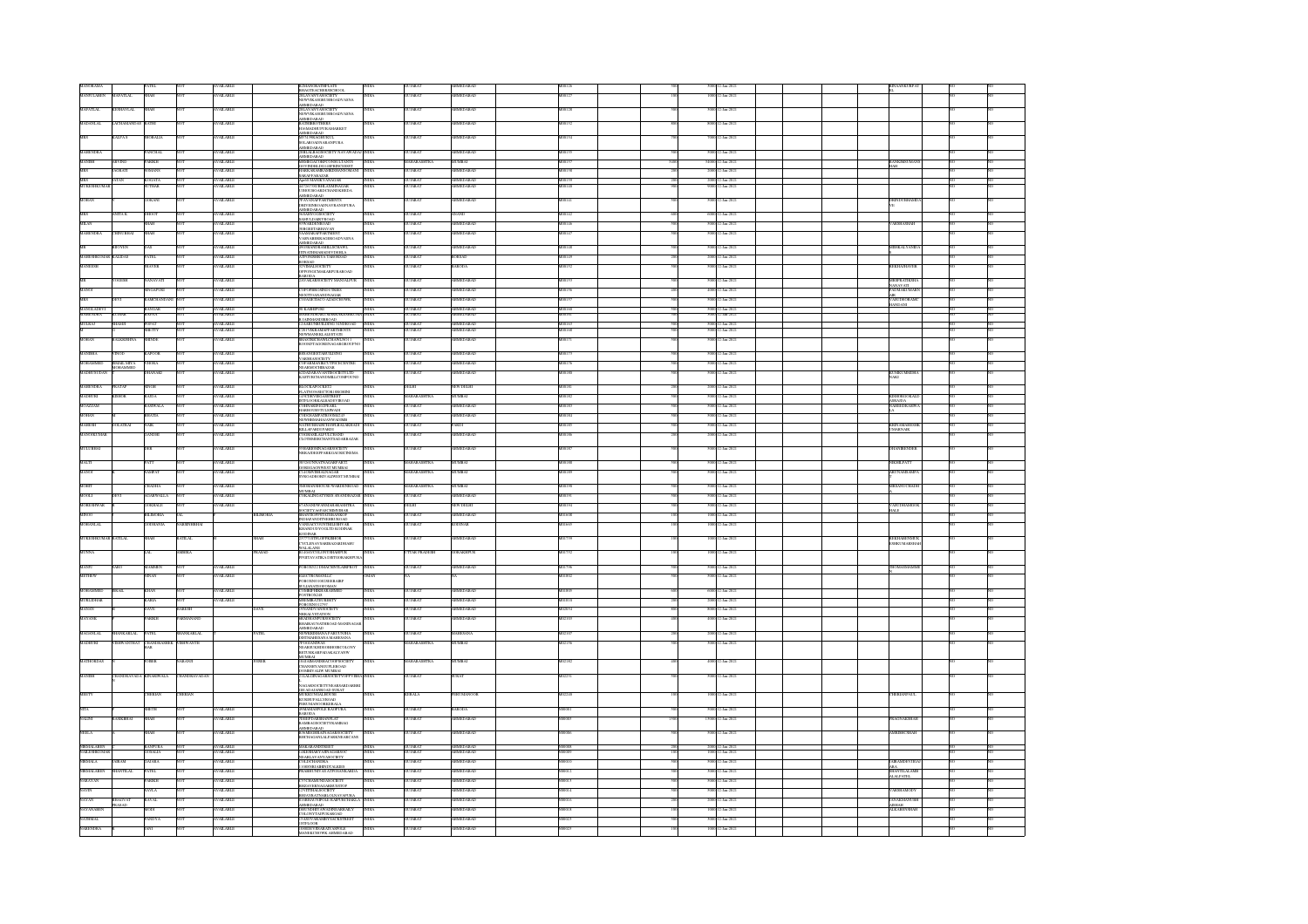|                                    |                       |                  |                  |       | <b>ANORATHFLATS</b>                                                                |             |                          |                 |        |                  |                                      |  |                                 |  |  |
|------------------------------------|-----------------------|------------------|------------------|-------|------------------------------------------------------------------------------------|-------------|--------------------------|-----------------|--------|------------------|--------------------------------------|--|---------------------------------|--|--|
|                                    |                       |                  |                  |       | HAGTEACHERSSCHOOL.<br>SLAVANYASOCIETY                                              |             |                          |                 |        |                  |                                      |  |                                 |  |  |
|                                    |                       |                  |                  |       | NEWVIKASGRUHROADVASNA                                                              |             |                          |                 |        |                  |                                      |  |                                 |  |  |
| AFATLAI                            |                       |                  |                  |       | EN HEDABAD<br>HMEDABAD<br>SLAVANYASOCIETY<br>EWVIKASGRUHROADVASNA                  |             | <b>JARA</b>              |                 |        |                  |                                      |  |                                 |  |  |
|                                    |                       |                  |                  |       |                                                                                    |             |                          |                 |        |                  |                                      |  |                                 |  |  |
| <b>MADANLAL</b>                    | ĩН                    |                  | <b>AILABLE</b>   |       | <b>MEDABAD</b><br>THIBROTHERS                                                      |             | JARAT                    | <b>MEDARAD</b>  |        | son <sub>1</sub> | J <sub>202</sub>                     |  |                                 |  |  |
|                                    |                       |                  |                  |       | H 6MADHUPURAMARKET                                                                 |             |                          |                 |        |                  |                                      |  |                                 |  |  |
|                                    | <b>BALL</b>           |                  | <b>ILABLE</b>    |       | HMEDABAD<br>437439RAGHUKUL<br>0LAROADNARANPURA                                     |             | JARA                     |                 |        |                  |                                      |  |                                 |  |  |
|                                    |                       |                  |                  |       |                                                                                    |             |                          |                 |        |                  |                                      |  |                                 |  |  |
| <b>MAHENDR</b>                     | <b>NCHA</b>           |                  | <b>ALABLE</b>    |       | <b>HMEDABAD</b><br>HMEDABAD<br><sup>NGRI</sup> ALBAGSOCIETY NAVAWAI                |             | <b>JARAT</b>             | <b>MEDARAD</b>  |        |                  |                                      |  |                                 |  |  |
|                                    |                       |                  |                  |       |                                                                                    |             |                          |                 |        |                  |                                      |  |                                 |  |  |
| MANISH                             | <b>ARIKH</b>          |                  | <b>VAILABLE</b>  |       |                                                                                    | <b>CDLA</b> | <b>MARASHTRA</b>         | <b>JUMBAI</b>   |        | 3.400            | $J20$ -2021                          |  | <b>ANKIMSUMA</b>                |  |  |
| <b>GRAT</b>                        | <b>MAN</b>            |                  | VAILABLE         |       | OVINDBLDG140PRINCESSST<br>IARKARAMRAMKISHANSOMANI                                  |             | IJARAT                   | MEDABAL         |        |                  | J <sub>20</sub>                      |  |                                 |  |  |
|                                    |                       |                  |                  |       |                                                                                    |             |                          |                 |        |                  |                                      |  |                                 |  |  |
| MRS<br>MUKESHKUM/                  |                       |                  | <b>VALABLE</b>   |       | SARAFFABAZAR<br>Apr60 MANIKYANAGAR                                                 |             | JARAT                    |                 |        |                  | 2000 12-Jan-2021<br>9000 12-Jan-2021 |  |                                 |  |  |
|                                    | THAR                  |                  | VAILABLE         |       | 72673SUBHLAXMINAGAR                                                                |             | JARAT                    | MEDABAL         |        | 9000             |                                      |  |                                 |  |  |
|                                    |                       |                  |                  |       | <b>JHOUBOARDCHANDKHEDA</b>                                                         |             |                          |                 |        |                  |                                      |  |                                 |  |  |
| dohan                              |                       |                  | AILABLE          |       | HMEDABAD<br>PAVANAPPARTMENTS<br>DRIVEINROADNAVRANGPURA                             |             | <b>ARA</b>               |                 |        |                  |                                      |  |                                 |  |  |
|                                    |                       |                  |                  |       |                                                                                    |             |                          |                 |        |                  |                                      |  |                                 |  |  |
| <b>VIRS</b><br>NITAK               | TOOHK                 |                  | <b>VAILABLE</b>  |       | RIVERNING<br>HMEDABAD<br>6SAHYOGSOCIETY                                            |             | UJARAT                   | <b>NAND</b>     |        |                  | 6000 12-Jan-2021                     |  |                                 |  |  |
| MLAN                               | ₹AH                   |                  | <b>VAILABLE</b>  |       | <b>AMULDAIRYROAD</b><br>3WARDENROAD                                                |             | .<br>Jarat               | HMEDABAD        | 30146  |                  | 5000 12-Jan-2021                     |  | ARSHASHAF                       |  |  |
|                                    |                       |                  |                  |       |                                                                                    |             |                          |                 |        |                  |                                      |  |                                 |  |  |
| <b>MAHENDRA</b><br><b>CUBHAI</b>   | a.                    |                  | ALABLE           |       | 30BGEETABHAVAN<br>SAAMARAPPARTMENT<br>VASNABERRAGEROADVASNA                        |             | <b>JARAT</b>             | EDABAD          |        |                  | J <sub>2021</sub>                    |  |                                 |  |  |
|                                    |                       |                  |                  |       |                                                                                    |             |                          |                 |        |                  |                                      |  |                                 |  |  |
|                                    |                       |                  | <b>VAILABLE</b>  |       | HMEDABAD<br>003BANDRAMILLSCHAWL                                                    |             | <b>HARAT</b>             | <b>IMEDARAD</b> |        |                  | $302 - 202$                          |  | SSKALYANI                       |  |  |
| MAHESHKUMAR KALIDAS                |                       |                  | VAILABLE         |       | <b>ITNATHMAHADEVDEHLA</b><br>ATPONISHRY A TABORSAD                                 |             | JARAT                    | ORSAD           |        | 2000             |                                      |  |                                 |  |  |
|                                    |                       |                  |                  |       |                                                                                    |             |                          |                 |        |                  |                                      |  |                                 |  |  |
| MANEESH                            | <b>AVER</b>           |                  | <b>VAILABLE</b>  |       | BORSAD<br>32VIMALSOCIETY<br>OPPONGCMAKARPURAROAD                                   |             | UJARAT                   | <b>ARODA</b>    |        |                  | 5000 12-Jan-2021                     |  | <b>KHAJHAVEI</b>                |  |  |
|                                    |                       |                  |                  |       |                                                                                    |             |                          |                 |        |                  |                                      |  |                                 |  |  |
|                                    | .<br>ZAV N            |                  | VAILABLE         |       | ARODA<br>AVAKARSOCIETY MANJALPUR                                                   |             | <b>JARAT</b>             | <b>SEDARA</b>   |        |                  | $\frac{1}{2}$ she 202                |  |                                 |  |  |
| MANOJ                              | <b>INGAPURI</b>       |                  | <b>WAILABLE</b>  |       | <b>OPOPBROSINDUTRIES</b>                                                           |             | <b>JARAT</b>             | HMEDABAD        |        |                  | 4000 12-Jan-2021                     |  | <b>GANAVATI</b><br>"ADMAKUMAP   |  |  |
|                                    |                       |                  |                  |       |                                                                                    |             |                          |                 |        |                  |                                      |  |                                 |  |  |
| MRS                                | AMCHAN                |                  | <b>WAILABLE</b>  |       | EXTTOANANDNAGAR<br>OJAGETIACO AZADCHOWK                                            |             | JARAT                    | HMEDABAD        |        |                  | 5000 12-Jan-2021                     |  | ASUDEORAMO                      |  |  |
|                                    | <b>BANGAR</b>         |                  | <b>AVAILABLE</b> |       | <b>80 KASHIPURI</b>                                                                |             | UJARAT                   | AHMEDABAD       |        |                  | 5000 12-Jan-2021                     |  | <b>HANDANI</b>                  |  |  |
| MANGLADEVI<br>MAHENDRA             | apna                  |                  | <b>AVAILABLE</b> |       | MAHENDRAKUMARRAKESHKI                                                              | <b>NDIA</b> | UJARAT                   | HMEDABAD        | 00161  |                  | 3000 12-Jan-202                      |  |                                 |  |  |
|                                    |                       |                  | <b>AVAILABLE</b> |       | R JAPMANDIRROAD<br>12AARUNBUILDING 34NDROA<br>C201 VIKRAMAPPARTMENTS               |             | JARAT                    | HMEDABAD        |        |                  | 5000 12-Jan-202                      |  |                                 |  |  |
| MULRAJ                             | HETTY                 |                  | VAILABLE         |       |                                                                                    | <b>DIA</b>  | UJARAT                   | HMEDABAD        | 00168  |                  | 5000 12-Jan-2021                     |  |                                 |  |  |
|                                    |                       |                  |                  |       |                                                                                    |             |                          |                 |        |                  |                                      |  |                                 |  |  |
| MOHAN<br><b>LKRISHN</b>            | INDE                  |                  | VAILABLE         |       | EWMANEKLALESTATE<br>HASTRICHAWLCHAWLNO11<br>IOOMSTAGORENAGARGROUPN                 |             | JARAT                    | MEDARAD         |        | 5000             | $2.5m-2021$                          |  |                                 |  |  |
|                                    |                       |                  |                  |       |                                                                                    |             |                          |                 |        |                  |                                      |  |                                 |  |  |
| <b>MANISHA</b>                     |                       |                  | <b>ALABLE</b>    |       | <b>ANGEETARI III DING</b>                                                          |             | <b>TARAT</b>             | <b>MEDARAE</b>  |        |                  |                                      |  |                                 |  |  |
| <b>SMAL MIYA</b><br>MOHAMMED       | HORA                  |                  | VAILABLE         |       | ARSHASOCIETY<br>OPARMANIKCUTPICECENTRE                                             |             | <b>JARAT</b>             | <b>IMEDABAD</b> |        |                  | J <sub>2021</sub>                    |  |                                 |  |  |
| <b>JOHAMMED</b>                    |                       |                  |                  |       | NEARMOCHIBAZAR<br>S2DADARAVANTISOCIETYLTD<br>KASTURCHANDMILLCOMPOUND               |             |                          |                 |        |                  |                                      |  |                                 |  |  |
| MADHUSUDAN                         | ANAK                  |                  | VAILABLE         |       |                                                                                    |             | <b>JARAT</b>             | HMEDABAD        |        | 5000             | 12-Jan-2021                          |  | KUMKUMMI<br>NAKI                |  |  |
|                                    |                       |                  |                  |       |                                                                                    |             |                          |                 |        |                  |                                      |  |                                 |  |  |
| <b>MAHENDRA</b><br><b>ATAP</b>     |                       |                  | VAILABLE         |       | <b>LOCKAPOCKET2</b>                                                                |             | ĩН                       | EW DELHI        |        | 2000             | -<br>-<br>Jan-202                    |  |                                 |  |  |
| <b>MADHURI</b><br><b>HUB</b>       | <b>AJDA</b>           |                  | <b>VAILABLE</b>  |       | $\frac{1}{45 \text{CDR} \text{VEGASSTREF}}$                                        | <b>COLA</b> | <b>AHARASHTRA</b>        | <b>CMBAL</b>    | 000182 |                  | 5000 12-Jan-2021                     |  | <b>ISHORGOKA</b>                |  |  |
|                                    |                       |                  |                  |       | TFLOORKALBADEVIROAD                                                                |             |                          |                 |        |                  |                                      |  | SRAJDA<br>AHEEDRASIV            |  |  |
| MOAZZAM                            | <b>ASIWALA</b>        |                  | <b>VAILABLE</b>  |       |                                                                                    |             | UJARAT                   | HMEDABAD        | 600183 |                  | 5000 12-Jan-2021                     |  |                                 |  |  |
| MOHAN                              | НАТІА                 |                  | VAILABLE         |       | MEBOUR9TULSIWADI<br>ODGSAMPATROOM4243<br>EWHBMAHAJANWADIMB<br>IATHUBHAISCHAWLBALAK | <b>DIA</b>  | UJARAT                   | HMEDABAD        | 400184 |                  | 5000 12-Jan-2021                     |  |                                 |  |  |
| AHESH                              |                       |                  |                  |       |                                                                                    |             | JARAT                    |                 |        |                  | tan 202                              |  |                                 |  |  |
|                                    |                       |                  | AILABLE          |       |                                                                                    |             |                          |                 |        |                  |                                      |  | <b>MARNAIK</b>                  |  |  |
| MANOJKUMAI                         | $\overline{\text{N}}$ |                  | <b>VAILABLE</b>  |       | <b>CILLAPARDI PARDI</b><br>YOGHASILALFULCHAND                                      |             | <b>JARAT</b>             | HMEDABAL        |        |                  | J <sub>2021</sub>                    |  |                                 |  |  |
|                                    |                       |                  |                  |       | LOTHMERCHANTSADARBAZAR                                                             |             |                          |                 |        |                  |                                      |  |                                 |  |  |
| MULUBHAI                           |                       |                  | VAILABLE         |       | SHARIOMNAGAR SOCIETY<br>@RAJDEEPPARK GAURICINEMA                                   |             | JARAT                    | HMEDABAD        |        | 5000 L           | 3-Jan-2021                           |  | HANBENDEI                       |  |  |
|                                    |                       |                  |                  |       |                                                                                    |             |                          |                 |        |                  |                                      |  |                                 |  |  |
|                                    |                       |                  |                  |       |                                                                                    |             |                          |                 |        |                  |                                      |  |                                 |  |  |
|                                    |                       |                  |                  |       | <b>MELINEATMACARRART</b>                                                           |             | <b>AHARASHTR</b>         | <b>ELIMRAL</b>  |        |                  |                                      |  | KHII PATI                       |  |  |
| TLAM                               |                       |                  | <b>VAILABLE</b>  |       |                                                                                    |             |                          |                 |        | 5000             | : Jan-2021                           |  |                                 |  |  |
|                                    |                       |                  | <b>ALABLE</b>    |       | OREGAONWEST MUMBAL<br>140MVISHAI NACAR                                             |             | <b>HARASHT</b>           | <b>IMRAI</b>    |        |                  |                                      |  |                                 |  |  |
|                                    |                       |                  |                  |       | VROADBORIVALIWEST MUMBA                                                            |             |                          |                 |        |                  |                                      |  |                                 |  |  |
| MOHIT                              | <b>HADHA</b>          |                  | <b>AVAILABLE</b> |       | MOHANSHOUSE WARDENROAD                                                             |             | <b><i>AMARASHTRA</i></b> | MUMBAI          |        |                  | 5000 12-Jan-2021                     |  | <b><i>IRSANUCHAD</i></b>        |  |  |
|                                    |                       |                  |                  |       |                                                                                    |             |                          |                 |        |                  |                                      |  |                                 |  |  |
| MOOLI                              | <b>RWALL</b>          |                  | LABLE            |       | UMBAI<br>OKALINGATYRE                                                              |             |                          |                 |        |                  |                                      |  |                                 |  |  |
| <b>MORESHWAI</b>                   | KHALI                 |                  | .<br>All ABLE    |       |                                                                                    |             |                          | W DELHI         |        |                  | $an-202$                             |  |                                 |  |  |
| <b>MINOO</b>                       | <b>RII IMORTA</b>     |                  |                  |       | OCIETYA6PASCHIMVIHAR<br>HANTIOPPSTATEBANKOF                                        | <b>COLA</b> | UJARAT                   | <b>HMEDARAD</b> |        |                  | $\frac{1}{2}$ an-2021                |  |                                 |  |  |
|                                    |                       |                  |                  |       |                                                                                    |             |                          |                 |        |                  |                                      |  |                                 |  |  |
| MOHANLAL                           | ODHANIA               | RSINHBHA         |                  |       | NDIAPANDITNEHRUROAD<br>/ANEACCOUNTBILESHVAR                                        |             | JARAT                    | ODINAR          |        |                  | J <sub>20</sub> 202                  |  |                                 |  |  |
|                                    |                       |                  |                  |       | <b>HANDUDYOGLTD KODINAR</b>                                                        |             |                          |                 |        |                  |                                      |  |                                 |  |  |
| MUKESHKUMA<br>ATILAI               |                       | TLAI             |                  |       |                                                                                    |             | .<br>Jarat               | <b>IMEDABAD</b> |        |                  | 3-Jan-2021                           |  |                                 |  |  |
|                                    |                       |                  |                  |       | ODINAR<br>97771STELOPPKISHOR<br>YCLENAVSARIBAZARDHABU                              |             |                          |                 |        |                  |                                      |  | <b>REKHABENMU</b><br>ESHKUMARSH |  |  |
| <b>MENNA</b>                       |                       |                  |                  | RASAD | <b>/ALALANE</b><br>140AVCOLONYSHAHPUR                                              |             | <b>TTAR PRADES</b>       | <b>ORAKHPUR</b> |        |                  | $302 - 202$                          |  |                                 |  |  |
|                                    |                       |                  |                  |       | PPGITAVATIKA DISTGORAKHPUR                                                         |             |                          |                 |        |                  |                                      |  |                                 |  |  |
| MANJU                              | AMMEN                 |                  | VAILABLE         |       | <b>BOXS22 DMACSINTLAIRPROT</b>                                                     |             | UJARAT                   | HMEDARAD        | 801796 |                  | 5000 12-Jan-2021                     |  | <b>IOMASMA</b>                  |  |  |
|                                    |                       |                  |                  |       |                                                                                    |             |                          |                 |        |                  |                                      |  |                                 |  |  |
| <b>METHEW</b>                      |                       |                  | <b>All ABLE</b>  |       | <b>LECTROMANLIC</b><br>.<br>EBAIRP                                                 |             |                          |                 | 1802   |                  | J <sub>2021</sub>                    |  |                                 |  |  |
|                                    |                       |                  |                  |       |                                                                                    |             |                          |                 |        |                  |                                      |  |                                 |  |  |
| MOHAMMED                           |                       |                  | <b>All ABLE</b>  |       | OBOXNO1082SEEBAIRI<br>ULIANATEOFOMAN<br>TOMRIFHIKHARAHMED                          |             | <b>JARAT</b>             | <b>SEDARAD</b>  |        |                  |                                      |  |                                 |  |  |
| MURLIDHAR                          |                       |                  | <b>ALABLE</b>    |       | OSTBOX248<br>ISEMIRATEURERTY                                                       |             | JARAT                    | MEDABAD         |        |                  | J <sub>20</sub> 202                  |  |                                 |  |  |
| MANAN                              |                       |                  |                  |       |                                                                                    |             | <b>JARAT</b>             |                 |        |                  | 8000 12-Jan-202                      |  |                                 |  |  |
|                                    |                       |                  |                  |       | OBOXNO12797<br>F9NANDVANSOCIETY                                                    |             |                          |                 |        |                  |                                      |  |                                 |  |  |
| MAYANK                             |                       |                  |                  |       |                                                                                    |             | $\overline{101}$         |                 |        |                  |                                      |  |                                 |  |  |
|                                    |                       |                  |                  |       | NRRALYSTATION<br>6RADHANPURSOCIETY<br>BHAIRAUNATHROAD MANINAGAI                    |             |                          |                 |        |                  |                                      |  |                                 |  |  |
| <b>MAGANLAL</b><br><b>ANKARLAL</b> | PATEL                 | <b>HANKARLAL</b> |                  |       | HMEDABAD<br>GEWKRISHANA PARUUNIHA                                                  |             | UJARAT                   | <b>AHESANA</b>  |        |                  | 2000 12-Jan-2021                     |  |                                 |  |  |
| <b>dADHUR</b>                      |                       |                  |                  |       | ISTMAHESANA MAHESANA<br><b>OOJANIWAS</b>                                           |             |                          |                 |        |                  |                                      |  |                                 |  |  |
|                                    | LAR                   |                  |                  |       | EARSUKHDEOBHOIRCOLONY                                                              |             |                          |                 |        |                  |                                      |  |                                 |  |  |
|                                    |                       |                  |                  |       | ETURKARPADAKALYANW                                                                 |             |                          |                 |        |                  |                                      |  |                                 |  |  |
| MATHORD                            |                       |                  |                  |       |                                                                                    |             | <b>HARASHTR</b>          |                 |        |                  |                                      |  |                                 |  |  |
|                                    |                       |                  |                  |       | MUMBAI<br>104JAIMANISHACOOPSOCIETY<br>CHANSHY ANGUPLEROAD                          |             |                          |                 |        |                  |                                      |  |                                 |  |  |
| DRAVADA <sup>1</sup>               | <b>INARIWALA</b>      | HANDRAVADA       |                  |       | <b>OMBIVALIW MUMBAL</b><br>HLALGINAGARSOCIETYOPPVISH                               |             | <b>JARA</b>              | 19.41           |        |                  | Jun 201                              |  |                                 |  |  |
|                                    |                       |                  |                  |       |                                                                                    |             |                          |                 |        |                  |                                      |  |                                 |  |  |
|                                    |                       |                  |                  |       | AGARSOCIETYNEARSARDARBR                                                            |             |                          |                 |        |                  |                                      |  |                                 |  |  |
|                                    |                       |                  |                  |       |                                                                                    |             | .<br>RALA                |                 |        |                  |                                      |  |                                 |  |  |
|                                    |                       |                  |                  |       | GH ADAJANROAD SURAT<br>MUKKUNGALHOUSE<br>KURISUPALLYROAD                           |             |                          |                 |        |                  |                                      |  |                                 |  |  |
|                                    |                       |                  | <b>ME AREF</b>   |       | ERUMANOORKERALA<br>9MAMASPOLE RAOPURA                                              |             | JARAT                    | RODA            |        |                  |                                      |  |                                 |  |  |
|                                    | a<br>Naf              |                  |                  |       |                                                                                    |             |                          |                 |        | 1500             |                                      |  |                                 |  |  |
| <b>NALINI</b>                      |                       |                  | <b>ALABLE</b>    |       | ARODA<br>DEEPDARSHANFLAT<br>AMBAGSOCIETYRAMBAG                                     |             | <b>JARAT</b>             | <b>HMEDARAD</b> |        |                  | $J20$ -2021                          |  |                                 |  |  |
|                                    |                       |                  |                  |       |                                                                                    |             |                          |                 |        |                  |                                      |  |                                 |  |  |
| NEELA                              |                       |                  |                  |       |                                                                                    |             |                          |                 |        |                  |                                      |  |                                 |  |  |
|                                    |                       |                  |                  |       | HMEDABAD<br>136MEGHRAINAGARSOCIETY<br>1HCHAGANLALPARKNEARCANS                      |             |                          |                 |        |                  |                                      |  |                                 |  |  |
| NIRMALABEN                         |                       |                  |                  |       | <b>AAKARANISTREET</b>                                                              |             | <b>IARA</b>              |                 |        |                  |                                      |  |                                 |  |  |
|                                    | SALIA                 |                  | <b>AILABLE</b>   |       |                                                                                    |             | <b>JARAT</b>             |                 |        |                  |                                      |  |                                 |  |  |
| <b>NIRMALA</b>                     | <b>JARA</b>           |                  | ALABLE           |       | KESHARYAJINAGARSO<br>:ARLAVANYASOCIETY                                             |             | <b>JARAT</b>             | <b>HMEDABAD</b> |        | 900              | $J20$ -2021                          |  | <b>AMDEV</b>                    |  |  |
| <b>NIRMALABEN</b>                  | <b>ATEL</b>           |                  | <b>ALABLE</b>    |       | <b>OSSNEJABINDTALKIES</b><br>:ABHUNIVAS ATPOSAN                                    |             | <b>JARAT</b>             | MEDABAD         |        | $\overline{900}$ | $\frac{1}{2}$ an-2021                |  | .<br>NTILALAM                   |  |  |
|                                    |                       |                  |                  |       |                                                                                    |             |                          |                 |        |                  |                                      |  | ALALPATEL                       |  |  |
| <b>NARAYAN</b>                     | .<br>Wikh             |                  | <b>AVAILABLE</b> |       | S7CHAMUNDASOCIETY                                                                  |             | .<br>Jarat               | <b>HMEDARAD</b> |        |                  | 5000 12-Jan-2021                     |  |                                 |  |  |
| <b>NAVIN</b>                       | .<br>VLA              |                  | VAILABLE         |       |                                                                                    |             | <b>JARAT</b>             | <b>IMFDARAD</b> |        | 5000             |                                      |  | CHAMPE                          |  |  |
|                                    |                       |                  |                  |       | IZAVERNAGARBUSSTOP<br>VITTHALSOCIETY                                               |             |                          |                 |        |                  | J <sub>202</sub>                     |  |                                 |  |  |
| <b>NAYAN</b>                       | .<br>Val              |                  | VAILABLE         |       | HJAYRATNABLOLNAVAPURA<br>16BHAUNIPOLE RAIPURCHAKL<br>HMEDAR : "                    |             | 1139.57                  | <b>FDARAF</b>   |        |                  | J <sub>202</sub>                     |  | <b>GARMAY</b>                   |  |  |
| <b>NAYANABEN</b>                   | <b>MODI</b>           |                  | .<br>WAILABLE    |       |                                                                                    |             | UJARAT                   | HMEDABAD        | 00018  |                  | 1000 12-Jan-2021                     |  | AISHAH<br>ALKABENSHAH           |  |  |
|                                    |                       |                  |                  |       | <b>BBLEVOLK</b><br>HMEDABAD<br>HUNDHIYAWADINEARRAILY                               |             |                          |                 |        |                  |                                      |  |                                 |  |  |
| NATHMAL                            | <b>ANDYA</b>          |                  | <b>VALABLE</b>   |       | YOLONYTAJPURAROAD<br>SASOVARAMBYSACKSTREET                                         | <b>DIA</b>  | UJARAT                   | HMEDABAD        | XO23   |                  | 3000 12-Jan-2021                     |  |                                 |  |  |
| <b>NARENDRA</b>                    | АN                    |                  | <b>AVAILABLE</b> |       | STFLOOR<br>088DEVJISARAIYASPOLE<br>MANEKCHOWK AHMEDABAD                            | NDIA        | UJARAT                   | HMEDABAD        | 00025  |                  | 1000 12-Jan-2021                     |  |                                 |  |  |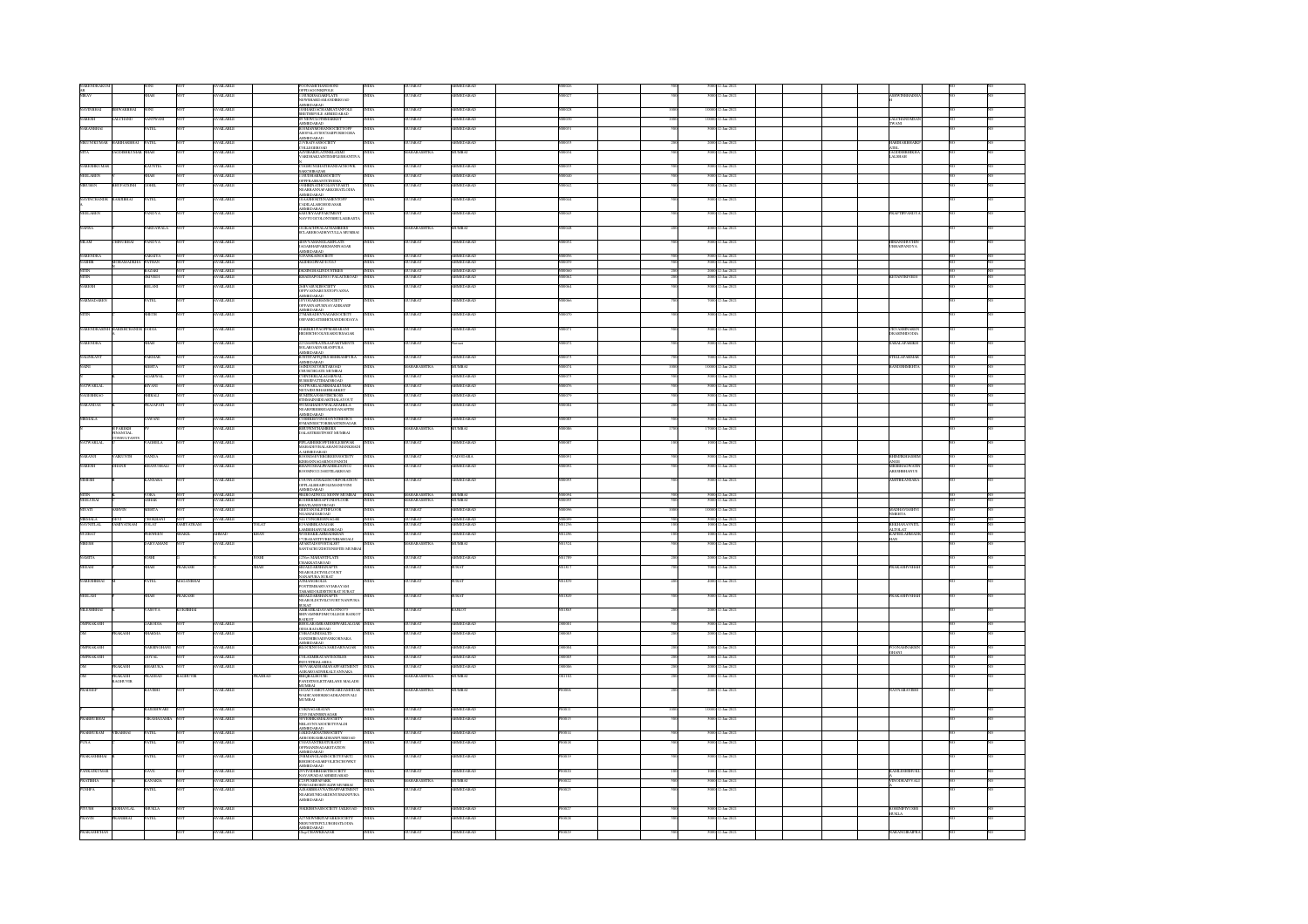|                      |                         |                  |              | <b>ALABLE</b>          |      |                                                                                                                                                                                                   |              | UJARAT             | <b>IMEDABAI</b>    |       |         |                                      |  |                                   |  |  |
|----------------------|-------------------------|------------------|--------------|------------------------|------|---------------------------------------------------------------------------------------------------------------------------------------------------------------------------------------------------|--------------|--------------------|--------------------|-------|---------|--------------------------------------|--|-----------------------------------|--|--|
|                      |                         |                  |              | <b>AB ARE</b>          |      | POONAMCHANDSONI<br>OPPDAGONKIPOLE<br>11SUKHSAGARFLATS                                                                                                                                             |              |                    |                    |       |         |                                      |  |                                   |  |  |
|                      |                         |                  |              |                        |      | EWSHARDAMANDIRROAD                                                                                                                                                                                |              |                    |                    |       |         |                                      |  |                                   |  |  |
| <b>AVINBHA</b>       | <b>WARRHAI</b>          |                  |              | VAILABLE               |      | :WSEPARATELES<br>IMEDABAD<br>SHARDACHAMRATANPOLE                                                                                                                                                  | <b>NDIA</b>  | <b>JUARAT</b>      | HMEDABAD           |       |         | J <sub>202</sub>                     |  |                                   |  |  |
| <b>NARESH</b>        | <b>ALCHAND</b>          | <b>ANTWANT</b>   |              | <b>VAILABLE</b>        |      | HETHSPOLE AHMEDABAD<br>) NEWCLOTHMARKET                                                                                                                                                           | <b>DU</b>    | GUJARAT            | HMEDABAD           |       |         | 10000 12-Jan-2021                    |  | <b>ALCHANDM</b>                   |  |  |
|                      |                         |                  |              |                        |      | MEDABAD<br>MANMOHANSOCIETYOPP                                                                                                                                                                     |              |                    |                    |       |         |                                      |  | WANI                              |  |  |
| <b>CAR ANRHA</b>     |                         |                  |              | 748.4916               |      | SOPALAVSOCSAIJPURBOGHA                                                                                                                                                                            |              | $7.55 + 1$         | <b>IRECTIVE AT</b> |       |         | $\sim$                               |  |                                   |  |  |
|                      |                         |                  |              |                        |      | <b>IMEDABAD</b><br>VRAJVASSOCIETY                                                                                                                                                                 |              |                    |                    |       |         |                                      |  |                                   |  |  |
| <b>NIKTIVIKTIMAR</b> | <b>ARTHARRHAI</b>       | ATEL.            |              | <b>AVAILARLE</b>       |      |                                                                                                                                                                                                   | <b>NDIA</b>  | <b>GUILARAT</b>    | HMEDARAD           |       |         | 2000 12-Jan-2021                     |  | <b>LEBIHARRH.</b>                 |  |  |
| śПА                  | IDISHKUMA               | ĩЛH              |              | <b>ALABLE</b>          |      | I VRAFVASSACIETI<br>VOLLEGEROAD<br>WYIHARFLATSNRLAXMI<br>VARDHAKJAINTEMPLESHANTIV/                                                                                                                |              | HARASHTRA          | UMBAI              |       |         | J <sub>20</sub> 202                  |  |                                   |  |  |
|                      |                         |                  |              |                        |      |                                                                                                                                                                                                   |              |                    |                    |       |         |                                      |  |                                   |  |  |
| <b>GARESHKI</b>      |                         | <b>TNT</b>       |              | <b>ALABLE</b>          |      | <b>GHI INGHATE</b>                                                                                                                                                                                |              |                    | MEDABAI            |       |         |                                      |  |                                   |  |  |
| <b>CEELARES</b>      |                         |                  |              | ALABLE                 |      | <b>UNIE : :</b><br>AKCHIBAZAR<br>****DHARMASOCIETY                                                                                                                                                |              | <b>TARAT</b>       | <b>MEDARAL</b>     |       |         | $50^{20}$                            |  |                                   |  |  |
| <b>NIRUBEN</b>       | <b><i>IUPATSINH</i></b> | OHIL.            |              | VAILABLE               |      | <b>I MILITARY<br/>PPPRASHANTCINEMA</b><br>""PR'N'ATHCOLONYPARTI                                                                                                                                   | <b>CIVEA</b> | UJARAT             | HMEDABAD           |       | 900     | 2-Jan-2021                           |  |                                   |  |  |
|                      |                         |                  |              |                        |      | NEARRANNAPARKGHATLODIA                                                                                                                                                                            |              |                    |                    |       |         |                                      |  |                                   |  |  |
| WNC                  |                         |                  |              | <b>AILABLI</b>         |      | HMEDABAD<br>0AASHOKTENAMENTOPI<br>"ADILALABGHODASAR                                                                                                                                               |              |                    |                    |       |         |                                      |  |                                   |  |  |
|                      |                         |                  |              |                        |      |                                                                                                                                                                                                   |              |                    |                    |       |         |                                      |  |                                   |  |  |
| NEELABEN             |                         | ANDYA            |              | VAILABLE               |      | HMEDABAD<br>\SURYAAPPARTMENT                                                                                                                                                                      | mas          | <b>HARAT</b>       | <b>HMEDARAD</b>    |       |         | 000 12-5m202                         |  | <b>APTIPPAND</b>                  |  |  |
|                      |                         |                  |              |                        |      |                                                                                                                                                                                                   |              |                    |                    |       |         |                                      |  |                                   |  |  |
| AFISA                |                         | RDAWAL           |              | <b>ALABLE</b>          |      | 02KACHWALACHAMBERS<br>CLAREROADBYCULLA MUMBAI                                                                                                                                                     |              | <b>AHARASHTRA</b>  | UMBAI              |       |         | J <sub>202</sub>                     |  |                                   |  |  |
|                      |                         |                  |              |                        |      |                                                                                                                                                                                                   |              |                    |                    |       |         |                                      |  |                                   |  |  |
| <b>NLAM</b>          | NI IRHA                 | NDV.             |              | VAILABLE               |      | <b>DIVYAMANGI AMELATS</b>                                                                                                                                                                         |              | UJARAT             | HMEDABAD           |       |         | $Jan-202$                            |  | <b>IANSHITCH</b>                  |  |  |
|                      |                         |                  |              |                        |      | GABHAIPARKMANINAGAR                                                                                                                                                                               |              |                    |                    |       |         |                                      |  | <b>UBHAPANDYA</b>                 |  |  |
| NARENDRA<br>NASHIR   |                         | ARAIYA<br>ATHAN  |              | NAILABLE<br>NAILABLE   |      | <b>JABHAIrA--</b><br><b>IMEDABAD</b><br>***KAJSOCIETY                                                                                                                                             |              | <b>GUJARAT</b>     | <b>AHMEDABAD</b>   |       | som li  | 2-Jan-2021<br>2-Jan-2021             |  |                                   |  |  |
|                      |                         |                  |              |                        |      | LIDIGGIWAD E3263                                                                                                                                                                                  | <b>NDIA</b>  | GUJARAT            | HMEDABAD           |       | 5000    |                                      |  |                                   |  |  |
| <b>NITIN</b>         |                         | <b>AZARI</b>     |              | <b>AVAILABLE</b>       |      | <b>DKSINGHALINDUSTRIES</b>                                                                                                                                                                        | <b>INDIA</b> | GUJARAT            | AHMEDABAD          |       |         | 2000 12-Jan-202                      |  |                                   |  |  |
|                      |                         | RIVEDI           |              | VAILABLE               |      | <b>CHADIAPOLENOI PALACEROAL</b>                                                                                                                                                                   | <b>INDIA</b> | <b>GUJARAT</b>     | HMEDABAD           |       | 2000 12 | $-3$ an-2021                         |  | TANTRIVED                         |  |  |
| <b>GARESH</b>        |                         | <b>ELANI</b>     |              | ALABLE                 |      | <b>SBVASUKISOCIETY</b>                                                                                                                                                                            | nu           | UJARAT             | HMEDABAD           |       | 5000    | 2-Jan-2021                           |  |                                   |  |  |
|                      |                         |                  |              |                        |      | OPPVASNABUSSTOPVASNA                                                                                                                                                                              |              |                    |                    |       |         |                                      |  |                                   |  |  |
| VRMA                 |                         | Œ                |              | <b>ALABLE</b>          |      | <b>JPTYARYSAD</b><br>AHMEDABAD<br>ISYOGARSHANSOCIETY<br>OPPANNAPURNAVADIRANIP<br>COPANNAPURNAVADIRANIP                                                                                            |              | JARA)              | <b>MEDARAT</b>     |       |         |                                      |  |                                   |  |  |
|                      |                         |                  |              |                        |      | HMEDABAD<br>FMAHADEVNAGARSOCIETY                                                                                                                                                                  |              |                    |                    |       |         |                                      |  |                                   |  |  |
| $\overline{m}$       |                         | HETH             |              | VAILABLE               |      | <b>SPANIGATEBHCHANDRODAYA</b>                                                                                                                                                                     |              | UJARAT             | HMEDABAD           |       | 3000    | 2-Jan-2021                           |  |                                   |  |  |
|                      |                         |                  |              |                        |      |                                                                                                                                                                                                   |              |                    |                    |       |         |                                      |  |                                   |  |  |
|                      |                         |                  |              | AILABLI                |      | ARIKRUPAOPPMAHARANI<br>KHSCHOOLNEARSURSAGAR                                                                                                                                                       |              |                    |                    |       |         |                                      |  | RVASHINAREI<br>RASINHDOD <i>U</i> |  |  |
|                      |                         |                  |              |                        |      |                                                                                                                                                                                                   |              |                    |                    |       |         |                                      |  |                                   |  |  |
| ARENDRA              |                         | <b>TAH</b>       |              | VAILABLE               |      | <b><i>MAGER ATTVAAPARTMENTS</i></b><br><b>OLAROADNARANPURA</b>                                                                                                                                    |              | UJARAT             |                    |       |         | J <sub>202</sub>                     |  | <b>CARAT APARIK</b>               |  |  |
|                      |                         |                  |              |                        |      | HMEDABAD<br>SSTSTAFFQTRS BEHRAMPURA                                                                                                                                                               |              |                    |                    |       |         |                                      |  |                                   |  |  |
| <b>GALINKANT</b>     |                         | RMAR             |              | VAILABLE               |      |                                                                                                                                                                                                   | INDIA        | JARAT              | <b>IMEDABAD</b>    |       |         | 000 12-Jan-202                       |  | ELLAPARMA                         |  |  |
| <b>AINT</b>          |                         | .<br>Birta       |              | All ARLE               |      | HMEDABAD<br>HNDUSCOURTAROAD                                                                                                                                                                       |              | <b>AHARASHTRA</b>  | <b>TMRAF</b>       |       | $\sim$  | 5.1m/202                             |  |                                   |  |  |
|                      |                         | <b>GARWAI</b>    |              | VAILABLE               |      | HURCHGATE MUMBAL<br>CONDERLALAGARWAL                                                                                                                                                              | <b>This</b>  | 1149.47            | <b>NEDARAF</b>     |       |         | 5000 12-Jan-202                      |  |                                   |  |  |
| .<br>KATWARLAL       |                         | <b>IYANI</b>     |              | <b>ALABLE</b>          |      | <b>UBBJIPATTIMAINROAD</b><br>KATWARLALNIRMALKUMAR                                                                                                                                                 | <b>INDIA</b> | <b>SUJARAT</b>     | HMEDABAD           |       |         | 5000 12-Jan-2021                     |  |                                   |  |  |
|                      |                         |                  |              |                        |      | NETAJISUBHASHMARKET<br>KIMITRA3000STHCROSS                                                                                                                                                        |              |                    |                    |       |         |                                      |  |                                   |  |  |
| AGESHRAO             |                         | HRALI            |              | ALABLE                 |      |                                                                                                                                                                                                   | iDIA         | UJARAT             | IMEDABAI           |       | 5000    | 2-Jan-2021                           |  |                                   |  |  |
| .<br>RANDA®          |                         | <b>ALAPA</b>     |              | <b>MLABLE</b>          |      | SUMITRA30005 IHCROSS<br>STHMAINSDDARTHALAYOUT<br>191 MAHADE VWALADAHELA<br>NEARFIREBRIGADEDANAPITH                                                                                                |              | .<br>ARAI          | EDABAL             |       |         | $n-202$                              |  |                                   |  |  |
|                      |                         |                  |              |                        |      |                                                                                                                                                                                                   |              |                    |                    |       |         |                                      |  |                                   |  |  |
| <b>GRMALA</b>        |                         | AWANI            |              | VAILABLE               |      | MEDABAD<br>MEDABAD<br>SHREEVINODSYNTHETICS                                                                                                                                                        | NDIA         | <b>JUARAT</b>      | HMEDABAD           |       |         | 5000 12-Jan-2021                     |  |                                   |  |  |
|                      | PAREKE                  |                  |              | <b>VAILABLE</b>        |      | SMAINSECTORSHASTRINAGAR<br>HUPENCHAMBERS                                                                                                                                                          |              | <b>AHARASHTRA</b>  | <b>EUMBAI</b>      |       |         | $3m-202$                             |  |                                   |  |  |
|                      | <b>GANCIAL</b>          |                  |              |                        |      | MLASTREETFORT MUMBAI                                                                                                                                                                              |              |                    |                    |       |         |                                      |  |                                   |  |  |
| ATWARL.              | <b>SULTAN</b>           |                  |              | ALABLE                 |      | PIPLASHERIOPPDHOLESHWAR<br>MAHADEVBALAHANUMANKHADI<br>A AHMEDABAD<br>ROOMI 6EVERGREENSOCIETY                                                                                                      |              | <b>JARA</b>        | MEDARAI            |       |         |                                      |  |                                   |  |  |
|                      |                         |                  |              |                        |      |                                                                                                                                                                                                   |              |                    |                    |       |         |                                      |  |                                   |  |  |
| <b>SARANJI</b>       | <b>AIKUNTH</b>          | <b>ANDA</b>      |              | VAILABLE               |      |                                                                                                                                                                                                   | <b>ARD</b>   | <b>GUJARAT</b>     | <b>ADODARA</b>     |       |         | 5000 12-Jan-2021                     |  | <b>IMIKHL</b>                     |  |  |
| ARESH                | <b>LANJI</b>            | <b>IANUSHALI</b> |              | ALABLE                 |      | GSHANNAGARNO1PANCH<br>BHANUSHALIWADBILDGNO2                                                                                                                                                       |              | JARAT              | IMEDARAD           |       | 5000    | $\frac{1}{2}$ an-2021                |  | ANGE<br>MRSBHAGWAT                |  |  |
|                      |                         |                  |              |                        |      | OOMNO21260DTILAKROAD                                                                                                                                                                              |              |                    |                    |       |         |                                      |  | RESHBHANUS                        |  |  |
| MESH                 |                         |                  |              | AILABLI                |      | <b>COUNNATISALESCORPORATIO</b><br>OPPLALBHAIPOLEMANDVINI                                                                                                                                          |              |                    |                    |       |         |                                      |  |                                   |  |  |
|                      |                         |                  |              |                        |      |                                                                                                                                                                                                   |              |                    |                    |       |         |                                      |  |                                   |  |  |
|                      |                         |                  |              |                        |      |                                                                                                                                                                                                   |              |                    |                    |       |         |                                      |  |                                   |  |  |
|                      |                         | VORA             |              |                        |      | HMEDABAD<br>B4ROADNO24 SIONW MUMBAI                                                                                                                                                               | <b>INDIA</b> | <b>MAHARASHTRA</b> | MUMBAI             |       |         |                                      |  |                                   |  |  |
| NITIN<br>NEELUBAI    |                         | HAR              |              | AVAILABLE<br>AVAILABLE |      | OHERMESAPT2NDFLOOR                                                                                                                                                                                | <b>NDIA</b>  | AHARASHTRA         | <b>JUMBAI</b>      |       |         | 5000 12-Jan-2021<br>5000 12-Jan-2021 |  |                                   |  |  |
| <b>GYATI</b>         |                         | <b>EHTA</b>      |              | ALABLE                 |      | HATLANESVROAD<br>JEETANJALISTHFLOOR                                                                                                                                                               | NDIA         | <b>UJARAT</b>      | HMEDABAD           |       |         | 10000 12-Jan-2021                    |  | ADHAVIASH                         |  |  |
|                      |                         |                  |              |                        |      | <b>GAMADIAROAD</b>                                                                                                                                                                                |              |                    | <b>BEDAR</b>       |       |         |                                      |  | <b>MEHTA</b>                      |  |  |
| AVNITLAL             | MIYATRAM                | окн<br>OLAT      | <br>MIYATRAM | ALABLE                 | OLAT | <b>19AMBIKANAGAR</b>                                                                                                                                                                              | INDIA        | GUJARAT            | HMEDABAD           | 125   |         | 1000 12-Jan-2021                     |  | REKHANAVN                         |  |  |
| <b>7HA</b>           |                         |                  |              |                        |      |                                                                                                                                                                                                   |              |                    |                    |       |         |                                      |  | ALTOLAT                           |  |  |
|                      |                         |                  |              |                        |      | <b>MBEHANUMANROAD</b><br>OSHAKILAHMADKHAN                                                                                                                                                         |              |                    |                    |       |         |                                      |  |                                   |  |  |
| <b>IRESH</b>         |                         | <b>IPVAN</b>     |              | ALABLE                 |      |                                                                                                                                                                                                   |              |                    | <b>TMRA</b>        |       |         | Im20                                 |  |                                   |  |  |
|                      |                         |                  |              |                        |      | 172BASANTPURKUMHARGALI<br>APARTADOPOSTAL887<br>KANTACRUZDETENEFITE MUMBAI                                                                                                                         |              |                    |                    |       |         |                                      |  |                                   |  |  |
| AMITA                |                         | 1991             |              |                        |      | Nov MAHANTFLATS                                                                                                                                                                                   | NDIA         | GUJARAT            | HMEDABAD           | 11789 |         | 2000 12-Jan-2021                     |  |                                   |  |  |
| EEAM                 |                         | ĩМ               | AKASH        |                        |      |                                                                                                                                                                                                   |              | JARAT              | URAT               |       |         | J <sub>2021</sub>                    |  | AKASHVSI                          |  |  |
|                      |                         |                  |              |                        |      |                                                                                                                                                                                                   |              |                    |                    |       |         |                                      |  |                                   |  |  |
|                      |                         |                  |              |                        |      | CHAKRATAROAD<br>GHAKRATAROAD<br>KEJALDARSHANAPTS<br>NANAPURA SURAT<br>ATMANGROLIA<br><b>DETTMBARVAVIAR AVAM</b>                                                                                   |              |                    | RA.                |       |         |                                      |  |                                   |  |  |
|                      |                         |                  |              |                        |      |                                                                                                                                                                                                   |              |                    |                    |       |         |                                      |  |                                   |  |  |
| EELAM                |                         | <b>HAH</b>       | RAKASH       |                        |      | BARDOLIDISTSURAT SURAT<br>JALDARSHANAPTS                                                                                                                                                          |              | UJARAT             | URAT               |       |         | 3000 12-Jan-2021                     |  | RAKASHVSHA                        |  |  |
|                      |                         |                  |              |                        |      | SIALIARSHANATIS<br>EAROLDCIVILCOURT NANPURA                                                                                                                                                       |              |                    |                    |       |         |                                      |  |                                   |  |  |
| <b>ILESHBI</b>       |                         | .<br>SOY         |              |                        |      | <u>JURAT</u><br>AMBAJIKADAVAPLOTNO73<br>SHIVAMNRPDMCOLLEGE RAJKOT                                                                                                                                 |              | <b>ARA</b>         |                    |       |         |                                      |  |                                   |  |  |
|                      |                         |                  |              |                        |      |                                                                                                                                                                                                   |              |                    |                    |       |         |                                      |  |                                   |  |  |
| OMPRAKASH            |                         | ARODIA           |              | VAILABLE               |      | LAIKOT<br>HIOLARAMRAMESHWARLALGAR                                                                                                                                                                 |              | iuarai             | HMEDABAL           |       |         | 5000 12-Jan-202                      |  |                                   |  |  |
|                      |                         | <b>LARMA</b>     |              | <b>ALABLE</b>          |      | ODIA BAJAJROAD<br>COBATAINDIALTD                                                                                                                                                                  |              | JARAT              | MEDABAE            |       |         | J <sub>20</sub> 202                  |  |                                   |  |  |
|                      |                         |                  |              |                        |      | NDHIROADPANKORNAKA                                                                                                                                                                                |              |                    |                    |       |         |                                      |  |                                   |  |  |
| OMPRAKAS             |                         | <b>DSNr</b>      |              | <b>ALABLE</b>          |      | HMEDABAD<br>LOCKNO162A SARDARNAGAR                                                                                                                                                                |              | <b>UJARAT</b>      | <b>IMEDABAD</b>    |       |         | $\frac{1}{2}$ an-202                 |  | OONAN<br>HANI                     |  |  |
| <b>MPRAKAS</b>       |                         | wat              |              | ALABLE                 |      | <b>LAXMIRATANTEXTILE</b>                                                                                                                                                                          |              | <b>JARA</b>        | MEDABAI            |       |         | m/20                                 |  |                                   |  |  |
|                      | <b>PAKASE</b>           | HARUKA           |              | VAILABLE               |      | .<br>DUSTRIALAREA<br>ISVARADHAMANAPPARTMENT                                                                                                                                                       | INDIA        | GUJARAT            | HMEDABAD           |       |         | 2000 12-Jan-2021                     |  |                                   |  |  |
|                      |                         |                  |              |                        |      |                                                                                                                                                                                                   |              |                    | <b>INRA</b>        |       |         |                                      |  |                                   |  |  |
|                      | PRAKASH<br>RAGHUVIR     |                  |              |                        |      | AGRAROADNRKALYANNAKA<br>SBIQBALHOUSE<br>PANDITSOLICITARLANE MALADE                                                                                                                                |              |                    |                    |       |         |                                      |  |                                   |  |  |
| PRADEEP              |                         |                  |              | ALABLE                 |      |                                                                                                                                                                                                   |              |                    | <b>IUMBAI</b>      |       |         |                                      |  |                                   |  |  |
|                      |                         |                  |              |                        |      | AUMBAI<br>16GAUTAMGYANNEARDAMODAR                                                                                                                                                                 |              |                    |                    |       |         |                                      |  |                                   |  |  |
|                      |                         |                  |              |                        |      | WADICASHOKROADKANDIVALI<br>MUMBAI                                                                                                                                                                 |              |                    |                    |       |         |                                      |  |                                   |  |  |
|                      |                         | <b>AJESHWARI</b> |              | VAILABLE               |      | OKNAGARAJAN                                                                                                                                                                                       | <b>NDIA</b>  | GUJARAT            | <b>IMEDABAD</b>    |       |         | 10000 12-Jan-2021                    |  |                                   |  |  |
| <b>WARHUR</b>        |                         | <b>BAMAGAN</b>   |              | <b>ALABLE</b>          |      |                                                                                                                                                                                                   |              | <b>JARAT</b>       | MEDABAD            |       |         | $an-202$                             |  |                                   |  |  |
|                      |                         |                  |              |                        |      | 2051MAINSRNAGAR<br>8YESHKAMALSOCIETY<br>@LAVNYASOCIETYPALDI                                                                                                                                       |              |                    |                    |       |         |                                      |  |                                   |  |  |
| PRABHURAM            | ARHA!                   | VTEL             |              | <b>AILABLE</b>         |      | IMEDABAD<br><sup>VETA</sup> RNATHSOCIETY                                                                                                                                                          |              | <b>JARA</b>        | MEDARAE            |       |         | $tan-202$                            |  |                                   |  |  |
|                      |                         |                  |              |                        |      |                                                                                                                                                                                                   |              |                    |                    |       |         |                                      |  |                                   |  |  |
| PUNA                 |                         | ATEL.            |              | <b>VAILABLE</b>        |      | ERODRAMRADHANPURROAD<br>YOJAYANTRESTURANT<br>PPMANINAGARSTATION                                                                                                                                   |              | UJARAT             | HMEDABAD           |       |         | 2-Jan-2021                           |  |                                   |  |  |
| RAKASE               |                         | .<br>IFFI        |              | <b>ALABLE</b>          |      | MEDABAD<br>BMANGLAMSOCIETYPART2                                                                                                                                                                   |              | 1149.47            | <b>MEDARAE</b>     |       |         |                                      |  |                                   |  |  |
|                      |                         |                  |              |                        |      | GHODASARPOLICECHOWKY                                                                                                                                                                              |              |                    |                    |       |         |                                      |  |                                   |  |  |
| <b>ANKAJKUM</b>      |                         | <b>MVE</b>       |              | VAILABLE               |      | <b>(EDABAD)</b><br>IVIDHBHARTISOCIETY                                                                                                                                                             | <b>NDIA</b>  | GUJARAT            | HMEDABAD           | 0020  |         | 1000 12-Jan-2021                     |  | AMLESHSHUK                        |  |  |
|                      |                         |                  |              |                        |      |                                                                                                                                                                                                   |              |                    |                    |       |         |                                      |  |                                   |  |  |
| RATIBHA              |                         | ANAKIA           |              | VAILABLE               |      |                                                                                                                                                                                                   | NDIA         | <b>MAHARASHTRA</b> | <b>JUMBAI</b>      | 1022  |         | 5000 12-Jan-2021                     |  | <b>NODRAIVVAL</b>                 |  |  |
| <b>USHPA</b>         |                         | .<br>TFI         |              | All ABLE               |      |                                                                                                                                                                                                   |              | <b>JARA</b>        | <b>MEDARA</b>      |       |         |                                      |  |                                   |  |  |
|                      |                         |                  |              |                        |      |                                                                                                                                                                                                   |              |                    |                    |       |         |                                      |  |                                   |  |  |
| PIYUSH               | SHAVLAL.                | SHUKLA           |              | VAILABLE               |      | SVIVUDHBHARINSKEHT<br>NAVAWADAJ AHMEDABAD<br>C23PUSHPAPARK<br>SVROADBORIVALIW MUMBAI<br>MEARMUNKGARDENUSMANPURA<br>NEARMUNKGARDENUSMANPURA<br>NEARMUNKGARDENUSMANPURA<br>KRISHNASSOCIETY JAILROAD | NDIA         | <b>GUJARAT</b>     | HMEDABAD           |       |         | 5000 12-Jan-2021                     |  | <b>OHINIPIYUS</b>                 |  |  |
|                      |                         |                  |              |                        |      |                                                                                                                                                                                                   |              |                    |                    |       |         |                                      |  | <b>HUKLA</b>                      |  |  |
| <b>PRAVIN</b>        |                         | <b>TEI</b>       |              | <b>AILABLE</b>         |      | 7NEWNIKITAPARKSOCIETY<br><b>RSUNSTEPCLUBGHATLODIA</b>                                                                                                                                             |              | .<br>Uarat         | HMEDABAE           |       |         | J <sub>202</sub>                     |  |                                   |  |  |
| PRAKASHCHA           |                         |                  |              | <b>ALABLE</b>          |      | <b>HMEDABAD</b><br>Sep CHAWKBAZAR                                                                                                                                                                 |              | <b>GUJARAT</b>     |                    |       |         |                                      |  |                                   |  |  |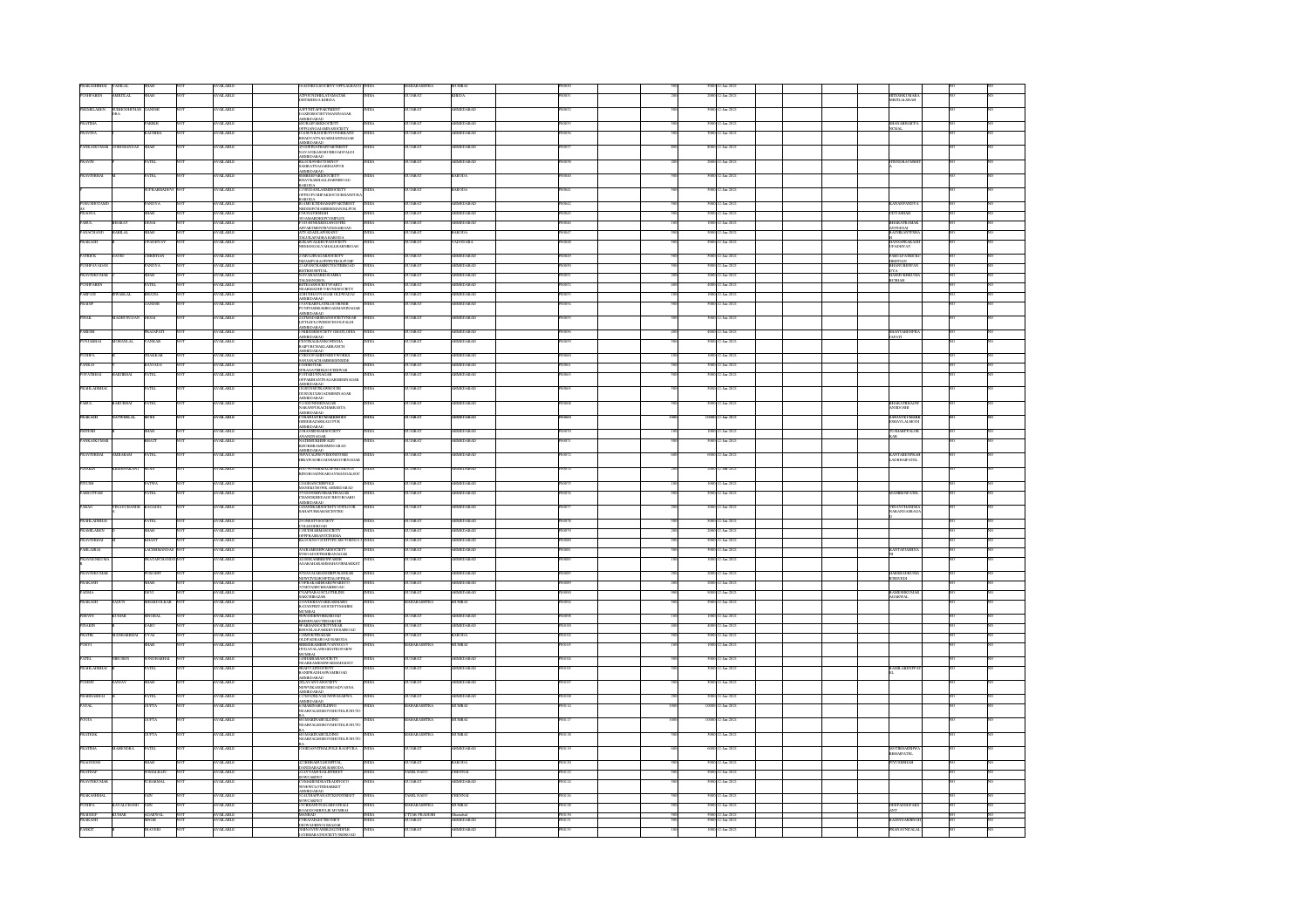| PRAKASHBHA                | ADILAL.          |                         | <b>ALABLE</b>          | 6AGOKULSOCIETY OPPLALBAUG INDIA                                                                                                                                       |              | MAHARASHTRA          | <b>EUMBAI</b>          |         |      |                                      |  |                                      |  |  |
|---------------------------|------------------|-------------------------|------------------------|-----------------------------------------------------------------------------------------------------------------------------------------------------------------------|--------------|----------------------|------------------------|---------|------|--------------------------------------|--|--------------------------------------|--|--|
|                           |                  |                         | <b>ME ARE</b>          | <b>OLNDHELATAMAT</b>                                                                                                                                                  |              |                      |                        |         |      |                                      |  |                                      |  |  |
|                           |                  |                         |                        | TKHEDA KHEDA                                                                                                                                                          |              |                      |                        |         |      |                                      |  | RITLALSHAF                           |  |  |
| PREMELABEN                | SUBHODHCHA<br>à. | WDHI                    | VAILABLE               | PUNITAPPARTMENT<br><b>XINISOCIETYMANINAGAR</b>                                                                                                                        |              | JARAT                | HMEDABAD               |         |      | $tan-202$                            |  |                                      |  |  |
|                           |                  |                         |                        | HMEDABAD<br>SURAJPARKSOCIETY                                                                                                                                          |              |                      |                        |         |      |                                      |  |                                      |  |  |
| PRATIMA                   |                  | .<br>Rikh               | <b>AILABLE</b>         | <b><i>SPEANGALAMNASOCIETY</i></b><br>DI4SUNE SOCIETY OVERKANS                                                                                                         |              | <b>JARA</b>          | <b>MEDABAL</b>         |         |      |                                      |  | SHANABHAIC<br>NCHAL                  |  |  |
| <b>PRAVINA</b>            |                  | <b>ACTENT</b>           | All ARLE               |                                                                                                                                                                       |              | <b>TAPA</b>          | <b>HMEDARAL</b>        |         |      | $\overline{a}$                       |  |                                      |  |  |
| <b>ANKAJKUM</b>           | <b>IRDHAY</b>    | <b>IAH</b>              | <b>AILABLE</b>         | JI SONESOLIET I OVERKANS<br>HIADUATNAGARMANINAGAR<br>UMEDABAD<br>ISGOPINATHAPPARTMENT                                                                                 |              | <b>JARA</b>          | <b>IMEDARAD</b>        |         |      | m, 202                               |  |                                      |  |  |
|                           |                  |                         |                        | <b>SAVAVIKASGRUHROADPALDI</b>                                                                                                                                         |              |                      |                        |         |      |                                      |  |                                      |  |  |
| <b>RAVIN</b>              |                  | .<br>TEL                | <b>ALABLE</b>          | <b>MHMEDABAD<br/>BLOCK99SECTORNO7</b><br>BAMRATNAGARISANPUR                                                                                                           |              | JARAT                | MEDABAD                |         | 2000 | $Jan-2021$                           |  | <b>NDRAVM</b>                        |  |  |
|                           |                  |                         |                        |                                                                                                                                                                       |              |                      |                        |         |      |                                      |  |                                      |  |  |
| <b>RAVINBHAI</b>          |                  | VTEL                    | <b>ALABLE</b>          | <b>HMEDABAD</b><br>HMEDABAD<br><sup>04</sup> RFEPARKSOCIETY                                                                                                           |              | JARAT                | <b>ARODA</b>           |         |      |                                      |  |                                      |  |  |
|                           |                  |                         |                        | <b>HAVKARHALLHARNIROAD</b>                                                                                                                                            |              |                      |                        |         |      |                                      |  |                                      |  |  |
|                           |                  | <b>UPRABHADEV</b>       | VAILABLE               | ARODA<br>3SUDANLAXMISOCIETY<br>PPSUPUSHPAKSOCSUBHANPURA                                                                                                               | <b>INDIA</b> | <b>GUJARA'I</b>      | ARODA                  |         |      | 5000 12-Jan-2021                     |  |                                      |  |  |
|                           |                  | NDY A                   | All ARI F              | <b>GRODA</b><br>  4MUKTIDHAMAPPARTMENT                                                                                                                                |              | <b>LARAT</b>         | <b>EDARAL</b>          |         |      |                                      |  |                                      |  |  |
|                           |                  |                         |                        | RDEEPCHAMBERMANJALPUR<br>OUDAYRSHAH                                                                                                                                   |              |                      |                        |         |      |                                      |  |                                      |  |  |
| ia<br>Ragna               |                  | .<br>IAH                | <b>VAILABLE</b>        |                                                                                                                                                                       | <b>NDIA</b>  | UJARAT               | HMEDABAD               |         |      | 5000 12-Jan-2021                     |  | <b>YASHAH</b>                        |  |  |
| ARUL.                     | ARAT             | ESAI                    | ALABLE                 | <b>JAMARDEEPCOMPLEX</b><br>03 ANNEXEEGANGOTRI                                                                                                                         | <b>NDIA</b>  | <b>SUJARAT</b>       | HMEDARAD               | na      |      | 1000 12-Jan-2021                     |  | <b>HARATRAMA</b>                     |  |  |
| <b>ANACHAND</b>           | ARILAL.          | HAH                     | <b>ALABLE</b>          | FIUSANNEXEELIANGOTRI<br>APPARTMENTRVDESAIROAD<br>ATVADADI APORANU<br>TALUKAPADRA BARODA<br>B2KAN ALKRUPASOCIETY<br>NRMANGALYAHALLHARNIROAD<br>NRMANGALYAHALLHARNIROAD | NDIA         | <b>UJARAT</b>        | ARODA                  |         |      | 5000 12-Jan-2021                     |  | NTDESAI<br>AJNIKANTPS                |  |  |
| RAKASH                    |                  | ADHY/                   | <b>ALABLE</b>          |                                                                                                                                                                       |              | JARAT                | <b>DODARA</b>          |         |      | J <sub>202</sub>                     |  | ANSAPRAK/<br>PADHY AY                |  |  |
|                           |                  |                         |                        |                                                                                                                                                                       |              |                      |                        |         |      |                                      |  |                                      |  |  |
| PATRICK                   | $_{WD}$          | <b>IRISTIAN</b>         | VAILABLE               | <b>IMULJINAGARSOCIETY</b>                                                                                                                                             | <b>NDIA</b>  | UJARAT               | HMEDABAD               |         |      | 2-Jan-202                            |  | <b>ARULPATRICK</b>                   |  |  |
| PUSHPAVADAN               |                  | .<br>WDYA               | VAILABLE               | <b>IZAMPURAOPPPETROLPUMP</b><br>LAPANCHAMRUTGOTRIROAD                                                                                                                 | INDIA        | GUJARAT              | HMEDABAD               |         |      | 5000 12-Jan-2021                     |  | HRISTIAN<br>BHANUBENPAN              |  |  |
| <b>WAVINKI</b>            |                  |                         | All ARI F              | <b>TBHOSPITAL</b><br>VARAZARKOSAMRA                                                                                                                                   |              | <b>TARA</b>          | <b>MCDARAT</b>         |         |      |                                      |  | DYA<br>***************               |  |  |
| USHPABEN                  |                  | .<br>IFFI               | <b>VAILABLE</b>        | IALMANGROL.<br>RETEJASSOCIETYPART2                                                                                                                                    | .<br>NDI A   | <b>HILSEAT</b>       | <b>HMEDARAT</b>        |         |      | 4000 12-Jan-2021                     |  | <b>RCSHAH</b>                        |  |  |
| ARPATI                    |                  | <b>BHATIA</b>           | VAILABLE               | EARMADHUVRUNDSOCIETY<br>2BUDHAVNAGAR OLDWADAJ                                                                                                                         |              | <b>GUJARAT</b>       | HMEDABAD               |         |      | 1000 12-Jan-2021                     |  |                                      |  |  |
|                           | WARLAL.          |                         |                        |                                                                                                                                                                       | <b>INDIA</b> |                      |                        |         |      |                                      |  |                                      |  |  |
| PRADIP                    |                  | <b>ANDHI</b>            | ALABLE                 | <b>VHMEDABAD</b><br> 3AVKARFLATSLGCORNER<br><b>INITASHRAMROADMANINAGAR</b>                                                                                            | <b>NDIA</b>  | UJARAT               | <b>IMEDARAD</b>        |         | 5000 | 2-Jan-2021                           |  |                                      |  |  |
| INAK                      |                  |                         | All ABLE               | .INITASHANI<br>HMEDABAD<br>ATMADARSHANSOCIETYNEAR<br>JTTLEFLOWERSCHOOLPALDI                                                                                           |              |                      |                        |         |      |                                      |  |                                      |  |  |
|                           |                  |                         |                        |                                                                                                                                                                       |              | ARA)                 | EDABAL                 |         |      | $tan-202$                            |  |                                      |  |  |
| ARESH                     |                  | RAJAPATI                | VAILABLE               | TLEFLOWOOD<br>MEDABAD<br>RIDDHISOCIETY GHATLODIA                                                                                                                      | <b>NDIA</b>  | UJARAT               | HMEDABAD               |         |      | $\frac{1}{2}$ an-2021                |  | <b>ANTARENE</b>                      |  |  |
| UNJABHAI                  | <b>OHANLAL</b>   | <b>ANKAR</b>            | <b>VAILABLE</b>        | HMEDABAD<br>ENTRALBANKOFINDIA                                                                                                                                         | æ            | .<br>JUARAT          | HMEDABAD               |         |      | 5000 12-Jan-2021                     |  | <b>JAPATI</b>                        |  |  |
|                           |                  |                         |                        | RAPURCHAKLABRANCH                                                                                                                                                     |              |                      |                        |         |      |                                      |  |                                      |  |  |
| <b>PUSHPA</b>             |                  | .<br>HAKKAR             | ALABLE                 | HMEDABAD<br>DROOPAMHOSERYWORKS                                                                                                                                        |              | <b>UJARAT</b>        | <b>HMEDARAD</b>        |         |      | 2-Jan-202                            |  |                                      |  |  |
| <b>PANKAT</b>             |                  | <b>AVIADA</b>           | <b>VAILARLE</b>        | ANJANACHAMBERSINSIDE<br>OJDKOTAK                                                                                                                                      | NDIA.        | TARATIO              | HMEDARAD               |         |      | $3000$ 12-Jan-2021                   |  |                                      |  |  |
| POPATBHAI                 |                  | ATEL.                   | <b>ALABLE</b>          | SPRAGATISHILSOCISHWAR<br>FIOTARUNNAGAR                                                                                                                                | <b>DIA</b>   | UJARAT               | <b>IMEDABAD</b>        |         |      | J <sub>20</sub> 202                  |  |                                      |  |  |
|                           | RJIBHAI          |                         |                        | <b>OPPARIHANTNAGARMEMNAGAR</b>                                                                                                                                        |              |                      |                        | 063     | 5000 |                                      |  |                                      |  |  |
| RAHLADBH                  |                  | .<br>TEI                | <b>ALABLE</b>          | AHMEDABAD<br>IS4SUNSETRAWHOUSE<br>GURUKULROADMEMNAGAR<br>GURUKULROADMEMNAGAR                                                                                          |              | JARAT                | MEDABAD                |         |      | J <sub>202</sub>                     |  |                                      |  |  |
|                           |                  |                         |                        |                                                                                                                                                                       |              |                      |                        |         |      |                                      |  |                                      |  |  |
| PARUL.                    | <b>SUBHA</b>     | VTEL                    | VAILABLE               | HMEDABAD<br><sup>110</sup> SUNDERNAGAR<br><b>SARANPURACHARRASTA</b>                                                                                                   |              | JARAT                | <b>IMEDABAD</b>        |         |      | $tan-202$                            |  | <b>ARATBHA</b>                       |  |  |
|                           |                  |                         |                        | HMEDABAD<br>OSANJAYKUMARKMODI                                                                                                                                         |              |                      |                        |         |      |                                      |  | ANJIDOSHI                            |  |  |
| PRAKASH                   | ATWERLAL         | IODM                    | ALABLE                 | HEEBAZARKALUPUR                                                                                                                                                       |              | UJARAT               | <b>IMEDABAD</b>        |         |      | 2-Jan-2021                           |  | <b>ANJAYKUMA</b><br><b>HAVLALMOD</b> |  |  |
| <b>SITESH</b>             |                  |                         | <b>ALABLE</b>          | <b>IMEDABAD</b><br><sup>19</sup> ANSIDHARSOCIETY                                                                                                                      |              | <b>HARA</b> T        | <b>IMFDARAD</b>        |         |      | 1000 12-Jan-202                      |  | ISHARPPALO                           |  |  |
| <b>ANKAJKUM</b>           |                  |                         | ALABLE                 | NANDNAGAR<br>ATHMUKHISFALIU                                                                                                                                           |              | <b>UARAT</b>         | HMEDABAD               |         |      |                                      |  |                                      |  |  |
|                           |                  | HATT                    |                        | HOKHRAMEHMEDABAD                                                                                                                                                      |              |                      |                        |         | 900  | J <sub>20</sub>                      |  |                                      |  |  |
| <b>RAVINBHAI</b>          | BARAM            | VTEL.                   | VAILABLE               | AHMEDABAD<br>AHMEDABAD<br>HIRAWADIROADMAHAVIRNAGAR<br>HIRAWADIROADMAHAVIRNAGAR                                                                                        | őΜ           | JARAT                | MEDABAD                |         |      | J <sub>20</sub> 2021                 |  |                                      |  |  |
|                           |                  |                         |                        |                                                                                                                                                                       |              |                      |                        |         |      |                                      |  | KANTABENPRA<br>LADBHAIPATEL          |  |  |
| VAKIN                     |                  |                         | All ARI F              | <b>ROSNIRMAL APARTMENTS</b>                                                                                                                                           |              |                      | <b>SUIVARAE</b>        |         |      |                                      |  |                                      |  |  |
|                           |                  |                         |                        | INGROADNEARJAYMANGALSOG                                                                                                                                               |              |                      |                        |         |      |                                      |  |                                      |  |  |
| PIYUSH                    |                  | <b>ATWA</b>             | VAILABLE               | <b>SGHANCHISPOLE</b>                                                                                                                                                  | <b>COLA</b>  | <b>GUJARA'I</b>      | HMEDABAD               |         |      | 1000 12-Jan-2021                     |  |                                      |  |  |
| PARSOTTAM                 |                  | .<br>VTEI               | <b>AILABLE</b>         | MANEKCHOWK AHMEDABAD<br>1792099SHIVSHAKTINAGAR<br>"HANDKHEDAGUIHOUBOARD                                                                                               |              | <b>JARAT</b>         | <b>IMEDABA</b>         |         |      |                                      |  |                                      |  |  |
|                           |                  |                         |                        |                                                                                                                                                                       |              |                      |                        |         |      |                                      |  |                                      |  |  |
| PARAG                     |                  | <b>AGADL</b>            | VAILABLE               | HMEDABAD<br>4SANSKARSOCIETY ISTFLOOR<br>AHAPURBAHAICENTRE                                                                                                             |              | JARAT                | HMEDABAD               |         |      |                                      |  | AYCHANDE<br>ARANDASBAG               |  |  |
| <b>PRAHLADBHA</b>         |                  | ATEL.                   | VAILABLE               | SONESTYSOCIETY                                                                                                                                                        | NDIA         | GUJARAT              | HMEDABAD               |         |      |                                      |  |                                      |  |  |
|                           |                  |                         |                        |                                                                                                                                                                       |              |                      |                        |         |      | 5000 12-Jan-2021                     |  |                                      |  |  |
| RAMILABEN                 |                  | лH                      | <b>AILABLE</b>         | <b>COLLEGEROAD</b><br>  ISUDHARMASOCIETY<br>  OPPPRASHANTCINEMA                                                                                                       | iDIA         | <b>UJARAT</b>        | MEDABAD                |         | 2000 | J <sub>2021</sub>                    |  |                                      |  |  |
|                           |                  |                         | All ARLE               |                                                                                                                                                                       |              | <b>TARA</b>          | <b>MEDARAT</b>         |         |      |                                      |  |                                      |  |  |
| AHI AIR AL                |                  | cum                     | VAII ARI F             | <b>IRAMESHWARSOCIETY</b>                                                                                                                                              |              | 1149.47              | <b><i>IMEDARAE</i></b> |         |      | $-202$                               |  |                                      |  |  |
| <b>PRAVEENKUM</b>         |                  | RATAPCHAN               | <b>VAILABLE</b>        | SVROADOPPKHIRANAGAR<br>1440EKAMBRESWARER                                                                                                                              | NDIA         | .<br>UJARAT          | HMEDABAD               |         |      | 2-Jan-2021                           |  |                                      |  |  |
|                           |                  |                         |                        | <b>GARAHARAMMAHAVIRMARKE</b>                                                                                                                                          |              |                      |                        |         |      |                                      |  |                                      |  |  |
| RAVINKUM                  |                  |                         | ALABLE                 | <b>NAVAIAHANGEPURANEAR</b>                                                                                                                                            |              | <b>TAPA</b>          | <b>BEDARAL</b>         |         |      | tan 20                               |  |                                      |  |  |
| <b>PRAKASH</b>            |                  | нан                     | <b>VAILABLE</b>        | NEWCIVILHOSPITALOPPBAL.<br>COPRAKASHHARDWARECO                                                                                                                        | <b>NDIA</b>  | <b>GUJARAT</b>       | <b>HMEDARAD</b>        |         |      | 2000 12-Jan-2021                     |  | <b>RTRIVEDI</b>                      |  |  |
| ADMA <sup>*</sup>         |                  | ÆVТ                     | VAILABLE               | <b>ENETAISUBHASHROAD</b><br>COAPSARAI SCLOTHLINE                                                                                                                      | <b>NDIA</b>  | GUJARAT              | HMEDABAD               |         |      | 9000 12-Jan-2021                     |  | RAMESHKUMA                           |  |  |
| RAKASH                    |                  | HARDOLK/                | ALABLE                 | SAKCHIBAZAR<br>216VEERSAVARKARMARG                                                                                                                                    | DIA          | <b>AHARASHTRA</b>    | UMBAI                  |         |      | J <sub>2021</sub>                    |  | AGARWAL                              |  |  |
|                           |                  |                         |                        | <b>ATANPRIYASOCIETYMAHIM</b>                                                                                                                                          |              |                      |                        |         |      |                                      |  |                                      |  |  |
| ERVIN                     |                  |                         | <b>ALABLE</b>          | <b><i>AUMBAL<br/>AWATERWORKSROAD</i></b><br>GRISHNAKUTIRSAKCHL                                                                                                        |              | JARA)                |                        |         |      |                                      |  |                                      |  |  |
| PINAKIN                   |                  |                         | <b>ALABLE</b>          |                                                                                                                                                                       | <b>NDIA</b>  | UJARAT               | <b>IMEDABAD</b>        |         |      | $J20$ -2021                          |  |                                      |  |  |
| <b>PRATIK</b>             |                  | <b>YAS</b>              | .<br>Allable           | HOGILALPARKRVDESAIROAD<br>18MUKTINAGAR                                                                                                                                | <b>NDIA</b>  | .<br>JUARAT          | ARODA                  |         |      | 5000 12-Jan-2021                     |  |                                      |  |  |
|                           |                  |                         |                        |                                                                                                                                                                       |              |                      |                        |         |      |                                      |  |                                      |  |  |
| PURVI                     |                  |                         | <b>ALABLE</b>          | <b>OLDPADRAROAD BARODA<br/>SHREERAMBHUVANNO215<br/>JIVDAYALANEGHATKOPARW</b>                                                                                          |              | <b>AHARASHTRA</b>    | <b>IUMBAI</b>          |         |      | $Jan-202$                            |  |                                      |  |  |
| PATEL.                    | GRUBEN           | <b>ONDHARHAI</b>        | <b>AVAILARLE</b>       | UMBAI<br>ISHAIBABASOCIETY                                                                                                                                             | <b>NDIA</b>  | <b>GUIARAT</b>       | <b>HMEDARAD</b>        |         |      | 5000 12-Jan-2021                     |  |                                      |  |  |
| <b>PRAHLADBHA</b>         |                  | <b>ATEL</b>             | <b>ALABLE</b>          | EARRAMESHWARMAHADEV<br>BADVAITSOCIETY                                                                                                                                 | <b>TITA</b>  | UJARAT               | HMEDABAD               |         |      | 3000 12-Jan-2021                     |  | MILABENPI                            |  |  |
|                           |                  |                         |                        | <b>SADVALISOCIETI</b><br>ANIPRADHASWAMIROAD                                                                                                                           |              |                      |                        |         |      |                                      |  |                                      |  |  |
| UMMY                      |                  | IЛН                     | ALABLE                 | NHMEDABAD<br>SLAVANYASOCIETY<br>SEWVIKASGRUHROADVASNA                                                                                                                 |              | UJARAT               | <b>IMEDABAD</b>        |         |      | $\frac{1}{2}$ an-2021                |  |                                      |  |  |
|                           |                  |                         |                        |                                                                                                                                                                       |              |                      |                        |         |      |                                      |  |                                      |  |  |
| <b>RARHAR</b>             |                  | .<br>TFI                | AT ARI F               | HMEDABAD<br>176PATELVAS NEWASARWA                                                                                                                                     |              | <b>TARAT</b>         | MEDARAE                |         |      |                                      |  |                                      |  |  |
| PAYAL.                    |                  | <b>UPTA</b>             | ALABLE                 | HMEDABAD<br>  MARINABUILDING                                                                                                                                          |              | <b>AHARASHTRA</b>    | <b>EUMBAI</b>          |         |      | 2-Jan-2021                           |  |                                      |  |  |
|                           |                  |                         |                        | <b>SEARPALMGROVEHOTELJUHUT</b>                                                                                                                                        |              |                      |                        |         |      |                                      |  |                                      |  |  |
| POOJA                     |                  | <b>UPTA</b>             | <b>ALABLE</b>          | A<br> IMARINABUILDING<br>EARPALMGROVEHOTELJUHUTC<br>                                                                                                                  |              | <b>HARASHTRA</b>     | <b>IMBAI</b>           |         |      | $Jan-202$                            |  |                                      |  |  |
| PRATEEK                   |                  | <b>UPTA</b>             | VAILABLE               | <b>MARINABULDING</b>                                                                                                                                                  |              | <b>AMARASHTRA</b>    | <b>EUMBAI</b>          |         |      | J <sub>202</sub>                     |  |                                      |  |  |
|                           |                  |                         |                        | SUMAKINABULLING<br>SEARPALMGROVEHOTELJUHUTO                                                                                                                           |              |                      |                        |         |      |                                      |  |                                      |  |  |
| RATIMA                    | HENDRA           | ATEL.                   | VAILABLE               | <b>GIDASVITHALPOLE RAOPURA</b>                                                                                                                                        |              | JARAT                | <b>IMEDABAD</b>        |         |      | $-3an-202$                           |  |                                      |  |  |
|                           |                  |                         |                        |                                                                                                                                                                       |              |                      |                        |         |      |                                      |  | OTIBHAIISHV<br>HAIPATEL              |  |  |
| RAGNESE                   |                  |                         | <b>ALABLE</b>          | <b>UD ADTIT LIOCDITA</b>                                                                                                                                              |              | JARA)                | RODA                   |         |      | $Jan-202$                            |  |                                      |  |  |
| PRATHAP                   |                  | <b>MALRAJU</b>          | VAILABLE               | <b>NDIABAZAR BARODA</b><br>AVVAMUDALISTREET                                                                                                                           | <b>DIA</b>   | <b>MIL NADI</b>      | HENNAI                 |         |      | J <sub>202</sub>                     |  |                                      |  |  |
| PRAVINKUMA                |                  | <b>HARMAL</b>           | <b>VAILABLE</b>        | <b>OWCARPET</b><br>OMAHENDRATRADINGCO                                                                                                                                 | NDIA         | .<br>UJARAT          | HMEDARAD               |         |      | 2-Jan-2021                           |  |                                      |  |  |
|                           |                  |                         |                        | <b>SNEWCLOTHMARKET</b>                                                                                                                                                |              |                      |                        |         |      |                                      |  |                                      |  |  |
| RAKASE                    |                  |                         | All ARI F              | AEWLLAND<br>IMEDABAD<br>SUTMAPPANATCKENSTREET                                                                                                                         |              | <b>MIL NAD</b>       | <b>IENNA</b>           |         |      |                                      |  |                                      |  |  |
| <b>PUSHPA</b>             | <b>VALCHAND</b>  | $\overline{\mathbf{N}}$ | .<br>Vall ari f        | OWCARPET<br>SCBHANUNAGARFATEALI                                                                                                                                       | <b>NDIA</b>  | MAHARASHTRA          | <b>ELMBAT</b>          | 0128    |      | 5000 12-Jan-2021                     |  | DEEPADEEPAK                          |  |  |
|                           | <b>CUMAR</b>     | AGARWAL                 |                        | <b>IOADDOMBIVLIE MUMBAI</b><br>ANBAD                                                                                                                                  | <b>INDIA</b> | <b>UTTAR PRADESH</b> |                        | 00130   |      |                                      |  |                                      |  |  |
| <b>PRADEEP</b><br>PRAKASH |                  | <b>SYSH</b>             | AVAILABLE<br>AVAILABLE | <b>NANDAD</b><br>CORAJAELECTRONICS                                                                                                                                    | <b>INDIA</b> | <b>GUJARAT</b>       | Ghaziabad<br>AHMEDABAD |         |      | 5000 12-Jan-2021<br>5000 12-Jan-2021 |  | <b>PAIENDARSIN</b>                   |  |  |
| PANKIT                    |                  | HAVERI                  | <b>AVAILABLE</b>       | <b>OGWADIHNO10BAZAR</b><br>IOBNAVJIVANBLDG2NDFLR                                                                                                                      | <b>INDIA</b> | GUJARAT              | HMEDABAD               | nn i 33 |      | 1000 12-Jan-2021                     |  | <b>PRANAVNDALA</b>                   |  |  |
|                           |                  |                         |                        | JAYBHARATSOCIETY3RDROAD                                                                                                                                               |              |                      |                        |         |      |                                      |  |                                      |  |  |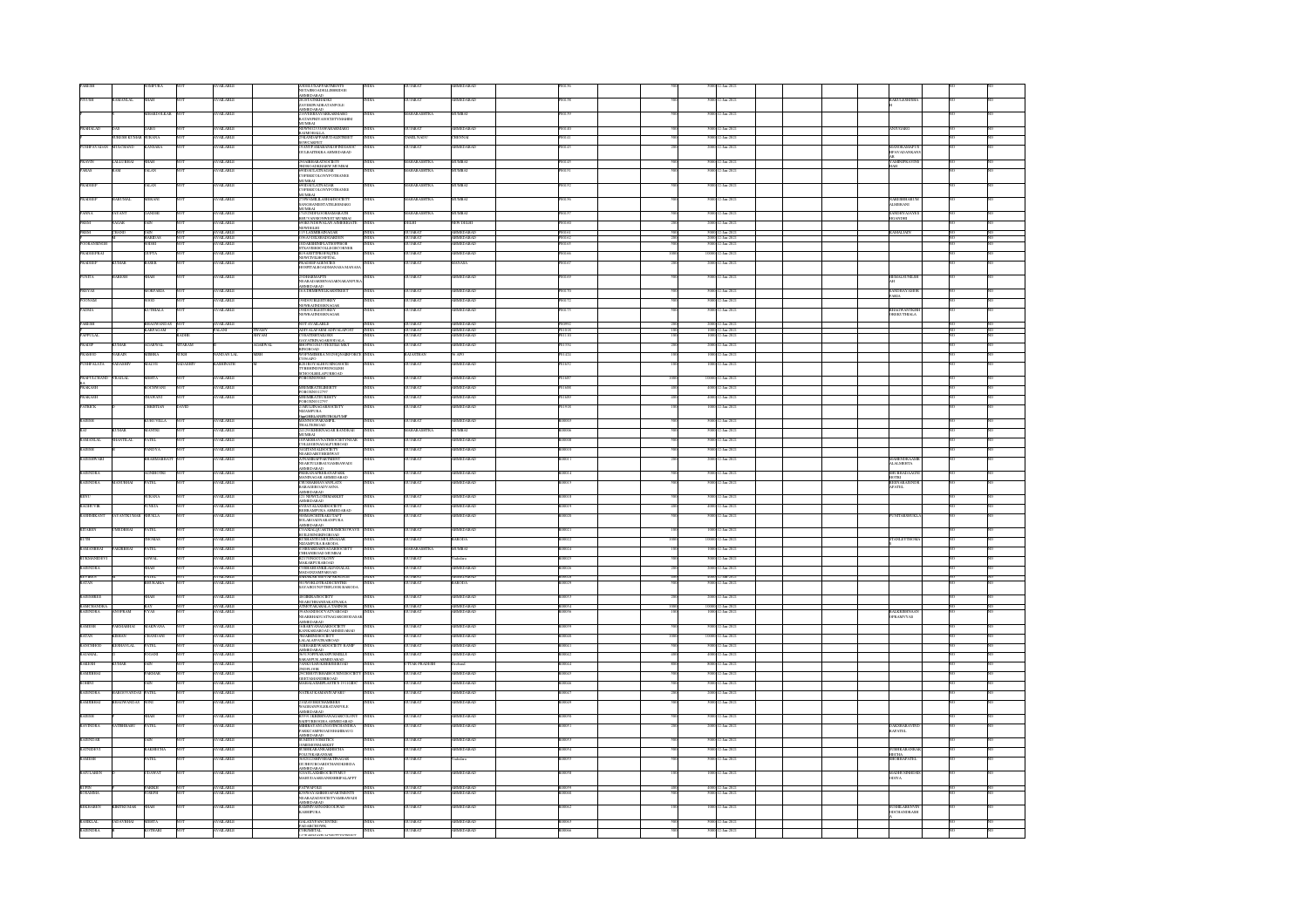|                          |                       | APURA                   |                       | <b>ALABLE</b>        |                     | <b>SDELUXAPPARTMENTS</b>                                                                                                       |                               | JARA)                    | IMEDABAI               |       |                    |                                       |  |                                          |  |  |
|--------------------------|-----------------------|-------------------------|-----------------------|----------------------|---------------------|--------------------------------------------------------------------------------------------------------------------------------|-------------------------------|--------------------------|------------------------|-------|--------------------|---------------------------------------|--|------------------------------------------|--|--|
|                          |                       |                         |                       |                      |                     | NETAJIROADELLISBRIDGE<br><b>HMEDABAD</b><br>SYITATSKHADKI                                                                      |                               |                          |                        |       |                    |                                       |  |                                          |  |  |
|                          |                       |                         |                       | ALABLE               |                     | VERIWADRATANPOLE                                                                                                               |                               |                          |                        |       |                    |                                       |  |                                          |  |  |
|                          |                       | ARDOLKAR                |                       | <b>ALABLE</b>        |                     | IMEDABAD<br>SVEERSAVARKARMARG                                                                                                  |                               | <b>HARASHTRA</b>         | <b>IMRAI</b>           |       |                    |                                       |  |                                          |  |  |
|                          |                       |                         |                       |                      |                     | ATANPRIYASOCIETYMAHIM                                                                                                          |                               |                          |                        |       |                    |                                       |  |                                          |  |  |
| RAHALAD                  |                       | ARC                     |                       | <b>ALABLE</b>        |                     | UMBAI<br>EWNO233JAWAHARMARG                                                                                                    | NDIA                          | <b>JARAT</b>             | <b>IMEDABAL</b>        |       |                    | 3000 12-Jan-202                       |  | <b>NJUGAR</b>                            |  |  |
|                          |                       | <b>IRANA</b>            |                       | All ABLE             |                     | AJMOHALLA<br>WANDAPPAMUDALISTREET                                                                                              |                               | <b>MILNAD</b>            | <b>IENNA</b>           |       | $rac{1}{2}$        | tan 2t                                |  |                                          |  |  |
| <b>SHPAVAI</b>           | <b>TT CHAND</b>       | <b>ANSARA</b>           |                       | ALABLE               |                     | OWCARPET<br> 0 ANUPAMABANKOFINDIASOC                                                                                           |                               | 13.937                   | <b><i>IMEDARAL</i></b> |       |                    | Im 20                                 |  | NOR AMAP                                 |  |  |
|                          |                       |                         |                       |                      |                     | GULBAITEKRA AHMEDABAD                                                                                                          |                               |                          |                        |       |                    |                                       |  | PAVADANKA                                |  |  |
| PRAVIN                   | <b>ALLUBHAI</b>       | НАН                     |                       | <b>AVAILABLE</b>     |                     | 9JAIBHARATSOCIETY                                                                                                              | NDIA                          | <b>MAHARASHTRA</b>       | MUMBAI                 |       |                    | 5000 12-Jan-2021                      |  | W.<br>YAMINIPRAVIM                       |  |  |
| VRAS                     |                       |                         |                       | LABI.                |                     | SOMBHARATSOCIET<br>REROADKHARW MUMBAL<br>COPERICOLONYPOTHANEE                                                                  |                               |                          |                        |       |                    |                                       |  |                                          |  |  |
|                          |                       |                         |                       |                      |                     |                                                                                                                                |                               |                          |                        |       |                    |                                       |  |                                          |  |  |
| PRADEEP                  |                       | LА                      |                       | <b>AILABLE</b>       |                     | <b>AUMBAI<br/>90DAULATNAGAR<br/>COPERICOLONYPOTHANEE</b>                                                                       |                               | <b>IARASHTRA</b>         | <b>IUMBAI</b>          |       |                    |                                       |  |                                          |  |  |
|                          |                       |                         |                       |                      |                     |                                                                                                                                |                               |                          |                        |       |                    |                                       |  |                                          |  |  |
| PRADEEP                  | <b>ARUMAL</b>         | <b>ERANI</b>            |                       | <b>VAILABLE</b>      |                     | UMBAI<br>!SWAMILILASHAHSOCIETY<br>ANGHANIESTATELISMARG                                                                         |                               | <b>AHARASHTRA</b>        | <b>UMBAI</b>           |       |                    | 2-Jan-202                             |  | NARESHHARU<br>ALMERANI                   |  |  |
| <b>ANNA</b>              | <b>VANT</b>           | HKINA                   |                       | VAILABLE             |                     | <b>MBAI</b><br>452NDFLOORSAMARATH                                                                                              | <b>DIA</b>                    | <b><i>AMARASHTRA</i></b> | <b>EUMBAI</b>          |       |                    | 5000 12-Jan-2021                      |  | <b>NDHYALAVI</b>                         |  |  |
| PREM                     | <b>AGAR</b>           |                         |                       | <b>VAILABLE</b>      |                     | BHUVANSIONWEST MUMBAL<br>590KUNDEWALAN AJMERIGATE                                                                              | <b>NDIA</b>                   | <b>DELHI</b>             | <b>EW DELHI</b>        | nt or |                    | 2000 12-Jan-2021                      |  | <b>JANDHI</b>                            |  |  |
|                          |                       | $\overline{\mathbf{N}}$ |                       |                      |                     | <b>EWDELHI</b><br>15 LAXMIBAINAGAR                                                                                             |                               |                          |                        |       |                    |                                       |  |                                          |  |  |
| PREM                     | <b>IAND</b>           |                         |                       | VAILABLE             |                     |                                                                                                                                | <b>INDIA</b>                  | GUJARAT                  | HMEDABAD               | 0161  |                    | 5000 12-Jan-2021                      |  | KAMALJAIN                                |  |  |
| .<br>YOOR ANSING         |                       | urie<br>Iden            |                       | VAILABLE<br>VAILABLE |                     | 36A3 DILSHADGARDEN<br>)DARSHINIFLATSOPPBOB                                                                                     | INDIA<br>INDIA                | GUJARAT<br>GUJARAT       | HMEDABAD<br>HMEDABAD   |       | 2000 12<br>5000 12 | -Jan-2021<br>-Jan-2021                |  |                                          |  |  |
| <b>PRADEEPRAI</b>        |                       | <b>UPTA</b>             |                       | <b>VAILABLE</b>      |                     | <b>TXAVIERSCOLLEGECORNER</b><br>H9ASSTTPROFSQTRS                                                                               | <b>NDIA</b>                   | GUJARAT                  | HMEDABAD               | 0166  |                    | 10000 12-Jan-2021                     |  |                                          |  |  |
| PRADEEP                  | <b>MAR</b>            | ASER                    |                       | ALABLE               |                     | MEWCIVILHOSPITAL<br>PRADEEPAGENCIES<br>HOSPITALROADMANASA MANASA                                                               | NDIA                          | UJARAT                   | <b>LANASA</b>          | 0167  |                    | 2000 12-Jan-2021                      |  |                                          |  |  |
|                          |                       |                         |                       |                      |                     |                                                                                                                                |                               |                          |                        |       |                    |                                       |  |                                          |  |  |
| UNITA                    |                       |                         |                       | <b>ALABLE</b>        |                     | SDHARMAPTS<br>EARADARSHNAGARNARANPUR.                                                                                          |                               | JARAT                    | MEDABAI                |       |                    |                                       |  |                                          |  |  |
|                          |                       |                         |                       |                      |                     |                                                                                                                                |                               |                          |                        |       |                    |                                       |  |                                          |  |  |
| REYAS                    |                       | ORPARIA                 |                       | <b>ALABLE</b>        |                     | HMEDABAD<br>(A DRMBWELKARSTREET)                                                                                               |                               | <b>JARA</b>              | <b>IMEDABAD</b>        |       |                    | Im(202)                               |  | <b>NDHAVA</b><br>ARIA                    |  |  |
| <b>OONAM</b>             |                       | 00D                     |                       | VAILABLE             |                     | SDOUBLESTOREY                                                                                                                  | <b>DIA</b>                    | .<br>JUARAT              | HMEDABAD               |       |                    | 5000 12-Jan-2021                      |  |                                          |  |  |
| ADMA <sup>®</sup>        |                       | <b>THIAL</b>            |                       | ALABLE               |                     | EWRAINDERNAGAR<br>98DOUBLESTOREY<br>EWRAINDERNAGAR                                                                             |                               | <b>JARA</b>              | <b>BEDARA</b>          |       |                    |                                       |  | BHAGWANTKE<br>OREKUTHIALA                |  |  |
|                          |                       |                         |                       |                      |                     |                                                                                                                                |                               |                          |                        |       |                    |                                       |  |                                          |  |  |
| <b>ARESH</b>             |                       | ARPAGAM                 |                       | ALABLE<br>PALANI     | waxey               | <b>TAVAILABLE</b><br>NALAFARM ADIVALAPOST                                                                                      | $\ensuremath{\mathsf{INDIA}}$ | GUJARAT                  | HMEDABAD               |       |                    |                                       |  |                                          |  |  |
| <b>APPULAL</b>           |                       |                         |                       |                      |                     |                                                                                                                                |                               | UJARA                    | <b>MEDABAI</b>         |       |                    | 1000 12-Jan-2021                      |  |                                          |  |  |
| <b>RADIP</b>             | MAR                   | GARWAL                  | <b>TARAM</b>          |                      | <b><i>ARWAL</i></b> | IAYATRINAGARSODALA<br>HOPNO20451TEXTILE MKT                                                                                    | <b>NDIA</b>                   | <b>JUARAT</b>            | <b>IMEDARAD</b>        |       |                    | 2000 12-Jan-2021                      |  |                                          |  |  |
| RAMOD                    | ARAIN                 | ISHRA                   | JKH                   | NDAN LAL             |                     | HOP (NORTH LIBERAL SERVICE)<br>INGROAD<br>VOPNMISHRA NO29JQNAIRFORCE                                                           | <b>INDIA</b>                  | <b>LAJASTHAN</b>         | 6 APO                  | )[424 |                    | 1000 12-Jan-2021                      |  |                                          |  |  |
| USHPALATA                |                       | <b>M.VE</b>             |                       |                      |                     | <b>OS6APO</b><br>NHROYALHOUSINGSOCIE                                                                                           |                               | UJARAT                   | HMEDABAD               |       |                    | 1000 12-Jan-2021                      |  |                                          |  |  |
|                          | DASHIN                |                         | ADASHIN               | <b>SHINATH</b>       |                     | YBEHINDNEWENGLISH<br>CHOOLBELAPURROAD                                                                                          | NDIA                          |                          |                        | 1652  |                    |                                       |  |                                          |  |  |
| <b>AFULC</b>             |                       | <b>EHTA</b>             |                       | .<br>MLABLE          |                     |                                                                                                                                |                               | IARA                     |                        |       |                    |                                       |  |                                          |  |  |
| <b>SA</b><br>RAKASH      |                       | <b>OCHWAN</b>           |                       | VAILABLE             |                     | <b>EMIRATELIBERTY</b>                                                                                                          | <b>NDIA</b>                   | UJARAT                   | <b>HMEDARAD</b>        |       | 4000               | 2-Jan-2021                            |  |                                          |  |  |
|                          |                       |                         |                       |                      |                     | <b>DBOXNO12797</b><br>SEMIRATEURERTY                                                                                           |                               |                          | HMEDABAD               |       |                    |                                       |  |                                          |  |  |
| RAKASH                   |                       | HAWANI                  |                       | <b>ALABLE</b>        |                     |                                                                                                                                | <b>COLA</b>                   | JARAT                    |                        |       | 4000               | $\frac{1}{2}$ an-2021                 |  |                                          |  |  |
| ATRICK                   |                       |                         | $\overline{\text{v}}$ |                      |                     | POBOXNO12797<br>POBOXNO12797<br>NIZAMPURA                                                                                      | <b>NDLA</b>                   | UJARAT                   | HMEDARAD               |       |                    | $2-3an-2021$                          |  |                                          |  |  |
| <b>AJESH</b>             |                       | URUVILLA                |                       | VAILABLE             |                     | <b>GHELANIPETROLPUMP</b><br>WNOOPARAMPIL                                                                                       | NDIA.                         | <b>GUILSEAT</b>          | <b>HMEDARAD</b>        |       |                    | 5000 12-Jan-2021                      |  |                                          |  |  |
|                          |                       |                         |                       |                      |                     | HALTEJROAD<br>HALTEJROAD<br>H1291KHERNAGAR BANDRAE                                                                             |                               |                          |                        |       |                    |                                       |  |                                          |  |  |
|                          | MAR                   | <b>IANTRI</b>           |                       | <b>VAILABLE</b>      |                     |                                                                                                                                | <b>NDIA</b>                   | <b>MAHARASHTR</b>        | <b>JUMBAI</b>          |       |                    | 5000 12-Jan-2021                      |  |                                          |  |  |
| AMANLAL                  | <b>IANTILAL</b>       | ATEL.                   |                       | <b>VAILABLE</b>      |                     | 241271 KHEROVALLAND<br>MUMBAI<br>IOPARSHAVNATHSOCIETYNEAR<br>COLLEGENALGAL PURROAD<br>34GITANJAL ISOCIETY<br>TATO VID VERGHWAY | <b>INDIA</b>                  | GUJARAT                  | HMEDABAD               |       |                    | 5000 12-Jan-2021                      |  |                                          |  |  |
|                          |                       |                         |                       | <b>AILABLE</b>       |                     |                                                                                                                                |                               | IARA)                    |                        |       |                    | $an-202$                              |  |                                          |  |  |
| <b>TESHW</b>             |                       |                         |                       | <b>ALABLE</b>        |                     | <b>GELANDARYHIGHWAY</b>                                                                                                        |                               | JARAT                    | NEDABAI                |       |                    | $Jan-202$                             |  | MAHENDRAA<br>ALALMEHTA                   |  |  |
|                          |                       |                         |                       |                      |                     | EARTULSIBAUGAMBAWADI                                                                                                           |                               |                          |                        |       |                    |                                       |  |                                          |  |  |
| AJENDRA                  |                       | <b>GNIHOTRI</b>         |                       | <b>ALABLE</b>        |                     | HMEDABAD<br>RERANAPRERANAPARK                                                                                                  | DIA                           | <b>JUJARAT</b>           | HMEDABAD               |       |                    | 5000 12-Jan-2021                      |  | <b>HUBHADA</b>                           |  |  |
| AJENDRA                  |                       | .<br>VTEI               |                       | <b>AILABLE</b>       |                     | MANINAGAR AHMEDABAD<br>CSUSHABHAVANFLATS<br>BARAGEROADVASNA                                                                    |                               | <b>JARAT</b>             | <b>IMEDARAL</b>        |       |                    | J <sub>20</sub>                       |  | HOTRI<br>REENARA<br>APATEL               |  |  |
|                          |                       |                         |                       |                      |                     | HMEDABAD<br>21 NEWCLOTHMARKET                                                                                                  |                               |                          |                        |       |                    |                                       |  |                                          |  |  |
| ENU                      |                       | URANA                   |                       | VAILABLE             |                     |                                                                                                                                | æа                            | <b>SUJARAT</b>           | <b>IMEDARAD</b>        |       |                    | 3000 12-Jan-202                       |  |                                          |  |  |
| <b>AGHUVIR</b>           |                       | NEJA                    |                       | <b>VAILABLE</b>      |                     | <b>WIMEDABAD</b><br>WIMEDABAD<br>WIJAYALAXMISOCIETY                                                                            | <b>NDIA</b>                   | GUJARAT                  | HMEDABAD               | m     |                    | 4000 12-Jan-2021                      |  |                                          |  |  |
| SHMIKANT                 | ANTKUMAI              | HUKLA                   |                       | <b>ALABLE</b>        |                     | IEHRAMPURA AHMEDABAD<br>88M#9CHITRAKUTAPT                                                                                      | DIA                           | JARAT                    | MEDABAD                |       |                    | $-$ Jan-2021                          |  | NITARSHUK                                |  |  |
|                          |                       |                         |                       |                      |                     | <b>OLAROADNARANPURA</b>                                                                                                        |                               |                          |                        |       |                    |                                       |  |                                          |  |  |
| TABEN                    |                       |                         |                       | <b>ALABLE</b>        |                     | HMEDABAD<br>IDAXIALQUARTERSMICROW<br>IUILDSINGRINGROAD<br><sup>211</sup> SHANT01MULIINAGAR                                     |                               | IARA                     | MEDABA                 |       |                    |                                       |  |                                          |  |  |
| <b>ITH</b>               |                       | <b>OMA</b>              |                       | <b>ALABLE</b>        |                     |                                                                                                                                |                               | <b>JARAT</b>             | <b>ARODA</b>           |       |                    | $tan-202$                             |  | NLEYTH                                   |  |  |
| <b>MANBHAI</b>           | KIRBHAI               | ATEL                    |                       | <b>AILABLE</b>       |                     | IZAMPURA BARODA<br>ISBSARDARNAGARSOCIETY                                                                                       | <b>DIA</b>                    | <b>AHARASHTR</b>         | <b>UMBAI</b>           |       |                    | 2-Jan-2021                            |  |                                          |  |  |
| UKMANID                  |                       | .<br>Wal                |                       | ALABLE               |                     | HANIROAD MUMBAL<br>17ONGCCOLONY                                                                                                |                               | JARAT                    | .<br>aksim             |       | $\overline{mn}$    | 2-Jan-202                             |  |                                          |  |  |
| <b>ENDRA</b>             |                       | $\overline{\mathbf{u}}$ |                       | ALABLE               |                     | 21 / UANA<br>AAKARPURAROAD<br>≌¤¤ ∗HI ANKILALPANALAL                                                                           |                               | <b>JARA</b>              | <b>NEDARA</b>          |       |                    | J <sub>202</sub>                      |  |                                          |  |  |
|                          |                       | <b>ATEL</b>             |                       | .<br>VAILABLE        |                     | MADANZAMPAROAD<br>MADANZAMPAROAD<br>SOIWORLDTRADECENTRE<br>SAYABGUNISTHFLOOR BARODA                                            | NDIA                          | <b>JUARAT</b>            | <b>HMEDARAD</b>        |       |                    | 4000 12-Jan-2021                      |  |                                          |  |  |
| REVIBEN<br>RATAN         |                       |                         |                       |                      |                     |                                                                                                                                |                               |                          |                        |       |                    |                                       |  |                                          |  |  |
|                          |                       |                         |                       |                      |                     |                                                                                                                                |                               |                          |                        |       |                    |                                       |  |                                          |  |  |
| <b>AJESHREE</b>          |                       | НАН                     |                       | <b>VAILABLE</b>      |                     | <b>SGIRIRAJSOCIETY</b>                                                                                                         | INDIA                         | <b>GUJARAT</b>           | HMEDABAD               |       |                    | 2000 12-Jan-2021                      |  |                                          |  |  |
| AMCHANDRA<br>AJENDRA     | <b>COPRAM</b>         |                         |                       | VAILABLE<br>VAILABLE |                     | NEARCHHANDAKATNAKA<br>ATMOTAKARALA TASINOR<br>39ANANDSOCVATVAROAD                                                              |                               | <b>GUJARA1</b>           |                        |       |                    | 10000 12-Jan-2021<br>1000 12-Jan-2021 |  |                                          |  |  |
|                          |                       | YAS                     |                       |                      |                     | ARBHADUATNAGARGHODAS                                                                                                           | NDIA                          | <b>GUJARAT</b>           | <b>IMEDABAD</b>        |       |                    |                                       |  | BALKRISHNAA<br>OPRAMVYAS                 |  |  |
| WESE                     |                       |                         |                       | <b>MLABLE</b>        |                     | HMEDABAD<br><sup>19</sup> ARV ANAGARSOCIETY                                                                                    |                               | JARAT                    |                        |       |                    |                                       |  |                                          |  |  |
| <b>ATAN</b>              |                       |                         |                       | <b>ALABLE</b>        |                     | <b>NKARIAROAD AHMEDABAL</b><br>UURKYNOCIETY                                                                                    | DIA                           | <b>JARAT</b>             | MEDABAL                |       |                    | J <sub>202</sub>                      |  |                                          |  |  |
| <b>ANCHHOD</b>           | <b>JAVEA</b>          | VTEL                    |                       | <b>ALABLE</b>        |                     | <b>MALAIPATRAIROAD<br/>BHARIDWARSOCIETY RANIP</b>                                                                              | <b>NDIA</b>                   | UJARAT                   | <b>IMEDARAD</b>        |       | <b>Som</b>         | $\frac{1}{2}$ an-2021                 |  |                                          |  |  |
|                          |                       |                         |                       |                      |                     | VHMEDABAD<br>16513OPPSARASPURMILLS                                                                                             |                               |                          |                        |       |                    |                                       |  |                                          |  |  |
| AJAMAL.                  |                       | <b>GAN</b>              |                       | ALABLE               |                     |                                                                                                                                | NDLA                          | UJARAT                   | HMEDARAD               |       |                    | 4000 12-Jan-2021                      |  |                                          |  |  |
| <b>AKESH</b>             |                       |                         |                       | ALABLE               |                     | ARASPUR AHMEDABAD<br>ANKULMUKHERJEEROAD                                                                                        |                               | <b>TTAR PRADE</b>        |                        |       |                    | $\frac{1}{2}$                         |  |                                          |  |  |
| <b>AMIRHAI</b>           |                       | <b>APMAR</b>            |                       | <b>VAILABLE</b>      |                     | NDFLOOR<br>NDFLOOR<br>NOTHIOTUBHAIHOUSINGSOCIETY INDIA                                                                         |                               | <b>TARATE</b>            | <b>HMEDARAD</b>        |       |                    | 5000 12-Jan-2021                      |  |                                          |  |  |
| <b>TAHOS</b>             |                       | <b>IN</b>               |                       | VAILABLE             |                     | EETAMANDIRROAD<br>ANHALAXMIPLASTICS 1911GIDC                                                                                   | <b>INDIA</b>                  | GUJARAT                  | HMEDABAD               |       |                    | 5000 12-Jan-2021                      |  |                                          |  |  |
| <b>AJENDRA</b>           | <b><i>RGOVAND</i></b> | ATEL.                   |                       | <b>VAILABLE</b>      |                     | .<br>GATRAJ KAMANIYAPARU                                                                                                       | NDIA                          | GUJARAT                  | HMEDABAD               |       |                    | 2000 12-Jan-2021                      |  |                                          |  |  |
| <b>UIBHA</b>             |                       |                         |                       | All ABLE             |                     |                                                                                                                                |                               | <b>JARAT</b>             | MEDABAL                |       |                    | J <sub>2021</sub>                     |  |                                          |  |  |
|                          |                       |                         |                       |                      |                     | 0ZAVERICHAMBERS<br>AGHANPOLERATANPOLE                                                                                          |                               |                          |                        |       |                    |                                       |  |                                          |  |  |
| <b>VESH</b>              |                       |                         |                       | <b>AILABLE</b>       |                     | <b>IEDABAD</b><br>911KRISHNANAGARCOLONY                                                                                        |                               | <b>JARA</b>              | <b><i>IMEDARAL</i></b> |       |                    | Im(202)                               |  |                                          |  |  |
| <b>AVINDRA</b>           | <b>NSHBABU</b>        | ATEL                    |                       | VAILABLE             |                     | <b>JPURBOGHA AHMEDABAD<br/>HIRAYANI 4NAVINCHANDRA</b>                                                                          | <b>NDIA</b>                   | <b>SUJARAT</b>           | HMEDABAD               |       |                    | 2000 12-Jan-2021                      |  | <b>AKSHARA</b>                           |  |  |
|                          |                       |                         |                       |                      |                     | ARKCAMPROADSHAHIBAUG                                                                                                           |                               |                          |                        |       |                    |                                       |  | RAPATEL                                  |  |  |
|                          |                       |                         |                       | <b>TARTE</b>         |                     | <b>IMEDABAD</b><br>WITSVNTHETICS                                                                                               |                               |                          |                        |       |                    |                                       |  |                                          |  |  |
| <b>ATNIDEVE</b>          |                       | <b>AKHECHA</b>          |                       | <b>VAILABLE</b>      |                     | <b>OMEMONMARKET</b><br>SUBHKARANRAKHECHA                                                                                       | <b>Thia</b>                   | <b>JUJARAT</b>           | HMEDABAD               |       |                    | 5000 12-Jan-2021                      |  | <b>TRHKARANR</b>                         |  |  |
| WESH                     |                       | <b>TEL</b>              |                       | ALABLE               |                     |                                                                                                                                |                               | <b>JARA</b>              |                        |       |                    | $tan-202$                             |  | Media<br>HECHA<br><sup>TUQBHAPATE!</sup> |  |  |
|                          |                       |                         |                       |                      |                     | <b>JUHOUBOARDCHANDKHEDA</b>                                                                                                    |                               |                          |                        |       |                    |                                       |  |                                          |  |  |
| <b>UULABEN</b>           |                       | <b>MWAT</b>             |                       | <b>ALABLE</b>        |                     | <b>MHMEDABAD</b><br>S2JAYLAXMISOCIETYMUJ<br>MAHUDAAREANRSHRIPALAPPT                                                            |                               | JARAT                    | MEDABAD                |       |                    | J <sub>202</sub>                      |  | MADHUSD<br>ODIYA                         |  |  |
|                          |                       |                         |                       |                      |                     |                                                                                                                                |                               |                          |                        |       |                    |                                       |  |                                          |  |  |
| <b>RUPIN</b><br><br>KAMM |                       | vrikh<br>Iseph          |                       | VAILABLE<br>VAILABLE |                     | TWAPOLE                                                                                                                        |                               | JARAT                    | <b>IMEDABAD</b>        |       |                    | $tan-2021$                            |  |                                          |  |  |
|                          |                       |                         |                       |                      |                     | <b>CSSWAYAMBHOAPARTMENTS<br/>@EARAZADSOCIETYAMBAWAD</b>                                                                        |                               |                          |                        |       |                    |                                       |  |                                          |  |  |
| <b>EKHABE!</b>           |                       | <b>TAH</b>              |                       | <b>ALABLE</b>        |                     | RAZARA)<br>MEDABAD<br>^^*/ASNANIGOLWAD                                                                                         |                               | JARAT                    | <b>IMEDABAD</b>        |       |                    | Im(202)                               |  | SUSHILABENVE<br>ODCHANDRASH              |  |  |
|                          |                       |                         |                       |                      |                     | <b>ASHIPURA</b>                                                                                                                |                               |                          |                        |       |                    |                                       |  |                                          |  |  |
| <b>SIKLA</b>             |                       |                         |                       | <b>ALABLE</b>        |                     | <b>LAVELLICATE</b>                                                                                                             |                               | <b>JARA</b>              | MEDARAT                |       |                    |                                       |  |                                          |  |  |
| NDR <sub>2</sub>         |                       |                         |                       | All ABLE             |                     | <b>\DARCHOWK</b><br>DRJMETAL                                                                                                   |                               | <b>JARA</b>              |                        |       |                    |                                       |  |                                          |  |  |
|                          |                       |                         |                       |                      |                     |                                                                                                                                |                               |                          |                        |       |                    |                                       |  |                                          |  |  |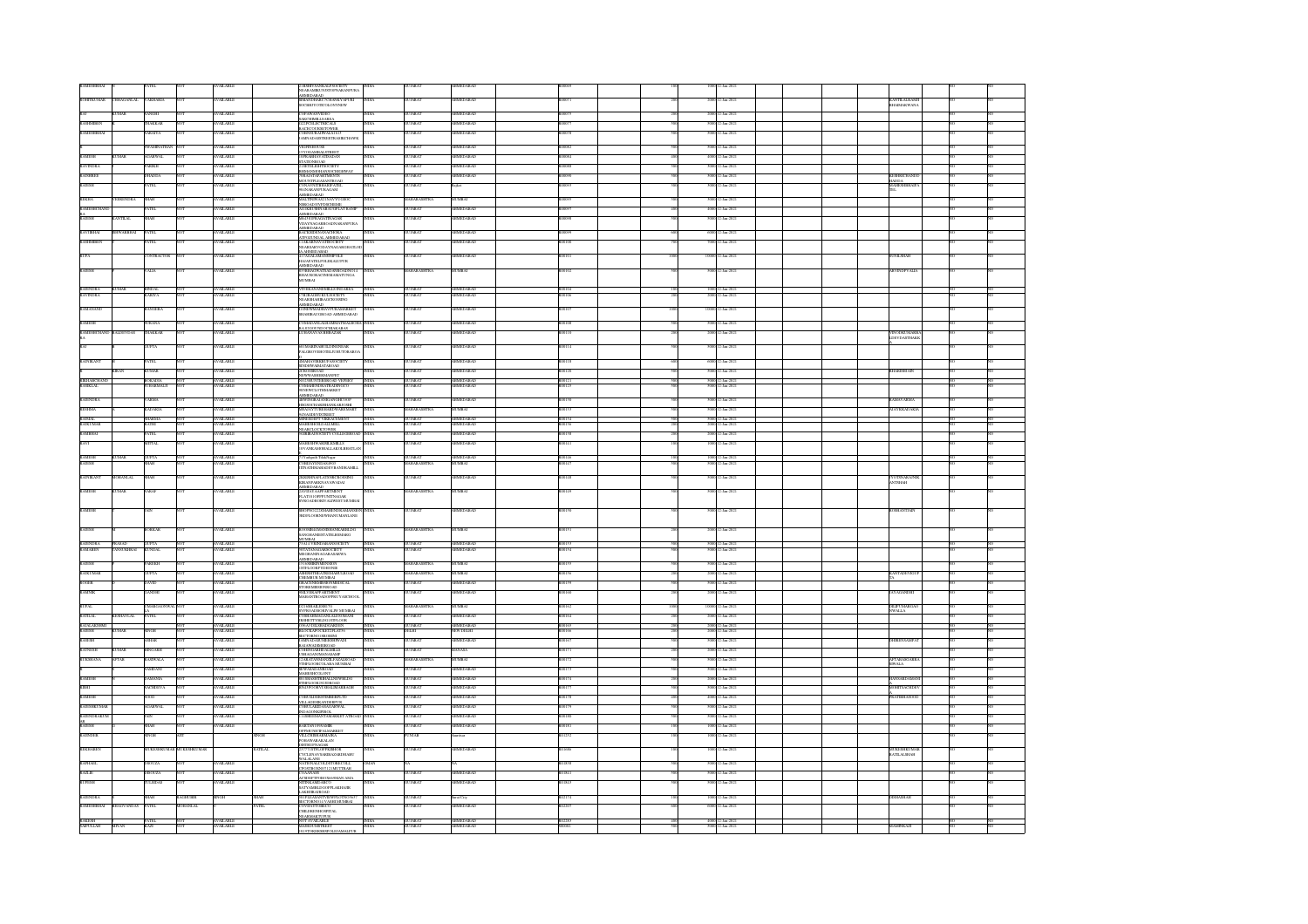|                          |                 |                   |                |                        |             | I BSHIVSANKALPSOCIETY<br>EARAMIKUNJSTOPNARANPURA                                                           |                                                |                               |                  |      |                                            |  |                                 |  |  |
|--------------------------|-----------------|-------------------|----------------|------------------------|-------------|------------------------------------------------------------------------------------------------------------|------------------------------------------------|-------------------------------|------------------|------|--------------------------------------------|--|---------------------------------|--|--|
|                          |                 |                   |                |                        |             |                                                                                                            |                                                |                               |                  |      |                                            |  |                                 |  |  |
|                          |                 |                   |                | <b>AILABLE</b>         |             | IMEDABAD<br>MANDHARC?CHANKYAPURI<br>OCBHIYOTICOLONYNEW                                                     | <b>JARA</b>                                    |                               |                  |      |                                            |  | ANTEALRAM<br><b>BHAIMAKWANA</b> |  |  |
|                          | <b>L'MAR</b>    | ANGHI             |                | .<br>VAILABLE          |             | PAWANVIDEO                                                                                                 | UJARAT                                         | HMEDABAD                      |                  |      | 2000 12-Jan-2021                           |  |                                 |  |  |
|                          |                 | <b>JAKKAS</b>     |                | <b>AILABLE</b>         |             |                                                                                                            | <b>JARAT</b>                                   | <b>IMEDARAD</b>               |                  |      | $tan-202$                                  |  |                                 |  |  |
|                          |                 | aRafy's           |                | All ARLE               |             | AKCHIMILLSAREA<br>22PCELECTRICALS<br>ACECOURSETOWER<br>OBNSURAIIWALA16                                     | <b>TARAT</b>                                   | <b>BEDARAI</b>                |                  |      |                                            |  |                                 |  |  |
|                          |                 |                   |                |                        |             | .<br>MNADASSTREETRASIKCHAWK                                                                                |                                                |                               |                  |      |                                            |  |                                 |  |  |
|                          |                 | WAMINATHA         |                | <b>AVAILABLE</b>       |             | <b>ACEINHOUSE</b>                                                                                          | UJARAT<br><b>DIA</b>                           | AHMEDABAD                     |                  |      | 2-Jan-2021                                 |  |                                 |  |  |
| WESH                     | LMAR            | GARWAL.           |                | VAILABLE               |             | SYOGAMBALSTREET<br>JPRABHAVATISADAN                                                                        | IJARAT<br>ФIА                                  | HMEDABAD                      |                  |      | $-3an-2021$<br>4000                        |  |                                 |  |  |
| <b>AVINDRA</b>           |                 | pivu              |                | <b>ALABLE</b>          |             |                                                                                                            | JARAT                                          | <b>IMEDABAD</b>               |                  |      | tan 202                                    |  |                                 |  |  |
| <b>SHREE</b>             |                 | <b>HADDA</b>      |                | <b>ALABLE</b>          |             | TATIONROAD<br>I SETELIGHTSOCIETY<br>HMANMOHANSOCHIGHWAY<br>ORAJATAPARTMENTS                                | <b>JARAT</b>                                   | <b>FDARAT</b>                 |                  |      |                                            |  |                                 |  |  |
| <b>AJESH</b>             |                 | <b>TEL</b>        |                | VAILABLE               |             | <b>IOUNTPLEASANTROAD</b>                                                                                   | UJARAT<br><b>SDIA</b>                          |                               |                  |      | $-3an-2021$<br>3000                        |  | HADDA                           |  |  |
|                          |                 |                   |                |                        |             | <b>HNARANPURAGAM</b>                                                                                       |                                                |                               |                  |      |                                            |  | TEL.                            |  |  |
| <b>EKHA</b>              |                 |                   |                | ALABLE                 |             | HMEDABAD<br>IALTINIWAS21NAVYUG                                                                             |                                                | <b>IMRAI</b>                  |                  |      |                                            |  |                                 |  |  |
| <b>AMESHCE</b>           |                 | .<br>VTEI         |                | <b>AILABLE</b>         |             | SROAD3JVPDSCHEME<br>GIKRUSHNABAUGFLAT RANIP                                                                | <b>JARAT</b>                                   | <b>HMEDARAI</b>               |                  |      | J <sub>202</sub><br>4000                   |  |                                 |  |  |
| <b>EATESH</b>            | <b>NTH AI</b>   | <b>HAH</b>        |                | VAII ARI F             |             | HMEDABAD<br>164381 PRAGATINAGAR                                                                            | <b>TARAT</b>                                   | <b>IMEDARAD</b>               |                  |      | 2.1sp.202                                  |  |                                 |  |  |
|                          |                 |                   |                |                        |             | #1001FR/0JA1EN/0JAK<br>TJAYNAGARROADNARANPURA                                                              |                                                |                               |                  |      |                                            |  |                                 |  |  |
| RAVJIBHAI                | <b>HWARBHAI</b> | ATEL.             |                | <b>AVAILABLE</b>       |             | <b>VHMEDABAD</b><br>BACKSIDENANACHORA                                                                      | <b>JUJARAT</b><br><b>SDIA</b>                  | HMEDABAD                      |                  |      | 6000 12-Jan-2021                           |  |                                 |  |  |
| SHMIBEN                  |                 | VTEL.             |                | ALABLE                 |             | IPOZUNDAL AHMEDABAD<br>LAKARNAVATISOCIETY<br>EARSARVODAYNAGARGHATLO                                        | <b>JARAT</b><br><b>SDIA</b>                    | MEDABAD                       |                  |      | $-$ Jan-2021                               |  |                                 |  |  |
|                          |                 |                   |                |                        |             | AHMEDABAD                                                                                                  |                                                |                               |                  |      |                                            |  |                                 |  |  |
| RUPA                     |                 | <b>DNTRACTOR</b>  |                | <b>VAILABLE</b>        |             | AJAPATELPOLEKALUPUR                                                                                        | JARAT                                          | MEDABAD                       |                  |      | $tan-202$                                  |  | NILSHAR                         |  |  |
| RAJESH                   |                 | <b>ALIA</b>       |                | <b>AVAILABLE</b>       |             | MEDABAD<br>BHAGWATSADANROADNO14                                                                            | <b>IAHARASHTRA</b><br><b>DU</b>                | MUMBAI                        |                  |      | 5000 12-Jan-2021                           |  | <b>RVINDPVALIA</b>              |  |  |
|                          |                 |                   |                |                        |             | <b>HAURORACINEMAMATUNGA</b>                                                                                |                                                |                               |                  |      |                                            |  |                                 |  |  |
|                          |                 |                   |                |                        |             | <b>UMBAI</b>                                                                                               |                                                |                               |                  |      |                                            |  |                                 |  |  |
| RAJENDRA<br>RAVINDRA     | MAR             | INDAL<br>LARIYA   |                | AVAILABLE<br>AVAILABLE |             | VEKANANDMILLS INDAREA                                                                                      | GUJARAT<br>UJARAT<br><b>DIA</b>                | <b>IMEDARAD</b>               | 0106             | 2000 | : Jan-2021<br>: Jan-2021                   |  |                                 |  |  |
|                          |                 |                   |                |                        |             | 7B2RAGHUKULSOCIETY<br>EARSHAHIBAGCROSSING                                                                  |                                                |                               |                  |      |                                            |  |                                 |  |  |
| <b>AMANAN</b>            |                 | <b>NGERA</b>      |                | <b>ALABLE</b>          |             | HMEDABAD<br>ONEWMADHAVPURAMARKET<br>HAHIBAUGROAD AHMEDABAD                                                 | <b>JARA</b>                                    | <b>FDARAD</b>                 |                  |      |                                            |  |                                 |  |  |
| RAMESH                   |                 | URANA             |                | <b>VAILABLE</b>        |             | .<br>OMADANLALHAMMATMALBOHA INDIA                                                                          | <b>GUJARAT</b>                                 | AHMEDABAD                     | 00108            |      | 2-Jan-2021<br>5000                         |  |                                 |  |  |
| <b>AMESHCHANI</b>        |                 | .<br>HAKKAR       |                | ALABLE                 |             | A 82GOUNDOCHIAKABAS<br>UHANAVAS BHBAZAR                                                                    | JARAT                                          | MEDABAD                       |                  |      |                                            |  |                                 |  |  |
|                          | <b>U.DEVDAS</b> |                   |                |                        |             |                                                                                                            | DIA                                            |                               | 0110             |      | J <sub>2021</sub><br>2000                  |  | VINODKUMARB<br>LDEVDASTHAKI     |  |  |
|                          |                 | <b>UPTA</b>       |                | <b>ALABLE</b>          |             | 01MARINABUILDINGNEAR<br>ALGROVEHOTELJUHUTORAROA                                                            | JARAT                                          | MEDABAD                       |                  |      |                                            |  |                                 |  |  |
|                          |                 |                   |                |                        |             |                                                                                                            |                                                |                               |                  |      |                                            |  |                                 |  |  |
| RAJNIKANT                |                 | ATEL.             |                | <b>ALABLE</b>          |             | <b>AHAVIRKRUPASOCIETY</b>                                                                                  | JARAT                                          | HMEDABAD                      | 0118             |      | J <sub>202</sub><br>6000                   |  |                                 |  |  |
|                          |                 | IMAR              |                | <b>VAILABLE</b>        |             | HWAIMATAROAD<br>OSSROAD                                                                                    | <b>JARA</b>                                    | <b>HMEDABAD</b>               |                  |      | 3m <sub>202</sub>                          |  |                                 |  |  |
| RIKHABCH/<br>OSIKLAL     |                 | OKADIA<br>JHARMAI |                | AVAILABLE<br>AVAILABLE |             | EWWASHERMANPET<br>023HUNTERSROAD VEPER<br><b>023HUNTERSROAD VEPER<br/>MAHENDRATRADINGCO</b>                | .<br>ARAT                                      | <b>IMEDABAD</b>               |                  |      |                                            |  |                                 |  |  |
|                          |                 |                   |                |                        |             | <b>NEWCLOTHMARKET</b>                                                                                      | <b>JARA</b>                                    | MEDABAI                       |                  |      |                                            |  |                                 |  |  |
| <b>UENDRA</b>            |                 |                   |                | ALABLE                 |             |                                                                                                            | <b>JARA</b>                                    | MEDARAD                       |                  |      |                                            |  |                                 |  |  |
| ESHMA <sup>-</sup>       |                 | <b>ADAKIA</b>     |                | <b>VAILABLE</b>        |             | .<br>SGSOCHARISHANKARJOSHI<br>SAJAYTUBEHARDWAREMART                                                        | .<br>IAHARASHTRA<br><b>NDIA</b>                | <b>MUMBAI</b>                 | 00133            |      | 5000 12-Jan-2021                           |  | <b>AJAYKKADAKIA</b>             |  |  |
|                          |                 | HARMA             |                | <b>AVAILABLE</b>       |             | NAGDEVISTREET<br>NESDEPT VIKRACEMENT                                                                       | GUJARAT<br><b>INDIA</b>                        | AHMEDABAD                     | R00134           |      |                                            |  |                                 |  |  |
| RAJMAL<br>RAJKUMAR       |                 | <b>ATHI</b>       |                | <b>AVAILARLE</b>       |             | AHESHOE DALL MILL                                                                                          | <b>NDIA</b><br><b>GUIARAT</b>                  | HMEDARAD                      | 36100            |      | 5000 12-Jan-2021<br>2000 12-Jan-2021       |  |                                 |  |  |
| AMBHAI                   |                 | ATEL.             |                | VAILABLE               |             | EARCLOCKTOWER<br>GIRIRAISOCIETY COLLEGEROAD                                                                | UJARAT<br><b>INDIA</b>                         | HMEDABAD                      | 00138            |      | 2000 12-Jan-2021                           |  |                                 |  |  |
| :AVI                     |                 | <b>ITTAL</b>      |                | ALABLE                 |             | IAHESHWARISILKMILLS<br>)VANKAMOHALLAKOLBHATLAN                                                             | <b>JARAT</b><br>DIA                            | <b>IMEDABAD</b>               | .<br>DI41        |      | $3m-2021$                                  |  |                                 |  |  |
|                          |                 |                   |                |                        |             |                                                                                                            |                                                |                               |                  |      |                                            |  |                                 |  |  |
| RAMESH<br>RAJESH         | MAR             | UPTA<br>łМ        |                | AVAILABLE<br>AVAILABLE |             | ishpath TilakNaga                                                                                          | <b>JARAT</b><br><b>HARASHTRA</b><br><b>DIA</b> | <b>IMEDABAD</b><br>UMBAI      | 00146<br>0147    |      | Jan-2021<br>Jan-2021<br>5000               |  |                                 |  |  |
|                          |                 |                   |                |                        |             | BIJAYENDAS4903<br>NATHMAHADEVBANDRAMILL                                                                    |                                                |                               |                  |      |                                            |  |                                 |  |  |
| <b>AJNIKANT</b>          | <b>HANLA</b>    | IЛН               |                | <b>ALABLE</b>          |             | <b>RIGHNAFI ATSNRCROSSING</b>                                                                              | <b>JARA</b>                                    | EDABAD                        | 0148             |      | $tan-202$                                  |  | JYOTSNARAJ)<br>ANTSHAH          |  |  |
|                          |                 |                   |                |                        |             | RANPARKNAVAWADAJ<br>HMEDABAD<br>WIJAYAAPPARTMENT                                                           |                                                |                               |                  |      |                                            |  |                                 |  |  |
| <b>AMESH</b>             | MAR             | ARAI              |                | <b>VAILABLE</b>        |             | LAT101OPPPUNITNAGAR<br>VROADBORIVALIWEST MUMBAI                                                            | <b>IAHARASHTRA</b>                             | <b>MUMBAI</b>                 | )<br>0149        |      | 2-Jan-202<br>5000                          |  |                                 |  |  |
|                          |                 |                   |                |                        |             |                                                                                                            |                                                |                               |                  |      |                                            |  |                                 |  |  |
| <b>AMESH</b>             |                 |                   |                | <b>ALABLE</b>          |             | HOPNO2228MAHENDRAMANSIO<br>RDFLOORNEWHANUMANLANE                                                           | <b>TAR</b>                                     | HMEDARAI                      |                  |      |                                            |  |                                 |  |  |
|                          |                 |                   |                |                        |             |                                                                                                            |                                                |                               |                  |      |                                            |  |                                 |  |  |
| :AJESH                   |                 | ORKAR             |                | <b>AILABLE</b>         |             | OMB44MANISHANKARBLDG<br><b>NGHANIESTATELBSMARG</b>                                                         | <b>JARASHTR.</b>                               | UMBAI                         |                  |      |                                            |  |                                 |  |  |
|                          |                 |                   |                |                        |             |                                                                                                            |                                                |                               |                  |      |                                            |  |                                 |  |  |
| RAJENDRA<br>RAMABEN      |                 | GUPTA             |                | AVAILABLE<br>AVAILABLE |             | MUMBAI<br>3A14 VRINDABANSOCIETY<br>60TATANAGARSOCIETY                                                      | ARA)                                           | MEDABAD<br>MEDABAD            |                  |      |                                            |  |                                 |  |  |
|                          |                 |                   |                |                        |             | <b>EGHANINAGARASARWA</b>                                                                                   |                                                |                               |                  |      |                                            |  |                                 |  |  |
|                          |                 | REKI              |                | AILABLE                |             | MEDABAD<br>IMEDABAD<br>EENAHENSION                                                                         |                                                |                               |                  |      |                                            |  |                                 |  |  |
| <b>AIKLIMAR</b>          |                 | <b>PTA</b>        |                | VAII ARI F             |             | TELOORPYDHONIE                                                                                             | .<br>تانا<br><b>HARASHTRA</b>                  | <b>ALIMRAL</b>                |                  |      | les 202                                    |  | <b>NTADEVIGE</b>                |  |  |
| SOGER                    |                 | wit               |                | ALABLE                 |             | <b>JEMBUR MUMBAI<br/>RACENRMISSIONMEDICAL</b>                                                              | JARAT<br>Dυ                                    | IMEDABAD                      |                  |      | tan 202                                    |  |                                 |  |  |
| :<br>AMNIK               |                 | <b>NDHI</b>       |                | <b>ALABLE</b>          |             | TOREMISSIONROAD<br>SILVERAPPARTMENT                                                                        | <b>JARA</b>                                    | <b>IMEDABAD</b>               |                  |      | $Jan-202$                                  |  | YAGANDH                         |  |  |
|                          |                 |                   |                |                        |             | HANTROADOPPRUYASCHOOL                                                                                      |                                                |                               |                  |      |                                            |  |                                 |  |  |
| RUPAL.                   |                 | <b>MARGAONWAL</b> |                | VAILABLE               |             | <b>LOUAR DOUTS</b><br><b>PROADBORIVALIW MUMBAL</b><br>ISHAHMAGANLALDSOMANI                                 | <b>HADACUTO</b>                                | MUMBAI                        |                  |      | $3m-202$                                   |  | DILPUMARGA<br><b>WALLA</b>      |  |  |
| <b>ATLAL</b>             | AVI AI          | .<br>Atel         |                | ALABLE                 |             |                                                                                                            | <b>JARAT</b><br>.<br>تانا                      | <b>IMEDARAD</b>               |                  |      | -Jan-2021<br>$\overline{\text{mm}}$        |  |                                 |  |  |
| RAJALAKSHM<br>RAJESH     | <b>MAR</b>      | NGH               |                | WAILABLE<br>WAILABLE   |             | RSHETTYBLDGISTFLOOR<br>386A3 DE SHADGARDEN<br>3LOCKAPOCKET2FLAT36                                          | <b>GUJARAT</b><br>DELHI                        | <b>VHMEDABAD</b><br>GEW DELHI | 200165<br>200166 |      | 2000<br>2000<br>12-Jan-2021<br>12-Jan-2021 |  |                                 |  |  |
| <b>ASESH</b>             |                 | <b>SHAR</b>       |                | <b>VAILABLE</b>        |             | <b>CTORNO1SROHINI</b><br>MNADASUMERSHIWADI                                                                 | <b>UJARAT</b>                                  | <b>AHMEDARAD</b>              |                  |      | 2-Jan-2021                                 |  |                                 |  |  |
|                          |                 |                   |                |                        |             | JAWADIMGROAD<br>HINGARHDALMILLS                                                                            | <b>NDIA</b>                                    |                               | 00167            |      | 5000                                       |  | DHIRENSAMP/                     |  |  |
| <b>ATNESH</b>            | <b>LMAR</b>     | INGARH            |                | <b>VAILABLE</b>        |             | IAGANIMANA <mark>SAMP</mark><br>RATANMANZILFAZA                                                            | <b>UJARAT</b><br>NDIA                          | MANASA                        | 0171             |      | 2000 12-Jan-2021                           |  |                                 |  |  |
| <b>KSHAN</b>             |                 | WAL.              |                | <b>MLABLE</b>          |             | HFLOORCOLABA MUMBAL                                                                                        |                                                | MBAI                          |                  |      |                                            |  | AFTABA!<br>SIWALA               |  |  |
|                          |                 |                   |                | <b>ALABLE</b>          |             |                                                                                                            | <b>JARA</b>                                    | <b>MEDABA</b>                 |                  |      |                                            |  |                                 |  |  |
| MESS                     |                 |                   |                |                        |             |                                                                                                            |                                                |                               |                  |      |                                            |  |                                 |  |  |
|                          |                 | MANIA             |                | VAILABLE               |             | .WASADONNAGO<br>AHESHCOLONY<br>***HASHTRIHALLNEWBLDG                                                       | <b>JARAT</b><br><b>DIA</b>                     | <b>IMEDABAD</b>               |                  |      | J <sub>202</sub>                           |  |                                 |  |  |
|                          |                 | ACHDEVA           |                | <b>VAILABLE</b>        |             | THFLOOR292JDROAD<br>N43POORVI SHALIMARBAGH                                                                 | .<br>Jarat                                     | <b>HMEDABAD</b>               |                  |      | 2-Jan-2021                                 |  | L<br>SOHITSACHDE                |  |  |
| AMESH                    |                 | 000               |                | VAILABLE               |             | <b>DBUILDERSTIMBERPLTD</b>                                                                                 | JARAT<br>DIA                                   | MEDARAD                       |                  |      | $2 - \frac{1}{2}$<br>4000                  |  | .<br>PRATIBHASOO                |  |  |
| <b>ATESHKTIM</b>         |                 | <b>GARWA</b>      |                | <b>AILARLE</b>         |             | ILLAGESIKANDERPUR<br>OBULAKIDASAGARWAL                                                                     | TAD AT                                         | <b>IMEDIARAT</b>              |                  |      | tan 403                                    |  |                                 |  |  |
| <b>AJENDRAKUM</b>        |                 | w                 |                | <b>VAILABLE</b>        |             | DAGONKIPIROL<br>4SHEEMANTAMARKET ATROAD                                                                    | UJARAT<br><b>NDIA</b>                          | HMEDARAD                      | 00180            |      | 5000 12-Jan-2021                           |  |                                 |  |  |
| Ak<br><sup>R</sup> AJESH |                 | <b>HAH</b>        |                | VAILABLE               |             | ARTAN109SAMIR                                                                                              | <b>UARAT</b><br><b>NDIA</b>                    | <b>HMEDABAD</b>               | 00181            |      | $3m-2021$<br>10 <sub>m</sub>               |  |                                 |  |  |
|                          |                 |                   |                |                        | òОH         |                                                                                                            | DIA                                            |                               |                  |      | 1000                                       |  |                                 |  |  |
| <b>AINDER</b>            |                 | <b>NGH</b>        |                |                        |             | <b>PPMUNICIPALMARKET</b><br>TLLCHISHARMAJRA<br>HAWARAKALAN                                                 | <b>NJAB</b>                                    | ritxar                        | 01252            |      | 2-Jan-2021                                 |  |                                 |  |  |
| EKHABE                   |                 | <b>IKES</b>       |                |                        |             | TRUPNAGAR<br>*********** OPPKISHOR                                                                         | JARA'                                          |                               |                  |      |                                            |  |                                 |  |  |
|                          |                 |                   |                |                        |             | <i> //</i> /ISTELOPPKISHOK<br>YCLENAVŠARIBAZARDHABU                                                        |                                                |                               |                  |      |                                            |  | MUKESHKUM.<br>RATILALSHAH       |  |  |
| :APHAEL                  |                 | <b>SOUZA</b>      |                | <b>AILABLE</b>         |             | <b>M_AL_ANE</b><br>VIIONALCOLDSTORECOLL                                                                    |                                                |                               |                  |      | $tan-202$                                  |  |                                 |  |  |
| RAZLIE                   |                 | <b>ISOUZA</b>     |                | VAILABLE               |             | POSTBOXNO7121MUTTRAH<br>OAANASS                                                                            | <b>JARA</b><br>DIA                             | <b>IMEDABAD</b>               |                  |      | 2-Jan-2021<br>5000                         |  |                                 |  |  |
| RUPESH                   |                 | <b>ISDA</b>       |                | ALABLE                 |             |                                                                                                            | <b>JARAT</b>                                   | <b>IMEDARAL</b>               |                  |      |                                            |  |                                 |  |  |
| <b>NENDRA</b>            |                 | <b>LAH</b>        |                | гiн                    |             | ACSDEPTPOBOX669MAN AMA<br>NITINKAMDARCO<br>SATY AMBLDGOPPLAKHAJIR<br>AKHJIRAJROAD<br>UPLEASANTVIEWPLOTNOS6 | JARAT                                          | at City                       |                  |      |                                            |  |                                 |  |  |
|                          | <b>LCVANDA</b>  |                   |                |                        | <b>ITFI</b> |                                                                                                            |                                                |                               | 220              |      | <b>FOOT</b>                                |  |                                 |  |  |
| <b>AMESHBHAI</b>         |                 | <b>ATEL</b>       | <b>OHANLAL</b> |                        |             | ECTORNO14 VASHI MUMBAL<br>OVIJAYTOBECO<br>HILDRENHOSPITAL                                                  | <b>JARAT</b>                                   | <b>HMEDABAD</b>               |                  |      | $-3an-2021$                                |  |                                 |  |  |
| RAKESH<br>SAIFULLAH      | MIYAN           | СAZI              |                | AVAILABLE<br>AVAILABLE |             | <b>EARMAKTUPUR</b><br>NOT AVAILABLE<br>MAJHDUMSTREET                                                       | <b>INDIA</b><br>GUJARAT                        | AHMEDABAD<br>AHMEDABAD        |                  |      | 4000 12-Jan-2021<br>5000 12-Jan-2021       |  | <b>MAMINKAZI</b>                |  |  |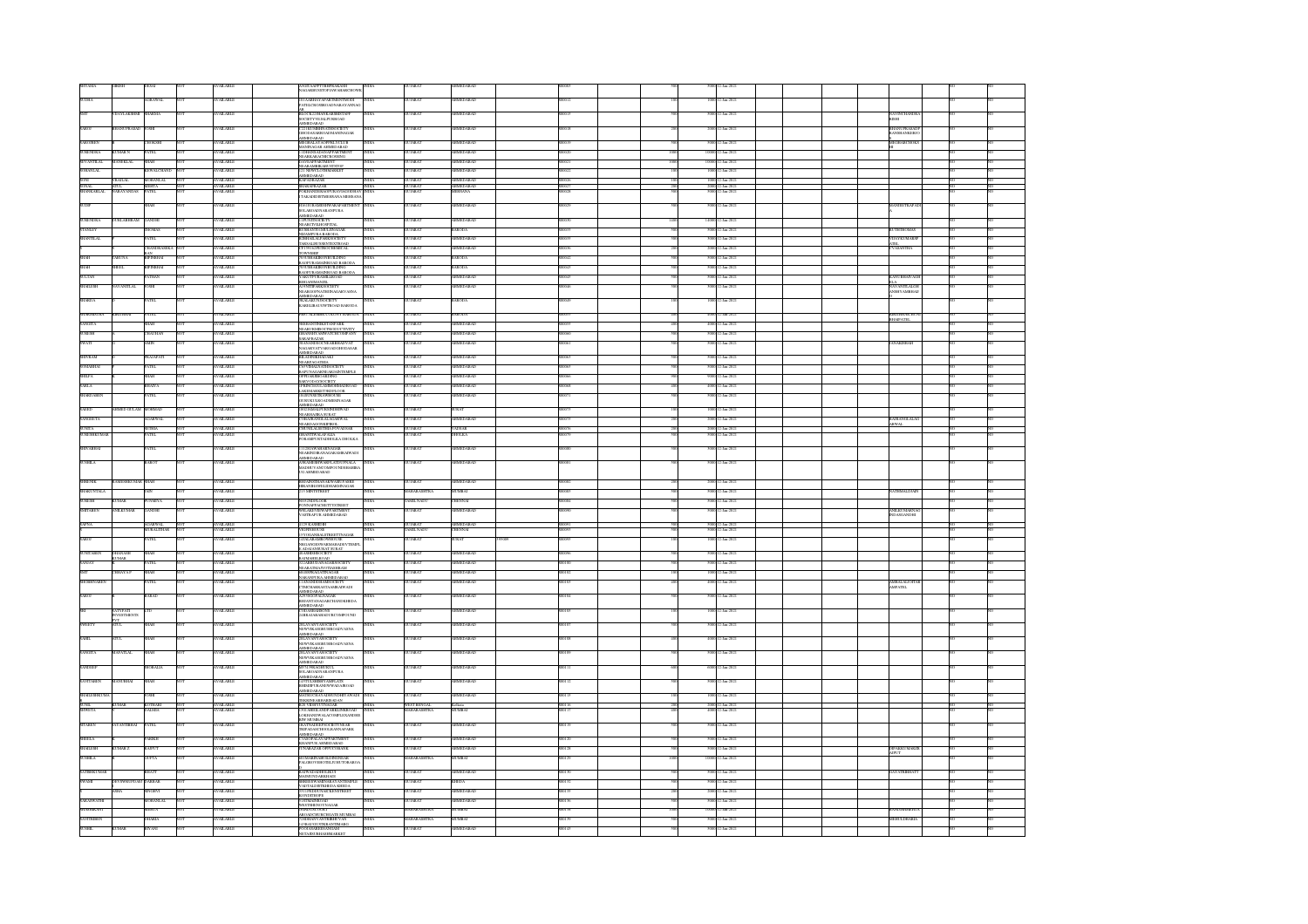|                             |                        |                               |     |                                | ASGITAAPPTTBHPRAKASH<br>VAGARBUSSTOPJAWAHARCHOW                                                             |                |                                 |                                   |                     |  |                  |                                                                                                   |  |  |                                    |  |  |
|-----------------------------|------------------------|-------------------------------|-----|--------------------------------|-------------------------------------------------------------------------------------------------------------|----------------|---------------------------------|-----------------------------------|---------------------|--|------------------|---------------------------------------------------------------------------------------------------|--|--|------------------------------------|--|--|
|                             |                        |                               |     | $B$ ARI                        | AARHAVAPARTMENTMODE<br>ATELCROSSROADNARAYANNAG                                                              |                |                                 |                                   |                     |  |                  |                                                                                                   |  |  |                                    |  |  |
|                             | <b>JAYLAKSHMI</b>      | HARMA                         |     | VAILABLE                       | u.<br>ILOCK22JHANKARSBISTAFF                                                                                | NDIA           | UJARAT                          | HMEDABAD                          |                     |  | <b>sam</b>       | J <sub>202</sub>                                                                                  |  |  | <b>AVINCHANDS</b>                  |  |  |
|                             |                        |                               |     |                                | SOCIETYVEJALPURROAD                                                                                         |                |                                 |                                   |                     |  |                  |                                                                                                   |  |  | SHI                                |  |  |
| wor                         |                        |                               |     | <b>ALABLE</b>                  | AHMEDABAD<br>C221KUMBHNATHSOCIETY<br>GHODASARROADMANINAGAR                                                  |                | JARAT                           | MEDABAL                           |                     |  |                  |                                                                                                   |  |  | ANUPRASAI<br>NSHANKERI             |  |  |
| <b><i>ROBES</i></b>         |                        |                               |     | All ARI F                      | HMEDABAD<br>EKHALAYAOPPRLYCLUB                                                                              |                | <b>TARA</b>                     | MEDARAT                           |                     |  |                  |                                                                                                   |  |  | <b>CHARCHO</b>                     |  |  |
| URENDR/                     |                        | ATEL                          |     | ALABLE                         | EAGOSA :<br>IANINAGAR AHMEDABAD<br>UNHANSADANAPPARTMET                                                      | mas            | <b>JARAT</b>                    | MEDABAL                           |                     |  |                  |                                                                                                   |  |  |                                    |  |  |
| SEVANTILAL                  | <b>ANEKLAL</b>         | HAH                           |     | <b>AILABLE</b>                 | <b>GEARKARACHICROSSING</b><br>DAVEAPPARTMENT<br><b>GEARAMBIKABUSTSTOP</b><br> 21 NEWCLOTHMARKET             | NDIA           | UJARAT                          | <b>HMEDABAD</b>                   |                     |  | 10000            | 2-Jan-202                                                                                         |  |  |                                    |  |  |
| OHANLA                      |                        | <b>WALC</b>                   |     | <b>ALABLE</b>                  | <b>HMEDABAD</b>                                                                                             | <b>NDIA</b>    | <b>JARAT</b>                    | <b>MEDARAT</b>                    |                     |  |                  | tan 202                                                                                           |  |  |                                    |  |  |
| SONI<br>SONAL<br>SHANKARLAL |                        | HANL<br>EHTA                  |     | NAILABLE<br>NAILABLE           | <b>HARAFBAZAR</b>                                                                                           | INDIA<br>INDIA | GUJARAT                         | AHMEDABAD                         |                     |  |                  | $\frac{1000}{2000} \frac{12.5m}{12.5m-2021}$<br>$\frac{5000}{5000} \frac{12.5m-2021}{12.5m-2021}$ |  |  |                                    |  |  |
|                             | ARAYANDAS              | ATEL.                         |     | <b>AILABLE</b>                 | <b>OKHANDERAOPURAVIAGODHA</b><br>I TAKADIDISTMEHSANA MEHSAN                                                 | <b>INDIA</b>   | UJARAT                          | EHSANA                            | 0028                |  |                  |                                                                                                   |  |  |                                    |  |  |
| <b>SUDIP</b>                |                        | <b>IAH</b>                    |     | <b>ALABLE</b>                  | HI6181RAMESHWARAPARTMEN<br>SOLAROADNARANPURA                                                                |                | JARAT                           | <b>SEDARAE</b>                    |                     |  |                  | $Jan-202$                                                                                         |  |  |                                    |  |  |
| <b>SURENDRA</b>             | <b>URLABHRAM</b>       | <b>IRINA</b>                  |     | <b>AVAILABLE</b>               | HMEDABAD<br>IPUNITSOCIETY                                                                                   | <b>INDIA</b>   | GUJARAT                         | <b>AHMEDARAD</b>                  | ne mar              |  |                  | 14000 12-Jan-202                                                                                  |  |  |                                    |  |  |
| STANLEY                     |                        | HOMAS                         |     | VAILABLE                       | <b>JEARCIVILHOSPITAL.</b><br>IUSHANTOI MULJINAGAR                                                           | <b>INDIA</b>   | <b>JUARAT</b>                   | ARODA                             | 0033                |  |                  | 5000 12-Jan-202                                                                                   |  |  | <b>THTHOMA</b>                     |  |  |
| <b>IANTILAL</b>             |                        |                               |     | ALABLE                         | <mark>dzampura Baroda.</mark><br>12BHAILALPARKSOCIETY                                                       | NDIA           | JARAT                           | MEDABAL                           |                     |  | 3000 13          | $2 - 202$                                                                                         |  |  | VIJAYKUMAR                         |  |  |
|                             |                        |                               |     | ALABLE                         | FARSALISUSSENTEXTROAD<br>:F159162PETROCHEMICAL                                                              |                | ARA                             |                                   |                     |  | 200              | J <sub>202</sub>                                                                                  |  |  | <br>ASANTH.                        |  |  |
|                             |                        |                               |     | <b>ALABLE</b>                  | <b>WNSHIP</b><br><b><i>VUSHAKIRONBUILDING</i></b><br><b>LAOPURAMAINROAD BARODA</b>                          |                | 13.937                          | anna                              |                     |  |                  |                                                                                                   |  |  |                                    |  |  |
| <b>SHAH</b>                 | IEEL                   | <b>PINRHA</b>                 |     | ALABLE                         | RAOPURAMAINROAD BARODA                                                                                      | INDIA          | UJARAT                          | <b>ARODA</b>                      |                     |  | 900              | J <sub>202</sub>                                                                                  |  |  |                                    |  |  |
| <b>SULTAN</b><br>SHAILESH   |                        | ATHAN                         |     | <b>ALABLE</b><br><b>ALABLE</b> | AKUTPURAMILLROAD                                                                                            | NDIA           | UJARAT<br><b>JARAT</b>          | <b>IMEDABAD</b><br><b>IMEDABA</b> |                     |  | 5000 13<br>3000  | 3-Jan-202<br>Jan-202                                                                              |  |  | ANUBHAIVA                          |  |  |
|                             |                        |                               |     |                                | BHGANIMANZIL<br>AUSNITIPARKSOCIETY<br>NEARGOPNATHIINAGARVASNA                                               |                |                                 |                                   |                     |  |                  |                                                                                                   |  |  | ELA<br>NAVANITLALGI<br>ANSHYAMBHAI |  |  |
| HARDA                       |                        | <b>ATEI</b>                   |     | VAII ARI F                     | AHMEDABAD<br>3KALAKUNISOCIETY<br>KARELIBAUGWTROAD BARODA                                                    |                | I HARAT                         | <b>ARODA</b>                      |                     |  |                  | $1 - 202$                                                                                         |  |  |                                    |  |  |
| <b>IARMIST</b>              |                        | Œ                             |     | VAILABLE                       | <b>BSI ALEMBICCOLONY BARODA</b>                                                                             |                | UJARA'                          | ARODA                             |                     |  | 40(ii)           | Man-202                                                                                           |  |  | КІRП'ВНАІСНІ                       |  |  |
| ANGITA                      |                        | łАН                           |     | ALABLE                         | <b>SBSHANTINIKETANPARK</b>                                                                                  |                | JARAT                           | <b>IMEDABAD</b>                   |                     |  |                  | 4000 12-Jan-2021                                                                                  |  |  | <b>BHAIPATEL</b>                   |  |  |
|                             |                        | <b>MH</b>                     |     | <b>MLABLE</b>                  | EARURMISOCPRODUCTIVITY<br>HANSHY AMWATCHCOMPANY<br>SARAFBAZAR<br>SARAFBAZAR<br>SANANDSOCNEARBHADVAT         |                | ARA'                            |                                   |                     |  |                  |                                                                                                   |  |  |                                    |  |  |
| <b>WATI</b>                 |                        |                               |     | VAILABLE                       | <b>AGARVATVAROADGHODASAR</b>                                                                                |                | JARAT                           | HMEDARAD                          |                     |  |                  | $\frac{1}{2}$ an-202                                                                              |  |  |                                    |  |  |
| SHIVRAM                     |                        | RAJAPATI                      |     | <b>ALABLE</b>                  | HMEDABAD<br>IILADINIKHADAKI                                                                                 | <b>SDIA</b>    | JARAT                           | MEDABAD                           |                     |  |                  | 5000 12-Jan-202                                                                                   |  |  |                                    |  |  |
| MABH                        |                        | æ                             |     | <b>AILABLE</b>                 | NEARPAGATHIA<br>CGSVIMALNATHSOCIETY<br>BAPUNAGARNEARJAINTEMPLE<br>GPPDARIIROARDING                          |                | 183                             | MEDARAD                           |                     |  | $\frac{1}{2000}$ |                                                                                                   |  |  |                                    |  |  |
| m Pa                        |                        |                               |     | <b>AIL ARES</b>                |                                                                                                             |                | 101                             | <b>COARA</b>                      |                     |  |                  |                                                                                                   |  |  |                                    |  |  |
| <b>SARLA</b>                |                        | <b>HAIVA</b>                  |     | <b>NATION</b>                  | SARVODAYSOCIETY<br>IPRINCEGULAMMOHMADROAD                                                                   | <b>INDIA</b>   | <b>TARATE</b>                   | <b>HMEDARAD</b>                   |                     |  |                  | 4000 12-Jan-202                                                                                   |  |  |                                    |  |  |
| SHARDABEN                   |                        | ATEL.                         |     | <b>AILABLE</b>                 | TRINCEDUL ANNOUNDADION<br>TAKEMARKETSRDFLOOR<br>GURUKUL ROADMEMNAGAR                                        | NDIA           | <b>UJARAT</b>                   | <b>HMEDARAD</b>                   | 0071                |  | 5000             | 2-Jan-202                                                                                         |  |  |                                    |  |  |
|                             |                        |                               |     | <b>MLABLI</b>                  | JUKUANA<br>HMEDABAD<br>*****ALPURSINDHIW<br>002JAMALPURSINATIONAL<br>EARHAIRA SURAT<br>*********FLALAGARWAI |                |                                 |                                   |                     |  |                  |                                                                                                   |  |  |                                    |  |  |
| ANGEETA                     |                        | <b>JARWA</b>                  |     | <b>ALABLE</b>                  | <b>EARDAGONKIPIROL</b>                                                                                      |                | :<br>Jara                       | MEDAE                             |                     |  |                  | $Jan-202$                                                                                         |  |  | GLAL<br>ARWAL.                     |  |  |
| RESHKU                      |                        | Æ                             |     | VAILABLE<br>VAILABLE           |                                                                                                             |                | UJARA<br>Jarat                  | <b>ADSAR</b><br>HOLKA             |                     |  |                  | J <sub>202</sub>                                                                                  |  |  |                                    |  |  |
|                             |                        |                               |     |                                | HANTIWALAFALIA<br>ORAMPURTADHOLKA DHOLKA                                                                    |                |                                 |                                   |                     |  |                  |                                                                                                   |  |  |                                    |  |  |
| SHIVABHAI                   |                        | <b>ATEL</b>                   |     | <b>ALABLE</b>                  | 11128JAWAHARNAGAR<br>NEARINDIRANAGARAMRAIWADI                                                               |                | UJARAT                          | HMEDABAD                          |                     |  | 30001            | J <sub>202</sub>                                                                                  |  |  |                                    |  |  |
| .<br>USHILA                 |                        |                               |     | ALABLE                         | <b>QHMEDARAD</b><br>SRAMESHWARFLATDUFNALA<br>MADHUVANCOMPOUNDSHAHIR<br>JG AHMEDARAD                         |                | <b>JARA</b>                     | <b>NEDARA</b>                     |                     |  |                  |                                                                                                   |  |  |                                    |  |  |
|                             |                        |                               |     |                                |                                                                                                             |                |                                 |                                   |                     |  |                  |                                                                                                   |  |  |                                    |  |  |
| <b>SHRENIK</b>              | <b><i>MESHKIMA</i></b> | нан                           |     | <b>AVAILARLE</b>               | <b>BHJAINSTHANAKWASIUPASRE</b><br>HIRANIHAWELIDHARMNAGAR<br>213 MINTSTREET                                  | <b>INDIA</b>   | 74.94110                        | <b>AHMEDARAD</b>                  |                     |  |                  | 2000 12-Jan-202                                                                                   |  |  |                                    |  |  |
| <b>HAKUNTALA</b><br>URESH   |                        | <b>UNMIYA</b>                 |     | VAILABLE<br><b>VAILABLE</b>    | <b>SOS2NDFLOOR</b>                                                                                          | INDIA<br>INDIA | <b>MAHARASHTRA</b><br>AMIL NADU | <b>MUMBAI</b><br><b>HENNAI</b>    | 0033<br><b>XISA</b> |  |                  | 5000 12-Jan-202<br>5000 12-Jan-2021                                                               |  |  | <b>THMALDJAE</b>                   |  |  |
| <b>MITABEN</b>              | MAR<br><b>ILKUMA</b>   | NDH                           |     | ALABLE                         | SOSZNIFLOOR<br>YONNAPPACHETTYSTREET<br>WSLAKEVIEWAPPARTMENT<br>VASTRAPUR AHMEDABAD                          |                | .<br>Jarat                      | <b>JEDABA</b>                     |                     |  |                  | $tan-202$                                                                                         |  |  |                                    |  |  |
|                             |                        |                               |     |                                |                                                                                                             |                |                                 |                                   |                     |  |                  |                                                                                                   |  |  | ILKUMAR!<br>)ASGAND <del>I</del>   |  |  |
| apna                        |                        | <b>ERALITHAR</b>              |     | WAILABLE<br>WAILABLE           | 29 KASHIDIH<br>LY KNAIDIN<br>KJEINHOUSE<br>SYOGANBALSTREETTNAGAR<br>SIALARAMROWHOUSE                        | <b>VDLA</b>    | <b>MIL NADU</b>                 | HENNAI                            |                     |  |                  | $3\text{km}$ -2021                                                                                |  |  |                                    |  |  |
| .<br>Wol                    |                        | तम                            |     | ALABLE                         | <b>RGANGESWARMAHADEVTEMP</b>                                                                                |                | <b>JARA'</b>                    | URAT                              |                     |  |                  |                                                                                                   |  |  |                                    |  |  |
| NITABE?                     |                        |                               |     | ALABLE                         | ADAIANSURAT SURAT                                                                                           |                | JARA                            | MEDABAD                           |                     |  |                  | $34m-202$                                                                                         |  |  |                                    |  |  |
|                             | <b>UMAR</b>            |                               |     | <b>AILABLE</b>                 | RAIMAHELROAD<br>SASARI TANAGARSOCIETY                                                                       |                | 183                             |                                   |                     |  |                  |                                                                                                   |  |  |                                    |  |  |
|                             | <b>HHAVAP</b>          | <b>HAH</b>                    |     | <b>All ARIF</b>                | NEARATMAJYOTIASHRAM<br>6840SPRAGATINAGAR                                                                    | .<br>NDIA      | TARAT                           | <b>HMEDARAD</b>                   |                     |  |                  | 1000 12-Jan-202                                                                                   |  |  |                                    |  |  |
|                             |                        |                               |     | ALABLE                         | SARANPURA AHMEDABAD.<br>LIANANDOHAMSOCIETY<br>CTMCHARRASTAAMRAIWADI                                         |                | JARAT                           | MEDABAI                           |                     |  |                  | tan 20                                                                                            |  |  | BALALIO<br><b>MPATEL</b>           |  |  |
| AROJ                        |                        | <b>ARAD</b>                   |     | VAILABLE                       |                                                                                                             | NDIA           | UJARAT                          | HMEDARAD                          |                     |  |                  | 5000 12-Jan-2021                                                                                  |  |  |                                    |  |  |
|                             |                        |                               |     |                                | - HIMEDARAD<br>APMEDARAD<br>BHIANTANAGARCHANDKHEDA<br>AHMEDARAD<br>AHMEDARAD                                |                |                                 |                                   |                     |  |                  |                                                                                                   |  |  |                                    |  |  |
|                             | (TYPATI)<br>VESTMENTS  |                               |     | ALABLE                         | <b>SERAJABAHADURCOMPOUND</b>                                                                                |                | XR)                             |                                   |                     |  |                  |                                                                                                   |  |  |                                    |  |  |
| WEETY                       |                        |                               |     | <b>ALABLE</b>                  | SLAVANYASOCIETY<br>NEWVIKASGRUHROADVASNA                                                                    |                | UJARAT                          | HMEDABAD                          |                     |  |                  |                                                                                                   |  |  |                                    |  |  |
| .<br>GMH                    | TUL.                   | ₹AH                           |     | <b>ALABLE</b>                  | AHMEDABAD<br>28LAVANYASOCIETY<br>NEWVIKASGRUHROADVASNA                                                      |                | UJARAT                          | MEDABAD                           |                     |  |                  | 4000 12-Jan-202                                                                                   |  |  |                                    |  |  |
|                             |                        | <b>HAH</b>                    |     |                                | HMEDABAD<br>KLAVANYASOCIETY                                                                                 |                |                                 | <b>HMEDARAD</b>                   |                     |  |                  | $1 - 202$                                                                                         |  |  |                                    |  |  |
| ANGITA                      | <b>IAFATLAL</b>        |                               |     | VAILABLE                       | NEWVIKASGRUHROADVASNA                                                                                       | <b>STYLE</b>   | UJARAT                          |                                   |                     |  | som l            |                                                                                                   |  |  |                                    |  |  |
| <b>ANDEEP</b>               |                        | <b>JOBALIA</b>                |     | <b>AILABLE</b>                 | HMEDABAD<br>437439RAGHUKUL<br>SOLAROADNARANPURA                                                             | <b>SDIA</b>    | UJARAT                          | <b>MEDABAD</b>                    |                     |  |                  | -Jan-202                                                                                          |  |  |                                    |  |  |
| <b>TTABE</b>                |                        |                               |     | <b>AILABLE</b>                 |                                                                                                             |                |                                 |                                   |                     |  |                  |                                                                                                   |  |  |                                    |  |  |
| HAILESHKI                   |                        |                               |     | ALABLE                         | SONOROSION<br>AHMEDABAD<br>AHMEDABAD<br>BHMIEDABAD<br>AHMEDABAD<br>MATRUCHAYADHUNDHIYAWADI                  | <b>NDIA</b>    | <b>JARA</b>                     | <b>IMEDARAD</b>                   |                     |  |                  |                                                                                                   |  |  |                                    |  |  |
|                             | <b>L'MAR</b>           | KOTHARI                       | NOT | <b>AVAILABLE</b>               | TEKRINEARHARISADAN.<br>B20 VIDHYUTNAGAR                                                                     | <b>INDIA</b>   | WEST BENGAL                     |                                   | 100116              |  |                  | 2000 12-Jan-2021                                                                                  |  |  |                                    |  |  |
| K<br>SUNIL<br>SHWETA        |                        | AIMIA                         |     | <b>ALABLE</b>                  | <b>SOLAHIGLANDPARKLINKROAL</b><br>OKHANDWALACOMPLEXANDH                                                     | <b>INDIA</b>   | <b>MAHARASHTRA</b>              | Kolkata<br>MUMBAI                 |                     |  | 4000             | $tan-202$                                                                                         |  |  |                                    |  |  |
| <b>SITABEN</b>              | YANTIB                 | ATEL                          |     | ALABLE                         | RIW MUMBAL<br>IRATNADEEPSOCIETYNEAR<br>TRIPADASCHOOLRANNAPARK                                               |                | JARAT                           | <b>IMEDABAD</b>                   |                     |  |                  | $-$ Jan-202                                                                                       |  |  |                                    |  |  |
|                             |                        |                               |     |                                | HMEDABAD<br>3ASOPALAVAPPARTMENT                                                                             |                |                                 | <b>NEDARAT</b>                    |                     |  |                  |                                                                                                   |  |  |                                    |  |  |
| SHEELA<br>HAILESH           | MAR <sub>7</sub>       | <b>ARIKH</b><br><b>AIPITE</b> |     | ALABLE<br><b>VAILARLE</b>      | GHANPUR AHMEDABAD<br>UNABAZAR OPPUCOBANK                                                                    | <b>INDIA</b>   | <b>JARAT</b><br><b>TARATE</b>   | <b>HMEDARAD</b>                   | 0128                |  | 9000             | $Jan-202$<br>5000 12-Jan-202                                                                      |  |  | <b>DIPAKKUMARZ</b>                 |  |  |
| <b>LISHILA</b>              |                        | UPTA                          |     | <b>ALABLE</b>                  | <b>IMARINABUILDINGNEAR</b>                                                                                  | NDIA           | <b>HARASHTRA</b>                | <b>UMBAI</b>                      | 0129                |  | 1000             | $3m-202$                                                                                          |  |  |                                    |  |  |
|                             |                        |                               |     |                                | ALGROVEHOTELJUHUTORAROA                                                                                     |                |                                 |                                   |                     |  |                  |                                                                                                   |  |  |                                    |  |  |
| <b>ATISHKUMA</b>            |                        | IATT                          |     | VAILABLE                       | .<br>BAJWADADHOLIKUI<br><b>IAJMUNDARKHAD</b>                                                                | <b>NDLA</b>    | JARAT                           | HMEDABAD                          | 30130               |  |                  | 5000 12-Jan-202                                                                                   |  |  | <b>AYATRIBHA</b>                   |  |  |
|                             |                        | <b>SGHV</b>                   |     | All ABLE<br>ALABLE             | <b>ADTALDISTKHEDA KHEDA</b><br>SLIPEDDUNAICKENSTREET                                                        | NDIA           | ARA<br>UJARAT                   | <b>HMEDARAD</b>                   |                     |  | 2000             | $3m-202$                                                                                          |  |  |                                    |  |  |
| <b>ARASWATH</b>             |                        | OHANLA                        |     | <b>ALABLE</b>                  | ONDITHOPE                                                                                                   |                | <b>JARAT</b>                    | <b>IMEDABAI</b>                   |                     |  |                  | J <sub>202</sub>                                                                                  |  |  |                                    |  |  |
| <b>IASHIKANT</b>            |                        | EHTA                          |     | <b>VAILABLE</b>                | WESTSHENOYNAGAR<br> 6INDUSCOURT                                                                             | NDIA           | <b><i>AHARASHTRA</i></b>        | <b>UMBAI</b>                      |                     |  |                  | 10000 12-Jan-2021                                                                                 |  |  |                                    |  |  |
|                             |                        | <b>HARIA</b>                  |     | <b>ALABLE</b>                  | <b>JROADCHURCHGATE MUMBAI<br/>228DHANVANTRIBHUVAN</b>                                                       | INDIA          | <b>UADAQUTDA</b>                | <b>TIMBA</b>                      |                     |  | 500              | J <sub>20</sub>                                                                                   |  |  | HULDHAR                            |  |  |
|                             | MAR                    | <b>IYANI</b>                  |     | ALABLE                         | 143BAUGUSTKRANTIMARG<br>NETAJISUBHASHMARKET                                                                 | <b>NDIA</b>    | <b>JARAT</b>                    |                                   |                     |  |                  |                                                                                                   |  |  |                                    |  |  |
|                             |                        |                               |     |                                |                                                                                                             |                |                                 |                                   |                     |  |                  |                                                                                                   |  |  |                                    |  |  |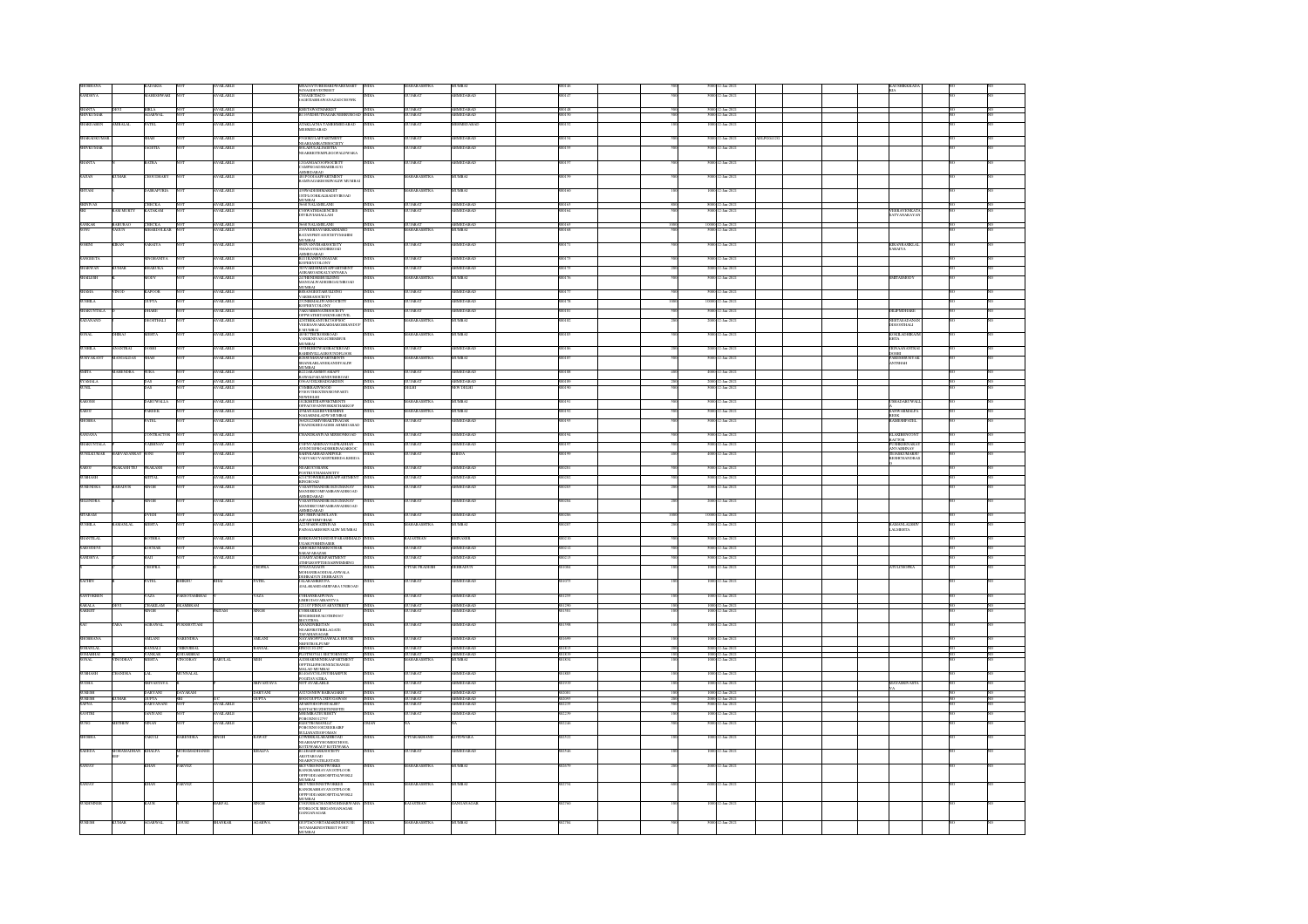|                           |                  |                            |                          | <b>MLABLI</b>                      |              | <b>ATAVTUBEHARDWAREMART</b>                                                                                                                                                                      |                                                 |                             |               |  |                                      |  |                                                 |  |  |
|---------------------------|------------------|----------------------------|--------------------------|------------------------------------|--------------|--------------------------------------------------------------------------------------------------------------------------------------------------------------------------------------------------|-------------------------------------------------|-----------------------------|---------------|--|--------------------------------------|--|-------------------------------------------------|--|--|
| NDHY/                     |                  |                            |                          | ALABLE                             |              | NAGDEVISTREET<br>MAGETIACO<br>COM                                                                                                                                                                | <b>JARA</b>                                     | <b>MEDARA</b>               |               |  |                                      |  |                                                 |  |  |
|                           |                  |                            |                          |                                    |              | <b>AGETIABHAWANAZADCHOWK</b>                                                                                                                                                                     |                                                 |                             |               |  |                                      |  |                                                 |  |  |
| SHANTA<br>SHIVKUMAR       |                  | BIRLA<br>MGARWAL           |                          | AVAILABLE<br>AVAILABLE             |              | HETAWATMARKET<br>16VIDHUTNAGAR NEHRUROAD                                                                                                                                                         | UJARAT<br>INDIA<br><b>GUJARAT</b>               | HMEDABAD<br>HMEDABAD        | D0150         |  | $tan-202$<br>2-Jan-2021<br>3000      |  |                                                 |  |  |
| <b>HARDABEN</b>           | MBALAL           | VTEL.                      |                          | ALABLE                             |              | <b>TAKLACHA TAMEHMEDABAD</b>                                                                                                                                                                     | <b>JARAT</b><br><b>DIA</b>                      | <b>HMEDABAD</b>             | 0152          |  | J <sub>2021</sub>                    |  |                                                 |  |  |
|                           |                  |                            |                          |                                    |              | EHMEDABAD                                                                                                                                                                                        |                                                 |                             |               |  |                                      |  |                                                 |  |  |
| HARADKUM                  |                  |                            |                          | All ABLE                           |              | <b>TOKUL APPARTMENT</b><br>ARSAMRATHSOCIETY                                                                                                                                                      | <b>JARA</b>                                     | FDARAD                      |               |  |                                      |  |                                                 |  |  |
| <b>SHIVKUMAR</b>          |                  | <b>KETIA</b>               |                          | <b>ALABLE</b>                      |              | <b>EARBIGTEMPLEGOPALDWARA</b>                                                                                                                                                                    | <b>JARAT</b><br><b>DIA</b>                      | <b>IMEDABAD</b>             |               |  | $tan-202$                            |  |                                                 |  |  |
| <b>SHANTA</b>             |                  | <b>ATRA</b>                |                          | VAILABLE                           |              | NANGACOOPSOCIETY                                                                                                                                                                                 | JARAT<br>DIA                                    | MEDABAD                     |               |  | 3-Jan-2021                           |  |                                                 |  |  |
|                           |                  |                            |                          |                                    |              | AMPROADSHAHIBAUG<br>HMEDABAD<br>01POOJAAPPARTMENT                                                                                                                                                |                                                 |                             |               |  |                                      |  |                                                 |  |  |
| <b>SAIJAN</b>             | <b>LMAR</b>      | HOUDHA                     |                          | VAILABLE                           |              | AMNAGARBORIWALIW MUMBAI                                                                                                                                                                          |                                                 | <b>IMRAI</b>                |               |  |                                      |  |                                                 |  |  |
| SHYAM                     |                  | <b>ASRAPURIA</b>           |                          | VAILABLE                           |              | SWADESHMARKET                                                                                                                                                                                    | <b>VHARASHTRA</b>                               | <b>MUMBAI</b>               |               |  | 3-Jan-2021                           |  |                                                 |  |  |
|                           |                  |                            |                          |                                    |              | <b>STFLOORKALBADEVIROAD</b>                                                                                                                                                                      |                                                 |                             |               |  |                                      |  |                                                 |  |  |
| RINIVAS                   | <b>MMRTY</b>     | HECKA<br>ATAKAM            |                          | AVAILABLE<br>AVAILABLE             |              | <b>IUMBAI<br/>668 NALAMSLANE<br/>OSWATHIAGENCIES</b>                                                                                                                                             | JARAT                                           | MEDABAI<br><b>JEDABAD</b>   |               |  | J <sub>20</sub><br>$tan-2021$        |  | <b>VEERAVENKAT</b><br>SATYANARAYA!              |  |  |
|                           |                  |                            |                          |                                    |              | <b>IVILIVIAMALLAM</b>                                                                                                                                                                            |                                                 |                             |               |  |                                      |  |                                                 |  |  |
| <b>JANKAR</b>             |                  |                            |                          | AILABLE<br>AILABLE                 |              |                                                                                                                                                                                                  |                                                 | MBAI                        |               |  |                                      |  |                                                 |  |  |
|                           |                  |                            |                          |                                    |              |                                                                                                                                                                                                  |                                                 |                             |               |  |                                      |  |                                                 |  |  |
| OHINI                     |                  | <b>JRAIYA</b>              |                          | <b>ALABLE</b>                      |              | $\frac{\text{S NALAman}}{\text{SVERBANARIC}}\\ \text{ATANPRI ASOCIETYMAHIM}\\ \text{LIMBAI}\\ \text{JIN ARVIHARSOCIETY}\\ \text{JIN ARVIHARSOLETY}\\ \text{``````wap01,AD''}$<br>MANAVMANDIRROAD | <b>JARA</b>                                     | EDABAD                      |               |  |                                      |  | <b>RANRAS</b><br>SARAIYA                        |  |  |
| <b>SANGEETA</b>           |                  | <b>INGHANIYA</b>           |                          | <b>VAILABLE</b>                    |              | IMEDABAD<br>11KANHYANAGAR                                                                                                                                                                        | UJARAT<br><b>DIA</b>                            | HMEDABAD                    |               |  | 5000 12-Jan-2021                     |  |                                                 |  |  |
| <b>HARWAN</b>             | <b>UTAK</b>      | HARUKA                     |                          | ALABLE                             |              | KOPERYCOLONY<br>ROVARDHMANAPPARTMEN<br>RORAROADKALYANNAKA<br>ETHENDREBUILDING                                                                                                                    | 13.937                                          | MEDABAI                     |               |  |                                      |  |                                                 |  |  |
| <b>HARFSH</b>             |                  | m                          |                          | All AREE                           |              |                                                                                                                                                                                                  | <b>HARASHT</b>                                  | <b>IMRAI</b>                |               |  |                                      |  |                                                 |  |  |
|                           |                  |                            |                          |                                    |              | MANGALWADIGIRGAUMROAD<br>UMBAI<br>SSANGEETABUILDING                                                                                                                                              |                                                 |                             |               |  |                                      |  |                                                 |  |  |
| .<br>НАМА                 | <b>INOD</b>      | <b>APOOR</b>               |                          | <b>AVAILABLE</b>                   |              |                                                                                                                                                                                                  | <b>NDIA</b><br>UJARAT                           | AHMEDABAD                   | 0017          |  | 5000 12-Jan-2021                     |  |                                                 |  |  |
| SHILA<br><b>JAKTINTAL</b> |                  | UPTA                       |                          | <b>VAILABLE</b><br><b>AIL ARLE</b> |              | BOSNIKSOCIETY<br>VARSHASOCIETY<br>232NIRMALJIVANSOCIETY<br>KOPERYCOLONY<br>7AKUMBHNATHSOCIETY                                                                                                    | <b>JARAT</b><br><b>NDIA</b><br>$\overline{151}$ | MEDABAD<br><b>COMPAS</b>    | 0178          |  | J <sub>2021</sub><br>1000            |  |                                                 |  |  |
| ADANANI                   |                  | OSTHAL                     |                          | VAILABLE                           |              | .KUMBHNA1ns.a.u<br>*PWATERTANKNEARCIVIL<br>**WEKANJURCOOPSOC                                                                                                                                     | <b>STYLE</b><br>HARASHTR.                       | <b>IMRAI</b>                |               |  | 500                                  |  |                                                 |  |  |
|                           |                  |                            |                          |                                    |              | EERSAWARKARMARGBHANDUE                                                                                                                                                                           |                                                 |                             |               |  |                                      |  | NEETASADAN/<br>DDEOSTHALI                       |  |  |
| SONAL.                    | HIRAJ            | <b>EHTA</b>                |                          | <b>VAILABLE</b>                    |              | MUMBAI<br>03E7THCROSSROAD<br>"ANIKNIVAS14CHEMBUR                                                                                                                                                 | .<br>IAHARASHTRA<br>DIA                         | <b>JUMBAI</b>               |               |  | 12-Jan-2021                          |  | KOKILADHIRAD<br>EHTA                            |  |  |
| <b>FISHIE A</b>           |                  |                            |                          | All ARLE                           |              | IUMBAI<br>UTHKHETWADIBACKROAD                                                                                                                                                                    | <b>TARA</b>                                     | <b>HMFDARAI</b>             |               |  | $-36$                                |  | <b>IKINA ANAN'</b>                              |  |  |
| <b>SURVAKANT</b>          | <b>ANGAI DAS</b> | <b>HAH</b>                 |                          | <b>VAILARLE</b>                    |              | AHIMVILLAGROUNDFLOOR<br>20SUMANAPARTMENTS                                                                                                                                                        | <b>AHARASHTR.</b>                               | <b>ELMRAT</b>               | ore           |  | Im 202                               |  | DOSHI<br>PARESHSURYAL                           |  |  |
|                           |                  |                            |                          |                                    |              | DJOSUMANAPARTMENTS<br>SHANKARLANEKANDIVALIW<br>MBAI<br>22ARAMSHYAMAPT                                                                                                                            |                                                 |                             |               |  |                                      |  | ANTSHAH                                         |  |  |
| MITA                      | <b>AHENDRA</b>   | SURA                       |                          | <b>VAILABLE</b>                    |              |                                                                                                                                                                                                  | UJARAT<br><b>SDIA</b>                           | HMEDABAD                    | 00188         |  | 4000 12-Jan-2021                     |  |                                                 |  |  |
| SYAMALA<br>SUNIL          |                  |                            |                          | VAILABLE<br><b>AILABLE</b>         |              | EAWALPADASNDUBEROAD<br>136A3 DILSHADGARDEN<br>2000 BERTARD                                                                                                                                       | JARAT<br>ELHI<br><b>DIA</b>                     | HMEDABAD<br>EW DELHI        | 0189<br>DI 94 |  | Jan-2021<br>Jan-2021                 |  |                                                 |  |  |
|                           |                  |                            |                          |                                    |              | OMRRAJIVSOOD<br>SOUTHEXTENSIONPARTI<br>WDELHI<br>!KSHITIJAPPSRTMENTS                                                                                                                             |                                                 |                             |               |  |                                      |  |                                                 |  |  |
| <b>AROSH</b>              |                  | ARUWALLA                   |                          | VAILABLE                           |              | <b>PEACOFANWORKSCHARKOP</b>                                                                                                                                                                      | <b>HARASHTRA</b>                                | <b>ALIMRAL</b>              |               |  | Im 202                               |  | HADARIWA                                        |  |  |
| tows                      |                  | AREEK                      |                          | <b>VAILARLE</b>                    |              |                                                                                                                                                                                                  | <b>AHARASHTRA</b><br><b>STOR</b>                | <b>ELMRAT</b>               |               |  | 3m/2021<br>som                       |  | A<br>SANWARMALPA<br>REEK<br>RAMESHPATEL         |  |  |
| <b>SHOBHA</b>             |                  | ATEL.                      |                          | VAILABLE                           |              | SMANALISE VERSHINE<br>AGARMALADW MUMBAI<br>SE2022SHIVSHAKTINAGAR<br>HANDKHEDAGHB AHMEDABAD                                                                                                       | UJARAT<br>NDIA                                  | HMEDABAD                    |               |  | 2-Jan-2021<br>5000                   |  |                                                 |  |  |
| ANJANA                    |                  | <b>NTRACTO</b>             |                          | ALABLE                             |              | ANDRANIVAS MISSIONROAD                                                                                                                                                                           | 149.47                                          | <b>MEDARAT</b>              |               |  | Jan-202                              |  | AXIRENCI                                        |  |  |
| <b>HAKUNTALA</b>          |                  | <b>AKHNAV</b>              |                          | <b>VAILABLE</b>                    |              | PNVARHNAVSMPRADHAN                                                                                                                                                                               | <b>TARAT</b><br><b>STYLE</b>                    | <b>IMEDARAD</b>             |               |  | 5000 12-Jan-2021                     |  | RACTOR<br>PUSHKERNARA'                          |  |  |
| <b>UNILKUMAR</b>          | <b>RVADANRA</b>  |                            |                          | ALABLE                             |              | ENUEFROADSHRINAGARSOC<br>HNKARBADANIPOLE<br>ATINKAKIMAMPOLE<br>'ADVAKUVADISTKHEDA KHEDA                                                                                                          | JARAT                                           | <b>HEDA</b>                 |               |  | $tan-2021$<br>200                    |  | <b>ANVAISHNAV</b><br>TEJASKUMARS<br>RESHCHANDRA |  |  |
| .<br>AROJ                 |                  | <b>EAKASH</b>              |                          | <b>AILABLE</b>                     |              | ARUCOBANK                                                                                                                                                                                        | <b>JARA</b>                                     | MEDABAI                     |               |  | $tan-202$                            |  |                                                 |  |  |
| <b>TRHAG</b>              |                  |                            |                          | <b>ALABLE</b>                      |              | <b>DSTKUCHAMANCITY</b>                                                                                                                                                                           | <b>JARAT</b>                                    | EDMRAT                      |               |  |                                      |  |                                                 |  |  |
| <b>SURENDRA</b>           | HADUR            | <b>NGH</b>                 |                          | <b>AVAILABLE</b>                   |              | IL IU (1980)<br>INGROAD<br>ASANTMANDIRI B202MANAV                                                                                                                                                | <b>JUJARAT</b><br><b>SDIA</b>                   | HMEDABAD                    |               |  | -<br>Ian-2021<br>2000                |  |                                                 |  |  |
|                           |                  |                            |                          |                                    |              | <b>ANDIRCOMPAMBAWADIROAD</b>                                                                                                                                                                     |                                                 |                             |               |  |                                      |  |                                                 |  |  |
| <b>ELENDRA</b>            |                  | œ                          |                          | VAILABLE                           |              | NEWSIDE BRANCH SHEATH SERIOUS<br>VASANTMANDIRI B202MANAV<br>MANDIRCOMPAMBAWADIROAD                                                                                                               | <b>JARA</b>                                     | <b>MEDABAI</b>              |               |  |                                      |  |                                                 |  |  |
| <b>ITARAM</b>             |                  | VEDI                       |                          | <b>ALABLE</b>                      |              | <b>IMEDABAD</b><br>FINSHIVAENCLAVE                                                                                                                                                               | 149.47                                          | MEDARAD                     |               |  | $tan-202$                            |  |                                                 |  |  |
| USHILA                    |                  | <b>EHTA</b>                |                          | ALABLE                             |              | <b>MPASCHIMVIHAR</b><br>MPASCHIMVIHAR                                                                                                                                                            | <b>HARASHTR</b>                                 | <b>UMBAI</b>                |               |  | $tan-202$                            |  | AMANLALSHI                                      |  |  |
|                           |                  |                            |                          |                                    |              | AINAGARBORIVALIW MUMBAI<br><b>IKHANCHANDSUPARASHMALD</b>                                                                                                                                         |                                                 |                             |               |  |                                      |  | <b>ALMEHTA</b>                                  |  |  |
| HANTILAL<br>QIDEV         |                  | <b>THRA</b><br><b>CHAR</b> |                          | VAILABLE<br>AILABLE                |              |                                                                                                                                                                                                  | .<br>ARAI                                       | NASER<br><b>EDARAL</b>      |               |  | $-$ Jan-2021<br>tan 202              |  |                                                 |  |  |
| <b>ANDHYA</b>             |                  | хĦ                         |                          | <b>AVAILABLE</b>                   |              | KIAR POBHINASER<br>ASHOKKUMARKOCHAR<br>SARAFABAZAR<br>H SAHYADRIAPARTMENT                                                                                                                        | UJARAT<br><b>DIA</b>                            | <b>HMEDARAD</b>             |               |  | 2-Jan-2021                           |  |                                                 |  |  |
|                           |                  | HOPRA                      |                          |                                    | OPRA         | THFLROPPTDESAISWIMMING<br>SNAYAGAON                                                                                                                                                              | <b>TTAR PRADESH</b><br>iDIA                     | EHRADUN                     |               |  | 3-Jan-2021                           |  | TULCHOPRA                                       |  |  |
|                           |                  |                            |                          |                                    |              | SNATALIAUS<br>(CHANIRAODDALANWALA                                                                                                                                                                |                                                 |                             |               |  |                                      |  |                                                 |  |  |
|                           |                  |                            |                          |                                    |              | EHRADUN DEHRADUN<br>U ARAMKRUPA<br>IALARAMDAMJIPARA UNIROAD                                                                                                                                      | 1.001                                           | <b>ACTABAT</b>              |               |  |                                      |  |                                                 |  |  |
| <b>ANTOKREY</b>           |                  | <b>AZA</b>                 | <b><i>RSOTAMBHAL</i></b> |                                    | AΖA          | <b>OHANSRAJPUNJA</b>                                                                                                                                                                             | NDIA.<br>TIARAT                                 | <b>IMEDARAD</b>             | 1255          |  | 301                                  |  |                                                 |  |  |
|                           |                  | HAKILAM                    | EKAMBRAM                 |                                    |              | <b>MBUDAVAIBANTVA</b><br>!1107 PINNAVARYSTREET                                                                                                                                                   | UJARAT<br>INDIA                                 | AHMEDABAD                   | 01290         |  |                                      |  |                                                 |  |  |
| <b>ARALA</b><br>LARRIT    |                  |                            |                          |                                    |              | SHARRAJ<br>GHSIDHUKOTHINO67                                                                                                                                                                      | 149.47                                          | <b>JEDARAI</b>              |               |  | 1000 12-Jan-2021<br>1000 12-Jan-2021 |  |                                                 |  |  |
|                           | œА               | .<br>GRAWAL                | RSHOTTAM                 |                                    |              | <b>COTROA</b><br>NANDNIKETAN<br>EARFIRSTBIRLAGATE                                                                                                                                                | JARAT<br>DIA                                    | <b>IMEDABAD</b>             |               |  | -Jan-2021                            |  |                                                 |  |  |
|                           |                  |                            |                          |                                    |              |                                                                                                                                                                                                  |                                                 |                             |               |  |                                      |  |                                                 |  |  |
|                           |                  | <b>SLAND</b>               | <b>ENDRA</b>             |                                    | <b>ALAN</b>  | -<br>PADIANAGAR<br>VANOPPTAJAWALA HOUSE<br>RPETROLPLIMP                                                                                                                                          | -<br>13.937<br>DIA                              | FDARAE                      |               |  |                                      |  |                                                 |  |  |
| <b>OHANLA</b><br>OMARIJA  |                  | USALI<br>WKAR              | HRNJIHAL<br>XDARBHAI     |                                    | iNSAI        | 02110.45C<br>HNO7041 SECTORNO3                                                                                                                                                                   | <b>JARAT</b><br>JARAT<br>NDIA<br>NDIA           | <b>IMEDABAD</b><br>IMEDABAD |               |  |                                      |  |                                                 |  |  |
|                           |                  | .<br>HTA                   | ODRAY                    |                                    |              | DHARNENDRAAPARTMENT<br>PTELEPHOENEXCHANGE<br>WAD MUMBAI<br>40AVCOLONYSHAHPUR                                                                                                                     | HARASI                                          | MBAI                        |               |  |                                      |  |                                                 |  |  |
| UBHASH                    | NDR A            |                            | <b>NNALAL</b>            |                                    |              |                                                                                                                                                                                                  | JARAT                                           | <b>IMEDABAD</b>             |               |  | 58.202                               |  |                                                 |  |  |
| UDHA                      |                  | RIVASTAVA                  |                          |                                    | VASTAVA      | <b>YOGITAVATIKA</b><br>NOT AVAILABLE                                                                                                                                                             | JARAT                                           | <b>IMEDARAD</b>             |               |  | J <sub>2021</sub>                    |  | <b>ASPIVAS</b>                                  |  |  |
| SURESH                    |                  | <b>MRYANI</b>              | DAYARAM                  |                                    | DARYANI      | 326NEW BAIRAGARH                                                                                                                                                                                 | UJARAT<br>NDIA                                  | AHMEDABAD                   |               |  | 1000 12-Jan-202                      |  |                                                 |  |  |
| SURESH<br>APNA            | <b>LMAR</b>      | <b>JUPTA</b><br>ARYANANI   | юr                       | ALABLE                             | GUPTA        | <b>SOGCGUPTA 28DUGAWAN</b><br><b>PARTODOPOSTALSS?</b>                                                                                                                                            | INDIA<br>UJARAT<br>NDIA<br>UJARAT               | AHMEDABAD<br>HMEDABAD       |               |  | Jan-2021<br><b>Som</b>               |  |                                                 |  |  |
| $\overline{m}$            |                  | NIYANI                     |                          | <b>AILABLE</b>                     |              | <b>ANTACRUZDETENEFITE</b><br><b>EMIRATEURERTY</b>                                                                                                                                                | <b>JARA</b>                                     | MEDABAD                     |               |  | Jan-202                              |  |                                                 |  |  |
|                           |                  |                            |                          | ALABLE                             |              | POBOXNO12797<br>ELECTROMANLLC<br>POBOXNO1082SEEBAIRP                                                                                                                                             |                                                 |                             |               |  |                                      |  |                                                 |  |  |
|                           |                  | <b>AKULI</b>               | <b>RENDRA</b>            |                                    | <b>AWAT</b>  | <b>JLIANATEOFOMAN<br/>)WERKALABAIHROAD</b>                                                                                                                                                       | <b>TTAR AKHAND</b>                              | <b>OTTWARA</b>              |               |  | Im202                                |  |                                                 |  |  |
| SHOBHA                    |                  |                            |                          | аnн                                |              | EARHAPPYHOMESCHOOL                                                                                                                                                                               |                                                 |                             |               |  |                                      |  |                                                 |  |  |
| AEEDA                     | <b>JOHAMADHA</b> | HALPA                      | OHAMADHANE               |                                    | HALPA        | <b>TDWARAUP KOTDWARA</b><br>HIAJIPARKSOCIETY                                                                                                                                                     | <b>JARA</b>                                     | MEDABAD                     |               |  | J <sub>202</sub>                     |  |                                                 |  |  |
|                           |                  |                            |                          |                                    |              | KOTAROAD<br>EARPCPATELESTATE                                                                                                                                                                     |                                                 |                             |               |  |                                      |  |                                                 |  |  |
|                           |                  |                            |                          |                                    |              | KYVISIONNETWORKS<br>ANGRABHAVAN ISTFLOOR<br>PPPODDARHOSPITALWORLI                                                                                                                                |                                                 |                             |               |  |                                      |  |                                                 |  |  |
| <b>SANJAY</b>             |                  | CHAN                       | ARVEZ.                   |                                    |              | IUMBAI<br>KYVISIONNETWORKES                                                                                                                                                                      | <b>MAHARASHTRA</b>                              | MUMBAI                      |               |  | 2-Jan-202                            |  |                                                 |  |  |
|                           |                  |                            |                          |                                    |              | ANGRABHAVAN ISTFLOOR<br>PPPODDARHOSPITALWORLI                                                                                                                                                    |                                                 |                             |               |  |                                      |  |                                                 |  |  |
| UKHNINER                  |                  | <b>AUR</b>                 |                          |                                    |              |                                                                                                                                                                                                  |                                                 |                             |               |  |                                      |  |                                                 |  |  |
|                           |                  |                            |                          |                                    |              | UMBAI<br>DGURBACHANSINGHMARWAH<br>DBLOCK SRIGANGANAGAR<br>ANGANAGAR                                                                                                                              |                                                 |                             |               |  |                                      |  |                                                 |  |  |
| SURESH                    | MAR              | <b>GARWAL</b>              | OURI                     | <b>INKAR</b>                       | <b>JARWA</b> | UPTACO3BTAMARINDHOUSE                                                                                                                                                                            | <b>HARASHTRA</b>                                | <b><i>EUMBAL</i></b>        |               |  |                                      |  |                                                 |  |  |
|                           |                  |                            |                          |                                    |              | <b>STAMARINDSTREET FORT</b><br><b>MUMBAI</b>                                                                                                                                                     |                                                 |                             |               |  |                                      |  |                                                 |  |  |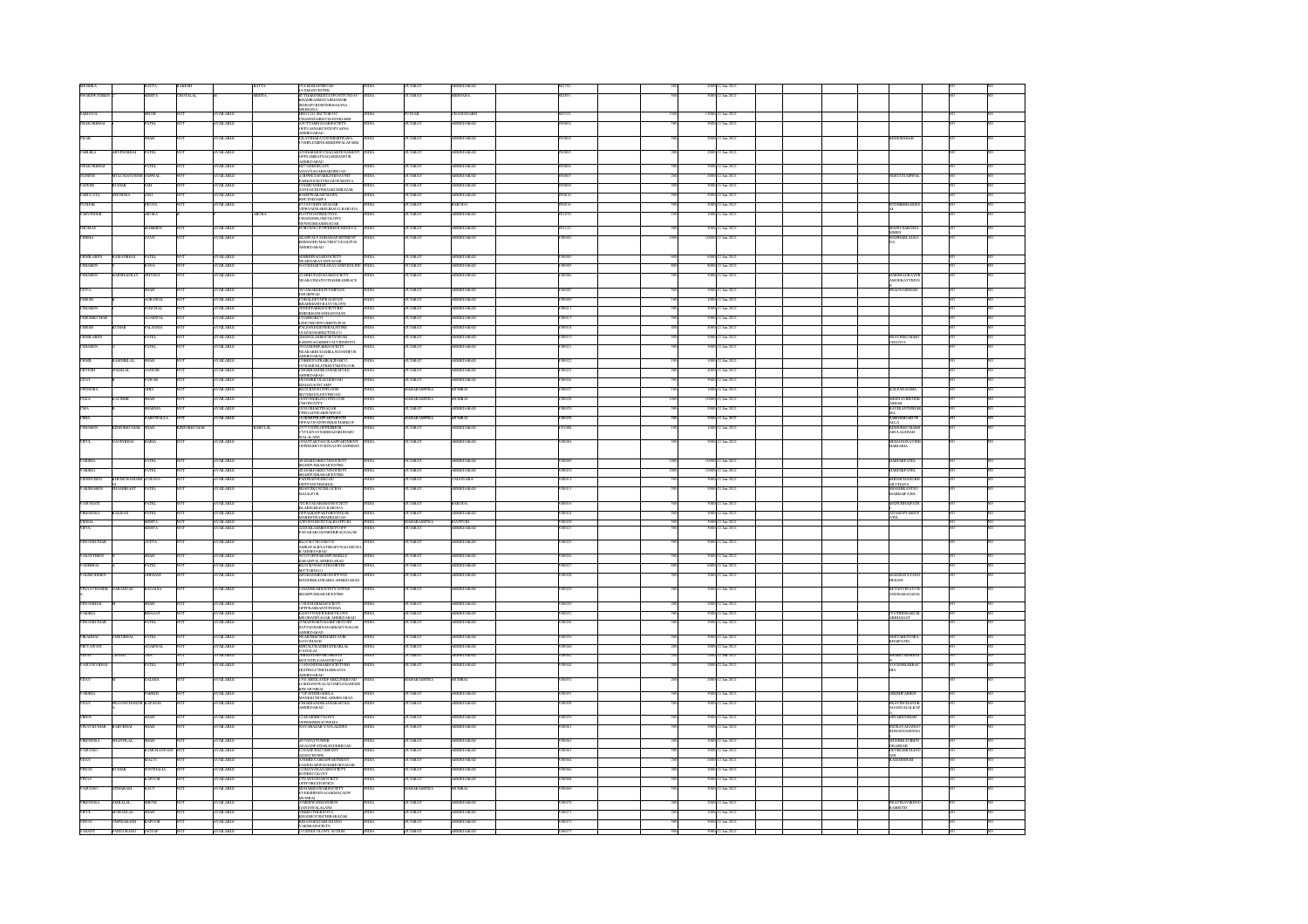|                   |                      |                |                |                                     |      | 9A MAHANTROAD                                                                                                                                        | <b>NDIA</b>          | <b>HARAT</b>          | <b>IMEDABAI</b>        |              |                     |                                     |  |                                    |  |  |
|-------------------|----------------------|----------------|----------------|-------------------------------------|------|------------------------------------------------------------------------------------------------------------------------------------------------------|----------------------|-----------------------|------------------------|--------------|---------------------|-------------------------------------|--|------------------------------------|--|--|
|                   |                      |                |                |                                     |      | MANCHOWK<br>HARSTREETATPOS                                                                                                                           |                      |                       |                        |              |                     |                                     |  |                                    |  |  |
|                   |                      |                |                |                                     |      | AMBAJIMATAJIMANDIR<br>HAPURDISTMEHASANA                                                                                                              |                      |                       |                        |              |                     |                                     |  |                                    |  |  |
|                   |                      |                |                |                                     |      |                                                                                                                                                      |                      |                       |                        |              |                     |                                     |  |                                    |  |  |
| <b>LARTYOOT</b>   |                      | ons.           |                | <b>AILABLE</b>                      |      | HSANA<br> OI241 SECTOR33C                                                                                                                            |                      | <b>NTAF</b>           | <b>JANDIGARH</b>       |              |                     |                                     |  |                                    |  |  |
| <b>HAKORBHA</b>   |                      | <b>TET</b>     |                | <b>VAILABLE</b>                     |      | <b>HANDIGARH CHANDIGARH</b><br>NSUTTAMNAGARSOCIETY                                                                                                   |                      | UJARAT                | HMEDABAD               |              |                     | 2-Jan-2021                          |  |                                    |  |  |
|                   |                      |                |                |                                     |      | <b>JPPVASNABUSSTOPVASNA</b>                                                                                                                          |                      |                       |                        |              |                     |                                     |  |                                    |  |  |
| TILAK             |                      | ĩЛH            |                | VAILABLE                            |      | <b>MARK AND SERVICE OF A SERVICE AND SERVICE OF A SERVICE AND SERVICE AND SERVICE OF A SERVICE OF A SERVICE OF A</b><br>TOMPLEXIENE ARBIDIWAL AP ARK |                      | <b>JUJARAT</b>        | <b>IMEDABAD</b>        |              |                     | $-1$ an-202                         |  | <b>BORSHAH</b>                     |  |  |
|                   |                      |                |                |                                     |      |                                                                                                                                                      |                      |                       |                        |              |                     |                                     |  |                                    |  |  |
| TARLIKA           | <b>RVINDRHAI</b>     | ATEL.          |                | VAILABLE                            |      | <b>2DHARMDEVNAGARTENAMENT</b>                                                                                                                        |                      | <b>HARAT</b>          | <b>HMEDARAD</b>        |              |                     | 000 12-5m202                        |  |                                    |  |  |
|                   |                      |                |                |                                     |      | <b>JPPSAMRATNAGARISANPUR</b>                                                                                                                         |                      |                       |                        |              |                     |                                     |  |                                    |  |  |
| <b>HAKORBHAI</b>  |                      | ATEL.          |                | <b>VAILABLE</b>                     |      | HMEDABAD<br>4734MIGFLATS                                                                                                                             | <b>DIA</b>           | GUJARAT               | HMEDABAD               |              |                     | 5000 12-Jan-2021                    |  |                                    |  |  |
| EJSINH            | <b>LLCHAND</b>       | <b>USWAL</b>   |                | VAILABLE                            |      | IJAYNAGARHARNIROAD<br>I BSWETAPARK2NRNAVNIT                                                                                                          | NDIA                 | GUJARAT               | HMEDABAD               |              |                     | 2000 12-Jan-2021                    |  | NEETATJAISV                        |  |  |
| APES              |                      |                |                |                                     |      | <b>ARKSOCIETYROADWARSIYA</b>                                                                                                                         |                      |                       | <b>MCDARAT</b>         |              |                     |                                     |  |                                    |  |  |
|                   |                      |                |                | <b>ALABLE</b>                       |      | <b>NDACHOWKSAKCHIBAZAR</b><br>MATWAR ASCHAWI                                                                                                         |                      | JARAT                 |                        |              |                     | $an-202$                            |  |                                    |  |  |
| <b>TARULATA</b>   | ENDRA                |                |                | <b>ALABLE</b>                       |      |                                                                                                                                                      | ة<br>GNLA            | <b>JARAT</b>          | <b>IMEDABAI</b>        |              |                     | J <sub>202</sub>                    |  |                                    |  |  |
| <b>TUSHAR</b>     |                      | EOTA           |                | VAILABLE                            |      | ATTENZAMPA<br>SAYODHYANAGAR                                                                                                                          | NDIA                 | <b>UJARAT</b>         | ARODA                  |              |                     | 5000 12-Jan-2021                    |  | IDHRBHAID                          |  |  |
| TARVINDER         |                      | RORA           |                |                                     |      | <b>UPROADKARELIBAUG BARODA</b><br>LOTNO4STREETNOI<br>HANDERLOKCOLONY                                                                                 |                      | UJARAT                | IMEDARAD               |              |                     | $Jan-202$                           |  |                                    |  |  |
|                   |                      |                |                |                                     |      |                                                                                                                                                      |                      |                       |                        |              |                     |                                     |  |                                    |  |  |
| THOMAS            |                      | <b>AMAGN</b>   |                | VAILABLE                            |      | EWSUBHASHNAGAR<br>DBOXS64 POWERHOUSEDEVA                                                                                                             | <b>NDIA</b>          | TARATIO               | <b>HMEDARAD</b>        |              |                     | 5000 12-Jan-2021                    |  | <b>ANTISARC</b>                    |  |  |
| <b>SHMA</b>       |                      |                |                | <b>All ARIF</b>                     |      | KAIWAI VADHAMAPARTMENT                                                                                                                               |                      | <b>HARAT</b>          | <b>IMEDARAD</b>        |              |                     | $\frac{1}{2}$                       |  | <b>MMEN</b><br>MMEN<br>MANHARLALR/ |  |  |
|                   |                      | ive            |                |                                     |      | HMADHUMALTISOCVEJALPUR                                                                                                                               | m                    |                       |                        |              |                     |                                     |  |                                    |  |  |
|                   |                      |                |                |                                     |      | HMEDABAD                                                                                                                                             |                      |                       |                        |              |                     |                                     |  |                                    |  |  |
| RMLABE?           |                      | <b>TEL</b>     |                | <b>ALABLE</b>                       |      | RUINAGARSOCIETY                                                                                                                                      |                      | <b>UJARA</b>          | MEDABAI                |              |                     | 2-Jan-202                           |  |                                    |  |  |
| <b>SHARE</b>      |                      |                |                | ALABLE                              |      | <mark>EARNARAY ANNAGAR</mark><br>KAVIDHARTI RANAVASM                                                                                                 |                      | <b>JARA</b>           |                        |              |                     |                                     |  |                                    |  |  |
|                   |                      |                |                |                                     |      |                                                                                                                                                      |                      |                       |                        |              |                     |                                     |  |                                    |  |  |
| USHABEN           | <b>RSHADRAY</b>      | <b>RIVEDI</b>  |                | <b>AVAILABLE</b>                    |      | 2 AR REIDAN AG AR SOCIETY<br><b>EARATMAJYOTIASHRAMRACE</b>                                                                                           | ة<br>GNLA            | <b>JUJARAT</b>        | HMEDABAD               |              |                     | 5000 12-Jan-202                     |  | <b>ARSHADRAY</b><br>AMODRAYTRE     |  |  |
| UDYA              |                      |                |                | <b>VAILABLE</b>                     |      | <b>AMARDEEPCOMPLEX</b>                                                                                                                               |                      | .<br>JUARAT           | <b>IMEDARAD</b>        |              |                     |                                     |  | <b>AGNASS</b>                      |  |  |
|                   |                      | HAH            |                |                                     |      |                                                                                                                                                      | NDIA                 |                       |                        |              |                     | 5000 12-Jan-202                     |  |                                    |  |  |
| UMESH             |                      | .<br>GRAWAL    |                | <b>VAILABLE</b>                     |      | HOBIWAD<br>OBALDEVNPRAJAPATI                                                                                                                         | NDLA                 | <b>JUARAT</b>         | HMEDARAD               |              |                     | 1000 12-Jan-2021                    |  |                                    |  |  |
| USHABEN           |                      | <b>INCHAL</b>  |                | <b>ALABLE</b>                       |      | RAHMANIVIJAYCOLONY<br>DEEPPARKSOCIETYBH                                                                                                              | .<br>DIA             | <b>JARAT</b>          | <b>NEDARAF</b>         |              |                     | 5000 12-Jan-202                     |  |                                    |  |  |
| <b>MESHKUMA</b>   |                      | <b>GARWAL</b>  |                | VAILABLE                            |      | HIDBHANJANHANUMAN<br>DASHOKCO                                                                                                                        | <b>NDIA</b>          | <b>JUJARAT</b>        | <b>HMEDARAD</b>        |              |                     | 5000 12-Jan-2021                    |  |                                    |  |  |
|                   |                      |                |                |                                     |      | INE7SHOPNO2BISTUPUR<br>PALSANIAGENERALSTORE                                                                                                          |                      |                       |                        |              |                     |                                     |  |                                    |  |  |
| UMESH             | MAR                  | <b>ALSANIA</b> |                | VAILABLE                            |      |                                                                                                                                                      | <b>INDIA</b>         | GUJARAT               | HMEDABAD               | oot s<br>400 |                     | 4000 12-Jan-2021                    |  |                                    |  |  |
| RMLABEN           |                      | <b>VTEL</b>    |                | <b>VAILABLE</b>                     |      | SAZADMARKETTELCO<br>!MANGLAMSOCIETYNEAR                                                                                                              | NDIA                 | <b>JUJARAT</b>        | HMEDABAD               |              |                     | 5000 12-Jan-2021                    |  | PRAVINKUMAI<br>CHAVDA              |  |  |
| <b>SHABEN</b>     |                      | .<br>VTEI      |                | <b>ALABLE</b>                       |      | ARISNAGARBHVACCINEINSTI<br>ÞGANDHIPARKSOCIETY                                                                                                        | .<br>DIA             | UJARAT                | <b>IMEDABAL</b>        |              |                     | J <sub>202</sub>                    |  |                                    |  |  |
|                   |                      |                |                |                                     |      | EARABUDAMILLSGOMTIPUR                                                                                                                                |                      |                       |                        |              |                     |                                     |  |                                    |  |  |
| URME.             |                      |                |                | <b>ALABLE</b>                       |      | HMEDABAD<br>OBHUPATRAIKALIDASCO                                                                                                                      |                      | <b>JARAT</b>          | MEDABAD                |              |                     |                                     |  |                                    |  |  |
| URVESH            | UKHLAL               | <b>ANDHI</b>   |                | VAILABLE                            |      | 95SAMUELSTREET3RDFLOOR<br>'HOKHANDIKANSARAPOLE                                                                                                       | NDIA                 | .<br>JUARAT           | HMEDABAD               |              |                     | 4000 12-Jan-2021                    |  |                                    |  |  |
|                   |                      |                |                |                                     |      | HMEDABAD<br>EOGIRICOLLEGEROAD                                                                                                                        |                      |                       |                        |              |                     |                                     |  |                                    |  |  |
| <b>JDAY</b>       |                      | $\overline{M}$ |                | <b>ALABLE</b>                       |      |                                                                                                                                                      |                      | <b>JARAT</b>          | <b>MEDARAI</b>         |              |                     |                                     |  |                                    |  |  |
| UPENDRA           |                      |                |                | <b>AILARLE</b>                      |      | EGAONCAMP<br>CKNOSI STFLOOR                                                                                                                          |                      |                       | <b>ELMRAI</b>          |              | $\overline{1000}$   | 2-Jan-202                           |  |                                    |  |  |
| ULKA              | <b>ALISHIK</b>       | нан            |                | <b>VAILARLE</b>                     |      | <b>ILVERGOLDSVPROAD</b><br>0STONEBLDG1STFLOOR                                                                                                        | <b>NDIA</b>          | <b>MAHARASHTRA</b>    | <b>MEMBAL</b>          |              |                     | 10000 12-5m-2021                    |  | MEENAVIREND                        |  |  |
|                   |                      |                |                | VAILABLE                            |      | HOWPATTY<br>0301SHAKTINAGAR                                                                                                                          |                      |                       | HMEDABAL               |              |                     |                                     |  | ASHAH<br>RAVIKANTSS                |  |  |
| ЛΑ                |                      | HARMA          |                |                                     |      |                                                                                                                                                      | NDIA                 | GUJARAT               |                        |              |                     | 5000 12-Jan-2021                    |  |                                    |  |  |
| SHA               |                      | <b>MEUWALL</b> |                | VAILABLE                            |      | PROADNEARSUBWAY<br><mark>UKSHITILAPPARTMENT</mark>                                                                                                   | DUA                  | <b>AHARASHTI</b>      | <b>UMBAI</b>           |              |                     | 5000 12-Jan-2021                    |  | .<br>ROSHDA                        |  |  |
| <b>SHABEN</b>     |                      |                | <b>JORKUMA</b> |                                     | ULAI | PPACOFANWORKSCHARKOP                                                                                                                                 |                      | IARA)                 | MEDARAD                |              |                     | $tan-2021$                          |  | ALLA                               |  |  |
|                   |                      |                |                |                                     |      | 37771STFLOPPKiSHAR<br>YCLENAVSARIBAZARDHABU                                                                                                          |                      |                       |                        |              |                     |                                     |  | KISHORKUM/<br>ABULALSHAF           |  |  |
| <b>VIRUL</b>      |                      | ARL            |                | VAILABLE                            |      | ALALANE<br>SATTARTALUKAAPPARTMENT                                                                                                                    |                      | UJARAT                | HMEDABAD               |              | 5000                | J <sub>202</sub>                    |  | <b>HEMANGNAY</b>                   |  |  |
|                   |                      |                |                |                                     |      | PPHIGHCOURTNAVJIVANPRESS                                                                                                                             |                      |                       |                        |              |                     |                                     |  | HAIHARIA                           |  |  |
|                   |                      |                |                |                                     |      |                                                                                                                                                      |                      |                       |                        |              |                     |                                     |  |                                    |  |  |
| <b>ARSHA</b>      |                      | <b>TEL</b>     |                | <b>AVAILABLE</b>                    |      | <b>ASARDARKUNISOCIETY</b><br>HAHPURBAHAICENTRE<br>8ASARDARKUNISOCIETY                                                                                | <b>DIA</b>           | GUJARAT               | HMEDABAD               |              |                     | 10000 12-Jan-202                    |  | ARDIKPATE                          |  |  |
|                   |                      |                |                |                                     |      |                                                                                                                                                      | .<br>ma              | <b>TTARAT</b>         | <b>HMEDARAD</b>        |              |                     |                                     |  | <b>HARDIKPATEL</b>                 |  |  |
| <b>VARSHA</b>     |                      | <b>ATEI</b>    |                | VAILABLE                            |      |                                                                                                                                                      |                      |                       |                        |              |                     | 10000 12-Jan-2021                   |  |                                    |  |  |
| SHNUBE            |                      | <b>HAN</b>     |                | ALABLE                              |      |                                                                                                                                                      |                      | <b>JARAT</b>          | <b>ADODARA</b>         |              | som                 | J <sub>202</sub>                    |  | EMCHAND                            |  |  |
|                   |                      |                |                |                                     |      | AHPURBAHAK'ENTRE                                                                                                                                     |                      |                       |                        |              |                     |                                     |  |                                    |  |  |
| ARSHABEN          | <b>SHIKANT</b>       | ATEL.          |                | <b>ALABLE</b>                       |      | ISTPANCHMAHAL<br>HANTIKUNJ2BLOCK94                                                                                                                   | <b>TITA</b>          | <b>UJARAT</b>         | HMEDABAD               |              | $\frac{1}{2}$       | $3m-202$                            |  | AILUHANA<br>SHASHIKANTS            |  |  |
|                   |                      |                |                |                                     |      | <b>AMALPUR</b>                                                                                                                                       |                      |                       |                        |              |                     |                                     |  | <b>ABHAIPATEL</b>                  |  |  |
| .<br>ASUMAT       |                      |                |                | <b>AILABLE</b>                      |      | <b>BVADARS</b>                                                                                                                                       |                      | JARA                  |                        |              |                     |                                     |  |                                    |  |  |
| <b>TRENDRA</b>    | <b>TIN</b>           | <b>TEL</b>     |                | <b>ALABLE</b>                       |      | ARELIBAUG BARODA                                                                                                                                     |                      | 1149.47               | <b><i>IMEDARAL</i></b> |              |                     | 58.202                              |  | <b>ANDPYAR</b>                     |  |  |
|                   |                      |                |                |                                     |      | PPASSAPTAR 1998 - 11110<br>IARKETRAJMAHELROAD<br>TSARTGHOTI TALIGATPURI                                                                              |                      |                       |                        |              |                     |                                     |  | <b>CEL</b>                         |  |  |
| VISHAL<br>VIRUL   |                      | EHTA<br>IEHTA  |                | VAILABLE<br>VAILABLE                |      | <b>COLUMN AXAMISOCIETYOPS</b>                                                                                                                        | NDIA<br>NDIA         | IAHARASHTRA<br>UJARAT | ATPURI<br>BAEDABAD     |              |                     |                                     |  |                                    |  |  |
|                   |                      |                |                |                                     |      | <b>IDARAROADNESEIPALNAGAF</b>                                                                                                                        |                      |                       |                        |              |                     |                                     |  |                                    |  |  |
| <b>INODKUMAS</b>  |                      | UPTA           |                | <b>ALABLE</b>                       |      |                                                                                                                                                      |                      | UJARAT                | <b>IMEDABAD</b>        |              |                     | J <sub>202</sub>                    |  |                                    |  |  |
|                   |                      |                |                |                                     |      | BLOCK27ROOM318<br>AMRAPALIFLATSBAPUNAGARCHA                                                                                                          |                      |                       |                        |              |                     |                                     |  |                                    |  |  |
| ASANTIBE?         |                      | <b>HAH</b>     |                | ALABLE                              |      | AHMEDABAD<br>55250PPSARASPURMILLS                                                                                                                    |                      | <b>JARAT</b>          | <b>NEDABAI</b>         |              | $\frac{5000}{2000}$ | 2-Jan-202                           |  |                                    |  |  |
| <b>ADRHAI</b>     |                      | <b>ATEL</b>    |                | <b>VAILARLE</b>                     |      | ARASPUR AHMEDABAD<br>ILOCK5966CATEGORYIII                                                                                                            | <b>NDIA</b>          | <b>TARATE</b>         | <b>HMEDARAD</b>        | m            |                     | 6000 12-5m-2021                     |  |                                    |  |  |
| <b>VALIMOHMED</b> |                      | HESANI         |                | <b>VAILABLE</b>                     |      |                                                                                                                                                      | <b>Thia</b>          | <b>UJARAT</b>         | HMEDABAD               |              |                     | 3m/2021                             |  | <b>ALEKSULTA</b>                   |  |  |
|                   |                      |                |                |                                     |      | <b>RANDONIE<br/>ECTORNO21</b><br>* <sup>ECH</sup> ANMENSIONOPPVED<br><b>JANDIRKANKARIA AHMEDABAD</b>                                                 |                      |                       |                        |              |                     |                                     |  | <b>HESANI</b>                      |  |  |
| <b>INAYCHANDE</b> | <b><i>RANDAS</i></b> | <b>VGADIA</b>  |                | <b>ALABLE</b>                       |      | 4SANSKARSOCIETY ISTFLR                                                                                                                               |                      | UJARAT                | <b>IMEDABAD</b>        |              |                     | $-3an-202$                          |  |                                    |  |  |
|                   |                      |                |                |                                     |      | AHPURBAHAKENTRE                                                                                                                                      |                      |                       |                        |              |                     |                                     |  | KETANVINAYO<br>ANDRABAGAD          |  |  |
| <b>INODRHA</b>    |                      |                |                | AT ARLE                             |      | SUDHARMASOCIETY                                                                                                                                      |                      | 14847                 | MEDARAD                |              |                     | Im 202                              |  |                                    |  |  |
| <b>ARSHA</b>      |                      | <b>LAGAT</b>   |                | <b>ALABLE</b>                       |      | <b>PPPRASHANTCINEMA</b><br>4GOVTOFFICERSCOLO                                                                                                         | <b>DIA</b>           | UJARAT                | <b>IMEDABAD</b>        |              |                     | J <sub>202</sub>                    |  | TINDRAKU                           |  |  |
|                   |                      |                |                |                                     |      |                                                                                                                                                      |                      |                       |                        |              |                     |                                     |  | ARBHAGAT                           |  |  |
| <b>INODKUMAS</b>  |                      | VTEL           |                | <b>ALABLE</b>                       |      | EGHANINAGAR AHMEDABAD<br>SMANHARNAGARPART20PP                                                                                                        | NDIA                 | UJARAT                | <b>IMEDABAD</b>        |              |                     | J <sub>202</sub>                    |  |                                    |  |  |
|                   |                      |                |                |                                     |      | SATTADHARNAGARBAPUNAGAR                                                                                                                              |                      |                       |                        |              |                     |                                     |  |                                    |  |  |
| <b>TRABHAI</b>    | <b>MEDBHA</b>        | ATEL           |                | VAILABLE                            |      | <b>IMEDABAD</b><br><sup>2</sup> ARTHECHEMARIYAVIR                                                                                                    | <b>NDIA</b>          | UJARAT                | <b>IMEDABAD</b>        |              |                     | 5000 12-Jan-2021                    |  | <b>FFTARFNVIE</b>                  |  |  |
| <b>IDYAWATI</b>   |                      | <b>GARWAL</b>  |                | <b>All ARIF</b>                     |      | SAVOMADH<br>*************AMSHANKARLAL                                                                                                                | ة<br>GNLA            | <b>TLAR AT</b>        | <b>NEDARAF</b>         |              |                     | $1 - 202$                           |  | HAIPATEL                           |  |  |
| <b>TNAY</b>       | <b>AND</b>           | <b>IN</b>      |                | <b>VAILABLE</b>                     |      |                                                                                                                                                      | <b>NDIA</b>          | <b>JUJARAT</b>        | HMEDABAD               | ma?          |                     | 2000 12-Jan-2021                    |  | <b>EMKUMARI</b>                    |  |  |
|                   |                      |                |                |                                     |      | OGSALAI<br>JORAJATAPPARTMENTS                                                                                                                        |                      |                       |                        |              |                     |                                     |  |                                    |  |  |
| ASUDEVBHA         |                      | VTEL.          |                | <b>ALABLE</b>                       |      | <b>JOUNTPLEASANTROAD</b><br>LANANDDHAMSOCIETYBH<br>STEELCTMCHARRASTA                                                                                 | <b>DIA</b>           | UJARAT                | <b>IMEDABAD</b>        |              | 2000                | 2-Jan-2021                          |  | OGESHLIMB.                         |  |  |
|                   |                      |                |                |                                     |      |                                                                                                                                                      |                      |                       |                        |              |                     |                                     |  |                                    |  |  |
| /IJAY             |                      | ūМ             |                | All ABLE                            |      | HMEDABAD<br>301 AHIGLANDPARKLINKROAD<br>OKHANDWALACOMPLEXAND                                                                                         |                      | <b>ARASHTR</b>        | UMBAI                  |              |                     | J <sub>202</sub>                    |  |                                    |  |  |
| <b>ARSHA</b>      |                      | VRIKH          |                | <b>AILABLE</b>                      |      |                                                                                                                                                      |                      | <b>JARA</b>           | HMEDABAD               |              |                     | Im 202                              |  | <b>IRISHPARIKE</b>                 |  |  |
|                   |                      |                |                |                                     |      | <b>CHANG </b><br>S' MUMBAI<br>- - <sup>THIS</sup> DAHELA                                                                                             |                      |                       |                        |              |                     |                                     |  |                                    |  |  |
| VIJAY             |                      | :<br>APADIA    |                | ALABLE                              |      |                                                                                                                                                      |                      | UJARAT                | <b>HMEDABAD</b>        |              |                     | $Jan-202$                           |  |                                    |  |  |
| meta              |                      |                |                | <b>AB ARLE</b>                      |      | MANEKCHOWK AHMEDABAD<br>HOKHANDIKANSARAPOLE<br>HIMEDABAD<br><b>DARSHOOLON</b>                                                                        |                      |                       | <b>STIARAT</b>         |              |                     |                                     |  | PRAVINCHANDI<br>AGANDALALKA        |  |  |
|                   |                      |                |                |                                     |      |                                                                                                                                                      |                      |                       |                        |              |                     |                                     |  |                                    |  |  |
| <b>INAVKUMAR</b>  | <b>ARI RHAI</b>      | <b>HAH</b>     |                | <b>VAILABLE</b>                     |      | OPPKRISHNACINEMA<br>NAVABAZAR YAVLALINES                                                                                                             | .<br>ma              | <b>UJARAT</b>         | HMEDABAD               |              |                     | 5000 12-Jan-2021                    |  | <b>CORAVADANO</b>                  |  |  |
|                   |                      |                |                |                                     |      |                                                                                                                                                      |                      |                       |                        |              |                     |                                     |  | HANDASDES                          |  |  |
| <b>IRENDRA</b>    | <b>JANTILAL</b>      | НАН            |                | <b>VAILABLE</b>                     |      |                                                                                                                                                      | NDIA                 | GUJARAT               | HMEDABAD               |              |                     | 2000 12-Jan-2021                    |  | .<br>MUDRIKAVIRE                   |  |  |
|                   |                      |                |                | <b>VAILABLE</b>                     |      |                                                                                                                                                      |                      | <b>JARAY</b>          | <b>BERNEN</b>          |              | <b>Cores</b>        | 2-Jan-202                           |  | ASHAH<br>VIRAMCH.                  |  |  |
| TJAY              |                      |                |                | <b>ALABLE</b>                       |      | 03VIJAYTOWER<br>ØMANPATIARANDERROAD<br>TOJAGETIACOMPANY                                                                                              | æи                   | JARAT                 | MEDABAL                |              |                     |                                     |  |                                    |  |  |
|                   |                      |                |                |                                     |      |                                                                                                                                                      |                      |                       |                        |              |                     | J <sub>202</sub>                    |  |                                    |  |  |
| <b>INOD</b>       | MAR                  | <b>NTHAI</b>   |                | <b>ALABLE</b>                       |      | <b>AMODARWADIASHOKNAGAR</b><br>HMAYANAGARSOCIETY                                                                                                     | .<br>NDI A           | <b>JARAT</b>          | <b>IMEDABAL</b>        |              | 2000                | $\frac{1}{2}$ an-2021               |  |                                    |  |  |
| INAY              |                      | <b>APOOH</b>   |                | <b>VAILABLE</b>                     |      | OPRECOLONY<br>9VANDANASOCIETY                                                                                                                        |                      | <b>JARAT</b>          | HMEDABAL               |              |                     | 5000 12-Jan-2021                    |  |                                    |  |  |
| ASUDEO            | .<br>Maray           | wτ             |                | <b>ALABLE</b>                       |      |                                                                                                                                                      |                      | <b>HARASHTR</b>       | .<br>UMBA              |              |                     |                                     |  |                                    |  |  |
|                   |                      |                |                |                                     |      | OPPFORESTOFFICE<br>MIHARIDAWARSOCIETY<br>EVERSHINENAGARMALADW                                                                                        |                      |                       |                        |              |                     |                                     |  |                                    |  |  |
| <b>IRENDRA</b>    | MRAI AI              | HETH           |                | <b>AVAILARLE</b>                    |      | JMBAI<br>MERWANMANSION                                                                                                                               | <b>TYLA</b>          | <b>HILARAY</b>        | <b>HMEDARAD</b>        |              |                     | 2000 12:1se-2021                    |  | <b>PRAVINAVIRE</b>                 |  |  |
| /INL              | <b>OHANLAL</b>       | HAH            |                | <b>VAILABLE</b>                     |      |                                                                                                                                                      | idia                 | UJARAT                | IMEDABAL               |              |                     | 2000 12-Jan-2021                    |  | RASHETH                            |  |  |
|                   |                      |                |                |                                     |      | NJAWALALANE<br>BROTHERSS85A                                                                                                                          |                      |                       |                        |              |                     |                                     |  |                                    |  |  |
| /INOD<br>VASANT   | <b>MPRAKASH</b>      | <b>APOOR</b>   |                | <b>VAILABLE</b><br><b>AVAILABLE</b> |      | GHANHOUSECHIRABAZAR<br>BRSANGEETABUILDING<br>VARSHASOCIETY<br>151SINDCOLONY AUNDH                                                                    | NDIA<br><b>INDIA</b> | GUJARAT<br>GUJARAT    | HMEDABAD               |              |                     | 5000 12-Jan-2021<br>5000 12-Jan-202 |  |                                    |  |  |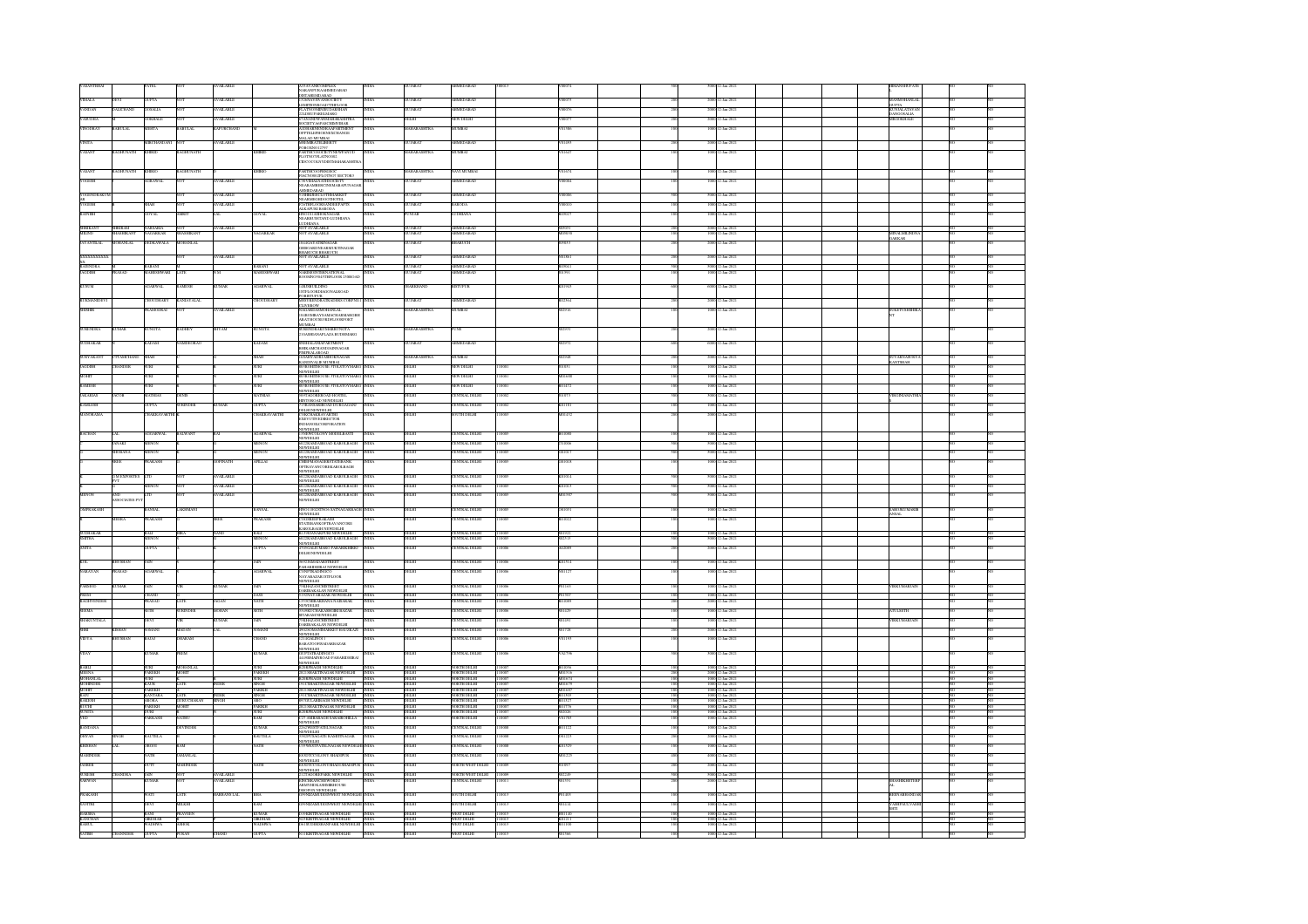|                              |                |                                   |                          | AILABLE                        |                                      | ASSAVANICOMPLEX<br>SARANPURAAHMEDABAD                                                                                                                                                                                                                                                                                  |                |                                |                                                  |              |                         |  |                     |                                                          |  |                               |  |
|------------------------------|----------------|-----------------------------------|--------------------------|--------------------------------|--------------------------------------|------------------------------------------------------------------------------------------------------------------------------------------------------------------------------------------------------------------------------------------------------------------------------------------------------------------------|----------------|--------------------------------|--------------------------------------------------|--------------|-------------------------|--|---------------------|----------------------------------------------------------|--|-------------------------------|--|
|                              |                |                                   |                          | All ARET                       |                                      | <b>SISTAHEMDABAD</b><br>326NAVIIVANSOCIETY                                                                                                                                                                                                                                                                             |                |                                |                                                  |              |                         |  |                     |                                                          |  |                               |  |
| .<br>NDAN                    | LICHANI        | .<br>ISALIA                       |                          | <b>ALABLE</b>                  |                                      | EMITIONROAD?THFLOOR                                                                                                                                                                                                                                                                                                    |                | <b>ARAT</b>                    |                                                  |              |                         |  |                     | tan 202                                                  |  | .<br>KUNJALATAV               |  |
| ASUDHA                       |                | KHALE                             |                          | <b>AILABLE</b>                 |                                      | LDRUPARELMARG<br><br>ARASHTRA                                                                                                                                                                                                                                                                                          |                |                                | W DELHI                                          |              |                         |  |                     | $tan-202$                                                |  | <b>MNGOSALIA</b><br>ÆRGOKHALE |  |
| INODRAY                      | BULN           |                                   |                          | PURCHAN                        |                                      | SOCIETY ASP ASCHIMVIHAR<br>AI DHARNENDRAAP ARTMENT                                                                                                                                                                                                                                                                     |                |                                | <b>MBAL</b>                                      |              |                         |  |                     | $J202 - 202$                                             |  |                               |  |
| /INITA                       |                |                                   |                          | <b>MLABLE</b>                  |                                      | OPPTELEPHOENEXCHANGE<br><b>AALAD MUMBAL<br/>ASEMIRATELIBERTY</b>                                                                                                                                                                                                                                                       |                |                                |                                                  |              |                         |  |                     |                                                          |  |                               |  |
| <b>VASANT</b>                | <b>GHUNATH</b> | <b>KHIRID</b>                     | <b>GHUNATH</b>           |                                |                                      | POBOXNO12797<br>PARTHCOSOCIETYNEWPANUD                                                                                                                                                                                                                                                                                 |                | <b><i>MARASHTRA</i></b>        | <b>UMBAI</b>                                     |              |                         |  | $\frac{1}{1000}$    | $\frac{1}{2}$ an-2021                                    |  |                               |  |
|                              |                |                                   |                          |                                |                                      | PLOTNO7FLATNO002<br>TDCOCOLNYDISTMAHARASHTRA                                                                                                                                                                                                                                                                           |                |                                |                                                  |              |                         |  |                     |                                                          |  |                               |  |
| VASANT                       | RAGHUNATH      | <b>KHIRIO</b>                     | <b>GHUNATH</b>           |                                | <b>KHIRIO</b>                        | ARTHCOOPHSGSOC                                                                                                                                                                                                                                                                                                         | NDIA.          | <b>ANARASHTRA</b>              | AVI MUMBAI                                       |              | 01674                   |  |                     | 1000 12-Jan-2021                                         |  |                               |  |
| YOGESH                       |                | <b>RAWAL</b>                      |                          | LABL                           |                                      | PARTHCOOPHSCISOC<br>FLACNO002PLOTNO7 SECTOR3<br>C30VBAALNATHSOCIETY<br>NEARAMBERCINEMABAPUNAGAR                                                                                                                                                                                                                        |                |                                |                                                  |              |                         |  |                     | $tan-202$                                                |  |                               |  |
| YOGENDRAK                    |                |                                   |                          | <b>AILABLE</b>                 |                                      | HMEDABAD<br>I SHRUEECLOTHMARKET                                                                                                                                                                                                                                                                                        |                | JARAT                          | <b>IMEDABAE</b>                                  |              | m                       |  |                     | $tan-202$                                                |  |                               |  |
| AK<br>YOGESH                 |                |                                   |                          | <b>VAILABLE</b>                |                                      | <b>EARMEGHDOOTHOTEL</b><br>26THFLOORSANDEEPAPTS                                                                                                                                                                                                                                                                        |                | <b>JARAT</b>                   | ARODA                                            |              |                         |  |                     | 1000 12-Jan-2021                                         |  |                               |  |
|                              |                |                                   |                          |                                |                                      | <b>ALKAPURI BARODA<br/>HNO101ASHOKNAGAR<br/>NEARBUSSTAND LUDHIANA</b>                                                                                                                                                                                                                                                  |                |                                |                                                  |              |                         |  |                     |                                                          |  |                               |  |
|                              |                |                                   |                          |                                |                                      |                                                                                                                                                                                                                                                                                                                        |                |                                |                                                  |              |                         |  |                     |                                                          |  |                               |  |
| SHRIKANT<br>MILIND           |                | <b>GARKAR</b>                     |                          | <b>ALABLE</b>                  | <b>AGARKAR</b>                       | JDHIANA<br>DTAVAILABLE<br>DTAVAILABLE                                                                                                                                                                                                                                                                                  |                | JARA                           | MEDABA                                           |              |                         |  | $1000\,$            | $\frac{1}{2}$ an-2021                                    |  | <b>VALMILIN</b>               |  |
| <b>JAYANTILAL</b>            | HANLAL         | EDKAWALA                          | MANI AI                  |                                |                                      | <b>GAYATRINAGAR</b>                                                                                                                                                                                                                                                                                                    |                | <b>JARAT</b>                   | ARUCH                                            |              |                         |  | 2000                | J <sub>202</sub>                                         |  | <b>GARKAR</b>                 |  |
|                              |                |                                   |                          |                                |                                      | <b>HBOARDNEARMUKTINAGAR</b>                                                                                                                                                                                                                                                                                            |                |                                |                                                  |              |                         |  |                     |                                                          |  |                               |  |
| xxxxxxxxx                    |                |                                   |                          | VAILABLE                       |                                      | HARUCH BHARUCH<br> OT AVAILABLE                                                                                                                                                                                                                                                                                        |                | UJARAT                         | HMEDABAD                                         |              | <b>H861</b>             |  |                     | 2000 12-Jan-202                                          |  |                               |  |
| AJENDRA<br>KGDISH            |                |                                   |                          |                                |                                      | <b>RIMOINTERNATIONAL</b>                                                                                                                                                                                                                                                                                               |                |                                |                                                  |              |                         |  |                     | Jan-2021<br>Jan-2021                                     |  |                               |  |
|                              |                |                                   |                          |                                |                                      | OOMNOSO4STHFLOOR 25SROAD                                                                                                                                                                                                                                                                                               |                |                                |                                                  |              |                         |  |                     |                                                          |  |                               |  |
| cusum                        |                |                                   |                          |                                |                                      | 4RJSBUILDING<br>STFLOORDIAGONALROAD                                                                                                                                                                                                                                                                                    |                |                                | TUPUR                                            |              |                         |  |                     |                                                          |  |                               |  |
| RUKMANIDEV                   |                | <b>HOUDHARY</b>                   | ANIAYALAL                |                                | HOUDHAR'                             | OBISTUPUR<br>#SSYRENDRATRADERS CORPNII                                                                                                                                                                                                                                                                                 |                | JARAT                          | HMEDABAD                                         |              |                         |  |                     | 2000 12-Jan-202                                          |  |                               |  |
|                              |                | <b>MODE</b>                       |                          |                                |                                      | <b>LIVEROW</b><br>VAGARDASMOHAN                                                                                                                                                                                                                                                                                        |                |                                |                                                  |              |                         |  |                     |                                                          |  |                               |  |
|                              |                |                                   |                          |                                |                                      | -<br> 04BOMBAYSAMACHARMARG<br>NRAT HOUSE3RDFLOORFORT                                                                                                                                                                                                                                                                   |                |                                |                                                  |              |                         |  |                     |                                                          |  |                               |  |
| SURENDRA                     | MAR            | NGTA                              | DHEY                     |                                |                                      | 4UMBAI<br>URENDRAKUMARRUNGTA<br>DENDRANDMARKUNGLA<br>0ASHIANAPLAZA BUDHMARG                                                                                                                                                                                                                                            |                | <b>HADACUTE:</b>               | NE                                               |              |                         |  |                     |                                                          |  |                               |  |
| <b>DHAKA</b>                 |                |                                   | MDEORA                   |                                |                                      | <b>NEHALANIAPARTMENT</b>                                                                                                                                                                                                                                                                                               |                |                                |                                                  |              |                         |  |                     |                                                          |  |                               |  |
|                              |                |                                   |                          |                                |                                      | HIKAMCHANDJAINNAGAR<br><b>IMPRALAROAD</b>                                                                                                                                                                                                                                                                              |                |                                |                                                  |              |                         |  |                     |                                                          |  |                               |  |
|                              |                |                                   |                          |                                |                                      | <b>OKNAGAR</b><br>6SAHYADRI ASHOKAAAAAK<br>LANDIVALIE MUMBAI<br>00 VROHITHOUSE 3TOLSTOYMA                                                                                                                                                                                                                              |                |                                |                                                  |              |                         |  |                     |                                                          |  | <b>KANTSHAH</b>               |  |
| <b>AGDISH</b>                | NDER           |                                   |                          |                                | $\overline{N}$                       | NEWDELHI<br>SOJROHITHOUSE 3TO                                                                                                                                                                                                                                                                                          |                | .<br>म भा                      | EW DELHI                                         |              |                         |  |                     | $J20$ -2021                                              |  |                               |  |
|                              |                |                                   |                          |                                |                                      |                                                                                                                                                                                                                                                                                                                        |                |                                | VDELH                                            |              |                         |  |                     |                                                          |  |                               |  |
| <b>MES</b>                   |                | <b>ATHLE</b>                      |                          |                                | .<br>UR<br><b>ANTHIA</b>             | <b>SUBANELHI</b><br>NEWDELHI<br>WIROHITHOUSE 3TOLSTOYMAR<br><b>SEWDELHI</b><br>SO9TAGOREROAD HOSTEI                                                                                                                                                                                                                    |                | .<br>म भा                      | EW DELHI                                         |              |                         |  |                     | $3m-202$                                                 |  |                               |  |
| AKARIAS<br><b>AMLESH</b>     |                | <b>GUPTA</b>                      | <b>RINDER</b>            |                                | SUPTA                                | <b>INTOROAD NEWDELHI</b><br>13BANSARIROAD DURGA                                                                                                                                                                                                                                                                        |                | ELHI                           | <b>NTRAL DELH</b><br>ENTRAL DELHI                |              |                         |  | 1000 12             | 3000 12-Jan-202<br>$\frac{1}{2}$ an-2021                 |  |                               |  |
| <b>LANORAMA</b>              |                | <b>HAKRAVART</b>                  |                          |                                | <b>IAKRAVARTH</b>                    | <b>DELHI NEWDELHI</b><br>TOKCHAKRAVARTHI                                                                                                                                                                                                                                                                               |                | ELHI                           | <b>OUTH DELHI</b>                                |              | 01432                   |  | 2000                | $\frac{1}{2}$ an-2021                                    |  |                               |  |
|                              |                |                                   |                          |                                |                                      | KEVUTIVEDIRECTOR<br>NDIANOLCORPORATION                                                                                                                                                                                                                                                                                 |                |                                |                                                  |              |                         |  |                     |                                                          |  |                               |  |
|                              |                | <b>JARWAI</b>                     |                          |                                |                                      | EWDELHI<br>EWDELHI<br>*NEWCOLONY MODELBAS                                                                                                                                                                                                                                                                              |                |                                | <b>TRALDELH</b>                                  |              |                         |  |                     |                                                          |  |                               |  |
|                              | vax            | <b>JENON</b>                      |                          |                                | <b>ENON</b>                          | SNEWCOLOGO<br>SEWDELHI<br><sup>GOYS</sup> RAMIASROAD KAROLBAGH                                                                                                                                                                                                                                                         | INDIA          | DELHI                          | NTRAL DELHI                                      |              |                         |  |                     | 5000 12-Jan-2021                                         |  |                               |  |
|                              | <b>IOBANA</b>  | ENON                              |                          |                                | $\frac{1}{2}$                        |                                                                                                                                                                                                                                                                                                                        | <b>NDIA</b>    | ELHI                           | <b>NTRAL DELHI</b>                               |              |                         |  | 5000                | $\frac{1}{2}$ an-2021                                    |  |                               |  |
|                              |                | :<br>AKASI                        |                          |                                | <b>TIA</b>                           |                                                                                                                                                                                                                                                                                                                        |                |                                | NTRAL DELH                                       |              |                         |  |                     |                                                          |  |                               |  |
|                              |                |                                   |                          |                                |                                      | 6022RAMIASROAD KAROLINI<br>NEWDELHI<br>CHEFMANAGERSTATEBANK<br>OFTRAVANCOREKAROLBAGH<br>NEWDELHI<br>6022RAMIASROAD KAROLBAGH                                                                                                                                                                                           |                |                                |                                                  |              |                         |  |                     |                                                          |  |                               |  |
|                              | <b>MEYRORT</b> |                                   |                          | <b>AILABLE</b>                 |                                      | 6022RAMDAHA<br>NEWDELHI<br>6022RAMDASROAD KAROLBAGH                                                                                                                                                                                                                                                                    |                |                                | NTRAL DELHI                                      |              |                         |  |                     |                                                          |  |                               |  |
|                              |                |                                   |                          | <b>ALABLE</b><br><b>ALABLE</b> |                                      | NEWDELHI<br>6022RAMIASROAD KAROLBAGH                                                                                                                                                                                                                                                                                   | <b>NDIA</b>    | ELHI<br>ELHI                   | <b>ENTRAL DELHI</b><br>NTRAL DELHI               |              | $\overline{\text{MSE}}$ |  | $\frac{5000}{2000}$ | 5000 12-Jan-2021<br>2-Jan-2021                           |  |                               |  |
| NON:                         | ASSOCIATES PV  |                                   |                          |                                |                                      | NEWDELHI                                                                                                                                                                                                                                                                                                               | NDIA           |                                |                                                  |              |                         |  |                     |                                                          |  |                               |  |
| PRAKAS                       |                |                                   |                          |                                |                                      | <b>TENNET</b>                                                                                                                                                                                                                                                                                                          |                |                                | TRAL DELH                                        |              |                         |  |                     |                                                          |  |                               |  |
|                              | <b>FFR7</b>    | <b>FAKASH</b>                     |                          |                                | <b>RAKASH</b>                        | EWDELHI<br>COGSREEPRAKASH<br><b>TATEBANKOFTRAVANCORE</b>                                                                                                                                                                                                                                                               | vnu            | DEI HI                         | <b>NTRAL DELHI</b>                               |              |                         |  |                     | J <sub>20</sub>                                          |  |                               |  |
|                              |                | <b>BAL</b>                        |                          |                                | <b>BALI</b>                          | :<br>AROLBAGH NEWDELHI<br>11398JANAKPURI NEWDELHI                                                                                                                                                                                                                                                                      |                | DELHI                          | ENTRAL DELHI                                     |              |                         |  |                     | 000 12-Jan-202                                           |  |                               |  |
| SUDHAKAR<br>SMITHA           |                | <b>MENON</b>                      |                          |                                | <b>MENON</b>                         | <b>6022RAMJASROAD KAROLBAGH</b>                                                                                                                                                                                                                                                                                        | <b>INDIA</b>   | DELHI                          | ENTRAL DELHI                                     | 0005         | 051                     |  |                     | 5000 12-Jan-2021                                         |  |                               |  |
| ANITA                        |                | <b>JUPTA</b>                      |                          |                                | UPTA                                 | NEWDELHI<br>4705GALIUMARO PABARIK<br><b>DELHI NEWDELHI</b>                                                                                                                                                                                                                                                             |                | īн                             | NTRAL DELHI                                      |              |                         |  |                     | $tan-202$                                                |  |                               |  |
|                              |                |                                   |                          |                                |                                      | <b>TAMADARETREE</b>                                                                                                                                                                                                                                                                                                    |                |                                | <b>NTRAL DELHI</b>                               |              |                         |  | 1000                | $3m-202$                                                 |  |                               |  |
| <b>NARAYAN</b>               | <b>ASAD</b>    | <b>JARWAL</b>                     |                          |                                | <b>JARWAI</b>                        | AHARIDHIRAJ NEWDELHI<br>YONPTRADINGCO                                                                                                                                                                                                                                                                                  |                | ELHI                           | <b>NTRAL DELHI</b>                               |              |                         |  |                     | $\frac{1}{202}$                                          |  |                               |  |
|                              |                |                                   |                          |                                |                                      | LUNPIKAINNAU<br>NAYABAZAR ISTFLOOR                                                                                                                                                                                                                                                                                     |                |                                |                                                  |              |                         |  |                     |                                                          |  |                               |  |
| ARMOD                        | <b>LIMAR</b>   |                                   |                          |                                |                                      | <b>VATABAGSELUM</b><br>TSKHAZANCHISTREET<br>TSKHAZANCHISTREET<br>SIV2NAYABAZAR NEWDELHI                                                                                                                                                                                                                                | NDLA           | <b>ELHI</b><br>a per           | NTRAL DELHI<br>NTRAL DELHI                       |              | 1163                    |  |                     | 1000 12-Jan-2021                                         |  | <b>JRKUMARL</b>               |  |
| PREM<br>RAGHVENDER           |                | PRASAD                            |                          |                                | ATH                                  | 5192NAYARAKAN ARABAR<br>1353CHIRAKHANA NAISARAK<br>NEWDELHI<br>1349KUCHAKASHGIRI BAZAR                                                                                                                                                                                                                                 | NDLA           | ELНI                           | NTRAL DELHI                                      |              |                         |  | 2000 12             | $-3an-202$                                               |  |                               |  |
|                              |                |                                   |                          |                                |                                      |                                                                                                                                                                                                                                                                                                                        |                |                                | TRAL DELH                                        |              |                         |  |                     |                                                          |  |                               |  |
| <b>HAKUNTAL</b>              |                |                                   |                          |                                |                                      | <b>SWALL HOWGAILER</b><br>ITARAM NEWDELHI<br>SVII 57 SMCHRETREET                                                                                                                                                                                                                                                       |                | .<br>मध                        | NTRAL DELHI                                      |              |                         |  |                     | Im 202                                                   |  | <b>EXTIMARE</b>               |  |
|                              |                | OMANI                             | ADAN                     |                                | SOMANI                               | ARIBAKALAN NEWDELHI<br>M2SOMANIMARKET HAUZKAZI                                                                                                                                                                                                                                                                         | NDIA           | DELHI                          | ENTRAL DELHI                                     |              | 1728                    |  |                     | 2000 12-Jan-2021                                         |  |                               |  |
|                              |                |                                   |                          |                                |                                      | NEWDELHI<br>1214GALINOI I<br>ARATOOFISADARBAZAR                                                                                                                                                                                                                                                                        |                |                                | NTRAL DELHI                                      |              |                         |  |                     |                                                          |  |                               |  |
|                              |                | <b>IMAR</b>                       |                          |                                | <b>IMA</b>                           | <b>SEWDELHI<br/>JUPTATRADINGCO<br/>1449BMAINROAD PA</b>                                                                                                                                                                                                                                                                |                | ELHI                           | ENTRAL DELH                                      |              |                         |  |                     |                                                          |  |                               |  |
|                              |                |                                   |                          |                                |                                      | AD PAHARIDHIRAJ<br>NEWDELHI                                                                                                                                                                                                                                                                                            |                |                                |                                                  |              |                         |  |                     |                                                          |  |                               |  |
| BABLI                        |                | <b>SURI</b><br>PAREKE             | <b>SOHANLAI</b><br>wwir  |                                | SURI<br>PAREKE                       | NEWDELHI<br>320RPBAGH NEWDELHI<br>1821 SHAKTINAGAR NEWDELHI<br>320RPBAGH NEWDELHI                                                                                                                                                                                                                                      | INDIA<br>INDIA | DELHI<br>DELH                  | <b>CORTH DELHI</b>                               |              | 01036                   |  |                     | 1000 12-Jan-2021<br>2000 12-Jan-2021<br>1000 12-Jan-2021 |  |                               |  |
|                              |                |                                   |                          |                                |                                      |                                                                                                                                                                                                                                                                                                                        |                |                                | ORTH DELH<br>ORTH DELH                           |              |                         |  |                     |                                                          |  |                               |  |
|                              |                | KAUR<br>PAREKH                    |                          |                                | SINGH<br>PARIKH                      | BERTHWART NEWDELFILM NEWDELFILM NEWSFILM                                                                                                                                                                                                                                                                               |                | DELHI<br>DELHI                 | NORTH DELHI<br>NORTH DELHI                       | 11000        | 401679<br>401687        |  |                     | 1000 12-Jan-202<br>1000 12-Jan-202                       |  |                               |  |
|                              |                | <b>KANTARA</b><br>ARORA<br>PAREKE | ATE                      |                                | <b>SINGH</b><br><b>ARO</b><br>PARIKI | 1941<br>SPIGULABIBAGH NEWDELHI NDIA<br>SPIGULABIBAGH NEWDELHI NDIA<br>2821 SHAKTINAGAR NEWDELHI NDIA                                                                                                                                                                                                                   |                | DELHI<br><b>DELHI</b><br>DELHI | <b>CORTH DELHI</b><br>ORTH DELHI<br>ORTH DELHI   | 1000         | R01305                  |  |                     | 1000 12-Jan-2021<br>1000 12-Jan-2021                     |  |                               |  |
|                              |                |                                   |                          |                                |                                      | B20RPBAGH NEWDELHI<br>B20RPBAGH NEWDELHI<br>C27 AMBABAGH SARAIROHILLA                                                                                                                                                                                                                                                  |                | DELH                           | ORTH DELHI                                       |              |                         |  |                     |                                                          |  |                               |  |
|                              |                | PARKASH                           |                          |                                | ĉАM                                  |                                                                                                                                                                                                                                                                                                                        | <b>INDIA</b>   | нш                             | ORTH DELHI                                       |              | 01705                   |  | 1000                | $-100 - 202$                                             |  |                               |  |
|                              |                |                                   | <b>INDER</b>             |                                | UMAR                                 | $\begin{array}{l} 27\,\mathrm{Npc} \\ \hline \mathrm{EWDELHI} \\ \hline \mathrm{VACWESTPATELNAGAB} \end{array}$<br>$\begin{array}{l} \begin{array}{l} \textbf{262WESTPATH} \\ \textbf{NEWDELH} \end{array} \end{array} \begin{array}{l} \begin{array}{l} \textbf{NEWDELN} \\ \textbf{NENDILH} \end{array} \end{array}$ |                | ELHI                           | NTRAL DELHI                                      |              | 101122                  |  | 1000                | $\frac{1}{2}$ an-2021                                    |  |                               |  |
|                              |                | $m_{12}$                          |                          |                                | <b>UTEL</b>                          | <b>EWDELHI</b><br>EWDELHI<br>SSWESTPATELNAGAR NEWDELL                                                                                                                                                                                                                                                                  | NDIA           | .<br>न भा                      | NTRAL DELH                                       |              |                         |  |                     | m, 202                                                   |  |                               |  |
|                              |                | BOOK                              |                          |                                |                                      |                                                                                                                                                                                                                                                                                                                        | NDIA           | ELHI                           | NTRAL DELHI                                      |              |                         |  |                     | $-10021$                                                 |  |                               |  |
| <b>IAHNDER</b>               |                | ۹TH                               | MANLAL.<br><b>HINDER</b> |                                |                                      | S3DTCCOLONY SHADIPUR                                                                                                                                                                                                                                                                                                   | <b>INDIA</b>   | )ELHI                          | ENTRAL DELHI                                     |              | 001225                  |  |                     | 4000 12-Jan-2021                                         |  |                               |  |
| <b>SBER</b><br><b>SURESH</b> |                |                                   |                          | <b>VAILABLE</b>                |                                      | NEWDELHI<br>ES3DTCCOLONYSHADI SHADIPUR<br>NEWDELHI<br>212TAGOREPARK NEWDELHI                                                                                                                                                                                                                                           | <b>INDIA</b>   | DELHI                          | <b>RTH WEST DELHI</b><br><b>CORTH WEST DELHI</b> |              |                         |  | 2000                | $\frac{1}{2}$<br>$2000$ $(2.106, 202)$                   |  |                               |  |
| <b>RWAN</b>                  |                |                                   |                          |                                |                                      | EINCBRANCHEWORD2<br>ARMYHDKASHMIRHOUSE                                                                                                                                                                                                                                                                                 |                |                                | <b>TRAL DELH</b>                                 |              |                         |  |                     |                                                          |  |                               |  |
| RAKASH                       |                | VATI                              | vп                       | <b>ARBANS LAL</b>              |                                      | HOPON NEWDELHI<br>S9NIZAMUDDINWEST NEWDELHI                                                                                                                                                                                                                                                                            |                | DELHI                          | OUTH DELHI                                       |              |                         |  |                     | 1000 12-Jan-2021                                         |  |                               |  |
| VITR                         |                |                                   | dikhi                    |                                | AM <sub>3</sub>                      | NIZAMUDDINWEST NEWDELHI INDIA                                                                                                                                                                                                                                                                                          |                | <b>ELHI</b>                    | <b>OUTH DELHI</b>                                |              |                         |  |                     | 1000 12-Jan-2021                                         |  |                               |  |
| HARSHA                       |                |                                   | PRAVEEN                  |                                | KUMAR                                | DI 9KRTINAGAR NEWDELHI                                                                                                                                                                                                                                                                                                 | <b>INDIA</b>   | DELHI                          | <b>NEST DELHI</b>                                |              | H01140                  |  |                     | 1000 12-Jan-2021                                         |  | YASHPAULV/<br>SHTI            |  |
| KANCHAN<br>RAHUL             |                | <b>GIRDHAR</b><br>WADHWA          | <b>SHOK</b>              |                                | <b>GIRDHAR</b><br><b>WADHWA</b>      | N23KIRTINAGAR NEWDELHI<br>D61SUDERSHANPARK NEWDELHI                                                                                                                                                                                                                                                                    | INDIA<br>INDIA | <b>DELHI</b><br>DELHI          | WEST DELHI<br>WEST DELHI                         | 10015<br>mis | 0121<br>1100            |  |                     | 1000 12-Jan-2021<br>1000 12-Jan-2021                     |  |                               |  |
| <b>SATISH</b>                |                | <b>GUPTA</b>                      | PURAN                    |                                | <b>SUPTA</b>                         | NI IKIRTINAGAR NEWDELHI                                                                                                                                                                                                                                                                                                |                | DELHI                          | WEST DELHI                                       |              |                         |  | 000.11              |                                                          |  |                               |  |
|                              |                |                                   |                          |                                |                                      |                                                                                                                                                                                                                                                                                                                        |                |                                |                                                  |              |                         |  |                     |                                                          |  |                               |  |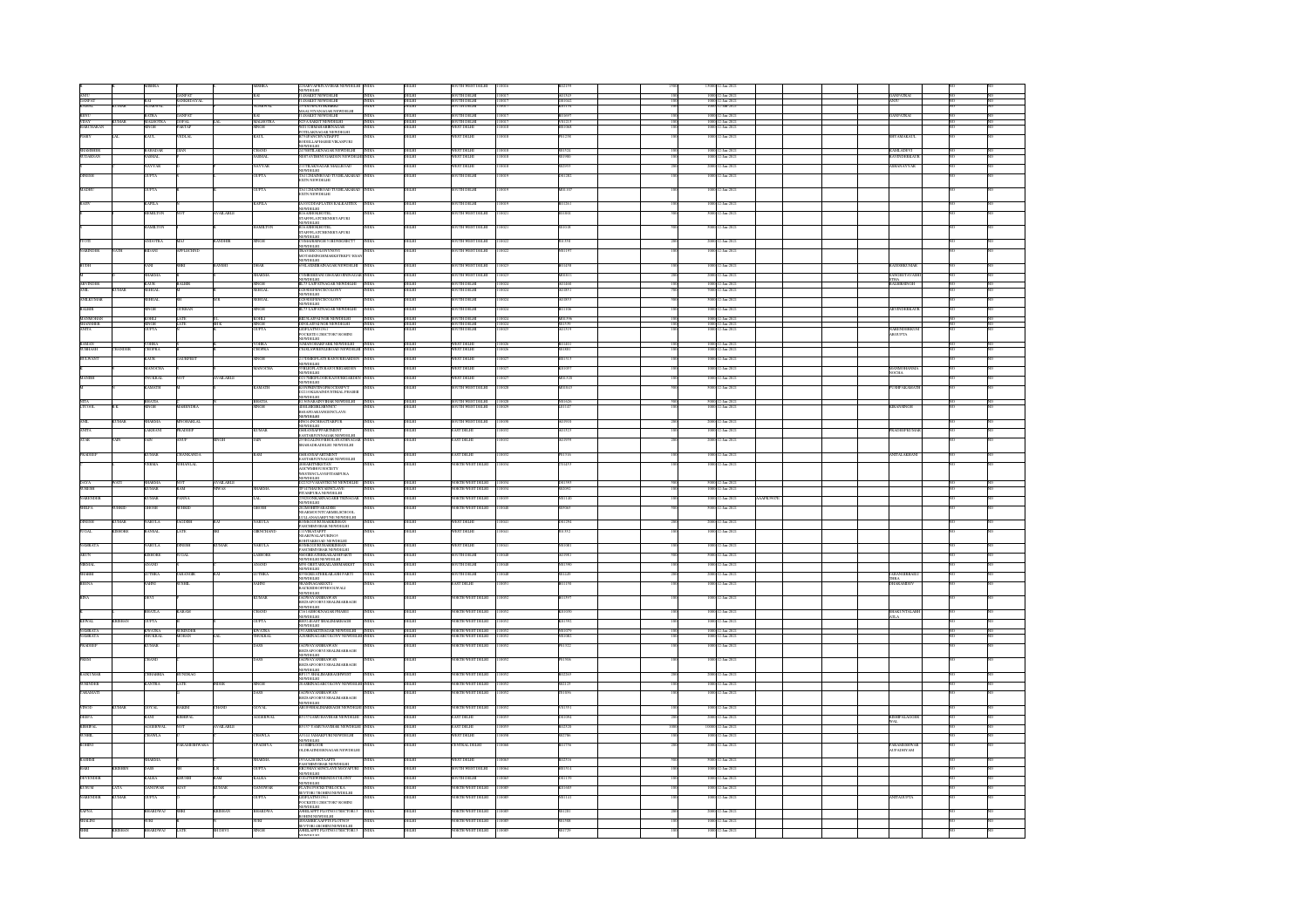|                      |             |                            |                       |                |                             | 2SARVAPRIYAVIHAR NEWDELHI                                                                                                                                                                                                           |              | ELHI                  | <b>DUTH WEST DELH</b>                           |               |                      |                                                          |  |  |                             |  |  |
|----------------------|-------------|----------------------------|-----------------------|----------------|-----------------------------|-------------------------------------------------------------------------------------------------------------------------------------------------------------------------------------------------------------------------------------|--------------|-----------------------|-------------------------------------------------|---------------|----------------------|----------------------------------------------------------|--|--|-----------------------------|--|--|
|                      |             |                            |                       |                |                             | NEWDELHI<br>114SAKET NEWDELHI                                                                                                                                                                                                       |              | P <sub>ELH</sub>      | <b>UTH DELHI</b>                                |               |                      |                                                          |  |  |                             |  |  |
|                      |             |                            | WKHDA                 |                |                             | 4SAKET NEWDELHI<br>USDDAFI ATSKHIRKI                                                                                                                                                                                                | <b>INDU</b>  | DELHI                 | SOUTH DELHI<br>SOUTH DELHI                      |               |                      | 1000 12-Jan-202                                          |  |  |                             |  |  |
|                      |             | DWAI                       |                       |                | <b>ADWAT</b>                |                                                                                                                                                                                                                                     |              |                       |                                                 |               |                      |                                                          |  |  |                             |  |  |
|                      |             | <b>ATRA</b>                | <b>SNPA</b>           |                |                             | <b>ALVIYANAGAR NEWDELHI</b><br>SAKET NEWDELHI                                                                                                                                                                                       |              | DELHI                 | <b>OUTH DELHI</b>                               |               |                      | 1000 12-Jan-202                                          |  |  | ANPATRA                     |  |  |
|                      | nrx         |                            | <b>TOPAL</b><br>ARTAI |                | <b>M.HOTR.</b>              | A SAKET NEWDELHI                                                                                                                                                                                                                    |              | DELHI                 | OUTH DELHI<br>EST DELHI                         |               |                      |                                                          |  |  |                             |  |  |
|                      |             |                            |                       |                |                             | <b>ULAKNAGAR NEWDELHI</b><br>TILAKNAGAR NEWDELHI<br>34PANCHVATIAPPT                                                                                                                                                                 |              |                       |                                                 |               |                      |                                                          |  |  |                             |  |  |
| <b>PLARY</b>         |             | AUL.                       | EDLAL                 |                | $\overline{a}$              |                                                                                                                                                                                                                                     |              | mн                    | <b>EST DELHI</b>                                | <b>TAR</b>    |                      | J <sub>202</sub>                                         |  |  | <b>AMAVALL</b>              |  |  |
|                      |             |                            |                       |                |                             | BODELLAPHASEII VIKASPURI<br>WDELH                                                                                                                                                                                                   |              |                       |                                                 |               |                      |                                                          |  |  |                             |  |  |
| SHAMSHER<br>SUDARSAN |             | BAHADAR<br>SASMAL          |                       |                | HAND<br>ASMAL               | <b>FOBTILAKNAGAR NEWDELHI INDIA</b><br>ESTAVISHNUGARDEN NEWDELHI INDIA                                                                                                                                                              |              | DELHI<br>DELHI        | WEST DELHI<br>WEST DELHI<br>10018<br>mis.       | 11524<br>tone |                      | 1000 12-Jan-2021<br>1000 12-Jan-2021                     |  |  | KAMLADEVI<br>RAVINDERKAU    |  |  |
|                      |             |                            |                       |                |                             |                                                                                                                                                                                                                                     |              |                       |                                                 |               |                      |                                                          |  |  |                             |  |  |
|                      |             | AYYAR                      |                       |                | <b>AYYAR</b>                | <b>I ITILAKNAGAR MALLROAD</b>                                                                                                                                                                                                       | NDIA         | DELHI                 | <b>NEST DELHI</b><br>018                        | 12953         |                      | 2000 12-Jan-2021                                         |  |  | <b>SHANAYYAR</b>            |  |  |
|                      |             | PTA                        |                       |                | PTA                         | EWDELHI<br>EWDELHI<br>AI I 2MAINROAD TUGHLAKABAE<br>XTN NEWDELHI                                                                                                                                                                    |              | īн                    | UTH DELHI                                       |               |                      | Jan-2021                                                 |  |  |                             |  |  |
|                      |             |                            |                       |                |                             |                                                                                                                                                                                                                                     |              |                       |                                                 |               |                      |                                                          |  |  |                             |  |  |
| <b>ADHI</b>          |             | UPTA                       |                       |                | UPTA                        | ALL2MAINROAD TUGHLAKABAD                                                                                                                                                                                                            |              | ELHI                  | UTH DELHI                                       |               |                      | J <sub>202</sub>                                         |  |  |                             |  |  |
|                      |             |                            |                       |                |                             | XTN NEWDELHI                                                                                                                                                                                                                        |              |                       |                                                 |               |                      |                                                          |  |  |                             |  |  |
|                      |             | <b>CAPILA</b>              |                       |                | apila.                      | 1032DDAFLATES KALKAJITEX                                                                                                                                                                                                            | INDIA        | DELHI                 | OUTH DELHI                                      |               |                      | 1000 12-Jan-2021                                         |  |  |                             |  |  |
|                      |             |                            |                       |                |                             | EWDELHI<br>HAASHOKHOTEL<br>TAFFFLATCHENERYAPURI                                                                                                                                                                                     |              |                       | <b>TH WEST DEL</b>                              |               |                      |                                                          |  |  |                             |  |  |
|                      |             |                            |                       |                |                             |                                                                                                                                                                                                                                     |              |                       |                                                 |               |                      |                                                          |  |  |                             |  |  |
|                      |             | MILTO!                     |                       |                | AMILTO.                     | WDELHI<br>6ASHOKHOTEL                                                                                                                                                                                                               |              | FI HI                 | UTH WEST DELH                                   |               |                      | Im 202                                                   |  |  |                             |  |  |
|                      |             |                            |                       |                |                             | <b>STAFFFLATCHENERYAPURI</b>                                                                                                                                                                                                        |              |                       |                                                 |               |                      |                                                          |  |  |                             |  |  |
|                      |             | <b>ANDOTRA</b>             |                       | <b>EANDHIR</b> | NGH                         | EWDELHI<br>OMAJRSINGH 51BDNSGSECT7                                                                                                                                                                                                  | <b>SDIA</b>  | DELHI                 | SOUTH WEST DELHI<br>022                         |               |                      | 2000 12-Jan-2021                                         |  |  |                             |  |  |
|                      |             |                            |                       |                |                             | EWDELHI<br>RAVERCOLONYM<br>IOTAMSINGHMAI                                                                                                                                                                                            |              |                       | TH WEST DELH                                    |               |                      |                                                          |  |  |                             |  |  |
|                      |             |                            |                       |                |                             | <b>LARKETRKPU RSA</b>                                                                                                                                                                                                               |              |                       |                                                 |               |                      |                                                          |  |  |                             |  |  |
| UDH                  |             |                            |                       | oсн            | HAR                         | EWDELHI<br>SSLAXMIBAINAGAR NEWDELHI                                                                                                                                                                                                 | <b>NDIA</b>  | <b>BLEE</b>           | UTH WEST DELHI                                  |               | 1000                 | 2-Jan-2021                                               |  |  | <b>JESHKUMAI</b>            |  |  |
|                      |             |                            |                       |                |                             |                                                                                                                                                                                                                                     |              |                       |                                                 |               |                      |                                                          |  |  |                             |  |  |
|                      |             | <b>LARMA</b>               |                       |                | ARMA                        | <b>MRSBIJANI GS6SAROJININAGAR</b>                                                                                                                                                                                                   | INDIA        | )ELHI                 | <b>UTH WEST DELHI</b>                           |               | 2000                 |                                                          |  |  | <b>ANGEETAVA</b>            |  |  |
| ARVINDER             |             | KAUR                       |                       |                | sан                         | EWDELHI<br>1.73 LAJPATNAGAR NEWDELHI NDIA                                                                                                                                                                                           |              | DELHI                 | <b>SOUTH DELHI</b>                              |               |                      | 1000 12-Jan-2021                                         |  |  | STHA<br>BALBIRSINGH         |  |  |
|                      | MAR         | EHGAL                      |                       |                | HGAL                        | S9DEFENCECOLONY                                                                                                                                                                                                                     | NDIA         | DELHI                 | <b>OUTH DELHI</b><br>0024                       |               |                      | 7000 12-Jan-2021                                         |  |  |                             |  |  |
| .<br>NILKUMAS        |             | HGAL                       |                       |                |                             | EWDELHI<br>X289DEFENCECOLONY                                                                                                                                                                                                        |              | ELHI                  | <b>UTH DELHI</b>                                |               | 3000                 | -<br>-<br>Jan-2021                                       |  |  |                             |  |  |
| <b>BALBIR</b>        |             | $\overline{N}$             | <b>IRRAN</b>          |                | <b>NGH</b>                  | EWDELHI<br>1.73 LAJPATNAGAR NEWDELHI                                                                                                                                                                                                | <b>INDIA</b> | nei HI                | <b>OUTH DELHI</b>                               |               |                      | 1000 12-Jan-2021                                         |  |  | <b>ARVINDERKALL</b>         |  |  |
|                      |             |                            |                       |                |                             |                                                                                                                                                                                                                                     |              |                       |                                                 |               |                      |                                                          |  |  |                             |  |  |
| MANMOHA<br>SHANSHER  |             |                            |                       |                |                             | 1251 AJPAI NGR NEWDELHI<br>501 AJPAI NGR NEWDELHI                                                                                                                                                                                   | <b>NDIA</b>  |                       | SOUTH DELHI<br>SOUTH DELHI<br>SOUTH DELHI       |               |                      | 1000 12-Jun-2021<br>1000 12-Jun-2021<br>1000 12-Jun-2021 |  |  |                             |  |  |
| m                    |             | <b>SINGH</b><br><b>PTA</b> |                       |                |                             |                                                                                                                                                                                                                                     |              | DELHI                 |                                                 |               |                      |                                                          |  |  |                             |  |  |
|                      |             |                            |                       |                |                             |                                                                                                                                                                                                                                     |              |                       |                                                 |               |                      |                                                          |  |  | <b>NARENDERK</b><br>ARGUPTA |  |  |
|                      |             | VOHRA                      |                       |                |                             | DISOLAIPAI NGR NEWDELHI<br>LIGFLATNOI 361<br>POCKETD I 25ECTOR7 ROHINI<br>NEWDELHI<br>34MANOHARPARK NEWDELHI<br>CS48LAWRENLEROAD NEWDEL                                                                                             |              | DELHI                 | VEST DELHI                                      |               |                      |                                                          |  |  |                             |  |  |
| RAMAN<br>SUBHASH     | <b>NDER</b> | <b>CHOPRA</b>              |                       |                | <b>OHRA</b><br><b>IOPRA</b> | NEWDELL                                                                                                                                                                                                                             |              | DELHI                 | <b>AEST DELHI</b>                               |               |                      | 1000 12-Jan-2021<br>1000 12-Jan-2021                     |  |  |                             |  |  |
| HULWANT              |             | KAUR                       | AURPEET               |                | NGH                         | 17DMIGFLATS RAJOURIGARDEN                                                                                                                                                                                                           | NDIA         | DELHI                 | <b>NEST DELHI</b>                               | uз            |                      | 1000 12-Jan-2021                                         |  |  |                             |  |  |
|                      |             |                            |                       |                |                             |                                                                                                                                                                                                                                     |              |                       |                                                 |               |                      |                                                          |  |  |                             |  |  |
|                      |             | <b>LANOCHA</b>             |                       |                | <b>LANOCHA</b>              | EWDELHI<br>SBLIGFLATS RAJOURIGARDEN                                                                                                                                                                                                 | <b>SDIA</b>  | DELHI                 | VEST DELHI                                      |               |                      | 1000 12-Jan-2021                                         |  |  | MANMOHANI                   |  |  |
|                      |             | <b>UKRAL</b>               |                       | <b>AILABLE</b> |                             | EWDELHI<br>EWDELHI<br>CI7MGFLOOR RAIOURIGARDEN<br>EWDELHI<br>CONPRINTINGPROCESSPVT<br>C21OKLHAINDUSTRIAL PHASEII                                                                                                                    |              | <b>ELHI</b>           | <b>EST DELHI</b>                                |               | 1000                 |                                                          |  |  | <b>NOCHA</b>                |  |  |
|                      |             |                            |                       |                |                             |                                                                                                                                                                                                                                     |              | ELHI                  | <b>UTH WEST DEL</b>                             |               |                      |                                                          |  |  |                             |  |  |
|                      |             |                            |                       |                |                             |                                                                                                                                                                                                                                     |              |                       |                                                 |               |                      |                                                          |  |  |                             |  |  |
| NПA                  |             | BHATIA                     |                       |                | НАТІА                       | EWDELHI<br>26NARANVIHAR NEWDELHI RIDIA                                                                                                                                                                                              |              |                       | SOUTH WEST DELHI                                |               |                      |                                                          |  |  |                             |  |  |
| <b>TCOOL</b>         |             | <b>NGH</b>                 | AHENDRA               |                | KGH                         | <b>DELHIGIRLSBNNCC</b>                                                                                                                                                                                                              | NDIA         | DELHI<br>DELHI        | OUTH WEST DELHI                                 |               |                      | 5000 12-Jan-2021<br>1000 12-Jan-2021                     |  |  | KIR ANSINGE                 |  |  |
|                      |             |                            |                       |                |                             | SAFDARJANGENCLAVE                                                                                                                                                                                                                   |              |                       |                                                 |               |                      |                                                          |  |  |                             |  |  |
|                      |             | .<br>ARMA                  | <b>HARLAI</b>         |                |                             | EWDELHI<br>NO14NCHHATTARPUR                                                                                                                                                                                                         |              | <b>DELHI</b>          | <b>OUTH WEST DELHI</b>                          |               |                      | 2000 12-Jan-2021                                         |  |  |                             |  |  |
| <b>ANITA</b>         |             | vu ve                      | <b>ADEER</b>          |                |                             | EWDELHI<br><b>DARTMENT</b>                                                                                                                                                                                                          |              | o un                  | <b>ST DELH</b>                                  |               |                      | Im 20                                                    |  |  |                             |  |  |
|                      |             |                            |                       |                |                             | ODANSAPPARTAMA<br>ASTARJUNNAGAR NEWDELHI<br>SVEGAI INOSRHOI ANATHNAGAR                                                                                                                                                              |              |                       |                                                 |               |                      |                                                          |  |  |                             |  |  |
| <b>ATAR</b>          |             |                            | VT TD                 |                |                             | HAHADRADELHI NEWDELHI                                                                                                                                                                                                               |              | <b>THE</b>            | <b>AST DELHI</b>                                |               |                      | 2000 12-Jan-202                                          |  |  |                             |  |  |
|                      |             |                            |                       |                |                             |                                                                                                                                                                                                                                     |              |                       |                                                 |               |                      |                                                          |  |  |                             |  |  |
| PRADEEP              |             | <b>KUMAR</b>               | <b>HANKANDA</b>       |                | AM                          | <b>6HANSAPARTMENT</b><br>GAHANSAPARTMENT<br>EMTARININGALAR<br>HÜHARITNIKEITAN<br>AGHARITNIKEITAN<br>WESTENCIAVEPTIMPURA<br>NEWDELHI<br>DEPSEVASANTKUNI NEWDELHI<br>TITAMPURA NEWDELHI<br>PITAMPURA NEWDELHI<br>NEWDELHI<br>NEWDELHI | <b>DIA</b>   | DELHI                 | AST DELHI                                       | 1316          |                      | 1000 12-Jan-2021                                         |  |  | <b>ANITALAKHA?</b>          |  |  |
|                      |             | ERMA                       | HANLAL                |                |                             |                                                                                                                                                                                                                                     |              | ELHI                  | <b>DRTH WEST DELH</b>                           |               | 1000                 | $2.5m-2021$                                              |  |  |                             |  |  |
|                      |             |                            |                       |                |                             |                                                                                                                                                                                                                                     |              |                       |                                                 |               |                      |                                                          |  |  |                             |  |  |
|                      |             |                            |                       |                |                             |                                                                                                                                                                                                                                     |              |                       |                                                 |               |                      |                                                          |  |  |                             |  |  |
| DAYA<br>SURESH       |             | HARMA<br>CUMAR             |                       |                | <b>APM</b>                  |                                                                                                                                                                                                                                     | <b>SDIA</b>  | DELHI                 | <b>NORTH WEST DELHI</b>                         |               | $\frac{$000}{$1000}$ | -Jan-2021<br>-Jan-2021                                   |  |  |                             |  |  |
|                      |             |                            |                       |                |                             |                                                                                                                                                                                                                                     |              | DELHI                 | ORTH WEST DELHI                                 |               |                      |                                                          |  |  |                             |  |  |
| <b>ARENDEI</b>       |             | MAR                        |                       |                |                             |                                                                                                                                                                                                                                     |              | ELHI                  | <b>ORTH WEST DELHI</b>                          |               |                      | J <sub>202</sub>                                         |  |  |                             |  |  |
| HILPA                |             | юÿ                         |                       |                |                             | <b>SEWANTHI</b><br>EWDELHI<br>EUMOHITPARADISE                                                                                                                                                                                       |              | īн                    | ORTH WEST DELHI                                 |               |                      | 3m <sub>202</sub>                                        |  |  |                             |  |  |
|                      |             |                            |                       |                |                             | NEARMOUNTCARMELSCHOOL                                                                                                                                                                                                               |              |                       |                                                 |               |                      |                                                          |  |  |                             |  |  |
|                      |             | RULA                       |                       |                |                             |                                                                                                                                                                                                                                     |              |                       |                                                 |               |                      |                                                          |  |  |                             |  |  |
| UGAL.                | -<br>340RT  |                            |                       |                |                             | ULLANAGARPUNE NEWDELHI                                                                                                                                                                                                              |              |                       | <b>EST DELH</b>                                 |               |                      |                                                          |  |  |                             |  |  |
|                      |             |                            |                       |                |                             |                                                                                                                                                                                                                                     |              |                       |                                                 |               | 2000                 |                                                          |  |  |                             |  |  |
| <b>MRATA</b>         |             | <b>ASAL</b>                |                       |                | <b>IRNCHANI</b>             | ASCHIMVIHAR NEWDELHI<br>EARIWALAPURINOS                                                                                                                                                                                             | <b>TYLA</b>  | ELHI                  | <b>VEST DELHI</b>                               |               | 1000                 | 3m/202                                                   |  |  |                             |  |  |
|                      |             |                            |                       |                |                             |                                                                                                                                                                                                                                     |              |                       |                                                 |               |                      |                                                          |  |  |                             |  |  |
|                      |             | ARULA                      |                       |                | ARULA                       | <b>HTAKROAD NEWDELHI</b><br>M62GURUHARIKISHAN                                                                                                                                                                                       |              | <b>ELHI</b>           | <b>EST DELHI</b>                                |               |                      | $3\text{km}$ -2021                                       |  |  |                             |  |  |
|                      |             | <b>TORE</b>                |                       |                | <b>IORE</b>                 |                                                                                                                                                                                                                                     |              | īн                    | UTH DELHI                                       |               |                      | Jan-2021                                                 |  |  |                             |  |  |
| <b>JRMAL</b>         |             | cann                       |                       |                | NAND                        |                                                                                                                                                                                                                                     | <b>INDIA</b> | DELHI                 | <b>OUTH DELHI</b>                               |               |                      | $3-3$ an- $202$                                          |  |  |                             |  |  |
|                      |             |                            |                       |                |                             | PASCHIMVIHAR NEWDELHI<br>WOOREATERKAILADHPARTI<br>JEWDELHI NEWDELHI<br>450 GRETARKAILASHMARKET                                                                                                                                      | <b>COLA</b>  |                       |                                                 |               |                      |                                                          |  |  |                             |  |  |
| HABBI                |             | <b>THRA</b>                | <b>IANGB</b>          |                | <b>THRA</b>                 | EWDELHI<br>350GREATERKAILASH PARTI                                                                                                                                                                                                  |              | <b>DELHI</b>          | <b>UTH DELHI</b>                                |               |                      | J <sub>20</sub> 202                                      |  |  | AHANGIRRAIL                 |  |  |
| EEN                  |             |                            | <b>SHIL</b>           |                | НŃ                          | EWDELHI<br>RAMNAGAREXT4                                                                                                                                                                                                             |              | ÆН                    | AST DELHI                                       |               |                      | 12-Jan-2021                                              |  |  | THRA<br>DHARAMDEV           |  |  |
|                      |             |                            |                       |                |                             | LACKSIDEOFPHOOLWALI                                                                                                                                                                                                                 |              |                       |                                                 |               |                      |                                                          |  |  |                             |  |  |
|                      |             |                            |                       |                | <b>MAR</b>                  |                                                                                                                                                                                                                                     |              | īН                    | <b>RTH WEST DELK</b>                            |               |                      | $tan-202$                                                |  |  |                             |  |  |
|                      |             |                            |                       |                |                             | EWDELHI<br>KOWAYANBHAWAN<br>H2SAPOORVI SHALIMARBAGH                                                                                                                                                                                 |              |                       |                                                 |               |                      |                                                          |  |  |                             |  |  |
|                      |             | НАПЛА                      | ARAM                  |                | HAND                        | EWDELHI.<br>161ASHOKNAGAR PHASEI                                                                                                                                                                                                    | NDIA         | <b>HLHI</b>           | <b>CORTH WEST DELHI</b>                         |               |                      | 1000 12-Jan-2021                                         |  |  | SHAKUNTAL<br><b>VTLA</b>    |  |  |
| EWAL.                |             | <b>GUPTA</b>               |                       |                | UPTA                        |                                                                                                                                                                                                                                     | INDIA        | DELHI                 | ORTH WEST DELHI                                 | H392          |                      | 1000 12-Jan-2021                                         |  |  |                             |  |  |
|                      |             | ATR)                       |                       |                |                             |                                                                                                                                                                                                                                     |              |                       |                                                 |               |                      |                                                          |  |  |                             |  |  |
| NAMRATA<br>NAMRATA   |             | <b>HUKRAL</b>              | <b>AOHAN</b>          |                | VATRA<br>HUKRAL             | NEWDELHI<br>BH324EAST SHALIMARBAGH<br>NEWDELHI<br>191ASHAKTINAGAR NEWDELHI<br><b>OSRINAGARCOLONY NEWDELHI INDIA</b>                                                                                                                 |              | DELHI                 | <b>RTH WEST DELH</b><br><b>CORTH WEST DELHI</b> | 1082          |                      | 1000 12-Jan-2021<br>1000 12-Jan-2021                     |  |  |                             |  |  |
|                      |             |                            |                       |                |                             |                                                                                                                                                                                                                                     |              |                       | <b>RTH WEST DELH</b>                            |               |                      |                                                          |  |  |                             |  |  |
| RADEEP               |             |                            |                       |                |                             |                                                                                                                                                                                                                                     |              |                       |                                                 |               |                      |                                                          |  |  |                             |  |  |
| PREM                 |             | HAND                       |                       |                | 224                         | $\overline{\text{WAYANBHAWAN}}\\ \textcolor{blue}{\text{WAYANBAWHAMARBAGH}}$                                                                                                                                                        | <b>SDIA</b>  | DELHI                 | <b>CORTH WEST DELHI</b><br>0052                 |               |                      | 1000 12-Jan-2021                                         |  |  |                             |  |  |
|                      |             |                            |                       |                |                             | EWDELHI<br>AGWAYANBHAWAN<br>H28APOORVI SHALIMARBAGH                                                                                                                                                                                 |              |                       |                                                 |               |                      |                                                          |  |  |                             |  |  |
| RAJKUMAR             |             | HHABRIA                    | <b>JUNDRAG</b>        |                |                             |                                                                                                                                                                                                                                     | <b>SDIA</b>  | )ELHI                 | ORTH WEST DELHI                                 |               |                      | 2000 12-Jan-202                                          |  |  |                             |  |  |
|                      |             | <b>ANTRA</b>               |                       |                |                             | IZMA NOVINI<br>NDELHI<br>117 SHALIMARBAGHWEST                                                                                                                                                                                       |              | or un                 |                                                 |               |                      |                                                          |  |  |                             |  |  |
| <b>SURINDER</b>      |             |                            |                       |                |                             | EWDELHI<br>0ASRINAGARCOLONY NEWDELHI II                                                                                                                                                                                             |              |                       | <b>CORTH WEST DELHI</b>                         |               |                      | 1000 12-Jan-202                                          |  |  |                             |  |  |
| ARAMATI              |             |                            |                       |                |                             | <b>GWAYANBHAWAN</b>                                                                                                                                                                                                                 |              | ELHI                  | <b>ORTH WEST DELH</b>                           |               |                      | Im 202                                                   |  |  |                             |  |  |
|                      |             |                            |                       |                |                             | <b>H28APOORVI SHALIMARBAGH</b>                                                                                                                                                                                                      |              |                       |                                                 |               |                      |                                                          |  |  |                             |  |  |
| VINOD                | <b>UMAR</b> | GOYAL.                     | AKIM                  | <b>HANI</b>    | OYAL.                       | :<br>  ISOSHALIMARBAGH NEWDELHI INDIA<br>                                                                                                                                                                                           |              | DELHI                 | ORTH WEST DELHI                                 |               |                      | 1000 12-Jan-2021                                         |  |  |                             |  |  |
|                      |             |                            |                       |                | <b>JERWA</b>                |                                                                                                                                                                                                                                     |              |                       | <b>DELL</b>                                     |               |                      |                                                          |  |  |                             |  |  |
| <b>ISHPA</b>         |             | <b>DORWA</b>               |                       | All ARI F      |                             | 137 YAMUNAVE<br>HAR NEWDELH                                                                                                                                                                                                         |              | YEL HI                | <b>ST DELHI</b>                                 |               |                      | $302 - 202$                                              |  |  |                             |  |  |
|                      |             |                            |                       |                |                             |                                                                                                                                                                                                                                     |              |                       |                                                 |               |                      |                                                          |  |  |                             |  |  |
| <b>USHIL</b>         |             | <b>ANNLA</b>               |                       |                | AWL 8                       | 144 JAMAKPURI NEWDELHI                                                                                                                                                                                                              |              | ELHI                  | <b>EST DELHI</b>                                |               |                      | $Jan-202$                                                |  |  |                             |  |  |
| OHIN                 |             |                            |                       |                | <b>ADHY</b>                 |                                                                                                                                                                                                                                     |              | ÆН                    | <b>ENTRAL DELHI</b>                             |               |                      | J <sub>202</sub>                                         |  |  |                             |  |  |
|                      |             |                            |                       |                |                             | EWDELHI<br>EWDELHI<br>M.DRAINDERNAGAR NEWDELHI                                                                                                                                                                                      |              |                       |                                                 |               |                      |                                                          |  |  | PARAMESHWA<br>AUPADHYAM     |  |  |
| <b>ISHMI</b>         |             | <b>IARMA</b>               |                       |                | <b>ARMA</b>                 | <b>93AA2B EKTAAPTS</b>                                                                                                                                                                                                              |              | DELHI                 | <b>VEST DELHI</b>                               |               |                      | 5000 12-Jan-202                                          |  |  |                             |  |  |
|                      |             |                            |                       |                | UPTA                        | .<br>SCHIMVIHAR NEWDELHI<br>23MAYAENCLAVE MAYAPURI                                                                                                                                                                                  | <b>NDLA</b>  | <b>ELHI</b>           | <b>TH WEST DELH</b>                             |               |                      | tan 202                                                  |  |  |                             |  |  |
|                      |             |                            |                       |                |                             |                                                                                                                                                                                                                                     |              |                       |                                                 |               |                      |                                                          |  |  |                             |  |  |
| EVENDER              |             | .<br>GALRA                 |                       | RAM            | ALRA                        | EWDELHI<br>1047NEWFRIENDS COLONY                                                                                                                                                                                                    | <b>NDIA</b>  | DELHI                 | <b>DUTH DELHI</b>                               | H 13          |                      | 1000 12-Jan-2021                                         |  |  |                             |  |  |
| sum                  |             | .<br>NGWAR                 |                       | MAS            | .<br>NGWAR                  |                                                                                                                                                                                                                                     |              | īн                    | <b>RTH WEST DELP</b>                            |               |                      | J <sub>2021</sub>                                        |  |  |                             |  |  |
|                      |             |                            |                       |                |                             | <b>EWDELHI<br/>T.AT61POCKETSBLOCKA</b><br>SEVTOR17ROHI <u>NI NEWDELHI</u>                                                                                                                                                           |              |                       | <b>FTH WEST DELE</b>                            |               |                      |                                                          |  |  |                             |  |  |
|                      |             |                            |                       |                |                             | OCKETD12SECTOR7 ROHINI                                                                                                                                                                                                              |              |                       |                                                 |               |                      |                                                          |  |  |                             |  |  |
|                      |             | <b>IARDWAJ</b>             |                       | <b>ISHAN</b>   | <b>IARDWA</b>               | <b>ADELHI</b><br>HLAPPT PLOTNOI ?SECTORI !                                                                                                                                                                                          |              | <b>BLEE</b>           | <b>ORTH WEST DELHI</b>                          |               | 2000                 | -Jan-2021                                                |  |  |                             |  |  |
|                      |             | URI                        |                       |                |                             |                                                                                                                                                                                                                                     |              |                       |                                                 |               |                      | $J20$ -2021                                              |  |  |                             |  |  |
|                      |             |                            |                       |                |                             | OHINI NEWDELHI<br>OSAMBICAAPPTS PLOTNOS<br>VTOR 14ROHINI NEWDELHI<br>HILAPPT PLOTNOI 7SECTOR                                                                                                                                        |              | DELHI<br>.<br>Histori | ORTH WEST DELHI<br><b>ORTH WEST DELHI</b>       |               |                      | tan 2t                                                   |  |  |                             |  |  |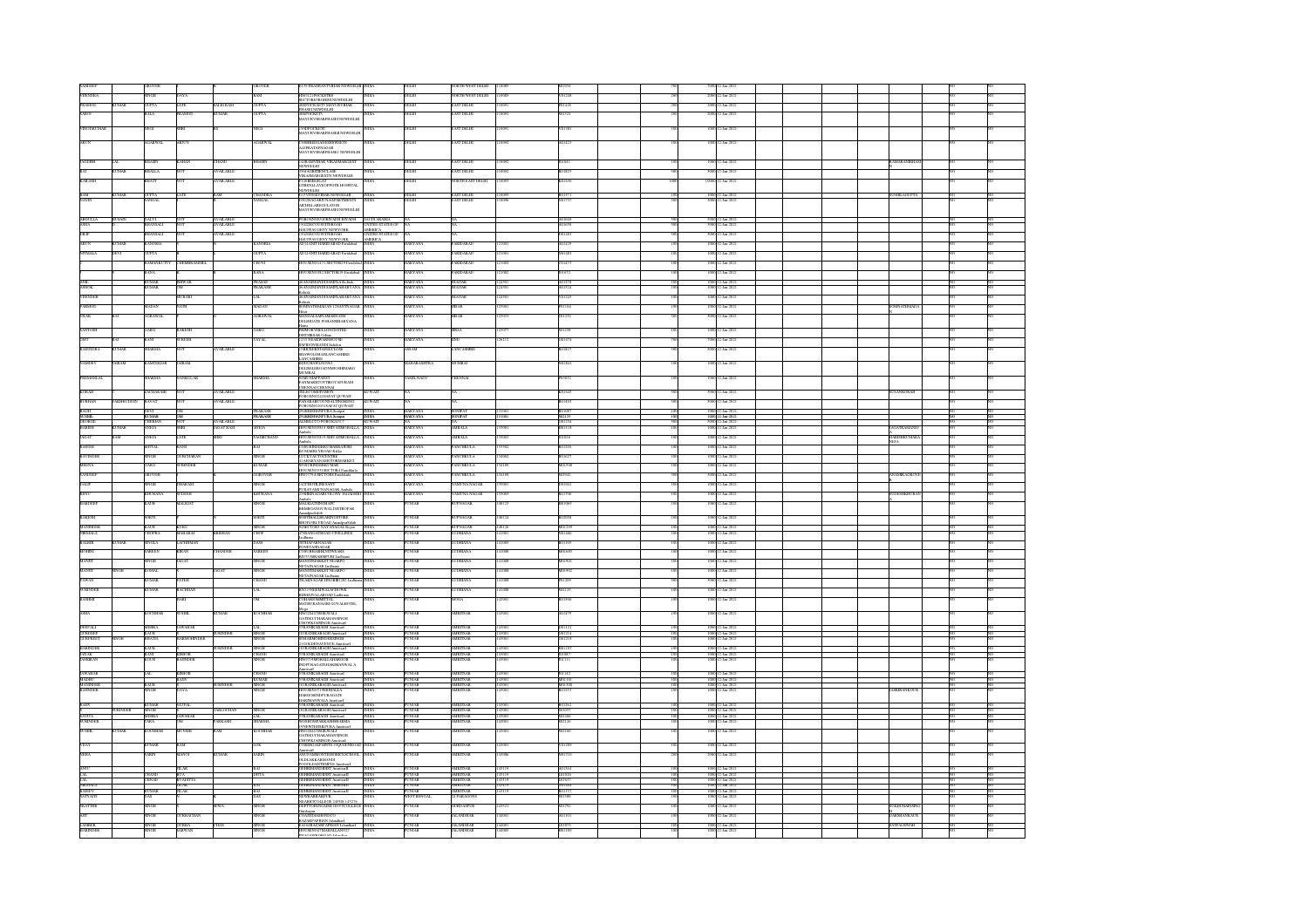|                                    |                 |                       |                     |                        |                              | 9 PRASHANTVIHAR NEWDELHI                                                                                                                                                                                         |                                          |                         |                                 |                           |                  |  |       |                                                                                                      |  |                        |  |
|------------------------------------|-----------------|-----------------------|---------------------|------------------------|------------------------------|------------------------------------------------------------------------------------------------------------------------------------------------------------------------------------------------------------------|------------------------------------------|-------------------------|---------------------------------|---------------------------|------------------|--|-------|------------------------------------------------------------------------------------------------------|--|------------------------|--|
|                                    |                 |                       |                     |                        |                              | <b>PIPOCKETR</b>                                                                                                                                                                                                 |                                          |                         | <b>WITH WI</b>                  |                           |                  |  |       |                                                                                                      |  |                        |  |
| <b>PRAMOD</b>                      | KUMAR           | <b>GUPTA</b>          | <b>ATE</b>          | <b>ALIG RAM</b>        | <b>GUPTA</b>                 | SECTORES ROHINI NEWDELHI<br>40EPOCKAET3 MAYURVIHAR                                                                                                                                                               | <b>INDIA</b>                             | <b>ELHI</b>             | <b>AST DELHI</b>                |                           | 1418             |  |       | 2000 12-Jan-2021                                                                                     |  |                        |  |
|                                    |                 |                       |                     |                        |                              | <b>HASEI NEWDELHI</b><br>IOEPOCKET3                                                                                                                                                                              |                                          |                         |                                 |                           |                  |  |       |                                                                                                      |  |                        |  |
| aroj                               |                 | łАА                   | <b>AMOD</b>         | MAS                    | UPTA                         | OEFOUNCES<br>AAYUR VIHARPHASEI NEWDELHI                                                                                                                                                                          | NDL                                      | ELHI                    | AST DELHI                       |                           | 132              |  | 2000  | 2-Jan-2021                                                                                           |  |                        |  |
| INODKUMA                           |                 |                       |                     |                        |                              | SODPOCKETC<br>MAYUR VIHARPHASEII NEWDELHI                                                                                                                                                                        |                                          |                         | <b>ST DELH</b>                  |                           |                  |  |       |                                                                                                      |  |                        |  |
|                                    |                 |                       |                     |                        |                              |                                                                                                                                                                                                                  |                                          |                         |                                 |                           |                  |  |       |                                                                                                      |  |                        |  |
|                                    |                 | <b>ARWAL</b>          |                     |                        | <b>ARWA</b>                  | <b>OSHREEGANESHSWEETS</b>                                                                                                                                                                                        |                                          |                         | <b>AST DELHI</b>                |                           |                  |  |       |                                                                                                      |  |                        |  |
|                                    |                 |                       |                     |                        |                              | M2PRATAPNAGAR<br>MAYURVIHARPHASEI NEWDELHI                                                                                                                                                                       |                                          |                         |                                 |                           |                  |  |       |                                                                                                      |  |                        |  |
| <b>CENSH</b>                       |                 | sen                   |                     |                        |                              | <b>LIFAMVIHAR VIKASMARGEYT</b>                                                                                                                                                                                   |                                          |                         | <b>ST DELHI</b>                 |                           |                  |  |       | 1000 12-Jan-202                                                                                      |  |                        |  |
|                                    | <b>TMAP</b>     | <b>MLA</b>            |                     | <b>ALABLE</b>          |                              | <b>SEWDELHI</b><br>PSAIAGRITENCLASE                                                                                                                                                                              |                                          |                         | <b>ST DEI HI</b>                |                           |                  |  |       | Im 202                                                                                               |  |                        |  |
| KAILASH                            |                 | <b>IATT</b>           |                     | <b>ALABLE</b>          |                              | VIKASMARGEXTN NEWDELHI<br>FLYGRADGELAT<br><b>FLOBMERICAL</b><br>GTBENLLAVEOPPGTB HOSPITAL                                                                                                                        |                                          | ELHI                    | <b>ORTH EAST DELHI</b>          |                           |                  |  | 10000 | J <sub>202</sub>                                                                                     |  |                        |  |
|                                    |                 |                       |                     |                        |                              |                                                                                                                                                                                                                  |                                          |                         |                                 |                           |                  |  |       |                                                                                                      |  |                        |  |
| AVIN                               | KUMAR           | <b>GUPTA</b><br>engal |                     |                        | CHANDRA                      |                                                                                                                                                                                                                  | NDIA                                     | ELHI                    | AST DELH<br>AST DELHI           |                           |                  |  |       | 1000 12-Jan-2021<br>3000 12-Jan-2021                                                                 |  | <b>SHILAGUPT</b>       |  |
|                                    |                 |                       |                     |                        |                              | OIBENLIAVEOPOLIB HOSPILAL<br>NEWDELHI<br>DI SVIVEKVIHAR NEWDELHI<br>DI SVIVEKVIHAR NEWDELHI<br>MAYUR VIHARPHASEI NEWDELHI                                                                                        |                                          |                         |                                 |                           |                  |  |       |                                                                                                      |  |                        |  |
| <b>ABDULL</b>                      |                 |                       |                     |                        |                              |                                                                                                                                                                                                                  |                                          |                         |                                 |                           |                  |  |       |                                                                                                      |  |                        |  |
|                                    |                 | NSALI                 |                     | AVAILABLE<br>AVAILABLE |                              | <b>?OBOXNOSS40RIYADH RIYADH</b><br>  S02DECOUSUITEROAD<br>!  ALUPPAUGENY NEWYORK<br>  S02DECOUSUITEROAD                                                                                                          |                                          |                         |                                 |                           |                  |  |       |                                                                                                      |  |                        |  |
|                                    |                 | <b>WSALI</b>          |                     | ALABLE                 |                              |                                                                                                                                                                                                                  | UNITED ALL<br>AMERICA<br>CONTED STATES C |                         |                                 |                           |                  |  |       |                                                                                                      |  |                        |  |
| <b>SHIN</b>                        | MAR             | <b>ANORIA</b>         |                     |                        | ANORIA                       | <b>JAUPPAUGENY NEWYORK</b><br>ND14ANIT HARIDABAD Farid                                                                                                                                                           | AMERICA                                  | ARYANA                  | <b>ARIDABAD</b>                 |                           | 01429            |  |       | 1000 12-Jan-2021                                                                                     |  |                        |  |
| TMALA                              |                 | SUPTA                 |                     |                        | GUPTA                        | 14 ANIT HARIDABAD Faridabad                                                                                                                                                                                      | <b>INDIA</b>                             | <b>JARYANA</b>          | ARIDABAD                        |                           | H481             |  |       | $\frac{1}{2}$ an-2021                                                                                |  |                        |  |
|                                    |                 | MANKE                 | <b>IEMBRAMM</b>     |                        | $\overline{u}$               | DUSENO1471 SECTOR29 Faridab                                                                                                                                                                                      | .<br>NDRA                                | an yawa                 | <b>ARTISRAE</b>                 |                           | $\overline{1}$   |  | men.  | 5.5m/202                                                                                             |  |                        |  |
|                                    |                 | RANA                  |                     |                        | <b>EANA</b>                  | <b>IOUSENO382 SECTOR19 Faridihad</b>                                                                                                                                                                             | <b>INDIA</b>                             | <b>HARYANA</b>          | <b>ARTISRAD</b>                 |                           |                  |  |       | 1000 12-Jun-2021                                                                                     |  |                        |  |
|                                    |                 |                       | SHWAR.              |                        |                              |                                                                                                                                                                                                                  |                                          |                         |                                 |                           |                  |  |       |                                                                                                      |  |                        |  |
| ANIL<br>ASHOK                      |                 | KUMAR<br>KUMAR        |                     |                        | PRASAD<br>PRAKASH            | .<br>IGANAJMANDI SAMPLA Robiak   INDIA<br>IGANAJMANDI SAMPLAHARYANA   INDIA                                                                                                                                      |                                          | HARYANA<br>HARYANA      | HAJJAR<br>HAJJAR                | 24501<br>24501            | A01278<br>A01524 |  |       | 1000 12-Jan-2021<br>1000 12-Jan-2021                                                                 |  |                        |  |
| <b>JUENDER</b>                     |                 |                       | AURARI              |                        | AL.                          | tobrak<br>6ANAJMANDI SAMPLAHARYANA                                                                                                                                                                               | <b>INDIA</b>                             | <b>IARYANA</b>          | HAUAR                           | 24501                     | 01245            |  |       | 1000 12-Jan-2021                                                                                     |  |                        |  |
| RMOD                               |                 | <b>EADAN</b>          | Œ                   |                        | <b>IADAN</b>                 | tobrak<br>OMNATHMADAN 12SANTNAGAR                                                                                                                                                                                | <b>INDIA</b>                             | <b>ARYANA</b>           | SAR.                            |                           | 1164             |  |       | 1000 12-Jan-2021                                                                                     |  |                        |  |
|                                    |                 | <b>EAWAI</b>          |                     |                        | RAWA                         |                                                                                                                                                                                                                  |                                          | <b>RYANA</b>            |                                 |                           |                  |  |       | $an-202$                                                                                             |  |                        |  |
|                                    |                 |                       |                     |                        |                              | GANGALSARNAMARNA ITI<br>JELHIGATE POHANSIHAR YANA                                                                                                                                                                |                                          |                         |                                 |                           |                  |  |       |                                                                                                      |  |                        |  |
| <b>NTOSE</b>                       |                 |                       | AKESH               |                        | <b>ARG</b>                   | arsi<br>RIMORYHELLONCENTRE                                                                                                                                                                                       |                                          | <b>JARYANA</b>          | <b>IRSA</b>                     |                           |                  |  | 1000  | 2-Jan-2021                                                                                           |  |                        |  |
|                                    |                 |                       | <b>URESH</b>        |                        | .<br>AY AL                   | DISTSIRSAR Odhan<br>1233 NEARWAREHOUSE                                                                                                                                                                           |                                          | <b>JARYANA</b>          |                                 |                           |                  |  |       | 2-Jan-2021                                                                                           |  |                        |  |
|                                    |                 |                       |                     |                        |                              | SAFIDONMANDI Safiden<br>I SBICKERSTAFEECLOSE<br>SHAWOLDHAJILANCASHIRE<br>I ANCASHIRE<br>BDDCHAWI NO963                                                                                                           |                                          |                         |                                 |                           |                  |  |       |                                                                                                      |  |                        |  |
| NAMDEV                             | AIRAM           | <b>AMTEKIAR</b>       | AIRAM               |                        |                              |                                                                                                                                                                                                                  |                                          | <b>AHARASHTRA</b>       | <b>EUMBAI</b>                   |                           |                  |  |       | $\frac{1}{2}$ an-2021                                                                                |  |                        |  |
|                                    |                 |                       |                     |                        |                              | <b>DELISELEROADNMJOSHIMARG</b>                                                                                                                                                                                   |                                          |                         |                                 |                           |                  |  |       |                                                                                                      |  |                        |  |
|                                    |                 |                       |                     |                        |                              | MUMBAI<br>HMUNIAPPANST<br>HMMARHTOTTROYAPURAM                                                                                                                                                                    |                                          |                         |                                 |                           |                  |  |       |                                                                                                      |  |                        |  |
|                                    |                 |                       |                     |                        |                              | HENNAI CHENNAI                                                                                                                                                                                                   |                                          |                         |                                 |                           |                  |  |       |                                                                                                      |  |                        |  |
| ORAH                               |                 | HARAIH                |                     | ALABLE                 |                              | OBOXNO242SAFAT QUWAIT<br>VANARABCOUNSALTINGREN                                                                                                                                                                   |                                          |                         |                                 |                           |                  |  |       |                                                                                                      |  |                        |  |
| URHAN                              |                 | <b>VAT</b>            |                     | <b>ALABLE</b>          |                              |                                                                                                                                                                                                                  | <b>UWAIT</b>                             |                         |                                 |                           |                  |  |       | $tan-202$                                                                                            |  |                        |  |
| BAGH                               |                 |                       |                     |                        | PRAKASH                      | POBOXNO1031SAFAT QUWAIT<br>294KRISHANPURA Sonipat                                                                                                                                                                | <b>INDIA</b>                             | HARYAN/                 | SONPAT                          |                           |                  |  |       | 1000 12-Jan-2021                                                                                     |  |                        |  |
| <b>ISHIL</b>                       |                 | <b>KUMAR</b>          |                     | /AILABLE<br>GATRAM     | PRAKASH                      | 294KRISHANPURA Sonipat<br>ALMELCCO POBOX24317<br>HOUSENOS819 SHIVAJIMOHALL                                                                                                                                       | <b>INDIA</b><br>KUWAIT                   | HARYANA                 | SONPAT                          | 31001                     |                  |  |       | 1000 12-Jan-2021<br>5000 12-Jan-2021<br>1000 12-Jan-2021                                             |  |                        |  |
|                                    |                 |                       |                     |                        | .<br>Wiki                    | ROUSENOSS 19 SHIVAJIMOHALLA<br>terbala<br>ROUSENOSS 19 SHIVAJIMOHALLA                                                                                                                                            |                                          | .<br>WYANA              | .<br>ÆALA                       |                           |                  |  |       |                                                                                                      |  |                        |  |
| MINT                               |                 | .<br>IFfa             |                     |                        | <b>KHRCHANI</b>              |                                                                                                                                                                                                                  | NDIA                                     | <b>ARYANA</b>           | <b>MBALA</b>                    |                           |                  |  |       | 2-Jan-2021                                                                                           |  | ISHKUMA<br><b>NETA</b> |  |
| <b>AJESH</b>                       |                 | <b>ATTAL</b>          |                     |                        |                              |                                                                                                                                                                                                                  |                                          | <b>JARYANA</b>          | ANCHKULA                        |                           |                  |  |       | J <sub>20</sub> 202                                                                                  |  |                        |  |
|                                    |                 |                       | RCHARAN             |                        |                              |                                                                                                                                                                                                                  |                                          |                         |                                 |                           |                  |  |       |                                                                                                      |  |                        |  |
| VINDER                             |                 |                       |                     |                        |                              |                                                                                                                                                                                                                  |                                          | .<br>RYANA              | NCHKULA                         |                           |                  |  |       | J <sub>202</sub>                                                                                     |  |                        |  |
|                                    |                 |                       |                     |                        |                              |                                                                                                                                                                                                                  |                                          | <b>BYANA</b>            | <b>NORKER A</b>                 |                           |                  |  |       |                                                                                                      |  |                        |  |
| WDEEP                              |                 | ROVER                 |                     |                        | <b>GOROVER</b>               | HOUSENGOS 17 Sun vormanner<br>Andala COSURINDERKUMARRAJESH<br>COSURINDERKUMARRAJESH<br>LUCKYAJITOCENTRE<br>41 AHARYANAMOTORMARKET<br>WOSURINDERKUMAR<br>HOUSENO331SECTOR4 Parchkuls<br>HNO779A SECTOR8 Parchkuls | <b>INDIA</b>                             | <b>IARYANA</b>          | <b>ANCHKULA</b>                 |                           | 02942            |  |       | 3000 12-Jan-2021                                                                                     |  | AMIKAGRO               |  |
| ) ALIP                             |                 |                       | HARAM               |                        | <b>SINGH</b>                 |                                                                                                                                                                                                                  | INDIA                                    |                         |                                 |                           | 140100           |  |       |                                                                                                      |  |                        |  |
|                                    |                 | <b>ENGH</b>           |                     |                        |                              | 42CHOTILINESANT                                                                                                                                                                                                  |                                          | <b>IARYANA</b>          | AMUNA NAGAR<br>MUNA NAGA        |                           |                  |  |       | 1000 12-Jan-2021                                                                                     |  |                        |  |
|                                    |                 | <b>IURANA</b>         | <b>JESH</b>         |                        | <b>IURANA</b>                | URAYAMUNANAGAR Ambala<br>SSHRINAGARCOLONY IAGAD                                                                                                                                                                  | NDLA                                     | RYANA                   |                                 |                           |                  |  |       | $an-202$                                                                                             |  |                        |  |
| ARDEE                              |                 |                       | <b>UKIA</b>         |                        |                              | imbala<br>MALKIATSINGHAPC<br>BBMBGANGUWAL DISTROPAR                                                                                                                                                              |                                          |                         | PNAGAR                          |                           |                  |  |       |                                                                                                      |  |                        |  |
| <b>AKESH</b>                       |                 | <b>SOBTI</b>          |                     |                        | ювп                          | tundpur<br>Sahib<br>OBTIBALLBEARINGSTORE                                                                                                                                                                         | NDIA                                     | NJAB                    | <b>UPNAGAR</b>                  | 1124                      | 2058             |  |       | 1000 12-Jan-2021                                                                                     |  |                        |  |
|                                    |                 |                       |                     |                        |                              | SHOP43RLYROAD AnandpurSahib<br>NASECTORS NAYANAGAL Ropar                                                                                                                                                         |                                          |                         | PNAGAI                          |                           |                  |  |       |                                                                                                      |  |                        |  |
| <b>IRMALA</b>                      |                 | <b>CHOPRA</b>         | AHARAJ              | ISHAN                  | CHOP                         | <b>78SANGATROAD CIVILLINES</b>                                                                                                                                                                                   | <b>INDIA</b>                             | NJAB                    | UDHIANA                         |                           | 31406            |  |       | 1000 12-Jan-2021                                                                                     |  |                        |  |
| <b>M RIP</b>                       |                 |                       |                     |                        |                              | adiana<br>STHAPARNAGAR                                                                                                                                                                                           |                                          |                         |                                 |                           |                  |  |       |                                                                                                      |  |                        |  |
|                                    |                 | AREEN                 | <b>TRAN</b>         |                        |                              | ONETAIINAGAR<br>"YNSURHASHKNITWEARS                                                                                                                                                                              |                                          |                         | DHIAN2                          |                           |                  |  |       | 1000 12-Jan-2021                                                                                     |  |                        |  |
| daniti                             |                 | <b>INGH</b>           | <b>AGAT</b>         |                        | <b>INGH</b>                  | .<br>IVSS3BRAHMPURI Ludhiana<br>AANJITMARKET NEARPO                                                                                                                                                              | INDIA                                    | .<br>NJAJ               | <b>IDHIANA</b>                  |                           | oton             |  |       | 1000 12-Jan-2021                                                                                     |  |                        |  |
| IANJIT                             |                 | KOMAL.                |                     |                        | NGH                          | NETAINAGAR Ludhiana<br>MANJITMARKET NEARPO                                                                                                                                                                       | NDIA                                     | NJAB                    | <b>UDHIANA</b>                  |                           | 01902            |  |       | 1000 12-Jan-2021                                                                                     |  |                        |  |
| AWAN                               |                 | KUMAR                 | KTEH                |                        | <b>HAND</b>                  | NETAINAGAR Ludhiana<br>TILAKNAGAR HNOBIIII 282 Ludh                                                                                                                                                              | $\mathbb{N}\mathrm{DIA}$                 | NJAB                    | UDHIANA                         | 1008                      | 01209            |  |       | 5000 12-Jan-2021                                                                                     |  |                        |  |
| RINDER                             |                 | MAR                   |                     |                        |                              | <b>UNFEMWALACHOWN</b>                                                                                                                                                                                            |                                          |                         | <b>HIAN</b>                     |                           |                  |  |       | $an-202$                                                                                             |  |                        |  |
| ASHMI                              |                 |                       | a Bri               |                        |                              | HMATULLAROAD Ludhiana<br>HARIOMAITTAI                                                                                                                                                                            | .<br>NDIA                                | <b>NJAB</b>             | <b>OGA</b>                      |                           |                  |  |       | 2-Jan-2021                                                                                           |  |                        |  |
|                                    |                 |                       |                     |                        |                              | MATHURANAGRI GOYALHOTEL                                                                                                                                                                                          |                                          |                         |                                 |                           |                  |  |       |                                                                                                      |  |                        |  |
| <b>SHA</b>                         |                 | COCHHAB               | SHI                 |                        | OCHHAB                       | Moga<br>HNO204471SGILWALI<br>GATEKUCHAKAHANSINGH                                                                                                                                                                 |                                          | NJA                     | MRITSAR                         |                           |                  |  |       | 2-Jan-202                                                                                            |  |                        |  |
| <b>DEEPALL</b>                     |                 | <b>MEHRA</b>          | WAHAR               |                        |                              | HOWKJAISINGH Amritsarl<br>3RANIKABAGH Amritsarl                                                                                                                                                                  |                                          | <b>TNIAR</b>            | <b>MRITSAR</b>                  |                           |                  |  |       |                                                                                                      |  |                        |  |
|                                    |                 |                       |                     |                        |                              | <b>IRANIKARAGHA</b>                                                                                                                                                                                              |                                          |                         | MRITSA                          |                           |                  |  |       |                                                                                                      |  |                        |  |
| <b>GURPREET</b>                    |                 | łΑTU<br><b>ATTE</b>   | MOHINDEE            |                        | INGH                         | HARMOHINDERSINGH<br><b>1GOLDENAVENUE Armitsa</b><br>01RANIK ARAGH Amritsarl                                                                                                                                      | NDIA<br>NDIA                             | NJA<br>.<br>Niai        | <b>GRITSAR</b><br>MRITSAR       |                           | 01218            |  |       | $\frac{1}{2}$<br>$\overline{a}$                                                                      |  |                        |  |
| <b>HARINDER</b>                    |                 | RANI                  |                     |                        | CHAND                        |                                                                                                                                                                                                                  | INDIA                                    | PUNJAB                  | MRITSAR                         | 143001                    | 01087            |  |       |                                                                                                      |  |                        |  |
| JANAK<br>JASKIRAN                  |                 | <b>KOUR</b>           | UINDER              |                        | <b>INGH</b>                  |                                                                                                                                                                                                                  | NDLA                                     | NJAB                    | MRITSAR                         | 43001                     | ш                |  |       | 1000 12-Jan-2021<br>1000 12-Jan-2021                                                                 |  |                        |  |
|                                    |                 |                       |                     |                        | CHANI                        | SSRANIKABAGH Amrisari<br>HNO719MOHALLAHARGOB<br>INDPURAGATEHAKIMANWAL A                                                                                                                                          |                                          | PUNJAI                  | MRITSAR                         |                           |                  |  |       |                                                                                                      |  |                        |  |
| <b>WAHAR</b>                       |                 |                       | SHOR                |                        | KUMAR                        | mritsarI<br>3RANIKABAGH AmritsarI<br><b>S3RANIKABAGH Amrib</b>                                                                                                                                                   |                                          | PUNJAI                  |                                 |                           | J01143           |  |       |                                                                                                      |  |                        |  |
| MADHU<br>MANINDER<br><b>JINDER</b> |                 | KAUR<br><b>INGH</b>   | .<br>Wa             | <b>SURINDER</b>        | <b>SINGH</b><br><b>SINGH</b> | 01RANIKABAGH AmritsarI<br>HOUSENO719MOHALLA                                                                                                                                                                      | <b>INDIA</b><br><b>INDIA</b>             | PUNJAB<br>UNJAB         | AMRITSAR<br>AMRITSAR<br>MRITSAR | 143001<br>143001<br>13001 | M01300<br>01253  |  | 1000  | $\frac{1000}{124\pi + 2021}$ $\frac{1000}{124\pi + 2021}$ $\frac{1000}{124\pi + 2021}$<br>2-Jan-2021 |  | SKIRANKOU              |  |
|                                    |                 |                       |                     |                        |                              | ARGOBINDPURAGATE                                                                                                                                                                                                 |                                          |                         |                                 |                           |                  |  |       |                                                                                                      |  |                        |  |
|                                    |                 |                       |                     |                        |                              | IAKIMANWALA Amritsarl<br> 3RANIKABAGH Amritsarl                                                                                                                                                                  |                                          |                         |                                 |                           |                  |  |       |                                                                                                      |  |                        |  |
|                                    | <b>SURINDER</b> | <b>SINGH</b><br>MEHRA | <b>AWAHAR</b>       | <b>TARLOCHAI</b>       | <b>SINGH</b>                 | 101RANIKABAGH Annisarl                                                                                                                                                                                           | <b>INDIA</b>                             | <b>PUNJAB</b><br>PUNJAB | AMRITSAR                        | 143001                    | \$0105           |  |       | 1000 12-Jan-2021                                                                                     |  |                        |  |
| SAVITA<br>SURINDER                 |                 | <b>TARA</b>           |                     |                        | <b>JARMA</b>                 | <b>3RANIKABAGH Amrisari</b><br>VOSHOMPARKASHSHARM                                                                                                                                                                | INDIA<br>INDIA                           | UNJAB                   | MRITSAR<br>MRITSAR              | $\frac{143001}{43001}$    | i01406<br>i02126 |  |       | 1000 12-Jan-2021<br>1000 12-Jan-2021                                                                 |  |                        |  |
| <b>SHIL</b>                        |                 | OCHHAR                |                     |                        | CHHAS                        | 9NEWTHISILPURA Amritsari<br>INO20447ISGILWALI<br><b>JATEKUCHAKAHANSINGH</b>                                                                                                                                      | <b>SDIA</b>                              | NJAB                    | MRITSAR                         |                           | 2160             |  |       | $3m-202$                                                                                             |  |                        |  |
|                                    |                 | <b>UMAR</b>           |                     |                        |                              |                                                                                                                                                                                                                  | NDU                                      | NJA                     | .<br>MRITSAR                    |                           |                  |  |       | 2-Jan-202                                                                                            |  |                        |  |
|                                    |                 |                       |                     |                        |                              | HOWKJAISINGH Amritsarl<br>OSEHGALPAINTS 19QUEENRO<br>mritsarl<br>NUPAMMONTESSORICESCHOC                                                                                                                          |                                          | eta)                    | <b>GETTSAR</b>                  |                           |                  |  |       |                                                                                                      |  |                        |  |
|                                    |                 |                       |                     |                        |                              | <b>OLDLAKKARMANDI</b>                                                                                                                                                                                            |                                          |                         |                                 |                           |                  |  |       |                                                                                                      |  |                        |  |
|                                    |                 |                       | <b>TLAK</b>         |                        |                              | <b>20GOLDANTEMPLE Amritsarl</b><br>GEHRIMANDIDIST Amritsarl                                                                                                                                                      | <b>INDIA</b>                             | PUNJAB                  | <b><i>MRITSAR</i></b>           | 43119                     | A01344           |  |       | 1000 12-Jan-2021                                                                                     |  |                        |  |
|                                    |                 | HNAD                  | <b>UADITTA</b>      |                        |                              | <b>JEHRIMANDIDIST AmritsarII</b><br>JEHRIMANDIDIST AmritsarII                                                                                                                                                    | <b>INDIA</b><br>INDIA                    | PUNJAB<br>PUNJAB        | MRITSAR<br>MRITSAR              | 43119<br>43119            |                  |  |       | 1000 12-Jan-202<br>1000 12-Jan-202                                                                   |  |                        |  |
|                                    |                 |                       | LAK<br><b>TILAK</b> |                        |                              | EHRIMANDIDIST Amrit                                                                                                                                                                                              |                                          |                         | <b>GRITSAL</b>                  | 4311                      |                  |  |       | 1000 12-Jan-202                                                                                      |  |                        |  |
| <b>JEEV</b><br>ATYAID              |                 | KUMAR                 |                     |                        |                              | GEHRIMANDIDIST AmritsarII<br>NEWBARRAKPUR                                                                                                                                                                        | <b>INDIA</b><br>NDIA                     | PUNJAB<br>WEST BENGAL   | MRITSAR<br>4 PARAGONS           |                           | 38               |  |       | 1000 12-Jan-2021<br>1000 12-Jan-2021                                                                 |  |                        |  |
|                                    |                 |                       |                     |                        |                              | E WBARKAKTUR<br>EARBTCOLLEGE 24PGS-143276<br>EPTTOFENGLISH GOVTCOLLEGE                                                                                                                                           |                                          |                         | <b>RDASPUE</b>                  |                           |                  |  |       | 2-Jan-202                                                                                            |  |                        |  |
|                                    |                 |                       | 0.17133             |                        |                              | <b>inlaspur.</b><br>VAHTTMAMONDCO                                                                                                                                                                                |                                          |                         | <b>LANDHAR</b>                  |                           |                  |  |       | $3m-202$                                                                                             |  |                        |  |
| <b>LAMBER</b><br>HARINDE           |                 | <b>INGH</b>           | <b>JURBA</b>        |                        | <b>INGH</b>                  | AZARPAPRIAN Jal <mark>and</mark> aar<br>A164BAZARPAPRIAN Ja                                                                                                                                                      |                                          | UNJAB                   | <b>MANDHAR</b>                  |                           |                  |  | 1000  | <br> 2-Jan-2021<br> 2-Jan-2021                                                                       |  |                        |  |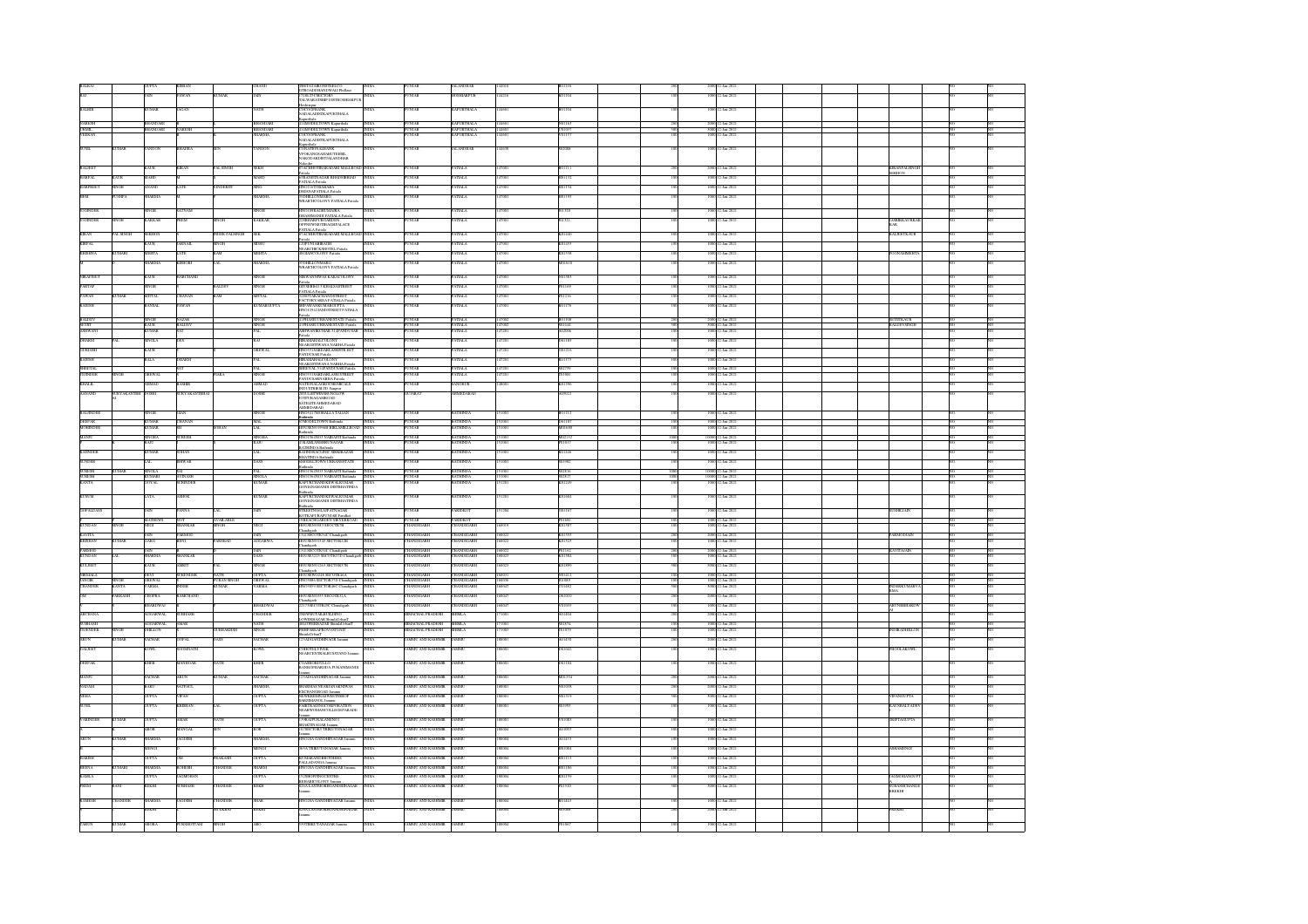|                            |                   |                          |                                     |                         | THETATAIRONSTEELOO                                                                                    |              | <b>MTAE</b>                                         |                            |         |                  |  |      |                                      |  |                                         |  |  |
|----------------------------|-------------------|--------------------------|-------------------------------------|-------------------------|-------------------------------------------------------------------------------------------------------|--------------|-----------------------------------------------------|----------------------------|---------|------------------|--|------|--------------------------------------|--|-----------------------------------------|--|--|
|                            |                   |                          |                                     |                         | <b>TROADDHANDWALLPhillian</b><br>1718LT3CSECTOR3                                                      |              | <b>NJAE</b>                                         | SHLARPUL                   |         |                  |  |      |                                      |  |                                         |  |  |
|                            |                   |                          |                                     |                         | TALWARATSHIP DISTHOSHIARPUL                                                                           |              |                                                     |                            |         |                  |  |      |                                      |  |                                         |  |  |
| <b>ALBIR</b>               |                   | UMAR                     | <b>AGAN</b>                         | <b>ATH</b>              | İohiarpar<br>COOOPBANK<br>NADALADISTKAPURTHALA                                                        |              | UNJAB                                               | APURTHALA                  |         | 1104             |  |      | 2-Jan-2021                           |  |                                         |  |  |
| <b>NARESH</b>              |                   | <b>NDARI</b>             |                                     |                         | .<br>24MODELTOWN Kaparthala                                                                           |              | <b>NIAF</b>                                         | <b>PURTHALA</b>            |         |                  |  |      |                                      |  |                                         |  |  |
|                            |                   | ANDARI                   |                                     | <b>JANDARI</b>          |                                                                                                       |              | PUNJAB                                              |                            |         |                  |  |      |                                      |  |                                         |  |  |
| URMIL.<br>VEERAN           |                   |                          |                                     |                         | 414MODELTOWN Kaparthala<br>COCOOPBANK<br>ADALADISTKAPURTHALA                                          |              | <b>NJAE</b>                                         | : APURTHALA<br>: APURTHALA |         |                  |  |      | 3000 12-Jan-2021<br>1000 12-Jan-2021 |  |                                         |  |  |
| <b>SUNIL</b>               |                   | NDO!                     |                                     |                         |                                                                                                       |              |                                                     | ANDHAI                     |         |                  |  |      | $Jan-202$                            |  |                                         |  |  |
|                            |                   |                          |                                     |                         | apartbala<br>ONATIONALBANK<br>POKANGSAHABUTEHSIL<br>JAKODARDISTIALANDHAR                              |              |                                                     |                            |         |                  |  |      |                                      |  |                                         |  |  |
|                            |                   |                          |                                     |                         |                                                                                                       |              |                                                     |                            |         |                  |  |      |                                      |  |                                         |  |  |
| BALJEET                    |                   | KAUR                     | <b>U. SINGH</b><br><b>JRAN</b>      | <b>KH</b>               | iskodar<br>7 ACHHOTIBARADARI MALLROA                                                                  |              | NJAE                                                | ATIALA                     |         |                  |  |      | 2000 12-Jan-2021                     |  | <b>KIRANPALSING</b><br><b>SEKHON</b>    |  |  |
| HARPAL                     |                   | MAHE                     |                                     |                         | atiala<br>SRANJITNAGAR BHADSIBRIAD                                                                    | <b>SDL</b>   | .<br>UNJAE                                          | <b>ATIALA</b>              |         |                  |  |      | 1000 12-Jan-2021                     |  |                                         |  |  |
| HARPREET                   |                   | $\frac{1}{2}$            |                                     |                         | <b>PATIALA Patiala<br/>FINOJ LETORARARA</b>                                                           |              |                                                     | .<br>VIIALA                |         |                  |  |      |                                      |  |                                         |  |  |
| <b>HEM</b>                 |                   | <b>JARMA</b>             |                                     |                         | <b>DHIANAPATIALA Patiala</b><br>ASDHII LONMARC                                                        |              | .<br>Vlat                                           | <b>ATIALA</b>              |         |                  |  |      |                                      |  |                                         |  |  |
|                            |                   |                          |                                     |                         | RAICHCOLONY PATIALA Patisla                                                                           |              |                                                     |                            |         |                  |  |      |                                      |  |                                         |  |  |
| <b>JOGINDER</b>            |                   | <b>SINGH</b>             | ATNAM                               | NGH                     | NO109RAGHUMAJRA                                                                                       |              | UNJAB                                               | <b>ATIALA</b>              |         |                  |  |      | 1000 12-Jan-2021                     |  |                                         |  |  |
| <b>OGINDER</b>             |                   | <b>AKKAR</b>             | EM.                                 | wkar                    | GHASSMANDI PATIALA Patiala<br>228BHARPURGARDEN<br>OPPNEWMOTIBAGHPALACE                                |              | <b>NJAE</b>                                         | <b>ATIALA</b>              |         |                  |  |      | $3m-2021$                            |  | <b>JASBIRKAURKA</b><br>KAR              |  |  |
|                            |                   |                          |                                     |                         | ATIALA Patiala<br>?ACHHOTIBARADARI MALLI                                                              |              |                                                     |                            |         |                  |  |      |                                      |  |                                         |  |  |
| <b>KIRAN</b>               |                   |                          | DER PALSING                         |                         |                                                                                                       |              | <b>NJAE</b>                                         | VIIALA                     |         |                  |  |      | J <sub>202</sub>                     |  | <b>LJEETKAU</b>                         |  |  |
| <b>KIRPAL</b>              |                   |                          |                                     |                         | Miala<br>NPUNJABIBAGH                                                                                 |              | <b>NJAE</b>                                         | <b>TIALA</b>               |         |                  |  |      |                                      |  |                                         |  |  |
| KRISHNA                    | MARI              | <b>MEHTA</b>             | $\overline{\Delta}$ TF<br><b>AV</b> | <b>HTA</b>              | <b>EARCHICKSHOTEL Patials</b><br>DGIANCOLONY Patiala                                                  | .<br>تان     | UNIAB                                               | <b>ATIALA</b>              |         |                  |  | 1000 | 12-Jan-2021                          |  | <b>NAMMEE</b>                           |  |  |
|                            |                   | <b>IARMA</b>             | <b>SHOR</b>                         | ARMJ                    | ISDHILLONMARG<br>WRAICHCOLONY PATIALA Patial                                                          | <b>DIA</b>   | .<br>NJAF                                           | <b>ATIALA</b>              |         |                  |  |      | 2-Jan-2021                           |  |                                         |  |  |
|                            |                   |                          |                                     |                         |                                                                                                       |              |                                                     |                            |         |                  |  |      |                                      |  |                                         |  |  |
| NIRAPJEE                   |                   |                          |                                     |                         | <b>IRWANNIWAS KAKACOLONY</b>                                                                          |              |                                                     | .<br>VTIALA                |         |                  |  |      | 2-Jan-202                            |  |                                         |  |  |
| PARTAP                     |                   | $\frac{1}{2}$            |                                     | $rac{1}{2}$             | 'atiala<br>'ilyseB16413 KHALSASTREET                                                                  | vnu          | .<br>Niae                                           | <b>ATIALA</b>              |         |                  |  |      | 1000 12-Jan-2021                     |  |                                         |  |  |
| <b>AWAN</b>                | <b>MAR</b>        | <b>MITTAL</b>            | <b>AM</b>                           | <b>TTAI</b>             | ATIALA Patiala<br>2805TARACHANDSTREET                                                                 |              | <b>NJAB</b>                                         | <b>ATIALA</b>              |         |                  |  |      | 1000 12-Jan-2021                     |  |                                         |  |  |
| AJESH                      |                   | NSAL                     |                                     |                         | <b>FACTORYAREA PATIALA Patiala<br/>SHPAWANKUMARGUPTA<br/>HNO12942JANDSTREET PATIALA</b>               |              | UAE                                                 | .<br>VIALA                 |         |                  |  |      | tan 202                              |  |                                         |  |  |
|                            |                   |                          |                                     |                         | slais                                                                                                 |              |                                                     |                            |         |                  |  |      |                                      |  |                                         |  |  |
| <b>BALDEV</b><br>SETJIT    |                   |                          |                                     | VGH                     | ia<br>HASEI URBANESTATE Patiala                                                                       |              | PUNJAI                                              | TIALA<br><b>TIALA</b>      |         |                  |  |      | 2000 12-Jan-2021                     |  | <b>SETJITKAUR</b><br><b>BALDEVSINGH</b> |  |  |
| <b>SHWANI</b>              |                   | <b>KUMAR</b>             |                                     | ă                       | 41 PHASEI URBANESTATE Patiala<br>ASHWANIKUMAR 514PANDUSAR                                             | <b>STYLE</b> | PUNJAB                                              | ATIALA                     | 4720    | 2006             |  |      | 1000 12-Jan-2021                     |  |                                         |  |  |
| HARM                       |                   | <b>INGLA</b>             |                                     |                         | tiala<br>IRAMAHALCOLONY                                                                               | DU           | UNJAB                                               | <b>ATIALA</b>              | $^{20}$ | H 185            |  | 100  | 2-Jan-2021                           |  |                                         |  |  |
| <b>GURDISH</b>             |                   | KAUR                     |                                     | <b>IREWAL</b>           | GEARGSTIWANA NABHA Patiala<br>#NO331 SARDARLASSISTR EET                                               | iDIA         | UNJAB                                               | <b>ATIALA</b>              | 720     | H216             |  | 100  | 2-Jan-2021                           |  |                                         |  |  |
| RAJESH                     |                   |                          |                                     |                         | <b>ANDUSAR Patisla<br/>BEAMAHALCOLONY</b>                                                             |              | .<br>NJAB                                           | ATIALA                     |         |                  |  |      | J <sub>2021</sub>                    |  |                                         |  |  |
| SHEETAL                    |                   |                          |                                     |                         | <b>EARGSTIWANA NABHA Patiala</b><br>HEEVAL SLAPANDUSAR Patial                                         |              | <b>UNJAB</b>                                        | <b>TIALA</b>               |         |                  |  |      |                                      |  |                                         |  |  |
| INDER                      |                   | REWAL                    |                                     | sан                     | HEEYAL SI4PANDUSAR Iumaa<br>INO33ISARDARLASSI STREET<br>ANDUSARNABHA Patisli<br>IATIONALAGROCHEMICALS |              | NJAB                                                | AIAIN                      |         |                  |  |      | J <sub>2021</sub>                    |  |                                         |  |  |
| KHALIL.                    |                   | <b>AAD</b>               |                                     | MAD                     |                                                                                                       |              | NJAB                                                | <b>NGRUR</b>               |         |                  |  |      | J <sub>202</sub>                     |  |                                         |  |  |
| AANAND                     | <b>URYAKANTBE</b> | DOSHI                    | <b>ERYAKANTBH</b>                   | $\overline{\text{OSH}}$ | <b>EDUSTRIESLTD Sangrue</b><br>RTH SITWINSBENGEOR                                                     | vnu          | <b>UJARAT</b>                                       | <b>HMEDABAD</b>            |         |                  |  |      | 2-Jan-2021                           |  |                                         |  |  |
|                            |                   |                          |                                     |                         | <b>DIPURAGAMROAD</b><br>ATELITEAHMEDABAD                                                              |              |                                                     |                            |         |                  |  |      |                                      |  |                                         |  |  |
| BALJINDER                  |                   |                          |                                     |                         | HMEDABAD<br>NOS417MOHALLA TALIA?                                                                      |              |                                                     | <b>ATHINDA</b>             |         |                  |  |      |                                      |  |                                         |  |  |
|                            |                   |                          |                                     |                         |                                                                                                       |              |                                                     |                            |         |                  |  |      | J <sub>202</sub>                     |  |                                         |  |  |
| <b>DEEPAK</b><br>MOHINDE   |                   | KUMAR                    | CHANA!                              |                         | Bathinda<br>57MODELTOWN Bathinda<br>90USENO1996B BIRLAMILLROA<br>20USENO1996B BIRLAMILLROA            |              | PUNJAB                                              | <b>THINDA</b>              |         |                  |  |      | 1000 12-Jan-2021<br>1000 12-Jan-2021 |  |                                         |  |  |
| MANJU                      |                   | <b>SYDNA</b>             |                                     | .<br>Kita               | think<br>NO1564NO3 NAIBASTI Bathind                                                                   |              | <b>INTAR</b>                                        | <b>THINDA</b>              |         |                  |  |      | tan 202                              |  |                                         |  |  |
|                            |                   | RAJI                     |                                     |                         | 41KAMLANEHRUNAGAR                                                                                     |              | <b>UNJAE</b>                                        |                            |         |                  |  | 1000 | 2-Jan-2021                           |  |                                         |  |  |
| <b>AINDER</b>              |                   | <b>KTIMAR</b>            | <b>OHAN</b>                         |                         | ATHINDA Bathinda<br>AJINDRACLINIC SIRKIBAZAR                                                          | <b>NDIA</b>  | <b>INTAR</b>                                        | <b>ATHINDA</b>             |         | 1246             |  |      | 1000 12-Jan-2021                     |  |                                         |  |  |
| <b>SUNDER</b>              |                   |                          | <b>MANY</b>                         | 224                     | <b>HATINDA Bathinda</b><br>MODELTOWN URBANESTATE                                                      | <b>STILL</b> | <b>INTAR</b>                                        | <b>ATHINDA</b>             |         | $\overline{100}$ |  |      | 2-Jan-2021                           |  |                                         |  |  |
| <b>SURESH</b>              |                   | <b>SINGLA</b>            |                                     |                         | thinda<br>CO1564NO3 NAIBASTI Bathinda                                                                 |              | PUNJAB                                              | <b>ATHINDA</b>             |         | 02816            |  |      | 10000 12-Jan-2021                    |  |                                         |  |  |
| <b>SURESE</b><br>KANTA     |                   |                          |                                     |                         |                                                                                                       |              |                                                     |                            |         |                  |  |      |                                      |  |                                         |  |  |
|                            |                   | MAR<br>DYAL              |                                     | KILA<br>MAR             | ENOI 564NO3 NAJBASTI Bahinda<br>KAPURCHANDKEWALKUMAR<br>JONIANAMANDI DISTBHATINDA                     |              |                                                     |                            |         |                  |  |      | -Jan-2021<br>-Jan-2021               |  |                                         |  |  |
| <b>KUSUM</b>               |                   | LATA <sup>1</sup>        | SHOK                                | <b>TMAR</b>             | athinda<br>APURCHANDKEWALKUMAR                                                                        |              | <b>INJAR</b>                                        | <b>ATHINDA</b>             |         | <b>ITAN</b>      |  |      | 1000 12-Jan-2021                     |  |                                         |  |  |
|                            |                   |                          |                                     |                         | <b>ONIANAMANDI DISTBHATINDA</b>                                                                       |              |                                                     |                            |         |                  |  |      |                                      |  |                                         |  |  |
| <b>GOPALDASS</b>           |                   | <b>JAIN</b>              | <b>ANNA</b>                         | AIN                     | athinda<br>TREETNO6LAJPATNAGAR                                                                        | <b>SDIA</b>  | PUNJAB                                              | ARIDKOT                    | 1204    | 101167           |  |      | 1000 12-Jan-2021                     |  | <b>USHILJAIN</b>                        |  |  |
|                            |                   | <b>THEWS</b>             |                                     |                         | KOTKAPURAPUNJAB Faridast<br>19REACHGARDEN MEYERROA<br>HOUSENOS83 SEOCTR7B                             |              |                                                     | ARIDKOT<br>'HANDIGARH      |         |                  |  |      |                                      |  |                                         |  |  |
| <b>UNDAN</b>               | ENGH              | <b>NEGL</b>              | SHANKAR<br>SINGH                    | EGI                     |                                                                                                       | <b>DIA</b>   | CHANDIGARH                                          |                            |         | 01587            |  |      | 1000 12-Jan-2021                     |  |                                         |  |  |
| KAVITA                     |                   |                          |                                     |                         | Chandigath<br>1341 SECOTR 34C Chandigath<br>HOUSENO1545 SECTOR22B                                     |              | CHANDIGARH                                          | <b>NDIGARI</b>             |         |                  |  |      | 2000 12-Jan-2021<br>1000 12-Jan-2021 |  |                                         |  |  |
| RISHAN                     | KUMAR             | <b>GARG</b>              | <b>ARSHAD</b><br>BENT               | <b>AGGARWA</b>          |                                                                                                       | <b>NDIA</b>  | CHANDIGARH                                          | HANDIGARH                  | 60022   | 01525            |  |      |                                      |  |                                         |  |  |
| PARMOD<br>KUNDAN           |                   | SHARMA                   | SHANKAR                             | ASS                     | handigarh<br>341SECOTR34C Chandigarh<br><b>JOUSE3225 SECOTR37D Chandi</b>                             | <b>NDIA</b>  | CHANDIGARH                                          | ANDIGARH                   |         |                  |  |      |                                      |  |                                         |  |  |
|                            |                   |                          |                                     |                         |                                                                                                       |              |                                                     |                            |         |                  |  |      | 2000 12-Jan-202                      |  | <b>KAVITAJ</b>                          |  |  |
| CULJEET                    |                   | KAUR                     |                                     | ЮH                      |                                                                                                       |              | CHANDIGARH                                          | HANDIGARH                  | 60023   | 01584            |  |      | 1000 12-Jan-2021                     |  |                                         |  |  |
| NIRMALA                    |                   | <b>GREWAL</b>            | RENDER                              |                         | OUSENO1263 SECTOR37B                                                                                  |              | HANDIGARH                                           | <b>IANDIGARH</b>           | 002     | 1899             |  | 5000 | 2-Jan-2021                           |  |                                         |  |  |
| JANGIR<br>CHANDER          | KANTA             |                          |                                     | UPTA                    | :Tundigath<br>BOUSEWO248 SECOTR46A                                                                    |              | CHANDIGARH                                          | HANDIGARH                  |         |                  |  |      | J <sub>202</sub>                     |  |                                         |  |  |
|                            |                   | <b>VARMA</b>             | PURAN SINGH<br><b>ALC</b><br>KUMAR  | <b>GREWAL</b><br>VARMA  | HNO3086 SECTOR37D Chandigath<br>HNO3059 SECTOR46C Chandigath                                          | NDIA         | CHANDIGARH<br>CHANDIGARH                            | 'HANDIGARH<br>'HANDIGARH   | 004     | 1482             |  |      | 1000 12-Jan-2021<br>3000 12-Jan-2021 |  | <b>NDERKUMAR</b>                        |  |  |
|                            | ARKASH            | <b>CHOPRA</b>            | <b>EAMCHAND</b>                     |                         | <b>IOUSENO355 SECOTR32A</b>                                                                           | <b>DIA</b>   | HANDIGARH                                           | HANDIGARH                  |         |                  |  |      | 2000 12-Jan-2021                     |  | RMA                                     |  |  |
|                            |                   | <b>ROW</b>               |                                     |                         |                                                                                                       |              | ANDIGARH                                            | <b>HANDIGARH</b>           |         |                  |  |      |                                      |  |                                         |  |  |
|                            |                   | tan wa                   |                                     |                         | handigath<br>?173SECOTR45C Chandigath<br><b>EWRITTAILRUID DING</b>                                    |              |                                                     |                            |         |                  |  |      | J <sub>2021</sub>                    |  |                                         |  |  |
|                            |                   |                          |                                     |                         |                                                                                                       |              |                                                     |                            |         |                  |  |      |                                      |  |                                         |  |  |
| <b>SUBHASH</b><br>TEJENDER | SINGH             | <b>GGARWAL</b><br>HILLON | <b>CEIRRAKHSH</b>                   | $\frac{1}{N}$           | NEWBUTALBOILDING<br>OWERBAZAR ShinlaUrbanT<br>SLOWERBAZAR ShinlaUrban<br>HHP AREAPROVOSTUNIT          |              | HIMACHAL PRADESH<br>HIMACHAL PRADESH                | HMLA<br>HMLA               |         |                  |  |      | 1000 12-Jan-2021<br>1000 12-Jan-2021 |  | INDREADHEEO                             |  |  |
| <b>ARUN</b>                | MAR               | <b>ACHAR</b>             | OPAL<br><b>ZAC</b>                  | <b>CHAR</b>             |                                                                                                       | <b>SDIA</b>  | AMMU AND KASHMIR                                    | <b>SISTE</b>               |         |                  |  | 2000 | 2-Jan-2021                           |  |                                         |  |  |
|                            |                   |                          | <b>OMNATH</b>                       |                         | imlaUrbanT<br>3ADGANDHINAGR Jammu                                                                     | <b>SDIA</b>  |                                                     |                            |         |                  |  |      |                                      |  |                                         |  |  |
| DALJEET                    |                   | KOWL.                    |                                     | $_{\text{OWL}}$         | .<br>NEARCENTRALBUSSTAND Jamm                                                                         |              | AMMU AND KASHMIR                                    | <b>MMU</b>                 |         |                  |  |      | 1000 12-Jan-2021                     |  | <b>IOOLAKOW</b>                         |  |  |
| DEEPAR                     |                   |                          |                                     |                         |                                                                                                       |              | <b>NTLE AC</b>                                      |                            |         |                  |  |      |                                      |  |                                         |  |  |
|                            |                   |                          |                                     |                         | OASHOKDULLO<br>ANKOFBARODA PURANDANDI                                                                 |              |                                                     |                            |         |                  |  |      |                                      |  |                                         |  |  |
| <b>ANJU</b>                |                   | <b>SACHAR</b>            | KUMAR<br>$_{\rm RTN}$               | SACHAR                  | 1814<br>3ADGANDHINAGAR Jamma                                                                          | <b>SDIA</b>  | <b>JAMMU AND KASHMIR</b>                            | AMMU                       |         |                  |  |      | 2000 12-Jan-2021                     |  |                                         |  |  |
| <b>SADAM</b>               |                   | BARU                     | <b>SATPAUL</b>                      | <b>ARMA</b>             | HARMAS NEARJANAKNIWAS                                                                                 | <b>NDIA</b>  | AMMU AND KASHMIR                                    | <b>AMMU</b>                |         |                  |  |      | 2000 12-Jan-2021                     |  |                                         |  |  |
| <b>EHA</b>                 |                   | <b>GUPTA</b>             | <b>TPAN</b>                         | <b>IUPTA</b>            | <b>XCHANGROAD Jamma</b><br>EWKRISHNASWEETSSHOP                                                        | DIA          | AMMU AND KASHMIR                                    | <b>MMU</b>                 |         |                  |  |      | 3000 12-Jan-2021                     |  | <b>IPANGUPTA</b>                        |  |  |
| NI.                        |                   | <b>IUPTA</b>             |                                     | UPTA                    |                                                                                                       |              | <b>IMU AND KA</b>                                   |                            |         |                  |  |      | J <sub>2021</sub>                    |  | <b>USHALYAD</b>                         |  |  |
|                            |                   |                          |                                     |                         | SABZIMANOL Jamma<br>FAIRTRADINGCORPORATION<br>NEARWOMANCOLLEGEPARADE                                  |              |                                                     |                            |         |                  |  |      |                                      |  |                                         |  |  |
| VARINDER                   | KUMAR             | <b>GUPTA</b>             | MAR                                 | SUPTA                   | mma<br>SSRAJPURALANENOI                                                                               |              | AMMU AND KASHMIR                                    | $\overline{M}$             |         |                  |  |      | 2-Jan-2021                           |  | <b>TRIPTAGUPTA</b>                      |  |  |
|                            |                   | <b>NOR</b>               | <b>IANGAL</b>                       |                         | SHAKTINAGAR Jamma<br>107SECTORS TRIKUTONAGAR                                                          | <b>SDIA</b>  | AMMU AND KASHMIR                                    | <b>AMMU</b>                |         |                  |  |      | 1000 12-Jan-2021                     |  |                                         |  |  |
|                            |                   | .<br>SHARMA              | <b>JAGDISH</b>                      | <b>LARM</b>             |                                                                                                       | <b>SDIA</b>  | AMMU AND KASHMIR                                    | .<br>SISIT                 |         |                  |  |      | 1000 12-Jan-2021                     |  |                                         |  |  |
|                            |                   | $\overline{\text{var}}$  |                                     |                         | immi<br>NO20A GANDHINAGAR Jammi<br><b>5A TRIKUTANAGAR Jam</b>                                         |              | MMU AND KA                                          | $\overline{\mathbf{m}}$    |         |                  |  |      | J <sub>202</sub>                     |  |                                         |  |  |
| <b>ARINH</b>               |                   | <b>TPTA</b>              | $\overline{\text{AKAS}}$            | pr.                     | MAR ANDRROTHERS                                                                                       |              | MMT AND KASHMIK                                     | $\overline{M}$             |         |                  |  |      | J <sub>20</sub>                      |  |                                         |  |  |
| <b>HEENA</b>               | KIMARI            | <b>SHARMA</b>            | <b>CHANDER</b><br>ROHESH            | <b>TARM</b>             | ALLADANGA Jamma<br>NO20A GANDHINAGAR Jan                                                              | <b>STYLE</b> |                                                     | <b>TAMMET</b>              |         |                  |  |      | 1000 12-Jan-2021                     |  |                                         |  |  |
| AMLA                       |                   | <b>GUPTA</b>             | <b>AGMOHAN</b>                      | <b>UPTA</b>             | 32SHOPPINGCENTRE                                                                                      | <b>ARD</b>   | <b>JAMMU AND KASHMIR</b><br>AMMU AND KASHMIR        | <b>AMMU</b>                |         |                  |  |      | 1000 12-Jan-2021                     |  | <b>AGMOHANGI</b>                        |  |  |
|                            |                   |                          |                                     |                         |                                                                                                       |              |                                                     |                            |         |                  |  |      |                                      |  |                                         |  |  |
|                            |                   | EKHI                     | BHASH<br><b>ANDER</b>               | EKH                     | EHARICOLONY Jamma<br>26A LASTMORHGANDHINAGAR                                                          | <b>DIA</b>   | <b>MMU AND KASHMI</b>                               | MML                        |         |                  |  |      | J <sub>20</sub> 202                  |  | A<br>SUBASHCHANI<br>RREKHI              |  |  |
|                            |                   |                          |                                     |                         |                                                                                                       |              |                                                     |                            |         |                  |  |      |                                      |  |                                         |  |  |
|                            |                   | <b>EKHI</b>              | <b>MULKRA</b>                       | .<br>FKH                |                                                                                                       | NDIA         |                                                     | $\overline{M}$             |         |                  |  |      | $tan-202$                            |  | REKH                                    |  |  |
| TARUN                      | <b>KUMAR</b>      | <b>ARORA</b>             | <b>PURSHOTTAM</b><br>SINGH          |                         | <b>ESA LASTMORHGANDHINAGAR</b><br>9TRIKUTANAGAR Jamma                                                 | <b>SDIA</b>  | <b>AMMU AND KASHMIR</b><br><b>JAMMU AND KASHMIR</b> | .<br>AMME                  |         |                  |  |      | 2-Jan-202                            |  |                                         |  |  |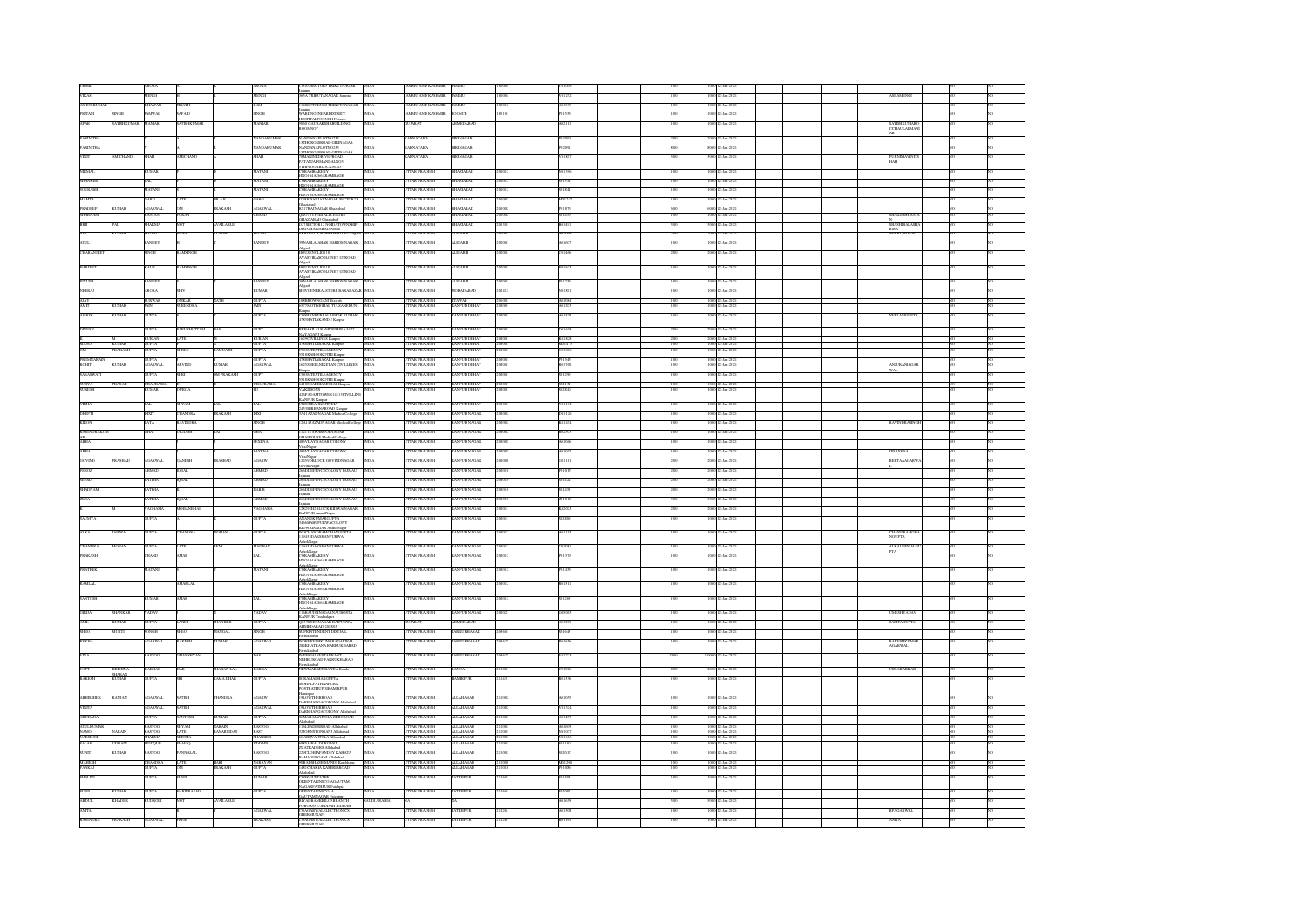|                           |                                    |                  |                         |                         | tOR.             | 107SECTORS TRIKUTNAGAR                                                                             | NDIA                | <b>MMU AND KASHMIR</b>                      |                                                |                  |                   |                                      |  |  |                                 |  |  |
|---------------------------|------------------------------------|------------------|-------------------------|-------------------------|------------------|----------------------------------------------------------------------------------------------------|---------------------|---------------------------------------------|------------------------------------------------|------------------|-------------------|--------------------------------------|--|--|---------------------------------|--|--|
|                           |                                    |                  |                         |                         |                  |                                                                                                    |                     |                                             |                                                |                  |                   |                                      |  |  |                                 |  |  |
|                           |                                    |                  |                         |                         |                  |                                                                                                    |                     |                                             |                                                |                  |                   |                                      |  |  |                                 |  |  |
| HOKKU                     |                                    |                  |                         |                         |                  |                                                                                                    |                     |                                             |                                                |                  |                   |                                      |  |  |                                 |  |  |
| <b>SPITAM</b>             |                                    | <b>MWAT</b>      | <b>AFAID</b>            |                         | <b>NG</b>        | HHH<br>ARTINO?NE ARTIETEICT                                                                        | <b>NDIA</b>         | AMMET AND KASHMIR                           | OONCH                                          |                  | 1000 11           | 202                                  |  |  |                                 |  |  |
|                           |                                    |                  |                         |                         |                  | <b>OSPITALPOONCH Poonch</b><br>060 GAURAKSHABUILDIN                                                |                     | <b>JARA</b>                                 |                                                |                  |                   |                                      |  |  |                                 |  |  |
|                           |                                    |                  |                         |                         |                  | COVARIOU                                                                                           |                     |                                             |                                                |                  |                   |                                      |  |  | CHAULALMAN                      |  |  |
| <b>ARINTHA</b>            |                                    |                  |                         |                         | NDAKUMA          | <b>ANDANAPLOTNO233</b>                                                                             | <b>INDIA</b>        | KARNATAKA                                   | <b>JEINAGAR</b>                                |                  |                   | 2000 12-Jan-202                      |  |  |                                 |  |  |
| <b>ARINTH</b>             |                                    |                  |                         |                         |                  | THCROSSROAD GIRINAGAR                                                                              |                     | .<br>NATAKA                                 |                                                |                  |                   |                                      |  |  |                                 |  |  |
|                           |                                    |                  |                         |                         |                  | <b>3THCROSSROAD GIRINAGAR</b><br>SMARINEDRIVEEROAD                                                 |                     |                                             |                                                |                  |                   |                                      |  |  |                                 |  |  |
| TNT                       |                                    | $\overline{111}$ |                         |                         |                  | <b>ATANJAINMANDALNO3</b>                                                                           | .<br>NDIA           | <b>SENATAKA</b>                             | <b>RINAGAR</b>                                 |                  |                   |                                      |  |  | <b>FIRNIMA</b>                  |  |  |
|                           |                                    |                  |                         |                         |                  | THFLOORBLOCKNO43                                                                                   |                     |                                             |                                                |                  |                   |                                      |  |  |                                 |  |  |
| <b>GRMAL</b>              |                                    | <b>UMAR</b>      |                         |                         | <b>IATANI</b>    |                                                                                                    | <b>INDIA</b>        | <b>TTAR PRADESE</b>                         | <b>IAZIABAD</b>                                |                  | 1000 1            | $\frac{1}{2}$                        |  |  |                                 |  |  |
| HANKER                    |                                    |                  |                         |                         | <b>LATANI</b>    | ENO104A266ARAMBAGH<br>CORAMBAKERY                                                                  | INDIA               | <b>TTAR PRADESH</b>                         | HAZIABAD                                       | 11534            |                   | 1000 12-Jan-202                      |  |  |                                 |  |  |
| OURABH                    |                                    | <b>ATANI</b>     |                         |                         | .<br>TANI        | ENO104A266ARAMBAGH                                                                                 | NDIA                | <b>TAR PRADESE</b>                          |                                                |                  | 1000              | $3m-202$                             |  |  |                                 |  |  |
|                           |                                    |                  |                         |                         |                  | 0104A266ARAMBAGH<br>HIGSANIAYNAGAR SECTOR2                                                         |                     |                                             |                                                |                  |                   |                                      |  |  |                                 |  |  |
|                           |                                    |                  |                         |                         |                  |                                                                                                    |                     | <b>AR PRADES</b>                            |                                                |                  |                   | $tan-202$                            |  |  |                                 |  |  |
| RADEEP                    |                                    | <b>GARWAL</b>    |                         | RAKASH                  | <b>ARWAI</b>     | ariabad<br>17RAINAGAR Gha                                                                          | NDIA                | <b>TTAR PRADESE</b>                         | <b>IAZIABAD</b>                                |                  |                   |                                      |  |  |                                 |  |  |
| <b>LABNAM</b>             |                                    | NJAN             | URAN                    |                         | HAND             | NO7TYPEIII ALTCENTRE                                                                               | INDIA               | <b>TTAR PRADESH</b>                         | HAZIABAD                                       | 1450             | 1000 1            | :Jan-2021                            |  |  | <b>IAILESHRAN</b>               |  |  |
|                           |                                    | <b>ARMA</b>      |                         | <b>ALABLE</b>           |                  | HAZIABAD Gharisbad<br>22SECTOR12 NOIDATOWN                                                         | NDIA                | <b>TAR PRADESE</b>                          | <b>SZLAR AD</b>                                |                  |                   | $tan-202$                            |  |  |                                 |  |  |
|                           |                                    |                  |                         | $\overline{\mathbf{u}}$ |                  | ISTGHAZIABAD Noida<br>CRIVILLA SUBHASHROAD                                                         | urvi s              | <b>TTAR PRADESE</b>                         |                                                |                  | 3300              |                                      |  |  | NA<br>EERUMITTA                 |  |  |
|                           |                                    | <b>ITTAL</b>     |                         |                         |                  |                                                                                                    |                     |                                             | LIGARH                                         |                  |                   | $Jan-202$                            |  |  |                                 |  |  |
| ATUL.                     |                                    | WDEY             |                         |                         | WDEY             | <b>AGLAJAHAR HARIOMNAGAI</b>                                                                       | <b>NDIA</b>         | <b>TTAR PRADESE</b>                         | <b>LIGARH</b>                                  |                  |                   | $3m-202$                             |  |  |                                 |  |  |
| <b>CHARANJEET</b>         |                                    | INGH             | MSINGH                  |                         |                  | Vigarh<br>∉OUSENOLIGI I 8<br>∜VASVIKASCOLONEY GTROAD                                               | NDIA                | <b>TTAR PRADESH</b>                         | <b>ALIGARH</b>                                 | 146              |                   | 2000 12-Jan-202                      |  |  |                                 |  |  |
|                           |                                    |                  |                         |                         |                  |                                                                                                    |                     |                                             |                                                |                  |                   |                                      |  |  |                                 |  |  |
| <b>VRJEE</b>              |                                    | AUR              |                         |                         |                  | distri<br>IOUSENOLIGI I 8<br>VASVIKASCOLONEY GTROAD                                                |                     |                                             |                                                |                  |                   |                                      |  |  |                                 |  |  |
|                           |                                    |                  |                         |                         |                  |                                                                                                    |                     |                                             |                                                |                  |                   |                                      |  |  |                                 |  |  |
| YUSH                      |                                    | WDEY             |                         |                         | <b>SDEY</b>      | gah<br>JAGLAJAHAR HARIOMNAGAR                                                                      | INDIA               | <b>TTAR PRADESH</b>                         | <b>ICARH</b>                                   |                  |                   | 1000 12-Jan-202                      |  |  |                                 |  |  |
| EERAJ                     |                                    | RORA             |                         |                         | <b>UMAR</b>      | Uigarh<br>HIVGENERALSTORE BARABAZAR                                                                |                     | <b>TTAR PRADESH</b>                         | <b>IORADABAD</b>                               |                  |                   | -Jan-202                             |  |  |                                 |  |  |
|                           |                                    |                  |                         |                         |                  |                                                                                                    | <b>INDIA</b>        |                                             |                                                | $\frac{1}{1811}$ | $1000$ $12$       |                                      |  |  |                                 |  |  |
| AJAY<br>AMIT              |                                    | <b>FURWAR</b>    | OMKAR<br><b>TRENDRA</b> |                         | <b>GUPTA</b>     | <b>SBROWNGANJ Etawah</b>                                                                           | <b>INDIA</b>        | <b>UTTAR PRADESH</b>                        | ETAWAH<br>ANPUR DEHAT                          | 101084           |                   | 1000 12-Jan-2021<br>1000 12-Jan-2021 |  |  |                                 |  |  |
|                           | MAR                                |                  |                         |                         | ٨N               | 77MOTIMOHAL TULSANEKUN                                                                             | <b>INDIA</b>        | <b>ITTAR PRADESH</b>                        |                                                | 1120             |                   |                                      |  |  |                                 |  |  |
| <b>SHOK</b>               | MAR                                | <b>UPTA</b>      |                         |                         | <b>UPTA</b>      | oshankerlalashok kumar<br>OSHANKERLALASHOK KUMAR                                                   | INDIA               | <b>TTAR PRADESH</b>                         | ANPUR DEHAT                                    | 01528            |                   | 1000 12-Jan-2021                     |  |  | <b>EELAMGUPT/</b>               |  |  |
|                           |                                    |                  |                         |                         |                  | 785HATIAKANDU Kanpur                                                                               |                     |                                             |                                                |                  |                   |                                      |  |  |                                 |  |  |
| NESH                      |                                    | FTA              |                         |                         |                  | <b>ARILALRAMKRISHN</b>                                                                             |                     | <b>TAR PRADESE</b>                          | NPUR DEHA                                      |                  |                   | $3m-202$                             |  |  |                                 |  |  |
|                           |                                    | <b>RIA</b>       |                         |                         |                  | NAYAGANI Kargur<br>1629CIVILLINES Kargur<br>4788HATIABAZAR Kargur<br>COOMTEXTILEAGENCY             |                     | <b>TAR PRADES</b>                           | <b>PUR DEHA</b>                                |                  |                   | $_{\text{tan-2}}$                    |  |  |                                 |  |  |
|                           |                                    |                  |                         |                         |                  |                                                                                                    |                     | UTTAR PRADESH<br>UTTAR PRADESH              | KANPUR DEHAT<br>KANPUR DEHAT                   |                  |                   |                                      |  |  |                                 |  |  |
|                           | RAKASH                             | <b>UPTA</b>      | <b>IREE</b>             | <b>MVATH</b>            | <b>GUPTA</b>     |                                                                                                    | <b>INDIA</b>        |                                             |                                                | 001016           |                   | 1000 12-Jan-2021<br>1000 12-Jan-2021 |  |  |                                 |  |  |
|                           |                                    | UPTA             |                         |                         | <b>GUPTA</b>     | 18KAHOOKOTHI Kanps                                                                                 | <b>INDIA</b>        | <b>UTTAR PRADESH</b>                        | KANPUR DEHAT                                   | 101545           |                   | 1000 12-Jan-202                      |  |  |                                 |  |  |
| PREMNARAIN<br>ROHIT       | MAR                                | <b>AGARWAL</b>   | <b>WNT</b>              | MAK                     | <b>AGARWAL</b>   | 1788HATIABAZAR Kanpar<br>1625SHEELNIKETAN CIVILLINES                                               | <b>INDIA</b>        | <b>UTTAR PRADESH</b>                        | KANPUR DEHAT                                   | R01760           |                   | 1000 12-Jan-2021                     |  |  | NJURANIAGA                      |  |  |
| ARASWATI                  |                                    | UPTA             |                         | <b>M PRAKASH</b>        | UPT              | apar<br>OOMTEXTILEAGENCY                                                                           | NDIA                | <b>TTAR PRADESH</b>                         | <b>ANPUR DEHAT</b>                             | 101299           |                   | 1000 12-Jan-2021                     |  |  |                                 |  |  |
|                           |                                    |                  |                         |                         |                  | 518KAHOOKOTHI Kanpu<br>4108GADRIAMOHAL Kan                                                         |                     |                                             |                                                |                  |                   |                                      |  |  |                                 |  |  |
| URYA<br>URESH             |                                    | HAURASI<br>UMAR  | URQA                    |                         | <b>HAURA</b>     |                                                                                                    | NDIA                | <b>UTTAR PRADESH</b><br><b>TTAR PRADESH</b> | <b>ANPUR DEHAT</b><br><b><i>NPUR DEHAT</i></b> | 2840             | 1000              | 1000 12-Jan-202<br>$3m-202$          |  |  |                                 |  |  |
|                           |                                    |                  |                         |                         |                  | .<br>26PADAMTOWER14113CIVILLINE                                                                    |                     |                                             |                                                |                  |                   |                                      |  |  |                                 |  |  |
|                           |                                    |                  |                         |                         |                  | <b>ANPUR Kargar</b><br>GIONBANKOFINDIA                                                             |                     | TAR PRADESH                                 | NPUR DEHAT                                     |                  |                   | 12-Jan-202                           |  |  |                                 |  |  |
|                           |                                    |                  |                         |                         |                  | <b>S3BIRHANAROAD Karpur</b>                                                                        |                     |                                             |                                                |                  |                   |                                      |  |  |                                 |  |  |
|                           |                                    |                  |                         |                         |                  | <b>LAZADNAGAR</b>                                                                                  |                     | <b>TAR PRADES</b>                           | <b>PUR NAGAI</b>                               |                  |                   |                                      |  |  |                                 |  |  |
|                           |                                    |                  | VINDR <sub>4</sub>      |                         |                  | 41434Z4DNAG4R MelicalCal                                                                           | .<br>NDIA           | <b>TTAR PRADES</b>                          | <b>ANPUR NAGAR</b>                             |                  |                   | $1 - 202$                            |  |  |                                 |  |  |
| UENDRAKU                  |                                    |                  | anse                    |                         |                  | 114 SWAROOPNAGAR                                                                                   | NDIA                | <b>TAR PRADESH</b>                          | <b>ANPUR NAGAR</b>                             |                  |                   | $-3a + 202$                          |  |  |                                 |  |  |
|                           |                                    |                  |                         |                         |                  | <b>HAIHOUSE MedicalCollege</b><br>86VIJAYNAGAR COLONY                                              |                     |                                             |                                                |                  |                   |                                      |  |  |                                 |  |  |
|                           |                                    |                  |                         |                         | <b>XENA</b>      |                                                                                                    | NDIA                | <b>TAR PRADESH</b>                          | ANPUR NAGAR                                    |                  |                   | J <sub>202</sub>                     |  |  |                                 |  |  |
|                           |                                    |                  |                         |                         |                  | <b>VijaiNagar</b><br>IS6VIJAYNAGAR COLONY                                                          | INDIA               | <b>TAR PRADESE</b>                          | ANPUR NAGAR                                    |                  |                   | -<br>-<br>Jan-202                    |  |  |                                 |  |  |
|                           |                                    | 140924           |                         |                         |                  | áNagar<br>159DBLOCK GOVINDNAGAR                                                                    | <b>NTHA</b>         | <b>TAR PRADESP</b>                          | <b>NPLIE NAGAL</b>                             |                  |                   |                                      |  |  |                                 |  |  |
|                           |                                    |                  |                         |                         |                  |                                                                                                    |                     |                                             |                                                |                  |                   |                                      |  |  |                                 |  |  |
| $\overline{30}$           |                                    | $\frac{1}{2}$    |                         |                         |                  | vindNagar<br>6DDEFENCECOLONY JAJMAU                                                                | INDIA               | <b>TAR PRADESE</b>                          | <b>NPUR NAGAR</b>                              |                  |                   | $1 - 203$                            |  |  |                                 |  |  |
| EEMA                      |                                    | <b>ATIMA</b>     | <b>BAL</b>              |                         | <b>HMAD</b>      | ajmau<br>66DDEFENCECOLONY JAIMAU                                                                   | <b>INDIA</b>        | <b>TTAR PRADESH</b>                         | <b>ANPUR NAGAR</b>                             | 11424            |                   | 2000 12-Jan-202                      |  |  |                                 |  |  |
| HADNAM                    |                                    | ATIMA            |                         |                         | ABIB             | <b>HIGH<br/>166DDEFENCECOLONY JAIMAU</b>                                                           | <b>INDIA</b>        | <b>TTAR PRADESH</b>                         | <b>ANPUR NAGAR</b>                             | 11451            |                   | 2000 12-Jan-202                      |  |  |                                 |  |  |
|                           |                                    |                  |                         |                         |                  |                                                                                                    |                     |                                             |                                                |                  |                   |                                      |  |  |                                 |  |  |
|                           |                                    |                  |                         |                         |                  |                                                                                                    |                     |                                             |                                                |                  |                   |                                      |  |  |                                 |  |  |
| EBA                       |                                    | <b>ATIMA</b>     | <b>BAL</b>              |                         | <b>HMAD</b>      | <b>MITORI</b><br>166DDEFENCECOLONY JAIMAU                                                          | <b>INDIA</b>        | <b>TTAR PRADESH</b>                         | <b>ANPUR NAGAR</b>                             | 01010            |                   | 3000 12-Jan-202                      |  |  |                                 |  |  |
|                           |                                    | <b>GHASL</b>     |                         |                         | GHASL            |                                                                                                    | <b>INDIA</b>        | AR PRADES                                   | <b>PUR NAGAI</b>                               |                  |                   | J <sub>202</sub>                     |  |  |                                 |  |  |
|                           |                                    |                  |                         |                         |                  | <mark>1901</mark><br>292H2BLOCK KIDWAINAGAR<br>292H2BLOCK KIDWAINAGAR                              |                     |                                             |                                                |                  |                   |                                      |  |  |                                 |  |  |
| <b>WMY</b>                |                                    | <b>IPTA</b>      |                         |                         | prz              |                                                                                                    |                     | <b>TAR PRADES</b>                           | PUR NAGAI                                      |                  |                   |                                      |  |  |                                 |  |  |
|                           |                                    |                  |                         |                         |                  | <b>CANPUR AnonSyger<br/>GNANDKUMARGUPTA<br/>H466BABUPURWACOLONY</b>                                |                     |                                             |                                                |                  |                   |                                      |  |  |                                 |  |  |
| UKA                       | KWAI                               | UPTA             | <b>ANDRA</b>            |                         | <b>PTA</b>       | IDWAINAGAR AnandNagar<br>!OCHANDRAMOHANGUP'<br>9453DARSHANPURWA                                    |                     | <b>TTAR PRADESH</b>                         | <b>WPUR NAGAR</b>                              |                  |                   |                                      |  |  | <b>JANDRAM</b><br><b>NGUPTA</b> |  |  |
|                           |                                    |                  |                         |                         |                  |                                                                                                    |                     |                                             |                                                |                  |                   |                                      |  |  |                                 |  |  |
| <b>HANDRA</b>             | <b>CAHO</b>                        | <b>UPTA</b>      | <b>ATE</b>              |                         | <b>ADHAV</b>     | dokNagar<br>19453DARSHANPURWA                                                                      | NDIA                | <b>ITAR PRADESH</b>                         | ANPUR NAGAR                                    |                  |                   | 1000 12-Jan-202                      |  |  | <b>ALKAJAISWALO</b>             |  |  |
| RAKASH                    |                                    | $\overline{ax}$  |                         |                         |                  |                                                                                                    |                     | <b>TAR PRADES</b>                           | <b>WPUR NAGAI</b>                              |                  |                   |                                      |  |  |                                 |  |  |
|                           |                                    |                  |                         |                         |                  | <b>shokNagar<br/>`ORAMBAKERY<br/>ENO104A266ARAMBAGH</b>                                            |                     |                                             |                                                |                  |                   |                                      |  |  |                                 |  |  |
| RATEEK                    |                                    | <b>ATAN</b>      |                         |                         |                  |                                                                                                    |                     | <b>TAR PRADESE</b>                          | <b>NPUR NAGAR</b>                              |                  |                   |                                      |  |  |                                 |  |  |
|                           |                                    |                  |                         |                         |                  | INOUSE<br><u>whokNager</u><br>CORAMBAKERY<br>HNO104A266ARAMBAGH                                    |                     |                                             |                                                |                  |                   |                                      |  |  |                                 |  |  |
| AMLAL.                    |                                    |                  | <b>ARLAL</b>            |                         |                  | tshokNagar<br>ORAMBAKERY<br>INO104A266ARAMBAGH                                                     | NDIA                | <b>TAR PRADESH</b>                          | ANPUR NAGAR                                    |                  |                   | J <sub>202</sub>                     |  |  |                                 |  |  |
|                           |                                    |                  |                         |                         |                  |                                                                                                    |                     |                                             |                                                |                  |                   |                                      |  |  |                                 |  |  |
| NTOSH                     |                                    | MAR              |                         |                         |                  | shokNastar<br>ORAMBAKERY<br>NO104A266ARAMBAGH                                                      | <b>SDIA</b>         | <b>TAR PRADESH</b>                          | <b>NPUR NAGAR</b>                              |                  |                   | $-3an-2021$                          |  |  |                                 |  |  |
|                           |                                    |                  |                         |                         |                  |                                                                                                    |                     |                                             |                                                |                  |                   |                                      |  |  |                                 |  |  |
|                           |                                    |                  |                         |                         |                  |                                                                                                    |                     |                                             | <b>PUR NAGAI</b>                               |                  |                   |                                      |  |  |                                 |  |  |
|                           | MAR                                | UPTA             | $\overline{\mathbf{w}}$ | <b>NKFR</b>             | UPTA             | Northum<br>16BAUDHNAGARNAUBOSTA<br>KANPUR Tandhakpar<br>WANSDEONAGAR RAIPURWA                      | .<br>NDIA           | 14847                                       | MEDARAD                                        |                  |                   | Im 202                               |  |  | <b>ARITAGUPTA</b>               |  |  |
|                           | $^{\rm \overline{0} \overline{R}}$ | <b>ONGH</b>      |                         | WGAI                    | NGH              | <b>HMEDABAD-208803</b><br>SUPRINTENDENT DISTIAIL                                                   | <b>INDIA</b>        | <b>TTAR PRADESH</b>                         | ARRUKHABAD                                     |                  | 1000              | $34m-202$                            |  |  |                                 |  |  |
| $\overline{\mathbf{x}}$ H |                                    | <b>GARWAL</b>    | KEG                     | MA                      | <b>ARWAL</b>     |                                                                                                    |                     | <b>TAR PRADESH</b>                          | <b>ARRUKHABAD</b>                              |                  |                   | $tan-202$                            |  |  | <b>AKESHKUM</b>                 |  |  |
|                           |                                    |                  |                         |                         |                  | erskhabad<br>OREKESHKUMARAGARWAL<br>284KHATRANA RARRUKHABAD                                        |                     |                                             |                                                |                  |                   |                                      |  |  | GARWAL.                         |  |  |
|                           |                                    |                  |                         |                         |                  |                                                                                                    |                     | AR PRADES                                   | <b>ARRUKHABAI</b>                              |                  |                   |                                      |  |  |                                 |  |  |
|                           |                                    |                  |                         |                         |                  | 'armkhabad<br>MPERIALRESTAURANT<br>EHRUROAD FARRUKHABAD                                            |                     |                                             |                                                |                  |                   |                                      |  |  |                                 |  |  |
| <b>THE</b>                | <b>CLIV'A</b>                      | <b>TEETS</b>     |                         | HARAN LAL               | <b>AKKA</b>      | rrakhabad<br>:WMARKET BANDA Banda                                                                  | <b>NDIA</b>         | <b>TTAR PRADESH</b>                         | <b>ANTAL</b>                                   |                  | $2000$ $12$       | $J_{50}202$                          |  |  | <b>SHAKAKKAR</b>                |  |  |
|                           |                                    |                  |                         |                         |                  |                                                                                                    |                     |                                             |                                                |                  | toon <sup>1</sup> |                                      |  |  |                                 |  |  |
| ACESH                     | <b>HARAN</b><br>UMAR               | <b>TPTA</b>      |                         | <b>MA DHAR</b>          | <b>IPTA</b>      | <b>SORAMADHARGUPTA</b>                                                                             | <b>NDIA</b>         | <b>TTAR PRADESH</b>                         | AMIR PHIR                                      |                  |                   | .bn.202                              |  |  |                                 |  |  |
|                           |                                    |                  |                         |                         |                  | MOHALPATHANPURA<br>POSTRATHUPDIHAMIRPUR                                                            |                     |                                             |                                                |                  |                   |                                      |  |  |                                 |  |  |
| SHISSHEK                  | NJAN                               |                  | <b>TISH</b>             | <b>JANDRA</b>           | <b>LARW</b>      |                                                                                                    | INDIA               |                                             | <b>ILAHABAD</b>                                |                  |                   | 1000 12-Jan-202                      |  |  |                                 |  |  |
|                           |                                    | GARWAL           |                         |                         |                  | <b>lanirrar</b><br> 9LOWTHERROAD                                                                   |                     | <b>TTAR PRADESH</b>                         |                                                |                  |                   |                                      |  |  |                                 |  |  |
| NITA                      |                                    | <b>GARWAL</b>    |                         |                         | ARWAI            |                                                                                                    | INDIA               | <b>TAR PRADES</b>                           | <b>ILAHABAI</b>                                |                  |                   | $3m-202$                             |  |  |                                 |  |  |
| <b>ECHAN</b>              |                                    | PTA              |                         |                         | PTA              | DARBHANGACOLONY Allahabad<br>19LOWTHERROAD<br>DARBHANGACOLONY Allahabad<br>86MAHAJANITOLA ZEROROAD |                     | <b>TAR PRADES</b>                           | AHABAL                                         |                  |                   |                                      |  |  |                                 |  |  |
| ATULKUMA                  |                                    | ASTOGE           | <b>HYAM</b>             |                         | <b>LASTOGE</b>   |                                                                                                    | INDIA               | <b>UTTAR PRADESE</b>                        | <b>ALLAHABAD</b>                               |                  | 1000              | $34m-202$                            |  |  |                                 |  |  |
|                           |                                    |                  |                         |                         |                  | Market<br>Jahabad<br>  GLEADERROAD Allahabad                                                       |                     |                                             |                                                |                  |                   |                                      |  |  |                                 |  |  |
|                           |                                    |                  | AIE<br>RIUM             |                         | SHANKER          | ARIWANTOLA Allahabad                                                                               |                     | UTTAR PRADES <del>I</del><br>UTTAR PRADESI  | ALLAHABAD<br>ALLAHABAD                         |                  | 1000 1<br>1000 1  | -Jan-202<br>-Jan-202                 |  |  |                                 |  |  |
| GAMO<br>GARSINGH<br>GALAH |                                    | DDQUE            | HAEK)                   |                         | <b>JDDAIN</b>    | 88535BALDURGANJ                                                                                    | <b>INDIA</b>        | <b>TTAR PRADESH</b>                         | <b>ILAHABAD</b>                                | 01100            | 1000 12           | -Jan-202                             |  |  |                                 |  |  |
|                           |                                    | stoci            | <b>NNALAL</b>           |                         | ASTOGI           | ZUATRADERS Allahabad<br>229CLOHIAPANDEY KAHATA                                                     | <b>INDIA</b>        | <b>TAR PRADESH</b>                          | <b>LLAHABAD</b>                                |                  |                   | 1000 12-Jan-2021                     |  |  |                                 |  |  |
|                           |                                    |                  |                         |                         |                  |                                                                                                    |                     |                                             |                                                |                  |                   |                                      |  |  |                                 |  |  |
| LAHESH<br>ANKAJ           |                                    | HANDRA<br>UPTA   |                         | ana<br>RAKASH           | NARAYAN<br>GUPTA | BAHADURGANI Allahahad<br> 0BADSHASHIMANDI Karehhara<br> 481CHAKIA KASERIAROAD                      | INDIA<br>INDIA      | UTTAR PRADESH<br>UTTAR PRADESH              | ILAHABAD<br>ILAHABAD                           | 1086             |                   | 1000 12-Jan-2021<br>1000 12-Jan-2021 |  |  |                                 |  |  |
|                           |                                    |                  | NIL.                    |                         | UMAR             |                                                                                                    | NDIA                |                                             |                                                |                  | 1000              |                                      |  |  |                                 |  |  |
| HALINI                    |                                    | <b>UPTA</b>      |                         |                         |                  | Allahabad<br>COSKGUPTATHE<br>ORIENTALINSCOLAGAUTAM                                                 |                     | <b>TTAR PRADESH</b>                         | TEHPUR                                         |                  |                   | $-tan-2021$                          |  |  |                                 |  |  |
| UNIL                      | MAR                                | UPTA             | <b><i>RIPRASAD</i></b>  |                         | UPTA             | AGARFATHPUR Fatebpur<br>RIFNTALINSCOLA                                                             | NDIA                | <b>TTAR PRADESH</b>                         | ATEHPUR                                        |                  |                   | $\frac{1}{2}$ an-202                 |  |  |                                 |  |  |
|                           |                                    |                  |                         |                         |                  |                                                                                                    |                     |                                             |                                                |                  |                   | Im202                                |  |  |                                 |  |  |
| <b>ABDUL</b>              | <b>IADER</b>                       | UDROLI           |                         | <b>MLABLE</b>           |                  | <b>AUTAMNAGAR Fatebpur<br/>YADBANKKILOSBRANCH</b>                                                  | <b>SAUDI ARABIA</b> |                                             |                                                |                  |                   |                                      |  |  |                                 |  |  |
| <b>WITA</b>               |                                    |                  |                         |                         | <b>LARWAI</b>    | <b>DBOX9537JEDDAH JEDDAH</b><br>OAGARWALELECTRONICS                                                | <b>INDIA</b>        | <b>TTAR PRADESH</b>                         | ATEHPUR                                        |                  |                   | $3m-202$                             |  |  | <b>AGARWA</b>                   |  |  |
| <b>RAJENDRA</b>           | RAKASH                             | <b>AGARWAL</b>   |                         |                         | RAKASH           | <b>JHERMUNAF<br/>COAGARWALELECTRONICS</b><br><b>IFRMI NAF</b>                                      | <b>INDIA</b>        | <b>TTAR PRADESH</b>                         | ATEHPUB                                        |                  |                   | 3-Jan-202                            |  |  |                                 |  |  |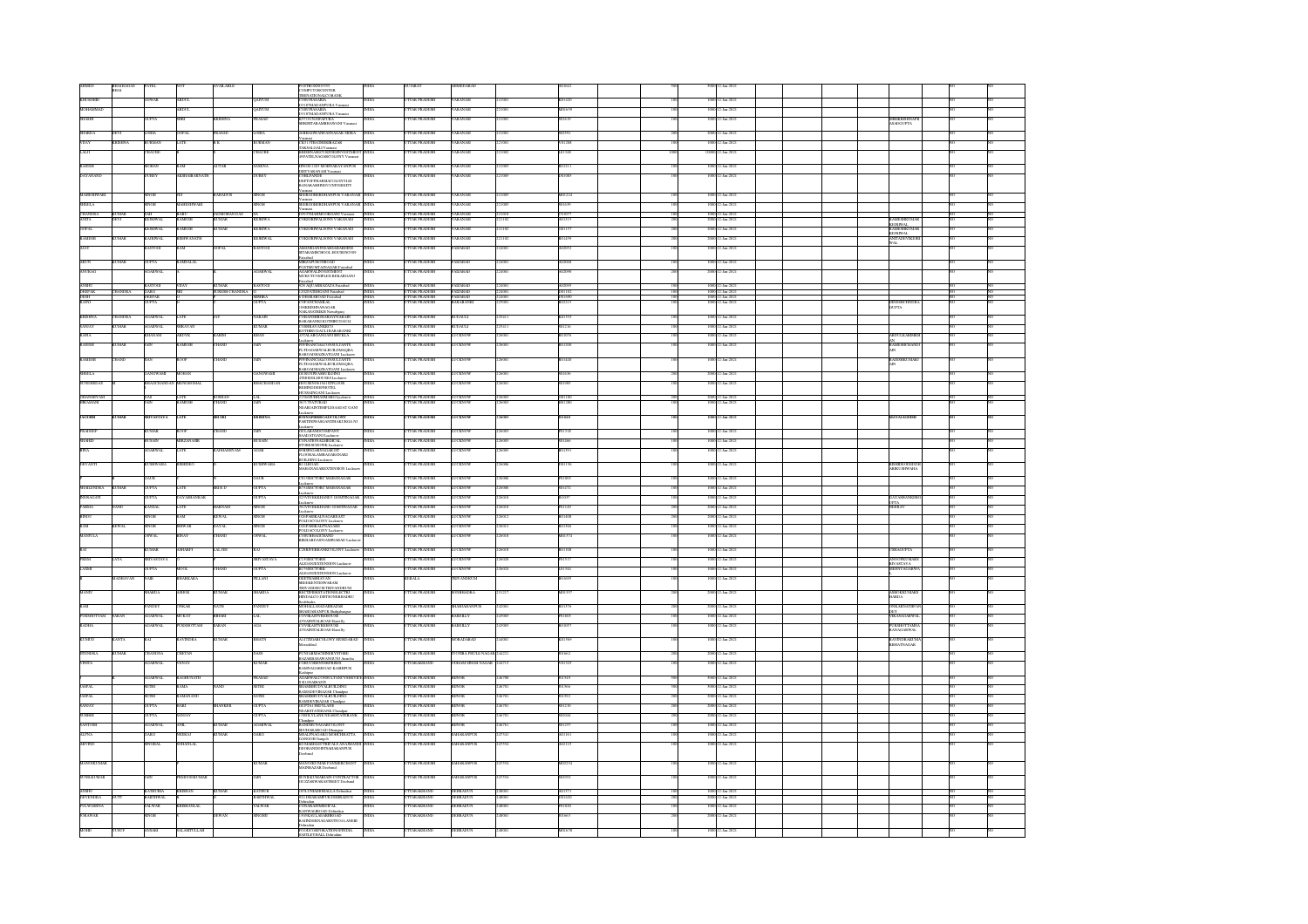|                       | HAI BAGA       |                |                         |                         |                  | <b>?OSTBOXNO3555</b><br>COMPUTORCENTER                                                                                          |              | <b>ARA</b>                     | MEDABA                |      |             |  |        |                                      |  |                                           |  |  |
|-----------------------|----------------|----------------|-------------------------|-------------------------|------------------|---------------------------------------------------------------------------------------------------------------------------------|--------------|--------------------------------|-----------------------|------|-------------|--|--------|--------------------------------------|--|-------------------------------------------|--|--|
|                       |                |                |                         |                         |                  | <b>JENATIONALCOBANK</b><br>WIFLANARIA                                                                                           |              | <b>TAP PRADE</b>               |                       |      |             |  |        |                                      |  |                                           |  |  |
|                       |                |                | sput                    |                         | <b>AIYUM</b>     | 187MADANPURA Varanas                                                                                                            |              |                                | RANASI                |      |             |  |        |                                      |  |                                           |  |  |
|                       |                |                |                         |                         |                  | .0001 INDNN<br>03187MADANPURA Varanas<br>157191NAWAPURA                                                                         |              | <b>TAR PRADESE</b>             |                       |      |             |  |        | J <sub>202</sub>                     |  |                                           |  |  |
|                       |                |                |                         |                         |                  | <b>HRISITARAMBHAWANI Varansi</b>                                                                                                |              | <b>TAR PRADESH</b>             | <b><i>VRANASI</i></b> |      |             |  |        | $tan-202$                            |  | SHRIKRISHNAF<br>ASADGUPTA                 |  |  |
|                       |                |                | DPAL                    |                         |                  | <b>BHAGWANDASNAGAR SKIRA</b>                                                                                                    |              | <b>TAR PRADESH</b>             | ARANASI               |      |             |  |        | 2-Jan-202                            |  |                                           |  |  |
|                       |                | $\overline{u}$ |                         |                         |                  | irindi<br>KSI STHATHERIBAZAR                                                                                                    |              | <b>AR PRADESE</b>              | <b>RANAS</b>          |      |             |  |        | J <sub>20</sub>                      |  |                                           |  |  |
| AI                    |                | HAUBE          |                         |                         | HAUBE            | AS COMMALI Vararasi<br>FAKSALGALI Vararasi<br>KRISHNASECURITIESINVESTMEN                                                        |              | <b>TAR PRADESH</b>             | <b>ARANASI</b>        |      | 1348        |  |        | $\frac{1}{2}$ an-2021                |  |                                           |  |  |
|                       |                |                |                         |                         |                  | PPATELNAGARCOLONY Varanasi                                                                                                      |              |                                |                       |      |             |  |        |                                      |  |                                           |  |  |
| <b>NESH</b>           |                | MOHAN          |                         |                         | <b>UCENA</b>     | <b>GOS11203 MOHNARAYANPUR</b>                                                                                                   |              | <b>TAR PRADESH</b>             | ARANASI               |      | )1211       |  |        | 1000 12-Jan-2021                     |  |                                           |  |  |
| <b>YANANI</b>         |                | <b>BEY</b>     |                         |                         |                  | DISTVARANASI Varanssi                                                                                                           |              | <b>TAR PRADESE</b>             | <b>EANASI</b>         |      |             |  |        | $tan-202$                            |  |                                           |  |  |
|                       |                |                |                         |                         |                  | COBLPANDE<br>DEPTOFPHARMACOLONYLM<br>BANARASHINDUUNIVERSITY                                                                     |              |                                |                       |      |             |  |        |                                      |  |                                           |  |  |
| <b>MAHESHWARI</b>     |                | <b>SINGH</b>   |                         | HADUR                   | NGH              | 'atmei<br>EERGOBERDHANPUR VARANASI                                                                                              | <b>NDIA</b>  | <b>TTAR PRADESH</b>            | ARANASI               |      | 801224      |  |        | 1000 12-Jan-2021                     |  |                                           |  |  |
| <b>SHEELA</b>         |                | <b>SINGH</b>   | <b>IAHESHWARI</b>       |                         | <b>INGH</b>      | <i>firmi</i><br>JEEROOBERDHANPUR VARANASI                                                                                       | <b>INDIA</b> | <b>TAR PRADESH</b>             | ARANASI               |      | 01636       |  |        | 1000 12-Jan-2021                     |  |                                           |  |  |
|                       |                |                |                         | <b>IOHAN DAY</b>        |                  | Catanasi<br>1993 TMAHMOORGANI Vatanasi<br>TOKEJRIWALSONS VARANASI                                                               |              | <b>TAR PRADESE</b>             | ARANASI               |      |             |  |        |                                      |  |                                           |  |  |
| CHANDRA<br>ANITA      | DEVI           | KEJRIWAL       | WESE                    | UMAR                    | EJRIWA           |                                                                                                                                 | <b>INDIA</b> | <b>TTAR PRADESE</b>            | ARANASI               | 1100 | 11315       |  |        | 1000 12-Jan-2021<br>2000 12-Jan-2021 |  | RAMESHKUMA                                |  |  |
| SOPAL                 |                | <b>EJRIWAL</b> | ABOVE                   |                         |                  | <b>DKEJRIWALSONS VARANASI</b>                                                                                                   |              | <b>TAR PRADESE</b>             | ARANAS                |      |             |  | 2000   | 2-Jan-202                            |  | KEJRIWAL<br>RAMESHKUMA                    |  |  |
| AMESH                 | MAR            | A IR TWAL      | <b>HWANATH</b>          |                         | <b>FIRIWAL</b>   | OKEIRIWAI SONS VAR ANASI                                                                                                        | <b>INDIA</b> | <b>TTAR PRADESH</b>            | AR ANAST              |      | .<br>11.str |  |        | 2000 12-Jan-2021                     |  | KEJRIWAL<br>ANITADEVIKEJI                 |  |  |
| <b>ATAV</b>           |                | <b>STOGE</b>   | $\overline{\mathbf{u}}$ |                         | <b>ASTOGE</b>    | MANIGANJNEARSAHABDINE                                                                                                           |              | <b>TTAR PRADESH</b>            | <b>AIZABAD</b>        |      |             |  | 1000   | 2-Jan-2021                           |  |                                           |  |  |
|                       |                |                |                         |                         |                  | SITARAMSCHOOL HOUSENO309                                                                                                        |              |                                |                       |      |             |  |        |                                      |  |                                           |  |  |
|                       |                | <b>IUPTA</b>   | SALAL                   |                         |                  |                                                                                                                                 |              | <b>TAR PRADES</b>              | IZABAI                |      |             |  |        | $3m-202$                             |  |                                           |  |  |
| ANURAG                |                | <b>JARWAL</b>  |                         |                         |                  | Arabad<br><b>GIRZAPURONROAD</b><br>AOSTMUMTAJNAGAR Faizabad<br>AGARWALINVESTMENT<br>AGARWALINVESTMENT<br>MUKUTCOMPLEX REKABGANI |              | <b>TAR PRADESE</b>             | <b>17ARAF</b>         |      |             |  |        | J <sub>202</sub>                     |  |                                           |  |  |
|                       |                | STOGE          |                         |                         |                  |                                                                                                                                 |              |                                |                       |      |             |  |        |                                      |  |                                           |  |  |
| DEEPAK                | <b>CHANDRA</b> |                |                         | KUMAR<br>SURESH CHANDRA | <b>ASTOGI</b>    | uizabad<br>28 AQUABBAZAZA Faizabad<br>202FATEHGANJ Faizabad                                                                     |              | UTTAR PRADESH<br>UTTAR PRADESH | AIZABAD<br>AIZABAD    |      | 301102      |  |        | -Jan-2021<br>-Jan-2021               |  |                                           |  |  |
|                       |                |                |                         |                         |                  |                                                                                                                                 |              | TAR PRADES<br>TAR PRADES       |                       |      |             |  |        |                                      |  |                                           |  |  |
|                       |                |                |                         |                         |                  |                                                                                                                                 |              |                                |                       |      |             |  |        |                                      |  | DINESHCH!<br>GUPTA                        |  |  |
| <b>TGHN</b>           | <b>ANDRA</b>   | <b>ARWAL</b>   |                         |                         | <b>ARAD</b>      | : DHARAROAD Faizabad<br>20PANCHAMLAL<br>03KRISHNANAGAR<br>JAKASATRIKH Nawabgar<br>20BANSHIDHARJAYNA                             |              | <b>TAR PRADESE</b>             | UDAULI                |      |             |  |        |                                      |  |                                           |  |  |
| ANJAY                 | KUMAR          | GARWAL.        | HRAVAN                  |                         | <b>CUMAR</b>     | BARABANKI KOTHIRUDAULI<br>COSHRAVANKRCO                                                                                         | NDIA         | <b>TTAR PRADESH</b>            | RUDAULI               |      | 121         |  |        | 1000 12-Jan-2021                     |  |                                           |  |  |
|                       |                |                |                         |                         |                  | OTHIRUDAULI BARABANKI<br>STALABGANGANI SHUKLA                                                                                   |              | <b>TAR PRADES</b>              | <b>CKNON</b>          |      |             |  |        |                                      |  |                                           |  |  |
| 1001                  |                |                |                         |                         |                  |                                                                                                                                 |              | <b>AR PRADES</b>               | CKNOV                 |      |             |  |        |                                      |  | .<br>AMESH                                |  |  |
|                       |                |                |                         |                         |                  | Lucknow<br>PPFINANCIALCONSULTANTS<br>PLTDAGARWALBUILDMAQBA<br>RAROADHAZRATGANJ Lucknow<br>PPFINANCIALCONSULTANTS                |              |                                |                       |      |             |  |        |                                      |  |                                           |  |  |
| <b>AMESH</b>          |                |                | <b>YOP</b>              |                         |                  | PLTDAGARWALBUILDMAQBA                                                                                                           |              | <b>TAR PRADESH</b>             | <b>ECKNOW</b>         |      |             |  |        | $tan-202$                            |  | RAJESHKIJMA                               |  |  |
| EELA                  |                |                |                         |                         |                  | RAROADHAZRATGANJ Luckeen<br>GURUNIWASBUILDING                                                                                   |              | <b>AR PRADES</b>               | CKNOV                 |      |             |  |        | J <sub>20</sub> 202                  |  |                                           |  |  |
|                       |                |                |                         |                         |                  |                                                                                                                                 |              |                                |                       |      |             |  |        |                                      |  |                                           |  |  |
| <b>NDERDA</b>         |                |                |                         |                         |                  | 4THODELHOUSES Lucknow<br>HOUSENO61041STFLOOR<br>BEHINDDEEPHOTEL<br>HUSSAINGANJ Lucknow<br>21566SUBHASMARG Luckno                |              | AR PRADES                      |                       |      |             |  |        | $an-202$                             |  |                                           |  |  |
|                       |                |                |                         |                         |                  |                                                                                                                                 |              |                                | CKNOV                 |      |             |  | 3000   |                                      |  |                                           |  |  |
| GHANSHYAM<br>HIRAMANI |                |                |                         |                         |                  | 16717FATUBAD<br>«EARJAINTEMPLESAADAT GANJ                                                                                       |              | ITAR PRADESE<br>ITAR PRADESE   | CKNOW                 |      |             |  |        |                                      |  |                                           |  |  |
| <b>AGDISH</b>         |                |                | <b>ATE</b>              |                         |                  |                                                                                                                                 |              | <b>TTAR PRADESH</b>            | UCKNOW                |      |             |  |        | 1000 12-Jan-2021                     |  | MAYAJAGDISH                               |  |  |
|                       | UMA            | RIVASTAVA      |                         |                         | RISHNA           | Lucknow<br>BSSNAPIERROADCOLONY<br>PARTINIWASGANITHAKURGA NJ                                                                     |              |                                |                       |      |             |  |        |                                      |  |                                           |  |  |
| RADEE                 |                | <b>TMAR</b>    |                         |                         |                  | idanye<br>ULABANDCOMPANY                                                                                                        |              | TAR PRADESE                    | <b>CKNOW</b>          |      |             |  |        | $tan-202$                            |  |                                           |  |  |
| <b>SHAHID</b>         |                | <b>TISAN</b>   | <b>SEPZANASIR</b>       |                         | <b>IUSAIN</b>    | <b>AADATGANI Lucknow</b><br>CONATIONALMEDICAL                                                                                   | .<br>NDIA    | <b>TTAR PRADESH</b>            | <b>ICKNOW</b>         |      | 1446        |  |        | 1000 12-Jan-2021                     |  |                                           |  |  |
|                       |                | <b>JARWAL</b>  | Œ                       | DHASHYAM                | GAR              | STORESCHOWK Luckny<br>89BSINGARNAGAR1ST                                                                                         | <b>TYLA</b>  | <b>TTAR PRADESH</b>            | UCKNOW                |      | 11301       |  | 1000   | 2-Jan-2021                           |  |                                           |  |  |
|                       |                |                |                         |                         |                  | HEADNANN MARIST<br>FLOORALAMBAGARANAKI<br>BULDING Luckrow<br>RULDING Luckrow                                                    |              |                                |                       |      |             |  |        |                                      |  |                                           |  |  |
|                       |                |                |                         |                         |                  | II ILROAD<br><mark>4AHANAGAREXTENSION</mark> Lucke                                                                              |              | AR PRADES                      |                       |      |             |  |        |                                      |  | RISHIDEODEDI<br>ARIKUSHWAHA               |  |  |
|                       |                |                |                         |                         | 计设               | <b>ISSECTORC MAHANAGAR</b>                                                                                                      |              | <b>TAR PRADESE</b>             | CKNOW                 |      |             |  |        | 300                                  |  |                                           |  |  |
|                       |                |                |                         |                         |                  |                                                                                                                                 |              |                                |                       |      |             |  |        |                                      |  |                                           |  |  |
| HAILENDRA             | MA             | <b>JUPTA</b>   | νīΈ                     | RI R D                  | <b>SUPTA</b>     | ncknow<br>3734SECTORC MAHANAGAR<br>acknow<br>25VIVEKKHAND3<br>GOMTINAC                                                          |              | <b>TAR PRADESH</b>             | UCKNOW                |      |             |  |        | J <sub>20</sub> 202                  |  |                                           |  |  |
| DRAGATI               |                | UPTA           |                         |                         | <b>RIPTA</b>     |                                                                                                                                 |              | AR PRADESE                     | CKNOW                 |      |             |  |        | Jan-2021                             |  |                                           |  |  |
|                       |                |                |                         |                         |                  |                                                                                                                                 |              | <b>IP PRADES</b>               | rion                  |      |             |  |        |                                      |  |                                           |  |  |
| <b>MN1</b>            |                | <b>ENGH</b>    | M                       | <b>KEWAL</b>            | <b>SINGH</b>     | acknow<br>126PARIKALNAGAREAST                                                                                                   | <b>INDIA</b> | <b>TAR PRADESH</b>             | <b>LICKNOW</b>        |      | 01408       |  |        | 2000 12-Jan-2021                     |  |                                           |  |  |
|                       | KEWAL.         | SINGH          | .<br>Shwar              | <b>AYAL</b>             | <b>SINGH</b>     | YOLDACOLONY Lucknor<br>026PARIKALPNAGARE                                                                                        | NDIA         | <b>TAR PRADESH</b>             | UCKNOW                |      | 01366       |  |        | 1000 12-Jan-2021                     |  |                                           |  |  |
|                       |                | w.<br>N        |                         |                         |                  | POLD/ACOLONY Lucknow<br>COSUBHAGCHAND<br>RIKHABDASSGAMINABAD Luck                                                               |              | AR PRADE                       |                       |      |             |  |        |                                      |  |                                           |  |  |
|                       |                | <b>CUMAR</b>   | HARFI                   | <b>LJEE</b>             |                  | 28RIVERBANKCOLONY Lucke                                                                                                         |              | <b>TAR PRADESE</b>             | <b>ECKNOW</b>         |      | 108         |  |        | $tan-202$                            |  | <b>AGUPTA</b>                             |  |  |
|                       |                |                |                         |                         |                  | 130SECTORH                                                                                                                      |              |                                |                       |      |             |  |        |                                      |  |                                           |  |  |
|                       |                | INASTAVA       |                         |                         | <b>RIVASTAVA</b> | <b>M.IGANJEXTENSION Luckno</b><br>3176SECTORK                                                                                   |              | <b>TAR PRADESH</b>             | <b>ECKNOW</b>         |      |             |  |        | $\frac{1}{2}$ an-2021                |  | <b>WOOPKUMAR</b><br>IVASTAVA<br>EENUAGARV |  |  |
|                       |                | .<br>PTA       |                         |                         |                  |                                                                                                                                 |              | AR PRADESE                     | <b>CKNON</b>          |      |             |  |        | J <sub>202</sub>                     |  |                                           |  |  |
|                       |                |                |                         |                         |                  | B176SECTORK<br>ALIGANIEXTENSION Lucknon<br>GEETHABHAVAN<br>SREEKENTESWARAM<br>TRIVANDRUM TRIVANDRUM<br>RECTIFIERSTATIONELECTRI  |              |                                |                       |      |             |  |        |                                      |  |                                           |  |  |
|                       |                | <b>ARDA</b>    | m                       |                         |                  |                                                                                                                                 |              | <b>TAR PRADESH</b>             | BHADRA                |      |             |  |        |                                      |  | <b>SHOKKUM</b>                            |  |  |
|                       |                |                |                         |                         |                  | HINDALCO DISTSONEBHADRU                                                                                                         |              |                                |                       |      |             |  |        |                                      |  | Amazon<br>HARDA                           |  |  |
|                       |                | .<br>NDE Y     | KAS                     |                         |                  | konbbaalea<br>MOHALLASADARBAZAR                                                                                                 |              | <b>AR PRADES</b>               |                       |      |             |  |        | $Jan-202$                            |  | ONKARNA<br>DEY                            |  |  |
|                       |                | <b>JRWA</b>    |                         |                         |                  | HAHJAHANPUR Shahjahar<br>YOVIKASTYREHOUSE                                                                                       |              | <b>TAR PRADE</b>               |                       |      |             |  |        |                                      |  |                                           |  |  |
| ABRA                  |                | <b>GARWAI</b>  | <b>IRSHOTTAM</b>        | ADAN                    |                  | OVIKASTYREHOUSE<br>SNAINITALROAD Bareilb<br>OVIKASTYREHOUSE                                                                     |              | <b>TTAR PRADESH</b>            | AREILY                |      |             |  |        | 2-Jan-2021                           |  | <b>PEIRSHOTTAM</b>                        |  |  |
|                       |                |                |                         |                         |                  | 3NAINITALROAD Barcilly                                                                                                          |              |                                |                       |      |             |  |        |                                      |  | <b>RANAGARWAL</b>                         |  |  |
| CUMUD                 | ANTA           |                | VINDRA                  |                         | ИP               | A147ZIGARCOLONY MURDABAD<br>bradabad                                                                                            |              | <b>TAR PRADESH</b>             | <b>IORADABAD</b>      |      |             |  |        | J <sub>202</sub>                     |  | RAVINDRAKUM<br><b>BHATNAGAR</b>           |  |  |
| ENDRA                 |                | <b>ANDNA</b>   | <b>JETAN</b>            |                         |                  | <b>NTABMACURERVETORE</b>                                                                                                        |              | <b>TAR PRADESE</b>             | TRA PHI II F          |      |             |  |        |                                      |  |                                           |  |  |
| <b>INTA</b>           |                | <b>ARWAL</b>   | :<br>WAN                |                         | <b>MAR</b>       | AZARBASAWANGUNI Amrob<br>ORUCHIENTERPRISES                                                                                      |              | TARAKHANI                      | <b>HAM SINGH</b>      |      |             |  |        | $tan-202$                            |  |                                           |  |  |
|                       |                |                |                         |                         |                  | <b>AMNAGARROAD KASHIPUR</b>                                                                                                     |              |                                |                       |      |             |  |        |                                      |  |                                           |  |  |
|                       |                | GARWAL.        | <b>AGHUNATH</b>         |                         | <b>PRASAD</b>    | Gobiene<br>AGARWALCONSULTANCY SERVICE                                                                                           |              | <b>TAR PRADESH</b>             | INOR                  |      |             |  |        | 5000 12-Jan-2021                     |  |                                           |  |  |
|                       |                |                |                         |                         |                  | S B 14NAIBASTI<br>SHAMBHUDYALBUILDING<br>RAMADEVIBAZAR Chardeu<br>SHAMBHUDYALBUILDING                                           |              | AR PRAD                        |                       |      |             |  |        |                                      |  |                                           |  |  |
| <b>ASPAL</b>          |                | .<br>नामा      |                         |                         | $\overline{m}$   |                                                                                                                                 |              | <b>TAR PRADESE</b>             | <b>NOR</b>            |      |             |  |        | 100                                  |  |                                           |  |  |
| .<br>ANJAY            |                | <b>SUPTA</b>   | A RI                    |                         | <b>JUPTA</b>     | <b>LAMDEVIBAZAR Chandpar</b><br>JUPTAI 3HDYLANE                                                                                 | <b>NDIA</b>  | <b>TTAR PRADESH</b>            | <b>SUNOR</b>          |      |             |  |        | 2000 12-Jan-2021                     |  |                                           |  |  |
| URBHI                 |                | <b>SUPTA</b>   | NJA'                    |                         | <b>SUPTA</b>     | NEARSTATEBANK Chindrie<br>13HOLYLANE NEARSTATEBANK                                                                              | NDIA         | <b>TAR PRADESE</b>             | <b>IINOR</b>          |      |             |  |        | 2000 12-Jan-2021                     |  |                                           |  |  |
|                       |                | <b>TARWAL</b>  |                         |                         | <b>APWA</b>      | handpar<br>IANDHUNAGARCOLONY                                                                                                    |              | <b>TAR PRADES</b>              | $rac{1}{\sqrt{2}}$    |      |             |  | 1000   | $3m-202$                             |  |                                           |  |  |
| <b>AT PNA</b>         |                | 1480           | <b>SEERAL</b>           | MAR                     | 1480             | EUHARAROAD Dhampar<br>ASALPNAGARG MOHCHHATTA                                                                                    | <b>INDIA</b> | <b>TTAR PRADESH</b>            | AHAR ANPER            |      | 01161       |  |        | 1000 12-Jan-2021                     |  |                                           |  |  |
| ARVIND                |                |                | <b>HANLAL</b>           |                         |                  | <b>IANGOH Gangoh<br/>CUMARELECTRICALS ANAJMANE</b>                                                                              |              | <b>TAR PRADESH</b>             | <b>AHARANPUR</b>      |      |             |  |        | Im 202                               |  |                                           |  |  |
|                       |                | <b>GHAI</b>    |                         |                         |                  | <b>DEOBANDDISTSAHARANPUR</b>                                                                                                    |              |                                |                       |      | 2123        |  |        |                                      |  |                                           |  |  |
|                       |                |                |                         |                         |                  | <b>kuband</b>                                                                                                                   |              |                                |                       |      |             |  |        |                                      |  |                                           |  |  |
| NOJKU                 |                |                |                         |                         |                  | ANOJKUMAR PANM<br>AINBAZAR Deebund                                                                                              |              | <b>TAR PRADESE</b>             | <b>LARANPUR</b>       |      |             |  |        | J <sub>202</sub>                     |  |                                           |  |  |
| <b>SUNILKUMAR</b>     |                |                | <b>MOODKUMAR</b>        |                         |                  |                                                                                                                                 |              | <b>TAR PRADESH</b>             | <b>SHARANPITR</b>     |      |             |  |        | $Jan-202$                            |  |                                           |  |  |
|                       |                |                |                         |                         |                  | UNILKUMARJAIN CONTRACTOR<br>JUZZARWARASTREET Deebard                                                                            |              |                                |                       |      |             |  |        |                                      |  |                                           |  |  |
| ANSHL                 |                | KATHURIA       | KRISHAN                 | <b>KUMAF</b>            | <b>KATHUR</b>    | <b>ISSLUNIAMOHALLA Debradar</b>                                                                                                 |              | UTTARAKHAN                     | <b>HRADUN</b>         |      |             |  | 000 12 |                                      |  |                                           |  |  |
| EVENDRA               |                | <b>ARTHWAL</b> |                         |                         | ARTHWAL          | <b>4 DHARAMPUR DEHRADUN</b><br>khradan<br>YONARAINMEDICAL                                                                       | <b>NDLA</b>  | <b>ITARAKHANE</b>              | EHRADUN               |      |             |  |        | 2000 12-Jan-2021                     |  |                                           |  |  |
| FULWASHNA             |                | <b>TALWAR</b>  | HANLAL                  |                         | FALWAR           |                                                                                                                                 |              | TARAKHAND                      | <b>IRADUN</b>         |      |             |  |        | $3m-202$                             |  |                                           |  |  |
| <b>CO AWAD</b>        |                |                |                         |                         |                  | CANWALIROAD Debradan<br>1305 KAULAEARHROAD<br>RAIINDERNAGARSTNO4 LANEIII                                                        |              | <b>TAD AVE</b>                 |                       |      |             |  |        |                                      |  |                                           |  |  |
|                       |                | <b>ISARI</b>   |                         |                         |                  | khradan<br>OODCORPORATIONOFINDIA                                                                                                |              |                                |                       |      |             |  |        |                                      |  |                                           |  |  |
| MOHD                  | YUSUE          |                |                         |                         |                  | <b>EASTLEVHALL De</b>                                                                                                           |              |                                |                       |      |             |  |        |                                      |  |                                           |  |  |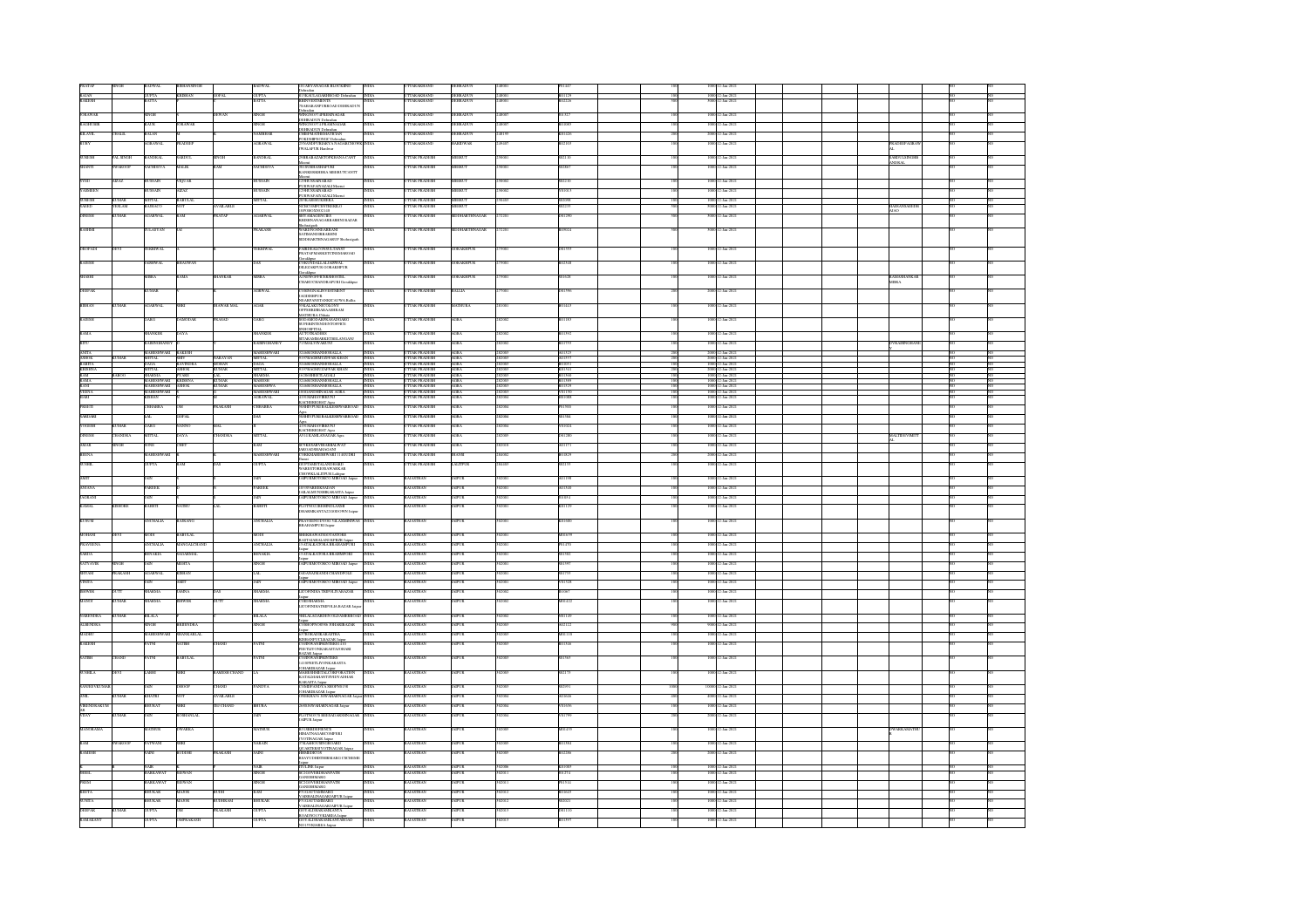| RATAI                   |               | <b>ADWAL</b>                  | ANSINGH              |                   | <b>SADWAL</b>            | <b>SIARYANAGAR BLOCKIIND</b>                                                                 | INDIA                        | <b>TTARAKHAND</b>                                      | EHRADUN              |          |      | 1000 12-Jan-2021                                                             |  |                       |  |  |
|-------------------------|---------------|-------------------------------|----------------------|-------------------|--------------------------|----------------------------------------------------------------------------------------------|------------------------------|--------------------------------------------------------|----------------------|----------|------|------------------------------------------------------------------------------|--|-----------------------|--|--|
|                         |               |                               |                      |                   | UPTA                     | radun<br>KAULAGARHRO                                                                         |                              | TAR AKHAN                                              | HRADIT               |          |      |                                                                              |  |                       |  |  |
| WESH                    |               | ATTA                          |                      |                   | <b>ATTA</b>              | RBINVESTMENTS<br>ISAHARANPURROAD DEHRADUN                                                    | ïЫА                          | TTARAKHAND                                             | EHRADUN              |          |      | J <sub>202</sub>                                                             |  |                       |  |  |
| ORAWAR                  |               |                               |                      |                   |                          | <b>STEPPEMNAGAL</b>                                                                          |                              | TARAKHANI                                              |                      |          |      |                                                                              |  |                       |  |  |
|                         |               |                               |                      |                   | $\overline{X}$           | (INGNU) 194 p.m.;<br>XEHRADUN Debradan<br>*******0374 PRAMNAGAR                              |                              |                                                        | <b>FHRADIN</b>       |          |      |                                                                              |  |                       |  |  |
| RAGHUBIR                |               | AUR <sup>1</sup>              | <b>RAWAS</b>         |                   |                          | EHRADUN Debradan<br>HEFMATHEMATICIAN                                                         | <b>NDIA</b>                  | TTARAKHANI                                             |                      |          |      | $tan-202$                                                                    |  |                       |  |  |
| KILAYIL.                | <b>ATT</b>    | <b>ALAN</b>                   |                      |                   | WIBHAR                   |                                                                                              | NDIA                         | TTARAKHAND                                             | EHRADUN              |          | 2000 | $J20$ -2021                                                                  |  |                       |  |  |
| <b>RUBY</b>             |               | <b>GRAWAL</b>                 | RADEEF               |                   | <b>GRAWAL</b>            | <b>POKDMIPEONGC Debradan<br/>2SNANDPURIARYA NAGARCHOWK INDIA</b><br>WALAPUR Hardwar          |                              | TTARAKHAND                                             | <b>IARDWAS</b>       |          |      | $Jan-202$                                                                    |  | RADEEPAGR)            |  |  |
|                         |               |                               |                      |                   |                          |                                                                                              |                              |                                                        |                      |          |      |                                                                              |  |                       |  |  |
| <b>SURESH</b>           | AL SINGH      | <b>ANDRAL</b>                 | <b>ARDUI</b>         |                   | DRAI                     | 9BRABAZARTOPKHANA.CANT                                                                       | <b>INDIA</b>                 | <b>TTAR PRADESH</b>                                    | <b>EERUT</b>         |          |      | 2-Jan-202                                                                    |  | ARDULSING<br>NDRAL    |  |  |
| <b>SHANTI</b>           |               | <b>CHDEV</b>                  | .<br>ALIK            |                   | <b>UINEV</b>             | Meerut<br>101SUBHASHAPURI<br>CANKERKHERA MEERUTCANTT                                         |                              | <b>TAR PRADES</b>                                      | CCDIT                |          |      |                                                                              |  |                       |  |  |
| <b>SYED</b>             | JZAZ.         | <b>IUSSAIN</b>                | <b>VIOUAR</b>        |                   | <b>HUSSAIN</b>           | <b>deept</b><br>29HUSSAINABAD                                                                | <b>INDIA</b>                 | <b>UTTAR PRADESH</b>                                   | MEERUT               |          |      | 1000 12-Jan-2021                                                             |  |                       |  |  |
|                         |               |                               |                      |                   |                          | URWAFAIYAZALI Meen<br>29HUSSAINABAD                                                          |                              |                                                        |                      |          |      |                                                                              |  |                       |  |  |
| <b>ASMEEN</b>           |               | <b>LISSAIN</b>                | <b>17AZ</b>          |                   | USSAIN                   |                                                                                              | <b>INDIA</b>                 | <b>TTAR PRADESH</b>                                    | EERUT                |          |      | 1000 12-Jan-2021                                                             |  |                       |  |  |
| SURESH<br><b>AEED</b>   | MAR<br>MAS:   | <b>ATTAL</b><br><b>AJHACO</b> | <b>BABULAL</b><br>юT | ALABLE            | MITTAL.                  | URWAFAIYAZALI Meerut<br>85KASERUKHERA<br><b>NCBCOMPCENTREKILO</b>                            | <b>INDIA</b><br><b>INDIA</b> | <b>UTTAR PRADESH</b><br><b>UTTAR PRADESH</b>           | MEERUT<br>MEERUT     | 2233     |      | 1000 12-Jan-2021<br>5000 12-Jan-2021                                         |  | <b>ASSANSAFED</b>     |  |  |
| <b>INESH</b>            |               | GARWAL.                       |                      |                   |                          | 0POBOXNO2148<br>HYAMAGENCIES                                                                 |                              | <b>TTAR PRADESH</b>                                    |                      |          |      |                                                                              |  |                       |  |  |
|                         | MAR           |                               |                      | :ATAP             | GARWAL                   | 11ABBAGENCIES<br>RISHNANAGARBARHNI BAZAR                                                     | NDIA                         |                                                        | <b>IDDHARTHNAGAR</b> | 1290     | 3000 | 2-Jan-2021                                                                   |  |                       |  |  |
| $54M$                   |               | LASY                          |                      |                   |                          | åratearh<br>RDNOSNEARRANI                                                                    |                              | <b>TAR PRADESE</b>                                     |                      |          |      |                                                                              |  |                       |  |  |
|                         |               |                               |                      |                   |                          | ARLINGSNEARKANI<br>ATIMANDIRBARHNI<br>DDHARTHNAGARUP Shohri                                  |                              |                                                        |                      |          |      |                                                                              |  |                       |  |  |
|                         |               |                               |                      |                   |                          | AIRDEALCONSULTANST                                                                           |                              |                                                        |                      |          |      |                                                                              |  |                       |  |  |
| <b>ROPADI</b>           |               | <b>EKRIWAL</b>                |                      |                   | EKRIWAL                  | <b>PRATAPMARKETCINEMAROAD</b>                                                                |                              | <b>TTAR PRADESH</b>                                    | <b>GRAKHPUR</b>      |          |      | J <sub>20</sub> 202                                                          |  |                       |  |  |
| <b>AJESH</b>            |               | <b>ASHWAL</b>                 | <b>LAGWAN</b>        |                   |                          | <b>SOLID SORRETCERESSING</b><br>COKUNDALLALIAISWAL<br>DILEZAKPUR GORAKHPUR                   | <b>IDLA</b>                  | <b>TTAR PRADESH</b>                                    | <b>JORAKHPUR</b>     |          |      | J <sub>202</sub>                                                             |  |                       |  |  |
|                         |               |                               |                      |                   |                          |                                                                                              |                              |                                                        |                      |          |      |                                                                              |  |                       |  |  |
|                         |               |                               |                      |                   |                          | lorakhpur<br>LINEWOFFICERSHOSTEL<br>"HARUCHANDRAPURI Gorakhpur                               |                              | AR PRADESE                                             |                      |          |      |                                                                              |  |                       |  |  |
|                         |               |                               |                      |                   |                          |                                                                                              |                              |                                                        |                      |          |      |                                                                              |  | <b>JANAS</b><br>IISRA |  |  |
| DEEPAK                  |               | <b>TMAR</b>                   |                      |                   | <b>KORWAL</b>            | OSINGNALINVESTMENT<br><b>AGDISHPUR</b>                                                       | <b>NDIA</b>                  | <b>TTAR PRADESH</b>                                    | <b>ALLA</b>          |          |      | $\frac{1}{2}$ an-2021                                                        |  |                       |  |  |
| ISHAN                   | <b>LMAR</b>   | GARWAL.                       |                      | <b>IAWAR MAL</b>  | GAR                      | AGOSHITUR<br>EARPANETANKICAUWA Ballia<br>SKALAKUNJCOLONY<br>JPPSHRIJIBABAASHRAM              | NDIA                         | <b>TTAR PRADESH</b>                                    | <b>IATHURA</b>       |          |      | $3an - 2021$                                                                 |  |                       |  |  |
|                         |               |                               |                      |                   |                          |                                                                                              |                              |                                                        |                      |          |      |                                                                              |  |                       |  |  |
| <b>AIFSH</b>            |               |                               | MODAR                | ÷.                |                          | <b>VIHURA Chhata<br/>DAMODARPRASADGARG</b>                                                   |                              | <b>TAR PRADESH</b>                                     | ura                  |          |      |                                                                              |  |                       |  |  |
|                         |               |                               |                      |                   |                          | <b>PERINTENDENTOFFICE</b><br>HOSPITAL<br>"TOTRADERS"                                         |                              |                                                        |                      |          |      |                                                                              |  |                       |  |  |
| $\overline{\mathbf{M}}$ |               | <b>ANKER</b>                  | a Va                 |                   | WKFR                     |                                                                                              |                              | <b>TAR PRADES</b>                                      | <b>GRA</b>           |          |      |                                                                              |  |                       |  |  |
|                         |               | AISINGHAN                     |                      |                   | <b>AISINGHANE?</b>       | STARAMMARKETBELANGANI<br>! I 3MALVIYAKUNI                                                    | NDIA                         | <b>TTAR PRADESH</b>                                    | <b>GRA</b>           |          |      | 1000 12-Jan-2021                                                             |  |                       |  |  |
|                         |               | ESHWARI RAKESE                |                      |                   | <b>IESHWAI</b>           | 3246ROSHANMOHALLA<br>9197BAGHMUZFFAR KHAN                                                    |                              | <b>UTTAR PRADES</b>                                    | <b>AGRA</b>          |          |      |                                                                              |  |                       |  |  |
| SHOK                    | <b>LMAR</b>   | MITAL.                        | НW                   | arayan            | MITTAL.                  |                                                                                              | <b>INDIA</b>                 | <b>UTTAR PRADESH</b>                                   | AGRA                 | mse      |      | 2000 12-Jan-2021<br>2000 12-Jan-2021<br>1000 12-Jan-2021<br>2000 12-Jan-2021 |  |                       |  |  |
|                         |               |                               | AVINDR<br>SHOK       | KRIAN<br>UMAR     |                          | HEROSHANMOHALLA<br>FROSHANMOHALLA<br>FRAGMUZAFFAR KHA                                        |                              | UTTAR PRADES                                           |                      |          |      |                                                                              |  |                       |  |  |
| AMA                     | <b>VBOO</b>   | HARMA<br>AHESHWARI KRISHNA    | PYARE                | <b>KUMAR</b>      | <b>SHARMA</b><br>MAHESH  | 3286SHEETLAGALI<br><b>46ROSHANMOHALLA</b>                                                    | <b>INDIA</b><br><b>INDIA</b> | <b>UTTAR PRADESH</b><br><b>UTTAR PRADESH</b>           | <b>AGRA</b><br>AGRA  | 1389     |      | 1000 12-Jan-202                                                              |  |                       |  |  |
| $\overline{1}$          |               | AHESHWART ASHOK               |                      | <b>KTMAR</b>      | <b>MAHESHWA</b>          | <b><i>JEROSHANMOHALLA</i></b>                                                                | <b>INDIA</b>                 | <b>ITTAR PRADESH</b>                                   | <b>AGRA</b>          | nisor    |      | 1000 12-Jun-2021<br>1000 12-Jun-2021                                         |  |                       |  |  |
| AR.                     |               |                               |                      |                   | HESHWAI<br><b>GRAWAL</b> | <b>JANDHINAGAR AGR.</b><br>MAHAVIRKUNJ                                                       | ФIА                          | <b>UTTAR PRADES!</b><br>UTTAR PRADES!<br>UTTAR PRADES! | AGRA<br>AGRA         |          |      | 1000 12-Jan-2021<br>1000 12-Jan-2021                                         |  |                       |  |  |
|                         |               | 11001                         |                      |                   | <b>ALAND</b>             | <b>LACHERIGHAT Agri<br/>OSHIVPURI BALKESH</b>                                                |                              |                                                        |                      |          |      | $\frac{1}{2}$ Jan-20 <sup>2</sup>                                            |  |                       |  |  |
| <b>REFT</b>             |               |                               |                      |                   |                          |                                                                                              |                              | <b>TTAR PRADES</b>                                     | <b>GRA</b>           |          |      |                                                                              |  |                       |  |  |
| <b>APDART</b>           |               |                               | <b>CIPAT</b>         |                   |                          | gra<br>OSHIVPURI BALKESHWARROAD                                                              | <b>INDIA</b>                 | <b>TTAR PRADESH</b>                                    | <b>AGRA</b>          |          |      | 1000 12-Jan-2021                                                             |  |                       |  |  |
| <b>OGESH</b>            | MAR           | <b>ARG</b>                    | ANNO                 |                   |                          | a<br>HMAHAVIRKUNJ                                                                            | <b>NDIA</b>                  | UTTAR PRADESH                                          | <b>AGRA</b>          | $\omega$ |      | 1000 12-Jan-2021                                                             |  |                       |  |  |
| <b>INESH</b>            | <b>IANDRA</b> | <b>MITAL</b>                  | WYA                  | HANDRA            | <b>MITTAL</b>            | ACHERIGHAT Agri<br>514 KAMLANAGAR Agri                                                       | <b>INDIA</b>                 | <b>TTAR PRADESH</b>                                    | <b>AGRA</b>          | 1230     |      | 1000 12-Jan-2021                                                             |  | <b>ALTIDEVIMI</b>     |  |  |
| MAR                     | GH            | NE                            | HET                  |                   | <b>EAM</b>               | <b>C9KESARVIHARIIALWAT</b>                                                                   | INDIA                        | <b>TTAR PRADESH</b>                                    | <b>GRA</b>           | 01171    |      | 1000 12-Jan-2021                                                             |  |                       |  |  |
| ŦМ                      |               |                               |                      |                   |                          | ROADSHAHAGANI<br>DRKMAHESHWARI 114GUDI                                                       |                              | <b>TAR PRADES</b>                                      |                      |          | 2000 | J <sub>20</sub> 202                                                          |  |                       |  |  |
| <b>ISHIL</b>            |               | <b>IPTA</b>                   |                      |                   | PTA                      |                                                                                              |                              | <b>TAR PRADESE</b>                                     | ALITPUI              |          |      | J <sub>202</sub>                                                             |  |                       |  |  |
|                         |               |                               |                      |                   |                          | Aimi<br>JUPTAMETALANDHARD<br>WARESTORESSAWARKAR                                              |                              |                                                        |                      |          |      |                                                                              |  |                       |  |  |
|                         |               |                               |                      |                   |                          | HOWKLALITPUR Lalitpur<br>AIPURMOTORCO MIROAD                                                 |                              | <b>IASTHAN</b>                                         | <b>UPUR</b>          |          |      | $Jan-202$                                                                    |  |                       |  |  |
| .<br>Wana               |               | <b>AREEK</b>                  |                      |                   | <b>WEEK</b>              | 333PAREEKSADAN                                                                               | <b>IDLA</b>                  | <b>NASTHAN</b>                                         | APUR                 |          |      | 2-Jan-2021                                                                   |  |                       |  |  |
| AGRANI                  |               |                               |                      |                   |                          | AILALMUNSHIKARASTA Jaipat<br>AIPURMOTORCO MIROAD Jaipa                                       |                              | <b>MANTHAN</b>                                         | APUR                 |          | tom  | 12-Jan-2021                                                                  |  |                       |  |  |
|                         |               |                               |                      |                   |                          |                                                                                              |                              |                                                        | $\frac{1}{100}$      |          |      |                                                                              |  |                       |  |  |
|                         |               | um                            |                      |                   |                          | )TNO22BEHINDLAXMI<br>ARMKANTA22GODOWN Jaipa                                                  |                              |                                                        |                      |          |      |                                                                              |  |                       |  |  |
| <b>USUM</b>             |               | NCHALIA                       | AJRANG               |                   | NCHALIA                  | <b>RAVEENUDYOG SILAXMINIWAS</b>                                                              | <b>NDIA</b>                  | <b><i>UASTHAN</i></b>                                  | AIPUR                |          |      | 2-Jan-2021                                                                   |  |                       |  |  |
|                         |               |                               |                      |                   |                          | <b>RAHAMPURI Jairun</b>                                                                      |                              |                                                        |                      |          |      |                                                                              |  |                       |  |  |
| OHANI                   |               |                               | BULAL                |                   |                          | <b>KHAWATKIOTASTORE</b>                                                                      |                              |                                                        | uruk                 |          |      |                                                                              |  |                       |  |  |
| RAVEENA                 |               | NCHALIA                       | <b>ANGALCHAND</b>    |                   | ANCHALIA                 | ASTAJAHALANI KPBZR Jaipar<br>SATALKATORA BRAHAMPURI                                          | <b>NDIA</b>                  | <b>AJASTHAN</b>                                        | APUR                 |          |      | 1000 12-Jan-2021                                                             |  |                       |  |  |
|                         |               |                               |                      |                   | AKD                      | ur<br>(TALKATORA BR<br><b>MPORT</b>                                                          |                              |                                                        | æur                  |          |      |                                                                              |  |                       |  |  |
| ATYAVE                  |               |                               |                      |                   |                          | <b>UPURMOTORCO MIROAD Jain</b>                                                               | eren.                        |                                                        | APUR                 |          |      | J <sub>20</sub> 202                                                          |  |                       |  |  |
|                         |               |                               |                      |                   |                          |                                                                                              |                              |                                                        |                      |          |      |                                                                              |  |                       |  |  |
| HYAM                    | <b>AKASH</b>  | <b>GARWA</b>                  |                      |                   |                          | ANAJMANDI CHANDPOLE                                                                          | NDIA                         | <b>JASTHAN</b>                                         | AIPUR                |          |      | $Jan-202$                                                                    |  |                       |  |  |
| /INITA                  |               |                               |                      |                   |                          | aipur<br>AIPURMOTORCO MIROAD Jaipur                                                          | <b>NDIA</b>                  | <b>VASTHAN</b>                                         | AIPUR                |          |      | $\frac{1}{2}$                                                                |  |                       |  |  |
| <b>SHWER</b>            |               | <b>LARM</b>                   |                      |                   |                          | COFINDIA TRIPOLIYABAZAR                                                                      |                              | <b>IASTHA</b>                                          | APUR                 |          |      | 2-Jan-2021                                                                   |  |                       |  |  |
|                         |               |                               |                      |                   |                          | ipur<br>:OIDSHARMA<br>LICOFINDIATRIPOLIA BAZAR Jaipu                                         |                              |                                                        |                      |          |      |                                                                              |  |                       |  |  |
|                         |               |                               |                      |                   |                          |                                                                                              |                              |                                                        |                      |          |      |                                                                              |  |                       |  |  |
| <b>NARENDRA</b>         | <b>TMAR</b>   | RII ALA                       |                      |                   | <b>RILALA</b>            | SBILALAGARDEN OLDAMERROAD INDIA                                                              |                              | <b>RAIASTHAN</b>                                       | AIRER                |          |      | 1000 12-Jsn-2021                                                             |  |                       |  |  |
| <b>ALBENDRA</b>         |               | INGH                          | RUENDRA              |                   | <b>SINGH</b>             | apur<br>YOSHOPNOSSS6 JOHARIBAZAR                                                             | <b>INDIA</b>                 | <b>RAJASTHAN</b>                                       | APUR                 | 02122    |      | 9000 12-Jan-2021                                                             |  |                       |  |  |
| <b>ADHU</b>             |               | <b><i>AHESHWARI</i></b>       | <b>HANKARLAL</b>     |                   |                          | ipur<br>§7BORADIKARASTHA                                                                     | NDIA                         | <b>AJASTHAN</b>                                        | <b>APUR</b>          | 01110    |      | 1000 12-Jan-2021                                                             |  |                       |  |  |
| AKESH                   |               |                               |                      |                   |                          | <b>CISHANPUCLBAZAR Jaipur<br/>COJINWANIPRINTERS1410<br/>FEFILIYONKARASTAJOHARI</b>           |                              | <b>JASTHAN</b>                                         | upur                 |          |      | J <sub>2021</sub>                                                            |  |                       |  |  |
|                         |               |                               |                      |                   |                          |                                                                                              |                              |                                                        |                      |          |      |                                                                              |  |                       |  |  |
| ATISH                   |               |                               | <b>ABULAL</b>        |                   |                          | AZAR Jaimar<br>OJINWANIPRINTERS<br>410PEETLIYONKARASTA                                       |                              | JASTHAN                                                | <b>MPUR</b>          |          |      |                                                                              |  |                       |  |  |
|                         |               |                               |                      |                   |                          | <b>ARIBAZAR Jaipur<br/>IESHMETALCORPORATION</b>                                              |                              |                                                        |                      |          |      |                                                                              |  |                       |  |  |
| <b>AIRES</b>            |               | ABHI                          |                      | <b>MESH CHAND</b> |                          | <b>ATALMAHANTJIVIDYADHAR</b>                                                                 | <b>NDIA</b>                  | <b>NASTHAN</b>                                         | AIPUR                |          |      | J <sub>202</sub>                                                             |  |                       |  |  |
| ANJEEVKU                |               |                               | HOOP                 |                   | WDYA                     | ARASTA Jaipur<br>DMDPANDYA SHOPN0138                                                         | <b>INDIA</b>                 | <b>AJASTHAN</b>                                        | APUR                 |          |      | 10000 12-Jan-202                                                             |  |                       |  |  |
| ANIL.                   | MAR           | <b>HATRI</b>                  |                      | VAILABLE          |                          | OHARIBAZAR Jaipar<br>NEKHA36 JAWAHARNAGAR Jaipar INDIA                                       |                              | <b>ATASTHAN</b>                                        | APUR                 |          |      | 4000 12-Jan-2021                                                             |  |                       |  |  |
|                         |               |                               |                      |                   |                          |                                                                                              |                              |                                                        |                      |          |      |                                                                              |  |                       |  |  |
| <b>JRENDRAK</b>         |               | HURAT                         |                      | EJ CHAND          | URA                      | <b>SOJAWAHARNAGAR Jaipur</b>                                                                 | <b>NDIA</b>                  | <b>HASTHAN</b>                                         | APUR                 |          |      | 1000 12-Jan-2021                                                             |  |                       |  |  |
| ue<br>/liay             | MAR           | $\overline{\mathbf{N}}$       | <b>SHANLAL</b>       |                   |                          | LOTNO570 BEESADARSHNAGAR<br><b>AIPUR Jaipur</b>                                              | <b>NDIA</b>                  | <b>AJASTHAN</b>                                        | <b>APUR</b>          |          | 2000 | 2-Jan-2021                                                                   |  |                       |  |  |
|                         |               |                               |                      |                   |                          |                                                                                              |                              |                                                        |                      |          |      |                                                                              |  |                       |  |  |
| <b><i>LANORAMA</i></b>  |               | ATHUR                         | VARKA                |                   | ATHUR                    | ISBBDEFIENCE<br>MATNAGARCOMPERI                                                              | <b>DIA</b>                   | <b>LAJASTHAN</b>                                       | APUR                 |          |      | 2-Jan-2021                                                                   |  |                       |  |  |
|                         | <b>ARCKOR</b> | <b>TWANI</b>                  |                      |                   |                          | YOTINAGAR Jaipur<br>7KA6HOUSINGBOARD<br>JUARTERSIYOTINAGAR Jaipu<br>BIARTERSIYOTINAGAR Jaipu |                              |                                                        | upur                 |          |      | Jan-2021                                                                     |  |                       |  |  |
|                         |               |                               | <b>TNNH</b>          | AK AS             |                          |                                                                                              |                              | <b>IASTHAN</b>                                         | <b>UPUR</b>          |          |      | $-202$                                                                       |  |                       |  |  |
|                         |               |                               |                      |                   |                          | <b>SAYUDHISTHIRMARG CSCHEME</b>                                                              |                              |                                                        |                      |          |      |                                                                              |  |                       |  |  |
|                         |               | AR                            |                      |                   | NAIR                     | hirer<br>ITULINE Jaiper<br>SC2GOVERDHANPATH                                                  | <b>INDIA</b>                 | RAJASTHAN                                              | APUR<br>APUR         |          |      | 1000 12-Jan-2021<br>1000 12-Jan-2021                                         |  |                       |  |  |
| IHEEL                   |               | <b>ARKAWAT</b>                | <b>FFWAN</b>         |                   | <b>INGH</b>              |                                                                                              | NDIA                         | <b>ALASTHAN</b>                                        |                      |          |      |                                                                              |  |                       |  |  |
| PREM                    |               | ARKAWAT                       | EEWAN                |                   | <b>INGH</b>              | NESHMARG<br>2GOVERDHANPATH                                                                   | NDIA                         | <b>NASTHAN</b>                                         | APUR                 |          |      | 1000 12-Jan-2021                                                             |  |                       |  |  |
| REETA                   |               | HUKAR                         | <b>LAJOR</b>         |                   |                          | ANESHMARG<br>HGAUTAMMARG                                                                     | NDIA                         | <b><i>UASTHAN</i></b>                                  | upur                 |          |      | 2-Jan-2021                                                                   |  |                       |  |  |
| NITA                    |               | HUKAR                         | <b>AXX</b>           |                   | HUKAR                    | <b>AISHALINAGARJAIPUR Jaipar<br/>31GAUTAMMARG</b>                                            | NDLA                         | <b>NASTHAN</b>                                         | APUR                 |          | 1000 | 2-Jan-2021                                                                   |  |                       |  |  |
| <b>EEPAK</b>            | MAR           | <b>UPTA</b>                   |                      | <b>AKASH</b>      | <b>UPTA</b>              | <b>AISHALINAGARJAIPUR Jaipar<br/>OYALDHARAMKANTA</b>                                         | <b>NDIA</b>                  | <b>HASTHAN</b>                                         | APUR                 |          |      | 1000 12-Jan-2021                                                             |  |                       |  |  |
| MAKAN                   |               | <b>UPTA</b>                   | PRAKASH              |                   | UPTA                     | <b>ADNOI SVKIAREA Jaipar</b><br>YVALDHARAMKANTAROAD                                          | <b>DIA</b>                   |                                                        | uruk                 |          |      |                                                                              |  |                       |  |  |
|                         |               |                               |                      |                   |                          | 5 VKIAREA Jaipur                                                                             |                              |                                                        |                      |          |      |                                                                              |  |                       |  |  |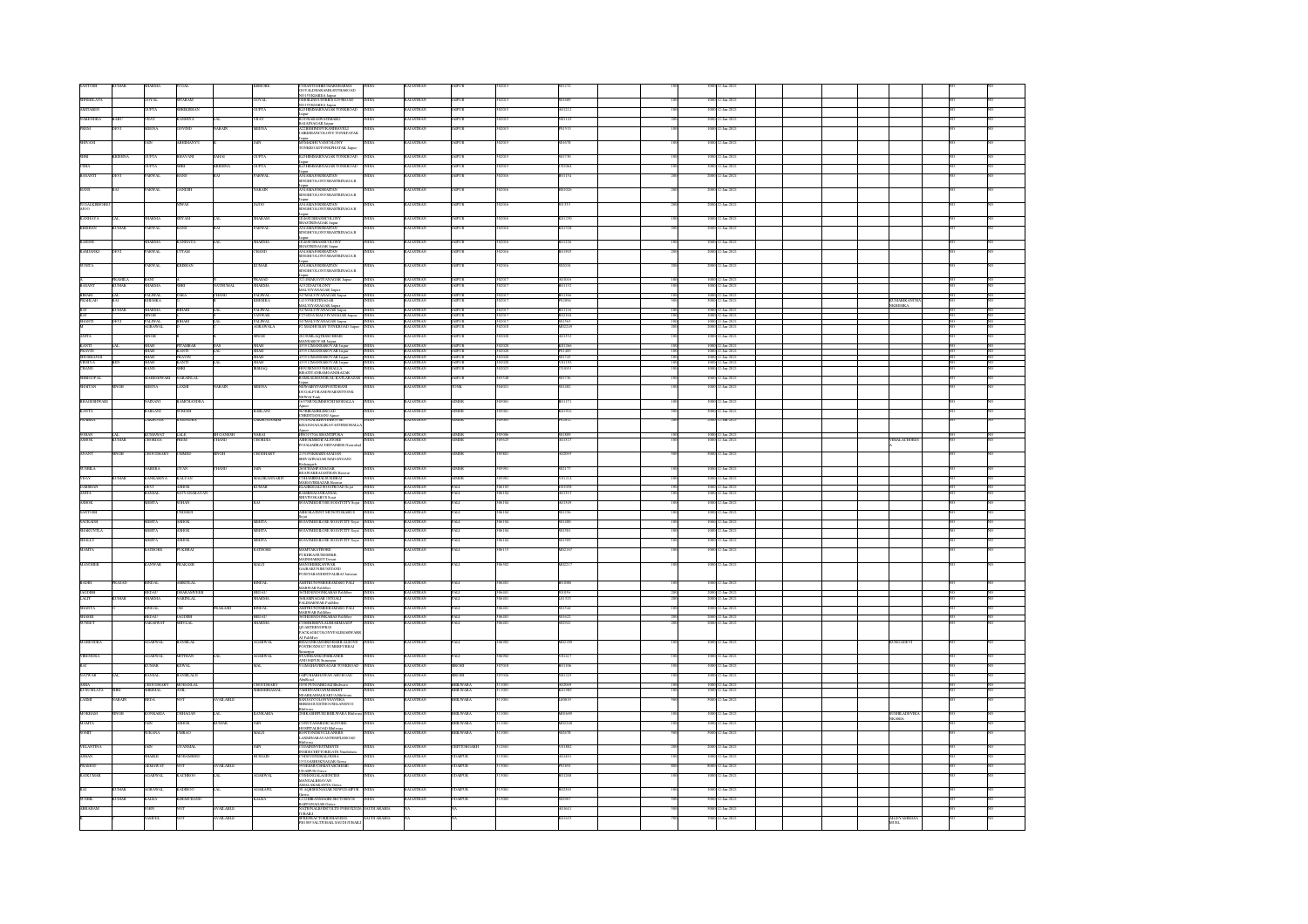|                                       |              |                         |                                     |                 |                               | <b>SHKUMAR SHARMA</b><br>YALDHARAMKANTHAROAD                                                    |                     |                                    | <b>ATPITE</b>         |                  |                   |  |                  |                                      |  |                              |  |  |
|---------------------------------------|--------------|-------------------------|-------------------------------------|-----------------|-------------------------------|-------------------------------------------------------------------------------------------------|---------------------|------------------------------------|-----------------------|------------------|-------------------|--|------------------|--------------------------------------|--|------------------------------|--|--|
|                                       |              |                         |                                     |                 |                               | <b>115 VKIAREA Jaipar</b><br>IOILINDUSTRIES E299ROAD                                            |                     |                                    |                       |                  |                   |  |                  |                                      |  |                              |  |  |
|                                       |              |                         |                                     |                 |                               |                                                                                                 |                     |                                    |                       |                  |                   |  |                  |                                      |  |                              |  |  |
| <b>MITARES</b>                        |              | .<br>IPTA               |                                     |                 |                               | <b>)15VKIAREA Jaipar<br/>13HIMMARNAGAR TONKROAD</b>                                             |                     | ASTH AN                            | <b>UPUR</b>           |                  |                   |  |                  | -<br>- Jan-20.                       |  |                              |  |  |
| <b>VARENDRA</b>                       |              | $\overline{\text{max}}$ | NHIYA                               |                 | $\overline{\mathbf{u}}$       | pur<br>09SARASWATIMARG                                                                          |                     | <b>ALASTHAN</b>                    | <b>AIPUR</b>          |                  |                   |  |                  | 2000 12-Jan-202                      |  |                              |  |  |
| PREM                                  |              | <b>IEENA</b>            | <b>VIND</b>                         | ARAIN           | <b>FFNA</b>                   | AJAINAGAR Jaipur<br>22BEHINDPURANIHAVELI                                                        |                     | <b>NASTHAN</b>                     | APUR                  |                  |                   |  |                  | $-1002$                              |  |                              |  |  |
|                                       |              |                         |                                     |                 |                               | AIKISHANCOLONY TONKFATAK                                                                        |                     |                                    |                       |                  |                   |  |                  |                                      |  |                              |  |  |
| SHIVANI                               |              |                         | HIMANYU                             |                 |                               |                                                                                                 |                     | <b>NASTHAN</b>                     | APUR                  |                  |                   |  |                  | 1000 12-Jan-2021                     |  |                              |  |  |
|                                       |              |                         |                                     |                 |                               | iipur<br>ISMADHUVANCOLONY<br>ONKROADTONKPHATAK Jaipur                                           |                     |                                    |                       |                  |                   |  |                  |                                      |  |                              |  |  |
| <b>SHRT</b>                           |              | UPTA                    | AVAN                                |                 |                               | <b>SHIMMARNAGAR/TONKROAD</b>                                                                    |                     | <b>IASTHAN</b>                     | upur                  |                  |                   |  |                  |                                      |  |                              |  |  |
| USHA                                  |              | <b>UPTA</b>             |                                     |                 | UPTA                          | ipur<br>43HIMMARNAGAR TONKROAD                                                                  |                     | <b>JASTHAN</b>                     | AIPUR                 |                  |                   |  |                  | tan 202                              |  |                              |  |  |
| <b>BASANTI</b>                        |              | <b>ARWAL</b>            |                                     |                 |                               | úpur.<br>C4AMAIORSHAITAN                                                                        |                     | <b>JASTHAN</b>                     | <b>AIPUR</b>          |                  |                   |  |                  |                                      |  |                              |  |  |
|                                       |              |                         |                                     |                 | <b>ARWAL</b>                  | INGHCOLONYSHASTRINAGA R                                                                         |                     |                                    |                       |                  |                   |  |                  | $Jan-202$                            |  |                              |  |  |
| <b>HANS</b>                           |              | ARWAL                   | ANESH                               |                 | <b>ARAD</b>                   |                                                                                                 |                     | <b>NASTHAN</b>                     | APUR                  |                  |                   |  |                  | 2000 12-Jan-202                      |  |                              |  |  |
|                                       |              |                         |                                     |                 |                               | ipur<br>S4AMAJORSHAITAN<br>INGHCOLONY SHASTRINAGA R                                             |                     |                                    |                       |                  |                   |  |                  |                                      |  |                              |  |  |
| <b>JUGALKISHORI</b><br>AJOO           |              |                         | <b>WAS</b>                          |                 | $\overline{w}$                | mar<br>HAMAJORSHAITAN                                                                           |                     | <b>TASTHAN</b>                     | AIPUR                 |                  |                   |  |                  |                                      |  |                              |  |  |
|                                       |              |                         |                                     |                 |                               | NGHCOLONYSHASTRINAGA R                                                                          |                     |                                    |                       |                  |                   |  |                  |                                      |  |                              |  |  |
| <b>KANHAYA</b>                        |              | SHARMA                  | SHYAM                               |                 | <b>ARAM</b>                   | pur<br>46SUBHASHCOLONY                                                                          |                     | JASTHAN                            | <b>AIPUR</b>          |                  |                   |  |                  | 1000 12-Jan-202                      |  |                              |  |  |
| KRISHAN                               | <b>UMAR</b>  | ARWAL.                  | <b>LANS</b>                         |                 | ARWAL.                        | SHASTRINAGAR Jaipur<br>AS-IAMAJORSHAITAN<br>SINGHCOLONY SHASTRINAGA R                           | DIA                 | <b>NASTHAN</b>                     | APUR                  |                  | H 528             |  | 2000             | 2-Jan-2021                           |  |                              |  |  |
|                                       |              |                         |                                     |                 |                               |                                                                                                 |                     |                                    |                       |                  |                   |  |                  |                                      |  |                              |  |  |
| RAJESH                                |              | IARMA                   | HAYA                                |                 |                               | ME<br>HSUBHASHCOLONY                                                                            |                     |                                    | upur                  |                  | 1226              |  |                  | $-3an-202$                           |  |                              |  |  |
| RAMJANKI                              |              | <b>ARWAL</b>            | TAM                                 |                 | AND                           | SHASTRINAGAR Jaipur<br>AS4AMAJORSHAITAN<br>SINGHCOLONYSHASTRINAGA R<br>SINGHCOLONYSHASTRINAGA R |                     | <b>JASTHAN</b>                     | APUR                  |                  | $\overline{10}$   |  |                  | J <sub>202</sub>                     |  |                              |  |  |
|                                       |              |                         |                                     |                 |                               |                                                                                                 |                     |                                    |                       |                  |                   |  |                  |                                      |  |                              |  |  |
| SUNITA                                |              | <b>ARWAL</b>            | RISHAN                              |                 | UMAR                          | HAMAJORSHAITAN                                                                                  |                     | JASTHAN                            | <b>AIPUR</b>          |                  | วกน               |  | 2000             | J <sub>202</sub>                     |  |                              |  |  |
|                                       |              |                         |                                     |                 |                               | <b>ENGHCOLONYSHASTRINAGA R</b>                                                                  |                     |                                    |                       |                  |                   |  |                  |                                      |  |                              |  |  |
|                                       | PRAMILA      | RANI                    |                                     |                 | PRASAD                        | eur<br>14MARAVIYANAGAR Jaipur                                                                   |                     |                                    | <b>JAPUR</b>          |                  |                   |  |                  | 1000 12-Jan-202                      |  |                              |  |  |
| BASANT                                | KUMAR        | SHARMA                  |                                     | <b>VIHUMAL</b>  | HARMA                         | 152JDACOLONY<br><b>MALVIYANAGAR Jaipur</b>                                                      | <b>NDIA</b>         | <b>AJASTHAN</b>                    | APUR                  |                  | 01132             |  |                  | 1000 12-Jan-2021                     |  |                              |  |  |
| BIHARI                                |              | PALIWAL                 | 'ARA                                | CHANI           | PALIWAL                       | 7MALVIYANAGAR Jaipur                                                                            | <b>SDIA</b>         | RAJASTHAN                          | <b>JAPUR</b>          |                  | B01366            |  |                  | 1000 12-Jan-2021                     |  |                              |  |  |
| <b>RAHLAD</b>                         |              | KHEMKA                  |                                     |                 | CHEMKA                        | <b>ISSNEETINAGAR</b>                                                                            | <b>SDIA</b>         | <b>NASTHAN</b>                     | APUR                  |                  | 1209              |  |                  | 3000 12-Jan-202                      |  | UMARIKANCE<br><b>NKHEMKA</b> |  |  |
|                                       | <b>KUMAR</b> | SHARMA                  |                                     |                 | PALIWAL                       | MALVIYANAGAR Jaipur<br>147MALVIYANAGAR Jaipu                                                    |                     | <b>AJASTHAN</b>                    | <b>JAPUR</b>          |                  | R01116            |  |                  | 1000 12-Jan-202                      |  |                              |  |  |
|                                       | <b>DEVI</b>  | <b>SINGH</b><br>PALIWAL |                                     |                 | TANWAR<br>PALIWAL             | 274JDA MALVIYANAGAR Jaipur<br><b>47MALVIYANAGAR</b> Ja                                          | INDIA<br>INDIA      | RAJASTHAN<br>RAJASTHAN             | JAPUR<br>JAPUR        |                  | R02104<br>\$01563 |  |                  | 1000 12-Jan-2021<br>1000 12-Jan-2021 |  |                              |  |  |
|                                       |              |                         |                                     |                 | <b>GRAWAL</b>                 |                                                                                                 |                     |                                    | upur                  |                  |                   |  | 2000             |                                      |  |                              |  |  |
| <b>ANITA</b>                          |              | <b>INGH</b>             |                                     |                 | <b>INGH</b>                   | <b>MMLAQTRSSCHEME</b>                                                                           | <b>STOR</b>         | <b>ALASTHAN</b>                    | APUR                  |                  | $\overline{m}$    |  |                  | 1000 12-Jan-202                      |  |                              |  |  |
|                                       |              |                         |                                     |                 |                               |                                                                                                 |                     |                                    |                       |                  |                   |  |                  |                                      |  |                              |  |  |
| KANTI<br>PRAVIN                       |              | SHAH<br>SHAH            | PITAMBAR<br>KANTI                   |                 | SHAH<br>SHAH                  | :<br>AANSAROVAR Jaipar<br>133512MANSAROVAR Jaipar<br>133512MANSAROVAR Jaipar                    | INDIA<br>INDIA      | RAJASTHAN<br>RAJASTHAN             | <b>JAPUR</b><br>JAPUR | 302020<br>302020 | K01266<br>P01485  |  |                  | 1000 12-Jan-202<br>1000 12-Jan-202   |  |                              |  |  |
|                                       |              | SHAF                    | PRAVE                               |                 |                               | 2MANSAROVAR Jaipar<br>2MANSAROVAR Jaipar                                                        |                     |                                    | <b>JAPUR</b><br>JAPUR |                  |                   |  |                  | 1000 12-Jun-202<br>1000 12-Jun-202   |  |                              |  |  |
| FRAVIN<br>SHUBHANG<br>VIDHYA<br>CHAND |              | <b>BAND</b>             | सारा                                |                 | SHAH<br>IRSHAQ                | <b>JOUSENOSSSMOHALLA</b>                                                                        | <b>NDIA</b>         | <b>AJASTHAN</b>                    | <b>JAPUR</b>          | 902023           | 01053             |  |                  | 1000 12-Jan-2021                     |  |                              |  |  |
|                                       |              |                         |                                     |                 |                               | ISATIYANRAMGANJBAZAR<br>AMLALMANGILAL KATLABAZAR                                                |                     | <b>NASTHAN</b>                     |                       |                  |                   |  |                  |                                      |  |                              |  |  |
| SHRIGOPAL                             |              | <b><i>AMESHWARI</i></b> | NARAINLAL                           |                 |                               |                                                                                                 | <b>DIA</b>          |                                    | <b>APUR</b>           |                  | 1736              |  |                  | $1000$ 12-Jan-2021                   |  |                              |  |  |
| <b>SHAITAN</b>                        |              | EENA                    | <b>AXMI</b>                         | RAP             | IEENA                         | ipur<br>EWAIBYPASSPOSTDHANI<br>UGALPURANEWAIDISTTONK                                            |                     | <b>MASTHAN</b>                     | ONK                   |                  |                   |  | 1000 13          |                                      |  |                              |  |  |
|                                       |              |                         |                                     |                 |                               |                                                                                                 |                     |                                    |                       |                  |                   |  |                  |                                      |  |                              |  |  |
| <b>BHAGESHWAR</b>                     |              | AINANI                  | <b>AMCHANDRA</b>                    |                 |                               | EWAI Tonk<br>557MUSLIMMOCHI MOHALLA                                                             |                     | <b>ALASTHAN</b>                    | <b>UMER</b>           |                  |                   |  |                  | 1000 12-Jan-202                      |  |                              |  |  |
| <b>KANTA</b>                          |              | ABLANI                  | URESH                               |                 | <b>RIANI</b>                  | TET<br>SBIRAMBLEROAD                                                                            |                     | JASTHAN                            | <b>JMER</b>           |                  |                   |  | som              | J <sub>202</sub>                     |  |                              |  |  |
| <b>PRABHA</b>                         |              | акнопа                  | <b>AJENDRA</b>                      |                 | AKHOTIAARM                    | HRISTIANGANI Ajmer<br>5143LALKHOTIAHOUSE                                                        | <b>STYLE</b>        | <b>AJASTHAN</b>                    | <b>UMER</b>           |                  |                   |  |                  | 2000 12-Jan-2021                     |  |                              |  |  |
|                                       |              |                         |                                     |                 |                               | HAJANAGALIKAYASTHMOHALL                                                                         |                     |                                    |                       |                  |                   |  |                  |                                      |  |                              |  |  |
| SOHAN<br>ASHOK                        |              | <b>KUMAWA1</b>          |                                     |                 |                               | <b><i>SHANTIPURA</i></b>                                                                        |                     |                                    |                       |                  |                   |  | 10001            |                                      |  |                              |  |  |
|                                       | KUMAR        | <b>CHORDIA</b>          | REM                                 | CHAND           | <b>HORDIA</b>                 | SHOKMEDICALSTORE<br>OJALIAIIRAJ DISTAJMER Nasira                                                | <b>NDIA</b>         | <b>AJASTHAN</b>                    | <b>UMER</b>           | S625             | 1152              |  |                  | 1000 12-Jan-2021<br>1000 12-Jan-2021 |  | <b>IMALACHORDI</b>           |  |  |
|                                       |              | <b>DUDH/</b>            |                                     |                 |                               |                                                                                                 |                     |                                    | $rac{1}{2}$           |                  |                   |  |                  |                                      |  |                              |  |  |
| ANANT                                 |              |                         |                                     |                 |                               | HPOKHARNASADAN<br>IVAJINAGAR MADANGANJ                                                          |                     |                                    |                       |                  |                   |  |                  |                                      |  |                              |  |  |
|                                       |              |                         |                                     |                 |                               |                                                                                                 |                     |                                    |                       |                  |                   |  |                  |                                      |  |                              |  |  |
|                                       |              |                         |                                     |                 |                               |                                                                                                 |                     |                                    |                       |                  |                   |  |                  |                                      |  |                              |  |  |
| <b>SUSHILA</b>                        |              | ABERA                   | <b>GYAN</b>                         | <b>HAND</b>     |                               | ishanearh<br>50CHAMPANAGAR                                                                      |                     | <b>AJASTHAN</b>                    | <b>UMER</b>           |                  |                   |  |                  | 1000 12-Jan-202                      |  |                              |  |  |
| VIJAY                                 | <b>LMAR</b>  | <b>CANKARIYA</b>        | KALYAN                              |                 | <b><i>AALJIKANNARI</i></b>    | EAWARRAJASTHAN Beawa<br>OHAMIRMALSUKHRAJ                                                        |                     | <b>NASTHAN</b>                     | <b>JMER</b>           |                  | 01214             |  |                  | 1000 12-Jan-2021                     |  |                              |  |  |
|                                       |              | DEVI                    | <b>ASHOK</b>                        |                 | <b>KUMAR</b>                  | IAHAVIRBAZAR Beawar<br>LAJIKIGALI SOJATROAD Sojat                                               |                     | <b>RAJASTHAN</b>                   | PALI                  |                  | D01058            |  |                  | 1000 12-Jan-2021                     |  |                              |  |  |
| DARSHAN<br>ANITA                      |              | <b>ANSAI</b>            | SATYANARAY                          |                 |                               | <b>MBHAJANBANSAL</b>                                                                            |                     | <b>AJASTHAD</b>                    | ALI.                  |                  | A01313            |  |                  | 1000 12-Jan-202                      |  |                              |  |  |
| ASHOK                                 |              | MEHTA                   | OHAN                                |                 | tAJ                           | <b>RVIYOKABUS Sojat</b><br>HATMEDICOSE SOJATCITY Sojat                                          | INDIA               | <b>AJASTHAN</b>                    | ALI <sup>.</sup>      |                  | A01549            |  |                  | 1000 12-Jan-2021                     |  |                              |  |  |
| ANTOSH                                |              |                         | OERJI                               |                 |                               | <b>OKATENT MUNC</b>                                                                             |                     |                                    |                       |                  |                   |  |                  | $3m-202$                             |  |                              |  |  |
| <b>SAFIRADH</b>                       |              |                         | <b>HOK</b>                          |                 |                               | .<br>VIMEDE OSE SOLVICTIV Sain                                                                  |                     |                                    |                       |                  |                   |  |                  | $L = 200$                            |  |                              |  |  |
|                                       |              |                         |                                     |                 |                               |                                                                                                 |                     |                                    |                       |                  |                   |  |                  |                                      |  |                              |  |  |
| <b>SHAKUNTLA</b>                      |              | <b>MEHTA</b>            | SHOK                                |                 | <b>IFHTA</b>                  | <b>HATMEDE.OSE SOJATCITY Segat</b>                                                              | <b>COLA</b>         | <b>JASTHAN</b>                     |                       |                  |                   |  |                  | $.5m$ 202                            |  |                              |  |  |
| <b>SHALLY</b>                         |              | <b>ÆHTA</b>             | SHOK                                |                 | ÆHTA                          | <b>JATMEDE.OSE SOJATCITY Sejat</b>                                                              | <b>STOV</b>         | <b>NASTHAN</b>                     | WП                    |                  |                   |  |                  | $2 - 202$                            |  |                              |  |  |
| <b>MAMTA</b>                          |              | <b>ATHORE</b>           | <b>UKHRAJ</b>                       |                 | <b>THOR</b>                   | <b>IAMTARATHORE</b>                                                                             |                     |                                    |                       |                  |                   |  |                  | $3m-202$                             |  |                              |  |  |
|                                       |              |                         |                                     |                 |                               | UKHRAJSURESHKR                                                                                  |                     |                                    |                       |                  |                   |  |                  |                                      |  |                              |  |  |
|                                       |              |                         | <b>AKASE</b>                        |                 |                               |                                                                                                 |                     |                                    |                       |                  |                   |  |                  |                                      |  |                              |  |  |
|                                       |              |                         |                                     |                 |                               | MAINMARKET Desari<br>MANOHERKANWAR<br>JAJRAKUNJBUSSTAND<br>YOJETARANDISTPALJRAJ Jaitatan        |                     |                                    |                       |                  |                   |  |                  |                                      |  |                              |  |  |
| <b>BADRI</b>                          | RASAD        | BINDAL                  | AMRITLAL                            |                 | SINDAL.                       | AMITKUN99MEERAMARG PALI                                                                         | NDIA                | <b>AJASTHAN</b>                    | ALI <sup>.</sup>      |                  | m                 |  |                  | 1000 12-Jan-2021                     |  |                              |  |  |
|                                       |              |                         |                                     |                 |                               |                                                                                                 |                     |                                    |                       |                  |                   |  |                  |                                      |  |                              |  |  |
| JAGDISH<br>LALIT                      | <b>IMAR</b>  | HEDAU<br><b>SHARMA</b>  | <b>HARAMVEER</b><br><b>NARINLAL</b> |                 | <b>IEDAU</b><br><b>SHARMA</b> | MARWAR PaliMwr<br>36THDENDONKABAS PaEMwr<br><b>6RAMNAGAR ISTGALI</b>                            | NDIA<br><b>NDIA</b> | <b>AJASTHAN</b><br><b>AJASTHAN</b> | ALI.                  |                  | 01323             |  |                  | 3-Jan-202<br>2000 12-Jan-2021        |  |                              |  |  |
|                                       |              | BINDAL                  |                                     | RAKASH          | <b>SINDAL</b>                 |                                                                                                 | <b>NDIA</b>         | <b>AJASTHAN</b>                    | ALI.                  |                  | 01544             |  |                  |                                      |  |                              |  |  |
| <b>SHANTA</b>                         |              |                         |                                     |                 |                               | ALIMARWAR PaliMwr<br>MITKUN9MEERAMARG PALI                                                      |                     |                                    |                       |                  |                   |  |                  | $1000\,12\,\mathrm{Jm}\,2021$        |  |                              |  |  |
|                                       |              | <b>HEDAU</b><br>ARASWAT | <b>JAGDISH</b><br>SHIVLAL.          |                 | <b>HEDAU</b><br>HARMA         | MARWAR PaliMwr<br>36THDENDONKABAS PaliMwr<br><b>SHRISHIVLALSHARMAADP</b>                        | <b>SDIA</b>         | RAJASTHAN<br><b>NASTHAN</b>        | PALI<br>мT            |                  | so1622<br>mas     |  | 2000             | 2000 12-Jan-2021<br>$-3$ an-2021     |  |                              |  |  |
| <b>SHASHI</b><br>SUNEET               |              |                         |                                     |                 |                               |                                                                                                 |                     |                                    |                       |                  |                   |  |                  |                                      |  |                              |  |  |
|                                       |              |                         |                                     |                 |                               | UARTERNOPR40<br>ACKAGECOLONYPALIMARWARE                                                         |                     |                                    |                       |                  |                   |  |                  |                                      |  |                              |  |  |
| <b>AHENDR</b>                         |              |                         |                                     |                 |                               |                                                                                                 |                     |                                    |                       |                  |                   |  |                  |                                      |  |                              |  |  |
|                                       |              |                         |                                     |                 |                               | I PaliMwr<br>HAJANRAMGIRDHARILALSONS<br>OSTBOXNO27 SUMERPURRAJ                                  |                     |                                    |                       |                  |                   |  |                  |                                      |  |                              |  |  |
| VIRENDRA                              |              | <b>GARWAL</b>           | <b>AITTHAN</b>                      |                 | <b>ARWAL</b>                  | amerpur<br>FATEBANKOFBIKANER                                                                    |                     | <b>ALASTHAN</b>                    |                       |                  |                   |  |                  | 3-Jan-202                            |  |                              |  |  |
|                                       |              | <b>UMAR</b>             | <b>EWAL</b>                         |                 |                               | NDIAIPUR Sumerpar<br>  4MAHAVIRNAGAR TONKROAD                                                   |                     | JASTHAN                            | <b>IROHI</b>          |                  |                   |  |                  | J <sub>202</sub>                     |  |                              |  |  |
| <b>NATWAR</b>                         |              | <b>LNSAI</b>            | NSILALJI                            |                 |                               | <b>AIPURIABHAWAN ABUROAD</b>                                                                    |                     | <b>JASTHAN</b>                     | <b>IROHI</b>          |                  | 1225              |  |                  | 1000 12-Jan-202                      |  |                              |  |  |
|                                       |              | <b>CHOUDHARY</b>        | MOHANLA                             |                 | <b>Contact</b>                | buRoad<br>158 PUNJABIGALI Bhibwara                                                              |                     | <b>EALASTHAN</b>                   | <b>HILWAR</b>         |                  |                   |  |                  | 1000 12-Jan-202                      |  |                              |  |  |
| ASHA<br>KUSUMLATA                     |              | <b>IRIMAL</b>           |                                     |                 | <b>ERISHRIAMAL</b>            | ABHINANDANMARKET                                                                                | NDIA                | <b>AJASTHAN</b>                    | <b>HILWARA</b>        |                  | 989               |  | 1000             | 3-Jan-2021                           |  |                              |  |  |
| LAXMI                                 |              |                         |                                     |                 |                               |                                                                                                 |                     | <b>TASTHAN</b>                     | <b>HILWARA</b>        |                  |                   |  |                  | 5.6m/202                             |  |                              |  |  |
|                                       |              |                         |                                     |                 |                               | EARKAMALKAKUA Bhibara<br>ANJAYCOLONYSAVERA<br>HREEGUESTHOUSELANENOI                             |                     |                                    |                       |                  |                   |  |                  |                                      |  |                              |  |  |
| MOKHAM                                | <b>NGH</b>   | <b>NKARIA</b>           | HHAGAN                              |                 | <b>NKARIA</b>                 | biboara<br>OBK ASHIPURI BHE.WARA Bhibo                                                          | <b>Thia</b>         | <b>AJASTHAN</b>                    | <b>HILWARA</b>        |                  |                   |  |                  | 1000 12-Jan-202                      |  | USHILADEVIK                  |  |  |
| <b>MAMTA</b>                          |              | <b>JAIN</b>             | <b>SHOK</b>                         | <b>CUMAR</b>    | AIN                           | ONUTANMEDICALSTORE                                                                              | NDIA                | <b>AJASTHAN</b>                    | <b>HILWARA</b>        |                  | 002248            |  |                  | 1000 12-Jan-2021                     |  |                              |  |  |
|                                       |              |                         |                                     |                 |                               |                                                                                                 |                     |                                    |                       |                  |                   |  |                  |                                      |  |                              |  |  |
| <b>SOMIT</b>                          |              | <b>URANA</b>            | MRAO                                |                 | ILIAN                         | OSPITALROAD Bhilwara<br>ONTONDRYCLEANERS<br>AXMINARAYANTEMPLEROAD                               | <b>DIA</b>          | <b>NASTHAN</b>                     | <b>HILWARA</b>        |                  | 02678             |  |                  | 5000 12-Jan-2021                     |  |                              |  |  |
|                                       |              |                         |                                     |                 |                               |                                                                                                 |                     |                                    |                       |                  |                   |  |                  |                                      |  |                              |  |  |
| VELANTINA                             |              | ٨IN                     | ANMAL                               |                 |                               | heara<br>IA/NINVESTMENTS<br>SIDECHITTORIGATE                                                    |                     | <b>JASTHAN</b>                     | <b>IITTORGAR</b>      |                  |                   |  |                  | 2000 12-Jan-2021                     |  |                              |  |  |
|                                       |              | <b>AIK'S</b>            | HAMMET                              |                 |                               |                                                                                                 |                     | <b>JASTHAN</b>                     | AIPUR                 |                  |                   |  |                  |                                      |  |                              |  |  |
| <b>PRAMOD</b>                         |              | EMAWAT                  |                                     | <b>AILABLE</b>  |                               | <b>OASHOKNAGAR Girwa</b><br>EEMUCHMATASCHEM                                                     |                     | <b>JASTHAN</b>                     | <b>DAIPUR</b>         |                  |                   |  | $\overline{200}$ | $3m-202$                             |  |                              |  |  |
| RAJKUMAR                              |              | <b>GARWAL</b>           | <b>ACHROO</b>                       |                 | <b>ARWAL</b>                  |                                                                                                 | <b>DIA</b>          | JASTHAN                            | <b>DAIPUR</b>         |                  |                   |  |                  | J <sub>202</sub>                     |  |                              |  |  |
|                                       |              |                         |                                     |                 |                               | <b><i>PMEDAGALIA</i></b><br>DAIPUR Girwa<br>YMANGALAGENCIES<br><b>IANGALBHAVAN</b>              |                     |                                    |                       |                  |                   |  |                  |                                      |  |                              |  |  |
|                                       |              | AGRAWAL                 | DIROC                               |                 |                               | <b>AALAKAKANTA Girwa</b><br>AQRSEENAGAR NEWUDAIPUR                                              |                     |                                    | DAPUR                 |                  |                   |  |                  | 1000 12-Jan-202                      |  |                              |  |  |
| SUSHIL.                               | <b>TMAR</b>  | KALRA                   | <b>HEMCHAND</b>                     |                 | .<br>CALRA                    | rwa<br>22HIRANMAGRI SECTORNOS                                                                   | <b>INDIA</b>        | <b>ALASTHAN</b>                    | DAIPUR                |                  |                   |  |                  | 5000 12-Jan-2021                     |  |                              |  |  |
| ABRAHAM                               |              |                         |                                     | VAILABLE        |                               |                                                                                                 | <b>SAUDI ARABIA</b> |                                    |                       |                  |                   |  |                  | 5000 12-Jan-202                      |  |                              |  |  |
|                                       |              | <b>DHN</b>              |                                     |                 |                               | BAPPANAGAR Girwa<br>KATIONALBOISCOLTD POBOX202                                                  |                     |                                    |                       |                  |                   |  |                  |                                      |  |                              |  |  |
|                                       |              | AMUEL.                  |                                     | <b>VAILABLE</b> |                               | UBALI<br>PREFRACTORIESHADEED<br>B10053ALTJUBAIL SAUDI JUBAILI                                   | <b>SAUDI ARABIA</b> |                                    |                       |                  |                   |  | mm               | $34m-202$                            |  | <b>MIEYAMMAS</b><br>MUEL     |  |  |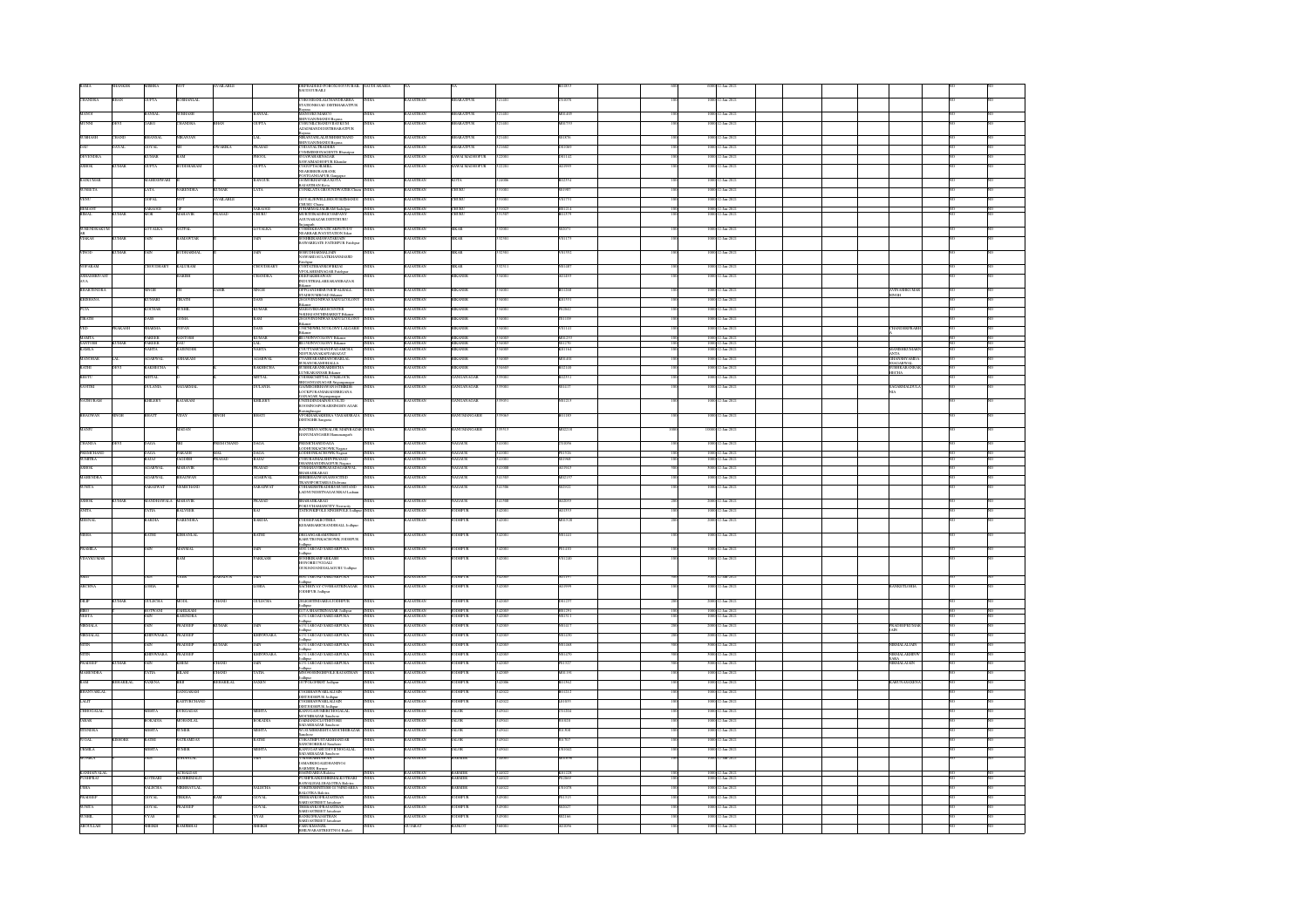|                             |               |                          |                      |                |                         | <b>RPHADEED POBOJ</b>                                                                                    | 053JUBAIL SAUDI ARABIA |                              |                           |      |        |                    |                                 |  |                                      |  |
|-----------------------------|---------------|--------------------------|----------------------|----------------|-------------------------|----------------------------------------------------------------------------------------------------------|------------------------|------------------------------|---------------------------|------|--------|--------------------|---------------------------------|--|--------------------------------------|--|
|                             |               |                          |                      |                |                         | SAUDUUBAILI                                                                                              |                        |                              |                           |      |        |                    |                                 |  |                                      |  |
|                             |               |                          |                      |                |                         | OROSHANLALCHANDRABHA                                                                                     |                        |                              |                           |      |        |                    |                                 |  |                                      |  |
|                             |               |                          |                      |                |                         | STATIONROAD DISTBHARATPUR                                                                                |                        |                              |                           |      |        |                    |                                 |  |                                      |  |
|                             |               |                          |                      |                |                         |                                                                                                          |                        |                              |                           |      |        |                    |                                 |  |                                      |  |
|                             |               |                          | <b>LANDRA</b>        |                | <b>SUPTA</b>            | <b>SHVGANIMANDI Bay</b><br>COSUNILCHANDVIJA<br><b>VZADMANDI DISTBHARATPUR</b>                            |                        | <b>ALASTHAN</b>              | <b>ARATPUR</b>            |      |        |                    | $\frac{1}{2}$ and $\frac{2}{2}$ |  |                                      |  |
|                             |               |                          |                      |                |                         |                                                                                                          |                        |                              |                           |      |        |                    |                                 |  |                                      |  |
| <b>HASE</b>                 |               |                          |                      |                |                         | 15282<br>IRANJANLALSUBHSHCH                                                                              |                        |                              |                           |      |        |                    |                                 |  |                                      |  |
|                             |               | <b>JOYAL</b>             |                      | <b>VARIKA</b>  | RASAE                   | SHIVGANIMANDI Bayana<br>CODAY ALTRADERS                                                                  |                        | <b><i>UASTHAN</i></b>        | <b>HARATPUR</b>           |      |        |                    | 1000 12-Jan-202                 |  |                                      |  |
| <b>DEVENTIRA</b>            |               | <b>CEMAR</b>             |                      |                | 9000                    | OMMISSION AGENTS Bha<br>SIAWAHARNAGAR                                                                    |                        | <b>LOTUAN</b>                | <b>WALMADHOPLE</b>        |      |        |                    | 1000 12-Jan-202                 |  |                                      |  |
| <b>ASHOK</b>                |               | <b>UPTA</b>              | <b>IDDHARAM</b>      |                | UPTA                    | .<br>AWAIMADHOPUR Kh                                                                                     |                        | <b>JASTHAN</b>               | <b>WAI MADHOPUR</b>       |      |        |                    | Im 202                          |  |                                      |  |
|                             |               |                          |                      |                |                         | NE AR SRRIP A IR ANK                                                                                     |                        |                              |                           |      |        |                    |                                 |  |                                      |  |
| <b>RAJKUMAR</b>             |               | MAHESHWARI               |                      |                | <b>BANGUR</b>           | <b>YOSTGANGAPUR Gongap</b><br>160MOKHAPARA KOTA                                                          | INDIA                  | <b>AJASTHAN</b>              | KOTA                      |      |        |                    | 1000 12-Jan-2021                |  |                                      |  |
| <b>NEETA</b>                |               |                          | ENDR A               |                |                         | AJASTHAN Kota<br>ONKLATA GROUNDWATER                                                                     | <b>SDIA</b>            |                              | HURL                      |      |        |                    |                                 |  |                                      |  |
|                             |               | $\frac{1}{4}$            |                      | <b>AILABLE</b> |                         | <b>YALJEWELLERS SU</b>                                                                                   |                        |                              | ilkl                      |      |        |                    |                                 |  |                                      |  |
|                             |               |                          |                      |                |                         | OYALALI<br>HURU Charu<br>HARMALIALIRAM SH                                                                |                        |                              |                           |      |        |                    |                                 |  |                                      |  |
| HEMANT<br>RIMAT             |               | SARAOGI                  |                      |                |                         |                                                                                                          |                        |                              | .<br>HURL<br>HURL         |      |        |                    |                                 |  |                                      |  |
|                             |               |                          |                      |                |                         | UDARMALAND<br>MURTITRADINGCOMPANY<br>AGUNABAZAR DISTCHURU                                                |                        |                              |                           |      |        |                    |                                 |  |                                      |  |
| SURENDRAKU                  |               | <b>YALKA</b>             | TPAI                 |                | <b>DYALKA</b>           | tjangarh<br>OSHEKHAWATICARPETUDY                                                                         |                        | JASTHAN                      | <b>IKAR</b>               |      |        |                    | Im(202)                         |  |                                      |  |
| AR<br>VIAKAS                | MA            |                          | MAWTAB               |                |                         |                                                                                                          |                        | <b>AJASTHAN</b>              | IKAR                      |      |        |                    | $3m-202$                        |  |                                      |  |
|                             |               |                          |                      |                |                         | <b>COMBARD AND STATION SINE SOSHIRIRAMAWATARIAN</b><br>SOSHIRIRAMAWATARIAN<br>BAWARIGATE FATEHPUR Fatehp |                        |                              |                           |      |        |                    |                                 |  |                                      |  |
| <b>VINOD</b>                | 111           |                          | <b>DHARMAL</b>       |                | $\overline{1}$          | OBUDHARMALJAIN                                                                                           |                        | <b>JASTHAN</b>               | IKAR                      |      |        |                    | 1000 12-Jan-202                 |  |                                      |  |
|                             |               |                          |                      |                |                         | <b>AWABDAULATKHANMASJID</b>                                                                              |                        |                              |                           |      |        |                    |                                 |  |                                      |  |
| <b>NOPARAM</b>              |               | CHOLIDHARY               | ALL TRAM             |                | "HOLIDHARY              | atelgar<br>OSTATEBANKOFBKJAI                                                                             | <b>INDIA</b>           | <b>ALASTHAN</b>              | <b>GKAR</b>               |      |        |                    | 1000 12-Iss-202                 |  |                                      |  |
| <b>ASHASHRIVAST</b>         |               |                          | vrish                |                | HANDRA                  | <b>VPOLAHEMNAGAR Fatebpar</b><br><b>JEEPAKBHAWAN</b>                                                     | <b>SDIA</b>            | <b>AJASTHAN</b>              | <b>IKANER</b>             |      |        |                    | 1000 12-Jan-2021                |  |                                      |  |
| AVA.                        |               |                          |                      |                |                         | DEEPANDHAWAN<br>INDUSTRIALAREARANIBAZA R                                                                 |                        |                              |                           |      |        |                    |                                 |  |                                      |  |
| <b>HARTEM</b>               |               |                          |                      |                |                         | Bikaner<br>OPPGANDHIMUNICIPALHALL<br>STADIOUMROAD Bikaner<br>20GOVINDNIWAS SADULCOLON?                   |                        |                              |                           |      |        |                    | $-$ Jan-202                     |  |                                      |  |
|                             |               | UMAR                     |                      |                |                         |                                                                                                          |                        | 167033                       | <b>KANER</b>              |      |        |                    | $3m-202$                        |  | VGH                                  |  |
|                             |               | CCHAR                    | SHIL                 |                | <b>UMAR</b>             | ikaner<br>IAHAVIRSAREECENTER                                                                             |                        | JASTHAN                      | <b>IKANER</b>             |      |        |                    | $Jan-202$                       |  |                                      |  |
| <b>TRATH</b>                |               |                          | эмд                  |                | ÄМ                      | <b>56KHAJANCHIMARKET Bilaner</b><br>20GOVINDNIWAS SADULCOLONY                                            | INDIA                  | <b><i>UASTHAN</i></b>        | <b>IKANER</b>             |      |        |                    | $2 - 202$                       |  |                                      |  |
|                             |               |                          |                      |                |                         |                                                                                                          |                        |                              |                           |      |        |                    |                                 |  | HANDERPE                             |  |
|                             | <b>EAKASE</b> | .<br>SHARMA              | OPAN                 |                | $\overline{\mathbf{M}}$ | fikaner<br>ISSCNEWRLYCOLONY LALGARH                                                                      | <b>INDIA</b>           | <b>ALASTHAN</b>              | <b>BIKANER</b>            |      |        |                    | 1000 12-Jan-2021                |  |                                      |  |
|                             |               | PAREER<br>PAREER         |                      |                | <b>KUMAR</b>            | kaner<br>158JNVCO                                                                                        |                        |                              | <b>BIKANER</b><br>BIKANER |      |        | 1000 12<br>1000 12 |                                 |  |                                      |  |
| AMLA                        |               | АНТА                     | <b><i>NENDER</i></b> |                | AHTA                    | COUTTAMCHANDPADAMCHA                                                                                     | INDIA                  | <b>AJASTHAN</b>              | BIKANER                   |      |        | 1000 13            | 3-Jan-202                       |  | <b><i>INISHKUM</i></b>               |  |
|                             |               | .<br>ARWAL               | <b>LARAN</b>         |                | <b>JARWA</b>            | SDPURANAKAPDABAZAT<br>TOASHARAMMANOHARLAL                                                                |                        | <b>ASTHAN</b>                | <b>KANER</b>              |      |        | 100011             | tan 202                         |  | $\frac{\widetilde{NIA}}{94ANSHYA^2}$ |  |
|                             |               | KHECHA                   |                      |                | кнесн                   | <b>SURANOKAMOHALLA</b><br>SURANOKAMOHALLA<br>SUBHKARANRAKHECHA                                           |                        | ASTH AN                      | .<br>Kaner                |      |        |                    |                                 |  | .<br>AGARWAL<br>UBHKARANE            |  |
|                             |               |                          |                      |                |                         | <b>LUNKARANSAR Bikaner<br/>CODRKCMITTAL 37KBLOCK</b>                                                     |                        |                              |                           |      |        |                    |                                 |  | ECHA                                 |  |
| <b>REETH</b>                |               | <b>MITTAL</b>            |                      |                | <b>MITTAL</b>           |                                                                                                          | <b>NDIA</b>            | <b>ALASTHAN</b>              | <b>MGANAGAR</b>           |      |        |                    | 1000 12-Jan-202                 |  |                                      |  |
| <b>SAVITRI</b>              |               | <b>CLANIA</b>            | GARMAL               |                | <b>ULANIA</b>           | SRIGANGANAGAR Srigunganagar<br>GAIMEGHBHAWAN16THIRDB                                                     | <b>STYTA</b>           | <b>AJASTHAN</b>              | <b>ANGANAGAR</b>          |      |        | 1000               | 2-Jan-2021                      |  | <b>AGARMALDU</b>                     |  |
|                             |               |                          |                      |                |                         | <b>LOCKPURANIABADISRIGANA</b>                                                                            |                        |                              |                           |      |        |                    |                                 |  |                                      |  |
| <b>ATHURAM</b>              |               | <b>CHILERY</b>           | <b><i>UARAM</i></b>  |                | HILERY                  | GANAGAR Seigensenstein<br>UNITEDINDIAINSUCOLTD<br>ROOMNOGPORAISSINGHN AGAR                               |                        | <b>AJASTHAN</b>              | NGANAGAR                  |      |        |                    | 1000 12-Jan-2021                |  |                                      |  |
| <b>BHAGWAN</b>              |               | HATT                     |                      |                | $\overline{a}$          | laisinghragar<br>/POKHARAKHERA VIASAHSRAJA                                                               | <b>INDIA</b>           | <b>AJASTHAN</b>              | WUMANGARE                 |      |        | 1000 L             | $3\,\mathrm{km}\,202$           |  |                                      |  |
|                             |               |                          |                      |                |                         | <b>OSTSGHR Sungaria</b>                                                                                  |                        |                              |                           |      |        |                    |                                 |  |                                      |  |
| <b>MANJU</b>                |               |                          | ADAN                 |                |                         | BANTHIAVASTRALOK MAINBAZAR I                                                                             | INDIA                  | <b><i>UASTHAN</i></b>        | <b>INUMANGARE</b>         |      |        | 10000 13           | -Jan-202                        |  |                                      |  |
|                             |               |                          |                      |                |                         | HANUMANGARH Hamamangarh                                                                                  |                        |                              |                           |      |        |                    |                                 |  |                                      |  |
| .<br>HAND                   |               |                          |                      |                |                         | <b>EMCHANDDAGA</b>                                                                                       |                        | <b>JASTHAN</b>               |                           |      |        |                    | 1000 12-Jan-202                 |  |                                      |  |
| <b>PREMCHANI</b><br>SUMITRA |               | $\overline{u}$           | <b>ARASH</b>         |                | кūА                     | LODHURKACHOWK Nagare                                                                                     |                        | <b>TANTHAN</b>               | <b>AGAIR</b>              |      |        |                    |                                 |  |                                      |  |
|                             |               |                          | CDISH                |                | <b>AJAJ</b>             | OSURAJMALSHIVPRASAD                                                                                      | INDU                   | AJASTHAN                     | AGAUR                     |      |        | 1000               | $-3an-202$                      |  |                                      |  |
| <b>ASHOK</b>                |               | <b>JARWAL</b>            | <b>AHAVIR</b>        |                |                         | <b>HANMANDINAGPUR Nagaur</b><br>"OMAHAVIRPRASADAGARWAL"                                                  | .<br>NDIA              | <b>JASTHAN</b>               | <b>MOATIR</b>             |      |        |                    | J <sub>20</sub>                 |  |                                      |  |
| <b>MAHENDRA</b>             |               | <b>GARWAL</b>            | <b>HAGWAN</b>        |                | <b>GARWAI</b>           | LUMMIA VIII<br>SHAHAJIKABAG<br>SHRIBHAGWANASSOCTTED                                                      | <b>NDIA</b>            | <b>JASTHAN</b>               | <b>AGAUR</b>              |      |        |                    | 1000 12-Jan-202                 |  |                                      |  |
| SUNITA                      |               | <b>RASWAT</b>            | EMICHAND             |                | <b>WASWAT</b>           | <b>TRANSPORTAREA Didwara</b><br>COHARISHTRADERS BUSSTAND                                                 | <b>SDIA</b>            | <b><i><u>UASTHAN</u></i></b> | AGAUR                     |      |        | 1000               | J <sub>202</sub>                |  |                                      |  |
|                             |               |                          |                      |                |                         | ADNUNDISTNAGAURRAJ Ladren                                                                                |                        |                              |                           |      |        |                    |                                 |  |                                      |  |
| HOK                         |               |                          | AVIR                 |                | ASAD                    | <b>HAJKABAG</b>                                                                                          |                        |                              | <b>GAUR</b>               |      |        | 200                | $3m-202$                        |  |                                      |  |
| ANITA                       |               | <b>ATTA</b>              | <b>ILVEER</b>        |                |                         | <b>OKUCHAMANCITY Nawacity<br/>ATIONKIPOLE SINGHPOLE Jodh</b>                                             | <b>INDIA</b>           | <b>MASTHAN</b>               | <b>ONPIR</b>              |      |        |                    | $1 - 202$                       |  |                                      |  |
| <b>MEENAL</b>               |               | <b>RDIA</b>              | RENDRA               |                | <b>ARDIA</b>            |                                                                                                          |                        | <b>JASTHAN</b>               | <b>HPUR</b>               |      |        |                    | Im 202                          |  |                                      |  |
|                             |               |                          |                      |                |                         | .<br>20DEEPAKBOTHRA<br>KESARBARICHANDIHALL Jodhpur                                                       |                        |                              |                           |      |        |                    |                                 |  |                                      |  |
| <b>NISHA</b>                |               | <b>ATHI</b>              | SHANLAL              |                | <b>EATHI</b>            | .<br>DRGANGARAMSTREET<br>KABUTRONKACHOWK JODHPUR                                                         | <b>IDLA</b>            | <b>AJASTHAN</b>              | ODHPUR                    |      |        |                    | 1000 12-Jan-2021                |  |                                      |  |
|                             |               |                          |                      |                |                         |                                                                                                          |                        |                              |                           |      |        |                    |                                 |  |                                      |  |
| PRAMILA                     |               |                          | <b>CARAT</b>         |                |                         | dhpur<br>(811AROAD SARDARPURA                                                                            |                        | <b>TANTHAN</b>               | <b>DHPUR</b>              |      |        |                    |                                 |  |                                      |  |
| <b>VUAYKUMAR</b>            |               |                          |                      |                | <b>UKKASH</b>           | odhpur.<br>OSHRIRAMPARKASH                                                                               |                        | <b>JASTHAN</b>               | <b>OHPUR</b>              |      |        |                    | $\frac{1}{2}$                   |  |                                      |  |
|                             |               |                          |                      |                |                         | HONOBIII 792GALI<br>GURJANJANDIALAGURU Jodhpur                                                           |                        |                              |                           |      |        |                    |                                 |  |                                      |  |
| AMIT                        |               |                          | EER                  | AHADUR         |                         | 60811AROAD SARDARPURA                                                                                    | NDIA                   | <b>AJASTHAN</b>              | <b>ODHPUR</b>             |      |        |                    | 3000 12-Jan-202                 |  |                                      |  |
| <b>ARCHN</b>                |               |                          |                      |                |                         | sibpur<br>ACHHIVAV COOSH                                                                                 |                        | $\cdots$                     | <b>JEPUK</b>              |      |        |                    |                                 |  |                                      |  |
|                             |               |                          |                      |                |                         | ODHPUR Jodhpar                                                                                           |                        |                              |                           |      |        |                    |                                 |  |                                      |  |
| nm to                       |               | T FCH                    | ЮC                   |                | <b>TECHA</b>            | SI KIHTINDAREA IODHRER                                                                                   |                        |                              | ) HPT TO                  |      |        |                    |                                 |  |                                      |  |
|                             |               | HOTWANI                  | TAHILRAM             |                |                         | odbpur<br>117A SHASTRINAGAR Jodbpur                                                                      | <b>INDIA</b>           | <b>AJASTHAN</b>              | <b>JODHPUR</b>            |      | 1129   |                    | 1000 12-Jan-202                 |  |                                      |  |
| HIRO<br>NEETA               |               |                          | <b>IENDRA</b>        |                |                         | <b>LAROAD SARDARPURA</b>                                                                                 | <b>NDIA</b>            | <b>JASTHAN</b>               | <b>ODHPUR</b>             |      |        |                    |                                 |  |                                      |  |
| <b>NIRMALA</b>              |               |                          | RADEEP               | <b>MAS</b>     |                         | silipsir<br>1311AROAD SARDARPURA                                                                         | <b>SDIA</b>            | <b>AJASTHAN</b>              | <b>ODHPUR</b>             |      | 141    |                    | 2000 12-Jan-2021                |  | <b>PRADEEPKUMA</b>                   |  |
| <b>GRMALAI</b>              |               |                          | <b>ADEER</b>         |                | <b>SAR</b>              | odbpur<br>1311AROAD SARDARPURA                                                                           |                        | <b>ASTHAN</b>                | <b>OHPUR</b>              |      |        | 2000               | $3m-202$                        |  |                                      |  |
|                             |               |                          |                      |                |                         | Jodhpur<br>61311AROAD SARE                                                                               |                        |                              |                           |      |        |                    |                                 |  |                                      |  |
|                             |               |                          |                      |                |                         |                                                                                                          |                        |                              | <b>OHPUR</b>              |      |        | 3000               | J <sub>20</sub>                 |  |                                      |  |
| <b>NITIN</b>                |               | <b>CHINWSARA</b>         | <b>PRADEEP</b>       |                | <b>CHINWSARA</b>        | od <del>igur</del><br>1311AROAD SARDARPURA                                                               | <b>INDIA</b>           | ALASTHAN                     | <b>ODHPUR</b>             |      | 01470  |                    | 3000 12-Jan-2021                |  | <b>SIRMALAKHIN</b>                   |  |
| PRADEEP                     | <b>KUMAR</b>  |                          | HEM                  | <b>JAND</b>    | AIN                     | Jodhpar<br>61311AROAD SARDARPURA                                                                         | <b>INDIA</b>           | <b>NASTHAN</b>               | <b>ODHPUR</b>             | 2003 | 01327  |                    | 3000 12-Jan-2021                |  | SARA<br>NIRMALAJAIN                  |  |
| <b>MAHENDRA</b>             |               | <b>ATIA</b>              | <b>ILAM</b>          | HAND           | <b>ATIA</b>             | Iodhpar<br>MNO900SINGHPOLE RAJASTHAN                                                                     | INDIA                  | <b>AJASTHAN</b>              | <b>ODHPUR</b>             |      | 991191 |                    | 1000 12-Jan-2021                |  |                                      |  |
|                             | ARILAL.       | AXENA                    |                      | IARILAL.       | XEN                     | odbpur<br>07POLOFIRST Jodbpu                                                                             |                        | <b>ASTHAN</b>                | DHPUR                     |      | 362    | 1000               | $2.5m-2021$                     |  |                                      |  |
| HANVARLA                    |               |                          | <b>VOARA</b>         |                |                         | TRHANWART AT LAP                                                                                         |                        | <b>ASTHAN</b>                | <b>HPUR</b>               |      |        |                    | $Jan-202$                       |  |                                      |  |
|                             |               |                          |                      |                |                         | <b>ESTIODHPUR Jodhpur</b><br>"OGBHANWARLALJAIN                                                           |                        |                              |                           |      |        |                    |                                 |  |                                      |  |
| LALIT                       |               |                          | <b>STERCHANI</b>     |                |                         |                                                                                                          | <b>SDIA</b>            | <b>MASTHAN</b>               | <b>OHPUR</b>              |      |        |                    | $\frac{1}{2}$ an-2021           |  |                                      |  |
| CHHOGALAL                   |               | <b>JEHTA</b>             | <b>URGADAS</b>       |                | <b>IEHTA</b>            | <b>OSTIODHPUR Jodhpur</b><br>LANUGASUMERCHOGALAL                                                         | NDIA                   | <b>VASTHAN</b>               | ALOR <sup></sup>          |      |        |                    | 1000 12-Jan-202                 |  |                                      |  |
| <b>ABAR</b>                 |               | OKADIA                   | <b>OHANLAL</b>       |                | <b>OKADIA</b>           | <b>MOCHIBAZAR Sanchore</b><br>DAIMANDCLOTHSTORE                                                          |                        | <b>JASTHAN</b>               | ALOR.                     |      |        |                    | 1000 12-Jan-202                 |  |                                      |  |
| <b>TTENDRA</b>              |               | <b>EHTA</b>              | MER                  |                | <b>IEHTA</b>            | SADARBAZAR Sanchore<br>WISUMERMEHTA MOCHH                                                                |                        | <b>JASTHAN</b>               | ALOR                      |      |        |                    | 1000 12-Jan-202                 |  |                                      |  |
| <b>JUGAL</b>                |               | <b>HTAS</b>              | <b>TRAMPAS</b>       |                | <b>ATHI</b>             | anchore<br>ORATHIPUSTAKBHANDAR                                                                           | <b>INDIA</b>           | <b>HASTHAN</b>               | ALOR.                     |      |        |                    | 1000 12-Jan-2021                |  |                                      |  |
| URMEA                       |               |                          | <b>UMER</b>          |                | <b>MEHTA</b>            | <b>ANCHORERAJ Sanchore</b><br>ANUGAPARUDEVICHOGALAL                                                      | <b>INDIA</b>           | <b>VASTHAN</b>               | <b>MOR</b>                |      |        |                    | 1000 12-Jan-202                 |  |                                      |  |
|                             |               |                          |                      |                |                         | <b>ADARBAZAR Sanchore</b><br>/ADERABHAWAN                                                                |                        |                              |                           |      |        |                    |                                 |  |                                      |  |
|                             |               | <b>JEHTA</b>             |                      |                |                         |                                                                                                          | <b>COLA</b>            | <b><i>UASTHAN</i></b>        | ARMER                     |      |        |                    | 1000 12-Jan-202                 |  |                                      |  |
| <b>MONIKA</b>               |               |                          | HANLAL               |                |                         |                                                                                                          |                        |                              |                           |      |        |                    |                                 |  |                                      |  |
|                             |               |                          |                      |                |                         | AMAJIKEGALIDHANINO4                                                                                      |                        |                              |                           |      |        |                    |                                 |  |                                      |  |
|                             |               |                          | HRIMALJI             |                |                         | <b>BARMER Barmer</b><br>B66DNDARFA Rol                                                                   | INDIA                  | JASTHAN                      |                           |      |        | 1000 1             | :-aan-2021<br>!-Jan-2021        |  |                                      |  |
| KANHAIYA<br>PUSHPRAJ        |               |                          |                      |                |                         | USHPRAJKESHRIMALKOTHARI<br><b>AWALIGALI BALOTRA Balotra</b><br>YMRITESHNITESH GU'LGNIYARE                |                        |                              | ARMER<br>MFR              |      |        |                    |                                 |  |                                      |  |
|                             |               |                          |                      |                |                         |                                                                                                          |                        |                              |                           |      |        |                    |                                 |  |                                      |  |
| PRADEE                      |               | $\overline{\text{W}}$ al | <b>RKHA</b>          |                | OYAL                    | <b>ALOTRA Balotra<br/>HEBANKOFRAJASTHAN</b>                                                              | <b>STYLE</b>           | <b>JASTHAN</b>               | <b>TOHING</b>             |      |        |                    | $1 - 202$                       |  |                                      |  |
| NITA                        |               | YA                       | :ADEEP               |                | OYAL                    | <b>ARDASTREET Jaisalmer</b><br>HEBANKOFRAJASTHAN                                                         | <b>DIA</b>             | <b>JASTHAN</b>               | OHPUN                     |      |        |                    | tan(202)                        |  |                                      |  |
| USHIL.                      |               | YAS                      |                      |                | YAS                     | SARDASTREET Jaisalmer<br>BANKOFRAJASTHAN                                                                 | <b>NDIA</b>            | <b>AJASTHAN</b>              | ODHPUR                    |      |        | 1000               | $3m-202$                        |  |                                      |  |
|                             |               |                          |                      |                | <b>EIKE</b>             | SARDASTREET Jaisalmer<br>FARUKMANZIL<br>BHILWARASTREETNO4 Rajkot                                         |                        |                              |                           |      |        |                    |                                 |  |                                      |  |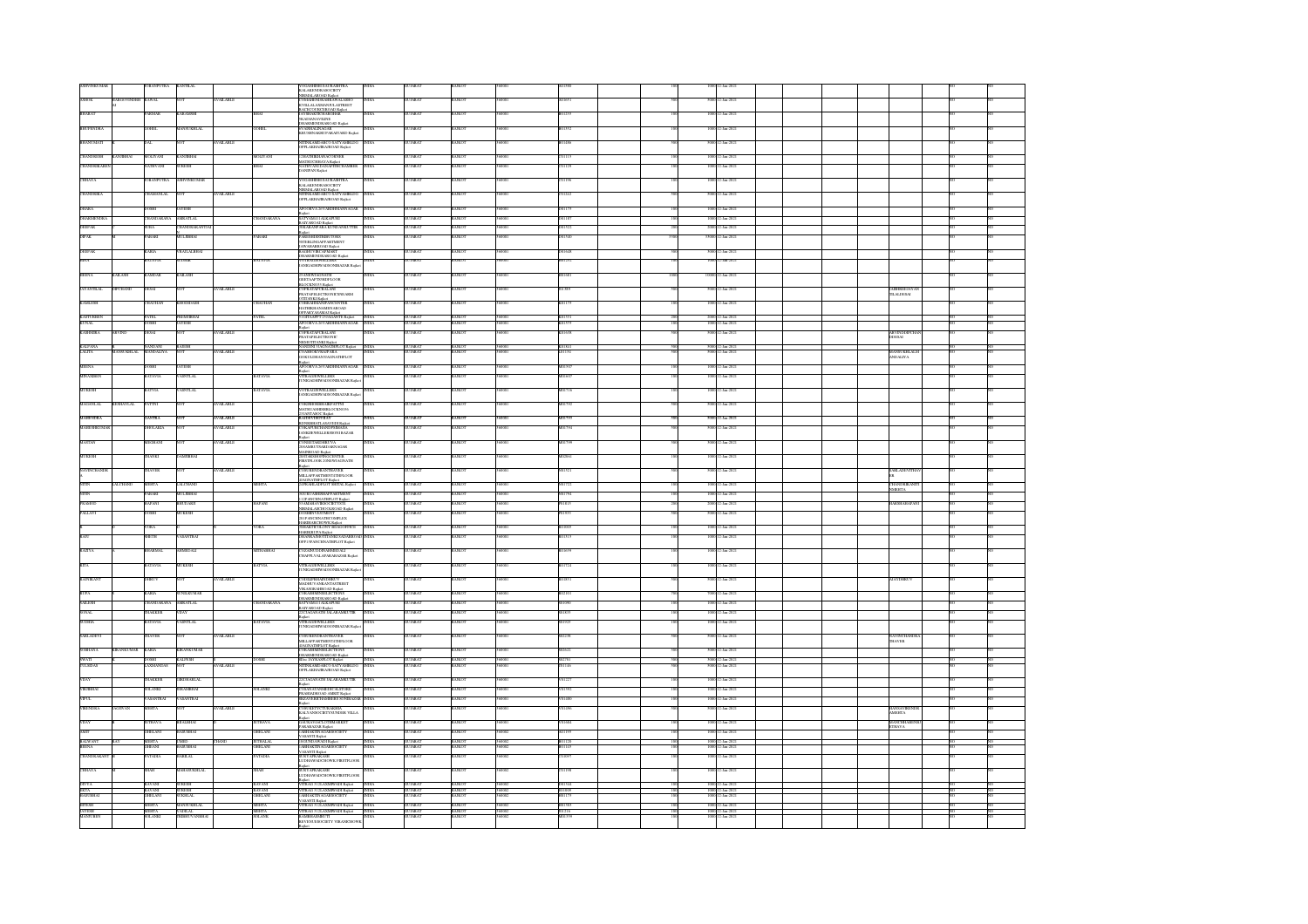|                              |                  | <b>JANPUTRA</b>        | NTLAL                 |                       | <b>CGASHISHI SAURASHTRA</b>                                                                  |                |                       |                       |       |                  |  |               |                                                                                           |  |                        |  |
|------------------------------|------------------|------------------------|-----------------------|-----------------------|----------------------------------------------------------------------------------------------|----------------|-----------------------|-----------------------|-------|------------------|--|---------------|-------------------------------------------------------------------------------------------|--|------------------------|--|
|                              |                  |                        |                       |                       | <b>CALAKENDRASOCIETY</b><br><b>SEMALAROAD Rajkot</b><br>COMAHENDRAHRAWALASI                  |                |                       |                       |       |                  |  |               |                                                                                           |  |                        |  |
|                              |                  |                        |                       |                       | KVILLALAXMANJULASTREET                                                                       |                |                       |                       |       |                  |  |               |                                                                                           |  |                        |  |
| <b>HARA</b>                  |                  |                        |                       |                       | RACECOURCEROAD Rajko<br>JAYSHAKTICHARGHAR<br>SKADIANAVILINE                                  |                |                       |                       |       |                  |  |               | $an-202$                                                                                  |  |                        |  |
|                              |                  |                        |                       |                       |                                                                                              |                |                       |                       |       |                  |  |               |                                                                                           |  |                        |  |
| BHUPENDRA                    |                  | OHEL                   | <b>NSUKHLAL</b>       | OHEL.                 | .<br>HARMENDRAROAD Rajke<br>VAISHALINAGAR<br>KRUSHNAKRUPARAIYARD Rajkot                      |                | JARAT                 | uko                   |       |                  |  |               | 3 <sub>202</sub>                                                                          |  |                        |  |
| ANUMAT                       |                  |                        |                       |                       |                                                                                              |                |                       |                       |       |                  |  |               |                                                                                           |  |                        |  |
|                              |                  |                        |                       |                       | <b>SITINKAMDARCO SATYAMBLDG</b><br>OPPLAKHAJIRAJROAD Rajket                                  |                |                       |                       |       |                  |  |               |                                                                                           |  |                        |  |
| CHANDRESH                    |                  | MOLIYANI               | <b>ANJIBHAI</b>       | <b>AOLIYANI</b>       | 2HATHIKHANACORNER                                                                            |                | 1139.57               | AIKOT                 |       |                  |  |               | 1000 12-Jan-2021                                                                          |  |                        |  |
| CHANDRIKABI                  |                  | <b>TANTA</b>           | URESH                 |                       | <b>IATRUCHHAYA Rajket</b><br>ATHVANI DANAPITHCHAMBER                                         | .<br>NDI A     | <b>JARAT</b>          | <b>AJKOT</b>          |       | $\frac{1}{1129}$ |  | 1000          | $3m-202$                                                                                  |  |                        |  |
|                              |                  |                        |                       |                       | MNIPAN Rajkot                                                                                |                |                       |                       |       |                  |  |               |                                                                                           |  |                        |  |
| <b>HHAYA</b>                 |                  | BANPUTRA               | <b>IVINKUMAR</b>      |                       | YOGASHISHI SAURASHTRA<br><b>CALAKENDRASOCIETY</b>                                            |                | JARAT                 | ukot                  |       | )] 196           |  |               | $5m-2021$                                                                                 |  |                        |  |
| <b>CHANDRIKA</b>             |                  | <b>MANLAL</b>          |                       | AILABLI               | <b>GRMALAROAD Rajkot<br/>SITINKAMDARCO SATYAMB</b><br>JPPLAKHAJIRAJROAD Rajkot               |                |                       |                       |       | 1242             |  |               |                                                                                           |  |                        |  |
|                              |                  |                        |                       |                       |                                                                                              |                |                       |                       |       |                  |  |               | J <sub>202</sub>                                                                          |  |                        |  |
| DHARA                        |                  | <b>OSHI</b>            | YESH                  |                       | <b>VOORVA 26VARDHMANNAGAR</b>                                                                |                | 383                   |                       |       |                  |  | 1000          | 2-Jan-2021                                                                                |  |                        |  |
| <b>DHARMENDRA</b>            |                  | <b>HANDARANA</b>       | AMRATLAL              | <b>HANDARANA</b>      | lajkot<br>KATYAM411ALKAPURI                                                                  | NDU            | .<br>Jarat            | <b>AJKOT</b>          |       | ИI\$             |  |               | 1000 12-Jan-2021                                                                          |  |                        |  |
| DEEPAK                       |                  | SUBA                   | <b>JANDRAKANTI</b>    |                       | RAIYAROAD Rajkot<br>30KARANPARA KUNDANKUTTIR                                                 | NDU            | JARAT                 | <b>AJKOT</b>          |       | $\overline{MS2}$ |  |               | 2000 12-Jan-2021                                                                          |  |                        |  |
| <b>DIPAK</b>                 |                  | 010                    | T IBH.                |                       |                                                                                              |                | 13.9 3                | ww                    |       |                  |  | $\frac{1}{2}$ | $1 - 20$                                                                                  |  |                        |  |
|                              |                  |                        |                       |                       | <b>Lijket</b><br>'ARESHDISTRIBUTORS<br>:STERLINGAPPARTMENT                                   |                |                       |                       |       |                  |  |               |                                                                                           |  |                        |  |
| DEEPAK                       |                  | KARIA                  | RAJLALBHAI            |                       | <b>AWAHARROAD Raiket</b><br>LAGHUVIRCAPMART                                                  | <b>SDIA</b>    | UJARAT                | <b>AJKOT</b>          |       |                  |  |               | 3000 12-Jan-2021                                                                          |  |                        |  |
| HIVA.                        |                  | <b>ATAVIA</b>          | <b>DHR</b>            | <b>ATAVIA</b>         | <b>DHARMENDRAROAD Rajko</b><br>VOTRAGJEWELLERS                                               | vnu            | <b>JARAT</b>          | <b>AJKOT</b>          |       | 1252             |  | 1000          | 2-Jan-2021                                                                                |  |                        |  |
|                              |                  |                        |                       |                       | ANIGADHIWADSONIBAZAR Rajkot                                                                  |                |                       |                       |       |                  |  |               |                                                                                           |  |                        |  |
| ENA                          |                  |                        |                       |                       | <b>!SANEWJAGNATH<br/>JEETAAPTS3RDFLOOR</b>                                                   |                |                       |                       |       |                  |  |               | an-202                                                                                    |  |                        |  |
| <b>JAYANTILAL</b>            | <b>CHANT</b>     | <b>YESAT</b>           |                       | VAILABLE              | LOCKNO33 Raiket<br>OPRATAPCBALANI                                                            |                | JARAT                 | ukon                  |       |                  |  |               | J <sub>202</sub>                                                                          |  |                        |  |
|                              |                  |                        |                       |                       | <b>PRATAPELECTRONICSNEARM</b>                                                                |                |                       |                       |       |                  |  |               |                                                                                           |  | <b>TILALDESAI</b>      |  |
| CAMLESH                      |                  | <b>IAUHAN</b>          | HODIDASH              | <b>AUHAN</b>          | TITANKI Rajkot<br>OBRAHMANIPANCENTER<br>HATHIKHANAMENAROAD                                   |                | JARAT                 | uko                   |       |                  |  |               | J <sub>202</sub>                                                                          |  |                        |  |
|                              |                  | <b>PATEL</b>           | PREMJIBHAI            |                       | OPPARYASAMAJ Rajkot<br>SI GITAAPPT 25JAGANTE Rajkot                                          |                | GUJARA'               | <b>RAJKO</b>          |       |                  |  |               |                                                                                           |  |                        |  |
| KASTURBEN<br>KUNAL           |                  | <b>DOSHI</b>           | AYESH                 |                       | <b>VPOORVA 26VARDHMANNAGAR</b>                                                               | <b>INDIA</b>   | UJARAT                | <b>AJKOT</b>          |       |                  |  |               | 2000 12-Jan-2021<br>1000 12-Jan-2021                                                      |  |                        |  |
| <b>ASHMIR</b>                |                  |                        |                       |                       | Rajkot<br>COPRATAPCBALANI<br>PRATAPELECTRONIC                                                |                | .<br>Jarat            |                       |       |                  |  |               | J <sub>20</sub>                                                                           |  |                        |  |
|                              |                  |                        |                       |                       |                                                                                              |                |                       |                       |       |                  |  |               |                                                                                           |  | ARVINDDIP<br>DDESAI    |  |
| KALPANA<br>LALITA            | KHLAI            |                        | RAJESH                | <b>ALABLE</b>         | RMOTITANKI Raiket                                                                            |                | <b>HIARAT</b>         | AIKOT<br><b>UKO</b>   |       |                  |  |               |                                                                                           |  |                        |  |
|                              |                  |                        |                       |                       | OASHOKVRAFIN'ILDI Rajao<br>XOASHOKVRAFPARA<br>XOKULDHAN3JAGNATHPLOT                          |                | JARAT                 |                       |       |                  |  |               | J <sub>2021</sub>                                                                         |  | MANSUKHLAI<br>ANDALIYA |  |
| MEENA                        |                  |                        | <b>YESH</b>           |                       | ajkot<br>POORVA 26VARDHMANNAGAR                                                              |                | JARAT                 | <b>UKOT</b>           |       |                  |  |               | 1000 12-Jan-202                                                                           |  |                        |  |
| <b>INAXBEN</b>               |                  | <b>TAVIA</b>           | SNTLAL                |                       | lajkot<br>TIRAGJEWELLERS                                                                     |                | <b>JARAT</b>          | <b>UKO</b>            |       |                  |  |               | J <sub>20</sub>                                                                           |  |                        |  |
|                              |                  |                        |                       |                       | <b>UNIGADHIWADSONIBAZAR Raiket</b>                                                           |                |                       |                       |       |                  |  |               |                                                                                           |  |                        |  |
| UKESH                        |                  | ATVIA                  | SNTLAL.               | <b>ATAVIA</b>         | OTRAGJEWELLERS<br>ANIGADHIWADSONIBAZAR Rajk                                                  |                | JARAT                 | ukot                  |       |                  |  |               | $-3an-2021$                                                                               |  |                        |  |
| <b>MAGANLAL</b>              | <b>SHAVLAI</b>   | <b>ATTNI</b>           |                       | VAILABLE              | <b><i>OKISHORRHAIKPATINI</i></b>                                                             |                | JARAT                 | AIKOʻ                 |       |                  |  |               | $Jan-202$                                                                                 |  |                        |  |
|                              |                  |                        |                       |                       | AATRU ASHISHBLOCKNOS6                                                                        |                |                       |                       |       |                  |  |               |                                                                                           |  |                        |  |
| <b>VIENDRA</b>               |                  |                        |                       | AILABLI               | <b>HANTASOC Rajkot</b><br>AIDEVDIGVIJAY                                                      |                |                       |                       |       |                  |  |               |                                                                                           |  |                        |  |
| <b>MAHESHKUMA</b>            |                  | HOLAKIA                |                       | <b>AVAILABLE</b>      | RDNRBHATLASAVEDI Rajkot<br>COKAPURCHANDPSIMAJIA<br>JANKIJEWELLERSSONI BAZAR                  |                | .<br>Jarat            | AJKO'                 |       |                  |  |               | 2-Jan-2021                                                                                |  |                        |  |
|                              |                  |                        |                       |                       |                                                                                              |                |                       |                       |       |                  |  |               |                                                                                           |  |                        |  |
| <b>MASTAN</b>                |                  |                        |                       | <b>ALABLE</b>         | kijkot<br>CONEETARDHRUVA<br>108AMRUTSARDARNAGAR                                              |                | <b>ARA</b>            | <b>UKO</b>            |       |                  |  |               |                                                                                           |  |                        |  |
| MUKESH                       |                  | IANKI                  | MUBHAI                |                       | <b>AAINROAD Rajkot<br/>SSTARSHOPINGCENTER</b>                                                |                | <b>JARA</b>           |                       |       |                  |  |               | $3m-202$                                                                                  |  |                        |  |
|                              |                  |                        |                       |                       | FIRSTFLOOR 20NEWJACNATH                                                                      |                |                       |                       |       |                  |  |               |                                                                                           |  |                        |  |
| <b>NAVINCHANE</b>            |                  | HAVER                  |                       | <b>ALABLE</b>         | Rajkot<br>COSURENDRANTHAVER<br>MILLAPPARTMENT4THFLOOR                                        |                | JARAT                 | <b>AJKOT</b>          |       |                  |  |               | 5000 12-Jan-2021                                                                          |  | SARLADEVITH            |  |
|                              |                  |                        |                       |                       |                                                                                              |                |                       |                       |       |                  |  |               |                                                                                           |  |                        |  |
|                              | CHAN             | $\overline{H}$         | LCHANI                | eht/                  | JAGNATHPLOT Rajkot<br>4PRAHLADPLOT SHITAL Rajkot                                             |                | ARA'                  |                       |       |                  |  |               | $Jan-202$                                                                                 |  | <b>ANDRIKA</b>         |  |
|                              |                  | <b>TAP</b>             | ULJIBHAI              |                       | <b>GURUASHISHAPPARTMENT</b>                                                                  |                | <b>JARAT</b>          | uko                   |       |                  |  |               | $tan-202$                                                                                 |  |                        |  |
| RAMOE                        |                  | <b>LAPANI</b>          | HUDARJI               | <b>IAPANI</b>         | 12PANCHNATHPLOT Rajket<br>3AMAHAVIRSOCIETYST4                                                | VDIA           | <b>JARAT</b>          | <b>AJKOT</b>          |       |                  |  |               | 2000 12-Jan-2021                                                                          |  | <b>AHAP</b>            |  |
| ALLAVI                       |                  | <b>OSHI</b>            | <b>AUKESH</b>         |                       | NIRMALASCHOOLROAD Rajkot<br>DOSHIINVESTMENT<br>201PANCHNATHCOMPLEX                           | NDLA           | .<br>Jarat            | <b>AJKOT</b>          |       |                  |  | 5000          | 2-Jan-2021                                                                                |  |                        |  |
|                              |                  |                        |                       |                       | ARIHARCHOWK Raiket<br>SHAKTICOLONY BDAGOFFICE                                                |                | 13837                 | <b>AIKOT</b>          |       |                  |  |               | J <sub>20</sub>                                                                           |  |                        |  |
|                              |                  | <b>DRA</b>             |                       | ORA                   |                                                                                              |                |                       |                       |       |                  |  |               |                                                                                           |  |                        |  |
|                              |                  | <b>IFTH</b>            | <b>SANTRAJ</b>        |                       | LARIKRUPA Rajkot<br>HIANRAJMOTITANKI SADARROA<br><b>OPPI SPANCHNATHPLOT Rajket</b>           |                | <b>JARAT</b>          | <b>AIKOT</b>          |       |                  |  |               | 1000 12-Jan-2021                                                                          |  |                        |  |
| AZIYA                        |                  | <b>IARMAL</b>          | HMEDALI               | THABHAI               | OZAINUDDINAHMEDALI                                                                           |                | JARAT                 | <b>AJKOT</b>          |       |                  |  |               | 2-Jan-2021                                                                                |  |                        |  |
|                              |                  |                        |                       |                       | .UZARVUDDINATINELIALI<br>"HAPPLVALAPARABAZAR Rujkot                                          |                |                       |                       |       |                  |  |               |                                                                                           |  |                        |  |
|                              |                  | TAVL                   |                       |                       | /ITRAGJEWELLERS<br>UNKIADHIWADSONIBAZAR Rajk                                                 |                |                       |                       |       |                  |  |               | $tan-202$                                                                                 |  |                        |  |
| <b>AJNIKAN</b>               |                  |                        |                       |                       |                                                                                              |                |                       | <b>IKO</b>            |       |                  |  |               |                                                                                           |  |                        |  |
|                              |                  |                        |                       | <b>ALABLE</b>         | .<br>TODILIPBHAINDHRUV<br>MADHUVANKANTASTREET                                                |                | <b>ARA</b>            |                       |       |                  |  |               |                                                                                           |  |                        |  |
| RUPA                         |                  | KARIA                  | NILKUMAR              |                       | <b>TKASGRAHROAD Rajkot</b><br>CORASHMINSELECTIONS                                            | NDIA           | JARAT                 | <b>AJKOT</b>          |       |                  |  |               | 7000 12-Jan-2021                                                                          |  |                        |  |
| <b>ALES</b>                  |                  | ANDAR                  | RATLAI                |                       | DHARMENDRAROAD Rajkot<br>SATYAM411ALKAPURI                                                   |                | ARA'                  |                       |       |                  |  |               | an 202                                                                                    |  |                        |  |
| <b>ONAL</b>                  |                  | <b>JAKKER</b>          | UAY                   |                       | EAIYAROAD Rajkot<br>12CJAGANATH JALARAMKUTIE                                                 |                | ARA'                  | <b>UKO</b>            |       |                  |  |               | $\frac{1}{2}$                                                                             |  |                        |  |
| SUDHIA                       |                  | <b>ATAVIA</b>          | <b>SNTLAL</b>         | <b>TAVIA</b>          |                                                                                              |                | <b>JARAT</b>          | <b>AJKOT</b>          |       |                  |  |               | $3m-202$                                                                                  |  |                        |  |
|                              |                  |                        |                       |                       | kijkot<br>#TTRAGJEWELLERS<br>UNIGADHIWADSONIBAZAR Rajkot                                     |                |                       |                       |       |                  |  |               |                                                                                           |  |                        |  |
| <b>SARLADEVI</b>             |                  | HAVER                  |                       | VAILABLE              | OSURENDRANTHAVER                                                                             |                | JARAT                 | <b>AJKOT</b>          |       | 2238             |  |               | 2-Jan-2021                                                                                |  | <b>NAVINCHANDE</b>     |  |
|                              |                  |                        |                       |                       | MILLAPPARTMENT4THFLOOR                                                                       |                |                       |                       |       |                  |  |               |                                                                                           |  | <b>THAVER</b>          |  |
| OBHANA                       | <b>IRANKUMAR</b> | KARIA                  | <b>GRANKUMAR</b>      |                       | SHAGNATHPLOT Rajkot<br>JAGNATHPLOT Rajkot<br>DHARMENDRAROAD Rajkot<br>SDe: JAYRASPLOT Rajkot | <b>NDIA</b>    | UJARAT                | <b>AJKOT</b>          |       | 02622            |  |               | 3000 12-Jan-2021                                                                          |  |                        |  |
| SWATI<br>TULSIDAS            |                  | <b><i>COMANDAS</i></b> | <b>LPESH</b>          | <b>ALABLE</b>         |                                                                                              | NDIA           | <b>JARAT</b><br>JARAT | икот<br><b>AJKOT</b>  |       | 1146             |  |               | 3000 12-Jan-2021<br>5000 12-Jan-2021                                                      |  |                        |  |
|                              |                  |                        |                       |                       | SDRE JATROSPLOT RIJEOT<br>NITINKAMDARCO SATYAMBLDG<br>OPPLAKHAJIRAJROAD Rijkot               |                |                       |                       |       |                  |  |               |                                                                                           |  |                        |  |
| VIJAY                        |                  | <b>JAKKER</b>          | DHARLAL               |                       | 2CJAGANATH JALARAMKUTIR                                                                      |                | <b>JARAT</b>          | <b>AJKOT</b>          |       |                  |  |               | 2-Jan-2021                                                                                |  |                        |  |
| <b>VIRJIBHAI</b>             |                  | <b>JLANKI</b>          | RAMBHAI               | <b>TANK</b>           | s<br>ANATANMEDICALSTORE                                                                      |                | JARAT                 | <b>AJKOT</b>          |       | 190              |  | 1000          | $3m-202$                                                                                  |  |                        |  |
| VIFUL                        |                  | <b>SANTRA</b>          | <b>SANTRAI</b>        |                       | PRAHIADROAD AMRIT Rajkot<br>SBZAVERICHAMBERS SONIBAZ/                                        |                | <b>ARA</b>            |                       |       |                  |  |               | $J20$ -202                                                                                |  |                        |  |
| <b>VIRENDRA</b>              |                  | <b>JEHTA</b>           |                       | ALABLE                | Rajkot<br>COSUKETYCTURAKHIA<br>KALYANSOCIETYSUNDER VILLA                                     |                | <b>JARAT</b>          | <b>AJKOT</b>          |       |                  |  |               | 2-Jan-2021                                                                                |  |                        |  |
|                              |                  |                        |                       |                       |                                                                                              |                |                       |                       |       |                  |  |               |                                                                                           |  | HANSAVIREND<br>AMEHTA  |  |
| $\overline{a}$               |                  | <b>THAVA</b>           | <b>AT RHA</b>         | THAVA                 | ajkot<br>AURAV46CLOTHMARKET                                                                  |                | 13.937                | <b>AIKOT</b>          |       |                  |  |               | 2.1m/202                                                                                  |  | <b>ELNCHHA</b>         |  |
|                              |                  | HELANI                 | SUBHAI                | HELANI                |                                                                                              | .<br>NDF       | <b>JARAT</b>          | <b>NKOT</b>           |       | 01195            |  |               | 1000 12-Jan-2021                                                                          |  |                        |  |
|                              |                  |                        | MED                   |                       | VASANTI Rajkot<br>10GUNDAWADI Rajkot<br>1ABHAKTINAGARSOCIETY                                 |                |                       | RAJKOT                |       |                  |  |               |                                                                                           |  |                        |  |
| BALWANT<br>BEENA             |                  | MEHTA<br>GHEANI        | SUBHAI                | IETHALAL<br>GHELANI   |                                                                                              | INDIA<br>INDIA | iularat<br>iularat    | <b>AJKOT</b>          |       | 301120<br>301145 |  |               | 1000 12-Jan-2021<br>1000 12-Jan-2021                                                      |  |                        |  |
| <b>CHANDRAKA</b>             |                  | <b>ARAT</b>            | ARILAL.               | TADIA                 | <b>ASANTI Rajkot</b><br>JRY APRAKASH                                                         |                | JARAT                 | <b>AJKOT</b>          |       | 109              |  | 1000          | $Jan-2021$                                                                                |  |                        |  |
|                              |                  |                        |                       |                       | <b>UDHAWADCHOWK FIRSTFLOOR</b>                                                               |                |                       |                       |       |                  |  |               |                                                                                           |  |                        |  |
| HHAYA                        |                  |                        | HASUKHLAL             | AH                    | kijket<br>EURY APRAKASH<br>LUDHAWADCHOWK FIRSTFLOOR                                          |                | Jarat                 | икот                  |       | )] 198           |  |               | $-$ Jan-2021                                                                              |  |                        |  |
| DIVYA                        |                  |                        | <b>IRESH</b>          |                       | sikot<br>ITRAG 312LAXMIWADI Rajkot                                                           |                | <b>TARAT</b>          | ukon                  |       |                  |  |               |                                                                                           |  |                        |  |
| EKTA                         |                  | RAVANI                 | <b>SURESH</b>         | RAVANI                | TTRAG 312LAXMIWADI Rajkot                                                                    | <b>INDU</b>    | GUJARAT               | <b>AJKOT</b>          |       | 01009            |  |               | $\frac{1000}{1000} \frac{12 \cdot \text{Jam} \cdot 2021}{12 \cdot \text{Jam} \cdot 2021}$ |  |                        |  |
| <b>IASUBHAI</b>              |                  | HELANI                 | SUKHLAL.              | GHELANI               | <b>LABHAKTINAGARSOCIETY INDIA</b><br>VASANTI Rajket<br>VITRAG 312LAXMIWADI Rajket INDIA      | <b>INDIA</b>   | iuarat                | <b>AJKOT</b>          | 50002 | 01175            |  |               |                                                                                           |  |                        |  |
| HITESH<br>JAYESH<br>MANJUBEN |                  | MEHTA<br>MEHTA         | <b>MANSUKHLAL</b>     | <b>MEHTA</b><br>dehta | TIRAG 312LAXMIWADI Rajkot                                                                    |                | GUJARAT               | <b>AJKOT</b>          |       | H01303           |  |               | 1000 12-Jan-2021                                                                          |  |                        |  |
|                              |                  | OLANKI                 | ADILAL<br>RIBHUVANBHA | <b>OLANK</b>          | <b>EAMBHASMRUTH</b><br>RAMBILASMKU II<br>REVENUESOCIETY VIRANICHOWK                          | NDL            | GUJARAT<br>GUJARAT    | <b>AJKOT</b><br>AJKOT |       | 0135             |  | 1000          | $J20$ -2021                                                                               |  |                        |  |
|                              |                  |                        |                       |                       |                                                                                              |                |                       |                       |       |                  |  |               |                                                                                           |  |                        |  |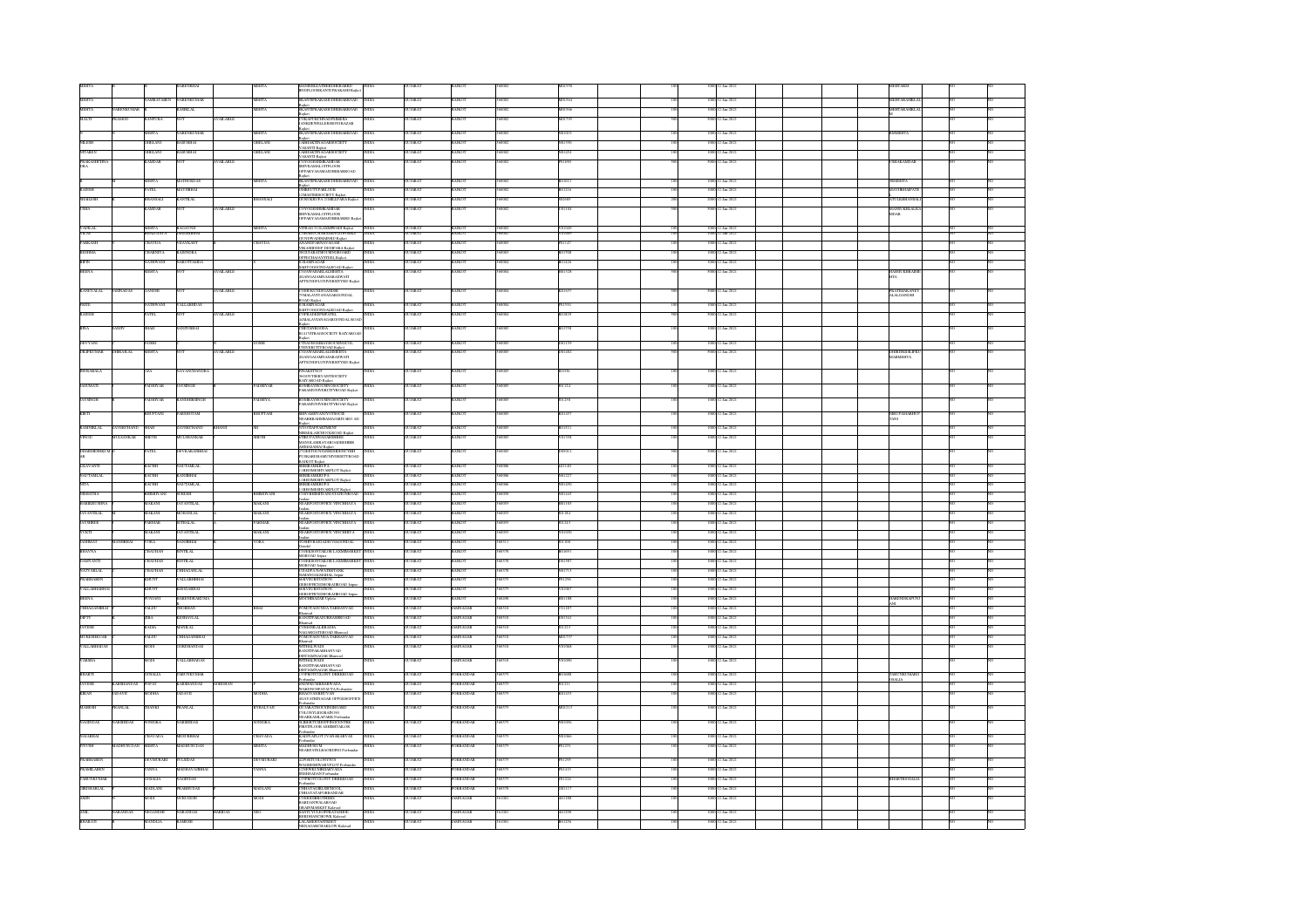|                         |                      |                 |                             |                | .<br>ANISHLEATHERDHEBARRD<br>NDFLOORKANTI PRAKASH Rajket                                               |              | AR AT                 |                         |     |                 |  |                                |  |                           |  |  |
|-------------------------|----------------------|-----------------|-----------------------------|----------------|--------------------------------------------------------------------------------------------------------|--------------|-----------------------|-------------------------|-----|-----------------|--|--------------------------------|--|---------------------------|--|--|
|                         |                      |                 |                             |                |                                                                                                        |              |                       |                         |     |                 |  |                                |  |                           |  |  |
|                         |                      |                 | RENKUMAR                    |                | <b><i>CANTIPRAKASH DHEBARROAD</i></b>                                                                  |              | <b>JARA</b>           |                         |     |                 |  | Jan(202)                       |  | <b>EHTARASIK</b>          |  |  |
| MEHTA                   | ARENKUMA             |                 | <b>ASIKLAL</b>              | EHTA           | SKANTIPRAKASH DHEBARROAD                                                                               | INDIA        | JARAT                 | AJKOT:                  |     | 01566           |  | $2 - 2021$                     |  | EHTARASIKLA               |  |  |
| <b>MALT</b>             |                      |                 |                             |                |                                                                                                        |              |                       |                         |     |                 |  |                                |  |                           |  |  |
|                         |                      |                 |                             |                | HAO<br>OKAPURCHNADPSIMEJIA<br>ANKIJEWELLERSSONI BAZAR                                                  |              |                       |                         |     |                 |  |                                |  |                           |  |  |
|                         |                      |                 | ENKUMAR                     |                | ijkot<br>CANTIPRAKASH DHEBARROAD                                                                       |              | <b>ARAT</b>           |                         |     |                 |  |                                |  | мнта                      |  |  |
|                         |                      |                 |                             |                |                                                                                                        |              |                       |                         |     |                 |  |                                |  |                           |  |  |
| <b>NILESH</b>           |                      | HELANI          | UBHA                        | HELANI         | kot<br>BHAKTINAGAR SOCIETY                                                                             |              | <b>JARAT</b>          | ukon                    |     |                 |  | J <sub>20</sub> 202            |  |                           |  |  |
| <b>NITABEN</b>          |                      | GHELANI         | ASUBHAI                     | GHELANI        | VASANTI Rajkot<br>LABHAKTINAGAR SOCIETY                                                                | NDIA         | <b>JARA</b>           | :AJKOT                  |     |                 |  | -Jan-2021<br>1000              |  |                           |  |  |
|                         |                      | $\sqrt{M}$      | All ARI F                   |                | <b>ASANTI Rajkot<br/>YOYOGESHARKAMDAR</b>                                                              |              | <b>JARA</b>           | $\overline{\mathbf{w}}$ |     |                 |  | J <sub>202</sub>               |  |                           |  |  |
| PRAKASH<br>DRA          |                      |                 |                             |                | LUYUGESHMKAMDAR<br>SHIVKAMALI STFLOOR<br>OPPARYASAMAJDHEBARROAD<br>"                                   |              |                       |                         |     |                 |  |                                |  |                           |  |  |
|                         |                      |                 |                             |                |                                                                                                        |              |                       |                         |     |                 |  |                                |  |                           |  |  |
|                         |                      | <b>MEHTA</b>    | <b>ATHURDAS</b>             | <b>JEHTA</b>   | ajkot<br>KANTIPRAKASH DHEBARROAD                                                                       | <b>INDIA</b> | <b>TARATE</b>         | <b>AIKOT</b>            |     | 11021           |  | 2-Jan-2021<br>1000             |  | <b>TRASHTA</b>            |  |  |
| RAJESH                  |                      | ATEL.           | AVJBHAI                     |                | Galot<br>MBEUTYPARLOUR                                                                                 | INDIA        | <b>UJARAT</b>         | <b>AIKOT</b>            | 002 | 01216           |  | 2021<br>1000                   |  | <b>AVJIBHAIPAT</b>        |  |  |
| <b>SHAILESH</b>         |                      | HANSALI         | ANTE.AL                     | HANSALI        | 2MASTERSOCIETY Rajkot<br> JURUKRUPA 21 MILLPARA Rajkot                                                 | INDIA        | <b>UJARAT</b>         | <b>AIKOT</b>            | 002 | 02685           |  | 2000                           |  | TULKBHANS                 |  |  |
|                         |                      |                 |                             |                |                                                                                                        |              |                       |                         |     |                 |  |                                |  |                           |  |  |
| <b>SHA</b>              |                      | <b>MDAR</b>     | <b>AILABLE</b>              |                | COYOGESHMKAMDAR<br>HIVKAMALI STFLOOR<br>JPPARYASAMAJDHEBARRD Rajk                                      |              | <b>ARAT</b>           | кот                     |     | $\frac{1}{104}$ |  | Jan-2021                       |  | ANSUKHLAL<br>DAR          |  |  |
|                         |                      |                 |                             |                |                                                                                                        |              |                       |                         |     |                 |  |                                |  |                           |  |  |
|                         |                      |                 |                             |                | /PAR1.com<br>TIRAG 312LAXMIWADI Rajket<br>************HENGGWORKS                                       |              |                       |                         |     |                 |  |                                |  |                           |  |  |
| <b>VADILAL</b><br>VILAS |                      | HTA<br>IALODIYA |                             |                | YOBAHUCHARAJIENGGWOR<br>JUNDWADIMAINRD Rajkot                                                          |              | <b>JARAT</b><br>JARAT |                         |     |                 |  | -Jan-202<br>-Jan-202           |  |                           |  |  |
| PARKASE                 |                      | <b>AVDA</b>     | AYKANT                      |                |                                                                                                        |              | <b>JARAT</b>          |                         |     |                 |  |                                |  |                           |  |  |
| RESHMA                  |                      | <b>LARNIYA</b>  | <b>VENDRA</b>               |                | <b>VIKASHDEEP DEDIPARA Rajkot</b><br>Recurs in a vision rencursa per                                   | .<br>NDIA    | <b>JARAT</b>          | <b>AJKOT</b>            |     | 01708           |  | $3-4$ an- $2021$<br>100        |  |                           |  |  |
|                         |                      |                 |                             |                | <b>OPPECHAIAYSTEEL Rajkot</b><br>HRAMNAGAR                                                             |              |                       |                         |     |                 |  |                                |  |                           |  |  |
| <b>BIPIN</b>            |                      | ATHWANI         | ROTTAMDA                    |                |                                                                                                        | <b>SDLA</b>  | <b>UJARAT</b>         | :<br>AIKOT              |     | B01426          |  | -<br>Ian-2021<br>1000          |  |                           |  |  |
| HEENA                   |                      | <b>EHTA</b>     | <b>ALABLE</b>               |                | s<br>AHYOGGONDALROAD Rajket<br>COJAWAHARLALMEHTA<br>4GANGALAMNASARASWATI<br>APTS2NDFLUNIVERSITYRD Rajk |              | :<br>Larat            | <b>AJKOT</b>            |     | ) 1328          |  | -<br>-<br>Jan-2021             |  | <b>EASMUKHRA</b>          |  |  |
|                         |                      |                 |                             |                |                                                                                                        |              |                       |                         |     |                 |  |                                |  | TА                        |  |  |
| KANEYALAL               | <b>MNADAS</b>        | HKINA           | <b>AVAILABLE</b>            |                | <b><i>DMEKENDIGANDHE</i></b>                                                                           |              | UJARAT                | <b>AJKOT</b>            |     | 11635           |  | mm                             |  | PRATIMAKANI               |  |  |
|                         |                      |                 |                             |                | SMALAVIYANAGARGONDAL                                                                                   |              |                       |                         |     |                 |  | 2-Jan-2021                     |  | <b>M.ALGANDHI</b>         |  |  |
| PRITE                   |                      | <b>THWANI</b>   | <b>ALLABHDAS</b>            |                | <b>OAD Rajkot<br/> RAMNAGAR</b>                                                                        | <b>STOLA</b> | UJARAT                | <b>AJKOT</b>            |     | <b>H</b> CE     |  | -Jan-2021<br>1000              |  |                           |  |  |
|                         |                      |                 |                             |                |                                                                                                        |              |                       |                         |     |                 |  |                                |  |                           |  |  |
| <b>RAJESH</b>           |                      | ÆL.             | VAILABLE                    |                | :<br>AHYOGGONDALROAD Rajket<br>COPRADEEPMPATEL<br>HMALAVIANAGARGONDAL ROAD                             | INDIA        | <b>JARAT</b>          | <b>AJKOT</b>            |     | 01829           |  | -<br>Ian-2021<br>500           |  |                           |  |  |
|                         |                      |                 |                             |                |                                                                                                        |              |                       |                         |     |                 |  |                                |  |                           |  |  |
|                         |                      |                 |                             |                | HEITANRGODA<br>HETANRGODA<br>141 VITRAGSOCIETY RAIYAROAE                                               |              | ara                   |                         |     |                 |  |                                |  |                           |  |  |
| DEVYANI                 |                      | isht            |                             |                | iket<br>SAVBOMBAYHOUSINGCOL                                                                            |              | JARAT                 | uker                    |     |                 |  | $-3m-202$                      |  |                           |  |  |
|                         |                      |                 |                             |                | <b>INIVERCITYROAD Rajkot</b><br>COJAWAHARLALMMEHTA                                                     |              |                       |                         |     |                 |  |                                |  |                           |  |  |
| DILIPKUMAR              | IRAILAL              | EHTA            | <b>ALABLE</b>               |                |                                                                                                        |              | <b>JARA</b>           |                         |     |                 |  | J <sub>20</sub> 202            |  | HIRITRIDILIP)<br>IARMEHTA |  |  |
|                         |                      |                 |                             |                | GANGAJAMNASARASWATI<br>¤TS2NDFLUNIVERSITYRD Rujko                                                      |              |                       |                         |     |                 |  |                                |  |                           |  |  |
| <b>INDRABAL/</b>        |                      |                 | <b>ANCHAND</b>              |                | <b>GAKSTNON</b>                                                                                        |              | <b>JARA</b>           |                         |     |                 |  | J <sub>20</sub>                |  |                           |  |  |
|                         |                      |                 |                             |                | <b>SOOVTSERVANTSOCIETY</b>                                                                             |              |                       |                         |     |                 |  |                                |  |                           |  |  |
| <b>JASUMATI</b>         |                      | <b>DHIVAR</b>   | VSINGH                      | <b>IDHIVAR</b> | LAIY AROAD Rajkot<br>IOMBAYHOUSINGSOCIETY                                                              |              | <b>TARAT</b>          |                         |     |                 |  | Im 20                          |  |                           |  |  |
|                         |                      |                 |                             |                | ARAMUNIVERCITYROAD Raiket                                                                              |              |                       |                         |     |                 |  |                                |  |                           |  |  |
| <b>JAYSINGH</b>         |                      | <b>ADHIYAR</b>  | <b>ANDHIRSINGH</b>          | <b>ADHIYA</b>  | BOMBAYHOUSINGSOCIETY<br>PARAMUNIVERCITYROAD Rajkot                                                     | <b>NDL</b>   | <b>UJARAT</b>         | :AJKOT                  |     |                 |  |                                |  |                           |  |  |
|                         |                      |                 |                             |                |                                                                                                        |              |                       |                         |     |                 |  |                                |  |                           |  |  |
| KIKTI                   |                      |                 |                             |                | <b><i><u><b>DAMINANTUOTEOTE</b></u></i></b>                                                            |              |                       |                         |     |                 |  |                                |  |                           |  |  |
|                         |                      |                 |                             |                | EARBRAHMSAMAJARIYARO AD                                                                                |              |                       |                         |     |                 |  |                                |  | $\overline{\mathbf{M}}$   |  |  |
| <b>RAMINIKLAL</b>       | VERCHAND             | <b>HAH</b>      | VERCHAND<br>BHANJI          |                | ijket<br>YOTIAPPARTMENT                                                                                |              | JARAT                 | aikot                   |     |                 |  | J <sub>202</sub>               |  |                           |  |  |
| <b>VINOD</b>            | <b>LSANKAR</b>       | ETH             | <b>LSHANKAR</b>             | ΕTΗ            | <b>GRMALASCHOOLROAD Rajkot</b><br>STIRUPATINAGARSHREE                                                  |              | JARAT                 | JKOT                    |     |                 |  | J <sub>20</sub> 202            |  |                           |  |  |
|                         |                      |                 |                             |                | HRUPATESALARSHREE<br>MANGLAMRAY AROADBEHIBR                                                            |              |                       |                         |     |                 |  |                                |  |                           |  |  |
| DHARMES                 |                      |                 | <b>VKARANBH</b>             |                | <b>HMASAMAJ Rajkot<br/>?GEETGUNJANRESIDENCYBH</b>                                                      |              | <b>JARA</b>           |                         |     |                 |  | $\frac{1}{2}$                  |  |                           |  |  |
|                         |                      |                 |                             |                | FUSKARDHAMUNIVERSITYROAD<br>RUSKARDHAMUNIVERSITYROAD<br>GURD AMERITRA                                  |              |                       |                         |     |                 |  |                                |  |                           |  |  |
| LLAVANTI                |                      | CHH             | <b>TAMLAL</b>               |                |                                                                                                        |              | <b>ARA</b>            |                         |     |                 |  |                                |  |                           |  |  |
| <b>NAUTAMLAL</b>        |                      | <b>ACHH</b>     | <b>NIBHAI</b>               |                | <b>IBHOMESHVARPLOT Rajket</b>                                                                          | <b>NDIA</b>  | <b>JARAT</b>          | <b>AJKOT</b>            |     | n227            |  | $3-4$ an- $2021$<br>nm         |  |                           |  |  |
| NПА                     |                      | <b>ACHH</b>     | AUTAMLAL                    |                | ARAKANBALUTA<br>HBHOMESHVARPLOT Rajkot<br>SHRIRAMKRUPA                                                 | INDIA        | UJARAT                | <b>AJKOT</b>            |     | 01450           |  | 2-Jan-2021<br>1000             |  |                           |  |  |
|                         |                      |                 |                             |                |                                                                                                        |              |                       |                         |     |                 |  |                                |  |                           |  |  |
| <b>NISHATHA</b>         |                      | HIMIYANI        | <b>JURESH</b>               | <b>BUIYANI</b> | <b>LIBHOMESHVARPLOT Rajket</b><br>COSVBHIMITYANI STATIONROAD                                           | <b>INDIA</b> | <b>JARAT</b>          | <b>AIKOT</b>            |     | 201443          |  | 1000                           |  |                           |  |  |
| <b>HARIKRUSH</b>        |                      |                 | ANTE.AL                     |                | adan<br>EARPOSTOFFICE VINCHHAYA                                                                        |              | <b>ARAT</b>           | кот                     |     |                 |  | $an-202$                       |  |                           |  |  |
| <b>JAYANTILAL</b>       |                      | AK ANT          | <b>KHANLAL</b>              | <b>AKAN</b>    | adan<br>EARPOSTOFFICE VINCHHAYA                                                                        | NDL          | <b>JARAT</b>          | AIKOT                   |     |                 |  | $\frac{1}{2}$ an-202           |  |                           |  |  |
|                         |                      |                 |                             |                | sdan<br>EARPOSTOFFICE VINCHHAYA                                                                        |              |                       |                         |     |                 |  |                                |  |                           |  |  |
| <b>JAYSHREE</b>         |                      | <b>PMAK</b>     | <b>THALAL</b>               | <b>SPMAR</b>   |                                                                                                        |              | 1139.57               | ukon                    |     |                 |  | km <sup>20</sup>               |  |                           |  |  |
| YUKTI                   |                      | AKANI           | <b>YANTEAL</b>              | .<br>AKANI     | uslan<br>EARPOSTOFFICE VINCHHIYA                                                                       | <b>NDIA</b>  | <b>JARAT</b>          | <b>AJKOT</b>            |     |                 |  | $2 - 2021$<br>1000             |  |                           |  |  |
| <b>JASHMAT</b>          |                      | <b>RA</b>       | NJIBHA                      | ORA            | adan<br>OSHIVRAJGADH                                                                                   |              | <b>JARA</b>           | <b>AJKOT</b>            |     |                 |  | $\overline{100}$<br>: Jan-2021 |  |                           |  |  |
|                         |                      |                 |                             |                | ondal<br>OJEKSONTAILOR LAXMIMARKET                                                                     |              |                       |                         |     |                 |  |                                |  |                           |  |  |
| <b>BHAVNA</b>           |                      | <b>IAUHAN</b>   | NTILAL.                     |                |                                                                                                        | <b>INDIA</b> | <b>JARA</b>           | <b>AIKOT</b>            |     |                 |  | J <sub>202</sub>               |  |                           |  |  |
| <b>DAMYANTI</b>         |                      | <b>ALBIAN</b>   | .<br>NTILAL                 |                | <b>AGROAD Jeipur<br/>COJEKSONTAILOR LAXMIMARKET</b>                                                    | INDIA        | <b>TARAT</b>          | AIKOT                   |     |                 |  | -<br>-<br>Jan-202              |  |                           |  |  |
| <b>NATVARLAL</b>        |                      | <b>HAUHAN</b>   | <b>HAGANLAL</b>             |                | AGROAD Jeipur<br>IJJADPA N:WATERTANK                                                                   | <b>INDIA</b> | <b>UARAT</b>          | <b>AJKOT</b>            |     | 11713           |  | -Jan-2021<br>1000              |  |                           |  |  |
| PRABHABEN               |                      | <b>IUNT</b>     | <b>ILABHBHAI</b>            |                | EMANGALMAHAL.Jetpur                                                                                    | <b>INDIA</b> | <b>JARAT</b>          | <b>AJKOT</b>            |     | <b>H296</b>     |  | -Jan-2021                      |  |                           |  |  |
| VALLABHABH/             |                      |                 |                             |                | GEBOFFICEDHORAIIROAD Jepur<br>66KVSUBSTATION                                                           |              |                       |                         |     |                 |  |                                |  |                           |  |  |
|                         |                      | HUNT            | HODABHAI                    |                | <b>EBOFFICEDHORAJIROAD Jeipur</b><br>#OCHIBAZAR Upleia                                                 | <b>INDIA</b> | <b>UJARAT</b>         | <b>AJKOT</b>            |     | 01067           |  | 2021<br>1000                   |  |                           |  |  |
| <b>IEENA</b>            |                      | .<br>JANI       | NDRAK                       |                |                                                                                                        |              | .<br>ARAT             | кот                     |     | 1188            |  | $tan-202$                      |  |                           |  |  |
|                         |                      |                 |                             |                | <b>MOTAGUNDA T.</b>                                                                                    |              | ARAT                  | NAGA                    |     |                 |  | m <sup>20</sup>                |  |                           |  |  |
| <b>DIPTY</b>            |                      |                 | <b>ESHAVLAL</b>             |                | harvad<br>ANJITPARASUBHASHROAD                                                                         | .<br>NDIA    | <b>TARAT</b>          | <b>MNAGAR</b>           |     | 0131            |  | $302 - 202$                    |  |                           |  |  |
| JAYESH                  |                      | ADIA            | ANILAL.                     |                | unvad<br>DMANILALKRADIA                                                                                | <b>SDIA</b>  | JARAT                 | <b><i>MINAGAR</i></b>   |     | 122             |  | -Jan-2021                      |  |                           |  |  |
|                         |                      |                 |                             |                |                                                                                                        |              |                       |                         |     |                 |  |                                |  |                           |  |  |
| MUKESHKUAR              |                      | <b>ALDU</b>     | <b>HHAGANBHA</b>            |                | <b>JAGARGATEROAD Bhanyad<br/>OMOTAGUNDA TABHANVAD</b>                                                  | vnu          | <b>JARA</b>           | <b><i>MINAGAR</i></b>   |     |                 |  | m                              |  |                           |  |  |
| VALLABHAD.              |                      |                 | <b>RDHANDA</b>              |                | Bhanvad<br>WITHALWADI<br>RANJITPARABHANVAD                                                             |              | <b>JARA</b>           | <b>ENAGAI</b>           |     |                 |  | J <sub>20</sub>                |  |                           |  |  |
|                         |                      |                 |                             |                |                                                                                                        |              |                       |                         |     |                 |  |                                |  |                           |  |  |
| VARSHA                  |                      | <b>FOD</b>      | <b>ALLABHADAS</b>           |                | <b>ISTLAMNAGAR Bhanyaí</b><br>VITHALWADI<br>ANJITPARABHANVAD                                           |              | JARAT                 | <b>NAGAR</b>            |     |                 |  | $\frac{1}{2}$ an-202           |  |                           |  |  |
|                         |                      |                 |                             |                |                                                                                                        |              |                       |                         |     |                 |  |                                |  |                           |  |  |
| BHARTI                  |                      | <b>GOSALIA</b>  | <b>TARUNKUMAR</b>           |                | <b>OSTIAMNAGAR Bhanyad</b><br>35PROTCOLONY DRRKROAD                                                    | <b>INDIA</b> | UJARAT                | <b>ORBANDAR</b>         |     |                 |  | -Jan-2021<br>m                 |  | TARUNKUMAR                |  |  |
| <b>JAYESH</b>           | ARSHANDAS            | POPAT           | ARSHANDAS<br><b>GORDHAN</b> |                | Porbandar<br>SNEWKUMBHARWADA                                                                           | INDIA        | UJARAT                | ORBANDAR                |     | 1211            |  | 1000                           |  | <b>SALIA</b>              |  |  |
|                         |                      |                 |                             |                |                                                                                                        |              | .<br>ARAT             |                         |     |                 |  |                                |  |                           |  |  |
|                         |                      |                 |                             |                | WARDNOSPATAUTA Porbandar<br>BHAGVANBHUVAN<br>4GAYATRINAGAR OPPGEBOFFICE                                |              |                       |                         |     |                 |  |                                |  |                           |  |  |
| MAHESH                  | мÅ                   |                 | WLAL.                       | <b>IALVAR</b>  | ebandar<br>UJARATHOUSINGBOARD                                                                          |              | ARA)                  |                         |     |                 |  |                                |  |                           |  |  |
|                         |                      |                 |                             |                | DECISION TOWNS                                                                                         |              |                       |                         |     |                 |  |                                |  |                           |  |  |
| <b>NAGINDAS</b>         | RSHIDAS              | NKRA            | <b>RSHIDAS</b>              | NIGRA          | <b>COLONYLLOGRAPIVO<br/>SLIBERTYSHOPPINGCENTRE<br/>FIRSTFLOOR ASHISHTAILOR</b>                         |              | JARAT                 | ORBANDAR                |     |                 |  | J <sub>20</sub> 202            |  |                           |  |  |
|                         |                      |                 |                             |                |                                                                                                        |              |                       |                         |     |                 |  |                                |  |                           |  |  |
| <b>NAJABHAI</b>         |                      |                 |                             |                | orbandar<br>ADIYAPLOT 2VANAKARVAS                                                                      |              |                       | RBANDA                  |     |                 |  |                                |  |                           |  |  |
| <b>MVI KS</b>           |                      |                 |                             |                | <b>ENGINEERT</b>                                                                                       |              |                       |                         |     |                 |  |                                |  |                           |  |  |
|                         |                      |                 |                             |                | EARPATELBAORDING Porbandar                                                                             |              |                       |                         |     |                 |  |                                |  |                           |  |  |
| PRABHABEN               |                      | EVMURARI        | <b>JLSIDAS</b>              | EVMURARI       | 2PORTCOLONYNO                                                                                          |              | UJARAT                | ORBANDAR                |     |                 |  | -Jan-2021                      |  |                           |  |  |
|                         |                      |                 |                             |                | VAGHESHWAR YPLOT Porbands<br>2NEWKUMBHAR VADA                                                          |              |                       |                         |     |                 |  |                                |  |                           |  |  |
| <b>PRAMILABEN</b>       |                      | <b>AZA</b>      | ADHAVAJIBH                  | ANNA           |                                                                                                        | INDIA        | <b>JARAT</b>          | ORBANDAR                |     | 01413           |  |                                |  |                           |  |  |
| ARUNKUMA                |                      | .<br>M.D        |                             |                | (EHSADAN Porbandar<br>(SPROTCOLONY DRRKRO                                                              |              | <b>ARAT</b>           | RBANDAR                 |     |                 |  |                                |  |                           |  |  |
| <b>JECHARLAI</b>        |                      | .<br>DLANI      |                             |                | bandar<br>HAYAGIRLSSCHOOL                                                                              |              | <b>ARAT</b>           | RBANDAR                 |     |                 |  | $_{50-202}$                    |  |                           |  |  |
|                         |                      |                 | RUNN                        | m              | HHAY ATAPORBAN                                                                                         |              | JARAT                 | VAGAR                   |     |                 |  |                                |  |                           |  |  |
|                         |                      |                 |                             |                | RDANWALAROAD                                                                                           |              |                       |                         |     |                 |  |                                |  |                           |  |  |
| ANIL.                   | <b><i>RANDAS</i></b> | ANDHI           |                             |                | :<br>:AINMARKET Kalavad<br>:NTCYCLEOPPBATASHOE                                                         | <b>NDLA</b>  | <b>JARA</b>           | <b>ENAGAR</b>           |     |                 |  | J <sub>202</sub>               |  |                           |  |  |
|                         |                      | <b>ANDLIA</b>   |                             |                | <b>SERDHANCHOWK Kalavad</b><br>ALAMEHTASTREET                                                          |              |                       |                         |     |                 |  |                                |  |                           |  |  |
| <b>BHARATI</b>          |                      |                 | WESH                        |                |                                                                                                        | INDIA        | <b>UJARA</b>          | MNAGAR                  |     |                 |  |                                |  |                           |  |  |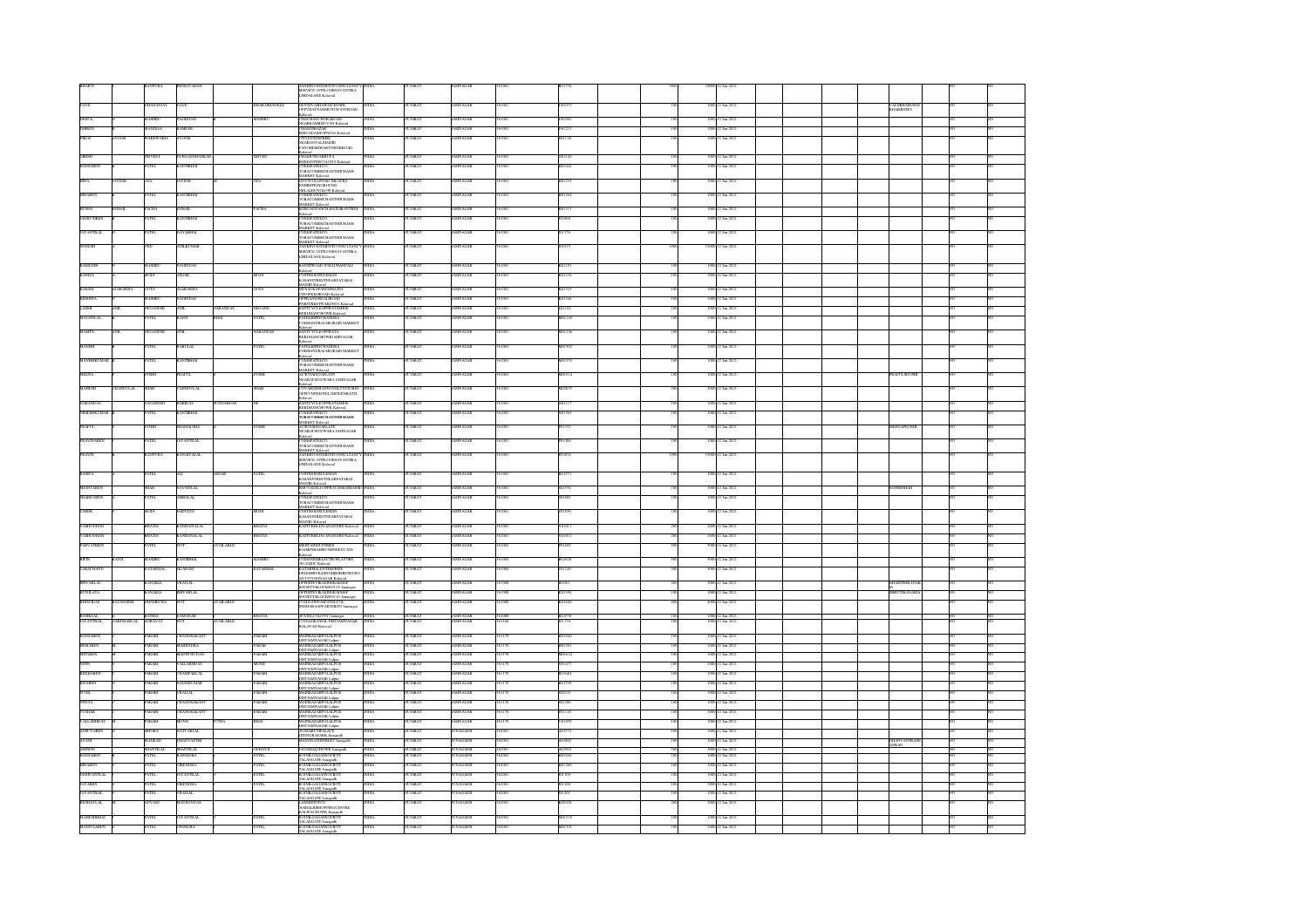|                          |                | <b>SPURA</b>      | <b>DRAVADA</b>     |                 |                | <b><i>EANKINVESTMENTCONSULTANCY</i></b>                                                                           |                       | JARAT            | WENAGAR                 |       |               |  |       |                                    |  |                           |  |
|--------------------------|----------------|-------------------|--------------------|-----------------|----------------|-------------------------------------------------------------------------------------------------------------------|-----------------------|------------------|-------------------------|-------|---------------|--|-------|------------------------------------|--|---------------------------|--|
|                          |                |                   |                    |                 |                | SERVICE ISTFLOOR9AVANTIKA<br><b>IMDALANE Kalavad</b>                                                              |                       |                  |                         |       |               |  |       |                                    |  |                           |  |
|                          |                |                   |                    |                 |                |                                                                                                                   |                       |                  |                         |       |               |  |       |                                    |  |                           |  |
|                          |                |                   |                    |                 |                | DEVNIVASHAWAICHOWK<br>OPPVIJAYPANMUNCH SVFROAD                                                                    |                       | <b>ARAT</b>      | NAGAR                   |       |               |  |       | tan 202                            |  | VALJIBHAIN.<br>BHAIMISTRY |  |
|                          |                |                   |                    |                 |                | alavad<br>HAUHANCHORAROAD                                                                                         |                       | <b>ARAT</b>      |                         |       |               |  |       |                                    |  |                           |  |
|                          |                |                   |                    |                 |                | NEARRAMBHUVAN Kalavad<br>CHANDIBAZAR                                                                              |                       | <b>JARAT</b>     | MNACAR                  |       |               |  |       | $3m-202$                           |  |                           |  |
| <b>HIREN</b>             |                | <b>WDLIA</b>      | <b>WESH</b>        |                 |                |                                                                                                                   |                       |                  |                         |       |               |  |       |                                    |  |                           |  |
| <b>IROZ</b>              | ool            | VAKEWARIA         | YOOB               |                 |                | NBUGDASHOPNO26 Kalavad<br>:TTYENTERPRISE                                                                          |                       | .<br>Jarat       | <b>MEXAGAR</b>          |       | ūП            |  |       | 2-Jan-202                          |  |                           |  |
|                          |                |                   |                    |                 |                | LITTEN IERPRISE<br>NEARGOVALMASJID<br>PANOHESHWARTOWERROAD                                                        |                       |                  |                         |       |               |  |       |                                    |  |                           |  |
| ାହାପ୍ୟ                   |                | <b>BIVEDI</b>     | <b>HIRGADSHANK</b> |                 | <b>BIVED</b>   | alayad<br>HAMUNDAKRUPA                                                                                            |                       | <b>HIARAT</b>    | <b>ANAGAR</b>           |       | 01126         |  |       | 1000 12-Jsn-202                    |  |                           |  |
| ANSABE                   |                |                   | WIBHA              |                 |                | HMANTERCOLONY Kalavi<br>OMAPATELCO                                                                                |                       | <b>JARAT</b>     | <b>ENAGAR</b>           |       |               |  |       | $50^{202}$                         |  |                           |  |
|                          |                |                   |                    |                 |                | <b>TOBACOMERCHANTSHUBASH</b>                                                                                      |                       |                  |                         |       |               |  |       |                                    |  |                           |  |
|                          |                |                   | YESH               |                 |                |                                                                                                                   |                       | JARAT            | MNAGAR                  |       |               |  |       | $-3an-202$                         |  |                           |  |
|                          |                |                   |                    |                 |                | <b>MARKET Kalayad<br/>GOVTCOLONYBS7BLOCK4</b><br>EXHIBITIONGROUND<br>NRLALBUNGLOW Kalayad<br>NRLALBUNGLOW Kalayad |                       |                  |                         |       |               |  |       |                                    |  |                           |  |
| HINABER                  |                |                   | NTIBHA             |                 |                | OBACOMERCHANTSHUBASH                                                                                              |                       | JARAT            | <b>MNAGAR</b>           |       |               |  |       |                                    |  |                           |  |
|                          |                |                   |                    |                 |                | <b>JARKET Kalavad<br/>JARKET Kalavad<br/>GGROADPANCH HATDIRANTREE</b>                                             |                       |                  |                         |       |               |  |       |                                    |  |                           |  |
| <b>IUSEN</b>             |                | <b>ACHA</b>       | <b>MAL</b>         |                 | <b>ACHA</b>    |                                                                                                                   | NDL                   | JARAT            | <b>MENAGAR</b>          |       |               |  | 1000  | 2-Jan-2021                         |  |                           |  |
| <b>JAGRUTIBEN</b>        |                | ATEI              | .<br>WTBHAI        |                 |                | Kalavad<br>COMAPATELCO<br>TOBACOMERCHANTSHUBASH                                                                   |                       | JARAT            | MNAGAR                  |       |               |  |       | $-tan - 2021$                      |  |                           |  |
| <b>AYANTILAL</b>         |                |                   | <b>VARHAI</b>      |                 |                | <b>AARKET Kalayad</b><br>XMAPATELCO                                                                               |                       | 13837            | <b>INVACAR</b>          |       |               |  |       | $50^{20}$                          |  |                           |  |
|                          |                |                   |                    |                 |                | <b>OBACOMERCHANTSHUBASH</b>                                                                                       |                       |                  |                         |       |               |  |       |                                    |  |                           |  |
| <b>GNESH</b>             |                |                   | <b>NILKUMAR</b>    |                 |                | <b>ARKET Kalavad<br/>ANKINVESTMENTCONSULTANO</b>                                                                  |                       | <b>JARAT</b>     | MNAGAR                  |       |               |  |       |                                    |  |                           |  |
|                          |                |                   |                    |                 |                | SERVICE ISTFLOOR9AVANTIKA<br><b>JMDALANE Kalavad</b>                                                              |                       |                  |                         |       |               |  |       |                                    |  |                           |  |
| <b>AMLESH</b>            |                |                   | <b>GINDA!</b>      |                 |                | NJITROAD 3CHAL                                                                                                    |                       |                  | NAGAR                   |       |               |  |       | J <sub>20</sub> 202                |  |                           |  |
|                          |                |                   |                    |                 |                |                                                                                                                   |                       |                  |                         |       |               |  |       |                                    |  |                           |  |
|                          |                |                   |                    |                 |                | Gilavad<br>TOSTMODISULEMAN<br>KASANSTREETNEARFATABAI                                                              |                       |                  |                         |       |               |  |       |                                    |  |                           |  |
| <b>KASAM</b>             | LARAKHA        |                   | LARAKHA            |                 | <b>OTA</b>     | <b>ASJID Kalivad</b><br>IUSAUKAPANCHHATDI                                                                         |                       | JARAT            | <b>MNAGAR</b>           |       |               |  |       | 1000 12-Jan-2021                   |  |                           |  |
| CRISHNA                  |                |                   | AGINDAS            |                 |                | CHOWKKGROAD Kalavad<br>OPPRAJGORFALIROAD                                                                          | <b>SDL</b>            | JARAT            | MNAGAR                  |       |               |  |       | $2-$ Jan- $2021$                   |  |                           |  |
|                          |                |                   |                    |                 |                | <b>NBSTREETWARDNO1 Kalavad</b><br>KANTCYCLEOPPBATASHOE                                                            |                       |                  |                         |       |               |  |       |                                    |  |                           |  |
| LAXMI                    |                |                   | NΠ                 |                 |                | BERDHANCHOWK Kalavad<br>PATELBIPINCHANDRA                                                                         |                       | .<br>Jarat       | <b>MINAGAR</b>          |       |               |  |       | 2-Jan-2021                         |  |                           |  |
| MAGANLA                  |                |                   |                    |                 |                | OKHANDBAJARGRAIN MARKET                                                                                           |                       | <b>JARA</b>      | MNAGAR                  |       | $\frac{1}{2}$ |  |       | $3m-202$                           |  |                           |  |
| MAMTA                    |                | CANDHI            | ŃI.                |                 | <b>URANDAS</b> | Kalayad<br>SANTCYCLEOPPBATA                                                                                       |                       | JARAT            | WENAGAR                 |       | 01246         |  |       | 3 <sub>202</sub>                   |  |                           |  |
|                          |                |                   |                    |                 |                | BERDHANCHOWKJAMNAGAR                                                                                              |                       |                  |                         |       |               |  |       |                                    |  |                           |  |
| LANISH                   |                |                   | <b>ABULAL</b>      |                 | <b>VTEL</b>    | Kalavad<br>PATELBIPINCHANDRA<br>COKHANDBAJARGRAIN MARKET                                                          |                       | JARAT            | MNAGAR                  |       | 130           |  |       | 3 <sub>202</sub>                   |  |                           |  |
|                          |                |                   |                    |                 |                |                                                                                                                   |                       |                  |                         |       |               |  |       |                                    |  |                           |  |
| WKHKI                    |                |                   | <b>TIRHA</b>       |                 |                | alavad<br>OMAPATELCO<br><b>TOBACOMERCHANTSHUBASH</b>                                                              |                       | <b>IARA</b>      | <b>INMOAR</b>           |       |               |  |       |                                    |  |                           |  |
| MEENA                    |                | OSHI              | RAFUL.             |                 | <b>OSHI</b>    | <b>AARKET Kalayad</b><br>47RTJADEJAFLATS                                                                          |                       | <b>UJARAT</b>    | WINAGAR                 |       | 01514         |  |       | 1000 12-Jan-2021                   |  | <b>RAFULSDOSH</b>         |  |
|                          |                |                   |                    |                 |                | NEARGURUDWARA JAMNAGAR                                                                                            |                       |                  |                         |       |               |  |       |                                    |  |                           |  |
| AHES                     |                |                   |                    |                 |                | Nilayad<br>Kalayad<br>OPPPUNITHOTEL NRTEENBATTI                                                                   |                       | IARA             | <b>MNAGA</b>            |       |               |  |       |                                    |  |                           |  |
|                          |                |                   |                    |                 |                |                                                                                                                   |                       |                  |                         |       |               |  |       |                                    |  |                           |  |
| <b>2AU ANDAS</b>         |                | <b>HOWDER</b>     | 24/1865            | <b>INDARDAS</b> |                | Kalavad<br>SANTCYCLEOPPBATASHOE                                                                                   | <b>INDIA</b>          | <b>HIARAT</b>    | <b>MNAGAR</b>           |       | wи            |  |       | 1000 12-Jan-2021                   |  |                           |  |
| <b>CIMESHKUMA</b>        |                | <b>TEL</b>        | NTIBHAI            |                 |                | BERDHANCHOWK Kalavad<br>COMAPATELCO                                                                               |                       | JARAT            | <b><i>MENAGAR</i></b>   |       | 1365          |  |       | J <sub>202</sub>                   |  |                           |  |
|                          |                |                   |                    |                 |                | <b>TOBACOMERCHANTSHUBASH</b>                                                                                      |                       |                  |                         |       |               |  |       |                                    |  |                           |  |
| PRAFUL                   |                |                   | MALSHA             |                 |                | MARKET Kalavad<br>447RTIADEJAFLATS<br>NEARGURUDWARA JAMNAGAR                                                      |                       | JARAT            | <b>ENAGAR</b>           |       |               |  |       | J <sub>20</sub> 202                |  |                           |  |
| <b>RAVINABEI</b>         |                |                   | ANTE AL            |                 |                | alavad<br>OMAPATELCO                                                                                              |                       | <b>JARAT</b>     | <b>ENAGAR</b>           |       |               |  |       |                                    |  |                           |  |
|                          |                |                   |                    |                 |                | TOBACOMERCHANTSHUBASH                                                                                             |                       |                  |                         |       |               |  |       |                                    |  |                           |  |
| <b>PRAVIN</b>            |                | <b>ANPURA</b>     | .<br>WAIYALAL      |                 |                | MARKET Kalavad<br>FANKINVESTMENTCONSULTANCY                                                                       |                       | .<br>Jarat       | WINAGAR                 |       |               |  | 19000 | 2-Jan-2021                         |  |                           |  |
|                          |                |                   |                    |                 |                | SERVICE I STFLOOR9AVANTIKA<br>LIMDALANE Kalavad                                                                   |                       |                  |                         |       |               |  |       |                                    |  |                           |  |
| RASIDA                   |                |                   |                    |                 |                |                                                                                                                   |                       | <b>TARA</b>      | <b>INMON</b>            |       |               |  |       | $Jan-202$                          |  |                           |  |
|                          |                |                   |                    |                 |                | OSTMODISULEMAN<br>LASANSTREETNEARFATABAI                                                                          |                       |                  |                         |       |               |  |       |                                    |  |                           |  |
| HANTABEN                 |                | SHAH              | VNITLAL            |                 |                | AASJID Kalivad<br>HASJID Kalivad<br>HHUVADELI OPPRATANBAIMASJI                                                    |                       | JARAT            | <b><i>MINAGAR</i></b>   |       |               |  |       | 1000 12-Jan-2021                   |  | пененан                   |  |
|                          |                |                   |                    |                 |                | alayad<br>OMAPATELCO                                                                                              |                       |                  | .<br>Nafar              |       |               |  |       |                                    |  |                           |  |
|                          |                |                   |                    |                 |                | <b>TOBACOMERCHANTSHUBASH</b>                                                                                      |                       |                  |                         |       |               |  |       |                                    |  |                           |  |
|                          |                |                   |                    |                 |                | IOnawson<br>MARKET Kalavad<br>COSTMODISULEMAN<br>KASANSTREETNEARFATABAI                                           |                       |                  |                         |       |               |  |       | $tan-2021$                         |  |                           |  |
|                          |                |                   |                    |                 |                | <b>JASJID Kalivad<br/>JASJID Kalivad</b><br>JASTURBLDG ANANDRD Kalavas                                            |                       |                  |                         |       |               |  |       |                                    |  |                           |  |
| <b>SHODHA?</b>           |                | <b>ATTA</b>       | HAIVAI AI          |                 |                |                                                                                                                   |                       | AR AT            | NAGAR                   |       |               |  | 2000  | $Jan-202$                          |  |                           |  |
| ASHODHAN                 |                | xτι               | HANALAL            |                 |                | <b>STURBLING ANANDRD Kalawad</b>                                                                                  |                       | <b>ARA</b>       | MNAGAR                  |       |               |  | 2000  | $-3a + 202$                        |  |                           |  |
| PARVATIBE!               |                |                   |                    | <b>ALABLE</b>   |                | MEHTAINDUSTRIES<br>B44MPSHAHMUNINDEST ATE                                                                         |                       | IJARAT           | MNAGAR                  |       |               |  |       | $Jan-202$                          |  |                           |  |
|                          |                |                   |                    |                 |                | alavad<br>OMANISHELECTROPLATORS                                                                                   |                       |                  | <b>MNAGAR</b>           |       |               |  |       |                                    |  |                           |  |
| RIPIN                    |                | <b>ACUDE</b>      | WIRHAI             |                 | <b>GH241</b>   |                                                                                                                   |                       | <b>HARAT</b>     |                         |       | <b>ILENS</b>  |  |       | 5000 12-Jan-2021                   |  |                           |  |
| TARACHANI                |                | TARMAL            | LARAM              |                 | TARMA          | <b>S12GIDC Kalayad</b><br>ATARMALENTERPRISE<br><b>DINESHBUILDINGHIRJIMISTRYRO</b>                                 |                       | <b>JARAT</b>     | <b>INMTAR</b>           |       |               |  |       | tan 202                            |  |                           |  |
| <b>SHVARLAL</b>          |                | KANAKIA           | <b>RAILAL</b>      |                 |                | D UDYOGNAGAR Kalivad<br>PPISITEVIKASINDRADEEP                                                                     |                       | UJARAT           | <b>MINAGAR</b>          |       |               |  |       | 2000 12-Jan-2021                   |  | .<br>DHARITRIKAN          |  |
|                          |                |                   |                    |                 |                |                                                                                                                   | <b>INDIA</b>          |                  |                         |       | 1061          |  |       |                                    |  |                           |  |
| KUNJLATA                 |                | VAKIA             | 'ARLAL             |                 |                | SOCIETYBLOCKNOC45 January<br>OPPISITEVIKASINDRADEEP<br>SOCIETYBLOCKNOC45 January<br>CON ENVIDAGEATELCOL           |                       | wat              | NAGA                    |       |               |  |       | $an-202$                           |  |                           |  |
| CHODIDAS                 |                | <b>IAMECHA</b>    |                    | AU ARI F        |                | NEHARAAPPARTMENT Jan                                                                                              |                       | 1139.57          | <b>INAGAR</b>           |       |               |  |       | 0.202                              |  |                           |  |
|                          |                |                   | <b>DAMODAR</b>     |                 | <b>BHATIA</b>  |                                                                                                                   |                       | <b>GUJARAT</b>   |                         |       | <b>R01576</b> |  |       |                                    |  |                           |  |
| RASIKLAL<br>JAYANTILAL   | .<br>ARDHARLAL | BATHIA<br>AGRAVAT |                    | <b>VAILABLE</b> |                | 4PATELCOLONY Jammagar<br>COJGAGRAWAL DISTJAM                                                                      | <b>INDIA</b><br>INDIA | UJARAT           | WINAGAR<br>WINAGAR      |       | 1178          |  |       | 000 12-Jan-2021<br>000 12-Jan-2021 |  |                           |  |
|                          |                |                   |                    |                 |                | <b>CALAVAD Kalavad</b>                                                                                            |                       |                  |                         |       |               |  |       |                                    |  |                           |  |
| <b>HANSABEN</b>          |                | ABARI             | <b>HANDRAKANI</b>  |                 | PABARI         | <b>MAINBAZARPOLALPUR</b>                                                                                          | NDIA                  | JARAT            | <b><i>MINAGAR</i></b>   |       | 1040          |  |       | 1000 12-Jan-2021                   |  |                           |  |
| EMADEN                   |                |                   |                    |                 |                | <b>SSTJAMNAGAR Lalper<br/>AAINRAZARPOLALPUR</b>                                                                   |                       | $\overline{101}$ |                         |       |               |  |       |                                    |  |                           |  |
| <b>MITAREN</b>           |                | <b>SRADI</b>      | <b>ADHESHDAN</b>   |                 | <b>ARART</b>   | .<br>2007 - ANNAGAR Labor<br>MAINBAZAR POLAL PUR                                                                  | .<br>NDIA             | <b>TARAT</b>     | <b>MNAGAR</b>           |       | 401624        |  |       | 1000 12-5m2021                     |  |                           |  |
| VITIN.                   |                | <b>ARAPT</b>      | <b>ALL ARHEMAN</b> |                 | MONIT          |                                                                                                                   | NDIA.                 | <b>HARAT</b>     | <b>MNAGAR</b>           |       | m222          |  |       | 1000 12-Iss-2021                   |  |                           |  |
| REKHABEN                 |                | ABARI             | <b>HAMPAKLAL</b>   |                 | .<br>ABARI     | <b>OSTJAMNAGAR Lalpur<br/>AAINBAZARPOLALPUR</b>                                                                   | NDIA                  | <b>UJARAT</b>    | WINAGAR                 | 51170 | 101684        |  |       | 1000 12-Jan-2021                   |  |                           |  |
| <b>TABEN</b>             |                | <b>BARI</b>       | <b>ILINKUMAR</b>   |                 | ABARI          | <b>MSTIAMNAGAR Lalpar</b><br>AAINBAZARPOLALPUR                                                                    | <b>SDLA</b>           | <b>ARAT</b>      | .<br>INAGAR             |       | 1739          |  | 1000  | $\frac{1}{2}$ an-2021              |  |                           |  |
|                          |                | $\overline{u}$    |                    |                 |                | ISTJAMNAGAR Lalpur<br>IAINBAZARPOLALPUR                                                                           |                       |                  | <b>NAGAR</b>            |       |               |  |       |                                    |  |                           |  |
|                          |                |                   |                    |                 | <b>BARI</b>    | iNicoreae etc.<br>ISTIAMNAGAR Lalpur<br>©™NRA7ARPOLALPUR                                                          |                       |                  |                         |       |               |  |       | tan 202                            |  |                           |  |
| <b>SWETA</b>             |                | <b>ARAPI</b>      | <b>HANDRAKAN</b>   |                 | <b>ABARI</b>   | <b>SSTJAMNAGAR Lalper</b><br><b>AAINBAZARPOLALPUR</b>                                                             | <b>SDIA</b>           | <b>TARAT</b>     | <b>MNAGAR</b>           |       | mw            |  |       | 000 12-Jan-2021                    |  |                           |  |
| TUSHAR                   |                | <b>ABARI</b>      | <b>HANDRAKANI</b>  |                 | ABARI          |                                                                                                                   | NDIA                  | JARAT            | <b>WENAGAR</b>          |       | 01128         |  |       | 1000 12-Jan-2021                   |  |                           |  |
| <b>VALLABHDAS</b>        |                | <b>ABARI</b>      | <b>AONJI</b>       |                 | HА             | <b>MSTJAMNAGAR Lalpur<br/>AAINBAZARPOLALPUR</b>                                                                   | <b>SDIA</b>           | <b>JARAT</b>     | WINAGAR                 |       |               |  |       | 1000 12-Jan-2021                   |  |                           |  |
| ANSUYABEN                |                | <b>HORA</b>       | <b>TVARLAI</b>     |                 |                | <b>0STIAMNAGAR Lalpur</b><br>02MARUTIPALACE                                                                       |                       | <b>JARA'</b>     | <b>NAGADH</b>           |       |               |  | 1000  | 2-Jan-2021                         |  |                           |  |
| AVANI                    |                | <b>ANKAD</b>      | <b>ANVANTRI</b>    |                 |                | TENDRAPARK Junagadh<br>IANGNATHSTREET Junag                                                                       | .<br>NDI A            | 1149.47          | <b>NAGADH</b>           |       |               |  |       | 1000 12-Jan-202                    |  |                           |  |
|                          |                | <b>JANTILA</b>    |                    |                 |                |                                                                                                                   |                       |                  |                         |       |               |  |       |                                    |  | NKAD                      |  |
| ASHWIN<br>HANSABEN       |                |                   | NTILAL<br>ENDRA    |                 | ATEL           | .<br>GAMALCHOWK Junag<br>18NILGAGANSOCIETY                                                                        |                       | IJARAT<br>IJARAT | .<br>UNAGADH<br>UNAGADH |       |               |  |       | :<br>Jan-202<br>: Jan-202          |  |                           |  |
| <b>INABEN</b>            |                | <b>TEL</b>        | RENDRA             |                 | <b>ATEL</b>    | ALAOGATE Amagach<br>HSNILGAGANSOCIETY                                                                             | m                     | <b>JARAY</b>     | <b>INAGADH</b>          |       | 11266         |  |       | 2-Jan-2021                         |  |                           |  |
| ASHVANTLAL               |                | PATEL.            | YANTE.AL           |                 | <b>ATEL</b>    | <b>ALAOGATE Juragah<br/>HSNILGAGANSOCIETY</b>                                                                     | <b>NDIA</b>           | UJARAT           | <b>INAGADH</b>          |       | 01109         |  |       | 1000 12-Jan-2021                   |  |                           |  |
| AYABEN                   |                | <b>ATEL</b>       | RENDRA             |                 | ATEL.          |                                                                                                                   | NDIA                  | Jarat            | NAGADH                  |       | 1160          |  |       | $\frac{1}{2}$ an-2021              |  |                           |  |
| <b>AYANTEAL</b>          |                |                   | .<br>Milai         |                 |                | <b>FALAOGATE Jungah<br/>318NILGAGANSOCIETY</b><br>518NILGAGANSOCIETY<br>318NILGAGANSOCIETY                        |                       | <b>TARAY</b>     | Variatie                |       |               |  |       | J <sub>20</sub>                    |  |                           |  |
|                          |                |                   |                    |                 |                | <b>LAOGATE</b> Junger                                                                                             |                       |                  |                         |       |               |  |       |                                    |  |                           |  |
| <b>SHAVLAL</b>           |                |                   |                    |                 |                | <b>GOMETIN CO.</b><br>6SHALRISHOPPINGCENTRE                                                                       |                       | <b>JARAT</b>     | <b>SAGADH</b>           |       |               |  |       | $tan-2021$                         |  |                           |  |
|                          |                |                   |                    |                 |                |                                                                                                                   |                       |                  |                         |       |               |  |       |                                    |  |                           |  |
|                          |                |                   |                    |                 |                |                                                                                                                   |                       |                  |                         |       |               |  |       |                                    |  |                           |  |
| MAHESHBHAI<br>MANJULABEN |                | ATEL.             | YANTE.AL           |                 | ATEL           | <b>LALWACHOWK Jungarih</b><br>HSNILGAGANSOCIETY<br><b>TALADGATE Jurogath<br/>B18NILGAGANSOCIETY</b>               |                       | JARAT            | <b>NAGADH</b>           |       |               |  |       | $3m-202$                           |  |                           |  |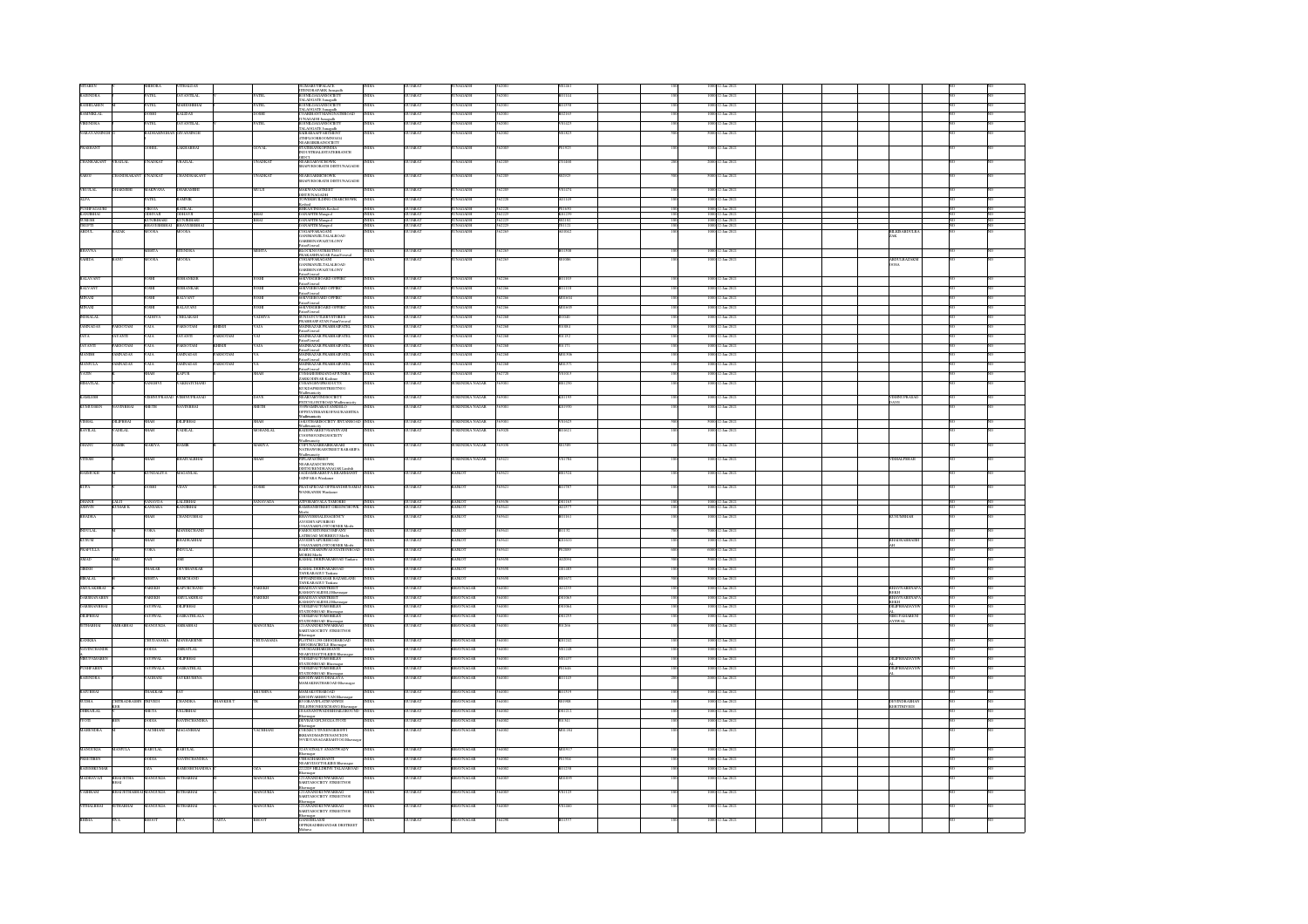|                                        | <b>IHORA</b>          | <b>ALDA</b>                |                |                         | 2MARUTPALACE                                                                       |              | JARAT                                    | NAGADE                           |       |                  |  |                                                                                           |                                      |  |                           |  |  |
|----------------------------------------|-----------------------|----------------------------|----------------|-------------------------|------------------------------------------------------------------------------------|--------------|------------------------------------------|----------------------------------|-------|------------------|--|-------------------------------------------------------------------------------------------|--------------------------------------|--|---------------------------|--|--|
|                                        |                       |                            |                |                         | <b>ARU1».</b><br>DRAPARK Junigas<br>TAGANSOCIETY                                   |              | <b>TARA</b>                              |                                  |       |                  |  |                                                                                           |                                      |  |                           |  |  |
| <b>ASHILAREN</b>                       |                       |                            |                |                         | ≀SNILUMA<br>ALADGATE Jungadh<br>****!! GAGANSOCIETY                                |              | <b>JARAT</b>                             | <b>CAGAIN</b>                    |       |                  |  |                                                                                           |                                      |  |                           |  |  |
|                                        |                       |                            |                |                         |                                                                                    |              |                                          |                                  |       |                  |  |                                                                                           |                                      |  |                           |  |  |
| <b>RAMINIKLAL</b>                      | <b>OSHI</b>           | <b>ALIDAS</b>              |                | <b>NOSHI</b>            | NILLIAUssen<br>  AOGATE Jurugadh<br>  APIHANT MANGNATHROAD                         | <b>STYLE</b> | UJARAT                                   | UNAGADH                          |       |                  |  | 1000                                                                                      | -Jan-202                             |  |                           |  |  |
| <b>VIRENDRA</b>                        |                       | <b>NTLAL</b>               |                |                         | NAGADH Junagadh<br>SNILGAGANSOCIETY                                                |              | <b>JARA</b>                              |                                  |       |                  |  |                                                                                           |                                      |  |                           |  |  |
| <b>NARAYANSING</b>                     | ADHASINGHA            | <b>TYANSINGH</b>           |                |                         | <b>FALAOGATE Jurogach<br/>SAIBABAAPPARTMENT</b>                                    | <b>DIA</b>   | UJARAT                                   | UNAGADH                          |       |                  |  |                                                                                           | 5000 12-Jan-2021                     |  |                           |  |  |
|                                        |                       |                            |                |                         | HFLOORROOMNO40                                                                     |              |                                          |                                  |       |                  |  |                                                                                           |                                      |  |                           |  |  |
| <b>PRASHANT</b>                        | <b>HFI</b>            | <b>ARHA</b>                |                |                         | EARGIRIRAISOCIETY<br>ATEBANKOFINIMA                                                |              | UJARAT                                   | NAGADH                           |       |                  |  |                                                                                           |                                      |  |                           |  |  |
|                                        |                       |                            |                |                         | <b>COUSTRIALESTATEBRANCH</b>                                                       |              |                                          |                                  |       |                  |  |                                                                                           |                                      |  |                           |  |  |
| <b>CHANRAKANT</b><br><b>VRAJLAL</b>    | NADKAT                | <b>RAILAL</b>              |                | NADKAT                  | IDCI<br>EARGARVICHOWK                                                              |              | UJARAT                                   | <b>NAGADH</b>                    |       |                  |  |                                                                                           | 2000 12-Jan-2021                     |  |                           |  |  |
|                                        |                       |                            |                |                         | HAPURSORATH DISTJUNAGADH                                                           |              |                                          |                                  |       |                  |  |                                                                                           |                                      |  |                           |  |  |
| SAROJ<br>ANDRAKA                       | NADKAT                | <b>JANDRAKANT</b>          |                | <b>ADKAT</b>            |                                                                                    |              | UJARAT                                   | NAGADH                           |       |                  |  |                                                                                           | $-1$ an-202                          |  |                           |  |  |
|                                        |                       |                            |                |                         | EARGARBICHOWK<br>HAPURSORATH DISTJUNAGADH                                          |              |                                          |                                  |       |                  |  |                                                                                           |                                      |  |                           |  |  |
| VRUJLAL                                | <b>AKWANA</b>         | <b>HAPAMSHI</b>            |                | <b>TLEA</b>             | <b>IAKWANASTREET</b>                                                               |              | UJARAT                                   | NAGADH                           |       |                  |  |                                                                                           | -Jan-202                             |  |                           |  |  |
| <b>ALPA</b>                            | ŒL                    | WNIK                       |                |                         | STJUNAGADH<br>WERBUILDING CHARCHOWK                                                | <b>STYLE</b> | JARAT                                    | NAGADH                           |       | 149              |  |                                                                                           | J <sub>202</sub>                     |  |                           |  |  |
|                                        |                       |                            |                |                         |                                                                                    |              |                                          |                                  |       |                  |  |                                                                                           |                                      |  |                           |  |  |
| <b>PUSHPAGAURI</b>                     | VIROJA                | <b>RATILAL</b>             |                |                         | shod<br>IRAJCINEMA Keshod                                                          | NDIA         | GUJARAT                                  | <b>UNAGADH</b>                   |       | P01650           |  |                                                                                           | 1000 12-Jan-202                      |  |                           |  |  |
| KANJIBHAI<br>SURESH<br>TRUPTI<br>ABDUL | ODHVAJI<br>KUNJBIHARI | ODHAVJI<br>KUNIBIHARI      |                | BHAI<br>BHAI            | DANAPITH Mangoo<br>DANAPITH Mangoo                                                 | NDIA         | GUJARAT<br>GUJARAT<br>GUJARAT<br>GUJARAT | JUNAGADH<br>JUNAGADH<br>JUNAGADH |       | K01239<br>502102 |  | $\begin{array}{ c c c c }\n\hline\n1000 & 11 \\ \hline\n1000 & 11 \\ \hline\n\end{array}$ | ։<br>Հ.Jan-202<br>Հ.Jan-202          |  |                           |  |  |
|                                        |                       |                            |                |                         |                                                                                    |              |                                          |                                  |       |                  |  |                                                                                           |                                      |  |                           |  |  |
| <b>AZAK</b>                            | <b>800SA</b>          | 400SA                      |                |                         |                                                                                    | <b>JDIA</b>  |                                          | NAGADH                           |       | 042              |  | 1000                                                                                      | Jan-2021                             |  | <b>BILKISABDULRA</b>      |  |  |
|                                        |                       |                            |                |                         | KIAFFARAGANI<br>NIMANZILTALALROAD                                                  |              |                                          |                                  |       |                  |  |                                                                                           |                                      |  |                           |  |  |
|                                        |                       |                            |                |                         | RIBENAWAZCOLONY                                                                    |              |                                          |                                  |       |                  |  |                                                                                           |                                      |  |                           |  |  |
| <b>BHAVNA</b>                          | EHTA                  | NDR.                       |                |                         | anVeraval<br>OCKNO3STREETNO                                                        |              | UJARAT                                   | NAGADH                           |       |                  |  |                                                                                           | Man-202                              |  |                           |  |  |
| SAHIDA                                 | me                    | <b>SOOSA</b>               |                |                         | <b>RAKASHNAGAR PatanVer</b><br>OGAEEARAGANI                                        |              | UJARAT                                   | NAGADH                           |       |                  |  |                                                                                           |                                      |  | BDULRAZAK                 |  |  |
|                                        |                       |                            |                |                         | ANIMANZILTALALROAD<br>ARIBENAWAZCOLONY                                             |              |                                          |                                  |       |                  |  |                                                                                           |                                      |  | <b>OSA</b>                |  |  |
|                                        |                       |                            |                |                         |                                                                                    |              |                                          |                                  |       |                  |  |                                                                                           |                                      |  |                           |  |  |
| BALAVANT                               | 0SHI                  | ESHANKER                   |                | SHI                     | atanVeraval<br>6KVSSGEBOARD OPPIRC                                                 | NDIA         | GUJARAT                                  | UNAGADH                          |       |                  |  |                                                                                           | 1000 12-Jan-202                      |  |                           |  |  |
| BALVANT                                |                       |                            |                |                         | itanVeraval<br>SKVGEROARD OPPI                                                     |              | 119.17                                   |                                  |       |                  |  |                                                                                           |                                      |  |                           |  |  |
| <b>MINAXT</b>                          | <b>TOHT</b>           | <b>ALVANT</b>              |                | von                     | <sup>5</sup> atan Veraval<br>66 KVGEBOARD OPPIRC                                   | <b>STOR</b>  | UJARAT                                   | NAGADH                           |       |                  |  |                                                                                           | 1000 12-5m-202                       |  |                           |  |  |
|                                        |                       |                            |                |                         |                                                                                    |              |                                          |                                  |       |                  |  |                                                                                           |                                      |  |                           |  |  |
| <b>MNAYI</b>                           | ishi                  | <b>MAYANI</b>              |                | $\overline{\mathbf{u}}$ | atanVeraval<br>6KVSSGEBOARD OPPIRC                                                 | <b>STOR</b>  | TLARAT                                   | <b>NAGADH</b>                    |       |                  |  |                                                                                           | 1000 12-Jan-2021                     |  |                           |  |  |
| <b>NDRALAL</b>                         | <b>ADHVA</b>          | CHELARAM                   |                | <b>ADHVA</b>            | atanVeraval<br>UNJAYCUTLERYSTORES                                                  | <b>DIA</b>   | <b>JUARAT</b>                            | UNAGADH                          | 2268  | 040              |  |                                                                                           | 1000 12-Jan-2021                     |  |                           |  |  |
| <b>ENADA</b>                           | UА                    | SOTAN                      |                |                         | RABHASPATAN PatanVeriya<br>IAINBAZAR PRABHAIPATEI                                  |              | <b>JARAT</b>                             | .<br>KAGADH                      |       |                  |  | $1000$ $12$                                                                               | $2 - 202$                            |  |                           |  |  |
|                                        |                       |                            |                |                         |                                                                                    |              |                                          |                                  |       |                  |  |                                                                                           |                                      |  |                           |  |  |
|                                        |                       |                            |                |                         | stan<br>Veraval<br>IAINBAZAR PRABH                                                 |              | <b>JARAT</b>                             | <b>AGAD</b>                      |       |                  |  |                                                                                           |                                      |  |                           |  |  |
| <b>JAYANTI</b><br><b>RSOTAM</b>        | <b>AIA</b>            | <b>BSOTAM</b>              |                | <b>AJA</b>              | atanVeraval<br>dAINBAZAR PRABHAIPATEL                                              | <b>COLA</b>  | <b>JUARAT</b>                            | NAGADH                           |       |                  |  |                                                                                           | 1000 12-5m202                        |  |                           |  |  |
| MANISH<br><b>INADAS</b>                | <b>AIA</b>            | <b>WINADAS</b>             | <b>RSOTAM</b>  |                         | tanVeraval<br>AINBAZAR PRABHAIPATEL                                                | <b>STOV</b>  | UJARAT                                   | <b>NAGADH</b>                    |       | 11306            |  | 1000                                                                                      | J <sub>202</sub>                     |  |                           |  |  |
|                                        |                       |                            |                |                         | ana<br>atanVeraval<br>dAINBAZAR PRABHAIPATEL                                       |              |                                          |                                  |       |                  |  |                                                                                           |                                      |  |                           |  |  |
| <b>MANJULA</b><br><b>ANADAS</b>        | <b>ATA</b>            | <b><i>ANNADAS</i></b>      | <b>URSOTAM</b> |                         |                                                                                    | <b>NDIA</b>  | UJARAT                                   | UNAGADH                          |       | <b>H371</b>      |  |                                                                                           | 1000 12-Jan-202                      |  |                           |  |  |
| <b>YATIN</b>                           |                       | VELIR                      |                |                         | atan Verayal<br>OMAHESHMANDAPJUNIBA                                                | <b>SDIA</b>  | <b>JARAT</b>                             | <b>NAGADE</b>                    |       |                  |  | $1000$ E                                                                                  | -<br>- Jan-20.                       |  |                           |  |  |
| <b>IMATEA</b>                          |                       | <b>KHATCH</b>              |                |                         | <b>ARKODINAR Kedinar</b><br>"OSANGHVIPRODUCTS"                                     |              | <b>UARAT</b>                             | <b>RENDRANAGE</b>                |       |                  |  |                                                                                           |                                      |  |                           |  |  |
|                                        |                       |                            |                |                         | UKDAPRESSSTREETNOL                                                                 |              |                                          |                                  |       |                  |  |                                                                                           |                                      |  |                           |  |  |
| KAMLESH                                | <b>ISHNUPRASAD</b>    | <b>ISHNUPRASAD</b>         |                |                         | Vadiwanicity<br>VEARSARVINDSOCIETY                                                 | <b>DIA</b>   | <b>JUJARAT</b>                           | SURENDRA NAGAR                   |       |                  |  |                                                                                           | 1000 12-Jan-202                      |  | <b>SHNUPRASA</b>          |  |  |
|                                        |                       |                            |                |                         |                                                                                    |              |                                          |                                  |       |                  |  |                                                                                           |                                      |  | AVE                       |  |  |
| <b>KUMUDBE?</b><br>INBHA               | <b>IETH</b>           | VINBHAI                    |                | HETH                    | <b>NTCOLONYROAD Wadhwanicity</b><br>ISSWAMINARAYANSDELO<br>PPSTATEBANKOFSAURASHTRA |              | <b>UJARAT</b>                            | <b>JRENDRA NAGAR</b>             |       |                  |  |                                                                                           | $3m-202$                             |  |                           |  |  |
|                                        |                       |                            |                |                         |                                                                                    |              |                                          |                                  |       |                  |  |                                                                                           |                                      |  |                           |  |  |
| VISHAL.                                | ŁАН                   | <b>ILIPBHAI</b>            |                |                         | elbranicity<br>KOTHARISOCIETY JINTANROA                                            |              | Jarat                                    | RENDRA NAGAR                     |       |                  |  |                                                                                           | $-3an-202$                           |  |                           |  |  |
| RAVILAL                                |                       | DILAL.                     |                |                         | <b><i><u>isdiwanicity</u></i></b>                                                  |              | ARAT                                     | NDRA NAGAR                       |       |                  |  |                                                                                           |                                      |  |                           |  |  |
|                                        |                       |                            |                |                         | AIESWAREL: FANNELLI<br>DOPHOUSINGSOCIETY                                           |              |                                          |                                  |       |                  |  |                                                                                           |                                      |  |                           |  |  |
| DHANU<br>AMIR                          | <b>ARIYA</b>          | <b>IAMIR</b>               |                | <b>IARIYA</b>           | ishwancity<br>OPUNAJABHAIRRABARI                                                   | <b>CDLA</b>  | UJARAT                                   | <b>URENDRA NAGAR</b>             |       |                  |  | 1000                                                                                      | 12-Jan-2021                          |  |                           |  |  |
|                                        |                       |                            |                |                         | ATHAWORASSTREET RABARIP/                                                           |              |                                          |                                  |       |                  |  |                                                                                           |                                      |  |                           |  |  |
| <b>TTESH</b>                           |                       |                            |                |                         | Calbuqueity<br>IPLAPASTREET<br>EARAZADCHOWK                                        |              |                                          |                                  |       |                  |  |                                                                                           |                                      |  |                           |  |  |
|                                        |                       |                            |                |                         |                                                                                    |              |                                          |                                  |       |                  |  |                                                                                           |                                      |  |                           |  |  |
| <b>HASMUKH</b>                         |                       | ANLA                       |                |                         | MSTSURENDRANAGAF<br>IAGDAMBAKRUPA BR<br>IAINPARA Warkaret                          |              | <b>JARAT</b>                             | <b>AIKOT</b>                     |       |                  |  |                                                                                           |                                      |  |                           |  |  |
|                                        |                       |                            |                |                         |                                                                                    |              |                                          |                                  |       |                  |  |                                                                                           |                                      |  |                           |  |  |
| RUPA                                   |                       | ĪА                         |                |                         | .<br>RATAPROAD OPPBANDHUSAMA                                                       |              | UJARAT                                   | <b>UKOT</b>                      |       |                  |  |                                                                                           | $3m-202$                             |  |                           |  |  |
|                                        |                       |                            |                |                         | <b>ANKANER Wankaner</b>                                                            |              |                                          |                                  |       |                  |  |                                                                                           |                                      |  |                           |  |  |
|                                        |                       |                            |                |                         | OBARVALA TAMORE                                                                    |              | UJARA                                    |                                  |       |                  |  |                                                                                           |                                      |  |                           |  |  |
| DHANII<br>ASHVIN<br><b>KUMAR K</b>     | KANSARA               | ALJIBHAI<br>CANJIBHAI      |                |                         | AMIANISTREET GREENCHOWK                                                            | <b>SDIA</b>  | UJARAT                                   | <b>AJKOT</b>                     | 63641 | 01577            |  |                                                                                           | 1000 12-Jan-2021<br>1000 12-Jan-2021 |  |                           |  |  |
| <b>HADRA</b>                           |                       | DUBH                       |                |                         |                                                                                    |              | <b>JARAT</b>                             |                                  |       |                  |  |                                                                                           |                                      |  |                           |  |  |
|                                        |                       |                            |                |                         | <br>WESHSALESAGENG<br>DDHYAPURIROD                                                 |              |                                          |                                  |       |                  |  |                                                                                           |                                      |  |                           |  |  |
| <b>INDULAL</b>                         | <b>ORA</b>            | <b>NEKCHAN</b>             |                |                         | SAVSARPLOTCORNER Morbi<br>MOUSSTONECOMPANY                                         |              | UJARAT                                   | <b>AJKO</b>                      |       |                  |  |                                                                                           |                                      |  |                           |  |  |
| KUSUM                                  |                       |                            |                |                         | <b>TIROAD MORBIGUI Morbi</b><br>(ODHYAPUREROAD                                     |              |                                          |                                  |       |                  |  |                                                                                           |                                      |  |                           |  |  |
|                                        | HAH                   | <b>HADRABHAI</b>           |                |                         |                                                                                    |              | UJARAT                                   | <b>AJKOT</b>                     |       |                  |  | 100                                                                                       | J <sub>202</sub>                     |  | <b>IADRABH</b>            |  |  |
| PRAFULLA                               | ORA                   | NDULAL                     |                |                         | <b>SAVSARPLOTCORNER Morbi</b><br>AHUCHARNIWAS STATIONROAD                          |              | <b>UJARAT</b>                            | :<br>AJKOT                       |       |                  |  |                                                                                           | 6000 12-Jan-202                      |  |                           |  |  |
| AMAD                                   |                       |                            |                |                         | IORBI Morbi<br>JAMAL DERINAKAROAD Tunkara                                          |              | <b>HARAY</b>                             | <b>AIKOT</b>                     |       |                  |  |                                                                                           | 3000 12-Jan-202                      |  |                           |  |  |
|                                        | <b>TAKAP</b>          |                            |                |                         | <b>IAL DEBRAYARON</b>                                                              |              | <b>TABAT</b>                             | $\overline{w}$                   |       |                  |  |                                                                                           |                                      |  |                           |  |  |
|                                        |                       | <b>VSHANKAB</b>            |                |                         |                                                                                    |              |                                          |                                  |       |                  |  |                                                                                           | J <sub>20</sub>                      |  |                           |  |  |
| HIRALAL                                | <b>MEHTA</b>          | <b>HEMCHAND</b>            |                |                         | ANKARAGUI Tankara<br>PPIAINDERASAR BAZARLANE                                       | <b>COLA</b>  | UJARAT                                   | <b>AIKOT</b>                     |       |                  |  |                                                                                           | 5000 12-Jan-2021                     |  |                           |  |  |
| <b>AMULAKHRAI</b>                      | AREKH                 | KAPURCHAND                 |                | <b>AREKH</b>            | <b>FANKARAGUJ Tankara</b><br>BHADEAVANISTREET                                      | <b>DIA</b>   | <b>JUJARAT</b>                           | <b>HAVNAGAR</b>                  | 4001  | 01235            |  |                                                                                           | 1000 12-Jan-2021                     |  | BHAVNABENA                |  |  |
| DARSHANABE?                            | AREKH                 | MULAKHRAI                  |                | <b>AREKH</b>            | KAMANVALIDELI Bhavnag<br>BHADEAVANISTREET                                          |              | UJARAT                                   | <b>HAVNAGAR</b>                  |       |                  |  |                                                                                           |                                      |  | REKH<br>BHAVNABENAF       |  |  |
|                                        |                       |                            |                |                         |                                                                                    | <b>SDIA</b>  |                                          |                                  |       | 1063             |  |                                                                                           | $1000$ 12-Jan-2021                   |  |                           |  |  |
| DARSHANB                               | .<br>YSWAL            | <b>ILIPBHAI</b>            |                |                         | AMANVALIDELI Bhavraga<br>ODILIPAUTOMOBILES                                         |              | <b>JARAT</b>                             | <b>VNAGAI</b>                    |       |                  |  | 1000                                                                                      | $3an - 202$                          |  | REKH<br>DILIPBHAUAY       |  |  |
| <b>DE IPRHAI</b>                       | <b>VSWAI</b>          | <b>ASRATHLAL</b>           |                |                         | ATIONROAD Bhaynag<br>DDILIPALTOMOBILES                                             |              | UJARAT                                   | <b>HAVNAGAE</b>                  |       |                  |  |                                                                                           | $\frac{1}{2}$                        |  | <b>TRIPAMARS</b>          |  |  |
| <b>JETHABHAI</b><br><b>DARU</b>        |                       | <b>MRARHAI</b>             |                |                         | ATIONROAD Bhaynagar                                                                | <b>TYLA</b>  | <b>JUJARAT</b>                           |                                  |       |                  |  |                                                                                           |                                      |  | YSWAL.                    |  |  |
|                                        |                       |                            |                |                         |                                                                                    |              |                                          |                                  |       |                  |  |                                                                                           |                                      |  |                           |  |  |
|                                        | <b>ANGUKIA</b>        |                            |                | WGUKIA                  | ARITASOCIETY STREETNOS                                                             |              |                                          | HAVNAGAR                         |       |                  |  | $1000 - 1$                                                                                | 2.5m/202                             |  |                           |  |  |
|                                        |                       |                            |                |                         |                                                                                    |              |                                          |                                  |       |                  |  |                                                                                           |                                      |  |                           |  |  |
| <b>KANKBA</b>                          | HUDASAMA              | MANHARSINH                 |                | <b>HUDASAM</b>          | magar<br>TNO1298 GHOGHAROAD                                                        | <b>DIA</b>   | GUJARAT                                  | HAVNAGAR                         |       |                  |  |                                                                                           | 1000 12-Jan-202                      |  |                           |  |  |
| <b>NAVINCHAN</b>                       | <b>ODIA</b>           | <b>JRATLAL</b>             |                |                         | HOGHACIRCLE Bhavnagar<br>YHINGAGHARGHANTI                                          |              | <b>TARAT</b>                             |                                  |       |                  |  |                                                                                           |                                      |  |                           |  |  |
| A<br>NIRUPAMABE                        | <b>VSWAI</b>          | <b>JE IPBHAI</b>           |                |                         | <b>EARVIAYTOLKIES Blue</b><br>YODILIPAUTOMOBILES                                   |              | <b>HARAY</b>                             | $\n  max$                        |       |                  |  |                                                                                           | 1000 12-Jan-202                      |  | <b>I PRHAILAV</b>         |  |  |
| <b>PUSHPABEN</b>                       | <b>AYSWALA</b>        | <b>DASRATHLAL</b>          |                |                         |                                                                                    | <b>DIA</b>   | <b>UARAT</b>                             | <b>IAVNAGAR</b>                  |       |                  |  |                                                                                           |                                      |  |                           |  |  |
|                                        |                       |                            |                |                         | <b>FATIONROAD Bhaviligae</b><br>ODILIPAUTOMOBILES                                  |              |                                          |                                  |       |                  |  |                                                                                           | 1000 12-Jan-202                      |  | <b>M.</b><br>XLIPBHAUAYSV |  |  |
| <b>RAJENDRA</b>                        | <b>AGHANI</b>         | <b>AYKRUSHNA</b>           |                |                         | <b>TATIONROAD Bhaynagar</b><br>HODIYARDUDHALAYA                                    | <b>SDIA</b>  | UJARAT                                   | HAVNAGAR                         |       | 1149             |  | 2000                                                                                      | $2 - 202$                            |  |                           |  |  |
|                                        |                       |                            |                |                         | <b>MAMAKHATHAROAD Bluymanter</b>                                                   |              |                                          |                                  |       |                  |  |                                                                                           |                                      |  |                           |  |  |
| RAJUBHAI                               | HAKKAR                |                            |                | <b>USHNA</b>            | MAKOTHAROAD                                                                        | <b>DIA</b>   | UJARAT                                   | HAVNAGAR                         |       |                  |  |                                                                                           | 1000 12-Jan-202                      |  |                           |  |  |
| <b>SUDHA</b>                           | <b>ENEDI</b>          | <b>JANDRA</b>              | GKER'          |                         | <b>HODIYARBHUVAN Bhavnagar</b><br>S10RAVIFLATSPANWDI                               | <b>SDIA</b>  | UJARAT                                   | Nagar                            |       |                  |  |                                                                                           | $tan-202$                            |  |                           |  |  |
| DHIRAJLAL                              | HETA                  | ELJIBHAI                   |                |                         |                                                                                    | NDIA         | UJARAT                                   | VNAGAR                           |       | 11212            |  | 1000                                                                                      | $34m-202$                            |  | ERTTRIVEDI                |  |  |
|                                        |                       |                            |                |                         | <b>ELEPHONEEXCHANG Bluvnagar</b><br>SAANANTWADI BHJAILGROUND                       |              |                                          |                                  |       |                  |  |                                                                                           |                                      |  |                           |  |  |
| <b>IYOTI</b>                           | <b>ODIA</b>           | <b>AVINCHANDR</b>          |                |                         | <b>NYBAUGPLNO24AJYOTI</b>                                                          | <b>COLA</b>  | UJARAT                                   | <b>VNAGAR</b>                    |       |                  |  | 1000                                                                                      | -Jan-202                             |  |                           |  |  |
| <b>MAHENDRA</b>                        | <b>ACHHANI</b>        | <b>AAGANBHAI</b>           |                | <b>ACHHAN</b>           |                                                                                    | <b>SDL</b>   | UJARAT                                   | HAVNAGAI                         |       |                  |  |                                                                                           | 1000 12-Jan-2021                     |  |                           |  |  |
|                                        |                       |                            |                |                         | <b>ABWREEF</b><br>OEXECUTIVEENGRSOFFI                                              |              |                                          |                                  |       |                  |  |                                                                                           |                                      |  |                           |  |  |
|                                        |                       |                            |                |                         | RIANDMAINTENANCEDN<br>VIDYANAGARSAHYOG Bhav                                        |              |                                          |                                  |       |                  |  |                                                                                           |                                      |  |                           |  |  |
| MANGUKIA<br>NJULA                      | BABULAI               | <b>ABULAL</b>              |                |                         | <b>AVATSALY ANANTWADY</b>                                                          | <b>NTVIA</b> | UJARAT                                   | <b><i>UNACLE</i></b>             |       |                  |  |                                                                                           | 1000 12-Jan-202                      |  |                           |  |  |
| PREETIBEN                              | <b>NODIA</b>          | <b>SAVINCHANDRA</b>        |                |                         | waagar<br>HAGHARGHANTI                                                             |              | UJARAT                                   | <b>HAVNAGAR</b>                  |       | <b>ISOL</b>      |  |                                                                                           | 1000 12-Jan-2021                     |  |                           |  |  |
|                                        |                       |                            |                |                         |                                                                                    |              |                                          |                                  |       |                  |  |                                                                                           |                                      |  |                           |  |  |
| RAJESHKUMA                             | ØА                    | <b><i>LAMESHCHANDR</i></b> |                |                         | EARVIJAYTOLKIES Bluvnagar<br>222DS HILLDRIVE TALAJAROAD                            | <b>SDIA</b>  | UJARAT                                   | <b>HAVNAGAR</b>                  |       | 01238            |  |                                                                                           | 1000 12-Jan-2021                     |  |                           |  |  |
| <b>MADHAVAJI</b><br>BHALJETHA          | <b>ANGUKIA</b>        | <b>THABHAI</b>             |                | <b>LANGUKIA</b>         |                                                                                    |              | <b>UJARAT</b>                            | HAVNAGAR                         |       |                  |  |                                                                                           | 1000 12-Jan-2021                     |  |                           |  |  |
|                                        |                       |                            |                |                         | uvugar<br>IANANDKUNWARBAG<br>RITASOCIETY STREETNOS                                 |              |                                          |                                  |       |                  |  |                                                                                           |                                      |  |                           |  |  |
| <b>VASHRAM</b>                         |                       |                            |                | GUKU                    |                                                                                    |              | <b>JARA</b>                              |                                  |       |                  |  |                                                                                           |                                      |  |                           |  |  |
|                                        |                       |                            |                |                         | awagar<br>IANANDKUNWARBAG<br>RITASOCIETY STREETNOS                                 |              |                                          |                                  |       |                  |  |                                                                                           |                                      |  |                           |  |  |
| <b>VITHALBHAI</b><br><b>JETHABHAI</b>  | ANGUKIA               | <b>THABHAI</b>             |                | <b>ANGUKIA</b>          |                                                                                    |              | UJARAT                                   | <b>HAVNAGAR</b>                  |       |                  |  |                                                                                           | 2-Jan-202                            |  |                           |  |  |
|                                        |                       |                            |                |                         | havnagar<br>21ANANDKUNWARBAG<br>ARITASOCIETY STREETNOS                             |              |                                          |                                  |       |                  |  |                                                                                           |                                      |  |                           |  |  |
|                                        |                       |                            |                |                         | .havnagar<br>IANESHLASSI<br>PPKHADIBHANDAR DRSTREET                                |              |                                          |                                  |       |                  |  |                                                                                           |                                      |  |                           |  |  |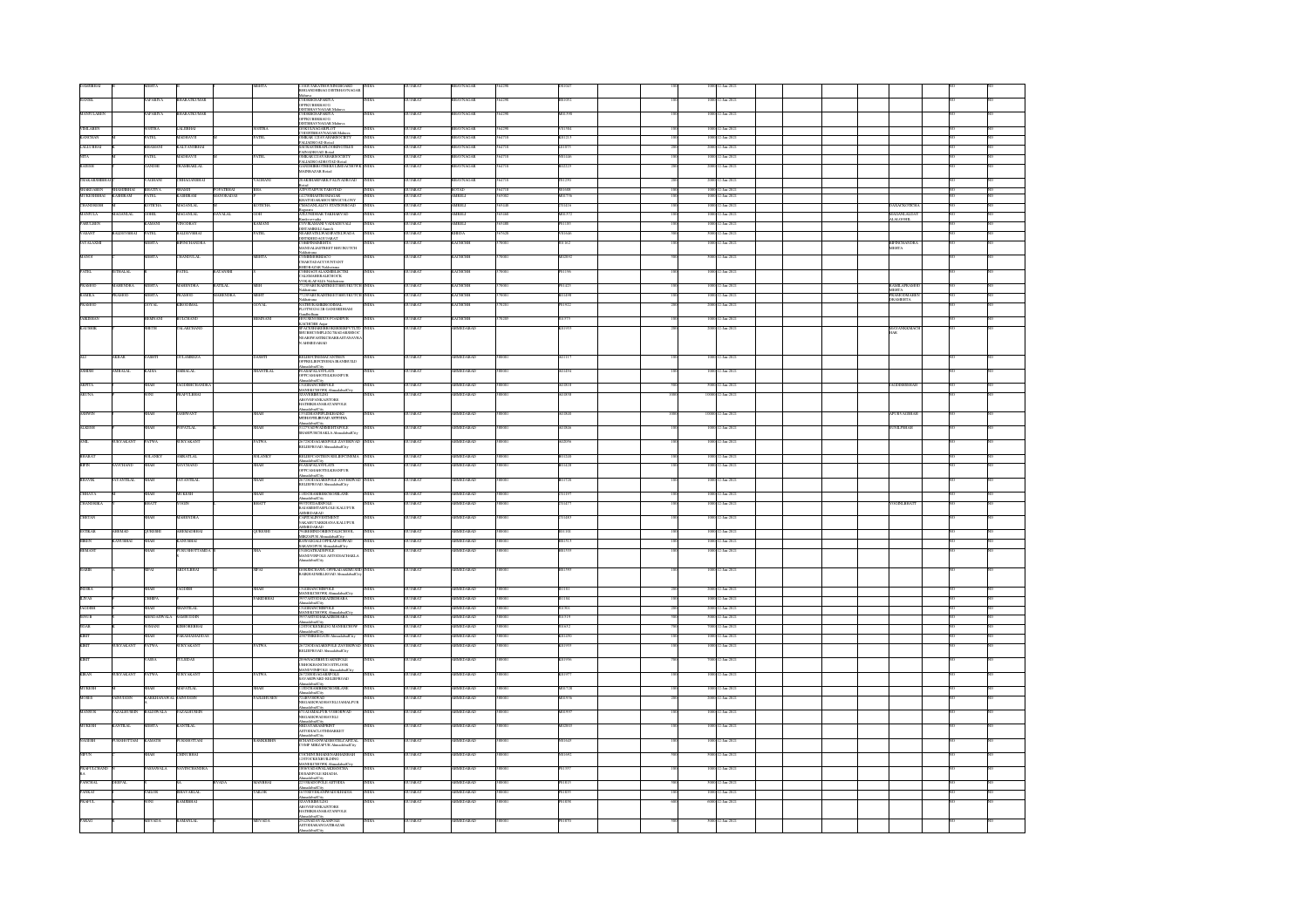|                         |                     |                   |                          |               |                  | HOGUJARATHOUSINGBOARD<br>BHGANDHIBAG DISTBHAVNAGAR                                                                         |              |                       |                   |       |             |  |                        |                                      |  |                               |  |  |
|-------------------------|---------------------|-------------------|--------------------------|---------------|------------------|----------------------------------------------------------------------------------------------------------------------------|--------------|-----------------------|-------------------|-------|-------------|--|------------------------|--------------------------------------|--|-------------------------------|--|--|
|                         |                     |                   |                          |               |                  | dahaya<br>CODRISCSAPARIYA                                                                                                  |              |                       |                   |       |             |  |                        |                                      |  |                               |  |  |
|                         |                     | 'ARIYA            | <b>RATKUMA</b>           |               |                  | OPPKUBERBAUG                                                                                                               |              |                       |                   |       |             |  |                        |                                      |  |                               |  |  |
|                         |                     |                   |                          |               |                  | DISTBHAVNAGAR<br>CODRBGSAPARIYA<br>OPPKUBERBAUG<br>OISTBHAVNAGAR Mah<br>COKULNAGARPLOT                                     |              |                       |                   |       |             |  |                        |                                      |  |                               |  |  |
|                         |                     |                   |                          |               |                  |                                                                                                                            |              |                       |                   |       |             |  |                        |                                      |  |                               |  |  |
| <b>IMLABEN</b>          |                     | ЭЛТRA             | LJIBHAI                  |               | י<br>אחור        | <b>CODISTBHAVNAGAR Mahaya</b><br>DMKAR 12JAVAHARSOCIETY                                                                    |              | <b>JARAT</b>          | NAGAR             |       |             |  | 1000                   | 2-Jan-202                            |  |                               |  |  |
| ANCHAN                  |                     |                   |                          |               |                  |                                                                                                                            |              |                       |                   |       |             |  |                        |                                      |  |                               |  |  |
| <b>LALLUBHAI</b>        |                     | HAMANI            | <b>CALYANIBHAI</b>       |               |                  | PALIADROAD Botad<br>SAURASTHRAFLOORINGTILES<br>ANADROAD Botad<br>WK AR121AVAHARSOCIETY                                     | <b>INDU</b>  | <b>JARAT</b>          | AVNAGAR           |       |             |  |                        | 2000 12-Jan-2021                     |  |                               |  |  |
|                         |                     |                   | ADIJANT                  |               |                  |                                                                                                                            |              | 13837                 | AVNAGAR           |       |             |  |                        | 1000 12-Jan-2021                     |  |                               |  |  |
| RAJESH                  |                     | <b>NDHI</b>       | <b>RAMBAKLAL</b>         |               |                  | <b>ALIADROADBOTAD Botad</b><br>JANDHIBROTHERS LIMDACHOV<br>MAINBAZAR Botad                                                 |              | <b>JARAT</b>          | AVNAGAR           |       |             |  | $\overline{\text{mm}}$ | J <sub>202</sub>                     |  |                               |  |  |
| THAKARSHIBH             |                     | VAGHANI           | CHHAGANBHAI              |               | VAGHANI          | <b>OAKSHARPARK PALIYADROAD</b>                                                                                             | <b>INDIA</b> | UJARAT                | <b>HAVNAGAR</b>   | 64710 | 01250       |  |                        | $2000$ 12-Jan-2021                   |  |                               |  |  |
|                         |                     | <b>TIYA</b>       |                          |               |                  | <b>stad</b><br>TPOTAJPUR TABOTAD                                                                                           |              | iuarai                |                   |       |             |  |                        |                                      |  |                               |  |  |
| SHARDABEN<br>MUKESHBHAI | <b>KASHIRAM</b>     | PATEL.            | ASHIRAM                  | MANORADAS     |                  | 4278SHASTROMAGAR                                                                                                           | <b>INDIA</b> | <b>JUJARAT</b>        | WRELL             | 59002 | 001736      |  |                        | 1000 12-Jan-2021<br>1000 12-Jan-2021 |  |                               |  |  |
| <b>HANDRESH</b>         |                     | ЛКНА              | <b>JANLAL</b>            |               | тісна            | <b>HATODARAHOUSINGCOLONY</b><br>"MAGANLALCO STATIONROAD                                                                    | NDIA         | Jarat                 | <b>GRELL</b>      |       | 1416        |  | 1000                   | $2-3an-2021$                         |  | AXACKOT                       |  |  |
| <b>MANJULA</b>          |                     |                   | .<br>NI A                |               |                  | igaara<br>ILUNIDHAR TAKHARVAD                                                                                              |              | <b>JARAT</b>          | <b>GRELL</b>      |       |             |  |                        |                                      |  | 3ANI ALI                      |  |  |
| PARULBEN                |                     | <b>MAN</b>        | <b>NODRAY</b>            |               | $\frac{1}{2}$    | .nkvavuadia<br>WIKAMANI VADIADEVALI                                                                                        |              | <b>TARAT</b>          | MRELI             |       | 1183        |  |                        | J <sub>20</sub>                      |  | ALALGOHIL                     |  |  |
| <b>ASANT</b>            | DEVBHAI             | ग्रहा             | <b>ILDEVBHAI</b>         |               |                  | <b>OSTAMRELI Ameli<br/>EARPATELWADIPATELWADA</b>                                                                           |              | JARAT                 | HEDA              |       |             |  | 3000                   | $\frac{1}{2}$ an-2021                |  |                               |  |  |
| <b>JAYALAXMI</b>        |                     |                   | <b>PINCHANDRA</b>        |               |                  | DISTKHEDAGUJARAT<br>COBIPINMMEHTA                                                                                          |              | JARAT                 | АСНСНИ            |       |             |  |                        | $\frac{1}{2}$ an-2021                |  | <b>BIPINCHANDR</b><br>MEHTA   |  |  |
|                         |                     |                   |                          |               |                  | MANDALIASTREET BHUJKUTCH                                                                                                   |              |                       |                   |       |             |  |                        |                                      |  |                               |  |  |
|                         |                     |                   |                          |               |                  | MAcazona<br>COMBIOREIACO<br>CHARTADACCOUNTANT<br>BHIDBAZAR Nakairara<br>COBHAGYALAXMIELECTRI                               |              |                       | <b>CHCHI</b>      |       |             |  |                        |                                      |  |                               |  |  |
| PATEL                   | <b>THALAL</b>       |                   | <b>TEL</b>               | <b>TANSHI</b> |                  |                                                                                                                            |              | <b>JARAT</b>          | <b>ACHCHH</b>     |       |             |  | 1000                   | 2-Jan-2021                           |  |                               |  |  |
|                         |                     |                   |                          |               |                  | <b>ALSMAHERALICHOCK</b>                                                                                                    |              |                       |                   |       |             |  |                        |                                      |  |                               |  |  |
|                         |                     |                   |                          |               |                  | OKALAFALIA Nakhairara<br>?23PABURAISTREET BHUJB                                                                            |              |                       | снсн              |       |             |  |                        |                                      |  |                               |  |  |
| <b>AMLA</b>             |                     |                   | <b>MOD</b>               | <b>ENDRA</b>  |                  | dhairam<br>23PABURAISTREET BHUJKUTO                                                                                        |              | ARAT                  | АСНСНН            |       |             |  |                        | J <sub>2021</sub>                    |  | MEHTA<br>PRAMODMA<br>DRAMEHTA |  |  |
| PRAMOD                  |                     | .<br>Wal          | RODIMA                   |               | OYAL             | Gdharam<br>GATHURAMKIRODDAAL<br>4.OTNO2612B GANDHIDHAM                                                                     |              | <b>JARAT</b>          | <b>ACHCHH</b>     |       |             |  |                        | $3m-202$                             |  |                               |  |  |
| AIKISHAN                |                     | EMNANI            | <b>JLCHAND</b>           |               | <b>IEMNAN</b>    | andbidtom<br>IOUSENOSBX78 POADIPUR                                                                                         |              | UJARAT                | АСНСНН            |       |             |  |                        | 2-Jan-2021                           |  |                               |  |  |
| <b>KAUSHIK</b>          |                     | HETH              | <b>LAKCHANE</b>          |               |                  | KACHCHH Anjar<br>SPACESHAREBROKERSERPVTLTD INDIA                                                                           |              | <b>UJARAT</b>         | <b>HMEDARAD</b>   |       |             |  |                        | 2-Jan-2021                           |  |                               |  |  |
|                         |                     |                   |                          |               |                  | SHUBHCOMPLEXI 7BADARSHSOC<br>NEARSWASTIKCHARRASTANAVRJ<br>N AHMEDABAD                                                      |              |                       |                   |       |             |  |                        |                                      |  | MAYANKKMA<br>HAR              |  |  |
|                         |                     |                   |                          |               |                  |                                                                                                                            |              |                       |                   |       |             |  |                        |                                      |  |                               |  |  |
|                         |                     |                   |                          |               |                  | ELIEFCINEMACANTEEN                                                                                                         |              |                       |                   |       |             |  |                        |                                      |  |                               |  |  |
|                         |                     |                   | <b>LAMREZA</b>           |               |                  | OPPRELIEFCINEMA IRANIBULD                                                                                                  |              | JARA                  | MEDABAE           |       |             |  |                        |                                      |  |                               |  |  |
| SHISH                   | <b>BALAL</b>        | CADIA             | (BALAL                   |               | ANTILAL.         | MendidadCity<br> -<br> 6ASAPALAVFLATS<br> DPPCAMAHOTELKHANPUR                                                              |              | Jarat                 | EDABAD            |       | 1494        |  |                        | J <sub>20</sub> 202                  |  |                               |  |  |
|                         |                     |                   |                          |               |                  | hmadahadCity<br>S4GHANCHISPOLE                                                                                             |              |                       |                   |       |             |  |                        |                                      |  |                               |  |  |
| ARPITA                  |                     |                   | <b>GDISHCHAND</b>        |               |                  | <b>IANEKCHOWK AhmadabadCity</b><br>ZAVERIBULDG                                                                             |              | <b>HARAT</b>          | MEDARAD           |       | )<br>1818   |  |                        | 100                                  |  |                               |  |  |
| er Na                   |                     |                   | <b>SELT RH3</b>          |               |                  | ABOVEPANKAISTORE<br>HATHIKHANARATANPOLE                                                                                    |              | TAR S                 | MEDARAI           |       | 183         |  |                        |                                      |  |                               |  |  |
|                         |                     |                   |                          |               |                  |                                                                                                                            |              |                       |                   |       |             |  |                        |                                      |  |                               |  |  |
|                         |                     |                   |                          |               |                  | AhmadabadCity<br>1334DHANPIPLISKHADKI<br>MGHAVELIROAD ASTODIA                                                              |              |                       |                   |       |             |  |                        |                                      |  |                               |  |  |
| <b>KEG</b>              |                     |                   | PATLAL                   |               |                  | threadshadCity<br>127VADWADIMEHTAPOLE                                                                                      |              | iale a                | MEDARA            |       |             |  |                        |                                      |  |                               |  |  |
|                         |                     |                   |                          |               |                  | SHAHPURCHAKLA AhmalabadCity                                                                                                |              |                       |                   |       |             |  |                        |                                      |  |                               |  |  |
|                         | <b>RYAKANI</b>      | <b>ATWA</b>       | RYAKANT                  |               | <b>ATWA</b>      | 672SODAGARSPOLE ZAVERIVAD<br>RELIEFROAD AhmadabadCity                                                                      |              | JARAT                 | <b>IMEDABAD</b>   |       | ns          |  |                        | J <sub>202</sub>                     |  |                               |  |  |
| HARA'                   |                     | <b>LANKY</b>      | RATLAI                   |               |                  | ELIEFCANTEEN RELIEFCINE                                                                                                    |              |                       |                   |       |             |  |                        | J <sub>202</sub>                     |  |                               |  |  |
|                         |                     |                   |                          |               |                  | wmdabadCity<br>⊦ASAPALAVFLATS                                                                                              |              |                       |                   |       |             |  |                        |                                      |  |                               |  |  |
|                         |                     |                   |                          |               |                  | <b><i>DEPERMANDELKHANPUR</i></b>                                                                                           |              |                       |                   |       |             |  |                        |                                      |  |                               |  |  |
| HAVIK                   | NTILAL              |                   | <b>ANTEAL</b>            |               |                  | RELIEFROAD AhmadabadCity                                                                                                   |              | JARAT                 | <b>HMEDARAD</b>   |       |             |  |                        | J <sub>202</sub>                     |  |                               |  |  |
| <b>HHAYA</b>            |                     |                   |                          |               |                  | <b>IJDCHAMBERCROSSLANE</b>                                                                                                 |              |                       |                   |       |             |  |                        |                                      |  |                               |  |  |
| .<br>CHANDRIKA          |                     | i vyi             | $\overline{\text{V}}$ in |               | <b>IXT</b>       | <b>MenadabadCity<br/>093TOTDAJISPOLE</b>                                                                                   |              | <b>TARAT</b>          | <b>SCOARAT</b>    |       |             |  |                        | Im 202                               |  | INT DUAT                      |  |  |
|                         |                     |                   |                          |               |                  | AMAMEHTASPLOLE KALUPUR                                                                                                     |              |                       |                   |       |             |  |                        |                                      |  |                               |  |  |
| CHETAN                  |                     | HAF               | AHENDRA                  |               |                  | HMEDABAD<br>APITALINVESTMENT                                                                                               |              | JARAT                 | HMEDABAD          |       | 1483        |  |                        | $\frac{1}{2}$ an-2021                |  |                               |  |  |
|                         |                     |                   |                          |               |                  | CAPITALIN VESTNIENT<br>SAKABUTARKHANA KALUPUR<br>AHMEDABAD<br>794BEHINDORIENTALSCHOOL                                      |              |                       |                   |       |             |  |                        |                                      |  |                               |  |  |
| STIKAR<br><b>HIREN</b>  |                     | QURESH            | <b>IADBHA</b>            |               | QURESHI          |                                                                                                                            |              | JARAT<br><b>JARAT</b> | EDABAD<br>MEDARAD |       | 101         |  |                        | $-3an-202$                           |  |                               |  |  |
|                         | <b><i>NUBHA</i></b> |                   | <b>NUBHAI</b>            |               |                  | <b>V48E2HINEADMAN<br/>ABEZAPUR AhmadabadCity<br/>BAWASGALI OPPKAPADWAD<br/>SARANGPUR AhmadabadCity<br/>1540GATRADSPOLE</b> |              |                       |                   |       |             |  |                        | $\frac{1}{2}$                        |  |                               |  |  |
| HEMAN                   |                     |                   | <b>RISHOTT</b>           |               |                  | MANDVISPOLE ASTODIACHAKLA                                                                                                  |              | JARAT                 | <b>SEDARAD</b>    |       |             |  |                        | $an-202$                             |  |                               |  |  |
|                         |                     |                   |                          |               |                  | radshadCity                                                                                                                |              |                       |                   |       |             |  |                        |                                      |  |                               |  |  |
| <b>IAB</b>              |                     |                   | BDULBHA                  |               |                  | <b>GORJISCHAWL OPPKADARIMUSJIE</b><br>AIKHADMILLROAD AhmadabadCity                                                         |              | UJARA'                | <b>IMEDABAL</b>   |       |             |  |                        | 1000 12-Jan-2021                     |  |                               |  |  |
|                         |                     |                   |                          |               |                  |                                                                                                                            |              |                       |                   |       |             |  |                        |                                      |  |                               |  |  |
| <b>NDIRA</b>            |                     | <b>SHAH</b>       | <b>AGDISH</b>            |               |                  | <b>MOHANCHRPOLE</b>                                                                                                        | NDIA         | UJARAT                | <b>MEDARAD</b>    |       |             |  |                        | 2000 12-Jan-2021                     |  |                               |  |  |
| LIYAS                   |                     | <b>HHIPA</b>      |                          |               | ARIDBHAI         | <b>ANEKCHOWK AhmadabudCity</b><br>957ASTODIAKAZISDHABA                                                                     | <b>INDIA</b> | <b>UARAT</b>          | HMEDABAD          |       | 1104        |  |                        | 1000 12-Jan-2021                     |  |                               |  |  |
| <b>AGDISH</b>           |                     | SHAH              | HANTILAL.                |               |                  | <b>hrushbadCity</b><br>34GHANCHISPOLE                                                                                      | NDIA         | UJARAT                | HMEDABAD          |       | <b>TSOT</b> |  |                        | 2000 12-Jan-2021                     |  |                               |  |  |
| NUB                     |                     | <b>JENDAJIWAL</b> | <b>MSUDDIN</b>           |               |                  | <b>AANEKCHOWK AhmadabadCity</b><br>957ASTODIAKAZISDHABA                                                                    | NDIA         | JARAT                 | MEDABAD           |       | 1519        |  |                        | 3000 12-Jan-2021                     |  |                               |  |  |
| <b>ICAR</b>             |                     |                   | OREBH                    |               |                  | amadabadCity<br>!STOCKEXBLDG MANEKCHO!                                                                                     |              | <b>JARAT</b>          |                   |       |             |  |                        | $an-202$                             |  |                               |  |  |
| $k$ in $\overline{n}$   |                     |                   | RAMAMAD                  |               |                  | hrudsbadCity<br>%7THREEGATE Ahr<br>labadCir                                                                                | .<br>NDIA    | <b>JARAT</b>          | <b>HMEDARAD</b>   |       |             |  |                        | 2-Jan-2021                           |  |                               |  |  |
| $k$ in $\overline{r}$   | <b>EYAKANT</b>      | <b>ATWA</b>       | <b>URYAKANT</b>          |               | <b>ATWA</b>      | <b>2672SODAGARSPOLE ZAVERIWAL</b><br>RELIEFROAD AhmadabadCity                                                              | <b>NDIA</b>  | <b>UJARAT</b>         | HMEDABAD          |       |             |  | 1000                   | $3m-202$                             |  |                               |  |  |
|                         |                     |                   |                          |               |                  |                                                                                                                            |              |                       |                   |       |             |  |                        |                                      |  |                               |  |  |
|                         |                     |                   |                          |               |                  | <b>2096NAGHBHUDARNIPOLE</b><br>UBHOKHANCHO1STFLOOR                                                                         |              |                       |                   |       |             |  |                        |                                      |  |                               |  |  |
| KIRAN                   | YAKAN               | .<br>TWA          | <b>RYAKAN</b>            |               | <b>TWA</b>       | <b>JANDVINIPOLE AhmadabadC</b>                                                                                             |              | <b>JARAT</b>          | <b>FDARAF</b>     |       |             |  |                        |                                      |  |                               |  |  |
|                         |                     |                   |                          |               |                  | <b>UmudobalCity</b><br><b>IJDCHAMBERCROSSLANE</b>                                                                          |              |                       |                   |       |             |  |                        |                                      |  |                               |  |  |
| MUKESH                  |                     | нан               | <b>AAFATLAL</b>          |               | SHAH             | 0mudabadCity<br>24BVORWAD                                                                                                  | NDL          | JARAT                 | HMEDABAD          |       | 401728      |  |                        | 1000 12-Jan-2021                     |  |                               |  |  |
| OSES                    | udde                | <b>ARKHAN</b>     | NUDDIN                   |               | <b>JILEHUSEN</b> | <b>SRGAEKWADHAVELIJAMALPUR</b>                                                                                             |              | <b>JARAT</b>          | EDABAD            |       |             |  | 2000                   | $\frac{1}{2}$ an-2021                |  |                               |  |  |
| MANSUR                  | <b>ALHUSEI</b>      | <b>DIWAL</b>      | <b>ALHUSET</b>           |               |                  | <b>MundobalCity</b><br>STIAIAMALPUR VOHORWAD<br>NRGAEKWADHAVELI                                                            |              |                       |                   |       |             |  |                        | $tan-202$                            |  |                               |  |  |
|                         |                     |                   |                          |               |                  |                                                                                                                            |              |                       |                   |       |             |  |                        |                                      |  |                               |  |  |
| MUKESH                  | NTILAL.             | <b>JEHTA</b>      | ANTE AL                  |               |                  | AbroadsbadCity<br>NRDAYARAMPRINT<br>ASTODIACLOTHMARKET                                                                     |              | JARAT                 | HMEDABAD          |       |             |  |                        | Jan-2021                             |  |                               |  |  |
| $rac{1}{2}$             |                     |                   |                          |               |                  | AbrushbalCiv<br>SCHANDANWADIHOTELCAPITAL<br>COMP MIRZAPUR AbrushbulCity                                                    |              |                       |                   |       |             |  |                        |                                      |  |                               |  |  |
|                         |                     |                   |                          |               |                  |                                                                                                                            |              |                       |                   |       |             |  |                        |                                      |  |                               |  |  |
| <b>NIPUN</b>            |                     |                   | .<br>Ni Rhai             |               |                  | <b>YOCHINUBHAISENABHAISHAH</b><br>2STOCKEXBUILDING                                                                         |              | <b>IARA</b>           |                   |       |             |  |                        |                                      |  |                               |  |  |
| PRAFULCHAN              |                     | <b>AJAWAZZ</b>    | <b>VINCHANDR</b>         |               |                  | <b>1251OC KEABULLOWG</b><br>MANEKCHOWK AhmadabudCi<br>1806VADAWALAKHANCHA<br>DESAISPOLE KHADIA                             |              | JARAT                 | <b>IMEDARAD</b>   |       |             |  |                        | J <sub>202</sub>                     |  |                               |  |  |
|                         |                     |                   |                          |               |                  |                                                                                                                            |              |                       |                   |       |             |  |                        |                                      |  |                               |  |  |
| ANCHAL                  |                     |                   |                          |               |                  | <b>UmahbalCity<br/>233BADOPOLE ASTODIA<br/>UmahbalCity<br/>63SSEVEKANIWADI KHAD</b>                                        |              | ARA                   | <b>EDABAL</b>     |       |             |  |                        | J <sub>20</sub> 202                  |  |                               |  |  |
| <b>ANKAJ</b>            |                     | $-2$              | VADI-4                   |               |                  |                                                                                                                            |              | <b>ARA</b>            |                   |       |             |  |                        |                                      |  |                               |  |  |
| <b>PRAFUL</b>           |                     |                   | WEBHAI                   |               |                  | wushbadCity<br>ZAVERIBULDG                                                                                                 |              | <b>JARAT</b>          | HMEDABAD          |       |             |  |                        | $J20$ -2021                          |  |                               |  |  |
|                         |                     |                   |                          |               |                  | ABOVEPANKAISTORE<br>HATHIKHANARATANPOLE                                                                                    |              |                       |                   |       |             |  |                        |                                      |  |                               |  |  |
|                         |                     |                   |                          |               |                  | ---<br>brudsbalCity<br>542NADAVALASPOLE                                                                                    |              |                       |                   |       |             |  |                        |                                      |  |                               |  |  |
|                         |                     |                   |                          |               |                  | ASTODIAR ANGATIBAZAR<br>adabadCity                                                                                         |              |                       |                   |       |             |  |                        |                                      |  |                               |  |  |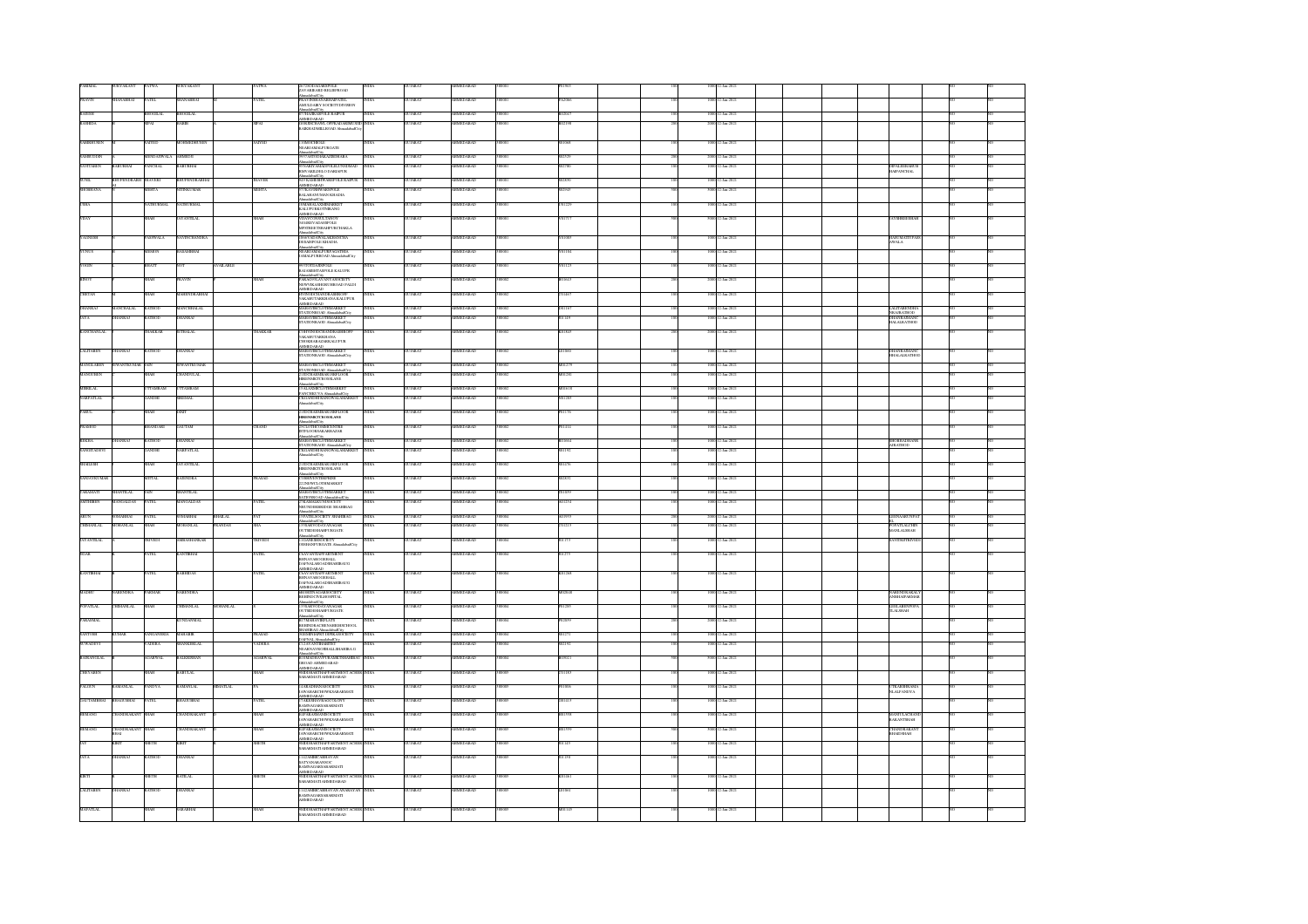| PARTMAL          | <b>RYAKANT</b>   | <b>ATWA</b>     | <b>RYAKAN</b>     |              | <b>TWA</b>    | 267250DAGARSPOLE<br>ZAVARIEARD RELIEFROAD                                                                                     |             | 149.47         | MEDARAI         |       |      |                             |  |  |                                           |  |  |
|------------------|------------------|-----------------|-------------------|--------------|---------------|-------------------------------------------------------------------------------------------------------------------------------|-------------|----------------|-----------------|-------|------|-----------------------------|--|--|-------------------------------------------|--|--|
|                  |                  |                 |                   |              |               |                                                                                                                               |             |                |                 |       |      |                             |  |  |                                           |  |  |
| kavin            |                  | ATEL.           | WABHA             |              |               | hmalabadCity<br>RAVINSHANABHAIPATEL                                                                                           |             | <b>JARA</b>    | <b>IMEDABAD</b> |       |      |                             |  |  |                                           |  |  |
|                  |                  |                 |                   |              |               | AMULDAIRY SOCIETYDIVISION                                                                                                     |             |                |                 |       |      |                             |  |  |                                           |  |  |
| RAJESH           |                  | HOGILAL         | <b>HOGILAL</b>    |              |               | madabadCity<br>7HAJIRASPOLE RAIPUR                                                                                            | <b>DIA</b>  | iuarat         | HMEDABAD        |       |      | 1000 12-Jan-2021            |  |  |                                           |  |  |
| <b>ASHID</b>     |                  |                 |                   |              |               | HMEDABAD<br>ORIISCHAWL OPPKADARIMUSI<br>AIKHADMILLROAD AhmadabadC                                                             | æ           | JARAT          | <b>MEDARAT</b>  |       | 2000 | J <sub>202</sub>            |  |  |                                           |  |  |
|                  |                  |                 |                   |              |               |                                                                                                                               |             |                |                 |       |      |                             |  |  |                                           |  |  |
| SABIRHUSE        |                  | ANED            | OHMEDHUSE         |              | <b>AIYED</b>  |                                                                                                                               | <b>DIA</b>  | <b>JUJARAT</b> | <b>IMEDABAD</b> |       |      | 000 12-Jan-202              |  |  |                                           |  |  |
|                  |                  |                 |                   |              |               | IOMOCHIOLE<br>EARJAMALPURGATE                                                                                                 |             |                |                 |       |      |                             |  |  |                                           |  |  |
| <b>SAMSUDDIN</b> |                  | MENDAJIWALA     | <b>AHMEDJI</b>    |              |               | hmadabadCity<br>057ASTODIAKAZISDHABA                                                                                          | iDIA        | UJARAT         | HMEDARAD        |       |      | 2000 12-Jan-2021            |  |  |                                           |  |  |
| <b>AVITABE?</b>  |                  | <b>ANCHAL</b>   |                   |              |               | hmadabadCity<br>SNARIYAMADPOLELUNSD                                                                                           |             | <b>JARA</b>    | MEDABAL         |       |      |                             |  |  | <b>MPALEEBA</b>                           |  |  |
|                  |                  |                 |                   |              |               | <b>MVAKILDELO DARIAPUR</b>                                                                                                    |             |                |                 |       |      |                             |  |  | HAIPANCHAL                                |  |  |
|                  |                  | WER             | PENDR:            |              |               | hmadabadCity<br>49 KAMESHWAREPOLE RAII                                                                                        |             | ARA1           | MEDABAL         |       |      | J <sub>20</sub> 202<br>1000 |  |  |                                           |  |  |
| <b>HORHANI</b>   |                  | <b>EHTA</b>     | <b>INKI MAR</b>   |              | <b>SHTA</b>   | HMEDABAD<br>??KAVISHWARSPOLE<br>BALAHANUMAN KHADIA                                                                            |             | <b>TAR AT</b>  | MEDARAE         |       |      | $302 - 202$                 |  |  |                                           |  |  |
|                  |                  |                 | <b>ATHURMAL</b>   |              |               | <b>JerusIsbacCity</b><br>0MAHALAXMIMARKET                                                                                     |             |                | HMEDABAD        |       |      |                             |  |  |                                           |  |  |
| <b>SHA</b>       |                  | <b>ATHURMAL</b> |                   |              |               | <b>KALUPURKOTNIRANG</b>                                                                                                       | <b>DIA</b>  | UJARAT         |                 |       |      | 12-Jan-2021<br>1000         |  |  |                                           |  |  |
| <b>IJAY</b>      |                  | HAE             | YANTE.AL          |              |               |                                                                                                                               | <b>DIA</b>  | UJARAT         | <b>IMEDABAD</b> |       |      | 5000 12-Jan-2021            |  |  | <b>YSHREESHA</b>                          |  |  |
|                  |                  |                 |                   |              |               | HMEDABAD<br>JIMEDABAD<br>JIMEDABAD<br>404REVADASSPOLE<br>#FSTREETSHAHPURCHAKLA                                                |             |                |                 |       |      |                             |  |  |                                           |  |  |
|                  |                  |                 |                   |              |               | <b>Excellenced</b><br>S66VADAWALAKHANCHA<br>ESAISPOLE KHADIA                                                                  |             |                | <b>EDABAL</b>   |       |      |                             |  |  |                                           |  |  |
| <b>AGNESH</b>    |                  | SSWALA          |                   |              |               |                                                                                                                               |             | JARAT          |                 |       |      | $Jan-202$                   |  |  | HASUMA<br>AWALA                           |  |  |
| <b>YUNUS</b>     |                  | EMON            | SAMRHAI           |              |               | demadabadCity<br>⊞ARJAMALPURPAGATHIA<br>AMALPURROAD AhmadabadCity                                                             | <b>DIA</b>  | <b>JUARAT</b>  | HMEDABAD        |       |      | J <sub>20</sub> 202         |  |  |                                           |  |  |
|                  |                  |                 |                   |              |               |                                                                                                                               |             |                |                 |       |      |                             |  |  |                                           |  |  |
| YOGIN            |                  |                 |                   | VAILABLE     |               | 93TOTDAJISPOLE<br>IAJAMEHTASPOLE KALUPR                                                                                       |             | JARAT          | MEDABAD         |       |      | J <sub>20</sub> 202         |  |  |                                           |  |  |
| <b>INOV</b>      |                  |                 | <b>AVIN</b>       |              |               |                                                                                                                               |             |                | <b>IMFDARAF</b> |       |      |                             |  |  |                                           |  |  |
|                  |                  |                 |                   |              |               | <b>hmsbhalCity</b><br>ARAG93LAVANYASOCIETY<br>EWVIKASHGRUHROAD PALDI                                                          |             | JARAT          |                 |       |      |                             |  |  |                                           |  |  |
| <b>CHETAN</b>    |                  |                 |                   |              |               | HMEDABAD<br>IVINODCHANDRASHROFF                                                                                               |             | <b>JARA</b>    | <b>SEDARAI</b>  |       |      |                             |  |  |                                           |  |  |
|                  |                  |                 |                   |              |               | SAKABUTARKHANA KALUPUR                                                                                                        |             |                |                 |       |      |                             |  |  |                                           |  |  |
| DHANRAJ          | <b>MANCHALAL</b> | <b>RATHOD</b>   | <b>MANCHHALAL</b> |              |               | HMEDABAD<br>{AHAVIRCLOTHMARKET                                                                                                | <b>SDIA</b> | GUJARAT        | AHMEDABAD       | 11 K  |      | 1000 12-Jan-2021            |  |  |                                           |  |  |
| <b>JAYA</b>      | HANRAJ           | ATHOD           | HANRAJ            |              |               | TATIONROAD AhmadabadCit<br>IAHAVIRCLOTHMARKET                                                                                 | <b>DIA</b>  | UJARAT         | MEDABAD         |       |      | 3-Jan-2021<br>1000          |  |  | LALITABENDHA<br>NRAJRATHOD<br>DHANRAJMANC |  |  |
|                  |                  |                 |                   |              |               | TATIONRAOD AhmadabadCity                                                                                                      |             |                |                 |       |      |                             |  |  | HALALRATHOD                               |  |  |
| KANCHANLAL       |                  | <b>IAKKAS</b>   | (HALAL            |              | <b>HAKKAR</b> | HVINODCHANDRASHROFF                                                                                                           |             | JARAT          | MEDABAD         |       | 2000 | J <sub>20</sub> 202         |  |  |                                           |  |  |
|                  |                  |                 |                   |              |               | KABUTARKHANA<br>IOKHABAZARKALUPUR                                                                                             |             |                |                 |       |      |                             |  |  |                                           |  |  |
| <b>LALITABEN</b> | ANR AT           | ATHOD           | <b>JANRAJ</b>     |              |               | HMEDABAD<br><sup>tah</sup> avirclothmarket                                                                                    | <b>DIA</b>  | <b>JUARAT</b>  | <b>IMEDARAD</b> |       |      | J <sub>202</sub>            |  |  | <b>DHANRAJMANO</b><br>HHALALRATHO         |  |  |
|                  |                  |                 |                   |              |               | FATIONRAOD AhmadabadCity                                                                                                      |             |                |                 |       |      |                             |  |  |                                           |  |  |
| MANGLABEN        | <b>SNTKI MA</b>  |                 | VANTKUMA          |              |               | <b>HAVIRCLOTHMARKET</b>                                                                                                       |             | JARAT          | <b>IMEDABAL</b> |       |      | Im(202)                     |  |  |                                           |  |  |
| MANGUBEN         |                  |                 | <b>HANDULAL</b>   |              |               | <b>TATIONROAD AhmadabadCity</b><br>1JDCHAEMBAR1SRFLOOR<br><b>ENMKTCROSSLANE</b>                                               |             | <b>UJARAT</b>  | <b>IMEDABAD</b> |       |      | 3-Jan-202                   |  |  |                                           |  |  |
|                  |                  |                 | TAMRAM            |              |               | whindCity<br>LAXMICLOTHMARKET                                                                                                 |             |                | MEDABAD         |       |      |                             |  |  |                                           |  |  |
| MISRILAL.        |                  | TAMRAM          |                   |              |               |                                                                                                                               |             | JARAT          |                 |       |      | J <sub>202</sub>            |  |  |                                           |  |  |
| ARPATLAL         |                  | <b>ATM</b>      |                   |              |               | ANCHKUVA AhmadahudCity<br>KGANDHI RANGWALAMARKE<br>aceum ree<br>adabadCity                                                    |             | -<br>13.937    | MEDARAT         |       |      |                             |  |  |                                           |  |  |
| PARUL.           |                  | аH              | īхт               |              |               | <b>IJDCHAEMBARISRFLOOR</b>                                                                                                    |             | UJARAT         | HMEDABAD        |       |      | J <sub>202</sub>            |  |  |                                           |  |  |
|                  |                  |                 |                   |              |               | ENMKTCROSSLANE                                                                                                                |             |                |                 |       |      |                             |  |  |                                           |  |  |
| RAMOD            |                  | <b>IANDARI</b>  | AUTAM             |              | <b>IAND</b>   | <b>ImplifiedCity</b><br>SCLOTHCOMMCENTRE                                                                                      | <b>DIA</b>  | JARAT          | MEDABAD         |       |      | 2-Jan-2021                  |  |  |                                           |  |  |
|                  |                  |                 |                   |              |               | STFLOORSAKARBAZAR                                                                                                             |             |                |                 |       |      |                             |  |  |                                           |  |  |
|                  |                  |                 |                   |              |               |                                                                                                                               |             | ARA)           |                 |       |      |                             |  |  | SHOBHADHA<br>AJRATHOD                     |  |  |
| WGITAE           |                  |                 | 'ATLA             |              |               | <b>UTELORSSAN<br/>ArmalabalCity<br/>LMHAVIRCLOTHMARKET</b><br>TATIONRAOD AhmadabalCit<br>KGANDHI RANGWALAMAI<br>ArmalabalCity |             | <b>JARA</b>    |                 |       |      |                             |  |  |                                           |  |  |
|                  |                  |                 |                   |              |               | <b>IJDCHAEMBARISRFLOOR</b>                                                                                                    |             |                |                 |       |      |                             |  |  |                                           |  |  |
| SHAILESH         |                  |                 | YANTE.AL          |              |               | RENMKTCROSSLANE                                                                                                               | <b>DIA</b>  | UJARAT         | HMEDABAD        |       |      | $3$ lan- $2021$<br>1000     |  |  |                                           |  |  |
| WJAYKUM          |                  |                 | <b>ENDRA</b>      |              |               | <b>MadelandCity</b><br>OSHIVENTERPRISE                                                                                        |             | <b>JARA</b>    | <b>MEDARA</b>   |       |      |                             |  |  |                                           |  |  |
|                  |                  |                 |                   |              |               | 22NEWCLOTHMARKET                                                                                                              |             |                |                 |       |      |                             |  |  |                                           |  |  |
| <b>TARAMATI</b>  |                  |                 | .<br>TILAI        |              |               | udabalCity<br>HAVIRCLOTHMARKE                                                                                                 |             |                | MEDABAL         |       | 1000 |                             |  |  |                                           |  |  |
| <b>MTHIREN</b>   |                  | <b>ATEL</b>     | <b>VEATTLA</b>    |              |               | ATIONROAD AhmadabadCit<br>?KAMALKUNISOCETY                                                                                    |             | -<br>13.937    | <b>MEDARAT</b>  |       |      | $\frac{1}{2}$               |  |  |                                           |  |  |
|                  |                  |                 |                   |              |               | <b>RUNDERBRIDGE SHAHIBAG</b>                                                                                                  |             |                |                 |       |      |                             |  |  |                                           |  |  |
| <b>RUN</b>       | MABHAI           | <b>ATEL</b>     | MABHAI            | All Al       |               | hmadabadCity<br>SPATELSOCIETY SHAHIBAG                                                                                        | nia         | UJARAT         | <b>IMEDABAD</b> |       |      | $-3m-202$                   |  |  | <b>AARLINE</b>                            |  |  |
| <b>HIMANLAL</b>  | <b>HANLAL</b>    | аH              | <b>OHANLAL</b>    | <b>INDAC</b> |               | malabadCity<br>SSARVODAYANAGAR                                                                                                |             | JARAT          | <b>IMEDABAD</b> |       |      | J <sub>202</sub>            |  |  | OPATLALCHIN                               |  |  |
|                  |                  |                 |                   |              |               | <b>UTSIDESHAHPURGATE</b>                                                                                                      |             |                |                 |       |      |                             |  |  | <b>MANLALSHAH</b>                         |  |  |
| <b>VANTILAL</b>  |                  | <b>NED</b>      |                   |              | <b>IVEIX</b>  | hmalabadCity<br> GANESHSOCIETY<br> SSHANPURGATE Ah<br>madahudCity                                                             |             | JARAT          | MEDABAE         |       |      | J <sub>202</sub>            |  |  |                                           |  |  |
|                  |                  |                 |                   |              |               | <b>AVANTIAPPARTMENT</b>                                                                                                       |             | 101            | <b>BEDARA</b>   |       |      |                             |  |  |                                           |  |  |
|                  |                  |                 |                   |              |               | BAVANDATTARIMENI<br>HINAVAROGEHALL<br>MFNALAROADSHAHIBAUG                                                                     |             |                |                 |       |      |                             |  |  |                                           |  |  |
|                  |                  |                 |                   |              |               | IMEDABAD<br> AVANTIAPPARTMENT                                                                                                 |             |                |                 |       |      |                             |  |  |                                           |  |  |
| <b>ANTIBHAI</b>  |                  | ATEL            | BHIDAS            |              |               | INAVAROGEHALL                                                                                                                 |             | UJARAT         | HMEDABAD        |       |      | J <sub>202</sub>            |  |  |                                           |  |  |
|                  |                  |                 |                   |              |               | AFNALAROADSHAHIBAUG                                                                                                           |             |                |                 |       |      |                             |  |  |                                           |  |  |
| MADHU            | RENDRA           | ARMAR           | ARENDRA           |              |               | HMEDABAD<br>ROHITNAGARSOCIETY<br>EHINDCIVILHOSPITAL                                                                           |             | UJARAT         | IMEDARAD        |       |      | 1000 12-Jan-2021            |  |  | NARENDRAKAL<br>ANBHAIPARMAI               |  |  |
| <b>OPATLAL</b>   |                  |                 |                   |              |               |                                                                                                                               |             | <b>JARAT</b>   | <b>SEDARAI</b>  |       |      |                             |  |  |                                           |  |  |
|                  |                  |                 |                   |              |               | demadabadCity<br>35SARVODAYANAGAR<br>3UTSIDESHAHPURGATE                                                                       |             |                |                 |       |      |                             |  |  | <b>LEELABENR</b><br>TLALSHAH              |  |  |
| PARASMAL         |                  |                 | <b>NDANMAL</b>    |              |               | hrudsbadCity<br>17MAHAVIRFLATS                                                                                                |             | UJARAT         | HMEDABAD        |       |      | J <sub>202</sub>            |  |  |                                           |  |  |
|                  |                  |                 |                   |              |               | EHINDRACHENAHIGHSCHOOL                                                                                                        |             |                |                 |       |      |                             |  |  |                                           |  |  |
| SANTOSH          | KUMAR            | SANGANERIA      | MAHABIR           |              | RASAD         | <b>IAHIBAG AhmadahudCity</b><br>GEMINIAPRT DIPIKASOCIETY                                                                      | <b>NDIA</b> | <b>JUJARAT</b> | HMEDABAD        | 11271 |      | 1000 12-Jan-2021            |  |  |                                           |  |  |
| <b>SUWADEVI</b>  |                  | ADERA           | <b>NKERLAL</b>    |              | <b>IDERA</b>  | MFNAL AhmadahadCity<br>12AVANTIHABITET<br>EARNAVROJIHALLSHAHIBA G                                                             |             | JARAT          | EDABAD          |       |      | J <sub>202</sub>            |  |  |                                           |  |  |
|                  |                  |                 |                   |              |               |                                                                                                                               |             |                |                 |       |      |                             |  |  |                                           |  |  |
| <b>BAJRANGLA</b> |                  | .<br>RWA        | <b>LKRISHA</b>    |              | <b>ARWAI</b>  | wmddbadCitv<br>IOMADHAVPURAMKTSHAHIBA<br>ROAD AHMEDABAD                                                                       |             | <b>JARAT</b>   | MEDABAL         |       |      |                             |  |  |                                           |  |  |
| CHEYABEN         |                  |                 | <b>ULAL</b>       |              |               | IMEDABAD<br>IDDHARTHAPPARTMENT ACH                                                                                            |             | JARAT          | <b>FDARAD</b>   |       |      |                             |  |  |                                           |  |  |
|                  |                  |                 |                   |              |               | <b>BARMATI AHMEDABAD</b>                                                                                                      |             |                |                 |       |      |                             |  |  |                                           |  |  |
| <b>FALGUN</b>    | <b>MANLAL</b>    | <b>ANDYA</b>    | <b>MANLAL</b>     | MATLAL       |               | <br>  ARADHANASOCIETY<br>  AWAHARCHOWKSABARMATI                                                                               |             | UJARAT         | HMEDABAD        |       |      | 1000 12-Jan-2021            |  |  | UTKARSHRAM/<br>NLALPANDYA                 |  |  |
|                  |                  |                 |                   |              |               |                                                                                                                               |             |                |                 |       |      |                             |  |  |                                           |  |  |
| <b>UTAM</b>      |                  | IEI             | <b>GUBHA</b>      |              |               | IMEDABAD<br>AKESHAVBAGCOLONY<br>MNAGARSABARMATI                                                                               |             |                |                 |       |      |                             |  |  |                                           |  |  |
| <b>EMANO</b>     |                  |                 | <b>ANDRAKA?</b>   |              |               | HMEDABAD<br>‡PARASMANISOCIETY                                                                                                 |             | JARAT          | MEDABAD         |       |      | J <sub>20</sub> 202         |  |  |                                           |  |  |
|                  |                  |                 |                   |              |               | AWAHARCHOWKSABARMATI                                                                                                          |             |                |                 |       |      |                             |  |  | <b>MANJULACHA</b><br>RAKANTSHAH           |  |  |
| EMANG            | HANDRAKA         | аH              | <b>ANDRAKANT</b>  |              |               | <b>IMEDABAD</b><br>PARASMANISOCIETY                                                                                           |             | JARAT          | <b>IMEDABAD</b> |       |      | J <sub>202</sub>            |  |  | CHANDRAKAN                                |  |  |
|                  | HAI              |                 |                   |              |               | DOPARASMANISAA. IETT<br>JAWAHARCHOWKSABARMATI                                                                                 |             |                |                 |       |      |                             |  |  | HAIDSHAH                                  |  |  |
|                  |                  |                 |                   |              |               | HMEDABAD<br>SIDDHARTHAPPARTMENT ACHER                                                                                         |             | JARAT          | MEDABAD         |       | 1000 | Man-2021                    |  |  |                                           |  |  |
|                  |                  |                 |                   |              |               | ABARMATI AHMEDABAD                                                                                                            |             |                |                 |       |      |                             |  |  |                                           |  |  |
|                  |                  |                 |                   |              |               | 2AMBICABHAVAN<br>IYANARANSOC<br>MNAGARSABARMATI                                                                               |             |                |                 |       |      |                             |  |  |                                           |  |  |
|                  |                  |                 |                   |              |               |                                                                                                                               |             |                |                 |       |      |                             |  |  |                                           |  |  |
| <b>TRTI</b>      |                  | <b>IETH</b>     | ATILAL.           |              | €ŒΤH          | HMEDABAD<br>SIDDHARTHAPPARTMENT ACHER<br><b>ABARMATI AHMEDABAD</b>                                                            | <b>DIA</b>  | iuarat         | HMEDABAD        |       |      | 12-Jan-2021<br>ioon.        |  |  |                                           |  |  |
|                  |                  |                 |                   |              |               |                                                                                                                               |             |                |                 |       |      |                             |  |  |                                           |  |  |
| <b>LALITABEN</b> | HANRAJ           | ATHOL           | <b>TANRA</b>      |              |               | 142AMBICABHAVAN ANARAYAN                                                                                                      |             | UJARAT         | HMEDABAD        |       |      | 1000 12-Jan-2021            |  |  |                                           |  |  |
|                  |                  |                 |                   |              |               | MNAGARSABARMATI<br>IMEDABAD                                                                                                   |             |                |                 |       |      |                             |  |  |                                           |  |  |
| AFATLAI          |                  |                 |                   |              |               | IDDHARTHAPPARTMENT<br>BARMATI AHMEDABAD                                                                                       |             |                |                 |       |      |                             |  |  |                                           |  |  |
|                  |                  |                 |                   |              |               |                                                                                                                               |             |                |                 |       |      |                             |  |  |                                           |  |  |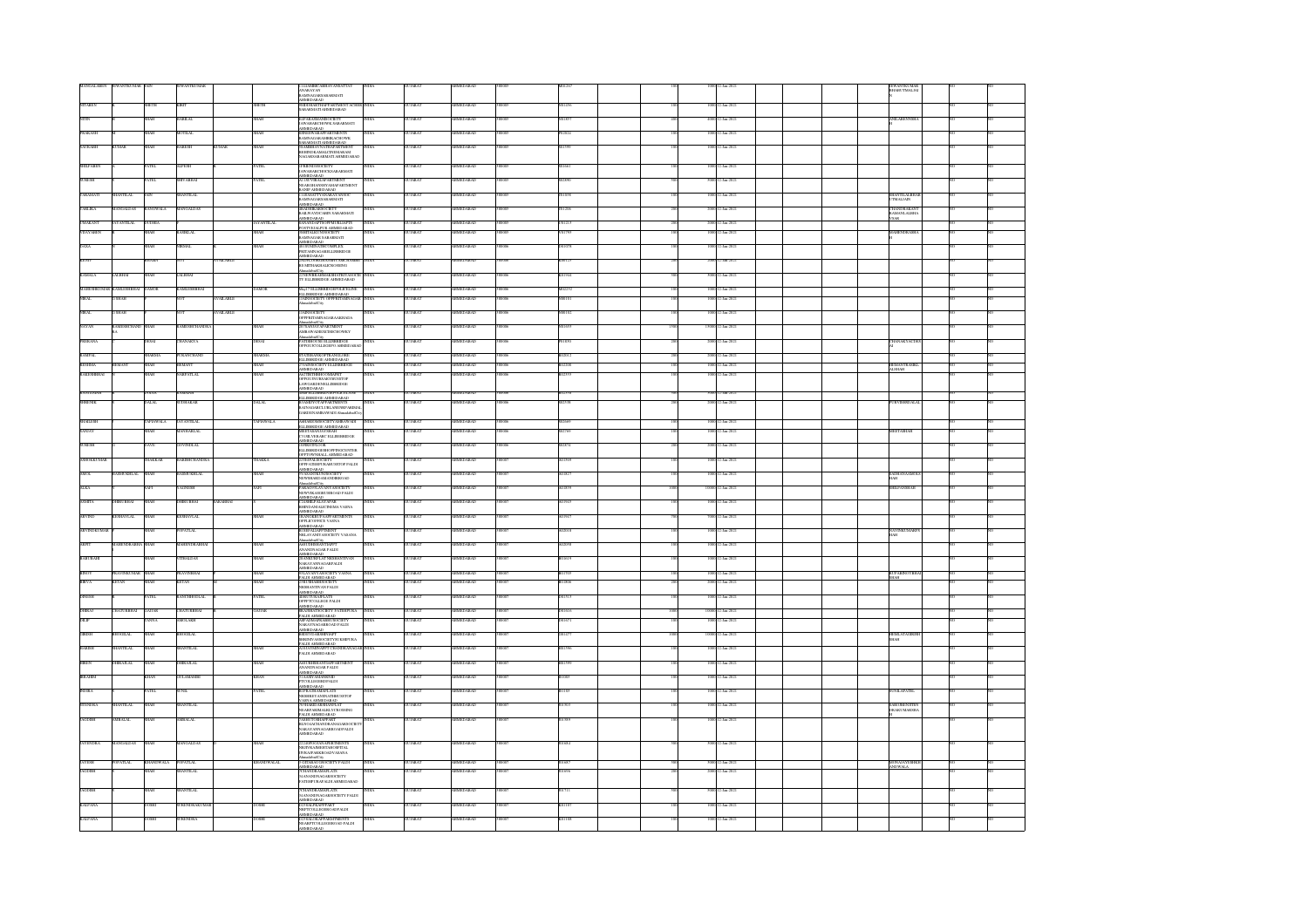| <b>MANGALABEN</b>         | <b>WANTKUMAR</b>    |                  | WANTKUMA             |                |                   |                                                                                                                                                  |              | IJARAT         | MEDABAD         |      |       | J <sub>202</sub> |  | IEWANTKUMA<br>BHABUTMALJA  |  |
|---------------------------|---------------------|------------------|----------------------|----------------|-------------------|--------------------------------------------------------------------------------------------------------------------------------------------------|--------------|----------------|-----------------|------|-------|------------------|--|----------------------------|--|
|                           |                     |                  |                      |                |                   | 1144 AMBICABHAVANSATTAY<br>ANARAYAN<br>RAMNAGARSABARMATI                                                                                         |              |                |                 |      |       |                  |  |                            |  |
|                           |                     |                  |                      |                |                   | KASSED<br>AHMEDABAD<br>SSIDOHARTHAPPARTMENT AC                                                                                                   |              | <b>JARA</b>    |                 |      |       |                  |  |                            |  |
|                           |                     |                  |                      |                |                   | SABARMATI AHMEDABAD                                                                                                                              |              |                |                 |      |       |                  |  |                            |  |
|                           |                     |                  | ARILAL.              |                |                   | E4PARASMANISOCIETY                                                                                                                               |              | JARAT          | HMEDABAD        |      |       | 4000 12-Jan-202  |  | NILABE?                    |  |
|                           |                     |                  |                      |                |                   | JAWAHARCHOWK SABARMATI                                                                                                                           |              |                |                 |      |       |                  |  |                            |  |
|                           |                     |                  |                      |                |                   | AHMEDABAD<br>SJINESWARAPPARTMENTS                                                                                                                |              | .<br>IARJ      |                 |      |       |                  |  |                            |  |
|                           |                     |                  |                      |                |                   | *****************************<br>?AMNAGARAMBIKACHOWK<br>`SAMBHAVNATHAPARTMENT                                                                    |              |                |                 |      |       |                  |  |                            |  |
| <b>AURABH</b>             |                     |                  |                      |                |                   | BEHINDKAMALCINEMARAM<br>KAGARSABARMATI AHMEDABAD                                                                                                 |              | <b>ARA</b>     | FDARAE          |      |       |                  |  |                            |  |
|                           |                     |                  |                      |                |                   |                                                                                                                                                  |              |                |                 |      |       |                  |  |                            |  |
| <b>SHILPABEN</b>          |                     | <b>ATEL</b>      | <b>LPESH</b>         |                | VTEL              | <b>FRIENDSSOCIETY</b>                                                                                                                            |              | JARAT          | <b>IMEDABAD</b> |      |       | Man-202          |  |                            |  |
|                           |                     |                  |                      |                |                   | IAWAHARCHOCKSABARMATI                                                                                                                            |              |                |                 |      |       |                  |  |                            |  |
| RESH                      |                     |                  |                      |                |                   |                                                                                                                                                  |              | AR AT          |                 |      |       |                  |  |                            |  |
|                           |                     |                  |                      |                |                   | AHMEDABAD<br>AHMEDABAD<br>AHMEDABAD<br>NEARGHANSHYAMAPARTMENT<br>KANIP AHMEDABAD<br>I 148ASATTYANARAYANSOC                                       |              |                |                 |      |       |                  |  |                            |  |
| <b>TARAMATI</b>           | WILAL               |                  | <b>JANTILAL</b>      |                |                   | <b>AMNAGARSABARMATI</b>                                                                                                                          |              | JARAT          | <b>IMEDARAD</b> |      |       | $Jan-202$        |  | HANTILALBH.<br>TMALJAIN    |  |
| ARLIKA                    |                     | ANGWALA          | <b>GALDAS</b>        |                |                   | AHMEDABAD<br>4BADHIKARSOCIETY                                                                                                                    |              | <b>JARA</b>    | MEDABAD         |      | 2000  |                  |  | <b>HANDRAKAN</b>           |  |
|                           |                     |                  |                      |                |                   | RALWAYDCABIN SABARMATI                                                                                                                           |              |                |                 |      |       |                  |  | AMANLALBH/                 |  |
| MAKANT                    | πN                  |                  |                      |                | <b>YANTILA</b>    | HMEDABAD<br>ANANDAPTSOPPMURLIAPTS                                                                                                                |              |                |                 |      | 2000  | $3m-202$         |  | SAR                        |  |
| <b>HAVARES</b>            |                     |                  | SIKI AI              |                |                   | <b>YOSTVEJALPUR AHMEDAB</b><br>ISHITALKUNISOCIETY                                                                                                |              | <b>TARAT</b>   | DARAI           |      |       | Im 20            |  | <b>HENDRA</b>              |  |
|                           |                     |                  |                      |                |                   | AMNAGAR SABARMATI                                                                                                                                |              |                |                 |      |       |                  |  |                            |  |
| DAXA                      |                     | łМ               | RMAL.                |                | łМ                | HMEDABAD<br>01SUMINATHCOMPLEX                                                                                                                    |              | JARAT          | IMEDABAD        |      | 1000  | 2-Jan-202        |  |                            |  |
|                           |                     |                  |                      |                |                   | PRITAMNAGARELLISBRIDGE                                                                                                                           |              |                |                 |      |       |                  |  |                            |  |
|                           |                     |                  |                      | <b>AILABLE</b> |                   | AHMEDABAD<br>2NDFLOORGHANSHYAMCHAM<br>RS MITHAKHALICROSSING                                                                                      |              | IJARAT         | EDABAD          |      |       | $3m-202$         |  |                            |  |
|                           |                     |                  |                      |                |                   | threadabadCity<br>2NEWBRAHMAKSHATRIYASOCIE                                                                                                       |              |                |                 |      |       |                  |  |                            |  |
| KAMALA                    | <b>ALBHAI</b>       | нан              | <b><i>ALBHAI</i></b> |                |                   | TY ELLISBRIDGE AHMEDABAD                                                                                                                         |              | JARAT          | <b>IMEDARAD</b> |      | 3000  | $\frac{1}{2}$    |  |                            |  |
| <b><i>EAHESHKUMAE</i></b> | <b>CAMLESHBHAI</b>  | <b>DAMOR</b>     | <b>MLESHBHA</b>      |                | <b>MOR</b>        | May17 ELLISBRIDGEPOLICELINE                                                                                                                      |              | <b>JARA</b>    | MEDABAD         |      |       | 1000 12-Jan-202  |  |                            |  |
|                           |                     |                  |                      |                |                   | ELLISBRIDGE AHMEDABAD<br>LIAINSOCIETY OPPPRITAMNAGAR                                                                                             |              |                |                 |      |       |                  |  |                            |  |
| <b>NIRAL</b>              | .<br>SHAF           |                  |                      | All ABLE       |                   | rashbadCity                                                                                                                                      |              | JARAT          | <b>IMEDARAD</b> |      |       | 2-Jan-202        |  |                            |  |
| <b>NIRAL</b>              | .<br>Hal            |                  |                      | ALABLE         |                   |                                                                                                                                                  |              | <b>JARA</b>    | <b>MRAF</b>     |      |       |                  |  |                            |  |
|                           |                     |                  |                      |                |                   | <b>IJAINSOCIETY</b><br>OPPPRITAMNAGARAAKHADA                                                                                                     |              |                |                 |      |       |                  |  |                            |  |
| <b>NAYAN</b>              | AMESHCHAN           | HAH              | AMESHCHANI           |                |                   | <b>MenschlostCity</b><br>107SANIAYAPARTMENT                                                                                                      |              | <b>JARA</b>    | IMEDABAD        |      | 15000 | -Jan-202         |  |                            |  |
|                           |                     |                  |                      |                |                   | AMBAWADIEXCISECHOWKY                                                                                                                             |              |                |                 |      |       |                  |  |                            |  |
| RERANA                    |                     | <b>SAI</b>       | <b>IANAKYA</b>       |                | ESAI              | <b>Membradity</b><br>Membradity<br>DPPGUICOLLEGEPO AHMEDABAL                                                                                     |              | IJARAT         | MEDABAD         |      |       | J <sub>202</sub> |  | <b>HANAKYACI</b>           |  |
|                           |                     |                  |                      |                |                   |                                                                                                                                                  |              |                |                 |      |       |                  |  |                            |  |
| .<br>RAMPAL               |                     | <b>TARMA</b>     | RANCHAND             |                | <b>LARM</b>       | <b>TATEBANKOFTRANGLORE</b>                                                                                                                       |              | <b>JARAT</b>   | MEDARAD         |      |       | Im 202           |  |                            |  |
| <b>ESHMA</b>              | <b>IAN</b>          |                  | MAN                  |                |                   | <b>ILISBRIDGE AHMEDABAD<br/>7JAINSOCIETY ELISBRIDGE</b>                                                                                          |              | JARAT          | <b>IMEDABAD</b> |      | 100   | J <sub>202</sub> |  | <b>MANTRASIK</b>           |  |
| <b>RAKESHBHA</b>          |                     |                  | <b>ARPATLAL</b>      |                |                   | <b>VHMEDABAD</b><br>V62TIRTHBHOOMIAPRT                                                                                                           |              | <b>JARAT</b>   | <b>IMEDARAD</b> |      |       | $\frac{1}{2}$    |  | HAHZL                      |  |
|                           |                     |                  |                      |                |                   | A6211RTHBHOOMIAPRT<br>OPPGUJNURSARYBUSSTOP<br>LAWGARDENELLISBRIDGE                                                                               |              |                |                 |      |       |                  |  |                            |  |
|                           |                     |                  |                      |                |                   |                                                                                                                                                  |              |                |                 |      |       |                  |  |                            |  |
| <b>EANJITSINH</b>         |                     | ODIA             |                      |                |                   | AHMEDABAD<br>4Mar ELLISBRIDGEPOLICELANE<br>ELLISBRIDGE AHMEDABAD<br>B3AMIJYOTAPPARTMENTS                                                         |              | JARAT          | EDABAD          |      |       | $-3an-202$       |  |                            |  |
| <b>SHRENIK</b>            |                     | ai ai            | DHAKAR               |                | .<br>M. Al        |                                                                                                                                                  |              | 1383           | <b>NEDARAD</b>  |      | wo F  | 202              |  | <b>DATIOL</b>              |  |
|                           |                     |                  |                      |                |                   | RAINAGARCLUBLANENRPARIMAL<br>GARDENAMBAWADI AhmalabadCity                                                                                        |              |                |                 |      |       |                  |  |                            |  |
| <b>SHAILESH</b>           |                     | <b>TAPIAWALA</b> | <b>YANTLAL</b>       |                | <b>APIAWALA</b>   | A6HARIOMSOCIETYAMBAWADI                                                                                                                          | <b>INDIA</b> | JARAT          | MEDABAD         | 1666 |       | 1000 12-Jan-2021 |  |                            |  |
|                           |                     |                  |                      |                |                   |                                                                                                                                                  |              |                |                 |      |       |                  |  |                            |  |
| ANJAY                     |                     |                  | HARLAL               |                |                   |                                                                                                                                                  |              | JARAT          | MEDABAD         | 76   | 1000  | $-tan-2021$      |  | EETASHAH                   |  |
| URESE                     |                     |                  | NDLAI                |                |                   | NOTINGALISTICALI IN ANGELISTICALI SELENGIA<br>ELLISBRIDGE AHMEDABAD<br>MEETASANJAYSHAH<br>C31SILVERARC ELLISEBRIDGE<br>AHMEDABAD<br>10FIRSTFLOOR |              | <b>ARA</b>     |                 |      |       |                  |  |                            |  |
|                           |                     |                  |                      |                |                   | <b>EL ISBRIDGESHOPPINGCENTER</b>                                                                                                                 |              |                |                 |      |       |                  |  |                            |  |
| <b>ASHOKKUMAR</b>         |                     | <b>HAKKAR</b>    | ARISHCHANDR          |                | <b>HAKKA</b>      | PPTOWNHALL AHMEDABAD<br>2TEJPALSOCIETY                                                                                                           |              | <b>JARA</b>    | HMEDABAD        |      |       | 1000 12-Jan-202  |  |                            |  |
|                           |                     |                  |                      |                |                   | <b>DPPFATEHPURABUSSTOP PALDI</b>                                                                                                                 |              |                |                 |      |       |                  |  |                            |  |
|                           |                     |                  |                      |                |                   | AHMEDABAD<br>SVASANTKUNISOCIETY<br>NEWSHARDAMANDIRROAD                                                                                           |              | <b>JARA</b>    |                 |      |       |                  |  | <br>Мн                     |  |
|                           |                     |                  |                      |                |                   |                                                                                                                                                  |              |                |                 |      |       |                  |  |                            |  |
| <b>ALKA</b>               |                     |                  | <b>CNESH</b>         |                |                   | AhmalabadCity<br>PARAO93LAVANYASOCIETY<br>NEWVIKASGRUHROAD PALDI                                                                                 |              | -<br>11 M AT   | <b>NEDARAD</b>  |      |       | $1 - 202$        |  | <b>III PANS</b>            |  |
| ASMITA                    |                     |                  | <b>IRUBHAI</b>       | LABHAI         |                   | AHMEDABAD<br>C24SHILPALAYAPAR<br>BHINDANJALICINEMA VASNA                                                                                         |              |                | MEDABAD         |      |       |                  |  |                            |  |
|                           | RUBHAI              | ΙĄ               |                      |                |                   |                                                                                                                                                  |              | <b>JARA</b>    |                 |      |       | $3m-202$         |  |                            |  |
|                           |                     |                  |                      |                |                   | AHMEDABAD<br>IRANGKRUPAAPPARTMEN                                                                                                                 |              |                |                 |      |       |                  |  |                            |  |
|                           |                     |                  |                      |                |                   | OPPLICOFFICE VASNA                                                                                                                               |              |                |                 |      |       |                  |  |                            |  |
| <b>ARVINDETIV</b>         |                     |                  | ATLAL                |                |                   | AHMEDABAD<br>BISEFALIAPPTMENT<br>NRLAVANIYASOCIETY VASANA                                                                                        |              | <b>JARA</b>    | FDARAD          |      |       |                  |  |                            |  |
|                           |                     |                  |                      |                |                   |                                                                                                                                                  |              |                |                 |      |       |                  |  | ÄН                         |  |
| ARPIT                     | <b>AHENDRABHA</b>   | SHA              | <b>AHENDRABHA</b>    |                |                   | AbroadsbatCity<br>AbroadsbatCity<br>ASSUDHSHANTIAPPT<br>ANANDNAGAR PALDI                                                                         |              | <b>JARAT</b>   | <b>HMEDABAD</b> |      |       | 1000 12-Jan-202  |  |                            |  |
|                           |                     |                  |                      |                |                   | AHMEDABAD<br>28ANKURFLAT NRSHAN                                                                                                                  |              |                |                 |      |       |                  |  |                            |  |
| BABUBAH                   |                     |                  |                      |                |                   |                                                                                                                                                  |              |                |                 |      |       |                  |  |                            |  |
| RINOV                     | <b>PRAVINKTIMAR</b> | <b>SHAH</b>      | <b>AVINBHAI</b>      |                | HAH               | ARAYANA LATARAHIYA<br>NARAYANNAGARPALDI<br>93LAVANYASOCIETY VASNA                                                                                | <b>STYLE</b> | <b>TIARAT</b>  | HMEDARAD        |      |       | 1000 12-Jan-202  |  | RUPARINOV                  |  |
|                           |                     |                  |                      |                |                   | 93LAVANYASOCIETY<br>PALDI AHMEDABAD<br>23RUSHABHSOCIETY<br>NRSHANTIVAN PALDI                                                                     |              |                |                 |      |       |                  |  | <b>HAH</b>                 |  |
| BIRVA                     | TAN                 |                  | <b>TAN</b>           |                |                   |                                                                                                                                                  |              | JARAT          | <b>IMEDARAD</b> |      |       | $3m-202$         |  |                            |  |
|                           |                     |                  | HRODU                |                |                   |                                                                                                                                                  |              | ARA            |                 |      |       |                  |  |                            |  |
|                           |                     |                  |                      |                |                   | -MAREDABAD<br>ADMUTURAJPLATS<br>OPPPTCOLLEGE PALDI<br>AHMEDABAD<br>SRAISHATSOCIETY FATEHPUR                                                      |              |                |                 |      |       |                  |  |                            |  |
| HIRAJ                     |                     |                  |                      |                |                   |                                                                                                                                                  |              | <b>IARA</b>    | DARAI           |      |       |                  |  |                            |  |
| DID                       |                     | w                | <b>JOLAKH</b>        |                |                   |                                                                                                                                                  |              | <b>JARAT</b>   | <b>HMEDABAD</b> |      | 100   | $3m-202$         |  |                            |  |
|                           |                     |                  |                      |                |                   | NARAYNAGARROAD PALDI                                                                                                                             |              |                |                 |      |       |                  |  |                            |  |
|                           |                     |                  |                      |                |                   | AHMEDABAD<br>BSDEVDARSHINIAPT<br>SHRINIVASSOCIETYSUKHIPURA                                                                                       |              |                |                 |      |       |                  |  | EMLATAO<br>HAH             |  |
|                           |                     |                  |                      |                |                   |                                                                                                                                                  |              |                |                 |      |       |                  |  |                            |  |
| ADIOL                     |                     |                  | <b>NTILA</b>         |                |                   | PALDI AHMEDABAD<br>AIOJAYMINAPPT CHANI<br>PALDI AHMEDABAD                                                                                        |              |                |                 |      |       |                  |  |                            |  |
|                           |                     |                  |                      |                |                   |                                                                                                                                                  |              |                |                 |      |       |                  |  |                            |  |
|                           | RAJLAL              |                  | <b>IRAILAL</b>       |                |                   | .<br>A6SUBHSHANTIAPPARTMEN<br>ANANDNAGAR PALDI                                                                                                   |              | JARAT          | <b>MEDABAD</b>  |      |       | $tan-202$        |  |                            |  |
|                           |                     |                  |                      |                |                   |                                                                                                                                                  |              | .<br>ARAT      | <b>EDABAI</b>   |      |       | $tan-202$        |  |                            |  |
|                           |                     |                  |                      |                |                   | AHMEDABAD<br>31 AASIYAMANRNID<br>PTCOLLEGERDPALDI                                                                                                |              |                |                 |      |       |                  |  |                            |  |
|                           |                     |                  |                      |                |                   | AHMEDABAD<br>BI PRATHAMAFLATS<br>NRSHREY ANSNATHBUSSTOP                                                                                          |              |                |                 |      |       |                  |  |                            |  |
|                           |                     |                  |                      |                |                   |                                                                                                                                                  |              |                |                 |      |       |                  |  |                            |  |
| <b>ITTENDRA</b>           | ANTILAL.            | Hal              | <b>JANTILAL</b>      |                |                   | NKSHKET ANSNATIBUSSTOP<br>JOSHARIDARSHANFLAT<br>JOSHARIDARSHANFLAT<br>NEARPARIMALRLYCROSSING                                                     |              | JARAT          | HMEDABAD        |      | 1000  | $34m-202$        |  | SAROJBENJITE<br>DRAKUMARSH |  |
|                           |                     |                  |                      |                |                   |                                                                                                                                                  |              |                |                 |      |       |                  |  |                            |  |
|                           |                     |                  |                      |                |                   | NEADT-BRIMALIC LUISSING<br>PALDI AHMEDABAD<br>7ASHUTOSHAPPART<br>BLNO4ACHANDRANAGARSOCIETY<br>NARAY ANNAGARROADPALDI<br>AHMEDABAD                |              |                |                 |      |       |                  |  |                            |  |
|                           |                     |                  |                      |                |                   |                                                                                                                                                  |              |                |                 |      |       |                  |  |                            |  |
|                           |                     |                  |                      |                |                   |                                                                                                                                                  |              |                |                 |      |       |                  |  |                            |  |
| YENDRA                    |                     |                  |                      |                |                   | 2240POOJANAPERTMENTS                                                                                                                             |              | 18.17          |                 |      |       |                  |  |                            |  |
|                           |                     |                  |                      |                |                   | <b>NRJIVRAJMEHTAHOSPITAL</b><br><b>IIVRAJPARKROADVASANA</b>                                                                                      |              |                |                 |      |       |                  |  |                            |  |
| <b>JAYESH</b>             | POPATLAL            | <b>KHANDWALA</b> | POPATLAL             |                | <b>CHANDWALAL</b> | HVIOUPARKROUVASARA<br>AbrudABACity<br>3 GITABAUGSOCIETY PALDI<br>7CHANDRAMAFLATS<br>34ANANDNAGARSOCIETY                                          |              | <b>JUJARAT</b> | AHMEDABAD       |      |       |                  |  |                            |  |
|                           |                     |                  |                      |                |                   |                                                                                                                                                  | NDIA         |                |                 |      |       | 3000 12-Jan-2021 |  | MONAJAYESHK<br>ANDWALA     |  |
| <b>THE</b>                |                     |                  |                      |                |                   |                                                                                                                                                  |              |                |                 |      |       |                  |  |                            |  |
|                           |                     |                  |                      |                |                   | ATEHPURAPALDI AHMEDAE                                                                                                                            |              |                |                 |      |       |                  |  |                            |  |
| <b>GDISE</b>              |                     |                  | <b>NTILAL</b>        |                |                   | <b>CHANDRAMAFLATS</b>                                                                                                                            |              | <b>ARA</b>     |                 |      |       |                  |  |                            |  |
|                           |                     |                  |                      |                |                   | <b>HANANDNAGARSOCIETY PALDI</b>                                                                                                                  |              |                |                 |      |       |                  |  |                            |  |
| <b>CALPANA</b>            |                     |                  | RENDRAKUN            |                | <b>H2C</b>        | AHMEDABAD<br>D238ALPKAPPPART<br>NRPTCOLLEGEROADPALDI                                                                                             |              | Jarat          | MEDABAD         |      |       | 1000 12-Jan-202  |  |                            |  |
|                           |                     |                  | <b>RENDRA</b>        |                |                   |                                                                                                                                                  |              |                |                 |      |       |                  |  |                            |  |
| KALPANA                   |                     |                  |                      |                |                   | AHMEDABAD<br>D238ALOKAPPARMTMENTS<br>NEARPTCOLLEGEROAD PALDI<br>AHMEDABAD                                                                        |              | <b>JARA</b>    |                 |      |       |                  |  |                            |  |
|                           |                     |                  |                      |                |                   |                                                                                                                                                  |              |                |                 |      |       |                  |  |                            |  |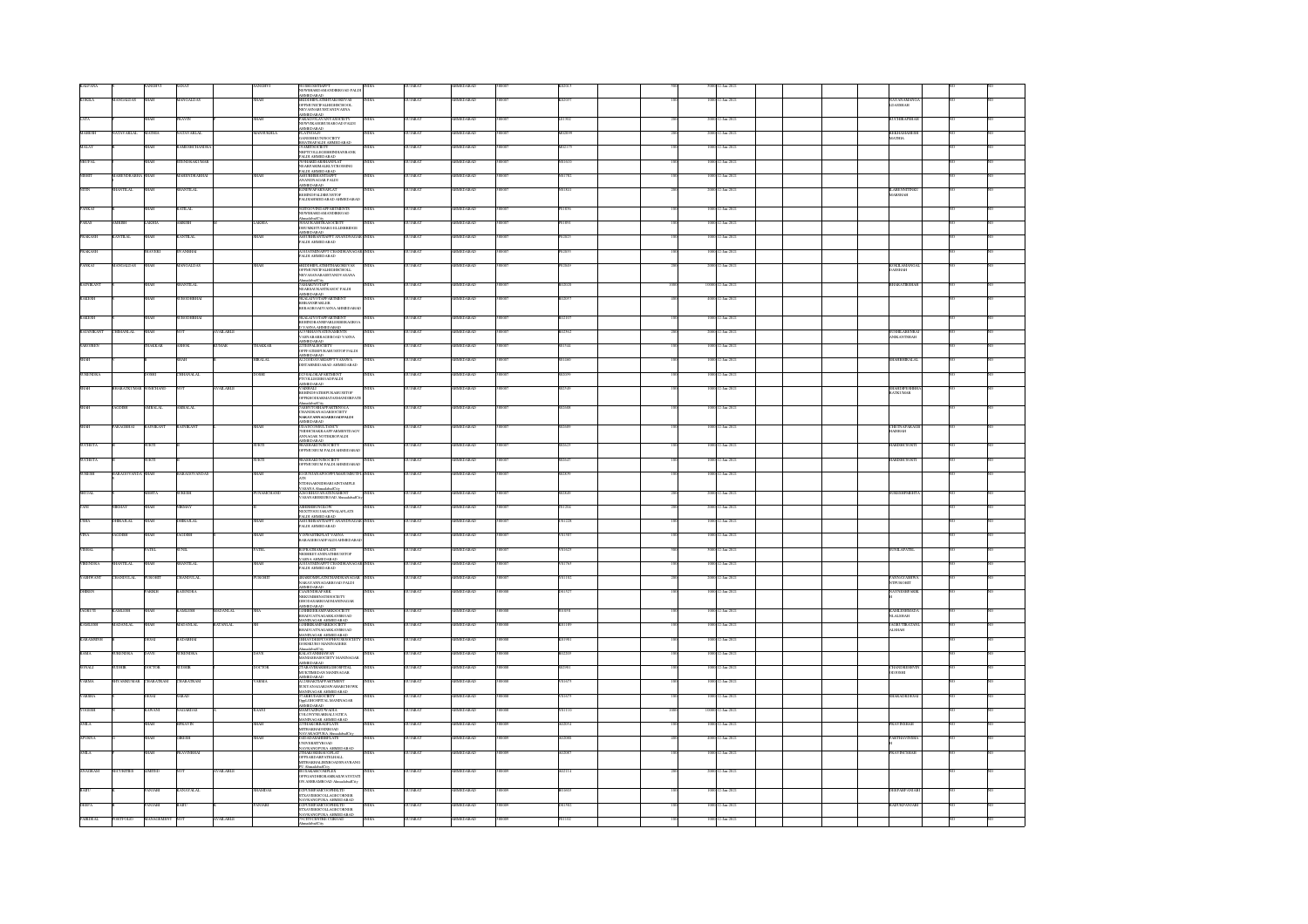| <b>CALPAN</b>   |                  |               |                 |               |                         | SOISRUSHTIAPPT<br>NEWSHARDAMANDIRROAD PALDI                                                                                                                                    | <b>INDU</b> | <b>JARA</b>  | MEDABAI         |  |        |                  |  |                              |  |
|-----------------|------------------|---------------|-----------------|---------------|-------------------------|--------------------------------------------------------------------------------------------------------------------------------------------------------------------------------|-------------|--------------|-----------------|--|--------|------------------|--|------------------------------|--|
|                 |                  |               |                 |               |                         | AHMEDABAD<br>6RIDDHIFLATBHTAKOREVAS                                                                                                                                            |             |              |                 |  |        |                  |  |                              |  |
|                 |                  |               |                 |               |                         | SKIDDHIFLATBHTAKOKEVAS<br>OPPMUNICIPALHIGHSCHOOL<br>NRVASNABUSSTANDVASNA<br>AHMEDABAD<br>PARAO93LAVANYASOCIETY                                                                 |             |              |                 |  |        |                  |  | <b>ASSHAH</b>                |  |
| <b>ATA</b>      |                  |               | :AVIN           |               |                         |                                                                                                                                                                                |             | JARAT        | HMEDABAD        |  | 2000 1 | $-$ Jan-202      |  | <b>CHIRAPSE</b>              |  |
|                 |                  |               |                 |               |                         | NEWVIKASGRUHAROAD PALDI                                                                                                                                                        |             |              |                 |  |        |                  |  |                              |  |
|                 |                  |               |                 |               |                         | <b>HMEDABAD</b><br>GANESHKUNJSOCIETY                                                                                                                                           |             |              |                 |  |        |                  |  | KHAN<br>AIHIA                |  |
|                 |                  |               |                 |               |                         |                                                                                                                                                                                |             |              |                 |  |        |                  |  |                              |  |
|                 |                  |               |                 |               |                         | SHATHAPALDI AHMEDABAD<br>BHATHAPALDI AHMEDABAD<br>NRPTCOLLEGEBHINDIANBANK<br>PALDI AHMEDABAD<br>70SHARIDARSHANFLAT                                                             |             |              |                 |  |        |                  |  |                              |  |
| <b>NRUPAL</b>   |                  |               | ENDRAKUMA       |               |                         | NEARPARIMALRLYCROSSING                                                                                                                                                         |             | JARAT        | MEDABAD         |  | 1000   | $tan-202$        |  |                              |  |
|                 | <b>HENDRAB</b>   | ŁΝ            | <b>HENDRABH</b> |               |                         | PALDI AHMEDARAD<br>A6SUBHSHANTIAPPT<br>ANANDNAGAR PALDI                                                                                                                        |             | JARAT        | MEDABAD         |  | 1000   | -Jan-202         |  |                              |  |
|                 |                  |               |                 |               |                         |                                                                                                                                                                                |             |              |                 |  |        |                  |  |                              |  |
|                 | щA               |               | .<br>NTILAL     |               |                         | AHMEDABAD<br>E4NEWAPARNAFLAT<br>BEHINDPALDIBUSSTOP<br>PALDIAHMEDABAD AHMEDABAI                                                                                                 |             | <b>JARAT</b> | DABAD           |  |        | $3m-2021$        |  | ABENNIT<br>IARSHAH           |  |
|                 |                  |               |                 |               |                         |                                                                                                                                                                                |             |              |                 |  |        |                  |  |                              |  |
| WKA             |                  |               | <b>TILAL</b>    |               |                         | <b>GITGOVINDAPPARTMENTS</b><br>NEWSHARDAMANDIRROAD                                                                                                                             |             | <b>JARA</b>  | MEDABAD         |  |        |                  |  |                              |  |
| PARAS           | <b>IRISH</b>     | AKHIA         | <b>MRISH</b>    |               | <b>WHIA</b>             | Alexander City<br>Alexander City<br>DHUMKETUMARG ELLISBRIDGE                                                                                                                   |             | JARAT        | HMEDABAD        |  |        | 1000 12-Jan-202  |  |                              |  |
|                 |                  |               |                 |               |                         |                                                                                                                                                                                |             |              |                 |  |        |                  |  |                              |  |
|                 |                  |               |                 |               |                         | AHMEDABAD<br>A6SUBHSANTIAPPT AF<br>PALDI AHMEDABAD                                                                                                                             |             |              |                 |  |        |                  |  |                              |  |
| PRAKASH         |                  | <b>AVERI</b>  | <b>ANBHAI</b>   |               |                         | <b>UGIAYMINAPPT CHANDRAN</b>                                                                                                                                                   |             | <b>JARAT</b> | HMEDABAD        |  | 1000   | $34m-202$        |  |                              |  |
|                 |                  |               |                 |               |                         | PALDI AHMEDABAD                                                                                                                                                                |             |              |                 |  |        |                  |  |                              |  |
| <b>ANKAJ</b>    |                  | <b>TAH</b>    | NGALDAS         |               |                         | <b>SRIDDHIFLATBHTHAKOREVAS</b>                                                                                                                                                 |             | <b>JARAT</b> | HMEDABAD        |  |        | J <sub>202</sub> |  | OKILAMAN<br>ASSHAH           |  |
|                 |                  |               |                 |               |                         | OPPMUNICIPALHIGHSCHOLL<br>NRVASANABASSTANDVASANA                                                                                                                               |             |              |                 |  |        |                  |  |                              |  |
| <b>JNIKA</b>    |                  |               | VILAL           |               |                         |                                                                                                                                                                                |             | ara          |                 |  |        |                  |  |                              |  |
| RAKESH          |                  |               | RODHRHA         |               |                         | SR VASNOVARASI INDIVASARA<br>AhmabbaKiv<br>TAMARIYOTAFI<br>NEMEDABAD<br>AHMEDABAD<br>BERAGROADVARTAENT<br>SERAGROADVASNA AHMEDABAD<br>BERAGROADVASNA AHMEDABAD                 |             | <b>JARA</b>  | <b>IMEDABAD</b> |  |        | $-3an-202$       |  |                              |  |
|                 |                  |               |                 |               |                         |                                                                                                                                                                                |             |              |                 |  |        |                  |  |                              |  |
| <b>AKESH</b>    |                  |               | <b>BODHBHA</b>  |               |                         | <b>SKALAJYOTAPPARTMENT</b>                                                                                                                                                     |             | JARA)        | <b>IMEDABAD</b> |  | 1000   | 202              |  |                              |  |
|                 |                  |               |                 |               |                         | BEHINDBANSIPARLERBERAGRO/                                                                                                                                                      |             |              |                 |  |        |                  |  |                              |  |
|                 |                  |               |                 |               |                         |                                                                                                                                                                                |             | IARA         |                 |  |        |                  |  | .<br>SHILABENR<br>NIKANTSHAI |  |
| <b>IROIRE</b>   |                  | 13KK 38       | $rac{1}{2}$     |               | <b>IAKKA</b>            | D VASNA AHMEDABAD<br>AI SSBHAVNATENAMENTS<br>VASNABARRAGEROAD VASNA<br>AHMEDABAD<br>22TEJPALSOCIETY                                                                            |             | <b>TARAT</b> | MEDARAD         |  |        |                  |  |                              |  |
|                 |                  |               |                 |               |                         | OPPFATEHPURABUSSTOP PALDI<br><u>VHMEDABAD</u><br>VI 2GODAVARIAPPT VASAWA                                                                                                       |             |              |                 |  |        |                  |  |                              |  |
| SHAH            |                  |               | łАН             |               | <b>IRALAL</b>           | <b>ISTAHMEDABAD AHMEDABAD</b>                                                                                                                                                  |             | <b>JARAT</b> | <b>IMEDABAD</b> |  |        | 1000 12-Jan-2021 |  | <b>IAHBHRAL</b>              |  |
| <b>SURENDRA</b> |                  |               | <b>HANALAL</b>  |               |                         | D238ALOKAPARTMENT                                                                                                                                                              |             | Jarat        | MEDABAD         |  | 1000   | -Jan-202         |  |                              |  |
|                 |                  |               |                 |               |                         | PTCOLLEGEROADPALDI<br>AHMEDABAD                                                                                                                                                |             |              |                 |  |        |                  |  |                              |  |
|                 |                  | MCHAN         |                 | <b>ALABLE</b> |                         | VAISIDALI<br>REHINDEATEHPI IRARI ISSTOP                                                                                                                                        |             | <b>JARA</b>  | EDABAI          |  |        |                  |  | HAHDIPESE<br>!ATKUMAR        |  |
|                 |                  |               |                 |               |                         | OPPKHODIARMATASMANDIRFAT<br>hrudsbalCity<br>ASHVTOSHAPPARTBNO4A                                                                                                                |             |              |                 |  |        |                  |  |                              |  |
| HAH             | <b>TDISE</b>     | <b>MBALAL</b> | <b>MBALAL</b>   |               |                         |                                                                                                                                                                                |             | UJARAT       | AHMEDABAD       |  |        | 1000 12-Jan-202  |  |                              |  |
|                 |                  |               |                 |               |                         | CHANDRANAGARSOCIETY<br>NARAY ANNAGARROADPALDI                                                                                                                                  |             |              |                 |  |        |                  |  |                              |  |
|                 |                  |               |                 |               |                         | SOBOT NSUMBROADFALLS<br>AHMEDABAD<br>UDAYCONSULTANCY<br>2SIDHCHAKRAAPPARMENTDAGV<br>AHMEDABAD<br>MAMEDABAD<br>%RASHAKUNISOCIETY                                                |             |              |                 |  |        |                  |  | 'HETNAP <i>)</i><br>IAISHAH  |  |
|                 |                  |               |                 |               |                         |                                                                                                                                                                                |             |              |                 |  |        |                  |  |                              |  |
| UCHETA          |                  | <b>IPTT</b>   |                 |               | <b>IRTI</b>             | 9BASHAKUNJSOCIETY<br>OPPMUSEUM PALDI AHMEDABAD                                                                                                                                 |             | <b>TARAT</b> | <b>JEDARAD</b>  |  |        |                  |  | <b>RISHCSUE</b>              |  |
| <b>SUCHETA</b>  |                  | SURTI         |                 |               | URTI                    | <b>9BASHAKUNISOCIETY<br/>OPPMUSEUM PALDI AHMEDABAD</b>                                                                                                                         |             | <b>JARAT</b> | HMEDABAD        |  |        | 1000 12-Jan-2021 |  | ARISHCSURT                   |  |
|                 |                  |               |                 |               |                         | <b>TENTAN ABOVER</b>                                                                                                                                                           |             |              |                 |  |        |                  |  |                              |  |
|                 |                  |               |                 |               |                         | ATS<br>NTDHAARNIDHARJAINTAMPLE                                                                                                                                                 |             |              |                 |  |        |                  |  |                              |  |
| <b>HITAT</b>    |                  | <b>FHT:</b>   | <b>RESH</b>     |               | <b>AMOUAN</b>           | ASANA AhmadabadCity<br>260 BHAVANATENAMENT                                                                                                                                     |             |              | <b>MEDARAD</b>  |  |        |                  |  |                              |  |
|                 |                  |               |                 |               |                         | ASANABEREJROAD Ahmadabad                                                                                                                                                       |             | JARAT        |                 |  |        |                  |  |                              |  |
|                 |                  |               |                 |               |                         | <b>ISHBUNGLOW</b>                                                                                                                                                              |             | ARA          | MEDABAL         |  |        |                  |  |                              |  |
|                 |                  |               | <b>IRAILAI</b>  |               |                         | NEXTIOGUIARATWALAFLATS                                                                                                                                                         |             |              |                 |  |        |                  |  |                              |  |
|                 |                  |               |                 |               |                         | PALDI AHMEDABAD<br>A6SUBHSANTIAPPT ANANE<br>PALDI AHMEDABAD                                                                                                                    |             |              |                 |  |        |                  |  |                              |  |
|                 |                  | <b>HAF</b>    | GDISH           |               |                         | YI SWASTIKFLAT VASNA<br>BARAGEROADPALDI AHMEDABAD                                                                                                                              |             | <b>TARAT</b> | <b>IMEDARAD</b> |  |        |                  |  |                              |  |
|                 |                  |               |                 |               |                         | <b>IPRATHAMAFLATS</b>                                                                                                                                                          |             |              |                 |  |        |                  |  |                              |  |
|                 |                  |               |                 |               |                         | NRSHREY ANSNATHBUSSTOP                                                                                                                                                         |             |              |                 |  |        |                  |  |                              |  |
| <b>IRENDRA</b>  | NTILAL           |               | ANTILAL.        |               |                         | VASNA AHMEDABAD<br>AIGIAYMINAPPT CHANDRANAG<br>PALDI AHMEDABAD                                                                                                                 |             | JARAT        | MEDABAD         |  |        | $3m-202$         |  |                              |  |
| <b>GHWAN</b>    |                  | R∩⊫           | <b>NDULAL</b>   |               |                         |                                                                                                                                                                                |             | <b>JARA</b>  | DARAI           |  |        |                  |  |                              |  |
|                 |                  |               |                 |               |                         | 4HARIOMFLATSCHANDRANAGJ<br>NARAYANNAGARROAD PALDI                                                                                                                              |             |              |                 |  |        |                  |  | ANNAYASH<br>(TPUROHIT        |  |
| HIREN           |                  |               | <b>UENDRA</b>   |               |                         |                                                                                                                                                                                |             | <b>JARA</b>  | IMEDABAD        |  |        | .<br>Jan 20      |  |                              |  |
|                 |                  |               |                 |               |                         | NRKUMBHNATHSOCIETY<br>GHODASARROADMANINAGAR                                                                                                                                    |             |              |                 |  |        |                  |  |                              |  |
| <b>AGRUTI</b>   | MLESE            |               | AMLESH          |               |                         | AHMEDABAD<br>14SHREERAMPARKSOCIETY<br>BHADUATNAGARKANSROAD                                                                                                                     |             | IJARAT       | MEDABAD         |  |        | 1000 12-Jan-202  |  | KAMLESHM<br>NLALSHAH         |  |
| CAMLESH         | DANI AI          | нан           | ADANI AL        | TANI AI       |                         | <b>ANINAGAR AHMEDABAD<br/>4SHRIRAMPARKSOCIETY</b>                                                                                                                              |             | <b>TARAT</b> | <b>IMEDARAD</b> |  |        | $1 - 202$        |  | <b>LORUTIRATA</b>            |  |
|                 |                  |               |                 |               |                         | 14SHRIRAMPARKSOCIETY<br>BHADUATNAGARKANSROAD<br>MANINAGAR AHMEDABAD<br>1BHAVDEEPCOOPHOUSESOCIETY                                                                               |             |              |                 |  |        |                  |  | <b>J.SHAH</b>                |  |
| KARAMSINI       |                  | ESAI          | <b>ARHAI</b>    |               |                         | GORSKURO MANINAGERE                                                                                                                                                            |             | <b>JARAT</b> | <b>IMEDARAD</b> |  | 1000   | J <sub>202</sub> |  |                              |  |
| RAMA            | RENDRA           | AVE.          | RENDRA          |               | <b>AVE</b>              | <b>APPROXIMATE</b><br><b>APPROXIMATE SECURE ALAYANBHAWAN</b><br>MANIASHASOCIETY MANINAGAR                                                                                      |             | JARAT        | MEDABAD         |  |        | J <sub>202</sub> |  |                              |  |
|                 |                  |               |                 |               |                         |                                                                                                                                                                                |             |              |                 |  |        |                  |  |                              |  |
| LIANOS          |                  | <b>CTOR</b>   |                 |               | Υm                      | MANDARAD<br>AHMEANBAD<br>2TARAVIHARBHLGHOSPITAL<br>MUKTIMEDAN MANINAGAR<br>2                                                                                                   |             | <b>JARA</b>  | <b>JARAF</b>    |  |        |                  |  | <b>HANDRE</b><br>IOJOSHI     |  |
| ARMA            |                  | ARATRAM       | <b>IARATRAM</b> |               |                         | IUK DARAAN<br>HMEDABAD<br>****HAKTIAPPARTMENT                                                                                                                                  |             | JARAT        | EDABAD          |  |        |                  |  |                              |  |
|                 |                  |               |                 |               |                         | ALESTIAN LIAPPAR IMENT<br>SURY ANAGARIAWAHARCHOWE                                                                                                                              |             |              |                 |  |        |                  |  |                              |  |
| <b>VARSHA</b>   |                  |               | RAD             |               |                         | MANINAGAR AHMEDABAD<br>37ARBUDASOCIETY<br>OppLGHOSPITAL MANINAGAR                                                                                                              |             | <b>JARA</b>  | <b>IMEDARAD</b> |  |        | 1000 12-Jan-202  |  | <b>HARADRDESA</b>            |  |
| <b>COESH</b>    |                  | .<br>WAN      | GARDA           |               |                         | HMEDABAD<br>MAMTAZINZUWADIA<br>COLONYNEARBALUATICA                                                                                                                             |             | <b>JARA</b>  | <b>FDARAD</b>   |  |        |                  |  |                              |  |
|                 |                  |               |                 |               |                         |                                                                                                                                                                                |             |              |                 |  |        |                  |  |                              |  |
| ANILA           |                  | H4F           | PRAVIN          |               | $\overline{\mathbf{u}}$ | <b>ANINAGAR AHMEDABAI</b><br>2THAKORBAGFLATS<br>MITHAKHADSIXROAD                                                                                                               |             | <b>TARAT</b> | <b>IMEDARAD</b> |  |        | $1 - 202$        |  | <b>AVINSHA</b>               |  |
| <b>APURNA</b>   |                  | НАН           | RESH            |               |                         | NAVARAGPURA AhmadabadC<br>D4DADASAHEBFLATS<br>UNIVERSITYROAD                                                                                                                   |             | JARAT        | MEDABAD         |  | 4000   | -Jan-202         |  | ARTHAVE                      |  |
|                 |                  |               |                 |               |                         |                                                                                                                                                                                |             |              |                 |  |        |                  |  |                              |  |
| <b>ANILA</b>    |                  |               | <b>WNBHA</b>    |               |                         | UNIVERSITYKOAD<br>NAVRANGIPURA AHMEDABAD<br>2THAKOREBAUGELAT<br>OPPSARDARPATELHALL<br>MITHAKHALSIXROADSNAVRANG<br>MUHAKHALSIXROADSNAVRANG<br>FU AhmahbaCity<br>SOISAKARCOMPLEX |             | JARA)        |                 |  |        |                  |  |                              |  |
|                 |                  |               |                 |               |                         |                                                                                                                                                                                |             |              |                 |  |        |                  |  |                              |  |
| <b>ANAGRAM</b>  | <b>CURTURS</b>   | <b>IMITED</b> |                 | <b>ALABLE</b> |                         | OPPGANDHIGRAMRAILWAYSTAT                                                                                                                                                       |             | 1149.47      | <b>MEDARAD</b>  |  | anon.  | $1 - 202$        |  |                              |  |
|                 |                  |               |                 |               |                         | N ASHRAMROAD AhmadahudCity                                                                                                                                                     |             |              |                 |  |        |                  |  |                              |  |
|                 |                  |               |                 |               |                         |                                                                                                                                                                                |             |              |                 |  |        |                  |  |                              |  |
| AUU             |                  | NJAB.         | WAYALAL         |               | <b>IAMDAS</b>           |                                                                                                                                                                                |             | JARAT        | <b>IMEDABAD</b> |  |        | 1000 12-Jan-202  |  | EEPABPANJA                   |  |
|                 |                  |               |                 |               |                         | D2PUSHPAMCOOPHSLTD<br>STXAVIERSCOLLAGECORNER                                                                                                                                   |             |              |                 |  |        |                  |  |                              |  |
| <b>WEPA</b>     |                  |               |                 |               |                         |                                                                                                                                                                                |             | IAR.         | <b>BEDARA</b>   |  |        |                  |  |                              |  |
| <b>FAIRDEAL</b> | <b>PORTFOLIO</b> | MANAGEMENT    |                 | LABLE         |                         | SAVRANGPURA AHMEDABAD<br>D2PUSHPAMCOOPHSLTD<br>STXAVERSCOLLAGECORNER<br>NAVRANGPURA AHMEDABAD<br>TSCITYCENTRE COROAD                                                           |             |              |                 |  |        |                  |  |                              |  |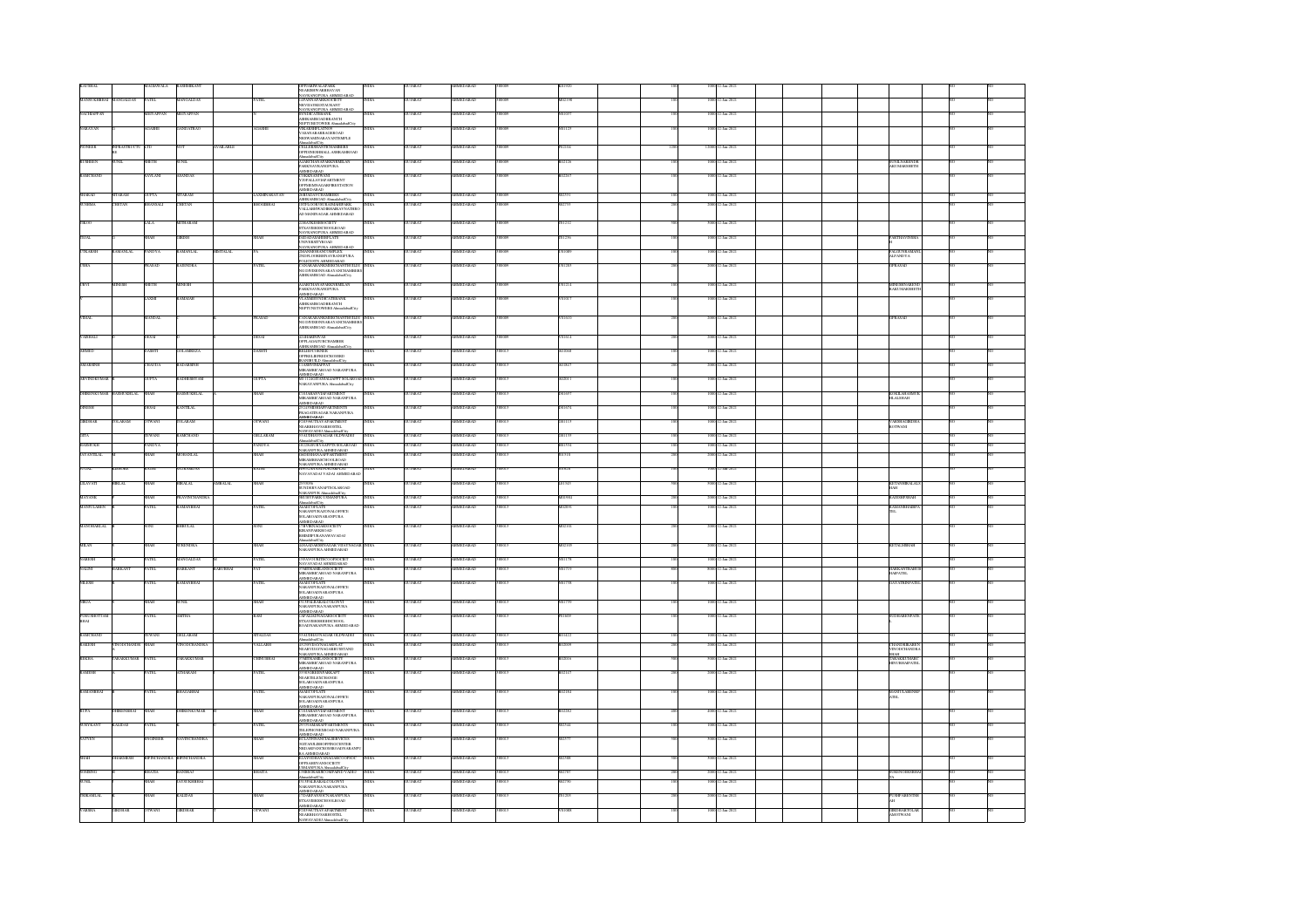| к апуна                 |                  | GIAWALA        | MIK:              |               |                    | <b>PPIARIWALAPARK</b><br>NEARISHWARBHAVAN                                                                                                  |              |               |                 |        |  |      |                       |  |  |                                     |  |  |
|-------------------------|------------------|----------------|-------------------|---------------|--------------------|--------------------------------------------------------------------------------------------------------------------------------------------|--------------|---------------|-----------------|--------|--|------|-----------------------|--|--|-------------------------------------|--|--|
|                         |                  |                |                   |               |                    |                                                                                                                                            |              |               |                 |        |  |      |                       |  |  |                                     |  |  |
|                         |                  |                |                   |               |                    | NAVRANGPURA AHMEDABAD<br>14PANNAPARKSOCIETY<br>NRVIJAYRESTAURANT                                                                           |              |               |                 |        |  |      |                       |  |  |                                     |  |  |
| АСНІАРРА                |                  | YAPPA!         | APPA?             |               |                    | AVRANGPURA AHMEDAB<br>YNDICATEBANK<br>SHRAMROADBRANCH                                                                                      |              |               |                 |        |  |      | $tan-2021$            |  |  |                                     |  |  |
| <b>NARAYAN</b>          |                  |                | <b>DATRA</b>      |               |                    | <b>EPTUBETOWER AhmadabadCity</b>                                                                                                           |              | <b>ARA</b>    |                 |        |  |      |                       |  |  |                                     |  |  |
|                         |                  |                |                   |               |                    | ASANABARRAGEROAD<br><b>RESWAMINARAYANTEMPLE</b>                                                                                            |              |               |                 |        |  |      |                       |  |  |                                     |  |  |
| <b>PIONEER</b>          | <b>INFRASTRU</b> |                |                   | <b>ALABLE</b> |                    | AmadeaCity<br>CELLERSHANTICHAMBERS<br>OPPDINESHHALL ASHRAMROAD                                                                             |              | JARAT         | HMEDABAD        |        |  |      | $3m-202$              |  |  |                                     |  |  |
|                         |                  |                |                   |               |                    |                                                                                                                                            |              |               |                 |        |  |      |                       |  |  |                                     |  |  |
| <b>LUSHEE</b>           |                  |                |                   |               |                    | AhmadshalCity<br>A4ARCHANAPARKNRMLA<br>PARKNAVRANGPURA                                                                                     |              | JARA'         | <b>NEDARA</b>   |        |  |      |                       |  |  | SUNILNAREND<br>AKUMARSHETI          |  |  |
| <b>RAMCHAND</b>         |                  | VI AN          | AMPAC             |               |                    | HMEDABAD<br>YOKKNANJWANI                                                                                                                   |              | <b>HARAT</b>  | <b>MEDARAE</b>  |        |  |      |                       |  |  |                                     |  |  |
|                         |                  |                |                   |               |                    | CONNANOWANI<br>Y20PALLAVIAPARTMENT<br>OPPMEMNAGARFIRESTATION                                                                               |              |               |                 |        |  |      |                       |  |  |                                     |  |  |
| <b>SHARAD</b>           | SITARAM          | <b>GUPTA</b>   | <b>NEARAM</b>     |               | <b>AXMINARAYAN</b> | AHMEDABAD<br>26BJADAVCHAMBERS                                                                                                              | <b>STOLA</b> | UJARAT        | HMEDABAD        | 250    |  |      | 1000 12-Jan-2021      |  |  |                                     |  |  |
| SHMA                    | <b>ETAN</b>      | <b>JANSALI</b> | HETAN             |               |                    | <b>ASHRAMROAD AbmadabadCity</b><br>ISTFLOOR3SURAJMAHIPARK                                                                                  |              | IJARAT        | EDABAL          |        |  |      | $Jan-202$             |  |  |                                     |  |  |
|                         |                  |                |                   |               |                    | /ALLABHWADIBHAIRAVNATHRO<br>AD MANINAGAR AHMEDABAD                                                                                         |              |               |                 |        |  |      |                       |  |  |                                     |  |  |
|                         |                  |                |                   |               |                    | 2HATKESHSOCIETY<br>STXAVIERSSCHOOLROAD                                                                                                     |              |               |                 |        |  |      | $an-202$              |  |  |                                     |  |  |
|                         |                  |                |                   |               |                    | <b>AVRANGPURA AHMEDA</b><br>4DADASAHEBELATS                                                                                                |              |               |                 |        |  |      |                       |  |  |                                     |  |  |
| <b>FIAT</b>             |                  |                |                   |               |                    | <b>INIVERSITYROAD</b>                                                                                                                      |              | <b>JARAT</b>  | MEDARAD         |        |  |      | $tan-202$             |  |  |                                     |  |  |
| <b>TKARSH</b>           | MANI AI          | NDYA           | MANI AI           | <b>TALA</b>   |                    | UNIVERSI I ROAD<br>NAVRANGPURA AHMEDABAD<br>2MANMOHANCOMPLEX<br>2NDFLOORBHNAVRANGPURA                                                      |              | JARAT         | <b>IMEDABAD</b> |        |  |      | J <sub>202</sub>      |  |  | <b><i><u>ILGUNRAN</u></i></b>       |  |  |
|                         |                  |                |                   |               |                    |                                                                                                                                            |              |               |                 |        |  |      |                       |  |  | <b>ALPANDYA</b>                     |  |  |
|                         |                  |                |                   |               |                    | <b>FOLICESTN AHMEDABAD</b><br>CANARABANKMERCHANTBUILDI<br>NG DIVISIONNARAYANCHAMBERS<br>ASHRAMROAD AhmadabadCity                           |              |               |                 |        |  |      |                       |  |  |                                     |  |  |
|                         |                  |                |                   |               |                    |                                                                                                                                            |              | <b>JARA</b>   |                 |        |  |      |                       |  |  |                                     |  |  |
|                         |                  |                |                   |               |                    | .<br>ALARCHANAPARKNRME.A)<br>PARKNAVRANGPURA                                                                                               |              |               |                 |        |  |      |                       |  |  | MINESHNARE!<br>RAKUMARSHE           |  |  |
|                         |                  | AXMI           | MAIAH             |               |                    | <b>HMEDABAD</b><br>VLAXMISYNDICATEBANK<br><b>SHRAMROADBRANCH</b>                                                                           |              | JARAT         | HMEDABAD        |        |  |      | $-3$ an-2021          |  |  |                                     |  |  |
|                         |                  |                |                   |               |                    | NEPTUNETOWERS AhmadabadCity                                                                                                                |              |               |                 |        |  |      |                       |  |  |                                     |  |  |
| VIMAL.                  |                  | ANDAL          |                   |               | <b>RASAD</b>       | <b>CANARABANKMERCHANTBUILDI</b>                                                                                                            | <b>INDIA</b> | UJARAT        | <b>IMEDABAD</b> |        |  |      | 2000 12-Jan-2021      |  |  | <b>GPRASAD</b>                      |  |  |
|                         |                  |                |                   |               |                    | G DIVISIONNARAYANCHAMBER:<br>ASHRAMROAD AhmadabadCity                                                                                      |              |               |                 |        |  |      |                       |  |  |                                     |  |  |
| ISHAL                   |                  |                |                   |               |                    | 124HARINIVAS<br>DPPLAGAJJURCHAMBER<br>NSHRAMROAD AhmadibalCi<br>RELIEFCORNER                                                               |              | <b>JARA</b>   |                 |        |  |      |                       |  |  |                                     |  |  |
| MED                     |                  | n.             | <b>AMREZA</b>     |               |                    |                                                                                                                                            |              | JARAT         | <b>SEDARAE</b>  |        |  |      | $n-202$               |  |  |                                     |  |  |
|                         |                  |                |                   |               |                    | <b>OPPRELIEFREDCROSSRD</b>                                                                                                                 |              |               |                 |        |  |      |                       |  |  |                                     |  |  |
| MARSINH                 |                  | HAUDA          | <b>JARSINE</b>    |               |                    | <b>EXAMBLILD AhmadasaCity</b><br>ILASHVINIAPPAT<br>MIRAMBICAROAD NARANPURA                                                                 |              | JARAT         | <b>IMEDABAL</b> |        |  |      | 2-Jan-2021            |  |  |                                     |  |  |
|                         |                  | <b>IPTA</b>    |                   |               | PD                 | <b>MHMEDABAD<br/>MI 1124GITANIALIAPPT SOLARC</b><br>KARAY ANPURA AhmadabadCity                                                             |              |               |                 |        |  |      |                       |  |  |                                     |  |  |
|                         |                  |                |                   |               |                    |                                                                                                                                            |              |               |                 |        |  |      |                       |  |  |                                     |  |  |
| HIRENKIN                | SMIKHEZ          | .<br>34 A.H    | SMIKHLA           |               |                    | .<br>CIOJAHANVIAPARTMENT<br>MIRAMBICAROAD NARANPURA                                                                                        |              | <b>TARA</b>   | <b>MEDARAI</b>  |        |  |      | J <sub>20</sub> 202   |  |  | KOKILAHAS<br>HLALSHAH               |  |  |
| DINESH                  |                  | ESAI           | ANTE AL           |               |                    | MIKAMBR, AROMD NARANYURA<br>AHMEDABAD<br>25243NIDHIAPPARTMENTS<br>PRAGATINAGAR NARANPURA                                                   |              | JARAT         | <b>IMEDABAD</b> | 1674   |  |      | J <sub>2021</sub>     |  |  |                                     |  |  |
|                         |                  |                |                   |               |                    |                                                                                                                                            |              |               |                 |        |  |      |                       |  |  |                                     |  |  |
| RDHAR                   | LARAM            | WANI           | ARAM              |               | WANI               | AHMEDABAD<br>F28396UTSAVAPARTMENT<br>NEARBHAVSARHOSTEL                                                                                     |              | JARAT         | EDABAL          |        |  |      | J <sub>2021</sub>     |  |  | VARSHAGI<br>ROTWANI                 |  |  |
|                         |                  |                |                   |               |                    | (AWAVADEJ AhmadabadCity<br>3AUDHAVNAGAR OLDWADE                                                                                            |              |               |                 |        |  |      |                       |  |  |                                     |  |  |
| <b>HASMUKH</b>          |                  | NDV a          |                   |               | <b>NDVA</b>        | hrudabadCity<br>82284SURYAAPPTS SOLAROAD                                                                                                   | .<br>NDI A   | 1139.57       | <b>SEDARAE</b>  |        |  |      | Im 202                |  |  |                                     |  |  |
| <b>JAYANTILAL</b>       |                  |                | <b>MANLAI</b>     |               | łМ                 | <b>ARANPURA AHMEDABAD</b><br>BDESHANAAPPARTMENT                                                                                            | <b>NDIA</b>  | UJARAT        | HMEDABAD        |        |  | 2000 | 2-Jan-2021            |  |  |                                     |  |  |
| XIAL                    |                  |                |                   |               |                    | <b>MIRAMBHASCHOOLROAD</b><br><b>JARANPURA AHMEDABAD</b><br>IS652ANANDNAGARELAT                                                             |              | <b>IARA</b>   |                 |        |  |      |                       |  |  |                                     |  |  |
|                         |                  |                |                   |               |                    | <b>SAVAVADAJ VADAJ AHMEDABAL</b>                                                                                                           |              |               |                 |        |  |      |                       |  |  |                                     |  |  |
| <b>JLAVAT</b>           |                  |                |                   |               |                    | <b>INDERVANAPTSOLAROAD</b>                                                                                                                 |              |               |                 |        |  |      |                       |  |  |                                     |  |  |
| <b>MAYANK</b>           |                  | <b>SHAH</b>    | <b>AVINCHANDR</b> |               |                    | (ARANPUR AhmadabadCity<br>RUBYPARK USMANPURA                                                                                               |              | <b>HARAT</b>  | <b>JEDARAD</b>  | 01984  |  |      | 2000 12-Jan-2021      |  |  | <b>RATESHPSHAI</b>                  |  |  |
| <b><i>ANJULABEN</i></b> |                  |                |                   |               |                    | <b>UmudahadCity</b><br>u6AECOFLATS                                                                                                         |              | <b>JARAT</b>  | <b>IMEDABAD</b> | ida.   |  |      | J <sub>20</sub>       |  |  | <b>MANRHAIR</b>                     |  |  |
|                         |                  |                |                   |               |                    | NARANPURAZONALOFFICE<br>SOLAROADNARANPURA                                                                                                  |              |               |                 |        |  |      |                       |  |  | TEI                                 |  |  |
| MANOHARLAL              |                  |                | <b>IBULAL</b>     |               |                    | AHMEDABAD<br>17BVRNAGARSOCIETY<br>KRANPARKROAD<br>BHIMIIPURANAWAVADAJ                                                                      |              | JARAT         | MEDABAD         | 992101 |  | 2000 | 2-Jan-2021            |  |  |                                     |  |  |
|                         |                  |                |                   |               |                    |                                                                                                                                            |              |               |                 |        |  |      |                       |  |  |                                     |  |  |
|                         |                  |                |                   |               |                    | <b>VeradabalCity<br/>148AADARSHNAGAR VIJAY<br/>KARANPURA AHMEDABAD</b>                                                                     |              |               |                 |        |  |      |                       |  |  |                                     |  |  |
|                         |                  |                |                   |               |                    |                                                                                                                                            |              |               |                 |        |  |      |                       |  |  |                                     |  |  |
| <b>GARESH</b>           |                  |                | NGALDAS           |               | <b>ITFI</b>        | SFAVOURITECOOPSOCIET<br>NAVAVADAJ AHMEDABAD<br>37MITRAMILANSOCIETY                                                                         |              | JARAT         | <b>IMEDABAL</b> |        |  | 1000 | $\frac{1}{2}$ an-2021 |  |  |                                     |  |  |
| ALIN                    |                  |                |                   |               |                    | MIRAMBICAROAD NARANPURA                                                                                                                    |              | <b>ARA</b>    | MEDABAI         |        |  |      |                       |  |  | RKANTE<br>HAIPATEL                  |  |  |
| <b>NILESH</b>           |                  |                |                   |               |                    |                                                                                                                                            |              | JARA          | HMEDABAL        |        |  |      | 1000 12-Jan-2021      |  |  | YATRINP                             |  |  |
|                         |                  |                |                   |               |                    | SHARDABAD<br>MARECOFLATS<br>NARANPURAZONALOFFICE<br>SOLAROADNARANPURA                                                                      |              |               |                 |        |  |      |                       |  |  |                                     |  |  |
| <b>NIRJA</b>            |                  |                |                   |               |                    | QHMFDABAD<br>313PALRAKALCOLONYI<br>313PALRAKALCOLONYI<br>QHMFDABAD<br>JAPALIADNAGARSOCIETY                                                 |              | <b>TARA</b>   |                 |        |  |      |                       |  |  |                                     |  |  |
| <b>PURUSHOTTA</b>       |                  |                | m                 |               |                    |                                                                                                                                            |              | <b>JARAT</b>  | MEDARAT         |        |  |      |                       |  |  |                                     |  |  |
| HAI                     |                  |                |                   |               |                    | STXAVIERSHIGHSCHOOL<br>ROADNARANPURA AHMEDABAD                                                                                             |              |               |                 |        |  |      |                       |  |  |                                     |  |  |
| <b>AMCHAND</b>          |                  | <b>TEWANI</b>  | ELLARAM           |               | <b>ITALDAS</b>     | <b>SAUDHAVNAGAR OLDWADEJ</b>                                                                                                               | <b>SDIA</b>  | JARAT         | <b>MEDABAD</b>  | 01422  |  |      | 1000 12-Jan-2021      |  |  |                                     |  |  |
| <b>AKESH</b>            |                  |                | ODCHANDR          |               | <b>ALLABH</b>      |                                                                                                                                            |              | JARAT         | EDABAE          |        |  |      | $tan-202$             |  |  |                                     |  |  |
|                         |                  |                |                   |               |                    | QerudbadCity<br>S2SSVIJAYNAGARFLAT<br>@EARVIJAYNAGARBUSSTAND<br>@ARANPURA AHMEDABAD<br>!?MITRAMILANSOCIETY                                 |              |               |                 |        |  |      |                       |  |  | IANDRIKABEI<br>NODCHANDR            |  |  |
| <b>REKHA</b>            | <b>AKKUMA</b>    |                | RAKKUMAI          |               | <b>INTERHA</b>     | MIRAMBICAROAD NARANPURA                                                                                                                    |              | <b>JARA'</b>  | <b>SEDARAI</b>  |        |  |      |                       |  |  | SHAH<br>TARAKKUMARC<br>HINUBHAIPATE |  |  |
| RAMESH                  |                  | <b>TFI</b>     | <b>TMARAM</b>     |               | <b>ATEL</b>        | HMEDABAD<br>3383GREENPARKAPT                                                                                                               |              | JARAT         | HMEDABAD        |        |  |      | 2000 12-Jan-2021      |  |  |                                     |  |  |
|                         |                  |                |                   |               |                    | NEARTELEXCHANGE<br><b>SOLAROADNARANPURA</b>                                                                                                |              |               |                 |        |  |      |                       |  |  |                                     |  |  |
| <b>AMANBI</b>           |                  | <b>ATEL</b>    | <b>LAGABHA</b>    |               |                    | AHMEDABAD<br>AHMEDABAD<br>MARANPURAZONALOFFICE<br>SOLAROADNARANPURA                                                                        |              | JARA          | <b>IMEDABAL</b> |        |  |      | 000 12-Jan-2021       |  |  | MANJULAB<br>ATEL                    |  |  |
|                         |                  |                |                   |               |                    |                                                                                                                                            |              |               |                 |        |  |      |                       |  |  |                                     |  |  |
|                         |                  |                |                   |               |                    | AHMEDABAD<br>AHMEDABAD<br>MIRAMBICAROAD NARANPURA<br>MIRAMBICAROAD NARANPURA<br>29339AMARAPPARTMENTS                                       |              |               | <b>MEDARA</b>   |        |  |      |                       |  |  |                                     |  |  |
|                         |                  |                |                   |               |                    |                                                                                                                                            |              |               |                 |        |  |      |                       |  |  |                                     |  |  |
| SURYKANT                |                  |                |                   |               |                    | ELEPHONEXROAD NARANPURA                                                                                                                    |              | <b>JARAT</b>  | <b>MEDARAE</b>  |        |  |      | m, 202                |  |  |                                     |  |  |
| ATYEN                   |                  | <b>GENEER</b>  | <b>VINCHANDRA</b> |               |                    | AHMEDABAD<br>ECLATFINANCIALSERVICES                                                                                                        |              | JARAT         | MEDABAL         |        |  |      | 2-Jan-2021            |  |  |                                     |  |  |
|                         |                  |                |                   |               |                    | GITANJLISHOPPINGCENTER<br>@DARPANCROSSROADNARANPI                                                                                          |              |               |                 |        |  |      |                       |  |  |                                     |  |  |
|                         |                  |                |                   |               |                    | NA AHMEDABAD<br>EA AHMEDABAD<br>DPPSAHJIVANSOCIETY<br>USMANPURA AhmalabadCity<br>USMANPURA AhmalabadCity<br>USMANPURA AhmalabadCity        |              |               |                 |        |  |      | $m-202$               |  |  |                                     |  |  |
| AECTAL                  |                  |                | NSR AT            |               |                    |                                                                                                                                            |              | <b>TARAT</b>  | <b>NEDARAP</b>  |        |  |      | Im202                 |  |  | <b>URENOERSE</b>                    |  |  |
|                         |                  |                |                   |               |                    |                                                                                                                                            |              |               |                 |        |  |      |                       |  |  |                                     |  |  |
|                         |                  |                |                   |               |                    |                                                                                                                                            |              |               |                 |        |  |      |                       |  |  |                                     |  |  |
| $\overline{\text{max}}$ |                  |                | YSUKHBH           |               |                    | hmadabadCity<br>  3PALRAKALCOLONYI<br><b>SARANPURA NARANPURA</b>                                                                           |              | <b>JARAT</b>  | MEDABAD         |        |  |      | $an-202$              |  |  |                                     |  |  |
| TRIKAMLAL               |                  | нлн            | <b>ALIDAS</b>     |               |                    |                                                                                                                                            | <b>SDL</b>   | <b>UJARAT</b> | HMEDABAD        |        |  |      | 2000 12-Jan-2021      |  |  |                                     |  |  |
|                         |                  |                |                   |               |                    | AHMEDABAD<br>17DARPANSOCNARANPURA<br>STXAVIERSSCHOOLROAD<br>AHMEDABAD<br>F28396UTSAVAPARTMEN<br>NEARBHAVSARHOSTEL<br>NAWAVADEJ AhmadabadCi |              |               |                 |        |  |      |                       |  |  | PUSHPABENTS.<br>AH<br>AMOTWANI      |  |  |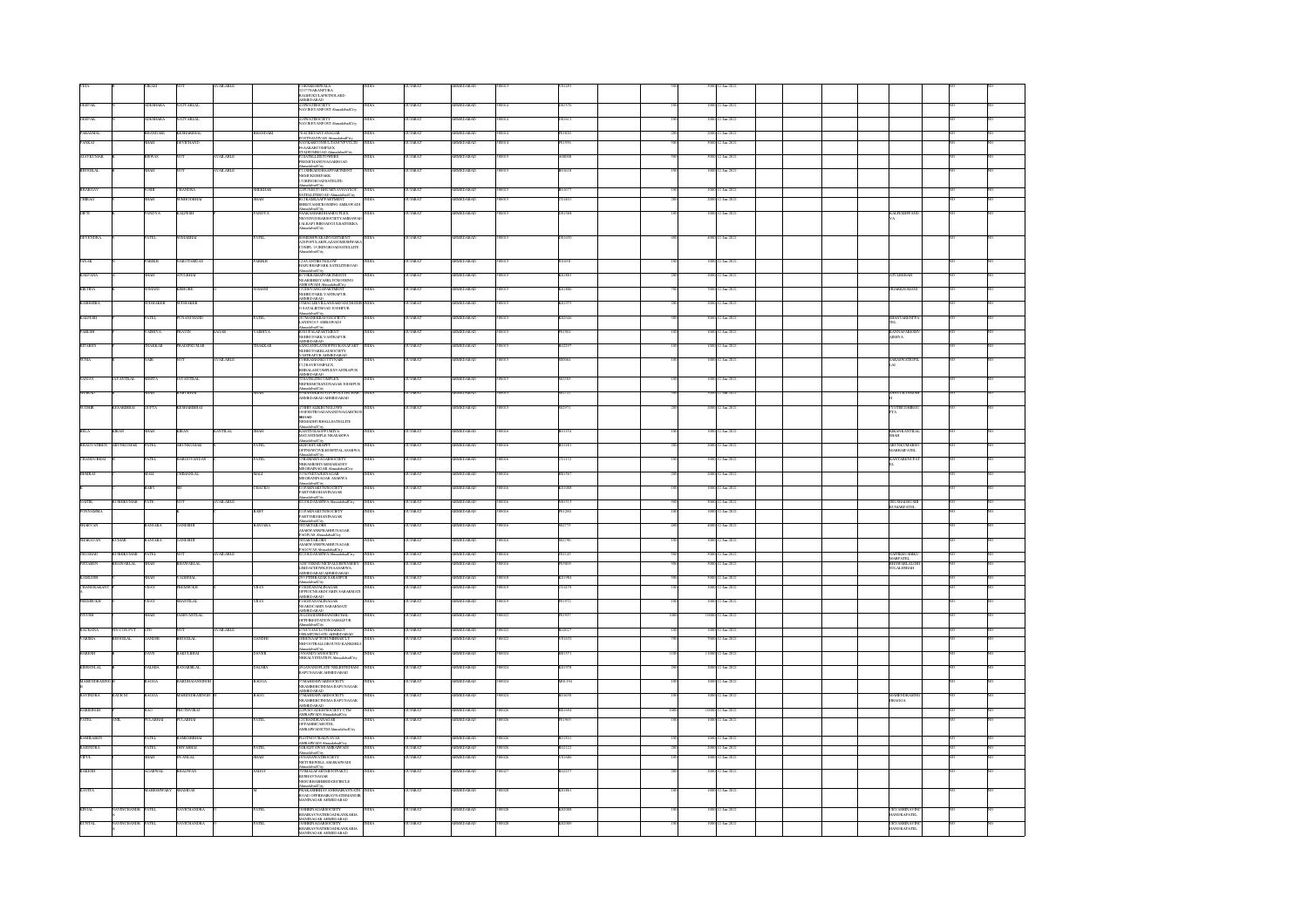|                       |                   |               |                        |               |              | CORNKESHWALA<br>32377NARANFURA<br>RAGHUKULAPRTSOLARD                                                                                                                                               |             |              |                 |  |        |                                     |  |                                             |  |
|-----------------------|-------------------|---------------|------------------------|---------------|--------------|----------------------------------------------------------------------------------------------------------------------------------------------------------------------------------------------------|-------------|--------------|-----------------|--|--------|-------------------------------------|--|---------------------------------------------|--|
|                       |                   | SHARA         | <b>IVARLAI</b>         |               |              |                                                                                                                                                                                                    |             | ARA          |                 |  |        |                                     |  |                                             |  |
|                       |                   |               |                        |               |              | AHMEDABAD<br>41 SWATISOCIETY<br>NAVJEEVANPOST<br>radabadCity                                                                                                                                       |             |              |                 |  |        |                                     |  |                                             |  |
| <b>FPA</b>            |                   |               |                        |               |              | <b>H SWATISOCIETY<br/>KAVJEEVANPOST AhmadabadCity</b>                                                                                                                                              |             |              |                 |  |        |                                     |  |                                             |  |
|                       |                   |               |                        |               |              |                                                                                                                                                                                                    |             |              |                 |  |        |                                     |  |                                             |  |
| <b>MEASSEA</b>        |                   | WDAR          | <b>ARIMAL</b>          |               | NDAR         | ACHETANYANAGAR                                                                                                                                                                                     |             |              |                 |  |        |                                     |  |                                             |  |
|                       |                   |               |                        |               |              |                                                                                                                                                                                                    |             |              |                 |  |        |                                     |  |                                             |  |
|                       |                   |               |                        |               |              | <b>POSTNAVIIV AN AhmadabadCity</b><br>RAVKARCONSULTANCYPVTL<br>FAAKARCOMPLEX<br>STADILIMROAD AhmadabadCity<br>PSATELLITETOWERS                                                                     |             |              |                 |  |        |                                     |  |                                             |  |
| <b><i>MAYKUMA</i></b> |                   |               |                        | <b>ALABLE</b> |              | PESATELLITETOWERS<br>PREMCHANDNAGARROAD                                                                                                                                                            |             | <b>JARA</b>  | MEDABAI         |  |        |                                     |  |                                             |  |
| OGILAI                |                   |               |                        | <b>ALABLE</b> |              | Abmahasa<br>CHSHRADDHAAPPARTMENT<br>NRMUKESHPARK<br>132RINGROADSATELITE                                                                                                                            |             | JARA)        | EDABAD          |  |        | J <sub>202</sub>                    |  |                                             |  |
|                       |                   |               |                        |               |              |                                                                                                                                                                                                    |             |              |                 |  |        |                                     |  |                                             |  |
|                       |                   |               |                        |               |              |                                                                                                                                                                                                    |             |              |                 |  |        |                                     |  |                                             |  |
| <b>HARGA</b>          |                   |               | <b>ANDRA</b>           |               | HEKHAR       | hmalabadCity<br>2PUNEET3 BHUMIYAVIJAYSOC                                                                                                                                                           |             | <b>JARAT</b> | MEDARAD         |  |        | $\frac{1}{2}$ an-20                 |  |                                             |  |
| HIRAG                 |                   |               | BHODBHA                |               |              | <b>ATELLITEROAD AhmadabadCity</b><br>112KAMLAAPPARTMENT<br>SHREYASHCROSSING AMBAWADI                                                                                                               |             | <b>JARA</b>  | MEDABAD         |  |        |                                     |  |                                             |  |
|                       |                   |               |                        |               |              | SHREYASHCROSSING AMBAWAD<br>AhmadbadCiy<br>%AAKASHARDHAMDUPLEX<br>NR VENUDHARSOCIETY AMBAWA<br>I ALKAPURIROADGULBAITEKRA<br>AhmadbadCiy                                                            |             |              |                 |  |        |                                     |  |                                             |  |
|                       |                   | .<br>NDYA     | <b>ALPESH</b>          |               | .<br>WDYA    |                                                                                                                                                                                                    |             | .<br>Jarat   | <b>IMEDARAD</b> |  |        | 1000 12-Jan-202                     |  | KALPESHPP.                                  |  |
|                       |                   |               |                        |               |              |                                                                                                                                                                                                    |             |              |                 |  |        |                                     |  |                                             |  |
| DEVENDRA              |                   | <b>TFI</b>    | MABHAI                 |               |              | <b>OMESHWARAINVESTMENT</b>                                                                                                                                                                         |             | <b>JARA</b>  | HMEDABAD        |  | മാന    | J <sub>20</sub>                     |  |                                             |  |
|                       |                   |               |                        |               |              | A20POPULARPLAZASOMESHWAR/<br>COMPL 132RINGROADSATELLITE                                                                                                                                            |             |              |                 |  |        |                                     |  |                                             |  |
|                       |                   |               |                        |               |              | mahhadCity                                                                                                                                                                                         |             |              |                 |  |        |                                     |  |                                             |  |
|                       |                   |               |                        |               |              | :<br>2AVANTIBUNGLOW<br>3ASUBHAIPARK SATELITEROAD                                                                                                                                                   |             |              |                 |  |        |                                     |  |                                             |  |
|                       |                   |               |                        |               |              |                                                                                                                                                                                                    |             |              |                 |  |        |                                     |  |                                             |  |
| <b>CALPAN</b>         |                   |               | ULBHAI                 |               |              | hrudsbalCity<br> VIKRAMAPPARTMENTS<br>NEARSHREYASRLYCROSSING                                                                                                                                       |             | JARAT        | <b>IMEDABAD</b> |  | 2000   | $Jan-202$                           |  | <b>TERSHA</b>                               |  |
|                       |                   |               |                        |               |              |                                                                                                                                                                                                    |             |              |                 |  |        |                                     |  |                                             |  |
| <b>IRTIDA</b>         |                   |               | SHORE                  |               | <b>MAN</b>   | <b>AMBAWADI AhmadabadCity</b><br>132DEVANGAPARTMENT<br>NEHRUPARK VASTRAPUR                                                                                                                         |             | <b>JARA</b>  | <b>HMEDABAD</b> |  |        | 7000 12-Jan-202                     |  | <b>JARKSON</b>                              |  |
|                       |                   |               | HAKEE                  |               |              | AHMEDABAD<br>19MAULIKVILLANEARPANCH<br>O SATALIETROAD JODHPUR                                                                                                                                      |             |              |                 |  |        |                                     |  |                                             |  |
|                       |                   |               |                        |               |              |                                                                                                                                                                                                    |             |              |                 |  |        |                                     |  |                                             |  |
| <b>CALPESE</b>        |                   | <b>TEL</b>    | <b>NANCHANE</b>        |               | VTEL.        | 0mudabadCity<br>07MANEKBAUGSOCETY                                                                                                                                                                  |             | <b>JARA</b>  | HMEDABAD        |  | 3000   | $3m-202$                            |  | HANTABEN                                    |  |
|                       |                   |               |                        |               |              | LANENOLS AMBAWADI                                                                                                                                                                                  |             |              |                 |  |        |                                     |  | EL.                                         |  |
| VRESH                 |                   | ASHYA         | :AVIN                  |               | <b>ASHYA</b> | LANENOIS AMBAWADI<br>Abruddhad(Yiy YAFIMENT<br>BSSUPALAPARTMENT<br>NEHRUPARK VASTRAPUR<br>AHMEDABAD<br>6ANGANFLATSOPPSUKANAPART                                                                    |             | JARAT        | <b>JEDABAD</b>  |  |        | :Jan-2021                           |  | RANNAPARES<br>AISHY A                       |  |
| <b>ITABEN</b>         |                   | <b>HAKKAR</b> | <b>ADPKUMAR</b>        |               | HAKKAR       |                                                                                                                                                                                                    |             | JARAT        | MEDABAD         |  |        | Im 20                               |  |                                             |  |
|                       |                   |               |                        |               |              | NEHRUPARKLADSOCIETY                                                                                                                                                                                |             |              |                 |  |        |                                     |  |                                             |  |
| IMA                   |                   |               |                        | <b>ALABLE</b> |              | <b>ASTRAPUR AHMEDABAD</b><br>ORRAMANKUTTYNAIR                                                                                                                                                      |             | <b>JARA</b>  | MEDABAD         |  |        | J <sub>20</sub> 20                  |  | <b>SARASWATIG</b>                           |  |
|                       |                   |               |                        |               |              | C12RAVICOMPLEX<br>BHBALAJICOMPLEXVASTRAPUR                                                                                                                                                         |             |              |                 |  |        |                                     |  | AI.                                         |  |
|                       |                   |               | <b>ANTEA</b>           |               |              | AHMEDABAD<br>T2SATELITECOMPLEX<br>NRPREMCHANDNAGAR JODHPUR                                                                                                                                         |             |              |                 |  |        |                                     |  |                                             |  |
|                       |                   |               |                        |               |              |                                                                                                                                                                                                    |             |              |                 |  |        |                                     |  |                                             |  |
| <b>SHARAD</b>         |                   | <b>TAH</b>    | ABUBHAI                |               |              | <b>ilmadahadCity</b><br>SMANEKBAUG POPOLYTECHNIC                                                                                                                                                   |             | <b>JARA</b>  | <b>IMEDABAD</b> |  |        | J <sub>202</sub>                    |  | <b>ANYUKTAS</b>                             |  |
|                       |                   |               |                        |               |              | AHMEDABAD AHMEDABAD                                                                                                                                                                                |             |              |                 |  |        |                                     |  |                                             |  |
| SUDHIR                | SARIBHAI          | GUPTA         | SHARIBHAI              |               |              | 47SHIVALIKBUNGLOWS<br>100FEETROADANANDNAGARCRO<br>5ROAD                                                                                                                                            |             | JARAT        | MEDABAD         |  | 2000   | Man-202                             |  | <b>JYOTISUE</b>                             |  |
|                       |                   |               |                        |               |              | ROAD<br>RMADHURHALLSATELLITE                                                                                                                                                                       |             |              |                 |  |        |                                     |  |                                             |  |
| F1A                   |                   |               |                        | WILAL         |              | ihmadahadCity<br>LANTIVILAOPPUMIYA                                                                                                                                                                 |             |              | HMEDABAD        |  |        |                                     |  |                                             |  |
|                       |                   |               | RAN                    |               |              | MATASTEMPLE NRASARWA                                                                                                                                                                               |             | <b>JARAT</b> |                 |  |        | $-$ Jan-202                         |  | KIRANKAN<br><b>HAH</b>                      |  |
| HAGVATIBE             | RUNKUMAR          | <b>ATEL</b>   | <b>UNKUMAR</b>         |               |              | AbrushuaCity<br>SKHODIYARAPPT<br>OPPNEWCIVILHOSPITAL ASARWA                                                                                                                                        |             | <b>JARA</b>  | <b>IMEDABAD</b> |  |        | 2000 12-Jan-202                     |  | ARUNKUMARS<br>MABHAIPATEL                   |  |
|                       |                   |               |                        |               |              |                                                                                                                                                                                                    |             |              |                 |  |        |                                     |  |                                             |  |
| <b>HANDLIRE</b>       |                   |               |                        |               |              | AhmadabadCity<br>13BAMARNAGARSOCIETY<br>NRRAMESHVARMAHADEV                                                                                                                                         |             | <b>TARA</b>  | <b>FDARAL</b>   |  |        |                                     |  | <b>ANTARENO</b>                             |  |
|                       |                   |               |                        |               |              |                                                                                                                                                                                                    |             |              |                 |  |        |                                     |  |                                             |  |
| EMRAJ                 |                   | ÄΠ            | <b>IMANLAL</b>         |               | мı           | MEGHAINAGAR AhmaddudCi<br>31365NETAJEENAGAR<br>MEGHANINAGAR ASARWA                                                                                                                                 |             | <b>JARA</b>  | MEDABAD         |  |        | $3m-202$                            |  |                                             |  |
|                       |                   |               |                        |               |              | <b>MendebalCity</b><br>11PARNAKUNISOCIETY<br>PART3MEGHANINAGAR                                                                                                                                     |             |              |                 |  |        |                                     |  |                                             |  |
|                       |                   |               |                        |               |              |                                                                                                                                                                                                    |             |              |                 |  |        |                                     |  |                                             |  |
| <b>VAITR</b>          | <b>SHIKI MAR</b>  |               |                        | AT ARLE       |              | ihmadabadCity<br>22OLDASARWA AhmadabadCi                                                                                                                                                           |             | <b>TARAT</b> | MEDARAD         |  |        | $1 - 10$                            |  | <b>BUSHADRUSE</b>                           |  |
| PONNAMMA              |                   |               |                        |               |              | II I PARNAKUNISOCIETY<br>PART3MEGHANINAGAR                                                                                                                                                         |             | <b>JARA</b>  | HMEDABAD        |  | 1000   | 12-Jan-202                          |  | <b>UMARPATEL</b>                            |  |
|                       |                   |               |                        |               |              | AhmadabadCity<br>SSTARTAH ORS                                                                                                                                                                      |             |              |                 |  |        |                                     |  |                                             |  |
| 1500x                 |                   |               |                        |               |              | SARWANRPRABHUNAGAR                                                                                                                                                                                 |             | 1.01         |                 |  |        |                                     |  |                                             |  |
| <b>SHARAVAN</b>       | KIMAR             | NIAR A        | <b>NESHI</b>           |               |              | ASAR WANDERABHUNALAR<br>PAGIVAS AbundibudCity<br>SSTARTAILORS<br>ASAR WANRPRABHUNAGAR                                                                                                              |             | <b>HARAT</b> | <b>MEDARAD</b>  |  |        | $101$                               |  |                                             |  |
|                       |                   |               |                        |               |              |                                                                                                                                                                                                    |             |              |                 |  |        |                                     |  |                                             |  |
| TRUSHAD               | USHIKUMAR         | PATEL         |                        | VAILABLE      |              | AGOVAS AhmadabadCity<br>220LDASARWA AhmadabadCity                                                                                                                                                  | <b>SDIA</b> | JARAT        | MEDABAD         |  |        | 5000 12-Jan-202                     |  | NAITIKRUSHI)                                |  |
| TABE                  |                   |               |                        |               |              |                                                                                                                                                                                                    |             | iawa         |                 |  |        |                                     |  |                                             |  |
|                       |                   |               |                        |               |              | 348C3NRMUNICIPALDISPENSER<br>LIMDACHOWKJONAASARWA<br>AHMEDABAD AHMEDABAD<br>293 PITHBAZAR SARASPUR                                                                                                 |             |              |                 |  |        |                                     |  | <b>AARPATEL<br/>HAWARLALC</b><br>ULALJISHAH |  |
| CAMLESH               |                   |               | <b>THMAI</b>           |               |              |                                                                                                                                                                                                    |             | 149.47       | FDARAD          |  |        |                                     |  |                                             |  |
| <b>CHANDRAKANT</b>    |                   |               | <b>EMSUKH</b>          |               |              | 295 FIIBBACAR SARASPOR<br>AhmaddadCity<br>FIOGITANIALINAGAR<br>OPPIOCNEARDCABIN SABARMAT                                                                                                           |             | <b>JARA</b>  | <b>HMEDABAD</b> |  | 1000   | 2-Jan-2021                          |  |                                             |  |
|                       |                   |               |                        |               |              |                                                                                                                                                                                                    |             |              |                 |  |        |                                     |  |                                             |  |
|                       |                   |               |                        |               |              | <b>AHMEDABAD</b><br>FIOGITANIALINAGAR                                                                                                                                                              |             |              |                 |  |        |                                     |  |                                             |  |
| nvirsh                |                   | нан           | <b>SHVANTI AI</b>      |               |              | FIOGITANIALINAGAR<br>NEARDCABIN SABARMATI<br>AHMEDABAD<br>2044JAGDISHMANDIRCHAL                                                                                                                    |             | <b>HARAT</b> | <b>IMEDARAD</b> |  | mm     | 2.562                               |  |                                             |  |
|                       |                   |               |                        |               |              |                                                                                                                                                                                                    |             |              |                 |  |        |                                     |  |                                             |  |
| <b>EACHANA</b>        | IN CON PVT        |               |                        | VAILABLE      |              | 2044JAGDISHMANDIRCHAL<br>OPFFRESTATION JAMALPUR<br>AbmadbadCity<br>S7NUTANCLOTHMARKET<br>OSRAPURGATE AHMEDABAD<br>HEENAAPTCHUNIBHAICLY<br>NR-FOOTBAJLGROUND KANKERIA<br>NR-FOOTBAJLGROUND KANKERIA | ïЫА         | JARAT        | <b>IMEDABAD</b> |  |        | 1000 12-Jan-202                     |  |                                             |  |
| <b>ARSH</b>           |                   |               | OGILA                  |               |              |                                                                                                                                                                                                    |             | <b>ARA</b>   | <b>EDARA1</b>   |  |        |                                     |  |                                             |  |
|                       |                   |               |                        |               |              |                                                                                                                                                                                                    |             |              |                 |  |        |                                     |  |                                             |  |
| ARESE                 |                   |               |                        |               |              | AhmadabadCity<br>19NANDVANSOCIETY<br>NRRALYSTIATION AhmadabadCity                                                                                                                                  |             | <b>JARA</b>  |                 |  |        |                                     |  |                                             |  |
|                       |                   |               |                        |               | .<br>MMA     |                                                                                                                                                                                                    |             |              |                 |  |        |                                     |  |                                             |  |
| <b>CISHANLAL</b>      |                   | .<br>MMA      | .<br>WARSILAL          |               |              | .<br>494ANANDFLATE NRLBSTEDIAM<br>BAPUNAGAR AHMEDABAD                                                                                                                                              |             | <b>JARAT</b> | <b>HMEDABAD</b> |  |        | 2000 12-Jan-202                     |  |                                             |  |
|                       |                   |               |                        |               |              | <b>MAHESHVARISOCIETY</b>                                                                                                                                                                           |             |              |                 |  |        |                                     |  |                                             |  |
|                       |                   |               |                        |               |              | 57 MAHESKIV ARISOCIET<br>NRAMBERCINEMA BAPUNAGAR<br>AHMEDABAD<br>S7MAHESHV ARISOCIETY<br>NRAMBERCINEMA BAPUNAGAR                                                                                   |             |              |                 |  |        |                                     |  |                                             |  |
| <b>AVINDRA</b>        | <b>URM</b>        | <b>VGGA</b>   | HENDRASI               |               | <b>AGG</b>   |                                                                                                                                                                                                    |             | JARAT        | MEDABAD         |  |        | J <sub>202</sub>                    |  | <b>IAHENDRAS</b><br>BAGGA                   |  |
|                       |                   |               |                        |               |              |                                                                                                                                                                                                    |             |              |                 |  |        |                                     |  |                                             |  |
| ARISINGH              |                   |               | UTHVIRAJ               |               |              | NRAMBERCINEMA BAPUNAGAR<br>AHMEDABAD<br>22PURVADEEPSOCIETY CTM<br>AMRAWADR AhmadadGiy<br>12CHANDRANAGAR<br>OFPAMBICAHOTEL<br>AMRAWADRCTM AhmadabadCiy                                              |             | JARAT        | MEDABAD         |  |        | 10000 12-Jan-202                    |  |                                             |  |
|                       |                   |               |                        |               |              |                                                                                                                                                                                                    |             | -<br>13.937  | <b>ARAI</b>     |  |        |                                     |  |                                             |  |
|                       |                   |               |                        |               |              |                                                                                                                                                                                                    |             |              |                 |  |        |                                     |  |                                             |  |
| <b>AMLABE</b>         |                   | <b>ATFI</b>   | <b><i>IMESHRHA</i></b> |               |              | LOTNO37BALIYAVAS                                                                                                                                                                                   |             | <b>JARAT</b> | HMEDABAD        |  | 1000 1 | $-$ Jan-202                         |  |                                             |  |
| <b>AJENDRA</b>        |                   | <b>ATEL</b>   | <b>IYABHA</b>          |               | <b>ATEL</b>  | AMRAIWADI AhmadahadCity<br>S4BALIYAWAS AMRAIWADI                                                                                                                                                   |             | <b>JARA</b>  | <b>IMEDARAI</b> |  |        | 2000 12-Jan-2021                    |  |                                             |  |
| ли.                   |                   |               | WLA                    |               |              | AhmadabalCity<br>JONANAWATISOCIETY<br>NRTUBEWELL AMARAIWADI                                                                                                                                        |             | <b>JARA</b>  |                 |  |        |                                     |  |                                             |  |
|                       |                   |               |                        |               |              |                                                                                                                                                                                                    |             |              |                 |  |        |                                     |  |                                             |  |
| <b>AKESH</b>          |                   | GARWAI        | <b>LIGWAN</b>          |               | .<br>На'     | threshbadCity<br>VIMALAPARTMENTPART2<br>KESHAVNAGAR                                                                                                                                                |             | <b>TARA</b>  | <b>IMEDARAL</b> |  | 2000   | $\frac{1}{2}$ and $\frac{1}{2}$ (1) |  |                                             |  |
|                       |                   |               |                        |               |              | NRSUBHASHBRIDGECIRCLE                                                                                                                                                                              |             |              |                 |  |        |                                     |  |                                             |  |
| <b>CAVITA</b>         |                   | AHESHWAR'     | AMDAS                  |               |              | AhmadabadCity<br>PRAKASHBHAVANBHAIRAVNATH                                                                                                                                                          |             | JARAT        | HMEDABAD        |  |        | 1000 12-Jan-202                     |  |                                             |  |
|                       |                   |               |                        |               |              | ROAD OPPBHAIRAVNATHMANDIR<br>MANINAGAR AHMEDABAD                                                                                                                                                   |             |              |                 |  |        |                                     |  |                                             |  |
|                       |                   |               |                        |               |              |                                                                                                                                                                                                    |             | JARAT        | FDARAD          |  |        |                                     |  |                                             |  |
|                       |                   |               |                        |               |              |                                                                                                                                                                                                    |             |              |                 |  |        |                                     |  |                                             |  |
| (NJAL                 |                   | Œ             | VICHANDRA              |               |              | <b>IRINAGARSOCIETY</b><br>BHAIRAVNATHROADKANKARIA                                                                                                                                                  |             |              |                 |  |        |                                     |  | <b>RVASHI</b><br>ANDRAPATE                  |  |
| <b>CUNTAL</b>         | <b>AVINCHANDR</b> | <b>ATEL</b>   | <b>VICHANDRA</b>       |               |              | <b>IANINAGAR AHMEDABAD</b><br>OSHRINAGARSOCIETY<br>BHAIRAVNATHROADKANKARIA<br>MANINAGAR AHMEDARAD                                                                                                  |             | <b>JARAT</b> | HMEDABAD        |  |        |                                     |  | <b>URVASHINAVIN<br/>HANDRAPATEL</b>         |  |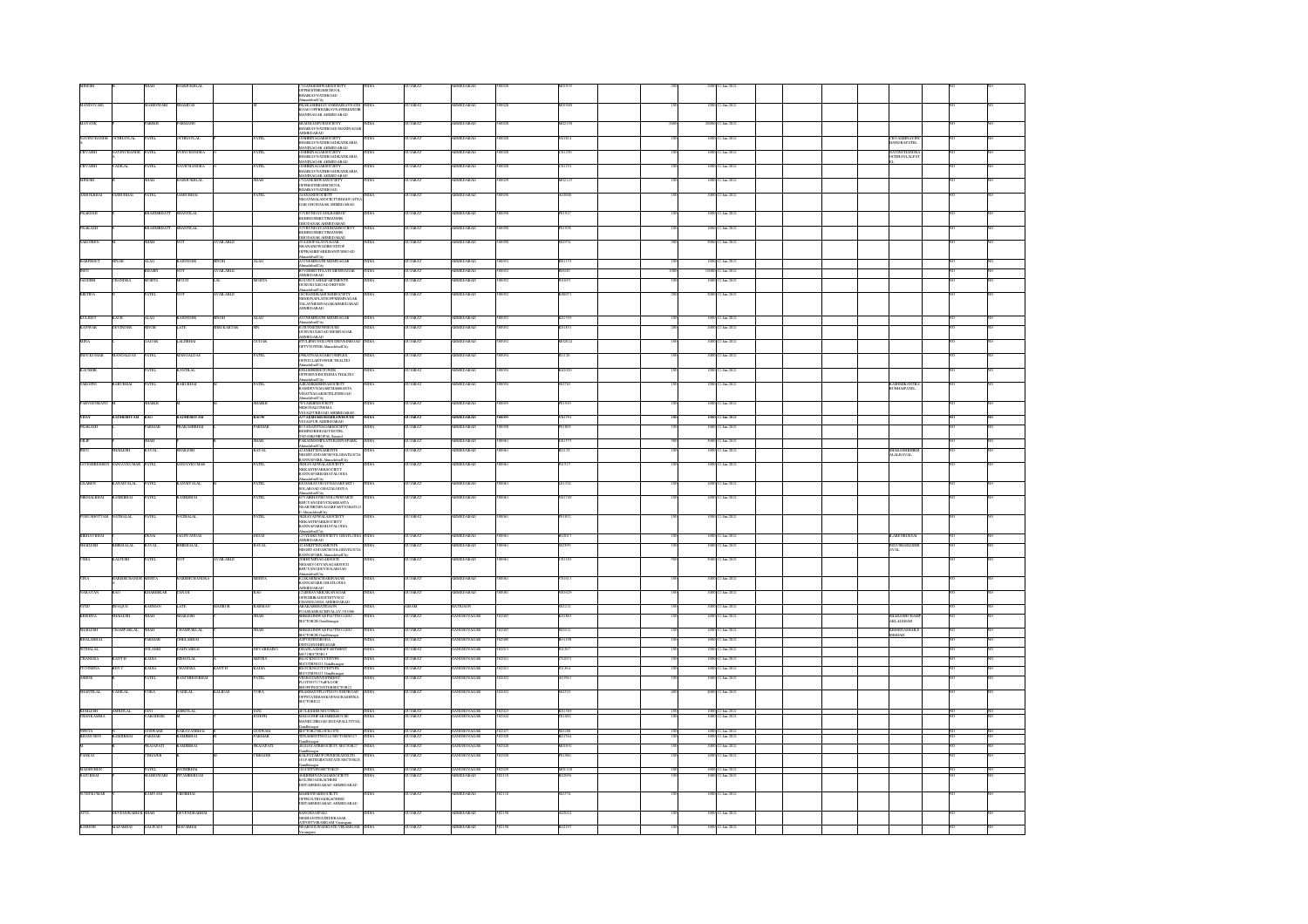|                             |                  |                     |                             |                   |                 | 17GANGESHWARSOCIETY<br>OPPBESTHIGHSCHOOL                                                                                                          |              |                    |                         |       |         |                  |                                      |  |  |                            |  |
|-----------------------------|------------------|---------------------|-----------------------------|-------------------|-----------------|---------------------------------------------------------------------------------------------------------------------------------------------------|--------------|--------------------|-------------------------|-------|---------|------------------|--------------------------------------|--|--|----------------------------|--|
|                             |                  |                     |                             |                   |                 | BHAIRAVNATHROAD                                                                                                                                   |              |                    |                         |       |         |                  |                                      |  |  |                            |  |
| <b>MANDOVARI</b>            |                  | AHESWARI            | <b>IAMDAS</b>               |                   |                 | QumadahadCity<br>®AKASHBHAVANBHAIRAVNATH                                                                                                          | <b>IDLA</b>  | GUJARAT            | HMEDABAD                |       | 01980   |                  | 12-Jan-2021                          |  |  |                            |  |
|                             |                  |                     |                             |                   |                 | OAD OPPBHAIRAVNATHMANDI<br>IANINAGAR AHMEDABAD                                                                                                    |              |                    |                         |       |         |                  |                                      |  |  |                            |  |
| MAYANK                      |                  |                     |                             |                   |                 | RADHANPLIRSOCIETY                                                                                                                                 |              | 1404               | <b>NEDSEA</b>           |       |         |                  |                                      |  |  |                            |  |
|                             |                  |                     |                             |                   |                 | HAIRAVNATHROAD MANINAGA                                                                                                                           |              |                    |                         |       |         |                  |                                      |  |  |                            |  |
| <b>NAVINCHAND</b>           | HAVLAL           | <b>TEL</b>          | <b>HAVLAL</b>               |                   |                 | BHARAYNATHROAD MANINAD<br>AHMEDABAD<br>IOSHRINAGARSOCIETY<br>BHAIRAVNATHROADKANKARIA                                                              |              | JARAT              | <b>IMEDABAE</b>         |       |         |                  |                                      |  |  | RVASHINAVIN<br>ANDRAPATEL  |  |
|                             |                  |                     |                             |                   |                 |                                                                                                                                                   |              |                    |                         |       |         |                  |                                      |  |  |                            |  |
| URVASHI                     |                  |                     |                             |                   |                 | HAWKWAR AHMEDABAD<br>ANINAGAR AHMEDABAD<br>OSHRINAGAR AHMEDABAD<br>HAIRAVNATHROADKANKARIA<br>ANINAGAR AHMEDABAD<br>OSHRINAGAR SOCIETY             |              | <b>JARA</b>        | <b>BEDARA</b>           |       |         |                  |                                      |  |  | AVINCHANDR<br>CHHAVLALPA   |  |
| URVASHI                     | <b>DILAL</b>     | <b>TFI</b>          | <b>VICHANDRA</b>            |                   |                 |                                                                                                                                                   |              | UJARAT             | HMEDABAE                |       |         |                  | $tan-202$                            |  |  |                            |  |
|                             |                  |                     |                             |                   |                 | <b>HARAVNATHROADKANKARIA</b>                                                                                                                      |              |                    |                         |       |         |                  |                                      |  |  |                            |  |
| <b>MINESH</b>               |                  | łАН                 | <b>SMUKHLAL</b>             |                   |                 | IANINAGAR AHMEDABAD<br>7GANESHWASSOCIETY                                                                                                          |              | <b>JUJARAT</b>     | HMEDABAD                |       | 02123   |                  | 1000 12-Jan-2021                     |  |  |                            |  |
| нокв                        |                  |                     |                             |                   |                 | <b>PPBESTHIGHSCHOOL</b><br>HARAVNATHROAD<br>4ANANDSOCIETY<br>RIAYMALASOCIETYBHADUATNA                                                             |              |                    |                         |       |         |                  |                                      |  |  |                            |  |
|                             |                  |                     |                             |                   |                 |                                                                                                                                                   |              |                    |                         |       |         |                  |                                      |  |  |                            |  |
|                             |                  |                     |                             |                   |                 | AR GHODASAR AHMEDABAD                                                                                                                             |              |                    |                         |       |         |                  |                                      |  |  |                            |  |
| PRAKESH                     |                  | <b>AHMBHATT</b>     | HANTILAL.                   |                   |                 | IVRUNDAVANLHAMSOC<br>HINDSMRUTIMANDER                                                                                                             |              | <b>JUJARAT</b>     | HMEDABAD                |       |         |                  | 000 12-Jan-2021                      |  |  |                            |  |
| PRAKAS                      |                  |                     |                             |                   |                 | HODASAR AHMEDABAD<br>I VRUNDAV ANDHAMSOCIETY<br>IEHINDSMRUTIMANDIR                                                                                |              |                    |                         |       |         |                  |                                      |  |  |                            |  |
|                             |                  |                     |                             |                   |                 |                                                                                                                                                   |              |                    |                         |       |         |                  |                                      |  |  |                            |  |
| <b>SAROJBEN</b>             |                  |                     |                             | VAILABLE          |                 | IODASAR AHMEDABA<br>AASOPALAVNAGAR<br><b>SEANANDWADIRI ISSTOP</b>                                                                                 |              | UJARAT             | HMEDABAD                |       |         | ຈາດາ             | -Jan-2021                            |  |  |                            |  |
|                             |                  |                     |                             |                   |                 | <b>PPRASIKPARKISANPURROAD</b>                                                                                                                     |              |                    |                         |       |         |                  |                                      |  |  |                            |  |
| HARPREET                    | INGH             | ALAG                | <b>AJENDER</b>              | SINGH             | LAG             | <b>IsraelsbadCity</b><br>S2NEMINATH MEMNAGAR                                                                                                      | NDIA         | GUJARAT            | HMEDABAD                |       | DO1 133 |                  | 1000 12-Jan-2021                     |  |  |                            |  |
|                             |                  | .<br>ASP            |                             | <b>All ABLE</b>   |                 | hruadabadCity<br>SVISHRUTFLATS MEMNAGAR                                                                                                           |              | JARAT              | <b>CONDAT</b>           |       |         |                  | Jan-202                              |  |  |                            |  |
| <b>JAGDISH</b>              |                  | OHTA                |                             |                   |                 | S videos<br>HIMEDABAD<br>*****TYASHAPARTMENTS                                                                                                     |              | <b>JARAT</b>       |                         |       |         |                  |                                      |  |  |                            |  |
|                             |                  |                     |                             |                   |                 | GURUKULROAD DRIVEIN                                                                                                                               |              |                    |                         |       |         |                  |                                      |  |  |                            |  |
| <b>KIRTIDA</b>              |                  | ATEL.               |                             | <b>VAILABLE</b>   |                 | AhmalabadCity<br>18CHANDRAMUKHISOCIETY<br>NRMONAFLATSOPPMEMNAGAR                                                                                  | <b>DU</b>    | UJARAT             | HMEDABAD                |       | XX071   |                  | 2000 12-Jan-2021                     |  |  |                            |  |
|                             |                  |                     |                             |                   |                 | <b>TALAVMEMNAGARAHMEDABAD</b>                                                                                                                     |              |                    |                         |       |         |                  |                                      |  |  |                            |  |
| KULJEET                     |                  | LAG                 | <b><i><u>JENDER</u></i></b> |                   |                 | MEDABAD<br><b>ENEMINATH MEMNAGAR</b>                                                                                                              |              | <b>UJARAT</b>      | HMEDABAI                |       |         |                  | 1000 12-Jan-2021                     |  |  |                            |  |
| <b>KANWAR</b>               | VINDER           | <b>NGH</b>          |                             | <b>HRI KARTAR</b> |                 | hmadabadCity<br>  SUNSETROWHOUSE                                                                                                                  |              | UJARAT             | HMEDABAD                |       |         | $\overline{200}$ | $\frac{1}{2}$ an-2021                |  |  |                            |  |
|                             |                  |                     |                             |                   |                 | GURUKULROAD MEMNAGAR                                                                                                                              |              |                    |                         |       |         |                  |                                      |  |  |                            |  |
| MNA                         |                  | $\sqrt{JAR}$        | JIBHAI                      |                   | <b>IJAR</b>     | HMEDABAD<br>TULIPBUNGLOWS DRIVEINRO<br>PTVTOWER AhmadabadCity                                                                                     |              | JARAT              | <b>JEDABAD</b>          |       |         |                  | $Jan-2021$                           |  |  |                            |  |
|                             |                  |                     |                             |                   |                 |                                                                                                                                                   |              |                    |                         |       |         |                  |                                      |  |  |                            |  |
| INDUKUMA                    |                  |                     |                             |                   |                 | <b>9RATNASAGARCOMPLEX<br/>PPGULABTOWER THALTEJ</b>                                                                                                |              |                    |                         |       |         |                  |                                      |  |  |                            |  |
| <b>KAUSHIK</b>              |                  | ATEL                | NTLAL                       |                   |                 | <b>AhmshhadCity<br/>ESO4SHRIJEETOWER<br/>OPPDRIVEINCINEMA THALTEJ</b>                                                                             |              | <b>JUARAT</b>      | HMEDABAL                |       |         | 1000             | 2-Jan-2021                           |  |  |                            |  |
|                             |                  |                     |                             |                   |                 |                                                                                                                                                   |              |                    |                         |       |         |                  |                                      |  |  |                            |  |
| SAROJIN                     |                  |                     |                             |                   |                 | HemdebalCity<br>HEAMKRISHNASOCIETY<br>IAMDEVNAGARCHARRASTA<br>ISATNAGARSETELITEROAD                                                               |              |                    |                         |       |         |                  |                                      |  |  | ASHMIKANTIS<br>UBHAIPATEL  |  |
|                             |                  |                     |                             |                   |                 |                                                                                                                                                   |              |                    |                         |       |         |                  |                                      |  |  |                            |  |
| PARVEENBA                   |                  | VKH                 |                             |                   | <b>VIKH</b>     | hmadabadCity<br>SYASMINSOCIETY                                                                                                                    |              | UJARAT             | HMEDABAD                |       |         | mm               | $\frac{1}{2}$ an-2021                |  |  |                            |  |
|                             |                  |                     |                             |                   |                 | <b>RSONALCINEMA</b><br>EJALPURROAD AHMEDABAD<br>37AKSHARDHAMRAWHOUSE                                                                              |              |                    |                         |       |         |                  |                                      |  |  |                            |  |
| VIJAY                       | DHESHYAM         |                     | ADHESHYAM                   |                   |                 |                                                                                                                                                   |              | <b>GUJARAT</b>     | MEDABAL                 |       |         |                  | Man-2021                             |  |  |                            |  |
| PRAKASI                     |                  |                     |                             |                   | .<br>RMAI       | <b>CIALPUR AHMEDABAD<br/>EIALPUR AHMEDABAD<br/>II SANANTNAGARSOCIETY<br/>EHINDBIGDADYHOTEL<br/>'ADASKOIBOPAL Sanani</b><br>PARASMANIFLATS RANNAP. |              | <b>JARAT</b>       | EDABA                   |       |         |                  | J <sub>2021</sub>                    |  |  |                            |  |
| <b>DEP</b>                  |                  |                     |                             |                   |                 |                                                                                                                                                   |              | JARAT              | MEDABAL                 |       |         |                  | m, 202                               |  |  |                            |  |
| <b>ND</b>                   | AILES            | .<br>Val            | All ESF                     |                   | VA              | ARCHIVER INTERNATIONAL ARCHIVERY<br>2ANKITTENAMENTS<br>RGHY ANDASCHOOLGHATLOCH                                                                    |              | UJARAT             | <b>HMEDABAL</b>         |       |         |                  | J <sub>2021</sub>                    |  |  |                            |  |
|                             |                  |                     |                             |                   |                 |                                                                                                                                                   |              |                    |                         |       |         |                  |                                      |  |  | SHAILESHBHI<br>ALALRAVAL   |  |
|                             |                  |                     | <b>JAVKUM</b>               |                   |                 | ANNAPARK AhmadabadCity<br>KHAVADWALASOCIETY                                                                                                       |              | <b>TARA</b>        | <b>BEDARA</b>           |       |         |                  |                                      |  |  |                            |  |
|                             |                  |                     |                             |                   |                 | <b><i>RKANTIPARKSOCIETY</i></b><br>LANNAPARKGHATALODIA                                                                                            |              |                    |                         |       |         |                  |                                      |  |  |                            |  |
| <b>JLABEN</b>               | <b>ANAIYALAL</b> | ATEL.               | NAIYALAL                    |                   | <b>TFI</b>      | <b>JerushbalCity</b><br>SS2SARAVODAYNAGARPARTI                                                                                                    |              | <b>JUARAT</b>      | HMEDARAD                |       | 1324    | 1000             | 12-Jan-2021                          |  |  |                            |  |
|                             |                  |                     |                             |                   |                 | SOLAROAD GHATALODIYA<br><b>hmadabadCity<br/>SVAIBHAVBUNGLOWSPAR</b>                                                                               |              |                    |                         |       |         |                  |                                      |  |  |                            |  |
|                             |                  |                     |                             |                   |                 |                                                                                                                                                   |              |                    |                         |       |         |                  |                                      |  |  |                            |  |
|                             |                  |                     |                             |                   |                 | <b>SS VAIBHAVBUNGLOWSPARTI<br/>BHUYANGDEVCHARRASTA<br/>NEARTIRTHNAGARPARTSGHATL<br/>D</b>                                                         |              |                    |                         |       |         |                  |                                      |  |  |                            |  |
| PERTSHOTTAM                 | .<br>THAI AI     | <b>TEL</b>          | ATHALAL                     |                   |                 | AhmadabadCity<br>KHAVADWALASOCIETY<br>NRKANTIPARKSOCIETY                                                                                          |              | I HARAT            | <b>IMEDARAD</b>         |       |         |                  | Im(202)                              |  |  |                            |  |
|                             |                  |                     |                             |                   |                 | ANNAPARKGHATALODIA                                                                                                                                |              |                    |                         |       |         |                  |                                      |  |  |                            |  |
| <b>RIKHAVBHAI</b>           |                  | DESAI               | <b>AGJIVANDAS</b>           |                   | <b>DESAI</b>    | hmadabadCity<br>23YESKUNISOCIETY GHATLODIA                                                                                                        | INDIA        | GUJARAT            | HMEDABAD                |       |         |                  | 1000 12-Jan-2021                     |  |  | ABENRDESA                  |  |
| <b>SHAILES</b>              |                  |                     |                             |                   |                 | HMEDABAD<br>2ANKITTENAMENTS<br>@GHYANDASCHOOLGHATLOCIA                                                                                            |              | <b>JARA</b>        |                         |       |         |                  |                                      |  |  | IDUSHAI<br>VAL             |  |
|                             |                  |                     |                             |                   |                 | ANNAPARK AhmadabadCity<br>0BHUMINAGARSOCII                                                                                                        |              |                    |                         |       |         |                  |                                      |  |  |                            |  |
| <b>USHA</b>                 | LPESH            | m                   |                             | <b>AILABLE</b>    |                 |                                                                                                                                                   |              | <b>JARA</b>        | <b>IMEDABA</b>          |       |         |                  | bas/20                               |  |  |                            |  |
|                             |                  |                     |                             |                   |                 | .<br>NRSARVODY ANAGARSOCII<br>BHUYANGDEVSOLAROAD                                                                                                  |              |                    |                         |       |         |                  |                                      |  |  |                            |  |
| VINA                        | RISHCHAN         | EHTA                | <b>USHCHANDE</b>            |                   | HTA             | <b>ENGINEERINGERINGERINGERINGERINGER</b><br>24KARMACHARINAGAR<br>ANNAPARK GHATLODIA                                                               |              | iuarat             | <b>IMEDABAD</b>         |       |         |                  | J <sub>20</sub> 2021                 |  |  |                            |  |
| <b>NARAYAN</b>              |                  | <b>IARBIKAR</b>     | WAJI                        |                   |                 | HMEDABAD<br>24ISHAVARKAKANAGAR                                                                                                                    |              | <b>JUARAT</b>      | <b>IMEDARAD</b>         |       |         |                  | -Jan-2021                            |  |  |                            |  |
|                             |                  |                     |                             |                   |                 | 24ISHAVARKARANMoor<br>@PGIRIRAISOCIETYNO2<br>:HANDLODIA AHMEDABAI<br>!BAKASHHATIGAON                                                              |              |                    |                         |       |         |                  |                                      |  |  |                            |  |
| <b>SYED</b>                 | MOUE             | <b>HMAN</b>         | vт                          | A TIRT TO         |                 |                                                                                                                                                   |              | 14.77              | <b>ATIGAON</b>          |       |         | 1000             | J <sub>202</sub>                     |  |  |                            |  |
| <b>KRISHN</b>               | <b>AILESE</b>    |                     | <b>IAILESH</b>              |                   |                 | <b>OASSAMSACHIVALAY-381006<br/>HREEIINIWAS PLUTNO14682</b><br>ECTOR2B Gandhinagar                                                                 |              | UJARAT             | ANDHI NAGAR             |       |         |                  | 1000 12-Jan-2021                     |  |  | HAILESHCHA<br>KLALSHAH     |  |
|                             |                  |                     |                             |                   |                 |                                                                                                                                                   |              |                    |                         |       |         |                  |                                      |  |  |                            |  |
| <b>SHAILESH</b>             | AMPAKLAL         | H4F                 | <b>JAMPAKLAL</b>            |                   | <b>IAH</b>      | <b>IREEJINIWAS PLUTNO14682</b>                                                                                                                    | <b>CIVEA</b> | <b>HIARAT</b>      | <b>ANDHI NAGAR</b>      |       | 261     |                  | 000 12-Jan-2021                      |  |  | RISHNASHAI<br><b>HSHAH</b> |  |
| <b>BHALABHAI</b>            |                  | <b>APMAR</b>        | <b>THET ARHAI</b>           |                   |                 | <b>ECTOR2B Gandhinagar</b><br>KIPOSTINDRODA                                                                                                       | .<br>NDI A   | <b>GUJARAT</b>     | <b>ANDHI NAGAR</b>      |       | 01108   |                  | 1000 12-Jan-2021                     |  |  |                            |  |
| <b>JETHALAL</b>             |                  | OLANKI              | <b>AHYABHAI</b>             |                   | DEVABHAISC      | <b>ISTGANDHINAGAR</b><br>HANLAXMLAPPARTMENT                                                                                                       | NDIA         | GUJARAT            | ANDHI NAGAR             |       | 1267    |                  | 1000 12-Jan-2021                     |  |  |                            |  |
| <b>ANDRA</b>                |                  |                     |                             |                   |                 | M671SECTOR13<br>BLOCKNO27CCHTYPE<br>SECOTRNO21 Gandhinaga<br>BLOCKNO27CCHTYPE                                                                     |              | <b>JARA</b>        |                         |       |         |                  |                                      |  |  |                            |  |
| <b>TSHN</b>                 |                  | DIA                 | .<br>NDRA                   |                   | DИ              |                                                                                                                                                   |              | .<br>Jarat         | <b>NDHI NAGAR</b>       |       |         |                  | J <sub>202</sub>                     |  |  |                            |  |
| ASHOK                       |                  | <b>TEL</b>          | NCHHODR                     |                   | .<br>TFI        | <b>ECOTRNO21 Gardin</b>                                                                                                                           |              | <b>GUJARAT</b>     | <b>NDHI NAGAR</b>       |       |         |                  | J <sub>202</sub>                     |  |  |                            |  |
|                             |                  |                     |                             |                   |                 | LOTNO7173edFLOOR<br>HOPPINGCENTERSECTOR22<br>RASHANTPLOTNO313GH5ROAD                                                                              |              |                    |                         |       |         |                  |                                      |  |  |                            |  |
| <b>SHANTILAL</b>            | <b>DILAI</b>     | ORA                 | ADILAI                      |                   | ORA             |                                                                                                                                                   |              | UJARA)             | ANDHI NAGAR             |       |         | 4000             | 2-Jan-202                            |  |  |                            |  |
|                             |                  |                     |                             |                   |                 | PPSTATEBANKOFSAURASHTRA<br>ECTORE22                                                                                                               |              |                    |                         |       |         |                  |                                      |  |  |                            |  |
| KEMLESH<br>THANKAMM         |                  | RGHES               |                             |                   |                 | 67LIGGHB SECO                                                                                                                                     |              | GUJARAT<br>GUJARAT | NDHI NAGAR              |       |         |                  | : -3an-2021<br>: -Jan-2021           |  |  |                            |  |
|                             |                  |                     |                             |                   | SEPH            | MADATHIPARAMBILHOUSE<br>MANKUZIROAD EDDAPALLYTOLI                                                                                                 | NDL          |                    | WDHI NAGAR              |       |         |                  |                                      |  |  |                            |  |
| <b>SWETA</b><br>RHANI RE    |                  | <b><i>DEWAM</i></b> | <b>ARAVANRHA</b>            |                   | OSWAM           | ndhinagar<br>CTOR27BLOCK1078                                                                                                                      |              | <b>HILARAY</b>     | <b>NDHI NAGAR</b>       |       |         |                  |                                      |  |  |                            |  |
|                             |                  | $\overline{}$       |                             |                   | .<br>Mai        | AMENTRANA CONTINUOUS                                                                                                                              |              | TAP AT             | NDHI NAGAS              |       |         |                  |                                      |  |  |                            |  |
|                             |                  | PAIAPATT            | <b>MIRHAI</b>               |                   | <b>BALAPATT</b> | ondbinagar<br>04GAYATRISOCIETY SECTOR27                                                                                                           |              | <b>HILSPAT</b>     | <b>ANDHI NAGAR</b>      |       | 01051   |                  | 202                                  |  |  |                            |  |
| PANKAJ                      |                  | <b>IHAJER</b>       |                             |                   | <b>HAJER</b>    | ondbragar<br>ALPATARUPOWERTRANSLTD<br>01PARTIKIDCESTATE SECTOR28                                                                                  |              | iuarat             | ANDHI NAGAR             | 32028 | 1984    | 1000             | -<br>1-Jan-2021                      |  |  |                            |  |
|                             |                  |                     |                             |                   |                 | ndhinagar<br>ICHTYPESECTOR                                                                                                                        |              |                    |                         |       |         |                  |                                      |  |  |                            |  |
| <b>MADHUBEN</b><br>RAJUBHAI |                  | (IEL)<br>WESWARI    | <b>TAMBERDAS</b>            |                   |                 |                                                                                                                                                   | ۷D           | <b>UJARAT</b>      | ANDHI NAGAR<br>HMEDABAD | 32110 | 205     |                  | 1000 12-Jan-2021<br>1000 12-Jan-2021 |  |  |                            |  |
|                             |                  |                     |                             |                   |                 | HELIH ILEMA HOLEP<br>KOLTROADKACHERI<br>DISTAHMEDABAD AHMEDABAD                                                                                   |              |                    |                         |       |         |                  |                                      |  |  |                            |  |
| <b>INITKUM</b>              |                  | MVAN                |                             |                   |                 | <b>AAHESWARISOCIETY<br/>JPPKOLTROADKACHERI</b>                                                                                                    |              | JARA               |                         |       |         |                  |                                      |  |  |                            |  |
|                             |                  |                     |                             |                   |                 | <b>ISTAHMEDABAD AHMEDABAL</b>                                                                                                                     |              |                    |                         |       |         |                  |                                      |  |  |                            |  |
| ATUL.                       |                  | ₹AH                 | EVENDRABHA                  |                   |                 | SANGHAYIFALI                                                                                                                                      |              | <b>GUJARAT</b>     | HMEDABAD                |       |         |                  | 1000 12-Jan-202                      |  |  |                            |  |
|                             |                  |                     |                             |                   |                 | <b>RSHANTINATHDERASAR</b>                                                                                                                         |              |                    |                         |       |         |                  |                                      |  |  |                            |  |
|                             |                  |                     |                             |                   |                 | CIPOSTVIRAMGAM Viramgam<br>ŒARGOLWADIGATE VIRAMGAM                                                                                                |              |                    |                         |       |         | 1000             |                                      |  |  |                            |  |
|                             |                  |                     |                             |                   |                 |                                                                                                                                                   |              |                    |                         |       |         |                  |                                      |  |  |                            |  |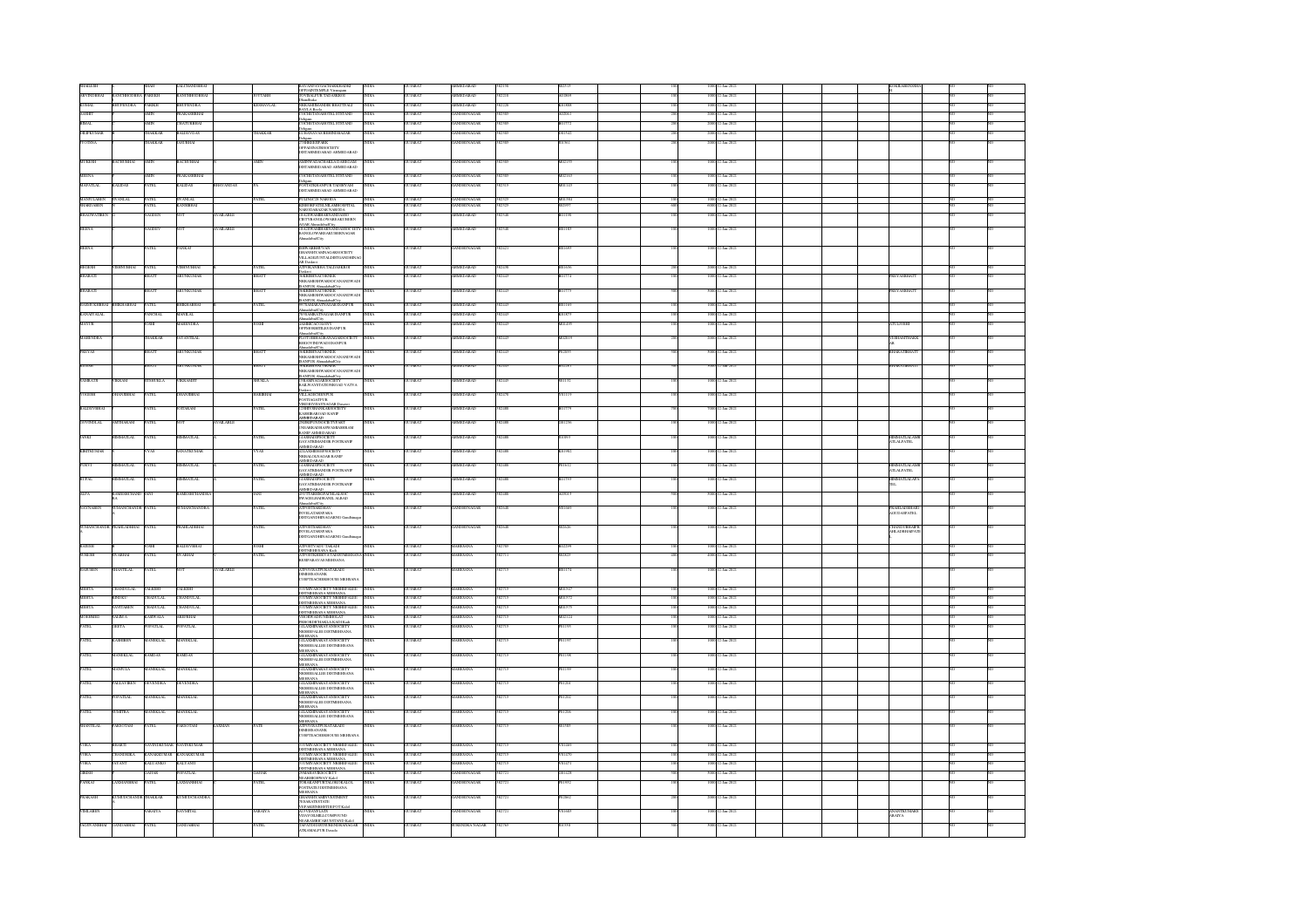| <b>SHAILESH</b>        |                   |                       |                         |               | BAVANPAYGACHARKHADKI                                                                                              | <b>NDIA</b>  | 149.47                                           |                        |      |        |       |                     |  |  |                            |  |  |
|------------------------|-------------------|-----------------------|-------------------------|---------------|-------------------------------------------------------------------------------------------------------------------|--------------|--------------------------------------------------|------------------------|------|--------|-------|---------------------|--|--|----------------------------|--|--|
| <b>VNDBH</b>           | <b>HHODBI</b>     | <b>AREKH</b>          | NCHHODBH                |               | OPPIAINTEMPLE Viramgam<br>TOVISALPUR TADASKROI                                                                    | NDIA         | UJARAT                                           | MEDABAL                |      |        |       |                     |  |  |                            |  |  |
|                        |                   |                       |                         |               | Xundhuka<br>GRRAMIIMANDIR BHATTFALI                                                                               |              |                                                  |                        |      |        |       |                     |  |  |                            |  |  |
| OMAL.                  | <b>IUPENDRA</b>   | ARIKH                 | HUPENDRA                | CESHAVLAL     |                                                                                                                   | <b>INDIA</b> | <b>UJARAT</b>                                    | HMEDARAD               |      | 01808  |       | 1000 12-Jan-2021    |  |  |                            |  |  |
|                        |                   |                       |                         |               | <b>IAVLA Bayla<br/>YOCHETANAHOTEL</b>                                                                             |              | <b>ARAT</b>                                      |                        |      |        |       |                     |  |  |                            |  |  |
| <b>BIMAL</b>           |                   |                       | ATURBHA                 |               | CHETANAHOT                                                                                                        |              | JARAT                                            | <b>THE NAGAR</b>       |      |        |       | tan 202             |  |  |                            |  |  |
| DILIPKUMAR             |                   | HAKKAR                | <b>ILDEVDAS</b>         | ikk al        | gan<br>HANAVAS BEHINDBAZAR                                                                                        |              | JARAT                                            | <b>DHI NAGAR</b>       |      |        | 2000  | Im 202              |  |  |                            |  |  |
| YOTSNA                 |                   | <b>HAKKAR</b>         | .<br>ASUBHAI            |               |                                                                                                                   |              | JARAT                                            | ANDHI NAGAR            |      |        |       | Jan-202             |  |  |                            |  |  |
|                        |                   |                       |                         |               | Nehram<br>!?SHREEJIPARK<br>!?SHREEJIPARK<br>!!STAHMEDABAD AHMEDABAD                                               |              |                                                  |                        |      |        |       |                     |  |  |                            |  |  |
|                        |                   |                       |                         |               |                                                                                                                   |              |                                                  |                        |      |        |       |                     |  |  |                            |  |  |
| MUKESH                 | <b>CHUBHA</b>     | MIN                   | <b>CHUBHAI</b>          |               | AMINWADACHAKLA DAHEGAM<br>DISTAHMEDABAD AHMEDABAD                                                                 |              | UJARAT                                           | <b>COHENAGAS</b>       |      |        |       | Im 202              |  |  |                            |  |  |
| MEENA                  |                   |                       | RAKASHBHAI              |               | OCHETANAHOTEL STSTAND                                                                                             |              | GUJARAT                                          | <b>JANDHI NAGAR</b>    |      |        |       | 1000 12-Jan-2021    |  |  |                            |  |  |
|                        |                   | MIN                   |                         |               |                                                                                                                   | <b>INDIA</b> |                                                  |                        |      | 402163 |       |                     |  |  |                            |  |  |
| <b>FATL</b>            |                   |                       |                         |               | Jehgam<br>¤OSTATKHANPUR TADIHYAM<br>DISTAHMEDABAD AHMEDABAD                                                       |              |                                                  |                        |      |        |       |                     |  |  |                            |  |  |
|                        |                   |                       |                         |               |                                                                                                                   |              |                                                  |                        |      |        |       |                     |  |  |                            |  |  |
|                        |                   | ATEL<br>ATEL          |                         |               | ULINIC28 NARODA<br>ISHORPATELNILAMHOSPITAL                                                                        |              | $\frac{\sqrt{\text{JAR}}\text{A}}{\text{JARAT}}$ |                        |      |        |       |                     |  |  |                            |  |  |
| <b>HACWATIRE</b>       |                   | AGDEN                 | <b>ALABLE</b>           |               | <b>JARODABAZAR NARODA</b><br>RAPSWAMBIARNANDASSO                                                                  | <b>UTVEA</b> | UJARAT                                           | <b>IMEDARAD</b>        |      |        |       | Im202               |  |  |                            |  |  |
|                        |                   |                       |                         |               | CIETYBANGLOWAREAKUBERN                                                                                            |              |                                                  |                        |      |        |       |                     |  |  |                            |  |  |
| <b>JEENA</b>           |                   | AGDE?                 | ALABLE                  |               | AGAR AhmadabudCity<br>18A2SWAMIHARNANDASSOC IET<br>BANGLOWAREAKUBERNAGAR                                          |              | UJARAT                                           | MEDABAD                |      |        |       | 1000 12-Jan-202     |  |  |                            |  |  |
|                        |                   |                       |                         |               | mahhadCity                                                                                                        |              |                                                  |                        |      |        |       |                     |  |  |                            |  |  |
| EENA                   |                   | <b>ATEL</b>           | .<br>NKAJ               |               |                                                                                                                   |              | <b>JARA</b>                                      |                        |      |        |       |                     |  |  |                            |  |  |
|                        |                   |                       |                         |               | <b>ISHWARBHUVAN<br/>GHANSHYAMNAGARSOCIETY</b><br>VILLAGEZUNTALDISTGANDHINA                                        |              |                                                  |                        |      |        |       |                     |  |  |                            |  |  |
|                        |                   |                       |                         |               | AR Daskesi<br>KIPOKANBHA TALDASKROI                                                                               |              |                                                  |                        |      |        |       |                     |  |  |                            |  |  |
| EGESH                  | NUBHAI            | ATEL.                 | HNUBHAI                 |               |                                                                                                                   |              | UJARAT                                           | MEDABAD                |      |        |       | 2000 12-Jan-202     |  |  |                            |  |  |
| .<br>ARATI             |                   | <b>ATT</b>            | INKUMAR                 |               | Daskroi<br>36KRISHNACORNER<br>NRRAMESHWARSOCANANDWADI                                                             |              | <b>ARAT</b>                                      |                        |      |        |       | $tan-202$           |  |  |                            |  |  |
|                        |                   |                       |                         |               | <b>SANPUR AhmadabadCity</b><br>16KRISHNACORNER                                                                    |              |                                                  |                        |      |        |       |                     |  |  |                            |  |  |
| HARATI                 |                   | HATT                  | RUNKUMAR                | ₹AT           | NRRAMESHWARSOCANANDWAD                                                                                            |              | UJARAT                                           | MEDABAD                |      |        | 3000  | Im(202)             |  |  |                            |  |  |
| ASMUKH                 |                   | .<br>VTEL             | <b>HABHAI</b>           |               | SANPUR AbmadabadCity<br>97SAMARATNAGAR ISANPUR                                                                    |              | <b>JARAT</b>                                     |                        |      |        | 10001 |                     |  |  |                            |  |  |
| .<br>WAIYALA           |                   | .<br>NCHAL            | .<br>Mai                |               | --------<br> dmudahadCity<br> SSSAMRATNAGAR ISANPUR                                                               |              | 1383                                             |                        |      |        |       |                     |  |  |                            |  |  |
|                        |                   |                       |                         |               |                                                                                                                   |              |                                                  |                        |      |        |       |                     |  |  |                            |  |  |
| MAYUR                  |                   | $\overline{\text{S}}$ | <b>HENDRA</b>           |               | AhmadabadCity<br>4AMBICACOLONY<br>OPPMORBITILES ISANPUR                                                           | VINI A       | 1149.47                                          | <b>MEDARAE</b>         |      |        |       | $1 - 202$           |  |  | <b>TT IOSH</b>             |  |  |
| <b><i>IAHENDRA</i></b> |                   | <b>HAKKAR</b>         | YANTE.AL                |               | <b>MERIMANISM CONTRACTOR</b><br>PLOTISBHAGRANAGARSOCIETY<br>BHGOVINDWADI ISANPUR                                  | <b>INDIA</b> | <b>JUJARAT</b>                                   | HMEDABAD               |      |        | 2000  | 3-Jan-2021          |  |  | YESHAMTHAK                 |  |  |
|                        |                   |                       |                         |               |                                                                                                                   |              |                                                  |                        |      |        |       |                     |  |  |                            |  |  |
| <b>FEYAS</b>           |                   |                       | <b>SKIIMAE</b>          |               | <b>MerodabadCity<br/>!6KRISHNACORNER</b>                                                                          |              | iawa <sup>1</sup>                                |                        |      |        |       |                     |  |  | <b>AR ATTRE</b>            |  |  |
|                        |                   |                       |                         |               | <b>RRAMESHWARSOCANANDWAD</b>                                                                                      |              |                                                  |                        |      |        |       |                     |  |  |                            |  |  |
| RITESH                 |                   | HATT                  | <b>UNKUMAR</b>          | <b>IATI</b>   | <b>SANPUR AhmadabadCity</b><br>6KRISHNACORNER<br>NRRAMESHWARSOCANANDWAD                                           |              | <b>UJARAT</b>                                    | HMEDABAD               |      |        | 3000  | J <sub>202</sub>    |  |  | <b>IARATIBHAT</b>          |  |  |
| AMRATI                 |                   | <b>TSHUKL</b>         |                         |               |                                                                                                                   |              |                                                  |                        |      |        |       |                     |  |  |                            |  |  |
|                        |                   |                       |                         |               | <b>SANPUR AhmadabadCity</b><br>ISRAMNAGARSOCIETY<br>RAILWAYSTATIONROAD VATVA                                      |              |                                                  |                        |      |        |       |                     |  |  |                            |  |  |
| OGESH                  |                   | VIEL                  | NIBHA                   |               | 3askroi<br>≀ILLAGECHENPUR                                                                                         |              | JARAT                                            | MEDABAL                |      |        |       | $b_{000}$ 202       |  |  |                            |  |  |
|                        |                   |                       |                         |               | <b>POSTJAGATPUR</b>                                                                                               |              |                                                  |                        |      |        |       |                     |  |  |                            |  |  |
| <b>ALDEVBHAI</b>       |                   | ATEL.                 | <b>HTARAM</b>           |               | VIRDIGVIJAYNAGAR Dascroi<br>12SHIVSHANKARSOCIETY<br>KASHIBAROAD RANIP                                             | NDIA         | UJARAT                                           | <b>MEDABAD</b>         |      |        |       | $3m-202$            |  |  |                            |  |  |
|                        |                   |                       |                         |               |                                                                                                                   |              |                                                  |                        |      |        |       |                     |  |  |                            |  |  |
| OVINDLAI               |                   |                       | <b>ALABLE</b>           |               | AHMEDABAD<br>2NURIPUNJSOCIETYPART<br>1NEARRADHASWAMIASHRAM                                                        |              | IARA                                             |                        |      |        |       |                     |  |  |                            |  |  |
| JANKI                  | MATLAI            | ATEI                  | <b>BIMATLAL</b>         |               | <b>LANIP AHMEDABAD</b><br>4ASHADIPSOCIETY                                                                         |              | UJARAT                                           | HMEDABAD               |      |        |       | $-3an-202$          |  |  | <b>IIMMATLALAN</b>         |  |  |
|                        |                   |                       |                         |               | <b>GAYATRIMANDIR POSTRANIP</b>                                                                                    |              |                                                  |                        |      |        |       |                     |  |  | ATLALPATEL                 |  |  |
| <b>IRITKUM</b>         |                   |                       |                         |               |                                                                                                                   |              |                                                  |                        |      |        |       |                     |  |  |                            |  |  |
|                        |                   |                       |                         |               |                                                                                                                   |              |                                                  |                        |      |        |       |                     |  |  |                            |  |  |
| PURVI                  | <b>MATLAI</b>     | ATEL                  | <b>MATLAL</b>           |               | MAMEDARAD<br>42LAXMIDEEPSOCIETY<br>NRBALOLNAGAR RANIP<br>4HMEDARAD<br>14ASHADIPSOCIETY<br>GAYATRIMANDIR POSTRANIP | <b>STYLE</b> | UJARAT                                           | HMEDABAD               |      |        | m     | $\frac{1}{2}$       |  |  | <b>IMMATLALAN</b>          |  |  |
|                        |                   |                       |                         |               |                                                                                                                   |              |                                                  |                        |      |        |       |                     |  |  | ATLALPATEL                 |  |  |
| JPAL                   |                   |                       | ATLAL                   |               | AHMEDABADA TOSTKAMI<br>14ASHADIPSOCIETY<br>GAYATRIMANDIR POSTRANIP                                                |              |                                                  |                        |      |        |       |                     |  |  | <b>MATLAL</b>              |  |  |
| ALPA                   |                   |                       |                         |               |                                                                                                                   |              | <b>IARA</b>                                      |                        |      |        |       |                     |  |  |                            |  |  |
|                        |                   |                       |                         |               | AHMEDABAD<br>4SUTTARHSGPACHLALSOC<br>5WAGELHADRANIL ALBAD                                                         |              |                                                  |                        |      |        |       | J <sub>20</sub> 202 |  |  |                            |  |  |
| <b>AYNABEN</b>         | <b>MANCHAND</b>   | ATEI                  | <b><i>ANCHANDRA</i></b> |               | AhmadahadCity<br>AhmadahadCity<br>ATPOSTSARDHAV<br>INVELATARSPARA                                                 |              | JARAT                                            | NDHI NAGAR             |      |        |       | Im(202)             |  |  | PRAHLADBHAR<br>AGUDASPATEL |  |  |
|                        |                   |                       |                         |               | ISTGANDHINAGARNG Gandhin                                                                                          |              |                                                  |                        |      |        |       |                     |  |  |                            |  |  |
| <b>UMAN</b>            |                   |                       |                         |               |                                                                                                                   |              |                                                  |                        |      |        |       |                     |  |  |                            |  |  |
|                        |                   |                       |                         |               | NY COLOMBOLINY<br>NYELATARSPARA<br>NSTGANDHINAGARNG Gun                                                           |              |                                                  |                        |      |        |       |                     |  |  | .<br>HANDUBH<br>HLADBHAI   |  |  |
|                        |                   |                       |                         |               |                                                                                                                   |              |                                                  |                        |      |        |       |                     |  |  |                            |  |  |
| <b>AJESH</b>           |                   | IHZC                  | <b>BALDEVBHAI</b>       | OSHI          | <b>ATPOSTVADU TAKADI</b>                                                                                          | <b>INDIA</b> | GUJARAT                                          | <b><i>LAHESANA</i></b> | 2705 | 02299  |       | 1000 12-Jan-2021    |  |  |                            |  |  |
| URESH                  | ABHAI             | ATEL.                 | ABHAI                   | JE.           | <b>OSTMEHESANA Kadi</b><br>ATPOSTKHERVA TADISTMEH                                                                 | INDIA        | <b>UJARAT</b>                                    | <b>VEESANA</b>         |      | 2825   | 4000  |                     |  |  |                            |  |  |
|                        |                   |                       |                         |               | RESIPARAVAS MEHSANA                                                                                               |              |                                                  |                        |      |        |       |                     |  |  |                            |  |  |
| <b>ASUBEN</b>          | .<br>Wila         | viel                  | <b>ALABLE</b>           |               | <b>POVISATPURATAKADI</b><br><b>IMEHSANANK</b>                                                                     |              | JARA                                             | <b>VEESAN</b>          |      |        |       | $3m-202$            |  |  |                            |  |  |
|                        |                   |                       |                         |               | <b>TOSPTEACHERHOUSE MEHSANA</b>                                                                                   |              |                                                  |                        |      |        |       |                     |  |  |                            |  |  |
| MEHTA                  | HANDULAL          | <b>ALKSHI</b>         | <b>ALKSHI</b>           |               | UMIYASOCIETY NRSHEFALEE                                                                                           | <b>INDIA</b> | GUJARAT                                          | <b>IAHESANA</b>        |      | 001547 |       | 1000 12-Jan-2021    |  |  |                            |  |  |
|                        |                   | <b>IADULAI</b>        | ANDULA                  |               | OSTMEHSANA MEHSANA.<br>HUMIYASOCIETY NRSHEFALEE                                                                   |              | 13.9 3                                           |                        |      |        |       |                     |  |  |                            |  |  |
| <b>FHTA</b>            |                   | HADULAL               | <b>LANDER AT</b>        |               | )<br>STMEHSANA MEHSANA<br>STUMIYASOCIETY NRSHEFALEE                                                               | <b>INDIA</b> | <b>TARAT</b>                                     | <b>IHESANA</b>         |      |        |       | Im 202              |  |  |                            |  |  |
| <b><i>ICEHMED</i></b>  | <b>ATIM A</b>     | A UWALA               | <b>ARFFRHAI</b>         |               | DISTMEHSANA MEHSANA<br>VHORWADJUNIMHOLAT                                                                          | <b>INDIA</b> | TA RATIO                                         | <b>AHESANA</b>         |      | 60124  |       | 1000 12-5m-202      |  |  |                            |  |  |
|                        |                   |                       |                         |               |                                                                                                                   |              |                                                  |                        |      |        |       |                     |  |  |                            |  |  |
| 'ATEL                  | EETA              | <b>DPATLAL</b>        | <b>PATLAL</b>           |               | <b>FRIORD CHAKLA KADI Kali</b><br>J4LAXMINARAYANSOCIETY<br>NRSHEFALEE DISTMEHSANA                                 | NDIA         | UJARAT                                           | AHESANA                |      | )  193 | 1000  | $3m-202$            |  |  |                            |  |  |
| ATEL.                  |                   | WEKLA                 | <b>NEKLAL</b>           |               |                                                                                                                   |              | JARAT                                            | HESAN                  |      |        |       | $Jan-202$           |  |  |                            |  |  |
|                        |                   |                       |                         |               | EHSANA<br>4LAXMINARAYANSOCIETY<br>8RSHEEALLEE DISTMEHSANA                                                         |              |                                                  |                        |      |        |       |                     |  |  |                            |  |  |
| <b>ATEL</b>            | <b>NEKLAI</b>     | <b>MDAS</b>           | MDAS                    |               | MEHSANA<br>14LAXMINARAYANSOCIETY<br>NRSHEFALEE DISTMEHSANA                                                        |              | <b>JARA</b>                                      | HESANA                 |      |        |       |                     |  |  |                            |  |  |
|                        |                   |                       |                         |               |                                                                                                                   |              |                                                  |                        |      |        |       |                     |  |  |                            |  |  |
| ATEL                   | wela              | <b>WEKLAL</b>         | <b>NEKLAL</b>           |               | NEHSANA<br>HEHSANA<br>NRSHEEALLEE DISTMEHSANA<br>NRSHEEALLEE DISTMEHSANA                                          |              | <b>UJARAT</b>                                    | <b>VIESAN</b>          |      |        |       | 1000 12-Jan-202     |  |  |                            |  |  |
| ATEL.                  | <b>J I AVIREN</b> | EVENDRA               | <b>VENDRA</b>           |               | EHSANA<br>ILAXMINARAYANSOCIETY                                                                                    |              | 14847                                            | <b>HESANA</b>          |      |        |       | Im 202              |  |  |                            |  |  |
|                        |                   |                       |                         |               | NRSHEEALLEE DISTMEHSANA                                                                                           |              |                                                  |                        |      |        |       |                     |  |  |                            |  |  |
| ATEL:                  | OPATLAL           | <b>IANEKLAL</b>       | <b>IANEKLAL</b>         |               | MEHSANA<br>14LAXMINARAYANSOCIETY<br>NRSHEFALEE DISTMEHSANA                                                        | <b>STOLA</b> | UJARAT                                           | AHESANA                |      |        |       | 1000 12-Jan-2021    |  |  |                            |  |  |
|                        |                   |                       |                         |               |                                                                                                                   |              |                                                  |                        |      |        |       |                     |  |  |                            |  |  |
| ATEL.                  | MITRA             | NEKLAI                | NEKLAL                  |               | MEHSANA<br>MEHSANA<br>NRSHEEALLEE DISTMEHSANA<br>NRSHEEALLEE DISTMEHSANA                                          |              | AR A                                             |                        |      |        |       |                     |  |  |                            |  |  |
|                        |                   |                       |                         |               | EHSANA<br>TPOVISATPURATAKADI                                                                                      |              |                                                  |                        |      |        |       |                     |  |  |                            |  |  |
| .<br>HANTILAL          | <b>ARSOTAM</b>    | ATEL                  | <b>ARSOTAM</b>          |               | <b>DIMEHSANANK</b>                                                                                                | NDIA         | UJARAT                                           | <b>AHESANA</b>         |      |        |       | J <sub>202</sub>    |  |  |                            |  |  |
|                        |                   |                       |                         |               | <b>COSPTEACHERHOUSE MEHSANA</b>                                                                                   |              |                                                  |                        |      |        |       |                     |  |  |                            |  |  |
| <b>ORA</b>             |                   |                       | <b>INKUMA</b>           |               | UMIYASOCIETY NRSHEFALEE                                                                                           |              |                                                  |                        |      |        |       | 1000 12-Jan-202     |  |  |                            |  |  |
| VORA                   | <b>LANDRIKA</b>   |                       | ANAKKUMAR KANAKKUMAR    |               | MSTMEHSANA MEHSANA<br>IUMIYASOCIETY NRSHEFALEE                                                                    | <b>INDIA</b> | TARAT                                            | <b>AHERANA</b>         |      | 11470  |       | 1000 12-Jse-202     |  |  |                            |  |  |
| VORA                   | <b>VANT</b>       | <b>ALUANKO</b>        | KALYANI                 |               | <b>OSTMEHSANA MEHSANA</b><br>HUMIYASOCIETY NRSHEFALEE                                                             | <b>INDIA</b> | GUJARAT                                          | <b>AHESANA</b>         |      | 01471  |       | 1000 12-Jan-2021    |  |  |                            |  |  |
| <b>GIRISH</b>          |                   | <b>AllAR</b>          | OPATLAL                 | IAIJAR        | DISTMEHSANA MEHSANA.<br>29MAHAVIRSOCIETY                                                                          | INDIA        | GUJARAT                                          | <b>JANDHI NAGAR</b>    |      | 001428 |       | 3000 12-Jan-2021    |  |  |                            |  |  |
| <b>NKAJ</b>            |                   | æ                     |                         |               |                                                                                                                   |              | <b>IARA</b>                                      |                        |      |        |       |                     |  |  |                            |  |  |
|                        |                   |                       |                         |               | NEARHIGHWAY Kalol<br>TORAKANPURTALOKOKA<br>POSTSATEJ DISTMEHSAN/                                                  |              |                                                  |                        |      |        |       |                     |  |  |                            |  |  |
| RAKASH                 |                   | <b>HAKKAS</b>         |                         |               | ISANA<br>ANSHYAMINVESTMENT                                                                                        |              | <b>JARA</b>                                      | <b>SDHI NAGAR</b>      |      |        |       |                     |  |  |                            |  |  |
|                        |                   |                       |                         |               | <b>JESARATESTATE</b>                                                                                              |              |                                                  |                        |      |        |       |                     |  |  |                            |  |  |
| <b>IMLABEN</b>         |                   | .<br>ARAIYA           | <b>VMITAL</b>           | <b>JRAIYA</b> | VEPARIJINBHSTDEPOT Kalol<br>ALSVIJAYFLATS<br>VIJAYOLMILLCOMPOUND                                                  | NDIA         | UJARAT                                           | ANDHI NAGAR            |      |        |       | 1000 12-Jan-202     |  |  | WANTKUMAR<br>WAIYA         |  |  |
| <b>MINAN</b>           |                   | .<br>TFI              |                         |               |                                                                                                                   |              | <b>JARA</b>                                      | <b>RENDRA NAGAR</b>    |      |        |       |                     |  |  |                            |  |  |
|                        |                   |                       |                         |               | NEARAMBICABUSSTAND Kal<br>TAPATDI DISTSURENDRANA<br>ATKAMALPUR Dasala                                             |              |                                                  |                        |      |        |       |                     |  |  |                            |  |  |
|                        |                   |                       |                         |               |                                                                                                                   |              |                                                  |                        |      |        |       |                     |  |  |                            |  |  |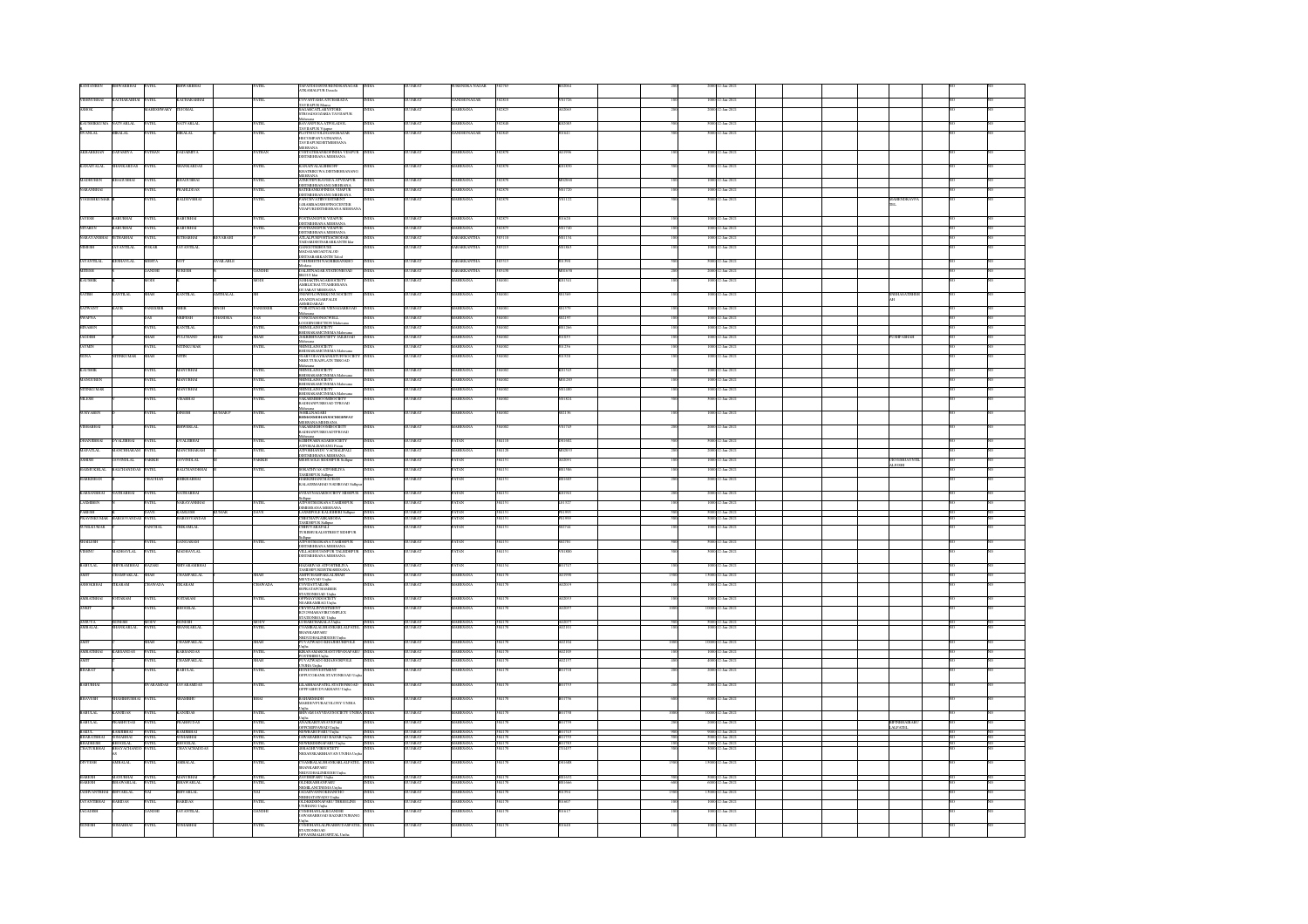| 11.72                 |                       |               | <b>WARBHA</b>          |                 |               | APATDI DISTSURENDRANAGAR                                                              | NDIA             | UJARAT                    | <b>RENDRA NAGAR</b>    |                  |        |      |                                      |  |                          |  |  |
|-----------------------|-----------------------|---------------|------------------------|-----------------|---------------|---------------------------------------------------------------------------------------|------------------|---------------------------|------------------------|------------------|--------|------|--------------------------------------|--|--------------------------|--|--|
|                       |                       |               |                        |                 |               | <b>CIKAMALPUR Dasada</b>                                                              |                  |                           |                        |                  |        |      |                                      |  |                          |  |  |
|                       |                       |               |                        |                 |               | VANTAMA ATCHARAD                                                                      |                  | <b>TARA</b>               | <b>ATMIENTATIO</b>     |                  |        |      |                                      |  |                          |  |  |
| <b>HOR</b>            |                       |               | JOMAL                  |                 |               | <b>NIJAPUR Marsa<br/>GARCATLAR YSTORE</b>                                             |                  | JARAT                     | HESANA                 |                  |        |      | $tan-2021$                           |  |                          |  |  |
|                       |                       |               |                        |                 |               | ROADGOZARIA TAVIJAPUR                                                                 |                  |                           |                        |                  |        |      |                                      |  |                          |  |  |
| <b>KAUSHIKKUMA</b>    | ATVARLAL              | ATEL.         | <b>TVARLAL</b>         |                 | ТE            | <b>ESSIS</b><br>VANPURA ATPOLADOL                                                     | <b>DIA</b>       | UJARAT                    | AHESANA                |                  |        |      | 2-Jan-2021                           |  |                          |  |  |
| .<br>Jivanlal         |                       | m             | RALAI                  |                 |               | AVIJAPUR Vijapar<br>.OTNO23OLIXIANGBAZAR                                              |                  | <b>JARAT</b>              | NDHI NAGAI             |                  |        |      | $1 - 30$                             |  |                          |  |  |
|                       |                       |               |                        |                 |               | ECOMPANY ATMANSA<br>ECOMPANY ATMANSA<br>VUJAPURDISTMEHSANA                            |                  |                           |                        |                  |        |      |                                      |  |                          |  |  |
|                       |                       |               |                        |                 |               |                                                                                       |                  |                           |                        |                  |        |      |                                      |  |                          |  |  |
| AKBARKHAN             | <b>MPAMIYA</b>        | ATHAN         | <b>ADAIMIYA</b>        |                 | THAN          | HSANA<br>ISTATEBANKOFINDIA VIJAPUR                                                    | <b>NDIA</b>      | <b>JUJARAT</b>            | <b>IAHESANA</b>        |                  |        |      | 000 12-Jan-2021                      |  |                          |  |  |
|                       |                       |               |                        |                 |               | ISTMEHSANA MEHSANA                                                                    |                  |                           |                        |                  |        |      |                                      |  |                          |  |  |
| <b>CANAIYALAL</b>     | <b>NKARDA</b>         | <b>VTEL</b>   | ANKARDAS               |                 |               | ANAIY ALALSHROFF<br>HATRIKUWA DISTMEHSANANG                                           |                  | UJARAT                    | AHESANA                |                  |        |      | J <sub>20</sub> 202                  |  |                          |  |  |
|                       |                       |               |                        |                 |               |                                                                                       |                  |                           |                        |                  |        |      |                                      |  |                          |  |  |
| MADHUBEN              |                       | Æ             | <b>AGUBHAI</b>         |                 |               | HSANA<br>MOTIPURAVEDA ATVIJAPUR                                                       |                  | JARAT                     | VESANA                 |                  |        |      | $Jan-202$                            |  |                          |  |  |
| <b>GARANBHAI</b>      |                       | VTEL          | <b>AHLDDAS</b>         |                 |               | <b>IMEHSANANG MEHSANA</b><br>EPANKOENDJA VIJAPUR                                      | <b>NDIA</b>      | UJARAT                    | AHESANA                |                  |        |      | $tan-202$                            |  |                          |  |  |
|                       |                       |               |                        |                 |               | STMEHSANANG MEHSANA.<br>WCHVATIINVESTMENT                                             |                  |                           |                        |                  |        |      |                                      |  |                          |  |  |
| YOGESHKUMA            |                       | .<br>VTEI     | <b>ALDEVBHAI</b>       |                 |               |                                                                                       |                  | <b>UJARA</b>              | AHESANA                |                  |        |      | J <sub>20</sub> 202                  |  |                          |  |  |
|                       |                       |               |                        |                 |               | 4RAMBAGSHOPINGCENTER<br>/UAPURDISTMEHSANA MEHSAN                                      |                  |                           |                        |                  |        |      |                                      |  |                          |  |  |
| AYESH                 |                       | <b>ATEL</b>   | <b>RUBHAI</b>          |                 |               | TCANCISTIQ VITADI ID                                                                  |                  | <b>JARA</b>               | HESANA                 |                  |        |      |                                      |  |                          |  |  |
| <b>TTABEN</b>         | ABUBHAI               | <b>ATEL</b>   | ABUBHAI                |                 |               | <b>ISTMEHSANA MEHSAN.</b><br>OSTSANGPUR VIJAPUR                                       |                  | <b>JUJARAT</b>            | <b><i>EAHESANA</i></b> |                  |        |      | 1000 12-Jan-2021                     |  |                          |  |  |
|                       |                       |               |                        |                 | <b>ATFI</b>   |                                                                                       | <b>NDIA</b>      |                           |                        |                  |        |      |                                      |  |                          |  |  |
| SARAYANB              | <b>THABHAI</b>        | <b>ATEL</b>   | THABHAI                | <b>VABAHI</b>   |               | <b>ISTMEHSANA MEHSANA</b><br>TLALPURPOSTSACHODA                                       | <b>DIA</b>       | <b>JUJARAT</b>            | <b>ABARKANTHA</b>      |                  |        |      | 1000 12-Jan-2021                     |  |                          |  |  |
| <b>MESH</b>           | ANTILAL               | )KAR          | YANTE.AL               |                 |               | TAIDARDISTSABARKANTH like<br>GANGOTRIHOUSE<br>MADASAROADTALOD                         | DИ               | UJARAT                    | ABARKANTHA             |                  |        |      | $\frac{1}{2}$ an-2021                |  |                          |  |  |
|                       |                       |               |                        |                 |               |                                                                                       |                  |                           |                        |                  |        |      |                                      |  |                          |  |  |
| JAYANTILAI            | <b>AVEA</b>           | <b>EHTA</b>   |                        | <b>ALABLE</b>   |               | <b>ISTSABARKANTH Talod</b><br>OHJSHETH NAGRIKBANKHO                                   | <b>NDIA</b>      | <b>HARAT</b>              | RARKANTHA              |                  |        |      | Im202                                |  |                          |  |  |
| MITESH                |                       | <b>NDHI</b>   | URESH                  |                 |               | odasa<br>ALJITNAGAR STATIONROAD                                                       | NDIA             | <b>UJARAT</b>             | <b>ABARKANTHA</b>      |                  |        |      | -<br>Jan-2021                        |  |                          |  |  |
|                       |                       |               |                        |                 |               |                                                                                       |                  |                           |                        |                  |        |      |                                      |  |                          |  |  |
| .<br>KAUSHIK          |                       | <b>IGDI</b>   |                        |                 |               | KGUJ Idar<br>ISHAKTINAGARSOCIETY                                                      | <b>NDIA</b>      | GUJARAT                   | <b><i>IAHESANA</i></b> |                  |        |      | 1000 12-Jan-2021                     |  |                          |  |  |
|                       |                       |               |                        |                 |               | MBLICHAUTTAMEHSANA                                                                    |                  |                           |                        |                  |        |      |                                      |  |                          |  |  |
| SATISH                | .<br>NTI Al           | HAH           | NTLAL                  | <b>CINAL AL</b> |               | <b>JARAT MEHSANA</b><br>EWFLOWERKUNUSOCIETY<br>ANDNAGARPALDI                          |                  | <b>JARAT</b>              | <b>HESANA</b>          |                  |        |      | $50^{20}$                            |  |                          |  |  |
|                       |                       |               |                        |                 |               | HMEDABAD<br>VIRATNAGAR VISNAGARROAD                                                   |                  |                           |                        |                  |        |      |                                      |  |                          |  |  |
| SATWANT               | <b>AUR</b>            | ANESSER       | HER                    | vан             |               |                                                                                       | <b>NDIA</b>      | GUJARAT                   | <b>IAHESANA</b>        |                  |        |      | 1000 12-Jan-2021                     |  |                          |  |  |
| <b>SWAPNA</b>         |                       |               | RIPESH                 | HANDRA          |               | aboana<br>DNCDASONGCWELL                                                              | NDIA             | GUJARAT                   | <b><i>IAHESANA</i></b> |                  |        |      | 1000 12-Jan-2021                     |  |                          |  |  |
| <b>NABEN</b>          |                       | <b>TEI</b>    | ANTE.AL.               |                 |               | DGGINGSECTION Mahesana<br>HINGLAISOCIETY                                              | æа               | JARAT                     | AHESANA                |                  |        |      | J <sub>202</sub>                     |  |                          |  |  |
|                       |                       |               |                        |                 |               | IDHARAMCINEMA Mahesana<br>KRISHNASOCIETY JAILROA                                      |                  |                           |                        |                  |        |      |                                      |  |                          |  |  |
| <b>GDISH</b>          |                       |               | LCHAND                 |                 |               |                                                                                       |                  | <b>JARA</b>               | <b>HESANA</b>          |                  |        |      |                                      |  |                          |  |  |
| <b>JAYMIN</b>         |                       | <b>ATEL</b>   | <b>TINKUMAR</b>        |                 | <b>ATE</b>    | ahesana<br>HNGLAISOCIETY                                                              | <b>NDIA</b>      | <b>UJARAT</b>             | <b><i>EAHESANA</i></b> |                  | 76     |      | 1000 12-Jan-2021                     |  |                          |  |  |
| <b>IIGNA</b>          | INKUMAR               | HAH           |                        |                 |               | HDHARAMCINEMA Mahesara<br>SARVODAYBANKSTUFFSOCIETY                                    | <b>INDIA</b>     | .<br>JUARAT               | <b>TAHESANA</b>        |                  |        |      | 2-Jan-2021                           |  |                          |  |  |
|                       |                       |               |                        |                 |               | <b>RRUTURAJFLATS TBROAD</b>                                                           |                  |                           |                        |                  |        |      |                                      |  |                          |  |  |
| KAUSHIK               |                       | VTEL          | <b>NUBHA</b>           |                 |               | esana<br>GGI AISOCIETY                                                                |                  | <b>UARA</b>               | <b>AHESAN</b>          |                  |        |      | 2-Jan-202                            |  |                          |  |  |
| <b>MANGEREN</b>       |                       | <b>ATFI</b>   | <b>ANTIRHAL</b>        |                 |               | HDHARAMCINEMA Mahesar<br>HINGLAISOCIETY                                               |                  | <b>GUJARAT</b>            | <b>AMERANA</b>         |                  |        |      |                                      |  |                          |  |  |
|                       |                       |               |                        |                 | <b>ATE</b>    |                                                                                       | <b>NDIA</b>      |                           |                        |                  | ni 283 |      | 1000 12-Jan-2021                     |  |                          |  |  |
| <b>TTINKUMAR</b>      |                       | ATEL.         | <b>IANUBHAI</b>        |                 | <b>ATE</b>    | HDHARAMCINEMA Mahesara<br>HINGLAISOCIETY                                              | INDIA            | GUJARAT                   | <b>LAHESANA</b>        |                  | 1450   |      | 1000 12-Jan-2021                     |  |                          |  |  |
| <b>CILESH</b>         |                       | VTEL.         | <b>SABHAI</b>          |                 | .<br>Viei     |                                                                                       | NDIA             | <b>UJARAT</b>             | <b>TAHESANA</b>        |                  | 182    | 3000 | 2-Jan-2021                           |  |                          |  |  |
|                       |                       |               |                        |                 |               | HENELSEKALLET<br>HEDHARAMCINEMA Mahesar<br>AKARMBHOOMISOCIETY<br>LADHANPURROAD TPROAD |                  |                           |                        |                  |        |      |                                      |  |                          |  |  |
| URYABEN               |                       | .<br>TEL      | <b>ESH</b>             |                 |               | lahesana<br>SHILLINAGARI<br>HMANMOHANSOCHIGHWAY                                       |                  | <b>JARA</b>               | HESAN                  |                  |        |      |                                      |  |                          |  |  |
|                       |                       |               |                        |                 |               |                                                                                       |                  |                           |                        |                  |        |      |                                      |  |                          |  |  |
| <b>VISHABHAI</b>      |                       | ATEL.         | HWERLAL                |                 | <b>ATE</b>    | ÆHSANA MEHSANA<br>AKARMGHOOMISOCIETY                                                  | <b>DIA</b>       | <b>JUARAT</b>             | <b><i>IAHESANA</i></b> |                  |        |      | 2000 12-Jan-2021                     |  |                          |  |  |
|                       |                       |               |                        |                 |               | DHANPURROADTPROAD                                                                     |                  |                           |                        |                  |        |      |                                      |  |                          |  |  |
| <b>HANIBI</b>         |                       |               |                        |                 |               | hesana<br>SHWARNAGARSOCIETY                                                           |                  | 1494                      | $\overline{a}$         |                  |        |      |                                      |  |                          |  |  |
| <b>MAFATLAL</b>       | <b>ANCHHARAN</b>      | <b>ATFI</b>   | <b>IANCHHARAM</b>      |                 | <b>ATE</b>    | <b>(TPOBALISANANG Patan)<br/>(TPOBHANDU VACHALIPALI)</b>                              | <b>NDIA</b>      | <b>GUIARAT</b>            | <b>TAHERANA</b>        |                  |        |      | 2000 12-Jan-2021                     |  |                          |  |  |
|                       |                       |               |                        |                 |               |                                                                                       |                  |                           |                        |                  |        |      |                                      |  |                          |  |  |
| SHISH                 | <b>OVINDILAL</b>      | ARIKH         | OVINDLAL               |                 | ARIKH         | <b>OSTMEHSANA MEHSANA</b><br>ÆHTAOLE SIDDHPUR Sidipur                                 | <b>INDIA</b>     | GUJARAT                   | <b>ATAN</b>            |                  |        |      | 1000 12-Jan-2021                     |  | <b>RVESHJAYN</b><br>JOSH |  |  |
| .<br>ASMUKH           | CHAND                 | TE.           | <b>LCHANDB</b>         |                 |               | <b>BRATHVAS ATPOBILIVA</b>                                                            |                  | JARAT                     | ATAN                   |                  |        |      | $3m-202$                             |  |                          |  |  |
|                       |                       |               |                        |                 |               |                                                                                       |                  |                           |                        |                  |        |      |                                      |  |                          |  |  |
|                       |                       |               |                        |                 |               |                                                                                       |                  |                           |                        |                  |        |      |                                      |  |                          |  |  |
|                       |                       |               |                        |                 |               |                                                                                       |                  | iarat                     |                        |                  |        |      | $tan-202$                            |  |                          |  |  |
|                       |                       |               |                        |                 |               | 'ASIDHPUR Sidhpur<br>IARKISHANCHAUHAN<br>LALAIISMAHAD NADIROAD Sidhp                  |                  |                           |                        |                  |        |      |                                      |  |                          |  |  |
| <b>ARSANBHA</b>       |                       | <b>TEL</b>    |                        |                 |               | <b>VBAYNAGARSOCIETY SIDHPUR</b>                                                       | NDIA.            | <b>JARA</b>               | <b>TAN</b>             |                  |        | 2000 | $Jan-202$                            |  |                          |  |  |
| <b>AXMIBEN</b>        |                       | æ             | RAYANBHAI              |                 |               |                                                                                       | NDIA             | JARAT                     | <b>TAN</b>             |                  |        |      | J <sub>20</sub>                      |  |                          |  |  |
|                       |                       |               |                        |                 |               | <b>Schpar</b><br>ATPOSTSEDRANA TASIDHPUR<br>ATPOSTSEDRANA TASIDHPUR                   |                  |                           |                        |                  |        |      |                                      |  |                          |  |  |
| PARESH<br>PRAVINKUMAF | ROOVANDA              | AVE<br>ATEL   | KAMLESH<br>HARGOVANDAS |                 |               | DIMEHSANA MEHSANA<br>LAXMIPOLE KALIGHERI Sidiput<br>CHECHATVASKAHODA                  | <b>NDIA</b>      | GUJARA<br><b>JUJARAT</b>  | PATAN<br>PATAN         |                  |        |      | 5000 12-Jan-2021<br>5000 12-Jan-2021 |  |                          |  |  |
|                       |                       |               |                        |                 |               | <b>TASIDHPUR Sidhpar</b>                                                              |                  |                           |                        |                  |        |      |                                      |  |                          |  |  |
| UNILKUMAR             |                       | <b>INCHAL</b> | <b>RIKAMLAL</b>        |                 |               | HHUVARAFALI<br>URISHUKALSSTREET SIDHPUR                                               |                  | <b>JARA</b>               | <b>TAN</b>             |                  |        |      |                                      |  |                          |  |  |
|                       |                       | ATEL          | <b>ANGARAM</b>         |                 | <b>ATF</b>    |                                                                                       | <b>NDIA</b>      | <b>GUILARAT</b>           | <b>ATAN</b>            |                  |        |      |                                      |  |                          |  |  |
| SHAILESH              |                       |               |                        |                 |               | dipur<br>TPOSTSEDRANA TASIDHPUR                                                       |                  |                           |                        |                  |        |      | 5000 12-Jan-2021                     |  |                          |  |  |
| ISHNU                 | <b>VDHAVLAL</b>       | ATEL.         | <b>ADHAVLAL</b>        |                 |               | )<br>STMEHSANA MEHSANA<br>VILLAGESUJANPUR TALSIDHPUR<br><b>ISTMEHSANA MEHSANA</b>     | NDIA             | UJARAT                    | <b>ATAN</b>            |                  |        | 3000 | $3m-202$                             |  |                          |  |  |
|                       |                       |               |                        |                 |               |                                                                                       |                  |                           |                        |                  |        |      |                                      |  |                          |  |  |
| ABULAL                | VRAME                 | <b>AZARI</b>  | VARAMB                 |                 |               | <b>AZARIVAS ATPOSTBILIYA</b>                                                          | <b>DIA</b>       | UJARAT                    | ATAN                   |                  |        |      | $2-3an-2021$                         |  |                          |  |  |
|                       | <b>MPAKIA</b>         |               | WPAKLAL                |                 |               | SIDHPURDISTMAHESAN.                                                                   |                  | <b>TARAT</b>              | HESAN                  |                  |        |      | $-202$                               |  |                          |  |  |
| <b>ASHOKBHA</b>       | IKARAM                | <b>IAWADA</b> | <b>IKARAM</b>          |                 | <b>IAWADA</b> | <b>EVDAVAD Units</b><br><b>DVIJAYTALOR</b>                                            | <b>CIVEA</b>     | <b>UJARAT</b>             | <b>TAHESANA</b>        |                  |        |      | $\frac{1}{2}$ lan-2021               |  |                          |  |  |
|                       |                       |               |                        |                 |               | OPRATAPCHAMBER                                                                        |                  |                           |                        |                  |        |      |                                      |  |                          |  |  |
| <b>AMRATBHAI</b>      | <b>DITARAM</b>        | ATEL.         | <b>TARAM</b>           |                 | <b>ATEL</b>   | <b>TATIONROAD Unibs<br/>OPPMAYURSOCIETY</b>                                           | NDIA             | GUJARAT                   | <b>IAHESANA</b>        |                  |        |      | 1000 12-Jan-2021                     |  |                          |  |  |
| <b>ANKIT</b>          |                       | <b>ATEI</b>   | $\sqrt{2}$             |                 |               | EARRAMBAG Unjha<br>'RYSTALINVESTMEN'                                                  | .<br>mts         | 1149.47                   | <b>LIDEANA</b>         |                  |        |      | $\frac{1}{2}$                        |  |                          |  |  |
|                       |                       |               |                        |                 |               | STALINVESTMENT<br>29MAHAVIRCOMPLEX                                                    |                  |                           |                        |                  |        |      |                                      |  |                          |  |  |
|                       |                       |               |                        |                 |               |                                                                                       |                  |                           |                        |                  |        |      |                                      |  |                          |  |  |
| ANSUYA<br>AMBALAL     | JIGNESH<br>SHANKARLAI | MODY<br>PATEL | IIGNESH<br>SHANKARLAI  |                 | MODY<br>PATEL | STATIONROAD Uniba<br>J.HARCHAKALA Uniba<br>COAMBALA ISHANKARLALPATEL                  | INDIA<br>INDIA   | <b>GUJARAT</b><br>GUJARAT | MAHESANA<br>MAHESANA   | 384170<br>884170 |        |      | 5000 12-Jan-2021<br>1000 12-Jan-2021 |  |                          |  |  |
|                       |                       |               |                        |                 |               | HANKARPARU                                                                            |                  |                           |                        |                  |        |      |                                      |  |                          |  |  |
| WIT                   |                       | НАН           | <b>HAMPAKLAL</b>       |                 | SHAH          | <b>RDUDHALINDESH Unibs<br/>UVATWADO KHAJERURIPOLE</b>                                 | INDIA            | GUJARAT                   | <b>LAHESANA</b>        |                  | 2104   |      | 10000 12-Jan-2021                    |  |                          |  |  |
| AMRATBHAI             | ARSANDAS              | ATEL.         | ARSANDAS               |                 | PATEL.        |                                                                                       | $\mathbb{N}$ DIA | GUJARAT                   | <b>IAHESANA</b>        |                  | 210    |      | 1000 12-Jan-2021                     |  |                          |  |  |
|                       |                       |               |                        |                 |               | iijhi<br>IRANAMARCHANT PIPANAPARU                                                     |                  |                           | HESANA                 |                  |        |      |                                      |  |                          |  |  |
|                       |                       |               | <b>MPAKLAL</b>         |                 |               | STSHIHI Unjha<br>VATWADO KHAJOORPOLE                                                  |                  | JARAT                     |                        |                  |        |      | $an-202$                             |  |                          |  |  |
| HARAT                 |                       | VTEL          | <b>ABULAL</b>          |                 | <b>TFI</b>    | UVATWADO 6000<br> NJHA Unjha<br> ~~~FVINVESTMENT<br><b>JPPUCOBANK STATONROAD Uni</b>  |                  | <b>UARAT</b>              | AHESANA                |                  |        |      | $\frac{1}{2}$ an-2021                |  |                          |  |  |
|                       |                       |               |                        |                 |               |                                                                                       |                  |                           |                        |                  |        |      |                                      |  |                          |  |  |
| ABUBHA                |                       | ARAM          | <b>ARAMDA</b>          |                 |               | LABHAIAPATEL STATIONROAD                                                              |                  | iara                      |                        |                  |        |      |                                      |  |                          |  |  |
|                       |                       |               |                        |                 |               | PPPASHUDVAKHANU Unjha                                                                 |                  |                           |                        |                  |        |      |                                      |  |                          |  |  |
| <b>HAVESH</b>         | AMERICA               | ATEL          | <b>AIRE</b>            |                 |               | <b>HOLMSHA</b><br>AHDEVPURACOLONY UNIHA                                               |                  | UJARAT                    | <b>HESANA</b>          |                  |        |      | 2.Isn.202                            |  |                          |  |  |
|                       |                       |               |                        |                 |               |                                                                                       |                  |                           |                        |                  |        |      |                                      |  |                          |  |  |
| <b>ABULAL</b>         | <b>UNJIDAS</b>        | ATEL.         | ANJIDAS                |                 | <b>ATE</b>    | Juju<br>HIVAM JAYVIJAYSOCIETY UNIHA INDIA                                             |                  | GUJARAT                   | <b>LAHESANA</b>        |                  | 1738   |      | 10000 12-Jan-2021                    |  |                          |  |  |
| ABULAL                |                       |               | <b>ABHUD</b>           |                 |               | jna<br>LAIK ARIV AN AVEP ARI                                                          |                  | <b>JARAT</b>              | <b>NHESAN</b>          |                  |        |      | J <sub>202</sub>                     |  |                          |  |  |
| AKUL                  |                       |               |                        |                 |               |                                                                                       |                  | <b>JARA</b>               |                        |                  |        |      |                                      |  | LALPATEL                 |  |  |
|                       |                       |               |                        |                 |               | OPPCHIPPAWAD Unita<br>NEWBABUPARU Unita<br>JAWAHARROAD BAZAR Unita                    |                  | GUJARA                    |                        |                  |        |      |                                      |  |                          |  |  |
| <b>HADRESH</b>        | <b>BHOGILAL</b>       | ATEL.         | <b>BHOGILAL</b>        |                 | PATEL         | NEWKRISHNAPARU Unjha                                                                  | <b>INDIA</b>     | <b>GUJARAT</b>            | MAHESANA               | 384170           | 01783  |      |                                      |  |                          |  |  |
| <b>HATURBHAI</b>      | <b>IAYACHAND</b>      | ATEL          | <b>HAYACHADD</b>       |                 | <b>ATEL</b>   | <b>#ORAGHUVIRSOCIETY</b><br><b>RESANSKARBHAVAN UNJHA Unih</b>                         | <b>NDIA</b>      | GUJARAT                   | <b><i>LAHESANA</i></b> | 2120             | 145    | 3000 | 1000 12-Jan-2021<br>3000 12-Jan-2021 |  |                          |  |  |
|                       |                       |               |                        |                 |               |                                                                                       |                  |                           |                        |                  |        |      |                                      |  |                          |  |  |
| NVYESH                | BALAL                 | Œ             | <b>ABALAL</b>          |                 | ATE           |                                                                                       | NDLA             | UJARAT                    | AHESANA                |                  |        | 150  | $-3an-202$                           |  |                          |  |  |
|                       | <b>UTTD LEAT</b>      |               |                        |                 |               | DAMBALALSHANKARLALPATEL<br>IANKARPARU<br>RDUDHALINIDESH Un                            |                  |                           |                        |                  |        |      |                                      |  |                          |  |  |
| HARESH<br>ARESE       |                       |               | <b>JANI IRHAI</b>      |                 |               |                                                                                       |                  | <b>HARA</b>               | <b>IAHESANA</b>        |                  |        |      |                                      |  |                          |  |  |
|                       | WARLAI                |               | AWARLAI                |                 |               |                                                                                       |                  | <b>JARA</b>               |                        |                  |        | 6000 | $tan-202$                            |  |                          |  |  |
| <b>ASHVANTRI</b>      | <b>IVARLAL</b>        |               | <b>SHVARTAL</b>        |                 |               | <b>AMILANCINEMA Uniba</b><br>CARVANNOKHANCHO                                          | <b>NDIA</b>      | <b>TARATE</b>             | <b>AHESANA</b>         |                  |        |      | 13000 12-Jan-2021                    |  |                          |  |  |
| <b>AYANTIBI</b>       | RIDAS                 |               | <b>EIDAS</b>           |                 |               | <b>IBHATAWADO Uniba<br/>DKRISHNAPARU THREELINE</b>                                    |                  | <b>JARAY</b>              | HESAN                  |                  |        |      | $tan-202$                            |  |                          |  |  |
| <b>JAGADISH</b>       |                       | ANDHI         | YANTE.AL               |                 | NDH           |                                                                                       | <b>IDLA</b>      | <b>JUARAT</b>             | <b>IAHESANA</b>        |                  |        |      | 2-Jan-2021                           |  |                          |  |  |
|                       |                       |               |                        |                 |               | INIHANG Unika<br>COMOHANLALRGANDHI<br>JAWAHARROAD BAZARUNIHANG                        |                  |                           |                        |                  |        |      |                                      |  |                          |  |  |
| <b>TATESH</b>         | <b>MABH</b>           | .<br>VTEI     | <b>farha</b>           |                 |               | ğıs<br>MOHANLALPRABHUDASPATEL<br>TATIONROAL                                           | <b>NDIA</b>      | <b>UJARAT</b>             | <b>VEESAN</b>          |                  |        |      |                                      |  |                          |  |  |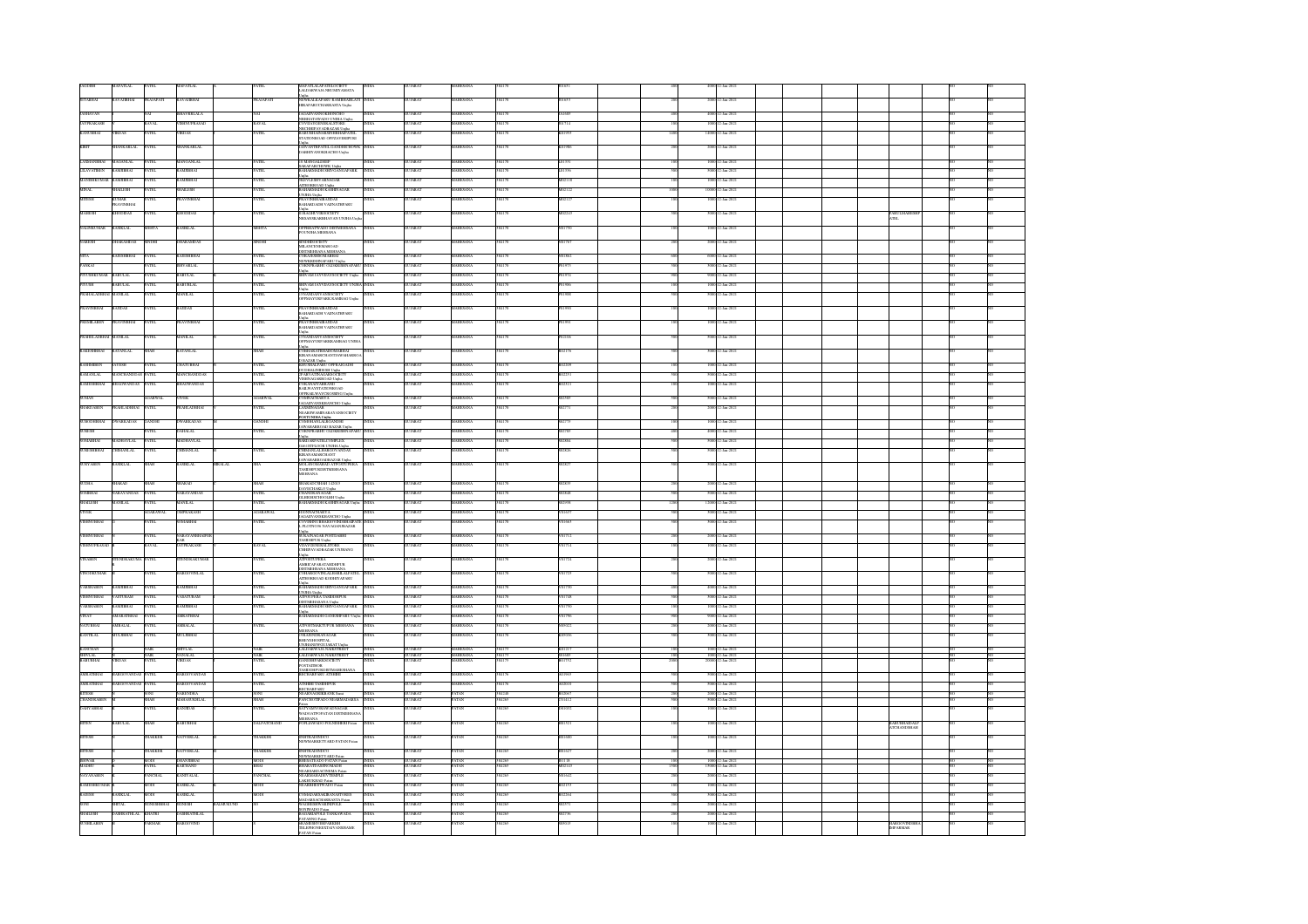| <b>JAGDISH</b>                | <b>AFATLAL</b>           | VTEL           | <b>VFATLAL</b>       |                |                | MAFATLALAPATELOCIETY<br>LALDARWAJA NRUMIYAMATA                                        |                             | JARAT          | <b>AHESANA</b>         |                   |                        |  |                               |  |                                  |  |  |
|-------------------------------|--------------------------|----------------|----------------------|----------------|----------------|---------------------------------------------------------------------------------------|-----------------------------|----------------|------------------------|-------------------|------------------------|--|-------------------------------|--|----------------------------------|--|--|
|                               |                          | alaPa)         |                      |                |                | nèa<br>EWKALKAPARU RAMBHAISLA                                                         |                             |                |                        |                   |                        |  |                               |  |                                  |  |  |
|                               |                          |                |                      |                |                | <b>IRAPARUCHARRASTA Unita</b>                                                         |                             |                |                        |                   |                        |  |                               |  |                                  |  |  |
| <b>JASHAVAN</b>               |                          |                | HAVRRLALA            |                |                | <b>VGAJIV ANNOKHONCHO</b>                                                             | <b>DIA</b>                  | UJARAT         | <b>AHESANA</b>         |                   |                        |  | -Jan-2021<br>2000             |  |                                  |  |  |
| <b>JAYPRAKASH</b>             |                          | AVAL.          | <b>SHNUPRASAD</b>    |                | AVAL.          | SRBHATAWADO UNJHA Unjha<br>COVIJAYGENERALSTORE                                        | <b>DIA</b>                  | <b>JARAT</b>   | AHESANA                |                   |                        |  | $tan-202$                     |  |                                  |  |  |
| KANUBHAI                      |                          | <b>ATM</b>     | .<br>Vitas           |                |                | <mark>SRCHHIPAVADBAZAR Unjha</mark><br>BABUBHAINARSINHBHAIPATEI                       |                             | <b>HARAY</b>   | <b>AHESANA</b>         |                   |                        |  | $100^{30}$                    |  |                                  |  |  |
|                               |                          |                |                      |                |                | ATIONROAD OPPZAVERIPURI                                                               |                             |                |                        |                   |                        |  |                               |  |                                  |  |  |
| K IRIT                        | <b>ANK ART AT</b>        | ATEL           | <b>ANKARIAI</b>      |                |                | ра<br>SVANTBPATEL GANDHICHOWS<br>ABHIYANOKHACHO Uniba                                 |                             | <b>HARAT</b>   | <b>AHERANA</b>         |                   |                        |  |                               |  |                                  |  |  |
| AXMANBHAI                     | <b>IAGANLAL</b>          | ATEL.          | ANGANLAL             |                | 'ATEL          | MANGALDEEP                                                                            | <b>DIA</b>                  | UJARAT         | MAHESANA               | 84170             | 01331                  |  | $2 - \tan 2021$               |  |                                  |  |  |
|                               |                          |                |                      |                |                | <b>RAPARCHOWK Unite</b>                                                               |                             | <b>JARAT</b>   | HESANA                 |                   |                        |  |                               |  |                                  |  |  |
| <b>ANKHETMA</b>               |                          |                | <b>MIRHA</b>         |                |                | ijha<br>CEVLESHVARNAGAR                                                               |                             |                |                        |                   |                        |  | $\frac{1}{2}$ an-2021         |  |                                  |  |  |
|                               |                          | .<br>VTEI      |                      |                | <b>ATEL</b>    | <b>IHORROAD Uniba</b><br>HARMADH KASHINAGAR                                           | <b>SDIA</b>                 | <b>JARAT</b>   | AHESANA                |                   | 02118                  |  |                               |  |                                  |  |  |
| MINAL.                        | <b>AILESH</b>            | ATEL.          | <b>JALESH</b>        |                | <b>ATEL</b>    |                                                                                       | <b>SDIA</b>                 | UJARAT         | AHESANA                | 84170             | 002122                 |  | J <sub>2021</sub><br>1000     |  |                                  |  |  |
| MITESH                        | <b>LMAR</b><br>RAVINBHAI | VTEL           | <b>WNBHAI</b>        |                | VTEL           | NJHA Unjha<br>RAVINBHAIBAJIDAS<br>AHARDADH VAIJNATHPARU                               |                             | IJARAT         | AHESANA                |                   |                        |  | $tan-202$                     |  |                                  |  |  |
| <b>LAHESE</b>                 |                          | .<br>TEI       |                      |                |                |                                                                                       |                             |                | HESANA                 |                   |                        |  |                               |  |                                  |  |  |
|                               |                          |                |                      |                |                | isha<br>1RAGHUVIRSOCIETY<br>@SANSKARBHAVAN UNIHA Unjhi                                |                             |                |                        |                   |                        |  |                               |  | PARULA<br>ATEL                   |  |  |
| .<br>KALINKUMAR               | <b>SIKLAL</b>            | EHTA           | <b>SIKLAL</b>        |                | <b>HTA</b>     | <b>PPBHATWADO DISTMEHSANA</b><br>OUNIHA MEHSANA                                       | <b>STOLA</b>                | <b>JARAT</b>   | AHESANA                |                   |                        |  | Jan-202                       |  |                                  |  |  |
| ARESH                         |                          |                |                      |                |                |                                                                                       |                             |                |                        |                   |                        |  |                               |  |                                  |  |  |
|                               |                          |                |                      |                |                | <b>INDHISOCIETY</b><br>III.ANCENEMAROAD                                               |                             |                |                        |                   |                        |  |                               |  |                                  |  |  |
| <b>NITA</b>                   |                          | <b>ATEL</b>    | <b>VESHBHAI</b>      |                |                | <b>STMEHSANA MEHSAL</b>                                                               |                             | <b>JARAT</b>   | AHESANA                |                   |                        |  | $tan-202$                     |  |                                  |  |  |
| <b>ANKAJ</b>                  |                          | VTEL           | <b>HVARLAL</b>       |                | m              | EWKRISHNAPARU U<br>ORNPRABHU OLDKI                                                    |                             | JARAT          | AHESANA                |                   |                        |  | $tan-202$<br>3000             |  |                                  |  |  |
| TYUSHKUMA                     | <b>WELLAL</b>            | .<br>VTEI      | <b>BULAL</b>         |                | <b>ATEL</b>    | .<br> ailvam JAYVIJAYSOCIETY Usjba<br> ailvam JAYVIJAYSOCIETY Usjba                   |                             | <b>JARAT</b>   | AHESANA                |                   |                        |  | tan 202                       |  |                                  |  |  |
| TYUSH                         | ABULAL                   | ATEL.          | <b>BUBLAL</b>        |                | ATEL           | <b>HIVAM JAYVIJAYSOCIETY UNIHA INDIA</b>                                              |                             | <b>JARA</b>    | AHESANA                |                   |                        |  | J <sub>202</sub>              |  |                                  |  |  |
| <b>WAHALAI</b>                | .<br>Milai               | .<br>VTEI      |                      |                |                |                                                                                       |                             | -<br>13.937    | <b>HESAN</b>           |                   |                        |  |                               |  |                                  |  |  |
|                               |                          |                |                      |                |                | .<br>1981<br>ISNANDANVANSOCIETY<br>OPPMAYURPARK RAMBAG Unjha                          |                             |                |                        |                   |                        |  |                               |  |                                  |  |  |
| <b>PRAVINBHAI</b>             | <b>AJIDAS</b>            | ATEL.          | AJIDAS               |                | ATEL           | <b>RAVINBHAIBAIIDAS</b>                                                               | DIA                         | UJARAT         | <b>AHESANA</b>         | 84170             |                        |  | 3-Jan-2021                    |  |                                  |  |  |
|                               |                          |                |                      |                |                | <b>HARDADH VAUNATHPARU</b>                                                            |                             |                |                        |                   |                        |  |                               |  |                                  |  |  |
| PREMILABEN                    | AVINBHAI                 | VTEL.          | <b>AVINBHAI</b>      |                | ATEL           | ijha<br>KAVINBHAIBAJIDAS<br>AHARDADH VAIJNATHPARU                                     |                             | IJARAT         | AHESANA                |                   |                        |  | $3m-2021$                     |  |                                  |  |  |
| PRAHELADB                     | <b>WILA</b>              | VTEL           | WILAL                |                | <b>ITFI</b>    | ∄a<br>NANDANVANSOCIETY                                                                |                             | JARAT          | HESANA                 |                   |                        |  | $tan-202$                     |  |                                  |  |  |
|                               |                          |                |                      |                |                | PPMAYURPARKRAMBAG UNJH                                                                |                             |                |                        |                   |                        |  |                               |  |                                  |  |  |
| <b>AKESHBHAI</b>              | <b>TANLAL</b>            | <b>HAH</b>     | ATANLAL              |                |                | niu<br>OBHARATBHAISOMABHAI<br><b>IRANAMARCHANTIAWAHARRO</b>                           | DIA                         | <b>JARA</b>    | <b><i>IAHESANA</i></b> |                   |                        |  | $3m-202$                      |  |                                  |  |  |
| $_{\rm{max}}$                 |                          | .<br>VTEI      | <b>TI BHA</b>        |                |                | <b>BAZAR Units<br/>HUSHAI PARU OPPRAIGADH</b>                                         |                             |                | <b>LICEAN</b>          |                   |                        |  |                               |  |                                  |  |  |
| .<br>RAMANLAL                 | <b>IANCHANDDA</b>        | <b>ATEL</b>    | <b>MANCHANDDAS</b>   |                | <b>ATH</b>     | <b>DUDHALINIDESH Unjha<br/>2PARVATINAGARSOCIETY</b>                                   | <b>NDIA</b>                 | GUJARAT        | MAHESANA               | $\frac{1}{84120}$ | 225                    |  | S000 12-Jan-2021              |  |                                  |  |  |
|                               |                          |                |                      |                |                | <b>ISHNAGARROAD Usiba</b><br>OKANAIYABRAND                                            |                             |                |                        |                   |                        |  |                               |  |                                  |  |  |
| RAMESHBHAI                    | <b>LAGWANDAS</b>         | ATEL.          | <b>HAGWANDAS</b>     |                | ATEL           | <b>RAILWAYSTATIONROAD</b>                                                             | <b>NDIA</b>                 | <b>UJARAT</b>  | <b><i>IAHESANA</i></b> | 84170             | 12321                  |  | 3-Jan-2021                    |  |                                  |  |  |
| <b>SUMAN</b>                  |                          | <b>GARWAL</b>  | <b>TVEK</b>          |                | AGARWAL        | PPRAILWAYCROSSING Units<br>OMNACHARYA<br>GAJIVANSKHANCHO Units                        | INDIA                       | <b>JUJARAT</b> | MAHESANA               | 84170             | 102585                 |  | 5000 12-Jan-2021              |  |                                  |  |  |
| ARDAR                         |                          | ÆL.            | <b>WILADBI</b>       |                |                |                                                                                       | DIA                         | JARAT          | HESANA                 |                   |                        |  |                               |  |                                  |  |  |
|                               |                          |                |                      |                |                | XMIN AGAR<br> ARSWAMINARAYANSOCIETY                                                   |                             |                |                        |                   |                        |  |                               |  |                                  |  |  |
| <b>SUBODHBHAI</b>             | VARKADAS                 | ANDHI          | <b>WARKADAS</b>      |                | <b>NTM</b>     | <b>STUNIHA Unita</b><br>DMOHANLALRGANDHI                                              | <b>SDIA</b>                 | UJARAT         | <b>LAHESANA</b>        |                   |                        |  | J <sub>202</sub>              |  |                                  |  |  |
| <b>SURESH</b>                 |                          | ATEL.          | AHALAL               |                | ATEL           | AWAHARROAD BAZAR Uniha<br>ORNPRABHU OLDKRISHNAPARU                                    | NDIA                        | UJARAT         | <b>AHESANA</b>         | 84170             | 278                    |  | 4000 12-Jan-2021              |  |                                  |  |  |
| <b>SOMARHA</b>                |                          | ATEL.          | .<br>DHAVLAL         |                |                | isha<br>ARDARPATELCOMPLEX                                                             |                             | <b>JARAT</b>   | <b>LAHESANA</b>        |                   |                        |  | $\frac{1}{202}$               |  |                                  |  |  |
| <b>SERESHRHAI</b>             | <b>HIMANI AI</b>         | <b>ATFI</b>    | <b>HIMANI AL</b>     |                | <b>ATE</b>     | <b>161 STFLOOR UNJHA Unjha<br/>HIMANLALHARGOVANDAS</b><br><b>JRANAMARCHANT</b>        | <b>Thia</b>                 | <b>UJARAT</b>  | <b>TAHERANA</b>        | 21120             | 2826                   |  | $1 - 202$                     |  |                                  |  |  |
|                               |                          |                |                      |                |                | .<br>AWAHARROADBAZAR Uniba<br>MOLANOMAHAD ATPOSTUPERA                                 |                             |                |                        |                   |                        |  |                               |  |                                  |  |  |
| <b>SURYABEN</b>               | SIXLA                    | <b>LAH</b>     | <b>SIKLAL</b>        |                |                | <b><i>FASIDHPURDISTMEHSANA</i></b>                                                    |                             |                | ESAN                   |                   |                        |  |                               |  |                                  |  |  |
|                               |                          |                |                      |                |                | EHSANA                                                                                |                             |                |                        |                   |                        |  |                               |  |                                  |  |  |
| UDHA                          |                          |                |                      |                |                | ARADCSHAH 141<br>VECHAKLO Unju<br>IANDRANAGAR                                         |                             | JARA           |                        |                   |                        |  |                               |  |                                  |  |  |
| OMBHAI                        | <b>ARAYAND/</b>          | ATEL           | ARAYANDAS            |                |                |                                                                                       | .<br>Tita                   | <b>JARAT</b>   | AHESANA                |                   |                        |  | Im(20)                        |  |                                  |  |  |
| SHAILESH                      | ANI.AL                   | ATEL           | ANILAL.              |                | m              | .<br>HIGHSCHOOLBH Uujha<br>AHARMADH KASHINAGAR Uuji                                   |                             | JARAT          | AHESANA                |                   |                        |  | Jan-202<br>1200               |  |                                  |  |  |
| <b>VIVEK</b>                  |                          | <b>GARAWAL</b> | MPRAKASH             |                | <b>GARAWAL</b> | <b>NNACHARYA</b>                                                                      |                             | <b>JARA</b>    | AHESANA                |                   |                        |  | $tan-202$                     |  |                                  |  |  |
| <b>INHNI RHA</b>              |                          | <b>TFI</b>     | 1.0111               |                |                | <b>GARVALINA I A</b><br>JAJIVANSKHANCHO Uujua<br>AISHNI BHARTOVINDRHAIPAT             |                             | 1.01           | AMOUNT                 |                   |                        |  |                               |  |                                  |  |  |
|                               |                          |                |                      |                |                | LOTNO36 NAVAGANIBAZAR                                                                 |                             |                |                        |                   |                        |  |                               |  |                                  |  |  |
| <b>VISHNI RHAI</b>            |                          | <b>ATEL</b>    | <b>ARAVANRHAIFEI</b> |                |                | .'nju<br>URAJNAGAR POSTDABHI                                                          | INDIA.                      | <b>GUIARAT</b> | <b>MAHESANA</b>        | 84170             | 01712                  |  | 2000 12-Jan-2021              |  |                                  |  |  |
| <b>ISHNUPRASAI</b>            |                          | AVAL.          | AR<br>AYPRAKASH      |                | AVAL           | <b>ASIDHPUR Unjha<br/>UAYGENERALSTORE</b><br>IATUENERALSTURE<br>IHIPAVADBAZAR UNJHANG | <b>DIA</b>                  | <b>UJARAT</b>  | <b><i>AHESANA</i></b>  | 84170             | )1714                  |  | 1000                          |  |                                  |  |  |
| <b>INARES</b>                 |                          |                | <b>NDRAKTIMA</b>     |                |                | iju<br>POSTUPERA                                                                      |                             | iaka           | <b>HESANA</b>          |                   |                        |  |                               |  |                                  |  |  |
|                               |                          |                |                      |                |                | MBICAPARATASIDHPUR                                                                    |                             |                |                        |                   |                        |  |                               |  |                                  |  |  |
| <b>INODKUMAS</b>              |                          | VTEL           | <b>ARGOVINLAL</b>    |                | <b>ITFI</b>    | IMEHSANA MEHSANA.<br><sup>HAR</sup> GOVINLALHARILALPATEI<br>THORROAD KODHIYAPARU      |                             | JARAT          | HESANA                 |                   |                        |  |                               |  |                                  |  |  |
| <b>ARSHABEN</b>               |                          |                |                      |                |                | iği<br>AHARMADH SHIVGANGAPARK                                                         |                             |                |                        |                   |                        |  |                               |  |                                  |  |  |
|                               | MJIBHAI                  | ATEL.          | <b>WIBHAI</b>        |                | <b>ATEL</b>    | GHA Unjha<br>PPOUPERA TASIDDHPUR                                                      | <b>NDIA</b>                 | <b>JARA</b>    | <b><i>AHESANA</i></b>  |                   | )  730                 |  | 2-Jan-2021<br>4000            |  |                                  |  |  |
| ISHNUBHAI                     | <b>TURAM</b>             | <b>TEL</b>     | SATURAM              |                |                |                                                                                       |                             | <b>JARAT</b>   | AHESANA                |                   | 1218                   |  | $tan-202$                     |  |                                  |  |  |
| ARSHABEN                      |                          | .<br>VTEI      | <b>ATTREMAT</b>      |                | $\overline{1}$ | ØSTMEHASANA Uniba<br>AHARMADH SHIVGANGAPARK                                           |                             | <b>TARAT</b>   | <b>AHESANA</b>         |                   | 125                    |  | $tan-202$                     |  |                                  |  |  |
| <b>VINAY</b>                  | <b>MARATBHA</b>          | <b>ATEL</b>    | <b>MRATBHAI</b>      |                |                | nju<br>AHARMADH GANESHPARU Unju                                                       | <b>NDIA</b>                 | <b>JUJARAT</b> | <b>MAHESANA</b>        | 34170             | 701796                 |  | 2-Jan-2021<br>9000            |  |                                  |  |  |
| <b>ATUBHAI</b>                | MBALAL                   | ATEL.          | MBALAL               |                | ATEL.          | POSTMAKTUPUR MEHSANA                                                                  | NDIA                        | <b>UJARAT</b>  | <b><i>IAHESANA</i></b> | 84170             | 15022                  |  | 2000 12-Jan-2021              |  |                                  |  |  |
| ANTILAL.                      | <b>ULJIBHAI</b>          | <b>TEL</b>     | <b>LUBHAI</b>        |                |                | EHSANA<br>)RAJENDRANAGAR                                                              | .<br>DIA                    | <b>JARAT</b>   | AHESANA                | 84170             | 5036                   |  | $\frac{1}{2}$ an-2021<br>300  |  |                                  |  |  |
| <b>ANCHA</b>                  |                          |                |                      |                |                | KAYEHOSPITAL<br>GHANEWGUJARAT Urba<br>GI DARWAJA NAIKSTREE!                           |                             | 149.47         |                        |                   |                        |  |                               |  |                                  |  |  |
|                               |                          |                | ANALAL               |                |                | <b>DARWAJA NAJKSTREET</b>                                                             |                             | <b>GUJARAT</b> | <b><i>AHESANA</i></b>  |                   |                        |  |                               |  |                                  |  |  |
| HIVLAL.<br>ABUBHA             |                          |                |                      |                | TE             | <b>NESHPARKSOCETY</b><br>STAITHOR<br>CEOLEN TOP                                       |                             | JARAT          | HESANA                 |                   | 753                    |  | 12-Jan-2021<br>12-Jan-2021    |  |                                  |  |  |
| <b>MRATBH</b>                 |                          | Œ              | <b>COVANE</b>        |                |                | SIDDHPURDISTMAHESHANA<br><b>HARPARU ATSI</b>                                          |                             | <b>JARAT</b>   | HESANA                 |                   |                        |  |                               |  |                                  |  |  |
| <b>MRATBHA</b>                |                          | .<br>VTEI      | RGOVAND.             |                | <b>ATEL</b>    | <b>HIHI TASIDHPUR</b>                                                                 | <b>SDIA</b>                 | <b>JARAT</b>   | AHESANA                |                   |                        |  | tan 202                       |  |                                  |  |  |
| RITESH                        |                          | ONI            | <b>NARENDRA</b>      |                | SONI           | ECHARPARU<br>EARNAGRIKBANK Satti                                                      |                             | GUJARAT        | PATAN                  |                   |                        |  | 2000 12-Jan-2021              |  |                                  |  |  |
| <b>HANDRABE</b>               |                          | HAH            | AHASUKHLA            |                | HAH            | NCHOTIPADO NEARMAI                                                                    | <b>INDIA</b><br><b>NDIA</b> | UJARAT         | 'ATAN                  | 384240            | <b>R02067</b><br>01412 |  | 5000<br>$tan-2021$            |  |                                  |  |  |
| <b>DAHYABHAI</b>              |                          | ATEL.          | <b>ANJIDAS</b>       |                | ATEL           | atan<br>ATYAMYORAWADNAGAR<br>FADOATPOPATAN DISTMEHSAN                                 | NDIA                        | UJARAT         | <b>ATAN</b>            | 426               | .<br>1103.             |  | -<br>Ian-2021<br>1000         |  |                                  |  |  |
|                               |                          |                |                      |                |                |                                                                                       |                             |                |                        |                   |                        |  |                               |  |                                  |  |  |
| <b>ITEN</b>                   |                          |                | <b>RETRIES</b>       |                | <b>ALPATCH</b> | EHSANA<br>DFLIAWADO POLNISHERI Palin                                                  |                             | 1393           | .<br>Tan               |                   |                        |  |                               |  | <b>ABUBHAIDAL</b><br>ATCHANDSHAP |  |  |
| HITESH                        |                          | HAKKER         | <b>TVERLAL</b>       |                | HAKKER         | <b>HTRADINDCO</b>                                                                     |                             | JARAT          | <b>ATAN</b>            |                   |                        |  | $tan-202$                     |  |                                  |  |  |
|                               |                          |                |                      |                |                | <b>SEWMARKETY ARD PATAN Patan</b>                                                     |                             |                |                        |                   |                        |  |                               |  |                                  |  |  |
| TESH                          |                          | HAKKER         | ATVERLAL             |                | HAKKER         | <b>HTRADINDCO</b>                                                                     |                             | JARAT          | 'ATAN                  |                   |                        |  | $-3an-2021$<br>200            |  |                                  |  |  |
| <b>ISHWAR</b>                 |                          | <b>CODI</b>    | HANJIBHAI            |                | <b>TODA</b>    | NEWMARKETYARD Patan<br>HESATEADO PATAN Patan<br>HARATDASINOMADH                       | NDIA                        | <b>UARAT</b>   | ATAN                   |                   | $\frac{1}{1118}$       |  | ։<br>1-Jan-2021<br>1-Jan-2021 |  |                                  |  |  |
| ADHU                          |                          | ATEL.          | <b>AICHAND</b>       |                | HAI            |                                                                                       | NDIA                        | UJARAT         | PATAN                  | 84265             | 802143                 |  | 15000                         |  |                                  |  |  |
| AYANABE                       |                          | <b>NCHAI</b>   | WIYALAL              |                | <b>ANCHAL</b>  | ARSARDACINEMA Patan<br>ARMAHADEVTEMPLE                                                | <b>SDIA</b>                 | JARAT          | ATAN                   |                   | 11642                  |  | $tan-202$                     |  |                                  |  |  |
| <b>MESHKI</b>                 |                          | $\overline{m}$ | <b>SIKLAL</b>        |                |                | -EARMALA<br>AKHUKHAD Patan<br>*FARBHESTWADO Patan                                     | <b>DIA</b>                  | <b>HARAY</b>   | <b>ATAN</b>            |                   | 2153                   |  | Im(202)                       |  |                                  |  |  |
| <b>AJESH</b>                  | <b>ISIKLAL</b>           | MODI           | <b>ASIKLAL</b>       |                | 40DI           | <b>DMADARSAKIRANASTORES</b>                                                           | NDIA                        | UJARAT         | <b>ATAN</b>            | 84265             | 02264                  |  | 2-Jan-2021<br>3000            |  |                                  |  |  |
|                               | .<br>ITA                 | <b>INESH</b>   | <b>GNESH</b>         | <b>LMUKUND</b> |                | IADARSACHARRASTA Patan<br>!AGHESHWARINIPOLE                                           |                             | <b>JARA</b>    | ATAN                   |                   |                        |  | J <sub>202</sub>              |  |                                  |  |  |
|                               |                          | .<br>HATRI     | SHRATHLAL            |                |                | )NIWADO Patan<br>AGARIAPOLE TANKAWADA                                                 |                             | <b>JARAT</b>   | ATAN                   |                   |                        |  | J <sub>202</sub>              |  |                                  |  |  |
|                               |                          |                |                      |                |                |                                                                                       |                             |                |                        |                   |                        |  |                               |  |                                  |  |  |
| SHAILESH<br><b>SUSHILABEN</b> |                          | <b>ARMAR</b>   | ARGOVIND             |                |                | TANNG Patan<br>AMESHVERPARKBH<br>MOMESHVERPARKBH<br>TELEPHONEEXTAJVANSISAME           | <b>TYLA</b>                 | <b>JARA</b>    | <b>TAN</b>             |                   |                        |  | Im 202                        |  | ARGOVINDE<br><b>IMPARMAR</b>     |  |  |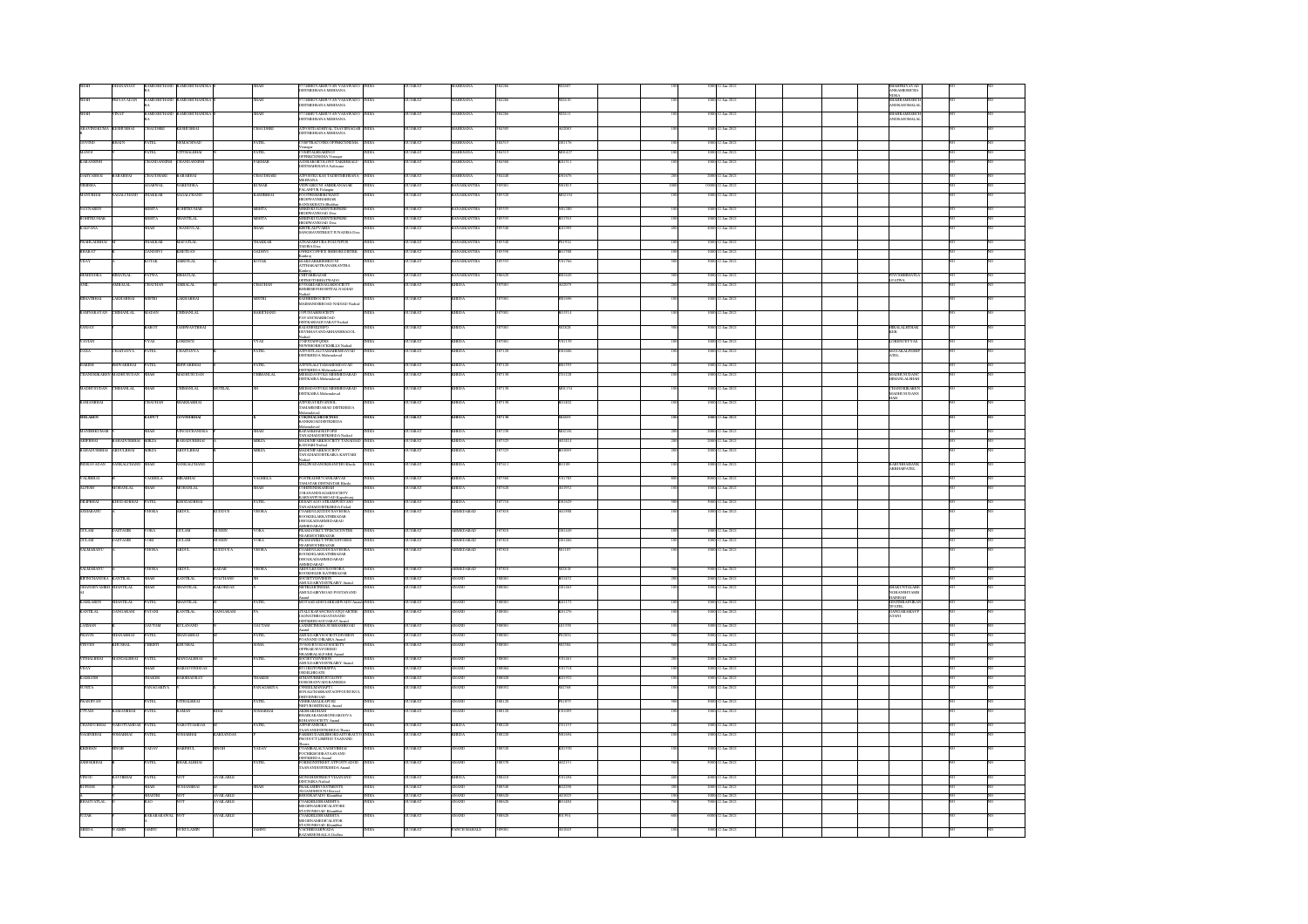|                    |                  | <b><i>AJESHCHA</i></b>  |                    |                             | 74BHGYABHUVAN VASAWADO<br>STMEHSANA MEHSANA                                                                            |              | <b>JARA</b>    | <b>HESAN</b>           |             |       |  |      |                                 |  | HAHPRIYAVA<br>NRAMESHCH.             |  |
|--------------------|------------------|-------------------------|--------------------|-----------------------------|------------------------------------------------------------------------------------------------------------------------|--------------|----------------|------------------------|-------------|-------|--|------|---------------------------------|--|--------------------------------------|--|
|                    |                  |                         |                    |                             | <b>BHOYARHUVAN VASAY</b>                                                                                               |              |                |                        |             |       |  |      |                                 |  | <b>ORA</b><br>" <sup>GAHRAMESH</sup> |  |
|                    |                  |                         |                    |                             | <b>ISTMEHSANA MEHSANA</b>                                                                                              |              |                |                        |             |       |  |      |                                 |  | ANDRASOMAL                           |  |
|                    |                  | <b>RAMESHCHAND</b>      | <b>AMESHCHANDR</b> | HAF                         | 774BHUYABHUVAN VASAWADO<br>ISTMEHSANA MEHSANA                                                                          | NDL          | JARAT          | <b><i>AHESANA</i></b>  |             |       |  |      | 2-Jan-2021                      |  | SHAHRAMESHC<br>ANDRASOMALA           |  |
|                    |                  |                         |                    |                             |                                                                                                                        |              |                |                        |             |       |  |      |                                 |  |                                      |  |
|                    |                  |                         |                    |                             | .<br>POSTDADHIYAL TAAVI<br>STMEHSANA MEHSANA                                                                           |              |                |                        |             |       |  |      |                                 |  |                                      |  |
| WIND.              | 4a I N           | 'ATEL                   | <b>EMACHNAD</b>    | ATEL                        | <b>OSPTRACOTRS OPPBKCENEMA</b>                                                                                         | NDIA         | UJARAT         | <b>AHESANA</b>         |             | 01176 |  |      | 1000 12-Jan-2021                |  |                                      |  |
| <b>LANOJ</b>       |                  | ATEL.                   | <b>THALBHAI</b>    | ATEL.                       | <b>Taragar</b><br>YOMITALBEARING3                                                                                      | NDIA         | JARAT          | <b>IAHESANA</b>        |             | 01427 |  |      | 1000 12-Jan-2021                |  |                                      |  |
| .<br>RANSIN        |                  | <b>WDAN</b>             | <b>NDANSINE</b>    | .<br>Waar                   | OPPBKCENEMA Visuagar<br>AI DHAROICOLONY TAKHERALU<br>DISTMAHESANA Satasana                                             | <b>NDLA</b>  | JARAT          | HESANA                 |             | 311   |  |      | $Jan-2021$                      |  |                                      |  |
| <b>AHYABHA</b>     |                  | <b>AUDHAR</b>           | <b>AARHA</b>       | HAUDHAR                     | <b>TPOSTKUKAS TADISTMEHS</b>                                                                                           |              | JARAT          | <b>VIESANA</b>         |             | 1676  |  |      | tan 202                         |  |                                      |  |
| <b>IMISHA</b>      |                  | <b>TARWAL</b>           | <b>RENDRA</b>      | <b>UMAR</b>                 | II vol<br>ÆHSANA<br>#SWASKUNJ AMBIKANAGAR                                                                              |              | <b>JARAT</b>   | <b>NASKANTHA</b>       |             | 11819 |  | 1000 | 2-Jan-2021                      |  |                                      |  |
| MANUBHA            |                  | .<br>HAKKAR             | <b>GALCHAND</b>    | <b>AMJIBHA</b>              |                                                                                                                        |              | :<br>Jarat     | <b>ANASKANTHA</b>      |             |       |  |      | $-tan - 2021$                   |  |                                      |  |
|                    |                  |                         |                    |                             | PALANPUR Palampar<br>FOOTWERMERCHANT<br>HIGHWAYBHABHAR                                                                 |              |                |                        |             |       |  |      |                                 |  |                                      |  |
| <b>NAYNABEN</b>    |                  | <b>БИТА</b>             | <b>HTKIMAS</b>     | <b>EHTA</b>                 | .<br>ANSAKHATA Bhabhar<br>PGRPNKUGASENTERPRISE                                                                         |              | 1149.47        | <b>NASKANTHA</b>       |             |       |  |      | 000 12-Jan-202                  |  |                                      |  |
| <b>ROHITKUMAR</b>  |                  | <b>MEHTA</b>            | HANTILAL.          | <b>MEHTA</b>                | HIGHWAYROAD Disa<br>MSRINKUGASENTERPRISE                                                                               | <b>INDIA</b> | UJARAT         | <b>ANASKANTHA</b>      |             | 01763 |  |      | 1000 12-Jan-2021                |  |                                      |  |
| KALPANA            |                  | łМ                      | <b>JANDULAL</b>    | ŁМ                          | SISRINK OGNEN HERFRISH<br>HIGHWAYROAD Disa<br>KIRTILALPVARIA<br>SANGHAVISTREET JUNADISA Disa                           |              | JARAT          | ANASKANTHA             |             | 199   |  | 4000 | J <sub>20</sub> 202             |  |                                      |  |
|                    |                  |                         |                    |                             |                                                                                                                        |              |                |                        |             |       |  |      |                                 |  |                                      |  |
| RAHLAD             |                  | <b>JAKKAR</b>           | FATLAL             | <b>HAKKAR</b>               | <b>ISADARPURA POLUNPUR</b>                                                                                             |              | <b>JARAT</b>   | <b>NASKANTHA</b>       |             |       |  |      | J <sub>202</sub>                |  |                                      |  |
| HARAT              |                  | <b>TIME</b>             |                    |                             | <b>ADISA Disa</b><br><b>INRDCOFFICE SHIHORI DISTB</b><br>ankraj<br>SARDARKRISHIGUNJ                                    |              | 13.937         | <b>CASKANTHA</b>       |             |       |  |      |                                 |  |                                      |  |
| <b>THAN</b>        |                  | TAR                     | <b>IRITLAL</b>     | TAR                         | ATTHARADTRANASKANTHA                                                                                                   |              | <b>JARAT</b>   | NASKANTHA              |             | 1768  |  |      | $J20$ -2021                     |  |                                      |  |
| <b>MENDRA</b>      |                  | <b>TWA</b>              | AΤLA               |                             | inkrei<br>HITARIBAZAR                                                                                                  |              | ARA'           | <b>GASKANTHA</b>       |             |       |  |      | $Jan-202$                       |  |                                      |  |
|                    |                  | .<br>Mihan              | <b>IDATAT</b>      |                             | OPPMOTOBHATWADO<br>ESSSARDARNAGARSOCIETY<br>BHMISSIONHOSPITAL NADIAD                                                   |              | $\overline{1}$ | m                      |             |       |  |      |                                 |  | <b>LPATWA</b>                        |  |
|                    |                  |                         |                    |                             |                                                                                                                        |              |                |                        |             |       |  |      |                                 |  |                                      |  |
| HIMATBHAI          | <b>KHABHAI</b>   | ISTRI                   | KHABHAI            | <b>USTRI</b>                | <b>Gafiad</b><br>ASHRIJISOCIETY<br>0ASHR01SOC1E1 I<br>MAIMANDIRROAD NADIAD Nadiad                                      |              | JARAT          | HEDA                   |             |       |  |      | J <sub>202</sub>                |  |                                      |  |
|                    |                  |                         |                    |                             |                                                                                                                        |              |                |                        |             |       |  |      |                                 |  |                                      |  |
|                    |                  |                         |                    |                             | SPUNJABISOCIETY<br>PAVANCHAKIROAD<br>DISTKARIAGUJARAT:<br>RAJANIOILDEPO                                                |              |                |                        |             |       |  |      |                                 |  |                                      |  |
|                    |                  |                         |                    |                             | DEVBHAVANDABHANBHAGOL                                                                                                  |              | <b>JARA</b>    |                        |             |       |  |      |                                 |  | HIRALALHTH.<br>KER                   |  |
| .<br>Avian         |                  | <b>YAS</b>              | <b>RENCE</b>       | <b>YAS</b>                  | iadiad<br>?SPSTAFFQTRS                                                                                                 | <b>SDL</b>   | <b>JARA</b>    | HEDA                   |             |       |  |      | 1000 12-Jan-2021                |  | <b>LORENCEVYA</b>                    |  |
| DAXA               |                  |                         | <b>AITANY</b>      | $\overline{\mathbf{r}}$     | 275PSTAPPQIRS<br>NEWSHORROCKMILLS Nadad<br>ATPOSTLALI TAMAHEMDAVAE<br>DISTKHEDA Mahemdavad                             |              | <b>TARA</b>    | <b>HEDJ</b>            |             |       |  |      | Im 20                           |  |                                      |  |
|                    |                  |                         |                    |                             |                                                                                                                        |              |                |                        |             |       |  |      |                                 |  | MAYAKALPI<br>ATEL                    |  |
| <b>HARISH</b>      | <b>HWARRHAI</b>  | PATEL                   | <b>ISHWARRHAI</b>  | <b>HTA</b>                  | <b>STPSTLALITAMAHEMDAVAD</b>                                                                                           | <b>INDIA</b> | <b>GUIARAT</b> | <b>HEDA</b>            | 2150        | 11907 |  |      | 000 12-5m2021                   |  |                                      |  |
| <b>CHANDRIKABE</b> | <b>ADHUSUDAN</b> | НАН                     | <b>ADHUSUDAN</b>   | HIMANLAL                    | DISTKHEDA Mahemdavad<br>MEHADAVPOLE MEHMEDABAD<br>DISTKAIRA Mahemdavad                                                 | NDIA         | .<br>Jarat     | HEDA                   | 7130        | )1128 |  |      | $\frac{1}{2}$                   |  | MADHUSUDAN<br><b>MANLALSHA</b>       |  |
| <b>ADHUS</b>       |                  |                         |                    |                             |                                                                                                                        |              |                |                        |             |       |  |      |                                 |  |                                      |  |
|                    |                  |                         |                    |                             | EHADAVPOLE MEHM<br>ISTKAIRA Mahemdavad                                                                                 |              |                |                        |             |       |  |      |                                 |  | HANDRIKABI<br>6ADHUSUDAN<br>1.11     |  |
| <b>WANBH/</b>      |                  | <b>IAUHAN</b>           | <b>JAKRABHAI</b>   |                             | TPODAVKIVANSOL<br>AMAHEMDABAD DISTKHEDA                                                                                |              | JARAT          | EDA                    |             |       |  |      |                                 |  |                                      |  |
|                    |                  | <b>AIPUT</b>            | VINDBHA            |                             |                                                                                                                        |              |                |                        |             |       |  |      |                                 |  |                                      |  |
| <b>SHILABEN</b>    |                  |                         |                    |                             | Mondando Contra<br>COKINALMEDICINES<br>BANKROADDISTKHEDA                                                               |              | IJARAT         |                        |             |       |  |      | $3m-202$                        |  |                                      |  |
| <b>MANISHKI MA</b> |                  | <b>SHAH</b>             | NODCHANDRA         | нан                         | demiroad<br>VPASKHADKI POPU                                                                                            | <b>NDIA</b>  | <b>TARAT</b>   | HEDA                   |             | 0.18  |  |      | 2000 12-5m2021                  |  |                                      |  |
| ARIFBHAI           | <b>ADURBHA</b>   | MIRZA                   | <b>HADURBHAI</b>   | <b>MIRZA</b>                | .<br>ANADIADDISTKHEDA Nadiad<br>AADENIPARKSOCIETY TANADIAE                                                             | NDIA         | <b>JARAT</b>   | <b>HEDA</b>            |             | 01414 |  |      | 2000 12-Jan-2021                |  |                                      |  |
| <b>BAHADURBHA</b>  | BDULBHAI         | <b>IRZA</b>             | <b>SDULBHAI</b>    | <b>AIRZA</b>                | <b>LANJARI Nadiad<br/>dADENIPARKSOCIETY</b>                                                                            |              | <b>JARAT</b>   | HEDA                   | 7325        | 1093  |  | 2000 | 2-Jan-2021                      |  |                                      |  |
|                    |                  |                         |                    |                             | asoniyarasov.in i 1<br>"ANADIADDISTKAIRA KANTARI                                                                       |              |                |                        |             |       |  |      |                                 |  |                                      |  |
| <b>CDRAVAI</b>     |                  |                         | KALCHAN            |                             | éafad<br>MALIWADANOKHANCHO Khe                                                                                         |              | ARA            |                        |             |       |  |      |                                 |  | BABUBHAISAN<br>ARBHAIPATEL           |  |
| <b>ALJIBHAI</b>    |                  | <b>KIHELA</b>           | RABHAI             | <b>AGHELA</b>               | <b>STRADHUVANKARVA</b>                                                                                                 |              | <b>JARA</b>    | HEDA                   |             |       |  |      | 8000 12-Jan-202                 |  |                                      |  |
| <b>ALPESH</b>      | <b>JANLAI</b>    |                         | OHANLAI            |                             | <b>TAMATAR DISTMATAR Kheda</b><br>COHITENDRASHAH<br>23BANANDSAGARSOCIETY                                               |              | :<br>Jara      |                        |             |       |  |      | J <sub>20</sub> 202             |  |                                      |  |
|                    |                  |                         |                    |                             | <b>LARSANPURAROAD Kapadwar</b><br>DESAIVAGO ATRAMPURVASO                                                               |              |                |                        |             |       |  |      |                                 |  |                                      |  |
| <b>DILIPBHAI</b>   | <b>DADRHAI</b>   | <b>PATTEI</b>           | CHODADRHAI         | <b>ATFI</b>                 | <b>NADIADDISTKHEDA Pethol</b><br>DABDULKUDDUSAVHORA                                                                    |              | 1149.47        | <b>HEDA</b>            |             |       |  |      | 3000 12-Jan-2021                |  |                                      |  |
| <b>ASMABANI</b>    |                  | <b>IORA</b>             | sput               | <b>JORA</b>                 | <b>BOOKSELARKATHIBAZAR</b>                                                                                             |              | <b>JARAT</b>   | <b>BEDARA</b>          |             |       |  |      | tan 202                         |  |                                      |  |
|                    |                  |                         |                    |                             | <b>HOLKADIAHMEDABAD</b>                                                                                                |              |                |                        |             |       |  |      |                                 |  |                                      |  |
| ULAM               |                  | ORA                     | JLAM               |                             | AHMEDABAD<br>PRAMAVIKCUTPIECECEN<br>NEARMOCHIBAZAR<br>PRAMANIKCUTPIECESTO                                              |              |                |                        |             |       |  |      |                                 |  |                                      |  |
| $\overline{14}$    |                  |                         |                    |                             | <b>EARMOCHIBAZAR</b><br>COABDULKUDDUSAVHORA                                                                            |              |                |                        |             |       |  |      |                                 |  |                                      |  |
| <b>CALMARANI</b>   |                  | <b>HOPA</b>             | <b>RNT</b>         | <b>CONTE</b><br><b>HOPA</b> |                                                                                                                        | .<br>VDF 8   | <b>TTARAT</b>  | <b><i>IMEDARAE</i></b> |             |       |  |      | $1 - 202$                       |  |                                      |  |
|                    |                  |                         |                    |                             | BOOKSELARKATHIBAZAR<br>DHOLKADIAHMEDABAD                                                                               |              |                |                        |             |       |  |      |                                 |  |                                      |  |
| <b>SALMABANI</b>   |                  | <b>IORA</b>             | m                  | <b>IORA</b>                 | <b>HMEDABAD</b><br>RIVIT KUINNISAVHORA                                                                                 |              | iawa           | <b>SCOADA</b>          |             |       |  |      |                                 |  |                                      |  |
| RIPINCHANDE        |                  |                         | <b>WTLAL</b>       | <b>LCHAND</b>               | BOOKSELER KATHIBAZAR                                                                                                   |              | 13.937         | <b>AMT</b>             |             |       |  |      | 2000 12-Jan-2021                |  |                                      |  |
| <b>HANSHYAM</b>    | <b>NTILAL</b>    | HAH                     | <b>ANTILAL</b>     | <b>KORDAS</b>               | <b>AMULDAIRYDISTKAIRY Anand</b><br>NRTRLSICINEMA<br>NK IKLSK INEMA<br>AMULDAIRYROAD POSTANAND                          |              | <b>JARAT</b>   | <b>NAND</b>            |             |       |  |      | J <sub>202</sub>                |  | HAKUNTALAE<br><b>GHANSHYAM</b>       |  |
| KAMLABEN           | NTILAL           | <b>ATEL</b>             | <b>JANTILAL</b>    | ATEL.                       | Vord<br>dOTAADADH SARKARWADO An                                                                                        | NDLA         | JARAT          | NAND                   |             |       |  |      | 1000 12-Jan-2021                |  | HAISHAH<br>JENITHRAJNIK              |  |
| .<br>NTLAI         |                  |                         | TE.AL              |                             | <b>TALUKAPANCHAYATQUARTER</b><br>MONATHROADATANAND                                                                     |              |                |                        |             |       |  |      |                                 |  | TPATEL<br>GANGARAN<br>ATANI          |  |
|                    |                  |                         |                    |                             |                                                                                                                        |              |                |                        |             |       |  |      |                                 |  |                                      |  |
| LAXMAN             |                  | AUTAM                   | <b>LANAND</b>      | AUTAM                       | <b>ASTKHEDAGUJARAT Anns</b><br>AXMICNEMA SUBHASHRI                                                                     |              | JARAT          | <b>NAND</b>            |             |       |  |      | $Jan-202$                       |  |                                      |  |
| <b>PRAVIN</b>      | ANABHAI          | <b>PATEL</b>            | <b>IANABHAI</b>    | ATEL                        | MOLDARYSOCIETYDIVISION                                                                                                 | NDIA         | <b>UJARAT</b>  | <b>NAND</b>            |             |       |  |      | 5000 12-Jan-2021                |  |                                      |  |
| <b>STEVEN</b>      | USHA             | $\overline{\text{RIS}}$ | USHA               |                             |                                                                                                                        |              | <b>JARAT</b>   | .<br>NAND              |             |       |  |      | J <sub>20</sub> 202             |  |                                      |  |
| <b>VITHALBHAI</b>  | MANGALBHAI       | PATEL.                  | <b>IANGALBHAI</b>  | PATEL                       | <b>FOANAND DIKAIRA Arani<br/>POANAND DIKAIRA Arani<br/>SS36SURYODAYSOCIETY<br/>DPPRAILWAYGREED<br/>SOCIETYDIVISION</b> | <b>INDIA</b> | <b>GUIARAT</b> | <b>NAND</b>            |             | 01461 |  |      | 2000 12-Jan-2021                |  |                                      |  |
| /IJAY              |                  | HAF                     | <b>ARGOVINDDAS</b> |                             | <b>MULDAIRYDISTKAIRY Amed<br/>SSIIBGTOWERSPPA</b>                                                                      | <b>INDIA</b> | UJARAT         | NAND                   | <b>ANGC</b> | 01718 |  |      | 1000 12-Jan-2021                |  |                                      |  |
| KAMLESH            |                  | <b>THAKER</b>           | ARSHADRAY          |                             | <b>SDELHKJATE</b><br>GEHATURBHUJCOLONY                                                                                 |              | <b>UJARAT</b>  | <b>NAND</b>            |             | 01932 |  |      | 1000 12-Jan-2021                |  |                                      |  |
| .<br>NITA          |                  |                         |                    | THAKER<br>AGARIY.           |                                                                                                                        | INDIA        |                | <b>AND</b>             | 89028       |       |  |      |                                 |  |                                      |  |
|                    |                  |                         |                    |                             | GOROHANVADI KANKRIA<br>CONEELMANIAPTI<br>SONALC'HARRASTAOPPGURUKUL                                                     |              |                |                        |             |       |  |      | $an-202$                        |  |                                      |  |
| PRANJIVAN          |                  | <b>ATEL</b>             | <b>THALBHAI</b>    | <b>ATFI</b>                 | RIVEINROAD<br>ISHRAMALKAPURI                                                                                           |              | AR AT          | .<br>GND               |             |       |  | 9000 | $\frac{1}{2}$ an-2021           |  |                                      |  |
| <b>UTTAM</b>       |                  | <b>TEL</b>              | MA <sup>3</sup>    | <b>MABHAI</b>               | <b>NERIOSIMARIA CALIFANIA</b><br>AKSHARDHAM<br>BHAIKAKAMARGNEARGOVA                                                    |              | JARAT          | NAND                   |             |       |  |      | J <sub>202</sub>                |  |                                      |  |
| <b>HANDLIBE</b>    |                  |                         |                    |                             | IDHANSOCIETY Anand<br>(TPOPANSORA                                                                                      |              |                |                        |             |       |  |      |                                 |  |                                      |  |
|                    |                  |                         | ROTTAMDA           |                             | :HOPAN.noo<br>AANANDDISTKHEDA Thuea<br>!ARBHUDASKISHORDASTOBACC                                                        |              |                | HEDA                   |             |       |  |      | $\frac{1}{2}$ an-202            |  |                                      |  |
| <b>NAGINBHAI</b>   | MABHAI           | <b>VTEL</b>             | <b>MABHAI</b>      |                             | PRODUCT LIMITED TAANAND                                                                                                |              | <b>JARAT</b>   | <b>HEDA</b>            |             |       |  |      | $\frac{1}{2}$ lan-2021          |  |                                      |  |
| KRISHAN            |                  | ADAV                    | ARPHUL             | ADAV                        | usra<br>OAMBALALVAGHYIBHAI                                                                                             |              | JARAT          | NAND                   |             |       |  |      | 1000 12-Jan-2021                |  |                                      |  |
|                    | vан              |                         |                    |                             | POCHIKHODRATAANAND                                                                                                     |              |                |                        |             |       |  |      |                                 |  |                                      |  |
|                    |                  |                         |                    |                             |                                                                                                                        |              |                |                        |             |       |  |      | $tan-202$                       |  |                                      |  |
| HOKBH              |                  |                         |                    |                             |                                                                                                                        |              |                |                        |             |       |  |      |                                 |  |                                      |  |
| <b>INOD</b>        |                  |                         |                    | <b>AILABLE</b>              | <b>OISTKHEDA Anard<br/>"OREIGNSTREET ATPOSTVAL</b><br>FAANANDDISTKEHDA Anard<br>MONGHJISTREET VIAANAND                 |              | <b>ARA</b>     | HEDA                   |             |       |  |      | $\frac{1}{2}$ an-2021           |  |                                      |  |
|                    |                  |                         |                    |                             |                                                                                                                        | DU           |                |                        |             |       |  |      |                                 |  |                                      |  |
| RUPESH             |                  |                         | MANBHAI            |                             | <b>OSTJAIRA Nadad<br/>PRAKASHINVESTMENTS</b>                                                                           |              | JARAT          | NAND                   |             |       |  |      | 2000 12-Jan-2021                |  |                                      |  |
|                    |                  |                         |                    | ALABLE                      | <b>OGANDHEIUNI Borsad<br/>BHODRAPADO Khambhai</b><br>TOAKHILESHAMEHTA                                                  |              | JARAT          | AND                    |             |       |  |      | $\frac{320 - 2021}{320 - 2021}$ |  |                                      |  |
|                    |                  |                         |                    | <b>ELADIT</b>               | <b>EGHNAMEDICALSTORE</b><br><b>TATIONROAD Khambhat</b><br>YMMHII ESHAMEHTA                                             |              |                | <b>AND</b>             |             |       |  |      |                                 |  |                                      |  |
|                    |                  |                         |                    |                             | <b>MEGHNAMEDICALSTOR</b>                                                                                               |              |                |                        |             |       |  |      |                                 |  |                                      |  |
| ABEDA              | N AMIN           | <b>JAMNU</b>            | URULAMIN           |                             | SEKUTINASIELIA, ALSTON<br>STATIONROAD Khambhai<br>BAZARMOHALLA Godin                                                   | NDIA         | UJARAT         | ANCH MAHALS            |             |       |  |      | 1000 12-Jan-202                 |  |                                      |  |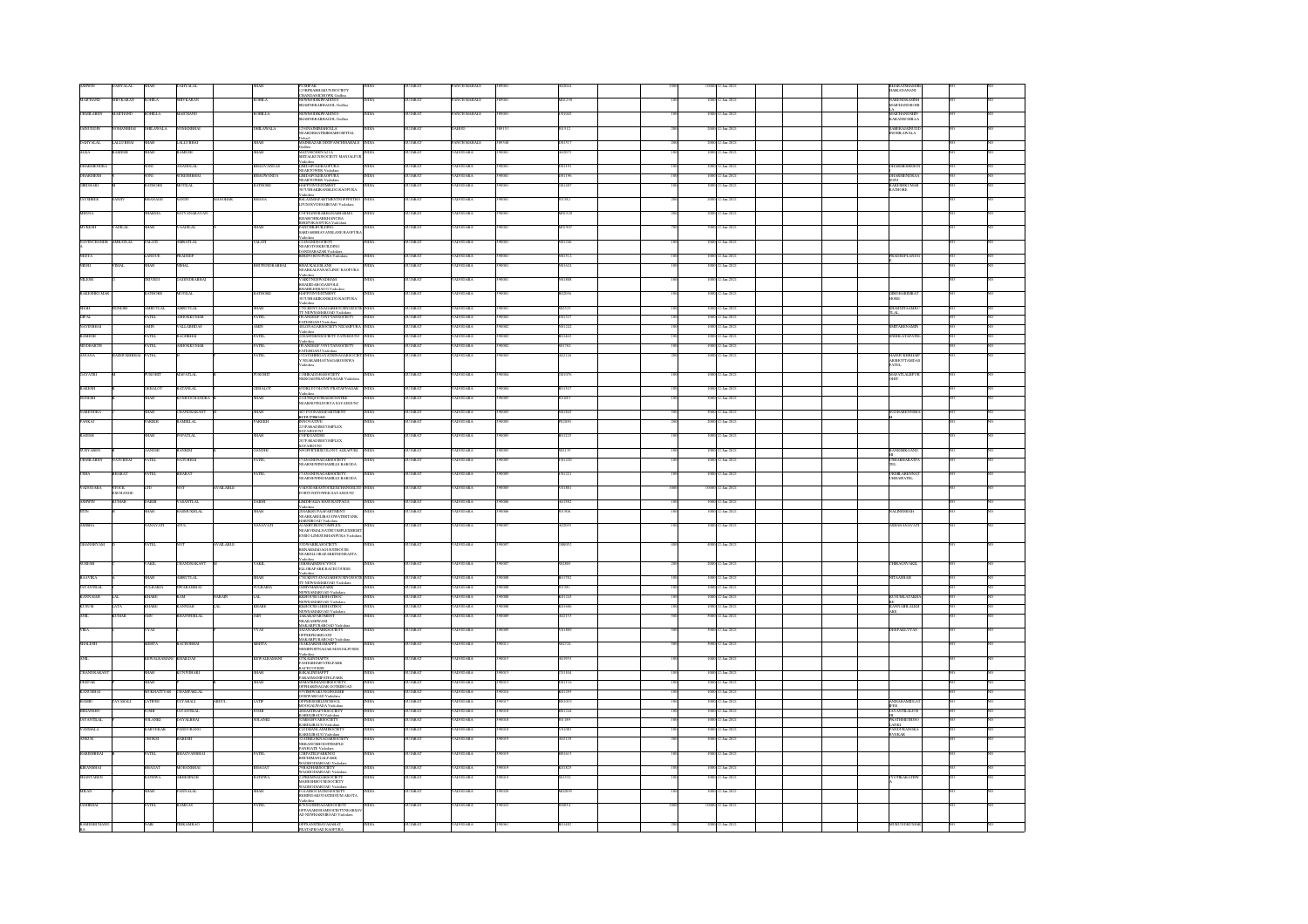|                    |                   |                       | <b>IYALA</b>            |         |                         | USHPAK<br>!:SBPRABHAKUNJSOCIETY                                                                                                                   |             | <b>JARA</b>       | <b>NCH MAHALS</b> |                         |  |                         |                        |  | BHARATSHAMII<br>HAIKANANANI                                          |  |
|--------------------|-------------------|-----------------------|-------------------------|---------|-------------------------|---------------------------------------------------------------------------------------------------------------------------------------------------|-------------|-------------------|-------------------|-------------------------|--|-------------------------|------------------------|--|----------------------------------------------------------------------|--|
|                    |                   |                       |                         |         |                         | <b>HANDANICHOWK Godina</b><br>EWMODIKIWADINO I                                                                                                    |             |                   |                   |                         |  |                         |                        |  |                                                                      |  |
|                    |                   |                       |                         |         |                         | AHNERABHAGOL Gedura                                                                                                                               |             |                   |                   |                         |  |                         |                        |  | ARENDRASINE<br>FAICHANDROH                                           |  |
| URMLABE            |                   | ШI.                   |                         |         | жша                     | WMODIKIWADINO                                                                                                                                     |             | JARA              | <b>CHMAHALS</b>   |                         |  |                         |                        |  |                                                                      |  |
|                    |                   |                       |                         |         |                         | AHNERARHAGOL Goden                                                                                                                                |             |                   |                   |                         |  |                         |                        |  | .<br>IAK:HANDSHI<br>ARANROHILL                                       |  |
| <b>JANUDDIN</b>    | IANBHAI           | HLAWALA               | <b>ANBHAI</b>           |         | HLAWALA                 | <b>4NAJMIMAHOLLA</b><br>EARDRHATMBHAIHOSPITAL                                                                                                     |             | UJARAT            | AHOD              |                         |  |                         | J <sub>202</sub>       |  | SABERAJAINUD<br>INDHILAWALA                                          |  |
| DAHYALAL           | LUBHAI            |                       | <b>LLUBHAL</b>          |         |                         | abad<br>IAINBAZAR DISTPANCHMAHAL:                                                                                                                 |             | <b>TARA</b>       | <b>NCH MARALS</b> |                         |  |                         | tan 20                 |  |                                                                      |  |
|                    |                   |                       |                         |         |                         |                                                                                                                                                   |             | $\overline{1101}$ | <b>IVYNED</b>     |                         |  |                         |                        |  |                                                                      |  |
| <b>ALKA</b>        |                   |                       |                         |         |                         | Jodha<br>sIATURCHHYA21A<br>SHITALKUNISOCIETY MANJALPUR                                                                                            |             |                   |                   |                         |  |                         |                        |  |                                                                      |  |
| <b>DHARMENDR</b>   |                   |                       | <b>ANDLAL</b>           |         | <b>HAGVANDA</b>         | 'adodara<br>IMDAPOLERAOPURA                                                                                                                       |             | <b>GUJARAT</b>    | <b>ADODARA</b>    |                         |  |                         | 1000 12-Jan-2021       |  | <b>DHARMESHS</b>                                                     |  |
| DHARMESH           |                   |                       | RESHBHAI                |         | <b>IAGWANDA</b>         | <b>EARTOWER Vadodara</b><br>IMDAPOLERAOPURA                                                                                                       |             | <b>JUJARAT</b>    | <b>ADODARA</b>    | 31196                   |  |                         | 1000 12-Jan-2021       |  | DHARMENDRA                                                           |  |
| GIRDHARI           |                   | <b>THOR</b>           | ITLAL.                  |         | <b>THORE</b>            | NEARTOWER Vadodara<br>HAPPYINVESTMENT<br>307USHAKIRANBLDG RAOPURA                                                                                 |             | JARAT             | <b>DODARA</b>     |                         |  |                         | J <sub>2021</sub>      |  | SONI<br>RAKESHKUMA<br>RATHORE                                        |  |
|                    |                   |                       |                         |         |                         |                                                                                                                                                   |             |                   |                   |                         |  |                         |                        |  |                                                                      |  |
| JAYSHREE           |                   | NAC                   |                         |         |                         | slodara<br>SLAXMEAPARTMENTSOPPPETRO<br><b>LPUM RVDESAIROAD Vadedien</b>                                                                           |             | <b>JARA</b>       | DODARA            |                         |  |                         |                        |  |                                                                      |  |
| <b>MEENA</b>       |                   | <b>HARMA</b>          | <b>TYANARAYAN</b>       |         |                         | COCHANDRABHANASHARMA                                                                                                                              | <b>DIA</b>  | UJARAT            | <b>ADODARA</b>    |                         |  |                         |                        |  |                                                                      |  |
|                    |                   |                       |                         |         |                         | <b>HARCHIKARKHANCHA</b>                                                                                                                           |             |                   |                   |                         |  |                         |                        |  |                                                                      |  |
| MUKESH             |                   |                       | .<br>AXLAL              |         |                         | BHGPORAOPURA Vadodara<br>PANCHILBUILDING<br>SARDARBHAVANSLANE RAOPUR.                                                                             |             | <b>UJARA</b>      | <b>ADODAR</b>     |                         |  |                         |                        |  |                                                                      |  |
|                    |                   |                       |                         |         |                         |                                                                                                                                                   |             |                   |                   |                         |  |                         |                        |  |                                                                      |  |
| <b>NAVISCHAND</b>  | <b>MRATI AL</b>   | TAI ATI               | <b>ARATEAL</b>          |         | M ATI                   | Vadodara<br>12ANANDSOCIETY<br>NEARVIVEKBUILDING                                                                                                   | TVI F       | <b>TTARAT</b>     | <b>ADODARA</b>    | $\overline{\mathbf{a}}$ |  |                         | 2.1sp.202              |  |                                                                      |  |
| <b>NEETA</b>       |                   | ANDUE                 | <b>RADEEP</b>           |         |                         | ANDIABAZAR Vadodara<br>HGPO ROUPURA Vadodara                                                                                                      |             | GUJARAT           | <b>ADODARA</b>    | 201312                  |  |                         | 1000 12-Jan-2021       |  | <b>PRADEEPLAN</b>                                                    |  |
| NIDHI              |                   |                       | dAL.                    |         | <b>IUPENDRABHA</b>      |                                                                                                                                                   |             | <b>UJARAT</b>     | <b>ADODARA</b>    | 1624                    |  |                         | $-$ Jan-2021           |  |                                                                      |  |
|                    |                   |                       |                         |         |                         | BHAUKALESLANE<br>NEARKALPANACLINIC RAOPURA                                                                                                        |             |                   |                   |                         |  |                         |                        |  |                                                                      |  |
| NILESH             |                   |                       |                         |         |                         | /adodara<br>/AIKUNGSWADHAM<br>!HAUIDAROGASPOLE                                                                                                    |             | XR)               | DODARA            |                         |  |                         |                        |  |                                                                      |  |
| <b>RAKESHKUMAR</b> |                   | <b>THORE</b>          |                         |         |                         | <b>HABILEEBAUG Vad</b><br>IAPPYINVESTMENT                                                                                                         |             |                   | <b>ADODARA</b>    |                         |  |                         |                        |  |                                                                      |  |
|                    |                   |                       | $_{\rm 9THAl}$          |         | <b>ATHORE</b>           | <b>307USHAKIRANBLDG RAOPURA</b>                                                                                                                   | <b>DU</b>   | UJARAT            |                   |                         |  |                         | 3-Jan-2021             |  | GIRDHARIMR<br><b>HORE</b>                                            |  |
| SHAH               |                   | <b><i>BUTLAL</i></b>  | (RUTLAL                 |         |                         | 'adodara<br>781 KENYANAGARHOUSINGSOCIE                                                                                                            |             | GUJARAT           | <b>ADODARA</b>    |                         |  |                         | 1000 12-Jan-202        |  | SHAHNITAAM                                                           |  |
| DIPAL              |                   |                       | <b>WWWTMEA</b>          |         |                         | Y NEWSAMAROAD Vadodara<br>NANDEEP SSNUTANSOCIETY                                                                                                  |             | 148.47            | <b>ADODARA</b>    |                         |  |                         | 000 12-5m202           |  | TLAL.                                                                |  |
| <b>NAVINBHAI</b>   |                   |                       | <b>MLABHDAS</b>         |         |                         | IVANDARI Vadedara<br> ATEHGANI Vadedara<br> 01.GNAGARSOCIETY NIZAMPURA                                                                            |             | <b>UJARAT</b>     | <b>ADODARA</b>    | 1243                    |  |                         | 1000 12-Jan-2021       |  | MITABEN                                                              |  |
| RAMESH             |                   | <b>TEL</b>            | <b>DJIBHAI</b>          |         | <b>TFI</b>              | adodara<br>2EASTERNSOCIETY FATEHGUNJ                                                                                                              |             | <b>JUARAT</b>     | <b>ADODARA</b>    |                         |  |                         | 1000 12-Jan-202        |  | <b>NEHLATAP</b>                                                      |  |
| <b>SIDDHARTH</b>   |                   | ATEL.                 | SHOKKUMAR               |         | ATEL                    |                                                                                                                                                   | <b>SDIA</b> | GUJARAT           | <b>ADODARA</b>    | 01762                   |  |                         | 1000 12-Jan-2021       |  |                                                                      |  |
|                    |                   |                       |                         |         |                         |                                                                                                                                                   |             | <b>JARA</b>       | <b>XXDAR</b>      |                         |  |                         |                        |  |                                                                      |  |
| JANA               |                   |                       |                         |         |                         | ZEEASTERNSOCIETY FATEHKIUN<br>Vadoden<br>IIVANDEEP SSNUTANSOCIETY<br>FATEHGANI Vadoden<br>ISJAYSHRIGAYATRINAGARSOCI<br>Y HEARABHAYNAGARGORWA<br>Y |             |                   |                   | 12                      |  |                         |                        |  | RSHOTTAMD/<br>ATEL                                                   |  |
|                    |                   |                       |                         |         |                         | odara<br><b>ISHRADDHASOCIETY</b>                                                                                                                  |             |                   |                   |                         |  |                         |                        |  |                                                                      |  |
| GAYATRI            |                   | <b>PUROHIT</b>        | <b>IAFATLAL</b>         |         | UROHI                   | KROADPRATAPNAGAR Vadodar                                                                                                                          | <b>DIA</b>  | <b>JUJARAT</b>    | <b>ADODARA</b>    |                         |  |                         | 1000 12-Jan-2021       |  | <b>MAFATLALBPL</b>                                                   |  |
| RAKESH             |                   | HALOT                 | ATANLAL                 |         | EHALOT                  | SDRLYCOLONY PRATAPNAGAR                                                                                                                           | <b>DU</b>   | UJARA'            | <b>ADODARA</b>    |                         |  |                         | $Jan-202$              |  |                                                                      |  |
| <b>IIGNESH</b>     |                   |                       | MUDCHANDR               |         |                         | adodara<br>14UNIQUETRADECENTRE<br>EARHOTELSURYA SAYARGUNI                                                                                         |             | UJARAT            | <b>ADODARA</b>    |                         |  |                         | $-$ Jan-2021           |  |                                                                      |  |
|                    |                   |                       |                         |         |                         |                                                                                                                                                   |             |                   |                   |                         |  |                         |                        |  |                                                                      |  |
| <b>GARENDRA</b>    |                   | <b>TAH</b>            | <b>NDRAKAN</b>          |         |                         | <b>TEPOONAMAPARTMENT</b>                                                                                                                          |             | <b>TTARAT</b>     | <b>ADODARA</b>    |                         |  |                         | $3m-202$               |  | TNIAR                                                                |  |
| PANKAJ             |                   | .<br>Wikh             | <b>MIKLAL</b>           |         | REKH                    | <b>ICDUTTROAD</b><br>NNOVATIVE<br>223PARADISECOMPLEX                                                                                              |             | <b>UJARAT</b>     | <b>ADODARA</b>    |                         |  | $\overline{\text{max}}$ | $\frac{1}{2}$ lan-2021 |  |                                                                      |  |
|                    |                   |                       |                         |         |                         |                                                                                                                                                   |             |                   |                   |                         |  |                         |                        |  |                                                                      |  |
| RAJESH             |                   | IАН                   | PATLAI                  |         |                         | AYAJEGUNI<br>OPKGANDHI<br>07PARADISECOMPLEX                                                                                                       |             | UJARAT            | <b>ADODARA</b>    |                         |  |                         | J <sub>202</sub>       |  |                                                                      |  |
| <b>SURYABEN</b>    |                   | NDHI                  |                         |         |                         | AYARGUNI<br>90FFICERSCOLONY ALKAPUR                                                                                                               |             | <b>JARA</b>       | <b>DODARA</b>     |                         |  |                         | $tan-202$              |  |                                                                      |  |
| <b>URMILABEN</b>   |                   | <b>TEL</b>            | <b>TUBHA</b>            |         |                         | ANANDNAGARSOCIETY                                                                                                                                 |             | UJARAT            | <b>ADODARA</b>    |                         |  |                         | Jan-202                |  |                                                                      |  |
|                    |                   |                       |                         |         |                         | NEARNEWINDIAMILLS BARODA                                                                                                                          |             |                   |                   |                         |  |                         |                        |  |                                                                      |  |
| USHA               |                   |                       |                         |         |                         | <b>NVANDNAGARSOCIETY</b><br>NEARNEWINDIAMILLS BARODA                                                                                              |             | <b>JARA</b>       | <b>ADODARA</b>    |                         |  |                         |                        |  | <b>UBHAPATEL</b>                                                     |  |
| VADODAR            |                   |                       |                         |         |                         |                                                                                                                                                   |             |                   | <b>IDODAR</b>     |                         |  |                         |                        |  |                                                                      |  |
|                    | STOCK<br>EXCHANGE |                       |                         |         |                         | VADODARASTOCKEXCHANGEL'<br>FORTUNETOWER SAYAIIGUNI                                                                                                |             |                   |                   |                         |  |                         |                        |  |                                                                      |  |
| <b>ASHWEN</b>      | MAR               |                       | WILAL                   |         |                         | <b>IMDEALIA HASURATPAGA</b>                                                                                                                       |             | UJARAT            | <b>IDODARA</b>    |                         |  |                         | Jan-2021               |  |                                                                      |  |
|                    |                   |                       | MUKHLAI                 |         |                         | /adodara<br>OSAIKRUPAAPARTMENT                                                                                                                    |             | <b>JARA</b>       | <b>IDODARA</b>    |                         |  |                         | $m-202$                |  |                                                                      |  |
|                    |                   |                       |                         |         |                         | NEARKARELIBAUGWATERTANK                                                                                                                           |             |                   |                   |                         |  |                         |                        |  |                                                                      |  |
| AMISHA             |                   | NAVATI                |                         |         | WAVATI                  | HARNIROAD Vadodara<br>ALAMIVISONCOMPLEX<br>NEARVIMALNATHCOMPLEXHIGH<br>ENSIO LINESUBHANPURA Vadodar                                               |             | JARAT             | DODARA            |                         |  |                         | $tan-2021$             |  |                                                                      |  |
|                    |                   |                       |                         |         |                         |                                                                                                                                                   |             |                   |                   |                         |  |                         |                        |  |                                                                      |  |
|                    |                   |                       |                         | AILABLI |                         | <b>SDWARIKASOCIETY</b>                                                                                                                            |             | 383               | <b>DOMAR</b>      |                         |  |                         |                        |  |                                                                      |  |
|                    |                   |                       |                         |         |                         | BHNARMADAGUESTHOUSE<br>NEARELLORAPARKTEENRASTA                                                                                                    |             |                   |                   |                         |  |                         |                        |  |                                                                      |  |
| <b>SURESH</b>      |                   | AKIL.                 | <b>JANDRAKANT</b>       |         | AKI.                    | Vadodara<br>ISBSHAIMISOCYNOI<br>ELLORAPARK RACECOURSE                                                                                             |             | <b>JUJARAT</b>    | <b>ADODARA</b>    |                         |  |                         | 2000 12-Jan-2021       |  | <b>HRAGSVAKIL</b>                                                    |  |
| <b>RAAVIKA</b>     |                   |                       |                         |         |                         | adodara<br>781 KENYANAGARHOUSINGSOC                                                                                                               |             | <b>TARA</b>       | <b>TYMMES</b>     |                         |  |                         |                        |  |                                                                      |  |
|                    |                   |                       |                         |         |                         |                                                                                                                                                   |             |                   |                   |                         |  |                         |                        |  |                                                                      |  |
| <b>JAYANTILAL</b>  |                   | <b>TILRAPIA</b>       | WARAIRHAI               |         | <b>TT RAPIA</b>         | Y NEWSAMAROAD Vadodara<br>SHIVMAHALPARK<br><b>EWSAMAROAD Vadeda</b><br>EKHOUSE14BSHATISOC                                                         | m           | <b>HIARAY</b>     | <b>ADODARA</b>    | rcer                    |  |                         | 1000 12-Jan-2021       |  |                                                                      |  |
| KANNAIAH           |                   | <b>HARE</b>           | $\overline{\mathbf{M}}$ | ARAIN   |                         |                                                                                                                                                   | <b>DIA</b>  | <b>JUARAT</b>     | <b>ADODARA</b>    | H <sub>243</sub>        |  |                         | 1000 12-Jan-2021       |  | <b>CUSUMLATAI</b>                                                    |  |
| CUSUM              |                   | <b>LARE</b>           | NNIAH                   |         | <b>IAR</b>              | EWSAMAROAD Vadedari<br>EKHOUSE14BSHATISOC                                                                                                         | DIA         | iuarat            | <b>ADODARA</b>    |                         |  |                         | 1000 12-Jan-2021       |  | KANNAIHLALKI<br><b>ARE</b>                                           |  |
|                    |                   |                       | WERLA                   |         |                         |                                                                                                                                                   |             | <b>JARA</b>       | XXXXR             |                         |  |                         |                        |  |                                                                      |  |
| VIRA               |                   | 7as                   |                         |         |                         | NEWSAMAROAD Vadedan<br>FAKARAPARTMENT<br>NRAKASHWANI<br>MAKARPURAROAD Vadoa<br>FAJANAKIPARKSOCIETY                                                |             | <b>JARA</b>       | <b>ADODARA</b>    |                         |  |                         | $tan-202$              |  | EEPAKLVYA                                                            |  |
|                    |                   |                       |                         |         |                         | PPSRPBARIGATE                                                                                                                                     |             |                   |                   |                         |  |                         |                        |  |                                                                      |  |
| <b>SHALESH</b>     |                   | <b>MEHTA</b>          | <b>ACHOBHAI</b>         |         | <b>EHTA</b>             | <b>IAKARPURAROAD Va</b><br>0AKSARDHAMAPPT                                                                                                         | <b>DIA</b>  | .<br>JUARAT       | <b>ADODARA</b>    |                         |  |                         | 12-Jan-2021            |  |                                                                      |  |
|                    |                   |                       |                         |         |                         | NRMHNJITNAGAR MANJALPURM                                                                                                                          |             |                   |                   |                         |  |                         |                        |  |                                                                      |  |
| ANII               |                   | <b>WALRA</b>          |                         |         |                         | <b>Valodara</b><br>Valodara<br>G7KALINDIAPTS<br>PASHABHAIPATELPARK<br>RACECOURSE<br>B4KALINDIAPPT                                                 |             | <b>JARA</b>       | <b>ADODAR</b>     |                         |  |                         |                        |  |                                                                      |  |
| <b>CHANDRAKA</b>   |                   | нан                   | NIVIHARI                |         | $\overline{\mathbf{u}}$ |                                                                                                                                                   | <b>TVIA</b> | <b>GUIARAT</b>    | <b>ADODARA</b>    | 1104                    |  |                         | 000 12-5m2021          |  |                                                                      |  |
| DEEPAK             |                   | НАН                   |                         |         |                         | PARASMANIPATELPARK<br>SOMATRIMANDIRSOCIET                                                                                                         | DIA         | <b>UJARAT</b>     | <b>ADODARA</b>    | 81116                   |  |                         | 1000 12-Jan-2021       |  |                                                                      |  |
| <b>KANUBHAI</b>    |                   | <b>MUKHATTYAR</b>     | <b>HAMPAKLAL</b>        |         |                         | PPHARINAGAR GOTRIRI<br>3 VISHWAKUNGINGGHB                                                                                                         | <b>SDIA</b> | GUJARAT           | <b>ADODARA</b>    | K01293                  |  |                         | 1000 12-Jan-2021       |  |                                                                      |  |
|                    |                   |                       |                         |         |                         | <b>ORWAROAD Vadodara</b><br>@PMESGIRLSSCHOOL                                                                                                      |             |                   |                   |                         |  |                         |                        |  |                                                                      |  |
| <b>IMANS</b>       |                   |                       | <b>ANTE AI</b>          |         |                         | 400GALWADA Vadoday<br><sup>400GALWADA Vadoday</sup>                                                                                               |             | UJARAT            | <b>ADODARA</b>    | 12.5                    |  |                         | Im(202)                |  | <b>FEE</b><br>WWWTEA                                                 |  |
|                    |                   |                       |                         |         |                         | SHAST&SON<br> ARELIBAUG Vadodari<br> PMEGHVARSOCIETY                                                                                              |             |                   |                   |                         |  |                         |                        |  |                                                                      |  |
| <b>JAYANTILA</b>   |                   | I ANKI                | <b>YALBHAI</b>          |         | LANK                    | <b>ARELIBAUG Vadodara</b><br>42DHANLAXMISOCIETY                                                                                                   |             | <b>JUARAT</b>     | <b>ADODARA</b>    | 180                     |  |                         | 58.202                 |  | $\frac{1}{2}$                                                        |  |
| <b>VANMALA</b>     |                   | <b>ARVEKAR</b>        | NDURANG                 |         |                         |                                                                                                                                                   |             | UJARAT            | <b>ADODARA</b>    | TOR <sub>1</sub>        |  |                         | $\frac{1}{2}$ an-2021  |  | PRA <sub>11</sub><br>LANKI<br><sup>BANDURANGK</sup><br><b>RVEKAR</b> |  |
| ANKUR              |                   | <b>JOKS</b>           |                         |         |                         | ARELIBAUG Vadodara<br>2ATRILOKNAGARSOCIET<br><b>RRANCHHODJITEMPLE</b>                                                                             |             | UJARAT            | <b>ADODARA</b>    |                         |  |                         | J <sub>202</sub>       |  |                                                                      |  |
|                    |                   |                       |                         |         |                         | <b>ANIGATE Vadodara<br/>2BPATELPARKNO2<br/>IHCHIMANLALPARK</b>                                                                                    |             |                   | <b>DODAR</b>      |                         |  |                         |                        |  |                                                                      |  |
|                    |                   |                       |                         |         |                         |                                                                                                                                                   |             |                   |                   |                         |  |                         |                        |  |                                                                      |  |
| KIRANBHAI          |                   | HAGAT                 | OHANBHAI                |         |                         | AGHODIAROAD Vad<br>BADHARSOCIETY                                                                                                                  | m           | <b>GUJARAT</b>    | <b>ADODARA</b>    |                         |  |                         | 12-Jan-2021            |  |                                                                      |  |
| <b>SHANTABEN</b>   |                   | <b>THWA</b>           | HESINGH                 |         | <b>THWA</b>             | <b>AGHODIAROAD Vaded</b><br>IPREMNAGARSOCIETY                                                                                                     | <b>DIA</b>  | .<br>UJARAT       | <b>ADODARA</b>    | 1552                    |  |                         | $3m-202$               |  | OTIKARAT                                                             |  |
|                    |                   |                       |                         |         |                         | <b>IAHESHHOUSESOCIETY</b>                                                                                                                         |             |                   |                   |                         |  |                         |                        |  |                                                                      |  |
| MLAN               |                   |                       | NALAL                   |         |                         | WAGHODIAROAD Vadolara<br>DI 4ASSOCIATEDSOCIETY<br>BEHINDAKOTASTEDJUM AKOTA                                                                        |             | JARAT             | DODARA            |                         |  |                         | J <sub>2021</sub>      |  |                                                                      |  |
| ASHBHA             |                   | $\overline{\text{m}}$ |                         |         |                         | abdara<br>!6NATHINAGARSOCIETY                                                                                                                     |             | <b>JARA</b>       | DODARA            |                         |  |                         |                        |  |                                                                      |  |
|                    |                   |                       |                         |         |                         | OPPAXARDHAMSOCIETYNEARS/<br>D NEWHARNIROAD Vadodara                                                                                               |             |                   |                   |                         |  |                         |                        |  |                                                                      |  |
| RAMESHCHAND        |                   | АĶ                    | RIKAMRAC                |         |                         | OPPSANSTHAVASAHAT                                                                                                                                 | <b>DIA</b>  | GUJARAT           | <b>ADODARA</b>    |                         |  |                         | 2000 12-Jan-202        |  | MUKUNDKUMAI                                                          |  |
|                    |                   |                       |                         |         |                         | <b>RATAPROAD RAOPLIRA</b>                                                                                                                         |             |                   |                   |                         |  |                         |                        |  |                                                                      |  |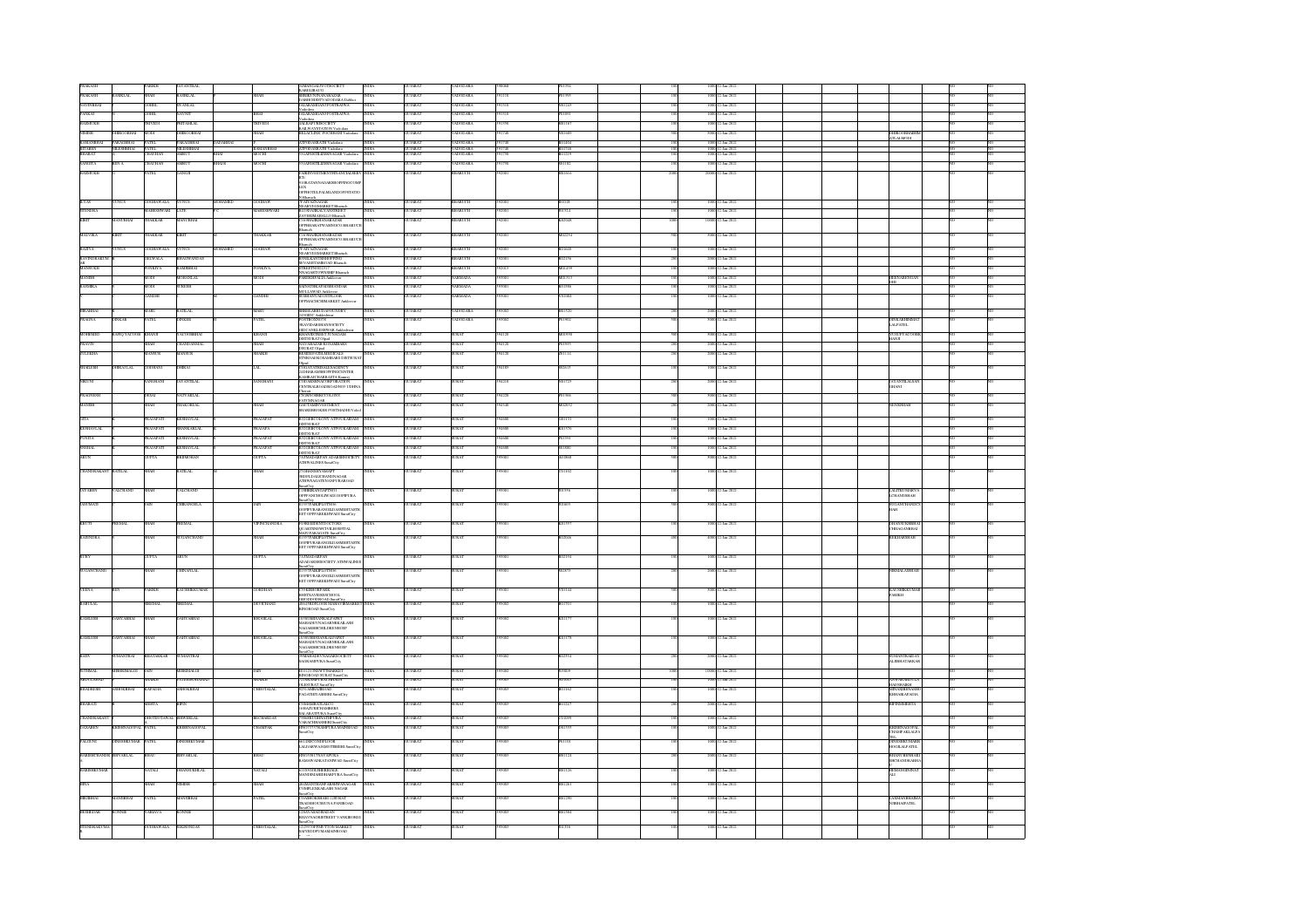|                    |                     |                             | YANTE.AL                         |                |                           | 4MANGALJYOTSOCIETY                                                                                        | <b>INDIA</b>         | <b>GUJARAT</b>            | ADODARA              |      |       | 1000 12 | $-1$ an-202                          |  |                                        |  |  |
|--------------------|---------------------|-----------------------------|----------------------------------|----------------|---------------------------|-----------------------------------------------------------------------------------------------------------|----------------------|---------------------------|----------------------|------|-------|---------|--------------------------------------|--|----------------------------------------|--|--|
|                    |                     |                             | <b>SIKLAI</b>                    |                |                           | RELIBAUG<br>RIKUNINANABAZAR                                                                               |                      | JARA                      | DODAR                |      |       |         |                                      |  |                                        |  |  |
|                    |                     |                             |                                  |                |                           | ABHOIDISTVADODARA Dabbei<br>LARAMGANI POSTBAJWA                                                           |                      |                           |                      |      |       |         |                                      |  |                                        |  |  |
| INBH               |                     | НĒ                          | ANLAL.                           |                |                           |                                                                                                           |                      | <b>JARAT</b>              | DODARA               |      |       |         | Jan-2021                             |  |                                        |  |  |
| ANK AT             |                     | um                          | WNIT                             |                |                           | iodara<br>LARAMGANI POSTBAJWA                                                                             | m                    | <b>HARAT</b>              | <b>ADODARA</b>       |      |       |         | Im(202)                              |  |                                        |  |  |
| ASMUKH             |                     | tivedi                      | <b>ITAMLAL</b>                   |                | <b>IVED</b>               | adodara<br>ALKAPURISOCIETY                                                                                | .<br>DIA             | <b>UJARAT</b>             | <b>ADODARA</b>       |      |       |         | 2-Jan-2021                           |  |                                        |  |  |
| <b>IMISH</b>       | <b>IROOBHAI</b>     | <b>IGDI</b>                 | <b>HROOBHAI</b>                  |                | <b>SHAH</b>               | <b>EALWAYSTATION Vadodara</b><br>BELACLINIC POCHHANI Vadodara                                             | <b>INDIA</b>         | GUJARAT                   | <b>ADODARA</b>       |      |       |         | 5000 12-Jan-2021                     |  |                                        |  |  |
|                    |                     |                             |                                  |                |                           |                                                                                                           |                      |                           |                      |      |       |         |                                      |  | <b>IROOBHA</b><br><b>NOMIATIV</b>      |  |  |
|                    |                     |                             | PARAGBHAI                        |                |                           | <b>DIASRATH Vadodara</b>                                                                                  |                      | GUJARA                    |                      |      |       |         | 1000 12-Jan-202                      |  |                                        |  |  |
| ITABEN<br>IHARAT   | <b>ILESHBHAI</b>    | <b>TEL</b><br><b>IAUHAN</b> | <b>NILESHBHAI</b><br><b>ARUT</b> |                | RAMANBHAI<br><b>IOCHI</b> | IPODASRATH Vadodara<br>HAFERTILIZERNAGAR Vadodara                                                         | <b>INDIA</b><br>NDIA | <b>GUJARAT</b><br>GUJARAT | VADODARA<br>VADODARA |      |       |         | 1000 12-Jan-2021<br>1000 12-Jan-2021 |  |                                        |  |  |
|                    |                     |                             |                                  |                |                           |                                                                                                           |                      |                           |                      |      |       |         |                                      |  |                                        |  |  |
| <b>ANGITA</b>      | EN A                | HAUHAN                      | <b>MRUT</b>                      | BHAI R         | мосни                     | <b>HAFERTILIZERNAGAR Vadedara</b>                                                                         | <b>INDIA</b>         | GUIARAT                   | ADODARA              |      | 1182  |         | 1000 12-Jan-2021                     |  |                                        |  |  |
| <b>ASMUKH</b>      |                     | $rac{1}{\sqrt{10}}$         | $rac{1}{2}$                      |                |                           | <b>BINYCOMENY</b><br><b>WILLED</b>                                                                        |                      | <b>JARA</b>               | <b>ADIVU</b>         |      |       |         |                                      |  |                                        |  |  |
|                    |                     |                             |                                  |                |                           | .<br>IRATANNAGARSHOPPINGCOMI                                                                              |                      |                           |                      |      |       |         |                                      |  |                                        |  |  |
|                    |                     |                             |                                  |                |                           |                                                                                                           |                      |                           |                      |      |       |         |                                      |  |                                        |  |  |
|                    |                     |                             |                                  |                |                           | A<br>PHOTELPALMLANDOFFSTATIO                                                                              |                      |                           |                      |      |       |         |                                      |  |                                        |  |  |
| ILYAS              | <b>NUS</b>          | <b>COGHAWALA</b>            | UNUS                             | <b>SOHAMED</b> | GOGHAW                    | √ Bharach<br> FAIYAZNAGAR                                                                                 | INDIA                | GUJARAT                   | HARUCH               |      | 1018  |         | 1000 12-Jan-2021                     |  |                                        |  |  |
| TENDRA             |                     | <b>HESHWARI</b>             | <b>ATE</b>                       |                | <b>IESHWAR</b>            | PAITAZNADUK<br>EARVEGMARKET Bluruch<br>1419DAIKALYANSTREET<br>24VERIMAHALLO Bluruch<br>7169HAIIKHANARAZAR | NDIA                 | JARAT                     | <b>LARUCH</b>        |      |       |         | J <sub>202</sub>                     |  |                                        |  |  |
| .<br>Kirt          |                     |                             |                                  |                |                           |                                                                                                           | <b>NDIA</b>          |                           | <b>LARUCH</b>        |      |       |         |                                      |  |                                        |  |  |
|                    |                     | HAKKAR                      | <b>ANUBHA</b>                    |                |                           | <b>JPPBHARATWASINGCO BHARUCH</b>                                                                          |                      | <b>UJARAT</b>             |                      |      |       |         | J <sub>20</sub>                      |  |                                        |  |  |
|                    |                     |                             |                                  |                |                           |                                                                                                           |                      |                           |                      |      |       |         |                                      |  |                                        |  |  |
| <b>MALVIKA</b>     |                     | HAKKAR                      | <b>CIRTT</b>                     |                | HAKKAR                    | Bharach<br>2169HAJIKHANABAZAR<br>JPPBHARATWASINGCO BHARUCI                                                | INDIA                | GUJARAT                   | HARUCH               |      | 02254 |         | 5000 12-Jan-2021                     |  |                                        |  |  |
| <b>AZIYA</b>       |                     | <b>OMAWAE</b>               | UNUS                             |                |                           | uruch<br>'AIYAZNAGAR                                                                                      |                      | <b>HARAT</b>              | <b>HARLY'H</b>       |      |       |         | 1000 12-Jan-202                      |  |                                        |  |  |
|                    |                     |                             |                                  |                |                           | <b>ARVEGMARKET Bharach</b><br>NILK ANTHSHOPPING                                                           |                      |                           |                      |      |       |         |                                      |  |                                        |  |  |
| <b>EAVINDRAKU</b>  |                     | ELWALA                      | <b>HAGWANDAS</b>                 |                |                           |                                                                                                           | NDIA                 | <b>UJARAT</b>             | HARUCH               |      | 2156  |         | 2000 12-Jan-2021                     |  |                                        |  |  |
| .<br>LANSUKH       |                     | ONKIYA                      | AMJIBHAI                         |                | <b>DNKIYA</b>             | EVASHTAMROAD Bharach<br>TREETNOD2317                                                                      | NDIA                 | GUJARAT                   | HARUCH               |      | 01439 |         | 1000 12-Jan-2021                     |  |                                        |  |  |
|                    |                     | юī                          | <b>OHANLAL</b>                   |                | ЮI                        | s 194.0.1 NOLG2317<br>©NAGARTOWNSHIP Bharach<br>∪AREKHFALIA Anklessar                                     | æа                   | UJARAT                    | <b>ARMADA</b>        |      |       | 1000    | $2-3an-2021$                         |  |                                        |  |  |
|                    |                     |                             |                                  |                |                           |                                                                                                           |                      |                           |                      |      |       |         |                                      |  |                                        |  |  |
| SMIK.              |                     |                             |                                  |                |                           | <b>CATHE APADRHANDAL</b>                                                                                  |                      |                           | PMAD                 |      |       |         |                                      |  |                                        |  |  |
|                    |                     | ANDHI                       |                                  |                | <b>NTM</b>                | <b>MULLAWAD Anklessar</b><br><sup>N 194</sup> HANV AD ISTELOOR                                            | NDIA.                | <b>JUJARAT</b>            | <b>ARMADA</b>        |      |       |         | 1000 12-Jan-2021                     |  |                                        |  |  |
|                    |                     |                             |                                  |                |                           | <b>DPPMACHCHIMARKET Anklewar</b>                                                                          |                      |                           |                      |      |       |         |                                      |  |                                        |  |  |
| HIRABHAI           |                     | aru                         | ATILAL                           |                | WARL                      | <b>HREEARBUDAFOUNDRY</b>                                                                                  | <b>INDIA</b>         | GUJARAT                   | <b>ADODARA</b>       |      |       |         | 2000 12-Jan-2021                     |  |                                        |  |  |
| PRACNA             |                     | <b>ATM</b>                  | <b>INKFR</b>                     |                |                           | SGIDC Ankleshwar<br>DSTBOXNO78                                                                            | mm.                  | <b>TEAR AT</b>            | <b>AFWHAMEA</b>      |      |       |         | .<br>Marchith                        |  | <b>NKARHIMM</b>                        |  |  |
|                    |                     |                             |                                  |                |                           | RAVIDARSHANSOCIETY                                                                                        |                      |                           |                      |      |       |         |                                      |  | <b>ALPATEL</b>                         |  |  |
| MOHEMED            | <b>LAFIQ YACOOB</b> | HANJI                       | ACOOBBHAI                        |                | KHANJI                    | DCANKLESHWAR Ankloid<br>LANJISTREET JUNAGAM                                                               | <b>INDIA</b>         | GUJARAT                   | URAT                 |      |       |         | 5000 12-Jan-2021                     |  | USUFYACOO                              |  |  |
| <b>RAVIN</b>       |                     | НАН                         | HANDANMAL                        |                | ΉАΗ                       | <b>DISTSURAT Olpad</b><br>GAVABAZAR KOSAMBARS                                                             | INDIA                | <b>JUARAT</b>             | URAT                 |      | 1955  |         | 2000 12-Jan-2021                     |  |                                        |  |  |
|                    |                     |                             |                                  |                |                           |                                                                                                           |                      |                           |                      | 4120 |       |         |                                      |  |                                        |  |  |
| <b>TLEKHA</b>      |                     | WSUR                        | NSUR                             |                | AIKH                      | SURAT Olpad<br>ESIDEPATELMEDICALS<br>INROADKOSAMBARS DISTSURA                                             |                      | <b>JARAT</b>              | URAT                 |      |       |         | tan 2021                             |  |                                        |  |  |
|                    |                     |                             |                                  |                |                           |                                                                                                           |                      |                           |                      |      |       |         |                                      |  |                                        |  |  |
| SHAILESH           | <b>IRAJ LAL</b>     | ODHAN                       | HRAJ                             |                |                           | 30pad<br>20GAY ATRISALESAGENCY<br>24DHARAMSHOPPINGCENTER                                                  |                      | JARAT                     | URAT                 |      |       |         | $Jan-202$                            |  |                                        |  |  |
|                    |                     |                             |                                  |                |                           |                                                                                                           |                      |                           |                      |      |       |         |                                      |  |                                        |  |  |
| <b>GKUNJ</b>       |                     | ANGHANI                     | AYANTE.AL                        |                | <b>NGHANI</b>             | AMRAICHARRASTA Kamej<br>ODARSHNACORPORATION<br>ENTRALROADROADNOS UDHI                                     |                      | GUJARAT                   | URAT                 |      |       |         | 2000 12-Jan-2021                     |  | JAYANTILALSA<br>GHANI                  |  |  |
|                    |                     |                             |                                  |                |                           | <b>STINE</b><br>NIRNOSBRCCOLONY                                                                           |                      |                           |                      |      |       |         |                                      |  |                                        |  |  |
| PRACNESH           |                     | ESAI                        | ATVARLAL                         |                |                           |                                                                                                           |                      | <b>TARAT</b>              | URAT                 |      | 1366  |         | 3000 12-Jan-2021                     |  |                                        |  |  |
| <b>LANISH</b>      |                     | <b>HAH</b>                  | <b>HAKORI AL</b>                 |                | <b>TAH</b>                | 'ATCHNAGAR<br>IAUTAMINVESTMENT                                                                            |                      | <b>TARAT</b>              | <b>TRAT</b>          |      |       |         | $\frac{1}{2}$ (m) $\frac{1}{2}$      |  |                                        |  |  |
|                    |                     |                             |                                  |                |                           | GAU LAMIN VESTMENT<br>SHAREBROKER POSTMADHI Valoc                                                         |                      |                           |                      |      |       |         |                                      |  |                                        |  |  |
| GПA                |                     | RAJAPATI                    | ESHAVLAL                         |                | PRAJAPAT                  | 32GEBCOLONY ATPOUKAIDAM                                                                                   | <b>INDIA</b>         | GUJARAT                   | URAT                 |      | 01131 |         | 1000 12-Jan-2021                     |  |                                        |  |  |
| ESHAVLA            |                     | <b>EALAPATE</b>             | ANKARLAI                         |                | <b>LAJAPA</b>             | STSURAT<br>SZGEBCOLONY ATPOUKAIDAM                                                                        |                      | JARAT                     | URAT                 |      | 137   |         | J <sub>2021</sub>                    |  |                                        |  |  |
|                    |                     |                             |                                  |                |                           |                                                                                                           |                      |                           |                      |      |       |         |                                      |  |                                        |  |  |
| NITA               |                     | <b>EALAPATE</b>             | SHAVLAL                          |                | .<br>Mapat                |                                                                                                           | <b>NDIA</b>          | UJARAT                    | URAT                 |      |       |         | J <sub>202</sub>                     |  |                                        |  |  |
| <b>SNEHAL</b>      |                     | RAJAPATI                    | <b>ESHAVLAL</b>                  |                | <b>RAJAPAT</b>            | (BIEBAAR)<br>STSURAT<br>32GEBCOLONY ATPOUKAIDAM                                                           | <b>INDIA</b>         | <b>GUJARAT</b>            | URAT                 |      | 1800  |         | 1000 12-Jan-2021                     |  |                                        |  |  |
| ARUN               |                     | <b>UPTA</b>                 | <b>UMOHAN</b>                    |                | UPTA                      | ISTSURAT<br>ATMADARPAN ADARSHSOCIETY                                                                      | INDIA                | UJARAT                    | URAT                 |      |       |         | J <sub>202</sub>                     |  |                                        |  |  |
|                    |                     |                             |                                  |                |                           | <b>HWALINES SuratCity</b>                                                                                 |                      |                           |                      |      |       |         |                                      |  |                                        |  |  |
| <b>HANDRA</b>      | <b>TILA</b>         | <b>HAF</b>                  | <b>TILAL</b>                     |                |                           |                                                                                                           |                      | JARA)                     | RAT                  |      |       |         |                                      |  |                                        |  |  |
|                    |                     |                             |                                  |                |                           | ?GHANSHY AMAPT<br>RDFLDALICHANDNAGAR<br>(THWSAGATENANPURAROAD                                             |                      |                           |                      |      |       |         |                                      |  |                                        |  |  |
|                    |                     |                             |                                  |                |                           |                                                                                                           |                      |                           |                      |      |       |         |                                      |  |                                        |  |  |
| <b>JAYABEN</b>     | <b>ALCHAND</b>      | НАН                         | <b>ALCHAND</b>                   |                |                           | ereCity<br>1SHRIRANGAPTNOI                                                                                |                      | <b>JUJARAT</b>            | URAT                 |      |       |         | 3 <sub>202</sub>                     |  | <b>LALITKUMAR</b>                      |  |  |
|                    |                     |                             |                                  |                |                           | <b>DPPPANCHOLIWADI GOPIPURA</b>                                                                           |                      |                           |                      |      |       |         |                                      |  | <b>LCHANDSHAH</b>                      |  |  |
| <b>ASUMAT</b>      |                     |                             | NGEL                             |                |                           | FLANCH<br>(1357PAIKIPLOTNO6)<br>(1357PAIKIPLOTNO6)<br>EET OPPPAREKHWADI SuratCity                         |                      |                           |                      |      |       |         |                                      |  |                                        |  |  |
|                    |                     |                             |                                  |                |                           |                                                                                                           |                      |                           |                      |      |       |         |                                      |  |                                        |  |  |
|                    |                     |                             |                                  |                |                           | F49RESIDENTDOCTORS                                                                                        |                      |                           |                      |      |       |         |                                      |  |                                        |  |  |
| KRUTI              | <b>REMAL</b>        | SHAH                        | REMAL                            |                | <b>IPINCHANDRA</b>        | OUARTSNEWCIVILHOSPITAL                                                                                    | NDIA                 | GUJARAT                   | URAT                 |      |       |         | 1000 12-Jan-2021                     |  | DHANSUKHBH<br>CHHAGANBHAI              |  |  |
|                    |                     |                             |                                  |                |                           | GOUP ARAGATE Surnicity<br>1357PAIKIPLOTNOS<br>20PIPURARANGILDASMEHTASTR<br>ET OPPPAREKHWADI SurniCity     |                      |                           |                      |      |       |         |                                      |  |                                        |  |  |
| RAJENDRA           |                     | HAH                         | GANCHANI                         |                |                           |                                                                                                           | NDLA                 | iuarat                    | URAT                 |      |       |         | $3m-202$                             |  | <b>EKHARSHAH</b>                       |  |  |
|                    |                     |                             |                                  |                |                           |                                                                                                           |                      |                           |                      |      |       |         |                                      |  |                                        |  |  |
| <b>RUBY</b>        |                     | UPTA                        |                                  |                | UPTA                      | <b>ATMADARPAN</b>                                                                                         |                      | JARAT                     | URAT                 |      |       |         | J <sub>202</sub>                     |  |                                        |  |  |
|                    |                     |                             |                                  |                |                           | <b>DADARSHSOCIETY ATHWALINES</b>                                                                          |                      |                           |                      |      |       |         |                                      |  |                                        |  |  |
| UGANCHANI          |                     | НАН                         | HNANLAL                          |                |                           | orCity<br>357PAIKIPLOTNO6<br>3FIPURARANGILDASMEHTASTR<br>3T OPPPAREKHWADI SuraCity                        | ïЫА                  | <b>GUJARAT</b>            | URAT                 |      |       |         | 2000 12-Jan-2021                     |  | <b>IRMALASSHA</b>                      |  |  |
|                    |                     |                             |                                  |                |                           |                                                                                                           |                      |                           |                      |      |       |         |                                      |  |                                        |  |  |
|                    |                     |                             |                                  |                |                           |                                                                                                           |                      |                           |                      |      |       |         |                                      |  |                                        |  |  |
| VEENA              |                     | <b>ARIKH</b>                | AUSHIKKUMAR                      |                | <b>JORDHAN</b>            | <b>SSKISHORPARK</b><br>STYAVIER SSCHOOL                                                                   | NDIA                 | <b>JUJARAT</b>            | URAT                 |      |       |         | 3000 12-Jan-2021                     |  | <b>AUSHIKKUM</b><br>PARIKH             |  |  |
|                    |                     |                             |                                  |                |                           | <b>HODDODROAD SuraCity<br/>0643RDFLOOR MAHAVIRMARKE</b>                                                   |                      |                           |                      |      |       |         |                                      |  |                                        |  |  |
| <b>BABULAL</b>     |                     | <b>IREMAL</b>               | <b>REMAL</b>                     |                | EVICHAND                  | RINGROAD SuratCity                                                                                        | <b>INDIA</b>         | UJARAT                    | URAT                 |      |       |         | 3 <sub>202</sub>                     |  |                                        |  |  |
|                    |                     | HAH                         | <b>TYABHA</b>                    |                | <b>DGILAL</b>             |                                                                                                           |                      | <b>JARAT</b>              | URAT                 |      |       |         |                                      |  |                                        |  |  |
| KAMLESH            | uiYai               |                             |                                  |                |                           | OSSUBHSANKALPAPRT<br>AAHADEVNAGARNRKAILASH<br>{AGARBHCHILDRENHOSP                                         |                      |                           |                      |      |       |         |                                      |  |                                        |  |  |
|                    |                     |                             |                                  |                |                           |                                                                                                           |                      |                           |                      |      |       |         |                                      |  |                                        |  |  |
| KAMLESH            | MHYABHAI            | <b>SHAH</b>                 | AHYABHAI                         |                | <b>HOGILAL</b>            | m#City<br>!SSUBHSSANKALPAPRT                                                                              | <b>DIA</b>           | GUJARAT                   | URAT                 |      |       |         | 1000 12-Jan-2021                     |  |                                        |  |  |
|                    |                     |                             |                                  |                |                           | <b><i>MAHADEVNAGARINKET</i></b><br>MAHADEVNAGARNRKAILASH<br>AAGARBHCHILDRENHOSP<br>InniQue                |                      |                           |                      |      |       |         |                                      |  |                                        |  |  |
|                    |                     |                             |                                  |                |                           |                                                                                                           |                      |                           |                      |      |       |         |                                      |  |                                        |  |  |
|                    |                     | <b>TARI</b>                 | ANTRAI                           |                |                           | SaratCity<br>39MAHADEVNAGAR SOCIETY<br>SAGRAMPURA SaratCity                                               |                      | JARA                      | RAT                  |      |       |         |                                      |  | SUMANTRAIDA"<br>ALJIBHATARKA           |  |  |
|                    |                     |                             |                                  |                |                           |                                                                                                           |                      |                           |                      |      |       |         |                                      |  |                                        |  |  |
| THMAL              |                     |                             | RIMALGE                          |                |                           | 1213NEWTTMARKET                                                                                           |                      | <b>JARA</b>               | RAT                  |      |       |         |                                      |  |                                        |  |  |
| ABDULAHAD          |                     | <b>HAIKH</b>                | ATEHMOHAMAD                      |                | .<br>HAIKH                | INGROAD SURAT SuratCity<br>218RAMPURACHHADA                                                               | <b>DIA</b>           | .<br>UJARAT               | URAT                 |      |       |         | 1000 12-Jan-2021                     |  | <b>NWARABDUL</b>                       |  |  |
| <b>BHADRESH</b>    |                     | <b>SPADU</b>                | HOKRHA                           |                | HOTALAL                   | <b>JLESURAT SuratCity</b><br>1251 AMRA IIROAD                                                             |                      | JARAT                     | URAT                 |      |       |         | $tan-202$                            |  | HADSHAIKH<br>MINAXIBENAS<br>KBHAIKAPAD |  |  |
|                    |                     |                             |                                  |                |                           | GATHIY ASHERI SunaCity                                                                                    |                      |                           |                      |      |       |         |                                      |  |                                        |  |  |
| HARATI             |                     | <b>SHTA</b>                 |                                  |                |                           | MAMRATLALCO                                                                                               |                      | <b>JARA</b>               | URAT                 |      |       |         |                                      |  | <b>INMIMERT</b>                        |  |  |
|                    |                     |                             |                                  |                |                           | 6HAZURICHAMBERS                                                                                           |                      |                           |                      |      |       |         |                                      |  |                                        |  |  |
|                    |                     |                             |                                  |                | <b>BECHARDAS</b>          | <b>LABATPURA SuratCity</b><br>868RUGHNATHPURA                                                             | INDIA                | GUJARAT                   | URAT                 |      |       |         | 1000 12-Jan-2021                     |  |                                        |  |  |
|                    |                     |                             |                                  |                |                           |                                                                                                           |                      |                           | rat                  |      |       |         |                                      |  |                                        |  |  |
| <b>CHANDRAKAN</b>  |                     | HOTUOTAWAL ISHWERLAL        |                                  |                |                           |                                                                                                           |                      |                           |                      |      |       |         |                                      |  |                                        |  |  |
|                    |                     |                             | NAGO                             |                |                           | 'ARACHHASHERI SuratCity<br>INO73737RAMPURA MAIN                                                           |                      | .<br>ARA                  |                      |      |       |         |                                      |  |                                        |  |  |
|                    |                     |                             |                                  |                |                           | miCity                                                                                                    |                      |                           |                      |      |       |         |                                      |  | RISHNAGOPAL<br>HAMPAKLALP              |  |  |
| <b>ALGUNI</b>      |                     | <b>VTEL</b>                 | <b>GESHKUMA</b>                  |                |                           | SECONDFLOOR<br>ALDARWAJAMOTISHERI SuratCi                                                                 |                      | <b>JARA</b>               | URAT                 |      |       |         | 500                                  |  | SHKUMA<br>HOGILALPATEL                 |  |  |
|                    |                     |                             |                                  |                |                           |                                                                                                           |                      |                           |                      |      |       |         |                                      |  |                                        |  |  |
| <b>LARISHCHAND</b> | ARLAL               |                             | <b>IVARLAL</b>                   |                |                           |                                                                                                           |                      | UJARAT                    | URAT                 |      |       |         | 2-Jan-202                            |  |                                        |  |  |
|                    |                     |                             |                                  |                |                           | .<br>033817NAVAPURA<br>MAWADKATANIWAD SurutCity                                                           |                      |                           |                      |      |       |         |                                      |  | BHANUBENHAS<br>SHCHANDRABH             |  |  |
| <b>TARISHKUMA</b>  |                     | ATALI                       | ANSUKHLAL                        |                | <b>ATALI</b>              | <b>NOOL SHERKIM F</b><br>O MALSHERKANLE<br>NDIMAHIDHARPURA SutatCity                                      |                      | UJARAT                    | URAT                 |      |       |         | $tan-202$                            |  | <b>TEMANGININA</b><br>$\overline{M}$   |  |  |
|                    |                     |                             |                                  |                |                           |                                                                                                           |                      |                           |                      |      |       |         |                                      |  |                                        |  |  |
|                    |                     |                             |                                  |                |                           | MANTHANPARSHWANAGAR<br>MPLEXKAILASH NAGAR                                                                 |                      | <b>JARA</b>               | RAT                  |      |       |         |                                      |  |                                        |  |  |
|                    |                     |                             |                                  |                |                           |                                                                                                           |                      |                           |                      |      |       |         |                                      |  |                                        |  |  |
|                    |                     |                             |                                  |                |                           |                                                                                                           |                      |                           |                      |      |       |         |                                      |  | XMANBHAI!<br>IBHAIPATEL                |  |  |
| <b>IESHEDAR</b>    | ONNIE               | <b>ARIAVA</b>               | <b>NNIE</b>                      |                |                           | angCity<br>COASHOKSHAHI I 2SURAT<br>TRADEHOUSEUNA PANIROAD                                                | <b>NDIA</b>          | <b>JUARAT</b>             | URAT                 |      |       |         | J <sub>202</sub>                     |  |                                        |  |  |
|                    |                     |                             |                                  |                |                           | miCity<br>SAVASADISADAN<br>HAVNAGRISTREET VANKIBORD                                                       |                      |                           |                      |      |       |         |                                      |  |                                        |  |  |
|                    |                     |                             |                                  |                |                           | <b>20 City</b><br>25970 PPMUTTON MARKET<br><b>AIYEDDPUMAMAINROAD</b>                                      |                      |                           |                      |      |       |         |                                      |  |                                        |  |  |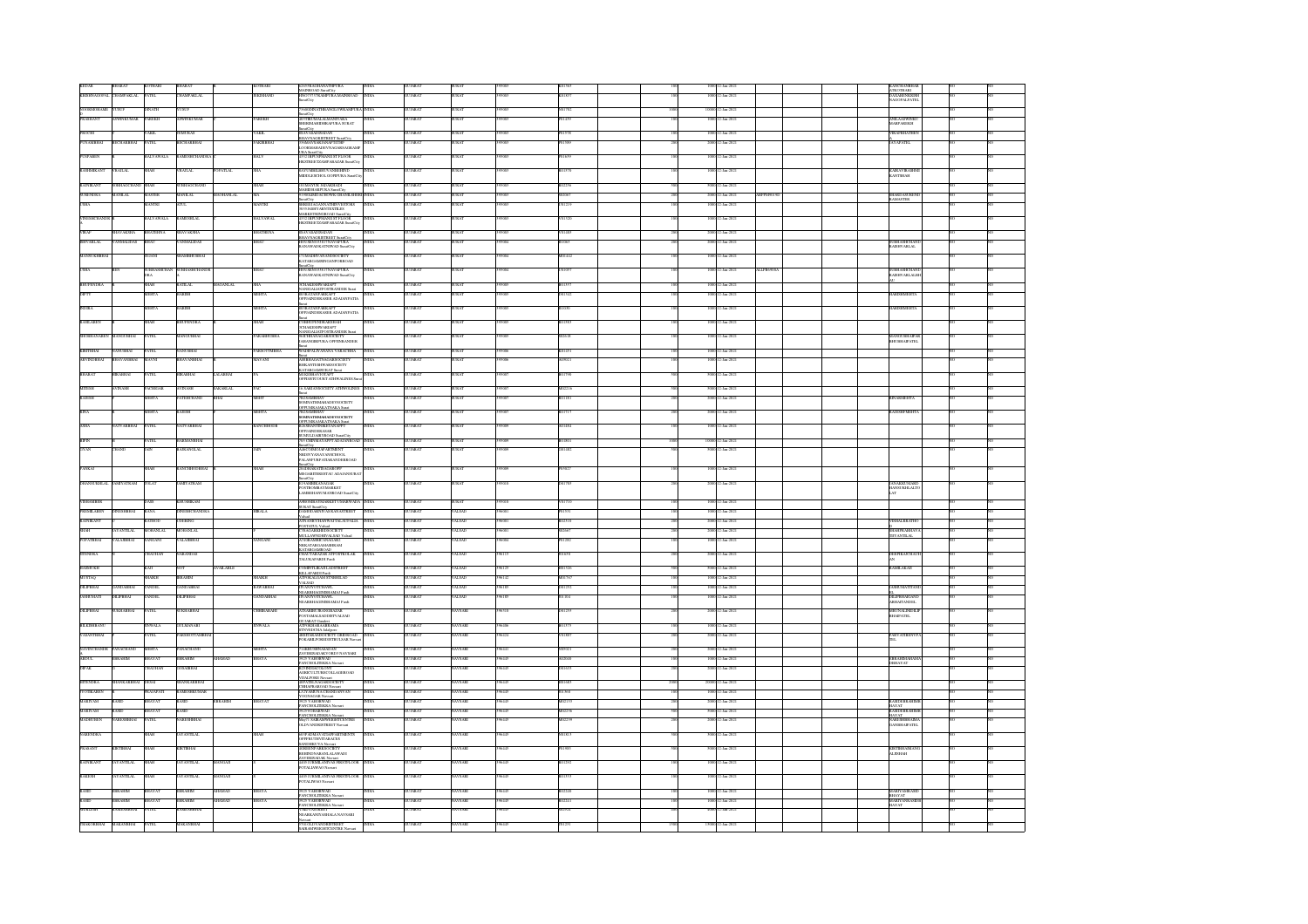|                     |                       |                         |                         |                 |                  | 2655RAGHANATHPURA                                                                                                                 |              |                |                      |      |       |  |      |                                   |  |  | <b>KANCHANBH</b>                          |  |
|---------------------|-----------------------|-------------------------|-------------------------|-----------------|------------------|-----------------------------------------------------------------------------------------------------------------------------------|--------------|----------------|----------------------|------|-------|--|------|-----------------------------------|--|--|-------------------------------------------|--|
|                     |                       |                         |                         |                 |                  | MAINROAD SuratCity<br>#NO73737RAMPURA<br> uratCity                                                                                |              |                |                      |      |       |  |      |                                   |  |  | ATKOTHARI<br>DAXABENKRISH<br>NAGOPALPATEI |  |
|                     |                       |                         |                         |                 |                  |                                                                                                                                   |              |                |                      |      |       |  |      |                                   |  |  |                                           |  |
|                     |                       |                         | suf                     |                 |                  | <b>MENATHBANG</b>                                                                                                                 |              | <b>IARA</b>    | RAT                  |      |       |  |      |                                   |  |  |                                           |  |
| <b>EASHAN</b>       | <b><i>INVERSE</i></b> | <b>AREKH</b>            | WINKUMAE                |                 | REKE             | 010City<br> STIRUMALALMANIYARA                                                                                                    |              | <b>JARAT</b>   | <b>RAT</b>           |      |       |  |      | $an-202$                          |  |  | LAASWINE                                  |  |
|                     |                       |                         |                         |                 |                  | SHERIMAHIDHRAPURA SURAT                                                                                                           |              |                |                      |      |       |  |      |                                   |  |  | MARPAREKH                                 |  |
| <b>ROCHI</b>        |                       | AKIL.                   | MURAS                   |                 | AK#              | <b>Here</b><br>arafCity<br>SAVASADISADAN                                                                                          |              | <b>ARA</b>     | URAT                 |      |       |  |      | 32021                             |  |  | RAFBHATE                                  |  |
|                     |                       |                         |                         |                 | <b>KIRBH</b>     | BHAVNAGRISTREET SaraCity<br>336MAVSARJANAPT4THF<br>LOORMAHADEVNAGARSAGRAMF                                                        |              | :<br>Jara      | <b>RA</b>            |      |       |  |      |                                   |  |  | <b>YAPATEI</b>                            |  |
|                     |                       |                         |                         |                 |                  | <b>RA SuratCity</b><br>3321BPUSPMANIIST FLOOR                                                                                     |              |                |                      |      |       |  |      |                                   |  |  |                                           |  |
| PERPAREN            |                       | <b>SI VAWAL</b> a       | AMESHCHANT              |                 | <b>IMV</b>       | HKSTREETZAMPABAZAR SuratCity                                                                                                      |              | 14847          | URAT                 |      |       |  |      | Im 202                            |  |  |                                           |  |
| .<br>RASHMIKANT     | <b>RAJLAL</b>         | SHAH                    | .<br>RAJLAL             | <b>PATLAL</b>   |                  | <b>SAYUMBILBHUVANBEHIND</b>                                                                                                       | NDIA         | UJARAT         | URAT                 |      |       |  |      | 2-Jan-2021                        |  |  | KAIRAVIRASH                               |  |
|                     |                       |                         |                         |                 |                  | <b>MIDDLESCHOL GOPIPURA SunnCit</b>                                                                                               |              |                |                      |      |       |  |      |                                   |  |  | <b>KANTSHAH</b>                           |  |
| <b>AINIKANI</b>     |                       |                         | BHAGCHAN                |                 |                  | MAYUR JADAKHADI                                                                                                                   |              | <b>ARAT</b>    | URAT                 |      |       |  |      | $3m-202$                          |  |  |                                           |  |
| <b>SURENDRA</b>     | $\pi\Lambda$          | $\overline{\text{STE}}$ | <b>NILAI</b>            |                 |                  | IAHIDHARPURA SuraCity<br>1900LIMDACHOWK GHA                                                                                       |              | 13.937         | RAT                  |      |       |  |      |                                   |  |  |                                           |  |
|                     |                       | <b>VTR</b>              |                         |                 |                  | <b>ATACCITY</b><br>AIREEJAGANNATHINVESTORS                                                                                        |              | <b>JARAT</b>   | URAT                 |      |       |  |      | $tan-202$                         |  |  | RAMASTER                                  |  |
|                     |                       |                         |                         |                 |                  | 03SJASHYARNTEXTILES                                                                                                               |              |                |                      |      |       |  |      |                                   |  |  |                                           |  |
| <b>VINESHCHANDE</b> |                       | <b>EALVAWALA</b>        | <b>WESHLAL</b>          |                 | <b>ALVAWAL</b>   | MARKETRINGROAD SuratCity<br>43321BPUSPMANIIST FLOOR<br>HKSTREETZAMPABAZAR SuratCity                                               |              | JARAT          | <b>URAT</b>          |      |       |  |      | 3 <sub>202</sub>                  |  |  |                                           |  |
|                     |                       |                         |                         |                 |                  |                                                                                                                                   |              |                |                      |      |       |  |      |                                   |  |  |                                           |  |
| VIRAF               | <b>AKSHA</b>          | <b>ATEHNA</b>           | <b>AVAKSHA</b>          |                 | <b>THENA</b>     | AV 40 ADR AD AV                                                                                                                   |              | 149.47         | URAT                 |      |       |  |      | 2-Jan-202                         |  |  |                                           |  |
| <b>SHVARLAL</b>     | <b>NMALIDAS</b>       | HATT                    | .<br>NMALIDAS           |                 |                  | <b>HAVNAGRISTREET SunaCit</b><br>#OUSENO33817NAVAPURA                                                                             |              | <b>JARAT</b>   | URAT                 |      |       |  | 2000 | $\frac{1}{2}$ lan-2021            |  |  | UBHASHCHAN                                |  |
|                     |                       |                         |                         |                 |                  | ANAWADKATNIWAD SuratCity                                                                                                          |              |                |                      |      |       |  |      |                                   |  |  | <b>RAISHVARLAL</b>                        |  |
| MANSUKHBH           |                       | JAN                     | WBHUBHA                 |                 |                  | 171MADHVANANDSOCIETY<br>KATARGAMSINGANPORROAD                                                                                     |              | JARAT          | URAT                 |      | 01442 |  |      | 3 <sub>202</sub>                  |  |  |                                           |  |
|                     |                       |                         |                         |                 |                  |                                                                                                                                   |              | wa             | RAT                  |      |       |  |      | $tan-202$                         |  |  |                                           |  |
|                     |                       | SUBHASHCI<br>DRA        |                         |                 |                  | araCity<br>JOUSENO33817NAVAPURA<br>JANAWADKATNIWAD SaraCity                                                                       |              |                |                      |      |       |  |      |                                   |  |  | JBHASHCHA<br>AISHVARLAI                   |  |
| <b>HUPENDRA</b>     |                       | .<br>34 A.H             | mл                      |                 |                  | <b>HAKESHWARIAPT</b>                                                                                                              |              |                | <b>RAT</b>           |      |       |  |      | $tan-202$                         |  |  |                                           |  |
| <b>NIPTY</b>        |                       | <b>JEHTA</b>            | VRISH                   |                 | EHTA             | <b>JANIGALIATPOSTRANDER Surit</b><br>03RATANPARKAPT                                                                               |              | JARAT          | URAT                 |      |       |  |      | $\frac{1}{2}$ an-2021             |  |  | <b>HMEHT</b>                              |  |
|                     |                       |                         |                         |                 |                  | <b>OPPIAINDERASER ADAJANPATIA</b>                                                                                                 |              |                |                      |      |       |  |      |                                   |  |  |                                           |  |
|                     |                       |                         |                         |                 |                  | iarat<br>103RATANPARKAPT<br>3PPJAINDERASER ADAJANPATIA                                                                            |              |                | .<br>RA'             |      |       |  |      |                                   |  |  |                                           |  |
|                     |                       |                         |                         |                 |                  |                                                                                                                                   |              |                |                      |      |       |  |      |                                   |  |  |                                           |  |
| RASILABEN           |                       | SHAH                    | <b>HUPENDRA</b>         |                 |                  | rat<br>DBHUPENDRARSHAH<br><b>CHAKESHWARIAPT</b>                                                                                   |              | JARAT          | URAT                 |      |       |  |      | $Jan-202$                         |  |  |                                           |  |
| <b>SHOBHANABE</b>   | <b>GETRHAL</b>        | ATEL.                   | ANGUBHAI                |                 | <b>ARABHUBHA</b> | SCHAKESHWARIAFI<br>NANKIALIATPOSTRANDER Surit<br>96KHHANAGARSOCIETY<br>JAHANGIRPURA OPPIINRANDER                                  |              | JARAT          | URAT                 |      |       |  |      | 3 <sub>202</sub>                  |  |  |                                           |  |
|                     |                       |                         |                         |                 |                  |                                                                                                                                   |              |                |                      |      |       |  |      |                                   |  |  | MANGUBHAIPAI<br>BHUBHAIPATEL              |  |
|                     |                       |                         |                         |                 |                  | n<br>DIFALIYANANA VARACHHA                                                                                                        |              |                | JR A'I               |      |       |  |      | J <sub>202</sub>                  |  |  |                                           |  |
| <b>ARVINDRH</b>     |                       | <b>AVNI</b>             |                         |                 | <b>VAN</b>       | arat<br>08BHAGATNAGARSOCIETY                                                                                                      |              | <b>TARAT</b>   | <b>TRAT</b>          |      |       |  |      | m <sup>202</sup>                  |  |  |                                           |  |
|                     |                       |                         |                         |                 |                  | HKANTESHWARSOCIETY                                                                                                                |              |                |                      |      |       |  |      |                                   |  |  |                                           |  |
| <b>HARAT</b>        | <b>ARHAI</b>          | <b>STEL</b>             | RABHAI                  | LABHAI          |                  | <b>LATARGAMSURAT Surat</b><br>41 KESHAVJOTAPT<br><b>DPIDISTCOURT ATHWALINES Su</b>                                                | NDIA         | JARAT          | URAT                 |      |       |  | som  | $-3$ an-2021                      |  |  |                                           |  |
|                     |                       |                         |                         |                 |                  |                                                                                                                                   |              |                |                      |      |       |  |      |                                   |  |  |                                           |  |
|                     |                       |                         |                         |                 |                  | <b>6 SARJANSOCEITY ATHWOLINES</b>                                                                                                 |              |                | RAT                  |      |       |  |      |                                   |  |  |                                           |  |
| <b>PAIESH</b>       |                       | <b>IFHTA</b>            | <b>TEHCHAND</b>         |                 |                  | erat<br>B2SAMBHAV<br>MNATHMAHADEVSOCIETY                                                                                          |              | <b>TAR AT</b>  | <b>TRAT</b>          |      |       |  |      | 2000 12-Jan-202                   |  |  | <b>ARMEHTA</b>                            |  |
|                     |                       | <b>JEHTA</b>            | <b>VESH</b>             |                 | <b>HTA</b>       | <b>OPPUMRAJAKATNAKA Surat</b>                                                                                                     |              | JARAT          | URAT                 |      |       |  |      | $tan-202$                         |  |  |                                           |  |
|                     |                       |                         |                         |                 |                  | TB2SAMBHAV<br>SOMATHMAHADEVSOCIETY<br>OPPUMRAJAKATNAKA Sara<br>B26SHANTINIKETANAPPT<br>OPPJAINDERASAR                             |              |                |                      |      |       |  |      |                                   |  |  |                                           |  |
|                     |                       | <b>TEL</b>              | ARBHAI                  |                 | CHHODE           |                                                                                                                                   |              | JARAT          | RAT                  |      |       |  |      | J <sub>202</sub>                  |  |  |                                           |  |
|                     |                       |                         |                         |                 |                  |                                                                                                                                   |              |                |                      |      |       |  |      |                                   |  |  |                                           |  |
|                     |                       |                         |                         |                 |                  | <b>IMULDAIRYROAD SuritCity</b><br>15 CHINMAYAPPT ADAJANE                                                                          |              | 149.47         | <b>DA</b>            |      |       |  |      |                                   |  |  |                                           |  |
| $0$ VaN             |                       |                         | <b><i>ERANCE AL</i></b> |                 |                  | anaCity<br>#6COJMOJAPARTMENT                                                                                                      |              | 1149.47        | <b>TRAT</b>          |      | 185   |  |      | 100                               |  |  |                                           |  |
|                     |                       |                         |                         |                 |                  | NRDIVY ANAYANSCHOOL<br>PALANPURPATIAR ANDERROAD                                                                                   |              |                |                      |      |       |  |      |                                   |  |  |                                           |  |
| wkaj                |                       |                         |                         |                 |                  | SmitCity<br>SmitCity<br>JO4DHARATISAGAROPP<br>MEGABITERESTAU ADAJANSURAT                                                          |              | JARA           | RAT                  |      |       |  |      |                                   |  |  |                                           |  |
|                     |                       |                         |                         |                 |                  |                                                                                                                                   |              |                |                      |      |       |  |      |                                   |  |  |                                           |  |
|                     |                       |                         |                         |                 |                  | araCity<br>19AMBIKANAGAR                                                                                                          |              |                | $\overline{u}$       |      |       |  |      |                                   |  |  | akkina                                    |  |
|                     |                       |                         |                         |                 |                  | <b>OSTBOMBAYMARKET</b><br>.AMBEHANUMANROAD SuratCity                                                                              |              |                |                      |      |       |  |      |                                   |  |  | HANSUKHLALTO<br>LAT                       |  |
| VISHAMBER           |                       | DASS                    | <b>HUSHIKAM</b>         |                 |                  | A9BOMBAYMARKET UMARWADA INDIA                                                                                                     |              | UJARAT         | SURAT                |      | 11710 |  |      | 1000 12-Jan-2021                  |  |  |                                           |  |
| <b>CEMILAB</b>      |                       |                         |                         |                 |                  | KIRAT SuraCity<br>DAMODARNIVAS RANASTREET                                                                                         |              | <b>ARA</b>     | <b>U.SAI</b>         |      |       |  |      | tan 202                           |  |  |                                           |  |
|                     |                       |                         |                         |                 |                  |                                                                                                                                   |              |                |                      |      |       |  |      |                                   |  |  |                                           |  |
| <b>JNIKANT</b>      |                       | THOD                    | <b>SERING</b>           |                 |                  | abad<br>INANICCHANWAI TALAUFALIA                                                                                                  |              | <b>ARAT</b>    | ALSAD                |      |       |  |      | $tan-202$                         |  |  | ALRRAT                                    |  |
| <b>ЧАН?</b>         | ANTII AI              | MOHANI AT               | <b>AOHANI AI</b>        |                 |                  | OSTATUL Valuad<br>"SMGARKHEDSOCIETY                                                                                               |              | <b>HARAT</b>   | ALSAD                |      |       |  |      | 301                               |  |  | <b>AMPRARHA</b><br><b>TUYANTLAL</b>       |  |
| POPATBHA            | AJIBHA                | NGAN                    | <b>LAJIBHA</b>          |                 |                  | MULLAWNDHIVALSAD Valsad<br>A740BAMBICANAGAR2                                                                                      |              | <b>JARAT</b>   | ALSAD                |      |       |  |      | $\frac{1}{2}$ an- $\frac{202}{2}$ |  |  |                                           |  |
|                     |                       |                         |                         |                 |                  | <b>NRKATARGAMASHRAM</b>                                                                                                           |              |                |                      |      |       |  |      |                                   |  |  |                                           |  |
| <b>ITENDRA</b>      |                       | HAUHAN                  | ARANDAS                 |                 |                  | KATARGAMROAD<br>CHAUTABAZAR ATPOSTKOLAK<br>TALUKAPARDI Pará                                                                       | NDIA         | UJARAT         | ALSAD                |      |       |  |      | 2000 12-Jan-2021                  |  |  | DEEPIKAICHAL<br>AN                        |  |
| <b>HASMUKH</b>      |                       |                         |                         | <b>VAILABLE</b> |                  | .<br>DMINTLIKAJI LADSTREET                                                                                                        | <b>NDIA</b>  | 1139.57        | <b>ALSAD</b>         |      |       |  |      | $2000$ 12.1se-202                 |  |  | <b>RAMITAKAR</b>                          |  |
| MUSTAQ              |                       | SHAIKH                  | BRAHIM                  |                 | iaikh            | KILLAPARDI Pardi<br>ATPOKALGAM STNBHILAD                                                                                          | NDIA         | <b>UJARAT</b>  | ALSAD <sup>-</sup>   | 6147 | 01767 |  |      | 1000 12-Jan-2021                  |  |  |                                           |  |
|                     |                       |                         |                         |                 |                  |                                                                                                                                   |              |                |                      |      |       |  |      |                                   |  |  |                                           |  |
| DILIPBHAI           | NDABHAI               | TANDEL                  | ANDABHAI                |                 | <b>SAWABHAI</b>  | ATPOKALGAM STNBHILAD<br>VALSAD<br>IWANYOTCHAWL<br>NEARBHAGINISHAMAJ Pará<br>IWANYOTCHAWL<br>NEARBHAGINISHAMAJ Pará                | NDIA         | UJARAT         | ALSAD                | 6185 | 01252 |  |      | 1000 12-Jan-2021                  |  |  | <b>ASHUMATITA</b>                         |  |
| ASHUMATI            | <b>IPBHAI</b>         | <b>WDEL</b>             | <b>LPBHAI</b>           |                 | <b>NDABHA</b>    |                                                                                                                                   | DIA          | <b>JARAT</b>   | ALSAD                |      |       |  | 1000 | J <sub>2021</sub>                 |  |  | EL<br>DILIPBHAIGAN<br>ABHAITANDEL         |  |
| DEJPBHAI            | <b>TUADUA</b>         | <b>ATEL</b>             | <b>KHARHAI</b>          |                 | <b>HIBABAHI</b>  | <b>STSARIRI IR ANGRAZAR</b>                                                                                                       |              | JARAT          | <b><i>AVSARI</i></b> |      |       |  |      | J <sub>20</sub> 202               |  |  | <b>MRTNATINER</b>                         |  |
|                     |                       |                         |                         |                 |                  | OSTAMALSADDISTVALSAD                                                                                                              |              |                |                      |      |       |  |      |                                   |  |  | <b>BHAPATEL</b>                           |  |
| BILKISHBANL         |                       | <b>INWALA</b>           | <b>JLMANABI</b>         |                 | <b>INWALA</b>    | <b>JALARAT Gandevi<br/>JUJARAT Gandevi<br/>(TPOKHARAABRAMA</b>                                                                    | VDIA         | JARAT          | AVSARI               |      |       |  |      | 1000 12-Jan-2021                  |  |  |                                           |  |
| VASANTBHA           |                       | ATEL                    | <b>SHOTTA</b>           |                 |                  | STNVEDCHA Jalaipore<br>4BSITARAMSOCIETY GRIDROAD<br>POKABILPOREDISTBULSAR Nava                                                    | INDIA        | JARAT          | <b>VSARI</b>         |      |       |  |      | $-tan - 2021$                     |  |  | PARVATIBEN <sup>.</sup><br>TEL            |  |
|                     |                       |                         |                         |                 |                  |                                                                                                                                   |              |                |                      |      |       |  |      |                                   |  |  |                                           |  |
| NAVINCHAND          |                       | <b>MEHTA</b>            | <b>SACHAND</b>          |                 | .<br>HT/         | <b><i>JKRUSHNASADAN</i></b>                                                                                                       |              | 1149.47        | <b>AVSARI</b>        |      |       |  |      | 2000 12-Jan-202                   |  |  |                                           |  |
| ABDUL.              | <b>FRIEMIN</b>        | <b>RHAVAT</b>           | <b>FRRAHIM</b>          | <b>LAMAD</b>    | <b>BHAYA</b>     | 714KRUSHNASADAN<br>ZAVERISADAKVORD3 NAVSARI<br>3925 VAHORWAD<br>PANCHOLITEKRA Navsari<br>B25INDIACOLONY<br>AGRICULTURECOLLAGEROAD | <b>INDIA</b> | <b>TARATIE</b> | <b>AVSART</b>        |      |       |  |      | 1000 12-Jan-2021                  |  |  | <b>EBRAHIMAHA!</b><br>DBHAYAT             |  |
| <b>DIPAK</b>        |                       | <b>IAUHAN</b>           | <b>OSAIBHAI</b>         |                 |                  |                                                                                                                                   |              | JARAT          | <b>AVSARI</b>        |      |       |  | 2000 | $\frac{1}{2}$ an-2021             |  |  |                                           |  |
|                     |                       |                         |                         |                 |                  |                                                                                                                                   |              |                |                      |      |       |  |      |                                   |  |  |                                           |  |
| <b>ITTENDRA</b>     |                       |                         | NKARBH                  |                 |                  | <b>TIALPORE Navari<br/>SPATELNAGARSOCIETY<br/>HHAPRAROAD Navari</b>                                                               |              | <b>JARA'I</b>  | .<br>VSARI           |      |       |  |      | J <sub>20</sub> 202               |  |  |                                           |  |
|                     |                       |                         |                         |                 |                  |                                                                                                                                   |              |                | VSAR                 |      |       |  |      |                                   |  |  |                                           |  |
| <b>MARIVAM</b>      |                       | <b>HAVAT</b>            | igu                     |                 | <b>IAVA</b>      | <b>OGNAGAR Navari</b><br>225 VAHORWAD                                                                                             | .<br>NDIA    | <b>HARAT</b>   | <b>AVSART</b>        |      |       |  |      | $\frac{1}{2}$ (m) $\frac{1}{2}$   |  |  | SIDERRAH                                  |  |
| <b>MARIYAM</b>      | СID                   | <b>HAYAT</b>            | <b>SID</b>              |                 |                  | ANCHOLITEKRA Nassari<br>925VOHARWAD                                                                                               | NDIA         | <b>UJARAT</b>  | <b>AVSARI</b>        |      |       |  |      | 5000 12-Jan-2021                  |  |  | HAYAT<br>RASIDEBRAHIN                     |  |
| <b>MADHUBEN</b>     |                       |                         | RESHBHA                 |                 |                  |                                                                                                                                   |              | <b>JARAT</b>   | <b>AVSARI</b>        |      |       |  |      | $\frac{1}{2}$                     |  |  | HAYAT<br>NARESHBHAIM                      |  |
|                     |                       | ATEL                    |                         |                 |                  | PANCHOLITEKRA Navsari<br>May? I SAIRAMWEIGHTCENTRE<br>OLDVANDRISTREET Navsari                                                     | NDIA         |                |                      |      |       |  |      |                                   |  |  | <b>GANBHAIPATEI</b>                       |  |
| <b>NARENDRA</b>     |                       |                         | <b>YANTEAL</b>          |                 |                  |                                                                                                                                   |              | <b>JARA</b>    | AVSARI               |      |       |  |      | $\frac{1}{2}$ an-2021             |  |  |                                           |  |
|                     |                       |                         |                         |                 |                  | 603P ADMA VATIAPPARTMEN<br>OPPPRUTHVITARACES<br>SANDHKUVA Navsati<br>4GREENPARKSOCIETY                                            |              |                |                      |      |       |  |      |                                   |  |  |                                           |  |
| PRASANT             | <b>LAHBITS</b>        | <b>TAH</b>              | RTIBHAI                 |                 |                  |                                                                                                                                   |              | JARAT          | <b>AVSARI</b>        |      |       |  |      | J <sub>202</sub>                  |  |  | <b>KIRTIBHAIMA</b>                        |  |
|                     |                       |                         |                         |                 |                  | BEHINDNARANLALAWADI                                                                                                               |              |                |                      |      |       |  |      |                                   |  |  | <b>ALJISHAH</b>                           |  |
| RAJNIKANT           | <b>VANTILAL</b>       | HAH                     | <b>VANTLAL</b>          | ANGAJI          |                  | EANERSADAK Navsari<br>1405 IURMILJANIVAS FIRSTFLOOR<br>POTALIAWAO Navsari                                                         | NDIA         | JARAT          | <b>AVSARI</b>        |      |       |  |      | 1000 12-Jan-2021                  |  |  |                                           |  |
| <b>AKESH</b>        |                       |                         | <b>ANTEAL</b>           |                 |                  |                                                                                                                                   |              |                | .<br>VSAR            |      |       |  |      |                                   |  |  |                                           |  |
|                     |                       |                         |                         |                 |                  | 1405 IURMILANIVAS F!<br>POTALIWAO Navsari                                                                                         |              |                |                      |      |       |  |      |                                   |  |  |                                           |  |
| asid                | <b>SRAHIM</b>         | HAYAT                   | BRAHIM                  | <b>IAMAD</b>    | <b>BHAYA</b>     | 25 VAHORWAD                                                                                                                       |              | JARAT          | AVSARI               |      |       |  |      | 1000 12-Jan-2021                  |  |  | <b>MARIYAMRASI</b>                        |  |
| ASID                | BRAHIM                | <b>IAYAT</b>            | <b>BRAHIM</b>           | HAMAD           | HAYA             | ANCHOLITEKRA Nava<br>925 VAHORWAD                                                                                                 |              | <b>JARAT</b>   | <b>AVSARI</b>        |      |       |  |      | $\frac{1}{2}$                     |  |  | BHAYAT<br>MARIYANRASID                    |  |
| HAILESH             |                       |                         |                         |                 |                  |                                                                                                                                   |              | <b>ARA</b>     | <b>VSAR</b>          |      |       |  |      |                                   |  |  | HAYAT                                     |  |
|                     |                       |                         |                         |                 |                  | PANCHOLITEKRA Navari<br>VADYASTREET<br>VEARKANIYASHALA NAVSARI                                                                    |              |                |                      |      |       |  |      |                                   |  |  |                                           |  |
| <b>THAKORRHAI</b>   | <b>MAKANBHAI</b>      | <b>ETW</b>              |                         |                 |                  | osari<br>01OLDVANDRISTREET                                                                                                        |              |                |                      |      |       |  |      |                                   |  |  |                                           |  |
|                     |                       |                         |                         |                 |                  | <b>ARAMWEIGHTCENTR</b>                                                                                                            |              |                |                      |      |       |  |      |                                   |  |  |                                           |  |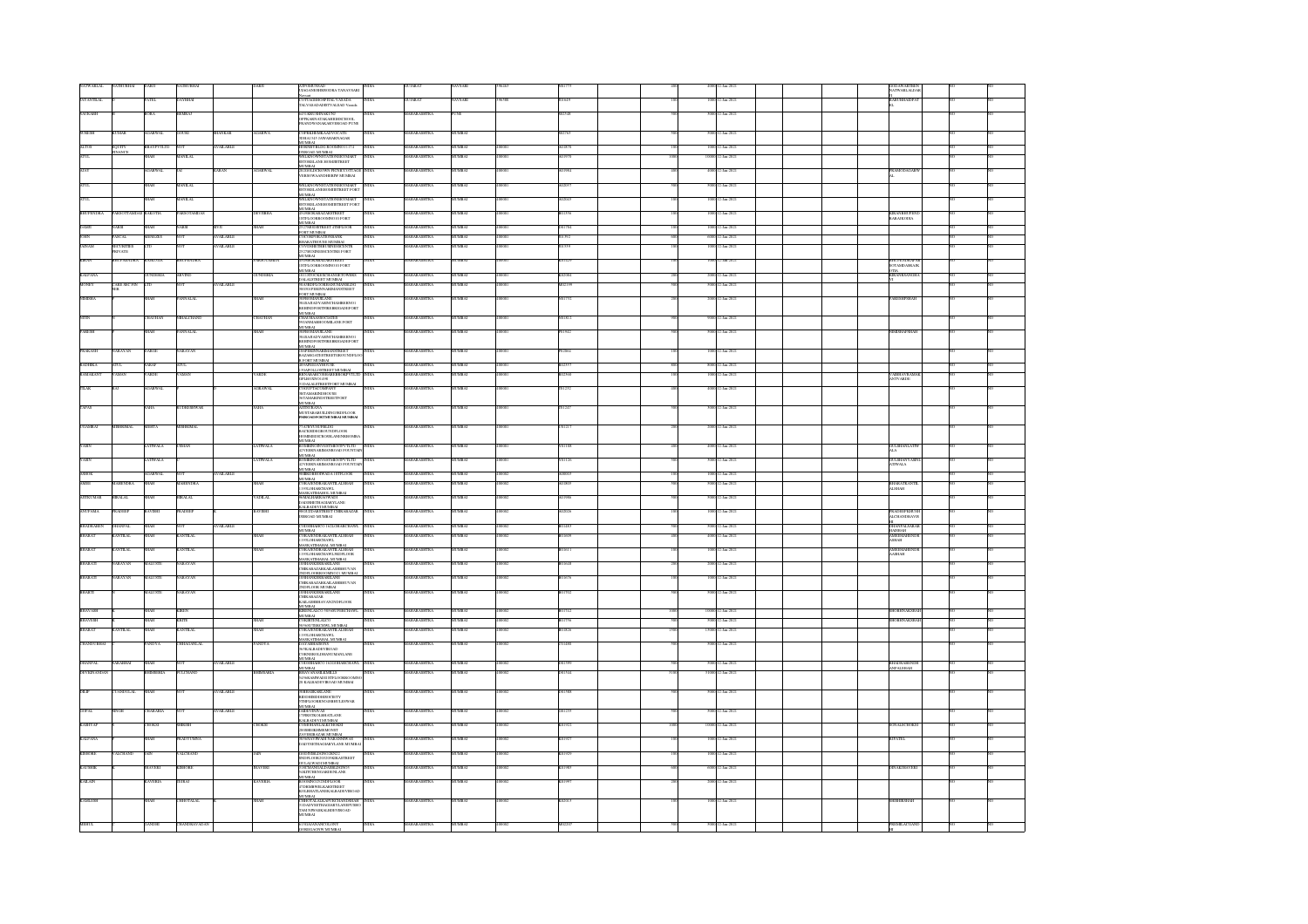| <b>NATWARLAL</b> | THUBHA           |                 |                      |                |                 | (TPOMUNSAD)<br>JAGANESHSISODRA TANAVSARI                                                                                                                                                   |           |                          |                       |       |  |                       |  | GODAWARTBEN<br>NATWARLALDA                     |  |
|------------------|------------------|-----------------|----------------------|----------------|-----------------|--------------------------------------------------------------------------------------------------------------------------------------------------------------------------------------------|-----------|--------------------------|-----------------------|-------|--|-----------------------|--|------------------------------------------------|--|
|                  |                  |                 |                      |                |                 | osari<br>OTTAGEHOSPITAL VASADA                                                                                                                                                             |           |                          |                       |       |  |                       |  | <b>TRHATSP</b>                                 |  |
|                  |                  |                 |                      |                |                 | ALVASADADISTVALSAD Vanda                                                                                                                                                                   |           |                          |                       |       |  |                       |  |                                                |  |
| <b>SAURABH</b>   |                  | ነዋል             |                      |                |                 |                                                                                                                                                                                            |           | <b>AHARASHTRA</b>        |                       |       |  | $Jan-202$             |  |                                                |  |
|                  |                  |                 |                      |                |                 | 5431 KRUSHNAKUNI<br>OPPKARNATAKAHKIHSCHOOL<br>FRANDWANAKARVEROAD PUNE                                                                                                                      |           |                          |                       |       |  |                       |  |                                                |  |
| URESI            |                  |                 |                      |                |                 | <b>OPRKHEMKAADVOCATE</b>                                                                                                                                                                   |           |                          | $\overline{a}$        |       |  |                       |  |                                                |  |
|                  |                  |                 |                      |                |                 | DHA1345 JAWAHARNAGAR<br>UMBAI<br>DRNBYBLDG ROOMNOL I 174                                                                                                                                   |           | <b>ARASHTRA</b>          |                       |       |  |                       |  |                                                |  |
| ALTOS            |                  | <b>VPVTI TT</b> |                      | VAILABLE       |                 | NROAD MUMBAI<br>/ELKNOWNSTATIONERYMART                                                                                                                                                     |           |                          | UMBAI<br><b>UMBAI</b> |       |  | J <sub>20</sub>       |  |                                                |  |
| <b>ATUL</b>      |                  |                 |                      |                |                 | <b>STORELANE HOMISTREET</b>                                                                                                                                                                |           | <b>JARASHTR</b>          |                       |       |  | 58.202                |  |                                                |  |
| AJA'Y            |                  | <b>JARWAL</b>   |                      |                |                 | MUMBAI<br>202GOLDCROWN PICNICCOTTAGE<br>VERSOWAANDHERIW MUMBAI                                                                                                                             |           | <b><i>RASHTR</i></b>     | MBAI                  |       |  | J <sub>202</sub>      |  | EAMODAC                                        |  |
|                  |                  |                 |                      |                |                 |                                                                                                                                                                                            |           |                          |                       |       |  |                       |  |                                                |  |
|                  |                  |                 |                      |                |                 | WELKNOWNSTATIONERYMART<br>SSTORELANEHOMJISTREET FOR                                                                                                                                        |           |                          |                       |       |  |                       |  |                                                |  |
| <b>ATUL</b>      |                  |                 | VII AI               |                |                 | MUMBAI<br>WELKNOWNSTATIONERYMART<br>\$STORELANEHOMJISTREET FORT                                                                                                                            |           | <b><i>HARASHTRA</i></b>  | <b>JUMBAI</b>         |       |  | J <sub>202</sub>      |  |                                                |  |
|                  |                  |                 |                      |                |                 |                                                                                                                                                                                            |           |                          |                       |       |  |                       |  |                                                |  |
|                  |                  |                 |                      |                |                 | MUMBAL<br>4549BORABAZARSTREET<br>1STFLOORROOMNO10 FORT                                                                                                                                     |           |                          | <b>IMB</b>            |       |  |                       |  | KIKANBHUPE?<br>RARAJKODIA                      |  |
|                  |                  |                 |                      |                |                 | UMBAI<br>527MODISTREET 4THFLOOR                                                                                                                                                            |           |                          | <b>IMBAI</b>          |       |  |                       |  |                                                |  |
| JOHN             | SCAL             | <b>EZES</b>     |                      | VAILABLE       |                 | ORT MUMBAL CONTROL                                                                                                                                                                         |           | <b>AHARASHTR</b>         | <b>UMBAI</b>          |       |  | 2-Jan-2021            |  |                                                |  |
| JAINAM           | <b>ECURITIES</b> |                 |                      | VAILABLE       |                 | HARATHOUSE MUMBAL<br>TOVDSHETHBUSINESSCENTR                                                                                                                                                | DV        | <b><i>HARASHTRA</i></b>  | <b>UMBAI</b>          |       |  | -<br>Ian-2021         |  |                                                |  |
|                  | <b>RIVATE</b>    |                 |                      |                |                 | 527BUSINESSCENTRE FORT                                                                                                                                                                     |           |                          |                       |       |  |                       |  |                                                |  |
| KIRAN            | PAENDRA          | JKOTIA          | <b>ENDRA</b>         |                | RSOTAMD.        | MUMBAI<br>4549BORABAZARSTREET<br>1STFLOORROOMNO10 FORT                                                                                                                                     |           | <b>ARASHTRA</b>          | MBAI                  |       |  | $tan-202$             |  | HUPENDRAP/<br>OTAMDASRAJ                       |  |
| <b>KALPANA</b>   |                  | <b>NDERIA</b>   | VINT                 |                | <b>NDERIA</b>   | IUMBAI<br>011STOCKEXCHANGETOWERS                                                                                                                                                           |           | <b>HARASHTRA</b>         | <b>UMBAI</b>          |       |  | $34m-202$             |  | OTIA<br>KIRANRSANGE                            |  |
| <b>MONEY</b>     | CARE SEC FIN     |                 |                      | <b>AILABLE</b> |                 | DALALSTREET MUMBAL<br>50A3RDFLOORHANUMANBLDG                                                                                                                                               |           | <b>AHARASHTRA</b>        | <b>EUMBAI</b>         |       |  | $\frac{1}{2}$ an-2021 |  |                                                |  |
|                  |                  |                 |                      |                |                 | 0301PERINNARIMANSTREET                                                                                                                                                                     |           |                          |                       |       |  |                       |  |                                                |  |
| <b>NIMISHA</b>   |                  |                 | NNAL-M               |                |                 | FORT MUMBAL<br>FORT MUMBAL<br>30FBOMANIILANE<br>BEHINDFORTFIREBRIGADEFORT<br>NEUROLI                                                                                                       |           | <b>HARASHTRA</b>         | <b>UMBAI</b>          |       |  | 2-Jan-202             |  | ARESHPSH                                       |  |
|                  |                  |                 |                      |                |                 |                                                                                                                                                                                            |           |                          |                       |       |  |                       |  |                                                |  |
| <b>NITIN</b>     |                  | <b>ALBIAN</b>   | <b>IALCHANE</b>      |                | <b>SALIHAN</b>  | MEMBAL<br>CHAUHAASSOCIATES<br>59JANMABHOOMILANE FORT                                                                                                                                       |           | <b>HARASHTRA</b>         | <b>IMRAI</b>          |       |  |                       |  |                                                |  |
| PARESH           |                  | <b>AF</b>       | NNALAL.              |                |                 |                                                                                                                                                                                            |           | <b>AHARASHTRA</b>        | <b>JUMBAI</b>         |       |  | 2-Jan-2021            |  | <b>ISHAPSHA</b>                                |  |
|                  |                  |                 |                      |                |                 | 2012/VERMINDOSMLANE PORT<br>MUMBAI<br>30FBOMANJILANE<br>BEHINDFORTFIREBRIGADEFORT                                                                                                          |           |                          |                       |       |  |                       |  |                                                |  |
| PRAKASE          |                  |                 |                      |                |                 |                                                                                                                                                                                            |           |                          | <b>IMRA</b>           |       |  |                       |  |                                                |  |
|                  |                  |                 |                      |                |                 | <b>dimeal</b><br>0sperinnarimanstreet<br>0azaroaren eerregoundelo<br>1 FORT MUMBAI<br>09APEEJAYHOUSE                                                                                       |           |                          |                       |       |  |                       |  |                                                |  |
| <b>ADHIKA</b>    |                  |                 |                      |                |                 |                                                                                                                                                                                            |           |                          | <b>MRAI</b>           |       |  |                       |  |                                                |  |
| <b>RAMAKANI</b>  |                  | <b>VRDE</b>     | MAN                  |                | <b>ARDE</b>     | <b>SOAT ELISATIKOOLIL<br/>SOAPOLLOSTREET MUMBAI<br/>IRNABARCOSHAREBROKPVTLTL</b><br>GPLBOXNO1498                                                                                           | m         | <b>HARASHTRA</b>         | <b>UMBAI</b>          |       |  | $J20$ -2021           |  | VAIBHAVRAM<br>ANTVARDE                         |  |
| TLAK             |                  |                 |                      |                |                 |                                                                                                                                                                                            |           |                          | <b>MR</b>             |       |  |                       |  |                                                |  |
|                  |                  |                 |                      |                |                 | <b>MDALAISTREETFORT MUMB</b><br>COGUPTACOMPANY<br>3BTAMARINDHOUSE<br>3GTAMARINDSTREETFORT<br>MUMBAL                                                                                        |           |                          |                       |       |  |                       |  |                                                |  |
| TAPAS            |                  | HA              | <b>DRESHWAR</b>      |                | НĀ              | IUMBAI<br>JITSURANA                                                                                                                                                                        |           | <b>HARASHTRA</b>         | <b>TIMRAI</b>         |       |  |                       |  |                                                |  |
|                  |                  |                 |                      |                |                 | MUSTABABUILDING3RDFLOOR<br>MROADFORTMUMBAI MUMBAI                                                                                                                                          |           |                          |                       |       |  |                       |  |                                                |  |
| UGAMRAJ          | <b>HRIMAL</b>    | MEHTA           | HRIMAL.              |                |                 |                                                                                                                                                                                            |           | <b><i>AMARASHTRA</i></b> | <b>IUMBAI</b>         |       |  | 2000 12-Jan-2021      |  |                                                |  |
|                  |                  |                 |                      |                |                 | 77A7BYUSUFBLDG<br>BACKSIDEGROUNDFLOOR<br>HOMIMEDICROSSLANENRBOMB/<br>MUMBAI<br>BOMBINOINVESTMENTPVTLTD                                                                                     |           |                          |                       |       |  |                       |  |                                                |  |
| ASIN             |                  | <b>TIWAL</b>    |                      |                | <b>TIWAL</b>    |                                                                                                                                                                                            |           |                          | <b>MRA</b>            |       |  |                       |  |                                                |  |
|                  |                  |                 |                      |                |                 | <b>ENFERNARMANROAD FOUNTA</b>                                                                                                                                                              |           |                          |                       |       |  |                       |  | GULSHA<br>ALA                                  |  |
| ASIN             |                  | <b>TWAL</b>     |                      |                |                 | UMBAI<br>OMBINOINVESTMENTPVTLTD<br>42 VEERNARIMANROAD FOUNTAL                                                                                                                              |           | <b>IARASHTR/</b>         | UMBAI                 |       |  |                       |  | SULSHAN<br><b>ATIWALA</b>                      |  |
| ASHOK            |                  | <b>JARWAL</b>   |                      | VAILABLE       |                 | IUMBAI<br>SIIIRDBHOIWADA I STFLOOR                                                                                                                                                         |           | <b>IARASHTRA</b>         | UMBAI                 |       |  | J <sub>202</sub>      |  |                                                |  |
| AMEE             |                  |                 | <b>HENDRA</b>        |                |                 | MUMBAI<br>CORAIENDRAKANTILALSHAH<br>1193LOHARCHAWL                                                                                                                                         |           |                          | <b>TIMBAL</b>         |       |  | Im 20                 |  |                                                |  |
|                  |                  |                 |                      |                |                 |                                                                                                                                                                                            |           |                          |                       |       |  |                       |  | <b>BHARATKAN</b><br>ALSHAH                     |  |
| UITKUMA          |                  |                 | 41.41                |                | ADEAN           | I PRASHVAR HRVNE<br>IASKATIMAHOL MUMBAI<br>SMALHARRAOWADI<br>MARKLENGKAN WARD<br>MADISHETHAGIAR YLANE                                                                                      |           |                          | MBA                   |       |  |                       |  |                                                |  |
| <b>ANUPAMA</b>   | ADEEF            | <b>VISH</b>     | RADEEP               |                | <b>AVISHI</b>   | ALBADEVI MUMBAI<br>SGUZDARSTREET CHIRABAZAR                                                                                                                                                | <b>DU</b> | <b><i>HARASHTRA</i></b>  | <b>UMBAI</b>          |       |  | 2-Jan-2021            |  |                                                |  |
|                  |                  |                 |                      |                |                 | <b>IABAD MARAI</b>                                                                                                                                                                         |           |                          |                       |       |  |                       |  | PRADEEPKHUSI<br>ALCHANDBAVI                    |  |
| <b>HADRA</b>     |                  |                 |                      | AILABLI        |                 | <b>SSHAHCO</b>                                                                                                                                                                             |           |                          |                       |       |  |                       |  | <b>SPALS</b><br>DHANPALS<br>HAISHAH<br>AMEEMAH |  |
| <b>BHARAT</b>    | ern al           |                 | NTLAI                |                |                 | UMBAI<br>ORAJENDRAKANTILALSHA                                                                                                                                                              |           | HARASHTR.                | <b>UMBAL</b>          |       |  | m/20                  |  | ASHAH                                          |  |
| BHARAT           | TILAL            |                 | NTLAL                |                |                 | <b>MONDERN MARCHAWL<br/>193LOHARCHAWL<br/>CORAIENDRAK ANTILALSHAH</b><br>193LOHARCHAWL3RDFLOOR                                                                                             |           | HARASHTRA                | UMBAI                 |       |  | $tan-202$             |  |                                                |  |
|                  |                  |                 |                      |                |                 |                                                                                                                                                                                            |           |                          |                       |       |  |                       |  | <b>AMEEMAHENI</b><br>AASHAH                    |  |
| BHARAT           |                  |                 |                      |                |                 | 1951<br>DRAKATIMAHAL MUMBAI<br>KSKATIMAHAL MUMBAI<br>SSHANKERBARILASHBHUVAN<br>NDFLOORROOMNO21 MUMBAI<br>SSHANKERBARILANE                                                                  |           |                          | <b>UMBA</b>           |       |  |                       |  |                                                |  |
| HARAT            |                  |                 |                      |                |                 |                                                                                                                                                                                            |           |                          | MBA                   |       |  |                       |  |                                                |  |
|                  |                  |                 |                      |                |                 | <b>CHIRABAZARKAILASHBHUVAN</b>                                                                                                                                                             |           |                          |                       |       |  |                       |  |                                                |  |
| <b>BHARTI</b>    |                  | <b>AALUSTE</b>  | <b><i>SRAYAN</i></b> |                |                 | NDELOOR MUMBAL<br>ISSHANKERBARILANE<br>CHIRABAZAR<br>KAILASHBHAVAN2NDELOOR<br>KAILASHBHAVAN2NDELOOR                                                                                        |           | <b>IAHARASHTRA</b>       | <b>UMBAI</b>          |       |  | 5000 12-Jan-2021      |  |                                                |  |
|                  |                  |                 |                      |                |                 |                                                                                                                                                                                            |           |                          |                       |       |  |                       |  |                                                |  |
| BHAVASE          |                  |                 |                      |                |                 | <b>EMBAL</b><br>JRENLALCO 505<br><b>TEERCHAW</b>                                                                                                                                           |           |                          | <b>MRA</b>            |       |  |                       |  |                                                |  |
| <b>BHAVESH</b>   |                  |                 | CRITE                |                |                 | <b>EMBAL</b><br>OKIRTENLALCO                                                                                                                                                               |           | <b>HARASHTRA</b>         | <b>TMRAI</b>          |       |  | Im 202                |  | <b>SHORHNAKS</b>                               |  |
| <b>BHARAT</b>    | TII AI           |                 | <b>NTLAL</b>         |                |                 | <b>LOKIKTENLALLO<br/>SOS6SUTERCHWL MUMBAI<br/>CORAJENDRAKANTILALSH</b><br>I 193LOHARCHAWL                                                                                                  | m         | HARASHTRA                | <b>JUMBAI</b>         | 1826  |  | $tan-2021$            |  |                                                |  |
| <b>CHANDUBH</b>  |                  |                 |                      |                |                 |                                                                                                                                                                                            |           |                          | <b>UMBA</b>           |       |  |                       |  |                                                |  |
|                  |                  |                 |                      |                |                 | MASKATIMAHAL MUMBAL<br>DAYABHAISONS<br>365KALBADEVIROAD<br>CORNEROLDHANUMANLANE<br>NGREROLDHANUMANLANE                                                                                     |           |                          |                       |       |  |                       |  |                                                |  |
| DHANPAL          | RARHAI           | знан            |                      | AVAILABLE      |                 | <b>JUMBAI<br/>JODSSHAHCO 162GOHARCHAWL</b>                                                                                                                                                 | NDIA.     | <b>AMARASHTRA</b>        | <b>FUMBAL</b>         | 01300 |  | 5000 12-Jan-2021      |  |                                                |  |
| DEVKINANDA       |                  | IMSERIA         | <b>LCHAND</b>        |                | <b>IIMSARIA</b> | AUMBAI<br>HAVANASILKMILLS                                                                                                                                                                  | m         | <b>AHARASHTRA</b>        | <b>UMBAI</b>          | 01544 |  | 2-Jan-2021<br>31000   |  | <b>BHADRABENDH</b><br>ANPALSHAH                |  |
|                  |                  |                 |                      |                |                 | 456RAMWADII STFLOORROOMN<br>0 KALBADEVIROAD MUMBAI                                                                                                                                         |           |                          |                       |       |  |                       |  |                                                |  |
| DILIP            | NDULAL           |                 |                      | <b>ALABLE</b>  |                 |                                                                                                                                                                                            |           |                          | <b>IMBAI</b>          | 588   |  | J <sub>20</sub> 202   |  |                                                |  |
|                  |                  |                 |                      |                |                 | 30BHASKARLANE<br>RIDDHISIDDHISOCIETY<br>STHELOORRNO48BHULESWAR<br>1.9 PLU U                                                                                                                |           |                          |                       |       |  |                       |  |                                                |  |
| GOPAL            |                  | <b>ARARI</b>    |                      | All ABLE       |                 |                                                                                                                                                                                            |           | ASHTRA                   | <b>UMBAI</b>          |       |  |                       |  |                                                |  |
|                  |                  |                 |                      |                |                 | MUMBAI<br>IAIDEVINIVAS<br>17FIRSTKOLBHATLANE                                                                                                                                               |           |                          |                       |       |  |                       |  |                                                |  |
| <b>KASHYAP</b>   |                  | <b>FOKSI</b>    |                      |                | HOKSI           |                                                                                                                                                                                            |           | <b><i>HARASHTRA</i></b>  | <b>UMBAI</b>          |       |  | 2-Jan-2021            |  | <b>ONALSCHOKSI</b>                             |  |
| KALPANA          |                  |                 |                      |                |                 | I PHRISTIKOLBHATILANE<br>KALBADEVI MUMBAL<br>KALBADEVI MUMBAL<br>2000HENGHANLALKCHOKST<br>ZAVERIBAZAR MUMBAL<br>UGSNAVIWADI NARANNIWAS<br>DGSNAVIWADI NARANNIWAS<br>DGSNAVIWADI NARANNIWAS |           |                          | <b>MRA</b>            |       |  |                       |  |                                                |  |
|                  |                  |                 |                      |                |                 |                                                                                                                                                                                            |           |                          |                       |       |  |                       |  |                                                |  |
| <b>KISHORE</b>   | <b>CHAND</b>     |                 | <b>LCHAND</b>        |                |                 | ODIYIBLDGNO2RN22<br>ARA1IBELAINGERNEE<br>NDFLOOR203205KIKASTREET                                                                                                                           |           | <b>JARASHTRA</b>         | UMBAI                 |       |  | $Jan-202$             |  |                                                |  |
| <b>KAUSHIK</b>   |                  | <b>AVERI</b>    | HORE                 |                | AVERI           | GULALWADI MUMBAI<br>318CMANGALDASBLDGNO3<br>54KITCHENGARDENLANE                                                                                                                            |           | <b>VHARASHTRA</b>        | UMBAI                 |       |  | J <sub>202</sub>      |  | <b>GAKJHAVER</b>                               |  |
|                  |                  |                 |                      |                |                 |                                                                                                                                                                                            |           |                          |                       |       |  |                       |  |                                                |  |
| KAILAIN          |                  |                 | RA                   |                | VERL            | <b>BARAI<br/>LOOMNO252NDFLOOR<br/>LOOMNO252NDFLOOR<br/>KOLBHATLANEKALBADEVIROAI</b><br>STRAN                                                                                               |           | <b>IARASHTR</b>          | .<br>UMB A            |       |  |                       |  |                                                |  |
|                  |                  |                 |                      |                |                 |                                                                                                                                                                                            |           |                          |                       |       |  |                       |  |                                                |  |
| <b>KAMLESH</b>   |                  |                 | <b>HOTALAI</b>       |                |                 | UMBAI<br>HHOTALALKAPURCHANDSHAH<br><b>IDADYSETHAGIARYLANEPUSH</b>                                                                                                                          |           | <b>ANHARASHTRA</b>       | <b>EUMBAI</b>         |       |  | 1000 12-Jan-202       |  | HISHIRSHAH                                     |  |
|                  |                  |                 |                      |                |                 | <b>TAM NIWASKALBDEVIROAD</b>                                                                                                                                                               |           |                          |                       |       |  |                       |  |                                                |  |
|                  |                  |                 |                      |                |                 | <b>JUMBAI</b>                                                                                                                                                                              |           |                          |                       |       |  |                       |  |                                                |  |
| <b>MEHUL</b>     |                  |                 |                      |                |                 | 613GAJANANCOLONY<br>REGAONW MUMBAI                                                                                                                                                         |           |                          |                       |       |  |                       |  |                                                |  |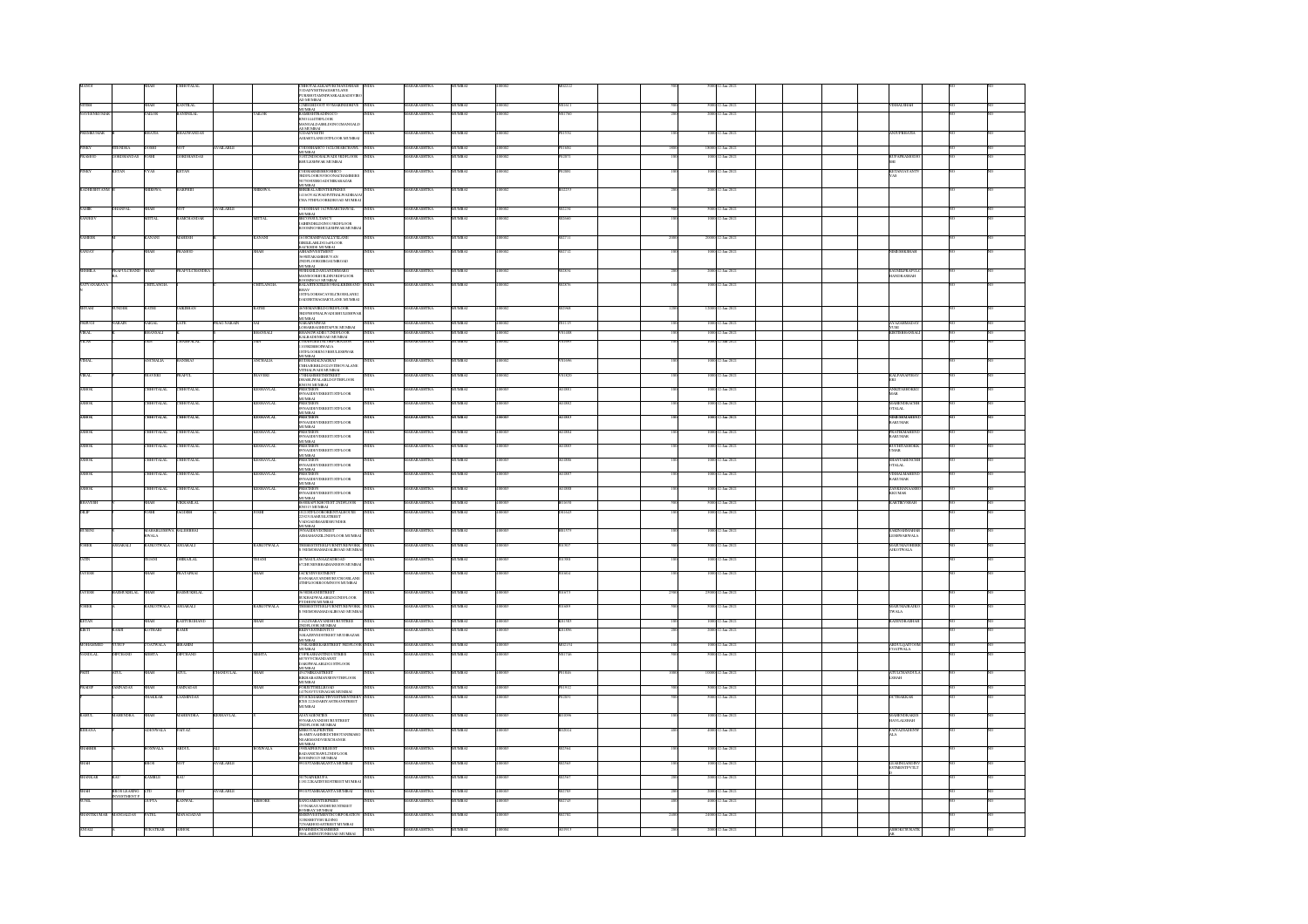|                   |                           |                   | <b>OTALA</b>                 |                 |                 | <b>HHOTALALKAPURCHANDSHAH</b>                                                                                                           |             | <b>JARASHTRA</b>          |                      |       |  |               |                       |  |                                       |  |
|-------------------|---------------------------|-------------------|------------------------------|-----------------|-----------------|-----------------------------------------------------------------------------------------------------------------------------------------|-------------|---------------------------|----------------------|-------|--|---------------|-----------------------|--|---------------------------------------|--|
|                   |                           |                   |                              |                 |                 | <b>IDADYSETHAGIARYLANE</b><br>URSHOTAMNIWASKALBADEVIR                                                                                   |             |                           |                      |       |  |               |                       |  |                                       |  |
| <b>STTISH</b>     |                           | НАН               | CANTELAL                     |                 |                 | ND MUMBAI<br>2MEGHDOOT 955MARINEDRIVE<br>MUMBAI                                                                                         | <b>NDLA</b> | <b>MAHARASHTRA</b>        | <b>IUMBAI</b>        | 01611 |  |               | 5000 12-Jan-2021      |  | <b>ISHALSHAH</b>                      |  |
|                   |                           | <b>LOR</b>        |                              |                 |                 |                                                                                                                                         |             |                           |                      |       |  |               |                       |  |                                       |  |
|                   |                           |                   |                              |                 |                 | ROMBAL<br>NOI 444THFLOOR<br>NOI 444THFLOOR<br>6 MUMB 51<br>6 MUMB 51                                                                    |             |                           |                      |       |  |               |                       |  |                                       |  |
| PREMKUMAR         |                           | <b>LATLA</b>      | <b>AGWANDAS</b>              |                 |                 | <b>SMUMBAL</b><br>EDADYSETH<br>SZDADT SE ITI<br>AGIARYLANEI STFLOOR MUMBAI                                                              |             | <b>AHARASHTRA</b>         | <b>JUMBAI</b>        |       |  |               | Jan-202               |  |                                       |  |
| PINKY             |                           |                   |                              | <b>VAILABLE</b> |                 | CODSSHAHCO 1621.OHARCHAWL                                                                                                               |             |                           | <b>UMBA</b>          |       |  | 180           |                       |  |                                       |  |
| <b>PRAMOD</b>     | <b>RIHANDA</b>            | isii              | <b><i><u>RIHANDA</u></i></b> |                 |                 | 4UMBAI<br>IST2NDSOSALWADI 3RDFLOOR                                                                                                      | <b>NDIA</b> | <b>AHARASHTRA</b>         | <b>TMRAI</b>         |       |  |               | 2.1se202              |  | <b>RUPAPRAM</b>                       |  |
|                   |                           |                   |                              |                 |                 | HULESHWAR MUMBAI                                                                                                                        |             |                           |                      |       |  |               |                       |  |                                       |  |
| PINKY             | <b>DAN</b>                | as.               | TAN                          |                 |                 | <b>ODHARMESHIOSHICO</b>                                                                                                                 |             | HARASHTRA                 | <b>EUMBAI</b>        |       |  |               | $\frac{1}{2}$ an-2021 |  | <b>KETANJAYA</b>                      |  |
|                   |                           |                   |                              |                 |                 | CODIDARSIESFICSTIK.O<br>BRDFLOOR303SOONACHAMBERS<br>507509JSSROADCHIRABAZAR                                                             |             |                           |                      |       |  |               |                       |  |                                       |  |
|                   |                           |                   |                              |                 |                 | MUMBAI<br>SHRIBALAJIENTERPRISES<br>1416OVALWADIVITHALWADIBAJ<br>CHA STHFLOORKDROAD MUMBA                                                |             | SHTR I                    | MBA                  |       |  |               |                       |  |                                       |  |
|                   |                           |                   |                              |                 |                 |                                                                                                                                         |             |                           |                      |       |  |               |                       |  |                                       |  |
| <b>SAMIR</b>      | <b>IANPAL</b>             | HAH               |                              | <b>WAILABLE</b> |                 | ODSSHAH 162WHARCHAWAL                                                                                                                   |             | <b>MAHARASHTRA</b>        | <b><i>EUMBAI</i></b> |       |  |               | 5000 12-Jan-2021      |  |                                       |  |
| <b>SANJEEV</b>    |                           | <b>TTAI</b>       | <b>WCHANDAR</b>              |                 | TTAI            | MUMBAI<br>MUMBAI<br>JAIMBAI CONO SRDFLOOR<br>ROOMNOSBHULESHWAR MUMBA                                                                    |             | <b><i>HARASHTRA</i></b>   | <b>UMBA</b>          |       |  |               |                       |  |                                       |  |
|                   |                           |                   |                              |                 |                 |                                                                                                                                         |             |                           |                      |       |  |               |                       |  |                                       |  |
| SAMEER            |                           | .<br>NAN          | <b>HES</b>                   |                 |                 | 1618CHAMPAGALLYXLANE<br>GIRILILABLDG1sFLOOR                                                                                             |             | <b>HARASHTRA</b>          | UMBAI                |       |  |               | an 20                 |  |                                       |  |
| SANJAY            |                           | IАН               | AMOE                         |                 |                 | <b>ACKSIDE MUMBAL</b><br>SHAINVESTMENT                                                                                                  |             | <b>AHARASHTRA</b>         | UMBAI                |       |  |               | J <sub>202</sub>      |  | MESHKSH                               |  |
|                   |                           |                   |                              |                 |                 | 69SITARAMBHUVAN<br>NDFLOORGIRGAUMROAD                                                                                                   |             |                           |                      |       |  |               |                       |  |                                       |  |
| HІLА              |                           |                   |                              |                 |                 | <b><i>AUMBAL</i></b><br>@SHAMILDASGANDHMARG<br>MANSOORBUILDIN3RDFLOOR                                                                   |             |                           |                      |       |  |               |                       |  | SAUMILPRAFU<br>HANDRASHAF             |  |
| <b>SATYANARAY</b> |                           | ITLANGIA          |                              |                 | <b>SITLANGE</b> | <b>JOMNO43 MUMBAI<br/>ALAJITEXTILESI9BALKRISHANI</b>                                                                                    |             | <b>IAHARASHTRA</b>        | <b>UMBAI</b>         |       |  |               | J <sub>202</sub>      |  |                                       |  |
|                   |                           |                   |                              |                 |                 | BHAV<br>ISTFLOORS6CAVELCROSSLANE2<br>DADISETHAGIARYLANE MUMBAI                                                                          |             |                           |                      |       |  |               |                       |  |                                       |  |
|                   |                           |                   |                              |                 |                 |                                                                                                                                         |             |                           |                      |       |  |               |                       |  |                                       |  |
| <b>SHYAM</b>      |                           |                   |                              |                 |                 | 46NEMANIBLDG3RDFLOOR<br>3RDPHOPHALWADI BHULESHWAR                                                                                       |             |                           | <b>TMRA</b>          |       |  |               |                       |  |                                       |  |
| TRUUGI            | ARAIN                     | SARGAL.           |                              | PRAG NARAIN     |                 | ÆMBAI<br>{ARAINNIWAS                                                                                                                    |             | MAHARASHTRA               | <b>JUMBAI</b>        | 31115 |  |               | 1000 12-Jan-2021      |  | AYAZAHMADA                            |  |
| <b>VIRAL</b>      |                           | HANSALI           |                              |                 | HANSALI         | .<br>OHARBAGHSTAPUR MUMBAL<br>(HANGWADIE) 72NDFLOOR                                                                                     | <b>SDL</b>  | <i><b>MAHARASHTRA</b></i> | <b>UMBAI</b>         | 31408 |  |               | 1000 12-Jan-2021      |  | YUBI<br>KIRTISBHANSA                  |  |
| VILAS             |                           |                   | MPALAI                       |                 |                 |                                                                                                                                         |             | <b>SHTR</b>               | MBAI                 |       |  |               | Jan-2021              |  |                                       |  |
|                   |                           |                   |                              |                 |                 | KALBADENROAD MUMBAL<br>COSANGEETACORPORATION<br>1103RDBHOIWADA<br>15TH.DORRN15BHULESHWAR<br>15TH.DORRN15BHULESHWAR                      |             |                           |                      |       |  |               |                       |  |                                       |  |
| VIMAL.            |                           | NCHALLA           | NSRA                         |                 | NCHALIA         | MUMBAI<br>BUDHAMALNAGRAJ<br>CHHAJERBLDG24VITHOVALANE                                                                                    |             | <b>AHARASHTRA</b>         | <b>JUMBAI</b>        |       |  |               | 3-Jan-202             |  |                                       |  |
|                   |                           |                   |                              |                 |                 |                                                                                                                                         |             |                           |                      |       |  |               |                       |  |                                       |  |
| <b>VIRAL</b>      |                           | <b>AVERI</b>      | :AFUL                        |                 | AVERI           | CHHARIBILIKZ4VITHUVALAN<br>VITHALWADI MUMBAI<br>17SHAMSHETHSTREET<br>DHABLIWALABI.DGSTHFLOOR<br>RNO18 MUMBAI<br>RRECSION<br>1830 MUMBAI |             | <b>AHARASHTRA</b>         | <b>UMBAI</b>         |       |  |               | Jan-2021              |  | KALPANAPJHA<br>ERI                    |  |
| <b>ASHOK</b>      |                           | HOTALAI           | <b>FOTALA</b>                |                 |                 |                                                                                                                                         |             | <b>JARASHTRA</b>          | <b>IMRAI</b>         |       |  |               | Im(202)               |  | ANKITA<br>MAR                         |  |
|                   |                           |                   |                              |                 |                 | UMBAI<br>RECISION                                                                                                                       |             |                           |                      |       |  |               |                       |  |                                       |  |
| <b>ASHOK</b>      |                           | <b>BOTALAL</b>    | <b>FOTALAL</b>               |                 | HAVLAI          | <b>RELINUN<br/>9NAGDEVISREETISTFLOOR</b>                                                                                                |             | <b>IARASHTRA</b>          | UMBAI                |       |  |               | lan-2021              |  | MAHENDRAC<br>OTALAL                   |  |
| ASHOK             |                           | IOTALAL           | <b>OTALAI</b>                |                 | HAVLAI          | MUMBAI<br>PRECISION<br>89NAGDEVISREETISTFLOOR                                                                                           |             | <b>ARASHTRA</b>           | MBAI                 |       |  |               | Jan-2021              |  | NIMESHMA<br>RAKUMAR                   |  |
| ASHOK             |                           | <b>IOTALAL</b>    | <b>DTALAI</b>                |                 |                 | AUMBAI<br>RECISION<br>9NAGDEVISREETISTFLOOR                                                                                             |             | ASHTRA                    | <b>IMBA</b>          |       |  |               | m, 202                |  | PRATIKMAH                             |  |
|                   |                           |                   |                              |                 |                 |                                                                                                                                         |             |                           |                      |       |  |               |                       |  | <b>RAKUMAR</b>                        |  |
| ASHOK             |                           | <b>SOTALAI</b>    | <b>TALA</b>                  |                 |                 | <b>IUMBAI</b><br>RECISION<br>9NAGDEVISREET1STFLOOR                                                                                      |             |                           | UMB.                 |       |  |               |                       |  | <b>UCHITASH</b><br><b>UMAR</b>        |  |
| ASHOK             |                           | <b>TALA</b>       | TALA                         |                 |                 | MUMBAL<br>MUMBAL<br>SONAGDEVISREETISTFLOOR<br>MUMBAL<br>PRECISION<br>MUMBAL                                                             |             |                           | <b>UMBA</b>          |       |  |               |                       |  |                                       |  |
|                   |                           |                   |                              |                 |                 |                                                                                                                                         |             |                           |                      |       |  |               |                       |  | SHANTAB<br>OTALAL                     |  |
| <b>ASHOK</b>      |                           | <b>IROTALAL</b>   | <b>HOTALAL</b>               |                 | SHAVLAI         | <b>RELISION</b><br>9NAGDEVISREET1STFLOOR                                                                                                |             | <b>AHARASHTRA</b>         | <b>EUMBAI</b>        |       |  |               | -Jan-2021             |  | ISHALMAHE?<br><b>RAKUMAR</b>          |  |
| SHOK              |                           |                   |                              |                 |                 | <b>AUMBAI<br/>RECISION<br/>9NAGDEVISREETISTFLOOR</b>                                                                                    |             |                           |                      |       |  |               |                       |  | .<br>GKUMAR<br>GKUMAR                 |  |
|                   |                           |                   |                              |                 |                 |                                                                                                                                         |             |                           |                      |       |  |               |                       |  |                                       |  |
| <b>BHAVESH</b>    |                           |                   | <b>KRAMLAL</b>               |                 |                 | IUMBAI<br>688BAPUKHOTEST 2NDFLOOR<br>NOI 3 MUMBAI<br>021STFLOORORIENTALHOUSE                                                            |             | <b>AHARASHTRA</b>         | <b>TIMRAI</b>        |       |  |               | $Jan-202$             |  | KARTIKVSHA                            |  |
| <b>DEP</b>        |                           | S <sub>H</sub>    | <b>GDISH</b>                 |                 |                 | 2923 ISAMUELSTREET<br>ADGADIMASJIDBUNDER                                                                                                | NDIA        | <b>ANHARASHTRA</b>        | <b>JUMBAI</b>        |       |  |               | J <sub>202</sub>      |  |                                       |  |
|                   |                           |                   |                              |                 |                 |                                                                                                                                         |             |                           |                      |       |  |               |                       |  |                                       |  |
| HUSEN             |                           | MAHABLE:<br>RWALA |                              |                 |                 | ALMBAI<br>ALMBAI<br>@NAGDEVISTREET<br>\SMAMANZIL2NDFLOOR MUMBAI                                                                         |             |                           | <b>UMBA</b>          |       |  |               |                       |  | SAKINAHMAH/<br>LESHWARWAL             |  |
| <b>JOHER</b>      |                           | <b>JKOTWAL</b>    | ARAL.                        |                 |                 | HEBESTSTEELFURNITUREWORK<br>38EMOHAMADALIROAD MUMB.                                                                                     |             | ARASHTRA                  | UMBAI                |       |  |               | m, 202                |  | <b>ASUMAJOHER</b><br><b>AIKOTWALA</b> |  |
|                   |                           |                   | RAJLA                        |                 |                 | MAULANAAZADROAD                                                                                                                         |             |                           | MBA                  |       |  |               |                       |  |                                       |  |
|                   |                           |                   |                              |                 |                 | 72HUSENBHAIMANSION MUMBA                                                                                                                |             |                           |                      |       |  |               |                       |  |                                       |  |
|                   |                           |                   |                              |                 |                 | IACKYINVESTMENT<br>SI6NARAYANDHURUCROSSLANE<br>4THFLOORROOMNO38 MUMBAI                                                                  |             |                           |                      |       |  |               |                       |  |                                       |  |
|                   |                           |                   |                              |                 |                 |                                                                                                                                         |             |                           |                      |       |  |               |                       |  |                                       |  |
| <b>JAYESH</b>     | SMUKHLAL                  | HAF               | <b>SMUKHLAL</b>              |                 |                 | 638DHANJISTREET<br>UKHADWALABLDG2NDFLOOR                                                                                                |             | <b>AHARASHTRA</b>         | <b>UMBAI</b>         |       |  |               | 25000 12-Jan-202      |  |                                       |  |
| <b>TOHER</b>      |                           |                   |                              |                 |                 | YDHONI MUMBAI<br>HEBESTSTEELFURNITUREWORK<br>38EMOHAMADALIROAD MUMBA                                                                    |             |                           | <b>UMBA</b>          |       |  |               |                       |  |                                       |  |
|                   |                           |                   |                              |                 |                 |                                                                                                                                         |             |                           |                      |       |  |               |                       |  | MASUMAJE<br>TWALA                     |  |
| KETAN             |                           | <b>TAH</b>        | STURGHANI                    |                 |                 | 1624NARAYANDHURUSTREE                                                                                                                   |             | <b>MAHARASHTRA</b>        | <b>JUMBAI</b>        |       |  |               | 1000 12-Jan-2021      |  | RAJENDRAS                             |  |
| KIRTI             |                           | THAR              | IUA                          |                 |                 | <b>INDELOOR MUMBAL PRESENTING</b><br>RKINVESTMENTCO<br>34KAZISYEDSTREET MUDIBAZAR                                                       |             | <b>AHARASHTRA</b>         | <b>UMBAI</b>         |       |  |               | J <sub>20</sub> 202   |  |                                       |  |
|                   |                           | <b>TWALA</b>      |                              |                 |                 | <b>IUMBAI<br/>S6K AMBEKARSTREET 3RDFLOG</b>                                                                                             |             |                           | <b>IMBAI</b>         |       |  |               | J <sub>202</sub>      |  | ABDULQAIY<br><u>"OATWALA</u>          |  |
| <b>JANDEA</b>     |                           | <b>SHTA</b>       | <b>THAN</b>                  |                 |                 |                                                                                                                                         |             | <b>HARASHTRA</b>          | <b>IMRA</b>          |       |  |               | n/102                 |  |                                       |  |
|                   |                           |                   |                              |                 |                 | SSKAMBEKARSTREET 3RDFL<br>MUMBAI<br>COPRASHANTINDUSTRIES<br>SS70VVCHANDANST<br>DARUWALABLDGISTFLOOR<br>N#P-19-A1                        |             |                           |                      |       |  |               |                       |  |                                       |  |
| PRITT             |                           | IÆ                | TUL.                         | <b>JANDULAL</b> |                 | MUMBAI<br>4547MIRZASTREET<br>RIKHABAJIMANSIONSTHFLOOR                                                                                   |             | <b><i>AMARASHTRA</i></b>  | <b>UMBAI</b>         |       |  |               | 10000 12-Jan-202      |  | ATULCHANDUL<br>LSHAH                  |  |
| PRADIP            |                           |                   | NADA                         |                 |                 | AUMBAI<br>FORJETTHILLROAD                                                                                                               |             | <b>HARASHTRA</b>          | <b>IMRAI</b>         |       |  |               | 2-Jan-202             |  |                                       |  |
|                   |                           | <b>AKKAR</b>      | <b>JOHNDAS</b>               |                 |                 | 147NAVYUGNAGAR MUMBAI<br>STOCKMARKETINVESTMENTSER                                                                                       | m           | <b>AHARASHTRA</b>         | <b>UMBAI</b>         |       |  | $\frac{1}{2}$ | 2-Jan-2021            |  | <b>CTHAKKAR</b>                       |  |
|                   |                           |                   |                              |                 |                 | ICES 2226DARIYASTHANSTREET<br>MUMBAI                                                                                                    |             |                           |                      |       |  |               |                       |  |                                       |  |
| RAHUL.            | ENDRA                     | IМ                | <b>HENDRA</b>                | SHAVLAL         |                 |                                                                                                                                         |             | <b>HARASHTRA</b>          | MBAI                 |       |  |               | $-3an-2021$           |  |                                       |  |
|                   |                           |                   |                              |                 |                 | AJAYAGENCIES<br>95NARAYANDHURUSTREET<br>1<br>NDFLOOR MUMBAL                                                                             |             |                           |                      |       |  |               |                       |  | MAHENDRAKI<br>HAVLALSHAH              |  |
| REHANA            |                           | <b>IFWWAI A</b>   |                              |                 |                 |                                                                                                                                         |             | <b>HARASHTRA</b>          | <b>IMRAI</b>         |       |  |               | $-202$                |  | <b>AIVAZSADE</b><br><b>ALA</b>        |  |
|                   |                           |                   |                              |                 |                 | <b>GAMIY AAHMEDCHHOTANIMAR</b><br>EARMANDVIEXCHANGE                                                                                     |             |                           |                      |       |  |               |                       |  |                                       |  |
| <b>SHABBIR</b>    |                           | <b>OXWALA</b>     | <b>BDUL</b>                  |                 | <b>XWALA</b>    | AUMBAI<br>98SAIFEEJUBILEEST<br>IADANICHAWL2NDFLOOR                                                                                      |             | <b>AHARASHTRA</b>         | <b>EUMBAI</b>        |       |  |               | 1000 12-Jan-2021      |  |                                       |  |
|                   |                           |                   |                              | <b>All ABLE</b> |                 | <b>OMNO25 MUMBAL</b><br>103TAMBAKANTA MUMB                                                                                              |             | curro.                    | <b>IMRA</b>          |       |  |               |                       |  |                                       |  |
|                   |                           |                   |                              |                 |                 |                                                                                                                                         |             |                           |                      |       |  |               |                       |  | TMENTPVTLT                            |  |
| <b>SHANKAR</b>    |                           | MBLE              |                              |                 |                 | <b>NAINKRUPA</b><br>18122KAZISYEDSTREET MUMBA                                                                                           |             | HARASHTRA                 | <b>EUMBAI</b>        |       |  |               | $\frac{1}{2}$ an-2021 |  |                                       |  |
| SHAH              | ROS LEASING<br>VESTMENT F |                   |                              | <b>WAILABLE</b> |                 | .<br>3TAMBAKANTA MUMBA                                                                                                                  |             | ASHTR.                    | MBAI                 |       |  |               | $-3an-202$            |  |                                       |  |
| <b>SENT</b>       |                           | <b>PTA</b>        |                              |                 | $\frac{1}{2}$   | NGAMENTERPRIES                                                                                                                          |             | <b>HARASHTRA</b>          | <b>IMRAI</b>         |       |  |               | $\frac{1}{2}$         |  |                                       |  |
| HANTIKUMA         |                           |                   |                              |                 |                 | <b>3NARAYANDHURUSTREET</b><br><b>GNARAY ANDREAGE </b><br>OMBAY MUMBAI<br><sup>MS</sup> INVESTMENTSCORPORATION                           |             |                           | <b>MRA</b>           |       |  |               |                       |  |                                       |  |
|                   |                           |                   |                              |                 |                 | 2JRSHETYBUILDING                                                                                                                        |             |                           |                      |       |  |               |                       |  |                                       |  |
|                   |                           |                   |                              |                 |                 | NAKHODASTREET MUMBAL<br>VAHMEDCHAMBERS<br><b>LAMINGTONROAD MUMBAL</b>                                                                   |             |                           |                      |       |  |               |                       |  |                                       |  |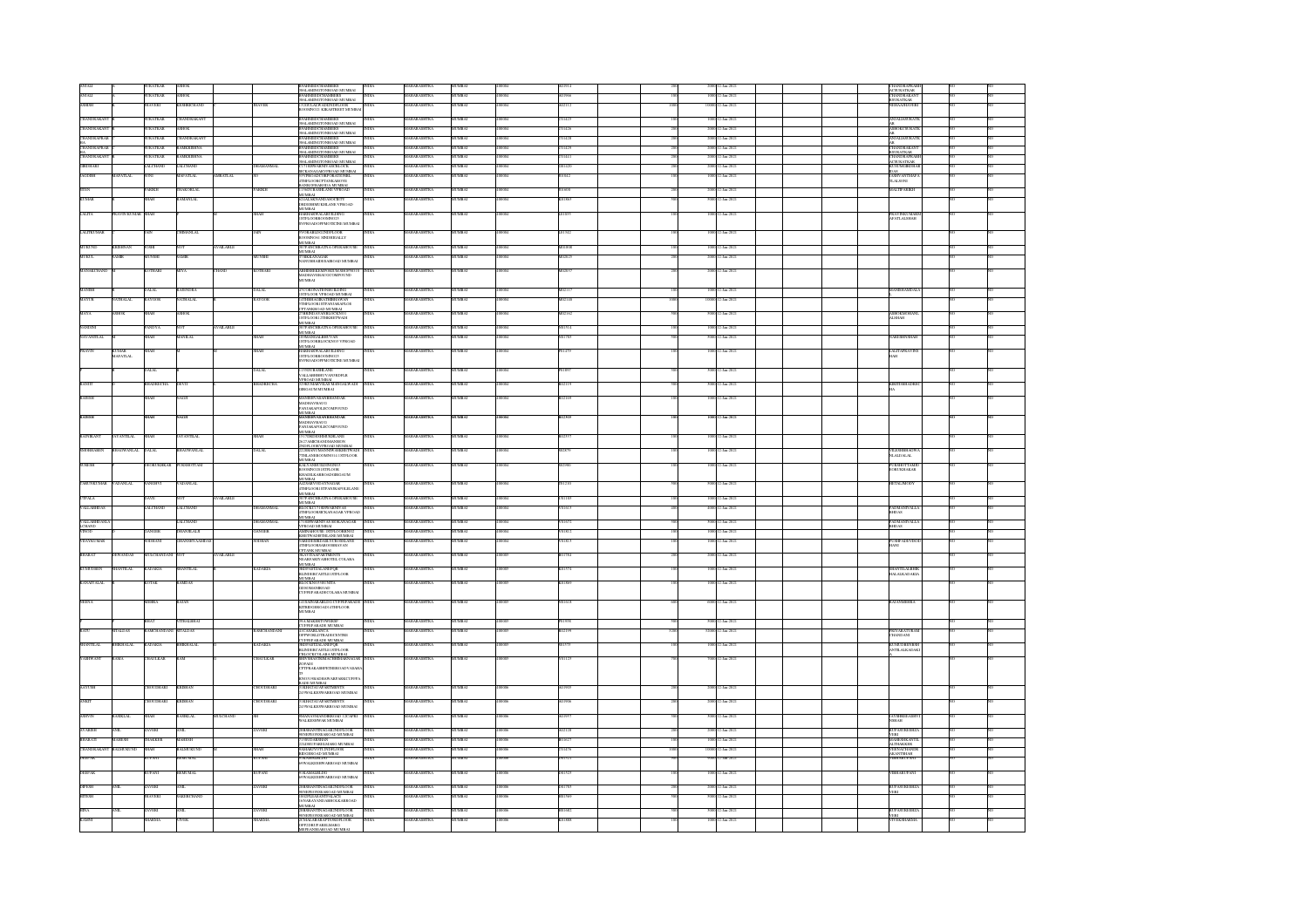|                           |                  | 0.47V <sub>A</sub> |                             |                  |                  | <b>B9AHMEDCHAMBERS<br/>386LAMINGTONROAD MUMBAI<br/>B9AHMEEDCHAMBERS</b>                   |             |                          | 101                  |       |     |       |                         |  |  | :<br>HANDRAPR<br>:HANDRAKAI        |  |  |
|---------------------------|------------------|--------------------|-----------------------------|------------------|------------------|-------------------------------------------------------------------------------------------|-------------|--------------------------|----------------------|-------|-----|-------|-------------------------|--|--|------------------------------------|--|--|
|                           |                  | <b>AVER</b>        |                             |                  |                  | <b>SSLAMINGTONROAD MUMBAL</b><br>V2GULALWADIZNDELOOR                                      |             |                          | <b>IMBA</b>          |       |     |       |                         |  |  | <b>RSURATKAR</b>                   |  |  |
|                           |                  |                    |                             |                  |                  | OMNO21 KIKASTREET MUMBA                                                                   |             |                          |                      |       |     |       |                         |  |  |                                    |  |  |
| HANDRAKA                  |                  | <b>URATKAR</b>     | HANDRAKAN                   |                  |                  | <b>AHMEDCHAMBERS</b>                                                                      |             |                          | <b>EUMBAI</b>        |       |     |       | 1000 12-Jan-2021        |  |  | <b>ANJALIASURAT</b>                |  |  |
| <b>HANDRAKA</b>           |                  | <b>BATKAR</b>      | $\overline{a}$              |                  |                  | LAMINGTONROAD MUMBAL<br>WIMEDCHAMBERS                                                     |             |                          | <b>FINBAL</b>        |       |     |       | 2000 12-146-202         |  |  | .<br>SHOKESHRA                     |  |  |
|                           |                  |                    |                             |                  |                  | <b>SELAMINGTONROAD MUMBAL</b><br>9AHMEDCHAMBERS                                           |             |                          |                      |       |     |       |                         |  |  |                                    |  |  |
| <b>HANDRAPRA</b>          |                  | <b>DATKAR</b>      | <b>LANDRAKAP</b>            |                  |                  |                                                                                           |             |                          | <b>ELMBAL</b>        |       |     |       | 2000 12-Jan-2021        |  |  | AR<br>ANJALIASURAT                 |  |  |
| IA<br>'HANDRAPRAB         |                  | <b>SURATKAR</b>    | <b>AMKRISHNA</b>            |                  |                  | SELAMINGTONROAD MUMBAI<br>)AHMEDCHAMBERS                                                  | NDIA        | <b>AHARASHTRA</b>        | MUMBAI               | 1425  | 200 |       | 2000 12-Jan-2021        |  |  | AK<br>CHANDRAKANI                  |  |  |
| IA<br>'HANDRAKAN          |                  | <b>SURATKAR</b>    | <b>AMKRISHNA</b>            |                  |                  | SSAGELP, FLANISERS<br>86LAMINGTONROAD MUMBAL<br>9AHMEDCHAMBERS<br>20LAMINGTO              | NDIA        | <b>IAHARASHTRA</b>       | MUMBAI               | 144   | 200 |       | 2000 12-Jan-2021        |  |  | <b>RSURATKAR</b><br>CHANDRAPRAE    |  |  |
|                           |                  |                    |                             |                  |                  | WAHMEDUHAMISERS<br>86LAMINGTONROAD MUMBAL<br>"1718ISWARNIVASCBLOCK                        |             |                          |                      |       |     |       |                         |  |  | <b>ACSURATKAR</b><br>KUSUMGIRDHA   |  |  |
| <b>IRDHARI</b>            |                  | <b>ALCHAND</b>     | <b>ALCHAND</b>              |                  | HAMANMAL         |                                                                                           | NDIA        | <b>ANHARASHTRA</b>       | <b>JUMBAI</b>        | (142) |     |       | 2000 12-Jan-2021        |  |  |                                    |  |  |
|                           |                  |                    |                             |                  |                  | <b>SCKANAGARVPROAD MUMBAL</b><br>SVFROADCORPORATIONBL<br>THFLOORCPTANKABOVE               |             |                          | MBAI                 |       |     |       |                         |  |  | <b>JASHVANTS</b><br>TLALSONI       |  |  |
|                           |                  |                    |                             |                  |                  | <b>NKOFBARODA MUMBAL</b><br>B6DUBASHLANE VPROAD                                           |             |                          |                      |       |     |       |                         |  |  |                                    |  |  |
|                           |                  | RIKH               | KORI AI                     |                  |                  | <b>UMBAI</b>                                                                              |             |                          | <b>UMBAI</b>         |       |     | 2000  | Im 202                  |  |  | <b>MALTPARIKH</b>                  |  |  |
| KUMAR                     |                  |                    | <b>MANLAL</b>               |                  |                  | MUMBAI<br>624ALAKNANDASOCIETY<br>DRDESHMUKHLANE VPROAD                                    |             | <b><i>HARASHTRA</i></b>  | <b>JUMBAI</b>        |       |     | 5000  | J <sub>202</sub>        |  |  |                                    |  |  |
|                           |                  |                    |                             |                  |                  |                                                                                           |             |                          |                      |       |     |       |                         |  |  |                                    |  |  |
| <b>ALITA</b>              |                  |                    |                             |                  |                  | <b>di MBAI<br/>KARHARWALABUILDING<br/>STFLOORROOMNO25<br/>VPROADOPPMOTICINE MUMBAI</b>    |             | <b>ARASHTR</b>           | <b>IMB</b>           |       |     |       |                         |  |  | <b>PRAVINKUMAI</b><br>AFATLALSHAH  |  |  |
|                           |                  |                    |                             |                  |                  |                                                                                           |             |                          |                      |       |     |       |                         |  |  |                                    |  |  |
| <b>LALITKUMAR</b>         |                  |                    |                             |                  |                  | OR ARE DO WDELOOR                                                                         |             | <b>IADACUTO</b>          | <b>IMRAI</b>         |       |     |       |                         |  |  |                                    |  |  |
|                           |                  |                    |                             |                  |                  | OMNO61 SINDHIGALLY                                                                        |             |                          |                      |       |     |       |                         |  |  |                                    |  |  |
| MUKUND                    | RISHNAN          | <b>ROSHI</b>       |                             | <b>AVAILABLE</b> |                  | IUMBAI<br>07PANCHRATNA OPERAHOUSE                                                         | INDIA       | <b>ANHARASHTRA</b>       | MUMBAI               | 1808  |     |       | 1000 12-Jan-2021        |  |  |                                    |  |  |
| <b>EUKUL</b>              |                  |                    |                             |                  |                  | IUMBAI<br>ISIKKANAGAR<br>ANUBHAIDESAIROAD MUMBAI                                          |             |                          |                      |       |     |       |                         |  |  |                                    |  |  |
|                           |                  |                    |                             |                  |                  |                                                                                           |             |                          |                      |       |     |       |                         |  |  |                                    |  |  |
| <b><i>EANAKCHAN</i></b>   |                  |                    |                             |                  |                  |                                                                                           |             |                          | <b>UMBAI</b>         |       |     |       | $Jan-202$               |  |  |                                    |  |  |
|                           |                  |                    |                             |                  |                  | BHISHEKEMPORIUM SHOPNOI<br>IADHAVEBAUGCOMPOUND<br><b>MBAI</b>                             |             |                          |                      |       |     |       |                         |  |  |                                    |  |  |
|                           |                  |                    |                             |                  |                  |                                                                                           |             |                          |                      |       |     |       |                         |  |  |                                    |  |  |
| LANISH                    |                  | <b>DALAL</b>       | <b><i><u>JENDRA</u></i></b> |                  | ALAL             | <b>CORONATIONBUILDING</b>                                                                 |             | <b>IAHARASHTR</b>        | <b>IUMBAI</b>        |       |     |       | 1000 12-Jan-202         |  |  |                                    |  |  |
| MAYUR                     | THALA            | <b>AYGOR</b>       | <b>ATHALAL</b>              |                  | <b>YGOS</b>      | STFLOOR VPROAD MUMBAI<br>4THBHAGIRATHIBHAWAN<br>THFLOOR ISTPANJARAPLOE                    |             | <b>HARASHTR</b>          | <b>EUMBAI</b>        |       |     |       | 10000 12-Jan-2021       |  |  |                                    |  |  |
|                           |                  |                    |                             |                  |                  |                                                                                           |             |                          |                      |       |     |       |                         |  |  |                                    |  |  |
| MAYA                      |                  |                    | <b>HOK</b>                  |                  |                  | TANKROAD MUMBAL<br>BRINDAVANBLOCKNOL<br>STFLOOR12THKHETWADI                               |             |                          | <b>IMRAI</b>         |       |     |       | $302 - 202$             |  |  | ASHOKMO<br>ALSHAH                  |  |  |
|                           |                  |                    |                             |                  |                  | <b>ÆMBAI<br/>07PANCHRATNA OPERAHOUSE</b>                                                  |             |                          |                      |       |     |       |                         |  |  |                                    |  |  |
| NANDINI                   |                  | ANDYA              |                             | <b>AVAILABLE</b> |                  |                                                                                           | NDIA        | <b>AHARASHTRA</b>        | MUMBAI               |       |     |       | 1000 12-Jan-2021        |  |  |                                    |  |  |
| .<br>AVANITLAL            |                  |                    | NILAL                       |                  |                  | MUMBAI<br>109MANGALBHUVAN<br>ISTFLOORBLOCKNO3 VPROAD                                      |             | <b>HARASHTR</b>          | <b>UMBAI</b>         |       |     | 5000  |                         |  |  | RESHNSE                            |  |  |
|                           |                  |                    |                             |                  |                  |                                                                                           |             |                          |                      |       |     |       |                         |  |  |                                    |  |  |
| RAVIN                     | UMAR<br>IAFATLAL |                    |                             |                  |                  | <b>AUMBAI<br/>IARHARWALABUILDING<br/>STFLOORROOMNO25</b>                                  |             |                          | MBA                  |       |     |       | $Jan-202$               |  |  | <b>LALITAPRA</b>                   |  |  |
|                           |                  |                    |                             |                  |                  | PROADOPPMOTICINE MUMBA                                                                    |             |                          |                      |       |     |       |                         |  |  |                                    |  |  |
|                           |                  | <b>ALAI</b>        |                             |                  | .<br>Mal         | 35DUBASHLANE                                                                              |             | <b>AHARASHTRA</b>        | <b><i>EUMBAI</i></b> |       |     |       | 3000 12-Jan-2021        |  |  |                                    |  |  |
|                           |                  |                    |                             |                  |                  | ALLABHBHUVAN3RDFLR                                                                        |             |                          |                      |       |     |       |                         |  |  |                                    |  |  |
| RANJIT                    |                  | ADRECH/            |                             |                  | <b>ADRECHA</b>   | TROAD MUMBAL<br>PROAD MUMBAL<br>IRGAUM MUMBAI                                             |             | <b>HARASHTRA</b>         | UMBAI                |       |     |       | 3000 12-Jan-202         |  |  | <b>KIRITDB</b>                     |  |  |
|                           |                  |                    |                             |                  |                  |                                                                                           |             |                          |                      |       |     |       |                         |  |  |                                    |  |  |
| RAJESH                    |                  |                    |                             |                  |                  | <b>ANISHVASANBHANDA</b>                                                                   |             | <b>AHARASHTRA</b>        | <b>ALIMRAL</b>       |       |     |       | $302 - 202$             |  |  |                                    |  |  |
|                           |                  |                    |                             |                  |                  | <b>ADHAVBAUG<br/>NJARAPOLECOMPOUND</b>                                                    |             |                          |                      |       |     |       |                         |  |  |                                    |  |  |
|                           |                  |                    | son                         |                  |                  | UMBAI<br>ANISHVASANBHANDAR                                                                |             |                          |                      |       |     |       |                         |  |  |                                    |  |  |
| RAJESH                    |                  | HAF                |                             |                  |                  |                                                                                           |             | <b>ANARASHTRA</b>        | <b>EUMBAI</b>        |       |     |       | 1000 12-Jan-2021        |  |  |                                    |  |  |
|                           |                  |                    |                             |                  |                  | ADHAVBAUG<br>NJARAPOLECOMPOUND                                                            |             |                          |                      |       |     |       |                         |  |  |                                    |  |  |
|                           |                  |                    |                             |                  |                  | <b>UMBAI<br/>&lt;+7DRDESHMUKHLANE</b>                                                     |             |                          |                      |       |     |       |                         |  |  |                                    |  |  |
|                           |                  |                    |                             |                  |                  | 17DROESDBUND-SAM<br>27 AMICHANDMANSION<br>(DFLOORVPROAD MUMBAI)<br>28HANUMANNIWASKHETWAD  |             |                          |                      |       |     |       |                         |  |  |                                    |  |  |
| <b>MORHAREN</b>           | <b>CWANTAL</b>   | at at              | <b>HAGWANI AL</b>           |                  | AL AI            | THLANEROOMNO14 1STFLOOR                                                                   |             | <b>HARASHTRA</b>         | <b>IMRAI</b>         |       |     |       |                         |  |  | VII ESHRHAGV<br><b>NLALDALAL</b>   |  |  |
|                           |                  |                    |                             |                  |                  |                                                                                           |             |                          |                      |       |     |       |                         |  |  |                                    |  |  |
| URESH                     |                  | <b>EORUKHKAR</b>   | <b>URSHOTTAM</b>            |                  |                  | <b>IUMBAI<br/>ALYANBUILDINGNO3</b>                                                        |             | <b>HARASHTRA</b>         | <b>UMBAI</b>         |       |     |       |                         |  |  | PURSHOTTAMI<br>EORUKHAKAR          |  |  |
|                           |                  |                    |                             |                  |                  | <b>OMNO201 STFLOOR</b><br>HADILKARROADGIRGAUM                                             |             |                          |                      |       |     |       |                         |  |  |                                    |  |  |
| <b>ARUNKU</b>             |                  |                    |                             |                  |                  | <b>JUMBAI<br/>JUMBAI<br/>ITHFLOOR ISTPANIRAPOLELANE</b>                                   |             |                          |                      |       |     |       |                         |  |  | TAI IMC                            |  |  |
|                           |                  |                    |                             |                  |                  |                                                                                           |             |                          |                      |       |     |       |                         |  |  |                                    |  |  |
| UTPALA                    |                  | <b>IVF</b>         |                             | <b>AVAILABLE</b> |                  | IUMBAI<br>IUMBAI<br>07PANCHRATNA OPERAHOUSE                                               |             | HARASHTRA                | MUMBAI               |       |     |       | 1000 12-Jan-2021        |  |  |                                    |  |  |
| ALLABHI                   |                  |                    | <b>LCHAND</b>               |                  |                  | MUMBAI                                                                                    |             |                          | MBAI                 |       |     |       | Jan-202                 |  |  | ADMANIVAL                          |  |  |
|                           |                  |                    |                             |                  |                  | #UMBAI<br>ILOCKC1718BWARNIVAS<br>THFLOORSICKANAGAR VPROAD                                 |             |                          |                      |       |     |       |                         |  |  | <b>BHDAS</b>                       |  |  |
|                           |                  |                    | CHAN                        |                  |                  | UMBAI<br>18ISWARNIVAS SIOKANAGAR                                                          |             |                          | MBA                  |       |     |       |                         |  |  | <b>DMANIVALI</b>                   |  |  |
| VALLAB<br>LCHANE<br>VINOD |                  |                    |                             |                  |                  | ISISWARNA AS<br>ROAD MUMBAI<br>#VAHOUSE ISTFLOORRNO2                                      |             |                          | <b>ELMRAI</b>        |       |     |       |                         |  |  |                                    |  |  |
|                           |                  | WER                | ANIH AI H                   |                  | NGER             |                                                                                           | <b>STOR</b> | <b>HARASHTRA</b>         |                      |       |     |       | $Jan-202$               |  |  |                                    |  |  |
| VIJAYKUMAR                |                  | DHANI              | <b>NSHVAAM</b>              |                  |                  | <b>HETWADBTHLANE MUMBAL</b><br>AREDESIRDASLYCROSSLANE<br>THFLOORSABOOBHAVAN               |             | <b>HARASHTRA</b>         | <b>IMBAI</b>         |       |     |       | J <sub>202</sub>        |  |  | <b>SHPADEVI</b><br>HANI            |  |  |
|                           |                  |                    |                             |                  |                  |                                                                                           |             |                          |                      |       |     |       |                         |  |  |                                    |  |  |
| <b>BHARAT</b>             | EWANDAS          | <b>MULCHAND</b>    |                             | <b>AVAILABLE</b> |                  | CPTANK MUMBAL<br>SKAVITAAPARTMENTS<br>NEARFARIYASHOTEL COLABA                             |             | <b>AHARASHTRA</b>        | <b>IUMBAI</b>        |       |     |       | 2000 12-Jan-2021        |  |  |                                    |  |  |
| KUMUDBEI                  |                  | <b>DAVI</b>        |                             |                  |                  |                                                                                           |             |                          | <b>MRAI</b>          |       |     |       |                         |  |  |                                    |  |  |
|                           |                  |                    |                             |                  |                  | <b>ALMBAI<br/>ARDPASTZALANEPQR<br/>BLINDERCASTLE1STFLOOR</b>                              |             |                          |                      |       |     |       |                         |  |  | SHANTILALBHIK<br>HALALKADAKIA      |  |  |
| KANAIYALAL                |                  | OTAK               | <b>AMDAS</b>                |                  |                  | IUMBAI<br>LOCKNO33SUNITA                                                                  | <b>DIA</b>  | <b><i>HARASHTRA</i></b>  | <b>JUMBAI</b>        |       |     |       | 12-Jan-2021             |  |  |                                    |  |  |
|                           |                  |                    |                             |                  |                  | DSOMANIROAD                                                                               |             |                          |                      |       |     |       |                         |  |  |                                    |  |  |
|                           |                  |                    |                             |                  |                  | UFFEPARADECOLABA MUMBAI                                                                   |             |                          |                      |       |     |       |                         |  |  |                                    |  |  |
| <b>ENA</b>                |                  |                    |                             |                  |                  | ISAINARABLIXI CUFFEPARADE<br>TRIDGEROAD I 4 THFLOOR<br>UMBAI                              |             |                          |                      |       |     |       | tan 202                 |  |  |                                    |  |  |
|                           |                  |                    |                             |                  |                  |                                                                                           |             |                          |                      |       |     |       |                         |  |  |                                    |  |  |
|                           |                  |                    | <b>THALBHAI</b>             |                  |                  | <b>A MAKERTOWERS</b>                                                                      | <b>DIA</b>  | <b><i>AMARASHTRA</i></b> | <b>JUMBAI</b>        |       |     |       | 5000 12-Jan-2021        |  |  |                                    |  |  |
|                           |                  |                    |                             |                  |                  |                                                                                           |             |                          |                      |       |     |       |                         |  |  |                                    |  |  |
|                           | <b>TALDAS</b>    | AMCHANDANI         | <b>STALDAS</b>              |                  | <b>AMCHANDAN</b> | <b><i>A MAKERTOWERSE</i></b><br>UFFEPARADE MUMBAL<br>ICASABLANCA<br>PPWORLDTRADECENTRE    | <b>DIA</b>  | <b>HARASHTRA</b>         | <b><i>EUMBAI</i></b> |       |     | 32000 | 2-Jan-2021              |  |  | <b>PRIYARATURAN</b><br>CHANDANI    |  |  |
| <b>HANTILAL</b>           |                  |                    |                             |                  |                  |                                                                                           |             |                          |                      |       |     |       |                         |  |  | <b><i>METAPES</i></b>              |  |  |
|                           |                  |                    |                             |                  |                  | <b>CUFFEPARADE MUMBAI<br/>SRDPASTZALANEPQR<br/>BLINDERCASTLEISTFLOOR</b>                  |             |                          |                      |       |     |       |                         |  |  | ANTILALKADAK                       |  |  |
| <b><i>SHWAN</i></b>       |                  | <b>ALLKAR</b>      |                             |                  | <b>AULKAR</b>    | LOCKCOLABA MUMBAI<br>IVSHASTRIMACHHIMARN                                                  |             |                          | <b>IMBAI</b>         |       |     |       |                         |  |  |                                    |  |  |
|                           |                  |                    |                             |                  |                  | SHI SIADIKERA HIIRAANADA<br>ZOPADI<br>CPTPRAKASHPETHEROADVASAH/                           |             |                          |                      |       |     |       |                         |  |  |                                    |  |  |
|                           |                  |                    |                             |                  |                  |                                                                                           |             |                          |                      |       |     |       |                         |  |  |                                    |  |  |
|                           |                  |                    |                             |                  |                  | 0319BADHAWARPARKCUFFPA                                                                    |             |                          |                      |       |     |       |                         |  |  |                                    |  |  |
| AAYUSH                    |                  | HOUDHARI           | <b>ISHAN</b>                |                  | <b>SOUDHAR</b>   | NOT FRANKLING<br>ADE MUMBAL<br>EKHATAUAPARTMENTS<br>ESWALKESWARROAD MUMBAL                |             | <b>AHARASHTRA</b>        | <b>JUMBAI</b>        |       |     | 2000  | 3-Jan-2021              |  |  |                                    |  |  |
|                           |                  |                    |                             |                  |                  |                                                                                           |             |                          |                      |       |     |       |                         |  |  |                                    |  |  |
| ANKIT                     |                  | HOUDHAR            |                             |                  | <b>SOUDHAR</b>   | I KHATALIAPARTMENTS<br>43WALKESWARROAD MUMBAI                                             |             | <b>HARASHTRA</b>         | <b>EUMBAI</b>        |       |     |       | $3\text{-}$ lan $-2021$ |  |  |                                    |  |  |
|                           |                  |                    |                             |                  |                  |                                                                                           |             |                          |                      |       |     |       |                         |  |  |                                    |  |  |
| SHVIN                     | SIKLAI           |                    | <b>ASIKLAL</b>              | <b>JLCHANI</b>   |                  | <b>MANAVMANDIRROAD 12CAPRI</b>                                                            |             | <b>VHARASHTRA</b>        | UMBAI                |       |     | 3000  | J <sub>202</sub>        |  |  | <b>JAYSHREEASI</b>                 |  |  |
|                           |                  |                    |                             |                  |                  | VALKESHWAR MUMBAI                                                                         |             |                          |                      |       |     |       |                         |  |  | <b>NSHAH</b>                       |  |  |
| VARISE                    |                  | AVERI              |                             |                  | VER              | BSHANTINAGAR2NDFLOOR                                                                      |             |                          | <b>EUMBAI</b>        |       |     |       | 2000 12-Jan-2021        |  |  | RUPASURESH                         |  |  |
| <b>JARAT</b>              |                  | <b>AKKER</b>       |                             |                  |                  | NEPEONSEAROAD MUMBAI                                                                      |             |                          | <b>TMRA</b>          |       |     |       |                         |  |  | VERI<br>MARECUFA                   |  |  |
| <b>CHANDRAKAN</b>         | <b>BALMUKUND</b> | HAH                | <b>MARIKUND</b>             |                  |                  | I ISUDARSHAN<br>2LDRUPARELMARG MUMBAL<br>WMARJYOTI 2NDFLOOR                               |             | <b><i>HARASHTRA</i></b>  | <b>CMBAL</b>         |       |     |       | 10000 12-Jan-2021       |  |  | ALTHAKKER                          |  |  |
| DEEPAK                    |                  |                    | MUMAL                       |                  |                  | <b>DGEROAD MUMBAL</b><br>KAMALBLDG                                                        |             |                          | <b>UMBAI</b>         |       |     |       |                         |  |  | <b>AKANTSHAH</b><br>VIBHARUPAN     |  |  |
|                           |                  | PANI               |                             |                  |                  | WALKESHWARROAD MUMBAL                                                                     |             | <b>HARASHTR</b>          |                      |       |     |       | $Jan-202$               |  |  |                                    |  |  |
| EEPAK                     |                  | JPANI              | EMUMAL                      |                  | PAN              |                                                                                           |             | <b>HARASHTRA</b>         | UMBAI                |       |     |       | $3\text{-}$ lan $-2021$ |  |  | BHARUPAN                           |  |  |
|                           |                  |                    |                             |                  |                  | I KAMALBLDG<br>9WALKESHWARROAD MUMBAI                                                     |             |                          |                      |       |     |       |                         |  |  |                                    |  |  |
| <b>JPESH</b>              |                  | VERI               |                             |                  |                  | SHANTINAGAR2NDFLOOR                                                                       |             | <b>HARASHTR.</b>         | <b>IMRAI</b>         |       |     |       | $\frac{1}{2}$ an-202    |  |  | <b>RUPASURESH</b>                  |  |  |
| $m_{\rm SI}$              |                  | <b>AVER</b>        | <b>AKERCHAN</b>             |                  |                  | <b>INEPEONSEAROAD MUMBAL</b>                                                              |             | <b>AHARASHTRA</b>        | <b>ELMRAT</b>        |       |     |       | Im 202                  |  |  | VERI                               |  |  |
|                           |                  |                    |                             |                  |                  | SNARAYANDABHOLKARROAD                                                                     |             |                          |                      |       |     |       |                         |  |  |                                    |  |  |
|                           |                  | ZAVERI             | ØΞ                          |                  | VER              | MBAI<br>BSHANTINAGAR2NDFLOOR                                                              | DIA         | MAHARASHTRA              | MUMBAI               |       |     |       | 3000 12-Jan-2021        |  |  |                                    |  |  |
|                           |                  |                    |                             |                  |                  |                                                                                           |             |                          |                      |       |     |       |                         |  |  | RUPASURESHZ<br>VERI<br>VIVEKSHARMA |  |  |
|                           |                  |                    |                             |                  |                  | SNEPEONSEAROAD MUMBAL<br>CMALABARAPTS3RDFLOOR<br>0PP2DRUPARELMARG<br>dEPEANSEAROAD MUMBAL |             |                          |                      |       |     |       |                         |  |  |                                    |  |  |
|                           |                  |                    |                             |                  |                  |                                                                                           |             |                          |                      |       |     |       |                         |  |  |                                    |  |  |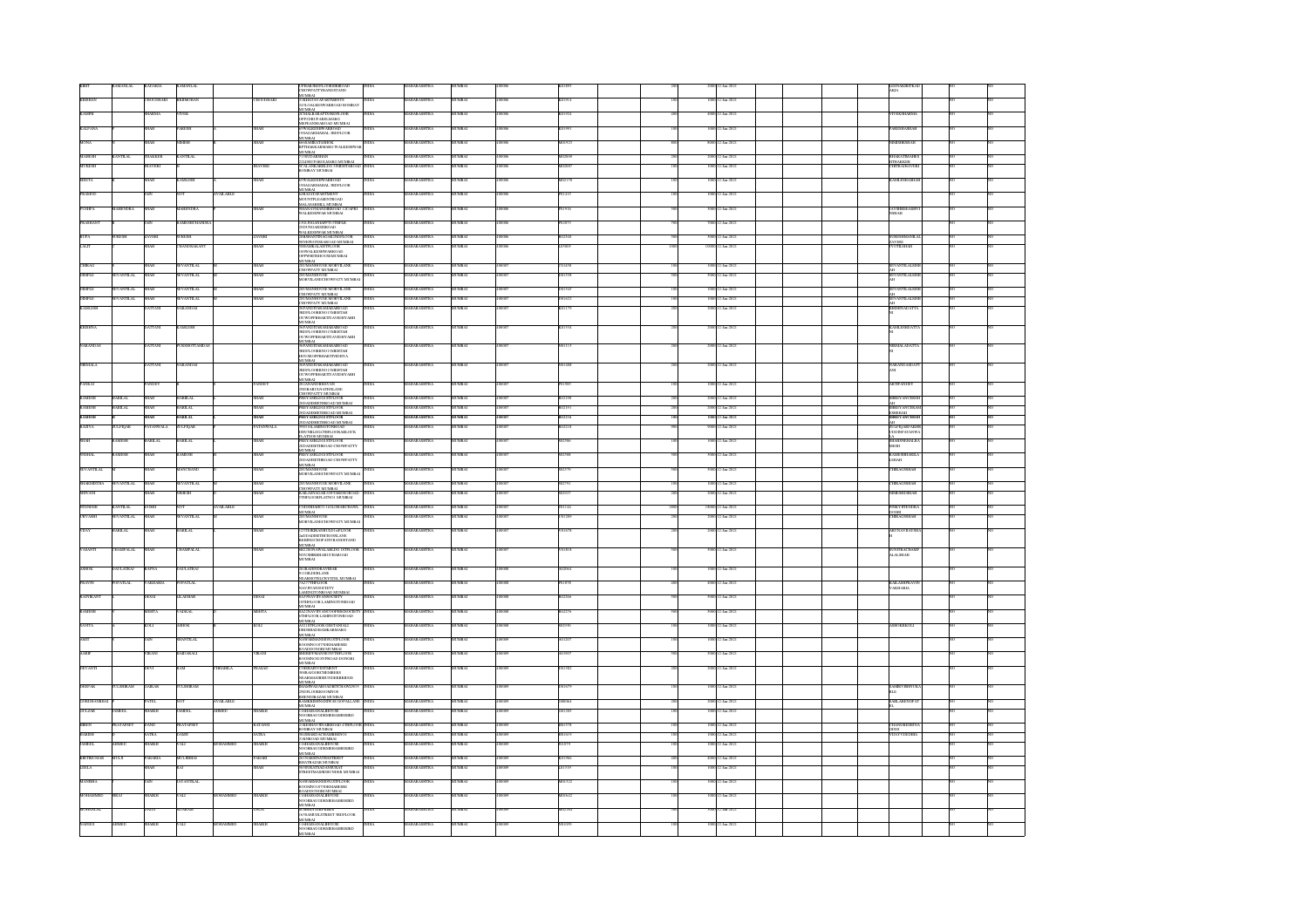|                                |                              |                |                             |                  |                         | UPHAR3RDFLOORSIRIROAD<br>CHOWPATTYBANDSTAND                                                                                                                                     |             | <b>HARASHTR</b>                 | MBA                           |  |  |                  |                                           |  | <b>LEENAKRITK</b><br>AKIA          |  |
|--------------------------------|------------------------------|----------------|-----------------------------|------------------|-------------------------|---------------------------------------------------------------------------------------------------------------------------------------------------------------------------------|-------------|---------------------------------|-------------------------------|--|--|------------------|-------------------------------------------|--|------------------------------------|--|
|                                |                              |                |                             |                  |                         | MUMBAI<br>31 KHATAVAPARTMENTS<br>243LOALKESWARROAD BOMBAY                                                                                                                       |             |                                 |                               |  |  |                  |                                           |  |                                    |  |
|                                |                              |                |                             |                  |                         |                                                                                                                                                                                 |             |                                 |                               |  |  |                  |                                           |  |                                    |  |
| K AMNI                         |                              | ARM/           | VFX                         |                  |                         | MUMBAI<br>2CMALBARAPTS3RDFLOOR<br>OPP2DRUPARELMARG                                                                                                                              |             | <b>HARASHTRA</b>                | <b>IMRAI</b>                  |  |  |                  | $n-202$                                   |  | VEKSHARM                           |  |
| <b>KALPANA</b>                 |                              |                |                             |                  |                         | AT PEANSEAROAD MUMBAL<br>SWALKESHWARROAD<br>9SAGARMAHAL 3RDFLOOR                                                                                                                |             | HARASHTRA                       | UMBA                          |  |  |                  | J <sub>202</sub>                          |  |                                    |  |
|                                |                              |                |                             |                  |                         | MUMBAI<br>666SAMRATASHOK                                                                                                                                                        |             | <b>ASHTMA</b>                   | <b>MRA</b>                    |  |  |                  |                                           |  |                                    |  |
| MAHESH                         | NTILAL.                      | <b>WKER</b>    | <b>WILAL</b>                |                  |                         | 0085AWIKA DASHOK<br>RPTHAKKARMARG WALKESHWA<br>MUMBAI                                                                                                                           |             | <b>IAHARASHTRA</b>              | UMBAI                         |  |  |                  | $J_{50}202$                               |  | HARATIMAH                          |  |
| MUKESH                         |                              | <b>AVER</b>    |                             |                  | AVERI                   | 22LDRUPAROLMARG MUMBAL<br>SCALANKARBLDG 3JMEHTAROAL                                                                                                                             | <b>SDIA</b> | .<br>IAHARASHTRA                | <b>UMBAI</b>                  |  |  |                  | -<br>Ian-2021                             |  | HTHAKKER<br>CHITRAJHAVER           |  |
|                                |                              |                |                             |                  |                         | OMBAY MUMBAI                                                                                                                                                                    |             |                                 |                               |  |  |                  |                                           |  |                                    |  |
| MEETA                          |                              |                |                             |                  |                         | SWALKESHWARROAD<br>9SAGARMAHAL 3RDFLOOR                                                                                                                                         |             | .<br>SKTR I                     | <b>MR</b>                     |  |  |                  |                                           |  |                                    |  |
| PRAMOD                         |                              |                |                             | VAILABLE         |                         |                                                                                                                                                                                 |             | <b>AHARASHTRA</b>               | <b>EUMBAI</b>                 |  |  |                  | Jan-202                                   |  |                                    |  |
| USHP/                          |                              |                |                             |                  |                         | MALASARHILL MUMBAI<br>MANAVMANDIRROAD 120<br>/ALKESHWAR MUMBAI                                                                                                                  |             |                                 | <b>DMB</b>                    |  |  |                  |                                           |  | JAYSHREE<br>NSHAH                  |  |
| PRASHANT                       |                              |                | MESHCHAND                   |                  |                         | <b>301JOGANIAPPTI3THFLR</b>                                                                                                                                                     |             | <b>AHARASHTRA</b>               | <b>EUMBAI</b>                 |  |  |                  | $34m-202$                                 |  |                                    |  |
|                                |                              |                |                             |                  |                         | <b>SDI INGARSTEROAD</b><br>VALKESHWAR MUMBAI<br>SBSHANTINAGAR2NDFLOOR                                                                                                           |             |                                 |                               |  |  |                  |                                           |  |                                    |  |
| <b>RUPA</b><br>$_{\text{LMT}}$ | URESH                        | AVERI          | URESH<br><b>IANDRAKAN</b>   |                  | WERI                    | 28BSHANTINAGAR2NDF1.0006<br>98NEFEONSEARDAD MUMBAI<br>ISHAMKALAISTFLOOR<br>100WALKESHWARROAD<br>OFFWHITEHOUSEMUMBAI<br>MUMBAI<br>2SUMANHOUSE MORVILANE<br>2SUMANHOUSE MORVILANE | <b>DU</b>   | MAHARASHTRA<br><b>HARASHTRA</b> | <b>IUMBAI</b><br><b>UMBAI</b> |  |  | $\overline{100}$ | 3000 12-Jan-2021<br>$\frac{1}{2}$ an-2021 |  | SURESHMANI<br>ZAVERI<br>JYOTILSHAH |  |
|                                |                              |                |                             |                  |                         |                                                                                                                                                                                 |             |                                 |                               |  |  |                  |                                           |  |                                    |  |
| CHIRAG                         |                              | <b>TAH</b>     | EVANTILAL                   |                  |                         |                                                                                                                                                                                 | <b>COLA</b> | <b>AHARASHTRA</b>               | <b>TIMRAI</b>                 |  |  |                  | 012-Jan-202                               |  | SEVANTILALM                        |  |
| DIMPLE                         | VANTILAL                     | ΙÆ             | VANTILAL                    |                  |                         | CHOWPATY MUMBAI<br>2SUMANHOUSE<br>SUMANHUUSE<br>AORVILANECHOWPATY MUMBAI                                                                                                        | <b>SDIA</b> | <b>ANHARASHTRA</b>              | <b>UMBAI</b>                  |  |  |                  | S000 12-Jan-2021                          |  | AH<br>SEVANTILALM!                 |  |
| DIMPLE                         |                              |                | <b>NTLA</b>                 |                  |                         | <b>IMANHOUSE MORVILA</b>                                                                                                                                                        |             |                                 | <b>MRA</b>                    |  |  |                  |                                           |  |                                    |  |
| DIMPLE                         | VANTILAL                     |                | <b>VANTLAL</b>              |                  |                         | .<br>HOWPATY MUMBAI<br>ISUMANHOUSE MORVILANE                                                                                                                                    |             | <b>AHARASHTRA</b>               | <b>EUMBAI</b>                 |  |  |                  | 1000 12-Jan-202                           |  | AH<br>SEVANTILALM                  |  |
| KAMLESH                        |                              | <b>TAN</b>     | <b>ANDAS</b>                |                  |                         | HOWPATY MUMBAI<br>6PANDITARAMABAIROAD<br>RDFLOORRNO13MEHTAH                                                                                                                     |             | <b>HARASHTR</b>                 | UMBAI                         |  |  |                  | Im 202                                    |  |                                    |  |
|                                |                              |                |                             |                  |                         | <b>UWOPPBHARTIYAVIDHYABH</b>                                                                                                                                                    |             | <b>HARASHTRA</b>                |                               |  |  |                  |                                           |  |                                    |  |
| KRISHNA                        |                              | ATTAN          | MLESH                       |                  |                         | MUMBAI<br>MUMBAI<br>SPANDITARAMABAIROAD<br>SRDFLOORRNO13MEHTAH<br>OUWOPPBHARTIYAVIDHYABH                                                                                        |             |                                 | <b>UMBAI</b>                  |  |  |                  | 2-Jan-2021                                |  | <b>KAMLESHD</b>                    |  |
| <b>NARANDAS</b>                |                              | <b>TTAN</b>    | SHOT                        |                  |                         | EMBAI<br>6PANDITARAMABAIROAD                                                                                                                                                    |             | <b>IAHARASHTRA</b>              | <b>EUMBAI</b>                 |  |  |                  | Jan-202                                   |  | <b>GRMALADA</b>                    |  |
|                                |                              |                |                             |                  |                         | <b>JRDFLOORRNO13MEHTAH</b><br>HOUSEOPPBHARTIVIDHYA                                                                                                                              |             |                                 |                               |  |  |                  |                                           |  |                                    |  |
| NIRMALA                        |                              | ATTANI         | RANDAS                      |                  |                         | MUMBAI<br>MUMBAI<br>SPANDITARAMABAIROAD<br>OUWOPPBHARTIYAVIDHYABH<br>OUWOPPBHARTIYAVIDHYABH                                                                                     |             | HARASHTRA                       | UMBAI                         |  |  |                  | J <sub>20</sub> 202                       |  | NARANDASI<br>ANI                   |  |
| PANKAJ                         |                              | <b>STYPY</b>   |                             |                  |                         | MUMBAI<br>202ANANDBHAVAN<br>2NDBABULNATHXLANE                                                                                                                                   |             | <b>SHTPA</b>                    | <b>IMRA</b>                   |  |  |                  |                                           |  | <b>WTPANDE</b>                     |  |
|                                |                              |                |                             |                  |                         | CHOWPATTY MUMBAL<br>PREYASBLDGISTFLOOR                                                                                                                                          |             |                                 |                               |  |  |                  |                                           |  |                                    |  |
| RAMESH<br>RAMESE               | <b>IARILAL</b><br>.<br>RILAL | łМ             | <b>ARIILAL</b><br>el.<br>Al |                  |                         | <b>DADISHETHROAD MUMBAL</b><br>REYASBLDGI STFLOOR                                                                                                                               | <b>NDIA</b> | <b>MAHARASHTRA</b>              | <b>EUMBAI</b><br><b>MBA</b>   |  |  |                  | 2000 12-Jan-2021<br>$tan-202$             |  | SHREYANCER<br>.<br>IREYANC         |  |
| <b>DAMESS</b>                  |                              |                | en al                       |                  |                         | 20DADISHETHROAD MUMBAI<br>FREYASBLDGI STFLOOR<br>20DADISHETHROAD MUMBAI<br>198316LAMINGTONROAD                                                                                  |             |                                 | $\frac{1}{2}$                 |  |  |                  |                                           |  | HSHAH<br>IREYANCI                  |  |
| RAZIYA                         | LFIQAS                       | <b>TANWALA</b> | ULFIQAR                     |                  | <b>ATANWALA</b>         |                                                                                                                                                                                 | .<br>تان    | <b>ANIARASHTRA</b>              | <b>UMBAI</b>                  |  |  |                  | $\frac{1}{2}$                             |  | AH<br>ZULFIQARFAKH<br>UDDINPATANW  |  |
|                                |                              |                |                             |                  |                         | HUNBLDG4THFLOORABLOCK                                                                                                                                                           |             |                                 |                               |  |  |                  |                                           |  |                                    |  |
| <b>SHAH</b>                    |                              |                | RILA                        |                  |                         | FLATNOS MUMBAI<br>FREY ASBLIXGISTFLOOR<br>20DADISETHROAD CHOWPATTY                                                                                                              |             | <b>HARASHTR</b>                 | <b>UMBA</b>                   |  |  |                  |                                           |  | SHAHSNEH                           |  |
| SNEHAI                         |                              |                |                             |                  |                         | <b>AUMBAI<br/>REYASBLDGISTFLOOR</b>                                                                                                                                             |             | <b>HARASHIRA</b>                | <b>BARAT</b>                  |  |  |                  |                                           |  | <b>AMESHHART</b><br>SHAH           |  |
| SEVANTILAL                     |                              |                | NCHANI                      |                  |                         | PRETASIELINI SI PIANK<br>20DADISETHROAD CHOWPATTY<br>MUMBAI<br>MORVILANECHOWPATY MUMBAI                                                                                         |             | <b><i>HARASHTRA</i></b>         | UMBAI                         |  |  |                  | $-202$                                    |  | <b>HRAGSS</b>                      |  |
| <b>SHARMISTH</b>               | .<br>NTLAL                   |                | <b>ANTLAI</b>               |                  |                         | <b>SUMANHOUSE MORVILANE</b><br>HOWPATY MUMBAL                                                                                                                                   |             | <b>ARASHTRA</b>                 | .<br>UMBA                     |  |  |                  | $tan-202$                                 |  |                                    |  |
| <b>HIVAN</b>                   |                              |                |                             |                  |                         | <b>ARTIFORD</b><br>THFLOORFLATNOI MUMBAI                                                                                                                                        |             |                                 |                               |  |  |                  |                                           |  |                                    |  |
| <b>JITENDER</b>                | <b>NTILAL</b>                |                |                             | VAILABLE         |                         | TODSSHAHCO 1621.OHARCHAWL                                                                                                                                                       | m           | <b>IAHARASHTRA</b>              | <b>EUMBAI</b>                 |  |  | 18000            | 2-Jan-2021                                |  | NKYJITENDR                         |  |
| URVASHI                        | ANTILAI                      |                | VANTILAL                    |                  |                         | MUMBAI<br>2SUMANHOUSE<br>MORVILANECHOWPATY MUMBA                                                                                                                                |             | <b>HARASHTR</b>                 | .<br>UMBAI                    |  |  |                  | $tan-202$                                 |  | <b>OSHI</b><br>"HIRAGS!            |  |
| <b>TELAN</b>                   |                              |                | $0.01 - 1.0$                |                  |                         | <b>TEIKIR ANRUEDI GELOOR</b>                                                                                                                                                    |             | <b>HARASHIRA</b>                | <b>HIMRAI</b>                 |  |  |                  |                                           |  |                                    |  |
|                                |                              |                |                             |                  |                         | <b>nDDADISETHCROSSLANE</b><br>IEHINDCHOPATIYBANDSTAND                                                                                                                           |             |                                 |                               |  |  |                  |                                           |  |                                    |  |
| <b>ASANTI</b>                  | AMPALAL                      |                | <b>IAMPALAL</b>             |                  |                         | MUMBAI<br>SE22SONAWALABLDG ISTFLOOR<br>NOUSHIRBHARUCHAROAD<br>MUMBAI                                                                                                            |             | <b>AHARASHTRA</b>               | UMBAI                         |  |  |                  | J <sub>202</sub>                          |  | SUNITRACHA)<br>ALALSHAH            |  |
|                                |                              |                |                             |                  |                         |                                                                                                                                                                                 |             |                                 |                               |  |  |                  |                                           |  |                                    |  |
| ASHOK                          |                              |                | <b>JLATRA</b>               |                  |                         | 02RAJENDRAVIHA<br>I IGILDERLANE                                                                                                                                                 |             |                                 |                               |  |  |                  |                                           |  |                                    |  |
| PRAVIN                         |                              | KHARI.         | <b>ATLAL</b>                |                  |                         | EARHOTELCRYSTELMUMBAL<br>4277THFLOOR<br>NAVJIV ANSOCIETY                                                                                                                        |             | <b><i>HARASHTRA</i></b>         | <b>UMBAI</b>                  |  |  |                  | $tan-202$                                 |  | KAILASHPRAV<br>VAKHARIA            |  |
|                                |                              |                |                             |                  |                         | AMINGTONROAD MUMBAI<br>A39NAVIIVANSOCIETY<br>0THFLOOR LAMINGTONROAD                                                                                                             |             |                                 | <b>DMB</b>                    |  |  |                  |                                           |  |                                    |  |
| AMESH                          |                              |                | <b>DKAI</b>                 |                  |                         | IUMBAI<br>A22NAVJIVANCOOPHSGSOCIETY                                                                                                                                             |             | <b>HARASHTRA</b>                | <b>IMRAI</b>                  |  |  |                  | Im(202)                                   |  |                                    |  |
|                                |                              |                |                             |                  |                         | SAZ2NAVIJU ANCOOPHSCSOCIE<br>6THFLOOR LAMINGTONROAD<br>MÜMBAI<br>DRDBHADHAMKARMARG<br>DRDBHADHAMKARMARG                                                                         |             |                                 |                               |  |  |                  |                                           |  |                                    |  |
| <b>SAVITA</b>                  |                              |                | ж                           |                  |                         |                                                                                                                                                                                 |             | <b>AHARASHTRA</b>               | UMBAI                         |  |  |                  | $3m-202$                                  |  | HOKBKOLI                           |  |
|                                |                              |                | $\sqrt{m}$                  |                  |                         | <b><i>AUMBAL</i></b><br>GAWABMANSIONI STFLOOR<br>ROOMNOI 875DRMAHESRI                                                                                                           |             |                                 | <b>MR</b>                     |  |  |                  |                                           |  |                                    |  |
| AARIF                          |                              |                | DARALI                      |                  |                         | <b>OADDONGRI MUMBAI<br/>HEREEMANSIONSTHELOOR</b><br>OOMNOS ISVPROAD DONGRI                                                                                                      |             | curro.                          | MBAI                          |  |  |                  |                                           |  |                                    |  |
| DEVANT                         |                              |                |                             |                  |                         |                                                                                                                                                                                 |             | <b>HARASHTRA</b>                | <b>UMBA</b>                   |  |  |                  |                                           |  |                                    |  |
|                                |                              |                |                             |                  |                         | MUMBAI<br>MUMBAI<br>108RAIGORCHEMBERS<br>NEARMASIDBUNDERBRIDGE<br>NEARMASIDBUNDERBRIDGE                                                                                         |             |                                 |                               |  |  |                  |                                           |  |                                    |  |
| DEEPAK                         |                              | <b>UKAR</b>    |                             |                  |                         | AUMBAI<br>MAMWADAROADBITCHAWLN<br><b>ENDELOORROOMNOS</b>                                                                                                                        |             | <b>ARASHTRA</b>                 | <b>UMBAI</b>                  |  |  |                  |                                           |  | <b>RLE</b>                         |  |
| <b>GORDHANBH/</b>              |                              | ATEL.          |                             | <b>AVAILABLE</b> |                         | HENDIBAZAR MUMBAI<br>LAMKRISHNANIWAS GOPALLANE                                                                                                                                  | <b>DU</b>   | <b>MAHARASHTRA</b>              | <b>EUMBAI</b>                 |  |  |                  | 2000 12-Jan-2021                          |  | <b>SARLABENGPA</b>                 |  |
|                                |                              |                |                             |                  |                         | MUMBAI<br>  IGHASSANALIHOUSE<br>NOORBAUGDRMEHASHERIRD                                                                                                                           |             |                                 |                               |  |  |                  |                                           |  |                                    |  |
| <b>HIREN</b>                   | <b>ATAPSEY</b>               |                | ATAPSEY                     |                  | <b>TANS</b>             | IUMBAI<br>I KESHAVJINAIKROAD 4THFLOO                                                                                                                                            |             | <b>AHARASHTRA</b>               | <b>UMBAI</b>                  |  |  |                  | $tan-202$                                 |  | <b>ANDRE</b>                       |  |
| HARISH                         |                              | <b>TRA</b>     |                             |                  | $\overline{\mathbf{B}}$ | <b>INGROVATIONS</b><br><b>IOMBAY MUMBAI<br/>!04SHARDACHAMBERNOI</b>                                                                                                             |             | <b>IAHARASHTRA</b>              | UMBAI                         |  |  |                  | Jan-2021                                  |  |                                    |  |
| <b>JAMEEL</b>                  |                              |                |                             |                  |                         | 31 KNROAD MUMBAI<br>116HASSANALIHOUSE<br>11911ASSANALITIOUSE<br>NOORBAUGDRMEHASHERIRD                                                                                           |             | <b>HARASHTR.</b>                | .<br>UMB A                    |  |  |                  |                                           |  |                                    |  |
| KIRTIKUMAR                     |                              | <b>LARL</b>    |                             |                  |                         | MUMBAI<br>261NARSINATHASTREET<br>BHATBAZAR MUMBAI<br>503SURATSADANSURAT                                                                                                         |             | <b>ARASHTR</b>                  | <b>IMBAI</b>                  |  |  |                  |                                           |  |                                    |  |
| LEELA                          |                              |                |                             |                  |                         | TREETMASJIDBUNDER MUMBAL                                                                                                                                                        |             | <b>HARASHTRA</b>                | <b>UMBAI</b>                  |  |  |                  | $\frac{1}{202}$                           |  |                                    |  |
| MANISHA                        |                              |                | YANTE.AL                    |                  |                         | AWABMANSIONI STFLOOR                                                                                                                                                            |             | <b>HARASHTRA</b>                | <b>UMBAI</b>                  |  |  |                  | $-3an-202$                                |  |                                    |  |
|                                |                              |                |                             |                  |                         | OOMNO1875DRMAHESRI<br>IOADDONGRI MUMBAI<br>16HASSANALIHOUSE<br>©ORBAUGDRMEHASHERIRD                                                                                             |             |                                 |                               |  |  |                  | $n-202$                                   |  |                                    |  |
|                                |                              |                |                             |                  |                         |                                                                                                                                                                                 |             |                                 |                               |  |  |                  |                                           |  |                                    |  |
| MOHANLAL                       |                              |                | <b>TARAM</b>                |                  | <b>UTA</b>              | MUMBAI<br>SUBHENTERPRISES<br>165SAMUELSTREET 3RDFLOOR                                                                                                                           |             | <b>IAHARASHTRA</b>              | <b>UMBAI</b>                  |  |  |                  | $\frac{1}{2}$ an-2021                     |  |                                    |  |
|                                |                              |                |                             |                  |                         | MUMBAI<br>116HASSANALIHOUSE<br>NOORBAUGDRMEHASHERIRD                                                                                                                            |             |                                 |                               |  |  |                  |                                           |  |                                    |  |
|                                |                              |                |                             |                  |                         |                                                                                                                                                                                 |             |                                 |                               |  |  |                  |                                           |  |                                    |  |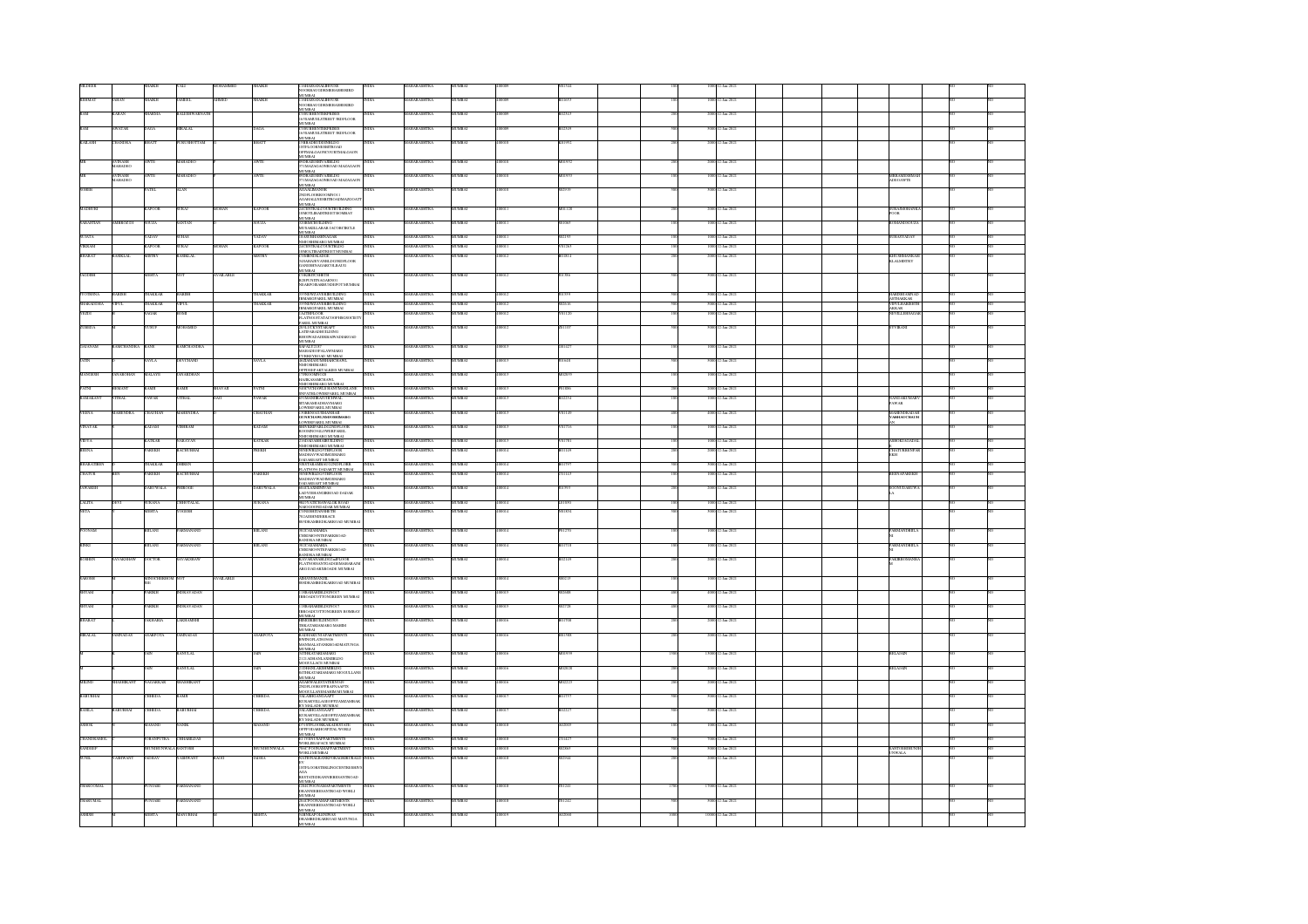|                |                   |                  |                 |                |                    | 116HASSANALIHOUSE<br>NOORBAUGDRMEHASHERIRD                                                                                                                                                                                                                |              | HARASHTR.                 |                  |     |                  |      |                                 |  |                            |  |
|----------------|-------------------|------------------|-----------------|----------------|--------------------|-----------------------------------------------------------------------------------------------------------------------------------------------------------------------------------------------------------------------------------------------------------|--------------|---------------------------|------------------|-----|------------------|------|---------------------------------|--|----------------------------|--|
|                |                   |                  |                 |                |                    | <b>JUMBAI<br/>16HASSANALIHOUSE</b>                                                                                                                                                                                                                        |              |                           |                  |     |                  |      |                                 |  |                            |  |
|                |                   |                  |                 |                |                    | NOORBAUGDRMEHASHERIRD                                                                                                                                                                                                                                     |              | <b>HARASHTK</b>           | MBAI             |     |                  |      |                                 |  |                            |  |
|                |                   | <b>LARMA</b>     |                 |                |                    | MUMBAI<br>COSUBHENTERPRISES<br>165SAMUELSTREET 3RDFLOOR                                                                                                                                                                                                   |              | HARASHTRA                 | MBAI             |     |                  |      |                                 |  |                            |  |
|                |                   |                  |                 |                |                    |                                                                                                                                                                                                                                                           |              |                           |                  |     |                  |      |                                 |  |                            |  |
|                | WATAR             | <b>MA</b>        | RALA            |                |                    | <b>MUMBAI<br/>COSUBHENTERPRISES</b><br>165SAMUELSTREET 3RDFLOOR                                                                                                                                                                                           |              | <b>HARASHTRA</b>          | <b>IMRAI</b>     |     |                  |      | J <sub>202</sub>                |  |                            |  |
| <b>ILASI</b>   |                   |                  |                 |                |                    | AUMBAI<br>SBBADRUDDINBLDG                                                                                                                                                                                                                                 |              |                           |                  |     |                  |      |                                 |  |                            |  |
|                |                   |                  |                 |                |                    | ISTFLOORNESBITROAD<br>OPPMALGAONCOURTMALGAON                                                                                                                                                                                                              |              |                           |                  |     |                  |      |                                 |  |                            |  |
|                |                   |                  |                 |                |                    |                                                                                                                                                                                                                                                           |              |                           |                  |     |                  |      |                                 |  |                            |  |
|                | WINASH<br>(AHADEO |                  |                 |                |                    | ST TRINIANSKO ODRI HISALARIAN<br>19DR AJESHIV AJIBLIXI<br>19DR AJESHIV AJIBLIXI<br>19DR AJESHIV AJIBLIXI<br>19DR AJESHIV AJIBLIXI                                                                                                                         |              |                           |                  |     |                  |      |                                 |  |                            |  |
|                | <b>VIN ASH</b>    |                  | UADE            |                | <b>ATE</b>         |                                                                                                                                                                                                                                                           |              | <b>HARASHTRA</b>          | <b>IMRAI</b>     |     |                  |      |                                 |  | RRAMESHN                   |  |
|                | MAHADEO           |                  |                 |                |                    | 371MAZAGAONROAD MAZAGAON                                                                                                                                                                                                                                  |              |                           |                  |     |                  |      |                                 |  | DEOAWTE                    |  |
| SOHEB          |                   | <b>TEL</b>       | W               |                |                    | MUMBAL<br>AGAALIMANOR<br>2NDFLOORROOMNO11                                                                                                                                                                                                                 |              | <b><i>HARASHTRA</i></b>   | <b>JUMBAI</b>    |     |                  |      | J <sub>2021</sub>               |  |                            |  |
|                |                   |                  |                 |                |                    | AGAHALLNESBITROADMAZGOAT                                                                                                                                                                                                                                  |              |                           |                  |     |                  |      |                                 |  |                            |  |
| <b>ADHURI</b>  |                   | POOF             |                 |                |                    | AGANTALIA<br>24CENTRALCOURTBUILDING<br>24CENTRALCOURTBUILDING<br>MADALCOURTBUILDING<br>320BACBUILDING<br>34CASHLABAR JACOBCIRCLE<br>34CASHLABAR JACOBCIRCLE                                                                                               |              | <b>HARASHTR</b>           | <b>DMBA</b>      |     |                  |      |                                 |  | URAJMO<br>OOR              |  |
| <b>RASTI</b>   |                   | v                |                 |                | uz.                |                                                                                                                                                                                                                                                           |              |                           |                  |     |                  |      |                                 |  |                            |  |
|                |                   |                  |                 |                |                    |                                                                                                                                                                                                                                                           |              |                           |                  |     |                  |      |                                 |  |                            |  |
| <b>KIATA</b>   |                   | ADAN             | <b>HAS</b>      |                | <b>ADA</b>         | <b>AUMBAI<br/>SASUBHASHNAGAR</b>                                                                                                                                                                                                                          |              | <b>AHARASHTRA</b>         | MUMBAI           |     |                  |      | 1000 12-Jan-202                 |  | <b>UHASYADA</b>            |  |
| IKRAN          |                   | <b>LPOOF</b>     | <b>RAJ</b>      |                | APOOR              | <b>ABOSHIMARG MUMBAL</b><br>#CENTRALCOURTBLDG                                                                                                                                                                                                             |              | <b>HARASHTR.</b>          | <b>UMBAI</b>     |     |                  | 1000 | $3m-202$                        |  |                            |  |
| .<br>IARA'i    |                   | str.             | .<br>SIKLAI     |                |                    |                                                                                                                                                                                                                                                           |              |                           | <b>UMBA</b>      |     |                  | 2000 | -<br>-<br>Jan-202               |  | HUSHMANR<br>LALMISTRY      |  |
|                |                   |                  |                 |                |                    | 24CENTRALICURTEILEU<br>ISMOLTIBAISTREET MUMBAI<br>COMRNDKADGE<br>GANESHNAGARCOLBAUG<br>GANESHNAGARCOLBAUG<br>MUMBAI<br>MUMBAI<br>COKIRITCSHETH                                                                                                            |              |                           |                  |     |                  |      |                                 |  |                            |  |
| <b>AGDISH</b>  |                   | <b>EHTA</b>      |                 | <b>AILABLE</b> |                    |                                                                                                                                                                                                                                                           |              | <b>HARASHTRA</b>          | UMBAI            |     |                  |      |                                 |  |                            |  |
|                |                   |                  |                 |                |                    | B28PUNITNAGARNO1<br>NEARPOISARBUSDEPOT MUMBAI                                                                                                                                                                                                             |              |                           |                  |     |                  |      |                                 |  |                            |  |
| YOTHSNA        | <b>HARISH</b>     | THAKKAR          | ARISH           |                | HAKKAR             | 35NEWZAVERIBUILDING                                                                                                                                                                                                                                       | NDLA         | <b><i>MAHARASHTRA</i></b> | MUMBAI           |     |                  |      | 5000 12-Jan-202                 |  | HARISHJAMN                 |  |
| RADD           |                   | <b>AKKAS</b>     |                 |                |                    | <b>JBMARGPAREL MUMBAI</b><br>335NEWZAVERIBUILDING<br>JBMARGPAREL MUMBAI                                                                                                                                                                                   |              |                           | <b>MBA</b>       |     |                  | 5000 |                                 |  | STHAKKAR<br>TPULHARISH     |  |
|                |                   |                  |                 |                |                    |                                                                                                                                                                                                                                                           |              |                           |                  |     |                  |      |                                 |  | AKKAR<br>NEVILLEE          |  |
|                |                   |                  |                 |                |                    | SSENING<br>LATNOISTATACOOPHSGSOCIETY<br>PAREL MUMBAI<br>203LUCKYSTARAPT                                                                                                                                                                                   |              |                           |                  |     |                  |      |                                 |  |                            |  |
| BED/           |                   | STF              |                 |                |                    | LATIFABADBUILDING                                                                                                                                                                                                                                         |              | <b>HARASHTR.</b>          | MBA              |     |                  |      |                                 |  | <b>TRAN</b>                |  |
|                |                   |                  |                 |                |                    | HOIWADAJERBAIWADIAROAD                                                                                                                                                                                                                                    |              |                           |                  |     |                  |      |                                 |  |                            |  |
| <b>JAJANAM</b> | <b>WCHANDRA</b>   | RANE             | <b>WCHANDRA</b> |                |                    | BHOWADAIERBAIWADRA<br>MUMBAI<br>SAFALY2187<br>MAHADEOPALAWMARG<br>CURREYROAD MUMBAI<br>MAHOGUNASUMARCHAWI<br>MAHOGUNASU                                                                                                                                   |              | <b>AHARASHTRA</b>         | <b>JUMBAI</b>    |     |                  |      | 3-Jan-202                       |  |                            |  |
|                |                   | vв               |                 |                |                    |                                                                                                                                                                                                                                                           |              |                           | <b>TMRA</b>      |     |                  |      |                                 |  |                            |  |
|                |                   |                  |                 |                |                    | 46ZIAMASUMSHAHCHA<br>NMDOSHIMARG<br>OPPDEEPAKTALKIES M<br>17FROOMNO28                                                                                                                                                                                     |              |                           |                  |     |                  |      |                                 |  |                            |  |
| <b>ANGESH</b>  |                   | <b>MAYE</b>      | ARDHAN          |                |                    | HAIR ASAMCHAWL                                                                                                                                                                                                                                            |              | <b>HARASHTRA</b>          | UMBAI            |     |                  |      | J <sub>202</sub>                |  |                            |  |
| PATNI          | HEMANT            | RAMJI            | IUA             | HAVAJI         | ATNI               |                                                                                                                                                                                                                                                           | <b>INDIA</b> | <b>IAHARASHTRA</b>        | MUMBAI           |     | 1882             |      | 2000 12-Jan-2021                |  |                            |  |
| <b>AMAKAN</b>  |                   | .<br>NAS         |                 |                | .<br>Nas           |                                                                                                                                                                                                                                                           |              |                           | MBAI             |     |                  |      |                                 |  |                            |  |
|                |                   |                  |                 |                |                    | HAJIKASAMCHAWL<br>NMOSHMARO MUMBAI<br>S40CVCHAWLS HANUMANLANE<br>SNPATHLOWERPAREL MUMBAI<br>STARAMJADHAVMARO<br>STARAMJADHAVMARO<br>STARAMJADHAVMARO                                                                                                      |              |                           |                  |     |                  |      | tan 202                         |  | \NDAKU!<br>\WAR            |  |
| VEENA          |                   | <b>IAUHA)</b>    | ENDR/           |                | <b>SALIHA</b>      | <br>OWERPAREL MUMBAL<br>300 RNALUSMANHAJI                                                                                                                                                                                                                 |              | HARASHTR.                 | <b>IMRAI</b>     |     |                  |      |                                 |  | <b>AHENDRA</b>             |  |
|                |                   |                  |                 |                |                    | NIBRAUHUSSANINGSHIMARG<br>JUNJCHAWLNMJOSHIMARG<br><b>OWERPAREL MUMBAI<br/>HIVKRIPABLDG2NDFLOOR</b>                                                                                                                                                        |              |                           |                  |     |                  |      |                                 |  | ABHAUCHAU                  |  |
| <b>VAYA</b>    |                   |                  |                 |                |                    | ROOMNO94LOWERPAREL                                                                                                                                                                                                                                        |              |                           | MR AI            |     |                  |      |                                 |  |                            |  |
| VIDYA          |                   | CATKAR           | ARAYAN          |                | <b>CATKAR</b>      | <b>ADOSHMARG MUMBAL</b><br>16DADABHAIBUILDING                                                                                                                                                                                                             | <b>DIA</b>   | <b>HARASHTRA</b>          | <b>JUMBAI</b>    |     |                  |      | 1000 12-Jan-202                 |  | SHOKJAGAD                  |  |
|                |                   | REKE             |                 |                | <b>EKH</b>         | MOOSHIMARG MUMBAL<br>SSNEWBLDGSTHFLOOR<br>MADHAVWADIMGSMARG                                                                                                                                                                                               |              |                           | 700 <sub>4</sub> |     |                  |      | Im 2                            |  | HATURBI<br>KH              |  |
|                |                   |                  |                 |                |                    | MDAREAST MUMBAI<br>JESTARAMBAUGENDFLORR                                                                                                                                                                                                                   |              |                           |                  |     |                  |      |                                 |  |                            |  |
| <b>ARATIN</b>  |                   | <b>JAKKAR</b>    |                 |                |                    | <b>FLATNO56 DADARTT MUMBAL</b><br>S8NEWBLDG5THFLOOR                                                                                                                                                                                                       |              |                           | UMBAI            |     |                  |      | 300                             |  |                            |  |
| <b>HATUR</b>   |                   | <b>SEKH</b>      | <b>CHUBHAI</b>  |                | WEKH               | <b>MADHAVWADIMGSMARG</b>                                                                                                                                                                                                                                  |              | <b><i>HARASHTRA</i></b>   | <b>JUMBAI</b>    |     |                  | 1000 | J <sub>202</sub>                |  | EENAPAREK                  |  |
| WAREH          |                   | RUWALA           | :OGE            |                | RUWALA             | DADAREAST MUMBAI<br>604CLAXMINIVAS<br>LADYJEHANGIRROAD DADAR                                                                                                                                                                                              |              | <b>IARASHTRA</b>          | MBAI             |     |                  |      | $Jan-202$                       |  | ONUDAR                     |  |
|                |                   |                  |                 |                |                    |                                                                                                                                                                                                                                                           |              |                           |                  |     |                  |      |                                 |  |                            |  |
| $\overline{m}$ |                   | <b>BAN</b>       | TT AL-          |                |                    | IUMBAI<br>KOYATICHAWALGK ROAL                                                                                                                                                                                                                             |              |                           | <b>MRAI</b>      |     |                  |      |                                 |  |                            |  |
|                |                   | ur.              |                 |                |                    | <b>JAIOGOONDADAR MUMBAL</b><br>YNNESHITANSHETH<br>02AJEHNUERRACE                                                                                                                                                                                          |              | HARASHTR                  | <b>MDA</b>       |     |                  |      |                                 |  |                            |  |
|                |                   |                  |                 |                |                    | <b>OSDRAMBEDKARROAD MUMBA</b>                                                                                                                                                                                                                             |              |                           |                  |     |                  |      |                                 |  |                            |  |
| XXXX           |                   | ILANI            |                 |                | ILANI              | 02CASAMARIA<br><b>HSDMO9NTEPARKROAD</b>                                                                                                                                                                                                                   |              | <b>HARASHTRA</b>          | <b>IMBAI</b>     |     |                  |      | $-1$ an $-202$                  |  |                            |  |
|                |                   |                  |                 |                |                    |                                                                                                                                                                                                                                                           |              |                           | <b>IMRA</b>      |     |                  |      |                                 |  |                            |  |
|                |                   |                  |                 |                |                    | CHNOROVNIEPARKOVAD<br>BANDRA MUMBAI<br>GESDMONNTEPARKROAD<br>BANDRA MUMBAI<br>KAVARANABILDG2ndFLOOR<br>FLATNOSSANTGADGEMAHARAJM                                                                                                                           |              |                           |                  |     |                  |      |                                 |  |                            |  |
| <b>ISHEM</b>   | <b>AK SHAW</b>    | OCTOR            |                 |                |                    |                                                                                                                                                                                                                                                           |              | <b>HARASHTRA</b>          | UMBAI            |     |                  |      | Im(202)                         |  | KIRR                       |  |
|                |                   |                  |                 |                |                    | ARG DADARXROADE MUMBAL                                                                                                                                                                                                                                    |              |                           |                  |     |                  |      |                                 |  |                            |  |
| AROSH          |                   | MINOCHERHOM      |                 | VAILABLE       |                    | .<br>AIMAYEMANZIL<br>SOSDRAMBEDKARROAD MUMBAI                                                                                                                                                                                                             |              | <b>AHARASHTRA</b>         | <b>MUMBAI</b>    |     |                  |      | 1000 12-Jan-2021                |  |                            |  |
|                |                   |                  |                 |                |                    |                                                                                                                                                                                                                                                           |              |                           |                  |     |                  |      |                                 |  |                            |  |
|                |                   |                  |                 |                |                    | 18BAHARIBLDGNO17<br>BROADCOTTONGREEN MUMBAI                                                                                                                                                                                                               |              |                           |                  |     |                  |      |                                 |  |                            |  |
| YAM            |                   | <b>VRIKH</b>     | DRAVADAN        |                |                    | ISBAHARIBLDGNO17                                                                                                                                                                                                                                          |              | <b>HARASHTRA</b>          | <b>EUMBAI</b>    |     |                  | 4000 | J <sub>202</sub>                |  |                            |  |
|                |                   |                  |                 |                |                    | <b>IBROADCOTTONGREEN BOMBAY</b>                                                                                                                                                                                                                           |              |                           |                  |     |                  |      |                                 |  |                            |  |
| HARAT          |                   | <b>(KHARIA</b>   | KHAMSHI         |                |                    | <b>BROADE OF HONGREEN BU</b><br>HIMBAI<br>THKATARIAMARG MAHIM                                                                                                                                                                                             |              | <b>AHARASHTRA</b>         | UMBAI            |     |                  | 2000 | $3m-202$                        |  |                            |  |
|                |                   | <b>SPOT</b>      |                 |                |                    |                                                                                                                                                                                                                                                           |              |                           | <b>TMRA</b>      |     |                  |      |                                 |  |                            |  |
|                |                   |                  |                 |                |                    | MUMBAI<br>RADHAKUNJAPARTMENTS<br>BWINGFLAT605606<br>MANMAI ATANKROADMATUNGA                                                                                                                                                                               |              |                           |                  |     |                  |      |                                 |  |                            |  |
|                |                   |                  | WULAL           |                |                    | MANMALATANKROQDIMA<br>MUMBAI<br>34THKATARIAMARG<br>2121ADHANLAXMIBLDG                                                                                                                                                                                     |              | <b>AHARASHTRA</b>         | <b>ALIMRAL</b>   |     |                  |      | $\frac{1}{2}$ and $\frac{2}{2}$ |  | ELAJAIN                    |  |
|                |                   |                  |                 |                |                    |                                                                                                                                                                                                                                                           |              |                           |                  |     |                  |      |                                 |  |                            |  |
|                |                   |                  | <b>ANULAL</b>   |                |                    | MOGULLACE MUMBAL<br>21DHANLAKSHMIBLDG<br>84THKATARIAMARG MOGULLANE                                                                                                                                                                                        | NDIA         | <b><i>HARASHTRA</i></b>   | <b>JUMBAI</b>    |     |                  | 2000 | 2-Jan-2021                      |  | BELAJAIN                   |  |
|                |                   |                  |                 |                |                    |                                                                                                                                                                                                                                                           |              |                           |                  |     |                  |      |                                 |  |                            |  |
|                |                   | <b>JARKA</b>     |                 |                |                    | S# IRKATAKONARIA MODULLONE<br>MÜMBAI<br>MÜMBAI<br>MODULLANEMAHIM MÜMBAI<br>MOOULLANEMAHIM MÜMBAI<br>JALASHGANGAAPI<br>KURARVILLAGEOPPZAMZAMBAK<br>KURARVILLAGEOPPZAMZAMBAK                                                                                |              |                           |                  |     |                  |      |                                 |  |                            |  |
| ABUBHA         |                   |                  |                 |                |                    |                                                                                                                                                                                                                                                           |              | <b>SHTP</b> a             | MR &             |     |                  |      |                                 |  |                            |  |
|                |                   |                  |                 |                |                    |                                                                                                                                                                                                                                                           |              |                           |                  |     |                  |      |                                 |  |                            |  |
| .<br>RASILA    | ABUBHAI           | HEDA             | ABUBHAI         |                | HHEDA              | RY MALADE MUMBAI<br>3ALASHGANGAAPT<br>KURARVILLAGEOPPZAMZAMBAK                                                                                                                                                                                            |              | <b>AHARASHTRA</b>         | <b>EUMBAI</b>    |     |                  |      | S000 12-Jan-2021                |  |                            |  |
| SHOR           |                   |                  |                 |                |                    |                                                                                                                                                                                                                                                           |              |                           | MB.              |     |                  |      |                                 |  |                            |  |
|                |                   |                  |                 |                |                    | KURARVILLAGISOPPZAMZAMBAK<br>EVRAM MELAGISOPPZIA<br>D7 ISTRILOGRKAKADESTATE<br>OPPODARIOSPTTAL WORLI<br>MEMBAL<br>INDENISAPPARTMENT<br>EVRELISEAFACE MUMBAL<br>VORLI NELNISAPPARTMENT<br>VORLI MUMBAL<br>NATIONAL BANKFORAGIRIRURALD ILANITORAL BANKFORAG |              |                           |                  |     |                  |      |                                 |  |                            |  |
| CHANDRAMOL     |                   | DBANPUTRA        | <b>HABILDAS</b> |                |                    |                                                                                                                                                                                                                                                           | NDIA         | <b>AHARASHTRA</b>         | <b>MUMBAI</b>    |     | $\overline{127}$ |      | 7000 12-Jan-202                 |  |                            |  |
| <b>SANDEEP</b> |                   | <b>UNJHUNWAL</b> | <b>OSH</b>      |                | <b>HUNJHUNWALA</b> |                                                                                                                                                                                                                                                           | <b>INDIA</b> | <b>IAHARASHTRA</b>        | <b>MUMBAI</b>    | m18 | 2865             |      | 5000 12-Jan-2021                |  | ANTOSHJHU<br><b>INWALA</b> |  |
| <b>SUNIL</b>   | <b>SHWANT</b>     | DHAV             | SHWANT          |                | <b>LDHA</b>        |                                                                                                                                                                                                                                                           | INDIA        | <b>AHARASHTRA</b>         | <b>IUMBAI</b>    | 018 | 2944             | 2000 |                                 |  |                            |  |
|                |                   |                  |                 |                |                    | EV<br>ISTFLOORSTERLINGCENTRESHIV:                                                                                                                                                                                                                         |              |                           |                  |     |                  |      |                                 |  |                            |  |
|                |                   |                  |                 |                |                    | AGA<br>RESTATEDRANNIEBESANTROAD                                                                                                                                                                                                                           |              |                           |                  |     |                  |      |                                 |  |                            |  |
| AROO           |                   | <b>SJAB</b>      |                 |                |                    | <b>AUMBAL</b><br>204CPOONAMAPARTMENTS                                                                                                                                                                                                                     |              | HARASHTRA                 | UMBAI            |     |                  |      |                                 |  |                            |  |
|                |                   |                  |                 |                |                    | DRANNIEBESANTROAD WORLI                                                                                                                                                                                                                                   |              |                           |                  |     |                  |      |                                 |  |                            |  |
| ARUMA          |                   | <b>TAR</b>       |                 |                |                    | MUMBAI<br>204CPOONAMAPARTMENTS<br>DRANNIEBESANTROAD WORLI                                                                                                                                                                                                 |              | <b>HARASHTRA</b>          | <b>IMBAI</b>     |     |                  |      |                                 |  |                            |  |
|                |                   |                  |                 |                |                    | MUMBAI<br>SERNKAPOLENIWAS<br>DRAMBEDKARROAD MATUNGA                                                                                                                                                                                                       |              |                           | UMBA             |     |                  |      |                                 |  |                            |  |
|                |                   |                  |                 |                |                    | <b>IMRAL</b>                                                                                                                                                                                                                                              |              |                           |                  |     |                  |      |                                 |  |                            |  |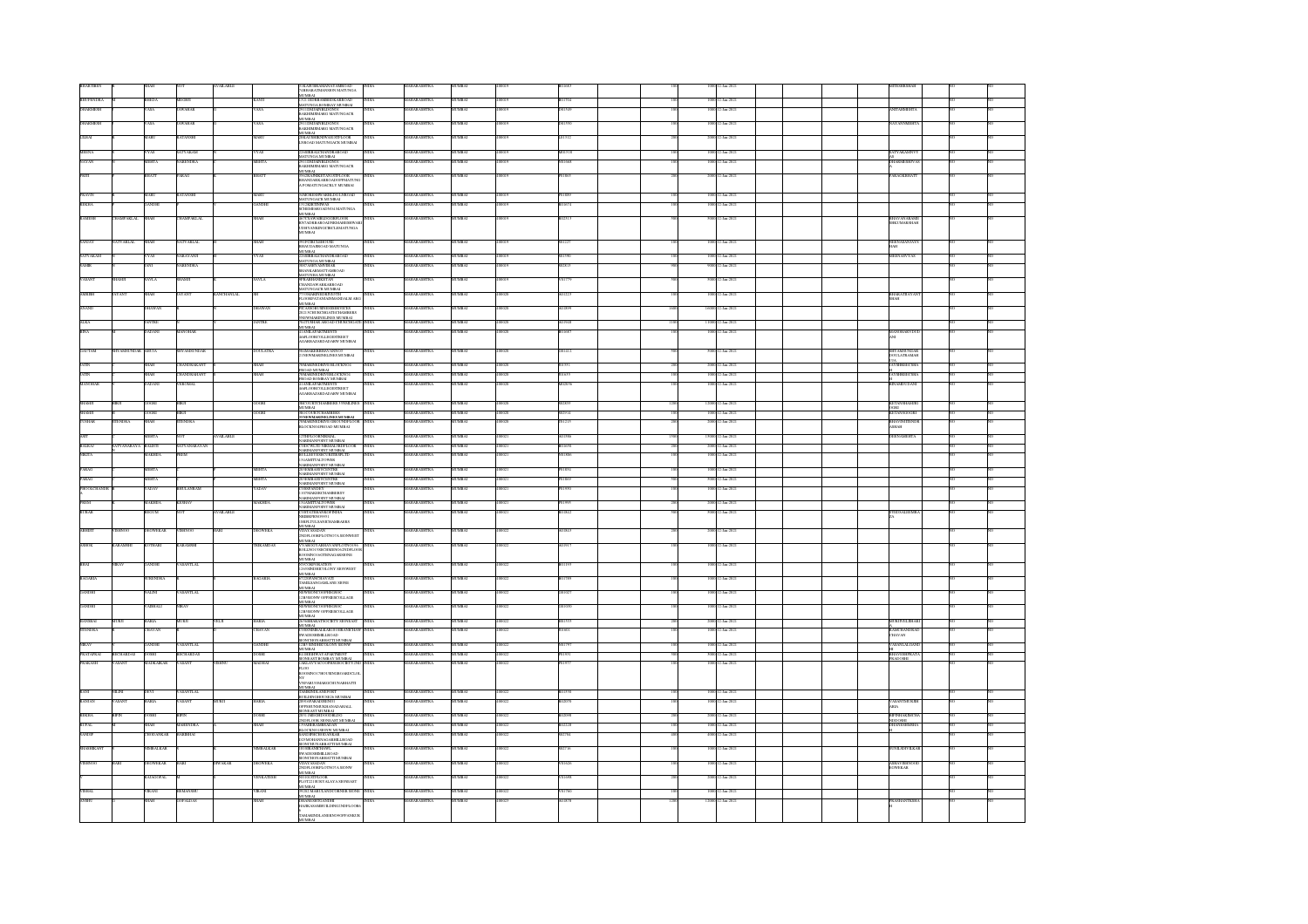|                 |                 |                  |                    |                  |                |                                                                                                                                                                                                                         |              | <b>IADACUTES</b>         |                |     |               |  |         |                     |  |                           |  |
|-----------------|-----------------|------------------|--------------------|------------------|----------------|-------------------------------------------------------------------------------------------------------------------------------------------------------------------------------------------------------------------------|--------------|--------------------------|----------------|-----|---------------|--|---------|---------------------|--|---------------------------|--|
|                 |                 |                  |                    |                  |                | I KASUBRAMANAYAMROAD<br>4BHARATMANSION MATUNGA                                                                                                                                                                          |              |                          |                |     |               |  |         |                     |  |                           |  |
| <b>UPENDRA</b>  |                 |                  |                    |                  |                | <b>EMBAL</b><br><b>S211EDRBAMBEDKARROAD</b>                                                                                                                                                                             |              | <b>MAHARASHTRA</b>       | <b>IUMBAI</b>  |     |               |  |         | $34m-202$           |  |                           |  |
|                 |                 |                  |                    |                  |                |                                                                                                                                                                                                                         |              |                          |                |     |               |  |         |                     |  |                           |  |
| HARMESH         |                 | ASA              | WAHAR              |                  | ŚА             | MATUNGA BOMBAY MUMBAI<br>2911DMIAINBLDGNO1<br>BAKHIMIIMARG MATUNGACR                                                                                                                                                    |              | HARASHTRA                | UMBAI          |     | 1549          |  |         | $3m-202$            |  | <b>ITAHMEHT</b>           |  |
|                 |                 |                  |                    |                  |                |                                                                                                                                                                                                                         |              |                          |                |     |               |  |         |                     |  |                           |  |
| HARMES          |                 |                  |                    |                  |                | EMBAL<br>PHDMIAINBLDGNO1<br>AKHIMIMARG MATUNGACR<br>EMAINMANA ASISTELOOP                                                                                                                                                |              | ASHTR/                   | MBA            |     |               |  |         |                     |  |                           |  |
|                 |                 |                  |                    |                  |                |                                                                                                                                                                                                                         |              |                          |                |     |               |  |         |                     |  |                           |  |
| ii Rai          |                 |                  |                    |                  |                | <b>INBVASISTELOOR</b><br>NROAD MATUNGACR MUMBA                                                                                                                                                                          |              |                          |                |     |               |  |         |                     |  |                           |  |
|                 |                 |                  |                    |                  |                |                                                                                                                                                                                                                         |              |                          |                |     |               |  |         |                     |  |                           |  |
| <b>JEENA</b>    |                 | YAS              | <b>TYAKAM</b>      |                  | YAS            | <b>ESIRBALCHANDRAROAD</b>                                                                                                                                                                                               | <b>NDIA</b>  | <b>AHARASHTRA</b>        | <b>EUMBAI</b>  |     |               |  |         | 1000 12-Jan-202     |  | <b>TYAKAMP</b>            |  |
| .<br>NAYAN      |                 | <b>JEHTA</b>     | RENDRA             |                  | <b>EHTA</b>    | ATENGA MUMBAL<br>FILINGA MUMBA<br>AKHIMIIMARG MATUNGACR                                                                                                                                                                 | DIA          | <b><i>AMARASHTRA</i></b> | <b>EUMBAI</b>  |     |               |  |         | 2-Jan-202           |  | )<br>HARMESHJ             |  |
|                 |                 |                  |                    |                  |                |                                                                                                                                                                                                                         |              |                          |                |     |               |  |         |                     |  |                           |  |
|                 |                 |                  |                    |                  |                | MBAI<br>\2RAJNIKETAN1STFLOOR                                                                                                                                                                                            |              |                          | 3024           |     |               |  |         |                     |  |                           |  |
|                 |                 |                  |                    |                  |                | NANDARKARROADOPPMATUN<br>YOMATUNGACRLY MUMBAI                                                                                                                                                                           |              |                          |                |     |               |  |         |                     |  |                           |  |
|                 |                 |                  |                    |                  |                |                                                                                                                                                                                                                         |              |                          |                |     |               |  |         |                     |  |                           |  |
| PRAVIN          |                 | <b>LLQTT</b>     | <b>TANGHI</b>      |                  |                | <b>AMORESHWARBLDG LNROAD</b>                                                                                                                                                                                            | NDIA         | <b>MAHARASHTRA</b>       | <b>TIMRAI</b>  |     |               |  |         | 1000 12-Jan-202     |  |                           |  |
| <b>REKHA</b>    |                 | ANDHI            |                    |                  | ANDH           | ATUNGACR MUMBAL<br>  12KIRTINIWAS                                                                                                                                                                                       | <b>CIVEA</b> | <b>AHARASHTRA</b>        | <b>EUMBAI</b>  |     | 1674          |  | 1000    | 2-Jan-202           |  |                           |  |
|                 |                 |                  |                    |                  |                | CHEMESROADNO4 MATUNGA                                                                                                                                                                                                   |              |                          |                |     |               |  |         |                     |  |                           |  |
| RAMESH          | HAMPAKLAL       | SHAH             | <b>HAMPAKLAL</b>   |                  | IАН            | SUMBAI<br>MUMBAI<br>NUMBAI<br>RN7ADRBAROADNRMAHESHWARI<br>UDHYANKINGCIRCLEMATUNGA                                                                                                                                       | INDIA        | <b>AHARASHTRA</b>        | <b>IUMBAI</b>  |     | 12313         |  |         | 5000 12-Jan-2021    |  |                           |  |
|                 |                 |                  |                    |                  |                |                                                                                                                                                                                                                         |              |                          |                |     |               |  |         |                     |  | HAVANARAME<br>HKUMARSHAH  |  |
|                 |                 |                  |                    |                  |                | <b>IUMBAI</b>                                                                                                                                                                                                           |              |                          |                |     |               |  |         |                     |  |                           |  |
|                 | .<br>TVARLA     |                  |                    |                  |                | <b>IFCRCLEHOUSE</b>                                                                                                                                                                                                     |              | <b>HARASHTRA</b>         | <b>IMBA</b>    |     |               |  |         |                     |  |                           |  |
| SANJAY          |                 |                  | <b>TVARLAL</b>     |                  |                | AUDAJIROAD MATUNGA                                                                                                                                                                                                      |              |                          |                |     |               |  |         |                     |  | ÅН                        |  |
|                 |                 |                  |                    |                  |                | UMBAI<br>!6SIRBALCHANDRAROAD                                                                                                                                                                                            |              |                          |                |     |               |  |         |                     |  |                           |  |
| <b>SATYAKAM</b> |                 | <b>YAS</b>       | <b>ARAVANII</b>    |                  | 7as            |                                                                                                                                                                                                                         | <b>CIVEA</b> | <b>MAHARASHTRA</b>       | <b>ALIMRAL</b> |     |               |  |         | $1 - 202$           |  | <b>JEENASVVA</b>          |  |
| SAMIR           |                 |                  | RENDRA             |                  |                | 228SIRBALL HANDRAIKUNL<br>MATUNGA MUMBAI<br>3887ASHY AMVIHAR<br>SHANKARMATTAMROAD                                                                                                                                       | <b>TYLA</b>  | <b>AHARASHTRA</b>        | <b>JUMBAI</b>  |     |               |  |         | J <sub>202</sub>    |  |                           |  |
|                 |                 |                  |                    |                  |                |                                                                                                                                                                                                                         |              |                          |                |     |               |  |         |                     |  |                           |  |
| ASANT           |                 | .<br>VLA         |                    |                  |                | ATUNHA MUMBAI<br>RABHANIKETAN<br>HANDAWARKARROAD                                                                                                                                                                        |              |                          |                |     |               |  | 5000 1. | 3-Jan-202           |  |                           |  |
|                 |                 |                  |                    |                  |                |                                                                                                                                                                                                                         |              |                          |                |     |               |  |         |                     |  |                           |  |
|                 |                 |                  |                    |                  |                | IARUNGACIR MUMBAL<br>IATUNGACIR MUMBAL<br>LOORPATANJAINMANDALM ARG<br>IUMBAL<br>ICASSOBUSINESSSERVICES<br>ICASSOBUSINESSSERVICES                                                                                        |              |                          |                |     |               |  |         |                     |  | BHARATI<br>GHAH           |  |
|                 |                 |                  |                    |                  |                |                                                                                                                                                                                                                         |              |                          |                |     |               |  |         |                     |  |                           |  |
| NAND            |                 | HAWAN            |                    |                  | <b>IAWAN</b>   |                                                                                                                                                                                                                         |              | <b>HARASHTRA</b>         | <b>JUMBAI</b>  |     |               |  |         | $34m-202$           |  |                           |  |
|                 |                 |                  |                    |                  |                | 213CHURCHGATECHAMBERS                                                                                                                                                                                                   |              |                          |                |     |               |  |         |                     |  |                           |  |
| ALKA            |                 | <b>JANTRE</b>    |                    |                  | NTRE           | <b>EWMARINELINES MUMBAL</b><br>ITUSHAR AROAD CHURCHGATE                                                                                                                                                                 | INDIA        | <b>MAHARASHTRA</b>       | <b>EUMBAI</b>  |     | 01948         |  |         | 11000 12-Jan-2021   |  |                           |  |
|                 |                 | <b>ADANI</b>     | NOHAR              |                  |                | UMBAI<br>  ANILAPARTMENTS                                                                                                                                                                                               |              | <b>ANHARASHTRA</b>       | <b>UMBAI</b>   |     | 168           |  |         | 1000 12-Jan-2021    |  | <b>MANOHARVDU</b>         |  |
|                 |                 |                  |                    |                  |                | I ANILAPARTMENTS<br>hFLOORCOLLEGESTREET<br>GARBAZARDADARW MUMBAI                                                                                                                                                        |              |                          |                |     |               |  |         |                     |  |                           |  |
|                 |                 |                  |                    |                  |                |                                                                                                                                                                                                                         |              |                          |                |     |               |  |         |                     |  |                           |  |
| AUTAM           |                 | <b>IUJA</b>      |                    |                  | <b>LATR</b>    | <b>MAKERBHAVANNO</b>                                                                                                                                                                                                    |              | <b>ARASHTRA</b>          | MBA            |     |               |  |         |                     |  |                           |  |
|                 |                 |                  |                    |                  |                | NEWMARINELINES MUMBAL                                                                                                                                                                                                   |              |                          |                |     |               |  |         |                     |  | OULATRAMA                 |  |
|                 |                 |                  | <b>ANDRAKANT</b>   |                  |                | <b>SMARINEDRIVE BLOCKNO4</b>                                                                                                                                                                                            |              | <b>HARASHTRA</b>         | <b>IMRAI</b>   |     |               |  |         |                     |  | A<br>VSHREECSI            |  |
| <b>ATIV</b>     |                 |                  | <b>JANDRAHAN</b>   |                  |                | .<br>OAD MUMBAI<br>MARINEDRIVEBLOCKNO4                                                                                                                                                                                  |              | HARASHTRA                | <b>JUMBAI</b>  |     |               |  |         | J <sub>202</sub>    |  | <b>SHREECS</b>            |  |
|                 |                 |                  |                    |                  |                | <b>ROAD BOMBAY MUMBAL</b><br>ANILAPARTMENTS                                                                                                                                                                             |              |                          |                |     |               |  |         |                     |  |                           |  |
| <b>ANOHAI</b>   |                 | <b>ADAN</b>      | EROMAL             |                  |                |                                                                                                                                                                                                                         |              | <b>AHARASHTRA</b>        | <b>EUMBAI</b>  |     |               |  |         | 1000 12-Jan-202     |  | <b>AMDUDA</b>             |  |
|                 |                 |                  |                    |                  |                | HANDA ARTISIATI<br>HHELOORCOLLEGESTREET<br>KGARBAZARDADARW MUMBAI                                                                                                                                                       |              |                          |                |     |               |  |         |                     |  |                           |  |
|                 |                 | SOGRI            |                    |                  |                | <b>COURTCHAMBERS 35NMLINES</b>                                                                                                                                                                                          |              |                          | MBA            |     |               |  |         |                     |  |                           |  |
|                 |                 |                  |                    |                  |                |                                                                                                                                                                                                                         |              |                          |                |     |               |  |         |                     |  |                           |  |
| <b>HAMI</b>     |                 | <b>COGRI</b>     |                    |                  | <b>OGRI</b>    | <b>AUMBAI<br/>BICOURTCHAMBERS</b>                                                                                                                                                                                       | .<br>NDIA    | <b>MAHARASHTRA</b>       | <b>MEMBAL</b>  |     |               |  |         | 1000 12-Jan-202     |  | OGRI<br>KETANSGOGRI       |  |
| <b>ISHAR</b>    |                 | <b>TAH</b>       | .<br>NDR 1         |                  |                | <b>SYCOUR IN ANNIHAMI</b><br>SNEWMARINELINES MUMBAL<br>****RINEDRIVE GROUNDELOO                                                                                                                                         |              | <b>AHARASHTR.</b>        | <b>TIMBAL</b>  |     |               |  |         |                     |  | <b>HAVINIT</b>            |  |
|                 |                 |                  |                    |                  |                | BLOCKNO4FROAD MUMBAI                                                                                                                                                                                                    |              |                          |                |     |               |  |         |                     |  | <b>SHAH</b>               |  |
|                 |                 | MEHTA            |                    | <b>AVAILABLE</b> |                | THFLOORNIRMAL                                                                                                                                                                                                           | <b>INDIA</b> | <b>MAHARASHTRA</b>       | MUMBAI         |     | <b>101586</b> |  |         | 15000 12-Jan-2021   |  | DEENAMEHTA                |  |
|                 |                 |                  |                    |                  |                | <i>A IRIT-LUORIMANAL<br/>IARMANEORY MUMBAL<br/>DDCWLTD NIRMALIRDFLOOR<br/>IARMANEORY MUMBAL<br/>ULLSEVESECURITIESPLTD<br/>HAMITTALTOWER<br/>ARMANEORY THUMBAL<br/>ARMANEORY THUMBAL</i><br>JEMBASSVCENTRE               |              |                          |                |     |               |  |         |                     |  |                           |  |
| BALRAJ          | ATYANARAYA      | <b>BALISTI</b>   | <b>ATYANARAYAN</b> |                  |                |                                                                                                                                                                                                                         | INDIA        | <b>MAHARASHTRA</b>       | <b>UMBAI</b>   |     | 1650          |  |         | 2000 12-Jan-2021    |  |                           |  |
| <b>IKITA</b>    |                 |                  |                    |                  |                |                                                                                                                                                                                                                         |              | <b>HARASHTRA</b>         | 7001           |     |               |  |         | $1 - 30$            |  |                           |  |
|                 |                 |                  |                    |                  |                |                                                                                                                                                                                                                         |              |                          |                |     |               |  |         |                     |  |                           |  |
|                 |                 |                  |                    |                  |                |                                                                                                                                                                                                                         |              |                          |                |     |               |  |         |                     |  |                           |  |
|                 |                 | HT)              |                    |                  |                |                                                                                                                                                                                                                         |              | ASHTR/                   | <b>UMBAI</b>   |     |               |  |         |                     |  |                           |  |
| PARAG           |                 |                  |                    |                  |                | ARIMANPOINT MUMBAL                                                                                                                                                                                                      |              |                          |                |     |               |  |         |                     |  |                           |  |
| PARAG           |                 | <b>EHTA</b>      |                    |                  |                |                                                                                                                                                                                                                         | .<br>DIA     | <b>HARASHTRA</b>         | <b>EUMBAI</b>  |     |               |  |         |                     |  |                           |  |
| PHOOLCHA        |                 | ADA <sup>1</sup> | LANRAM             |                  |                | ARIMANPOINT MUMBAL<br>OSSPANDEY                                                                                                                                                                                         | m            | HARASHTR/                | <b>UMBAI</b>   |     |               |  |         |                     |  |                           |  |
|                 |                 |                  |                    |                  |                | 07MAKERCHAMBERSV                                                                                                                                                                                                        |              |                          |                |     |               |  |         |                     |  |                           |  |
| REM             |                 | MAKHIJA          | ESHAV              |                  | <b>EAKHILA</b> | ARIMANPOINT MUMBAI<br>HAMITTALTOWER                                                                                                                                                                                     | NDIA         | <b>MAHARASHTRA</b>       | <b>UMBAI</b>   |     |               |  |         | 2000 12-Jan-202     |  |                           |  |
|                 |                 | $\overline{a}$   |                    |                  |                |                                                                                                                                                                                                                         |              |                          | $\frac{1}{2}$  |     |               |  |         |                     |  |                           |  |
| <b>RUBAB</b>    |                 |                  |                    |                  |                |                                                                                                                                                                                                                         |              |                          |                |     |               |  |         |                     |  |                           |  |
|                 |                 |                  |                    |                  |                |                                                                                                                                                                                                                         |              |                          |                |     |               |  |         |                     |  |                           |  |
| RHIITT          |                 | <b>GWEKA</b>     |                    |                  | WEK/           | <b>"CONLUMEROWER"</b><br>ARIMANFORY MUMBAL<br>"DSTATEBANKOFNDIA<br>RIBRPBNOPOS !<br>"RELTULSANICHAMBAERS"<br>LIMBAL<br>UMBAI<br>JAYASADAN                                                                               |              | AHARASHTRA               | <b>IMRAI</b>   |     |               |  |         |                     |  |                           |  |
|                 |                 |                  |                    |                  |                | NDFLOORPLOTNO7A SIONWEST                                                                                                                                                                                                |              |                          |                |     |               |  |         |                     |  |                           |  |
| ASHOK           | ARAMSHI         | OTHARI           | ARAMSHI            |                  | RIKAMDAS       |                                                                                                                                                                                                                         | <b>INDIA</b> | <b>IAHARASHTRA</b>       | <b>JUMBAI</b>  |     |               |  |         | 000 12-Jan-2021     |  |                           |  |
|                 |                 |                  |                    |                  |                | MUMBAI<br>MUMBAI<br>VVAROGYABHAVANPLOTNO196<br>ROLLNOI SSECHMENO62NDFLOOI                                                                                                                                               |              |                          |                |     |               |  |         |                     |  |                           |  |
|                 |                 |                  |                    |                  |                | <b>OMNO16GTBNAGARSIONE</b>                                                                                                                                                                                              |              |                          |                |     |               |  |         |                     |  |                           |  |
| HAI             | RAV             | ANDHI            | SANTLAL.           |                  |                |                                                                                                                                                                                                                         |              | <b>AHARASHTRA</b>        | UMBAI          |     |               |  |         | 1000 12-Jan-2021    |  |                           |  |
|                 |                 |                  |                    |                  |                | UMBAI<br>VCORPORATION<br>SSSENDHICOLONY SIONWEST                                                                                                                                                                        |              |                          |                |     |               |  |         |                     |  |                           |  |
| GARIA           |                 |                  |                    |                  |                |                                                                                                                                                                                                                         |              |                          |                |     |               |  |         |                     |  |                           |  |
|                 |                 |                  |                    |                  |                | <b>dUMBAI<br/>7220PANCHAVATI<br/>FAMILSANGAMLANE SIONE</b>                                                                                                                                                              |              |                          |                |     |               |  |         |                     |  |                           |  |
| ANDHI           |                 | <b>ALIN</b>      | SANTLAL            |                  |                | UMBAI<br>EWSIONCOOPHSGSOC                                                                                                                                                                                               |              | <b>AHARASHTRA</b>        | <b>EUMBAI</b>  |     |               |  | 1000    | $34m-202$           |  |                           |  |
|                 |                 |                  |                    |                  |                | 2BSSIONW OPPSIESCOLLAGE                                                                                                                                                                                                 |              |                          |                |     |               |  |         |                     |  |                           |  |
| ANDHI           |                 | AISHALI          | RAV                |                  |                |                                                                                                                                                                                                                         |              | <b>AHARASHTRA</b>        | <b>JUMBAI</b>  |     |               |  |         | $-$ Jan-202         |  |                           |  |
|                 |                 |                  |                    |                  |                | <b>ZBSSONW OPPSIESCOLLAGE</b><br><b>GEWSIONCOOPHSGSOC</b><br>2BSSIONW OPPSIESCOLLAGE                                                                                                                                    |              |                          |                |     |               |  |         |                     |  |                           |  |
| <b>ANSBA</b>    |                 |                  |                    |                  |                | UMBAI<br>(56BHARATSOCIETY SIONEAST                                                                                                                                                                                      |              |                          |                |     |               |  |         | 000 12-Jan-202      |  |                           |  |
| <b>TENDRA</b>   |                 |                  |                    |                  |                |                                                                                                                                                                                                                         |              |                          | <b>INRA</b>    |     |               |  |         |                     |  |                           |  |
|                 |                 |                  |                    |                  |                | ó56BHAR-samma<br>ÆUMBAL<br>"OSSNIMBALKAR I 810IRANICHAY                                                                                                                                                                 |              |                          |                |     |               |  |         |                     |  | A<br>KAMCHAN<br>"HAVAN    |  |
| <b>NIRAV</b>    |                 | <b>DANDHI</b>    | ASANTLAL           |                  | <b>ANTWH</b>   | <b>CONSISTENT ALANETS FORCINE.</b><br>SWADESHIMILLROAD<br>SIONCHONABHATTI MUMBAL<br>12BS SINDHICOLONY SIONW                                                                                                             | <b>INDIA</b> | <b>MAHARASHTRA</b>       | <b>MENRAL</b>  |     |               |  |         | 1000 12-Jan-202     |  | ASANLALGA                 |  |
| PRATAPRAL       | <b>ECHARDAS</b> | <b>DOSHI</b>     | <b>ECHARDAS</b>    |                  | OSHI           |                                                                                                                                                                                                                         | <b>INDIA</b> | <b>MAHARASHTRA</b>       | <b>MUMBAL</b>  | 022 | <b>H931</b>   |  |         |                     |  | <b>HAVESHPRAT</b>         |  |
|                 |                 |                  |                    |                  |                | BS SEWALLER<br>JUMBAI<br>JUHICHWAYAPARTMENT                                                                                                                                                                             |              |                          |                |     |               |  |         | $3000$ 12-Jan-2021  |  | <b>PRADOSHI</b>           |  |
| PRAKASH         | <b>ASANT</b>    | MADKAIKAR        | <b>ASANT</b>       |                  | <b>ADHAI</b>   | SIONEAST BOMBAY MUMBAI<br>LAKLAVYACOOPHSGSOCIETY2ND   INDIA                                                                                                                                                             |              | <b>AHARASHTRA</b>        | <b>UMBAI</b>   |     |               |  |         | 1000 12-Jan-2021    |  |                           |  |
|                 |                 |                  |                    |                  |                | LOO<br>ROOMNOI 7HOUSINGBOARDCLOI                                                                                                                                                                                        |              |                          |                |     |               |  |         |                     |  |                           |  |
|                 |                 |                  |                    |                  |                |                                                                                                                                                                                                                         |              |                          |                |     |               |  |         |                     |  |                           |  |
|                 |                 |                  |                    |                  |                | .<br>PARUOMARGCHUNABHATTI                                                                                                                                                                                               |              |                          |                |     |               |  |         |                     |  |                           |  |
| RANI            | II.NI           | ЖVI              | SANTLAI            |                  |                | <b>MBAI</b><br>MRINDLANEFORT                                                                                                                                                                                            |              | <b><i>AMARASHTRA</i></b> | <b>EUMBAI</b>  |     |               |  |         | $\frac{1}{2}$ an-20 |  |                           |  |
| ANJAN           |                 |                  |                    |                  |                | ULDINGHOUSE26 MUMBAL                                                                                                                                                                                                    |              | <b>JARASHTRA</b>         | <b>DMBA</b>    |     |               |  |         |                     |  |                           |  |
|                 |                 |                  |                    |                  |                | 8916PARADISENOI<br>PPSHUNMUKHANADAHALL                                                                                                                                                                                  |              |                          |                |     |               |  |         |                     |  | <b>RIA</b>                |  |
| <b>EKHA</b>     |                 | OSHI             |                    |                  | OSHI           | <b>NEAST MUMBAI</b><br>311MEGHDOODBLDG                                                                                                                                                                                  | <b>DIA</b>   | HARASHTRA                | <b>EUMBAI</b>  |     |               |  |         | 2000 12-Jan-202     |  | <b>SIPINHAKIMCH</b>       |  |
|                 |                 | HAH              |                    |                  | ₹AH            | <b>OFLOOR SIONEAST MUMBAL</b><br>9AHERAMBSADAN                                                                                                                                                                          |              |                          |                |     | 222           |  |         |                     |  | DDOSHI<br>HANESHMSI       |  |
| RUPAL.          |                 |                  | HENDRA             |                  |                |                                                                                                                                                                                                                         |              | <b>ANHARASHTRA</b>       | <b>UMBAI</b>   |     |               |  |         | 1000 12-Jan-2021    |  |                           |  |
| SANDIP          |                 | HODANKAR         | RIBHA              |                  |                |                                                                                                                                                                                                                         |              | <b>AHARASHTRA</b>        | <b>UMBAI</b>   |     |               |  |         | 4000 12-Jan-2021    |  |                           |  |
|                 |                 |                  |                    |                  |                |                                                                                                                                                                                                                         |              |                          |                |     |               |  |         |                     |  |                           |  |
| ASHIK I         |                 | <b>BALKA</b>     |                    |                  | MBALKAR        |                                                                                                                                                                                                                         |              | <b>MARACUTE</b>          | <b>EUMBAI</b>  |     |               |  |         | $-3an-202$          |  | NIL SDR                   |  |
|                 |                 |                  |                    |                  |                |                                                                                                                                                                                                                         |              |                          |                |     |               |  |         |                     |  |                           |  |
| SHNOO           |                 | GWEKAR           |                    |                  | <b>GWEKA</b>   | 139AHERAMBSADAN<br>BLOCKNOISIONWAILMEAL<br>SANDPHCHODANKAR<br>D2SMOHANNAGARHILLROAD<br>D2SMOHANNAGARHILLROAD<br>SIONCHONABBATTI MUMBAL<br>SIONCHONABHATTI MUMBAL<br>VIJAYASADAN<br>VIJAYASADAN<br>NDFLOORPLOTNO7A SIONW |              | <b>IARASHTRA</b>         | <b>DMBA</b>    |     |               |  |         | J <sub>202</sub>    |  | HAVISHNO<br><b>GWEKAR</b> |  |
|                 |                 |                  |                    |                  |                |                                                                                                                                                                                                                         |              |                          |                |     |               |  |         |                     |  |                           |  |
|                 |                 | <b>AJAGOPAL</b>  |                    |                  | NKATESH        | MBAI<br>DIOISTFLOOR                                                                                                                                                                                                     | <b>DIA</b>   | <b>AHARASHTRA</b>        | <b>JUMBAI</b>  |     |               |  |         | -Jan-2021           |  |                           |  |
|                 |                 |                  |                    |                  |                | ODUSTFIJOM<br>LOT22 ISURYALAYA SIONEAST                                                                                                                                                                                 |              |                          |                |     |               |  |         |                     |  |                           |  |
| SHAL.           |                 | <b>JRANI</b>     |                    |                  | RANI           | IUMBAI<br>JUMBAI<br>9202 MARULANDCORNER SIONE                                                                                                                                                                           | <b>INDIA</b> | MAHARASHTRA              | <b>IMBAI</b>   |     | 760           |  |         | 1000 12-Jan-2021    |  |                           |  |
| x <sub>CH</sub> |                 |                  | PALDA              |                  |                |                                                                                                                                                                                                                         | <b>NDIA</b>  | <b>MARASHTRA</b>         | <b>EUMBAI</b>  |     | 187           |  | 1200    | $3m-202$            |  |                           |  |
|                 |                 |                  |                    |                  |                | UMBAI<br>HANESHTGANDHI<br>AJIKASAMBUILDING2NDFLOOR<br><b>TAMARINDLANERNOSOPPANKUR</b>                                                                                                                                   |              |                          |                |     |               |  |         |                     |  |                           |  |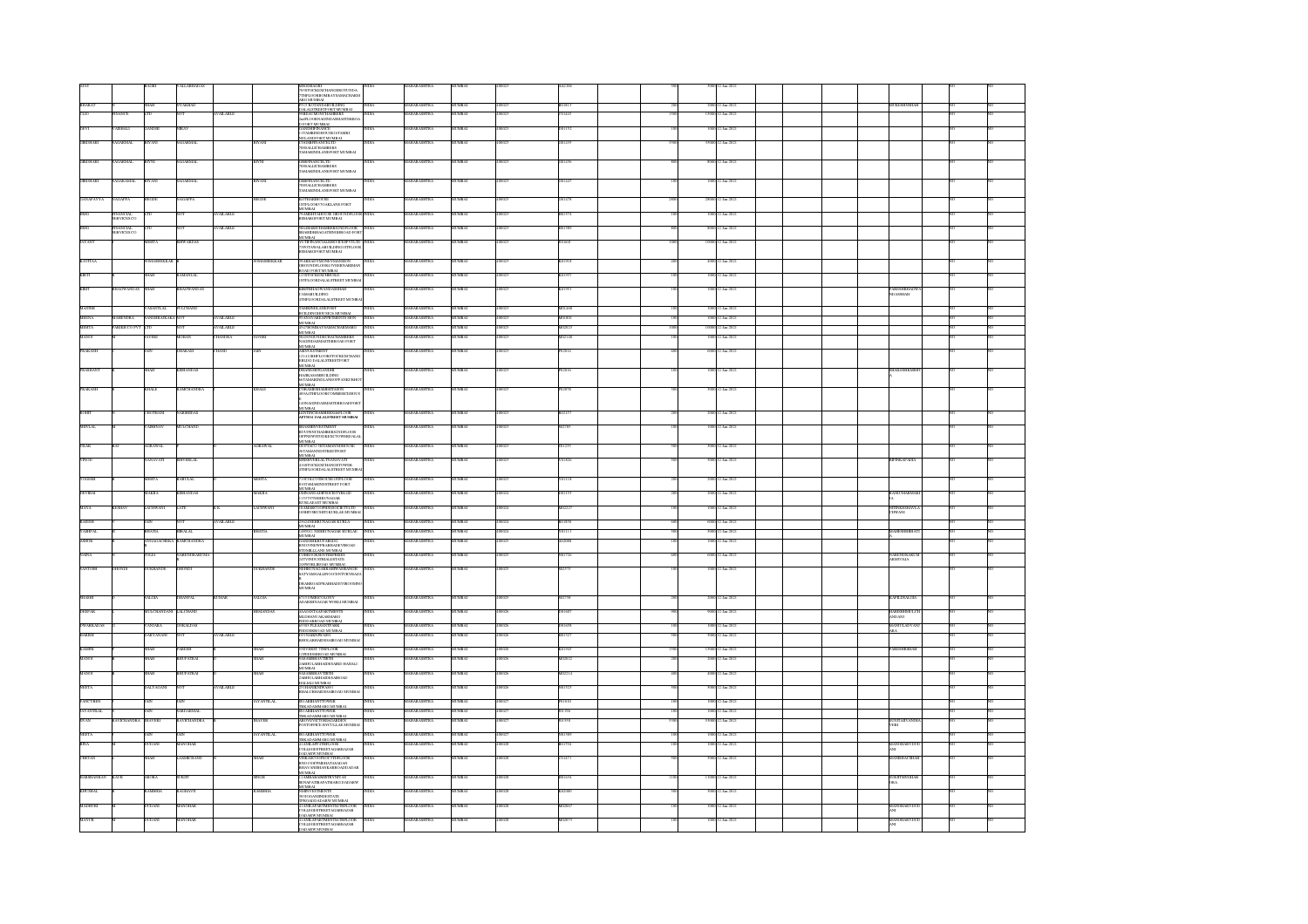|                       |                                 |                  |                                        |                             |                                                                                                                     | <b>HARASHTRA</b>          | <b>IMBA</b>                  |      |             |  |                 |                       |  |                          |  |  |
|-----------------------|---------------------------------|------------------|----------------------------------------|-----------------------------|---------------------------------------------------------------------------------------------------------------------|---------------------------|------------------------------|------|-------------|--|-----------------|-----------------------|--|--------------------------|--|--|
|                       |                                 |                  |                                        |                             | MSGDBAGRI<br>705STOCKEXCHANGEROTUNDA<br>7THFLOORBOMBAYSAMACHARM                                                     |                           |                              |      |             |  |                 |                       |  |                          |  |  |
|                       |                                 |                  | AKHAD                                  |                             | RG MUMBAI<br>515 ROTANDABUILDING                                                                                    |                           | MBAI                         |      |             |  |                 | J <sub>20</sub> 202   |  | UKESI                    |  |  |
|                       |                                 |                  |                                        | <b>AILABLE</b>              | <b>MLALSTREETFORT MUMBAL</b><br>9RE ALIMONCH AMRER'S<br>WELOORNAGINDASMASTERRO                                      |                           | <b>MRA</b>                   |      |             |  |                 |                       |  |                          |  |  |
|                       |                                 |                  |                                        |                             | FORT MUMBAI<br>ANDHIFINANCE                                                                                         | HARASHIRA                 | UMBAI                        |      |             |  |                 | 2-Jan-202             |  |                          |  |  |
|                       |                                 |                  |                                        |                             | <b>ITAMRINDHOUSE26TAMRI</b><br>DLANDFORT MUMBAL                                                                     |                           |                              |      |             |  |                 |                       |  |                          |  |  |
| <b>JIRDHARI</b>       | <b>GARMAL</b>                   | íΑN              | <b><i>GARMA</i></b>                    |                             | COGSBFINANCELTD<br>7880ALLICHAMBERS<br>TAMARINDLANEFORT MUMBAI                                                      | <b><i>HARASHTRA</i></b>   | <b>DMBA</b>                  |      |             |  |                 |                       |  |                          |  |  |
| <b>GIRDHARI</b>       | <b>GARMAL</b>                   |                  | <b><i>GARMAL</i></b>                   |                             | <b>SBFINANCELTD</b>                                                                                                 | HARASHTRA                 | <b>JUMBAI</b>                |      | )<br>1436   |  | മാന             | $\frac{1}{2}$ an-2021 |  |                          |  |  |
|                       |                                 |                  |                                        |                             | SSOALLICHAMBERS<br>'AMARINDLANEFORT MUMBAI                                                                          |                           |                              |      |             |  |                 |                       |  |                          |  |  |
| <b>GIRDHARI</b>       | <b>AGARAMAL</b>                 | <b>SIYANI</b>    | <b>GARMAL</b>                          | SIYANI                      | GSBFINANCELTD<br>7889ALLICHAMBERS<br>TAMARINDLANEFORT MUMBAI                                                        | <b>IAHARASHTRA</b>        | <b>JUMBAI</b>                |      | (144)       |  |                 | 2-Jan-2021            |  |                          |  |  |
|                       |                                 |                  |                                        |                             |                                                                                                                     |                           |                              |      |             |  |                 |                       |  |                          |  |  |
| <b>GANAPAYYA</b>      |                                 |                  |                                        |                             | COTHARIHOUSE<br>ISTFLOOR57OAKLANE FORT                                                                              |                           |                              |      |             |  |                 |                       |  |                          |  |  |
| <b>HMG</b>            | FINANCIAL<br>SERVICES CO        |                  |                                        | <b>AILABLE</b>              | LINBAL<br>LIMBAI<br>9AMEHTAHOUSE GROUNDFLOC<br>SMARGFORT MUMBAL                                                     | <b><i>HARASHTRA</i></b>   | UMBAI                        |      | <b>HS72</b> |  |                 | J <sub>202</sub>      |  |                          |  |  |
|                       | <b>FINANCIAL</b><br>SERVICES CO |                  |                                        |                             | S<br>SS4HARICHAMBERS2NDFLOOR<br>SHAHIDBHAGATSINGHROAD FOR 1                                                         |                           |                              |      |             |  |                 |                       |  |                          |  |  |
| <b>JAYANT</b>         |                                 |                  |                                        |                             |                                                                                                                     |                           | MRA                          |      |             |  |                 |                       |  |                          |  |  |
|                       |                                 |                  |                                        |                             | AUMBAI<br>FUTIFINANCIALSERVICESPVTLTL<br>33POTAWALABUILDING ISTFLOOF<br>3SMARGFORT MUMBAI                           |                           |                              |      |             |  |                 |                       |  |                          |  |  |
| <b>KAVITAA</b>        |                                 | MASHEKKA         |                                        | MASHEKKAR                   | 99AREADYMONEYMANSION<br>NDL                                                                                         | <b>AHARASHTRA</b>         | <b>IUMBAI</b>                |      |             |  |                 | 4000 12-Jan-2021      |  |                          |  |  |
| KIRTI                 |                                 |                  | <b>AANLAL</b>                          |                             | GROUNDFLOOR43VEERNARIMAN<br>ROAD FORT MUMBAI                                                                        | HARASHTRA                 | MBAI                         |      |             |  |                 | J <sub>202</sub>      |  |                          |  |  |
| KIRIT                 | <b>SCWANDAS</b>                 |                  | <b>MWANDAS</b>                         |                             | 23STOCKEXCHBUILD<br>STFLOORDALALSTREET MUMBA<br><b>CIRITBHAGWANDASSHAH</b>                                          | <b>HARASHTRA</b>          | <b>TMRAI</b>                 |      |             |  |                 | Im202                 |  |                          |  |  |
|                       |                                 |                  |                                        |                             | CAMABULDING<br>THFLOORDALALSTREET MUMBA                                                                             |                           |                              |      |             |  |                 |                       |  | ARESHBHAGY<br>DASSHAH    |  |  |
| MASTER                |                                 | <b>VASANTLAL</b> | <b>FULCHAND</b>                        |                             | <b>TAMRINDLANEFORT</b><br>NDIA                                                                                      | <b>MAHARASHTRA</b>        | MUMBAI                       |      | 01468       |  |                 | 1000 12-Jan-2021      |  |                          |  |  |
|                       |                                 |                  |                                        |                             | <b>LAMBURDLANDER<br/>BUILDINGHOUSE26 MUMBAI<br/>95 ANAVAREAPPRTMENTS SION<br/>MUMBAI<br/>4547BOMBAYSAMACHARMARG</b> |                           | $\overline{m}$               |      |             |  |                 |                       |  |                          |  |  |
| <b>MEHTA</b>          | <b>RIKH CO PVT</b>              |                  |                                        | <b>VAILABLE</b>             |                                                                                                                     | <b>HARACUTE</b>           | <b>TIMBAL</b>                |      |             |  | $\overline{mn}$ | 2.1sp.202             |  |                          |  |  |
| <b>MANOL</b>          |                                 | <b>VERI</b>      | OHAN                                   | <b>HANDRA</b><br><b>VFR</b> | MUMBAL<br>S04505GUNDECHACHAMBERS<br>vre<br>NAGINDASMASTERROAD FORT                                                  | <b>AHARASHTRA</b>         | <b>TIMBAL</b>                |      | 02148       |  |                 | $100^{202}$           |  |                          |  |  |
| PRAKASH               |                                 |                  | <b>IARAM</b>                           | <b>JAND</b>                 | MUMBAI<br>MUMBAI<br>121412RHFLOORSTOCKEXCHANG<br>EBLDG DALALSTREETFORT<br><b>SDIA</b>                               | <b>AHARASHTRA</b>         | <b>IUMBAI</b>                |      | 2014        |  |                 | Jan-2021              |  |                          |  |  |
|                       |                                 |                  |                                        |                             |                                                                                                                     |                           |                              |      |             |  |                 |                       |  |                          |  |  |
|                       |                                 |                  |                                        |                             | EBLIN<br>MIMBAI<br>DHANESHTGANDHI<br>HAJIKASAMBUILDING<br>66TAMARINDLANEOPPANKURHO                                  |                           |                              |      |             |  |                 |                       |  |                          |  |  |
| PRAKASH               |                                 | KHALE            | <b>AMCHANDRA</b>                       | HALE                        | <b>JUMBAI<br/>TORAMESHAMEHTASON</b><br>NDU                                                                          | MAHARASHTRA               | MUMBAI                       |      |             |  |                 | 3000 12-Jan-2021      |  |                          |  |  |
|                       |                                 |                  |                                        |                             | 09A4THFLOORCOMMERCEHOUS                                                                                             |                           |                              |      |             |  |                 |                       |  |                          |  |  |
| $_{\text{curr}}$      |                                 |                  |                                        |                             | <b>ENAGINDASMASTERROADFORT</b>                                                                                      |                           | UMBAI                        |      |             |  |                 |                       |  |                          |  |  |
|                       |                                 |                  |                                        |                             | MUMBAI<br>LENTINCHAMBERS4:hFLOOR<br>APTNO4 DALALSTREET MUMBAI                                                       |                           |                              |      |             |  |                 |                       |  |                          |  |  |
| <b>IIVLAL</b>         |                                 | <b>SHNAV</b>     | <b>LCHAND</b>                          |                             | .<br>SHASHIINVESTMENT<br>BUUPENCHAMBERS2NDFLOOR                                                                     | <b>HARASHTRA</b>          | UMBAI                        |      |             |  |                 | Im 202                |  |                          |  |  |
| LAK                   |                                 | <b>RAWAL</b>     |                                        | <b>GRAWAL</b>               | <b>OPPNEWSTODKEXCTOWERDALAI</b><br>UPTNEWS<br>MUMBAI<br>GUPTACO 3BTAMANNDHOUSE<br>36TAMANNDSTREETFORT               | <b>HARASHTRA</b>          | MBAI                         |      |             |  |                 | J <sub>202</sub>      |  |                          |  |  |
|                       |                                 |                  |                                        |                             | <b><i>AUMBAI</i></b><br>MSISHVERLALTNANAVATI                                                                        |                           |                              |      |             |  |                 |                       |  |                          |  |  |
| <b>TVOD</b>           |                                 | <b>NAVAT</b>     | <b>IVERLAL</b>                         |                             | <b>HASTOCKEXCHANGETOWER</b><br>THFLOORDALALSTREET MUME                                                              | <b>HARASHTRA</b>          | <b>TMRAI</b>                 |      |             |  |                 | Im 202                |  | <b>SKAPADE</b>           |  |  |
| OGESH                 |                                 | EHTA             | <b>ABULAL</b>                          | EHTA                        | 19COLCOTHOUSE1STFLOOR                                                                                               | <b>AHARASHTRA</b>         | <b>IUMBAI</b>                |      |             |  |                 | 2000 12-Jan-202       |  |                          |  |  |
| <b>EVIBA</b>          |                                 | xw               |                                        |                             | <b>OTAMARINDSTREET FORT</b>                                                                                         |                           | <b>MRZ</b>                   |      |             |  |                 |                       |  |                          |  |  |
|                       |                                 |                  |                                        | AKBA                        | MUMBAI<br>MUMBAI<br>1153797NEHRUNAGAR<br>KURLAEAST MUMBAI<br>10AMARCOOPHSGSOCIETYLTD<br>10AMARCOOPHSGSOCIETYLTD     |                           |                              |      |             |  |                 |                       |  |                          |  |  |
| la¥a.                 |                                 | <b>HWAN</b>      |                                        | <b>HWAN</b>                 | <b>SSHIVSRUSHTI KURLAE MUMBAI</b>                                                                                   |                           | <b>MBA</b>                   |      |             |  |                 |                       |  | <b>TINKESH</b><br>CHWANI |  |  |
| <b>AJESH</b>          |                                 |                  |                                        | <b>AVAILABLE</b>            | <b>13624NEHRUNAGAR KURLA</b><br><b>INDIA</b>                                                                        | <b><i>ANHARASHTRA</i></b> | MUMBAI                       | 0024 | 01830       |  |                 | 6000 12-Jan-2021      |  |                          |  |  |
| .<br>SHP A            |                                 |                  |                                        |                             | SB2+1-1<br>AIUMBAI<br>*****11 NEHRUNA<br>.<br>GAR KURLA                                                             |                           |                              |      |             |  |                 | $n-202$               |  |                          |  |  |
| <b>SHOK</b>           |                                 | <b>NGAGACHEK</b> | <b>AMCHANDR</b>                        |                             | NO39NEWPRABHADEVIROAD                                                                                               | <b>HARASHTRA</b>          | <b>IMRAI</b>                 |      |             |  |                 | J <sub>202</sub>      |  |                          |  |  |
| <b>SAINA</b>          |                                 | ЖĀ               | RENDRAKU                               |                             | <b>TDMELLANE MUMBAL</b><br>OBROOKSENTERPRISES<br><b>!4TVINDUSTRIALESTATE</b>                                        | <b>HARASHTRA</b>          | MBA                          |      |             |  |                 | $an-202$              |  | ARENDRAK<br>ARMITOLIA    |  |  |
|                       |                                 | <b>JKHANDI</b>   |                                        | UKHAND                      | <b>SERUNAGARRAHIWASISANGH<br/>SEHRUNAGARRAHIWASISANGH<br/>SATYAMGALLINOICENTURYBAZA</b>                             |                           | MB.                          |      |             |  |                 |                       |  |                          |  |  |
|                       |                                 |                  |                                        |                             |                                                                                                                     |                           |                              |      |             |  |                 |                       |  |                          |  |  |
|                       |                                 |                  |                                        |                             | R<br>DRABROADPRABHADEVIROOMN<br>MUMBAI                                                                              |                           |                              |      |             |  |                 |                       |  |                          |  |  |
| SHASHI                |                                 | MGIA             | HANPAL                                 | MAR<br><b>ALGIA</b>         | 1519MIGCOLONY<br><b>MISIYARAA ARANI</b><br>ADARSHNAGAR WORLI MUMBAI                                                 | <b>AHARASHTRA</b>         | <b>JUMBAI</b>                |      | 2758        |  | 2000            | $-3$ an-2021          |  | <b>CAPILDSALGI</b>       |  |  |
| EEPAK                 |                                 |                  | CHAND                                  | WDAS                        | <b>AAJANTAAPARTMENTS</b>                                                                                            | <b>ARASHTRA</b>           | MBAI                         |      |             |  |                 | J <sub>202</sub>      |  | <b>NDANI</b>             |  |  |
| VARKAD                |                                 | <b>SJARA</b>     |                                        |                             | MLDHANUAKARMARG<br>PEDDARROAD MUMBA                                                                                 |                           |                              |      |             |  |                 |                       |  |                          |  |  |
| <b>LARISH</b>         |                                 | RYANAN           |                                        | <b>MLABLE</b>               | <b>5303 PLEASANTPARK<br/>EDDERROAD MUMBAI</b><br>VEIN ABYNINGERO<br>HOLABHAIDESAIROAD MUMBAL                        | <b>HARASHTR</b>           | <b>DMBA</b>                  |      |             |  |                 | J <sub>202</sub>      |  |                          |  |  |
|                       |                                 |                  | RESH                                   |                             | <b>SEVERST 7THFLOOR</b>                                                                                             | <b>HARASHTRA</b>          | <b>UMBAI</b>                 |      |             |  | 15000           | $2-3an-2021$          |  |                          |  |  |
|                       |                                 |                  |                                        |                             | SEN-KOROMO MUMBAL<br>12FEDDERROAD MUMBAL<br>2ASAMBHAVIRTH<br>2ABHULABHAIDESAIRD HAJIALI<br>MUMBAI<br>2ASAMBHAVIRTH  | HARASHTR                  | <b>UMBAI</b>                 |      |             |  |                 |                       |  |                          |  |  |
| <b>MANOL</b>          |                                 | нан              | <b>HUPATRAL</b>                        | <b>TAH</b>                  |                                                                                                                     | <b>AHARASHTRA</b>         | <b>TIMRAL</b>                |      | 021.        |  |                 | 000 12-lsn-202        |  |                          |  |  |
| GEETA                 |                                 |                  |                                        | <b>AILABLE</b>              | ABHULABHAIDESAIROAD<br><u>(ALIALI MUMBAI</u><br>5 HANIKNIWAS91                                                      |                           | UMBAI                        |      |             |  |                 |                       |  |                          |  |  |
|                       |                                 | ALYAGAN          |                                        |                             | BHALUBHAIDESAIROAD MUMBAI                                                                                           | <b><i>HARASHTRA</i></b>   |                              |      |             |  |                 | J <sub>202</sub>      |  |                          |  |  |
| <b>WCYBE</b>          |                                 |                  |                                        | <b>ANTILAL</b>              | ARIHANTTOWER<br><b>BKADAMMARG MUMBA</b><br>01ARIHANTPOWER                                                           |                           |                              |      |             |  |                 | J <sub>20</sub> 202   |  |                          |  |  |
| <b>YANTILA</b><br>VAN |                                 | <b>HAVER</b>     | <b><i>MRMA</i></b><br><b>VICHANDRA</b> |                             | <b>TBKADAMMARG MUMBAL</b><br>ABOVEVICTORIAGARDEN                                                                    | seumo<br><b>HARASHTRA</b> | <b>MRAI</b><br><b>UMBAI</b>  |      |             |  | 53000           | 0.202<br>2-Jan-2021   |  | <b>UNITAJIVAN</b>        |  |  |
|                       |                                 |                  |                                        |                             | OSTOFFICE BYCULLAE MUMBA                                                                                            |                           |                              |      |             |  |                 |                       |  | VERI                     |  |  |
| <b>NEETA</b>          |                                 | $\overline{m}$   |                                        | <b>AYANTILAL</b>            | 01ARIHANTTOWER<br>DIA                                                                                               | <b>AHARASHTRA</b>         | <b>IUMBAI</b><br><b>TMRA</b> |      | 1309        |  |                 | 2-Jan-2021            |  |                          |  |  |
|                       |                                 |                  |                                        |                             | TBKADAMMARG MUMBAI<br>41 ANILAPP4THFLOOR<br>COLLEGESTREETAGARBAZAR                                                  |                           |                              |      |             |  |                 |                       |  | anan<br>ANI              |  |  |
| CHETAN                |                                 |                  | <b>OJECHAN</b>                         |                             | MDARW MUMBAI<br>/ISKASCOOPSOC3TDFLOOR<br>.<br>RNOI 3OPPMEHATASADAN<br>BHAVANISHANKARROADDADAR                       | ARASHTR.                  | UMBAI                        |      |             |  |                 |                       |  |                          |  |  |
| <b>HARSHANRAN</b>     |                                 |                  |                                        |                             |                                                                                                                     | <b>IAHARASHTRA</b>        | <b>IUMBAI</b>                |      |             |  |                 |                       |  |                          |  |  |
|                       | KAUR                            | <b>VRORA</b>     | <b>RITT</b>                            | NGH                         | MUMBAI<br>HAMBAI<br>SENAPATIBAPATMARG DADARW<br>ЮU                                                                  |                           |                              |      |             |  | 11000           | Jan-2021              |  | SURJITSINGH)<br>ORA      |  |  |
| <b>CHUSHA</b>         |                                 |                  |                                        |                             | AUMBAI<br>ƏMINVESTMENTS<br>03JOGANINDESTATE                                                                         |                           |                              |      |             |  |                 |                       |  |                          |  |  |
| <b>IADHURI</b>        |                                 |                  |                                        |                             | <b>PROADDADARW MUMBA</b><br>LANILAPARTMENTS4THE<br><b>OLLEGESTREETAGARBAZAR</b>                                     |                           | MBAI                         |      |             |  |                 |                       |  | MANOHAR'<br>ANI          |  |  |
|                       |                                 |                  |                                        |                             | <b>LADARW MUMBAI<br/>HANLAPARTMENTS4THFLOOR<br/>COLLEGESTREETAGARBAZAR</b><br>DADARW MUMBAI                         |                           |                              |      |             |  |                 |                       |  | MANOHAS<br>ANI           |  |  |
|                       |                                 |                  |                                        |                             |                                                                                                                     |                           |                              |      |             |  |                 |                       |  |                          |  |  |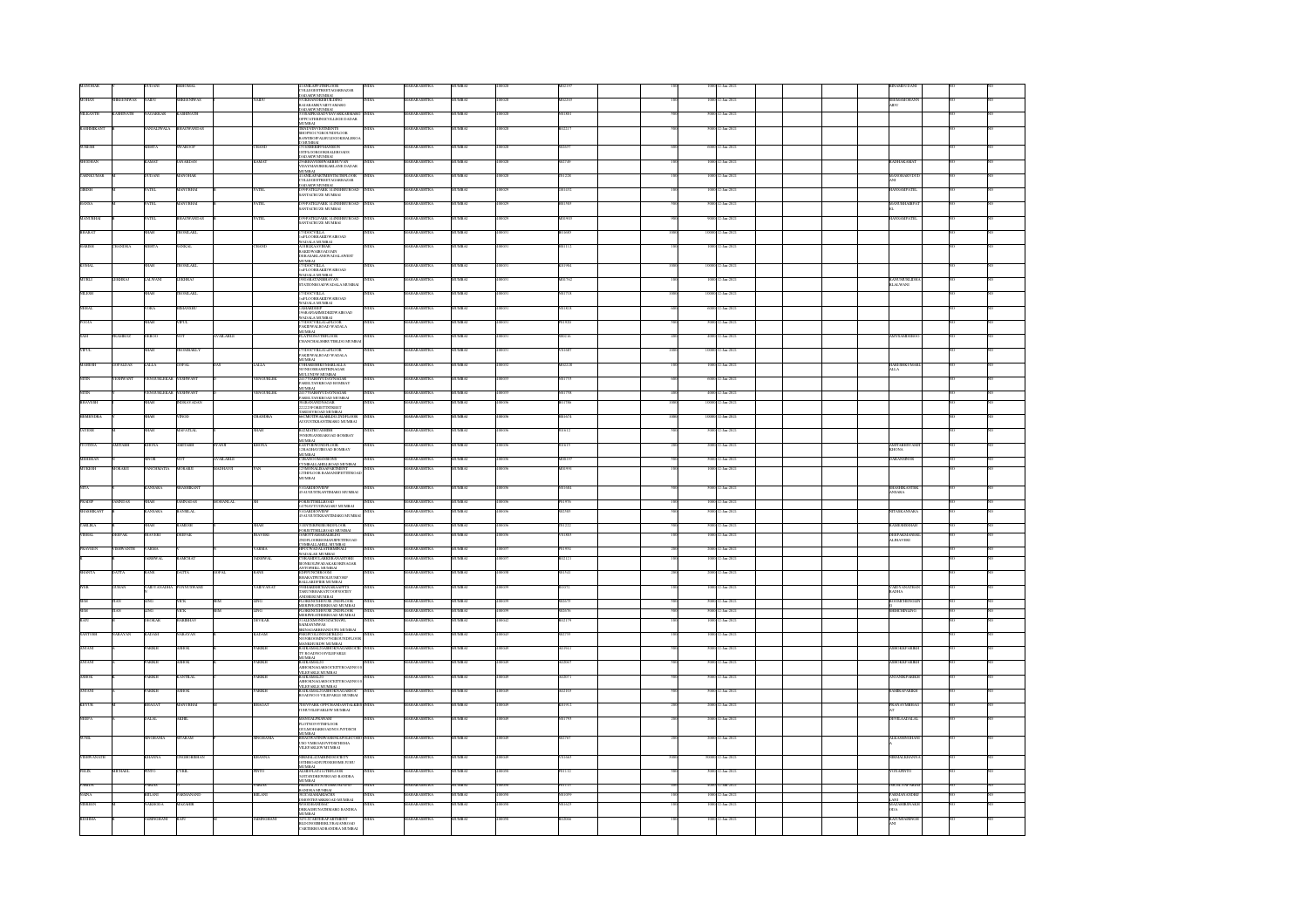|                       |              |                        |                       |                         | 41 ANILAPP4THFLOOR<br>COLLEGESTREETAGARBAZAR                                                                                                                                          |                           |               |                 |      |                   |  |                               |  |
|-----------------------|--------------|------------------------|-----------------------|-------------------------|---------------------------------------------------------------------------------------------------------------------------------------------------------------------------------------|---------------------------|---------------|-----------------|------|-------------------|--|-------------------------------|--|
|                       |              |                        |                       |                         | <b>ADARW MUMBAI<br/>32KHANDKEBULDING</b>                                                                                                                                              |                           |               |                 |      |                   |  |                               |  |
|                       |              |                        |                       |                         | STKHANDKEBUILDING<br>IAJARAMKVAIDYAMARG<br>DADARW MUMBAI<br>JOSAIPRASADVSAVARKARMAI                                                                                                   |                           |               |                 |      |                   |  |                               |  |
| <b>VII KANTE</b>      |              | GARKAR                 | <b>NATE</b>           |                         |                                                                                                                                                                                       | <b>HARASHTRA</b>          | <b>IMRAI</b>  |                 |      |                   |  |                               |  |
|                       |              |                        |                       |                         | OPPCATERINGCOLLEGE DADAR                                                                                                                                                              |                           |               |                 |      |                   |  |                               |  |
| <b>SHMKAN</b>         |              | <b>NJALIWALA</b>       | <b><i>KGWANDA</i></b> |                         | MUMBAI<br>TRNDYINVESTMENTS<br>SHOPNOI 7GROUNDFLOOR<br>RAWISOPALBULDGOKHALERO,                                                                                                         | <b>HARASHTRA</b>          | UMBAI         |                 |      | J <sub>202</sub>  |  |                               |  |
|                       |              |                        |                       |                         |                                                                                                                                                                                       |                           |               |                 |      |                   |  |                               |  |
| RESE                  |              |                        |                       |                         | <b>MUMBAI</b><br>516SHERIFFMANSION<br>STFLOORGOKHALEROADS                                                                                                                             |                           | <b>MRA</b>    |                 |      |                   |  |                               |  |
| <b>SHODHAN</b>        |              | AMAT                   | NARDAN                | w                       | ISTELDOROOKHALEROZAIS<br>DADARW MUMBAI<br>256BHAVESHWARBHUVAN<br>VIJAYMANJREKARLANE DADAR                                                                                             | <b>AHARASHTRA</b>         | <b>IUMBAI</b> |                 |      | 2-Jan-2021        |  | ADHAKAMA                      |  |
|                       |              |                        |                       |                         |                                                                                                                                                                                       |                           |               |                 |      |                   |  |                               |  |
|                       |              |                        |                       |                         | <b>SUMBAI<br/>ILANILAPARTMENTS4THFLOOS<br/>COLLEGESTREETAGARBAZAR</b><br>SUMBAI                                                                                                       |                           |               |                 |      |                   |  |                               |  |
|                       |              |                        | NI IRHAI              |                         | MDARW MUMBAI<br>039PATELPARK 144NEHRUROA                                                                                                                                              | <b>HARASHTRA</b>          | <b>IMRAI</b>  |                 |      |                   |  |                               |  |
| <b>2104</b>           |              |                        |                       |                         | ANTACRUZE MUMBAL                                                                                                                                                                      |                           |               |                 |      | $tan-202$         |  |                               |  |
| ANSA                  |              |                        | NUBHAI                | <b>ATEL</b>             | .<br>D39PATELPARK 144NEHRU<br>SANTACRUZE MUMBAI                                                                                                                                       | <b><i>HARASHTRA</i></b>   | UMBAI         |                 |      | J <sub>202</sub>  |  | MANUBHAIE                     |  |
|                       |              |                        |                       |                         | <b>199PATELPARK 144NEHRUR</b>                                                                                                                                                         |                           |               |                 |      |                   |  |                               |  |
| <b><i>ANTIRHA</i></b> |              |                        | <b>MWAND</b>          | <b>TET</b>              | <b>ANTACRUZE MUMBAL</b>                                                                                                                                                               | <b>AHARASHTRA</b>         | <b>TIMBAI</b> | <b>HOW</b>      |      | 100               |  |                               |  |
| HARAT                 |              | HAF                    | OMLAKL                |                         | <b>73DOCVILLA</b><br>htPLOORRAKIDWAIROAD                                                                                                                                              | <b>JARASHTRA</b>          | UMBAI         |                 | 1000 | J <sub>202</sub>  |  |                               |  |
|                       |              |                        |                       |                         |                                                                                                                                                                                       |                           |               |                 |      |                   |  |                               |  |
|                       |              |                        |                       |                         | WADALA MUMBAI<br>NADALA MUMBAI<br>NAKIDWAIROADIAN<br>DERASARLANEWADALAWEST<br>NUMBAI                                                                                                  |                           |               |                 |      | $tan-202$         |  |                               |  |
|                       |              |                        |                       |                         |                                                                                                                                                                                       |                           |               |                 |      |                   |  |                               |  |
| KOMAL                 |              | uau                    | <b>ROMEAKI</b>        |                         | DERASARLANEWADALAWE<br>MUMBAI<br>173DOCVILLA<br>1¤FLOORRAKIDWAIROAD                                                                                                                   | AHARASHTRA                | <b>TIMBAI</b> |                 |      | 2-Jan-2021        |  |                               |  |
| IURLI                 | <b>KHRA</b>  | <b>ALWANI</b>          | KHRAJ                 |                         |                                                                                                                                                                                       | HARASHTRA                 | UMBAI         |                 |      |                   |  |                               |  |
|                       |              |                        |                       |                         |                                                                                                                                                                                       |                           |               |                 |      |                   |  | RANUMURLIDE<br>RLALWANI       |  |
| <b>NILESH</b>         |              | нан                    | OMEAKE                |                         | 73DOCVILLA                                                                                                                                                                            | <b>HARASHTRA</b>          | <b>TIMBAI</b> | 1715            |      | Im202             |  |                               |  |
| EHAL                  |              | <b>12A</b>             |                       |                         |                                                                                                                                                                                       | <b>HARASHTRA</b>          | <b>IMBAI</b>  |                 |      | Im(202)           |  |                               |  |
|                       |              |                        |                       |                         |                                                                                                                                                                                       |                           |               |                 |      |                   |  |                               |  |
| COJA                  |              |                        |                       |                         | 173DOCVILLA<br>18HLOORRAKIDWAIROAD<br>WADALA MUMBAI<br>1AMARDEEP<br>19KRAFIAHMEDKIDWAIROAD<br>19KRAFIAHMEMBAI<br>WADALA MUMBAI<br>173DOCVILLA1&FLOOR<br>18KIIWALROAD WADALA<br>MUMBAI |                           |               |                 |      | $Jan-202$         |  |                               |  |
|                       |              |                        |                       |                         | UMBAI<br>LATNOS6STHFLOOR                                                                                                                                                              |                           |               |                 |      |                   |  |                               |  |
|                       |              | <b>TAN</b>             |                       | <b>MLABLE</b>           | CHANCHALSMRUTIBLDG MUMBA                                                                                                                                                              |                           | MBA           |                 |      |                   |  |                               |  |
| /INL                  |              |                        | <b>COMBAKLY</b>       |                         | 173DOCVILLAI ¤FLOOR<br>PAKIDWALROAD WADALA                                                                                                                                            | <b><i>HARASHTRA</i></b>   | <b>UMBAI</b>  |                 |      | 10000 12-Jan-2021 |  |                               |  |
|                       |              |                        |                       |                         |                                                                                                                                                                                       |                           |               |                 |      |                   |  |                               |  |
| <b>AHES</b>           |              |                        | PAI                   |                         | MUMBAI<br>COHARESHKUMARLALLA<br>S83NEOSHASHTRINAGAR                                                                                                                                   |                           | <b>MRA</b>    |                 |      |                   |  | ALLA                          |  |
| <b>STIIN</b>          | SHWANT       | ENGURLEKAS             | ESHWANT               | ENGURLEK                | <b><i>ALLINDW MUMBAL</i></b><br>41770ABHYUDAYNAGAR                                                                                                                                    | <b>IAHARASHTRA</b>        | <b>IUMBAI</b> | N <sub>73</sub> |      | Jan-2021          |  |                               |  |
|                       |              |                        |                       |                         | ARELTANKROAD BOMBAY                                                                                                                                                                   |                           |               |                 |      |                   |  |                               |  |
|                       |              | ENGURLEKAR             | SHWANT                | ENGURLEK                | PARELIANKROAD BOSBAT<br>MUMBAI<br>241770ABHYUDAYNAGAR<br>PARELTANKROAD MUMBAI<br>304BANANDNAGAR<br>222225FORJETTSTREET<br>NDLA                                                        | <b>AHARASHTRA</b>         | UMBAI         | 1758            | 4000 | 2-Jan-2021        |  |                               |  |
| <b>HAVES</b>          |              |                        | <b>RAVADA!</b>        |                         |                                                                                                                                                                                       | <b>HARASHTR</b>           | <b>IMBAI</b>  | 1788            |      | J <sub>202</sub>  |  |                               |  |
| HEMENDRA              |              |                        | NOD                   | HANDRA                  | <b>TARDEVROAD MUMBAL</b><br>GCMOTIWALABLDG 2NDFLOOR                                                                                                                                   | <b><i>HARASHTRA</i></b>   | UMBAI         | H674            |      | J <sub>202</sub>  |  |                               |  |
|                       |              |                        |                       |                         | AUGUSTKRANTIMARG MUMBAI                                                                                                                                                               |                           |               |                 |      |                   |  |                               |  |
|                       |              |                        | FATLA                 |                         | B42MATRUASHISH<br>99NEPEANSEAROAD BOMBAY<br>MUMBAI<br>EASTVIEW2NDFLOOR                                                                                                                |                           | <b>UMBAI</b>  |                 |      |                   |  |                               |  |
| VOTSNA                | <b>TTAD</b>  | $\frac{1}{2}$          | <b>MITARH</b>         | ovs                     |                                                                                                                                                                                       | <b>HARASHTRA</b>          | <b>IMRAI</b>  |                 |      |                   |  | <b>MITARHSY</b>               |  |
|                       |              |                        |                       |                         | EASTVIEWZNIFIAAR<br>12RAGHAVJIROAD BOMBAY                                                                                                                                             |                           |               |                 |      |                   |  | <b>KHONA</b>                  |  |
| EHERAN                |              |                        |                       | <b>VALABLE</b>          | MUMBAI<br>22BANOOMANSIONS<br><b>SDIA</b>                                                                                                                                              | <b><i>ANHARASHTRA</i></b> | <b>JUMBAI</b> |                 |      | 5000 12-Jan-2021  |  | ARANSINO                      |  |
|                       |              |                        |                       |                         |                                                                                                                                                                                       |                           |               |                 |      |                   |  |                               |  |
|                       | ORARJI       |                        |                       | DHAVI                   | NDLA                                                                                                                                                                                  | <b>HARASHTR</b>           | MBAI          |                 |      |                   |  |                               |  |
| <b>IUKESH</b>         |              | <b>NCHMATIA</b>        | <b>IORARJI</b>        |                         |                                                                                                                                                                                       |                           |               |                 |      | J <sub>2021</sub> |  |                               |  |
| ŃПĀ                   |              | ANSARA                 | <b>JASHIKANT</b>      |                         |                                                                                                                                                                                       | <b>AHARASHTRA</b>         | <b>JUMBAI</b> |                 |      | 5000 12-Jan-2021  |  |                               |  |
|                       |              |                        |                       |                         | SI GARDENVIEW<br>45 AUGUSTKANTIMARG MUMBAI                                                                                                                                            |                           |               |                 |      |                   |  | SHASHIKANTBI<br>ANSARA        |  |
| <b>PRADIP</b>         | <b>MNDAS</b> | SHAH                   | <b>UNNADAS</b>        | <b>SOHANLAL</b>         | FORJETTHILLROAD<br>NDIA                                                                                                                                                               | <b><i>AMARASHTRA</i></b>  | <b>MUMBAI</b> |                 |      | 1000 12-Jan-2021  |  |                               |  |
|                       |              |                        |                       |                         |                                                                                                                                                                                       |                           |               |                 |      |                   |  |                               |  |
|                       |              | нан                    |                       |                         | rosJETTHILLROAD<br>147NAVYUGNAGAR3 MUMBAI<br>51GARDENVIEW<br>15AUGUSTKRANTIMARG MUMBAI                                                                                                | <b>ARASHTRA</b>           |               |                 |      |                   |  |                               |  |
| <b>TARLIKA</b>        |              |                        | WESH                  |                         | IENTERPRISE3RDFLOOR                                                                                                                                                                   |                           | <b>JUMBAI</b> |                 |      | 5000 12-Jan-2021  |  |                               |  |
| SHAL                  |              | VER                    | EPAS                  |                         | FORJETTHILLROAD MUMBAI<br>16MOTTAMAHALBLDG<br>2NDFLOORBOMANIJPETITROAD                                                                                                                |                           | MBAI          |                 |      | $tan-202$         |  | EEPAKMANE<br><b>ALJHAVERI</b> |  |
|                       |              |                        |                       |                         | OMBALLAHLL MUMBAL<br>PCCWADALATERMINALI                                                                                                                                               |                           |               |                 |      |                   |  |                               |  |
|                       |              | <b>SHWAL</b>           | WCHAT                 | <b>AISHWAL</b>          | HPCCWADALATERMINALI<br>WADALAE MUMBAI<br>CORAMDULARKERANASTORE                                                                                                                        | <b>AHARASHTRA</b>         | <b>UMBAI</b>  |                 |      | J <sub>2021</sub> |  |                               |  |
|                       |              |                        |                       |                         | SIONKOLIWADAKAKORINAGAR                                                                                                                                                               |                           |               |                 |      |                   |  |                               |  |
|                       |              |                        |                       |                         | NTOPHILL MUMBAL<br>BHARATPETROLEUMCORP                                                                                                                                                |                           | MBA           |                 |      |                   |  |                               |  |
|                       |              |                        |                       |                         |                                                                                                                                                                                       |                           | <b>IMRA</b>   |                 |      |                   |  |                               |  |
|                       |              |                        |                       |                         |                                                                                                                                                                                       |                           |               |                 |      |                   |  | VAIDYA!<br>RADHA              |  |
|                       |              |                        |                       |                         | HALLARDFIER MUMBAI<br>SOSHARISHCHANARAAPFTS<br>TARUNBHARATCOOPSOCIEY<br>ANDHERI MUMBAI<br>FLORENCEHOUSE 2NDFLOOR                                                                      | <b>HARASHTRA</b>          | <b>JUMBAI</b> |                 |      | 5000 12-Jan-202   |  | <b>SOOMCHEN</b>               |  |
|                       |              |                        |                       |                         | MERIWEATHERROAD MUMBAL<br>FLORENCEHOUSE 2NDFLOOR                                                                                                                                      |                           | UMBAI         |                 |      | 5000 12-Jan-202   |  | .<br>HIRCHINLP                |  |
|                       |              |                        |                       |                         |                                                                                                                                                                                       |                           |               |                 |      |                   |  |                               |  |
|                       | <b>BAVA</b>  | <b>DAN</b>             | <b>RAYA!</b>          | <b>DAY</b>              |                                                                                                                                                                                       | <b>HARASHTR</b>           | <b>UMBAI</b>  |                 |      | $tan-202$         |  |                               |  |
|                       |              |                        |                       |                         | MERIWEATHERROAD MUMBAL<br>31 ALEXMONDOZACHAWL<br>SAMANNIWAS<br>SRINAGARBHANDUPE MUMBAL<br>FMGPCOLONYGICBLDG<br>9030ROOMNO979GROUNDELOOR                                               |                           |               |                 |      |                   |  |                               |  |
|                       |              |                        | HO3                   | .<br>Wikh               |                                                                                                                                                                                       | <b>HARASHTRA</b>          | <b>UMBAI</b>  |                 |      |                   |  |                               |  |
|                       |              |                        |                       | .<br>Wiki               | MANKHURDW MUMBAL<br>RAJKAMAL20ASHOKNAGARSOCIE<br>TY ROADNO10VILEPARLE                                                                                                                 |                           | <b>IMRA</b>   |                 |      |                   |  |                               |  |
|                       |              |                        |                       |                         |                                                                                                                                                                                       |                           |               |                 |      |                   |  |                               |  |
| HOK                   |              | RIKH                   | WTLAL                 | ARIKH                   |                                                                                                                                                                                       | HARASHTRA                 | UMBAI         |                 |      | J <sub>202</sub>  |  | ANIKPARI                      |  |
|                       |              |                        |                       |                         | 1 ROMINOUWILEPARLE<br>MUMBAI<br>RAIKAMAL20<br>ABHOKNAGARSOCEITYROADNO10<br>VILEPARLE MUMBAI<br>RAIKAMAL20<br>ASHOKNAGARSOCEITYROADNO10                                                |                           | MBA           |                 |      |                   |  |                               |  |
|                       |              |                        |                       |                         | FILEPARLE MUMBAI<br>RAIKAMAL20ASHOKNAGARSOC<br>ROADNO10 VILEPARLE MUMBAI                                                                                                              |                           |               |                 |      | $m-202$           |  |                               |  |
| VIR                   |              |                        |                       |                         |                                                                                                                                                                                       | <b>SHTR</b>               | <b>MRAI</b>   |                 |      |                   |  | ЪŦ                            |  |
|                       |              |                        |                       |                         | DEVPARK OPPCHANDANTALKI<br>UHUVILEPARLEW MUMBAI                                                                                                                                       |                           |               |                 |      |                   |  |                               |  |
| <b>NEEPA</b>          |              | ALAL                   | ĸнш                   |                         | ЮU                                                                                                                                                                                    | <b>AHARASHTRA</b>         | <b>UMBAI</b>  |                 |      | 2-Jan-2021        |  | <b>EVILAADALAL</b>            |  |
|                       |              |                        |                       |                         | MANGALPRANAM<br>PLOTNO595THFLOOR<br>GULMOHARROADNO1JVPDSCH                                                                                                                            |                           |               |                 |      |                   |  |                               |  |
| UNIL.                 |              |                        | TARAM                 |                         |                                                                                                                                                                                       | <b>ACLIFIE</b>            | UMBA          |                 |      | $3m-202$          |  | <b>ALKASSE</b>                |  |
|                       |              |                        |                       |                         | MUMBAI<br>BHAGWATINIWASBSKAPOLECOS<br>USO VMROADJVPDSCHEMA<br>VILEPARLEW MUMBAI                                                                                                       |                           |               |                 |      |                   |  |                               |  |
| <b>ISHWANATI</b>      |              | HANNA                  |                       | HANNA                   | <b>GRMAL42JAIHINDSOCIETY</b><br>THROADJUPDSEHOME JUHU                                                                                                                                 | <b>HARASHTRA</b>          | <b>IUMBAI</b> |                 |      | J <sub>202</sub>  |  | <b>RMALKH</b>                 |  |
|                       |              |                        |                       |                         |                                                                                                                                                                                       |                           |               |                 |      |                   |  |                               |  |
|                       |              |                        |                       |                         | MUMBAI<br>ALSIDFLAT414THFLOOR<br>34STANDREWSROAD BANDRA                                                                                                                               |                           |               |                 |      | $tan-2021$        |  |                               |  |
| <b>TELEST</b>         |              |                        |                       |                         | EMBAI<br>REMALAYA 16THROADTPS3                                                                                                                                                        |                           | MR AI         |                 |      | 58.202            |  |                               |  |
| .<br>KAINA            |              | <b>JLAN</b>            |                       | <b>BULANI</b>           | <b>BANDRA MUMBAL</b><br>ROZCASAMARIACHS                                                                                                                                               | <b>MARASHTRA</b>          | <b>JUMBAI</b> |                 |      | 2-Jan-2021        |  | <b>ARMANA</b>                 |  |
|                       |              | AKHODA                 |                       |                         |                                                                                                                                                                                       | <b><i>HARASHTRA</i></b>   | <b>UMBAI</b>  |                 |      | $tan-202$         |  |                               |  |
|                       |              |                        |                       |                         | DMONTEPARKROAD MUMBAI<br>WOODHANDSG<br>DRRAGHUNATHMARG BANDRA                                                                                                                         |                           |               |                 |      |                   |  | LANI<br>MAZAHI<br>ODA         |  |
|                       |              | <b><i>NIMORANI</i></b> |                       | <b><i>ISINGHANI</i></b> | AUMBAI<br>1451 2CARTERAPARTMENT<br>BLDGNOISHERLYRAJANROAD<br>ARTERROADBANDRA MUMBAI                                                                                                   | <b>AHARASHTRA</b>         | <b>TIMBAI</b> |                 |      | 000 12-5m202      |  | RAJUMJAISINO<br>ANI           |  |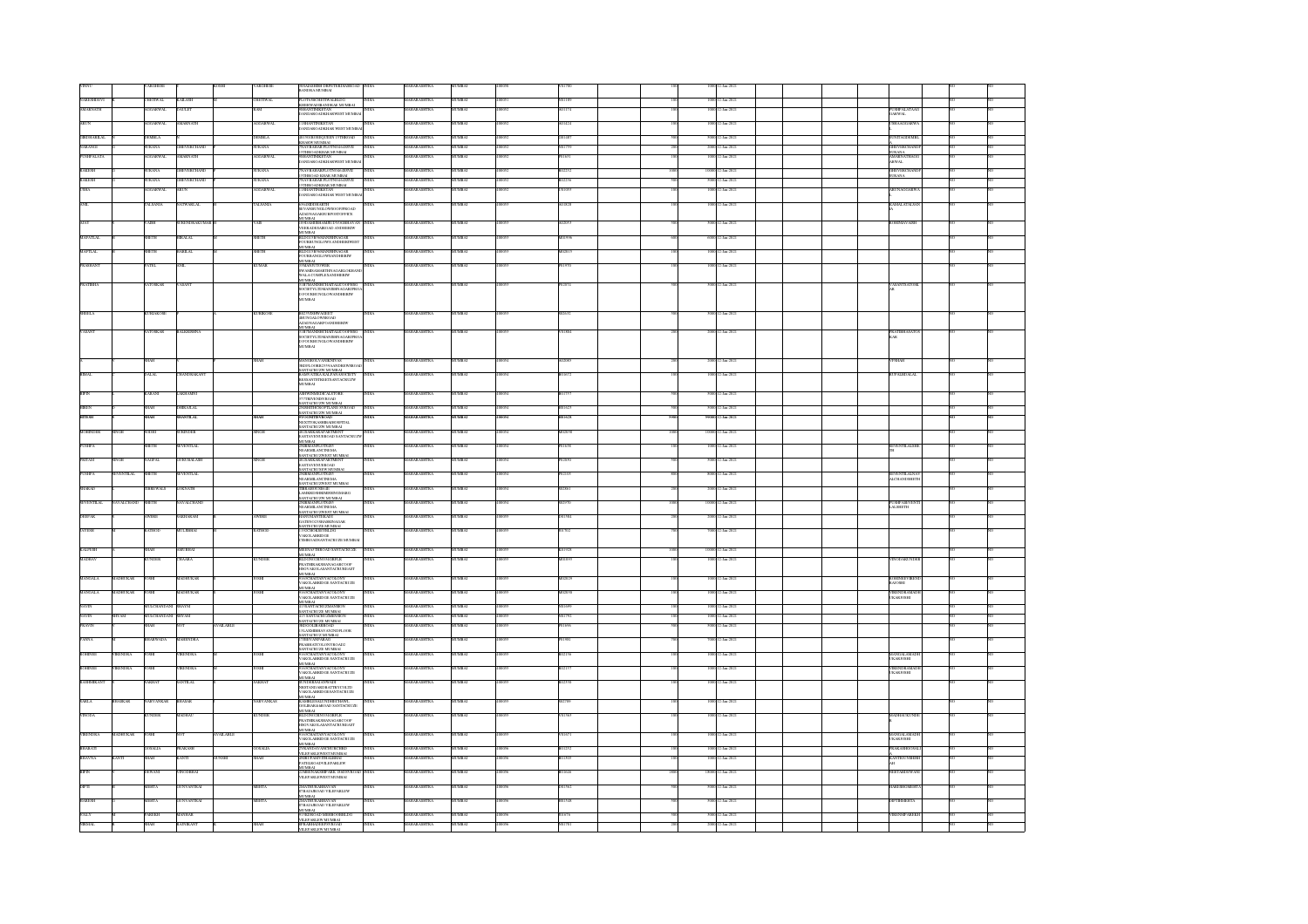|                |               |                        |                   |                 | SSAIASHISH DRPETERDL<br>IANDRA MUMBAI                                                                                                     |                          |               |        |       |                                           |  |  |                              |  |
|----------------|---------------|------------------------|-------------------|-----------------|-------------------------------------------------------------------------------------------------------------------------------------------|--------------------------|---------------|--------|-------|-------------------------------------------|--|--|------------------------------|--|
|                |               | HEIWAL                 |                   | HETIWAL.        | <b>LOT63BCHETIWALBLDG</b>                                                                                                                 |                          | UMBAI         |        |       | $J_{20}$ $202$                            |  |  |                              |  |
| LARNATH        |               | GARWAL                 | AULET             |                 |                                                                                                                                           | HARASHTRA                | MBAI          | 1174   |       | $tan-202$                                 |  |  |                              |  |
|                |               |                        |                   |                 | KHERWADIBANDRAE MUMBAI<br>9SHANTINIKETAN<br>DANDAROADKHARWEST MUMBA                                                                       |                          |               |        |       |                                           |  |  | PUSHPALATAA<br>GARWAL        |  |
| ADITA          |               | <b>GARWAL</b>          | <b>LARNATE</b>    | <b>GGARWAL</b>  | I SHANTINIKETAN<br>ANDAROADKHAR WEST MUMB/                                                                                                | <b>HARASHTRA</b>         | <b>IMRAI</b>  |        |       |                                           |  |  | <b>HAMOO</b>                 |  |
|                |               |                        |                   |                 |                                                                                                                                           |                          |               |        |       |                                           |  |  |                              |  |
| DHARIL         |               |                        |                   |                 | <b>IROSEQUEEN ISTHROAD</b>                                                                                                                |                          |               |        |       |                                           |  |  |                              |  |
| <b>NARANGI</b> |               | <b>SURANA</b>          | HEVERCHAN         | <b>SURANA</b>   | KHARW MUMBAI<br>?NAVBAHAR PLOTNO464SSVII<br>NDU                                                                                           | <b>ANIARASHTR</b>        | <b>MUMBAI</b> |        |       | 2000 12-Jan-2021                          |  |  | <b>GHEVERCHAN</b>            |  |
| SHPAL:         |               | <b>GARWA</b>           |                   | <b>COAPWA</b>   | ISTHROADKHAR MUMBAI<br>ISHANTINIKETAN<br>DANDAROADKHARWEST MUMBAI                                                                         |                          | <b>IMRA</b>   |        |       |                                           |  |  | SURANA<br>AMARNATI<br>ARWAL  |  |
|                |               |                        |                   |                 |                                                                                                                                           |                          |               |        |       |                                           |  |  |                              |  |
| <b>AKESH</b>   |               | <b>SURANA</b>          | <b>IEVERCHAN</b>  | <b>SURANA</b>   | NAVBAHARPLOTNO464SSVII                                                                                                                    | <b>JARASHTRA</b>         | <b>UMBAI</b>  |        |       | 10000 12-Jan-2021                         |  |  | <b>GHEVERCHA</b>             |  |
| <b>AKESH</b>   |               | <b>SURANA</b>          | HEVERCHANI        | <b>SURANA</b>   | <b>STHROAD KHAR MUMBAI<br/>INAVBAHAR PLOTNO464SSVII</b><br><b>INDIA</b>                                                                   | <b>IAHARASHTRA</b>       | <b>MUMBAI</b> | 02236  |       | 5000 12-Jan-2021                          |  |  | <b>SURANA</b>                |  |
| HA             |               | GARWAL                 |                   | <b>GGARWAL</b>  | NDIA                                                                                                                                      | HARASHTRA                | <b>UMBAI</b>  |        |       | J <sub>202</sub>                          |  |  | <b>VRUNAGGARW</b>            |  |
|                |               |                        |                   |                 | STHROADKHAR MUMBAI<br>ISHANTINIKETAN<br>MADAROADKHAR WEST MUMB                                                                            |                          |               |        |       |                                           |  |  |                              |  |
|                |               | <b>U SANIA</b>         | <b>TWARI AI</b>   | <b>ALSANIA</b>  | <b>SASEDDHARTH</b>                                                                                                                        | <b>HARASHTRA</b>         | <b>TMRAI</b>  | 1828   |       |                                           |  |  | MAI ATAL                     |  |
|                |               |                        |                   |                 | SSSSSDEEDRUM<br>SEVANBUNGLOWSOOFJPROAD<br>AZADNAJARSUBPOSTOFFICE                                                                          |                          |               |        |       |                                           |  |  |                              |  |
|                |               |                        |                   |                 |                                                                                                                                           |                          |               |        |       |                                           |  |  |                              |  |
| <b>MAY</b>     |               | ASH                    | RENDRAKUM         | ٨ß              | AZADNADARSOBPOSTOPPE E<br>101DAMIISHAMIIUDYOGBHAVA<br>VEERADESAIROAD ANDHERIW                                                             | <b>AHARASHTRA</b>        | <b>IUMBAI</b> |        |       | 3000 12-Jan-2021                          |  |  | <b>HINIAVAISE</b>            |  |
| <b>IAFATLA</b> |               |                        |                   |                 | MUMBAI<br>BLDG15B56MANISHNAGAR<br>FOURBUNGLOWS ANDHERIWEST                                                                                |                          | <b>IMBA</b>   |        |       |                                           |  |  |                              |  |
|                |               |                        |                   |                 |                                                                                                                                           |                          |               |        |       |                                           |  |  |                              |  |
| <b>MAFTLAL</b> |               | <b>IFTH</b>            | ARILAL            | HETH            | AUMBAI<br>HLDGUSBS6MANISHNAGAR                                                                                                            | <b>HARASHTRA</b>         | <b>EUMBAI</b> |        |       | 2-Jan-2021                                |  |  |                              |  |
|                |               |                        |                   |                 | BLIXI15BNANISHNALIAR<br>FOURBANGLOWSANDHERIW<br>MUMBAI<br>SWAMISAMARTHNAGARLOKHANI                                                        |                          |               |        |       |                                           |  |  |                              |  |
| <b>RASHANT</b> |               | <b>VTEL</b>            |                   | <b>UMAR</b>     |                                                                                                                                           | <b>AHARASHTRA</b>        | <b>IUMBAI</b> |        |       | J <sub>202</sub>                          |  |  |                              |  |
|                |               |                        |                   |                 | <b>VALA COMPLEXANDHERIW</b>                                                                                                               |                          |               |        |       |                                           |  |  |                              |  |
| <b>ATIBHA</b>  |               |                        |                   |                 |                                                                                                                                           |                          |               |        |       | $tan-2021$                                |  |  |                              |  |
|                |               |                        |                   |                 |                                                                                                                                           |                          |               |        |       |                                           |  |  |                              |  |
|                |               |                        |                   |                 | <b>ILMBAI</b>                                                                                                                             |                          |               |        |       |                                           |  |  |                              |  |
|                |               |                        |                   |                 |                                                                                                                                           |                          |               |        |       |                                           |  |  |                              |  |
| SHEELA         |               | <b>KURIAKOSE</b>       |                   | <b>CURIKOSE</b> | B023VISHWAGEET<br>4BUNGALOWSROAD<br>4ZADNAGARPOANDHERIW<br>NDIA                                                                           | <b><i>AMARASHTRA</i></b> | <b>JUMBAI</b> |        |       | 3 <sub>202</sub>                          |  |  |                              |  |
|                |               |                        |                   |                 |                                                                                                                                           |                          |               |        |       |                                           |  |  |                              |  |
| <b>ASANT</b>   |               | <b>TOSKAR</b>          | <b>AT K'RISHN</b> |                 | UMBAI<br>  B7MANISHCHAITALICOOPHSG<br><b>INDU</b>                                                                                         | <b>AHARASHTRA</b>        | <b>EUMBAI</b> | 11.9/M |       | 100                                       |  |  | PRATIBH<br>KAR               |  |
|                |               |                        |                   |                 | STB780NSBCHALLALICOOPISG<br>SOCIETYLTDMANISHNAGARJPRO<br>D FOURBUNGLOWANDHERIW<br>MUMBAI                                                  |                          |               |        |       |                                           |  |  |                              |  |
|                |               |                        |                   |                 |                                                                                                                                           |                          |               |        |       |                                           |  |  |                              |  |
|                |               |                        |                   |                 | <b>ANGROLVANIKNIVAS</b>                                                                                                                   | <b><i>HARASHTRA</i></b>  | UMBAI         |        |       | $-3an-2021$                               |  |  | <b>SHAH</b>                  |  |
|                |               |                        |                   |                 |                                                                                                                                           |                          |               |        |       |                                           |  |  |                              |  |
|                |               |                        |                   |                 |                                                                                                                                           |                          |               |        |       |                                           |  |  |                              |  |
|                |               |                        |                   |                 | $_{\rm ANNNAGNLO, VANNINAS}$ :RDFLOORB2559AANDREWSROAI<br>SANTACRUZWAIUMBAI<br>SANTACRUZWAIUMBAI<br>BESSANTSTREETSANTACRUZW<br>MUMBAI     |                          |               |        |       |                                           |  |  |                              |  |
|                |               | ARANI                  | AKHAMNI           |                 | SHWINMEDICALSTORE<br><b>SDLA</b>                                                                                                          | <b>AHARASHTRA</b>        | <b>IUMBAI</b> |        |       | 5000 12-Jan-2021                          |  |  |                              |  |
|                |               |                        |                   |                 | 7TRIVENISVROAD                                                                                                                            |                          |               |        |       |                                           |  |  |                              |  |
|                |               |                        | HRAILAL           |                 | ANTACRUZW MUMBAI<br>NISHITHCROFTLANE SVROAD                                                                                               | <b>AHARASHTRA</b>        | <b>EUMBAI</b> |        |       | 5000 12-Jan-2021                          |  |  |                              |  |
|                |               |                        |                   |                 | SANTACRUZW MUMBAI<br>WOGNITISVROAD<br>NEXTTOKASHIBAIHOSPITAL                                                                              |                          |               |        |       |                                           |  |  |                              |  |
|                |               |                        |                   |                 | <b>ANTACRUZW MUMBAL</b><br>12SARKARAPARTMENT                                                                                              |                          |               |        |       |                                           |  |  |                              |  |
| MOHINDER       |               | mн                     | URINDER           |                 | EASTAVENUEROAD SANTACRUZW                                                                                                                 | <b>HARASHTRA</b>         | <b>JUMBAI</b> |        |       | 10000<br>2-Jan-2021                       |  |  |                              |  |
|                |               |                        |                   |                 | MUMBAI<br>2NRMANPLOT8485<br>NEARMILANCINEMA                                                                                               |                          |               |        |       |                                           |  |  |                              |  |
|                |               |                        |                   |                 |                                                                                                                                           |                          |               |        |       |                                           |  |  |                              |  |
| RITAM          |               |                        | RUBALASH          |                 |                                                                                                                                           |                          | <b>DMBA</b>   |        |       | $Jan-202$                                 |  |  |                              |  |
|                |               |                        |                   |                 |                                                                                                                                           |                          |               |        |       |                                           |  |  |                              |  |
| SHPA           | ENTILAL       | <b>IFTH</b>            | VENTLAL           |                 | NEMENANTAN<br>SANTACRUZWEST MUMBA<br>GOSARKARAPARTMENT<br>EASTAVENUEROAD<br>SANTACRUSEW MUMBAI<br>2NRMANPLOTS485<br>NEARMILANCINEMA       | <b>HARASHTRA</b>         | UMBAI         |        |       | J <sub>202</sub>                          |  |  | SEVENTILALNA<br>ALCHANDSHET  |  |
|                |               |                        |                   |                 |                                                                                                                                           |                          |               |        |       |                                           |  |  |                              |  |
|                |               |                        |                   |                 |                                                                                                                                           |                          |               |        |       |                                           |  |  |                              |  |
| awai           |               | EWAL                   |                   |                 | <b>ANTACRUZWEST MUMBAL</b><br>18R AHOLISEALE                                                                                              |                          | <b>TMRA</b>   |        |       |                                           |  |  |                              |  |
| <b>VENTILA</b> |               |                        |                   |                 | UBRAHUUSE64E<br>.AMKRDSHRIMISSINGMARG<br>KANTACRUZW MUMBAI<br>!NIRMANPLOTS485                                                             |                          | <b>MRAI</b>   |        |       |                                           |  |  |                              |  |
|                |               |                        |                   |                 | NEARMILANCINEMA                                                                                                                           |                          |               |        |       |                                           |  |  | PUSHPASEVE<br>LALSHETH       |  |
| DEEPAK         |               | WERE                   | KHARAM            | WERE            |                                                                                                                                           | <b>AHARASHTRA</b>        | <b>IUMBAI</b> |        |       | 2-Jan-2021<br>2000                        |  |  |                              |  |
|                |               |                        |                   |                 | SANTACRUZWEST MUMBAI<br>HANUMANTEKADI<br>GATENO23SHASRINAGAR                                                                              |                          |               |        |       |                                           |  |  |                              |  |
|                |               |                        |                   |                 | ANTECRUZE MUMBAL<br>192CHOKSEYBLDG                                                                                                        |                          |               |        |       |                                           |  |  |                              |  |
|                |               |                        |                   |                 | 192CHOKSEYBLAG<br>/AKOLABRIDGE<br>:SMROADSANTACRUZE MUMBAI                                                                                |                          |               |        |       |                                           |  |  |                              |  |
| KALPESE        |               |                        | MUBHA             |                 | MEENASTHROAD SANTACRUZE                                                                                                                   | <b>HARASHTRA</b>         | <b>JUMBAI</b> |        |       | $tan-202$                                 |  |  |                              |  |
| <b>ADHA</b>    |               |                        | HAARA             |                 | MUMBAI<br>BLDGNO2RNO34GRFLR                                                                                                               |                          | <b>MBA</b>    |        |       |                                           |  |  |                              |  |
|                |               |                        |                   |                 | PRATHIRAKSHANAGARCOOP<br>HSGVAKOLASANTACRUREAST                                                                                           |                          |               |        |       |                                           |  |  |                              |  |
|                |               |                        |                   |                 |                                                                                                                                           |                          |               |        |       |                                           |  |  |                              |  |
|                |               |                        |                   |                 |                                                                                                                                           |                          |               |        |       |                                           |  |  | ROHINEE<br>RAJOSHI           |  |
| MANGALA        | DHUKAR        | त्प्र                  | <b>ADHUKAR</b>    |                 | <b>MUMBAI<br/>HUMBAI<br/>VAKOLABRIDGE SANTACRUZE</b><br>IUMBAI<br>163CHAITANYACOLONY                                                      | <b>HARASHTRA</b>         | <b>JUMBAI</b> |        |       | $-3$ an-2021                              |  |  | <b>VIRENDRAMA</b>            |  |
|                |               |                        |                   |                 | VAKOLABRIDGE SANTACRUZE                                                                                                                   |                          |               |        |       |                                           |  |  | <b>UKARJOSHI</b>             |  |
| AVIN           |               | <b><i>AULCHAND</i></b> | <b>IAYM</b>       |                 | NDLA                                                                                                                                      | <b>AHARASHTRA</b>        | <b>JUMBAI</b> |        |       | 1000 12-Jan-202                           |  |  |                              |  |
| .<br>NN        |               | лсн                    | óМ                |                 |                                                                                                                                           |                          | MBAI          |        |       | J <sub>2021</sub><br>1000                 |  |  |                              |  |
| PRAVIN         |               |                        |                   | <b>ALABLE</b>   | VAKULABRIIKIE SANTACH<br>MUMBAI<br>413SANTACRUZE MUMBAI<br>5ANTACRUZE MUMBAI<br>413 SANTACRUZE MUMBAI<br>3RDGOLIBARROAD<br>3RDGOLIBARROAD | <b>HARASHTRA</b>         | <b>IMRAI</b>  |        |       | $tan-202$                                 |  |  |                              |  |
|                |               |                        |                   |                 | <b>BLAXMIBHAVAN2NDFLOOR</b>                                                                                                               |                          |               |        |       |                                           |  |  |                              |  |
| <b>WNA</b>     |               | <b>IARWADA</b>         | AHENDRA           |                 | ANTACRUZ MUMBAI<br>7JEEVANPARAG<br>PRABHATCOLONYROAD2                                                                                     | HARASHTRA                | <b>UMBAI</b>  |        |       | $\frac{1}{2000}$<br>$\frac{1}{2}$ an-2021 |  |  |                              |  |
|                |               |                        |                   |                 |                                                                                                                                           |                          |               |        |       |                                           |  |  |                              |  |
|                |               |                        |                   |                 | SANTACRUZE MUMBAI<br>FI63CHAITANYACOLONY<br>VAKOLABRIDGE SANTACRUZE                                                                       |                          |               |        |       |                                           |  |  | <b>MANGALAM</b><br>UKARJOSHI |  |
| OHNEE          | <b>ENDR 5</b> |                        | RENDRa            |                 | AUMBAI<br>163CHAITANYACOLONY                                                                                                              | <b>HADACUTO</b>          | <b>TMRAI</b>  |        |       | 50270                                     |  |  | <b>VIRENDRAMA</b>            |  |
|                |               |                        |                   |                 | VAKOLABRIDGE SANTACRUZE                                                                                                                   |                          |               |        |       |                                           |  |  | <b>UKARJOSHI</b>             |  |
| <b>SHMIKAN</b> |               | <b>KHAT</b>            | NTLAL             | KHA1            |                                                                                                                                           | <b><i>HARASHTRA</i></b>  | <b>IUMBAI</b> |        |       | $-3$ an-2021                              |  |  |                              |  |
|                |               |                        |                   |                 | VAKO-ABRIDGE SAVISCROZE<br>MUMBAI<br>SUNDERSAJANWADI<br>VAKOLABRIDGESANTACRUZE<br>VAKOLABRIDGESANTACRUZE                                  |                          |               |        |       |                                           |  |  |                              |  |
| œіa            |               |                        |                   | RVANKAS         |                                                                                                                                           |                          | <b>MBA</b>    |        |       | J <sub>20</sub> 202                       |  |  |                              |  |
|                |               |                        |                   |                 | ARJMBAJ<br>KAMBLESALUNDHECHAWL<br>GOLIBAR4ńROAD SANTACRUZE                                                                                |                          |               |        |       |                                           |  |  |                              |  |
| VINODA         |               | <b>NDEI</b>            |                   | NDF             | MUMBAI<br>BLDGNO2RNO34GRFLR                                                                                                               | <b>HARASHTRA</b>         | <b>IMRAI</b>  |        |       | 500                                       |  |  | MADHALIKLIN                  |  |
|                |               |                        |                   |                 | PRATHIRAKSHANAGARCOOP<br>HSGVAKOLASANTACRUREAST                                                                                           |                          |               |        |       |                                           |  |  |                              |  |
| RENDR)         |               |                        |                   |                 |                                                                                                                                           |                          | MBA           |        |       |                                           |  |  |                              |  |
|                |               |                        |                   |                 | MUMBAL<br>9163CHAITANY ACOLONY<br>VAKOLABRIDGE SANTACRUZE                                                                                 |                          | <b>IMRAI</b>  |        |       |                                           |  |  | MANGALAM<br>UKARJOSHI        |  |
|                |               | )<br>SALIA             | RAKASH            | ISALIA          | IUMBAI<br>VRANDAVANCHURCHRD                                                                                                               |                          |               |        |       | $\frac{1}{2}$ an-202                      |  |  |                              |  |
|                |               |                        | w                 |                 | <b>TEPARLEWEST MUMBA</b><br>INRUPAMVITHALBHAI<br>PATELROADVILEPARLEW                                                                      | <b>HARASHTR</b>          | UMBA          |        |       | $\frac{1}{2}$                             |  |  | ANTIGUN                      |  |
|                |               | <b>XEWANI</b>          | ODBHAI            |                 | MUMBAI<br>22MEENAKSHIPARK 186DSVR                                                                                                         | <b><i>HARASHTRA</i></b>  | UMBAI         |        | 18000 | 2-Jan-2021                                |  |  | NEETABDEWA                   |  |
|                |               |                        |                   |                 | <b>VILEPARLEWEST MUMBAI</b>                                                                                                               |                          |               |        |       |                                           |  |  |                              |  |
|                |               |                        |                   |                 |                                                                                                                                           |                          |               |        |       |                                           |  |  |                              |  |
|                |               |                        |                   |                 | :<br>MATHURABHAVAN<br>87BAJAJROAD VILEPARLEW                                                                                              |                          |               |        |       |                                           |  |  |                              |  |
|                |               | <b>FHT:</b>            | <b>NVANTRAI</b>   | <b>HT</b>       | AUMBAI<br>MATHURABHAVAN<br>87BAJAJROAD VILEPARLEW                                                                                         | <b>HARASHTRA</b>         | UMBAI         |        |       | $\frac{1}{2}$ an-2021                     |  |  |                              |  |
|                |               | .<br>Rekh              |                   |                 |                                                                                                                                           |                          |               |        |       |                                           |  |  |                              |  |
|                |               |                        |                   |                 | <b>AUMBAI<br/>013KDROAD MEHBOOBBLD</b><br><b>VILEPARLEW MUMBAL</b><br>SPRABHADEEPSVROAD<br>VILEPARLEW MUMBAI                              |                          |               |        |       |                                           |  |  |                              |  |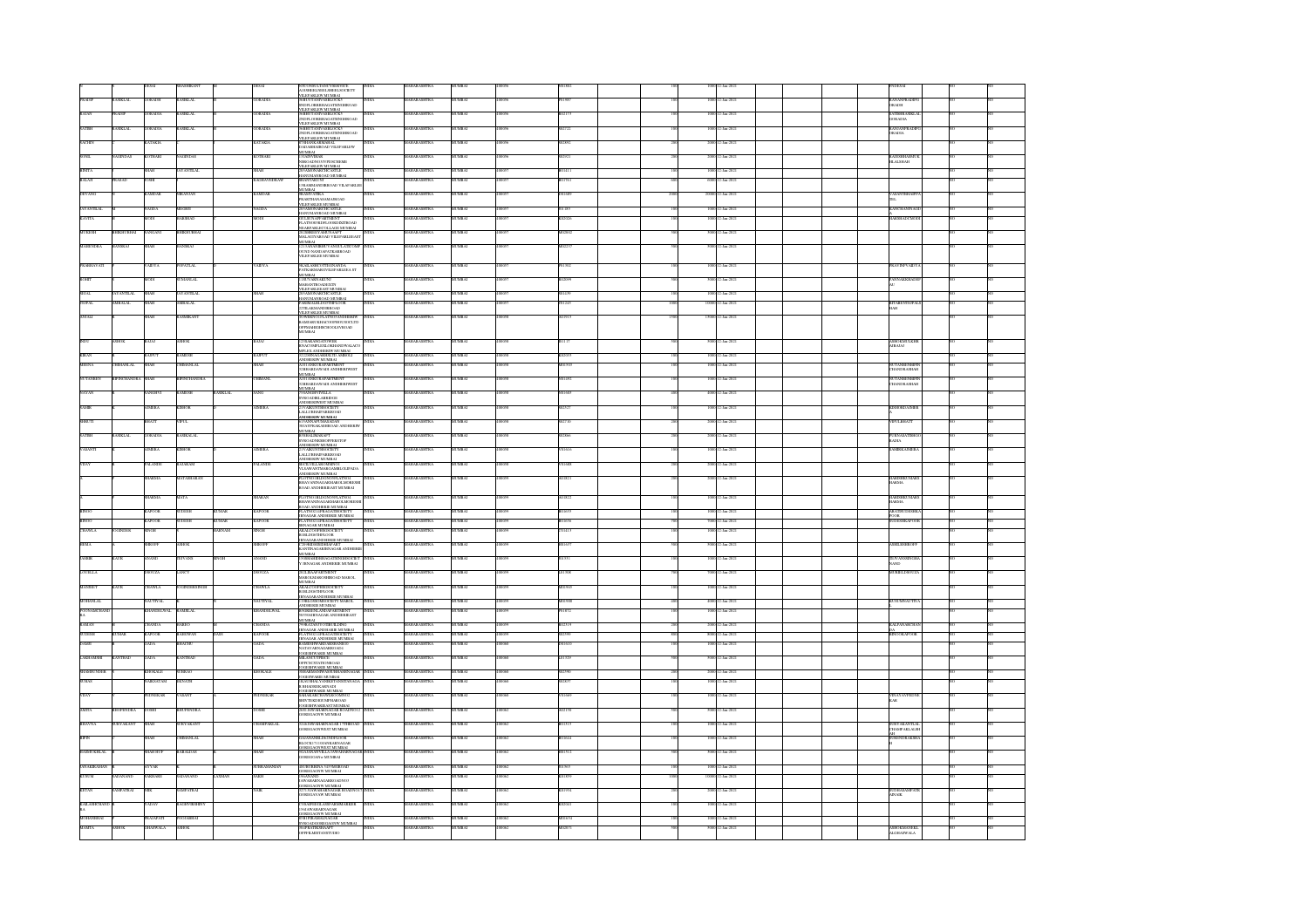|                        |               |                        |                  |              |                        | NTCONSULTANCYSERVICE<br>AI 8SHEELNEELSHEELSOCIETY<br>VILEPARLEW MUMBAL<br>36BUUTANIVASBLOCKS                                                                                            |              | HARASHTRA               |                |       |      |  |       |                  |  |                                   |  |  |
|------------------------|---------------|------------------------|------------------|--------------|------------------------|-----------------------------------------------------------------------------------------------------------------------------------------------------------------------------------------|--------------|-------------------------|----------------|-------|------|--|-------|------------------|--|-----------------------------------|--|--|
|                        |               |                        |                  |              |                        |                                                                                                                                                                                         |              |                         |                |       |      |  |       |                  |  |                                   |  |  |
|                        |               |                        |                  |              |                        | <b>SNDFLORRBHAGATSINGHROAD</b>                                                                                                                                                          |              |                         |                |       |      |  |       |                  |  | <b>HORADE</b>                     |  |  |
| AJAN                   | ADI           | ORADIA                 | SIKLAI           |              | )<br>RADL              | <b>ILEPARLEW MUMBAI<br/>6BHUTANIVASBLOCKS</b>                                                                                                                                           |              | <b><i>HARASHTRA</i></b> | <b>UMBAI</b>   |       |      |  |       |                  |  | SATISHRASIKI<br>GORADIA           |  |  |
|                        |               |                        |                  |              |                        | NDFLOORBHAGATSINGHR<br><b>ILEPARLEW MUMBAL</b><br>6BHUTANIVASBLOCKS                                                                                                                     |              |                         |                |       |      |  |       |                  |  |                                   |  |  |
| <b>ATINH</b>           | $\frac{1}{2}$ | <b>SPADIA</b>          | <b>SIKT AT</b>   |              | <b>RADI</b>            | INDFLOORBHAGATSINGHROAD                                                                                                                                                                 |              | <b>AHARASHTRA</b>       | <b>IMRAI</b>   |       |      |  |       |                  |  | RANJANPRAD<br>ORADIA              |  |  |
| <b>ACHIN</b>           |               | TAKIA                  |                  |              |                        | EPARLEW MUMBAL<br>RIANKARMAHAL                                                                                                                                                          |              |                         |                |       |      |  |       |                  |  |                                   |  |  |
|                        |               |                        |                  |              |                        | DABHAIROAD VILEPARLEW                                                                                                                                                                   |              |                         |                |       |      |  |       |                  |  |                                   |  |  |
|                        |               |                        |                  |              |                        | MUMBAI<br>13JAINVIHAR<br>NSROADNO3JVPDSCHEME                                                                                                                                            |              |                         |                |       |      |  |       |                  |  | KAJESHHAS<br>HLALSHAH             |  |  |
| BINITA                 |               |                        | <b>FANTEAL</b>   |              |                        | LEPARLEW MUMBAL<br>SAMONARCHCASTLE                                                                                                                                                      |              | <b>AHARASHTRA</b>       | <b>UMBAI</b>   |       |      |  |       | 1000 12-Jan-202  |  |                                   |  |  |
| BALAIT                 |               |                        |                  |              |                        |                                                                                                                                                                                         |              |                         | $\overline{m}$ |       |      |  |       |                  |  |                                   |  |  |
|                        |               |                        |                  |              |                        | HANUMANROAD MUMBAI<br>SHANTAKUNI<br>13RAMMANDIRROAD VILAPARLEE<br>15RAMMANDIRROAD VILAPARLEE                                                                                            |              |                         |                |       |      |  |       |                  |  |                                   |  |  |
| DEVANG                 |               | wor                    | RANIA            |              |                        | ÆMBAI<br>RAMVATIKA<br>PRARTHANASAMAJROAD                                                                                                                                                |              | <b>HARASHTRA</b>        | <b>TIMBAI</b>  |       |      |  | anno  |                  |  | <b>LCANTDI</b><br>TEL             |  |  |
|                        |               |                        |                  |              |                        |                                                                                                                                                                                         |              |                         |                |       |      |  |       |                  |  |                                   |  |  |
| <b>JAYANTILAL</b>      |               | <b>GDA</b>             |                  |              |                        | <b>VILEPARLEE MUMBAL<br/>20SAMONARCHCASTLE<br/>HANUMANROAD MUMBAL<br/>GULSUNAPPARTMENT</b>                                                                                              |              | <b>HARASHTRA</b>        | MBAI           |       |      |  |       | 1000 12-Jan-202  |  |                                   |  |  |
| <b>CAVITA</b>          |               |                        |                  |              |                        | <b>TATNOS3RDFLOORDINTROAD</b>                                                                                                                                                           |              | <b>HARASHTRA</b>        | <b>MRAI</b>    |       |      |  |       |                  |  |                                   |  |  |
| MUKESH                 | KHURHAI       | NGANI                  | HIKHUBHAI        |              |                        | <b>EARPARLECOLLAGE MUMBAI</b><br>(2SHREEYAMUNAAPT                                                                                                                                       |              | <b><i>HARASHTRA</i></b> | <b>JUMBAI</b>  |       |      |  | 300   | $-168.202$       |  |                                   |  |  |
|                        |               |                        |                  |              |                        | MALAUIYAROAD VILEPARLEEAS'                                                                                                                                                              |              |                         |                |       |      |  |       |                  |  |                                   |  |  |
|                        |               |                        |                  |              |                        | MUMBAI<br>1213ANANIBHUVANGULATICO<br>OUND NANDAPATKARROAD                                                                                                                               |              |                         |                |       |      |  |       |                  |  |                                   |  |  |
|                        |               |                        |                  |              |                        | TLEPARLEE MUMBAL                                                                                                                                                                        |              |                         |                |       |      |  |       |                  |  |                                   |  |  |
| RABHAVATI              |               | ADYA                   | PATLAL           |              | <b>JEYYA</b>           | SKAILASHCOTTEGNANDA<br>PATKARMARGVILEPARLEEA ST                                                                                                                                         |              | <b>HARASHTRA</b>        | <b>UMBAI</b>   |       |      |  |       | Im(202)          |  | <b><i>UINPVAID</i></b>            |  |  |
|                        |               |                        |                  |              |                        | <b>GUMBAI<br/> ISUVARNAKUNJ<br/> AHANTROADEXTN</b>                                                                                                                                      |              |                         |                |       |      |  |       |                  |  |                                   |  |  |
|                        |               |                        |                  |              |                        |                                                                                                                                                                                         |              |                         |                |       |      |  |       |                  |  |                                   |  |  |
| SEJAL.                 | YANTILAL.     | HAH                    | YANTE.AL         |              |                        | <b>EPARLEEAST MUMB</b><br>WAONARCHCASTLE                                                                                                                                                |              | <b>HARASHTR</b>         | <b>UMBAI</b>   |       |      |  |       | 2-Jan-202        |  |                                   |  |  |
| <b>TEIPAL</b>          | BALA          |                        | <b>BALA</b>      |              |                        | HANUMANROAD MUMBAI<br>HANUMANROAD MUMBAI<br>PARIMALBI DGSTHFLOOR<br>VILEPARLEE MUMBAI<br>TOWERNOIFLATNOSANDHERIW                                                                        |              | <b>HARASHTR</b>         | <b>IMBA</b>    |       |      |  |       |                  |  | RITABEI<br>HAH                    |  |  |
|                        |               |                        |                  |              |                        |                                                                                                                                                                                         |              |                         |                |       |      |  |       |                  |  |                                   |  |  |
| LIANA                  |               |                        | <b>MIKAN'</b>    |              |                        | <b>RAMJARUKHACOOPHOUSOCLTD</b>                                                                                                                                                          | <b>DIA</b>   | <b>HARASHTRA</b>        | <b>IMRAI</b>   |       |      |  | 1 C/M | $1 202$          |  |                                   |  |  |
|                        |               |                        |                  |              |                        | OPPMAHIGHSCHOOLSVROAD<br><b>ILMBAI</b>                                                                                                                                                  |              |                         |                |       |      |  |       |                  |  |                                   |  |  |
|                        |               |                        |                  |              |                        |                                                                                                                                                                                         |              |                         |                |       |      |  |       |                  |  |                                   |  |  |
|                        |               |                        |                  |              |                        | SARANGATOWER<br>ACOMPLEXLOKHANDWALACO                                                                                                                                                   |              |                         |                |       |      |  |       |                  |  | ASHOKMUL<br>AJBAJAJ               |  |  |
| KIRAN                  |               | <b>JPUT</b>            | MESH             |              | <b>JPIT</b>            | PLEX ANDHERIW MUMBAI<br>22SSNAGARHSLTD AMBOLI                                                                                                                                           |              | HARASHTRA               | MBAI           |       |      |  |       | 150.202          |  |                                   |  |  |
| <b>JEENA</b>           |               |                        |                  |              |                        | SZZZSNOWARNELIJ ANDOLI<br>ANDHERIW MUMBAI<br>A101 ANKURAPARTMENT<br>32BHARDAWADI ANDHERIWEST                                                                                            |              |                         |                |       |      |  |       |                  |  | GUTANBENBIPI<br>"HANDRASHAH       |  |  |
| NUTANBEN               |               |                        |                  |              |                        | ÆMBAI<br>JOLANKURAPARTMENT                                                                                                                                                              |              | <b>HARASHTRA</b>        | <b>MRAI</b>    |       |      |  |       |                  |  |                                   |  |  |
|                        |               |                        |                  |              |                        | 2BHARDAWADI ANDHERIWEST                                                                                                                                                                 |              |                         |                |       |      |  |       |                  |  | UTANBENBIPI!<br>'HANDRASHAH       |  |  |
| NAYAN                  |               | GHVI                   | <b>IESE</b>      | <b>EKLAL</b> |                        | MUMBAL<br>MUMBAI<br>ISSANGHVIVILLA<br>SVROADIRLABRIDGE                                                                                                                                  |              | <b>HARASHTRA</b>        | MBAI           |       |      |  |       | $tan-202$        |  |                                   |  |  |
|                        |               |                        |                  |              |                        | <b>DHERIWEST MUMB.</b><br>VAIKUNTHSOCIETY                                                                                                                                               |              |                         |                |       |      |  |       |                  |  |                                   |  |  |
| <b>AMR</b>             |               | MERA                   |                  |              | MER 4                  | ALLI RHAIPARKROAD                                                                                                                                                                       |              | <b>HARASHTRA</b>        | <b>MRAI</b>    |       |      |  |       |                  |  | <b>HORDAIM</b>                    |  |  |
| <b>SHRUTT</b>          |               | HATT                   | <b>TPUL</b>      |              |                        | ALLUBING AKKROAD<br>NIDHERIW MUMBAL<br>SJANNAPUMASADAN<br>SJAYPRAKASHROAD ANDHERIV                                                                                                      |              | <b>AHARASHTRA</b>       | UMBAI          |       |      |  |       | 2000 12-Jan-202  |  | <b>PULBHATT</b>                   |  |  |
|                        |               |                        |                  |              |                        |                                                                                                                                                                                         |              |                         |                |       |      |  |       |                  |  |                                   |  |  |
| <b>TISH</b>            |               | ie anta                |                  |              |                        | MUMBAI<br>BSSHALIMARAPT<br>SVROADNRSHOPPERSTOP                                                                                                                                          |              |                         |                |       |      |  |       |                  |  | PURNAS<br>RADIA                   |  |  |
| <b>ASANTI</b>          |               | MERA                   | HOR              |              | MERA                   | NDHERIW MUMBAL<br>  VAIKUNTHSOCIETY                                                                                                                                                     |              | <b><i>HARASHTRA</i></b> | MBA            |       |      |  |       | J <sub>202</sub> |  | <b>IRKAIME</b>                    |  |  |
|                        |               |                        |                  |              |                        | ALLUBHAIPARKROAD                                                                                                                                                                        |              |                         |                |       |      |  |       |                  |  |                                   |  |  |
|                        |               | ANDE                   |                  |              |                        | ANDHERIW MUMBAI<br>SECILVILLAROMMONOI<br>VLSAWANTMARGAMBLOLIPADA                                                                                                                        |              |                         |                |       |      |  |       |                  |  |                                   |  |  |
|                        |               | HARMA                  | ATASHARAN        |              |                        | DHERIW MUMBAL<br>OTNOIBLEGNOSFLATNOI                                                                                                                                                    |              | <b>AHARASHTRA</b>       | <b>JUMBAI</b>  |       |      |  | 2000  | 12-Jan-202       |  | <b>LARISHKUMA</b>                 |  |  |
|                        |               |                        |                  |              |                        | HAVANINAGARMAROLMORESH<br>ROAD ANDHERIEAST MUMBAI                                                                                                                                       |              |                         |                |       |      |  |       |                  |  | <b>LARMA</b>                      |  |  |
|                        |               |                        |                  |              |                        | <b>TINOTRI DONOSFI ATNOL</b>                                                                                                                                                            |              |                         |                |       |      |  |       |                  |  |                                   |  |  |
|                        |               | 0.514                  |                  |              |                        |                                                                                                                                                                                         |              | <b>HARASHIRI</b>        |                |       |      |  |       |                  |  | <b>DIVLIV</b><br><b>LARMA</b>     |  |  |
| <b>INOO</b>            |               | <b>APOOR</b>           | <b>SUDESH</b>    | <b>UMAR</b>  | <b><i>KAPOOR</i></b>   | FLOTNOTBLIAUNOPELATNO4<br>BHAWANINAGARMAROLMORESHI<br>ROAD ANDHERIE MUMBAI<br>FLATNO214PRAGATISOCIETY                                                                                   | <b>SDIA</b>  | <b>IAHARASHTRA</b>      | <b>IUMBAI</b>  |       |      |  |       | 1000 12-Jan-202  |  | ARATISUDES                        |  |  |
|                        |               | $\overline{\text{co}}$ |                  |              | $\overline{\text{co}}$ |                                                                                                                                                                                         |              |                         |                |       |      |  |       |                  |  | OOR                               |  |  |
| <b>HAWLA</b>           |               |                        |                  |              |                        | SNAGAR ANDHERIE MUMBAI<br>LATNO214PRAGATISOCIETY<br>SNAGAR MUMBAI<br>KALCOOPHSOSOCIETY                                                                                                  |              | <b>MARAGATE</b>         | <b>MRAI</b>    |       |      |  |       |                  |  |                                   |  |  |
|                        |               |                        |                  |              |                        | URLDGSTHELOOR                                                                                                                                                                           |              |                         |                |       |      |  |       |                  |  |                                   |  |  |
| HEMA                   |               | ROFF                   |                  |              | ROFF                   | BIBLIARINFINANK<br>ENAGARANDHERE MUMBAI<br>C209RIDHISIDHIAPART<br>KANTINAGARIBNAGAR ANDHERIE                                                                                            | <b>DIA</b>   | <b>VHARASHTRA</b>       | MBAI           |       |      |  |       | J <sub>202</sub> |  | <b>HILBSHROF</b>                  |  |  |
| ASBIR                  |               |                        |                  |              |                        | JUMBAI<br>SOSHAHIDBHAGATSINGHSOCIET                                                                                                                                                     |              |                         |                |       |      |  |       |                  |  | <b>IVAN</b>                       |  |  |
|                        |               |                        |                  |              |                        | <b>JBNAGAR ANDHERJE MUMBAL</b>                                                                                                                                                          |              |                         |                |       |      |  |       |                  |  | GAND <sup>"</sup>                 |  |  |
| LOUELLA                |               | OUZA                   |                  |              |                        | <b>ZLISAAPARTMENT</b>                                                                                                                                                                   |              | <b>HARASHTRA</b>        | <b>MBAI</b>    |       |      |  |       |                  |  | RIELDS                            |  |  |
|                        |               |                        |                  |              |                        | MAROLMAROSHIROAD MAROL                                                                                                                                                                  |              |                         |                |       |      |  |       |                  |  |                                   |  |  |
| <b>LANJEET</b>         |               | AWLA                   |                  |              | WD                     | MUMBAI<br>AKALCOOPHSGSOCIETY<br>BIBLDG6THFLOOR                                                                                                                                          |              |                         |                |       |      |  |       |                  |  |                                   |  |  |
| <b><i>IOHANLAL</i></b> |               | UTIYAL                 |                  |              | WITYAL                 | <b>GAGARANDHERIE MUMBAL</b><br>BLOSSOMSOCIETY MAROL                                                                                                                                     |              | <b>HARASHTRA</b>        | MBA            |       |      |  |       | $J = 202$        |  | <b>SUMPAI</b>                     |  |  |
| POONAME                |               | NDELW.                 |                  |              |                        | T NDHERIE MUMBAL<br>BSOREENLANDAPARTMENT<br>SOSSOGIBNAGAR ANDHERIEAST<br>MUMBAL<br>799RATANJYOTIBUILDING                                                                                |              |                         |                |       |      |  |       |                  |  |                                   |  |  |
|                        |               |                        |                  |              |                        |                                                                                                                                                                                         |              |                         |                |       |      |  |       |                  |  |                                   |  |  |
| RAMAN                  |               | <b>JANDA</b>           | <b>AREO</b>      |              | <b>HANDA</b>           |                                                                                                                                                                                         | <b>DIA</b>   | <b>AHARASHTRA</b>       | <b>IMRAI</b>   |       | 1310 |  |       | 2000 12-Jan-202  |  | KALPANARCH                        |  |  |
| <b>SUDESH</b>          | CUMAR         | <b>APOOR</b>           | <b>AHGWAN</b>    |              | <b>APOOR</b>           | <b>BNAGAR ANDHARIE MUMBAL</b><br>FLATNO214PRAGATISOCIETY                                                                                                                                | <b>INDIA</b> | <b>IAHARASHTRA</b>      | <b>EUMBAI</b>  | 10059 | 2599 |  |       | 8000 12-Jan-202  |  | <br>INOOKAPOOE                    |  |  |
|                        |               |                        |                  |              |                        |                                                                                                                                                                                         |              |                         | .<br>MB A      |       |      |  |       |                  |  |                                   |  |  |
| AKHAMS                 |               |                        |                  |              |                        | <b>A A-DA A SOLE OF FRANCIS DE DE MARIA DE SOLECAR ANDEREE MUMBAL<br/>RAMESHWARDARSHAN BIO<br/>RAMESHWARDARSHAN BIO<br/>NATAVARNA GARROAD4<br/>GIGESHWARIE MUMBAL<br/>OILANCUTPIECE</b> |              | <b>HARASHTRA</b>        | <b>MRA</b>     |       |      |  |       |                  |  |                                   |  |  |
|                        |               |                        |                  |              |                        | OPPCSCSTATIONROAD                                                                                                                                                                       |              |                         |                |       |      |  |       |                  |  |                                   |  |  |
| <b>HAMSUNDER</b>       |               | <b>HOKALE</b>          | ubra             |              | HOKALE                 | SI LOGESHWARIE MUMBAI<br>ISHARMANIWASSUBHASHNAG)<br>IOGESWARIE MUMBAI<br>IKAUSHALYANIKETANSITANAG<br>ASHNAGAR                                                                           | <b>INDIA</b> | <b>AHARASHTRA</b>       | <b>IMBAI</b>   |       |      |  |       | 2000 12-Jan-202  |  |                                   |  |  |
| <b>THAS</b>            |               | <b>IKSATAM</b>         | .<br>avri        |              |                        |                                                                                                                                                                                         | <b>NDIA</b>  | <b>HARASHTRA</b>        | <b>TMRA</b>    |       |      |  |       |                  |  |                                   |  |  |
|                        |               |                        |                  |              |                        | KAOSHALTANKETANSITA<br>BHADREKARNADI<br>OGESHWARIE MUMBAL<br>AHAKARCHAWLROOMNO                                                                                                          |              |                         |                |       |      |  |       |                  |  |                                   |  |  |
| VIJAY                  |               | DNEKAR                 |                  |              | NEKAR                  | <b>HIVTEKDIGUMPHAROAD</b>                                                                                                                                                               |              | <b>HARASHTRA</b>        | <b>MRA</b>     |       |      |  |       |                  |  | <b>INAYAVP</b><br>KAR             |  |  |
|                        |               |                        |                  |              |                        | OGESHWARIEAST MUMBAL                                                                                                                                                                    |              |                         |                |       |      |  |       |                  |  |                                   |  |  |
|                        |               |                        |                  |              |                        | 2681 JAWAHARNAGAR ROA<br>GOREGAONW MUMBAI                                                                                                                                               |              |                         |                |       |      |  |       |                  |  |                                   |  |  |
| BHAVNA                 | URYAKANT      | HAH                    | <b>JURYAKANT</b> |              | HAMPAKLAI              | <b>3246JAWAHARNAGAR 17THROAD</b><br>GOREGAONWEST MUMBAI                                                                                                                                 |              | <b><i>HARASHTRA</i></b> | UMBAI          |       |      |  |       | 2-Jan-202        |  | <b>SURYAKANTLA</b><br>CHAMPAKLALS |  |  |
|                        |               |                        |                  |              |                        |                                                                                                                                                                                         |              |                         |                |       |      |  |       | $3an-202$        |  | <b>ENDRAKS</b>                    |  |  |
|                        |               |                        |                  |              |                        | GAJANANBLD62NDFLOOR<br>BLOCK17110JANKARNAGAR<br>GOREGAONWEST MUMBAI<br>SGAJANANVILLA JAWAHARN.                                                                                          |              |                         |                |       |      |  |       |                  |  |                                   |  |  |
| <b>HASMUKHLA</b>       |               | i Hi                   |                  |              |                        |                                                                                                                                                                                         |              | <b>JARASHTRA</b>        |                |       |      |  |       |                  |  |                                   |  |  |
|                        |               |                        |                  |              |                        | <b>JOREGOANw MUMBAL</b>                                                                                                                                                                 |              |                         |                |       |      |  |       |                  |  |                                   |  |  |
| .<br>KAKIRA            |               |                        |                  |              |                        | <b>BURBINA 3435MGRO</b><br>DREGAONW MUMBAI                                                                                                                                              |              |                         |                |       |      |  |       |                  |  |                                   |  |  |
| cusum                  |               | <b>CHAS</b>            |                  |              |                        | 20ANANI<br>AWAHARNAGARROADNOS                                                                                                                                                           |              |                         | MBA            |       |      |  |       |                  |  |                                   |  |  |
| KETAN                  | MPATRAI       |                        | <b>SPATRAI</b>   |              |                        | AWAHARNADARROADNOS<br>20REGAONW MUMBAI<br>20REGAVAW MUMBAI                                                                                                                              |              | <b>HARASHTRA</b>        | MBAI           |       |      |  |       | J <sub>202</sub> |  |                                   |  |  |
|                        |               |                        |                  |              |                        |                                                                                                                                                                                         |              |                         |                |       |      |  |       |                  |  | SUDHASAMP)<br>AINAIK              |  |  |
| <b>KAILASHCH</b>       |               |                        |                  |              |                        | <b>SAIFFEIT ASSEARMMA</b>                                                                                                                                                               |              |                         |                |       |      |  |       |                  |  |                                   |  |  |
| MOHANBHAI              |               | RAJAPATI               | <b>COLABHAI</b>  |              |                        | OSAIPEEGLASSPARM<br>56JAWAHARNAGAR<br>6REGAONW MUMBA<br>5BIPIRAMALNAGAR                                                                                                                 | <b>DIA</b>   | <b>AHARASHTRA</b>       | UMBAI          | 0062  | 1654 |  |       | 1000 12-Jan-2021 |  |                                   |  |  |
|                        |               |                        |                  |              |                        |                                                                                                                                                                                         |              | <b>HARASHTRA</b>        |                |       |      |  |       |                  |  |                                   |  |  |
| <b>LAMTA</b>           | HOK           | ASWALA                 | łОK              |              |                        | <b>SOBI CIRASBALIVALIAR</b><br>SVROADGOREGAONW MUMBAL<br>304PRATIKSHAAPT<br>OPPFILMISTANSTUDIO                                                                                          |              |                         | MBAI           |       |      |  | 500   | Jan-2021         |  | ASHOKMANEKI<br>ALGHASWALA         |  |  |
|                        |               |                        |                  |              |                        |                                                                                                                                                                                         |              |                         |                |       |      |  |       |                  |  |                                   |  |  |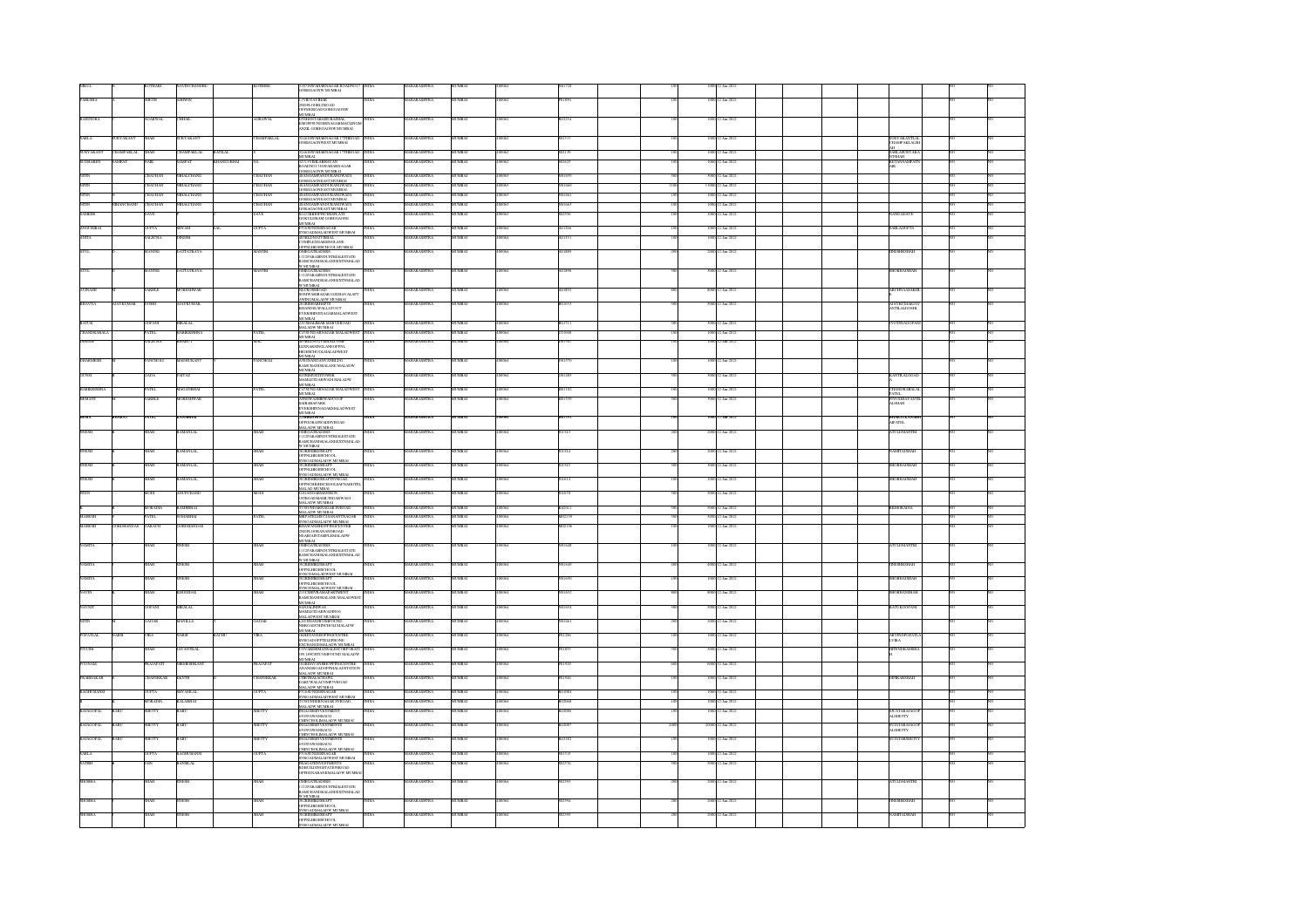|                    |                  |                         |                         |               |                  | 187JAWAHARNAGAR ROADNO<br>OREGAONW MUMBAI                                                                         |              | HARASHTR/                 |                |        |      |                          |                     |  |                                      |  |
|--------------------|------------------|-------------------------|-------------------------|---------------|------------------|-------------------------------------------------------------------------------------------------------------------|--------------|---------------------------|----------------|--------|------|--------------------------|---------------------|--|--------------------------------------|--|
|                    |                  |                         |                         |               |                  |                                                                                                                   |              |                           |                |        |      |                          |                     |  |                                      |  |
|                    |                  |                         |                         |               |                  | VIDYAVIHAR<br>KDFLOORLTROAD<br>FEMORDADGOREGAONW                                                                  |              |                           |                |        |      |                          |                     |  |                                      |  |
|                    |                  |                         |                         |               |                  | MBAI<br>SHANTABAISURAJMAL                                                                                         |              |                           |                |        |      |                          |                     |  |                                      |  |
| <b>AJENDRA</b>     |                  | <b>ARWAI</b>            |                         |               | <b>RAWA</b>      | SSIOPPSUNDERNAGARMACLINGN                                                                                         |              | <b>ARASHTRA</b>           | <b>MRA</b>     |        |      |                          |                     |  |                                      |  |
|                    |                  |                         |                         |               |                  | NZIL GOREGAONW MUMBAI                                                                                             |              |                           |                |        |      |                          |                     |  |                                      |  |
| <b>SARLA</b>       | <b>RYAKANT</b>   | SHAH                    | URYAKANT                |               | <b>JAMPAKLAL</b> | :<br>246JAWAHARNAGAR 17THROAI<br>30REGAONWEST MUMBAI                                                              |              | <b><i>AHARASHTRA</i></b>  | <b>JUMBAI</b>  |        |      |                          | 000 12-Jan-202      |  | URYAKANTLA<br>HAMPAKLALS             |  |
| SURYAKANI          | <b>APAKLAL</b>   | łМ                      | HAMPAKLAL               | RATILAL       |                  | <b>GJAWAHARNAGAR 17THRO.</b>                                                                                      |              | <b>ASHTRA</b>             |                |        |      |                          | 1000 12-Jan-202     |  | n<br>WLASURYA                        |  |
| <b>SUDHABEN</b>    | <b>MPAT</b>      | $\overline{\mathbf{R}}$ | <b>AMPAT</b>            | <b>NDERHA</b> |                  | UMBAI<br>?13 VIMLABHAVAN                                                                                          |              | <b>AHARASHTRA</b>         | <b>TIMBAL</b>  |        |      |                          | 1000 12-Jan-202     |  | <b>STSHAH</b><br>GETANSAMP/          |  |
|                    |                  |                         |                         |               |                  |                                                                                                                   |              |                           |                |        |      |                          |                     |  |                                      |  |
| VITIN.             |                  | HALIHAN                 | <b>HALCHAND</b>         |               | HAUHAN           | ://3 VIMLXISHAVAN<br>DADNOI 7JAWAHARNAGAR<br>DREGAONW MUMBAI<br>IANGAMPANDURANGWADI                               | NDIA.        | <b>MAHARASHTRA</b>        | <b>ALIMRAL</b> |        |      |                          | 3000 12-Jan-2021    |  |                                      |  |
| <b>TIIN</b>        |                  | <b>HAUHAN</b>           | <b>HALCHAND</b>         |               | <b>HAUHAN</b>    | .<br>DREGAONEAST MUMBAI<br>IANGAMPANDURANGWADI                                                                    | <b>NDIA</b>  | <b>MAHARASHTRA</b>        | <b>MUMBAI</b>  | 01660  | TIOL |                          | 11000 12-Jan-2021   |  |                                      |  |
|                    |                  | <b>IAUHAN</b>           | <b>ALCHAND</b>          |               | <b>AUHAN</b>     | <u>DREGAONEAST MUMBAI</u><br>IANGAMPANDURANGWADI                                                                  | iDIA         | <b>HARASHTR</b>           | <b>UMBAI</b>   | 662    |      |                          | 1000 12-Jan-2021    |  |                                      |  |
|                    |                  | <b>HAUHAN</b>           | <b>ALCHAND</b>          |               | HAUHAN           |                                                                                                                   | iDIA         | <b>ANHARASHTRA</b>        | UMBAI          |        |      |                          | 1000 12-Jan-2021    |  |                                      |  |
| <b>AMEE</b>        | ANCHANI          |                         |                         |               |                  |                                                                                                                   |              |                           | <b>UMBAI</b>   |        |      |                          |                     |  |                                      |  |
|                    |                  |                         |                         |               |                  | SOORBOADNEAST MUMBAI<br>GORBOADNEAST MUMBAI<br>GORAGAMPANDURANGWADI<br>GORAGAONEAST MUMBAI<br>GORULDHAM GOREGAONE |              | HARASHTR.                 |                |        |      |                          | J <sub>202</sub>    |  |                                      |  |
| NGURIBA            |                  | UPTA                    | <b>IYAM</b>             |               | UPTA             | MBAI<br>6SUNDERNAGAR                                                                                              | <b>DIA</b>   | HARASHTRA                 | <b>JUMBAI</b>  |        |      | 1000                     | J <sub>202</sub>    |  | <b>RLAGUPTA</b>                      |  |
| ANITA              |                  | <b>ALECHA</b>           | <b>XNESH</b>            |               |                  | VROADMALADWEST MUMBAL<br>03BLDNO2VISHAL                                                                           | <b>NDIA</b>  | <b>MAHARASHTRA</b>        | <b>EUMBAI</b>  |        |      |                          | 1000 12-Jan-2021    |  |                                      |  |
|                    |                  |                         |                         |               |                  | OMPLEXNARSINGLANE                                                                                                 |              |                           |                |        |      |                          |                     |  |                                      |  |
|                    |                  |                         |                         |               |                  | PPNLHKIHSCHOOL MUMBAL<br>MEGATRADERS<br>112PARASINDUSTRIALESTATE<br>AMCHANDRALANEEXTNMALAD                        |              | <b>SHTP</b>               |                |        |      |                          |                     |  |                                      |  |
|                    |                  |                         |                         |               |                  |                                                                                                                   |              |                           |                |        |      |                          |                     |  |                                      |  |
| <b>ATUL</b>        |                  | <b>AVTRI</b>            | <b>TTATRAY</b>          |               | <b>VTR</b>       | ' MUMBAI<br>MEGATRADERS<br>  12PARASINDUSTRIALESTATE<br>AMCHANDRALANEEXTNMALAD                                    |              | <b>ARASHTRA</b>           | <b>IMRAI</b>   |        |      |                          |                     |  |                                      |  |
|                    |                  |                         |                         |               |                  |                                                                                                                   |              |                           |                |        |      |                          |                     |  |                                      |  |
| <b>VINASH</b>      |                  | .<br>AKHLE              | <b><i>AORESHWAR</i></b> |               |                  | <b>MUMBAI</b><br>LCROSSROAD                                                                                       |              | <b>AHARASHTRA</b>         | <b>UMBAI</b>   | 01892  |      |                          | 8000 12-Jan-2021    |  | RCHNAASAB                            |  |
|                    |                  |                         |                         |               |                  | MWARIBAZAR102DHAVALAPT<br>WINGMALADW MUMBAI                                                                       |              |                           |                |        |      |                          |                     |  |                                      |  |
| <b>IAVNA</b>       | AYKUMAR          | OSHI                    | <b>JAYKUMAR</b>         |               |                  | RISHABHAPTS<br>JANDELWALLAYOUT<br>ERSHINENAGARMALADWEST                                                           |              | <b>HARASHTRA</b>          | MBAI           |        |      |                          | J <sub>202</sub>    |  | JAYKUMARJ/<br>NTILALDOSH             |  |
|                    |                  |                         |                         |               |                  |                                                                                                                   |              |                           |                |        |      |                          |                     |  |                                      |  |
| <b>BATUK</b>       |                  | OPANI                   | RALAL                   |               |                  | MBAI<br>SHALIMAR MARVEROAD                                                                                        |              | HARASHTRA                 | UMBAI          |        |      |                          |                     |  |                                      |  |
| <b>CHANDRABAL</b>  |                  | <b>ATEL</b>             | <b>ARIKRISHNA</b>       |               | <b>ATEL</b>      | X.Strallsson<br>IALADW MUMBAI<br>***U INTARNAGAR MALADWES                                                         | NDIA         | <b>HARASHTRA</b>          | <b>EUMBAI</b>  |        |      | 1000                     | $3m-202$            |  |                                      |  |
| <b>INESH</b>       |                  | <b>SALECHA</b>          | HABUT                   |               |                  | AUMBAI<br>103BLDNO2VISHALCOMP                                                                                     | <b>NDIA</b>  | <b>AHARASHTRA</b>         | <b>EUMBAI</b>  |        |      |                          | 1000 12-Jan-2021    |  |                                      |  |
|                    |                  |                         |                         |               |                  | EXNARSINGLANEOPPNL<br>IIGHSCHOOLMALADWEST                                                                         |              |                           |                |        |      |                          |                     |  |                                      |  |
| <b>HARMESE</b>     |                  | <b>NCHOLI</b>           | DHUKAN                  |               | NCHOL            | IUMBAI<br>304NANDANVANBLDG<br>AMCHANDRALANE MALADW                                                                |              |                           | <b>IMBA</b>    |        |      |                          | -<br>-<br>Jan-202   |  |                                      |  |
|                    |                  |                         |                         |               |                  |                                                                                                                   |              |                           |                |        |      |                          |                     |  |                                      |  |
| INSI               |                  | <b>Ana</b>              | WAZ.                    |               |                  | MBAI<br>IRIMURTITOWER<br>4 IKIMUK III OWER<br>IAMLETDAR WADI MALADW                                               |              | <b>HARASHTRA</b>          | <b>IMRAI</b>   |        |      |                          |                     |  | ANTIL ALGI                           |  |
| <b>HARIKRISHNA</b> |                  | PATEL                   | <b>MAGANBHAI</b>        |               | <b>ATEL</b>      | UMBAI<br>47SUNDARNAGAR MALADWEST                                                                                  | <b>INDIA</b> | <b>MAHARASHTRA</b>        | <b>EUMBAI</b>  | 101102 |      |                          | 1000 12-Jan-2021    |  | <b>CHANDRABAL</b>                    |  |
|                    |                  |                         |                         |               |                  |                                                                                                                   |              |                           |                |        |      |                          |                     |  |                                      |  |
| EMANT              |                  | AKHLE                   | ORESHWAR                |               |                  | MUMBAI<br>AONEWASHIRWADCOOP<br>SAIBABAPARK<br>EVERSHINNAGARMALADWEST<br>MUMBAI                                    | NDIA         | HARASHTRA                 | <b>UMBAI</b>   | 31535  |      | 3000                     | 3-Jan-2021          |  | PATEL<br>PIYUSHJAYAN<br>ALSHAH       |  |
|                    |                  |                         |                         |               |                  | UMBAI<br>:SHRINIWAS                                                                                               |              |                           |                |        |      |                          |                     |  |                                      |  |
| <b>EMA</b>         | <b>APA</b>       | ATEL                    | NIIRHAI                 |               |                  | <b>PPGORASWADISVROAD</b>                                                                                          | <b>TYLA</b>  | <b>MAHARASHTRA</b>        | <b>ALIMRAL</b> |        |      |                          | J <sub>20</sub>     |  | <b>HARATKAN</b><br>AIPATEL           |  |
| ESF                |                  |                         |                         |               |                  | <b>IALADW MUMBAI<br/>MEGATRADERS</b>                                                                              |              |                           |                |        |      |                          |                     |  |                                      |  |
|                    |                  |                         |                         |               |                  | SHEATER WALLS<br>             PARASINDUSTRIAL ESTATE<br>  AMCHANDRALANEEXTNMALAD                                  |              |                           |                |        |      |                          |                     |  |                                      |  |
|                    |                  |                         |                         |               |                  | MUMBAI<br>02RISHIKESHAPT<br>PPNLHIGHSCHOOL                                                                        |              |                           |                |        |      |                          | J <sub>20</sub> 202 |  |                                      |  |
|                    |                  |                         |                         |               |                  |                                                                                                                   |              |                           |                |        |      |                          |                     |  |                                      |  |
|                    |                  |                         | $15.77 - 10.7$          |               |                  | VROADMALADW MUMBA<br>ERISHIKESHAPT                                                                                |              | <b>UARAGUIRA</b>          | <b>IMRAI</b>   |        |      |                          |                     |  |                                      |  |
|                    |                  |                         |                         |               |                  | SOZKISNIKISINATI<br>OPPNLHKIHSCHOOL<br>SVROADMALADW MUMBAI<br>JOZRISHIKESHAPTSVROAD<br>OPPNCHIGHSCHOOLSAPNAHOTEL  |              |                           |                |        |      |                          |                     |  |                                      |  |
| NESH               |                  |                         | MANLAL                  |               |                  |                                                                                                                   |              | HARASHTRA                 | <b>IMBAI</b>   |        |      |                          | J <sub>202</sub>    |  |                                      |  |
|                    |                  | IODI                    | UPCHAND                 |               |                  | MALAD MUMBAI<br>GI GANGARMANSION<br>ISTROADMAMLTEDARWADI<br>MALADW MUMBAI<br>TI SSUNDARNAGAR SVROAD               |              | <b>IARASHTRA</b>          | MBA            |        |      |                          | J <sub>202</sub>    |  |                                      |  |
|                    |                  |                         |                         |               |                  |                                                                                                                   |              |                           |                |        |      |                          |                     |  |                                      |  |
|                    |                  |                         |                         |               |                  |                                                                                                                   |              |                           |                |        |      |                          |                     |  |                                      |  |
| <b>LAHESE</b>      |                  | ATEL                    | <b>MARHA</b>            |               |                  | I SSUNDARI (1980)<br>IALADW MUMBAI<br>#¤¤ATELMS C40ANANTNAGAR                                                     | <b>INDIA</b> | <b><i>AMARASHTRA</i></b>  | <b>TIMBA</b>   |        |      |                          | $302 - 202$         |  |                                      |  |
| MAHESH             | <b>IRDHANDAS</b> | GARACH                  | <b>ORDHANDAS</b>        |               |                  | <b>VROADMALADW MUMBAL</b><br>HAWANISHOPPINGCENTER<br>NDFLOORANANDROAD                                             | <b>NDIA</b>  | <b>MAHARASHTRA</b>        | <b>EUMBAI</b>  |        |      |                          | 12-Jan-202          |  |                                      |  |
|                    |                  |                         |                         |               |                  | EARJAINTAMPLEMALADW                                                                                               |              |                           |                |        |      |                          |                     |  |                                      |  |
| <b>AMITA</b>       |                  |                         |                         |               |                  | LIMBAI<br>MEGATRADERS<br>112PARASINDUSTRIAI ESTATE<br>AMCHANDRALANEENTNMALAE<br>CARRADER                          |              | <b><i>ANHARASHTRA</i></b> | <b>UMBA</b>    |        |      |                          | 1000 12-Jan-202     |  | ULDMA                                |  |
|                    |                  |                         |                         |               |                  |                                                                                                                   |              |                           |                |        |      |                          |                     |  |                                      |  |
| AMITA              |                  |                         |                         |               |                  | -<br>AMUMBAI<br>^^@*GHKESHAPT                                                                                     |              | <b>AHARASHTRA</b>         | <b>IMBAI</b>   |        |      |                          |                     |  |                                      |  |
|                    |                  |                         |                         |               |                  | SOFINIERISCHOOL<br>SVRODMALADWEST MUMBAL<br>302RISHIKESHAPT<br>OPPNIHKESHAPT<br>OPPNIHKEKHOOL                     |              |                           |                |        |      |                          |                     |  |                                      |  |
| AMITA              |                  | <b>HAF</b>              | ESH                     |               |                  |                                                                                                                   | <b>DIA</b>   | HARASHTRA                 | UMBAI          |        |      |                          | $3$ lan- $2021$     |  | OBHAISHA                             |  |
|                    |                  |                         |                         |               |                  |                                                                                                                   |              | <b>IARASHTRA</b>          |                |        |      |                          |                     |  |                                      |  |
| AVIN               |                  |                         | <b>OIDAS</b>            |               |                  | SVRODMALADWEST MUMBAI<br>11 ICSHIVRAMAPARTMENT<br>RAMCHANDRALANE MALADWEST                                        |              |                           | MBA            |        |      |                          | $tan-202$           |  |                                      |  |
| AVNI               |                  | OPANI                   | RAI AI                  |               |                  | MBAI<br>NJALINIWAS                                                                                                |              | <b>AHARASHTRA</b>         | <b>IMRAI</b>   |        |      |                          | 302                 |  | <b>THEODRA</b>                       |  |
|                    |                  |                         |                         |               |                  | AMEETDARWADNOS<br><b>MADWEST MUMBAL</b><br>VIINANIICOMPOUNI                                                       |              |                           |                |        |      |                          |                     |  |                                      |  |
|                    |                  | <b>AJJAR</b>            | NILLA                   |               | <b>JJAR</b>      | ROADCHINCHOLI MALADW                                                                                              |              | HARASHTRA                 | UMBAI          |        |      | 200                      |                     |  |                                      |  |
| PATLAI             |                  | RA                      |                         |               |                  | IUMBAL<br>KHETANSHOPINGCENTRE<br>VROADOPPTELEPHONE                                                                |              | <b>HARASHTRA</b>          |                |        |      |                          |                     |  |                                      |  |
|                    |                  |                         |                         |               |                  |                                                                                                                   |              |                           |                |        |      |                          |                     |  | ARVINDPO<br>LVIRA                    |  |
| <b>VTISH</b>       |                  | <b>TAH</b>              | <b>ANTEAL</b>           |               |                  | <b>CCHANGEMALADW MUMBAL</b><br>DVARDHMANSALESCORPORATI                                                            |              | <b>ARASHTRA</b>           | <b>IMRAI</b>   |        |      |                          |                     |  |                                      |  |
| OONAM              |                  | EAJAPATI                | <b>ESHKAN</b>           |               |                  | N 189CBTCOMPOUND MALADW<br>MBAI<br>#BHAVANISHOPPINGCENTRE                                                         |              | <b>IARASHTRA</b>          | <b>DMBA</b>    |        |      |                          |                     |  |                                      |  |
|                    |                  |                         |                         |               | <b>AJAPA</b>     | <b>NANDROADOPPMALADSTATION</b>                                                                                    |              |                           |                |        |      |                          |                     |  |                                      |  |
| RABHAKAR           |                  | HAFERKAR                | NTH                     |               | HAFERKAR         | NADIWALION<br>TRTHALACHAWL<br>ARUWALACOMPSVROAD                                                                   |              | HARASHTRA                 | <b>UMBAI</b>   |        |      |                          | 3-Jan-2021          |  | PIKARSHAH                            |  |
|                    |                  |                         |                         |               |                  |                                                                                                                   |              |                           |                |        |      |                          |                     |  |                                      |  |
| RAGHUBANSI         |                  | <b>IPTA</b>             | AMLA                    |               | PTA              | <b>GRUWALAL.com </b><br>ALADW MUMBAI<br>}16SUNDERNAGAR<br>AYROADMALADWEST MUMBAI<br>!! SSUNDERNAGAR SVROAD        |              | SHTR.                     | .<br>UMBA      |        |      |                          | J <sub>20</sub>     |  |                                      |  |
|                    |                  | ORADIA                  | <b>ARHAI</b>            |               |                  |                                                                                                                   | <b>DIA</b>   | <b>HARASHTRA</b>          | <b>UMBAI</b>   |        |      |                          | $\frac{1}{202}$     |  |                                      |  |
| <b>RAJAGOPAL</b>   |                  | HETTY                   |                         |               | <b>HETTY</b>     | <b>ALADW MUMBAL</b><br>GLOBEINVESTMENT<br><b>BPAWANBAUG</b>                                                       | <b>NDIA</b>  | <b><i>AHARASHTRA</i></b>  | <b>EUMBAI</b>  |        |      |                          | $3m-202$            |  | <b>JUATARAJAC</b><br><b>U.SHETTY</b> |  |
|                    |                  | <b>IETTY</b>            |                         |               |                  |                                                                                                                   |              | <b>AHARASHTRA</b>         | <b>DMBA</b>    |        |      |                          |                     |  |                                      |  |
| RAJAGOPAL          |                  |                         |                         |               |                  | SO AWARRACH<br>GLOBEINVESTMENTS<br>GLOBEINVESTMENTS<br>03PAWANBAUG                                                | <b>IDLA</b>  |                           |                |        |      |                          |                     |  | UJATARAJAO<br><b>M.SHETTY</b>        |  |
| :<br>AJAGOPA       |                  |                         |                         |               |                  |                                                                                                                   |              |                           |                |        |      |                          |                     |  |                                      |  |
|                    |                  |                         |                         |               |                  | BSPAWANBAUG<br>INCHOLMALADW MUMBAI<br>GLOBEINVESTMENTS<br>BSPAWANBAUG<br>INCHOLMALADW MUMBAI<br>I6SUNDERNAGAR     |              |                           |                |        |      |                          |                     |  |                                      |  |
| SARLA              |                  | <b>SUPTA</b>            | <b>AGHUBANSE</b>        |               | <b>UPTA</b>      |                                                                                                                   | <b>NDIA</b>  | <b>MAHARASHTRA</b>        | <b>JUMBAI</b>  |        |      | $1000$ $\vert 1 \rangle$ | $34m-202$           |  |                                      |  |
| <b>SATISH</b>      |                  |                         | <b>ANSILAL</b>          |               |                  |                                                                                                                   | NDIA         | <b>ANHARASHTRA</b>        | <b>EUMBAI</b>  | 2576   |      |                          | 5000 12-Jan-2021    |  |                                      |  |
|                    |                  |                         |                         |               |                  | <b>DBUILDINGSTATIONROAD</b><br>PFDENABANKMALADW MUMB                                                              |              |                           |                |        |      |                          |                     |  |                                      |  |
| HOBHA              |                  | ΑH                      |                         |               |                  |                                                                                                                   |              | HARASHTRA                 | MBAI           |        |      |                          | Man-2021            |  | ULDMAN                               |  |
|                    |                  |                         |                         |               |                  | MEGATRADERS<br>12PARASINDUSTRIALESTATE<br>VACHANDRALANEEXTNMALAD                                                  |              |                           |                |        |      |                          |                     |  |                                      |  |
| <b>SHOBHA</b>      |                  |                         |                         |               |                  | MUMBAI                                                                                                            |              | <b>HARASHTRA</b>          | .<br>MBAI      |        |      |                          |                     |  |                                      |  |
|                    |                  |                         |                         |               |                  | PPNI HIGHSCHOOL                                                                                                   |              |                           |                |        |      |                          |                     |  |                                      |  |
| <b>SHOBHA</b>      |                  |                         |                         |               |                  | VROADMALADW MUMBAI<br>02RISHIKESHAPT<br>OPPNLHIGHSCHOOL                                                           | <b>NDIA</b>  | <b>MAHARASHTRA</b>        | <b>MUMBAI</b>  |        |      |                          | 2000 12-Jan-202     |  | <b>ARITA ISHAH</b>                   |  |
|                    |                  |                         |                         |               |                  | <b>CADMALADW MEMBA</b>                                                                                            |              |                           |                |        |      |                          |                     |  |                                      |  |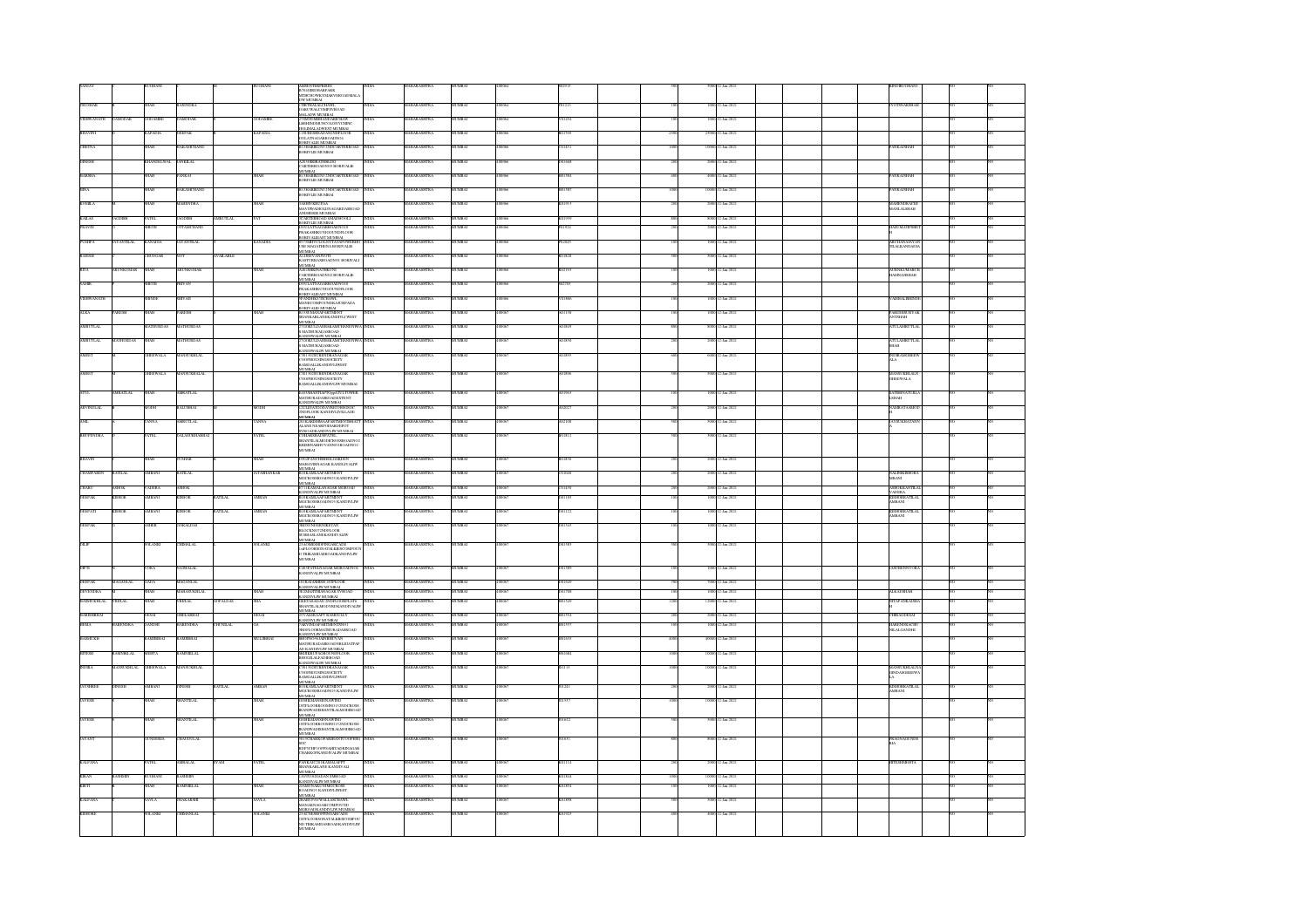|                   |                |                |                      |         |                  | <b>SENTERPRISES</b>                                                                                                                           |              | ARASHTRA           |                |  |  |      |                       |  |                                     |  |  |
|-------------------|----------------|----------------|----------------------|---------|------------------|-----------------------------------------------------------------------------------------------------------------------------------------------|--------------|--------------------|----------------|--|--|------|-----------------------|--|-------------------------------------|--|--|
|                   |                |                |                      |         |                  | <b>OGERDHARPARK</b><br><b>THCHOWKYMARVEROADMALA</b>                                                                                           |              |                    |                |  |  |      |                       |  |                                     |  |  |
| <b>USHAI</b>      |                | LАН            | <b>JENDRA</b>        |         |                  |                                                                                                                                               |              | <b>ANARASHTRA</b>  | UMBAI          |  |  |      | $Jan-202$             |  | <b>TSNARSHA</b>                     |  |  |
|                   |                |                |                      |         |                  |                                                                                                                                               |              |                    |                |  |  |      |                       |  |                                     |  |  |
| <b>HWA</b>        |                |                |                      |         |                  | MITHCHOWKYMARVEROADMA<br>DW MUMBAI<br>TIRTHALALCHAWL<br>DARUWALCOMPSVROAD<br>MALADW MUMBAI<br>PYSMTDMBHANDARICHAW<br>LBEHINDMBHANDARICHAW     |              | <b>SHTRA</b>       |                |  |  |      |                       |  |                                     |  |  |
|                   |                |                | :EPAK                |         |                  | <b>MIMALADWEST MUMBAL</b><br>SURESHSADAN2NDFLOOR                                                                                              |              |                    | MBA            |  |  |      |                       |  |                                     |  |  |
|                   |                |                |                      |         |                  | DOLATNAGARROADNO4                                                                                                                             |              |                    |                |  |  |      |                       |  |                                     |  |  |
|                   |                |                |                      |         |                  | ORIVALIE MUMBAI<br>13HARIKUNI 2NDCARTERI<br>ORIVLIE MUMBAI                                                                                    |              |                    |                |  |  |      |                       |  |                                     |  |  |
| <b>SESH</b>       |                | <b>ANDELWA</b> | WKLAL                |         |                  | <b>BGIRIRATHBLDG</b>                                                                                                                          |              | <b>IARASHTRA</b>   | UMBAI          |  |  |      |                       |  |                                     |  |  |
|                   |                |                |                      |         |                  | ARTERROADNO3 BORIVALIE                                                                                                                        |              |                    |                |  |  |      |                       |  |                                     |  |  |
| <b>RSH</b>        |                |                | KA                   |         |                  | <b><i>ANBAL ANDROCENTER</i></b><br><b>EMBAL ENCARTER</b><br>IORIVLIE MUMBAI                                                                   |              | HARASHTRA          | MBA            |  |  |      |                       |  | NKAJSHAF                            |  |  |
|                   |                |                |                      |         |                  |                                                                                                                                               |              |                    |                |  |  |      |                       |  |                                     |  |  |
|                   |                |                | <b>AMCHA</b>         |         |                  | 3HARIKUNJ 2NDCART<br>RIVLIE MUMBAI                                                                                                            |              | <b>SHTR</b>        |                |  |  |      |                       |  | KAJSHA                              |  |  |
| MILA              |                |                | <b>HENDRA</b>        |         |                  | ASHIVKRUPAA<br>IAVJIWADIOLDNAGARDASROAD                                                                                                       |              | <b>ARASHTRA</b>    | MBA            |  |  |      |                       |  | MAHENDRACH<br>MANLALSHAH            |  |  |
|                   |                |                |                      |         |                  |                                                                                                                                               |              |                    |                |  |  |      |                       |  |                                     |  |  |
| <b>AILAS</b>      |                |                |                      |         |                  | SANDHERIE MUMBAI<br>JCARTERROAD 6MADHOOLI<br>BORIVLIE MUMBAI<br>DOULATNAGARROADNO10<br>PRAKASHKUNIGOUNDFLOOR<br>PRAKASHKUNIGOUNDFLOOR         |              |                    | <b>MRAI</b>    |  |  |      |                       |  |                                     |  |  |
|                   |                |                |                      |         |                  |                                                                                                                                               |              |                    |                |  |  |      |                       |  |                                     |  |  |
| USHPA             | YANTILAL       | ANADIA         | <b>YANTEAL</b>       |         | WADIA            | PRAKASINKUNDOUNDFLUOR<br>BORIVALIEAST MUMBAI<br>8573MHVCLOLNYTATAPOWERHC<br>USE MAGATHENA BORIVALIE                                           |              | <b>HARASHTRA</b>   | <b>JUMBAI</b>  |  |  |      | J <sub>2021</sub>     |  | ARCHANAJAYA<br>TILALKANDADL         |  |  |
|                   |                |                |                      |         |                  |                                                                                                                                               |              |                    |                |  |  |      |                       |  |                                     |  |  |
|                   |                |                |                      | AILABLI |                  | UMBAI<br>-HEEVANIYOTI<br>-STURBAXROADNOI BORIVALI                                                                                             |              |                    |                |  |  |      |                       |  |                                     |  |  |
|                   | NKUMAR         | <b>TAH</b>     | <b>UNKUMAR</b>       |         |                  | UMBAI<br>02SHRINATHKUNI                                                                                                                       |              | <b>HARASHTRA</b>   | <b>TMRAI</b>   |  |  |      |                       |  |                                     |  |  |
|                   |                |                |                      |         |                  | CARTERROADNO2 BORIVALIE                                                                                                                       |              |                    |                |  |  |      |                       |  | AURNKUMARC<br>HAMNAJISHAH           |  |  |
| MR                |                | ETH            | <b>IVAN</b>          |         |                  | MUMBAI<br>DOULATNAGARROADNOIO<br>PRAKASHKUNIGOUNDFLOOR                                                                                        |              | <b>HARASHTRA</b>   | UMBAI          |  |  |      | $3m-202$              |  |                                     |  |  |
| uun               |                |                |                      |         |                  | ORIVALJEAST MUMBAL<br>PANDHKUTICHAWL                                                                                                          |              |                    | <b>MRA</b>     |  |  |      |                       |  |                                     |  |  |
|                   |                |                |                      |         |                  | "ANDEROTR.FAWE.<br>IANECOMPOUNDKAJURPADA<br>ORIVALIE MUMBAI                                                                                   |              |                    |                |  |  |      |                       |  |                                     |  |  |
| <b>ALKA</b>       |                |                | RESH                 |         |                  | 12SUMANAPARTMENT<br>HANKARLANEKANDIVLI WEST                                                                                                   |              | <b>ARASHTRA</b>    | MBA            |  |  |      |                       |  | <b>ARESHSURY</b><br>ANTSHAH         |  |  |
| <b>MRUTLAL</b>    |                | THURDAS        | <b>THURDAS</b>       |         |                  | GENERAL<br>AUMBAL<br>FOOKULDASHAKAMCHANDNIW<br>SANDIWALIW MUMBAL<br>KANDIWALIW MUMBAL<br>TOOKULDASHAKAMCHANDNIW                               |              | <b>ARASHTRA</b>    | MBA            |  |  |      |                       |  | ULAMRUTI                            |  |  |
|                   |                |                |                      |         |                  |                                                                                                                                               |              |                    |                |  |  |      |                       |  |                                     |  |  |
| <b>AMRUTLAL</b>   | <b>THURDAS</b> |                | <b>THURDAS</b>       |         |                  | MATHER ADASPOAD                                                                                                                               |              | <b>IARASHTRA</b>   | UMBAI          |  |  |      |                       |  | TULAMRUTI,<br>SHAH                  |  |  |
|                   |                |                |                      |         |                  | NDIWALIW MUMBAI<br>01302SURENDRANAGAR                                                                                                         |              |                    |                |  |  |      |                       |  |                                     |  |  |
| AMEET             |                | HEEWALA        | <b>ANSUKHLAL</b>     |         |                  | OOPHOUSINGSOCIETY<br>AMGALLIKANDIVLIWEST                                                                                                      | <b>DIA</b>   | <b>IAHARASHTRA</b> | <b>IUMBAI</b>  |  |  | 600  | 3-Jan-202             |  | INDIRAMGHEEV<br>$\Lambda\!L\Lambda$ |  |  |
| MEET              |                | <b>JEEWALA</b> | .<br>Ngjirhala       |         |                  | <b>MBAI</b><br>01302SURENDRANAGAR                                                                                                             |              | <b>ARASHTRA</b>    | <b>MRAI</b>    |  |  |      |                       |  | <b>ANSTRIER</b>                     |  |  |
|                   |                |                |                      |         |                  | SOLSOZSOKENDRANAGAR<br>OOPHOUSINGSOCIETY<br>AMGALLIKANDIVLIW MUMBAI                                                                           |              |                    |                |  |  |      |                       |  | <b>HEEWALA</b>                      |  |  |
|                   |                |                |                      |         |                  |                                                                                                                                               |              |                    |                |  |  |      |                       |  |                                     |  |  |
| ATUL.             | <b>(RATLAL</b> | НАН            | MRATLAL              |         |                  | 03SHANTIAPTOppATULTOWER<br><b>ATHURADASROADEXTENT</b>                                                                                         | DIA          | <b>AHARASHTRA</b>  | <b>IUMBAI</b>  |  |  |      | $3m-202$              |  | <b>ATISHNATUR</b><br>SHAH           |  |  |
|                   |                |                |                      |         |                  | NDIWALIW MUMBAI<br>CLIJIATGODAVRICOHSGSOC<br>IDFLOOR KANDIVLIVILLAGE                                                                          |              |                    |                |  |  |      |                       |  |                                     |  |  |
|                   |                |                |                      |         |                  |                                                                                                                                               |              |                    |                |  |  |      |                       |  |                                     |  |  |
|                   |                |                | RUTLAL.              |         |                  | MBAI<br>KARISHMAAPARTMENTBHA'<br>LANE NEARPOISARDEPOT                                                                                         |              | <b>JARASHTRA</b>   | <b>MRAI</b>    |  |  |      |                       |  |                                     |  |  |
| <b>BHUPENDRA</b>  |                | Œ              | <b>MASUKHABH</b>     |         |                  |                                                                                                                                               |              | <b>HARASHTRA</b>   | MBA            |  |  |      |                       |  |                                     |  |  |
|                   |                |                |                      |         |                  | LANE NEARPOISARDEPOT<br>VROADKANDIVLIW MUMBAI<br>OHARSHADSPATEL<br>HANTILALMODICROSSROADNO2<br>RISHNABHUVANNOI ROADNO2<br>JUMBAI              |              |                    |                |  |  |      |                       |  |                                     |  |  |
|                   |                |                |                      |         |                  |                                                                                                                                               |              |                    |                |  |  |      |                       |  |                                     |  |  |
| HAVIN             |                | <b>TAH</b>     | <b>SHAR</b>          |         |                  | DS02PANCHSHEELGARDEN<br>MAHAVIRNAGAR KANDLIVALIW                                                                                              |              | <b>AHARASHTRA</b>  | <b>IMRAI</b>   |  |  |      |                       |  |                                     |  |  |
| <b>HAMPABEN</b>   | ATILAL         | MBANI          | ATILAL.              |         | <b>TASHANKAI</b> | ARITAVIRA<br>ALIMBAI<br>BIOKAMLAAPARTMENT<br>MCCROSSROADNO3 KANDIVLIW<br>ETIIKAMALANACAR MGROAD<br>ETIIKAMALANACAR MGROAD                     |              | <b>HARASHTRA</b>   | <b>UMBA</b>    |  |  |      | J <sub>202</sub>      |  |                                     |  |  |
|                   |                |                |                      |         |                  |                                                                                                                                               |              |                    |                |  |  |      |                       |  | NALINIKISHOR<br>MBANI               |  |  |
| HARI              |                | DERA           |                      |         |                  |                                                                                                                                               |              | cume.              | <b>MRAI</b>    |  |  |      |                       |  | <b>HOKKAN</b>                       |  |  |
| DEEPAK            | яn             | <b>IBAN</b>    | <b>SHOK</b>          |         |                  | ANDIVALIW MUMBAI<br>10KAMLAAPARTMENT<br><b>AGCROSSROADNO3 KANDIVLIW</b>                                                                       |              | <b>AHARASHTRA</b>  | <b>UMBAI</b>   |  |  |      |                       |  | VADERA<br>KISHORRATIL<br>AMBANI     |  |  |
| XEEPATI           |                | <b>BAN</b>     | <b>SHOR</b>          |         |                  | MUMBAI<br>BIOKAMLAAPARTMENT<br>MGCROSSROADNO3 KANDIVLIW                                                                                       |              | <b>IAHARASHTRA</b> | <b>DMBA</b>    |  |  |      |                       |  |                                     |  |  |
|                   |                |                |                      |         |                  |                                                                                                                                               |              |                    |                |  |  |      |                       |  | KISHORRATILA<br>AMBANI              |  |  |
| DEEPAK            |                | <b>SHER</b>    | ye yi Dre            |         |                  | IUMBAI<br>RDSUNDERNIKETAN<br>BLOCKNO72NDFLOOR                                                                                                 | <b>TVIA</b>  | <b>HARASHTRA</b>   | <b>IMRAI</b>   |  |  |      | Im 70'                |  |                                     |  |  |
|                   |                |                |                      |         |                  | <b>UBHASLANEKANDIVALIW</b>                                                                                                                    |              |                    |                |  |  |      |                       |  |                                     |  |  |
| DIII              |                | JLANKI         | HMALAL               |         | OLANKI           | SUBHASLANEKANDIVALIW<br>MUMBAI<br>23 AOMESHOPINGARCADE<br>1×1FLOORSONATALKIESCOMPOUN<br>D TRIKAMDASROADKANDIVLIW<br>MUMBAI                    | NDIA         | <b>AMARASHTRA</b>  | UMBAI          |  |  |      | Man-2021              |  |                                     |  |  |
|                   |                |                |                      |         |                  |                                                                                                                                               |              |                    |                |  |  |      |                       |  |                                     |  |  |
|                   |                | w.             | THALAI               |         |                  | <b>BPATELNAGAR MGRO</b>                                                                                                                       |              |                    |                |  |  |      |                       |  |                                     |  |  |
|                   |                |                |                      |         |                  | ANDIVALIW MUMBAI                                                                                                                              |              |                    |                |  |  |      |                       |  |                                     |  |  |
| DEEPAK            | MAGANLAL       | <b>JADA</b>    | AGANLAL              |         |                  | <b>IRAJASHISH ISTFLOOR</b>                                                                                                                    | <b>NDIA</b>  | <b>MAHARASHTRA</b> | <b>EUMBAI</b>  |  |  |      | 3-Jan-2021            |  |                                     |  |  |
| DEVENDRA          |                |                | <b>IASUKHLA</b>      |         |                  |                                                                                                                                               |              | <b>JARASHTR.</b>   | <b>TMRA</b>    |  |  |      |                       |  |                                     |  |  |
| <b>ASMERTHE</b>   |                |                |                      |         |                  | NNDIVALIW MUMBAI<br>2MAJITHIANAGAR SVROAD<br>NNDIVLIW MUMBAI<br>EFTASADAN 2NDFLOORFLATS                                                       |              |                    | $\overline{u}$ |  |  |      |                       |  |                                     |  |  |
|                   |                |                |                      |         |                  | HANTILALMODYRDKANDIVALIW<br>IUMBAI<br>SVALERAAPT RAMGULLY                                                                                     |              |                    |                |  |  |      |                       |  |                                     |  |  |
| <b>HARISHBHAI</b> |                | DESAI          | HELABHAI             |         | ESAI             |                                                                                                                                               | <b>INDIA</b> | <b>MAHARASHTRA</b> | MUMBAI         |  |  | 2000 | 2-Jan-2021            |  | CHIRAGDESAI                         |  |  |
| EMA               | ENDRA          | WDHI           | <b>ENDRA</b>         | NLAL    |                  | SANDIVLIW MUMBAL<br>ARVINDAPARTMENTSNOI<br>RDFLOORMATHURADASROAD                                                                              | DIA          | <b>HARASHTRA</b>   | MBAI           |  |  |      | $tan-202$             |  | HARENDRACH)<br>GILALGANDHI          |  |  |
| HASMUKH           |                | <b>MIRH</b>    | <b>ATTRIVAL</b>      |         | <b>IT JIRHA</b>  | ANDIVLIW MUMBAI<br>HOPNOSSIAINBHUVAN<br>AATHURADASROADNRLIIJATPAF                                                                             | <b>TYLA</b>  | <b>HARASHTRA</b>   | <b>TMRAI</b>   |  |  |      | Im 20                 |  |                                     |  |  |
|                   |                |                |                      |         |                  |                                                                                                                                               |              |                    |                |  |  |      |                       |  |                                     |  |  |
| mesh              | <b>GKLAL</b>   | <b>EHTA</b>    | <b><i>INKLAL</i></b> |         |                  | SATIRUKADASKOADAREDDA<br>SRUIKRUPAGROUNDFLOOR<br>BHOGILALFADIEROAD                                                                            |              | <b>HARASHTRA</b>   | <b>IMBAI</b>   |  |  |      |                       |  |                                     |  |  |
|                   |                | <b>EEWAL</b>   | venzum               |         |                  | ANDIWALIW MUMBAI<br>301302SURENDRANAGAR<br>OOPHOUSINGSOCIETY<br>AMGALLIKANDIVLIWEST<br>UMGAL                                                  |              | <b>ACUTE</b>       |                |  |  |      |                       |  | ANSUKHLA<br>NDASGHEE                |  |  |
|                   |                |                |                      |         |                  |                                                                                                                                               |              |                    |                |  |  |      |                       |  |                                     |  |  |
| YSHREE            |                | <b>BAN</b>     | <b>NESH</b>          | TLAI    | <b>JBAN</b>      | MBAI<br>OKAMLAAPARTMENT                                                                                                                       |              | <b>IARASHTRA</b>   | MBAI           |  |  |      | $-20$                 |  | <b>CISHORRATILA</b>                 |  |  |
|                   |                |                |                      |         |                  | <b>DIUKANILAAPARTMENT</b><br>MGCROSSROADNO3 KANDIVLIW                                                                                         |              |                    |                |  |  |      |                       |  | <b>INABAN</b>                       |  |  |
|                   |                |                |                      |         |                  |                                                                                                                                               |              |                    |                |  |  |      |                       |  |                                     |  |  |
|                   |                |                | ANTILAL.             |         |                  |                                                                                                                                               |              | <b>HARASHTRA</b>   | MBA            |  |  |      | J <sub>202</sub>      |  |                                     |  |  |
|                   |                |                |                      |         |                  | KUMBAI<br>KIMBAI<br>STFLOORROOMNOI 32NDCROSS<br>KANTWADISHANTILALMODIROAL                                                                     |              |                    |                |  |  |      |                       |  |                                     |  |  |
| AYESH             |                | <b>HAH</b>     | ANTILAL              |         |                  |                                                                                                                                               |              | <b>AHARASHTRA</b>  | <b>IMRAI</b>   |  |  |      | $\frac{1}{2}$ an $20$ |  |                                     |  |  |
|                   |                |                |                      |         |                  | MUMBAI<br>GOHILMANSIONAWING<br>ISTFLOORROOMNOI 32NDCROSS<br>RANTWADISHANTILALMODIROAD                                                         |              |                    |                |  |  |      |                       |  |                                     |  |  |
| YAN.              |                | NDERI          | <b>IAUDULA</b>       |         |                  | IUMBAI<br>015CHARKOPARIHANTCOOPHS                                                                                                             |              | <b>ARASHTR</b>     |                |  |  |      |                       |  | PRAGNAGE                            |  |  |
|                   |                |                |                      |         |                  |                                                                                                                                               |              |                    |                |  |  |      |                       |  | dА                                  |  |  |
|                   |                |                |                      |         |                  | SOC<br>RDP3CHP1OPPSAHIY ADRINAGAR<br>CHARKOPKANDIVALIW MUMBAI                                                                                 |              |                    |                |  |  |      |                       |  |                                     |  |  |
| <b>CALPANA</b>    |                | TFI            | <b>ABALAL</b>        |         |                  | ANKAJC201KAMALAPPT<br>HANKARLANE KANDIVALI                                                                                                    |              | <b>ARASHTRA</b>    | <b>DMBA</b>    |  |  |      | Im 20                 |  |                                     |  |  |
|                   |                | KHANI          |                      |         |                  | IUMBAI<br>AVIYOGSADAN SMROAD                                                                                                                  |              | <b>IARASHTRA</b>   | MBA            |  |  |      | J <sub>2021</sub>     |  |                                     |  |  |
|                   |                |                |                      |         |                  |                                                                                                                                               |              |                    |                |  |  |      |                       |  |                                     |  |  |
|                   |                |                |                      |         |                  | ANDIVALIW MUMBAI<br>AMUNAKUNIMOCROSS<br>DADNO3 KANDIVLIWEST                                                                                   |              |                    |                |  |  |      |                       |  |                                     |  |  |
| ALPAN.            |                | VLA            | <b>KARSH</b>         |         |                  | UMBAI<br>(ABUPAVWALLASCHAWL<br><b>IANAKNAGARCOMPOUND</b>                                                                                      |              | <b>SHTR</b>        | <b>MRA</b>     |  |  |      |                       |  |                                     |  |  |
|                   |                |                |                      |         |                  |                                                                                                                                               |              |                    |                |  |  |      |                       |  |                                     |  |  |
|                   |                |                |                      |         |                  | ANNAKNAGARCOMPOUND<br><i>KROADKANDIVUW MUMBAL<br/>SACNESHOPPNGARCADE<br/>STFLOORSONATALKIESCOMPOU<br/>ED TRIKAMDASROADKANDIVLIW</i><br>#UMBAI |              |                    |                |  |  |      |                       |  |                                     |  |  |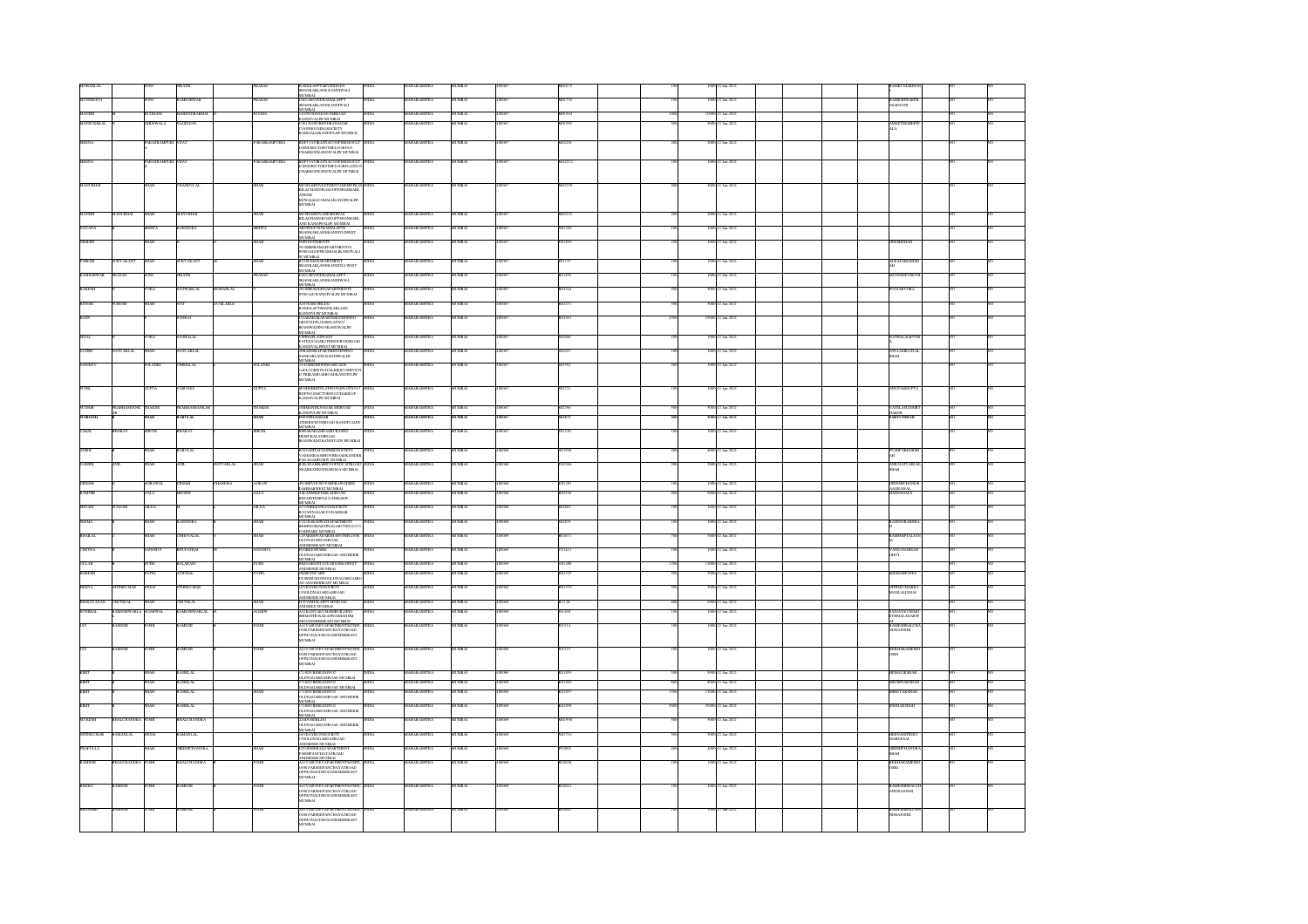|                          |                |                        |                   |                 |                           | AMALAPPTARVINDD401<br>HANKARLANE KANDIWALI                                                                                                                                                                                                                 |              |                         |                                 |      |        |  |                |                      |  |  |                                        |  |
|--------------------------|----------------|------------------------|-------------------|-----------------|---------------------------|------------------------------------------------------------------------------------------------------------------------------------------------------------------------------------------------------------------------------------------------------------|--------------|-------------------------|---------------------------------|------|--------|--|----------------|----------------------|--|--|----------------------------------------|--|
|                          |                |                        |                   |                 |                           | <b>JUMBAI<br/>HOLARVINDKAMALAPPT</b>                                                                                                                                                                                                                       |              |                         |                                 |      |        |  |                |                      |  |  |                                        |  |
|                          |                |                        |                   |                 |                           | SHANKARLANEKANDIWALI<br><b>AUMBAL</b><br>AVIYOGSADAN SMROAD<br>AVIYOGSADAN SMROAD                                                                                                                                                                          |              |                         |                                 |      |        |  |                |                      |  |  | <b>INORGASA</b>                        |  |
| <b>LANISH</b><br>ANSUKHL |                | EGHANI<br><b>FEWAL</b> | AHENDRABHA        |                 | <b>JGHA</b>               |                                                                                                                                                                                                                                                            |              | <b>AHARASHTRA</b>       | <b>IUMBAI</b><br>$\overline{m}$ |      | 1964   |  |                | 3 <sub>202</sub>     |  |  |                                        |  |
|                          |                |                        |                   |                 |                           | CANDIVALIW MUMBAI<br>2301302SURENDRANAGAR<br>2001302SURENDRANAGAR<br>RAMGALLIKANDIVLIW MUMBAI                                                                                                                                                              |              |                         |                                 |      |        |  |                |                      |  |  |                                        |  |
| MEENA                    |                | PARASRAMPLIRE          |                   |                 | <b><i>DASRAMPURU</i></b>  | <b>RDPISAVIRATNACOOPHSGSOCLT</b>                                                                                                                                                                                                                           |              | <b>AHARASHTRA</b>       | <b>TIMRAL</b>                   |      | 02201  |  |                | 000 12-5m2021        |  |  |                                        |  |
|                          |                |                        |                   |                 |                           | <b>DINDSECTORSTHFLOORNOS</b><br>THARKOPKANDIVALIW MUMBAI                                                                                                                                                                                                   |              |                         |                                 |      |        |  |                |                      |  |  |                                        |  |
| ÆENA                     |                | <b>PARASRAMPURI</b>    |                   |                 | <b><i>RASRAMPURIA</i></b> | RDPI SAVIRATNACOOPHSGSOCLT                                                                                                                                                                                                                                 |              | <b>IAHARASHTRA</b>      | <b>JUMBAI</b>                   |      | EA2212 |  |                | J <sub>2021</sub>    |  |  |                                        |  |
|                          |                |                        |                   |                 |                           | ) IINDSECTORSTHFLOORFLATNOS<br>"HARKOPKANDIVALIW MUMBAI                                                                                                                                                                                                    |              |                         |                                 |      |        |  |                |                      |  |  |                                        |  |
| <b>MANUBHA</b>           |                |                        | <b>IANDET A</b>   |                 |                           |                                                                                                                                                                                                                                                            |              | <b>HARASHTRA</b>        | MRA                             |      |        |  |                |                      |  |  |                                        |  |
|                          |                |                        |                   |                 |                           | MCSHAHINVESTMENT4HEMNIWAS<br>KILACHANDROADOPPSHANKARL                                                                                                                                                                                                      |              |                         |                                 |      |        |  |                |                      |  |  |                                        |  |
|                          |                |                        |                   |                 |                           | ARENTALISASION LAIKANDAL<br>ANEWAL BAUGHALLK ANDIWALIW<br>MUMBAI                                                                                                                                                                                           |              |                         |                                 |      |        |  |                |                      |  |  |                                        |  |
| <b>LANISE</b>            |                |                        | NUBHA             |                 |                           | MCSHAHINV4HEMNIWAS<br>KILACHANDROADOPPSHANKARL                                                                                                                                                                                                             |              | <b>VHARASHTR</b>        | MBA                             |      |        |  |                |                      |  |  |                                        |  |
| <b>NAYANA</b>            |                | <b>ГЕНТА</b>           | <b>AIENDRA</b>    |                 | <b>FHT</b>                | <b>NE KANDIWALIW MUMBAL</b><br>WANDC203 KAMALAPTS                                                                                                                                                                                                          |              | <b>AMARASHTRA</b>       | <b>TIMBAI</b>                   |      | 11266  |  |                | 100                  |  |  |                                        |  |
|                          |                |                        |                   |                 |                           | SHANKARLANEKANDIVLIWEST                                                                                                                                                                                                                                    |              |                         |                                 |      |        |  |                |                      |  |  |                                        |  |
| <b>SIMESH</b>            |                | <b>TAH</b>             |                   |                 |                           | HANG<br><b>dUMBAI</b><br>NINVESTMENTS                                                                                                                                                                                                                      |              | <b>JARASHTRA</b>        | <b>UMBAI</b>                    |      | 11830  |  | 1000           | J <sub>202</sub>     |  |  |                                        |  |
|                          |                |                        |                   |                 |                           | NINVESTMENTS<br> 02SHRIRAMAPPARTMENT94<br> NROADOPPRAMGALIKANDIVALI                                                                                                                                                                                        |              |                         |                                 |      |        |  |                |                      |  |  |                                        |  |
|                          |                |                        | YAKA!             |                 |                           | V MUMBAI<br>II SSUMANAPARTMENT<br>HANKARLANEKANDIVLI WEST                                                                                                                                                                                                  |              |                         |                                 |      |        |  |                |                      |  |  |                                        |  |
| <b>AMESHWA</b>           |                |                        | RATH              |                 |                           | MUMBAI<br>D401 ARVINDKAMALAPPT<br>SHANKARLANEKANDIWALI                                                                                                                                                                                                     |              | <b>HARASHTRA</b>        | <b>UMBAI</b>                    |      |        |  |                | J <sub>20</sub> 202  |  |  |                                        |  |
| WESH                     |                |                        | <b>ITWARLAL</b>   |                 |                           | MUMBAI<br>201SHRADDHAAPARTMENTS<br>SVROAD KANDIVALIW MUMBAI                                                                                                                                                                                                |              | <b>HARASHTRA</b>        | UMBAI                           |      |        |  |                | J <sub>202</sub>     |  |  | <b>JARVORA</b>                         |  |
|                          |                |                        |                   |                 |                           |                                                                                                                                                                                                                                                            |              |                         |                                 |      |        |  |                |                      |  |  |                                        |  |
| <b>TESE</b>              |                |                        |                   | ALABLE          |                           | GOSSAROJBLDG<br>CAMALAPTSHANKARLANE<br>CANDIVLIW MUMBAL<br>COAKSHARAPARTMENTBWIN                                                                                                                                                                           |              |                         | <b>IMRA</b>                     |      |        |  |                | $\frac{1}{2}$ an-202 |  |  |                                        |  |
|                          |                |                        | WKAJ              |                 |                           |                                                                                                                                                                                                                                                            |              |                         | <b>IMRAI</b>                    |      |        |  |                |                      |  |  |                                        |  |
|                          |                |                        |                   |                 |                           | GROUNDFLOORFLATNOI<br>RANIWADINO3KANDIVALIW                                                                                                                                                                                                                |              |                         |                                 |      |        |  |                |                      |  |  |                                        |  |
| EJAL.                    |                | ORA                    | <b>THALAL</b>     |                 |                           | MUMBAL<br>CWINGFLATNO403<br>PATELNAGAR4THMGCROSSROAD                                                                                                                                                                                                       |              | <b>AHARASHTRA</b>       | <b>UMBAI</b>                    |      |        |  |                | J <sub>2021</sub>    |  |  | <b>ATHALALB</b>                        |  |
|                          | ARLAL          |                        | <b>TUARLAI</b>    |                 |                           |                                                                                                                                                                                                                                                            |              |                         | MBAI                            |      |        |  |                | $tan-2021$           |  |  |                                        |  |
|                          |                |                        |                   |                 |                           |                                                                                                                                                                                                                                                            |              |                         |                                 |      |        |  |                |                      |  |  | ATULAMRAT.<br>SHAH                     |  |
|                          |                |                        | <b>IMALA</b>      |                 |                           | PATELENOLOGI HIMAL ROSS<br>KANDIVALIWEST MUMBAI<br>20RAIESHAPARTMENTBWING<br>SANKARLANE KANDIWALIW<br>MUMBAI<br>23AOMESHOPINGARCADE<br>1xFLOORSONATALKIESCOMPOU                                                                                            |              |                         | MRA                             |      |        |  |                |                      |  |  |                                        |  |
|                          |                |                        |                   |                 |                           | D TRIKAMDASROADKANDIVLIW<br><b>ILMBAI</b>                                                                                                                                                                                                                  |              |                         |                                 |      |        |  |                |                      |  |  |                                        |  |
|                          |                |                        | SUDE              |                 |                           | SUSHOBHITFLATNO304PLOTNO1<br>RDPNOIDECTORNO2CHARKOP<br>KANDIVALIW MUMBAI                                                                                                                                                                                   |              |                         |                                 |      |        |  |                |                      |  |  |                                        |  |
|                          |                |                        |                   |                 |                           |                                                                                                                                                                                                                                                            |              |                         |                                 |      |        |  |                |                      |  |  |                                        |  |
| <b>DHIR</b>              |                | HAKER                  |                   |                 | <b>HAKES</b>              | <b>SBMANEKNAGAR MGROAL</b>                                                                                                                                                                                                                                 |              | <b>HARASHTR.</b>        | UMBAI                           |      |        |  |                | 5000 12-Jan-202      |  |  | <b>ATSLASUDH</b>                       |  |
| TBHASE                   |                |                        | <b>BULAL</b>      |                 |                           | <b>ANDIVLIW MUMBAL</b><br>6PATELNAGAR<br><b>UPATELINAUM</b><br>THMGCROSSROAD KANDIVALIW                                                                                                                                                                    |              | <b><i>HARASHTR</i></b>  | UMBAL                           |      | 7877   |  |                | $-202$               |  |  | <b>LAKER</b><br>LARYUSSHAH             |  |
| ARAL                     |                |                        | WA1               |                 | EТH                       | MUMBAI<br>B6BABARAMDASBUILDING<br>HEMUKALANIROAD<br>IRANIWADDKANDIVLIW MUMBAI                                                                                                                                                                              |              |                         | MBAI                            |      | 4230   |  |                | $Jan-2021$           |  |  |                                        |  |
|                          |                |                        |                   |                 |                           |                                                                                                                                                                                                                                                            |              |                         |                                 |      |        |  |                |                      |  |  |                                        |  |
|                          |                |                        |                   |                 |                           | SANITACOOPHSGSOCIETY<br><b>VAMANRAOBHOVRROADKANDER</b>                                                                                                                                                                                                     |              |                         | MR A'                           |      |        |  |                |                      |  |  |                                        |  |
| AMIN.                    |                |                        |                   | <b>ATVARLAL</b> |                           | ADADAHISARW MUMBAI<br>32KADAMBARICOOPSOC RTROAD                                                                                                                                                                                                            |              | <b>AHARASHTRA</b>       | <b>UMBAI</b>                    |      |        |  |                | 2-Jan-2021           |  |  | <b>ANILNATVARL</b>                     |  |
|                          |                |                        |                   |                 |                           | EARBANKOFBARODA MUMBAL                                                                                                                                                                                                                                     |              |                         |                                 |      |        |  |                |                      |  |  | SHAH                                   |  |
|                          |                | <b>WAWAI</b>           |                   |                 | $\overline{a}$            | SHIVGLIRE PARER AWAINED                                                                                                                                                                                                                                    |              | <b>ADACUTO</b>          | <b>MRAI</b>                     |      |        |  |                |                      |  |  | <b>VESHCHAN</b>                        |  |
| AMNIE                    |                | <b>STA</b>             |                   |                 | <b>MA</b>                 | <b>AHISARWEST MUMBAL</b><br>WLAXMIAPTSBLADROAD<br>BHJAINTEMPLE DAHISARW                                                                                                                                                                                    |              | <b>HARASHTRA</b>        | <b>IMRAI</b>                    |      |        |  |                | Im202                |  |  | <b>LANAHI</b><br>AAGRAWAL<br>HANSAGALA |  |
| HYAM                     | NDER           | <b>HLDA</b>            |                   |                 | <b>HLDA</b>               | MUMBAL<br>AT19GREENWAYSSOCIETY<br>RATANNAGAR PODAHISAR                                                                                                                                                                                                     |              | <b>AHARASHTR</b>        | UMBAI                           |      |        |  |                | J <sub>202</sub>     |  |  |                                        |  |
|                          |                |                        |                   |                 |                           |                                                                                                                                                                                                                                                            |              |                         |                                 |      |        |  |                |                      |  |  |                                        |  |
|                          |                |                        |                   |                 |                           | KATANGAN<br>CHOSARASWATIAPARTMENT<br>BEHINDSHAKIWATIAPARTSNOISIS<br>DAHISARE MUMBAI<br>12PARSHWADARSHANGTHFLOOR                                                                                                                                            |              |                         |                                 |      |        |  |                |                      |  |  |                                        |  |
| <b>HALAL</b>             |                |                        | HOTALAI           |                 |                           | <b>JLDNAGARDASROAD</b>                                                                                                                                                                                                                                     |              | <b>HARASHTRA</b>        | UMBAI                           |      |        |  |                | $Jan-202$            |  |  | <b>GHARPTAIN</b>                       |  |
| HETNA                    |                |                        | <b>HUPATRAI</b>   |                 |                           | ANDHERIEAST MUMBAI<br>FOGREENPARK<br>OLDNAGARDASROAD ANDHERIE                                                                                                                                                                                              |              | <b><i>HARASHTRA</i></b> | UMBAI                           |      |        |  |                | J <sub>202</sub>     |  |  |                                        |  |
|                          |                |                        |                   |                 |                           |                                                                                                                                                                                                                                                            |              |                         |                                 |      |        |  |                |                      |  |  | VANDANAE<br>GHVI                       |  |
| <b>RLAB</b>              |                |                        | 1.011             |                 |                           | <b>AUMBAI<br/>BKDUBEESTATE MOGERAWEST</b>                                                                                                                                                                                                                  |              |                         | 5001                            |      |        |  | $\overline{a}$ | $\frac{1}{2}$        |  |  |                                        |  |
| ARES                     |                |                        | <b>CHAL</b>       |                 |                           | ANDHERIE MUMBAI<br>GKBEYECARE<br>DUBEBUILDINGOLDNAGARDASR                                                                                                                                                                                                  |              |                         | <b>MRA</b>                      |      |        |  |                |                      |  |  |                                        |  |
| HEENA                    | <b>NKT MAI</b> | ESAI                   | <b>TINKUMAR</b>   |                 |                           | DUBEBUILDINGOLDNOLOKI<br>I&VIJAYKUNISOCIETY<br>I300LDNAGARDASROAD                                                                                                                                                                                          |              | <b>AHARASHTRA</b>       | <b>JUMBAI</b>                   |      |        |  |                | J <sub>202</sub>     |  |  | NITINKUMARR<br><b>MANLALDESAI</b>      |  |
| DRAVAD                   |                |                        | NLA               |                 |                           |                                                                                                                                                                                                                                                            |              |                         | MBA                             |      | 128    |  |                | $Jan-202$            |  |  |                                        |  |
| <b>HMA</b>               |                | ARWAI                  | <b>ESHWAR</b>     |                 |                           | <b><i>IMOLENOMOROMANISMO<br/>ANDHEE MUMBAL<br/>ANDHEE MUMBAL<br/>ANDHEE MUMBAL<br/>ANDHEE MUMBANISMOROMANISMOROMANISMOROMANISMOROMANISMOROMANISMOROMANISMOROMANISMOROMANISMOROMANISMOROMANISMOROMANISMOROMANISMOROMANISMOROMANISMOROMANISMOROMANIS</i></b> |              |                         | MBA                             |      |        |  |                | $an-202$             |  |  | NJAYKUMA<br>HMALAGAR                   |  |
|                          |                |                        | MESS              |                 |                           |                                                                                                                                                                                                                                                            |              | <b><i>HARASHTRA</i></b> | UMBAI                           |      |        |  |                | $tan-202$            |  |  |                                        |  |
|                          |                |                        |                   |                 |                           | AN I VANUDEVAPAR I MEN ISH ITI<br>OOR PARSEEPANCHAY ATROAD<br><b>OPPSONAUDHOGANDHERIEAST</b>                                                                                                                                                               |              |                         |                                 |      |        |  |                |                      |  |  | AL<br>RAMESHBALCI<br>NDRAJOSHI         |  |
|                          |                |                        |                   |                 |                           | MUMBAI                                                                                                                                                                                                                                                     |              |                         |                                 |      |        |  |                |                      |  |  |                                        |  |
|                          |                |                        |                   |                 |                           |                                                                                                                                                                                                                                                            |              |                         |                                 |      |        |  |                |                      |  |  | REKHAR<br>OSHI                         |  |
|                          |                |                        |                   |                 |                           | A41VASUDEVAPARTMENTS4THF<br>OOR PARSEEPANCHAYATROAD<br>OPPSONAUDHOGANDHERIEAST<br>MUMBAI                                                                                                                                                                   |              |                         |                                 |      |        |  |                |                      |  |  |                                        |  |
|                          |                | SHAH                   | <b>ASIKLAL</b>    |                 |                           | 718DUBEBLDGN02                                                                                                                                                                                                                                             | NDIA         | <b>MAHARASHTRA</b>      | MUMBAI                          |      | 01855  |  |                | 5000 12-Jan-2021     |  |  | HEMALIKSHA                             |  |
|                          |                | нлн                    | .<br>ASIKLAL      |                 |                           |                                                                                                                                                                                                                                                            | <b>INDIA</b> | <b>IAHARASHTRA</b>      | <b>JUMBAI</b>                   | 0069 | 01856  |  |                | 8000 12-Jan-2021     |  |  | <b>JEGHNAKSH</b>                       |  |
|                          |                |                        | <b>EKLAL</b>      |                 |                           | 171610181:BLDKDX12<br>OLDNAGARDASROAD MUMBAI<br>T/ISDUREBLDGNO2<br>OLDNAGARDASROAD MUMBAI<br>T/ISDUREBLDGNO2<br>OLDNAGARDASROAD ANDHERIE<br>OLDNAGARDASROAD ANDHERIE                                                                                       |              |                         | MBAI                            |      |        |  | 1300           | $tan-2021$           |  |  | EYAKSE                                 |  |
|                          |                |                        | <b>SIKLA</b>      |                 |                           | UMBAI<br>?18DUBEBI.DGNO2                                                                                                                                                                                                                                   |              | <b>HARASHTRA</b>        | UMBAI                           |      |        |  |                |                      |  |  | <b>HAKSHAF</b>                         |  |
|                          |                |                        |                   |                 |                           | OLDNAGARDASROAD ANDHERIE<br><b><i>AUMBAL</i></b><br>26DUBEBLDG                                                                                                                                                                                             |              |                         |                                 |      |        |  |                |                      |  |  |                                        |  |
| <b>AUKESH</b>            |                |                        | HALCHANDRA        |                 |                           | OLDNAGARDASROAD ANDHERIE                                                                                                                                                                                                                                   |              | <b>AHARASHTRA</b>       | <b>EUMBAI</b>                   |      |        |  | 5000           | 2-Jan-2021           |  |  |                                        |  |
|                          |                |                        |                   |                 |                           | MUMBAI<br>I6VIJAYKUNISOCIETY<br>I3OOLDNAGARDASROAD                                                                                                                                                                                                         |              |                         |                                 |      |        |  |                |                      |  |  |                                        |  |
| PRAFULLA                 |                |                        | <b>ISHCHANDS</b>  |                 |                           | NDHERIE MUMBAI<br>0202EMERALDAPARTMENT                                                                                                                                                                                                                     |              | HARASHTRA               | UMBAI                           |      |        |  |                | $tan-202$            |  |  | MARDESAI<br><b>GRISHCHAN</b>           |  |
|                          |                |                        |                   |                 |                           | PARSIPANCHAYATROAD                                                                                                                                                                                                                                         |              |                         |                                 |      |        |  |                |                      |  |  | SHAH                                   |  |
| <b>AMESH</b>             | <b>LCHANDR</b> |                        | <b>HALCHANDRA</b> |                 |                           |                                                                                                                                                                                                                                                            |              | <b>AHARASHTRA</b>       | <b>JUMBAI</b>                   |      | 2038   |  |                | J <sub>202</sub>     |  |  | REKHARAME                              |  |
|                          |                |                        |                   |                 |                           | PARSIPANCHAYATROAD<br>ANDHERIE MUMBAI<br>AN IVASUDEVAPARTMENTS4THE<br>OOR PARSEEPANCHAYATROAD<br>OPFSONAUDHOGANDHERIEAST<br>MUMBAI                                                                                                                         |              |                         |                                 |      |        |  |                |                      |  |  |                                        |  |
| REKHA                    |                |                        |                   |                 |                           | <b>41VASHDEVAPARTMENTS4TE</b>                                                                                                                                                                                                                              |              | <b>AHARASHTRA</b>       | <b>IMRAI</b>                    |      |        |  |                |                      |  |  | <b>AMES</b>                            |  |
|                          |                |                        |                   |                 |                           | AWI VASUDEVAPARTMENTSYTH<br>OOR PARSEEPANCHAY ATROAD<br>OPPSONAUDHOGANDHERIEAST<br>MUMBAI                                                                                                                                                                  |              |                         |                                 |      |        |  |                |                      |  |  | <b>ANDRAJOSHI</b>                      |  |
|                          |                |                        | WESE              |                 |                           |                                                                                                                                                                                                                                                            |              | <b>MAHARASHTRA</b>      | <b>JUMBAI</b>                   |      |        |  |                | 100 12-Jan-202       |  |  |                                        |  |
|                          |                |                        |                   |                 |                           | MIVASUDEVAPARTMENTS4THFL<br>OOR PARSEEPANCHAYATROAD<br>OPPSONAUDHOGANDHERIEAST<br>MUMBAI                                                                                                                                                                   |              |                         |                                 |      |        |  |                |                      |  |  | RAMESHBALCH<br>NDRAJOSHI               |  |
|                          |                |                        |                   |                 |                           |                                                                                                                                                                                                                                                            |              |                         |                                 |      |        |  |                |                      |  |  |                                        |  |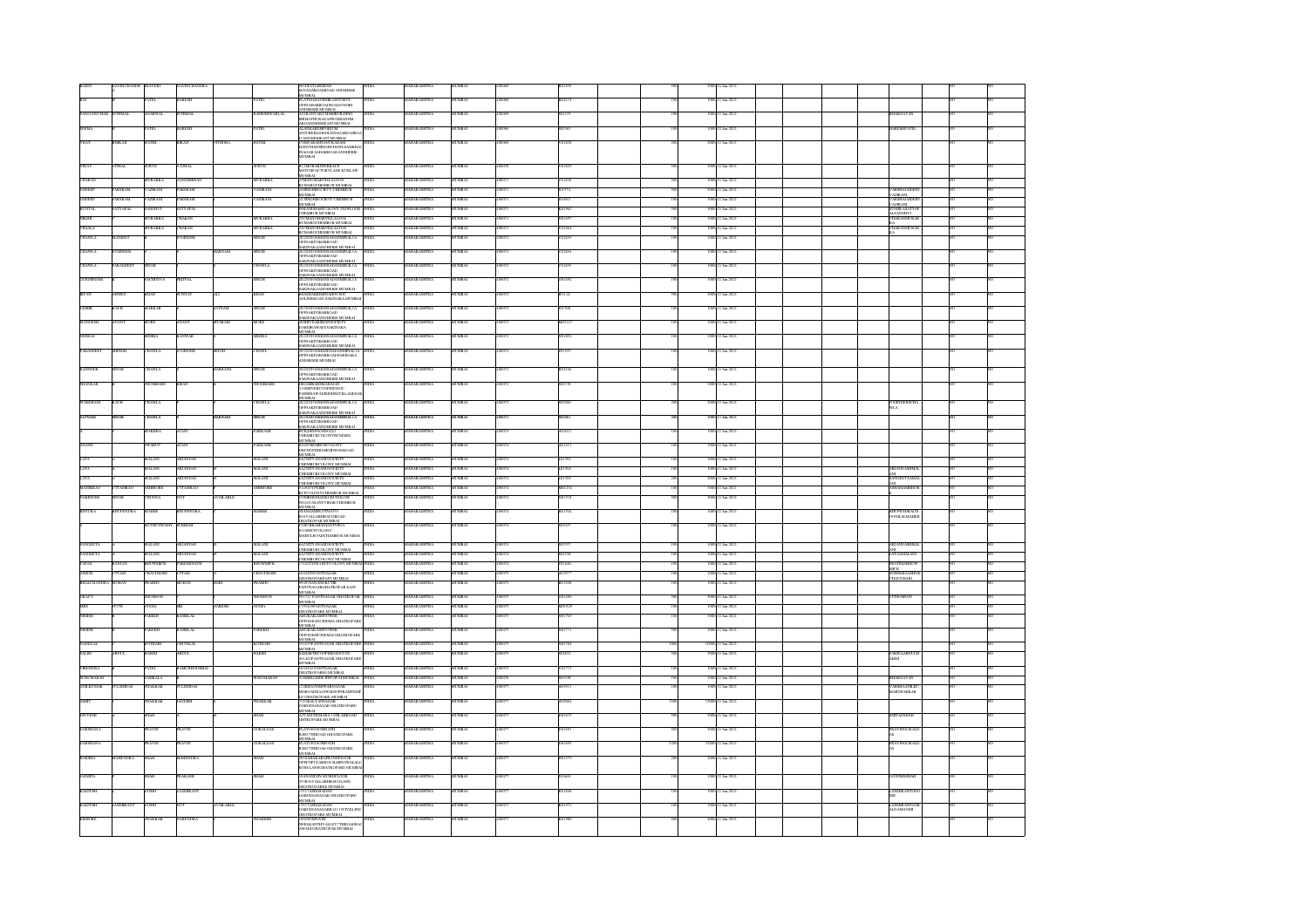|                  | <b>INCHAND</b> | AVERI          | <b>VINCHANDR</b>      |                |                       | ) IDEVDARSHAN<br>SNAGARDASROAD ANDHERIE                                                                                                                           |              | <b>HARASHTRA</b>        |                      |       |  |                                         |  |                                |  |  |
|------------------|----------------|----------------|-----------------------|----------------|-----------------------|-------------------------------------------------------------------------------------------------------------------------------------------------------------------|--------------|-------------------------|----------------------|-------|--|-----------------------------------------|--|--------------------------------|--|--|
|                  |                |                |                       |                |                       |                                                                                                                                                                   |              |                         |                      |       |  |                                         |  |                                |  |  |
|                  |                |                |                       |                |                       | <b>JUMBAI<br/>LATNO404URMILASOCIETY</b><br><b>JEFSAHARROADKOLDONGRI</b>                                                                                           |              |                         |                      |       |  |                                         |  |                                |  |  |
|                  |                |                |                       |                |                       | NTOHERIE MUMBAI<br>S2KANYAKUMARIBUILDING                                                                                                                          |              |                         |                      |       |  |                                         |  |                                |  |  |
| SANJAYKUMAR      | <b>THMAL</b>   | <b>JARWAL</b>  | <b>THMAI</b>          |                | <b>MESHWARLAL</b>     | <b>JRMATHURADASWASHANJIM</b>                                                                                                                                      |              | HARASHTRA               | <b>EUMBAI</b>        |       |  | $3$ lan- $2021$                         |  | <b>ARGAVAN</b>                 |  |  |
|                  |                |                |                       |                |                       | ARGANDHERIEAST MUMBAI<br>ALANKAREMPORIUM<br>ISDUBEBLDIGOLDNAGARDASRO                                                                                              |              |                         |                      |       |  |                                         |  |                                |  |  |
|                  |                |                |                       |                |                       |                                                                                                                                                                   |              |                         |                      |       |  |                                         |  |                                |  |  |
| <b>VIIAN</b>     |                |                |                       | mer            |                       | ANDHERIEAST MUMBAL<br>OSITARAMTANUKADAM                                                                                                                           |              |                         | <b>IMBAI</b>         |       |  |                                         |  |                                |  |  |
|                  |                |                |                       |                |                       | HANUMANSINGHCHAWLSAMBHA<br>NAGAR SAHARROADANDHERIE                                                                                                                |              |                         |                      |       |  |                                         |  |                                |  |  |
|                  |                |                |                       |                |                       | MUMBAI                                                                                                                                                            |              |                         |                      |       |  |                                         |  |                                |  |  |
| VINAY            | HAI            | RVE            | <b>THAL</b>           |                | RVE                   | I 2MORARITTERRACE<br>ATCHFACTORYLANE KURLAW                                                                                                                       |              | HARASHTRA               | MBAI                 |       |  | $an-202$                                |  |                                |  |  |
| CHARAN           |                | <b>MURARKA</b> | <b>MODLINGAN</b>      |                |                       | MBAI<br>MANOHARVILLA44540                                                                                                                                         |              | <b>HADACUTO</b>         |                      |       |  |                                         |  |                                |  |  |
|                  |                |                |                       |                | <b>URARKA</b>         | <b>CMARGCHEMBUR MUMBAL</b><br>4SINDHISOCIETY CHEMBUR                                                                                                              |              |                         | <b><i>EUMBAL</i></b> |       |  | J <sub>20</sub>                         |  |                                |  |  |
| <b>JADEEP</b>    |                | <b>ZIRANI</b>  | RSRAM                 |                | <b>AZIRANI</b>        |                                                                                                                                                                   |              | ARASHTR.                | <b>UMBAI</b>         |       |  | $\frac{1}{2}$<br>Im 202                 |  |                                |  |  |
| <b>JAIDEEP</b>   | ARSRAM         | <b>AZRANI</b>  | ARSRAM                |                | <b>AZIRANI</b>        | MUMBAI<br>24 SINDHISOCIETY CHEMBUR                                                                                                                                | <b>INDIA</b> | <b>AHARASHTR</b>        | <b>MUMBAI</b>        |       |  | -<br>-<br>Jan-2021<br>$\overline{1000}$ |  | AZIRANI<br>ARSHAJAIDEE         |  |  |
| KUNTAL           |                | mн             | <b>TYAPA</b>          |                |                       | <b>AUMBAI<br/>9KANDHARICOLONY 2NDFLOOI</b>                                                                                                                        |              |                         | <b>UMBAI</b>         |       |  | J <sub>20</sub>                         |  | AZIRANI<br>USHILASAT           |  |  |
| <b>NIKHIL</b>    |                | <b>JRARKA</b>  | 1503                  |                | <b>DARK</b>           |                                                                                                                                                                   |              |                         | <b>IMRA</b>          |       |  | J <sub>20</sub>                         |  | <b>ALSANGHVI</b><br>CHARANMURA |  |  |
| <b>VIMALA</b>    |                | <b>MURARKA</b> | <b>HARAN</b>          |                | <b><i>IURARKA</i></b> | <b>CMARGCHEMBUR MUMBA</b><br>3CMANOHARVILLA44546                                                                                                                  |              | <b>AHARASHTRA</b>       | <b>MUMBAI</b>        |       |  | $3 - \frac{1}{2}$<br>1000               |  | A<br>EARANMURAI                |  |  |
| <b>CHAWLA</b>    | ANJEET         |                | <b>GINDER</b>         |                | NGH                   | CMARGCHEMBUR MUMBAI<br>02203IOGMANSADANMINALIA                                                                                                                    | NDIA         | <b>AHARASHTRA</b>       | <b>EUMBAI</b>        | 149   |  |                                         |  |                                |  |  |
|                  |                |                |                       |                |                       | <b>JFFSAKIVIHARROAD</b>                                                                                                                                           |              |                         |                      |       |  |                                         |  |                                |  |  |
| <b>CHAWLA</b>    | INDER          |                |                       |                |                       | AFFSANAV HARRIGAD<br>SAKINAKAANDHERIE MUMBAL<br>VALIA                                                                                                             |              | <b>HARASHTRA</b>        | MBAI                 |       |  | J <sub>2021</sub>                       |  |                                |  |  |
|                  |                |                |                       |                |                       | <b>20220310GMANSADANMINALI</b><br>DEFSAKIVIHARROAD<br>SAKINAKAANDHERIE MUMBAI<br>10220410GMANSADANMINALI                                                          |              |                         |                      |       |  |                                         |  |                                |  |  |
| <b>CHAWLA</b>    | <b>AMJEET</b>  |                |                       |                | WL                    | <b>JFFSAKIVIHARROAD</b>                                                                                                                                           |              | <b>HARASHTR</b>         | <b>IMBAI</b>         |       |  | $tan-202$                               |  |                                |  |  |
|                  |                |                |                       |                |                       | AKINAKAANDHERIE MUMBAL<br>0220310GMANSADANMINALI A                                                                                                                |              |                         | <b>IMBAI</b>         |       |  |                                         |  |                                |  |  |
| GURMINDER        |                | CHDEVA         |                       |                |                       |                                                                                                                                                                   |              |                         |                      |       |  |                                         |  |                                |  |  |
|                  |                |                |                       |                |                       | OFFSAKIVIHARROAD<br>SAKINANDHERIE MUMBAL<br>SAKINAKAANDHERIE MUMBAL                                                                                               |              |                         |                      |       |  |                                         |  |                                |  |  |
|                  |                |                |                       |                |                       | BSASHAKRISHNAHOUSOC<br>AGLINKROAD SAKINAKA MUMBAI                                                                                                                 |              |                         |                      |       |  |                                         |  |                                |  |  |
| <b>JASBIR</b>    |                | <b>KKAR</b>    |                       |                |                       | 2203JOGMANSADANMINALIA                                                                                                                                            |              | <b>ARASHTR</b>          | <b>IMBAI</b>         |       |  | Im 202                                  |  |                                |  |  |
|                  |                |                |                       |                |                       | OFFSAKIVIHARROAD                                                                                                                                                  |              |                         |                      |       |  |                                         |  |                                |  |  |
| MANGESH          |                |                |                       |                |                       | SAKINAKAANDHERIE MUMBAJ<br>SAKINAKAANDHERIE MUMBAJ<br>DAREIRAWADI SAKINAKA                                                                                        |              |                         |                      |       |  | $tan-202$                               |  |                                |  |  |
| NEERAS           |                | HRJ            |                       |                |                       | MUMBAI<br>202203IOGMANSADANME<br>OFFSAKIVIHARROAD                                                                                                                 |              |                         | <b>MBA</b>           |       |  | $Jan-202$                               |  |                                |  |  |
|                  |                |                |                       |                |                       |                                                                                                                                                                   |              |                         |                      |       |  |                                         |  |                                |  |  |
| PARAMJEET        | vo.            | AWLA           | GINDER                |                | <b>IAWL</b>           | .<br>AKINAKAANDHERIE MUMBAL<br>03203JOGMANDSADANMINALIA                                                                                                           |              | <b>AHARASHTRA</b>       | <b>EUMBAI</b>        |       |  | 3-Jan-2021                              |  |                                |  |  |
|                  |                |                |                       |                |                       | OPPSAKIVIHARROADSAKINAKA<br>NDHERIE MUMBAI                                                                                                                        |              |                         |                      |       |  |                                         |  |                                |  |  |
| <b>AJINDES</b>   |                |                |                       |                |                       |                                                                                                                                                                   |              |                         | MB A                 |       |  |                                         |  |                                |  |  |
|                  |                |                |                       |                |                       | 202203IOGMANSADANMINALI<br>OFFSAKIVIHARROAD<br>SAKINAKAANDHERIE MUMBAI<br>DIGAMBARSMAHAJAN                                                                        |              |                         |                      |       |  |                                         |  |                                |  |  |
| <b>SHANKAR</b>   |                | MBARE          |                       |                | <b>DMBARE</b>         |                                                                                                                                                                   |              | <b>HARASHTRA</b>        | <b>IMBAI</b>         |       |  | Im 202                                  |  |                                |  |  |
|                  |                |                |                       |                |                       | 14SHIVERCOOPHSGSOC<br>ARIERAWADIMOHILIVILLAGESA                                                                                                                   |              |                         |                      |       |  |                                         |  |                                |  |  |
| <b>SUKHMANI</b>  |                |                |                       |                |                       |                                                                                                                                                                   |              | <b>AHARASHTRA</b>       |                      |       |  |                                         |  |                                |  |  |
|                  | <b>UR</b>      | HAWLA          |                       |                | HAWLA                 |                                                                                                                                                                   | <b>NDIA</b>  |                         | <b>JUMBAI</b>        |       |  | Man-2021                                |  | JOGINDERSCH.<br>WLA            |  |  |
| SATNAM           |                | WL             |                       |                |                       |                                                                                                                                                                   |              |                         | <b>MBA</b>           |       |  | $Jan-20$                                |  |                                |  |  |
|                  |                |                |                       |                |                       | <b>JFFSAKIVIHARROAD</b>                                                                                                                                           |              |                         |                      |       |  |                                         |  |                                |  |  |
|                  |                | <b>AKHIJA</b>  | 'AM                   |                | <b>ARKASH</b>         | <b>SAKINAKAANDHERIE MUMBA<br/>BUILDINFNOSNO262</b>                                                                                                                |              | <b>AHARASHTRA</b>       | <b>EUMBAI</b>        |       |  |                                         |  |                                |  |  |
|                  |                |                |                       |                |                       | <b>HEMBURCOLONYRCMARG</b>                                                                                                                                         |              |                         |                      |       |  |                                         |  |                                |  |  |
| ANAND            |                | ARUF           |                       |                | RKAS                  | MUMBAL<br>SOCCHEMBURCOLONY<br>DRCHOTHRAMGIDWANROAD                                                                                                                |              |                         | MBA                  |       |  | J <sub>20</sub> 202                     |  |                                |  |  |
| <b>LATA</b>      |                | <b>MALANI</b>  | RIANDAS               |                | <b>HALANI</b>         | 4UMBAI<br>A2NITYANANDSOCIETY                                                                                                                                      | <b>STYLE</b> | <b>AHARASHTRA</b>       | <b>MEMRAL</b>        |       |  | -Jan-2021                               |  |                                |  |  |
| LATA             |                | EALANI         | <b>UANDAS</b>         |                | <b>HALANI</b>         | 6A2NITYANANDSOCIETY<br>CHEMBURCOLONY MUMBAI<br>GA2NITYANANDSOCIETY<br>CHEMBURCOLONY MUMBAI<br>GA2NITYANANDSOCIETY<br>CHEMBURCOLONY MUMBAI<br>CHEMBURCOLONY MUMBAI | <b>INDIA</b> | <b>AHARASHTR</b>        | <b>JUMBAI</b>        | H304  |  | 3-Jan-2021                              |  | ARJANDAS                       |  |  |
|                  |                |                |                       |                |                       |                                                                                                                                                                   |              |                         |                      |       |  | $m-202$                                 |  |                                |  |  |
| LATA             |                | LW             |                       |                | alan                  |                                                                                                                                                                   | DИ           |                         | <b>UMBAI</b>         |       |  |                                         |  | .<br>NGEETA                    |  |  |
| <b>MANIKRAC</b>  |                |                | .<br>Mrac             |                | HORI                  | 1494 I FEBRO<br>(CFCOLONYCHEMBUR MUMBAI<br>YOMBRIGMANNT DUNGLOW                                                                                                   |              |                         | MBAI                 |       |  |                                         |  |                                |  |  |
| NARINDER         |                | m              |                       | All ARI        |                       | <b>JO24VASANTVIHAR CHEMBUR</b>                                                                                                                                    |              | HARASHTR                | <b>IMRAI</b>         |       |  |                                         |  |                                |  |  |
|                  |                |                |                       |                |                       | <b>IUMBAI<br/>SANGAMPLOTNO353</b>                                                                                                                                 |              |                         |                      |       |  |                                         |  |                                |  |  |
| <b>RENUKA</b>    | <b>PENDRA</b>  | HES            | UPENDRA               |                | VHER                  | 316VALLABHBAUGROAD                                                                                                                                                |              |                         | <b>IMBAI</b>         |       |  | Jan(202)                                |  | BHUPENDRACH<br>OONILALMAHER    |  |  |
|                  |                |                |                       |                |                       | <b>JHATKOPAR MUMBAI<br/>COSUBRAMANIANTYPEA</b>                                                                                                                    |              |                         |                      |       |  |                                         |  |                                |  |  |
|                  |                |                |                       |                |                       | <b>USER REGIONAL TILES</b><br>I HORICFCOLONY<br>IAHULROADCHAMBUR MUMBAI                                                                                           |              |                         |                      |       |  |                                         |  |                                |  |  |
|                  |                |                |                       |                |                       |                                                                                                                                                                   |              |                         |                      |       |  |                                         |  |                                |  |  |
| SANGEETA         |                | <b>MANI</b>    | JANDAS                |                | <b>IALANI</b>         | A2NITYANANDSOCIETY                                                                                                                                                | NDIA         | HARASHIRA               | <b>IUMBAI</b>        |       |  | $-3m-202$                               |  | ARJANDAS                       |  |  |
| <b>SANGEETA</b>  |                | <b>EALANI</b>  | <b>JANDAS</b>         |                | <b>HALANI</b>         | STEMBURGOLONY MUMBAL<br>CHEMBURGOLONY MUMBAL<br>CHEMBURGOLONY MUMBAL<br>17102TYPE4 RCFCOLONY MUM                                                                  | <b>INDIA</b> | <b><i>HARASHTRA</i></b> | <b>JUMBAI</b>        | 12558 |  | 3-Jan-2021                              |  | ANI<br>LATAAMALAN              |  |  |
| <b>TAPAS</b>     |                | жмек           | ESHNATH               |                | OWMICK                |                                                                                                                                                                   | NDIA         | <b>ARASHTR</b>          | <b>IMBAI</b>         | 040   |  | J <sub>2021</sub>                       |  | <b>FRATIMABI</b>               |  |  |
| ASHOK            |                |                |                       |                |                       |                                                                                                                                                                   |              |                         | 101                  |       |  |                                         |  | <b>EXHAA</b>                   |  |  |
| BHALCHANI        |                | ARH            |                       |                |                       | <b>GHATKOPAREAST MUMBAL</b>                                                                                                                                       |              | <b>JARASHTR.</b>        | <b>IMRA</b>          |       |  |                                         |  | HAUDHARI                       |  |  |
|                  |                |                |                       |                |                       | PANTNAGARGHATKOPAR EAST                                                                                                                                           |              |                         |                      |       |  |                                         |  |                                |  |  |
| GRACY            |                | HOMSON         |                       |                | HOMSON                | MUMBAI<br>591747 PANTNAGAR GHATKOPAR   INDIA                                                                                                                      |              | <b>HARASHTRA</b>        | <b>JUMBAI</b>        | 140   |  | -<br>Ian-2021<br>3000                   |  | THOMSON                        |  |  |
|                  |                |                |                       |                |                       | <b>JUMBAL</b>                                                                                                                                                     |              |                         | <b>MRA</b>           |       |  |                                         |  |                                |  |  |
| enarcu           |                | $n_{\rm F}$    |                       |                |                       | <b>GHATKOPARE MUMBAI</b><br>**02KAILASHTOWER                                                                                                                      |              |                         | 13.02x               |       |  | $3\,\mathrm{J}$ an- $202$               |  |                                |  |  |
|                  |                |                |                       |                |                       | ARGENALASHI OWER<br>OPPODEANCINEMA GHATKOPARE<br>MUMBAI                                                                                                           |              |                         |                      |       |  |                                         |  |                                |  |  |
| <b>NIMISH</b>    |                | AREKH          | <b>SIKLAL</b>         |                | AREKH                 | MUMBAI<br>A602KAILASHTOWER<br>OPPODEMCINEMAI GHATKOPARE                                                                                                           |              | <b><i>HARASHTRA</i></b> | UMBAI                |       |  | -Jan-2021                               |  |                                |  |  |
|                  |                |                |                       |                |                       |                                                                                                                                                                   |              |                         |                      |       |  |                                         |  |                                |  |  |
| NANDLAL          |                |                | NLA                   |                |                       | <b>FPODEMARY<br/>ANNE ANNE CHATKOPARE<br/>SIMBAI<br/>SAMARTHCOOPHSOSOCLTD<br/>PI462PANTNAGAR GHATKOPARE</b>                                                       |              |                         |                      |       |  |                                         |  |                                |  |  |
| SALIM            |                |                |                       |                |                       |                                                                                                                                                                   |              |                         | MBA                  |       |  |                                         |  | ∙ARID<br>WDA                   |  |  |
| VIRENDRA         |                |                |                       |                |                       | 9140<br>  GUMBAI<br>! 634542 PANTNAGAR                                                                                                                            |              |                         | UMBAI                |       |  |                                         |  |                                |  |  |
|                  |                | <b>ATEL</b>    | <b>MCHHODBH</b>       |                |                       | <b>GHATKOPAREO MUMBAI<br/>4188HILLSIDE IITPOWAI MUMBA</b>                                                                                                         |              |                         |                      |       |  | J <sub>20</sub> 202                     |  |                                |  |  |
| <b>SUKUMARAN</b> |                | <b>SIKALA</b>  |                       |                | UKUMARAN              |                                                                                                                                                                   |              |                         | <b>UMBAI</b>         |       |  | J <sub>202</sub>                        |  |                                |  |  |
| <b>ANILKUMAS</b> |                | <b>AKKA</b>    |                       |                |                       |                                                                                                                                                                   |              |                         |                      |       |  |                                         |  | ARSHAANILK<br>IARTHAKKAR       |  |  |
| ASHIT            |                | <b>AKKAR</b>   | ans                   |                | 4 A K K A K           | 122BHAVESHWARNAGAR<br>MGROADRAJAWADIOPPRAMTEMP<br>LE GHATKOPARE MUMBAI<br>7152KALYANSAGAR                                                                         |              | <b>HARASHTR.</b>        | <b>ALIMRAL</b>       |       |  | $302 - 202$                             |  |                                |  |  |
|                  |                |                |                       |                |                       | 132KALI ANSAUM.<br>IARODIANAGAR GHATKOPARE                                                                                                                        |              |                         |                      |       |  |                                         |  |                                |  |  |
| DIVYESH          |                | HA             |                       |                | AH                    | MUMBAI<br>MUMBAI<br>A2VASUNDHARA 14TEAKROAD<br>GHTKOPARE MUMBAI                                                                                                   |              | <b><i>HARASHTRA</i></b> | UMBAI                |       |  | Man-2021                                |  | <b>MITADSHAH</b>               |  |  |
|                  |                |                |                       |                |                       |                                                                                                                                                                   |              |                         |                      |       |  |                                         |  |                                |  |  |
| DARSHANA         |                | AVIN           |                       |                | KALDAS                | LAT1001SOMNATH<br>12B57THROAD GHATKOPARE                                                                                                                          |              |                         | MBAI                 |       |  | $an-202$                                |  |                                |  |  |
|                  |                |                |                       |                |                       |                                                                                                                                                                   |              |                         |                      |       |  |                                         |  |                                |  |  |
| DARSHANA         |                | AVIN           | $\overline{\text{v}}$ |                | KALDAS                | <b>JIMBAI</b><br># AT1001SOMNATH<br>R2B57THROAD GHATKOPARE                                                                                                        |              | <b>JARASHTRA</b>        | UMBAI                |       |  |                                         |  | <b>AVINGOR'S</b>               |  |  |
| HARSHA           |                |                |                       |                |                       |                                                                                                                                                                   |              |                         | MB A                 |       |  |                                         |  |                                |  |  |
|                  |                |                |                       |                |                       | MUMBAL<br>2018AHAKARAPR2NDFLOOR<br>OPPPOPULARHOTALHINGWALALC<br>ROSS LANEGHATKOPARE MUMBA                                                                         |              |                         |                      |       |  |                                         |  |                                |  |  |
|                  |                |                |                       |                |                       |                                                                                                                                                                   |              |                         |                      |       |  |                                         |  |                                |  |  |
| <b>JASMITA</b>   |                |                | <b>AKASH</b>          |                |                       | AN ANDIIV AN WORLOOP<br>53B36VALLABHBAUGLANE                                                                                                                      |              | <b>JARASHTRA</b>        | <b>IMRAI</b>         |       |  | $tan-202$                               |  |                                |  |  |
| KALPESH          |                | OSHI           | <b>XMIKANT</b>        |                |                       | HATKOPAREE MUMBAL.<br>3117ASHASADAN                                                                                                                               |              |                         | UMBAI                |       |  | 3-Jan-2021                              |  |                                |  |  |
|                  |                |                |                       |                |                       | ARODIANAGAR GHATKOPARE                                                                                                                                            |              | <b>AHARASHTRA</b>       |                      |       |  |                                         |  | AXMIKANTO<br>Ш                 |  |  |
| KALPESH          |                |                |                       | <b>AILABLE</b> |                       | MUMBAI<br>SADAN<br>NAGARR14113CIVILLINE                                                                                                                           |              | ARASHTRA                | MBAI                 |       |  | Jan-2021                                |  | AXMIKANTO<br>LDASDOSHI         |  |  |
|                  |                |                |                       |                |                       |                                                                                                                                                                   |              |                         |                      |       |  |                                         |  |                                |  |  |
|                  |                |                |                       |                |                       | <b>STEZANDA</b><br>ARODEAN                                                                                                                                        |              |                         |                      |       |  |                                         |  |                                |  |  |
| <b>KISHORE</b>   |                | <b>HAKKAR</b>  | RENDRA                |                | <b>IAKKER</b>         |                                                                                                                                                                   |              | HARASHTRA               | <b>UMBA</b>          |       |  | Im 202                                  |  |                                |  |  |
|                  |                |                |                       |                |                       | NEELKANTHVALLEY7THROADRAL<br>AWADI GHATKOPAR MUMBAI                                                                                                               |              |                         |                      |       |  |                                         |  |                                |  |  |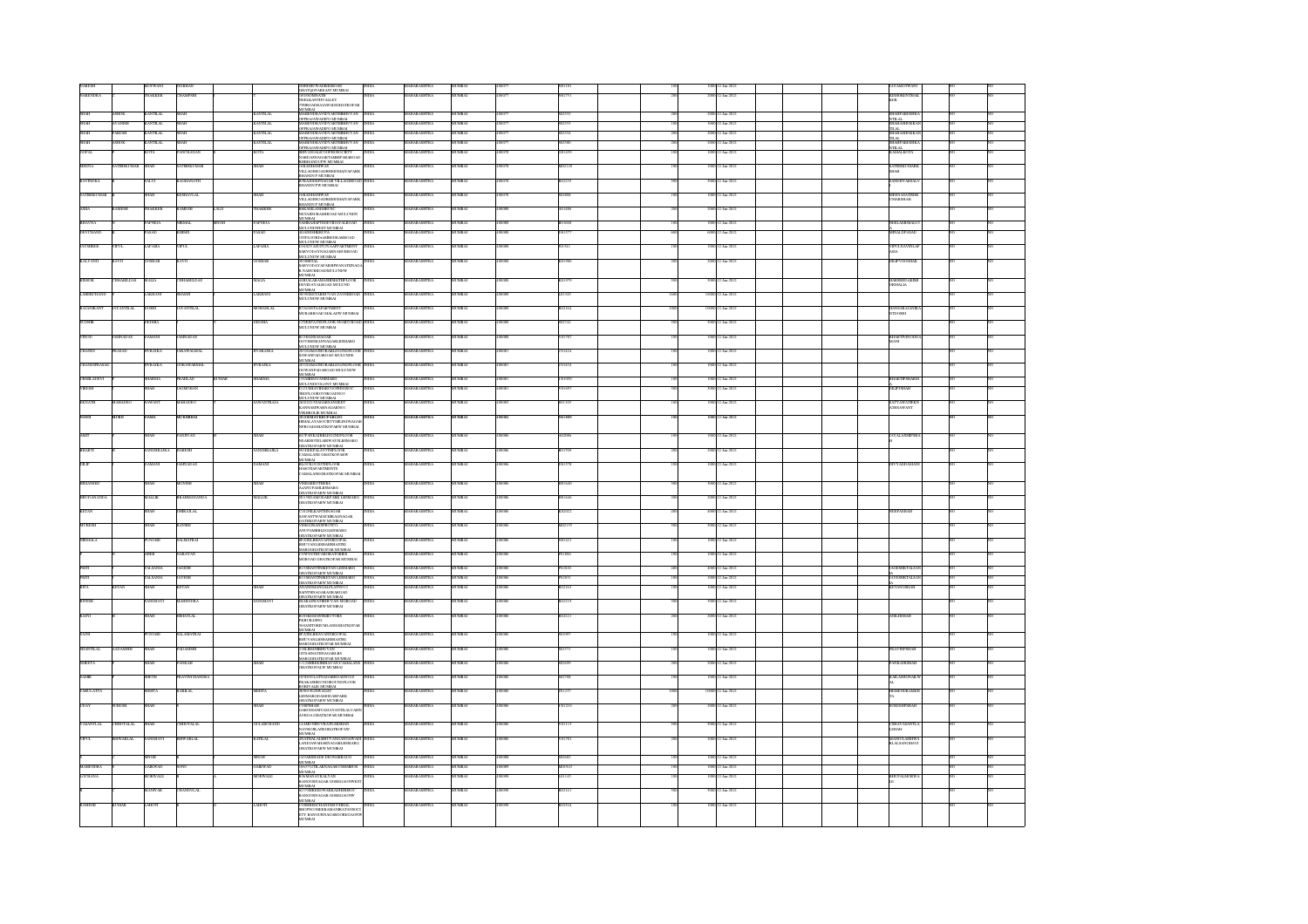|                   |                | TWANT           |                      |                 | SSINDHUWADIMGROAD                                                                                                                                                                                                   |                         | <b>MRAI</b>               |      |             |  |     |                       |  |                                |  |
|-------------------|----------------|-----------------|----------------------|-----------------|---------------------------------------------------------------------------------------------------------------------------------------------------------------------------------------------------------------------|-------------------------|---------------------------|------|-------------|--|-----|-----------------------|--|--------------------------------|--|
|                   |                |                 |                      |                 | GHATQOPAREAST MUMBAI<br>IOBSSOMNATH<br>NEELKANTHVALLEY<br>THROADRAIAWADIGHATKOPAR<br>THROADRAIAWADIGHATKOPAR                                                                                                        |                         |                           |      |             |  |     |                       |  |                                |  |
|                   |                |                 |                      |                 |                                                                                                                                                                                                                     |                         |                           |      |             |  |     |                       |  | <b>KER</b>                     |  |
|                   |                | <b>STILAL</b>   |                      | NTILA           |                                                                                                                                                                                                                     |                         | MBA                       |      |             |  |     |                       |  | SHAHP.<br>NTILAL               |  |
|                   |                |                 |                      | <b>NTILA</b>    | AUMBAI<br>MAHENDRAVIDYARTHIBHUVAN<br>OPPRAJAWADIPO MUMBAI<br>MAHENDRAVIDYARTHIBHUVAN                                                                                                                                |                         | MBA                       |      |             |  |     |                       |  |                                |  |
|                   |                | NTILAL          |                      | <b>GNTILAL</b>  | MAHENASAYIMALARI<br>ƏPPRALAWADIPO MUMBAI<br>MAHENDRAVIDYARTHIBHUVAN                                                                                                                                                 |                         | <b>IMBAI</b>              |      |             |  |     | $tan-202$             |  | Show<br>TILAL<br>SHASHOKE      |  |
| нлн               | нок            | WILAL           |                      | <b>ANTILAL</b>  | OPPRAJAWADIPO MUMBAI<br>MAHENDRAVIDYARTHIBHUVAN<br>NDIA                                                                                                                                                             | <b><i>HARASHTRA</i></b> | <b>JUMBAI</b>             |      |             |  |     | $3m-202$              |  | TILAL<br>SHAHPARESHB<br>NTILAL |  |
|                   |                |                 |                      |                 | OPPRAJAWADIPO MUMBAI<br>SHIVANJALICOOPHOSOCIETY<br><b>VARDASNAGARTAMBIPARAROAD</b>                                                                                                                                  |                         | $\overline{\mathbf{M}}$ R |      |             |  |     |                       |  | IALKOT                         |  |
|                   |                |                 |                      |                 | HBHANDUPW MUMBAI                                                                                                                                                                                                    |                         | MBA                       |      |             |  |     |                       |  |                                |  |
|                   |                |                 |                      |                 | 16RADHANIWAS<br>VILLAGEROADBHMOMAIYAPARK                                                                                                                                                                            |                         |                           |      |             |  |     |                       |  | SATISH<br>SHAH                 |  |
| RAVINDRA          |                | <b>TVI</b>      | HANATH               |                 | HANDUP MUMBAI<br>17RAIDEEPNAGAR VILLAGEROAD<br>HANDUPW MUMBAL                                                                                                                                                       | <b>ARASHTRA</b>         | <b>UMBAI</b>              |      |             |  | sam | $\frac{1}{2}$ an-2021 |  | ANDHYARS/                      |  |
| TISHKUMA          |                |                 | HAVLAI               |                 | <b>6RADHANIWAS</b>                                                                                                                                                                                                  | <b>HARASHTR</b>         | MBAI                      |      |             |  |     | J <sub>202</sub>      |  | MEENASATE                      |  |
|                   |                |                 |                      |                 | VILLAGEROADBHMOMAIYAPARK                                                                                                                                                                                            |                         |                           |      |             |  |     |                       |  | <b>UMARSHAH</b>                |  |
|                   |                | wkei            |                      | AKKEE           | HANDUP MUMBAI<br>BHANDUP MUMBAI<br>BEANDUP MUMBAI<br>NETAIISUBASHROAD MULUNDN<br>MUMBAI<br>SAMBAIIAPTSDEVIDAYALROAD                                                                                                 |                         | MBAI                      |      |             |  |     | $tan-2021$            |  |                                |  |
|                   |                |                 |                      |                 |                                                                                                                                                                                                                     |                         | MBA                       |      |             |  |     |                       |  | EELAMDB/                       |  |
| EVCHANI           |                |                 |                      | SAD             | MULUNDWEST MUMBAL<br>4GANESHKRUPA<br>1STFLOORD: AMBEDKARROAD                                                                                                                                                        | <b><i>HARASHTR</i></b>  | UMBAI                     |      |             |  |     | $Jan-202$             |  | NALDPAS/                       |  |
| YSHREE            |                | APASIA          |                      | APASU           |                                                                                                                                                                                                                     | <b>AHARASHTRA</b>       | <b>UMBAI</b>              |      |             |  |     |                       |  |                                |  |
|                   |                |                 | PUL                  |                 | MULUNDW MUMBAI<br>D3402VASUPUJYAAPPARTMENT<br>SARVODAYNAGARNAHURROAD<br>MULUNDW MUMBAI<br>J03SHITAL<br>J03SHITAL                                                                                                    |                         |                           |      |             |  |     | J <sub>202</sub>      |  | VIPULNAVINL<br>ASIA            |  |
| KALYANJI          |                |                 |                      |                 | www.www.<br>KARVODAYAPARSHWANATHNAC                                                                                                                                                                                 | <b>HARASHTRA</b>        | <b>IMRAI</b>              |      |             |  |     | Im 202                |  | <b>DI PVGOS</b>                |  |
|                   |                |                 |                      |                 | NAHURROADMULUNDW                                                                                                                                                                                                    |                         |                           |      |             |  |     |                       |  |                                |  |
| <b>ISHOR</b>      | <b>ABILDAS</b> | <b>MIA</b>      | <b>HABELDA</b>       | <b>MIA</b>      | DEVIDAYALROAD MULUND                                                                                                                                                                                                | <b>ARASHTRA</b>         | <b>IMBAI</b>              |      |             |  |     | $tan-202$             |  | <b>JARSHEDAKI</b><br>ORMALIA   |  |
| HERCHANI          |                |                 |                      |                 | MUMBAI<br>3839GEETABHUVAN ZAVERRO<br>MULUNDW MUMBAI                                                                                                                                                                 | <b>HARASHTR</b>         | MBAI                      |      |             |  |     | J <sub>202</sub>      |  |                                |  |
|                   |                |                 |                      |                 |                                                                                                                                                                                                                     |                         |                           |      |             |  |     |                       |  |                                |  |
| JANIKAN           | NTILA          |                 | <b>ANTEAL</b>        | HANLAI          | <b>TAJANTAAPARTMENT</b><br>MURARROAD MALADW MUMBAI                                                                                                                                                                  | SHTR.                   | <b>MRA</b>                |      |             |  |     |                       |  | NTDOSHI                        |  |
| <b>UDHIR</b>      |                | <b>EDHIA</b>    |                      | <b>DHIZ</b>     | 2NEEPA2NDFLOOR SNAI                                                                                                                                                                                                 | <b>ARASHTR.</b>         | <b>IMBAI</b>              |      |             |  |     | $an-202$              |  |                                |  |
|                   |                |                 |                      |                 | MULUNDW MUMBAL                                                                                                                                                                                                      |                         |                           |      |             |  |     |                       |  |                                |  |
| <b>INOD</b>       |                |                 | <b><i>ENADAS</i></b> |                 | 31 SHANSASAGAR<br>GOVERDHANNAGARLBSMARG                                                                                                                                                                             | <b>HARASHTRA</b>        | UMBAI                     |      |             |  |     | J <sub>20</sub> 202   |  | BHARTIVIN<br>MANI              |  |
| CHANDI            | <b>TASES</b>   | <b>RAJKA</b>    | <b>RAWALMAL</b>      | <b>VARAJKA</b>  | RELINDW MUMBAI<br>13204MATHURABLDG2NDFLOO                                                                                                                                                                           | <b>HARASHTRA</b>        | <b>UMBAI</b>              |      | 1424        |  |     | $3m-202$              |  |                                |  |
| <b>THANTIPPAS</b> |                | <b>IVRAIKA</b>  | <b>ORAWARMA</b>      | <b>IVRAJKA</b>  | WANPADAROAD MULUNDE<br>AWANA<br>AUMBAI<br>03204MATHURABLDG2NDFLOOR                                                                                                                                                  | <b>AHARASHTRA</b>       | <b>IMRAI</b>              |      | 01434       |  |     | Im202                 |  |                                |  |
|                   |                |                 |                      |                 | GOWANPADAROAD MULUNDW                                                                                                                                                                                               |                         |                           |      |             |  |     |                       |  |                                |  |
| <b>URMILADEVI</b> |                | SHARMA          | RAHLAD               | SHARMA<br>UMAR  | NDIA                                                                                                                                                                                                                | <b>MAHARASHTRA</b>      | <b>MUMBAI</b>             |      | 01050       |  |     | 1000 12-Jan-2021      |  | BHARTIPSHAR                    |  |
|                   |                |                 |                      |                 |                                                                                                                                                                                                                     |                         |                           |      |             |  |     |                       |  |                                |  |
| EKNATH            |                |                 |                      | <b>VANTRAJA</b> | GOWARPADAROAD MULUNI<br>MULUNAPADAROAD MULUNI<br>MULUNDOLOOV MUMBAI<br>MULUNDOLOOV MUMBAI<br>DI 2USHAVIHAROODPHSGSO<br>MULUNDW MUMBAI<br>MULUNDW MUMBANGEET<br>MANAMWARNAGEET<br>KANNAMWARNAGEET<br>KANNAMWARNAGEET |                         | MBA                       |      |             |  |     | $an-202$              |  |                                |  |
|                   |                |                 |                      |                 | <b>TKHROLIE MUMBAL</b><br>02ODHAVKRUPABLDG                                                                                                                                                                          |                         |                           |      |             |  |     |                       |  | SATYAWATIEI<br>ATHSAWANT       |  |
| <b>ANII</b>       |                |                 | REBHAI               |                 | HMALAYASOCIETYMILINDNAGA                                                                                                                                                                                            | HARASHTR.               | <b>JUMBAI</b>             |      |             |  |     | J <sub>202</sub>      |  |                                |  |
|                   |                |                 |                      |                 | <b>FROADGHATKOPARW MUMBAL</b>                                                                                                                                                                                       |                         |                           |      |             |  |     |                       |  |                                |  |
|                   |                |                 |                      |                 | 847PANKAIBBLDG2NDFLOOR<br>NEARHOTELAIRWAYSLBSMARG<br>CHATKOPARW MUMBAI<br>501DEEPALAYSTHFLOOR                                                                                                                       | <b>AHARASHTRA</b>       | <b>UMBAI</b>              |      |             |  |     | $-1$ an-202           |  | <b>JAYALAXMI</b>               |  |
| <b>HARTI</b>      |                | <b>NGHRAJKA</b> | <b>ARESH</b>         | <b>NGHRAJKA</b> |                                                                                                                                                                                                                     | <b>HARASHTRA</b>        | <b>EUMBAI</b>             |      |             |  |     | 000 12-Jan-202        |  |                                |  |
|                   |                | MANI            | <b>MNADAS</b>        | MAN             | SOMMLANE GHATKOPARW<br>MÜMBAI<br>MÜMBAI<br>HASOTIAPARTMENTS                                                                                                                                                         | <b>AHARASHTRA</b>       | UMBAI                     |      | <b>NS78</b> |  |     | J <sub>202</sub>      |  | <b>YADDA</b>                   |  |
|                   |                |                 |                      |                 | AMALANEGHATKOPAR MUMBAI                                                                                                                                                                                             |                         |                           |      |             |  |     |                       |  |                                |  |
|                   |                |                 |                      |                 |                                                                                                                                                                                                                     | <b>HARASHTR</b>         | MBAI                      |      |             |  |     | $tan-2021$            |  |                                |  |
|                   |                |                 |                      |                 | .<br>ISHABROTHERS<br>IHATKOPARW MUMBAI<br>IHATKOPARW MUMBAI<br>SD150DAMODARPARK I                                                                                                                                   |                         |                           |      |             |  |     |                       |  |                                |  |
|                   |                | un              |                      | u i li          | GHATKOPARW MUMBAI                                                                                                                                                                                                   | ASHTRA                  | <b>IMRAI</b>              |      |             |  |     |                       |  |                                |  |
|                   |                |                 | RAILA                |                 | <b>ENLKANTHNAGAR</b>                                                                                                                                                                                                |                         | MBA                       |      |             |  |     |                       |  |                                |  |
|                   |                |                 |                      |                 | <b>AWANTWADICHIRAGNAGAR</b>                                                                                                                                                                                         |                         |                           |      |             |  |     |                       |  |                                |  |
| <b>KES</b>        |                |                 |                      |                 | SAWAN IWARCHIRRON<br>GATHKOPARW MUMBAI<br>VISHATRANSPROTCO<br>VISHATKOPARW MUMBAI<br>GHATKOPARW MUMBAI<br>SPATELBHAVANNRGOPAL                                                                                       | <b>HARASHTRA</b>        | UMBAI                     |      |             |  |     | J <sub>202</sub>      |  |                                |  |
| $\frac{1}{2}$     |                | .<br>Vlari      | <b>IMATRA</b>        |                 |                                                                                                                                                                                                                     | <b>HARASHTRA</b>        | <b>UMBAI</b>              |      |             |  |     | $Jan-202$             |  |                                |  |
|                   |                |                 |                      |                 | HUVANLBSHAHSHASTR<br><b>AARGGHATKOPAR MUMBA</b><br>TOWYETHCABORATORIES                                                                                                                                              |                         |                           |      |             |  |     |                       |  |                                |  |
|                   |                |                 | RAYA                 |                 | <b>MGROAD GHATKOPAR MUMBAL</b>                                                                                                                                                                                      |                         | UMB AI                    |      |             |  |     | Im 20                 |  |                                |  |
|                   |                | <b>ALSANIA</b>  | AGESH                |                 | <b>BISSHANTINIKETAN LBSMARG</b><br><b>INDIA</b>                                                                                                                                                                     | <b>IAHARASHTRA</b>      | <b>JUMBAI</b>             |      |             |  |     | 4000 12-Jan-2021      |  | <b>JAGESHKTALS</b>             |  |
|                   |                | SAND            |                      |                 | <b>GHATKOPARW MUMBAL<br/>BISSHANTINKETAN LBSM</b><br>GHATKOPARW MUMBAL<br>ANANDMANGALFLATNOI                                                                                                                        |                         |                           |      |             |  |     | $an-202$              |  |                                |  |
|                   |                |                 |                      |                 | ANTHNAGARAGRAROAD                                                                                                                                                                                                   |                         | MRAI                      |      |             |  |     |                       |  |                                |  |
|                   |                | <b>«GHAV</b>    | <b>ENDR</b>          |                 | <b>HATKOPARW MUMBAL</b><br>HATKOPARW MUMBAL<br>CANATIOHU VAN MUR                                                                                                                                                    | HARASHTRA               | <b>IMBAI</b>              |      |             |  |     | $an-202$              |  |                                |  |
|                   |                |                 |                      |                 | GHATKOPARW MUMBAL                                                                                                                                                                                                   |                         |                           |      |             |  |     |                       |  |                                |  |
|                   |                |                 | <b>IATLAL</b>        |                 | <b>BOOKEEDISTRIBUTORS<br/>PKBULDING<br/>36SANTORUMLANEGHATKOPAR</b>                                                                                                                                                 | <b>AHARASHTRA</b>       | <b>UMBAI</b>              |      |             |  |     | 2-Jan-2021            |  |                                |  |
|                   |                |                 |                      |                 |                                                                                                                                                                                                                     |                         |                           |      |             |  |     |                       |  |                                |  |
|                   |                |                 |                      |                 |                                                                                                                                                                                                                     |                         | <b>IMBA</b>               |      |             |  |     |                       |  |                                |  |
| <b>JANTILAL</b>   |                |                 |                      |                 | SONORINI<br>MUMBAI<br>MUMBAI<br>RATELBHAVANNRGOPAL<br>BHUVANLBSHAHSENSTRI<br>MARGGHATKOPAR MUMBAI<br>21SLIMANIBHUVAN<br>ISTSAINATHNAGARLES                                                                          | ARASHTRA                | <b>IMBAI</b>              |      |             |  |     | $tan-202$             |  |                                |  |
| MEETA             |                |                 |                      |                 |                                                                                                                                                                                                                     |                         |                           |      |             |  |     |                       |  |                                |  |
|                   |                |                 | (KAF                 |                 | MARGGHATKOPAR MUMBAL<br>1112SHREEJIBHAVAN CAMALANE<br>GHATKOPALW MUMBAL                                                                                                                                             | <b>HARASHTRA</b>        | MBAI                      |      |             |  |     | J <sub>20</sub> 202   |  | <b><i>INKAJRSI</i></b>         |  |
|                   |                |                 |                      |                 | IS3DOULATNAGARROADNO10<br>PRAKASHKUNIGROUNDFLOOR<br>BORIVALIE MUMBAI<br>3E901902SWAGAT                                                                                                                              |                         |                           |      |             |  |     |                       |  |                                |  |
| <b>TARULATTA</b>  |                | <b>EHTA</b>     | <b>ARILAL</b>        | <b>JEHTA</b>    |                                                                                                                                                                                                                     | <b><i>HARASHTRA</i></b> | <b>UMBAI</b>              |      |             |  |     | J <sub>20</sub> 202   |  | HEMENDRAM                      |  |
|                   |                |                 |                      |                 | <b>BSMARGDAMODARPARK</b>                                                                                                                                                                                            |                         |                           |      |             |  |     |                       |  |                                |  |
|                   | RESE           |                 |                      |                 | <b>HATKOPARW MUMBAL</b><br>COSPSHAH<br>LUSPSHAH<br>GARODIANIVASJAYANTILALVAIS)<br>AVROA GHATKOPAR MUMBAI                                                                                                            | <b>VHARASHTRA</b>       | UMBAI                     |      |             |  |     | J <sub>202</sub>      |  | URESHI                         |  |
|                   |                |                 |                      |                 |                                                                                                                                                                                                                     |                         |                           |      |             |  |     |                       |  |                                |  |
| SANTL             |                |                 | OTALA                |                 | 14AMUNISUVRATDARSHAN<br>NAVROJILANEGHATROPAW                                                                                                                                                                        |                         | MB.                       |      |             |  |     |                       |  | USHAV.<br>LSHAH                |  |
| лип               | LE 194         | <b>GTHAV</b>    | <b>WARLAL</b>        | <b>VIII.AL</b>  | UMBAI<br>GATHALALBHUVANGANGAWAI                                                                                                                                                                                     | ARASHTRA                | MBA                       |      |             |  |     | m, 202                |  | <b><i>EANJULAISHY</i></b>      |  |
|                   |                |                 |                      |                 | ANEJAWAHARNAGARLBSMARG<br>GHATKOPARW MUMBAI                                                                                                                                                                         |                         |                           |      |             |  |     |                       |  | <b>RLALSANGHAV</b>             |  |
|                   |                | SINGH           |                      | SINGH           | 40AKSHADE DEONARBAUG<br>NDIA                                                                                                                                                                                        | <b>ANARASHTRA</b>       | MUMBAI                    | 0088 | 02682       |  |     | 1000 12-Jan-2021      |  |                                |  |
|                   |                | <b>UKWAD</b>    |                      | <b>AIKWAD</b>   | AUMBAI<br>1063732TILAKNAGAR CHEMBUI                                                                                                                                                                                 |                         | MBAI                      |      |             |  |     | $tan-2021$            |  |                                |  |
|                   |                | RWALE           |                      | RWALE           | 106 <i>5 1 5 2</i> 1 11<br>MUMBAI<br>I36MANAVKALYAN<br>IANGURNAGAR GOREGAONWES'                                                                                                                                     |                         |                           |      |             |  |     | $n-202$               |  |                                |  |
|                   |                | NIYAR           | <b>JANDULAL</b>      |                 | <b>UMBAI</b><br>237SHREEDWARKADHISHSOC                                                                                                                                                                              | HARASHTRA               | <b>UMBAI</b>              |      | $^{2141}$   |  |     | $tan-202$             |  |                                |  |
|                   |                |                 |                      |                 | <b>JANGURNAGAR GOREGAONW</b>                                                                                                                                                                                        |                         |                           |      |             |  |     |                       |  |                                |  |
|                   |                | HOT             |                      | ноп             | MUMBAI<br>COSHREECHANDMUCHHAL                                                                                                                                                                                       | <b>AHARASHTRA</b>       | <b>DMBA</b>               |      |             |  |     |                       |  |                                |  |
|                   |                |                 |                      |                 | SHOPNO3HEERAMANIRATANSOCI<br>ETY BANGURNAGARGOREGAONW<br>UMBAI                                                                                                                                                      |                         |                           |      |             |  |     |                       |  |                                |  |
|                   |                |                 |                      |                 |                                                                                                                                                                                                                     |                         |                           |      |             |  |     |                       |  |                                |  |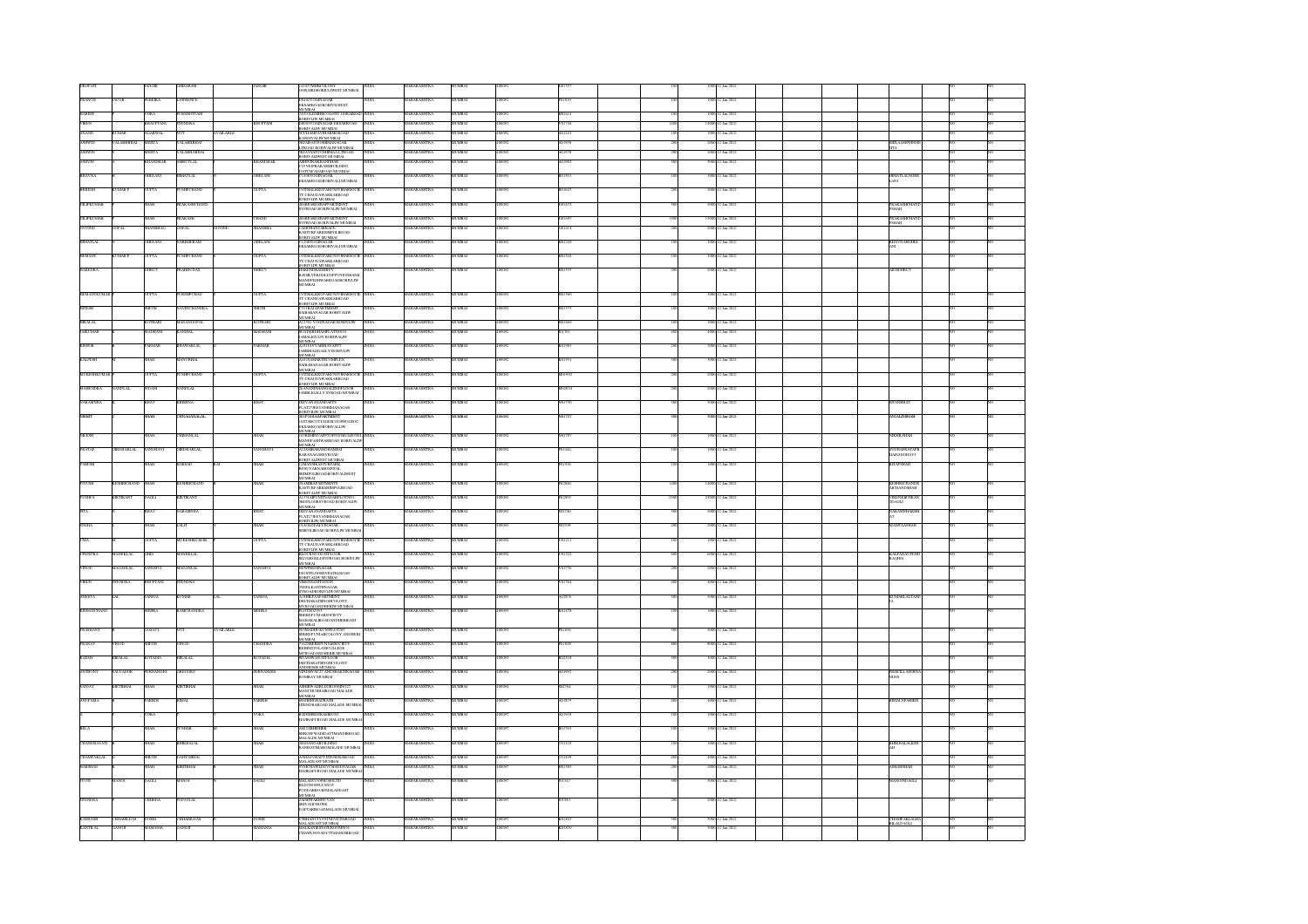|                    |                 |                 | <b>SARAM</b>      |                | 41057MHBCOLONY<br>KORAIRDBORIULIWEST MUMBAI                                                                                                                                  | <b>HARASHTR</b>         | MBA             |       |  |                         |                     |  |                            |  |
|--------------------|-----------------|-----------------|-------------------|----------------|------------------------------------------------------------------------------------------------------------------------------------------------------------------------------|-------------------------|-----------------|-------|--|-------------------------|---------------------|--|----------------------------|--|
|                    |                 |                 |                   |                | 402YOGINAGAR                                                                                                                                                                 |                         |                 |       |  |                         |                     |  |                            |  |
|                    |                 |                 |                   |                | <b>KSARROADBORIVILWEST</b>                                                                                                                                                   |                         |                 |       |  |                         |                     |  |                            |  |
| ARISH              |                 | <b>NDA</b>      | RSHOTTAM          |                | IUMBAI<br>#91OLDMHBCOLONY GORAIRI                                                                                                                                            | <b>ARASHTRA</b>         | <b>IMBAI</b>    |       |  |                         | $tan-202$           |  |                            |  |
|                    |                 | <b>IAUPTANI</b> | <b>TENDRA</b>     | HUPTANI        | BORIVLIW MUMBAI<br>DS003YOGINAGAR EKSARROAD                                                                                                                                  | <b>HARASHTRA</b>        | UMBAI           |       |  | 14000                   | $3m-202$            |  |                            |  |
|                    |                 | <b>TARWAL</b>   |                   | <b>ALABLE</b>  | IORIVALIW MUMBAI<br>CCHAMPAVIHARMGROAD<br>ANDIVALIW MUMBAL                                                                                                                   |                         | <b>IMRAI</b>    |       |  |                         | 1000 12-Jan-202     |  |                            |  |
|                    |                 | $\overline{u}$  |                   |                |                                                                                                                                                                              |                         | <b>MPA</b>      |       |  |                         | J <sub>20</sub>     |  |                            |  |
| <b>HWIN</b>        |                 | <b>JEHTA</b>    | <b>MABHABHAI</b>  |                | <b>INDIA</b>                                                                                                                                                                 | <b>ARASHTRA</b>         | <b>UMBAI</b>    | 1978  |  |                         | 2000 12-Jan-2021    |  |                            |  |
| <b>SHVIN</b>       |                 | <b>HANDHAR</b>  | <b>MRUTLAL</b>    | <b>ANDHAR</b>  | BORIVALIWEST MUMBAL<br>ASHIVINAKHANDHAR<br>DV<br>25YEJPRAKASHBUILDING                                                                                                        | <b>MARASHTRA</b>        | UMBAI           | 1982  |  | $\frac{5000}{2000}$     | 2-Jan-2021          |  |                            |  |
|                    |                 |                 |                   |                | DATTAPADAROAD MUMBAI<br>C1208YOGINAGAR<br>EKSARROADBORIVALI MUMBAI                                                                                                           |                         |                 |       |  |                         | $an-202$            |  |                            |  |
|                    |                 |                 |                   |                | <b>VITHALKRUPAKUNJVIHARSOCIE</b>                                                                                                                                             |                         |                 |       |  |                         |                     |  | HIMA<br>LANI               |  |
| RUESH              | <b>UMAR P</b>   | <b>JUPTA</b>    | <b>SHPCHAND</b>   | <b>KIPTA</b>   | IY CHAUDAWARKARROAD                                                                                                                                                          | <b><i>HARASHTRA</i></b> | <b>EUMBAI</b>   |       |  | 2000                    | 2-Jan-2021          |  |                            |  |
|                    |                 |                 |                   |                | SORIVLIW MUMBAI<br>104BPARESHAPPARTMENT<br>SVPROAD BORIWALIW MUMBAI                                                                                                          |                         |                 |       |  |                         |                     |  | PRAKASI<br>PSHAH           |  |
| DILIPKUMAR         |                 | <b>SHAH</b>     | RAKASH            | HAND           | <b>HBPARESHAPPARTMENT</b>                                                                                                                                                    | <b>AHARASHTRA</b>       | <b>UMBAI</b>    |       |  |                         | 15000 12-Jan-202    |  | PRAKASHCH                  |  |
| OVIND              | OPAL            | <b>NRHAG</b>    | DPAL              | IANBHA         | 404BPARESHAPPARTMENT<br>SVPROAD BORIVALIW MUMBAI<br>TAMOHANTARRACE<br>KASTURPARKSIMPOLIROAD                                                                                  | <b>HARASHTR</b>         | <b>IMBAI</b>    |       |  | $\overline{\text{max}}$ | J <sub>202</sub>    |  |                            |  |
|                    |                 |                 |                   |                |                                                                                                                                                                              |                         |                 |       |  |                         |                     |  |                            |  |
| άATLAI             |                 |                 | <b>EBHERAM</b>    |                | IORIVALIW MUMBAI<br>11208YOGINAGAR<br>KSARROADBORIVALI MUMBAI                                                                                                                |                         | <b>MRZ</b>      |       |  |                         |                     |  |                            |  |
| HEMANT             | MAR             | <b>UPTA</b>     | <b>HPCHANI</b>    | <b>TPTA</b>    | <b>VITHALKRUPAKUNJVIHARSOCI</b>                                                                                                                                              | <b>HARASHTRA</b>        | <b>IMRAI</b>    |       |  |                         |                     |  |                            |  |
|                    |                 |                 |                   |                | Y CHAUDAWARKARROAD                                                                                                                                                           |                         |                 |       |  |                         |                     |  |                            |  |
| <b>HAREDRA</b>     |                 |                 | ABHUDAS           |                |                                                                                                                                                                              | <b>MARASHTRA</b>        | <b>EUMBAI</b>   |       |  |                         | 2-Jan-2021          |  | RTIDHR                     |  |
|                    |                 |                 |                   |                | TY CHAUDAWARKARKOAD<br>BORIVLIW MUMBAI<br>HARENDRADHRUV<br>B40SILVERGOLDOPPUNIONBANK<br>MANDPESHWARROADBORIVLIW<br>MUMBAI                                                    |                         |                 |       |  |                         |                     |  |                            |  |
| HEMANTKUM          |                 | <b>GUPTA</b>    | RSHPCHAD          | <b>JUPTA</b>   | VITHALKRUPAKUNJVIHARSOCIE                                                                                                                                                    | <b>AHARASHTRA</b>       | <b>JUMBAI</b>   |       |  |                         | J <sub>20</sub> 202 |  |                            |  |
|                    |                 |                 |                   |                | IY CHANDAWARKARROAD                                                                                                                                                          |                         |                 |       |  |                         |                     |  |                            |  |
| TESH               |                 |                 | <b>INCHANDE</b>   | Ϲ              | BORIVLIW MUMBAI<br>C311RAJAPARTMEMT<br>SAIBABANAGAR BORIVALIW                                                                                                                | <b>HARASHTR</b>         | MBAI            |       |  |                         | $an-202$            |  |                            |  |
| HIRALAL            |                 | <b>TUAR</b>     | <b>ANGORAT</b>    | <b>THAR</b>    | IUMBAI<br>J12301 YOGINAGAR BORIVLIW                                                                                                                                          | <b>HARASHTR</b>         | <b>JUMBAI</b>   |       |  |                         | $Jan-202$           |  |                            |  |
| <b>JAIKUMAR</b>    |                 |                 |                   |                | A2200 -<br>AUMBAI<br>SUNDERDHAMFLATNO101                                                                                                                                     | ASHTR.                  | MBA             |       |  |                         | m, 202              |  |                            |  |
| <b>ISHOS</b>       |                 |                 |                   |                | MUMBAI<br>AIOLIAYVAIBHAVAPPT<br>JAMBHALIGALLY BORIVLIW                                                                                                                       |                         | MBA             |       |  |                         |                     |  |                            |  |
|                    |                 |                 |                   |                |                                                                                                                                                                              |                         |                 |       |  |                         |                     |  |                            |  |
| KALPESE            |                 |                 | NUBHA             |                | MOLOGONI<br>UMBAI<br>102SAMARTHCOMPLEX<br>SAIBABANAGAR BORIVALIW                                                                                                             | <b>ARASHTR.</b>         | UMBAI           |       |  |                         |                     |  |                            |  |
| <b>MUKESHKUMAR</b> |                 | <b>SUPTA</b>    | SHPCHAND          | <b>JUPTA</b>   | <b>AUMBAI<br/> VITHALKRUPAKUNJVIHARSOCIE</b><br>NDL                                                                                                                          | <b>AHARASHTRA</b>       | <b>IUMBAI</b>   | 11992 |  |                         | 2000 12-Jan-2021    |  |                            |  |
|                    |                 |                 |                   |                | TY CHAUDAWARKARROAD<br>BORIVLIW MUMBAI<br>26ANANDMANGALIINDFLOOR<br>JAMBLIGALLY SVROAD MUMBAI                                                                                |                         |                 |       |  |                         |                     |  |                            |  |
| <b>VHENDS</b>      |                 |                 |                   |                |                                                                                                                                                                              |                         |                 |       |  |                         |                     |  |                            |  |
| <b>NARASINHA</b>   |                 |                 | <b>ISHNA</b>      |                | <b>EEVANANANDAPTS</b>                                                                                                                                                        | <b><i>HARASHTRA</i></b> | <b>JUMBAI</b>   |       |  |                         | 5000 12-Jan-2021    |  |                            |  |
|                    |                 |                 |                   |                | FLAT27JEEVANBIMANAGAR                                                                                                                                                        | HARASHTRJ               | MB.             |       |  |                         |                     |  |                            |  |
|                    |                 |                 |                   |                | BORIVILIW MUMBAI<br>301POOJAAPARTMENT<br>10STARCOTTAGESCOOPHOGSOC<br>EKSARROADBORIVALLIW                                                                                     |                         |                 |       |  |                         |                     |  |                            |  |
| <b>NILESH</b>      |                 | <b>TAH</b>      | HMANLAL           |                | <b>UMBAI</b><br>)SBSMINUAPPTOPPGOKULHOTEL, I                                                                                                                                 | <b>AHARASHTRA</b>       | <b>JUMBAI</b>   |       |  |                         | 2-Jan-2021          |  | KHILSHAH                   |  |
|                    |                 |                 |                   |                | MANDPASHWARROAD BORIVALIW                                                                                                                                                    |                         |                 |       |  |                         |                     |  |                            |  |
| PRATAP             | <b>ZDHARLAL</b> | ANGHAVI         | DHARLAL           | NGHAVI         | SIANDEN<br>MIJMBAI<br>AU 28 ABANAGARSVROAD<br>BABANAGARSVROAD<br>BORIVALIWEST MUMBAI<br>I 4 MANSKASTURPARK                                                                   | <b><i>HARASHTRA</i></b> | UMBAI           |       |  |                         | J <sub>20</sub> 202 |  | SUDHAPRATA<br>HAISANGHAVI  |  |
| ARESE              |                 |                 |                   |                |                                                                                                                                                                              | <b>HARASHTRA</b>        | MRA             |       |  |                         |                     |  | <b>TAPSHAH</b>             |  |
|                    |                 |                 |                   |                | <b>BDSUVARNAHOSPITAL</b><br>BDSUVARNAHOSPITAL<br>SHIMPOLIROADBORIVALIWEST                                                                                                    |                         |                 |       |  |                         |                     |  |                            |  |
|                    |                 |                 |                   |                | AUMBAI<br>ISAMBUPARTMENTS                                                                                                                                                    |                         | <b>MBA</b>      |       |  |                         |                     |  | <b>SHRICHA</b>             |  |
|                    |                 |                 |                   |                | 2SAMBLAPARTMENTS<br>KASTURPARKSHIMPOLIROAD<br>BORIVALIW MUMBAL<br>AL33JAIPUNITNAGARPLOTNOL                                                                                   |                         |                 |       |  |                         |                     |  | <b>AICHANDSHAH</b>         |  |
| <b>SHPA</b>        |                 |                 |                   |                | REDELOORSVROAD BORIVALIW                                                                                                                                                     |                         | <b>MRAI</b>     |       |  |                         |                     |  | VIRENKIRTIK.<br>TDAGLI     |  |
|                    |                 |                 | RASINHA           |                | MUMBAI<br>MUMBAI<br>FENANANDAPTS<br>FLAT27JEEVANBIMANAGAR                                                                                                                    | <b>AHARASHTRA</b>       | <b>IUMBAI</b>   |       |  |                         | 3 <sub>202</sub>    |  | <b>NARASINHAR</b>          |  |
|                    |                 |                 |                   |                | BORIVILIW MUMBAI<br>19401 DDALVIN MUAR                                                                                                                                       |                         |                 |       |  |                         |                     |  |                            |  |
|                    |                 |                 |                   |                | <b>IMPOLIROAD BORIVLIW MUMBA</b>                                                                                                                                             |                         |                 |       |  |                         |                     |  |                            |  |
|                    |                 | UPTA            | <b>IKESHKUMAR</b> | <b>IPT</b>     | VITHALKRUPAKUNJVIHARSOCIE<br>IY CHAUDAWARKARROAD                                                                                                                             | <b>HARASHTRA</b>        | UMBAI           |       |  |                         | $tan-202$           |  |                            |  |
| <b>ENDR</b>        |                 |                 |                   |                | BORIVLIW MUMBAI<br>BLOCKNO181STFLOOR<br>SILVERGELDSVPROAD BORIVLIW                                                                                                           |                         |                 |       |  |                         |                     |  |                            |  |
|                    |                 |                 |                   |                |                                                                                                                                                                              |                         |                 |       |  |                         |                     |  | KALPANA<br>RAGHIA          |  |
| NOD                | <b>JANLAI</b>   |                 |                   |                | ÆMBAI<br>EWPREMNAGAR<br><b>DEISTELOORSVPATELROAD</b>                                                                                                                         |                         | <b>MRAI</b>     |       |  |                         |                     |  |                            |  |
| IREN               | <b>NDRA</b>     | <b>IUPTANI</b>  | <b>ENDRA</b>      |                |                                                                                                                                                                              | <b>AHARASHTRA</b>       | UMBAI           |       |  |                         | J <sub>202</sub>    |  |                            |  |
|                    |                 |                 |                   |                |                                                                                                                                                                              |                         | MRA             |       |  |                         |                     |  |                            |  |
| WEETA              |                 |                 |                   |                | DS ISTELOORSVPATIEROAD<br>BORIVALIW MUMBAI<br>VIRENSANITATION<br>VIRENSANITATION<br>SVROADBORIVLIW MUMBAI<br>ALSHILPAAPARTMENT<br>DRCHARATSINGHCOLONY<br>DRCHARATSINGHCOLONY |                         |                 |       |  |                         |                     |  | UMARLAL'                   |  |
| <b>SHANCH</b>      |                 |                 | <b>MCHANDR</b>    |                | <b>IVROADANDHERIW MUMBAL</b>                                                                                                                                                 |                         | MB <sub>2</sub> |       |  |                         |                     |  |                            |  |
|                    |                 |                 |                   |                | SHEREPUNJABSOCIETY<br>MAHAKALIROADANDHERIEAST                                                                                                                                |                         |                 |       |  |                         |                     |  |                            |  |
|                    |                 |                 |                   |                | NUMBAL<br>SOMADHUKUNIPLOT285<br>SHEREPUNJABCOLONY ANDHERI                                                                                                                    |                         |                 |       |  |                         |                     |  |                            |  |
| <b>RANAV</b>       |                 | <b>RTH</b>      | NOD               | <b>ANDRA</b>   | <b>UMBAI<br/>62SHEREPUNJABSOCIETY</b>                                                                                                                                        | <b><i>HARASHTRA</i></b> | <b>JUMBAI</b>   | 189   |  | 8000                    | J <sub>202</sub>    |  |                            |  |
|                    |                 |                 |                   |                | BEHINDTOLANICOLLEGE                                                                                                                                                          |                         |                 |       |  |                         |                     |  |                            |  |
| RAESH              | RALAL           | OTADIA          | RALAL             | <b>JIADIA</b>  | BEHINDTOLANICOLLEGE<br>SACROADANDHERE MUMBAI<br>STRAWARSISTELOOR<br>DRCHARATSINGHCOLONY<br>VINDHERIE MUMBAI<br>VINDHERIE MUMBAI<br>VINDHYAC27 ANUSIA<br>VINDHYAC27 ANUSIA    | HARASHTRA               | MBAI            |       |  |                         | $-3an-2021$         |  |                            |  |
| ANTHONY            | <b>ALVADOR</b>  | <b>RNANDES</b>  | EGORY             | <b>BNANDES</b> |                                                                                                                                                                              | <b>HARASHTRA</b>        | <b>IMRAI</b>    |       |  |                         | $Jan-202$           |  | PRISCILLAFER?<br>NDES      |  |
|                    |                 |                 |                   |                | OMBAY MUMBAI<br>SHIRWADBLDGROOMNO27                                                                                                                                          |                         |                 |       |  |                         |                     |  |                            |  |
| WJAY               | <b>TIBHA</b>    |                 | TIBHA             |                | MANCHUBHAIROAD MALADE                                                                                                                                                        | <b>HARASHTRA</b>        | UMBAI           |       |  |                         | J <sub>202</sub>    |  |                            |  |
| NUPAM              |                 |                 |                   | e ik'i         | MUMBAI<br>06JBINDRAPRATH<br>ITENDRAROAD MALADE MUMBAI                                                                                                                        |                         | <b>MRZ</b>      |       |  |                         |                     |  |                            |  |
|                    |                 | <b>RA</b>       |                   |                |                                                                                                                                                                              | <b>HARASHTRA</b>        | <b>IMBAI</b>    |       |  |                         | $tan-202$           |  |                            |  |
|                    |                 |                 |                   |                | B408SHREERAMKUNJ<br>HAJIBAPUROAD MALADE MUMBAI                                                                                                                               |                         |                 |       |  |                         |                     |  |                            |  |
|                    |                 |                 |                   |                | 902ABHISHEK<br>IROFFWADIDATTMANDIRROAD                                                                                                                                       |                         |                 |       |  |                         | $tan-202$           |  |                            |  |
| CHANDRAVA          |                 |                 | KHALAI            |                | MALALDE MUMBAI                                                                                                                                                               | <b>HARASHTRA</b>        | <b>MRAI</b>     |       |  |                         |                     |  | <b>CHALALKS</b>            |  |
|                    |                 |                 |                   |                | LANISATIMARGMALADE MUMBAI                                                                                                                                                    |                         |                 |       |  |                         |                     |  |                            |  |
| <b>CHAMPAKLAL</b>  |                 | SHETH           | <b>AHYABHAI</b>   |                | <b>A3MAYURAPT JITENDRAROAD</b><br><b>INDIA</b>                                                                                                                               | <b>ANHARASHTRA</b>      | <b>MUMBAI</b>   |       |  |                         | 4000 12-Jan-2021    |  |                            |  |
| HARSHA             |                 |                 |                   |                | MALADEAST MUMBAI<br>WMCHAWLDEVCHANDNAGAR<br>HAJIBAPUROAD MALADE MUMBA                                                                                                        |                         |                 |       |  |                         |                     |  |                            |  |
| vom.               |                 | ura t           | ano               | an i           | MALADCOOPHOSOLTD                                                                                                                                                             | <b>AHARASHTRA</b>       | <b>TIMBAI</b>   |       |  |                         | 9000 12-Jan-2021    |  |                            |  |
|                    |                 |                 |                   |                | BLDGNOSFLTANOS<br>PODDARROADMALADEAST                                                                                                                                        |                         |                 |       |  |                         |                     |  |                            |  |
| <b>TENDRA</b>      |                 |                 |                   |                | MUMBAI<br>LAISHWARBHUVAN<br>SHIVAIICHOWK<br>DAFTARIROADMALADE MUMBAI                                                                                                         |                         |                 |       |  |                         | $tan-202$           |  |                            |  |
|                    |                 |                 |                   |                |                                                                                                                                                                              |                         |                 |       |  |                         |                     |  |                            |  |
| KAMLESH            | HABILDAS        | nshi            | <b>HABILDAS</b>   |                | <b>HANUYOTI NEVETIAROAD</b>                                                                                                                                                  | <b><i>HARASHTRA</i></b> | UMBAI           |       |  |                         | Im 202              |  | MPAKLA<br><b>CHAMPAKLU</b> |  |
| KANTILAL           | ANGJ            | WANIA           | ANGJI             | AMANIA         | MALADEAST MUMBAI<br>MALKANIESTATEROOMNO6<br><b>SDL</b><br>CHAWLNOSADUTTMANDIRROAD                                                                                            | <b>AHARASHTRA</b>       | <b>JUMBAI</b>   |       |  |                         | $Jan-202$           |  |                            |  |
|                    |                 |                 |                   |                |                                                                                                                                                                              |                         |                 |       |  |                         |                     |  |                            |  |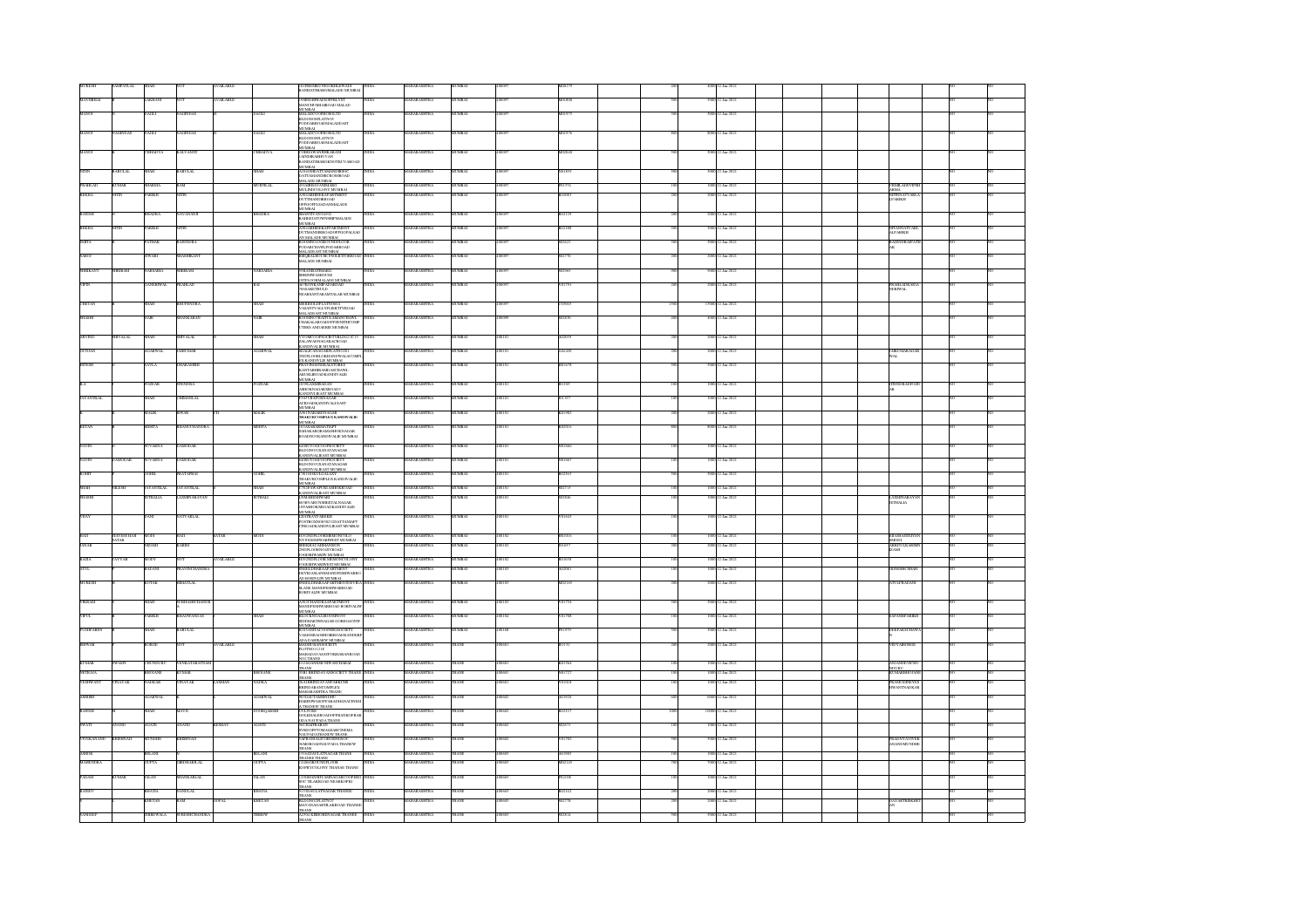| <b>MUKESE</b>              | <b>IPATE AI</b>                    |                         |                   | <b>MLABLE</b> |               | 01PREMKUNIGOKHLEWADI<br>!ANISATIMARGMALADE MUMBAI                                                                                                                                                |              | <b>HARASHTRA</b>   | <b>MRA</b>               |                  |      |                                       |  |  |                                     |  |
|----------------------------|------------------------------------|-------------------------|-------------------|---------------|---------------|--------------------------------------------------------------------------------------------------------------------------------------------------------------------------------------------------|--------------|--------------------|--------------------------|------------------|------|---------------------------------------|--|--|-------------------------------------|--|
|                            |                                    |                         |                   |               |               | 19SINDHIWADIOPPRLYST<br>MANCHUBHAIROAD MALAD                                                                                                                                                     |              |                    |                          |                  |      |                                       |  |  |                                     |  |
|                            |                                    |                         |                   |               | GЦ            |                                                                                                                                                                                                  |              |                    |                          |                  |      | $tan-202$                             |  |  |                                     |  |
|                            |                                    |                         |                   |               |               | MUMBAI<br>MALADCOOPHOSOLTD<br>BLDGNOSFLATNOS<br>PODDARROADMALADEAST                                                                                                                              |              |                    |                          |                  |      |                                       |  |  |                                     |  |
| MANOJ                      |                                    | кaт                     | <b>GINDA</b>      |               | юū            | MUMBAI<br>MALADCOOPHOSOLTD                                                                                                                                                                       |              | <b>HARASHTRA</b>   | UMBAI                    |                  |      | $-3m-202$                             |  |  |                                     |  |
|                            |                                    |                         |                   |               |               | BLDGNOSFLATNOS<br>PODDARROADMALADEAST                                                                                                                                                            |              |                    |                          |                  |      |                                       |  |  |                                     |  |
| MANOJ                      |                                    | <b>HADV</b>             | ALVANJIT          |               | <b>HHADVA</b> | MUMBAI<br>COBHAWANJHKARANI<br>LANDIRABHUVAN<br>RANISATIMARGKNOTKUVAROAD                                                                                                                          |              | <b>AHARASHTRA</b>  | <b>UMBAI</b>             |                  |      | 12-Jan-2021                           |  |  |                                     |  |
|                            |                                    |                         |                   |               |               | <b>LANSKA<br/>MUMBAI<br/>AUGHOMDATTAMANDIRSOC<br/>DATTAMANDIRCROSSROAD<br/>MALADE MUMBAI<br/>ISJAIBHAVANIMARG</b>                                                                                |              |                    |                          |                  |      |                                       |  |  |                                     |  |
| <b>PRAHLAD</b>             | KIMAR                              | <b>AMRA</b>             |                   |               | MERTILAL      |                                                                                                                                                                                                  | <b>CIVEA</b> | <b>MAHARASHTRA</b> | <b>ELMRAT</b>            | 1374             |      | 1000 12-5m2021                        |  |  | URMILADEVIP                         |  |
| REKHA                      |                                    | RIKH                    |                   |               |               | <b>MULINDCOLONY MUMBAL</b><br>A304ABHISEKAPARTMENT                                                                                                                                               |              | <b>AAHARASHTRA</b> | <b>UMBAI</b>             | na.              | 2000 | 2-Jan-2021                            |  |  | ARMA<br>NITINNATVARL                |  |
|                            |                                    |                         |                   |               |               | <b>UTTMANDIRROAD</b><br>JPPGOPPLSADANMALADE                                                                                                                                                      |              |                    |                          |                  |      |                                       |  |  | PARIKH                              |  |
| <b>RAJESH</b>              |                                    | <b>HADRA</b>            | VANANJI           |               | HADRA         | MUMBAL<br>SHANTIVANSAS02<br>RAHEEJATOWNSHIPMALADE                                                                                                                                                |              | <b>AAHARASHTRA</b> | UMBAI                    | 2129             | 2000 | 2-Jan-2021                            |  |  |                                     |  |
| REKHA                      |                                    |                         |                   |               |               | RATHEIGH<br>MUMBAL<br>MUMBAL<br>DUTMANDIRROADOPPGOPALSAD<br>AN MALADE MUMBAL<br>RODARCHAWLPODARROAD<br>PODARCHAWLPODARROAD<br>PODARCHAWLPODARROAD                                                |              |                    |                          |                  |      |                                       |  |  |                                     |  |
| <b>SMITA</b>               |                                    | ATHAK                   | JENDRA            |               |               |                                                                                                                                                                                                  |              | <b>AHARASHTRA</b>  | UMBAI                    |                  |      | J <sub>20</sub> 202                   |  |  | <b>LPARIKH</b><br><b>PAIENDRAIP</b> |  |
|                            |                                    |                         |                   |               |               |                                                                                                                                                                                                  |              |                    |                          |                  |      |                                       |  |  |                                     |  |
| SAROJ                      |                                    | a ari                   | <b>HIKAN</b>      |               |               | MALADEAST MUMBAI<br>BSIQBALHOUSE PSOLICITORROAL<br>MALADE MUMBAI                                                                                                                                 |              | <b>AHARASHTRA</b>  | UMBAI                    |                  |      | J <sub>202</sub>                      |  |  |                                     |  |
| <b>SHRIKANT</b>            |                                    | <b>RSARL</b>            |                   |               |               | SRANISATIMARG<br>HRINIWASHOUSE<br>STFLOORMALADE MUMBAI<br>67KONKANIPADAROAD                                                                                                                      |              | <b>SHTP</b>        | <b>UMBA</b>              |                  |      | J <sub>202</sub>                      |  |  |                                     |  |
| VIRN                       |                                    |                         |                   |               |               |                                                                                                                                                                                                  |              |                    |                          |                  |      |                                       |  |  | RAHLADR<br>ERIWAL                   |  |
|                            |                                    |                         |                   |               |               | 467KONKANIPADAROAD<br>706SAKETBULD<br>NEARSANTARAMTALAB MUMBAI                                                                                                                                   |              |                    |                          |                  |      |                                       |  |  |                                     |  |
| <b>CHETAN</b>              |                                    |                         | <b>UPENDRA</b>    |               |               | ERIGOLDFLATNO604<br>ASANTVALLYFLIMCITYROAD                                                                                                                                                       |              | <b>ANHARASHTRA</b> | <b>JUMBAI</b>            |                  |      | J <sub>202</sub>                      |  |  |                                     |  |
| <b>SHASHI</b>              |                                    |                         | ANKARAN           |               |               | AALADEAST MUMBAI<br>IOOMNO7BAITULAMANCHAWL                                                                                                                                                       |              | <b>ANARASHTRA</b>  | <b>IUMBAI</b>            | 2830             | 4000 | 12-Jan-2021                           |  |  |                                     |  |
|                            |                                    |                         |                   |               |               | CHAKALAROADOPPZENITHCOMP<br>UTERS ANDAERIE MUMBAI                                                                                                                                                |              |                    |                          |                  |      |                                       |  |  |                                     |  |
| ARVIND                     |                                    |                         |                   |               |               | VYOMCOOPSOCIETYBLDG21C13<br>ZALAWADNAGARACROAD<br>KANDIVALIE MUMBAI<br>6DALICANAGARELATNO201<br>2NDFLOORJOKHANDWALACOMP<br>EX KANDIVLIE MUMBAI<br>FRAVINGENIERATISTANI<br>KANTABHIRAMIASCHAWI    |              |                    |                          |                  |      |                                       |  |  |                                     |  |
| GUNJAN                     |                                    | <b>GARWAL</b>           | <b>IHUMAR</b>     |               | <b>ARWAL</b>  |                                                                                                                                                                                                  |              | <b>IAHARASHTRA</b> | UMBAI                    | $\overline{M48}$ |      | $Jan-202$                             |  |  | JAIKUMARAG.<br>WAL                  |  |
| <b>HITESH</b>              |                                    | VLA                     | ARAMSH            |               |               | <b>KANTABHIRAMDASCHAWL</b>                                                                                                                                                                       |              | <b>AHARASHTRA</b>  | UMBAI                    |                  |      | J <sub>202</sub>                      |  |  |                                     |  |
|                            |                                    |                         |                   |               |               | <b>AKURLIROADKANDIVALIE</b>                                                                                                                                                                      |              |                    |                          |                  |      |                                       |  |  |                                     |  |
|                            |                                    |                         |                   |               |               | <b>dimbal<br/>039LAXMISADAN<br/>SHOKNAGARXROAD3<br/>CANDIVLIEAST MUMBAL<br/>303VIJAPURNAGAR</b>                                                                                                  |              | <b>HARASHTRA</b>   | <b>UMBAI</b>             |                  |      |                                       |  |  | <b>TENDRAD</b>                      |  |
| <b>JAYANTILAI</b>          |                                    |                         | .<br>MANT AI      |               |               | ACROADK ANDIVALI EAST                                                                                                                                                                            |              | ARASHTRA           | <b>IMRAI</b>             |                  |      |                                       |  |  |                                     |  |
|                            |                                    | <b>IALIK</b>            | VAR               |               | <b>NK</b>     | <b>ILMBAL</b><br>361NABARDNAGAR<br>THAKURCOMPLEX KANDIVALIE                                                                                                                                      |              | <b>ANHARASHTRA</b> | <b>JUMBAI</b>            | 1987             |      | J <sub>202</sub>                      |  |  |                                     |  |
| KETAN                      |                                    | <b>EHTA</b>             | <b>JANUCHANDR</b> |               | EHTA          | <b>AUMBAI<br/>03ASABARMATIAPT</b>                                                                                                                                                                |              | <b>IAHARASHTRA</b> | <b>IUMBAI</b>            | 2016             | 8000 | 12-Jan-2021                           |  |  |                                     |  |
|                            |                                    |                         |                   |               |               | 103ASABARMATIAPT<br>SAHAKARGRAMASHOKNAGAR<br>ROADNO3KANDIVALIE MUMBAI                                                                                                                            |              |                    |                          |                  |      |                                       |  |  |                                     |  |
|                            |                                    | ARN.                    |                   |               |               | 40SUYOGCOOPSOCIETY<br>LDGNO32SANATANAGAR                                                                                                                                                         |              |                    |                          |                  |      |                                       |  |  |                                     |  |
| ∉AVIN                      | MODAR                              | VARNA                   | MODAR             |               |               | ANDIVALIEAST MUMBAL<br>#0SUYOGCOOPSOCIETY                                                                                                                                                        |              | HARASHIRA          | UMBAI                    |                  |      | $-3m-202$                             |  |  |                                     |  |
| тно                        |                                    |                         | ATAPRAI           |               | ЖĒ            | LDGNO32SANATANAGAR<br>KANDIVALIEAST MUMBAL<br>C301 GOKULGALAXY<br>THAKURCOMPLEX KANDIVALIE                                                                                                       |              | <b>AHARASHTRA</b>  | UMBAI                    |                  |      | J <sub>202</sub>                      |  |  |                                     |  |
| <b>SHAH</b>                |                                    |                         |                   |               |               |                                                                                                                                                                                                  |              | <b>ASHTR</b>       | <b>EMBA</b>              |                  |      |                                       |  |  |                                     |  |
|                            |                                    | ANTILAL                 | <b>ANTE.AI</b>    |               |               | dimbai<br>702PAWAPURI ASHOKROAD<br>IANDIVALIEAST MUMBAI<br>NMAHESHWARI                                                                                                                           |              |                    | $\overline{\phantom{a}}$ |                  |      |                                       |  |  | MINAR                               |  |
|                            |                                    |                         |                   |               |               | NSDRIESHWARI<br>03BVARUNSHEETALNAGAR<br>STASHOKNROADKANDIVALIE                                                                                                                                   |              |                    |                          |                  |      |                                       |  |  | THALIA                              |  |
| VIJAY                      |                                    |                         | <b>TVARLAL</b>    |               |               | IUMBAI<br>UATRAYPAREKH<br>DATRATPAREAH<br>OSTBOXNORS8232DATTANIAPT                                                                                                                               |              | <b>AHARASHTRA</b>  | <b>EUMBAL</b>            |                  | mm   | $\frac{1}{2}$ an-2021                 |  |  |                                     |  |
|                            |                                    |                         |                   |               |               | PROADKANDIVLIEAST MUMBA                                                                                                                                                                          |              |                    |                          |                  |      |                                       |  |  |                                     |  |
| HAII                       | <b>TEIYESS HAJI</b><br><b>ATAR</b> | MODI                    | WШ                | SATAR         | <b>IODI</b>   | 192NDFLOORMEMONCOLO                                                                                                                                                                              | NDIA         | <b>MAHARASHTRA</b> | <b>MUMBAI</b><br>MBAI    | 01016            |      | 1000 12-Jan-2021<br>J <sub>2021</sub> |  |  | <b>DAJHAJITE</b>                    |  |
|                            |                                    |                         |                   |               |               | <b>YYJOGESHWARIWEST MUMBAL<br/>HEKHAUAHMANSION<br/>NDFLOORNO4SVROAD</b><br><b>DGESHWARIW MUMBAL</b><br>1192NDFLOOR MEMONCOL                                                                      |              |                    |                          |                  |      |                                       |  |  | SMODI<br>ABKDULKAR<br>IZAMI         |  |
| 9.5715<br><b>ATUL</b>      |                                    | DAN                     | <b>AVINCHAND</b>  | All ARE       |               | HIVZNDFIXAR MEMANCOLAN I<br>IOGESHWARIWEST MUMBAI<br>SNEELDHARAAPARTMENT<br>DEVIDASLANEMANDFESHWARRO                                                                                             | .<br>NDI A   | <b>SHARASHTRA</b>  | MRAI<br><b>EUMBAI</b>    |                  |      |                                       |  |  | GNESHCSE                            |  |
|                            |                                    |                         |                   |               |               |                                                                                                                                                                                                  |              |                    |                          |                  |      | J <sub>20</sub> 202                   |  |  |                                     |  |
| <b>MUKESH</b>              |                                    | OTAK                    | MATLAI            |               |               | AD BORIVLIW MUMBAI<br>SNEELDHARAAPARTMENTDEVID.<br>SLANE MANDPESHWARROAD                                                                                                                         |              | <b>IAHARASHTRA</b> | <b>IUMBAI</b>            |                  | 2000 | J <sub>202</sub>                      |  |  | <b>ULPBADAN</b>                     |  |
| <b>VIKRAM</b>              |                                    |                         |                   |               |               | ORIVALIW MUMBAI                                                                                                                                                                                  |              | <b>AHARASHTRA</b>  | <b>UMBAI</b>             |                  |      |                                       |  |  |                                     |  |
|                            |                                    |                         |                   |               |               | 302CHANDRAAPARTMENT<br>IANDFESHWARROAD BORIVALIV                                                                                                                                                 |              |                    |                          |                  |      |                                       |  |  |                                     |  |
| <b>VIPUL</b>               |                                    | <b>RIKH</b>             |                   |               |               | MUMBAI<br>BLOCKNOA24ROOMNO93<br>SIDDHARTHNAGAR GOREGAONW                                                                                                                                         |              | <b>ARASHTRA</b>    | <b>IMRAI</b>             |                  |      |                                       |  |  | PANRI                               |  |
| PUSHPABEN                  |                                    | IАН                     | <b>ABULAL</b>     |               |               | UMBAL<br>UMBAL<br>UGANITACOOPHSGSOCIETY<br>AMANRAOBHOIRROADKANDER                                                                                                                                |              | <b>ANHARASHTRA</b> | <b>JUMBAI</b>            | (979             |      | J <sub>202</sub>                      |  |  | EEPAKSCH                            |  |
| <b>ISHWAR</b>              |                                    | ORGE                    |                   | <b>ALABLE</b> |               | DA DAHISARW MUMBAL<br>IADHUBANSOCIETY                                                                                                                                                            | <b>DU</b>    | <b>ANARASHTRA</b>  | HANE                     | 1131             |      | 2000 12-Jan-2021                      |  |  | <b>IDYAIBORGE</b>                   |  |
|                            |                                    |                         |                   |               |               | LOTNO11218<br>AAHADAVASATPOKHARANROAD                                                                                                                                                            |              |                    |                          |                  |      |                                       |  |  |                                     |  |
| KUMAR                      |                                    | <b>HANI</b>             | $\overline{M}$    |               |               | 802 THANE<br>DI 26GANESH NIWASCHARAI<br>HANE<br>5B1 BRINDAVANSOCIETY TI                                                                                                                          | NDU          | <b>HARASHTRA</b>   | $\overline{a}$           |                  |      | J <sub>202</sub>                      |  |  | AN<br><b>QURU</b><br>MARBHC         |  |
| NETRAJA<br><b>YESHWANT</b> |                                    | <b>DKAR</b>             |                   |               | <b>DKA</b>    | HANE<br>5A1BRINDAVANPARKCHS                                                                                                                                                                      |              | HARASHTRA          | иŃ                       |                  |      | $tan-202$                             |  |  | RAMODINEY                           |  |
| <b>AMRISH</b>              |                                    | GARWAL.                 |                   |               | <b>ARWAI</b>  | <b>RINDABANCOMPLEX</b><br><b>IAHARASHTRA THANE</b><br>03GAUTAMSINDHU                                                                                                                             |              |                    |                          |                  |      |                                       |  |  | HWANTNADKA                          |  |
|                            |                                    |                         |                   |               |               | ARINIWASOPPARADHANACINEM<br>THANEW THANE                                                                                                                                                         | <b>DU</b>    | <b>AHARASHTRA</b>  | ИN                       |                  |      | 2-Jan-2021                            |  |  |                                     |  |
| RAJESH                     |                                    |                         |                   |               |               |                                                                                                                                                                                                  |              | <b>HARASHTR</b>    |                          |                  |      |                                       |  |  |                                     |  |
| <b>SWATI</b>               |                                    | <b>ATE</b>              |                   |               |               | A HERRIA HERRI<br>CULTURE<br>CULTURE<br>COA NAUPADA THANE<br>SGCHAITRABAN<br>SVIEDOPITOMALHARCINEMA<br>NAUPADATHANEW THANE<br>NAUPADATHANEW THANE<br>SARRANIALOOHOSINGSOC<br>NAUPADATHANEW THANE |              | ARASHTRA           | $\overline{12}$          |                  |      |                                       |  |  |                                     |  |
| <b>VIVEKANAN</b>           | <b>HNAI</b>                        | INDHE                   | ISHNAJ            |               |               |                                                                                                                                                                                                  |              | <b>IAHARASHTRA</b> | HANE                     | 31700            |      | J <sub>202</sub>                      |  |  | <b>PRADNYAVIVE</b>                  |  |
| ASHOK                      |                                    | BELANI                  |                   |               | BELANI        | <b>MAGROADNAUPADA THANEW</b><br>THANE.<br>13164DAULATNAGAR THANE                                                                                                                                 | NDLA         | <b>MAHARASHTRA</b> | HANE                     | 101985           |      | 1000 12-Jan-2021                      |  |  | NANDMUNDH                           |  |
| <b>MAHENDRA</b>            |                                    | PTA                     |                   |               | PTA           | THANEE THANE<br>12406GROUNDFLOOR<br>KOPRYCOLONY THANAE THANE                                                                                                                                     |              |                    |                          |                  |      | Jan-2021                              |  |  |                                     |  |
| PADAM                      |                                    |                         | NKARLA            |               | <b>TAN</b>    | SGHANSHYAMNAGARCOOPH                                                                                                                                                                             |              | ASHTR.             |                          |                  |      |                                       |  |  |                                     |  |
|                            |                                    |                         |                   |               |               | OC TILAKROAD NEARKOPRI                                                                                                                                                                           |              |                    |                          |                  |      |                                       |  |  |                                     |  |
| RAJEEV                     |                                    | $\overline{w}$<br>HETAN | <b>DLAL</b>       |               | <b>IETAN</b>  | IANE<br>33DAULATNAGAR THANEE<br>THANE<br>BLDGNO2FLATNO                                                                                                                                           |              | <b>ARASHTRA</b>    | <b>IANE</b><br>ИŃ        |                  |      | $tan-202$                             |  |  |                                     |  |
|                            |                                    |                         |                   |               |               | BLIADNAITLAINO)<br>MAYANAGARTILAKROAD THANEI                                                                                                                                                     |              | <b>IAHARASHTRA</b> |                          |                  |      | J <sub>202</sub>                      |  |  | AYARTRISKH                          |  |
| SANDEEP                    |                                    | .<br>REWAL              |                   |               |               | HANE<br>2304 KISHOREN<br><b>AD THANES</b><br><b>HANE</b>                                                                                                                                         |              |                    |                          |                  |      |                                       |  |  |                                     |  |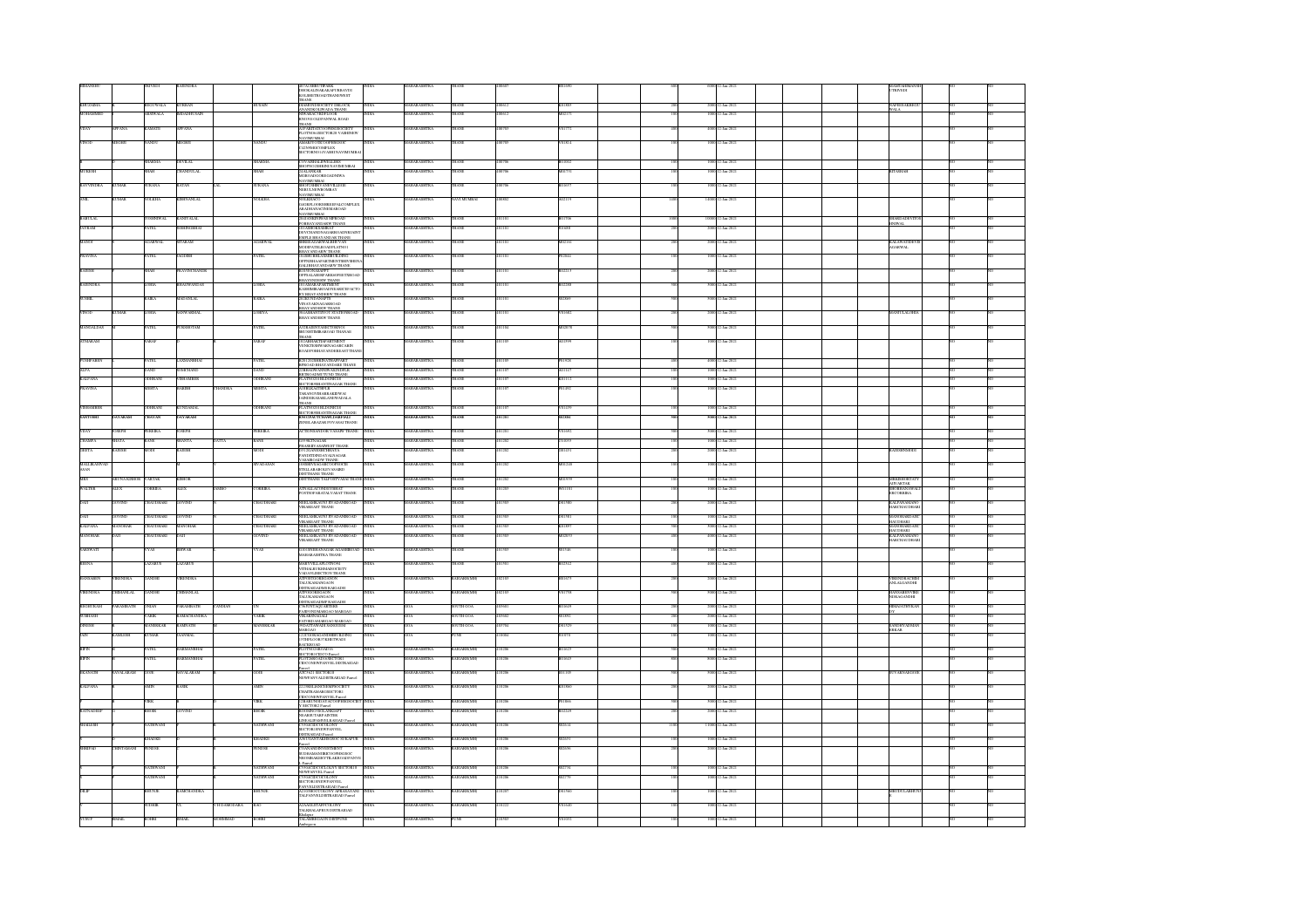|                    |                    |                |                  |         |                       |                                                                                                                                                                                                                                      |              | <b>HARACUTE</b>         |                        |       |                  |                                 |  | AMTAHIN                                |  |
|--------------------|--------------------|----------------|------------------|---------|-----------------------|--------------------------------------------------------------------------------------------------------------------------------------------------------------------------------------------------------------------------------------|--------------|-------------------------|------------------------|-------|------------------|---------------------------------|--|----------------------------------------|--|
|                    |                    |                |                  |         |                       | 407AISHRUTIPARK<br>DHOKALINAKAKAPURBAVDI<br>KOLSHETROADTHANEWEST<br>THANE                                                                                                                                                            |              |                         |                        |       |                  |                                 |  | TRIVEDE                                |  |
|                    |                    |                |                  |         |                       |                                                                                                                                                                                                                                      |              |                         |                        |       |                  |                                 |  |                                        |  |
| CHUZAIMA           |                    | <b>EGUWALA</b> | RBAN             |         | HUSAIN                | THANE<br>DIAMONDSOCIETY DBLOCK                                                                                                                                                                                                       | <b>IDLA</b>  | <b>IAHARASHTRA</b>      | HANE                   |       |                  | 2000 12-Jan-202                 |  | NAFEESAKBEC<br>VALA                    |  |
|                    |                    | <b>WALA</b>    | <b>IDHUSAI</b>   |         |                       | ANANDKOLIWADA THANE<br>NIWARAC3RDFLOOR<br>RNO301OLDPANWAL ROAD<br>THANE<br>AI PARITATCOOPHSGSOCIETY                                                                                                                                  |              |                         |                        |       |                  |                                 |  |                                        |  |
|                    |                    |                |                  |         |                       |                                                                                                                                                                                                                                      |              |                         |                        |       |                  |                                 |  |                                        |  |
|                    |                    |                |                  |         |                       | LOTNOS4SECTOR28 VASHINEW                                                                                                                                                                                                             |              |                         |                        |       |                  |                                 |  |                                        |  |
|                    |                    |                |                  |         |                       | <b>JUMENEAU</b><br>AVIMUMBAI<br>MARJYOTICOOPHSGSOC                                                                                                                                                                                   |              |                         |                        |       |                  |                                 |  |                                        |  |
|                    |                    |                |                  |         |                       | .<br>242N9MGCOMPLEX<br>@CTORNO14VASHI NAVIMUMBAI                                                                                                                                                                                     |              |                         |                        |       |                  |                                 |  |                                        |  |
|                    |                    |                |                  |         |                       |                                                                                                                                                                                                                                      |              |                         |                        |       |                  |                                 |  |                                        |  |
|                    |                    |                | ÆА               |         |                       | VAISHALUWELLERS                                                                                                                                                                                                                      |              |                         |                        |       | 000              |                                 |  |                                        |  |
|                    |                    |                |                  |         |                       |                                                                                                                                                                                                                                      |              |                         |                        |       |                  |                                 |  |                                        |  |
|                    |                    |                |                  |         |                       |                                                                                                                                                                                                                                      |              |                         |                        |       |                  |                                 |  |                                        |  |
| RAVVINDRA          | MA                 | RANA           |                  |         | URANA                 | COVAISHALIIWELLERS<br>SHOPAO2SHRINI NAVIMUMBAL<br>24 ALANKAR<br>MGROADGOGREGADNIWA<br>NAVIMUMBAL<br>SHOP3SHIRVANEVILLEGE<br>NERULNEWBOMBAY                                                                                           |              | <b>HARASHTR.</b>        |                        |       |                  |                                 |  |                                        |  |
|                    |                    |                |                  |         |                       |                                                                                                                                                                                                                                      |              |                         |                        |       |                  |                                 |  |                                        |  |
|                    | MA                 | OLKHA          | NANLAL           |         | OLKHA                 | NAVIMBAL<br>NAVIMBAL<br>NOLKHACO<br>GHGRFLOORSHREEPALCOMPLEX<br>ARADHANACINEMAROAD                                                                                                                                                   |              | <b>HARASHTRA</b>        | VI MUMBA               |       | 14000            | J <sub>202</sub>                |  |                                        |  |
|                    |                    |                |                  |         |                       |                                                                                                                                                                                                                                      |              |                         |                        |       |                  |                                 |  |                                        |  |
| ABULAI             |                    |                |                  |         |                       | <b>GAVIMUMBAI<br/>104JANKINIWAS MPROAD<br/>POBHAYANDARW THANE</b><br>101ASHOKSAMRAT                                                                                                                                                  |              |                         |                        |       | 100              |                                 |  |                                        |  |
| <b>AYRAM</b>       |                    | <b>ATEL</b>    | <b>HINGRHA</b>   |         |                       |                                                                                                                                                                                                                                      | vnu          | <b>HARASHTRA</b>        |                        |       |                  | Im 202                          |  | NIWAL.                                 |  |
|                    |                    |                |                  |         |                       |                                                                                                                                                                                                                                      |              |                         |                        |       |                  |                                 |  |                                        |  |
| <b>ANOJ</b>        |                    | <b>JARWAL</b>  | <b>FARAM</b>     |         | <b><i>GARWAL</i></b>  | 101 ASHOKSAMBAT<br>DEVCHANDNAGARROADNRIAINT<br>EMPLE BHAY ANDAR THANE<br>SHREEAGARWALBHUVAN<br>MODIPATELROADFLATNO1                                                                                                                  |              | HARASHTR.               |                        |       |                  |                                 |  | ALAWATIDE'<br>GARWAL                   |  |
|                    |                    |                |                  |         |                       |                                                                                                                                                                                                                                      |              |                         |                        |       |                  |                                 |  |                                        |  |
|                    |                    |                |                  |         |                       | BHAYANDARW THANE<br>104SHUBHLAXMBUILDING<br>OPPNISHAAPARTMENTSHIVSHEN                                                                                                                                                                |              |                         |                        |       | 1000             |                                 |  |                                        |  |
| AIESH              |                    | <b>HAH</b>     | <b>AVINCHAND</b> |         |                       | <b>JALI BHAYANDARW THANE</b><br>UGSIONASAPPT                                                                                                                                                                                         |              | <b>HARASHTRA</b>        | <b>ANE</b>             |       | $\frac{1}{2000}$ | $\frac{1}{2}$ and $\frac{1}{2}$ |  |                                        |  |
|                    |                    |                |                  |         |                       |                                                                                                                                                                                                                                      |              |                         |                        |       |                  |                                 |  |                                        |  |
| <b>AJENDRA</b>     |                    | <b>HIA</b>     | <b>JAGWANDAS</b> |         | OHIA                  | BIOSIONASAPPI<br>OPPSALASERPARK60FEETXROAD<br>BHAYENDERW THANE<br>IOIAMARAPARTMENT<br>KASHIMIRAROADNEARICEFACTO                                                                                                                      |              | <b>HARASHTR</b>         | <b>AND</b>             |       | 3000             | $\frac{1}{2}$                   |  |                                        |  |
|                    |                    |                |                  |         |                       |                                                                                                                                                                                                                                      |              |                         |                        |       |                  |                                 |  |                                        |  |
| <b>SHIL</b>        |                    | AKA            | DANLAL           |         | AIKA                  | <b>EX BHAYANDERW THANE</b><br>202KUNDANAPTS<br>VINAYAKNAGARROAD                                                                                                                                                                      |              | <b><i>HARASHTRA</i></b> |                        |       |                  | J <sub>202</sub>                |  |                                        |  |
|                    |                    |                |                  |         |                       |                                                                                                                                                                                                                                      |              |                         |                        |       |                  |                                 |  |                                        |  |
| VINOD              |                    |                | WARMAL           |         | <b>HIYA</b>           | BHAYANDERW THANE<br>304ASHANTIJYOT STATIO<br>BHAYANDERW THANE                                                                                                                                                                        |              | <b>HARASHTRA</b>        |                        |       |                  |                                 |  | NILL ALO                               |  |
| .<br>NGALDA        |                    |                | HOTAM            |         | <b>TE</b>             |                                                                                                                                                                                                                                      |              | HARASHTRA               |                        |       |                  |                                 |  |                                        |  |
|                    |                    |                |                  |         |                       | A32RAJENYASECTORNOI<br>SRUSHTIMIRAROAD THANAE                                                                                                                                                                                        |              |                         |                        |       |                  |                                 |  |                                        |  |
| <b>ATMARAM</b>     |                    | war            |                  |         | uur                   | ROSHI BRIGGION<br>HANE<br>FENKTESHWARNMGARCABIN<br>FENKTESHWARNMGARCABIN<br>ROADPOBHAYANDEREAST THANE                                                                                                                                |              | <b><i>HARASHTRA</i></b> |                        |       |                  | 1000 12-Jan-202                 |  |                                        |  |
|                    |                    |                |                  |         |                       |                                                                                                                                                                                                                                      |              |                         |                        |       |                  |                                 |  |                                        |  |
| USHPABE            |                    |                |                  |         |                       | 2028HRINATHAPPART                                                                                                                                                                                                                    |              | ADACUTO                 |                        |       |                  |                                 |  |                                        |  |
|                    |                    | $\overline{u}$ | <b>MCHAND</b>    |         | $\overline{u}$        | <b>SPROAD BHAYANDARE THANE</b>                                                                                                                                                                                                       |              | .<br>Aharashtra         |                        |       | 4000             | $3m-202$                        |  |                                        |  |
| <b>ATPA</b>        |                    |                |                  |         |                       |                                                                                                                                                                                                                                      | <b>INDIA</b> |                         | HANE                   | 01147 |                  | 1000 12-Jan-2021                |  |                                        |  |
| KALPANA            |                    | XOHRANI        | SHAMBER          |         | <b>OHRANI</b>         | RRTROADMUTUND THANE<br>FLATNO201BLDGNIC48                                                                                                                                                                                            | <b>INDIA</b> | <b>AHARASHTRA</b>       | HANE                   | 01112 |                  | 1000 12-Jan-2021                |  |                                        |  |
| PRAVINA            |                    | <b>ÆHTA</b>    | vrish            | WDRA    | <b>IEHTA</b>          | SECTOR/SHANTINAGAR THANE<br>AI SBLKA4THFLR                                                                                                                                                                                           | NDIA         | <b><i>HARASHTRA</i></b> | HANE                   | 31492 |                  | 1000 12-Jan-2021                |  |                                        |  |
|                    |                    |                |                  |         |                       | AI SBLKA4THFLR<br>TARANGVIHARRAKIDWAI<br>JAINDERASARLANEWADALA                                                                                                                                                                       |              |                         |                        |       |                  |                                 |  |                                        |  |
|                    |                    |                |                  |         |                       | ANE.<br><b>ORLDGNIC4</b>                                                                                                                                                                                                             |              |                         |                        |       |                  |                                 |  |                                        |  |
| <b>NTOSH</b>       |                    | <b>IAVAN</b>   | <b>YARAM</b>     |         |                       | FLATNO201BLIKINR.40<br><u>SECTOR/GHANTINAGAR THANE</u><br>RNO2PAUTCHAWLDARFIALI<br>ZENELABAZAR POVASAI THANE                                                                                                                         |              | HARASHTR.               |                        |       |                  | $\frac{1}{2}$ an-202            |  |                                        |  |
|                    |                    |                |                  |         |                       |                                                                                                                                                                                                                                      |              |                         |                        |       |                  |                                 |  |                                        |  |
| <b>JUAY</b>        | <b>SEPF</b>        | REIRA          | SEPH             |         | EREIRA                | CTIONSANDOR VASAIW THANE                                                                                                                                                                                                             |              | <b>HARASHTRA</b>        | ANE                    |       | 3000             | J <sub>202</sub>                |  |                                        |  |
| <b>CHAMPA</b>      |                    |                | <b>ANTA</b>      |         |                       |                                                                                                                                                                                                                                      |              |                         | $\overline{a}$         |       |                  | 1000 12-Jan-202                 |  |                                        |  |
| GEETA              |                    |                |                  |         |                       |                                                                                                                                                                                                                                      |              |                         |                        |       |                  |                                 |  |                                        |  |
|                    |                    |                |                  |         |                       |                                                                                                                                                                                                                                      |              |                         |                        |       |                  |                                 |  |                                        |  |
|                    |                    |                |                  |         |                       |                                                                                                                                                                                                                                      |              |                         |                        |       |                  |                                 |  |                                        |  |
|                    |                    |                |                  |         |                       |                                                                                                                                                                                                                                      |              |                         |                        |       |                  |                                 |  |                                        |  |
| MALLIKASI\<br>ASAN |                    |                |                  |         |                       | A<br>HASEIIVAGAR<br>HASEIIVASAIWEST THANE<br>DI L'GIANESHCHHAYA<br>PASAIROADW THANE<br>JOSSHIVSAGARCOOPSOCIE<br>JOSSHIVSAGARCOOPSOCIE<br>JOSSHIVSAGARCOOPSOCIE<br>JOSSHIVSAGARCOOPSOCIE<br>STELLABABOLEVASAIRD                       |              |                         |                        |       |                  |                                 |  |                                        |  |
| <b>MRS</b>         | <b>RUNA KISHOR</b> | <b>VARTAK</b>  | SHOR             |         |                       | <b>DISTTHANE THANE</b><br>DISTTHANE TALPOSTVASAI THANE                                                                                                                                                                               |              | <b><i>HARASHTRA</i></b> | HANE                   |       |                  | 1000 12-Jan-2021                |  | <b>MRKISHORTAT</b>                     |  |
| VALTEI             |                    |                |                  |         |                       |                                                                                                                                                                                                                                      |              |                         |                        |       |                  |                                 |  |                                        |  |
|                    |                    |                |                  |         |                       | ATNALLACONDEYBHAT<br>POSTSOPARATALVASAT THANE                                                                                                                                                                                        |              |                         |                        |       |                  |                                 |  | JIVARTAK<br>HOBHANAW<br>RCORRIBA       |  |
|                    |                    |                |                  |         |                       |                                                                                                                                                                                                                                      |              |                         |                        |       |                  |                                 |  |                                        |  |
|                    |                    |                |                  |         |                       | NEELAMKAUNI JIV<br>VIRAREAST THANE                                                                                                                                                                                                   |              |                         |                        |       |                  |                                 |  | LPANAMA<br>RCHAUDH                     |  |
|                    |                    |                |                  |         |                       | <b>JEELAMKAUNI JIVAL</b>                                                                                                                                                                                                             |              |                         |                        |       |                  |                                 |  | NOHARDA<br><b>JAMEDIAN</b>             |  |
| .<br>CALPANA       |                    | <b>AUDHAR</b>  | NOHA             |         |                       | VIRAREAST THANE<br>NEELAMKAUNI IIVADANIROAD                                                                                                                                                                                          |              |                         |                        |       |                  |                                 |  | NOHARD/                                |  |
| <b>JANOHAR</b>     |                    | <b>IAUDHAE</b> |                  |         |                       |                                                                                                                                                                                                                                      |              |                         |                        |       |                  | $-3an-202$                      |  |                                        |  |
|                    |                    |                |                  |         |                       | VIRAREAST THANE<br>NEELAMKAUNI JIVADANI<br>VIRAREAST THANE                                                                                                                                                                           |              |                         |                        |       |                  |                                 |  | HALDHARI<br>KALPANAMANG<br>HARCHAUDHAI |  |
| SARSWATI           |                    |                | <b>TWAS</b>      |         |                       |                                                                                                                                                                                                                                      |              |                         |                        |       |                  | $3m-202$                        |  |                                        |  |
| FNa                |                    |                |                  |         |                       | GIOISNEHANAGAR AGAS<br>MAHARASHTRA THANE                                                                                                                                                                                             |              |                         |                        |       |                  |                                 |  |                                        |  |
|                    |                    |                |                  |         |                       | AARYVILLAPLOTNO94<br><b>VITHALRUKHMAISOCIETY</b>                                                                                                                                                                                     |              |                         |                        |       |                  |                                 |  |                                        |  |
| HANSABEN           | <b>IRENDRA</b>     | ANDHI          | RENDRA           |         |                       |                                                                                                                                                                                                                                      |              | <b><i>HARASHTRA</i></b> | AIGARH(MH)             |       |                  | 2000 12-Jan-2021                |  | VIRENDRACHIN                           |  |
|                    |                    |                |                  |         |                       |                                                                                                                                                                                                                                      |              |                         |                        |       |                  |                                 |  | NLALGANDH                              |  |
|                    |                    |                |                  |         |                       | VADAVLISECTION THANE<br>ATPOSTGOREGANON<br>TALUKAMANGAON<br>DISTRAIGADMS RAKIADH                                                                                                                                                     |              |                         |                        |       |                  |                                 |  |                                        |  |
|                    |                    |                |                  |         |                       | ATPOGOREGAON<br>FALUKAMANGAON                                                                                                                                                                                                        |              |                         |                        |       |                  |                                 |  | ANSABEN VI<br>DRAGAN DH                |  |
| EGHURAM            | <b>MRATH</b>       | ΙAΝ            | RAMBATH          |         |                       | <b>STRAKIADMP RAKIA</b><br>GJUNTAOUARTERS                                                                                                                                                                                            |              |                         | <b>TTH GOA</b>         |       | 2000             | $1 - 202$                       |  | <b>MAJATHYK</b>                        |  |
| UBHASE             |                    | <b>LRIK</b>    | <b>MACHANDS</b>  |         | <b>LDTE</b>           | AJIFONDMARGAO MARGAO<br>JIKARSNAGAI I                                                                                                                                                                                                |              |                         | TH GO A                |       | m                | Im(202)                         |  |                                        |  |
| <b>XNESH</b>       |                    | ANERKAR        | MNATH            |         | <b><i>ANERKAR</i></b> | ATORDAMARGAO MARGAO<br>19DATTAWADI SANGUEM                                                                                                                                                                                           | <b>SDLA</b>  |                         | <b>JUTH GOA</b>        |       |                  | 1000 12-Jan-202                 |  | <b>ANDHY ADMA</b>                      |  |
|                    |                    | <b>MAR</b>     |                  |         |                       |                                                                                                                                                                                                                                      |              |                         |                        |       |                  |                                 |  | ERKAR                                  |  |
|                    |                    |                |                  |         |                       | MARGAO<br>122CGORAGANDHIBUILDING<br>15THFLOOR37KHETWADI                                                                                                                                                                              |              |                         |                        |       |                  |                                 |  |                                        |  |
|                    |                    | <b>TEL</b>     |                  |         | .<br>Viel             | <b>LACKROAD</b><br>* ^TNO76ROAD16                                                                                                                                                                                                    |              | <b>HARASHTRA</b>        |                        |       | 3000 1           | -<br>-<br>Jan-202               |  |                                        |  |
| <b>BIPIN</b>       |                    | <b>TEL</b>     | RMANBHAI         |         | <b>ATEL</b>           | SECTOR ICIDCO Panel<br>PLOT26ROAD16SECTOR1                                                                                                                                                                                           |              | <b>HARASHTRA</b>        | <b>MGARH(MH)</b>       |       | 8000             | $3-202$                         |  |                                        |  |
|                    |                    |                |                  |         |                       | CIDCONEWPANVEL DISTRAIGAD                                                                                                                                                                                                            |              |                         |                        |       |                  |                                 |  |                                        |  |
| <b>KANATH</b>      | VALARAM            |                | <b>ALARAM</b>    |         |                       |                                                                                                                                                                                                                                      |              | <b>HARASHTRA</b>        | <b><i>AGARHOMH</i></b> |       |                  | J <sub>202</sub>                |  | VARNAEI                                |  |
|                    |                    |                |                  |         |                       | Parrel<br>ATC5621 SECTOR18<br>NEWPANVALDISTRAIGAD Parrel                                                                                                                                                                             |              |                         |                        |       |                  |                                 |  |                                        |  |
| <b>ALPANA</b>      |                    |                |                  |         |                       |                                                                                                                                                                                                                                      |              |                         |                        |       |                  | $Jan-202$                       |  |                                        |  |
|                    |                    |                |                  |         |                       |                                                                                                                                                                                                                                      |              |                         |                        |       |                  |                                 |  |                                        |  |
| ATNADEE            |                    |                |                  |         |                       | 2223RELIANCEEMPSOCIETY<br>CHAITRAMARGSECTOR  <br>CIDCONEWPANVEL Parvel<br>12BARUNODAYACOOPHSOS                                                                                                                                       |              | <b><i>HARASHTR</i></b>  | AIGARHOMH              |       | 2000             | -<br>-<br>Jan-202               |  |                                        |  |
|                    |                    |                |                  |         | HOR                   | Y SECTOR2 Parvel<br>ROOMNO3SOLANKIAPT<br><b>NEARSUTARPAINTER</b>                                                                                                                                                                     |              |                         |                        |       |                  |                                 |  |                                        |  |
| <b>IAILESH</b>     |                    | THWANI         |                  |         | <b>ATHWAN</b>         |                                                                                                                                                                                                                                      |              | HARASHTR                |                        |       | 11000            | $-3an-202$                      |  |                                        |  |
|                    |                    |                |                  |         |                       |                                                                                                                                                                                                                                      |              |                         |                        |       |                  |                                 |  |                                        |  |
|                    |                    | HADKE          |                  |         | <b>CHADKE</b>         | NEMISSO DATAWINIER<br>LENEALIPAMVELRAGAD Panvel<br>CS304CIDCOCOLONY<br>SECTOR ISNEWPANVEL<br>DISTRAIGAD Panvel<br>A36UGANTAKHSGSOC SUKAPUR                                                                                           |              | <b>HARASHTRA</b>        | <b>MARGET</b>          |       |                  | 1000 12-Jan-202                 |  |                                        |  |
| <b>IRIPAD</b>      |                    | <b>NDSE</b>    |                  |         | <b>VDSE</b>           | mel<br>DANANDINVESTMENT                                                                                                                                                                                                              |              | HARASHTRA               | <b>APHAIH</b>          | 2656  |                  | $tan-202$                       |  |                                        |  |
|                    |                    |                |                  |         |                       | SUDHAMANJIRICOOPHSGSOC<br>NROMBAKERYTILAKROADPANVE                                                                                                                                                                                   |              |                         |                        |       |                  |                                 |  |                                        |  |
|                    |                    | <b>ATHWANI</b> |                  |         | <b>ATHWANI</b>        |                                                                                                                                                                                                                                      | INDIA        | <b>MAHARASHTRA</b>      | RAIGARH(MH)            | 02734 |                  |                                 |  |                                        |  |
|                    |                    |                |                  |         |                       |                                                                                                                                                                                                                                      |              |                         |                        |       |                  | 1000 12-Jan-2021                |  |                                        |  |
|                    |                    |                |                  |         |                       | <b>COMMUNISTIC PROPERTY OF A SECOND SECTION OF A SECOND SECTION OF A SECOND SECTION OF A SECOND SECTION SECTION OF A SECOND SECOND SECTION SECOND SECOND SECOND SECOND SECOND SECOND SECOND SECOND SECOND SECOND SECOND SECOND S</b> |              |                         |                        |       |                  |                                 |  |                                        |  |
|                    |                    |                | <b>ACHANDR</b>   |         |                       |                                                                                                                                                                                                                                      |              | <b>SHTR</b>             |                        |       |                  | $Jan-202$                       |  |                                        |  |
|                    |                    |                |                  |         |                       | <b>PANVELDISTRAKIAD Panvel<br/>A2103HOCCOLONY APRASAYA</b><br>TALPANVELDISTRAKIAD Panvel                                                                                                                                             |              |                         |                        |       |                  |                                 |  |                                        |  |
|                    |                    | <b>DHIR</b>    |                  | 34MODAR |                       |                                                                                                                                                                                                                                      |              |                         |                        |       |                  | Im 202                          |  |                                        |  |
|                    |                    |                |                  |         |                       | AŻAAGLSTAFFCOLONY<br>TALKHALAPRUS DISTRAIGAD<br>halaren<br>ALAMBEGAON                                                                                                                                                                |              |                         |                        |       |                  |                                 |  |                                        |  |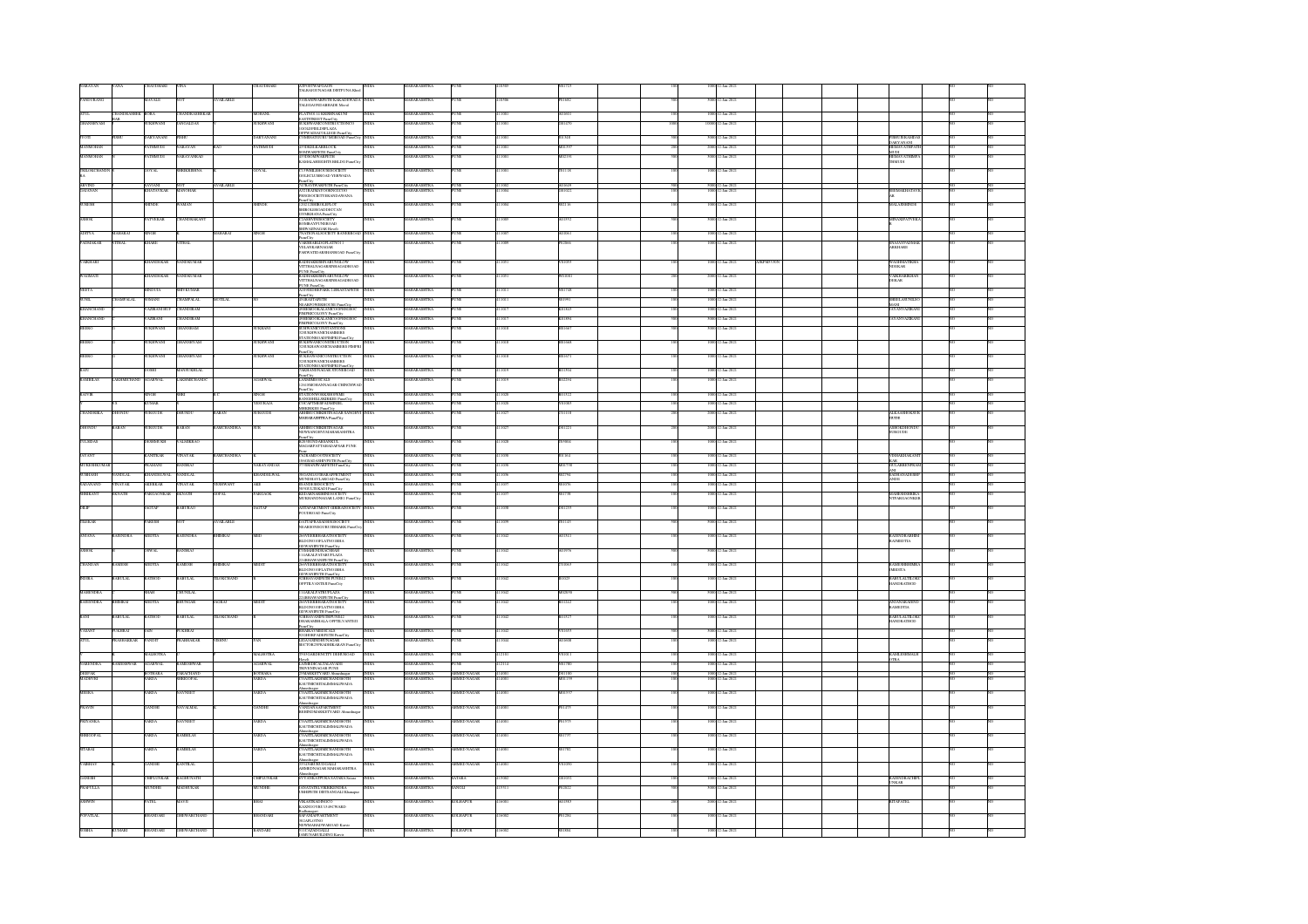|                   |               |                         |                             |                  | <b>I DHAR</b>          | (TPOSTWAFGAON)<br>"ALRAJGUNAGAR DISTPUNA Khed                                                                                 |              |                          |                   |      |  |      |                       |  |                                      |  |
|-------------------|---------------|-------------------------|-----------------------------|------------------|------------------------|-------------------------------------------------------------------------------------------------------------------------------|--------------|--------------------------|-------------------|------|--|------|-----------------------|--|--------------------------------------|--|
|                   |               |                         |                             |                  |                        |                                                                                                                               |              |                          |                   |      |  |      |                       |  |                                      |  |
| NDURAN            |               | /ALI                    |                             | AILABLE          |                        | <b>OSANIWARPETH KAKADEWAD</b><br>ALEGAONDABHADE Mayal                                                                         |              |                          |                   |      |  |      |                       |  |                                      |  |
|                   |               |                         |                             |                  |                        |                                                                                                                               |              |                          |                   |      |  |      |                       |  |                                      |  |
|                   |               |                         |                             |                  |                        | <b>ASTSTREET PuneCity</b><br>UKHWANICONSTRUCTIONCO                                                                            |              |                          |                   |      |  |      |                       |  |                                      |  |
| <b>GHANSHYAN</b>  |               | <b>KHWAN</b>            | <b>SGALDAS</b>              |                  | <b>KHWANI</b>          | GOLDFIELDSPLAZA                                                                                                               | m            | <b>ANIARASHTRA</b>       |                   |      |  |      | $J20$ -2021           |  |                                      |  |
|                   |               |                         |                             |                  |                        | PPWADIACOLLEGE PuneCity<br>OMSSATGURU MGROAD Pune                                                                             |              |                          |                   |      |  |      |                       |  |                                      |  |
|                   |               |                         |                             |                  |                        |                                                                                                                               |              |                          |                   |      |  |      |                       |  | DARYANANI<br>HEMAVATHPA              |  |
| <b>MANMOHAN</b>   |               | uven                    |                             |                  |                        | <b>JOKELKARBLOCK</b>                                                                                                          |              | <b>HARASHTR.</b>         |                   |      |  |      | J <sub>202</sub>      |  |                                      |  |
| <b>MANMORAN</b>   |               | <b>THME DE</b>          | <b>RAVANRAD</b>             |                  |                        | OMWARPETH PuneCity<br>33DSOMWARPETH<br>AMALAHEKIHTS BBLDG PuncCit                                                             |              | <b>AHARASHTRA</b>        |                   |      |  |      | 2.1m2002              |  | MUDI<br>HEMAVATHIMP<br><b>THMUDI</b> |  |
|                   |               |                         |                             |                  |                        |                                                                                                                               |              |                          |                   |      |  |      |                       |  |                                      |  |
| <b>TRILOKCHAY</b> |               | IYAL.                   | <b>IKRISHNA</b>             |                  | IYAL.                  | 13WHILEHOUSESOCIETY<br>GOLECLUBROAD YERWADA                                                                                   |              | HARASHTRA                |                   |      |  |      | $-3an-202$            |  |                                      |  |
|                   |               |                         |                             |                  |                        | $\frac{\text{uncCky}}{\text{exp} \text{AVIW} \text{ARPETP}}$                                                                  |              |                          |                   |      |  |      |                       |  |                                      |  |
| ARVINE            |               | <b>TAVKA</b>            |                             |                  |                        | <b>*/EAVWARFEID FIRE.ity</b><br>321RAJMAYOORNO2COO<br>HSGSOCIETYERANDAWANA                                                    |              |                          |                   |      |  |      |                       |  |                                      |  |
|                   |               |                         |                             |                  |                        |                                                                                                                               |              |                          |                   |      |  |      |                       |  |                                      |  |
| <b>SURESE</b>     |               |                         | MA                          |                  |                        | aneCity<br>20212SHIROLEPLOT<br><b>ENGLESTIROALETIJG</b><br>HIROLEROADDECCAN                                                   |              | <b>HARASHTRA</b>         |                   |      |  |      |                       |  |                                      |  |
|                   |               |                         |                             |                  |                        |                                                                                                                               |              |                          |                   |      |  |      |                       |  |                                      |  |
| ASHOK             |               | <b>TVEKAR</b>           | <b>JANDRAKAN</b>            |                  |                        | <b>TYMKHANA PuncCity</b><br>22 ASHVINISOCIETY<br>10 MBAYPUNEROAD                                                              |              | <b>AHARASHTRA</b>        |                   |      |  |      | 3-Jan-202             |  | <b>INAXIPATVEI</b>                   |  |
| <b>ADITYA</b>     | <b>HARAJ</b>  | $\overline{\text{XCH}}$ |                             | AHARAJ           |                        | HWAJINAGAR Haveli<br>NATIONALSOCIETY BANERRI                                                                                  | <b>TYLA</b>  | <b>HARASHTRA</b>         |                   |      |  |      | 000 12-Jan-2021       |  |                                      |  |
| <b>PADMAKAR</b>   | <b>THAT</b>   | <b>HARE</b>             | .<br>TH M                   |                  |                        | uneCity<br>'ARSHABLDGFLATNOLL                                                                                                 | <b>STYLE</b> | <b>HARASHTRA</b>         |                   |      |  |      | 2.1482202             |  | <b>NAJAVPADM</b>                     |  |
|                   |               |                         |                             |                  |                        | VELANKARNAGAR<br>PARWATIDARSHANROAD PureCit                                                                                   |              |                          |                   |      |  |      |                       |  | ARKHARE                              |  |
|                   |               |                         |                             |                  |                        |                                                                                                                               |              |                          |                   |      |  |      |                       |  |                                      |  |
|                   |               |                         |                             |                  |                        | ADHAKRISHNABUNGLOW<br>ITTHALNAGARSINHAGADROAD                                                                                 |              |                          |                   |      |  |      |                       |  | WAUHMA<br>NDEKAR                     |  |
|                   |               |                         |                             |                  |                        | <b>JNE PuncCity<br/>ADHAKRISHNABUNGLOW</b>                                                                                    |              |                          |                   |      |  |      |                       |  |                                      |  |
| WAGMATI           |               | <b>IANDEKAR</b>         | NDKUMAR                     |                  |                        | TITHALNAGARSINHAGADROAD                                                                                                       |              | <b><i>HARASHTRA</i></b>  |                   |      |  |      | Jan-202               |  | VAIKHARI)<br>DEKAR                   |  |
| <b>NEETA</b>      |               | NDUJA                   | VKUMAR                      |                  |                        | HI KONGO<br>AINE ParaCity<br>AIODJEDHEPARK 248RASTAPETH                                                                       | <b>SDIA</b>  | <b><i>AMARASHTRA</i></b> |                   |      |  |      | 2-Jan-202             |  |                                      |  |
|                   |               | $\overline{111}$        |                             |                  |                        | uneCity<br>S4RASTAPETH                                                                                                        |              | <b>HARASHTR.</b>         |                   |      |  |      |                       |  | EI ASI P                             |  |
| <b>SUNIL</b>      |               |                         |                             |                  |                        | SHOCH<br>SEARPOWERHOUSE PuneCity<br>#9HEMOOKALANICOOPHSGSOC                                                                   |              |                          |                   |      |  |      | J <sub>202</sub>      |  |                                      |  |
|                   |               | <b>ZIRANI HU</b>        | <b>NTVID AV</b>             |                  |                        |                                                                                                                               |              | <b>HADACUTO</b>          |                   |      |  |      |                       |  | MANI<br>JAYANVAZIR.                  |  |
| <b>KHANCHANE</b>  |               | ZIRANI                  | <b>ANDIRAM</b>              |                  |                        | <b>PINERRA PROGRAMMATION</b><br>PIMPRICOLONY PuneCity<br>#9HEMOOKALANICOOPHSGSOC                                              |              | <b>AHARASHTRA</b>        |                   |      |  | 3000 | 12-Jan-2021           |  | <b>JAYANVAZIRA</b>                   |  |
| HEERO             |               | <b>KHWANI</b>           | ANSHAM                      |                  | KHANI                  | <b>PIMPRICOLONY PuneCity</b><br>SUHWANICONSTANTIONS                                                                           | <b>DIA</b>   | <b>AHARASHTRA</b>        |                   |      |  |      | -<br>Ian-2021         |  |                                      |  |
|                   |               |                         |                             |                  |                        | 2SUKHWANICHAMBERS                                                                                                             |              |                          |                   |      |  |      |                       |  |                                      |  |
|                   |               |                         |                             |                  |                        | TATIONROADPIMPRI PuncCity<br>UKHWANICONSTRUCTION<br>2SUKHAWANICHAMBERS PIMPR                                                  |              |                          |                   |      |  |      | $tan-202$             |  |                                      |  |
| HEERO             |               | <b>UKHWANI</b>          | WSHYAM                      |                  | <b>UKHWANI</b>         | ineCity<br>UKHAWANICONSTRUCTION                                                                                               | .<br>DIA     | <b><i>AHARASHTRA</i></b> |                   |      |  |      | $\frac{1}{2}$ an-2021 |  |                                      |  |
|                   |               |                         |                             |                  |                        | 2SUKHWANICHAMBERS                                                                                                             |              |                          |                   |      |  |      |                       |  |                                      |  |
|                   |               |                         |                             |                  |                        | TATIONROADPIMPRI PareCity<br>AKHANDNAGAR STONEROAD<br>\ureCity<br>AXMIMEOICALS                                                |              |                          |                   |      |  |      |                       |  |                                      |  |
| skepn-            |               | anwar                   |                             |                  | A DOM/A                |                                                                                                                               |              | <b>UADACUTO</b>          |                   |      |  |      |                       |  |                                      |  |
|                   |               |                         |                             |                  |                        | 2618MOHANNAGAR CHINCHWAI                                                                                                      |              |                          |                   |      |  |      |                       |  |                                      |  |
| RAJVIR            |               | NGH                     |                             |                  | NGH                    | ineC≢y<br>FATIONWORKSHOPEME                                                                                                   |              | <b>MAHARASHTRA</b>       |                   |      |  |      | 1000 12-Jan-2021      |  |                                      |  |
|                   |               | MAR                     |                             |                  | ESURAJA                | STANGEHILLSKIRKEE PuseCity<br>RANGEHILLSKIRKEE PuseCity<br>COCAPTMESPADMINEL<br>MHKIRKEE PuseCity<br>ABHIRUCHIKIRTINAGAR SANC |              | <b>MARASHTRA</b>         |                   |      |  |      | 1000 12-Jan-2021      |  |                                      |  |
|                   |               | .<br>aratta             |                             |                  | coupe                  |                                                                                                                               |              |                          |                   |      |  |      |                       |  |                                      |  |
|                   |               |                         |                             |                  |                        | <b>IAHARASHTRA PuncCity</b>                                                                                                   |              |                          |                   |      |  |      |                       |  | GUDE                                 |  |
| <b>HONDU</b>      |               | RGUDE                   |                             | <b>AMCHANDRA</b> |                        | <b>ABHIRUCHIKIRTINAGAR</b>                                                                                                    |              | <b>AHARASHTRA</b>        |                   |      |  |      | Jan-202               |  | ASHOKDHO!<br>SURGUDE                 |  |
|                   |               |                         |                             |                  |                        | NEWSANGHVI MAHARASHTRA                                                                                                        |              |                          |                   |      |  |      |                       |  |                                      |  |
| TULSID.           |               |                         |                             |                  |                        | uncCity<br>1203SUNDARSANKUL<br>4AGARPATTAHADAPSAR PUNE                                                                        |              |                          |                   |      |  |      |                       |  |                                      |  |
| JAYANT            |               | NITKAR                  | SAYAK                       | <b>AMCHANDRA</b> |                        | une<br>62RAMDOOTSOCIETY                                                                                                       |              | <b>AHARASHTRA</b>        |                   |      |  |      | $tan-202$             |  | <b>SHAKHA</b>                        |  |
|                   |               |                         |                             |                  |                        | <b>MGSADASHIVPETH PuneCip</b><br>F3SHANIWARPETH PuneCity                                                                      |              |                          |                   |      |  |      |                       |  | KAR<br>GULABBENPI                    |  |
|                   |               |                         |                             |                  |                        |                                                                                                                               |              |                          |                   |      |  |      |                       |  |                                      |  |
| MUKESHKUN         |               | <b>AMANI</b>            | SRAJ                        |                  | <b><i>RAYANDAS</i></b> |                                                                                                                               |              | <b>AHARASHTRA</b>        |                   | 1738 |  |      | 1000 12-Jan-2021      |  |                                      |  |
| <b>UBHASH</b>     | NDLAL.        | <b>JANDELWAL</b>        | WDLAL                       |                  | HANDELWAL              | 30GANGAVIHARAPPRTMENT                                                                                                         |              | <b>AHARASHTRA</b>        |                   |      |  |      | 1000 12-Jan-2021      |  |                                      |  |
| <b>MANAN</b>      |               | FRK AR                  |                             |                  |                        | NDHAVLAROAD PuneCity<br>NDESHSOCIETY                                                                                          |              | <b>ARASHTRA</b>          |                   |      |  |      | J <sub>202</sub>      |  | SADHANADES                           |  |
| SHRIKANT          |               | <b><i>DAONIEA</i></b>   |                             |                  |                        | ANDESIGNEED<br>SGULTEKADI PureCity<br>""ARNARBHINDSOCIET                                                                      |              | <b>ARASHTRA</b>          |                   |      |  |      |                       |  |                                      |  |
|                   |               |                         |                             |                  |                        | MUKHANDNAGAR LANEI PuneCi                                                                                                     |              |                          |                   |      |  |      |                       |  | MAHESHSHRIK/<br>NTPARGAONKE          |  |
| DEP               |               | AGTAF                   | BURAO                       |                  | <b>GTAF</b>            | <b>AITAPARTMENT GIRIRAISOCIETY</b>                                                                                            | <b>NDLA</b>  | <b>AHARASHTRA</b>        |                   |      |  |      | 2-Jan-2021            |  |                                      |  |
|                   |               |                         |                             |                  |                        | OUDROAD PuneCity                                                                                                              |              |                          |                   |      |  |      |                       |  |                                      |  |
| TILEKAR           |               | <b>PESS</b>             |                             | <b>All ABLE</b>  |                        | <b>ATTAPRASADHSOSOCIETY</b>                                                                                                   |              | <b>JARASHTRA</b>         |                   |      |  |      | $tan-202$             |  |                                      |  |
| <b>ANJANA</b>     | <b>JENDRA</b> | <b>EDTIA</b>            | <b>JENDRA</b>               | MRAI             |                        | EARSONEGURUJISMARK PuncC                                                                                                      |              | <b>AHARASHTRA</b>        |                   |      |  |      | 2-Jan-2021            |  | <b>EAJENDRABHI</b>                   |  |
|                   |               |                         |                             |                  |                        | <b>SSVEERBHARATSOCIETY</b><br>BLDGNO10FLATNO1BHA                                                                              |              |                          |                   |      |  |      |                       |  | <b>RAJMEDTIA</b>                     |  |
|                   |               |                         |                             |                  |                        |                                                                                                                               |              |                          |                   |      |  |      |                       |  |                                      |  |
|                   |               |                         |                             |                  |                        | <b>IDWANIPETH PuncCity</b><br>COMAHENDRACSHAH<br>14AKALPATARUPLAZA                                                            |              |                          |                   |      |  |      |                       |  |                                      |  |
| CHANDAN           |               | <b>DTIA</b>             | <b>MESH</b>                 |                  |                        | 4BHAWANIPETH PureCi<br>6VEERBHARATSOCIET<br><b>BLDGNOLOFI ATNOURHA</b>                                                        |              | <b><i>HARASHTRA</i></b>  |                   |      |  |      | $\frac{1}{2}$ an-2021 |  | WESH                                 |  |
|                   |               |                         |                             |                  |                        |                                                                                                                               |              |                          |                   |      |  |      |                       |  | MEDITA                               |  |
| <b>NDRA</b>       | BULAL         | CHOD                    | <b>BULAL</b>                | LOKCHANI         |                        | GDWANDTOFLATNOTERA<br>GDWANDETH PuncCity<br>OPPTLVANTEJI PuncCity                                                             | DIA          | <b>AHARASHTRA</b>        |                   |      |  |      | $3m-202$              |  | BABULALTE.OK<br>HANDRATHOD           |  |
| <b>MAHENDRA</b>   |               |                         | UNLAI                       |                  |                        | :<br>  {AKALPATRUPLAZA                                                                                                        |              | <b>AHARASHTRA</b>        |                   |      |  |      | 5000 12-Jan-2021      |  |                                      |  |
| RAJESNDRA         | 49A1          | <b>DTIA</b>             | <b>INGAR</b>                | <b>GRAI</b>      |                        | <b>4BHAWANIPETH PuneCit</b><br>6VEERBHARATSOCIETY                                                                             |              | <b>HARASHTRA</b>         |                   |      |  |      | $\frac{1}{2}$ an-2021 |  | <b>ANARAJE!</b>                      |  |
|                   |               |                         |                             |                  |                        | BLDGNO10FLATNO1BHA                                                                                                            |              |                          |                   |      |  |      |                       |  | <b>AMEDTIA</b>                       |  |
| RANI              | <b>ABULAL</b> | <b>THOD</b>             | ABULAL.                     | <b>ILOKCHAND</b> |                        |                                                                                                                               | DIA          | <b>ANARASHTRA</b>        |                   |      |  |      | 1000 12-Jan-2021      |  | <b>BABULALTE.OK</b>                  |  |
|                   |               |                         |                             |                  |                        | GDWANPETH Puncliy<br>92BHAV ANIPETHPUNE42<br>DHARAMSHALA OPPTILVANTEJI                                                        |              |                          |                   |      |  |      |                       |  | ANDRATHOD                            |  |
| VASANT            |               |                         |                             |                  |                        | uneCity<br>HAIRAVMEDICALS                                                                                                     |              | SHTR:                    |                   |      |  |      |                       |  |                                      |  |
| ATUL.             | HAKKAR        | NM                      | <b>ABHAKA</b>               |                  |                        | <b>2GHORPADEPETH PuneCity</b><br>IGA34SINDHUNAGAR                                                                             | <b>STYLE</b> | <b>AHARASHTRA</b>        |                   |      |  |      | $Jan-202$             |  |                                      |  |
|                   |               |                         |                             |                  |                        | SECTOR25PRADHIKARAN PuncG                                                                                                     |              |                          |                   |      |  |      |                       |  |                                      |  |
|                   |               | <b>ALHOTRA</b>          |                             |                  | <b>IALHOTRA</b>        | <b>503GARDENCITY DEHUROAD</b>                                                                                                 | <b>DU</b>    | <b>ANHARASHTRA</b>       |                   |      |  |      | 1000 12-Jan-202       |  | <b>KAMLESHMA</b>                     |  |
| VARENTIRA         |               | <b>ARWAL</b>            |                             |                  | <b>ARWAL</b>           | reli<br>AMEDICALTALAVADE                                                                                                      |              | <b>HARACUTRA</b>         |                   |      |  |      | $\frac{1}{2}$ and     |  | <b>OTRA</b>                          |  |
|                   |               | <b>THARA</b>            | ARACHAND                    |                  | OTHARA                 |                                                                                                                               |              | <b>MAHARASHTRA</b>       | <b>IMED NAGAR</b> |      |  |      | 1000 12-Jan-2021      |  |                                      |  |
| DEEPAK<br>MADHVR  |               |                         |                             |                  |                        |                                                                                                                               |              |                          |                   |      |  |      |                       |  |                                      |  |
|                   |               |                         |                             |                  |                        | LAIMEDICALTALAVADE<br>TRIVENINAGAR PUNE<br>ESMARKETY ARD Ahmedingar<br>COAJITLAKHMICHANDBOTH<br>KAUTHICHITALIMMALIWADA        |              |                          |                   |      |  |      |                       |  |                                      |  |
| MEERA             |               | ARDA                    | WNEET                       |                  | ARDA                   | <b>Amediatur</b><br>OAJITLAKHMICHANDBOTH<br>AUTHICHITALIMMALIWADA                                                             |              | <b><i>AMARASHTRA</i></b> | <b>HMED NAGAR</b> |      |  |      | 2-Jan-2021            |  |                                      |  |
| PRAVIN            |               | HKN                     | <b>VALMAL</b>               |                  | WDHI                   |                                                                                                                               |              | <b>IARASHTRA</b>         | <b>IMED NAGAR</b> |      |  |      | $3m-2021$             |  |                                      |  |
|                   |               |                         |                             |                  |                        | AU HARACH (HANDANIAN)<br>FANDANAAPARTMENT<br>SEHINDMARKETY ARD Ahmedia                                                        |              |                          |                   |      |  |      |                       |  |                                      |  |
| PRIYANKA          |               | RDA                     | NEET                        |                  | RDA                    | <b>MITT AKHMCHANDROTH</b>                                                                                                     |              | <b>HARASHTRA</b>         | <b>IMED NAGAR</b> |      |  |      | $an-202$              |  |                                      |  |
|                   |               |                         |                             |                  |                        | AUTHICHITALIMMALIWADA                                                                                                         |              |                          |                   |      |  |      |                       |  |                                      |  |
| <b>SHRIGOPAL</b>  |               |                         | <b>MBILAS</b>               |                  | RDA                    | bresharar<br>OAJITLAKHMICHANDBOTH<br>AUTHICHITALIMMALIWADA                                                                    |              | <b>HARASHTR</b>          | <b>IMED NAGA</b>  |      |  |      | J <sub>20</sub> 202   |  |                                      |  |
|                   |               |                         |                             |                  |                        |                                                                                                                               |              |                          |                   |      |  |      |                       |  |                                      |  |
| <b>SITABAI</b>    |               |                         |                             |                  |                        | <b>Amediagar</b><br>YOANITLAKHMICHANDBOTH<br>KAUTHICHITALIMMALIWADA                                                           |              |                          |                   |      |  |      |                       |  |                                      |  |
| <b>VAIBHAV</b>    |               | <b>INDHI</b>            | NTLAL                       |                  |                        | hmednagar<br>83436BURUDGALLI                                                                                                  |              | <b>ANHARASHTRA</b>       | <b>HMED NAGAR</b> |      |  |      | $-3$ an-2021          |  |                                      |  |
|                   |               |                         |                             |                  |                        | 333430BURULADALLI<br>AHMEDNAGAR MAHARASHTRA                                                                                   |              |                          |                   |      |  |      |                       |  |                                      |  |
| WESH              |               |                         |                             |                  |                        | hmednagar<br>VYANKATPURA SATARA Satar                                                                                         |              |                          | TARA              |      |  |      | $tan-202$             |  |                                      |  |
| PRAFULLA          |               | NDH                     | <b><i><u>DHUKAF</u></i></b> |                  | NDH                    | <b>NATATELVIKRIKENDRA</b>                                                                                                     |              | <b>JARASHTRA</b>         | NG                |      |  |      | m. 202                |  | RAJENDRA(<br>UNKAR                   |  |
|                   |               |                         |                             |                  |                        | BHIPETH DISTSANGALI Kha                                                                                                       |              |                          |                   |      |  |      |                       |  |                                      |  |
| <b>ASHWEV</b>     |               | VTEL.                   | WЛ                          |                  |                        | VIKASTRADINGCO<br>KAXNUOYRUI 349CWARD                                                                                         | DIA          | <b>AHARASHTRA</b>        | <b>OLHAPUR</b>    |      |  |      | J <sub>202</sub>      |  | RITAPATEL                            |  |
| POPATLAL          |               |                         |                             |                  |                        | schanagari<br>APANIAPPARTMENT                                                                                                 |              |                          | <b>DEHAPU</b>     |      |  |      |                       |  |                                      |  |
|                   |               |                         |                             |                  |                        | AFANDATIN<br>12 API OTNO                                                                                                      |              |                          |                   |      |  |      |                       |  |                                      |  |
| SOBHA             | MARI          | anmari                  |                             |                  |                        | EWMAHADWAROAD Kari<br>HCAZADGALLI<br><b>JAMENARE III DING Kww</b>                                                             |              | <b>SHIRA</b>             | <b>X.HAPUE</b>    |      |  |      |                       |  |                                      |  |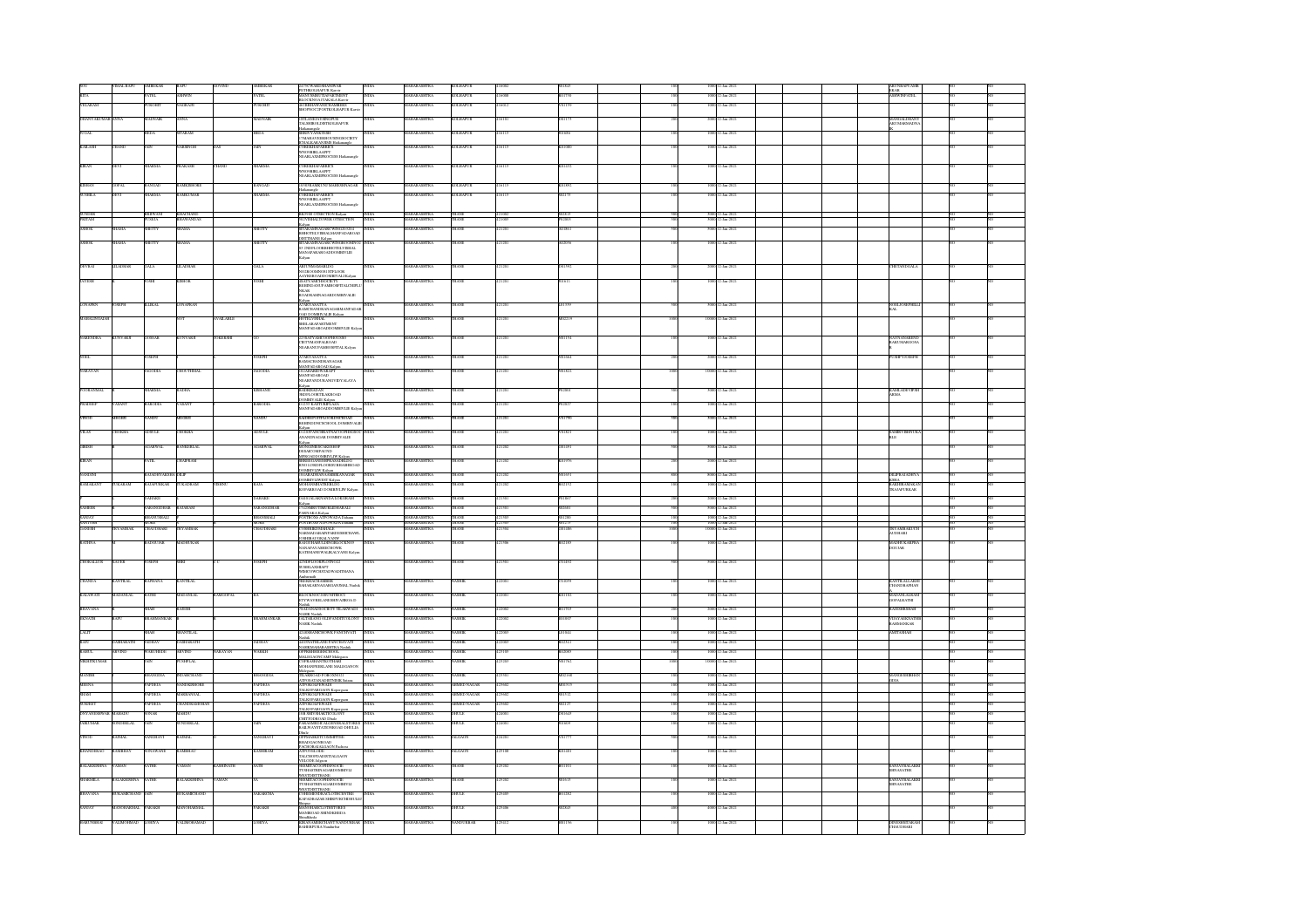|                   |                 |                     |                     |      |                                      | 47SCWARDSHANIWAR                                                                                                                               |              | <b>DACUTO</b>              | <b>X.HAPUE</b>           |          |             |  |       |                                     |  | <b>ARUNBAP</b>                       |  |
|-------------------|-----------------|---------------------|---------------------|------|--------------------------------------|------------------------------------------------------------------------------------------------------------------------------------------------|--------------|----------------------------|--------------------------|----------|-------------|--|-------|-------------------------------------|--|--------------------------------------|--|
|                   |                 |                     |                     |      |                                      | ETHKOLHAPUR Karvir<br>ANUSMRUTIAPARTMENT                                                                                                       | VDL          | <b>AHARASHTRA</b>          | <b>OLHAPUR</b>           |          |             |  |       |                                     |  | EKAR<br>ASHWINPATEI                  |  |
| <b>VELARAM</b>    |                 | ROHIT               | <b>GRAJII</b>       |      | ROHIT                                | BLOCKNOAI TAKALA Karvir<br>461BBHAWANICHAMBERS<br>SHOPNOC2POSTKOLHAPUR Karv                                                                    | iDIA         | <b>AHARASHTRA</b>          | <b>OLHAPUR</b>           |          | 1159        |  |       | $-3an-2021$                         |  |                                      |  |
|                   |                 |                     |                     |      |                                      |                                                                                                                                                |              |                            |                          |          |             |  |       |                                     |  |                                      |  |
| <b>HANYAKI</b>    |                 |                     |                     |      | <b>DNAIK</b>                         | STLANEJAYSINGPUR<br>'ALSHIROLDISTKOLHAPUR                                                                                                      |              | SHTR:                      | <b>X.HAPUR</b>           |          |             |  |       |                                     |  | MANGALDHAN<br>AKUMARMADN             |  |
|                   |                 |                     |                     |      |                                      | akammaale<br>HRIVYANKTESH                                                                                                                      |              |                            |                          |          |             |  |       |                                     |  |                                      |  |
| UGAL              |                 |                     | <b>VKAN</b>         |      |                                      | 7MAHAVEERHOUSINGSOCIETY                                                                                                                        |              | ASHIRA                     | <b>X.HAPUR</b>           |          |             |  |       |                                     |  |                                      |  |
| KAILASH           |                 |                     |                     |      |                                      | <b>CHALKARANDAS Hukunugle<br/>COREKHAFABRICS<br/>WNO9BIRLAAPPT<br/>NEARLAXMIPROCESS Hukunungle</b>                                             |              |                            | <b>OLHAPUR</b>           |          |             |  |       | J <sub>20</sub> 202                 |  |                                      |  |
|                   |                 |                     |                     |      |                                      |                                                                                                                                                |              |                            |                          |          |             |  |       |                                     |  |                                      |  |
| KIRAN             |                 | RMA                 | <b>AK ASH</b>       |      | <b>RM</b>                            | OREKHAFABRICS                                                                                                                                  |              | <b><i>HARASHTRA</i></b>    | <b>X.HAPUR</b>           |          |             |  |       |                                     |  |                                      |  |
|                   |                 |                     |                     |      |                                      | .<br>VNO9BIRLAAPPT<br>JEARLAXMIPROCESS Harkanangle                                                                                             |              |                            |                          |          |             |  |       |                                     |  |                                      |  |
| KISHAN            | GOPAL           | <b>LNGAD</b>        | <b>AKISHORE</b>     |      |                                      | 585RAMKUNJ MJ<br>AGAR                                                                                                                          | NDIA         | <b>MAHARASHTRA</b>         | OLHAPUR                  |          | 1892        |  |       | 1000 12-Jan-2021                    |  |                                      |  |
| sum               |                 |                     |                     |      |                                      |                                                                                                                                                |              |                            |                          |          |             |  |       |                                     |  |                                      |  |
|                   |                 |                     |                     |      |                                      | lakamınde<br>OREKHAFABRICS<br>(NO9BIRLAAPPT<br>EARLAXMIPROCESS Hatkara                                                                         |              |                            |                          |          |             |  |       |                                     |  |                                      |  |
|                   |                 |                     |                     |      |                                      |                                                                                                                                                |              |                            |                          |          |             |  |       |                                     |  |                                      |  |
| SUNDER<br>PRITAM  |                 | BRUWANI<br>PUSEJA   | ŁACHAND<br>ŁAWANDAS |      |                                      | BK5908 OTSECTION Kalyan<br>502VISHALTOWER OTSECTION                                                                                            | <b>STYLE</b> | MAHARASHTRA<br>MAHARASHTRA | IANE<br>IANE             |          |             |  |       | Jan-2021<br>Jan-2021                |  |                                      |  |
| <b>ASHOK</b>      |                 | ЕTT                 |                     |      |                                      | iyan<br>FARAMINAGARCWING203204                                                                                                                 | vnu          | <b><i>HARASHTRA</i></b>    | <b>IANE</b>              |          |             |  |       | $tan-2021$                          |  |                                      |  |
|                   |                 |                     |                     |      |                                      | HHOTELVISHALMANPADAROAD                                                                                                                        |              |                            |                          |          |             |  |       |                                     |  |                                      |  |
| ASHOK             |                 |                     |                     |      |                                      | BRIFOTEL/VISIONALISTAD/GROAD<br>DISTITIANE Kalvas<br>SITARAMENALIARCWINGROOMNOL<br>03 2NDFLOORBHHOTELVISHAL<br>MANAPARAROADDOMBIVLIE<br>Kalyan |              |                            |                          |          |             |  |       |                                     |  |                                      |  |
|                   |                 |                     |                     |      |                                      |                                                                                                                                                |              |                            |                          |          |             |  |       |                                     |  |                                      |  |
| DEVRAJ            | LADHAR          | MА                  | LADHAR              |      | ЧΑ                                   | <b>RIUNMAMABLDG</b>                                                                                                                            |              | <b>AHARASHTRA</b>          | IANE                     |          |             |  |       | J <sub>202</sub>                    |  | <b>HETANDGAL</b>                     |  |
|                   |                 |                     |                     |      |                                      | NO2ROOMNOS1STFLOOR                                                                                                                             |              |                            |                          |          |             |  |       |                                     |  |                                      |  |
| <b>JAYESH</b>     |                 |                     |                     |      |                                      |                                                                                                                                                |              |                            |                          |          |             |  |       |                                     |  |                                      |  |
|                   |                 |                     |                     |      |                                      | NOGROMNOS ISHUGALI<br>ASATYAMCHSOCIETY<br>HSATYAMCHSOCIETY<br>BEHINDANUPAMHOSPITALCHIPLU<br>NKAR<br>ROADRAMNAGARDOMBIVALIE                     |              |                            |                          |          |             |  |       |                                     |  |                                      |  |
| <b>LONAPRN</b>    | <b>DSEPH</b>    | <b>LLIKAL</b>       | <b>NAPRAN</b>       |      |                                      | Kaban<br>A7ARYASATYA<br>RAMCHANDRANAGARMANPADAR                                                                                                | <b>SDIA</b>  | <b>ANHARASHTRA</b>         | HANE                     |          |             |  |       | $3m-202$                            |  |                                      |  |
|                   |                 |                     |                     |      |                                      |                                                                                                                                                |              |                            |                          |          |             |  |       |                                     |  | NOELJOSEPHIL<br>KAL                  |  |
| <b>MAHALIN</b>    |                 |                     |                     |      |                                      | OAD DOMBIVALIË Kaban<br>HOTELVISHAL<br>SHELAR APARTMENT<br>MANPADAROADDOMBIVLIË Kaba                                                           |              |                            |                          |          |             |  |       |                                     |  |                                      |  |
|                   |                 |                     |                     |      |                                      |                                                                                                                                                |              |                            |                          |          |             |  |       |                                     |  |                                      |  |
| <b>SARENDRA</b>   |                 | $\overline{\alpha}$ |                     | KERS |                                      | 23SATYAMCOOPHOUSSO                                                                                                                             |              | <b>HARASHTRA</b>           | <b>IANE</b>              |          |             |  |       |                                     |  | <b><i>VNANARES</i></b><br>RAKUMARGOS |  |
|                   |                 |                     |                     |      |                                      | CIETYMANPALROAD<br>NEARANUPAMHOSPITAL Kalyan                                                                                                   |              |                            |                          |          |             |  |       |                                     |  |                                      |  |
| KOEL.             |                 |                     |                     |      |                                      | <b>TARYASATYA</b><br>IAMACHANDRANAGAR                                                                                                          |              |                            |                          |          |             |  |       |                                     |  |                                      |  |
|                   |                 |                     |                     |      |                                      |                                                                                                                                                |              |                            |                          |          |             |  |       |                                     |  |                                      |  |
| NARAYA            |                 | <b>JODU</b>         |                     |      |                                      | ANPADAROAD Kalyan<br>02AHARIDWARAPT<br>ANPADAROAD<br>EARPANDURANGVIDYALAYA                                                                     |              |                            |                          |          |             |  |       |                                     |  |                                      |  |
|                   |                 |                     |                     |      |                                      | alyan<br>ADRISADAN                                                                                                                             |              |                            |                          |          |             |  |       |                                     |  |                                      |  |
| <b>DORANI</b>     |                 |                     |                     |      |                                      | 3RDFLOORTILAKROAD                                                                                                                              |              |                            |                          |          |             |  |       |                                     |  | AMLAD<br>ARMA                        |  |
| PRADEE            |                 | RODL                |                     |      |                                      | OMBIVALIE Kalyan<br>0255 KASTURIPLAZA<br>0255 KASTURIPLAZA                                                                                     |              |                            |                          |          |             |  |       |                                     |  |                                      |  |
|                   |                 |                     |                     |      |                                      |                                                                                                                                                |              |                            |                          |          |             |  |       |                                     |  |                                      |  |
| VINOD             |                 |                     |                     |      |                                      | SAIDEEPI STFLOORDNCROAD<br>EHINDDNCSCHOOL DOMBIVALIE                                                                                           |              | <b>JARASHTR.</b>           |                          |          |             |  |       |                                     |  |                                      |  |
| VILAS             | жн              | sule                | OKHA                |      | 6ULE                                 | iyan<br>:203PANCHRATNACOOPHSGSO                                                                                                                |              | <b>IARASHTR</b>            |                          |          |             |  |       | lan-202                             |  | <b>AMIRVISH</b>                      |  |
|                   |                 |                     |                     |      |                                      | ANANDNAGAR DOMBIVALIE                                                                                                                          |              |                            |                          |          |             |  |       |                                     |  | <b>RLE</b>                           |  |
|                   |                 | ARWAI               |                     |      |                                      | Kalyan<br>MONGINIESC AKESHOP<br>DESAICOMPAUND                                                                                                  |              |                            |                          |          |             |  |       |                                     |  |                                      |  |
| KIRAN             |                 | <b>ATL</b>          | <b>JAIFRAM</b>      |      |                                      | <b>PROADDOMBIVLIW Kalyan</b><br>HREEGANESHPRASADBLDG                                                                                           | m            | <b>ANHARASHTRA</b>         | <b>IANE</b>              |          |             |  |       | $-3$ an-2021                        |  |                                      |  |
|                   |                 |                     |                     |      |                                      | INO143RDFLOORSUBHASHROAL                                                                                                                       |              |                            |                          |          |             |  |       |                                     |  |                                      |  |
| ANDIN             |                 | <b>JADHYAK</b>      |                     |      |                                      | .<br>OMBIVLIW Kalyan<br>OLAR ADHANA AMRIK ANAGAR                                                                                               |              |                            |                          |          |             |  |       |                                     |  |                                      |  |
| RAMAKAN           | <b>ARAM</b>     | <b>JAPURKAI</b>     | KADRAN              |      |                                      | <b>DOMBIVLIWEST Kalyan<br/>MOHANMHATREBLDG</b><br>KOPARROAD DOMBIVLIW Kalyan                                                                   |              |                            | $\overline{\phantom{a}}$ |          |             |  |       |                                     |  | KSHA<br>RAKHIRAMAK/<br>TRAJAPURKAR   |  |
|                   |                 | HAKE                |                     |      | <b>TAKE</b>                          | <b>H401ALAKNANDA LOKGRAM</b>                                                                                                                   |              | <b><i>AHARASHTRA</i></b>   | <b>IANE</b>              |          |             |  |       | 2000 12-Jan-2021                    |  |                                      |  |
| SAMEER            |                 | ARANGDHAR           | <b>EAJARAM</b>      |      | ARANGDHA                             | alyan<br>742SMRUTIMURLIDHARALI                                                                                                                 |              | <b>ANHARASHTR</b>          | <b>IANE</b>              |          |             |  |       | 5000 12-Jan-2021                    |  |                                      |  |
|                   |                 |                     |                     |      |                                      |                                                                                                                                                |              |                            |                          |          |             |  |       |                                     |  |                                      |  |
| SANJAY<br>SANTOSH |                 | ANUSHALI<br>MORE    |                     |      | <i><b>INSHALL</b></i><br><b>MORE</b> | PARNAKA Kalyan<br>POSTBOXS ATPOWADA Daham<br>POSTBOXS ATPOWADA Daham                                                                           |              | <b>MAHARASHTRA</b>         | HANE                     | 2130     |             |  |       | $Jan-202$<br>1000 12-Jan-202        |  |                                      |  |
| <b>JANESH</b>     | <b>MRAK</b>     | <b>HAUDHAR</b>      | <b>AMBAK</b>        |      | <b>IAUDHAR</b>                       | YOSHRIKDMAHALE<br>KARMADABAINPARDESHICHAWL                                                                                                     | m            | <b>IAHARASHTRA</b>         | <b>IANE</b>              | <b>B</b> | <b>Lake</b> |  | 10000 | $\frac{1}{2}$ an-2021               |  | <b>RYAMBAKUC</b><br>AUDHARI          |  |
| RATHNA            |                 | <b>DGUJAR</b>       | DHUKAR              |      |                                      |                                                                                                                                                |              | <b>IARASHTRA</b>           | <b>LANE</b>              |          |             |  |       | J <sub>2021</sub>                   |  | MADHUKAR<br>DGUJAR                   |  |
|                   |                 |                     |                     |      |                                      | <b>DSHIBALIGKAL VANW<br/>AIGUHABULDINGBLOCKNOS<br/>IANAPAVASHECHOWK<br/>ATEMANEWALIKAL VANE Kalya</b>                                          |              |                            |                          |          |             |  |       |                                     |  |                                      |  |
| CHORALLUR         | <b>VITER</b>    | <b>TOFPH</b>        |                     |      |                                      | 2NDFLOORPLOTNO22                                                                                                                               |              | <b>HARASHTRA</b>           |                          |          |             |  |       | Im 20                               |  |                                      |  |
|                   |                 |                     |                     |      |                                      | <b>SUBHLAXMIAPT</b><br><b>VIMCOWCHSTADWADITHANA</b>                                                                                            |              |                            |                          |          |             |  |       |                                     |  |                                      |  |
| <b>CHANDA</b>     | NTILAI          | <b>UHANA</b>        | WTLAL               |      |                                      | inbamath<br>REKHACHAMBER                                                                                                                       |              | <b><i>ANHARASHTRA</i></b>  | ASHIK                    |          |             |  |       | -Jan-202                            |  |                                      |  |
|                   |                 |                     |                     |      |                                      | AHAKARNAGARGANIMAL Nashi                                                                                                                       |              |                            |                          |          |             |  |       |                                     |  | KANTILALLAKH<br>CHANDBAPHAN          |  |
| KALAWATI          |                 | .<br>THT            |                     |      |                                      | BLOCKNOC20SUNITISOCI<br>ETYWAVRELANESHIVAJIROA D<br>Nashik<br>?SADANADSOCIETY TILAKWADI                                                        |              | <b>HARASHTRA</b>           | <b>ASHIR</b>             |          |             |  |       | $3m-202$                            |  | A<br>MADANLALRAN<br>GOPALRATHI       |  |
| BHAVANA           |                 | НАН                 | <b>JESH</b>         |      |                                      |                                                                                                                                                |              | MAHARASHTRA                | <b>ASHIK</b>             |          |             |  |       | 2000 12-Jan-2021                    |  | <b>AJESHRSHAI</b>                    |  |
| EKNATH            |                 | <b>RAHMANKA</b>     |                     |      | <b>LAHMANKAR</b>                     | NASIK Nadik<br>JALTARANG OLDPANDITCOLONY<br>NASIK Nadik                                                                                        | <b>SDIA</b>  | <b>ANHARASHTRA</b>         | <b>ASHIK</b>             |          |             |  | 1000  | 2-Jan-2021                          |  | <b>UAYAEKNATI</b>                    |  |
|                   |                 |                     |                     |      |                                      |                                                                                                                                                |              |                            |                          |          |             |  |       |                                     |  | <b>HMANKAR</b>                       |  |
| LALN              |                 |                     |                     |      |                                      | <b>SSHANICHOWK PANCHVAT</b>                                                                                                                    |              |                            |                          |          |             |  |       |                                     |  | <b>TASHAH</b>                        |  |
| RAJU              |                 | DHAV                | HARATH              |      |                                      | <b>ashik</b><br>403NATHLANE PANCHAVATI                                                                                                         |              | <b>AHARASHTRA</b>          | <b>CHIK</b>              |          |             |  |       | Jan-2021                            |  |                                      |  |
| RAHUL.            |                 | ARUHEDE             |                     |      | <b>VEKE</b>                          | <b>JASIKMAHARASHTRA Nashik<br/>JPPRBHHKHSCHOOL</b>                                                                                             |              | <b>AHARASHTRA</b>          |                          |          |             |  |       | J <sub>20</sub> 202                 |  |                                      |  |
| NIKHITKUMA        |                 |                     | HPLAL               |      |                                      | MALEGAONCAMP Malegion<br>COPRASHANTKOTHARI<br>MOHANPEERLANE MALEGANO?                                                                          |              | <b>HARASHTR</b>            |                          |          |             |  |       | $Jan-202$                           |  |                                      |  |
| <b>MANKH</b>      |                 | <b>ANGDIA</b>       | ARCHAND             |      | <b>IANGDIA</b>                       | falegaon<br>ILAKROAD POBOXNO21                                                                                                                 | <b>COLA</b>  | <b>AHARASHTRA</b>          | <b>ASHIK</b>             |          |             |  |       | 000 12-Jan-2021                     |  |                                      |  |
| MEENA             |                 | <b>PDEJA</b>        | DKISHORI            |      | PDEJA                                | TPOSATANADISTNISIK Sa<br>TPOKOLPEWADI                                                                                                          |              | <b>HARASHTRA</b>           | <b>IMED NAGAR</b>        |          |             |  |       | $\frac{1}{2}$ an-202                |  | <b>MANGESHIB</b><br>GDIA             |  |
| <b>SHAM</b>       |                 | <b>APDEJA</b>       | <b>RBANSAL</b>      |      | APDEJA                               | <b>ALKOPARGAON Kopergaon</b><br>TPOKOLPEWADI                                                                                                   | <b>SDIA</b>  | <i><b>MAHARASHTRA</b></i>  | <b>HMED NAGAR</b>        |          |             |  |       | 1000 12-Jan-2021                    |  |                                      |  |
| <b>SURJEET</b>    |                 |                     | <b>DRAMO</b>        |      | PDEJA                                |                                                                                                                                                |              | <b>ARASHTR</b>             |                          |          |             |  |       |                                     |  |                                      |  |
| <b>NYANE</b>      |                 | PDEJA               |                     |      |                                      | <b>TALKOPARGAON Kopergaon<br/>ATPOKOLPEWADI<br/>TALKOPARGAON Kopergaon<br/>10B SHIVSHAKTICOLON Y</b>                                           |              | <b>IARASHTM</b>            |                          |          |             |  |       | J <sub>2021</sub><br>$\overline{a}$ |  |                                      |  |
|                   |                 |                     |                     |      |                                      | <b>HE SHANGOAD Druke</b><br>HITTODROAD Druke<br>ARASMEDICALGENERALSTORES                                                                       |              |                            |                          |          |             |  |       |                                     |  |                                      |  |
| <b>JAIKUMAR</b>   | <b>SDERLAL</b>  |                     | NDERLAL             |      |                                      | RALWAYSTATIONROAD DHULLA                                                                                                                       | <b>STYLE</b> | <b>IAHARASHTRA</b>         | HULE                     |          |             |  |       | J <sub>20</sub> 202                 |  |                                      |  |
| <b>VINOD</b>      | MAI             | NGHAVI              | .<br>UMAL           |      | <b>NGHAVI</b>                        | Dbule<br>OPPMASKETCOMMITTEE<br>BHADGAONROAD                                                                                                    | <b>DIA</b>   | <b>AHARASHTRA</b>          | <b>M.GAON</b>            |          |             |  |       | Jan-2021                            |  |                                      |  |
|                   |                 |                     |                     |      |                                      | <b>ACHORAJALGAON Pa</b><br>TPOVELODE                                                                                                           |              |                            |                          |          |             |  |       |                                     |  |                                      |  |
| <b>KHANDERA</b>   |                 |                     |                     |      | .<br>Shira                           | TALCHOPDADISTIALGAON                                                                                                                           |              | <b>HARASHTRA</b>           | <b>M.GAON</b>            |          |             |  |       | $\frac{1}{202}$                     |  |                                      |  |
| <b>SALAKRISH?</b> | <b>ULA</b>      |                     | MAN                 |      |                                      | ELODE Jalgaon<br>BSMITACOOPHSFSOCIE                                                                                                            |              | <b>IARASHTRA</b>           | <b>IANE</b>              |          |             |  |       | Jan-202                             |  | <b>GAYBALAK</b>                      |  |
|                   |                 |                     |                     |      |                                      | TYSHASTRINAGARDOMBIVLI                                                                                                                         |              |                            |                          |          |             |  |       |                                     |  | <b>HNASATHE</b>                      |  |
| SHARMEA           | <b>AKRISHN</b>  |                     | <b>AKRISHNA</b>     | MAN  |                                      | VESTDISTTHANE<br>BSMITACOOPHSFSOCIE<br>YSHASTRINAGARDOMBIVLI                                                                                   |              | <b>HARASHTRA</b>           | ANE                      |          |             |  |       | J <sub>202</sub>                    |  | <b>SANJAYBALAK</b><br>SHNASATHE      |  |
| HAVANA            | AMPUA           |                     | <b>AMICHAN</b>      |      | <b>ARCHA</b>                         | ESTIMSTIHANE<br>WHEMENDRACLOTHCENTRE                                                                                                           |              | <b>ARASHTRA</b>            | <b>HULE</b>              |          |             |  |       |                                     |  |                                      |  |
|                   |                 |                     |                     |      |                                      | APADBAZAR SHIRPURCHDHUL                                                                                                                        |              |                            |                          |          |             |  |       |                                     |  |                                      |  |
| SANJAY            | <b>WOHARMAL</b> | ARAKH               | NOHARMAL            |      | <b>RAKH</b>                          | hirpar<br>IANOHARCLOTHSTORES<br>IANIROAD SHINDKHEDA                                                                                            | <b>CDLA</b>  | <b>IAHARASHTRA</b>         | HULE                     |          |             |  |       | J <sub>202</sub>                    |  |                                      |  |
|                   |                 |                     |                     |      |                                      | Disantaran<br>Imiliheda<br>JRANAMERCHANT NANI<br>IAHERPURA Nandarbar                                                                           |              |                            |                          |          |             |  |       |                                     |  |                                      |  |
|                   |                 |                     |                     |      |                                      |                                                                                                                                                |              |                            |                          |          |             |  |       |                                     |  | <b>DINESHSH AR</b><br>CHAUDHARI      |  |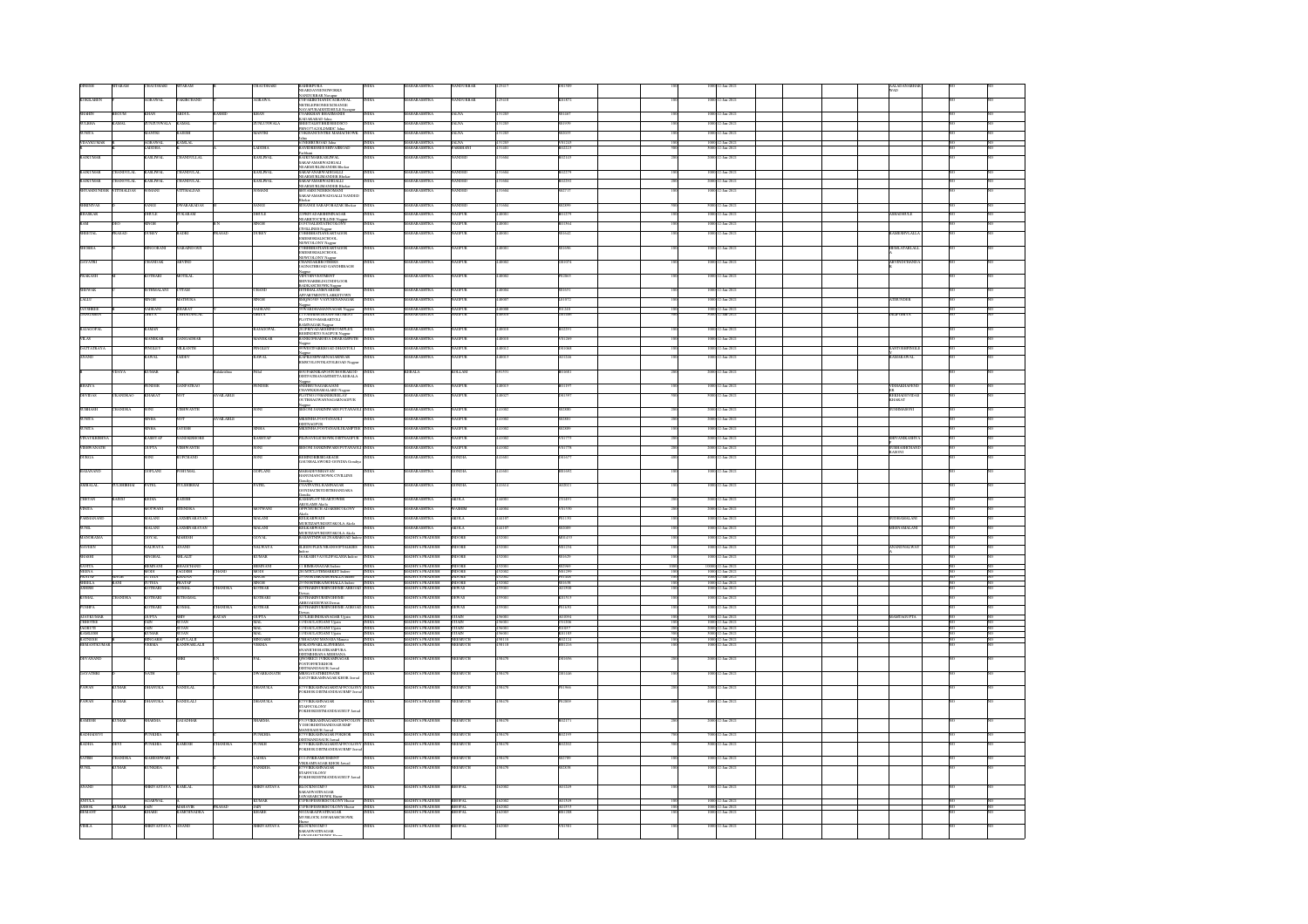|                                            |               | AUDHAR                  | ARAM                            |                | <b>IAUDHAR</b>  | IAHERPURA<br>JEARDAVEENGWORKS                                                                            |                   | HARASHTRA                                          | WDURBAR          |              |                  |  |                  |                                                          |  | AALAD/            |  |
|--------------------------------------------|---------------|-------------------------|---------------------------------|----------------|-----------------|----------------------------------------------------------------------------------------------------------|-------------------|----------------------------------------------------|------------------|--------------|------------------|--|------------------|----------------------------------------------------------|--|-------------------|--|
|                                            |               |                         |                                 |                |                 | <b>ANDURBAR Navapar<br/>OFAKIRCHANDCAGRAW/</b>                                                           |                   |                                                    |                  |              |                  |  |                  |                                                          |  | <b>WAD</b>        |  |
| OKT AR                                     |               | 0.11                    |                                 |                |                 |                                                                                                          |                   |                                                    |                  |              |                  |  |                  |                                                          |  |                   |  |
| <b>SHAHIN</b>                              |               |                         | :N1                             |                |                 | UFAKIRCHANDCAGRAW<br>RTELEPHONEEXCHANGE<br>IAVAPURADISTDHULE Na<br>OARKHAN BHAJIMANDI                    |                   | <b>ARASHTRA</b>                                    |                  |              |                  |  |                  | 58.202                                                   |  |                   |  |
|                                            |               |                         |                                 |                |                 | ADARABAD Jaina<br>HEETALHYBRIDSEEDSCO                                                                    |                   |                                                    | INA              |              |                  |  |                  |                                                          |  |                   |  |
| <b>SULBHA</b>                              | ИA            | NZUNWAL/                | WAL.                            |                | <b>NLUNWAL</b>  |                                                                                                          | DV                | HARASHTRA                                          | WХ               |              |                  |  |                  | $Jan-202$                                                |  |                   |  |
| <b>SUNITA</b>                              |               |                         | $\overline{153}$                |                | $rac{1}{2}$     | (NO77A2OLDMIDC Jalm)<br>DKISANCENTRE MAMACHOWE                                                           |                   | <b>HARASHTR</b>                                    | LNA.             |              |                  |  |                  | tan 202                                                  |  |                   |  |
| VIJAYKUMAR                                 |               | GRAWAL<br>DDHA          |                                 |                |                 | <br>  NEHRUROAD Jaha<br> AVIDRESSES SHIVAJIROAD                                                          |                   |                                                    | $_{\rm{AA}}$     |              |                  |  |                  |                                                          |  |                   |  |
|                                            |               |                         |                                 |                |                 |                                                                                                          |                   |                                                    |                  |              |                  |  |                  |                                                          |  |                   |  |
| RAJKUMA                                    |               | a iwa                   | OULLA                           |                | .<br>SI IWA     | Parbbani<br>RAJKUMARKASI JWAL<br>SARAFAMARWADIGALI                                                       |                   |                                                    | .<br>NDF         |              |                  |  |                  |                                                          |  |                   |  |
|                                            |               |                         |                                 |                |                 | <b>EARMURLIMANDIR Bb</b><br>ARAFANARWADIGALLI                                                            |                   |                                                    |                  |              |                  |  |                  |                                                          |  |                   |  |
| RAJKUMAR                                   | NDULAL        | ASLIWAL.                | ANDULAL                         |                | <b>CASLIWAL</b> |                                                                                                          | <b>STOV</b>       | <b>MAHARASHTRA</b>                                 | ANDED            |              |                  |  |                  | 1000 12-Jan-2021                                         |  |                   |  |
| <b>AJKUMAR</b>                             | )VLAI         | sliwal.                 | NDULAL                          |                | .<br>SLIWAL     | EARMURLIMANDER Blokar<br>ARAFAMARWADIGALLI                                                               |                   | <b>ARASHTR</b>                                     | WDED             |              |                  |  | 200              | J <sub>2021</sub>                                        |  |                   |  |
|                                            |               |                         |                                 |                |                 | <b>EARMURLIMANDER Bhokar</b><br>HY AMSUNDER SOMANI                                                       |                   |                                                    |                  |              |                  |  |                  | $n-202$                                                  |  |                   |  |
|                                            |               |                         |                                 |                |                 | n 1 AMMUNDERSONDUN<br>ARAFAMARWADGALLI NANDEE                                                            |                   |                                                    |                  |              |                  |  |                  |                                                          |  |                   |  |
| <b>SHRINIVAS</b>                           |               | NGI                     | <b>ARAKADA</b>                  |                | NGI             | bokar<br>DSANGI SARAFOBAZAR Bhokar                                                                       |                   | <b>HARASHTRA</b>                                   | ANDED            |              |                  |  |                  | J <sub>202</sub>                                         |  |                   |  |
| <b>BHASKAR</b>                             |               | DHULE                   | <b>EKARAM</b>                   |                | HULE            | 2PRIYADARSHININAGAR                                                                                      | <b>DIA</b>        | <b>AHARASHTRA</b>                                  | <b>AGPUR</b>     |              |                  |  |                  | $3m-202$                                                 |  | HADHULE           |  |
|                                            |               | $\overline{\text{COH}}$ |                                 |                | vан             | <b>NEARRTOCICILLINE Nagpar<br/>DI SCOALESTATECOLONY<br/>CIVILLINES Nagpar<br/>COBHBHATIANEARTAGOR</b>    | æ                 |                                                    | <b>AGPUR</b>     |              |                  |  |                  | $\frac{1}{2}$                                            |  |                   |  |
| SHEETAL                                    |               | UBEY                    | $\overline{m}$                  | <b>ASAF</b>    | <b>BEY</b>      |                                                                                                          | .<br>ma           | <b>JARASHTRA</b>                                   | AGPUR            |              |                  |  |                  | J <sub>202</sub>                                         |  |                   |  |
|                                            |               |                         |                                 |                |                 | MEMORIAL SCHOOL                                                                                          |                   |                                                    |                  |              |                  |  |                  |                                                          |  |                   |  |
| SHOBHA                                     |               | NGORANI                 | RAINDOSJ                        |                |                 | <b>EWCOLONY Names:</b><br>DBHBHATIANEARTAGOR                                                             |                   | <b>VHARASHTRA</b>                                  | <b>AGPUR</b>     |              |                  |  |                  | J <sub>202</sub>                                         |  | <b>EMLATARI</b>   |  |
|                                            |               |                         |                                 |                |                 | MEMORIAL SCHOOL                                                                                          |                   |                                                    |                  |              |                  |  |                  |                                                          |  |                   |  |
| GAYATRI                                    |               |                         |                                 |                |                 | EWCOLONY Nagpar<br>HANDAKBROTHERS<br>AGNATHROAD GANDHIBAGH                                               |                   | ASHTR)                                             | kopur            |              |                  |  |                  | Jan-202                                                  |  |                   |  |
|                                            |               |                         |                                 |                |                 | agpar<br>IFCOINVESTMENT                                                                                  |                   |                                                    |                  |              |                  |  |                  |                                                          |  |                   |  |
| PRAKASE                                    |               | <b>THAR</b>             | <b>TILAL</b>                    |                |                 | HIVHARIBLDG2NDFLOOR                                                                                      |                   | ASHTRA                                             | <b>AGPUR</b>     |              |                  |  |                  |                                                          |  |                   |  |
| <b>SHEWAK</b>                              |               |                         |                                 |                | иŃ              | ADKASCHOWK Nammer<br>ETHMALANI6NARESH                                                                    |                   |                                                    | <b>ACPUB</b>     |              |                  |  |                  | J <sub>202</sub>                                         |  |                   |  |
|                                            |               |                         |                                 |                |                 | APPARTMENTCLARKETOWN<br>SMQNOSSS VAYUSENANAGAI                                                           |                   |                                                    |                  |              |                  |  |                  |                                                          |  |                   |  |
| LALLU                                      |               |                         |                                 |                |                 | lagpar<br>9WARDHAMANNAGAR Narma                                                                          |                   |                                                    | KGPU             |              |                  |  |                  | $\frac{1}{20}$                                           |  |                   |  |
| <b>JAYSHREE</b>                            |               | <b>TADRANT</b>          | 139.57                          |                | <b>SADRANT</b>  | ASHKHTHAAPPARTME                                                                                         | ND <sub>1</sub>   | .<br>Maharashtra                                   | <b>AGPER</b>     |              |                  |  |                  | $100^{202}$                                              |  | <b>BYSIN</b>      |  |
|                                            |               |                         |                                 |                |                 | LOTNOS6MARARTOLI                                                                                         |                   |                                                    |                  |              |                  |  |                  |                                                          |  |                   |  |
| <b>RAJAGOPAL</b>                           |               | AMAN                    |                                 |                | AJAGOPAL        | AMNAGAR Nagpar<br>02PRIYADARSHINICOMPLEX                                                                 |                   | <b>MAHARASHTRA</b>                                 | <b>AGPUR</b>     |              |                  |  |                  | 1000 12-Jan-202                                          |  |                   |  |
| VILAS                                      |               | <b>ANEKAR</b>           | <b><i>NGADHAR</i></b>           |                | <b>IANEKAR</b>  | EHINDRTO NAGPUR Nagpar<br>IANKOFBARODA DHARAMPETH                                                        | <b>NDIA</b>       | <i><b>MAHARASHTRA</b></i>                          | <b>AGPUR</b>     | 0010         | 11269            |  |                  | 1000 12-Jan-2021                                         |  |                   |  |
| <b>DATTATRA</b>                            |               | GLEY                    |                                 |                | <b>GLEY</b>     | ugpar<br>)WESTPARKROAD DHANTOLI                                                                          |                   |                                                    | kan              |              |                  |  |                  | $3m-202$                                                 |  |                   |  |
|                                            |               |                         |                                 |                |                 |                                                                                                          |                   |                                                    |                  |              |                  |  |                  |                                                          |  |                   |  |
| ANANE                                      |               | wal.                    | DE'                             |                | WAL.            | öapar<br>CAPILESHWARNAGARNEAR<br>RMSCOLONYKATOLROAD Nagp                                                 |                   | <b>HARASHTRA</b>                                   | <b>AGPUR</b>     |              |                  |  |                  | Jan-2021                                                 |  | <b>MARAWA</b>     |  |
|                                            |               | MAR                     |                                 |                |                 |                                                                                                          |                   | ERALA                                              | OLLAM            |              |                  |  |                  | J <sub>202</sub>                                         |  |                   |  |
|                                            |               |                         |                                 |                |                 | SOUPARNIKAPOSTCHOORAKOD<br>DISTPATHANAMTHITTA KERALA                                                     |                   |                                                    |                  |              |                  |  |                  |                                                          |  |                   |  |
| <b>RHAIV</b>                               |               | NDER                    | PATRAC                          |                | mes             | laapar<br>NEHRUNAGARAJANI                                                                                |                   | <b>IARASHTRA</b>                                   | .<br>Milita      |              |                  |  |                  | tan 2t                                                   |  |                   |  |
| DEVIDAS                                    |               | .<br>Iawa               |                                 | All ARI F      |                 | <b>HAWKKHAMALARD Nagp</b><br><b>M</b> OTNO155BANERJEELAY                                                 |                   | seuro.                                             | <b>AGPUR</b>     |              |                  |  |                  |                                                          |  | a<br>Ekhadevi     |  |
|                                            |               |                         |                                 |                |                 | <b>JUTBHAGWANNAGARNAGPUR</b>                                                                             |                   |                                                    |                  |              |                  |  |                  |                                                          |  | KEALLY            |  |
| <b>SUBHASH</b>                             | <b>IANDRA</b> |                         | <b>ISHWANTH</b>                 |                |                 | agpar<br>BSONI JANKINIWARS FUTANAOL                                                                      | <b>DU</b>         | <b>MAHARASHTRA</b>                                 | <b>AGPUR</b>     |              |                  |  |                  | 2000 12-Jan-2021                                         |  | <b>SUSHMASONI</b> |  |
| SUNITA                                     |               |                         |                                 | <b>AILABLE</b> |                 | <b>INHA FOOTANAOL</b>                                                                                    |                   |                                                    | kopus            |              |                  |  | 200              | $tan-202$                                                |  |                   |  |
| <b>SUNITA</b>                              |               |                         |                                 |                |                 | ØSTNAGPUR<br>ØKSINHA FOOTANAOLI KAM                                                                      |                   | <b>COLORED</b>                                     | <b>AGPUR</b>     |              |                  |  |                  |                                                          |  |                   |  |
|                                            |               |                         |                                 |                |                 |                                                                                                          |                   |                                                    |                  |              |                  |  |                  |                                                          |  |                   |  |
| <b>VINAYKRISE</b>                          |               | <b>SHYAP</b>            | NDKISHORE                       |                | <b>SHYAP</b>    | <b>ILINAVELICHOWK DISTNAGPUR</b>                                                                         | <b>STYLE</b>      | <b>IAHARASHTRA</b>                                 | <b>AGPUR</b>     |              |                  |  | $\overline{200}$ | 2-Jan-2021                                               |  | <b>ANIKA</b>      |  |
| <b>VISHWANATH</b>                          |               | SUPTA                   | <b>SHWANTE</b>                  |                |                 | <b>BSONI JANKINIWARS FUTANAOLI</b>                                                                       | NDIA              | <b>VHARASHTRA</b>                                  | <b>AGPUR</b>     |              |                  |  |                  | 2000 12-Jan-2021                                         |  | <b>UBHASHCHA</b>  |  |
| DURGA                                      |               |                         | PCHAND                          |                |                 | IEHINDBIRSIGARAGE<br>IAUSHALAWORD GONDIA Gerá                                                            | VDU               | <b>HARASHTR</b>                                    | ONDIA            |              |                  |  |                  | $\frac{1}{2}$ an-2021                                    |  | RASONI            |  |
|                                            |               |                         |                                 |                |                 |                                                                                                          |                   |                                                    |                  |              |                  |  |                  |                                                          |  |                   |  |
| <b>HASANANE</b>                            |               | <b>DPI ANT</b>          | <b>HUMAL</b>                    |                | OPLANI          | AAHADEVBHAVAN<br>IANUMANCHOWK CIVILLINE                                                                  |                   | <b>HARASHTRA</b>                                   | <b>NDIA</b>      |              |                  |  |                  | Im 202                                                   |  |                   |  |
| AMBALAL                                    |               |                         | LSHIBHA                         |                |                 | onliva<br>OATPATEL RAMNAGAR                                                                              |                   | HARASHTRA                                          | <b>ONDIA</b>     |              |                  |  |                  | 3-Jan-2021                                               |  |                   |  |
|                                            | SHIBHA        | <b>ATEL</b>             |                                 |                | VTEL.           | ONDIACIRYDISTBHANDARA                                                                                    |                   |                                                    |                  |              |                  |  |                  |                                                          |  |                   |  |
| CHETAN                                     |               |                         |                                 |                |                 | ndia<br>MAPLOT NEAR                                                                                      |                   |                                                    | ЮLА              |              |                  |  |                  |                                                          |  |                   |  |
| <b>VINITA</b>                              |               | <b>JTWAN</b>            | TENDRA                          |                | <b>IOTWAN</b>   | ANN<br>KOLAMS Akola<br>PPCHURCH ADARSHCOLONY                                                             |                   | <b>AHARASHTR</b>                                   | ASHIN            |              |                  |  |                  | $tan-202$                                                |  |                   |  |
|                                            |               |                         |                                 |                |                 | kola<br>ELKARWADI                                                                                        |                   |                                                    |                  |              |                  |  |                  |                                                          |  |                   |  |
| PARMANANI                                  |               | .<br>EALANI             | .<br>XMINARAYA!                 |                | .<br>IALANI     |                                                                                                          | <b>SDIA</b>       | <b>IAHARASHTRA</b>                                 | KOLA             |              |                  |  |                  | 2-Jan-2021                                               |  | <b>DHAMALA?</b>   |  |
| <b>SUNIL</b>                               |               | .<br>EALANI             | <b>JOHNARAYAN</b>               |                | .<br>IALANI     | MURTIZAPURDISTAKOLA Akola<br>KELKARWADI                                                                  | <b>SDIA</b>       | HARASHTRA                                          | KOLA             |              |                  |  |                  | $\frac{1}{2}$                                            |  | AMALA             |  |
| <b>MANCINAM</b>                            |               | $\frac{1}{2}$           |                                 |                |                 | naad on WADI<br>MURTIZAPURDISTAKOLA Akola<br>BASANTNIWAS 2NASIAROAD Ind                                  |                   | <b>DHYA PRADES</b>                                 | OORE             |              |                  |  |                  | $3m-202$                                                 |  |                   |  |
| NAVEEN                                     |               | <b>ALWAYA</b>           | iNT                             |                | ALWAYA          | LIGDUPLEX NRANOOPTALKIES                                                                                 | <b>STYLE</b>      | <b>ANDHYA PRADESH</b>                              | <b>SDORE</b>     |              |                  |  |                  | 1000 12-Jan-2021                                         |  | <b>SDNALWA</b>    |  |
| SHASHI                                     |               | <b>SGHAL</b>            | $\overline{M}$                  |                | <b>UMAR</b>     | dore<br>SAKASH SATOLDPALASIA Indore                                                                      | <b>STYLE</b>      | <b>ANDHYA PRADESH</b>                              | <b>SDORE</b>     |              | 1620             |  |                  | 2-Jan-2021<br>1000                                       |  |                   |  |
|                                            |               |                         |                                 |                |                 | 1 BIMBANAGAR Indone                                                                                      | <b>SDIA</b>       | MADHYA PRADESH                                     | <b>NDORE</b>     |              |                  |  |                  |                                                          |  |                   |  |
| SAVITA<br>NEENA<br>PRATAP                  |               | MNANI<br><b>MODE</b>    | <b>HAGCHAND</b><br><b>GDISH</b> |                | EMNANI          | 281MTCLOTHMARKET Indore                                                                                  | NDU               |                                                    | <b>INDORE</b>    | 452000       | N01299           |  |                  | 10000 12-Jan-2021                                        |  |                   |  |
|                                            |               | TEJA                    | <b>IAJAN</b>                    |                | MODI<br>SINGH   | STATULIDTISSARKET IRGGE<br>S3NORTHRAMOHALLA Indone<br>S3NORTHRAMOHALLA Indone<br>COTHARINURSINGHOME ABRO |                   | MADHYA PRADESH<br>MADHYA PRADESH                   | NDORE            | 5200         | P01448           |  |                  | 1000 12-Jun-2021<br>1000 12-Jun-2021                     |  |                   |  |
| <b>SHEELA</b>                              |               |                         |                                 | NDR 1          |                 |                                                                                                          |                   | IADHYA PRADESH<br>IADHYA PRADESH                   | DORE<br>:WAS     |              | )1638<br>01500   |  |                  | -Jan-2021<br>-Jan-2021                                   |  |                   |  |
| KOMAL                                      |               |                         | <b>THAMA</b>                    |                |                 | ewas<br>OTHARINURSINGHOME                                                                                |                   | <b>ADHYA PRADESH</b>                               | <b>EWAS</b>      |              | $\overline{151}$ |  |                  | 2-Jan-202                                                |  |                   |  |
| PUSHPA                                     |               | THART                   | Mal                             | HANDRA         | <b>THAR</b>     | <b>BROADDEWAS Dewas</b><br>COTHARINURSINGHOME AGROA                                                      | .<br>تانا         | MADHYA PRADESH                                     | <b>JEWAS</b>     |              | 1630             |  |                  | 1000 12-Jan-2021                                         |  |                   |  |
|                                            |               |                         |                                 |                |                 |                                                                                                          |                   |                                                    |                  |              |                  |  |                  |                                                          |  |                   |  |
|                                            |               | UPTA                    |                                 | RATAN          | <b>JUPTA</b>    | Arwas<br>27LIGII INDRANAGAR Ujjain                                                                       | <b>SDL</b><br>NDL | MADHYA PRADESH                                     | JJAIN<br>JJJAIN  | 56001        | 401094<br>201206 |  |                  | 1000 12-Jan-202                                          |  | <b>MAMTAGUPTA</b> |  |
| AJAYKUMAR<br>CHHOTEE<br>JAGRUTI<br>KAMLESH |               |                         |                                 |                |                 | <b>ISDAULATGANI Ujjain<br/>ISDAULATGANI Ujjain<br/>ISDAULATGANI Ujjain</b>                               |                   | MADHYA PRADESH<br>MADHYA PRADESH<br>MADHYA PRADESH | IAIN<br>IAIN     |              |                  |  |                  | 1000 12-Jan-2021<br>2000 12-Jan-2021<br>3000 12-Jan-2021 |  |                   |  |
|                                            |               | MAR                     |                                 |                |                 |                                                                                                          |                   |                                                    |                  |              | ------<br>)1185  |  |                  |                                                          |  |                   |  |
| RATNESH<br>HEMANTKUM                       |               | <b>NGARI</b><br>ERMA    | NIWARLALJI                      |                | NGAR<br>ERMA    | SHAGANI MANASA Mari<br>OKANWARLALIIVERMA                                                                 | DU                | MADHYA PRADESH<br>MADHYA PRADESH                   | EEMUCH<br>EEMUCH | 5811<br>8118 | 01216            |  |                  | 2-Jan-2021<br> 2-Jan-2021                                |  |                   |  |
|                                            |               |                         |                                 |                |                 | <b>NANICHOHATIRAMPURA</b>                                                                                |                   |                                                    |                  |              |                  |  |                  |                                                          |  |                   |  |
| DEVANAN                                    |               |                         |                                 |                |                 | OSTMEHSANA MEHSANA<br>(NOSRE211VIKRAMNAGA<br>OSTOFFICEKHOR<br>OSTMANDSAUR Jawad<br>ØRSGAYATHRIDNATH      |                   | <b>VDHYA PRADESH</b>                               | EEMUCH           |              |                  |  |                  | $tan-202$                                                |  |                   |  |
|                                            |               |                         |                                 |                |                 |                                                                                                          |                   |                                                    |                  |              |                  |  |                  |                                                          |  |                   |  |
| GAYATHRI                                   |               | vтн                     |                                 |                | ARKANAT         | RSGATATIREDNATH<br>AS2VIKRAMNAGAR KHOR Jawad                                                             |                   | <b>ANDHYA PRADESH</b>                              | <b>EEMUCH</b>    |              |                  |  |                  | $\frac{1}{2}$ an-2021                                    |  |                   |  |
| 'AWAN                                      |               | NUKA                    | DLAL                            |                | NUKA            | VIKRAMNAGARSTAFFCOLC                                                                                     |                   | <b>DHYA PRADESE</b>                                | SMUCH            |              |                  |  |                  | $an-202$                                                 |  |                   |  |
|                                            |               |                         |                                 |                |                 | OKHOR DISTMANDSAURMP Jaw                                                                                 |                   |                                                    |                  |              |                  |  |                  |                                                          |  |                   |  |
| PAWAN                                      |               | wuk                     | <b>DLAL</b>                     |                | entka           | :75VIKRAMNAGAR<br>TAFFCOLONY                                                                             |                   | <b>VDHYA PRADESE</b>                               | EMUCH            |              |                  |  |                  |                                                          |  |                   |  |
|                                            |               |                         |                                 |                |                 | OKHORDISTMANDSAURUP Jane                                                                                 |                   |                                                    |                  |              |                  |  |                  |                                                          |  |                   |  |
| RAMESH                                     | MA            | ARMA                    | JADHA                           |                | <b>LARM</b>     | 315VIKRAMNAGARSTAFFCOLON                                                                                 | <b>NDLA</b>       | <b>AADHYA PRADESH</b>                              | EEMUCH           |              |                  |  |                  | 2-Jan-202                                                |  |                   |  |
|                                            |               |                         |                                 |                |                 |                                                                                                          |                   |                                                    |                  |              |                  |  |                  |                                                          |  |                   |  |
| <b>ADHADEV</b>                             |               |                         |                                 |                |                 | / DHORDISTMANDSASURMP<br>ANNDSASUR Jawad<br>:75VIKRAMNAGAR POKHOR                                        |                   | <b>HYA PRADES</b>                                  | EMUCH            |              |                  |  |                  |                                                          |  |                   |  |
| RADHA                                      |               | <b>NKHIA</b>            |                                 | NDR à          | .<br>NKH        | STMANDSAUR<br>ISTMANDSAUR Jawad<br>75VIKRAMNAGARSTAFFCOLON                                               |                   | <b>ADHYA PRADESH</b>                               | EEMUCH           |              |                  |  |                  | $\frac{1}{2}$ an-2021                                    |  |                   |  |
|                                            |               |                         |                                 |                |                 | OKHOR DISTMANDSAURMP Jaw                                                                                 |                   |                                                    |                  |              |                  |  |                  |                                                          |  |                   |  |
|                                            |               |                         |                                 |                |                 | 14VIKRAMCEMENT                                                                                           |                   | <b>ANDHYA PRADES</b>                               | EMUCH            |              |                  |  |                  | $3m-202$                                                 |  |                   |  |
| SUNII                                      |               |                         |                                 |                |                 |                                                                                                          |                   | <b>HYA PRADESP</b>                                 | місн             |              |                  |  |                  | $tan-202$                                                |  |                   |  |
|                                            |               |                         |                                 |                |                 | VIKRAMNAGAR KHOR Jawad<br>E7SVIKRAMNAGAR<br>STAFFCOLONY<br>POKHORDISTMANDSAURUP Jawa                     |                   |                                                    |                  |              |                  |  |                  |                                                          |  |                   |  |
|                                            |               |                         |                                 |                |                 |                                                                                                          |                   |                                                    |                  |              |                  |  |                  |                                                          |  |                   |  |
| ANAND                                      |               | RIVASTAV                | <b>MLAL</b>                     |                | RIVASTAVA       | BLOCKNO2M33<br>ARASWATINAGAR                                                                             |                   | <b><i>AADHYA PRADESH</i></b>                       | <b>HOPAI</b>     |              |                  |  |                  | J <sub>20</sub> 202                                      |  |                   |  |
|                                            |               |                         |                                 |                |                 | <b>AWAHARCHOWK Hun</b><br>TPROFESSORSCOLOM                                                               |                   |                                                    |                  |              |                  |  |                  |                                                          |  |                   |  |
| ANJULA<br>ASHOK<br>HEMANT                  | <b>KUMAR</b>  | <b>AGARWAI</b>          | <b>MAHAVIR</b>                  | <b>PRASAD</b>  |                 | C1PROFESSORSCOLONY Huzur                                                                                 | INDIA             | <b>MADHYA PRADESP</b><br><b>MADHYA PRADESH</b>     | НОРА<br>BHOPAL   | 462002       |                  |  |                  | 1000 12-Jan-20<br>1000 12-Jan-2021                       |  |                   |  |
|                                            |               | <b>HARE</b>             | <b>MCHNADRA</b>                 |                | HARE            | <b>@2SARASWATINAGAR</b>                                                                                  | <b>SDIA</b>       | <b>MADHYA PRADESH</b>                              | HOPAL            | .<br>2003    | 11208            |  |                  | 3 <sub>202</sub><br>1000                                 |  |                   |  |
|                                            |               |                         |                                 |                |                 | <b>(33BLOCK JAWAHARCHOWK</b>                                                                             |                   |                                                    |                  |              |                  |  |                  |                                                          |  |                   |  |
|                                            |               |                         |                                 |                |                 | Huzur<br>BLOCKNO2M33<br>SARASWATINAGAR                                                                   |                   |                                                    |                  |              |                  |  |                  |                                                          |  |                   |  |
|                                            |               |                         |                                 |                |                 |                                                                                                          |                   |                                                    |                  |              |                  |  |                  |                                                          |  |                   |  |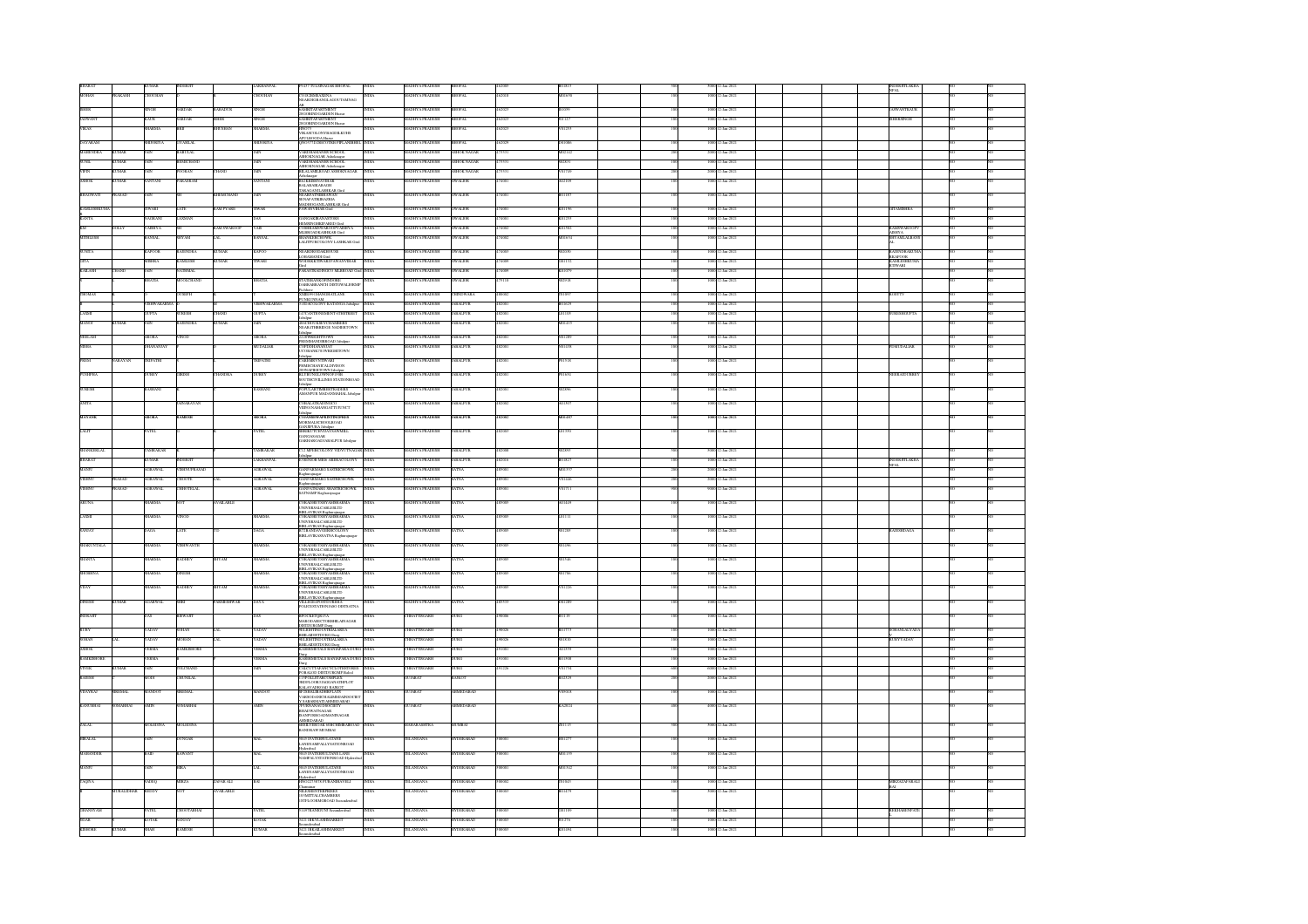|                   |               |                      |                      |                |                | HOPAL                                                                                                                                              |              | A PRADESE                    |                          |  |  |                   |                     |  |  |                              |  |  |
|-------------------|---------------|----------------------|----------------------|----------------|----------------|----------------------------------------------------------------------------------------------------------------------------------------------------|--------------|------------------------------|--------------------------|--|--|-------------------|---------------------|--|--|------------------------------|--|--|
|                   |               |                      |                      |                | <b>KNIFA</b>   | <b>ISPRANSAYENA</b><br>ARDIGBANGLAGOUTAMNAG                                                                                                        |              | <b>DHYA PRADESH</b>          | <b>HOPA</b>              |  |  |                   |                     |  |  |                              |  |  |
|                   |               | æн                   | RDAR                 | <b>ADITR</b>   | KGH            | <b>MRITAPARTMENT</b>                                                                                                                               |              | <b>MADHYA PRADESH</b>        | HOPAL                    |  |  |                   | Im(202)             |  |  | <b>ISWANTKAUL</b>            |  |  |
| <b>SWANT</b>      |               | GUR                  | <b>RDAR</b>          |                | SGH            | SGOBINDGARDEN Huzur<br>AMRITAPARTMENT                                                                                                              |              | <b>MADHYA PRADESH</b>        | HOPAL                    |  |  | 1000              | 2021                |  |  | SHERSINGH                    |  |  |
|                   |               | 101                  |                      |                |                | <b>SINDGARDEN Huzu</b>                                                                                                                             |              | <b>DHYA PRADE:</b>           | <b>HOPA</b>              |  |  |                   |                     |  |  |                              |  |  |
|                   |               |                      |                      |                |                | <b>IKASCOLONYBAGDE.KUHS</b>                                                                                                                        |              |                              |                          |  |  |                   |                     |  |  |                              |  |  |
| DAYARAM           |               | <b>TORTY</b>         | <b>ASLAL</b>         |                | <b>ORIVA</b>   | PULBOGDA Hurar<br>NO377D2SECOTRB PIPLANIB                                                                                                          |              | <b>DHYA PRADESE</b>          | HOPAT                    |  |  |                   |                     |  |  |                              |  |  |
| <b>MAHENDRA</b>   | CEMAR         |                      | <b>ABULAL</b>        |                |                | ARDHAMANHS SCHOOL                                                                                                                                  | <b>SDIA</b>  | <b>MADHYA PRADESH</b>        | <b>SHOK NAGAR</b>        |  |  | 2000              | $34m-202$           |  |  |                              |  |  |
| <b>UNIL</b>       |               |                      | <b><i>IICHAN</i></b> |                |                | SHOKNAGAR Ashoknagar<br>TARDHAMANHS SCHOOL                                                                                                         |              | <b><i>ADHYA PRADESE</i></b>  | <b>SHOK NAGA</b>         |  |  | $\frac{100}{100}$ | Jan-20.             |  |  |                              |  |  |
| $\overline{m}$    |               |                      |                      |                |                | SHOKNAGAR Ashokmagar<br>IILALAMILROAD ASHOKN<br>m                                                                                                  |              | <b>MADHYA PRADES</b>         | <b>SHOK NAGA</b>         |  |  | $\frac{1}{200}$   |                     |  |  |                              |  |  |
| ASHOK             | <b>TMAP</b>   | .<br>NTANI           | <b>ARASPAM</b>       |                | <b>NTAP</b>    | abokmagar<br>62KRISHNAVIHAR                                                                                                                        |              | <b>MADHYA PRADESH</b>        | WALIOR                   |  |  |                   | $_{\rm obs, 20}$    |  |  |                              |  |  |
|                   |               |                      |                      |                |                | <b>BALARAIKARAGH</b>                                                                                                                               |              |                              |                          |  |  |                   |                     |  |  |                              |  |  |
| <b>BHAGWATI</b>   | RASAD         |                      |                      | MCHAND         |                | ARAGANJLASHKAR C<br>EARPATNIBHAWAN                                                                                                                 | <b>SDIA</b>  | <b>ADHYA PRADESH</b>         | WALIOR                   |  |  |                   | $3m-202$            |  |  |                              |  |  |
|                   |               |                      |                      |                |                | ENAPATIKIBAZRIA                                                                                                                                    |              |                              |                          |  |  |                   |                     |  |  |                              |  |  |
| AMLESHKU          |               | a'ari                | Œ                    | AM PYARE       | NAR.           | IADHOGANILASHKAR Gird<br>AWANVIHAR Gird                                                                                                            | NDIA         | MADHYA PRADESH               | <b>WALIOR</b>            |  |  |                   | $-$ Jan-202         |  |  | <b>ITAMISHRA</b>             |  |  |
|                   |               | GRAN                 |                      |                |                | <b>CAVID ANACTORS</b>                                                                                                                              |              | <b>DHYA PRADE</b>            | VALIOI                   |  |  |                   |                     |  |  |                              |  |  |
|                   |               | <b>ISHYA</b>         |                      | <b>SWAROO</b>  |                | <b>MSINGHKIPARED Gin</b><br>ISHRAMSWAROOPVAL                                                                                                       | <b>SDIA</b>  | <b>ADHYA PRADES</b>          | VALIOR                   |  |  |                   | $-20$               |  |  |                              |  |  |
| <b>ITHLESH</b>    |               | <b>NSAL</b>          | <b>IYAM</b>          |                | .<br>Weal      | <b>LBROADKASHKAR Gird</b><br>JANKERCHOWK                                                                                                           | NDIA         | <b>IADHYA PRADESH</b>        | WALIOR                   |  |  | 100               | $3m-202$            |  |  | .<br>SHYAMLALBAN             |  |  |
|                   |               |                      |                      |                |                | ALITPURCOLONY LASHKAR Gird                                                                                                                         |              |                              |                          |  |  |                   |                     |  |  |                              |  |  |
|                   |               |                      |                      |                |                | ARDRODAKHOUS                                                                                                                                       |              | <b>IADHYA PRADE</b>          | WALIOR                   |  |  |                   |                     |  |  | <b>RKAPOOR</b><br>KAMLESHKUI |  |  |
|                   |               | .<br>Shipa           | <b>AMI FSH</b>       | $\overline{a}$ | wani           | OHAMANDI Ginl<br>FODRKKTIWARI PAWANVIHAR                                                                                                           | <b>STYLE</b> | <b>MADHYA PRADESE</b>        | WALIOR                   |  |  |                   |                     |  |  | <b>CTIWARI</b>               |  |  |
| .<br>CAIL ASH     |               |                      | <b>ATHMAI</b>        |                |                | rd<br>JRASTRADINGCO MLBROAD Grd  INDIA                                                                                                             |              | <b>MADHYA PRADESH</b>        | WALIOR                   |  |  | 1000              | $Jan-202$           |  |  |                              |  |  |
|                   |               | <b>IATIA</b>         | OOLCHAND             |                |                | TATEBANKOFINDORE<br>MBRABRANCH DISTOWALIORMP                                                                                                       |              | <b>IADHYA PRADESE</b>        | VALIOR                   |  |  |                   | $tan-202$           |  |  |                              |  |  |
|                   |               |                      |                      |                |                | .<br>HMANGHATLANE                                                                                                                                  |              |                              |                          |  |  |                   |                     |  |  |                              |  |  |
|                   |               |                      | SEPH                 |                |                | INKUNNAM<br>JDACOLONY KATAM                                                                                                                        |              | <b>ADHYA PRADESP</b>         |                          |  |  |                   | $tan-202$           |  |  |                              |  |  |
|                   |               |                      |                      |                |                |                                                                                                                                                    |              |                              |                          |  |  |                   |                     |  |  |                              |  |  |
| <b>AYMI</b>       |               | <b>HPTA</b>          | <b>REG</b>           |                | <b>TPTA</b>    | <b>CANTONEMENT STHSTREET</b>                                                                                                                       | <b>NDIA</b>  | <b><i>MADHYA PRADESH</i></b> | <b>ARAI PUR</b>          |  |  |                   | tan 20              |  |  | <b>IDCOMOFIST</b>            |  |  |
| <b>MANOJ</b>      | <b>IMA</b>    |                      | <b>AJENDRA</b>       | MN             |                | abalpur<br>DSCHOUKSEYCHAMBERS<br><b>EAR4THBRIDGE NADIERTOWN</b>                                                                                    | NDIA         | <b>MADHYA PRADESH</b>        | <b>ABALPUR</b>           |  |  |                   | -<br>-<br>Jan-202   |  |  |                              |  |  |
|                   |               |                      | NOE                  |                |                | balpar<br>?28WRIGHTTOWN                                                                                                                            |              |                              |                          |  |  |                   |                     |  |  |                              |  |  |
| NEELAM<br>encu s  |               | RORA                 |                      |                | RORA           | <b>EMMANDIRROAD Jabalpur</b><br>JPDDHANANJAY                                                                                                       | <b>DIA</b>   | MADHYA PRADESH               | <b>ABALPUR</b><br>BALPUR |  |  |                   | Man-202             |  |  |                              |  |  |
|                   |               |                      |                      |                | <b>UDALIAR</b> | <b>COBANK781WRIGHITOWN</b>                                                                                                                         |              | <b>IADHYA PRADESE</b>        |                          |  |  |                   | $\frac{1}{2}$ an-20 |  |  |                              |  |  |
| PREM              | <b>VRAYAN</b> | <b>EPATHI</b>        |                      |                | RIPATHI        | ibiltur.<br>AREMRVNTIWARI                                                                                                                          |              | <b>IADHYA PRADESH</b>        | <b>ABALPUR</b>           |  |  |                   | J <sub>202</sub>    |  |  |                              |  |  |
|                   |               |                      |                      |                |                | HMECHANICALDIVISON                                                                                                                                 |              |                              |                          |  |  |                   |                     |  |  |                              |  |  |
| <b>USHPHA</b>     |               | <b>UBEY</b>          | RISH                 | <b>JANDRA</b>  | UBEY           | SWAPIERTOWN Jabalpar<br>LYBUNGLOWNOF150B<br>OUTHCIVILLINES STATIONROAD                                                                             | <b>DIA</b>   | <b>ANDHYA PRADESH</b>        | <b>BALPUR</b>            |  |  |                   | 3-Jan-2021          |  |  | EERAIDUBBE                   |  |  |
| RESE              |               |                      |                      |                |                |                                                                                                                                                    |              | <b>HYA PRADESI</b>           | <b>BALPUR</b>            |  |  |                   |                     |  |  |                              |  |  |
|                   |               |                      |                      |                |                | ibilpur<br>OPULARTIMBERTRADERS<br>MANPUR MADANMAHAL Jabah                                                                                          |              |                              |                          |  |  |                   |                     |  |  |                              |  |  |
| <b>NITA</b>       |               |                      | INARAYAN             |                |                | OBALATRADINGCO                                                                                                                                     |              | <b>IADHYA PRADESH</b>        | <b>ABALPUR</b>           |  |  |                   | $3m-202$            |  |  |                              |  |  |
|                   |               |                      |                      |                |                | ISO1NAMANGATTUJUNCT                                                                                                                                |              |                              |                          |  |  |                   |                     |  |  |                              |  |  |
| IAYANK            |               | RORA                 |                      |                | RORA           | HOUSE<br>COLORSEWAPRINTINGPRES<br>COLORSEWAPRINTINGPRES<br>CORMALSCHOOLROAD<br>ANIPURA Jabalpur<br>HRIKUTCHVIJAYSAWMILL                            |              | <b>AADHYA PRADESH</b>        | <b>BALPUR</b>            |  |  |                   | $-$ lan $-202$      |  |  |                              |  |  |
| $\overline{M}$ IT |               | <b>TEL</b>           |                      |                | <b>TFI</b>     |                                                                                                                                                    |              | <b>MADHYA PRADESH</b>        | <b>ARAI PITR</b>         |  |  |                   |                     |  |  |                              |  |  |
|                   |               |                      |                      |                |                | <b>INGASAGAR</b><br><b>ARHAROADIABALPUR Jahalmar</b>                                                                                               |              |                              |                          |  |  |                   |                     |  |  |                              |  |  |
|                   |               |                      |                      |                |                |                                                                                                                                                    |              |                              |                          |  |  |                   |                     |  |  |                              |  |  |
|                   |               | MRAKAI               |                      |                |                | 2 MPEBCOLO                                                                                                                                         |              | A PRADESI                    | uru                      |  |  |                   |                     |  |  |                              |  |  |
|                   |               | MAR                  |                      |                | <b>KHANPA</b>  | sipar<br>SENIOR MIG6 ARERACOLONY                                                                                                                   |              | <b>IADHYA PRADESH</b>        | <b>BALPUR</b>            |  |  |                   |                     |  |  | NDERJITLAR                   |  |  |
|                   |               | <b>GRAWA</b>         | <b>INUPRAS</b>       |                | <b>GRAWAI</b>  | <b>NPARMARG SASTRICHOWK</b>                                                                                                                        |              | <b>ADHYA PRADES</b>          | <b>ATNA</b>              |  |  |                   |                     |  |  |                              |  |  |
|                   |               | <b>JRAWAL</b>        |                      |                | <b>RAWAL</b>   | ghurajnagar<br>ANPARMARCI SAST<br><b>K'HOWK</b>                                                                                                    |              | <b>DHYA PRADES</b>           | TNA                      |  |  |                   |                     |  |  |                              |  |  |
| KHN               | 1624          | <b>GRAWAL</b>        | <b>HHOTELAL</b>      |                | <b>GRAWAL</b>  | aghurajnagar<br>IANPATMARG SHASTRICHOWK                                                                                                            | <b>INDIA</b> | <b>JADHYA PRADESH</b>        | <b>ATNA</b>              |  |  | one               | $34m-202$           |  |  |                              |  |  |
|                   |               |                      |                      |                |                | ATNAMP Raghurajnagar                                                                                                                               |              |                              |                          |  |  |                   |                     |  |  |                              |  |  |
|                   |               |                      |                      |                |                | ORADHEYSHYAMSHAF<br>NIVERSALCABLESLTD                                                                                                              |              |                              |                          |  |  |                   |                     |  |  |                              |  |  |
| AXMI              |               | <b>LARMA</b>         |                      |                | <b>ARMA</b>    | <b>IRLAVIKAS Rushuminusae</b><br>ORADHEYSHY AMSHARMA                                                                                               |              | <b>ADHYA PRADESH</b>         | <b>TN</b>                |  |  |                   |                     |  |  |                              |  |  |
|                   |               |                      |                      |                |                | INVERSALCABLESLTD                                                                                                                                  |              |                              |                          |  |  |                   |                     |  |  |                              |  |  |
| NJAY              |               | КGA                  |                      |                | AGA            | (NIVERSALL ABLESL ID)<br>IBLAVIKAS Ragharajnagar<br>172BANDAVGERHCOLONY<br>IBLAVIKASSATNA Ragharajnagar                                            |              | <b>ADHYA PRADESH</b>         | ATNA                     |  |  |                   | $tan-20$            |  |  |                              |  |  |
|                   |               |                      |                      |                |                |                                                                                                                                                    |              |                              |                          |  |  |                   |                     |  |  |                              |  |  |
| <b>HAKUNTAL</b>   |               | ARM                  |                      |                |                | ORADHEYSHY AMSHARMA<br>NIVERSALCABLESLTD<br>IRLAVIKAS Ragharajnagar<br>ORADHEYSHY AMSHARMA                                                         |              | DHYA PRADESP                 |                          |  |  |                   |                     |  |  |                              |  |  |
|                   |               | <b>LARM</b>          |                      |                |                |                                                                                                                                                    |              | <b>HYAPRADESI</b>            |                          |  |  |                   |                     |  |  |                              |  |  |
|                   |               |                      |                      |                |                | <b>NIVERSALCABLESLTD</b>                                                                                                                           |              |                              |                          |  |  |                   |                     |  |  |                              |  |  |
| <b>JOBHNA</b>     |               | <b>LARMA</b>         | NESH                 |                | <b>LARMA</b>   | <b>IRLAVIKAS Raghungnagar</b><br>CORADHEYSHY AMSHARMA<br>INIVERSALC ABLESLTD                                                                       |              | <b>AADHYA PRADESH</b>        | ATNA                     |  |  |                   | J <sub>20</sub>     |  |  |                              |  |  |
|                   |               | <b>ARMA</b>          |                      |                |                | HRLAVIKAS Raghurajnagar<br>YORADHEYSHY AMSHAR)<br>INIVERSALCABLESLTD                                                                               |              | <b>HYA PRADESI</b>           |                          |  |  |                   |                     |  |  |                              |  |  |
|                   |               |                      |                      |                |                |                                                                                                                                                    |              |                              |                          |  |  |                   |                     |  |  |                              |  |  |
| <b>XNESH</b>      | <b>MAR</b>    | <b><i>GARWAL</i></b> |                      |                | <b>V۵</b>      | <b>IRLAVIKAS Radurainara</b><br>/ILLEGE4POSTDUREHA                                                                                                 |              | <b>ADHYA PRADESH</b>         | ATNA                     |  |  |                   | J <sub>20</sub>     |  |  |                              |  |  |
|                   |               |                      |                      |                |                | <b>OLICESTATIONIASO DISTSATNA</b>                                                                                                                  |              |                              |                          |  |  |                   |                     |  |  |                              |  |  |
| NDRAJIT           |               |                      | SWAJIT               |                |                | SPOCKETQR15A<br>MARODASECTORBHILAINAGAR<br>DISTDURGMP Dar<br>"ELIGHTINDUSTRIAL-REA                                                                 | <b>DIA</b>   | <b>HATTISGARI</b>            | URG                      |  |  |                   | -Jan-2021           |  |  |                              |  |  |
| <b>UBY</b>        |               | .<br>DAN             |                      |                |                |                                                                                                                                                    |              |                              | RG                       |  |  |                   |                     |  |  | <b>ANLALY</b>                |  |  |
| SOHAN             |               | <b>IDAY</b>          | KHAN                 |                | ADAV           | HLADISTDURG Darg<br>ELIGHTINDUSTRIALAREA                                                                                                           | <b>NDIA</b>  | <b>HATTISGARE</b>            | <b>ATRG</b>              |  |  | 100               | $3m-2021$           |  |  | ,<br>UBYYADAN                |  |  |
| <b>SHOK</b>       |               | RMA                  | MKISHORE             |                | ERMA           | HILAIDISTDURG Darg<br>ASERMETALS BANIAPARA DUR                                                                                                     | <b>TITA</b>  | TISGARI                      | URG                      |  |  |                   | $tan-202$           |  |  |                              |  |  |
| AMKTSHO           |               | ERMA                 |                      |                | :<br>RMA       | ur<br>ASERMETALS BANIAPARA DURG                                                                                                                    |              |                              | URG.                     |  |  |                   | $3m-202$            |  |  |                              |  |  |
|                   | <b>MAI</b>    |                      |                      |                |                | <b>SIZUTTAFANCYCLOTHSTORES</b>                                                                                                                     | .<br>تان     | <b>TISCLARE</b>              | URG                      |  |  | m                 |                     |  |  |                              |  |  |
| <b>VIVEK</b>      |               |                      | <b>LCHAND</b>        |                |                |                                                                                                                                                    |              |                              |                          |  |  |                   | $3m-202$            |  |  |                              |  |  |
| <b>PATESH</b>     |               | $\overline{m}$       | <b>TINE AI</b>       |                |                | POBALOD DISTDURGMP Balod<br>11 SPOLLSTARCOMPLEX<br>SRDFLOOR3JAGGANATHPLOT                                                                          |              | <b>TARA</b>                  | ukor                     |  |  |                   |                     |  |  |                              |  |  |
| VIJAYRAJ          | SIREMAL       | EANDOT               | REMAL                |                | <b>JANDO</b>   | RDFLOORSOMADENATHFLOT<br>EALAVADROAD RAJKOT<br>F2SHALIBADHRFLATS<br>/ARSODANICHALIMMJAINSOCIET                                                     |              | <b>GUJARAT</b>               | HMEDABAD                 |  |  |                   | 3-Jan-2021          |  |  |                              |  |  |
|                   |               |                      |                      |                |                |                                                                                                                                                    |              |                              |                          |  |  |                   |                     |  |  |                              |  |  |
|                   |               |                      |                      |                |                |                                                                                                                                                    |              |                              |                          |  |  |                   |                     |  |  |                              |  |  |
|                   |               |                      |                      |                |                |                                                                                                                                                    |              |                              |                          |  |  |                   |                     |  |  |                              |  |  |
| ALAL              |               | LEDIN                | <b>EDIN</b>          |                |                | ARGODANNE TALISMADA<br>SABARMATI AHMEDARAD<br>"URNANAUDSOCIETY<br>ANFURROADMANINAGAR<br>ANFURROADMANINAGAR<br>BMEDABAD<br>BSILVEROAK 60BCHIMBAIRO/ |              | <b>HARASHTRA</b>             | <b>JUMBAI</b>            |  |  |                   |                     |  |  |                              |  |  |
|                   |               |                      |                      |                |                | ANDRAW MUMBAL                                                                                                                                      |              |                              |                          |  |  |                   |                     |  |  |                              |  |  |
| RALAI             |               |                      |                      |                |                | 8451FATEHSULATANE<br>ANENAMPALLYSATIONROAD                                                                                                         |              |                              | DERABAD                  |  |  |                   |                     |  |  |                              |  |  |
|                   |               |                      |                      |                |                |                                                                                                                                                    |              |                              | DERABAI                  |  |  |                   |                     |  |  |                              |  |  |
|                   |               |                      |                      |                |                | derabad<br>451FATEHSULTANE LANE<br>MPALYSTATIONROAD Hys                                                                                            |              |                              |                          |  |  |                   |                     |  |  |                              |  |  |
|                   |               |                      |                      |                |                | <b><i>ESTEATERSULATANE</i></b>                                                                                                                     |              | ANGANA                       | DERABAD                  |  |  |                   |                     |  |  |                              |  |  |
|                   |               |                      |                      |                |                | NENAMPALLYSATIONROAD                                                                                                                               |              |                              |                          |  |  |                   |                     |  |  |                              |  |  |
| <b>AQIYA</b>      |               | <b>IDEQ</b>          | RΖΑ                  | AR ALI         |                | derabad<br>(O2273878 PURA)<br><b>AVELI</b>                                                                                                         |              |                              | DERABAI                  |  |  |                   |                     |  |  | <b>IRZAZAFAR</b>             |  |  |
|                   |               |                      |                      | <b>MLABLE</b>  |                | harminar<br>ILESHENTERPRISES<br>03MITTALCHAMBERS<br>STFLOORMGROAD See                                                                              |              |                              | ERABA                    |  |  |                   |                     |  |  |                              |  |  |
|                   |               |                      |                      |                |                |                                                                                                                                                    |              |                              |                          |  |  |                   |                     |  |  |                              |  |  |
| <b>HANSYAM</b>    |               | ATEL.                | HOOTABHAI            |                | VTEL           | 1497RANIGUNJ Secunderabad                                                                                                                          | <b>DIA</b>   | <b>TELANGANA</b>             | YDERABAD                 |  |  |                   | -Jan-2021           |  |  | REKHABENPAT                  |  |  |
|                   |               | <b>OTAK</b>          | NJA'Y                |                | <b>TAK</b>     | 211BKYLASHMARKET                                                                                                                                   | <b>DIA</b>   | ELANGANA                     | DERABAD                  |  |  |                   | $3m-202$            |  |  |                              |  |  |
|                   |               |                      |                      |                |                | underabad<br>!I I BKAILASHMARKET                                                                                                                   |              |                              | ERABA                    |  |  | 100               |                     |  |  |                              |  |  |
|                   |               |                      |                      |                |                |                                                                                                                                                    |              |                              |                          |  |  |                   |                     |  |  |                              |  |  |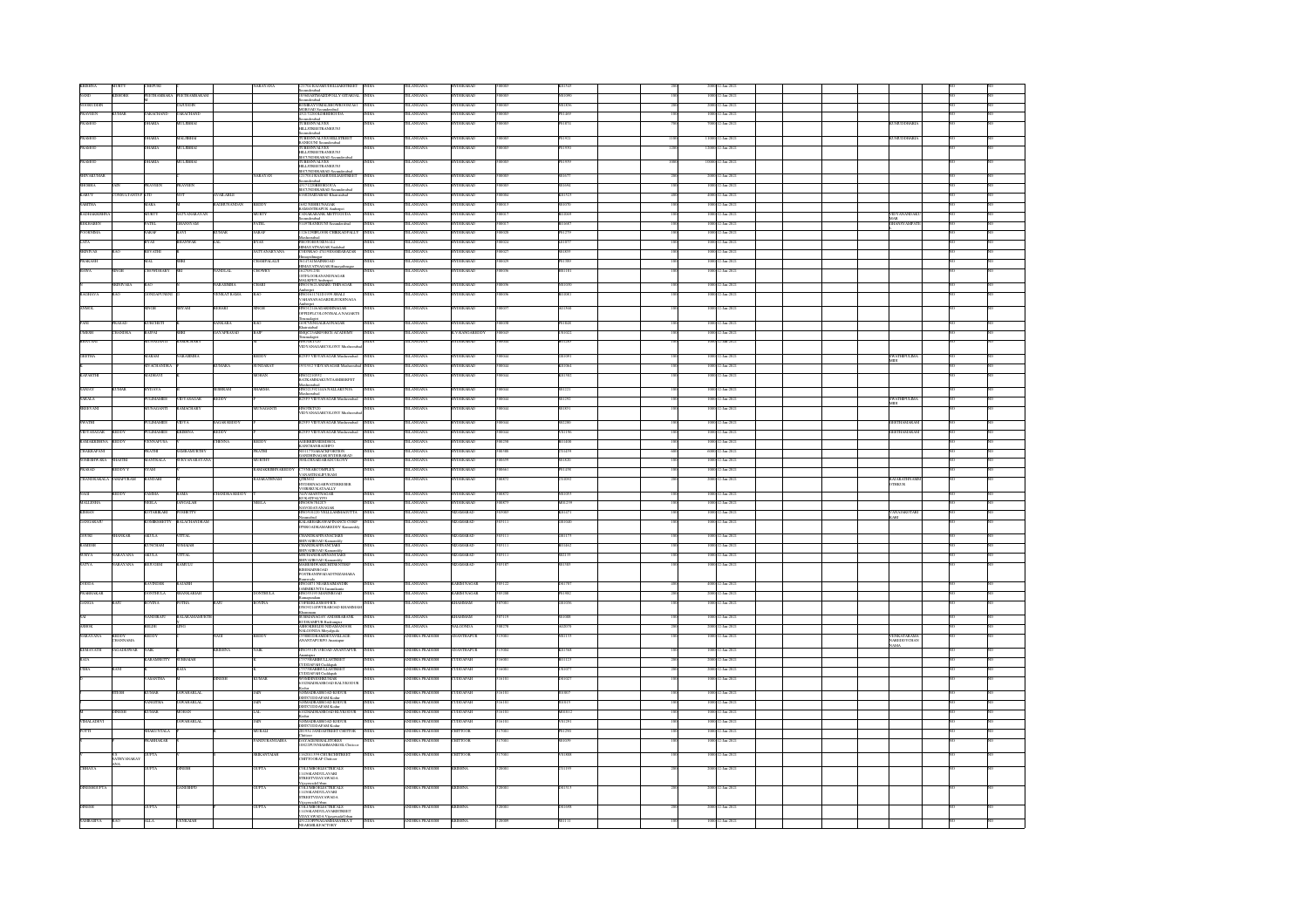|                  |                           |                   |                    |                  | ARAYANA           | 21704 RAJAMUDELLIARSTREET                                                                                                  | <b>INDIA</b>                  | ELANGANA              | YDERABAD          |        |         |                                 |  |  |                            |  |  |
|------------------|---------------------------|-------------------|--------------------|------------------|-------------------|----------------------------------------------------------------------------------------------------------------------------|-------------------------------|-----------------------|-------------------|--------|---------|---------------------------------|--|--|----------------------------|--|--|
|                  |                           |                   |                    |                  |                   | cunderabad<br>36EASTMAIZDPOLLY                                                                                             |                               |                       |                   |        |         |                                 |  |  |                            |  |  |
| <b>OORLDD</b>    |                           |                   |                    |                  |                   | underabad<br>MBAYVIMALSHOWROOM A6                                                                                          |                               |                       | <b>DERARAI</b>    |        |         |                                 |  |  |                            |  |  |
|                  |                           |                   |                    |                  |                   | <b>JOMers .</b><br>sKROAD Secundershad<br>***172200LDBHDKKUDA                                                              |                               |                       |                   |        |         |                                 |  |  |                            |  |  |
| PRAVEEN          | MAR                       | ARACHAND          | <b>TARACHAND</b>   |                  |                   |                                                                                                                            | NDIA                          | TELANGANA             | <b>IYDERABAD</b>  |        | 1000    | $34m-202$                       |  |  |                            |  |  |
| PRAMOD           |                           | <b>IARL</b>       | LUBHA              |                  |                   | cunderabad<br>IBESNVALVES<br><b>HILLSTREETRANIGUNI</b>                                                                     |                               | <b>LANGAN</b>         | DERABAD           |        |         |                                 |  |  |                            |  |  |
|                  |                           |                   |                    |                  |                   |                                                                                                                            |                               |                       |                   |        |         |                                 |  |  |                            |  |  |
| PRAMOD           |                           | HARIA             | <b>ALJBHAI</b>     |                  |                   | ecunderabad<br>UBESNVALVES HILLSTREET                                                                                      | <b>INDIA</b>                  | ELANGANA              | <b>TERABAD</b>    |        |         | 11000 12-Jan-202                |  |  | <b>UMUDDHARI</b>           |  |  |
| RAMOD            |                           |                   |                    |                  |                   | RANIGUNI Secunderabad<br>TUBESNVALVES<br>HILLSTREETRANIGUNI                                                                |                               |                       | DERARAE           |        |         |                                 |  |  |                            |  |  |
|                  |                           |                   |                    |                  |                   | ECUNDERABAD Secu<br>UBESNVALVES                                                                                            |                               |                       |                   |        |         |                                 |  |  |                            |  |  |
| PRAMOD           |                           | HARIA             | <b>RTJIBHAI</b>    |                  |                   | HILL STREETRANICUM.                                                                                                        | <b>NDIA</b>                   | ELANGANA              | YDERABAD          |        | 10000   | J <sub>202</sub>                |  |  |                            |  |  |
| SHIVAKUMAR       |                           |                   |                    |                  | ARAYAN            | ECUNDERABAD Secunderabad<br>217014 RAJAMUDELIASSTREET                                                                      | <b>INDIA</b>                  | TELANGANA             | <b>IYDERABAD</b>  |        |         | 2000 12-Jan-202                 |  |  |                            |  |  |
|                  |                           |                   |                    |                  |                   | cunderabad<br>1171220BHOIGOUA                                                                                              |                               |                       |                   |        |         |                                 |  |  |                            |  |  |
| <b>IOBHA</b>     |                           | AVEEN             | RAVEEN             |                  |                   |                                                                                                                            | NDIA                          | LANGANA               | YDERABAD          |        | 10001   | $3\text{-}$ lan $-2021$         |  |  |                            |  |  |
| ARUY             |                           |                   |                    | All ABLE         |                   | ECUNDERABAD Secu<br>1682SAIDABAD Khair                                                                                     |                               | LANGAN/               | DERABAD           |        |         | tan 202                         |  |  |                            |  |  |
| ABITHA           |                           | 1191              |                    | <b>GHI NAND</b>  |                   | NEHRINAGAR                                                                                                                 | <b>NDIA</b>                   | LANGAN/               | DERABAL           |        |         | J <sub>202</sub>                |  |  |                            |  |  |
| <b>ADHAKRIS</b>  |                           | <b>CRTY</b>       | <b>ATYANARAYAN</b> |                  | <b>AURTY</b>      | .<br>MANTHAPUR Amberpet<br>WARABANK METTUGUDA                                                                              | <b>INDIA</b>                  | <b>TELANGANA</b>      | YDERABAD          |        | 100     | -Jan-202                        |  |  |                            |  |  |
| EKHABE!          |                           | ATEL.             | ANSYAM             |                  | <b>ATE</b>        | cunderabad<br>497RANIGUNJ Secu                                                                                             | INDIA                         | ELANGANA              | YDERABAD          |        |         | 1000 12-Jan-202                 |  |  | IAR<br>HANSYAMPA'          |  |  |
| <b>OORNIMA</b>   |                           | <b>ARAF</b>       |                    | <b>MAR</b>       | .<br>ARAF         | 126129BFLOOR CHIKKADPALLY                                                                                                  | $\overline{\text{INDIA}}$     | <b>ELANGANA</b>       | <b>TYDERABAD</b>  |        |         | 1000 12-Jan-2021                |  |  |                            |  |  |
|                  |                           |                   |                    |                  |                   | usheerahad<br>IOTOHOUSE3614                                                                                                |                               |                       |                   |        |         |                                 |  |  |                            |  |  |
| ATA              |                           | ΓĀS               |                    |                  |                   |                                                                                                                            |                               | WGAN)                 | DERABAD           |        | 1000    |                                 |  |  |                            |  |  |
| <b>RIVIVAS</b>   |                           | <b>EVATHI</b>     |                    |                  | <b>TVANARVAN</b>  | EMAYATNAGAR Saidabad<br>CODNRAO 47419ESAMLABAZAR                                                                           | <b>INDIA</b>                  | <b>ELANGANA</b>       | <b>VDERARAD</b>   |        |         | 1000 12-5m-202                  |  |  |                            |  |  |
| RAKASH           |                           | E                 |                    |                  | <b>HAMPALALIT</b> | fimayathragar<br>16147A1MAINROAD                                                                                           | <b>INDIA</b>                  | TELANGANA             | <b>IVDERARAD</b>  | 1200   |         | 1000 12-Jan-202                 |  |  |                            |  |  |
| <b>AWA</b>       | GН                        | HOWDHARY          |                    | NDLAL            | DWRY              | <b>IMAYATNAGAR Him</b>                                                                                                     | <b>NDIA</b>                   | LANGANA               | DERABAD           | )   18 | 1000    | J <sub>202</sub>                |  |  |                            |  |  |
|                  |                           |                   |                    |                  |                   | <b>STFLOORANANDNAGAR</b>                                                                                                   |                               |                       |                   |        |         |                                 |  |  |                            |  |  |
|                  | IVASA                     |                   |                    |                  |                   | ALKPET Amberset<br>NOI 5621 AMARU THINAGAR                                                                                 |                               | ANGAN)                | DERABAL           |        | 1000 1  | 3-Jan-202                       |  |  |                            |  |  |
|                  |                           |                   |                    | <b>KATRAN</b>    |                   |                                                                                                                            |                               |                       | ERABAI            |        |         |                                 |  |  |                            |  |  |
|                  |                           |                   |                    |                  |                   | NOTOTT / 41DT959 STRALI<br>AHAN AN AGARDILSUKHNAGA                                                                         |                               |                       |                   |        |         |                                 |  |  |                            |  |  |
| NMOL.            |                           | NGH               | <b>HYAM</b>        | HARI             | <b>SYGH</b>       | mberpet<br>NO12146ADARSHNAGAR<br>OPPIDPLCOLONYBALA NAGARTS                                                                 |                               | TELANGANA             | YDERABAD          |        | 1000    | J <sub>20</sub>                 |  |  |                            |  |  |
|                  |                           |                   |                    |                  |                   | irumolasiri<br>69CVENGALRAONAGAR                                                                                           |                               |                       |                   |        |         |                                 |  |  |                            |  |  |
| ANI              | <b>LASAD</b>              | URCHETI           |                    | ANKARA           |                   |                                                                                                                            | <b>INDIA</b>                  | ELANGANA              | YDERABAD          | 848    |         | 1000 12-Jan-202                 |  |  |                            |  |  |
| UMESH            | <b>HANDRA</b>             | <b>BAJPAL</b>     |                    | <b>AYAPRASAD</b> |                   | Guiratabad<br>8MQC23AIRFORCE ACADEMY                                                                                       | $\ensuremath{\mathsf{INDLA}}$ | ELANGANA              | V.RANGAREDD'      |        |         | 1000 12-Jan-2021                |  |  |                            |  |  |
| HAVAN            |                           | <b>INAG</b>       |                    |                  |                   | rumalagiri<br>NOTRTS21                                                                                                     |                               |                       | DERABAI           |        |         |                                 |  |  |                            |  |  |
|                  |                           |                   |                    |                  |                   | XNOTR 1.520<br>/IDY AN AGARCOLONY Musheerab                                                                                |                               |                       |                   |        |         |                                 |  |  |                            |  |  |
| <b>JEETHA</b>    |                           | <b>IARAM</b>      | <b>ARASIMHA</b>    |                  |                   | B25F3 VIDYANAGAR Musheerabad                                                                                               | <b>INDIA</b>                  | TELANGANA             | <b>TYDERABAD</b>  |        |         | 1000 12-Jan-2021                |  |  | WATHIPUL IN<br>vin         |  |  |
|                  |                           | <b>IVACHANDRA</b> |                    | MARA             | <b>NDARAY</b>     | 931912 VIDYANAGAR Musheerab                                                                                                | <b>INDIA</b>                  | TELANGANA             | YDERABAD          | 1064   |         | 1000 12-Jan-2021                |  |  |                            |  |  |
| <b>APARTHI</b>   |                           | ADHAVI            |                    |                  |                   | HNO2210552<br>BATKAMMAKUNTAAMBERPET                                                                                        |                               | ELANGANA              | YDERABAD          | 1302   | 1000    | 3-Jan-202                       |  |  |                            |  |  |
|                  |                           |                   |                    |                  |                   |                                                                                                                            |                               |                       |                   |        |         |                                 |  |  |                            |  |  |
| ANJAY            |                           | (DAV)             |                    |                  |                   | ieerabad<br>021392144A NALLAKUNJA                                                                                          |                               | <b>LANGANA</b>        | DERABAD           |        |         | $\frac{1}{2}$ an-202            |  |  |                            |  |  |
| .<br>SARALA      |                           | <b>TIMAMIN</b>    | <b>DYASAGAR</b>    | $\overline{m}$   |                   | sheerahad<br>SF3 VIDYANAGAR Ms                                                                                             |                               | ELANGANA              | DERABAD           |        |         | Im 202                          |  |  | <b>MIN</b>                 |  |  |
| SREEVANI         |                           | <b>ILNAGANTI</b>  | <b>EAMACHARY</b>   |                  | <b>NAGANTI</b>    | <b>NOTRT320</b>                                                                                                            | INDIA                         | TELANGANA             | <b>TERABAD</b>    | 1851   | 1000    | 2-Jan-202                       |  |  |                            |  |  |
|                  |                           |                   |                    |                  |                   | <b>IDYANAGARCOLONY Musheeral</b>                                                                                           |                               |                       |                   |        |         |                                 |  |  |                            |  |  |
| WATHI            |                           | <b>TLIMAMIDI</b>  | <b>DYA</b>         | <b>GAR REDDY</b> |                   | 25F3 VIDYANAGAR Mas                                                                                                        |                               | LANGANA               | DERABAD           |        | 1000 1. | 3-Jan-202                       |  |  |                            |  |  |
| <b>IDYASAGAR</b> |                           | <b>CLIMAMIDE</b>  | <b>KHN</b>         |                  |                   | <b>SF3 VIDYANAGAR Musheeraha</b>                                                                                           | .<br>NDRA                     | <b>TANGANA</b>        | <b>THRARAD</b>    |        |         | 5.5002                          |  |  | <b>FTHAMARAS</b>           |  |  |
| <b>MAKRD</b>     |                           | <b>NNAPUSA</b>    |                    | <b>ENNA</b>      |                   | <b><i>FREINGDEDROL</i></b>                                                                                                 |                               | LANGANA               | DERABAD           |        |         | $3m-202$                        |  |  |                            |  |  |
| <b>HAKRAPANI</b> |                           | <b>EATHI</b>      | <b>MBAMURTHY</b>   |                  | <b>ATHI</b>       | <b>GEBRINNMAGERO</b><br>CANCHANBAGHPO<br><sup>GY</sup> 111770ABACKPORTION                                                  | NDIA.                         | <b>ELANGANA</b>       | YDERABAD          | 11450  | 6000    | $3 - \frac{1}{2}$               |  |  |                            |  |  |
| <b>OMESHWARA</b> |                           | <b>IANTRALA</b>   | RYANARAYA          |                  | turthy            | <b>JANDHINAGAR HYDERABAD<br/>ISSLCHSAIDABADCOLONY</b>                                                                      |                               | LANGANA               | YDERABAD          | 11820  |         | 1000 12-Jan-202                 |  |  |                            |  |  |
|                  |                           |                   |                    |                  | AMAKRISHNAREDE    | 73NEARCOMPLEX                                                                                                              |                               | <b>ELANGANA</b>       | <b>TYDERABAD</b>  | 01438  |         | 1000 12-Jan-2021                |  |  |                            |  |  |
|                  |                           |                   |                    |                  |                   |                                                                                                                            |                               |                       |                   |        |         |                                 |  |  |                            |  |  |
| PRASAD           | <b>DDYY</b>               | YAM               |                    |                  |                   | <b>NASTHALIPURAM</b>                                                                                                       | NDIA                          |                       |                   |        |         |                                 |  |  |                            |  |  |
| HANDRAK/         | <b>LAPURAM</b>            | <b>NDAR</b>       |                    |                  |                   |                                                                                                                            |                               | ANGAN/                | DERABAD           |        |         | $tan-202$                       |  |  |                            |  |  |
| MGI              |                           |                   |                    |                  |                   | IKNUZ<br>YDERNAGARWATERRESER<br><b>ORSKUKATAALLY</b><br>LIVASANTNAGAR                                                      |                               |                       | ERABAI            |        |         |                                 |  |  | :AJARATI<br>)THKUR         |  |  |
|                  |                           |                   |                    |                  |                   |                                                                                                                            |                               |                       |                   |        |         |                                 |  |  |                            |  |  |
| <b>MALLESHA</b>  |                           | EELA              | <b>NGALAH</b>      |                  | EELA              | <b>CUKATPALYPO</b>                                                                                                         | NDIA                          | ELANGANA              | YDERABAD          | 11230  | 100     | $3m-202$                        |  |  |                            |  |  |
| <b>KISHAN</b>    |                           | <b>COTARIKARI</b> | OSHETTY            |                  |                   | GAVOĐAYANAGAR<br>#NOS10220 YELLLAMMAGUTTA                                                                                  | <b>INDIA</b>                  | TELANGANA             | <b>ZAMABAD</b>    | 01471  |         | 1000 12-Jan-202                 |  |  | VANAJAKOTAR<br><b>LARL</b> |  |  |
| ANGAR            |                           |                   |                    |                  |                   | <b>Gramabad</b><br>CALABHAIRAWAFINANCE CORP                                                                                |                               |                       |                   |        |         |                                 |  |  |                            |  |  |
|                  |                           |                   |                    |                  |                   | PNROADKAMAREDDY Karnaredd                                                                                                  |                               |                       |                   |        |         |                                 |  |  |                            |  |  |
| GOURI            |                           | KULA              | TN.                |                  |                   | <b>INDEADWAYACIADE</b>                                                                                                     |                               | <b>TANGANA</b>        | <b>ZAMABAD</b>    |        |         |                                 |  |  |                            |  |  |
| <b>AMESH</b>     |                           | <b>UNCHAM</b>     | OMAIAH             |                  |                   | HIVAJIROAD Kamareddy<br>HANDRAFINANCIARS                                                                                   | <b>INDIA</b>                  | <b>TELANGANA</b>      | <b>ZAMABAD</b>    | 1462   |         | 1000 12-Jan-2021                |  |  |                            |  |  |
| <b>SURYA</b>     | ARAYANA                   | AKULA             | <b>TTAL</b>        |                  |                   | <b>HIV AJIROAD Kamareddy<br/>MSCHANDRAFINANCIARS</b>                                                                       | <b>INDIA</b>                  | TELANGANA             | <b>IZAMABAD</b>   | i02133 |         | 1000 12-Jan-2021                |  |  |                            |  |  |
| SATYA            | ARAYANA                   | EJUGEM            | AMULU              |                  |                   | <b>HIV AJIROAD Kamareddy<br/>MAHESHWARICHITSENTERP</b>                                                                     | NDIA                          | ELANGANA              | <b>ZAMABAD</b>    | 1383   | 1000    | 3-Jan-202                       |  |  |                            |  |  |
|                  |                           |                   |                    |                  |                   | IISEMAINROAD<br>OSTBANSWADADTNIZAMABA                                                                                      |                               |                       |                   |        |         |                                 |  |  |                            |  |  |
| <b>DODDA</b>     |                           | <b>VINDEI</b>     | <b>UAISH</b>       |                  |                   |                                                                                                                            | NDIA                          | ELANGAN/              | <b>ARIM NAGAR</b> |        |         | 3-Jan-20                        |  |  |                            |  |  |
| <b>PRABHAKA</b>  |                           | NTHULA            | <b>JANKARIAE</b>   |                  | THULA             | awada<br> O4871 NEARSAIMANDIR                                                                                              | <b>STYLE</b>                  | ELANGANA              | <b>ARIM NAGAR</b> |        |         | $1 - 202$                       |  |  |                            |  |  |
|                  |                           |                   |                    |                  |                   | More<br>AMIKUNTA Jammikunta<br>********** MANINROAD                                                                        |                               |                       |                   |        |         |                                 |  |  |                            |  |  |
| GANGA            |                           | OYINA             | OTHA               |                  | OYINA             | ragusdam<br>PEERLESSOFFICE<br><b>NO92140WYRAROAD KHAMMA</b>                                                                | <b>INDIA</b>                  | TELANGANA             | HAMMAM            |        |         | 1000 12-Jan-202                 |  |  |                            |  |  |
|                  |                           | <b>NDIRAJ</b>     |                    |                  |                   |                                                                                                                            |                               |                       |                   |        |         |                                 |  |  |                            |  |  |
|                  |                           |                   |                    |                  |                   | man<br>&ANAGAV ANDHRABANK                                                                                                  |                               |                       |                   |        |         |                                 |  |  |                            |  |  |
| <b>SHOK</b>      |                           | ELDE              |                    |                  |                   | UDRAMPUR Rudrampar<br>SHOKBELDE NIDAMANOOR                                                                                 |                               | <b>LANGANA</b>        | ALGONDA           |        |         | -<br>-<br>Jan-202               |  |  |                            |  |  |
| <b>ARAYANA</b>   | <b>LANN AMA</b>           | <b>EDDY</b>       |                    |                  |                   |                                                                                                                            | .<br>VDI A                    | <b>OHRA PRADES</b>    | <b>NTHAPITE</b>   |        |         | Im 2                            |  |  | ENKATARAM<br>AREDDYCHA     |  |  |
| <b>CEMAVATH</b>  | <b>GADESWAR</b>           | АK                |                    | RISHNA           |                   | STAGONDA Miryalgada<br>ISSSRUDRAMDETAVILLAGE<br>ANANTAPURPO Anantapar<br><b>INOSSI IV I SROAD ANANTAPUR</b>                | <b>INDIA</b>                  | <b>ANDHRA PRADESH</b> | NANTHAPUR         | 01368  |         | 1000 12-Jan-2021                |  |  |                            |  |  |
|                  |                           |                   |                    |                  |                   |                                                                                                                            |                               |                       |                   |        |         |                                 |  |  |                            |  |  |
| :AJA             |                           | ARAMSETTY         | SUBBAIAH           |                  |                   | ontapur<br>575HABIBULLASTREET                                                                                              | <b>INDIA</b>                  | NDHRA PRADESH         | UDDAPAH           | 101123 |         | 2000 12-Jan-202                 |  |  |                            |  |  |
| 5HA              |                           |                   |                    |                  |                   | <b>JUDDAPAH Coddapah</b><br>17575HABIBULLASTREET                                                                           | NDIA                          | <b>DHRA PRADESH</b>   | UDDAPAH           |        | 2000 13 | $3\text{-}$ lan $-2021$         |  |  |                            |  |  |
|                  |                           |                   |                    |                  |                   |                                                                                                                            |                               | <b>DHRA PRADESE</b>   | DDAPAE            |        |         | $3m-202$                        |  |  |                            |  |  |
|                  |                           | <b>IMAR</b>       | WAHARLAI           |                  |                   | JDDAPAH Cuddapah<br>OMDINESHKUMAR<br>02MADRASROAD RALYKODUR<br>odar<br>ISMADRASROAD KODUR                                  |                               | <b>NDHRA PRADESH</b>  | <b>IDDAPAH</b>    |        |         | $\frac{1}{2}$ and $\frac{2}{2}$ |  |  |                            |  |  |
|                  |                           |                   |                    |                  | ΔÞ                |                                                                                                                            |                               |                       |                   |        |         |                                 |  |  |                            |  |  |
|                  |                           | ANGITHA           | <b>WAHARLAL</b>    |                  |                   | <b>OSTCUDDAPAM Kodar</b><br>48MADRASROAD KODUR                                                                             | <b>INDIA</b>                  | <b>NDHRA PRADESH</b>  | <b>UDDAPAH</b>    |        |         | 1000 12-Jan-2021                |  |  |                            |  |  |
|                  |                           | MAR               | <b>DHAN</b>        |                  |                   | <b>OSTCUDDAP AM Kodar</b><br>102MADRASROAD RLYKODUR                                                                        | <b>INDIA</b>                  | <b>DHRA PRADESH</b>   | <b>UDDAPAŁ</b>    |        |         | $3m-202$                        |  |  |                            |  |  |
| <b>IMALADEV</b>  |                           |                   | .<br>WAHARLAL      |                  |                   | odar<br>48MADRASROAD KODUR                                                                                                 | INDIA                         | <b>HRAPRADESE</b>     | UDDAPAE           |        |         | 1000 12-Jan-202                 |  |  |                            |  |  |
| $_{\rm orn}$     |                           | <b>AKUNTALA</b>   |                    |                  | <b>AURALI</b>     | <b>MSTCUDDAPAM Kodar</b><br>181934 JANDASTREET CHITTOR                                                                     | INDIA                         | <b>OHRA PRADESH</b>   | <b>ITTOOR</b>     |        |         | 1000 12-Jan-202                 |  |  |                            |  |  |
|                  |                           | <b>ABHAKAR</b>    |                    |                  | WDURANGAIH        | hilloor<br>AYAGENERALSTORES                                                                                                | <b>NDIA</b>                   | <b>OHRA PRADESH</b>   | <b>HITTOOR</b>    |        | 1000    | $3m-202$                        |  |  |                            |  |  |
|                  |                           |                   |                    |                  |                   | 8822PUNNIAMMANKOE, Chittos                                                                                                 |                               |                       |                   |        |         |                                 |  |  |                            |  |  |
|                  |                           | UPTA              |                    |                  | <b>GKANTAIAH</b>  | 162011359 CHURCHSTREET                                                                                                     | <b>NDIA</b>                   | <b>OHRA PRADESH</b>   | <b>HITTOOR</b>    | 1808   | 1000    | -Jan-2021                       |  |  |                            |  |  |
|                  | a<br>ATHY AN AR AY<br>NA. |                   |                    |                  |                   | <b>HITTOORAP Chittoor</b>                                                                                                  |                               |                       |                   |        |         |                                 |  |  |                            |  |  |
| <b>IHAYA</b>     |                           | UPTA              |                    |                  | <b>PTA</b>        |                                                                                                                            |                               | <b>HRA PRADESE</b>    | HNA               |        |         | J <sub>2021</sub>               |  |  |                            |  |  |
|                  |                           |                   |                    |                  |                   | LUMBOELECTRICALS<br>136KANDULAVARI<br>REETVIJAYAWADA                                                                       |                               |                       |                   |        |         |                                 |  |  |                            |  |  |
|                  |                           |                   |                    |                  |                   | gwadaUrban<br>UMBOELECTRICALS<br>1436KANDULAVARI                                                                           |                               | <b>HRAPRADESE</b>     |                   |        |         |                                 |  |  |                            |  |  |
|                  |                           |                   |                    |                  |                   | REETVIJAYAWADA                                                                                                             |                               |                       |                   |        |         |                                 |  |  |                            |  |  |
|                  |                           | <b>UPTA</b>       |                    |                  | UPTA              |                                                                                                                            | NDIA                          | <b>ANDHRA PRADESH</b> | KRISHN/           |        |         |                                 |  |  |                            |  |  |
|                  |                           | $\overline{114}$  |                    |                  |                   | GigyawadaUrban<br>COLUMBOELECTRICALS<br>11436KANDULAVARISTREET<br><b>TAYAWADA VijayawadaUrban</b><br>31220PPNAGAMMASATRA Y |                               | <b>NDHRA PRADESH</b>  |                   |        |         |                                 |  |  |                            |  |  |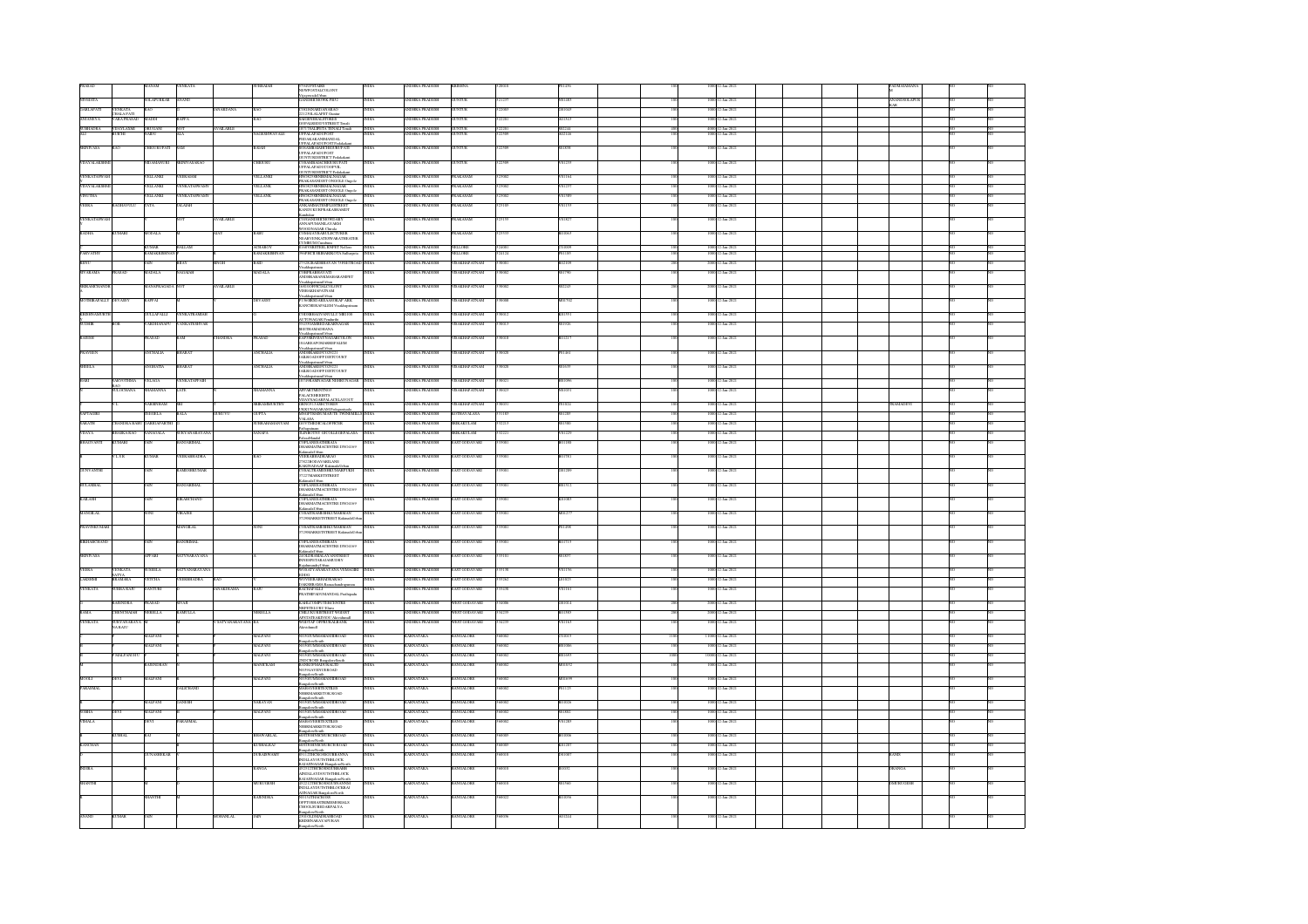|                              |                              |                               |                    |                      | <b>RRAIN</b>                        | 794UPSTAIRS<br>@EWPOSTALCOLONY                                                                                                      |                      | <b>DHRA PRADESH</b>                        |                              |                   |  |      |                                     |  |  |  |  |
|------------------------------|------------------------------|-------------------------------|--------------------|----------------------|-------------------------------------|-------------------------------------------------------------------------------------------------------------------------------------|----------------------|--------------------------------------------|------------------------------|-------------------|--|------|-------------------------------------|--|--|--|--|
|                              |                              |                               |                    |                      |                                     | ijayawadaUrban<br>ANDHK:HOWK PB32                                                                                                   |                      | <b>HRA PRADE</b>                           |                              |                   |  |      |                                     |  |  |  |  |
| ARLAPAT                      |                              |                               |                    |                      |                                     |                                                                                                                                     |                      | <b>IRA PRADES</b>                          |                              |                   |  |      | $Jan-202$                           |  |  |  |  |
| JANEYA                       | ALA PAT                      | <b>LEVEN</b>                  |                    |                      |                                     | <b>1230LALAPET Gunt</b><br>MOENER ALSTORES                                                                                          |                      | <b>HRAPRADES</b>                           | orn is                       |                   |  |      | $n^{202}$                           |  |  |  |  |
| <b>SUBHADRA</b>              | <b>AYLAXMI</b><br>īСH        |                               |                    | <b>LARLE</b>         |                                     | <b>SOPALREDDYSTREET Ter</b><br>IPPALAPADUPOST<br>EDAKAKANMANDAL                                                                     |                      | <b>DHRA PRADES</b><br>DHRA PRADESH         | NTIN<br>NTUR                 |                   |  |      |                                     |  |  |  |  |
|                              |                              |                               |                    |                      |                                     | <b>PALAPADUPOST Pedidades</b><br>SAMBAIAHCHIGURUPATI                                                                                |                      |                                            |                              |                   |  |      |                                     |  |  |  |  |
| RINTVASA                     |                              | HKURUPATI                     |                    |                      | VAH                                 | <b>PPALAPADUPOST</b>                                                                                                                | NDIA                 | NDHRA PRADESH                              | UNTUR                        | 01858             |  |      | 1000 12-Jan-2021                    |  |  |  |  |
| VIJAYALAKSE                  |                              | <b>MMANURI</b>                | <b>EINIVASARAO</b> |                      | <b>HIGURU</b>                       | <b>JENTALMARING<br/>JUNIURDISTRICT Polikiden<br/>TOSAMBAIACHIGURUPATI<br/>JUNIURDISTRICT Polikiden<br/>JUNIURDISTRICT Polikiden</b> | NDIA                 | <b>NDHRA PRADESH</b>                       | UNTUR                        |                   |  |      | 000 12-Jan-2021                     |  |  |  |  |
| VENKATASWA                   |                              | VELLANKI                      | EERAIAM            |                      | <b>FILANK</b>                       |                                                                                                                                     | NDIA                 | <b>ANDHRA PRADESH</b>                      | RAKASAM                      | i<br>HKi          |  |      | 1000 12-Jan-2021                    |  |  |  |  |
| <b>JUAYALAKSE</b>            |                              | VELLANKI                      | <b>ENKATASWAN</b>  |                      | <b>FILANK</b>                       | <b>RAKASANDIST ONGOLE Ong</b><br>#NO8258BNIRMALNAGAR                                                                                | <b>INDIA</b>         | <b>NDHRA PRADESH</b>                       | RAKASAM                      | 11235             |  |      | 1000 12-Jan-2021                    |  |  |  |  |
| INUTHA                       |                              | VELLANKI                      | <b>ENKATASWAM</b>  |                      | VELLANK                             | <b>PRAKASANDIST ONGOLE Orgole</b><br>HNOR258BNIRMALNAGAR                                                                            | <b>INDIA</b>         | <b>NDHRA PRADESH</b>                       | RAKASAM                      | 1389              |  |      | 1000 12-Jan-2021                    |  |  |  |  |
| VEERA                        | GHAVULU                      | IATA                          | <b>LAIAH</b>       |                      |                                     | PRAKASANDIST ONGOLE Orgola<br>ANKAMMATEMPLESTREET<br>KANDUKURPRAKASHAMDT                                                            | NDIA                 | <b>NDHRA PRADESH</b>                       | RAKASAM                      | N 155             |  |      | $-3an-2021$                         |  |  |  |  |
| <b>NKAT</b>                  |                              |                               |                    |                      |                                     | anbikut<br>OJGANDHICHOWDARY<br>NNAPUMANILAYARM                                                                                      |                      | <b>HRA PRADES</b>                          |                              |                   |  |      |                                     |  |  |  |  |
| <b>ADHA</b>                  | rxD                          | <b>SODALA</b>                 |                    |                      |                                     | OODNAGAR Chirala<br>DMAJAYBABULECTURER                                                                                              |                      | <b>OHRA PRADESH</b>                        | AKASAM                       |                   |  |      | $an-202$                            |  |  |  |  |
|                              |                              |                               |                    |                      |                                     | NEARVENKATESWARATHEATER<br>:UMBUM Cumbum<br>H68VSRSTEEL RNPET Nellore                                                               |                      |                                            |                              |                   |  |      |                                     |  |  |  |  |
| PARVATHY                     |                              | <b>KUMAR</b><br><b>AMAKRI</b> | HALLAM             |                      | <b>ACHAROY</b><br><b>AMAKRISHNA</b> | 96PHCII SRIHARIKOTA Sullu                                                                                                           | <b>INDIA</b><br>NDIA | ANDHRA PRADESH<br><b>NDHRA PRADESH</b>     | NELLORE<br><b>ELLORE</b>     | 01009<br>1185     |  |      | 1000 12-Jan-202<br>1000 12-Jan-2021 |  |  |  |  |
|                              |                              |                               |                    |                      | <b>NI</b>                           | 3282BAIDBHAVAN 75FEETROA                                                                                                            |                      | <b>NDHRA PRADESH</b>                       | <b>BAKHAPATNAM</b>           | 210               |  |      | $\frac{1}{2}$                       |  |  |  |  |
|                              |                              |                               |                    |                      | DALA                                | Foakhapatnan<br>COBPRABHAVATI<br>WDHRABANKMAHARANIPET                                                                               |                      | <b>HRAPRADESE</b>                          |                              |                   |  |      |                                     |  |  |  |  |
| <b>SHRAMCI</b>               |                              |                               |                    |                      |                                     | VisakhapatramUrban<br>16810OFFICIALCOLONY<br>VISHAKHAPATNAM                                                                         |                      | <b>HIRA PRADES</b>                         |                              |                   |  |      |                                     |  |  |  |  |
| <b>COTHIRAPALL</b>           | 7225                         | APPAL                         |                    |                      | VASSY                               | isakhapatramUrban<br>1360IRSDAREAASOKAP ARK                                                                                         |                      | <b>NDHRA PRADESH</b>                       | <b>ISAKHAPATNAM</b>          | 01702             |  |      | $-3$ an-2021                        |  |  |  |  |
|                              |                              |                               |                    |                      |                                     | <b>LANCHERAPALEM Visakhapate</b>                                                                                                    |                      |                                            |                              |                   |  |      |                                     |  |  |  |  |
|                              |                              | <b>ULLAPALLI</b>              |                    |                      |                                     | <b>CODSBHAGVANULLU MEGI<br/>AUTONAGAR Pendarthi<br/>554350AMBEDAKARNAGAI</b>                                                        |                      | <b>HRA PRADESH</b><br><b>DHRA PRADES</b>   | <b>KHAPATNA</b>              |                   |  |      | $an-202$                            |  |  |  |  |
|                              |                              |                               |                    |                      |                                     | EETHAMADHANA                                                                                                                        |                      |                                            |                              |                   |  |      |                                     |  |  |  |  |
|                              |                              | asar                          |                    |                      |                                     | sakhapatramUrban<br>AP3SRIVIIAYNAGARCOLON<br>04AREAPOMARREPALEM                                                                     |                      | <b>HRA PRADESH</b>                         | <b>KHAPATNAV</b>             |                   |  |      |                                     |  |  |  |  |
| AVEE                         |                              | NCHALLA                       | HARAT              |                      | NCHALIA                             | VisaklapatnamUrban<br>ANDHRAREFCO29221<br>IAILROADOPP DISTCOURT                                                                     | ЮU                   | NDHRA PRADESH                              | <b>BAKHAPATNAM</b>           |                   |  |      | 2-Jan-2021                          |  |  |  |  |
|                              |                              |                               |                    |                      |                                     | isakhapatramUrban<br>NDHRAREFCO29221                                                                                                |                      | <b>DHRA PRADESH</b>                        | <b>SAKHAPATNA!</b>           |                   |  |      |                                     |  |  |  |  |
|                              |                              |                               |                    |                      |                                     | AILROADOPP DISTCOURT                                                                                                                |                      |                                            |                              |                   |  |      |                                     |  |  |  |  |
|                              | <b>SARVOTHMA</b>             | VELAGA                        | <b>ENKATAPPAIE</b> |                      |                                     | isakhapatramUrban<br>)749RAMNAGAR NEHRUNAGAR                                                                                        | <b>INDIA</b>         | ANDHRA PRADESH                             | <b><i>RAKHAPATNAM</i></b>    |                   |  |      | 1000 12-Jan-2021                    |  |  |  |  |
|                              | <b>OCHANA</b>                |                               |                    |                      | MANNA                               | <b>APPARTMENTNOS</b><br>PALACEHEIGHTS                                                                                               |                      | <b>DHRA PRADESH</b>                        | <b><i>EAKHAPATNAM</i></b>    |                   |  |      | $tan-202$                           |  |  |  |  |
|                              |                              |                               |                    |                      |                                     | <b>JAYNAGARPALACELAYOUT</b><br>RNO313ASECTORE9                                                                                      |                      | <b>HRAPRADESH</b>                          |                              |                   |  |      |                                     |  |  |  |  |
|                              |                              |                               |                    |                      |                                     | KKUNAGARAM Pedagantyada<br>ØNGPTRMSUMAJUTE TWINE                                                                                    |                      |                                            |                              |                   |  |      |                                     |  |  |  |  |
| <b>SEATE</b><br><b>JUAYA</b> | <b>ASKA RAO</b>              | DICABAD'<br><b>NAOALA</b>     | URYANARAYA         |                      | WAPA                                | <b>INGELINE</b><br>/ALASA<br>?OVTMEDICALOFFICER<br>ahapatnan<br>LINBOTNY GJCOLLEGEPALASA                                            | NDIA                 | <b>THEA PRADES</b><br><b>NDHRA PRADESH</b> | <b>IKAKULAM</b><br>RIKAKULAM |                   |  | 1000 | Im202<br>2-Jan-2021                 |  |  |  |  |
|                              | <b>MARI</b>                  |                               | NJARIMAL           |                      |                                     | <b>dasaMondal</b><br>DPLANESATHIRAJA                                                                                                |                      | <b>DHRA PRADESH</b>                        | <b>AST GODAVARI</b>          |                   |  |      | J <sub>202</sub>                    |  |  |  |  |
|                              |                              |                               |                    |                      |                                     | DHARMATMACENTRE DNO4169                                                                                                             |                      |                                            |                              |                   |  |      |                                     |  |  |  |  |
|                              |                              |                               |                    |                      |                                     | .<br>Giónada Urban<br>/EERABHADRARAO<br>/?822BODAVARILANE                                                                           |                      | <b>HRAPRADESH</b>                          | <b>ST GODAVAR</b>            |                   |  |      |                                     |  |  |  |  |
| <b>UNVANTH</b>               |                              |                               | ÆSHKUMA            |                      |                                     | <b>KINADAAP Kakimebl</b><br>ISALTRAMESHK <sup>I IMA</sup><br>7227MARKETSTREET                                                       |                      | <b>DHRA PRADESH</b>                        | <b>AST GODAVARI</b>          |                   |  |      | $an-202$                            |  |  |  |  |
| HULASIBAL                    |                              |                               | <b>NJARIMAL</b>    |                      |                                     | ⊆akimadaUrban<br>YOPLANESATHIRAJA                                                                                                   |                      | <b>NDHRA PRADESH</b>                       | <b>AST GODAVARI</b>          |                   |  |      | J <sub>202</sub>                    |  |  |  |  |
|                              |                              |                               |                    |                      |                                     | DHARMATMACENTRE DNO4169                                                                                                             |                      |                                            |                              |                   |  |      |                                     |  |  |  |  |
| <b>AILASH</b>                |                              |                               |                    |                      |                                     | GdönadaUrban<br>COPLANESATHIRAJA<br>OHARMATMACENTRE DNO4169                                                                         |                      | HRA PRADESH                                | T GODAVARI                   |                   |  |      | $tan-2021$                          |  |  |  |  |
| <b>MANGILAL</b>              |                              |                               | RAJEE              |                      |                                     | åimadaUrban<br>)SAITRAMESHKUMARMAN<br>29MARKETSTREET KakinadaUr                                                                     |                      | <b>NDHRA PRADESH</b>                       | <b>AST GODAVARI</b>          |                   |  |      | $Jan-202$                           |  |  |  |  |
| RAVINKUMA                    |                              |                               | ANGILAL.           |                      |                                     | <b>OSAITRAMESHKUMARMAN</b>                                                                                                          |                      | <b>OHRA PRADESH</b>                        | <b>AST GODAVARI</b>          |                   |  |      | J <sub>202</sub>                    |  |  |  |  |
|                              |                              |                               |                    |                      |                                     | 29MARKETSTREET KakinadaUr                                                                                                           |                      | <b>HRAPRADESH</b>                          |                              |                   |  |      |                                     |  |  |  |  |
|                              |                              |                               |                    |                      |                                     | <b>COPLANESATHIRAJA</b><br>DHARMATMACENTRE DNO4169                                                                                  |                      |                                            |                              |                   |  |      |                                     |  |  |  |  |
| <b>INNASA</b>                |                              | PAR                           | <b>IYNARAYAN</b>   |                      |                                     | Kalònada Urban<br>24OLDRAMALAYANSTREET<br>INNESPETARAJAMUDRY                                                                        |                      | <b>COHRA PRADESH</b>                       | <b>AST GODAVARI</b>          |                   |  |      |                                     |  |  |  |  |
| VEERA                        | <b>VENKATA</b>               | <b>SUSEELA</b>                | <b>ATYANARAYA!</b> |                      |                                     | lajahmundryUrban<br>VOSATYANARAYANA VEMAGIRI                                                                                        | <b>NDIA</b>          | <b>ANDHRA PRADESH</b>                      | <b>AST GODAVARI</b>          | 01156             |  |      | 1000 12-Jan-2021                    |  |  |  |  |
| AKSHMI                       | SATYA<br>BRAMARA             | VETCHA                        | EERBHADRA          |                      |                                     | EDDG<br>VOVEERABHADRARAO                                                                                                            | NDIA                 | <b>NDHRA PRADESH</b>                       | AST GODAVARI                 | H023              |  |      | 1000 12-Jan-2021                    |  |  |  |  |
| ENKATA                       | <b>BA RAJU</b>               | NTURI                         |                    |                      |                                     | NAKSHRAMA Ramachandraparan<br>RACHAPALLI<br>"RATHIPADUMANDAL Prathipadu                                                             |                      | <b>HRA PRADES</b>                          | <b>GODAVAR</b>               |                   |  |      | $an-202$                            |  |  |  |  |
|                              | <b>NDR</b>                   | .<br>Saf                      |                    |                      |                                     | <b>HI COMPUTERCENTRI</b>                                                                                                            |                      | <b>HRA PRADES</b>                          | <b>ST GODAVAR</b>            |                   |  |      |                                     |  |  |  |  |
| <b>AMA</b>                   | <b>HENCHAIAH</b>             | ERELLA                        | <b>AMULA</b>       |                      | <b>NERELLA</b>                      | <b>RPETELURU EMIN<br/>HILUKURISTREET WODIST</b>                                                                                     | .<br>NDIA            | <b>NDHRA PRADESH</b>                       | <b>VEST GODAVARI</b>         | 11385             |  |      | 2000 12-Jan-2021                    |  |  |  |  |
| VENKATA                      | SURYANARAY.<br><b>NARAJU</b> |                               |                    | <b>SATYANARAYANA</b> |                                     | <b>VPSTATEAKIVIOU Akividumd</b><br>WGDTAP OPPRURALBANK<br><b>Banabivia</b>                                                          | <b>NDIA</b>          | <b>NDHRA PRADESH</b>                       | <b>VEST GODAVARI</b>         | <b>H16</b>        |  |      | 1000 12-Jan-2021                    |  |  |  |  |
|                              |                              | <b>EALPAN</b>                 |                    |                      | MALPAN                              | <b>O30JUMMAMASJIDR</b>                                                                                                              | NDU                  |                                            | <b>GALORI</b>                |                   |  |      | 11000 12-Jan-202                    |  |  |  |  |
|                              |                              | <b>AALPANI</b>                |                    |                      | <b>MALPANI</b>                      | angaloreSouth<br>O30JUMMAMASJIDROAD                                                                                                 | <b>NDIA</b>          | <b>RNATAKA</b>                             | <b>NGALORE</b>               |                   |  |      | 1000 12-Jan-202                     |  |  |  |  |
|                              | MALPANI H U                  |                               |                    |                      | <b>AALPANI</b>                      | angaloreSouth<br>D30JUMMAMASJIDROAD                                                                                                 | <b>NDIA</b>          | <b>ARNATAKA</b>                            | <b>NGALORE</b>               |                   |  |      | 10000 12-Jan-2021                   |  |  |  |  |
|                              |                              | <b><i>MENDRAN</i></b>         |                    |                      | <b><i>ANICKAM</i></b>               | <b>NDCROSS BangaloreSou</b><br>IANKOFMADURALTD<br>0394AVENUEROAD                                                                    | <b>TYLA</b>          | <b>ARNATAKA</b>                            | ANGALORE                     | 1052              |  |      | 1000 12-Jan-2021                    |  |  |  |  |
| LIOOLI                       |                              | <b>AALPANI</b>                |                    |                      | MALPANI                             | upaloreSouth<br>00JUMMAMASJIDROAD                                                                                                   | NDLA                 | CARNATAKA                                  | <b>NGALORE</b>               |                   |  |      | 2-Jan-2021                          |  |  |  |  |
| PARASMA                      |                              |                               |                    |                      |                                     | angaloreSouth<br>IAHAVEERTEXTILES<br>8BRMARKETOK ROAD                                                                               |                      | <b>ENATAKA</b>                             | <b>GALORE</b>                |                   |  |      |                                     |  |  |  |  |
|                              |                              | al PaN                        |                    |                      | ARAYAN                              | galoreSouth<br>In II WWA MASTIFIRO A                                                                                                |                      | <b>BNATAKA</b>                             | <b>GALORE</b>                |                   |  |      |                                     |  |  |  |  |
| OBHA                         |                              | <b>AALPANI</b>                |                    |                      | <b>MALPANI</b>                      | galoreSouth<br>90JUMMAMASJIDROAD                                                                                                    |                      | <b>ARNATAKA</b>                            | ANGALORE                     |                   |  |      | 1000 12-Jan-2021                    |  |  |  |  |
| VIMALA                       |                              |                               |                    |                      |                                     | angaloreSouth<br>IAHAVEERTEXTILES<br><b>SBRMARKETOK ROAD</b>                                                                        |                      | <b>ARNATAKA</b>                            | NGALORE                      |                   |  |      | J <sub>20</sub>                     |  |  |  |  |
|                              |                              |                               |                    |                      | WARL                                | galoreSouth<br>STJOHNSCHURCHROA                                                                                                     |                      | NATAK.                                     | <b>GM ORT</b>                |                   |  |      |                                     |  |  |  |  |
| <b>CANCHAN</b>               |                              |                               |                    |                      | <b>CUSHALRAL</b>                    | angaloreNorth<br>8STJOHNSCHURCH ROAD                                                                                                | <b>INDIA</b>         | <b>ARNATAKA</b>                            | ANGALORE                     | $\overline{1120}$ |  |      | 1000 12-Jan-2021                    |  |  |  |  |
|                              |                              | <b>SASHEKAR</b>               |                    |                      | <b>URAISWAM</b>                     | BangaloreNorth<br>85112THCROSSGUBBANNA<br>NDLLAYOUT6THBLOCK                                                                         |                      | RNATAKA                                    | <b>ANGALORE</b>              |                   |  |      | J <sub>202</sub>                    |  |  |  |  |
|                              |                              |                               |                    |                      |                                     | <b>EALAIRNAGAR BangaloreNorth</b><br>IS2312THCROSSGUBBABB<br>NNDLLAYDOUTSTHBLOCK                                                    |                      | <b>ENATAKA</b>                             | <b>JALORE</b>                |                   |  |      | $tan-202$                           |  |  |  |  |
|                              |                              |                               |                    |                      |                                     | <b>AJAJINAGAR BangaloreNorth</b>                                                                                                    |                      |                                            |                              |                   |  |      |                                     |  |  |  |  |
|                              |                              |                               |                    |                      |                                     | 152212THCROSSGUSNANNM<br>NDLLAYDUT6THBLOCKRAJ                                                                                       |                      |                                            |                              |                   |  |      |                                     |  |  |  |  |
|                              |                              | <b>ANTH</b>                   |                    |                      | <b>AJENDRA</b>                      | <b>JINAGAR BangalorcNorth</b><br>PPTOSHASTRIMEMORIALS                                                                               |                      | <b>ARNATAKA</b>                            | <b>ANGALORE</b>              |                   |  | 1000 | 2-Jan-2021                          |  |  |  |  |
|                              |                              |                               |                    |                      |                                     | HOOLSUBEDARPALYA                                                                                                                    |                      |                                            |                              |                   |  |      |                                     |  |  |  |  |
|                              |                              |                               |                    |                      |                                     | BangaloreNorth<br>2301 OLDMADRASROAD<br>KRISHNARAYAPURAN<br>oreNorth                                                                |                      | <b><i>CARNATAKA</i></b>                    |                              |                   |  |      |                                     |  |  |  |  |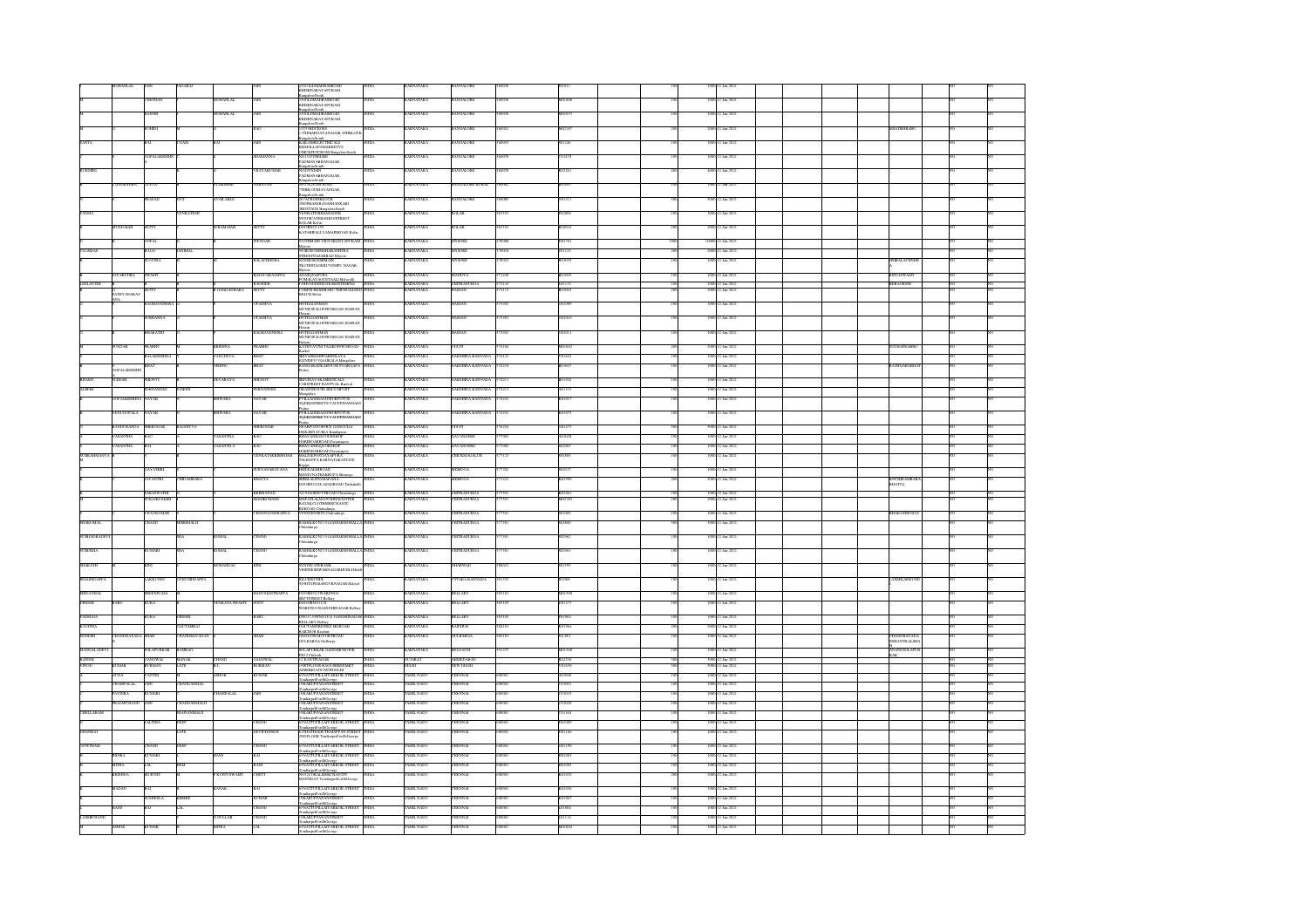|                                  |                        |                         |                    |                    |                         | 301 OLDMADRASROAD                                                                                                        |                      | RNATAKA                          | <b>NGALORE</b>         |                                  |        |      |                                      |  |                                    |  |
|----------------------------------|------------------------|-------------------------|--------------------|--------------------|-------------------------|--------------------------------------------------------------------------------------------------------------------------|----------------------|----------------------------------|------------------------|----------------------------------|--------|------|--------------------------------------|--|------------------------------------|--|
|                                  |                        |                         |                    |                    |                         | <b>RISHNARAYAPURAM</b>                                                                                                   |                      |                                  |                        |                                  |        |      |                                      |  |                                    |  |
|                                  |                        |                         |                    |                    |                         | angaloreNorth<br>50OLDMADRASROAD<br><b>RISHNARAYAPURAM</b>                                                               |                      | <b>ATAKA</b>                     |                        |                                  |        |      |                                      |  |                                    |  |
|                                  |                        | VESH                    |                    | HANLAI             |                         | angaloreNorth<br>80OLDMADRASROAD                                                                                         |                      |                                  | <b>NGALORE</b>         |                                  |        |      | $an-202$                             |  |                                    |  |
|                                  |                        |                         |                    |                    |                         | RISHNARAYAPURAM                                                                                                          |                      | RNATAKA                          |                        |                                  |        |      |                                      |  |                                    |  |
|                                  |                        | HIN                     |                    |                    |                         | <b>AnguloreNorth</b><br>ST33RDCROSS<br>1THMAINIAYANAGAR 4THBLOCI                                                         |                      | RNATAKA                          | <b><i>NGALORE</i></b>  |                                  |        |      | $Jan-202$                            |  | <b>ATISHBAB</b>                    |  |
|                                  |                        |                         |                    |                    |                         | angaloreSouth<br>AlLASHELECTRICALS                                                                                       |                      |                                  |                        |                                  |        |      |                                      |  |                                    |  |
|                                  |                        |                         |                    |                    |                         |                                                                                                                          |                      | NATAK a                          |                        |                                  |        |      |                                      |  |                                    |  |
|                                  |                        | OPALAKRIS               |                    |                    |                         | KAILASHELER, HOCALS<br>KKMALLAPAMARKETVS<br>CHICKPETCROSS Bangalo<br>NO1245THMARI                                        |                      | ARNATAKA                         | <b>NGALORE</b>         |                                  |        |      | Jan-202                              |  |                                    |  |
|                                  |                        |                         |                    |                    |                         | PADMANABHANAGAR                                                                                                          |                      |                                  |                        |                                  |        |      |                                      |  |                                    |  |
| RUKMIN                           |                        |                         |                    |                    | <b>JAYAKUMAR</b>        | Amadeuckaribetekarik<br>KangaloreSouth<br>KADMANABHANAGAR                                                                |                      | ARNATAKA                         | <b>NGALORE</b>         |                                  |        |      | $2 - \tan 2021$                      |  |                                    |  |
|                                  |                        |                         |                    |                    |                         | nealoreSouth<br>013028THCROSS                                                                                            |                      |                                  |                        |                                  |        |      |                                      |  |                                    |  |
|                                  | <b>AGENDRA</b>         | UPTA                    |                    | LAKSHMI            | <b>RAYA</b>             | THBLOCKJAYANGAR                                                                                                          |                      | RNATAKA                          | <b>NGALORE RURAI</b>   |                                  |        |      |                                      |  |                                    |  |
|                                  |                        | EASAD                   |                    | VAILABLE           |                         | angaloreSouth<br>57ACROSSBLOCK                                                                                           |                      | ARNATAKA                         | <b>NGALORE</b>         |                                  |        |      | $tan-2021$                           |  |                                    |  |
|                                  |                        |                         |                    |                    |                         | NDPHASEBANASHANKARI                                                                                                      |                      |                                  |                        |                                  |        |      |                                      |  |                                    |  |
|                                  |                        |                         |                    |                    |                         | <b>BEDSTAGE Bangalor:South</b><br>VENKATESHMANAGER<br>SYNDICATEBANKGISTREET                                              |                      | <b>RNATAKA</b>                   | .<br>Xar               |                                  |        |      |                                      |  |                                    |  |
|                                  |                        | <b>ETTY</b>             |                    | RAMAIAH            | ETTY                    | OLAR Kolar<br>OORNOI 159                                                                                                 |                      | <b>ARNATAKA</b>                  | X                      |                                  |        |      | $Jan-202$                            |  |                                    |  |
|                                  |                        |                         |                    |                    |                         | <b>ATARIPALLYAMAINROAD Kola</b>                                                                                          |                      |                                  |                        |                                  |        |      |                                      |  |                                    |  |
|                                  |                        | GOPAL                   |                    |                    | YENGAR                  | <b>S4THMAIN VIDYARANYAPURAM</b>                                                                                          | <b>NDIA</b>          | <b>KARNATAKA</b>                 | <b>IYSORE</b>          |                                  | 301701 |      | 10000 12-Jan-2021                    |  |                                    |  |
|                                  |                        | $\overline{\mathbf{w}}$ |                    |                    |                         | <b>hseer</b><br>DHICROSSMAHARASHTRA                                                                                      |                      | RNATAKA                          | YSORE                  |                                  | 12     |      | J <sub>2021</sub>                    |  |                                    |  |
|                                  |                        | <b>JATHA</b>            |                    |                    | LVCH                    | <b>STREETNAZARBAD</b>                                                                                                    |                      | RNATAKA                          | <b>YSORE</b>           |                                  |        |      |                                      |  |                                    |  |
|                                  |                        |                         |                    |                    |                         | K4THSTAGEKUVEMPU NAGAR                                                                                                   |                      |                                  |                        |                                  |        |      |                                      |  |                                    |  |
|                                  | YARUDRA                | .<br>AMP                |                    |                    | <b>ASAUARAJAPPA</b>     | ysore<br>GASQNAPURA                                                                                                      |                      | CARNATAKA                        | ANDYA                  |                                  |        |      | -Jan-2021                            |  | <b>ASWAM</b>                       |  |
| <b>LEELAUTHI</b>                 |                        | ETTY                    |                    | .<br>R GANGADHARA  | <b>BADIGER</b><br>SETTY | POMALAV AOCETAALI Malavalli<br>COHUSDIXITH NEARSSTEMPLE                                                                  | <b>INDIA</b><br>NDIA | <b>KARNATAKA</b>                 | CHITRADURGA<br>ASSAN   | 72143<br>$\overline{\mathbf{u}}$ |        | 2000 | 1000 12-Jan-202                      |  | <b>BEBAOKER</b>                    |  |
|                                  | .<br>ATHY ANARAY       |                         |                    |                    |                         | COBPSURESHBABU TMCBUILDING<br>BELUR Behir                                                                                |                      | KARNATAKA                        |                        |                                  |        |      | 2-Jan-2021                           |  |                                    |  |
|                                  |                        | GHAVEND                 |                    |                    | <b>PADHYA</b>           | HOTELSANMAN<br>MUNICIPALOFFICEROAD HASSAN                                                                                | DU                   | <b><i>CARNATAKA</i></b>          | <b>ASSAN</b>           |                                  |        |      | $3m-202$                             |  |                                    |  |
|                                  |                        | <b>BRANNA</b>           |                    |                    |                         | assan<br>OTELGANMAN                                                                                                      |                      | <b>ARNATAKA</b>                  |                        |                                  |        |      | 202                                  |  |                                    |  |
|                                  |                        |                         |                    |                    | PADHYA                  | AUNICIPALOFFICEROAD HASSAN                                                                                               |                      |                                  | ASSAN                  |                                  |        |      |                                      |  |                                    |  |
|                                  |                        | <b>IARATHI</b>          |                    |                    | <b>GHAVENDR</b>         | Hassin<br>HOTELGANMAN<br>MUNICIPALOFFICEROAD HASSAN                                                                      |                      | ARNATAKA                         | ASSAN                  |                                  |        |      | $-3$ an-2021                         |  |                                    |  |
|                                  |                        |                         |                    |                    |                         |                                                                                                                          |                      |                                  |                        |                                  |        |      |                                      |  |                                    |  |
|                                  | DAR                    |                         |                    |                    |                         | assan<br>ATHYAYINI TALIKOFFICEROAD                                                                                       |                      | <b>ARNATAKA</b>                  |                        |                                  |        |      | $Jan-202$                            |  | <b>HAPRAE</b>                      |  |
|                                  |                        | AKRI                    |                    | ASUDEVA            |                         | arkal<br>RIVAJRESHWARINILAYA                                                                                             |                      | <b><i>CARNATAKA</i></b>          | <b>KSHINA KAN</b>      |                                  |        |      | Jan-202                              |  |                                    |  |
|                                  | .<br>GOPALAKRISH       |                         |                    | KHNT               |                         | ther.                                                                                                                    | <b>STYLE</b>         | <b>GARNATAKA</b>                 | <b>AKSHINA KANNADA</b> | 2221                             |        |      | $\frac{1}{2}$                        |  | <b>TUMAROE</b>                     |  |
| BHAMY                            | <b>SURESH</b>          | ENOY                    |                    | DEVARAYA           | HENO'Y                  | SRIVINAYAKAMEDICALS                                                                                                      | <b>NDIA</b>          | KARNATAKA                        | AKSHINA KANNADA        | 74211                            |        |      | 1000 12-Jan-2021                     |  |                                    |  |
| <b>AT RER</b>                    |                        |                         |                    |                    |                         | 'ARSTREET BANTVAL Bantval<br> RANDHOUSE BELVAIPOST                                                                       |                      |                                  |                        |                                  |        |      |                                      |  |                                    |  |
|                                  |                        |                         |                    |                    |                         |                                                                                                                          |                      | <b>RNATAKA</b>                   | AKSHINA KANNADA        |                                  |        |      |                                      |  |                                    |  |
|                                  | AI KK                  | <b>YAK</b>              |                    | <b>IWARA</b>       | <b>AYAK</b>             | dingalore<br>VILLAGEBAIATHURPUTUR<br>QDKDISTRICTS VAUPPINANGAD                                                           | m                    | <b>ARNATAKA</b>                  | AKSHINA KANNAD         |                                  |        |      | $\frac{1}{2}$                        |  |                                    |  |
|                                  | <b><i>SUGOPALA</i></b> | AYAK                    |                    | HWARA              | <b>WAK</b>              | VILLAGEBAJATHURPUTUR                                                                                                     | <b>DIA</b>           | ARNATAKA                         | AKSHINA KANNADA        | $^{4241}$                        |        |      | 3-Jan-2021                           |  |                                    |  |
|                                  |                        |                         |                    |                    |                         | <b>QDKDISTRICTS VAUPPINANGAL</b>                                                                                         |                      |                                  |                        |                                  |        |      |                                      |  |                                    |  |
|                                  | DURAN                  | EROGAR                  | <b>GGIYYA</b>      |                    |                         | Har<br>EARPOSTOFFICE GANGULLI<br><b>KKARNAT</b>                                                                          |                      | RNATAKA                          |                        |                                  |        |      | J <sub>20</sub> 202                  |  |                                    |  |
|                                  |                        |                         |                    |                    |                         | (AKA Kundapara)<br>** VYM RSHOP<br>HAVANILIA COLLINI<br>IARIHOARROAD Davaragere<br><sup>63</sup> AVANI <u>LIOUORSHOP</u> |                      | <b>BNATAKA</b>                   |                        |                                  |        |      |                                      |  |                                    |  |
|                                  | <b>ANTHA</b>           |                         |                    | .<br>SANTH A       |                         |                                                                                                                          |                      | <b><i>CARNATAKA</i></b>          | VANGERE                |                                  |        |      | Jan-2021                             |  |                                    |  |
| <b>SUBRAHI</b>                   |                        |                         |                    |                    | ENKATAKRIS              | HARIDHARROAD Davanager<br>HARIDHARROAD Davanager<br>TALKOPPA KARNATAKASTATE                                              | <b>SDIA</b>          | <b>ARNATAKA</b>                  | <b>HICKMAGALUR</b>     |                                  |        |      | 12-Jan-2021                          |  |                                    |  |
|                                  |                        | <b>CATUS</b>            |                    |                    | <b>PVANAPAVA</b>        | .<br>SIDDAIAHROAD                                                                                                        |                      | <b>RNATAKA</b>                   | <b>INVERTA</b>         |                                  |        |      | Jun 20                               |  |                                    |  |
|                                  |                        | <b>VANTHI</b>           | <b>DAMRARA</b>     |                    | <b>LATTA</b>            | MANJUNATHAKRUPA Shimoga<br>HRILALITNASADANA                                                                              |                      | .<br>EARNATAKA                   | <b>HIMOGA</b>          |                                  |        |      | 2000 12-Jan-202                      |  |                                    |  |
|                                  |                        |                         |                    |                    |                         | DOORNO248 AZADROAD Tirthshall                                                                                            | zrvi s               |                                  |                        |                                  |        |      |                                      |  | <b>CNCHIDAMRA</b><br><b>BHATTA</b> |  |
|                                  |                        | <b>SARASWATHI</b>       |                    |                    | KRISHANAN               | 3419JAGIMUTTROAD Chitradurga                                                                                             | <b>INDIA</b>         | <b>KARNATAKA</b>                 | CHITRADURGA            |                                  | K01061 |      | 000 12-Jan-2021                      |  |                                    |  |
|                                  |                        |                         |                    |                    | <b>JANIKCHANI</b>       | <b>MAFATLALMATCHINGCENTER</b><br>RATAILCLOTHMERCHANTC                                                                    | NDIA                 | CARNATAKA                        | <b>HITRADURGA</b>      |                                  | 02183  |      | -Jan-2021<br>mn                      |  |                                    |  |
|                                  |                        | SURAJKUMAR              |                    |                    |                         |                                                                                                                          |                      |                                  |                        |                                  | 009    |      | 1000 12-Jan-2021                     |  |                                    |  |
|                                  |                        |                         |                    |                    |                         |                                                                                                                          |                      |                                  |                        |                                  |        |      |                                      |  |                                    |  |
|                                  |                        | UAYKUMAR                |                    |                    | <b>HANNAVEERAPDA</b>    | DROAD Chitradurga<br>PSXTENSION Chitradurga                                                                              | <b>DIA</b>           | KARNATAKA                        | <b>HITRADURGA</b>      |                                  |        |      |                                      |  | <b>BHARATHIVILL</b>                |  |
|                                  |                        | <b>IAND</b>             |                    |                    |                         |                                                                                                                          |                      | RNATAKA                          | <b>ITRADURGA</b>       |                                  |        |      | $an-202$                             |  |                                    |  |
| <b>JIBHADRAD</b>                 |                        |                         |                    |                    | <b>IANT</b>             | AMALKUNI 1544ASSARM<br>itradarga<br>AMAI KTINI 154                                                                       | <b>COLA</b>          | CARNATAKA                        | <b>IITRADURGA</b>      |                                  |        |      | $n-202$                              |  |                                    |  |
|                                  |                        |                         |                    |                    |                         | hitradurga                                                                                                               |                      |                                  |                        |                                  |        |      |                                      |  |                                    |  |
| <b>SUREKHA</b>                   |                        | KUMARI                  |                    |                    | <b>LAND</b>             | .<br>KAMALKUNI 1544ASSARMOHALLA                                                                                          | <b>SDL</b>           | <b><i>CARNATAKA</i></b>          | <b>HITRADURGA</b>      |                                  |        |      | 2-Jan-2021                           |  |                                    |  |
| <b>SHARATH</b>                   |                        |                         |                    |                    |                         | itradurga<br><b>VNDIVATERANK</b>                                                                                         | m                    | <b>ARNATAKA</b>                  | <b>HARWAD</b>          |                                  |        |      | $J20$ <sub>202</sub>                 |  |                                    |  |
|                                  |                        |                         |                    |                    |                         | SHWESHWARNAGARHUBLI Hab                                                                                                  |                      |                                  |                        |                                  |        |      |                                      |  |                                    |  |
| <b>SIALIMGAPP</b>                |                        | <b>LAKKUNDI</b>         | <b>URUSIDDAPPA</b> |                    |                         | <b>GLUKKUNDI</b>                                                                                                         |                      | <b><i>CARNATAKA</i></b>          | <b>TTARA KANNADA</b>   |                                  |        |      | -Jan-2021                            |  | <b>AXMILAKKU</b>                   |  |
|                                  |                        |                         |                    |                    |                         | <b>FORKULUS</b><br>F9HTYPEBANGURNAGAR Haliyal                                                                            |                      |                                  |                        |                                  |        |      |                                      |  |                                    |  |
| MEDAYHAL                         |                        | EENIVASA                |                    |                    |                         | DOORNO13WARDNO-                                                                                                          |                      | <b><i>CARNATAKA</i></b>          | ELLARY                 |                                  |        |      | $3m-202$                             |  |                                    |  |
| DINESH                           |                        | URA                     |                    | <b>NKATA SWAMY</b> |                         |                                                                                                                          |                      | <b>RNATAKA</b>                   | <b>ELLARY</b>          |                                  |        |      | $an-202$                             |  |                                    |  |
| PADMAJA                          |                        | <b>RA</b>               | <b>VESH</b>        |                    |                         | SKPTSTREET Bellary<br>DOOORNO1110<br>WARDNO18GANDHINAGAR Bella<br>NOI 110WNO1814 GANDHINAG                               |                      | <b>ARNATAKA</b>                  | <b>ELLARY</b>          |                                  |        |      | $tan-202$                            |  |                                    |  |
|                                  |                        |                         |                    |                    |                         |                                                                                                                          | <b>SDIA</b>          |                                  |                        |                                  |        |      |                                      |  |                                    |  |
| <b>KAVITHA</b><br><b>IIGNESS</b> |                        |                         | <b>AUTAMRAJ</b>    |                    |                         | BELLARY Bellary<br>GAUTAMDRESSES MGROAD                                                                                  | m                    | <b>ARNATAKA</b><br><b>RNATAK</b> | <b>AICHUR</b>          |                                  |        |      | 2000 12-Jan-2021<br>$tan-202$        |  | <b>VIVO LVA</b>                    |  |
|                                  |                        |                         |                    |                    |                         | <b>RAICHOR Raichart<br/>GGGUGWAD FORTROAD</b><br>GULBARGA Gulbarga                                                       |                      |                                  | <b>LEARG</b>           |                                  |        |      |                                      |  | HANTE ALSH                         |  |
| <b>MANGALAD</b>                  |                        | <b>LAPURKAR</b>         | <b>AMRAO</b>       |                    |                         | <b>OLAPURKAR GANDHICHOWK</b>                                                                                             | <b>STOR</b>          | CARNATAKA                        | <b>ELGAUM</b>          |                                  | 126    |      | 1000 12-Jan-2021                     |  | <b>ANDSOLAPL</b>                   |  |
|                                  |                        | ANGWAL                  | tanak              |                    | <b>ANGWAL</b>           |                                                                                                                          |                      | GUJARAT                          | HMEDABAD               |                                  | 02250  |      |                                      |  |                                    |  |
| RAJESH<br>VINOD                  | MAR                    | <b>DMAN</b>             |                    |                    | RMAN                    | PB32 Chilodi<br>12 KANTINAGAR<br>19ISTFLOOR RAGUSHREEMKT                                                                 |                      | <b>HIHL</b>                      | EW DELHI               |                                  |        |      | 3000 12-Jan-2021<br>5000 12-Jan-2021 |  |                                    |  |
|                                  | INA.                   | <b>ANTHI</b>            |                    | <b>SHOK</b>        | <b>CUMAR</b>            | .<br>JMERIGATE NEWDELHI<br>SNATTUPILLAIYARKOIL STREET                                                                    | <b>SDIA</b>          | .<br>FAMIL NADU                  | <b>HENNAI</b>          |                                  | nor    |      | 1000 12-Jan-2021                     |  |                                    |  |
|                                  | <b>EAMPALAL</b>        |                         | ANDANMAL           |                    |                         | ondarpetFortStGeorge<br>9KARUPPANANSTREET                                                                                | DIA                  | AMIL NADU                        | <b>IENNAI</b>          |                                  |        |      | 1000 12-Jan-2021                     |  |                                    |  |
|                                  |                        |                         |                    |                    |                         | <b>BEFORE OF MANNSTREET</b>                                                                                              |                      | MIL NADU                         | ENNAI                  |                                  |        |      | $3m-202$                             |  |                                    |  |
|                                  | <b>UAPCHANI</b>        |                         |                    |                    |                         | mäurpetFortStGeorge<br>KARUPPANANSTREET                                                                                  | <b>SDIA</b>          | AMIL NADU                        | <b>JENNAI</b>          |                                  |        |      | -<br>Jan-2021                        |  |                                    |  |
| <b>HELLARAM</b>                  |                        |                         | <b>WANMALJI</b>    |                    |                         | mäurpetFortStGeorge<br>HARUPPANANSTREET                                                                                  | <b>SDIA</b>          | <b>AMIL NADU</b>                 | HENNAI                 |                                  |        |      | -Jan-2021<br>1000                    |  |                                    |  |
|                                  |                        |                         |                    |                    |                         | ndurpetFortStGeorge<br>NATTUPELAIYARKOIL STREET                                                                          | ΦU                   | <b>AMIL NADL</b>                 | <b>ENNA</b>            |                                  |        |      | $\frac{1}{2}$ an-202                 |  |                                    |  |
|                                  |                        |                         |                    |                    | <b>VICHAND</b>          |                                                                                                                          |                      | AMIL NADU                        | <b>IENNAI</b>          |                                  |        |      | $2 - \frac{1}{2}$                    |  |                                    |  |
|                                  |                        |                         |                    |                    |                         | <b>bndarpstFortSGeorge</b><br>  THATHAMUTHAIAPPAN STREET<br>NDFLOOR TondiarpstFortStGeorge                               |                      |                                  |                        |                                  |        |      |                                      |  |                                    |  |
| <b>CWTHAM</b>                    |                        | <b>TANT</b>             |                    |                    | <b>BAND</b>             | <b>SNATTUPELLAIYARKOE, STREET</b>                                                                                        | <b>NDIA</b>          | <b>TAMIL NADI</b>                | HENNAI                 |                                  |        |      | 100 12-Jan-2021                      |  |                                    |  |
|                                  | niika.                 | UMARI                   |                    |                    |                         | ondarpetFortStGeorge<br>SNATTUPILLAIYARKOIL STREET                                                                       | NDIA                 | AMIL NADU                        | HENNAI                 |                                  |        |      | 1000 12-Jan-2021                     |  |                                    |  |
|                                  | ITHA                   |                         |                    |                    | RAJJI                   | ondurpetFortStGeorge<br>SNATTUPILLAIYARKOIL STREET                                                                       | NDIA                 | <b>TAMIL NADU</b>                | <b>HENNAI</b>          |                                  | 0005   |      | 1000 12-Jan-2021                     |  |                                    |  |
|                                  |                        | $\overline{\text{RTH}}$ |                    |                    | Ϲ                       |                                                                                                                          |                      | <b>MIL NADL</b>                  | <b>NNAI</b>            |                                  |        |      | an 2021                              |  |                                    |  |
|                                  |                        |                         |                    |                    |                         | ondiarpetFortStGeorge<br>IOS2CORALMERCHANTST<br>IANNDAY TendiarpetFortStC<br><b>ATTUPELAIYARKOIL STREE</b>               |                      | MIL NADI                         |                        |                                  |        |      |                                      |  |                                    |  |
|                                  |                        | SHEELA                  |                    |                    | MAR                     | diarpetFortStGeorge<br>**********ANSTREET                                                                                |                      | <b>AMIL NADI</b>                 | <b>ENNAI</b>           |                                  |        |      | $\frac{1}{2}$ an-2021                |  |                                    |  |
|                                  |                        |                         |                    |                    |                         |                                                                                                                          | <b>SDIA</b>          |                                  | HENNA                  |                                  |        |      |                                      |  |                                    |  |
|                                  |                        |                         |                    |                    | HAND                    | onfurpetFortStGeorge<br>SNATTUPILLAIYARKOIL STREET                                                                       |                      | AMIL NADU                        |                        |                                  |        |      | 1000 12-Jan-2021                     |  |                                    |  |
|                                  |                        | <b>IMAR</b>             |                    | ULLAR              |                         | ondiarpetFortStGeorge<br>9KARUPPANANSTREET<br>ondurpetFortStGeorge<br>SNATTUPILLAIYARKOIL STREET                         | <b>SDIA</b>          | AMIL NADL<br><b>AMIL NADI</b>    |                        |                                  |        |      | $tan-202$                            |  |                                    |  |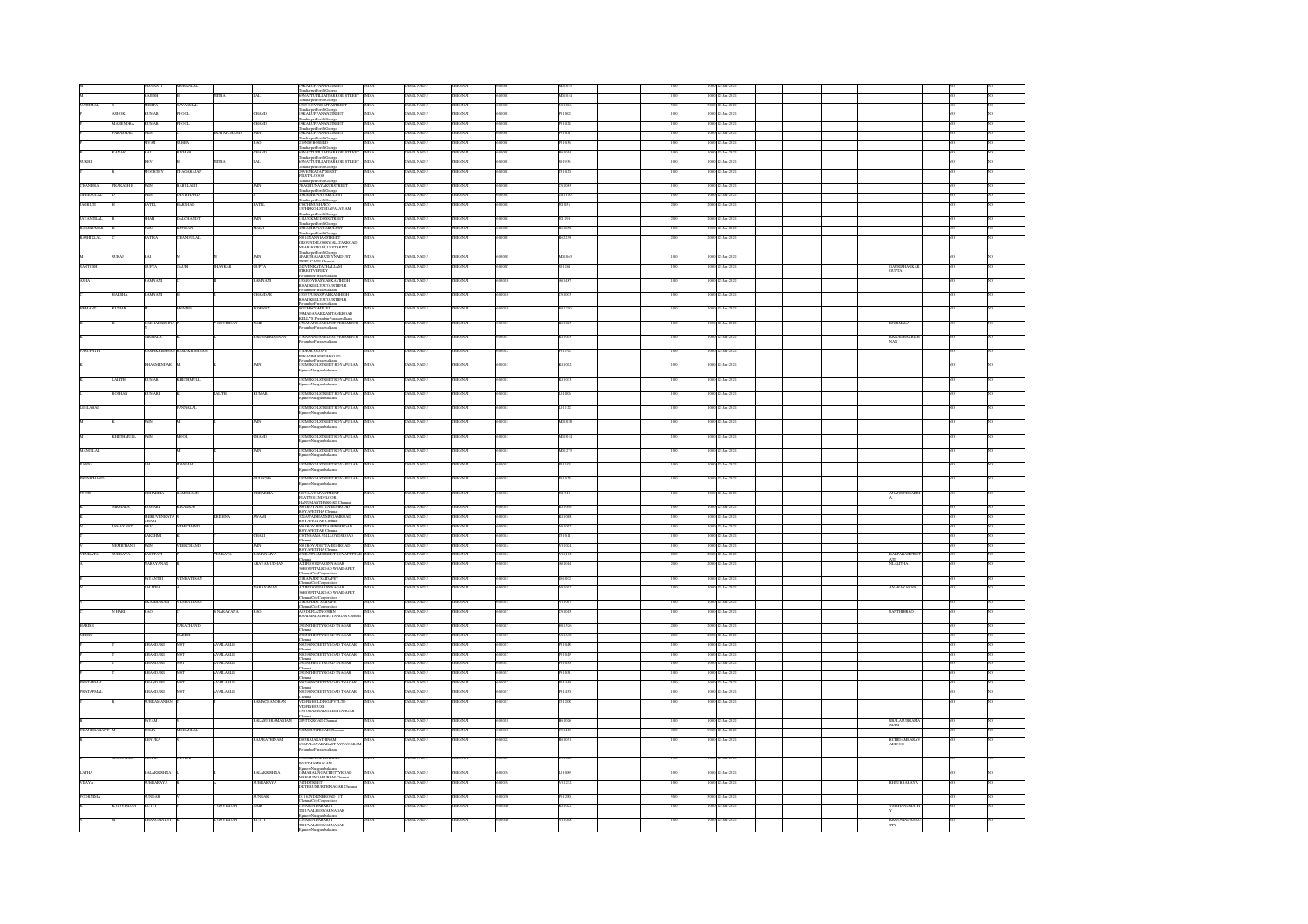|                  |                | SVANTI           | MOHANLAL                |                       |                             | 9KARUPPANANSTREET                                                     | <b>DIA</b>   | AMIL NADU         | HENNAI         |                |  | J <sub>202</sub>                      |  |                                |  |  |
|------------------|----------------|------------------|-------------------------|-----------------------|-----------------------------|-----------------------------------------------------------------------|--------------|-------------------|----------------|----------------|--|---------------------------------------|--|--------------------------------|--|--|
|                  |                |                  |                         |                       |                             | snarpetPortStGeorge<br>GATTUPELAIYARKOIL                              |              | III. NAI          |                |                |  |                                       |  |                                |  |  |
|                  |                | <b>EHTA</b>      | <b>TARMA</b>            |                       |                             |                                                                       |              | MIL NADI          | <b>IENNAI</b>  |                |  | 58.202                                |  |                                |  |  |
|                  | <b>HOK</b>     | <b>TIMAR</b>     | HOOL                    |                       | <b>IAND</b>                 | ndiarpetFortStGeorge<br>KARUPPANANSTREET                              | <b>NDIA</b>  | AMIL NADL         | <b>HENNAI</b>  |                |  | 2-Jan-2021<br>1000                    |  |                                |  |  |
|                  |                |                  |                         |                       |                             | uliarpetFortStGeorge<br>CARUPPANANSTREET                              |              |                   |                |                |  |                                       |  |                                |  |  |
|                  |                | MAR              | HOOL                    |                       |                             |                                                                       |              | MIL NADI          | <b>IENNAI</b>  |                |  | Jan-202                               |  |                                |  |  |
|                  | <b>ARASMAL</b> |                  |                         | RATAPCHAND            |                             | ondiarpetFortStGeorge<br>)KARUPPANANSTREET                            | .<br>DIA     | AMIL NADU         | <b>HENNAI</b>  |                |  | 1000<br>$2-$ Jan- $2021$              |  |                                |  |  |
|                  |                | ILAV             | BBA                     |                       |                             | ndurpetFortStGeorge<br>#NSVBOSERD                                     |              | MIL NADL          | <b>HENNAI</b>  |                |  | $tan-202$                             |  |                                |  |  |
|                  | NAK            |                  | <b>KHAB</b>             |                       | <b>TAND</b>                 | ndurpetFortStGeorge<br>NATTUPELLAIYARKOIL STREET                      | <b>NDIA</b>  | <b>MIL NADU</b>   | <b>HENNAI</b>  |                |  | $-3an-2021$                           |  |                                |  |  |
| <b>UKHI</b>      |                | жvт              |                         | <b>THA</b>            |                             | durpetFortStGeorge<br> ATTUPILLAIYARKOIL STREET                       | <b>NDIA</b>  | <b>TAMIL NADU</b> | <b>HENNAI</b>  | 01936          |  | 1000 12-Jan-2021                      |  |                                |  |  |
|                  |                |                  |                         |                       |                             | uliarpetFortStGeorge<br>/ENKATAIYSERST                                |              |                   |                |                |  |                                       |  |                                |  |  |
|                  |                | <b>DORTHY</b>    | HAGARAJAN               |                       |                             | STFLOOOR                                                              | <b>DIA</b>   | MIL NADU          | HENNAI         | 1020           |  | $3m-2021$<br>1000                     |  |                                |  |  |
| CHANDRA          | RAKASH B       |                  | ABULALJI                |                       |                             | ndiarnetFortStGeorge<br>AGHUNAYAKURSTREET                             | æа           | AMIL NADU         | HENNAI         |                |  | J <sub>2021</sub>                     |  |                                |  |  |
| <b>GHEESULAL</b> |                |                  | <b>VICHANE</b>          |                       |                             | ndurpetFortStGeorge<br>RAGHUNAYAKULUST                                | <b>TYLA</b>  | MIL NADL          | <b>JENNAI</b>  |                |  | Im 202                                |  |                                |  |  |
|                  |                |                  |                         |                       |                             | ndiarpetFortStGeorge<br>ICHINUBHAICO                                  |              |                   |                |                |  |                                       |  |                                |  |  |
| <b>JAGRUTI</b>   |                | ATEL             | <b>ARSHAD</b>           |                       | <b>ATEL</b>                 | THRKOILSTEDAPALAY AM                                                  | <b>DIA</b>   | .<br>FAMIL NADU   | <b>HENNAI</b>  | 10%            |  | 2-Jan-2021<br>2000                    |  |                                |  |  |
| <b>AYANTILAI</b> |                |                  |                         |                       |                             | nforstFortSGeoree<br>LUCKMUDOSSSTREET                                 |              | <b>MIL NADI</b>   | <b>IENNA</b>   |                |  |                                       |  |                                |  |  |
|                  |                |                  | <b>NDAN</b>             |                       | vлп                         | ondiarpetFortStGeorge<br>SRAGHUNAYAKULUST                             |              | <b>AMIL NADL</b>  | <b>HENNAI</b>  |                |  | 1000                                  |  |                                |  |  |
| RAAJKUMAR        |                |                  |                         |                       |                             | uliarpetFortStGeorge<br>(14NANNIANSTREET)                             |              |                   |                |                |  | $-tan - 2021$                         |  |                                |  |  |
| ASHIKI AL        |                | <b>ATIRA</b>     | <b>HANDEL AL</b>        |                       |                             | <b>ROUNDELOORWALLTAXROAD</b>                                          | <b>Thia</b>  | MI NADI           | <b>HENNAI</b>  | $\overline{1}$ |  | .bn.202                               |  |                                |  |  |
|                  |                |                  |                         |                       |                             | EARHOTELBLUESTARINT                                                   |              |                   |                |                |  |                                       |  |                                |  |  |
|                  | URAJ           | AI               |                         |                       |                             | TondiarpetFortStGeorge<br>#PARTHASARATHYNAIDUST                       | NDIA         | TAMIL NADU        | <b>CHENNAI</b> | 801063         |  | 1000 12-Jan-2021                      |  |                                |  |  |
|                  |                | <b>PTA</b>       |                         |                       |                             | TRIPLICANE Chemai<br>242VENKATACHALLAM<br>STREETVEPERY                |              | <b>MIL NAD</b>    |                |                |  |                                       |  |                                |  |  |
|                  |                |                  |                         |                       |                             |                                                                       |              |                   |                |                |  |                                       |  | GAURISH.<br>GUPTA              |  |  |
|                  |                | WNAN             |                         |                       | MNANI                       | mbarParaszwalkam<br>IODYRASWARKAVIHIGH<br><b>DADKELLYSCOURTIFLR</b>   | <b>COLA</b>  | AMIL NADU         | <b>HENNAI</b>  |                |  | $tan-202$                             |  |                                |  |  |
|                  |                |                  |                         |                       |                             |                                                                       |              |                   |                |                |  |                                       |  |                                |  |  |
|                  | <b>LARSHA</b>  | AMNANI           |                         |                       | IANDAR                      | ownburParasawalkarn<br>5037PURASWAKKAMHIGH<br>OADKELLYSCOURTIFLR      |              | AMIL NADU         | <b>HENNAI</b>  |                |  | J <sub>2021</sub>                     |  |                                |  |  |
| <b>EMAN</b>      | MA             |                  |                         |                       |                             | ambarParasawalkan<br>UMACOMPLEX<br>MADAVAKKAMTANKROAD                 |              | MIL NADI          | <b>IENNA</b>   |                |  |                                       |  |                                |  |  |
|                  |                |                  |                         |                       |                             |                                                                       |              |                   |                |                |  |                                       |  |                                |  |  |
|                  |                | ADHAKRI          |                         |                       |                             | LLYS PerambarParasawalkan<br>SANANDAVELUST PERAMBUR                   |              | <b>MIL NADU</b>   | HENNAI         |                |  | Jan-2021                              |  | <b>IRMALA</b>                  |  |  |
|                  |                |                  |                         |                       |                             | mbur Purasawalkam                                                     |              |                   |                |                |  |                                       |  |                                |  |  |
|                  |                | <b>IRMALA</b>    |                         |                       | <b>DHAKRISHNA</b>           | SANANDAVELUST PERAMBUR                                                | <b>DIA</b>   | AMIL NADU         | HENNAI         |                |  | J <sub>2021</sub>                     |  | <b>KKRADHAKE</b><br><b>NAN</b> |  |  |
|                  |                |                  |                         |                       |                             | burPurasawalkam                                                       |              |                   |                |                |  |                                       |  |                                |  |  |
| ASUPATHI         |                | MAKR             |                         |                       |                             | DESICOLONY<br>ERAMBURHIGHROAD                                         |              | MIL NADU          | <b>IENNAI</b>  |                |  | $tan-202$                             |  |                                |  |  |
|                  |                | <b>HARMENDAR</b> |                         |                       |                             | ambarParaszwalkam<br>2MSKOILSTREET ROYAPURAM                          |              | <b>MIL NADU</b>   | HENNAI         |                |  | J <sub>2021</sub>                     |  |                                |  |  |
|                  |                |                  |                         |                       |                             | oreNunnambakkan                                                       |              |                   |                |                |  |                                       |  |                                |  |  |
|                  | alith          | <b>UMAR</b>      | HETHMULL.               |                       |                             | 2MSKOILSTREET ROYAPURAM                                               |              | AMIL NADU         | <b>HENNAI</b>  |                |  | $3m-202$                              |  |                                |  |  |
|                  |                |                  |                         |                       |                             | reNungambakkan                                                        |              |                   |                |                |  |                                       |  |                                |  |  |
|                  |                | <b>UMARI</b>     |                         | $\overline{\text{m}}$ |                             | MSKOLSTREET ROYAPURAM                                                 |              | MIL NADL          | <b>ENNAI</b>   |                |  |                                       |  |                                |  |  |
|                  |                |                  |                         |                       |                             |                                                                       |              |                   |                |                |  |                                       |  |                                |  |  |
| LEELABAI         |                |                  | NNALAL.                 |                       |                             | 2MSKOILSTREET ROYAPURAM<br>oreNunnambakkan                            | <b>NDIA</b>  | AMIL NADU         | <b>HENNAI</b>  | 01122          |  | 3-Jan-2021                            |  |                                |  |  |
|                  |                |                  |                         |                       |                             | MSKOLSTREET ROYAPURAM                                                 | <b>SDIA</b>  | AMIL NADU         | HENNAI         | 1028           |  | $3m-2021$                             |  |                                |  |  |
|                  |                |                  |                         |                       |                             |                                                                       |              |                   |                |                |  |                                       |  |                                |  |  |
|                  | ETHMULL        |                  | <b>COL</b>              |                       |                             | MSKOLSTREET ROYAPURAM                                                 |              | WIL NADU          | <b>IENNAI</b>  |                |  | $tan-202$                             |  |                                |  |  |
|                  |                |                  |                         |                       |                             |                                                                       |              |                   |                |                |  |                                       |  |                                |  |  |
| MANGILAL         |                |                  |                         |                       |                             | <b>S2MSKOILSTREET ROYAPURAM</b><br>oreNungambakkam                    |              | AMIL NADL         | HENNAI         | 0127           |  | J <sub>202</sub>                      |  |                                |  |  |
| <b>ANNA</b>      |                |                  |                         |                       |                             |                                                                       |              | MIL NADI          | <b>IENNA</b>   |                |  |                                       |  |                                |  |  |
|                  |                |                  |                         |                       |                             | :2MSKOILSTREET ROYAPURAM<br> moreNungambakkan                         |              |                   |                |                |  |                                       |  |                                |  |  |
| PREMCHAND        |                |                  |                         |                       | ULECHA                      | <b>S2MSKOILSTREET ROYAPURAM</b>                                       | <b>NDIA</b>  | <b>AMIL NADIL</b> | <b>HENNAI</b>  |                |  | Im202                                 |  |                                |  |  |
|                  |                |                  |                         |                       |                             |                                                                       |              |                   |                |                |  |                                       |  |                                |  |  |
| TΟY              |                | <b>IHABRIA</b>   | AMCHAND                 |                       | HHABRIA                     | 7<br>AJAYAPARTMENT                                                    | <b>DIA</b>   | MIL NADU          | <b>HENNAI</b>  | 1342           |  | 2-Jan-2021                            |  | <b>ANDCHH/</b>                 |  |  |
|                  |                |                  |                         |                       |                             | ATNO12NDFLOOR                                                         |              |                   |                |                |  |                                       |  |                                |  |  |
|                  |                | <b>WAR</b>       | ANRA                    |                       |                             | <b>NUMANTHAROAD Chenna</b><br>IROYADETTAHKHROAD                       |              | MIL NAD           | <b>ENNA</b>    |                |  |                                       |  |                                |  |  |
|                  |                | IRUVENKAT        |                         |                       |                             | APETTHA Chemai<br>APETTHA Chemai<br>APERNANA CAMBOAD                  | <b>TYLA</b>  | MIL NADL          | <b>ENNAI</b>   |                |  | $50^{20}$                             |  |                                |  |  |
|                  | MAVANTI        | HARI<br>EVI      | <b>EMICHAND</b>         |                       |                             | )YAPETTAH Chemai<br>DIROYAPETTAHHIGHROAD                              | <b>NDIA</b>  | AMIL NADU         | <b>HENNAI</b>  |                |  | $3m-2021$<br>10 <sub>m</sub>          |  |                                |  |  |
|                  |                | <b>KSHMI</b>     |                         |                       | AR                          | <b>DYAPETTAH Chemai<br/>DINBAMA 324LLOYDSROAD</b>                     |              | MIL NADU          | <b>IENNAI</b>  |                |  | tan 202                               |  |                                |  |  |
|                  | <b>MICHAND</b> |                  | ERCHAND                 |                       |                             | <b>hemai</b><br> OIROYADETTAHIGHROAD<br>                              |              | MIL NADI          | <b>HENNAI</b>  |                |  | J <sub>202</sub>                      |  |                                |  |  |
|                  |                |                  |                         |                       |                             | OYAPETTHA Chemai<br>\?RATNAMSTREET ROYAPETTAH_INDIA                   |              |                   |                |                |  |                                       |  |                                |  |  |
| ENKATA           | SUBBAYA        | ASUPATI          |                         | ENKATA                | <b>MANAIYA</b>              |                                                                       |              | AMIL NADU         | <b>HENNAI</b>  | 183            |  | 2-Jan-2021<br>$\overline{\mathbf{m}}$ |  | KALPAKAMPISI                   |  |  |
|                  |                | <b>ARAYANA</b>   |                         |                       |                             | hemai<br>7IIFLOORPARSNNAGAR<br>HOSPITALROAD WSAIDAPET                 |              | MIL NADU          | RNNA           |                |  | Jan-202                               |  | .<br>ITN                       |  |  |
|                  |                |                  |                         |                       |                             | <b>hemaCityCorporation<br/>!IRAJAJIST SAIDAPET</b>                    |              |                   |                |                |  |                                       |  |                                |  |  |
|                  |                | AYANTHI          | ENKATESAN               |                       |                             |                                                                       | <b>NDIA</b>  | <b>TAMIL NADU</b> | CHENNAI        | 01002          |  | 1000 12-Jan-2021                      |  |                                |  |  |
|                  |                |                  |                         |                       | AY ANA!                     | SERIAL CryCorporation<br>TIFLOORPARSNNAGAR<br>HOSPITAL ROAD WSAIDAPET |              | IL NAD            | .<br>WAI       |                |  | $n-202$                               |  |                                |  |  |
|                  |                | <b>CAMBARAM</b>  | VENKATESAN              |                       |                             | <b>STRECTVCorrention</b><br>RAJAJIST SAIDAPET                         |              | <b>WIL NADL</b>   | HENNAI         |                |  | Jan-202                               |  |                                |  |  |
|                  |                |                  |                         |                       |                             | <b>maiCityCorporatic</b><br><b>VDRELATNOMR</b>                        |              |                   |                |                |  |                                       |  |                                |  |  |
|                  |                |                  |                         | <b><i>RAVANA</i></b>  |                             | <b>DADIINDSTREETTNAGAR Chenn</b>                                      |              | <b>MIL NADL</b>   | HENNAI         |                |  | $tan-202$                             |  |                                |  |  |
| LARISH           |                |                  | ARACHAND                |                       |                             | <b>ENCHETTYROAD TNAGAR</b>                                            |              | .<br>MIL NADI     | <b>HENNAI</b>  |                |  | J <sub>202</sub>                      |  |                                |  |  |
| GEERL            |                |                  | ARISH                   |                       |                             | emai<br>GNCHETTYROAD TNAGAR                                           | <b>NDIA</b>  | AMIL NADU         | HENNAI         | 11638          |  | 2000 12-Jan-2021                      |  |                                |  |  |
|                  |                |                  |                         |                       |                             |                                                                       |              |                   |                |                |  |                                       |  |                                |  |  |
|                  |                | <b>JANDARI</b>   | $\overline{\text{int}}$ | VAILABLE              |                             | emai<br>29 GNCHETTYROAD TNAGAR                                        | <b>NDIA</b>  | .<br>FAMIL NADU   | <b>HENNAI</b>  | 01048          |  | 1000 12-Jan-2021                      |  |                                |  |  |
|                  |                | HANDARI          | 'nτ                     | <b>AVAILABLE</b>      |                             | emai<br>029GNCHETTYROAD TNAGAR                                        | <b>INDIA</b> | <b>EAMIL NADU</b> | CHENNAI        | 01049          |  | 1000 12-Jan-2021                      |  |                                |  |  |
|                  |                | <b>EANDARI</b>   |                         | <b>VAILABLE</b>       |                             | mai<br>ACHETTYROAD TNAGAR                                             | NDIA         | MIL NADU          | HENNAI         | 1050           |  | $2 - \tan 2021$                       |  |                                |  |  |
|                  |                | <b>EANDARI</b>   |                         | ALABLE                |                             | emai<br>GNCHETTYROAD TNAGAR                                           | æа           | MIL NADU          | <b>HENNAI</b>  |                |  | $\frac{1}{2}$ an-2021                 |  |                                |  |  |
| <b>RATAPMA</b>   |                | <b>IANDARI</b>   |                         | <b>ALABLE</b>         |                             | mui<br>029GNCHETTYROAD TNAGAR                                         | <b>SDIA</b>  | MIL NADL          | ENNAI          |                |  | tan 202                               |  |                                |  |  |
| <b>RATAPMAL</b>  |                | <b>IANDARI</b>   |                         | ALABLE                |                             | emai<br>029GNCHETTYROAD TNAGAR                                        | <b>NDIA</b>  | <b>MIL NADL</b>   | HENNAI         |                |  | J <sub>2021</sub>                     |  |                                |  |  |
|                  |                |                  |                         |                       |                             |                                                                       |              |                   |                |                |  |                                       |  |                                |  |  |
|                  |                | UBRAMANI         |                         |                       | <b>AMACHANDRAN</b>          | hemai<br>/IGFINHOLDINGSPVTLTD                                         |              | AMIL NADL         | <b>HENNAI</b>  | 1208           |  | 2-Jan-2021<br>1000                    |  |                                |  |  |
|                  |                |                  |                         |                       |                             | KFINHOUSE<br>SYOGAMBALSTREETTNAGAR                                    |              |                   |                |                |  |                                       |  |                                |  |  |
|                  |                | <b>AYAM</b>      |                         |                       | <b><i>ALASUBRAMANIA</i></b> | bernai<br>SSTTKROAD Chemna                                            |              | AMIL NADL         | <b>HENNAI</b>  |                |  | $\frac{1}{2}$ an-2021                 |  | SBALASUBR<br>NIAM              |  |  |
| <b>HANDRAKAN</b> |                | <b>OLIA</b>      | <b>HANLAL</b>           |                       |                             | <b>MOUNTROAD Chemis</b>                                               |              | MIL NADL          | <b>HENNAI</b>  | $\frac{1}{2}$  |  | $3m-202$                              |  |                                |  |  |
|                  |                | <b>ENUKA</b>     |                         |                       | <b><i>JARATHINAM</i></b>    | <b>OSRAJARATHINAM</b>                                                 |              | AMIL NADU         | <b>HENNAI</b>  |                |  | $-3an-2021$<br>$\overline{1000}$      |  | <b>RCHIDAMBAR</b>              |  |  |
|                  |                |                  |                         |                       |                             | USRADARATIBNAM<br>9APALAYAKARAST AYNAVARAM                            |              |                   |                |                |  |                                       |  | ADIVOO                         |  |  |
|                  |                |                  |                         |                       |                             | amburPurasawalkam                                                     |              |                   |                |                |  |                                       |  |                                |  |  |
|                  | HAVEER         | HAND             | VRAJ                    |                       |                             | <b>ANAICKMARSTREET</b>                                                | <b>DIA</b>   | AMIL NADU         | HENNAI         | 0128           |  | J <sub>2021</sub>                     |  |                                |  |  |
|                  |                | <b>ALAKRISE</b>  |                         |                       | <b>MAKRIGHN</b>             | STMAMBALAM<br>oreNunganbakkan<br>IAHALINGACHET                        |              |                   |                |                |  |                                       |  |                                |  |  |
| ATHA             |                |                  |                         |                       |                             | <b>AHALINGAPURAM Chen</b><br>KHALINGAPURAM Chen<br>KHISTREET          | <b>TYLA</b>  | <b>WIL NADL</b>   | HENNAI         |                |  | $tan-202$                             |  |                                |  |  |
| <b>JUAYA</b>     |                | UBBARAYA         |                         |                       | <b>BBARAYA</b>              | <b>ORTHRUMURTHINAGAR Chema</b>                                        |              | MIL NADU          | <b>IENNAI</b>  |                |  | $tan-202$                             |  | <b>SUBBARAY</b>                |  |  |
| <b>POORNIMA</b>  |                | <b>UNDAR</b>     |                         |                       | <b>UNDAR</b>                | 1162NDLINKROAD 11T                                                    |              | AMIL NADU         | <b>HENNAI</b>  | 01280          |  | 5000 12-Jan-2021                      |  |                                |  |  |
|                  |                |                  |                         |                       |                             |                                                                       | <b>DIA</b>   |                   |                |                |  |                                       |  |                                |  |  |
|                  |                | m                |                         |                       |                             | <b>hemaCityCorporation<br/>   SASUNDARARST<br/> IRUVALEESWARNAGAR</b> |              |                   |                |                |  |                                       |  |                                |  |  |
|                  |                | <b>EANUMATH</b>  |                         |                       | UTTY                        | moreNungambakkan.<br>5ASUNDARARST                                     |              | AMIL NADI         | <b>HENNAI</b>  |                |  | Jan-202                               |  |                                |  |  |
|                  |                |                  |                         |                       |                             | <b>TRUVALEESWARNAGAR</b>                                              |              |                   |                |                |  |                                       |  | KKGOVINDAN<br>TTY              |  |  |
|                  |                |                  |                         |                       |                             | reNungurahakkan                                                       |              |                   |                |                |  |                                       |  |                                |  |  |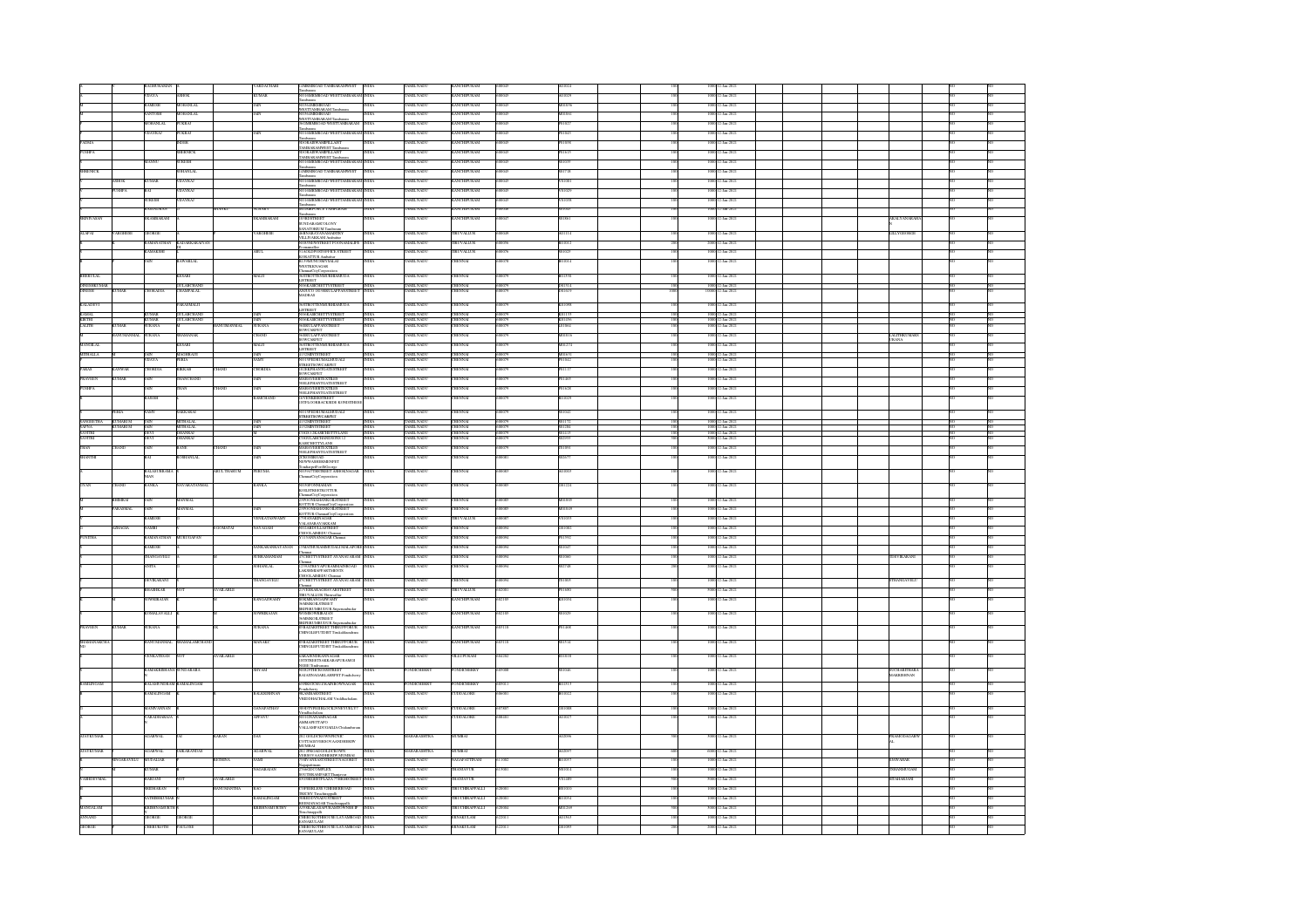|                           |               |                                                   |                 |                 | <b><i>EMRMROAD TAMBARAMWEST</i></b>                                                                                                  |                | MIL NADU                  | <b>ANCHIPURAM</b>         |        |                  |  |                                      |  |      |                                 |  |  |
|---------------------------|---------------|---------------------------------------------------|-----------------|-----------------|--------------------------------------------------------------------------------------------------------------------------------------|----------------|---------------------------|---------------------------|--------|------------------|--|--------------------------------------|--|------|---------------------------------|--|--|
|                           |               | <b>AYA</b>                                        |                 | MAR             | lenbaram<br>(O16MRMROAD WESTTAMBARAM INDIA                                                                                           |                | AMIL NADU                 | <b>KANCHIPURAM</b>        |        |                  |  |                                      |  |      |                                 |  |  |
|                           |               | AMESH<br><b>SOHANLAL</b>                          |                 |                 | lenbaram<br>∂O364MRMROAD                                                                                                             | NDIA           | MIL NADU                  | <b><i>CANCHIPURAM</i></b> |        | 1056             |  | 1000 12-Jan-2021                     |  |      |                                 |  |  |
|                           |               |                                                   |                 |                 | ESTTAMBARAM Tumbaram                                                                                                                 |                | <b>AIL NAD</b>            | <b>NCHIPURAM</b>          |        |                  |  | $tan-202$                            |  |      |                                 |  |  |
|                           |               |                                                   |                 |                 | <b>ODMARTING<br/>STTAMBARAM Tambar</b><br>OMMARTIAD WESTTA                                                                           |                |                           |                           |        |                  |  |                                      |  |      |                                 |  |  |
|                           |               | <b>IKRA</b>                                       |                 |                 | sharan.                                                                                                                              |                | MIL NADI                  | <b>NCHIPURAN</b>          |        |                  |  | $tan-202$                            |  |      |                                 |  |  |
|                           |               | <b>IKRAJ</b><br><b>VPA</b>                        |                 |                 | <b>OAD WESTT</b>                                                                                                                     |                | MIL NADI                  | ANCHIPURAM                |        |                  |  | Jan-202                              |  |      |                                 |  |  |
| <b>DM</b>                 |               | <b>DER</b>                                        |                 |                 | ambaram<br>DORAISWAMIPELAIST                                                                                                         | <b>SDIA</b>    | AMIL NADU                 | <b>KANCHIPURAM</b>        |        |                  |  | 12-Jan-2021                          |  |      |                                 |  |  |
|                           |               | <b>JERNICK</b>                                    |                 |                 | AMBARAMWEST Tambaram<br>DORAISWAMIPILLAIST                                                                                           |                | MIL NADU                  | ANCHIPURAM                |        |                  |  | $Jan-202$                            |  |      |                                 |  |  |
|                           |               | RESH                                              |                 |                 | AMBARAMWEST Tambaram<br>IOI6MRMROAD WESTTAMBAR/                                                                                      |                | MIL NADI                  | ANCHIPURAM                |        |                  |  | $\frac{1}{2}$                        |  |      |                                 |  |  |
| RENKK                     |               | <b>HANLAL</b>                                     |                 |                 | imbaram<br>4MRMROAD TAMBARAMWEST                                                                                                     | <b>INDIA</b>   | AMIL NADU                 | <b>KANCHIPURAM</b>        |        | 01718            |  | 1000 12-Jan-2021                     |  |      |                                 |  |  |
|                           |               | <b>JAYRAJ</b><br>KUMAR                            |                 |                 | mbaran<br>DI6MRMROAD WESTTAMBARAM INDIA                                                                                              |                | MIL NADU                  | ANCHIPURAM                |        | 01001            |  | 1000 12-Jan-2021                     |  |      |                                 |  |  |
|                           | SHOK          |                                                   |                 |                 |                                                                                                                                      |                |                           |                           |        |                  |  |                                      |  |      |                                 |  |  |
|                           | SHPA.         | <b>JAYRAJ</b>                                     |                 |                 | mbaram.<br>DI6MRMROAD WESTTAMBARAM INDIA                                                                                             |                | AMIL NADU                 | CANCHIPURAM               |        | 01029            |  | 1000 12-Jan-2021                     |  |      |                                 |  |  |
|                           |               | <b>YRAJ</b>                                       |                 |                 | <b>nbatan</b><br>Visam <u>MROAD</u> WESTTAMBAR/                                                                                      |                | MIL NADU                  | <b>NCHIPURAM</b>          |        |                  |  | Jan-2021                             |  |      |                                 |  |  |
|                           |               | <b><i><u>JENDRA</u></i></b>                       |                 |                 | nbaran<br>HAIRFORCE TAMPLRAM                                                                                                         |                | MIL NADL                  | ANCHIPURAM                |        |                  |  | Jan-2021                             |  |      |                                 |  |  |
|                           |               | <b>KAMBARAM</b>                                   |                 | KAMBARAM        | erbaram<br>)3RDSTREET                                                                                                                | <b>STYLE</b>   | AMIL NADL                 | <b>CANCHIPURAM</b>        |        | 186              |  | 2-Jan-2021<br>1000                   |  |      |                                 |  |  |
|                           |               |                                                   |                 |                 | <b>UNDARAMCOLONY</b>                                                                                                                 |                |                           |                           |        |                  |  |                                      |  |      |                                 |  |  |
|                           |               | ORGI                                              |                 |                 | ANATORIUM Tambaram<br>GRN AR AV ANAMAISTRY                                                                                           |                | .<br>MIL NADI             | RUVALLUR                  |        |                  |  | J <sub>202</sub>                     |  |      |                                 |  |  |
|                           |               | <b>DARKARAIVA!</b><br><b>MANATHA</b>              |                 |                 | <b>TILLIVAKKAM Ambatur</b><br>NOSSNEWSTREET POONAMALIFE                                                                              | <b>NDIA</b>    | AMIL NADU                 | <b>TRUVALLUR</b>          |        | $\frac{1}{1012}$ |  | 2000 12-Jan-2021                     |  |      |                                 |  |  |
|                           |               | <b>AMAK SHI</b>                                   |                 | $_{\rm{PIII}}$  | oommilee<br>LAOLDPOSTOFFICE STREET                                                                                                   | <b>INDIA</b>   | MI NADI                   | RUVALLUR                  |        | 1025             |  | 1000 12-Jss-2021                     |  |      |                                 |  |  |
|                           |               | WARLAL                                            |                 |                 | <b>DRATTUR Ambattur</b><br>139MUNUSMY SALAI                                                                                          | <b>DIA</b>     | MIL NADU                  | <b>HENNAI</b>             |        | 1014             |  | 2-Jan-2021<br>1000                   |  |      |                                 |  |  |
|                           |               |                                                   |                 |                 | WESTKKNAGAR                                                                                                                          |                |                           |                           |        |                  |  |                                      |  |      |                                 |  |  |
| RULAI                     |               |                                                   |                 |                 |                                                                                                                                      |                | MIL NADI                  | ENNAI                     |        |                  |  | $Jan-202$<br>100                     |  |      |                                 |  |  |
|                           |               |                                                   |                 |                 |                                                                                                                                      |                |                           |                           |        |                  |  | J <sub>20</sub> 202                  |  |      |                                 |  |  |
|                           |               | LABCHAN<br>AMPALAL<br><b>IORADIA</b>              |                 |                 | WEST KRAGUARE<br>ChemicTriContention<br>JSSTROTTENMURHIAMUDA<br>LISTREET<br>NOGKASICHETTYSTREET<br>ANJUCO 1819ERULAPPANSTI<br>MADRAS |                |                           |                           |        |                  |  | $tan-202$                            |  |      |                                 |  |  |
|                           |               | <b>RASMALII</b>                                   |                 |                 | <b>SSTROTTENMURHIAMUDA</b>                                                                                                           | <b>NDIA</b>    | AMIL NADL                 | HENNAI                    |        | 11098            |  |                                      |  |      |                                 |  |  |
| <b>KALADEVI</b>           |               |                                                   |                 |                 | <b>ISTREET</b><br> OSKASICHETTYSTREET                                                                                                |                |                           |                           |        |                  |  | 2-Jan-2021                           |  |      |                                 |  |  |
| KAMAL<br>KIKTHI<br>LALITH |               | <b>JULABCHAND</b><br>JULABCHAND<br>KUMAR<br>KUMAR |                 | ٨IN             |                                                                                                                                      | INDIA<br>INDIA | TAMIL NADU<br>TAMIL NADU  | CHENNAI                   |        | K01133<br>C01456 |  | 1000 12-Jan-2021<br>1000 12-Jan-2021 |  |      |                                 |  |  |
|                           |               | RANA                                              | <b>TIMANMAL</b> | RAN.            | NO6KASK:HETTYSTREET<br>56ERULAPPANSTREET                                                                                             | <b>SDIA</b>    | MIL NADU                  | <b>JENNAI</b>             |        |                  |  | J <sub>2021</sub>                    |  |      |                                 |  |  |
|                           |               | URANA<br>WANAB                                    |                 | <b>IAND</b>     | OWCARPET<br>SERULAPPANSTREET                                                                                                         | <b>NDIA</b>    | AMIL NADU                 | <b>HENNAI</b>             |        |                  |  | -<br>1-Jan-2021                      |  |      | <b>LITHKUMAE</b>                |  |  |
| <b>MANGILAL</b>           |               | SARI                                              |                 | IАLII           | OWCARPET<br>6STROTTENMURHIAMUDA                                                                                                      | NDIA           | <b>MIL NADL</b>           | HENNAI                    |        | 801274           |  | 1000 12-Jan-2021                     |  | AN a |                                 |  |  |
| MITHALLA                  |               | <b>AAGHRAJJI</b>                                  |                 |                 | LISTREET<br>4132MINTSTREET                                                                                                           | INDIA          | MIL NADU                  |                           |        | 40163            |  | 1000 12-Jan-202                      |  |      |                                 |  |  |
|                           |               | UAYA<br>ERIA                                      |                 | AMY             | 013PEDRUMALMUDALI                                                                                                                    | INDIA          | AMIL NADI                 | HENNAI                    | 10079  | 1042             |  | 1000 12-Jan-2021                     |  |      |                                 |  |  |
| ARAS                      |               | <b>IKKAB</b><br><b>ORDU</b>                       |                 | <b>KORDU</b>    | STREETSOWCARPET<br>102EKPHANTGATESTREET                                                                                              |                | MIL NADI                  | <b>IENNAI</b>             |        |                  |  | 12-Jan-2021                          |  |      |                                 |  |  |
| <b>PRAVEEN</b>            | <b>TMAR</b>   | <b>HANCHAND</b>                                   |                 |                 | OWCARPET<br>AAHAVEERTEXTILES                                                                                                         | <b>NDIA</b>    | AMIL NADU                 | <b>HENNAI</b>             |        | 1465             |  | 1000 12-Jan-2021                     |  |      |                                 |  |  |
|                           |               | <b>TAN</b>                                        |                 |                 | OELEPHANTGATESTREET<br>(AHAVEERTEXTILES                                                                                              |                | MIL NADI                  | <b>HENNAI</b>             |        | 1628             |  | 1000 12-Jan-2021                     |  |      |                                 |  |  |
| PUSHPA                    |               |                                                   |                 |                 | OELEPHANTGATESTREET<br>6VENKIERSTREET                                                                                                | <b>NDIA</b>    |                           |                           |        |                  |  |                                      |  |      |                                 |  |  |
|                           |               | <b>AJESH</b>                                      |                 | <b>MCHANI</b>   | <b>SYENNERS HUELI<br/>STFLOORBACKSIDE KONDITHESE</b>                                                                                 | <b>SDIA</b>    | AMIL NADU                 | <b>HENNAI</b>             |        | <b>TO'S</b>      |  | 1000 12-Jan-2021                     |  |      |                                 |  |  |
|                           |               | KKARAI                                            |                 |                 | 3PEDRUMALMUDALI                                                                                                                      |                | MIL NADI                  | IENNAI                    |        |                  |  | $3m-202$                             |  |      |                                 |  |  |
|                           |               |                                                   |                 |                 | NOTSPEDICIONALISION<br>STREETSOWCARPET<br>4132MINTSTREET<br>4132MINTSTREET                                                           |                |                           |                           |        |                  |  | 100                                  |  |      |                                 |  |  |
|                           | MARIM         | THALAL<br><b>THALA</b>                            |                 |                 |                                                                                                                                      |                | MIL NADI                  | <b>ENNA</b><br>HENNA      |        |                  |  | tan 202<br>1000 12-Jan-202           |  |      |                                 |  |  |
| AVITR                     |               | <b>HANRA</b>                                      |                 |                 | <b>OGS 12KASICHETTYLANE</b>                                                                                                          | <b>INDL</b>    | MIL NADU                  | HENNA                     |        |                  |  | 000 12-Jan-202                       |  |      |                                 |  |  |
| VIIRI                     |               | €VI<br>HANRAJ                                     |                 |                 | <b>OGULABCHANDSONS 12</b>                                                                                                            | <b>INDIA</b>   | AMIL NADU                 | HENNAI                    | 00079  | 2955             |  | 3000 12-Jan-2021                     |  |      |                                 |  |  |
|                           | HAND          | ANE.                                              | HAND            |                 | KASICHETTYLANE<br>MAHAVEERTEXTILES<br>DELEPHANTGATESTREET                                                                            | INDIA          | AMIL NADU                 | <b>HENNAI</b>             | 500079 |                  |  | 1000 12-Jan-2021                     |  |      |                                 |  |  |
|                           |               | HANLA                                             |                 |                 | CROSSROAD<br>EWWASHERMENPET                                                                                                          |                | AIL NADI                  | :NNAI                     |        |                  |  | $an-202$                             |  |      |                                 |  |  |
|                           |               |                                                   |                 |                 | ndiametFortStGeorge<br>19947THSTREET ASHOKNAGAI                                                                                      |                |                           |                           |        |                  |  |                                      |  |      |                                 |  |  |
|                           |               | <b>ALASUBRA</b><br><b>IAN</b>                     | ARUL THARUM     | ERUMA           | ennaCityCorporation                                                                                                                  |                | AMIL NADL                 | HENNAI                    |        |                  |  | $\frac{1}{2}$ an-2021                |  |      |                                 |  |  |
|                           | AND           | ANKA<br>VARATANMA                                 |                 | WKA             |                                                                                                                                      |                | AMIL NADL                 | HENNAI                    |        |                  |  | 1000 12-Jan-2021                     |  |      |                                 |  |  |
|                           |               |                                                   |                 |                 | NO30PONNIAMAN<br>KOLSTREETKOTTUR                                                                                                     |                |                           |                           |        |                  |  |                                      |  |      |                                 |  |  |
|                           | IMR AT        |                                                   |                 |                 | ennaCityCorporation<br>POONIAMANKOILSTREET                                                                                           | <b>NDIA</b>    | AMIL NADU                 | HENNAI                    |        |                  |  | 1000 12-Jan-2021                     |  |      |                                 |  |  |
|                           | <b>RASMAL</b> | NMAL.                                             |                 |                 | <b>OTTUR ChenniCityCorporation</b><br><b>SPOONIAMANKOILSTREET</b>                                                                    | INDIA          | MIL NADU                  | HENNAI                    |        |                  |  | 1000 12-Jan-2021                     |  |      |                                 |  |  |
|                           |               | AMESH                                             |                 | ENKATASWAM      | <b>OTTUR ChennaiCityCorporat</b><br>MJANAKINAGAR                                                                                     | <b>NDIA</b>    | AMIL NADU                 | TRUVALLUR                 |        |                  |  | 1000 12-Jan-2021                     |  |      |                                 |  |  |
|                           |               |                                                   |                 |                 |                                                                                                                                      |                |                           |                           |        |                  |  |                                      |  |      |                                 |  |  |
|                           | HAGIA         | МB                                                | GOMATAI         | <b>AYAGAM</b>   | TALASARAVAKKAM<br>KOZABDULLASTREET<br>HOOLAMEDU Chamai<br>TI SANNANAGAR Chem                                                         | <b>NDIA</b>    | MIL NADU                  | HENNAI                    |        |                  |  | 1000 12-Jan-2021                     |  |      |                                 |  |  |
|                           |               |                                                   |                 |                 |                                                                                                                                      |                | MIL NADI                  | :<br>NNA                  |        |                  |  |                                      |  |      |                                 |  |  |
|                           |               | AMESH                                             |                 | NKARANRAYA      | <b>MATHURAMMUDALI MALAPORE INDIA</b>                                                                                                 |                | <b>MIL NADL</b>           | <b>JENNAI</b>             |        |                  |  | -<br>-<br>Jan-2021                   |  |      |                                 |  |  |
|                           |               | <b>HANGAVEL!</b>                                  |                 | <b>RRAMANIA</b> | man<br>CHETTY STREET AY ANAU AR AM                                                                                                   |                | MIL NADI                  | HENNAI                    |        |                  |  | -Jan-2021<br>1000                    |  |      | <b>EVIKARAN</b>                 |  |  |
|                           |               | .<br>NITA                                         |                 | .<br>HANLA      | <b>bernai<br/>239 ATREYAPURAMMAINROAD</b>                                                                                            |                | MIL NADI                  | <b>JENNAI</b>             |        |                  |  | J <sub>202</sub>                     |  |      |                                 |  |  |
|                           |               |                                                   |                 |                 | <b>KSHMIAPPARTMENTS</b>                                                                                                              |                |                           |                           |        |                  |  |                                      |  |      |                                 |  |  |
|                           |               | IKARAN                                            |                 |                 | HOOLAIMEDU Channi<br>CHETTYSTREET AYANAUARAM                                                                                         |                | MIL NADU                  | ENNAI                     |        |                  |  |                                      |  |      |                                 |  |  |
|                           |               | <b>ASHKAR</b>                                     | VAILABLE        |                 | senai<br>VEERARAGHAVARSTREET                                                                                                         | INDIA          | AMIL NADU                 | <b>TRUVALLUR</b>          |        |                  |  | 5000 12-Jan-2021                     |  |      |                                 |  |  |
|                           |               | <b>WRIRAJAN</b>                                   |                 | WGASWAMY        | <b>IRUVALLUR Thiravallus</b><br>OKMRANGASWAMY                                                                                        | NDIA           | AMIL NADU                 | ANCHIPURAM                |        |                  |  | 12-Jan-2021                          |  |      |                                 |  |  |
|                           |               |                                                   |                 |                 | <b>MMKOLSTREET</b>                                                                                                                   |                |                           |                           |        |                  |  |                                      |  |      |                                 |  |  |
|                           |               | MALAVALLI                                         |                 | <b>VRIRAJAN</b> | SRIPERUMBUDUR Seiperumbudur<br>WOMSOWRIRAJAN<br>36MMKOILSTREET                                                                       | <b>DIA</b>     | MIL NADU                  | NCHIPURAM                 |        |                  |  | J <sub>2021</sub>                    |  |      |                                 |  |  |
|                           |               |                                                   |                 |                 | <b>RIPERUMBUDUR Seiperumbudur.</b><br><sup>SRA</sup> ZARSTREET THIRUPPORUR                                                           |                |                           |                           |        |                  |  |                                      |  |      |                                 |  |  |
| WEEN                      | <b>BEAL</b>   | <b>RANA</b>                                       |                 | RANA            | HINGLEPUTDIST Tirakalikundran                                                                                                        |                | MIL NADI                  | ANCHIPURAM                |        |                  |  | $tan-202$                            |  |      |                                 |  |  |
|                           |               | NUMANMAI<br><b>WALAMCHA</b>                       |                 | wako            | <b>SBAZARSTREET THIRUPPORUR</b>                                                                                                      |                | MIL NADU                  | ANCHIPURAM                |        |                  |  | $-$ lan $-202$                       |  |      |                                 |  |  |
|                           |               |                                                   |                 |                 | HINGLEPUTDIST Tirakalikundram                                                                                                        |                |                           |                           |        |                  |  |                                      |  |      |                                 |  |  |
|                           |               |                                                   |                 |                 | .<br>ARAJENDRANNAGAR<br>ISTSTREETSAKKARAPURAMGI                                                                                      |                |                           | <b>LUPURAM</b>            |        |                  |  |                                      |  |      |                                 |  |  |
|                           |               |                                                   |                 |                 |                                                                                                                                      |                |                           |                           |        |                  |  |                                      |  |      |                                 |  |  |
|                           |               | <b><i>MAKRISHA</i></b><br><b>NDARABA</b>          |                 | HYAM            | <b>ISTRAIN:</b><br>JEE Tindivaniam<br>OS29THCROSSSTREET<br>ARREST PROPER<br><b>LAJAJINAGARLAHSPET Pondicherry</b>                    |                | <b>ONDICHERRY</b>         | NDICHERRY                 |        |                  |  | $-3$ an-2021                         |  |      | UCHARITHAR<br><b>LAKRISHNAN</b> |  |  |
|                           |               |                                                   |                 |                 | <b>IRSTCRUZ RAI</b>                                                                                                                  |                |                           |                           |        |                  |  |                                      |  |      |                                 |  |  |
|                           |               |                                                   |                 |                 |                                                                                                                                      |                |                           |                           |        |                  |  |                                      |  |      |                                 |  |  |
|                           |               |                                                   |                 | <b>UKRISHN</b>  | <b>AMRARSTREET</b><br>RIDDHACHALAM Vriddhachalam                                                                                     |                | MI NADI                   | <b>DDALORE</b>            |        |                  |  | bas/?iti                             |  |      |                                 |  |  |
|                           |               |                                                   |                 | NAPATHA         | SOTYPEII BLOCK29NEYUELY7                                                                                                             |                | MIL NADU                  | <b>DDALORE</b>            |        |                  |  | $tan-2021$                           |  |      |                                 |  |  |
|                           |               |                                                   |                 | PAV             |                                                                                                                                      |                | MIL NADU                  |                           |        |                  |  | J <sub>20</sub>                      |  |      |                                 |  |  |
|                           |               | ARADHARAJA                                        |                 |                 | unduchalam<br>Kradhachalam<br>KMAPETTAPO<br>MMAPETTAPO<br>/ALLAMPADUGAILIA Chidamha                                                  |                |                           | <b>UDDALORE</b>           |        |                  |  |                                      |  |      |                                 |  |  |
|                           |               |                                                   |                 |                 |                                                                                                                                      |                |                           |                           |        |                  |  |                                      |  |      |                                 |  |  |
| JAYKUMAR                  |               | <b>ARWAI</b>                                      |                 |                 | 202 GOLDCROWNPICNIC<br>COTTAGEVERSOVAANDHERIW                                                                                        |                |                           | <b>UMBAI</b>              |        |                  |  | $3an - 202$                          |  |      |                                 |  |  |
|                           |               |                                                   |                 |                 | 4UMBAI<br>02 JPROADGOLDCROWN                                                                                                         |                |                           |                           |        |                  |  |                                      |  |      |                                 |  |  |
| <b>AJAYKUMAR</b>          |               | <b>GARWAL</b><br><b>AIKARANDAS</b>                |                 | <b>AGARWAL</b>  | <b>ERSOVAANDHERIW MUMBAL<br/>ERSOVAANDHERIW MUMBAL<br/>SSVANEASTSTREET NAGORET</b>                                                   | INDIA          | <b><i>MAHARASHTRA</i></b> | <b>MUMBAI</b>             |        |                  |  | 6000 12-Jan-2021                     |  |      |                                 |  |  |
|                           |               | UDALIN                                            |                 |                 |                                                                                                                                      |                | III. NAD                  | <b>GAPATIP</b>            |        |                  |  | J <sub>202</sub>                     |  |      | ulai                            |  |  |
|                           |               |                                                   |                 | <b>GARAJAN</b>  | gapattinam<br>S6GDCOMPLEX                                                                                                            |                | MIL NADI                  | ANJAVUR                   |        |                  |  | $\frac{1}{2}$ lan-2021               |  |      |                                 |  |  |
| ASHDEVMA                  |               | <b>DIAN</b>                                       | All ARI F       |                 | UTHRAMPART Thanjavar<br>****RCHSTPLAZA 77HIGHSTREE                                                                                   | <b>NDIA</b>    | <b>MIL NADU</b>           | <b>ANIAVIR</b>            |        |                  |  | Im 202                               |  |      | <b>HARIAN</b>                   |  |  |
|                           |               | <b>EDHARAN</b>                                    | NUMANTH         |                 | PEERLESS 52HEBERROAD                                                                                                                 | <b>NDLA</b>    | MIL NADI                  | RUCHIRAPPALL              |        |                  |  | $: 3m-2021$                          |  |      |                                 |  |  |
|                           |               | <b>CTHISHKUMAI</b>                                |                 | <b>MALINGAM</b> | RICHY Tirachirappalli<br>OREDDYNADUSTREET                                                                                            | INDIA          | AMIL NADL                 | <b>TRUCHIRAPPALLI</b>     |        |                  |  | 1000 12-Jan-2021                     |  |      |                                 |  |  |
|                           |               |                                                   |                 |                 | EEMANAGAR Tirachirappalli<br>358KAILASAPURAMTOWNSH IE                                                                                |                | MI NADI                   | <b>TICHIRAPPALE</b>       |        |                  |  |                                      |  |      |                                 |  |  |
|                           |               | FORGE                                             |                 |                 | irachiragualis<br>HERUKOTHHOUSE LAYAMROAD (INDIA)                                                                                    |                | <b>EAMIL NADU</b>         | <b>FRNAKTIJAM</b>         |        |                  |  | 1000 12-Jan-2021                     |  |      |                                 |  |  |
|                           |               | FORGE                                             |                 |                 |                                                                                                                                      |                |                           |                           |        |                  |  |                                      |  |      |                                 |  |  |
|                           |               | CHERUKOTH<br><b>AULOSE</b>                        |                 |                 | :<br>ANAKULAM<br>HERUKOTHHOUSE LAYAMROAD INDIA<br>EANAKULAM                                                                          |                | <b>EAMIL NADU</b>         | ERNAKULAM                 |        |                  |  | 2000 12-Jan-2021                     |  |      |                                 |  |  |
|                           |               |                                                   |                 |                 |                                                                                                                                      |                |                           |                           |        |                  |  |                                      |  |      |                                 |  |  |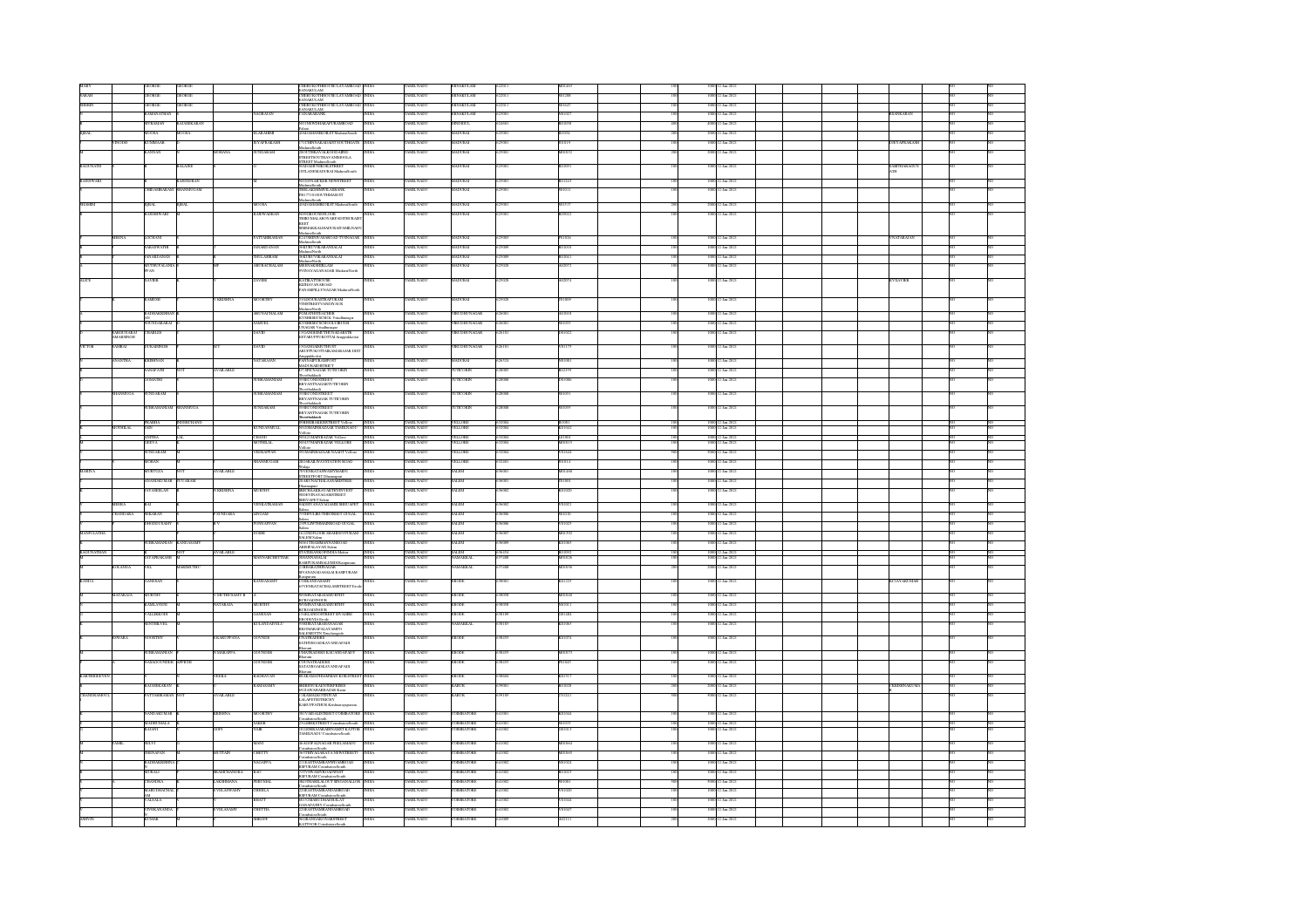|                   |                             |                   |                 |                  |                              |                                                                                                       |              | MIL NADI                           | <b>AKULAN</b>      |       |                   |  |      |                        |  |                          |  |
|-------------------|-----------------------------|-------------------|-----------------|------------------|------------------------------|-------------------------------------------------------------------------------------------------------|--------------|------------------------------------|--------------------|-------|-------------------|--|------|------------------------|--|--------------------------|--|
|                   |                             | oros              | org             |                  |                              | ANAKULAM<br>HERUKOTHHOUSE LAYAMROAD                                                                   |              | MIL NADU                           | <b>NAKULAM</b>     |       |                   |  |      | $\frac{1}{2}$          |  |                          |  |
|                   |                             | opos              | nea             |                  |                              | ANAKULAM<br>'HERLIKOTHHOLISE LAVAM                                                                    |              | <b>MIL NADI</b>                    | <b>GARTIT AX</b>   |       |                   |  |      |                        |  |                          |  |
|                   |                             | <b>MANATHAY</b>   |                 |                  | <b>AGRAIAN</b>               | ANAKULAM<br>"ANARABANK                                                                                | <b>NDIA</b>  | <b>AMIL NADU</b>                   | .<br>PNAKTIT AM    |       |                   |  |      | 1000 12-Jan-2021       |  | <b>ANKARAN</b>           |  |
|                   |                             | <b>VRAMAN</b>     | <b>ASEKARAN</b> |                  |                              | HNEWDHARAPURAMROAD                                                                                    | NDIA         | MIL NADU                           | NDKR/L             |       |                   |  |      | 4000 12-Jan-2021       |  |                          |  |
|                   |                             | 60084             | <b>KXOSA</b>    |                  | LARAHIMI                     | alami<br>IADAMANIKOILST MadaraiSouth                                                                  | <b>INDIA</b> | <b>MIL NADU</b>                    | <b>ADURAL</b>      |       |                   |  |      | 2000 12-Jan-2021       |  |                          |  |
|                   | <b>INODH</b>                | KUMMAAR           |                 |                  | <b>JEYAPRAKASH</b>           | 71CHINNAKADAIST SOUTHGATE                                                                             | <b>INDIA</b> | <b>MIL NADU</b>                    | <b>ADURAL</b>      |       | 1019              |  |      | 1000 12-Jan-2021       |  | DJEYAPRAKASI             |  |
|                   |                             |                   |                 |                  |                              | Mahrii South<br>SSOUTHKAV ALKOODAIIND<br>STREETSOUTHAV ANIMOOLA                                       |              | III. NADI                          | <b>DURAI</b>       |       |                   |  |      | $an-202$               |  |                          |  |
|                   |                             |                   |                 |                  |                              |                                                                                                       |              |                                    |                    |       |                   |  |      |                        |  |                          |  |
| <b>AGUNAT</b>     |                             |                   | <b>VLAJEE</b>   |                  |                              | STREET MaduraiSouth<br>HADAMUNIKOILSTRRET<br>ISTLANEMADURAI Madura<br>.<br>Noorth                     |              | MIL NADU                           | ADURAI             |       |                   |  |      | J <sub>2021</sub>      |  | SABITHARAC<br>ATH        |  |
| <b>VESWARI</b>    |                             |                   | <b>MENDRAN</b>  |                  |                              | <b>D205NAICKER NEWSTREET</b>                                                                          |              | <b>MIL NADU</b>                    | <b>IADURAI</b>     |       |                   |  | 1000 | J <sub>202</sub>       |  |                          |  |
|                   |                             | <b>IDAMBARAM</b>  | <b>LANMUGAM</b> |                  |                              | Madaraí South<br>THELAK SHMIVILASBAN K                                                                |              | AMIL NADU                          | <b>ADURAT</b>      |       |                   |  |      | 2-Jan-2021             |  |                          |  |
|                   |                             |                   |                 |                  |                              | PB177101SOUTHMASIST                                                                                   |              |                                    |                    |       |                   |  |      |                        |  |                          |  |
|                   |                             | <b>IQBAL</b>      |                 |                  | MOOSA                        | B171 co.u.c<br>Aidurai South<br><sup>13</sup> ADAMAMIKOILST Midi                                      |              | <b>MIL NADU</b>                    | <b>IADURAI</b>     |       |                   |  |      | 2000 12-Jan-2021       |  |                          |  |
|                   |                             | <b>IESHWARI</b>   |                 |                  | <b>AIFWADRAN</b>             | <b>AO9GROUNDFLOOR<br/>THRUMALAROYARPADITHURAIST</b>                                                   |              | AMIL NADU                          | <b>ADURAL</b>      |       |                   |  |      | $100^{202}$            |  |                          |  |
|                   |                             |                   |                 |                  |                              | REET<br>REET<br>RIMMAKKALMADURAITAMILNADU                                                             |              |                                    |                    |       |                   |  |      |                        |  |                          |  |
|                   |                             |                   |                 |                  |                              | dadaraiSouth<br>1247SRINIVASAROAD TVSNAGAR                                                            |              |                                    |                    |       |                   |  |      |                        |  |                          |  |
|                   | MEENA                       | <b>LOCHANI</b>    |                 |                  | <b>PATTABIRAMAN</b>          | AadaraiSouth<br> 6KURUVIKARANSALAI                                                                    | <b>INDIA</b> | <b>AMIL NADU</b>                   | MADURAI            |       | 1026              |  |      | 1000 12-Jan-2021       |  | <b><i>VNATARAJAN</i></b> |  |
|                   |                             | SARASWATHI        |                 |                  | <b>ANARDANAN</b>             |                                                                                                       | NDIA         | <b>MIL NADU</b>                    | <b>MADURAT</b>     |       | 01010             |  |      | 1000 12-Jan-2021       |  |                          |  |
|                   |                             |                   |                 |                  |                              | ladaraiNorth<br>SKURUVIKARANSALA                                                                      |              | IL NADI                            | VOURAL             |       |                   |  |      | J <sub>202</sub>       |  |                          |  |
|                   |                             | AUTHUPALA<br>Pan  |                 |                  | <b>RURACHALA</b>             | AfadaraiNorth<br>AEENAKSHIILLAM<br>WINAYAGANAGAR MadaraiNorth                                         |              | MIL NADU                           | <b>ADURAI</b>      |       |                   |  |      | $tan-2021$             |  |                          |  |
|                   |                             | <b>AVIER</b>      |                 |                  | VIER                         | <b>ATIKATTHOUSE</b>                                                                                   |              | MIL NADU                           | <b>IADURAI</b>     |       |                   |  |      |                        |  |                          |  |
|                   |                             |                   |                 |                  |                              | <b>KIZHAVANAROAD</b><br>ANAMPILLYNAGAR MadamiNo                                                       |              |                                    |                    |       |                   |  |      |                        |  |                          |  |
|                   |                             | RAMESH            |                 | <b>KRISHNA</b>   | MOORTHY                      | 104SOURASTRAPURAM                                                                                     | NDIA         | <b>AMIL NADU</b>                   | MADURAI            |       |                   |  |      | 1000 12-Jan-2021       |  |                          |  |
|                   |                             |                   |                 |                  |                              | <b>THSTREETVANDIYAUR</b>                                                                              |              |                                    |                    |       |                   |  |      |                        |  |                          |  |
|                   |                             |                   |                 |                  | <b>NACHALA</b>               | ladaraiNorth<br>GMATHSTEACHER                                                                         |              | MIL NADI                           | <b>RUDHUNAGAN</b>  |       |                   |  |      |                        |  |                          |  |
|                   |                             | AN<br>SOUNDARARAJ |                 |                  | AMERI                        | .<br>KVSHRSECSCHOL Vrindhunagar<br>KVSHRSECSCHOOLVIRUDH                                               | <b>INDIA</b> | <b>AMIL NADU</b>                   | <b>TRUIMUNACAR</b> |       | 1053              |  |      | 1000 12-Jan-2021       |  |                          |  |
|                   | <b>BGUNARAL</b><br>MARSINGH | <b>IARLES</b>     |                 |                  | $\overline{\text{AVD}}$      | .<br>NAGAR Vrindhungar<br>UGANGEIMUTHUNADARSTR<br>EETARUPPUKOTTAI Aruppukkott                         |              | <b>MI NADI</b>                     | <b>BUDHUNAGAR</b>  |       | 1022              |  |      | 1002001                |  |                          |  |
|                   |                             |                   |                 |                  |                              | 3GANGAIMUTHUST                                                                                        |              | AMIL NADU                          | <b>RUDHUNAGAR</b>  |       |                   |  |      |                        |  |                          |  |
| <b>ICTOR</b>      | MRAJ                        | <b>URAISINGH</b>  |                 |                  | avid                         | i suandamu itu si<br>ARUPPUKOTTAIKAMARAJAR DIST                                                       | <b>SDL</b>   |                                    |                    |       | H 175             |  |      | 1000 12-Jan-2021       |  |                          |  |
|                   |                             |                   |                 |                  | <b>TARAJA</b>                | Arureukkeitai<br>PANNAIPURAMPOST<br>MADURAIDISTRICT<br>D7 SPICNAGAR TUTICORIN                         |              | MIL NADI                           | ADURA              |       |                   |  |      | J <sub>202</sub>       |  |                          |  |
|                   |                             | <b>APATE</b>      |                 | <b>ALABLE</b>    |                              |                                                                                                       |              | MIL NADU                           | <b>TICORIN</b>     |       |                   |  |      | J <sub>202</sub>       |  |                          |  |
|                   |                             | MATHI             |                 |                  | <b>IDD AMANT</b>             | soothukkudi<br>SSECONDSTREET                                                                          |              | MIL NADU                           | UTKORIN            |       |                   |  |      | $Jan-2021$             |  |                          |  |
|                   |                             |                   |                 |                  |                              | BRYANTNAGARTUTICORIN                                                                                  |              |                                    |                    |       |                   |  |      |                        |  |                          |  |
|                   |                             | NDARAM            |                 |                  | UBRAMANIAN                   | hootbakkadi<br>SSECONDSTREET<br>BRYANTNAGAR TUTICORIN                                                 | DIA          | <b>AMIL NADU</b>                   | UTICORIN           |       |                   |  |      | 2-Jan-2021             |  |                          |  |
|                   |                             | JBRAMANIAN        | WMUGA           |                  | <b>NDARAM</b>                | Theorholder Concome<br>SSECONDSTREET<br>BRYANTNAGAR TUTICORIN                                         |              | MIL NADU                           | UTICORIN           |       |                   |  |      | 1000 12-Jan-2021       |  |                          |  |
|                   |                             |                   |                 |                  |                              |                                                                                                       |              |                                    |                    |       |                   |  |      |                        |  |                          |  |
|                   |                             | PRABILI           | NDERCHAND       |                  | <b>DAMAGE</b>                | toothakkadi<br>)BERIBAKKSISTREET Vellor<br>MAINBAZAAR TAMILNAD                                        |              | TAMIL NADU<br>TAMIL NADU           | ELLORE<br>110RE    |       |                   |  |      | -Jan-2021<br>-Jan-2021 |  |                          |  |
|                   |                             |                   |                 |                  |                              |                                                                                                       |              |                                    |                    |       |                   |  |      |                        |  |                          |  |
|                   |                             | EEVA              |                 |                  | HLA                          | ellore<br>O421MAINBAZAR Vellore<br>O457MAINBAZAR VELLORE                                              | VDL          | .<br>MIL NADU<br>MIL NADU          | ELLORE<br>ELLORI   |       |                   |  |      | -Jan-2021<br>-Jan-2021 |  |                          |  |
|                   |                             | <b>TARAM</b>      |                 |                  | <b>EERAPPAN</b>              | Vellore<br>391MAINBAZAAR NAADT Vel                                                                    |              | .<br>MIL NADU                      | ELLORE             |       |                   |  | 5000 | 2-Jan-202              |  |                          |  |
|                   |                             | MOHAN             |                 |                  | <b>HANMITIAM</b>             | <b>2B16RAILWAYSTATION ROAD</b>                                                                        | <b>INDIA</b> | AMIL NADU                          | ELLORE             |       | 1014              |  |      | 1000 12-Jan-2021       |  |                          |  |
|                   |                             | <b>MERTUZA</b>    |                 | VAILABLE         |                              | abga<br> VENKATASWAMYMAIDU                                                                            | <b>NDIA</b>  | <b>AMIL NADU</b>                   | <b>MEM</b>         |       | 001460            |  |      | 1000 12-Jan-2021       |  |                          |  |
|                   |                             | <b>NANDKUMAR</b>  | <b>JUARAM</b>   |                  |                              | STREETFORT Dharmaguri<br>10.ARUNACHALAASARISTREE                                                      | <b>INDIA</b> | AMIL NADU                          | .<br>MEM           |       | H001              |  |      | 1000 12-Jan-2021       |  |                          |  |
|                   |                             | YASEELAN          |                 | <b>KRISHNA</b>   | <b>AURTHY</b>                | Xurmapuri<br>SRICHAAKRAVARTHYINVEST                                                                   | NDIA         | MIL NADU                           | .<br>MEM           |       | H020              |  |      | 1000 12-Jan-2021       |  |                          |  |
|                   |                             |                   |                 |                  |                              | <b>BEVINAYAGAMSTREET</b>                                                                              |              |                                    |                    |       |                   |  |      |                        |  |                          |  |
|                   | ERA                         |                   |                 |                  |                              | IEVAPET Salem<br>\DEIVANAYAGAMSI SHEU/                                                                |              | MIL NADI                           | <b>M.EM</b>        |       |                   |  | 1000 | $-$ Jan- $202$         |  |                          |  |
|                   | NDARA                       | EKARAN            |                 | NDARA            |                              | <b>Jem</b><br>STHPULIKUTHISTREET GUGAL<br>.                                                           |              | MIL NADU                           | .<br>N.EM          |       |                   |  |      | J <sub>202</sub>       |  |                          |  |
|                   |                             | <b>HODDUSAN</b>   |                 |                  |                              | ien<br>PULIWTHMAINROAD GUGAL                                                                          |              | MIL NADI                           | <b>MEM</b>         |       |                   |  |      | Im202                  |  |                          |  |
| <b>ANHILATHA</b>  |                             |                   |                 |                  |                              | en<br>22NDFLOOR SHAHDEVPURAM                                                                          | NDIA         | .<br>MIL NADU                      | .<br>M.EM          |       | $\overline{1130}$ |  |      | 2-Jan-2021             |  |                          |  |
|                   |                             | BRAMANIAN         | NDASAMY         |                  |                              | iALEM Salem<br>NO61THAMMANNANROAD                                                                     | <b>INDIA</b> | <b>MIL NADU</b>                    | .<br>Mem           |       |                   |  |      | 2-Jan-2021             |  |                          |  |
| <b>RAGUNATHAN</b> |                             |                   |                 | <b>AVAILABLE</b> |                              | ARISIPALAYAN Salem<br>STATEBANKOFINDIA Mettur                                                         | <b>INDIA</b> | TAMIL NADU                         | SALEM              |       |                   |  |      | 1000 12-Jan-2021       |  |                          |  |
|                   |                             | <b>AYAPRAKASH</b> |                 |                  | <b><i>LANNARCHETTIAR</i></b> | 03ANNASALAI                                                                                           | NDIA         | AMIL NADU                          | <b>AMAKKAL</b>     | 37403 | 01026             |  |      | 1000 12-Jan-2021       |  |                          |  |
|                   |                             |                   | <b>BAUTH</b>    |                  |                              | <b>LASIPURAMSALEMDI Rasipura:</b><br>1BHARATHINAGAR<br>! IBHARATHINAGAR<br>GVANANADASALAI RASIPURAM   |              | MIL NADU                           | <b>AMAKKAL</b>     |       |                   |  |      | 2-Jan-2021             |  |                          |  |
| WD                |                             | <b>NESAN</b>      |                 |                  |                              | asiparam<br>OSKANDASAMY                                                                               |              | <b>MIL NADU</b>                    | RODE               |       |                   |  |      | 000 12-Jan-2021        |  |                          |  |
|                   |                             |                   |                 |                  |                              | VENKATACHALAMSTREET Erode                                                                             |              |                                    |                    |       |                   |  |      |                        |  |                          |  |
|                   | <b>ATARAJA</b>              | <b>CRTHY</b>      |                 | MUTHUSAMY B      |                              | <b>OMNATARAJAMURTHY</b>                                                                               |              | MIL NADU                           | RODE               |       |                   |  |      | 000 12-Jan-2021        |  |                          |  |
|                   |                             | <b>KAMLAVENI</b>  |                 | <b>ATARAJA</b>   | <b>MURTHY</b>                | <b>CROADINGUR</b><br>VOMINATARAJAMURTHY                                                               | NDIA         | AMIL NADU                          | RODE               | 19193 | иот               |  |      | 1000 12-Jan-2021       |  |                          |  |
|                   |                             | <b>ALLIKKODI</b>  |                 |                  | ANESAN                       | ICROADINGUR<br>S4ELANGOSTREET SIVAGIRI                                                                | <b>INDIA</b> | <b>MIL NADU</b>                    | RODE               | 8109  | )  484            |  |      | 1000 12-Jan-2021       |  |                          |  |
|                   |                             | THENE             |                 |                  |                              | <b>RODEVIA Erode</b><br>FULUBATARAHANAGAR<br>KOMARAPALAYAMPO                                          |              | MIL NADI                           | <b>MAKK/</b>       |       |                   |  |      | $J202 - 202$           |  |                          |  |
|                   |                             |                   |                 |                  |                              |                                                                                                       |              |                                    |                    |       |                   |  |      |                        |  |                          |  |
|                   |                             |                   |                 | CARUPPANA        |                              | SALEMDITN Tirachengode<br>.:NATRADERS<br>!ATHYROADKAVANDAPADI                                         |              | MIL NADU                           | ODE                |       |                   |  |      | $tan-202$              |  |                          |  |
|                   |                             | UBRAMANIAN        |                 | MARAPPA          | <b>JUNDER</b>                | havani<br>MATRADERS KAUANDAPADY                                                                       |              | <b>MIL NADU</b>                    | RODE               |       |                   |  |      | 1000 12-Jan-2021       |  |                          |  |
|                   |                             | <b>AGOUNDER</b>   | тки             |                  | INDER                        | havani<br>OUNATRADERS                                                                                 |              | MIL NADU                           | <b>ODE</b>         |       |                   |  |      | 32021                  |  |                          |  |
|                   |                             |                   |                 |                  |                              | SATAYROADKAVANDAPADI<br>bayari<br>) AK AMATHIAMMAN KOILSTREET                                         |              |                                    |                    |       |                   |  |      |                        |  |                          |  |
|                   |                             |                   |                 | VEERA            | RAGHAVAN                     |                                                                                                       |              | <b>MIL NADI</b>                    | RODE               |       |                   |  |      | 1000 12-Jan-2021       |  |                          |  |
|                   |                             | <b>JASEKARAN</b>  |                 |                  | <b>AMASAM</b>                | <b>RIRENUKAENTERPRISES</b><br>92JAWAHARBAZAR Kara<br>TKAMALKOTINIVAS                                  |              | .<br>MIL NADU                      | ARUR               |       |                   |  |      | 2000 12-Jan-2021       |  |                          |  |
|                   |                             | <b>TARRAM</b>     |                 | <b>AILABLE</b>   |                              |                                                                                                       |              | MIL NADI                           | ARUR               |       |                   |  |      |                        |  |                          |  |
|                   |                             |                   |                 |                  |                              | .<br>ALAPETSDTRICHY<br>KARUPPATHUR Krish                                                              |              |                                    |                    |       |                   |  |      |                        |  |                          |  |
|                   |                             | <b>GANDAKUMAR</b> |                 | KRISHNA          | <b>MOORTHY</b>               | 81VAIDALISTREET COIMBATORE INDIA                                                                      |              | <b>AMIL NADU</b>                   | <b>OIMBATORE</b>   |       | 01044             |  |      | 1000 12-Jan-2021       |  |                          |  |
|                   |                             | DHUMALA           |                 |                  | <b>SAKER</b>                 | simbatoreSouth<br> 44HRKSTREET Co<br><b>24DRRAJARAJHNAMST KATTOR</b>                                  | NDIA         | MIL NADU<br>AMIL NADU              | <b>IMBATORE</b>    |       |                   |  |      | 1000 12-Jan-202        |  |                          |  |
|                   |                             | <b>TAALAS</b>     |                 |                  | <b>AIR</b>                   | AMILNADU CoimbatceeSouth                                                                              |              |                                    | <b>OIMBATORE</b>   |       | 1013              |  |      | 1000 12-Jan-2021       |  |                          |  |
|                   |                             | ELVI              |                 |                  |                              | .<br>AGOPALNAGAR PEELAMAD                                                                             |              | AIL NADU                           | <b>MBATORE</b>     |       |                   |  |      | 1000 12-Jan-2021       |  |                          |  |
|                   |                             | ENAPAN            |                 | <b>EUTTAIN</b>   | 'HETT\                       | simbatoreSouth<br> STHIYAGARAYA NEWSTREET                                                             |              | MIL NADU                           | <b>IMBATORE</b>    |       |                   |  | 1000 | $\frac{1}{2}$ an-2021  |  |                          |  |
|                   |                             |                   |                 |                  | <b>KGAPP</b>                 | abatoreSouth<br>∩ • eve × MRANWDAME                                                                   |              | <b>MIL NADI</b>                    | <b>IMBATORE</b>    |       |                   |  |      | $an-202$               |  |                          |  |
|                   |                             | .<br>ERALI        |                 | <b>AMCHANDR</b>  |                              | <b>SPURAM CombatoreSouth</b>                                                                          |              | MIL NADU                           | <b>IMBATORE</b>    |       |                   |  |      | J <sub>202</sub>       |  |                          |  |
|                   |                             | <b>IANDRA</b>     |                 | <b>KSHMAN</b>    | RUMAI                        | ------<br>SPURAM CoimbatoreSou<br>KOTHARILALOUT SING                                                  |              | MIL NADU                           | <b>OIMBATORE</b>   |       |                   |  |      | $\frac{1}{2}$ an-2021  |  |                          |  |
|                   |                             | MARUDHACHA        |                 | VELASWAMY        | <b>THEHLA</b>                | bimbatoreSouth<br>20EASTSAMBANDAMROAD                                                                 | <b>SDIA</b>  | <b>MIL NADU</b>                    | OIMBATORE          |       |                   |  |      | $\frac{1}{2}$          |  |                          |  |
|                   |                             | M<br>AISALA       |                 |                  |                              | SPURAM CoimbatoreSouth<br>0152MARUDHADHALAY                                                           |              | MIL NADU                           | <b>IMBATORE</b>    |       |                   |  | 1000 | J <sub>2021</sub>      |  |                          |  |
|                   |                             |                   |                 |                  |                              |                                                                                                       |              |                                    |                    |       |                   |  |      |                        |  |                          |  |
|                   |                             |                   |                 |                  |                              |                                                                                                       |              |                                    |                    |       |                   |  |      |                        |  |                          |  |
|                   |                             | .<br>KUMAR        |                 |                  | HROFF                        | <b>JANAPATHY CoimbatorcSouth</b><br>120EASTSAMBANDAMROAD<br>.<br>CombatoreSouth<br>MGRANGAKONARSTREET | <b>NDIA</b>  | <b>MIL NADI</b><br><b>WIL NADU</b> | OIMBATORE          |       |                   |  |      |                        |  |                          |  |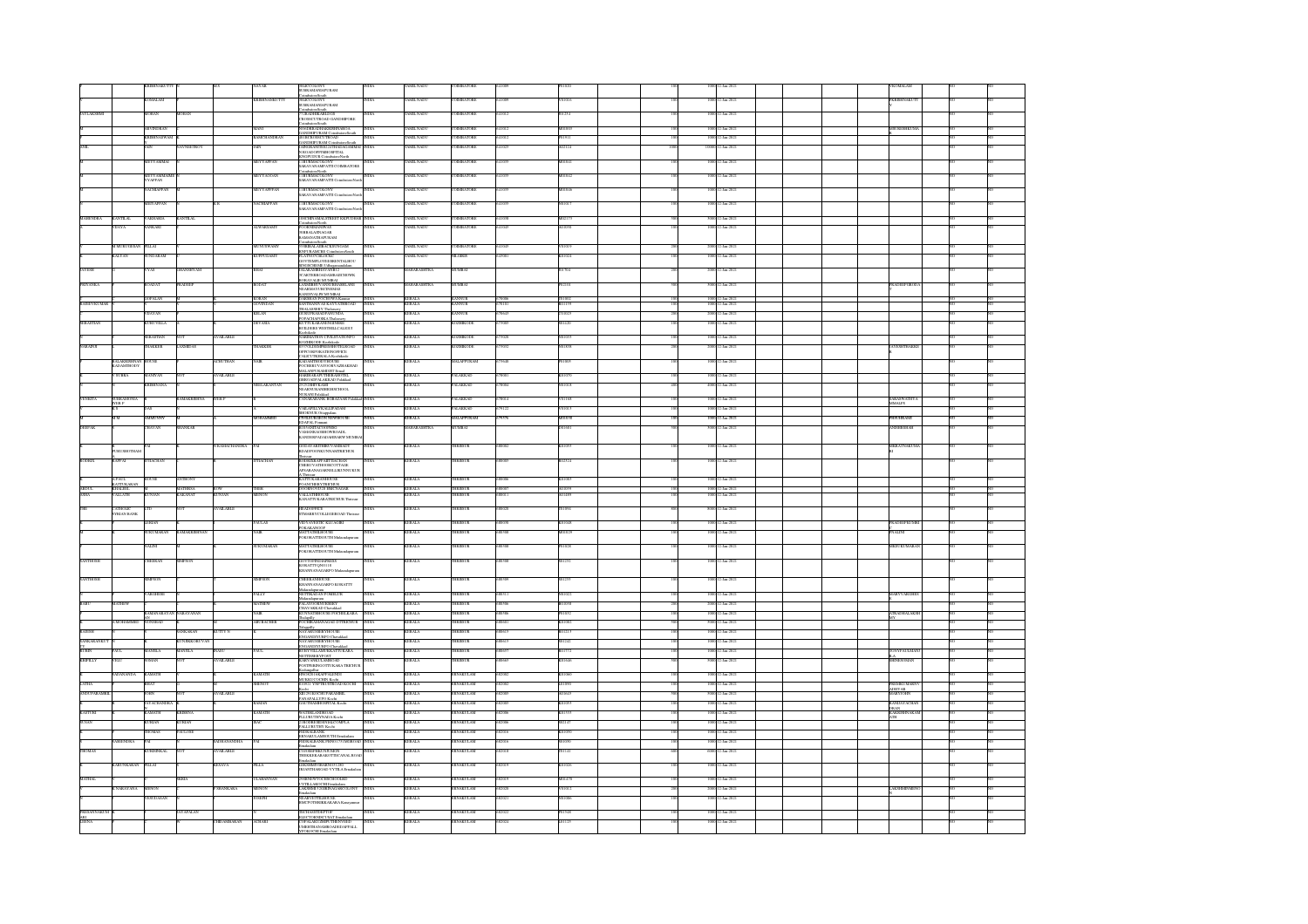|                    |                           |                  |                  |                 |                   | 38LICCOLONY<br>SUBRAMANIAPURAM                                                                                                                                               |              | MIL NADI              |                                 |      |                    |                       |  |                            |  |
|--------------------|---------------------------|------------------|------------------|-----------------|-------------------|------------------------------------------------------------------------------------------------------------------------------------------------------------------------------|--------------|-----------------------|---------------------------------|------|--------------------|-----------------------|--|----------------------------|--|
|                    |                           |                  |                  |                 |                   | CoimbatoreSouth<br>ISLICCOLONY                                                                                                                                               |              |                       |                                 |      |                    |                       |  |                            |  |
|                    |                           | MALA             |                  |                 |                   | SUBRAMANIAPURAM                                                                                                                                                              |              | MIL NADI              |                                 |      |                    |                       |  |                            |  |
|                    |                           |                  |                  |                 |                   | CombatoreSouth<br>72RADHIKABLDGS<br>"ROSSCUTROAD GANDHIPORE                                                                                                                  |              |                       |                                 |      |                    |                       |  |                            |  |
|                    |                           |                  |                  |                 |                   |                                                                                                                                                                              |              |                       |                                 |      |                    |                       |  |                            |  |
|                    |                           | RVINDRAN         |                  |                 |                   | simbatoreSouth<br>D6DRRADHAKRISHNAROA<br><b>JANDHIPURAM CoimbatoreSouth</b>                                                                                                  |              | <b>MIL NADL</b>       | <b>IMBATORE</b>                 |      | 1000               | $1 - 202$             |  | ISURESHKU                  |  |
|                    |                           |                  |                  |                 |                   | <b>IBCROSSCUTROAD</b>                                                                                                                                                        |              | MIL NADI              | MBATORI                         |      |                    |                       |  |                            |  |
|                    |                           |                  |                  |                 |                   | <b>GANDHIPURAM CoimbatorsSouth<br/>JAINGRANITES224THADAGAMMA</b><br>N ROADOPPJMHOSPITAL                                                                                      |              | .<br>MIL NADU         | <b>IMBATOR</b>                  |      |                    | J <sub>20</sub>       |  |                            |  |
|                    |                           |                  |                  |                 |                   |                                                                                                                                                                              |              |                       |                                 |      |                    |                       |  |                            |  |
|                    |                           | <b>JEYYAMMAI</b> |                  |                 | <b>JEYYAPPAN</b>  | KNGPUDUR CoimbatoreNorth<br>11BURMACOLONY<br>SARAVANAMPATTI COIMBATORE                                                                                                       |              | MIL NADU              | <b>IMRATORE</b>                 |      |                    | 000 12-Jan-202        |  |                            |  |
|                    |                           | MEYYAMMA         |                  |                 | <b>IEYYAOOAN</b>  | cimbatoreNorth<br>1BURMACOLONY                                                                                                                                               |              | <b>MIL NADL</b>       | <b>IMBATORE</b>                 |      |                    | J <sub>202</sub>      |  |                            |  |
|                    |                           | YYAPPAN          |                  |                 |                   | ARAVANAMPATTI CoimbatoreNo                                                                                                                                                   |              |                       |                                 |      |                    |                       |  |                            |  |
|                    |                           | HIAPP)           |                  |                 | YYAPPP.           | IBURMACOLONY<br>ARAVANAMPATTIC                                                                                                                                               |              | MIL NADI              | ATORE                           |      |                    |                       |  |                            |  |
|                    |                           | <b>EIYAPPAN</b>  |                  |                 | .<br>«СНІАРРА»    | <b>IBURMACOLONY</b>                                                                                                                                                          |              | <b>MIL NADU</b>       | <b>IMBATORE</b>                 |      |                    |                       |  |                            |  |
|                    |                           |                  |                  |                 |                   | ARAVANAMPATTI CoimbatoreNo                                                                                                                                                   |              |                       |                                 |      |                    |                       |  |                            |  |
| <b>HENDRA</b>      | KANTILAL                  | <b>AKHARIA</b>   | WILAL            |                 |                   | SSCHINAMALSTREET KKPUDHAR                                                                                                                                                    |              | MIL NADI              | <b>DIMBATORE</b>                |      |                    | 3000 12-Jan-202       |  |                            |  |
|                    |                           | .<br>NKARI       |                  |                 | <b>LWARSA</b>     | CoimbatoreNorth<br>POORNIMANIWAS<br>30BBALAJINAGAR<br>RAMANATHAPURAM                                                                                                         |              | MIL NADI              | <b>IMBATOR</b>                  |      |                    | Jan-202               |  |                            |  |
|                    |                           |                  |                  |                 |                   |                                                                                                                                                                              |              |                       |                                 |      |                    |                       |  |                            |  |
|                    | <b>MMURUGESAN</b>         | PILLAI           |                  |                 | <b>TINEKWAM</b>   | `oimbatoreSoath<br>5SRIBALAJIBACKSUNGAM                                                                                                                                      | <b>DIA</b>   | AMIL NADI             | <b>IMBATORE</b>                 |      | 2000 12            | $-$ lan $-202$        |  |                            |  |
|                    | ALYAN                     | NDARAM           |                  |                 | PPUDAM            | <b>INPURAMCBE CoimbatoreSo</b><br>LATNO7CBLOCKC                                                                                                                              |              | AMIL NADU             | LGIRIS                          |      | 1000               | J <sub>202</sub>      |  |                            |  |
|                    |                           |                  |                  |                 |                   | GOVTEMPLOYEESRENTALHOU                                                                                                                                                       |              |                       |                                 |      |                    |                       |  |                            |  |
|                    |                           |                  |                  |                 |                   |                                                                                                                                                                              |              |                       | MBAI                            |      |                    | $Jan-202$             |  |                            |  |
| .<br>RIYANKA       |                           | ADA1             |                  |                 | DA"               | UOVIEMPIAJ IELaman veda<br>SINGSCHEME Udugarnadalam<br>JALARAMBHAVANB12<br>3CARTERROADAMBAJICHOWK<br>BORAVALIE MUMBAJ                                                        |              | <b>HARASHTR.</b>      | <b>IMBAI</b>                    |      | 30CO               |                       |  | ADEEPO                     |  |
|                    |                           |                  |                  |                 |                   | <b>EARMAYURCINEMAS</b>                                                                                                                                                       |              |                       |                                 |      |                    |                       |  |                            |  |
|                    |                           | <b>GOPALAN</b>   |                  |                 |                   | NEARSKA URCENESIOS<br>KANDIVALIW MUMBAI<br>DARSHAN POCHOWA Karret<br>SANTHANIVAS KAYYATHROAD                                                                                 |              | CERALA                |                                 |      |                    |                       |  |                            |  |
| .<br>RAJEEVKUMAR   |                           |                  |                  |                 | KORAN<br>GOVINDAN |                                                                                                                                                                              | <b>NDIA</b>  | KERALA                | : ANNUR<br>: ANNUR              |      | 1000 12<br>1000 12 | $34m-202$             |  |                            |  |
|                    |                           | <b>JJAYAN</b>    |                  |                 | ELAN              | .<br>THALASSERY Thilissery<br>JURUPRASADPANUNDA                                                                                                                              | DIA          | ERALA                 | wwur                            |      | 2000 12            | 3-Jan-202             |  |                            |  |
|                    |                           | RUVEL            |                  |                 | VASI              | <b>POPACHAPOIKA Thalassery</b><br>KUTTUK AR ANENGINERE<br>KUTTUKARANENGINERE<br>BUILDERS WESTHILLCALIGUJ                                                                     |              | .<br>RALA             | unyot                           |      |                    |                       |  |                            |  |
|                    |                           | EBASTIAN         |                  | <b>VAILABLE</b> |                   | ozbilosle<br>IARIMATION CIVILSTATIONPO                                                                                                                                       |              | KERALA                | ОЗНІКОДЕ                        |      |                    | 1000 12-Jan-202       |  |                            |  |
|                    |                           |                  |                  |                 |                   | OZHIKODE Kozhikode<br>3370LDEMPRESSHOTELROAD                                                                                                                                 |              |                       |                                 |      |                    |                       |  |                            |  |
| ARAINI             |                           | <b>JAKKER</b>    | <b>NMIDAS</b>    |                 | <b>IAKKEE</b>     |                                                                                                                                                                              |              | <b>ERALA</b>          | ZHIKODE                         |      | 2000               | Im 202                |  |                            |  |
|                    |                           | USE              |                  | <b>HUTHAN</b>   |                   | ESSTOLDEMPRESSINOTELEOM<br>CHLICORPORATIONOFFICE<br>CALICUTKERALA Komikede<br>FOCHERUVAYOORVAZHAKHAD<br>POCHERUVAYOORVAZHAKHAD<br>MLANPURAMENT Ernal<br>HARIHARAPUTHERAHOTEL |              | ERALA                 | <b>ALAPPURAM</b>                |      | 1000               | $\frac{1}{2}$ an-2021 |  |                            |  |
|                    | BALAKRISHNA<br>KADAMTHOD! |                  |                  |                 |                   |                                                                                                                                                                              |              |                       |                                 |      |                    |                       |  |                            |  |
|                    | <b>SEIRRA</b>             |                  |                  | <b>AILABLE</b>  |                   |                                                                                                                                                                              |              | <b>RALA</b>           | <b>AKKAD</b>                    |      |                    |                       |  |                            |  |
|                    |                           |                  |                  |                 | ELAKAN            | <b>GBROADPALAKKAD Palakkud</b><br>25252SHIVKAMI<br>NEARNURANIHIGHSCHOOL                                                                                                      |              | ERALA                 | .<br>LAKKAD                     |      | 4000               | $\frac{1}{2}$ an-202  |  |                            |  |
| NKITA              |                           |                  |                  |                 |                   | <b>NURANI Palakkad</b><br>TANARABANK BGBAZAAR Pala                                                                                                                           |              |                       |                                 |      |                    |                       |  |                            |  |
|                    | SUBRAMONIA<br>IYER P      |                  |                  | YER P           |                   | ALAPILYKALLPADAM                                                                                                                                                             |              | KERALA<br><b>RALA</b> | <b>ALAKKAD</b><br><b>LAKKAD</b> |      |                    | 1000 12-Jan-202       |  | SARASWATHY<br><b>MALPS</b> |  |
|                    |                           |                  |                  |                 |                   | HORNUR Ottappalarn<br>TVILSURGEON NEWHOUSE                                                                                                                                   |              | RALA                  | <b>IALAPPURAM</b>               |      |                    | $1 - 20$              |  |                            |  |
|                    |                           |                  |                  |                 |                   |                                                                                                                                                                              |              |                       |                                 |      | 1000               |                       |  | UHRAMI                     |  |
| <b>XEEPAK</b>      |                           | <b>VAN</b>       | <b>ANKAR</b>     |                 |                   |                                                                                                                                                                              |              | <b>HARASHTR</b>       | <b>IMBAI</b>                    |      | ຈາດ                | Im 202                |  |                            |  |
|                    |                           |                  |                  |                 |                   | .<br>CAMANRAOBHOWROADL<br>CANDERPADADAHISARW MUMB                                                                                                                            |              |                       |                                 |      |                    |                       |  |                            |  |
|                    | n<br>PURUSHOTHAM          |                  |                  |                 |                   | <b>)DAVARITHIRUVAMBADY</b><br>)ADPOONKUNNAMTRICHUR                                                                                                                           |              | tal a                 |                                 |      |                    |                       |  |                            |  |
| nen                | <b>APPAI</b>              | ПАСНА            |                  |                 | <b>JACHAY</b>     | rissar<br>DDRIXRAPPAIITTIACHAN                                                                                                                                               |              | ERALA                 | ir Ksi il                       |      |                    |                       |  |                            |  |
|                    |                           |                  |                  |                 |                   | CHERUVATHOORCOTTAGE<br><b><i>PSARANAGARNELLIKUNNUKUR</i></b>                                                                                                                 |              |                       |                                 |      |                    |                       |  |                            |  |
|                    |                           |                  |                  |                 |                   | Thrisoar<br>AVIUKARANHOUSE                                                                                                                                                   |              |                       |                                 |      |                    |                       |  |                            |  |
|                    | <b>KATTUKARAN</b>         |                  |                  |                 |                   | <b>NOANCHERYTRICHUR</b><br>DOORNOVIB28 HMCNAGAR                                                                                                                              |              | RAL.                  |                                 |      |                    |                       |  |                            |  |
|                    | ALLATH                    |                  |                  |                 |                   |                                                                                                                                                                              |              | CERALA<br>ERALA       | RISSUR                          |      |                    | 1000 12-Jan-202       |  |                            |  |
|                    |                           |                  |                  |                 |                   | /ALLATHHOUSE<br>LANATTUKARATRICHUR Thrìsse                                                                                                                                   |              |                       |                                 |      |                    |                       |  |                            |  |
|                    | CATHOLIC<br>SYRIAN BANK   |                  |                  | <b>ALABLE</b>   |                   | HEADOFFICE<br>STMARRYCOLLEGEROAD Thússa                                                                                                                                      |              | RALA                  | RKSL                            |      |                    | J <sub>20</sub>       |  |                            |  |
|                    |                           | ERIAN            |                  |                 | <b>AULAS</b>      | <b>VIDYAVEETIC KLUAGIRI</b>                                                                                                                                                  | <b>SDIA</b>  | CERALA                | <b>HRISSUR</b>                  |      |                    | 1000 12-Jan-202       |  | <b>EADEEPKUM</b>           |  |
|                    |                           | KUMARAN          |                  |                 |                   |                                                                                                                                                                              |              | RALA                  | rissur                          |      | 1000               | $\frac{1}{2}$ an-2021 |  | <b>ALIN</b>                |  |
|                    |                           |                  |                  |                 |                   | FOKAKANOOP<br>MATTATHILHOUSE<br>POKORATTISOUTH Makundapuran                                                                                                                  |              |                       |                                 |      |                    |                       |  |                            |  |
|                    |                           |                  |                  |                 | CUMARAN           | MATTATHILHOUSE<br>POKORATTISOUTH Makundapu                                                                                                                                   |              | RALA                  | <b>ISSUE</b>                    |      |                    | lan-202               |  |                            |  |
|                    |                           |                  |                  |                 |                   |                                                                                                                                                                              |              |                       |                                 |      |                    |                       |  |                            |  |
| CTHOSE             |                           | HEERAN           | MPSON            |                 |                   | <b>ZOVTOFINDIAPRESS</b><br>KORATTYQNO118                                                                                                                                     |              | ERALA                 | <b>THRISSUR</b>                 |      | 1000E              | $34m-202$             |  |                            |  |
|                    |                           |                  |                  |                 |                   | CHANNANAGARPO Ma                                                                                                                                                             |              |                       |                                 |      |                    |                       |  |                            |  |
|                    |                           | <b>MPSOS</b>     |                  |                 | MPSO)             | CHEERANHOUSE<br>KHANNANAGARPO KORATTY                                                                                                                                        |              | CERALA                | RISSUE                          |      |                    | 1000 12-Jan-202       |  |                            |  |
|                    |                           | <b>VARGHESE</b>  |                  |                 | PALLY             | Makandapuram<br>NETTIKADAN POMELUR                                                                                                                                           | <b>NDIA</b>  | KERALA                | <b>HRKSUR</b>                   | 1022 |                    | 1000 12-Jan-202       |  | <b>MARYVARGHE</b>          |  |
|                    | <b>ATHEW</b>              |                  |                  |                 | MATHEW            | <b>Makandapuram</b><br>PALAYOORNURSERY                                                                                                                                       | <b>NDIA</b>  | CERALA                | HRISSUR                         | 1038 |                    | 2000 12-Jan-202       |  |                            |  |
|                    |                           |                  |                  |                 |                   | CHAVAKKAD Chavakkad<br>KUNNATHHOUSE POCHELKARA                                                                                                                               |              |                       |                                 |      |                    |                       |  |                            |  |
|                    |                           | RAMANARAYA       | ARAYANAN         |                 | ÄК                |                                                                                                                                                                              | INDIA        | <b>CERALA</b>         | <b>HRISSUR</b>                  | H032 |                    | 1000 12-Jan-2021      |  | <b>ATRADHALAKS</b>         |  |
|                    |                           |                  |                  |                 | <b>UBACHES</b>    | Thalapilly<br>POCHIRAMANAGAD DTTRICHUI                                                                                                                                       |              | .<br>EALA             | .<br>Eissur                     |      |                    | J <sub>202</sub>      |  |                            |  |
|                    |                           |                  |                  |                 |                   | slappilly<br>!AVARUSSERYHOUSE                                                                                                                                                |              | <b>RALA</b>           | <b>IKSI R</b>                   |      |                    | Im 202                |  |                            |  |
| <b>ANKARANKU</b>   |                           |                  | <b>NIKKORIVA</b> |                 |                   | <b>ATAKULTURPO Chavaki</b><br>AYARUSSERYHOUSE                                                                                                                                | <b>STYLE</b> | KERALA                | <b>GENERAL</b>                  |      |                    | -Jan-202              |  |                            |  |
| UBIN               |                           | ANJILA           | ANJEA            |                 | AUL.              | ENGANDIYURPO Chavakkad<br>RUBYVILLAMUKKATTUKARA                                                                                                                              |              | CERALA                | <b>HRISSUR</b>                  |      | 1000               | $3m-202$              |  | NYPALI M                   |  |
| KRIPEL!            |                           |                  |                  |                 |                   | NETTISSERYPOST<br>KARVANKULAMROAD<br>POSTPERINGOTTUKARA TRICHUR                                                                                                              |              | .<br>RALA             | <b>TRESUS</b>                   |      |                    | J <sub>20</sub>       |  |                            |  |
|                    |                           |                  |                  |                 |                   |                                                                                                                                                                              |              |                       |                                 |      |                    |                       |  |                            |  |
|                    |                           | .<br>um          |                  |                 |                   | Saasaa<br>sdangallar<br>¤OS2016KAPPALENDI<br>HNO820100CHIN Kochi<br>MUKKUCOCHIN Kochi<br>810921 YNPTRUSTROAD KOCHI                                                           |              | ERALA                 | <b>NAKULAM</b>                  |      |                    | $-3an-202$            |  |                            |  |
| ATHA               |                           | <b>TAT</b>       |                  |                 | ENOV              |                                                                                                                                                                              | <b>NDIA</b>  | <b>CERALA</b>         | <b>RNAKULAM</b>                 |      |                    | 1000 12-Jan-2021      |  | EMKUMAR                    |  |
| <b>ANDUPARAMRI</b> |                           | ЖŃ               |                  | VAILABLE        |                   | Gochi<br>GII1291 KOCHUPARAMBIL                                                                                                                                               | NDIA         | <b>CERALA</b>         | <b>RNAKULAM</b>                 | 1164 |                    | 5000 12-Jan-2021      |  | ADHYAR<br>MARYJOHN         |  |
|                    |                           | <b>ACH</b>       |                  |                 |                   | NAPALLYPO Kochi<br>UTHAMHOSPITAL Kochi                                                                                                                                       | ÐЬ           | .<br>RALA             | <b>NAKULAM</b>                  |      |                    | $\frac{1}{2}$         |  | <b>NUAYA</b>               |  |
| <b>ASTUR</b>       |                           |                  |                  |                 |                   | TERI AVIVROAT                                                                                                                                                                |              | RALA                  | <b>SAKULAM</b>                  |      |                    | $m-202$               |  | <b>DRAN</b><br>KAKRIGH     |  |
| <b>LISAN</b>       |                           | CURLAN           | RIAN             |                 |                   | LLURUTHYNADA Kochi<br>IRODRESIDENIALCOMPLA                                                                                                                                   |              | <b>KERALA</b>         | RNAKULAM                        |      | 1000 12            | -Jan-202              |  |                            |  |
|                    |                           |                  |                  |                 |                   | ALLURUTHY Kochi<br>EDRALBANK                                                                                                                                                 |              | ERALA                 | VAKULAM                         |      |                    | $tan-202$             |  |                            |  |
|                    | <b>SEENDRA</b>            |                  |                  | ADHANANDHA      |                   | ERNAKULAMSOUTH Errakuları<br>FEDRALBANK PBNO1731MGROAD                                                                                                                       | <b>NDIA</b>  | <b>KERALA</b>         | <b>ERNAKULAM</b>                |      |                    | 1000 12-Jan-2021      |  |                            |  |
|                    |                           |                  |                  | <b>AILABLI</b>  |                   | imakulam<br>:TOAOSEPHKUNJUMON<br>THEKKEK AR AKOTTECANAL ROAD                                                                                                                 |              | .<br>RALA             | <b>NAKULAN</b>                  |      |                    |                       |  |                            |  |
|                    |                           |                  |                  |                 |                   |                                                                                                                                                                              |              |                       |                                 |      |                    |                       |  |                            |  |
|                    | UNKARA                    | ШN               |                  |                 |                   | irnskulara<br>EKSHMIVIHARNO31280<br><b>JRJANTHAROAD VYTILA Emakular</b>                                                                                                      |              | RALA                  | NAKULAM                         |      |                    | $tan-202$             |  |                            |  |
| <b>MATHAL</b>      |                           |                  |                  |                 |                   | 298BNEWTOCHSCHOOLRD                                                                                                                                                          |              | KERALA                | ERNAKULAM                       |      |                    |                       |  |                            |  |
|                    |                           |                  | SKRIA            |                 | LAHANNAN          | . IYTILLAKOCHI Ermkuları<br>AKSHMI 32GIRINAGARCOLO                                                                                                                           | <b>INDIA</b> |                       |                                 |      |                    | 1000 12-Jan-2021      |  |                            |  |
|                    |                           |                  |                  |                 |                   | rnskulara<br>EARVETTILHOUSE                                                                                                                                                  |              | RALA                  | AKULAN                          |      | 2000               |                       |  |                            |  |
|                    |                           |                  |                  |                 |                   | MCPOTHRIKKAKARA Kanaya                                                                                                                                                       |              | <b>RALA</b>           | AKIT AN                         |      |                    |                       |  |                            |  |
|                    |                           |                  |                  |                 |                   | <b>ECHASSTDEPTOF</b>                                                                                                                                                         |              | ERALA                 | NAKULAM                         |      | 100                |                       |  |                            |  |
|                    |                           |                  |                  |                 | <b>HAR</b>        | ELECTORNISCUSAT Ernskuhm<br>COPALAKUZHIPUTHENVEED<br>UMEHTHANAMROADEDAPPALL                                                                                                  |              | CERALA                | RNAKULAM                        |      |                    | $-3an-202$            |  |                            |  |
|                    |                           |                  |                  |                 |                   |                                                                                                                                                                              |              |                       |                                 |      |                    |                       |  |                            |  |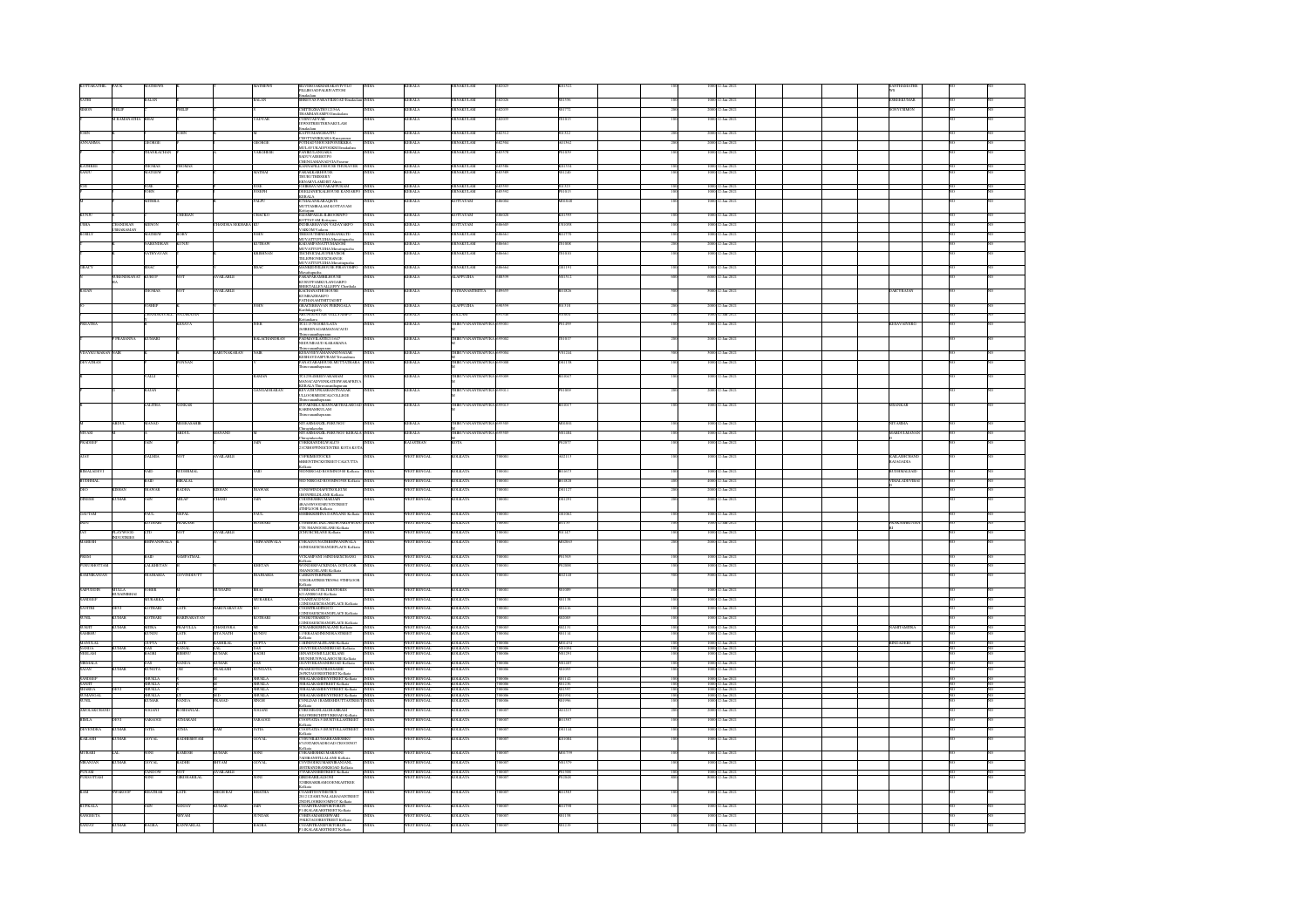|                   |                            |                         |                  |                                 | ATHEW:                  | SILVEROAKMAHAKAVIVYLO<br>PILLIROADPALRIVATTOM                                                                                                                                                                                  |                | :RALA                                  | NAKULAM                         |                  |                  |                   |                                      |  |                          |  |  |
|-------------------|----------------------------|-------------------------|------------------|---------------------------------|-------------------------|--------------------------------------------------------------------------------------------------------------------------------------------------------------------------------------------------------------------------------|----------------|----------------------------------------|---------------------------------|------------------|------------------|-------------------|--------------------------------------|--|--------------------------|--|--|
|                   |                            |                         |                  |                                 |                         | imakulam<br>HREYAS PARAYILROAD E                                                                                                                                                                                               |                |                                        |                                 |                  |                  |                   |                                      |  |                          |  |  |
|                   |                            |                         |                  |                                 |                         |                                                                                                                                                                                                                                |                | ERALA                                  | AKULAM                          |                  |                  |                   |                                      |  |                          |  |  |
|                   |                            |                         |                  |                                 |                         | AMMANAMPO Emak                                                                                                                                                                                                                 |                | RALA                                   | AKULAM                          |                  |                  |                   |                                      |  |                          |  |  |
|                   |                            |                         |                  |                                 |                         | <b>JEWSSTREETERNAKULAM</b>                                                                                                                                                                                                     |                | <b>ERALA</b>                           | NAKULAM                         |                  |                  |                   | $an-2021$                            |  |                          |  |  |
|                   |                            |                         |                  |                                 |                         | nskulam<br>ATTUMANGHATTI                                                                                                                                                                                                       |                | <b>ERALA</b>                           | NAKULAM                         |                  |                  |                   | $-3a + 202$                          |  |                          |  |  |
|                   |                            | ORGI                    |                  |                                 |                         | CHOTTANIKKARA Karayannat<br>POTHADYHOUSEPONJIKKRA                                                                                                                                                                              |                | KERALA                                 | NAKULAM                         |                  |                  | 200               | $Jan-202$                            |  |                          |  |  |
|                   |                            | <b>JANKACHA</b>         |                  |                                 | <b>ARGHEST</b>          | <b>MULAVUKADPOGKM Emakular</b><br>PANIKULANGARA                                                                                                                                                                                |                | .<br>ERALA                             | NAKULAM                         |                  |                  |                   | tan 202                              |  |                          |  |  |
|                   |                            |                         |                  |                                 |                         | PARINDANIANA<br>SADUVASSERYPO<br>CHENGAMANADVIA Patrur<br>KANNAPILLYHOUSE THURAVER NDIA<br>PARAKKARHOUSE                                                                                                                       |                |                                        |                                 |                  |                  |                   |                                      |  |                          |  |  |
| KATHREE<br>SANJU  |                            | <b>HOMAS</b><br>AATGEW  | <b>IOMAS</b>     |                                 | <b>ATHAI</b>            |                                                                                                                                                                                                                                |                | KERALA<br>KERALA                       | RNAKULAM<br>RNAKULAM            | 383586<br>383586 | K01334<br>501240 |                   | 1000 12-Jan-2021<br>1000 12-Jan-2021 |  |                          |  |  |
|                   |                            |                         |                  |                                 |                         | THURUTHISSERY                                                                                                                                                                                                                  |                |                                        |                                 |                  |                  |                   |                                      |  |                          |  |  |
|                   |                            | <b>JOSE</b>             |                  |                                 | DSE                     | RNARVLAMDIST Aliya<br>DJIBHAVAN PARAPPURAM                                                                                                                                                                                     | INDIA<br>INDIA | <b>KERALA</b>                          | ERNAKULAM                       | \$3593           | 101325           |                   | 1000 12-Jan-2021<br>1000 12-Jan-2021 |  |                          |  |  |
|                   |                            | <b>JOHN</b>             |                  |                                 | <b>NEPH</b>             | DEELIANICK ALHOUSE KANJARPO<br>GERALA<br>?7MALANKARAQRTS                                                                                                                                                                       |                | <b>KERALA</b>                          | RNAKULAM                        | 85592            | 1013             |                   |                                      |  |                          |  |  |
|                   |                            | <b>THRA</b>             |                  |                                 | AL PE                   | MUTTAMBALAM KOTTAYAM                                                                                                                                                                                                           |                | <b>ERALA</b>                           | OTTAYAM                         |                  | 1048             |                   | $Jan-2021$                           |  |                          |  |  |
|                   |                            |                         | <b>IERIAN</b>    |                                 | HACKO                   | Kottayam<br>ELIAMPALLIL ILIROORNPO<br>KOTTAYAM Kottayam<br>INDIRABHAVAN VADAYARP<br>DIRABHAVAN VADAYARP                                                                                                                        |                | KERALA                                 | OTTAYAM                         |                  | 01595            |                   | 2-Jan-2021                           |  |                          |  |  |
|                   |                            |                         |                  | <b>RA SEK</b>                   |                         |                                                                                                                                                                                                                                |                | :<br>BALA                              | TTAYAM                          |                  |                  |                   |                                      |  |                          |  |  |
| OSILY             | IANDKAN<br>HARAMAN         | <b>ATHEW</b>            |                  |                                 |                         | (DROMBOOS)<br>AIKOM Vaikom<br>HESOUTHINDIANBANKLTD                                                                                                                                                                             |                | <b>KERALA</b>                          | RNAKULAM                        |                  |                  | 1000              | 2-Jan-2021                           |  |                          |  |  |
|                   |                            | RENDRAN                 |                  |                                 |                         | HESUU 111056656<br>AUVATTUPUZHA Musaitapua<br>* * DAMPANATTUMADOM                                                                                                                                                              |                | ERALA                                  | <b>INAKULAM</b>                 |                  |                  | 2000              | $tan-202$                            |  |                          |  |  |
|                   |                            | <b><i>XTHYAVAN</i></b>  |                  |                                 |                         |                                                                                                                                                                                                                                | <b>SDL</b>     | ERALA                                  | RNAKULAM                        |                  |                  |                   | J <sub>20</sub> 202                  |  |                          |  |  |
|                   |                            |                         |                  |                                 |                         | MUVATTUPUZHA Mavattapazha<br>TECHNICIAL SUPERVISOR<br>TELEPHONEEXCHANGE                                                                                                                                                        |                |                                        |                                 |                  |                  |                   |                                      |  |                          |  |  |
| RACY              |                            |                         |                  |                                 |                         | <b>AUVATTUPUZHA Musitupuzha</b><br>AANKIDIYELHOUSE PIRAVOMPO                                                                                                                                                                   |                | <b>KERALA</b>                          | <b>INAKULAM</b>                 |                  |                  |                   | J <sub>202</sub>                     |  |                          |  |  |
|                   | <b>RENDRANAT</b>           | KIRIP                   |                  | 'All ARI F                      |                         | åavattapazha<br>'ARAPARAMB≣HOUSE                                                                                                                                                                                               |                | <b>KERALA</b>                          | <b>LAPPLIZHA</b>                |                  |                  |                   | 2.5m/2021                            |  |                          |  |  |
|                   |                            |                         |                  |                                 |                         | <b>KURUPPAMKULANGARPO</b>                                                                                                                                                                                                      |                |                                        |                                 |                  |                  |                   |                                      |  |                          |  |  |
| RAJAN             |                            | HOMAS                   |                  | <b>ALABLE</b>                   |                         |                                                                                                                                                                                                                                |                | <b>ERALA</b>                           | <b>THANAMTHITT</b>              |                  |                  |                   | J <sub>2021</sub>                    |  | AICYRAJA                 |  |  |
|                   |                            |                         |                  |                                 |                         |                                                                                                                                                                                                                                |                | ERALA                                  | <b>LAPPUZH</b>                  |                  |                  |                   |                                      |  |                          |  |  |
|                   |                            |                         |                  |                                 |                         | KURUPPAMKULANGARIO<br>SHERTALLEYALLEPPY Cherik<br>KACHANATHUHOUSE<br>KUMBAZHAKPO<br>PATHANAMTHITTADIST<br>KRACEBHAVAN PERINGALA<br>Kathikappally<br>ARUNODAYAM VELLYAMPO                                                       |                | RALA                                   | <b>OLLAN</b>                    |                  |                  |                   |                                      |  |                          |  |  |
| REATHA            |                            |                         |                  |                                 |                         | .USs<br>∂Barakara<br>™AUS78GOKULATA                                                                                                                                                                                            |                | ERALA                                  | HIRUVANANTHA                    |                  |                  |                   | $tan-202$                            |  | <b>VAIVER</b>            |  |  |
|                   |                            |                         |                  |                                 |                         | 6SREENAGARMANACAUD                                                                                                                                                                                                             |                |                                        |                                 |                  |                  |                   |                                      |  |                          |  |  |
|                   |                            |                         |                  |                                 |                         | Thiravaranthapuram<br>PADMAVILASTE211647<br>NEDUMEAUD KARAMANA                                                                                                                                                                 |                | <b>ERALA</b>                           |                                 |                  |                  |                   |                                      |  |                          |  |  |
| <b>JAYKUMARA</b>  |                            |                         |                  | <b>CARLINAKARAN</b>             |                         | iiravaranthapuram<br>ESAVEEYAMANANDNAGAR                                                                                                                                                                                       |                | FRALA                                  |                                 |                  |                  |                   | tan A01                              |  |                          |  |  |
|                   |                            |                         |                  |                                 |                         | .<br>ESHAVDASPURAM Trivandrum<br>VANAYARAHOUSE MUTTATHARA                                                                                                                                                                      |                | <b>ERALA</b>                           |                                 |                  |                  |                   | $tan-202$                            |  |                          |  |  |
|                   |                            |                         |                  |                                 |                         | waxantharsram                                                                                                                                                                                                                  |                |                                        |                                 |                  |                  |                   |                                      |  |                          |  |  |
|                   |                            | ALLI                    |                  |                                 | ww                      | IC425845REEVARAHAM<br>MANACADVENKATESWARAPRIYA                                                                                                                                                                                 |                | ERALA                                  | HIRUVANANTHAPUB                 |                  |                  |                   | J <sub>2021</sub>                    |  |                          |  |  |
|                   |                            |                         |                  |                                 |                         | <b>ERALA Thiruvanathapuran</b><br>IEVATHYPRASHANTNAGAR                                                                                                                                                                         |                |                                        |                                 |                  |                  |                   |                                      |  |                          |  |  |
|                   |                            |                         |                  |                                 |                         | ULLOORMEDICALCOLLEGE                                                                                                                                                                                                           |                |                                        |                                 |                  |                  |                   |                                      |  |                          |  |  |
|                   |                            | <b>MITHA</b>            | <b>INKAR</b>     |                                 |                         | hiravamathapuram<br>UPARNIKA MANNARTHALARO                                                                                                                                                                                     |                | ERALA                                  | <b>HIRUVANANTHAPUB</b>          |                  |                  |                   | $\frac{1}{2}$ an-2021                |  | <b>ISANKAR</b>           |  |  |
|                   |                            |                         |                  |                                 |                         | ARIMAMKULAM<br>vananthaporam                                                                                                                                                                                                   |                |                                        |                                 |                  |                  |                   |                                      |  |                          |  |  |
|                   |                            |                         | ERASAHIE         |                                 |                         | ASIMANZIL PERI                                                                                                                                                                                                                 |                | RALA                                   | IRUVANANTHA                     |                  |                  |                   |                                      |  | astMa                    |  |  |
|                   |                            |                         | $_{\rm{BUL}}$    |                                 |                         | hirayinkeezhu<br>HYASIMANZIL PERUNGU KERALA                                                                                                                                                                                    |                | RALA                                   |                                 |                  |                  |                   | J <sub>2021</sub>                    |  | <b>BIMIT MA</b>          |  |  |
| RADEEP            |                            |                         |                  |                                 |                         | sirayinkeezhu<br>DRKHANDELWALCO                                                                                                                                                                                                |                | <b>JASTHAN</b>                         | $\overline{r}$                  |                  |                  |                   | J <sub>2021</sub>                    |  |                          |  |  |
|                   |                            |                         |                  |                                 |                         | <b>URKHANDELWALL O</b><br>I CSHOPPINGCENTRE KOTA KOTA                                                                                                                                                                          |                |                                        |                                 |                  |                  |                   |                                      |  |                          |  |  |
|                   |                            | ALMIA                   |                  | <b>ALABLE</b>                   |                         | <b>OPRIMESTOCKS</b><br><b>6BBENTINCKSTREET CALCUTTA</b>                                                                                                                                                                        |                | VEST BENGAL                            | <b>OLKATA</b>                   |                  |                  |                   | J <sub>2021</sub>                    |  | KAILASHCHAN<br>RAJAGADIA |  |  |
| <b>MALADE</b>     |                            |                         |                  |                                 |                         | ilkata<br>SDNSROAD ROOMNO508 Kolkata                                                                                                                                                                                           |                | <b>ST BENGAL</b>                       | <b>OLKATA</b>                   |                  |                  |                   | Jan-2021                             |  | <b>DHMALSA</b>           |  |  |
|                   |                            |                         |                  |                                 |                         |                                                                                                                                                                                                                                |                |                                        |                                 |                  |                  |                   |                                      |  |                          |  |  |
|                   |                            |                         |                  |                                 |                         |                                                                                                                                                                                                                                |                |                                        |                                 |                  |                  |                   |                                      |  |                          |  |  |
| <b>BUDHMAL</b>    |                            | an.                     | RALAL.           |                                 |                         | D NSROAD ROOMNOSOR Keller                                                                                                                                                                                                      | NDIA           | <b>VEST RENGAL</b>                     | <b>OLKATA</b>                   |                  | 1879             |                   | $Jan-2021$                           |  | <b>IMALADEVIR</b>        |  |  |
|                   | 31 A.N                     | <b>AWAR</b>             | ADHA             |                                 |                         | <b>CONEWINDIAPETROLEUM</b>                                                                                                                                                                                                     |                | <b>EST BENGAL</b>                      | <b>OLKATA</b>                   |                  |                  |                   | J <sub>2021</sub>                    |  |                          |  |  |
| <b>ENESH</b>      | <b>L'MAR</b>               |                         | <b>LAF</b>       |                                 |                         | <b>BONFIELDLANE Kollata</b><br>YODINESHKUMARJAIN<br>RAJAWOODMUNTSTREET                                                                                                                                                         |                | <b>VEST BENGAL</b>                     | <b>OLKATA</b>                   |                  |                  |                   |                                      |  |                          |  |  |
| <b>AUTAM</b>      |                            |                         |                  |                                 |                         | .<br>THFLOOR Kelkata<br>:¤¤¤rk`¤ISHNA DAWLANE Kel                                                                                                                                                                              |                | TBENGAL                                |                                 |                  |                  |                   |                                      |  |                          |  |  |
| NNT               |                            | <b>THART</b>            | <b>DAKASH</b>    |                                 | <b>TUADI</b>            | OMMERCIALCARDBOARDPRODU INDIA                                                                                                                                                                                                  |                | <b>VEST BENGAL</b>                     | <b>OLKATA</b><br><b>OLKATA</b>  |                  |                  | $\overline{1000}$ | 12-Jan-2021                          |  | PRAKASHKOTH              |  |  |
|                   | AYWOOD                     |                         |                  | <b>ALABLE</b>                   |                         |                                                                                                                                                                                                                                | NDIA           | <b>EST BENGAL</b>                      | <b>OLKATA</b>                   |                  |                  |                   | 2-Jan-2021                           |  |                          |  |  |
|                   | <b>INDUSTRIES</b>          |                         |                  |                                 |                         | TS 3MANGOELANE Kokata<br>CHURCHLANE Kokata                                                                                                                                                                                     |                |                                        |                                 |                  |                  | 200               |                                      |  |                          |  |  |
| <b>LAHESH</b>     |                            | <b>IIWANIWAL</b>        |                  |                                 | <b>IIWANIWALA</b>       | <b>ORAGUUNATHBHIWANIWALA</b><br><b>6INDIAEXCHANGEPLACE Kolkata</b>                                                                                                                                                             |                | EST BENGAL                             | <b>OLKATA</b>                   |                  |                  |                   | J <sub>2021</sub>                    |  |                          |  |  |
|                   |                            |                         | PATMAI           |                                 |                         |                                                                                                                                                                                                                                |                | <b>ST BENGAL</b>                       | <b>OLKATA</b>                   |                  |                  |                   |                                      |  |                          |  |  |
| PURUSHOTI         |                            | <b>ALKHETA</b>          |                  |                                 |                         | olkata<br>FONDERPACKINDIA ISTFLOOR                                                                                                                                                                                             |                | <b>EST RENGAL</b>                      | <b>OLKATA</b>                   |                  |                  |                   | J <sub>2021</sub>                    |  |                          |  |  |
| <b>AMNIRANJA</b>  |                            | AJHARIA                 | <b>INDDUTT</b>   |                                 | <b>IAJHARIA</b>         | <b>MANGOELANE Kolkata</b><br>CoBKENTERPRISE                                                                                                                                                                                    |                | <b>VEST BENGAL</b>                     | <b>OLKATA</b>                   |                  |                  | 5000              | 2-Jan-2021                           |  |                          |  |  |
|                   |                            |                         |                  |                                 |                         | 2EGRASTREETRN964 9THFLOOR                                                                                                                                                                                                      |                |                                        |                                 |                  |                  |                   |                                      |  |                          |  |  |
| AFUDDIN           | MULLA<br><b>USAINIBHAI</b> | .<br>HER                |                  |                                 |                         | okata<br>OBHARATTE.TERSTORES                                                                                                                                                                                                   |                | <b>EST BENGAL</b>                      | <b>OLKATA</b>                   |                  |                  |                   |                                      |  |                          |  |  |
| ANDEEP            |                            | <b>URARK</b>            |                  |                                 |                         | : LANSROAD Kolkata<br>DANITAUDYOG                                                                                                                                                                                              |                | ST BENGAL                              | <b>OLKATA</b>                   |                  |                  |                   |                                      |  |                          |  |  |
| AVITRI            |                            | THART                   |                  | <b>BI NARAVAN</b>               |                         | 2INDIAEXCHANGPLACE Kolkata<br>'OGMTRADINGCO                                                                                                                                                                                    |                | <b>EST RENGAL</b>                      | <b>OLKATA</b>                   |                  |                  |                   | 1000 12-Jan-2021                     |  |                          |  |  |
| <b>INIL</b>       | <b>LMAR</b>                | THARI                   | ARINARAYAN       |                                 |                         | <b>INDIAEXCHANGPLACE Kolkata</b>                                                                                                                                                                                               | NDIA           | WEST BENGAL                            | <b>OLKATA</b>                   |                  |                  | 1000              | 12-Jan-2021                          |  |                          |  |  |
| SURJIT<br>ERHI    | <b>IMAR</b>                | <b>ITRA</b><br>UNDU     | RAFULLA<br>уŢЕ   | <b>ANDNRA</b><br><b>TA NATH</b> | NDU                     | SCRAMKRISHNALANE Kolkata<br>11 SERAJADINENDRA STREET                                                                                                                                                                           | <b>INDIA</b>   | WEST BENGAL<br>WEST BENGAL             | KOLKATA<br><b>OLKATA</b>        |                  | 1114             |                   | 1000 12-Jan-2021<br>1000 12-Jan-2021 |  | NAMITAMITRA              |  |  |
| ANULAI            |                            | ⊮ТА                     |                  | HILAL                           | IFTA                    | olkata                                                                                                                                                                                                                         |                | STBENGA                                | <b>OLKATA</b>                   |                  | H45              |                   |                                      |  | <b>MDEBI</b>             |  |  |
|                   |                            |                         |                  |                                 |                         | <b>IBINDUPALITLANE Kolkata</b>                                                                                                                                                                                                 | <b>INDU</b>    |                                        | <b>OLKATA</b>                   | 0000             |                  |                   |                                      |  |                          |  |  |
| ANDA<br>EELAM     |                            | .<br>GRI                |                  |                                 | .<br>KRI                |                                                                                                                                                                                                                                |                | WEST BENGAL<br>WEST BENGAL             | <b>X.KATA</b>                   |                  |                  |                   | 1000 12-Jan-2021<br>1000 12-Jan-2021 |  |                          |  |  |
| <b>NIRMALA</b>    |                            |                         |                  | <b>DMAR</b>                     |                         | -<br>184VIVEKANANDROAD Kelkata<br>1BNANDOMULLICKLANE<br>JHUNJHUNWALAHOUSE Kelkata<br>184VIVEKANANDROAD Kelkata                                                                                                                 | INDI           | <b>VEST BENGAL</b>                     | <b>OLKATA</b>                   |                  | 01407            | 1000              | 2-Jan-2021                           |  |                          |  |  |
| ANDEEP            |                            | <b>TUKLA</b>            |                  |                                 | HUKLA                   | <b>FRAMODTEXTILESSASHI</b><br>26PKTAGORESTREET Kolkata<br>38BALARAMDEYSTREET Kolkata                                                                                                                                           |                | <b>ST BENGAL</b><br><b>VEST BENGAL</b> | <b>OLKATA</b><br><b>OLKATA</b>  |                  | nat              | 1000              | $\frac{1}{2}$ an-2021                |  |                          |  |  |
|                   |                            |                         |                  |                                 |                         |                                                                                                                                                                                                                                |                |                                        |                                 |                  |                  |                   |                                      |  |                          |  |  |
| ARDA<br>SUMANGAL  |                            | HUKLA<br>HUKLA<br>HUKLA |                  |                                 | HUKLA<br>HUKLA<br>HUKLA | SEALARAMSTREET Kokata KIDIA<br>SEALARAMDEYSTREET Kokata KIDIA                                                                                                                                                                  |                | WEST BENGAL<br>WEST BENGAL             | OLKATA<br>OLKATA<br>KOLKATA     | 00006<br>,,,,,,  |                  |                   | -Jan-2021<br>-Jan-2021               |  |                          |  |  |
| <b>INT</b>        |                            | UMAR                    | ANDA             | <b>RASAD</b>                    | INGH                    | SBALARAMDEYSTREET Kolkata – INDIA<br>CONLDAS IRAMESHDUTTASTREET INDIA                                                                                                                                                          |                | WEST BENGAL<br>WEST BENGAL             | <b>OLKATA</b>                   | 10006            | 1996             | 1000              | 2-Jan-2021<br>2-Jan-2021             |  |                          |  |  |
| <b>AMOLAKCHAN</b> |                            | <b>CANI</b>             | SHANLAL          |                                 | OGANI                   | <br>OROSHANLALGHASIRAM<br>COROSHANLALGHASIRAM                                                                                                                                                                                  | NDU            | <b>VEST BENGAL</b>                     | <b>OLKATA</b>                   |                  |                  | 2000              | 2-Jan-2021                           |  |                          |  |  |
| <b>BIMLA</b>      |                            | RAOGI                   | <b>MARAM</b>     |                                 | <b>ARAOGI</b>           | NLOWERCHITPURROAD Kolkata<br>COOPJATIA 5 IBURTOLLASTREET                                                                                                                                                                       |                | <b>EST BENGAL</b>                      | <b>KOLKATA</b>                  |                  |                  |                   | Jan-2021                             |  |                          |  |  |
| <b>EVENDRA</b>    | <b>TMAR</b>                | $\overline{\pi}$        |                  |                                 | $\overline{\mathbf{m}}$ | okata<br>OOPJATIA 51BURTOLLASTREET                                                                                                                                                                                             |                | <b>EST BENGAL</b>                      | <b>OLKATA</b>                   |                  |                  |                   | 000 12-Jan-2021                      |  |                          |  |  |
| KAILASH           | <b>TMAR</b>                | $\overline{\text{OVM}}$ | <b>ADHESHYAM</b> |                                 | <b>OVAI</b>             | olkata<br>OSUNILKUMARRAMESHKU                                                                                                                                                                                                  | vre            | <b>VEST BENGAL</b>                     | <b>OLKATA</b>                   |                  | $rac{1}{2}$      |                   | 2.5m/2021                            |  |                          |  |  |
|                   |                            |                         |                  |                                 |                         | 5745STARNADROAD CROOSNO7                                                                                                                                                                                                       |                |                                        |                                 |                  |                  |                   |                                      |  |                          |  |  |
| MURARI            |                            | DNI                     | AMESH            | UMAR                            | DNI                     | Kolkata<br>CORAMESHKUMARSONI                                                                                                                                                                                                   | <b>INDIA</b>   | <b>VEST BENGAL</b>                     | <b>OLKATA</b>                   |                  | 801759           |                   | 1000 12-Jan-2021                     |  |                          |  |  |
| <b>RANJAN</b>     |                            | YAL.                    | DHE              |                                 |                         |                                                                                                                                                                                                                                | NDIA           | <b>ST BENGAL</b>                       | <b>X.KATA</b>                   |                  |                  |                   | an 2021                              |  |                          |  |  |
|                   |                            | NDOW <sub></sub>        |                  | <b>ALABLE</b>                   |                         | ADIBANSTLLALANE Kolkata<br>COVINODKUMARNIRANJANL<br>8STRANDBANKROAD Kolkata<br>EET Kolkata                                                                                                                                     |                |                                        |                                 |                  |                  |                   |                                      |  |                          |  |  |
| NAM<br>RSOTTAN    |                            |                         | .<br>IARILAI     |                                 |                         | THE CONSTRUCTION OF THE CONTROL OF THE CONTRACT OF THE CONTRACT OF THE CONTRACT OF THE CONTRACT OF THE CONTRACT OF THE CONTRACT OF THE CONTRACT OF THE CONTRACT OF THE CONTRACT OF THE CONTRACT OF THE CONTRACT OF THE CONTRAC |                | ST BENGAL<br>ST BENGAL                 | KOLKATA<br>KOLKATA              |                  |                  |                   | Jan-2021<br>Jan-2021                 |  |                          |  |  |
|                   |                            |                         |                  |                                 |                         |                                                                                                                                                                                                                                |                | <b>T BENGAL</b>                        | <b>X.KATA</b>                   |                  |                  |                   |                                      |  |                          |  |  |
|                   |                            |                         |                  |                                 |                         | GRata<br>COAMITSYNTHETICS<br>01212JAMUNALALBAJAISTREET                                                                                                                                                                         |                |                                        |                                 |                  |                  |                   |                                      |  |                          |  |  |
| UPKALA            |                            |                         | WAY              | MAS                             |                         | SDFLOORROOMNO? Kelkata<br>OJAINTRANSPORTORGN<br>14KALAKARSTREET Kolkata                                                                                                                                                        | NDIA           | VEST BENGAL                            | <b>OLKATA</b>                   |                  |                  |                   | 2-Jan-2021                           |  |                          |  |  |
| <b>NGEET</b>      |                            | .<br>arifra             | YАМ<br>NWART AF  |                                 |                         | <b>COBINAMAHESHWARI</b><br>39KKTAGORESTREET Kolkata<br>COJAINTRANSPORTORON                                                                                                                                                     |                | <b>EST BENGAL</b><br><b>EST BENGAL</b> | <b>OLKATA</b><br><b>OF KATA</b> |                  |                  |                   |                                      |  |                          |  |  |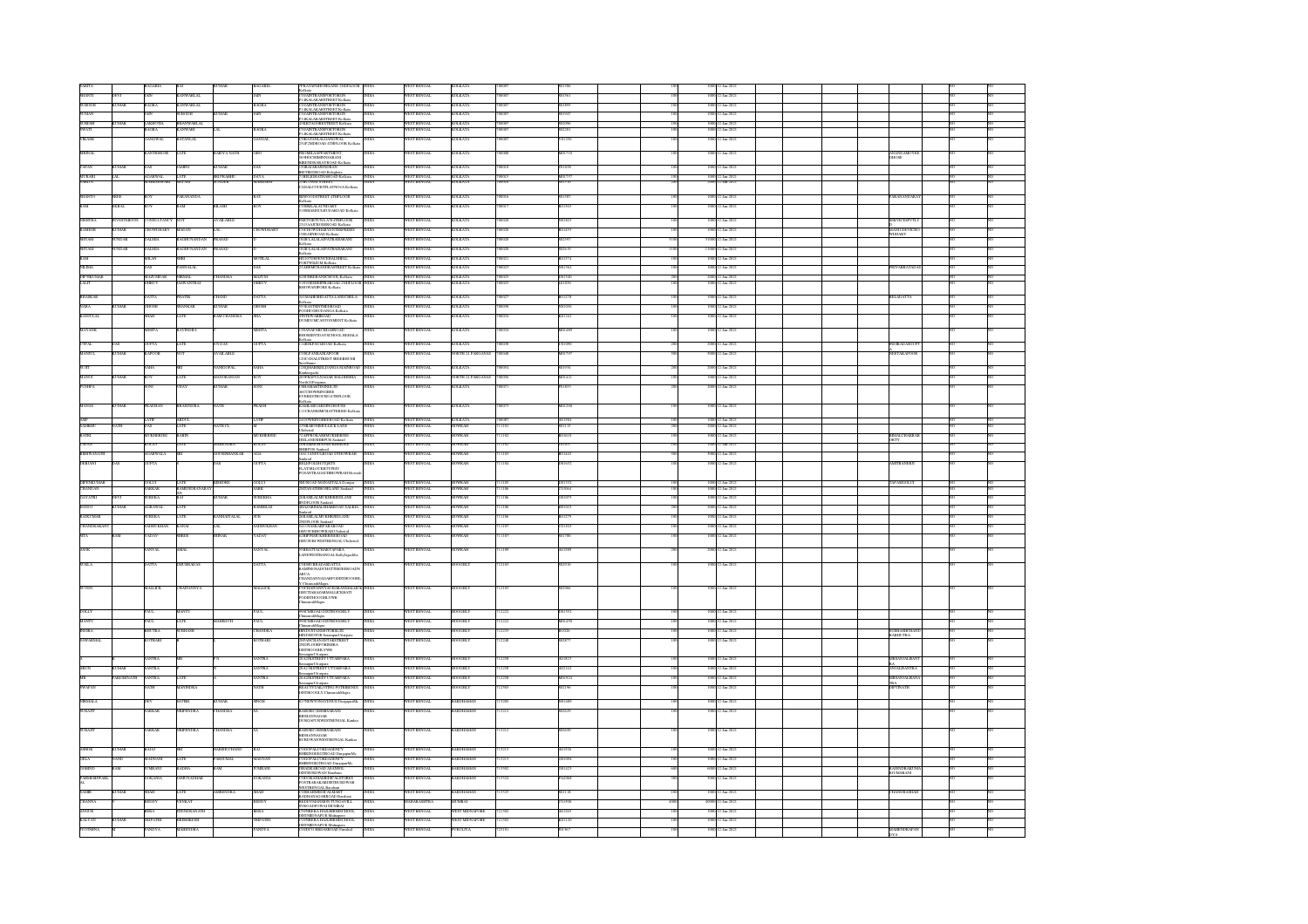| <b>GEI</b><br>LAINTRANSPORTORO<br><b>MKAT</b><br>----<br>14KALAKARSTREET Kolkata<br><sup>951</sup> AINTR-ANSPORTORGN<br><b>AGRA</b><br>WARI AI<br><b>AGRA</b><br><b>STREMOM</b><br><b>OLKATA</b><br>Im(202)<br>RODI<br><b>14KALAKARSTREET Kolka</b><br>OJAINTRANSPORTORGN<br><b>EST BENGAL</b><br>KOLKATA<br>1000 12-Jan-2021<br>UMAN<br><b>BODH</b><br>MAR<br>NDIA<br>14KALAKARSTREET Kolkata<br><b>UESTREET Kolka</b><br>URESE<br>WATI<br>WEST BENGAL<br>1000 12-Jan-2021<br>BAGRA<br>ANWARI<br><b>AGRA</b><br><b>OJAINTRANSPORTORGN</b><br>KOLKATA<br>NDIA<br>14KALAKARSTREET Kolkata<br>ORATANLALGANGWAL<br><b>IKASE</b><br>NGWA<br><b>ST BENGA</b><br><b>OLKATA</b><br>34P2MDROAD 4THFLOOR Kolkata<br>PROMILAAPPARTMENT<br>{69HOCHIMINNSARANI<br><b>NTIGHO</b><br><b>ST BENGAL</b><br><b>OLKATA</b><br>RINAL<br>iose<br><b>IRENDRARAYROAD Kolka</b><br>50RAJARAJENDRAN<br>KOLKATA<br><b>APAN</b><br>MAR<br>MAR<br><b>EST BENGAL</b><br>1000 12-Jan-2021<br>MN<br>NDIA<br>1038<br>BETREDROAD Beleghata<br>71 BELIGHATHAROAD Kolkata<br>MURARI<br>ST BENGAL<br>KOLKATA<br>.<br>Ski prabhu<br>1000 12-Jan-202<br><b>MGARWA</b><br>INDIA<br>ARITA<br><b>IYAM</b><br>NDER<br>SBCONACSTREET<br>ANALCOURTFLATNO4A Kolkata<br><b>EST BENGAL</b><br><b>COLKATA</b><br>3 <sub>202</sub><br><b>HESHWAR</b><br>AHESH<br><b>DIA</b><br>2000<br>WOODSTREET 4THFLOOR<br><b>ST BENGAL</b><br><b>OLKATA</b><br>$-3an-202$<br>oRata<br>OSIMLALAUNDARY<br>I SSHAMSULHUDAROAD Kolkata<br><b>OLKATA</b><br><b>TREMGAL</b><br>MCFORTUNA A784THFLOOR<br>KOLKATA<br><b>ISHTHA</b><br>VESTMENTS CONSULTANCY<br><b>WAILABLE</b><br><b>EST BENGAL</b><br>1000 12-Jan-2021<br><b>RVICESPVIL</b><br>NDIA<br>43 AAJCBOSEROAD Kolkata<br>OCHOWDHAR YENTERPRISES<br><b>OLKATA</b><br>SELGINROAD Kolkata<br>04B LALALAIPATRAISARANI<br>DHARY<br><b>ATME</b><br><b>ST BENGAL</b><br><b>COLKATA</b><br>21000<br>2-Jan-202<br>iya M<br><b>CULTIVANTS</b><br>oom ENDADOR AROKOOGAN<br>Kolkais<br>Kolkais<br>HG 107DEFENCEHAL SHELL<br>FORTWILJUM Kolkais<br>23AHEMCHANDRASTREET Kolka<br><b>EST BENGAL</b><br>KOLKATA<br><b>AIMIA</b><br><b>AGHUNANDAN</b><br>11000 12-Jan-202<br>HYAM<br><b>NDAR</b><br><b>PRASAD</b><br>INDIA<br>EST BENGAL<br>KOLKATA<br><b>IOTEAL</b><br>1000 12-Jan-2021<br>AM<br>ÆАN<br>INDIA<br><b>IRI</b><br>1374<br><b>ST BENGAL</b><br><b>OLKATA</b><br>$\frac{1}{2}$ an- $\frac{202}{2}$<br>.<br>Nilima<br>.<br>Wala<br>œл<br>KOLKATA<br>KOLKATA<br><b>DIPTIKUMAR</b><br>LALIT<br>SUBREBANSCHOOL Kollata<br>JOGESHMITRAROAD 2NDFLOI<br>HOWANIPORE Kollata<br>ANTRA<br>ST BENGA<br>HASKAR<br><b>ATTA</b><br><b>ATR</b><br><b>ATTA</b><br><b>MAHESHDATTA LANECHEL</b><br><b>STRENGAL</b><br><b>OLKATA</b><br><b>ADATTA</b><br>dkata<br>JEASTSINTHEEROAD<br>.<br>NABA<br><b>EST BENGAL</b><br>KOLKATA<br>1000 12-Jan-2021<br>HOSH<br>HANKAR<br>HOSH<br><b>LMAR</b><br>UMAR<br>ina.<br><b>STYLE</b><br>POGHUGHUDANGA Kolkata<br>EINTEWARIROAD<br>DUMDUMCANTONMENT Kolkata<br>KANJULA<br><b>ST BENGA</b><br><b>OLKATA</b><br><b>IAYANK</b><br><b>EHTA</b><br>38ANAFARCHDASROAD<br>(HORIENTDAYSCHOOL BEHALA<br><b>EST BENGAL</b><br><b>OLKATA</b><br><b>INDR</b><br>.<br>HT<br>)   48<br>oten<br>14BJKPAULROAD Kolkata<br><b>EST BENGAL</b><br>KOLKATA<br>UTPAL<br><b>SUPTA</b><br>N DAS<br>UPTA<br>0090<br>2000 12-Jan-2021<br>DIRADASGU<br>INDIA<br>0038<br><b>ANJUL</b><br><b>ALABLE</b><br><b>RTH 24 PAR</b><br><b>APOOR</b><br><b>SLPANKAJKAPOOR</b><br><b>ST BENGAL</b><br>$tan-2021$<br><b>TAKAPOO</b><br>MAR<br>20CANALSTREET SREEBHUMI<br>xbhami<br>*****RIKELDAY<br><b>DLKATA</b><br><b>TRENGAL</b><br>ankungachi<br>ISPRAFULNAGAR BALGHERIA<br><b>EST BENGAL</b><br><b>CRTH 24 PARGANA</b><br>2-Jan-2021<br><b>MANOJ</b><br><b><i>NORANJAM</i></b><br>601421<br><b>IMAR</b><br>.<br>NDIA<br>1000<br>1th24Parganas<br>SHAMARTININDLTD<br>EST BENGAL<br><b>KOLKATA</b><br>USHPA<br>185<br>$3m-202$<br>MAS<br>6CCHOWRINGHEE<br>!VERESTHOUSE14THFLOOR<br>sikata<br>AMLABOARDINGHOUSE<br>MANAS<br><b>IMAR</b><br>RADHAN<br><b>AIFNDRA</b><br>RADH<br><b>EST BENGAL</b><br>COLKATA<br>01260<br>000 12-Jan-202<br><b>ATH</b><br><b>I ICBANKIMCHATTERJEE Kolkati</b><br>24GOWRINGHEEROAD Kollata<br><b>WEST BENGAL</b><br>LATIF<br><b>UBDUL</b><br>ATIF<br><b>KOLKATA</b><br>A01584<br><b>INDIA</b><br>70008<br>1000 12-Jan-202<br>SAMBHU<br>SATH CL<br>2000 12-Jan-2021<br>ATE <sup></sup><br>23NILMONMULLICK LANE<br><b>INDIA</b><br><b>WEST BENGAL</b><br><b>HOWRAH</b><br>11101<br>201115<br>DAS<br>Uluberial<br>72 APPROKASHMUKHERJEE<br>EST BENGAL<br><b>MUKHERJEE</b><br><b>UKHERJEE</b><br>OWRAH<br>1000 12-Jan-2021<br>RATRI<br>INDIA<br><b>BIMALCHAKR</b><br>ABIN<br>1102<br>01610<br>EELANESHIBPUR Sankrai<br>6RAMMOHANMUKHERJEE<br>ORTY<br><b>EST BENGAL</b><br><b>OWRAH</b><br>1000 12-Jan-2021<br>TAPAN<br>KOLAY<br><b>MAHENDRA</b><br>OLAY<br>INDIA<br>H037<br>1102<br>HIBPUR Sankrail<br>661 I ANDULROAD DTH<br><b>URWAL</b><br>WRAH<br><b>HWAN</b><br><b>ST BENGAL</b><br>$tan-202$<br>nkrail<br>ELEPOLEHITQRTS<br><b>OWRAH</b><br>EBJAN<br><b>UPTA</b><br><b>EST BENGAL</b><br>$tan-202$<br><b>IPTA</b><br>1633<br>TRANFRI<br>ATTRI OCKRTYPEIV<br>SANTRAGACHIHOWRAH How<br>SBUROAD MANASTALA Domjur NDIA<br>DIPENKUMAR<br>CHANDAN<br><b>WEST BENGAL</b><br><b>GOLUT</b><br><b>HOWRAH</b><br><b>TAPASIGOLUI</b><br><b>KISHORE</b><br>GOLUI<br>1000 12-Jan-202<br><b>AMENDRANAR</b><br>ARKAR<br>ARK<br><b>SITANATHBOSELANE Sankrat</b><br>INDIA<br><b>EST BENGAL</b><br>OWRAH<br>1000 12-Jan-2021<br>11064<br><b>GAYATRI</b><br>UREKA<br><b>UREKHA</b><br><b>SRAMLALMUKHERJEELANE</b><br><b>ST BENGAL</b><br><b>WRAH</b><br>$J20$ <sub>202</sub><br>NDIA<br>NDFLOOR Sankrail<br>HAZARIMALSHARROAD SALKIA<br>MRII AS<br>OWRAH<br>2-Jan-202<br><b>HANOJ</b><br><b>GRAWAL</b><br><b>NDIA</b><br><b>STREMOM</b><br>$\frac{1}{100}$<br>ankrail<br>6RAMLALMUKHRJEELANE<br>REKA<br>WRAH<br>J <sub>20</sub><br><b>AJKUMAR</b><br><b>NDIA</b><br><b>ST BENGAL</b><br>NDFLOOR Sankrail<br>411NASKARPARAROAD<br><b>CHANDRAKAN</b><br><b>ADHUKHAN</b><br><b>EST BENGAL</b><br><b>OWRAH</b><br>1000 12-Jan-2021<br><b>ADHUKHAN</b><br><b>INDIA</b><br>$N\Delta$<br>01103<br>HUSURIHOWRAH Ulaberial<br>HUSURIHOWRAH Ulaberial<br>HUSURI WESTBENGAL Ulaberial<br>WRAH<br>$\frac{1}{2}$ an-2021<br><b>ST BENGAL</b><br>æи<br>DA!<br><b>RHATTACHARVAPARA</b><br><b>ASOK</b><br>NYAI<br><b>STRENGAL</b><br>WRAH<br>NYAI<br>ANEWESTBANGAL BallyJagachha<br>CODHUBRADASDATTA<br>RAMPROSADCHATTERJEEROADN<br>SUKLA<br><b>EST BENGAL</b><br><b>OOGHLY</b><br>ATTA<br><b>HUBRADAS</b><br>ATTA<br>$3m-202$<br>RUA<br>HANDANNAGARPODISTHOOGHI<br>.<br>OCHAITANNY ACHARANMALLICK INDIA<br>WEST BENGAL<br><b>SUVEN</b><br>мшек<br>HAITANNYA<br><b>ALLICK</b><br><b>OOGHLY</b><br>000 12-Jan-202<br>HUTIABAZARMALLICKBATI<br><b>ODISTHOOGHLYWB</b><br>murahMagra<br><b>SCMROAD DIST</b><br>DOGHLY<br><b>CLLY</b><br><b>ST BENGAL</b><br>J <sub>20</sub> 202<br>purabMagra<br>CMROAD DISTHOOGHLY<br><b>TANTI</b><br><b>STREMOM</b><br><b>CORT</b><br>m, 202<br><b>NDRA</b><br><b><i>MEST RENGAL</i></b><br>1000 12-Jan-2021<br><b>HITRA</b><br><b>HANDRA</b><br><b>OOGHLY</b><br>TRHANH<br>NDIA<br>10%<br><b>IRHASHCHA</b><br><b>NDMOTOR SetampurUttarp</b><br>PANCHANANTAKSTREET<br><b>ABHUTRA</b><br><b>EST BENGAL</b><br><b>SAWARMAL</b><br>OOGHLY<br>$Jan-202$<br><b>JTHAR</b><br><b>JTHAR</b><br>NDIA<br>224<br>NDFLOORPORISHRA<br>ØSTHOOGHLYWB<br>amparUttarpara<br>A2JKSTREET UTTARPARA<br><b>NTRA</b><br>ST BENGAL<br>DOGHLY<br>NTRA<br>3-Jan-202<br>WALE<br>umpurUttarpara<br>A2 JKSTREET UTTARPARA<br>.<br>JALISANTRA<br><b>NTRA</b><br><b>ANTRA</b><br><b>EST BENGAL</b><br><b>OOGHLY</b><br>1000 12-Jan-2021<br>02142<br><b>UMAR</b><br><b>INDIA</b><br>2258<br>RUN<br>rangurUttarpara<br>(A2JKSTREET UTTARPARA<br>ARESHNATH<br>.<br>ANTRA<br>ANTRA<br><b>EST BENGAL</b><br><b>COGHLY</b><br>801924<br>1000 12-Jan-2021<br><b>IRSANJALISAN</b><br>INDIA<br>12258<br>erampurUttarpara<br>IEAUTYTAILOTING POTRIBENDI<br>ISSTHOOGLY ChinearabMagra<br>.<br>SWAPAN<br>EST BENGAL<br><b>OOGHLY</b><br>2196<br>2-Jan-2021<br>A<br>PIINATH<br>ATH<br>NINDRA<br>۹TH<br>NDIA<br>2503<br>7NEWTONAVENUE DurgapurM<br><b>NIRMALA</b><br>$rac{1}{2}$<br><b>EST BENGAL</b><br><b>RDHAMAN</b><br>1409<br>MAR<br><b>SDIA</b><br>LASOSEC2BSSBSARANI<br><b>EST BENGAL</b><br><b>SURAJIT</b><br>ARDHAMAN<br>ARKAR<br>RPENDRA<br>HANDRA<br>02629<br>$\frac{1}{2}$ an-2021<br>3212<br><b>COLA</b><br>IDHANNAGAR<br>URGAPURWESTBENGAL Kanksa<br><b>URAIIT</b><br>RASOSEC?BSSBSARANI<br>BIDHANNAGAR<br>BURDWANWESTBENGAL Karloa<br>.<br>RKAF<br>ST BENGAL<br><b>RDHAMAN</b><br>TOGOPALCOKEAGENCY<br><b>JARISH CHAND</b><br><b>WEST BENGAL</b><br>ARDHAMAN<br>ASHOK<br><b>UMAR</b><br>BAJAJ<br><b>INDIA</b><br><b>01526</b><br>1000 12-Jan-2021<br>rerMc<br>BHIRINGEEGTROAD Durga<br>COGOPALCOKEAGENCY<br>EST BENGAL<br><b>ARDHAMAN</b><br><b>MADNANI</b><br>ARSUMAL<br><b>INDIA</b><br>1000 12-Jan-2021<br>SELA<br><b>JADNAN</b><br>101094<br>AND<br>3213<br>VTE<br>RANI<br><b>T BENGAL</b><br>tan 202<br>$ 42\rangle$<br>STBURDWAN Barabani<br>)DOKANIAMEDICALSTORES<br>)STBARAKARDISTBURDWAR<br>UMARANI<br>ARMESE<br>KAND<br>T BENGAI<br>2068<br>$an-202$<br><b>STBENGAL Barabará<br/>SHAHMEDICALMART</b><br>MR<br>MAR<br><b>RENDRA</b><br><b>EST BENGAL</b><br>ARDHAMAN<br>J <sub>202</sub><br><b>IANDRASHAI</b><br>1118<br>ADHANAGARROAD Barabani<br>EDDYMANSION TUNGAVILL<br><b>UMBAI</b><br>NKA <sup>-</sup><br><b>IARASHTR</b><br>$3m-202$<br>OADPOWALMUMBAL<br>NBERA HAJLIHIGHSCHOOL<br><b>EST MIDNAPO</b><br><b>UNDAN</b><br><b>CERFNOAT</b><br>tan 20<br>ASSEMBNAPUR Midsapore<br>COINBERA HAJUHIGHSCHOOL<br>1000 12-Jan-2021<br><b>TRIPATHI</b><br><b>RIPATHI</b><br><b>EST RENGAL</b><br>WEST MIDNAPORT<br>KALYAN<br><b>RIGHTKESH</b><br>01120<br><b>TMAP</b><br>INDIA.<br>DISTMIDNAPUR Midrapore<br>COIDCO BBDASROAD Purulial<br><b>PURULIYA</b><br><b>PANDYA</b><br><b>ANDYA</b><br>WEST BENGAL<br>1000 12-Jan-2021<br><b>MAHENDRAPAN</b><br>YOTSHNA<br><b>AHENDRA</b><br>INDIA |  |  | <b>MGARIA</b> | PRATAPGHOSELANE 2NDFLOOR INDIA | WEST BENGAL | KOLKATA |  |  |  |  |  |  |
|---------------------------------------------------------------------------------------------------------------------------------------------------------------------------------------------------------------------------------------------------------------------------------------------------------------------------------------------------------------------------------------------------------------------------------------------------------------------------------------------------------------------------------------------------------------------------------------------------------------------------------------------------------------------------------------------------------------------------------------------------------------------------------------------------------------------------------------------------------------------------------------------------------------------------------------------------------------------------------------------------------------------------------------------------------------------------------------------------------------------------------------------------------------------------------------------------------------------------------------------------------------------------------------------------------------------------------------------------------------------------------------------------------------------------------------------------------------------------------------------------------------------------------------------------------------------------------------------------------------------------------------------------------------------------------------------------------------------------------------------------------------------------------------------------------------------------------------------------------------------------------------------------------------------------------------------------------------------------------------------------------------------------------------------------------------------------------------------------------------------------------------------------------------------------------------------------------------------------------------------------------------------------------------------------------------------------------------------------------------------------------------------------------------------------------------------------------------------------------------------------------------------------------------------------------------------------------------------------------------------------------------------------------------------------------------------------------------------------------------------------------------------------------------------------------------------------------------------------------------------------------------------------------------------------------------------------------------------------------------------------------------------------------------------------------------------------------------------------------------------------------------------------------------------------------------------------------------------------------------------------------------------------------------------------------------------------------------------------------------------------------------------------------------------------------------------------------------------------------------------------------------------------------------------------------------------------------------------------------------------------------------------------------------------------------------------------------------------------------------------------------------------------------------------------------------------------------------------------------------------------------------------------------------------------------------------------------------------------------------------------------------------------------------------------------------------------------------------------------------------------------------------------------------------------------------------------------------------------------------------------------------------------------------------------------------------------------------------------------------------------------------------------------------------------------------------------------------------------------------------------------------------------------------------------------------------------------------------------------------------------------------------------------------------------------------------------------------------------------------------------------------------------------------------------------------------------------------------------------------------------------------------------------------------------------------------------------------------------------------------------------------------------------------------------------------------------------------------------------------------------------------------------------------------------------------------------------------------------------------------------------------------------------------------------------------------------------------------------------------------------------------------------------------------------------------------------------------------------------------------------------------------------------------------------------------------------------------------------------------------------------------------------------------------------------------------------------------------------------------------------------------------------------------------------------------------------------------------------------------------------------------------------------------------------------------------------------------------------------------------------------------------------------------------------------------------------------------------------------------------------------------------------------------------------------------------------------------------------------------------------------------------------------------------------------------------------------------------------------------------------------------------------------------------------------------------------------------------------------------------------------------------------------------------------------------------------------------------------------------------------------------------------------------------------------------------------------------------------------------------------------------------------------------------------------------------------------------------------------------------------------------------------------------------------------------------------------------------------------------------------------------------------------------------------------------------------------------------------------------------------------------------------------------------------------------------------------------------------------------------------------------------------------------------------------------------------------------------------------------------------------------------------------------------------------------------------------------------------------------------------------------------------------------------------------------------------------------------------------------------------------------------------------------------------------------------------------------------------------------------------------------------------------------------------------------------------------------------------------------------------------------------------------------------------------------------------------------------------------------------------------------------------------------------------------------------------------------------------------------------------------------------------------------------------------------------------------------------------------------------------------------------------------------------------------------------------------------------------------------------------------------------------------------------------------------------------------------------------------------------------------------------------------------------------------------------------------------------------------------------------------------------------------------------------------------------------------------------------------------------------------------------------------------------------------------------------------------------------------------------------------------------------------------------------------------------------------------------------------------------------------------------------------------------------------------------------------------------------------------------------------------------------------------------------------------------------------------------------------------------------------------------------------------------------------------------------------------------------------------------------------------------------------------------------------------------------------------------------------------------------------------------------------------------------------------------------------------------------------------------------------------------------------------------------------------------------------------------------------------------------------------------------------------------------------------------------------------------------------------------------------------------------------------------------------------------------------------------------------------------------------------------------------------------------------------|--|--|---------------|--------------------------------|-------------|---------|--|--|--|--|--|--|
|                                                                                                                                                                                                                                                                                                                                                                                                                                                                                                                                                                                                                                                                                                                                                                                                                                                                                                                                                                                                                                                                                                                                                                                                                                                                                                                                                                                                                                                                                                                                                                                                                                                                                                                                                                                                                                                                                                                                                                                                                                                                                                                                                                                                                                                                                                                                                                                                                                                                                                                                                                                                                                                                                                                                                                                                                                                                                                                                                                                                                                                                                                                                                                                                                                                                                                                                                                                                                                                                                                                                                                                                                                                                                                                                                                                                                                                                                                                                                                                                                                                                                                                                                                                                                                                                                                                                                                                                                                                                                                                                                                                                                                                                                                                                                                                                                                                                                                                                                                                                                                                                                                                                                                                                                                                                                                                                                                                                                                                                                                                                                                                                                                                                                                                                                                                                                                                                                                                                                                                                                                                                                                                                                                                                                                                                                                                                                                                                                                                                                                                                                                                                                                                                                                                                                                                                                                                                                                                                                                                                                                                                                                                                                                                                                                                                                                                                                                                                                                                                                                                                                                                                                                                                                                                                                                                                                                                                                                                                                                                                                                                                                                                                                                                                                                                                                                                                                                                                                                                                                                                                                                                                                                                                                                                                                                                                                                                                                                                                                                                                                                                                                                                                                                                                                                                                                                                                                                                                                                                                                                                                                                                                                                                                                                                                                                                                                                                                                                                                                                                                                                                               |  |  |               |                                |             |         |  |  |  |  |  |  |
|                                                                                                                                                                                                                                                                                                                                                                                                                                                                                                                                                                                                                                                                                                                                                                                                                                                                                                                                                                                                                                                                                                                                                                                                                                                                                                                                                                                                                                                                                                                                                                                                                                                                                                                                                                                                                                                                                                                                                                                                                                                                                                                                                                                                                                                                                                                                                                                                                                                                                                                                                                                                                                                                                                                                                                                                                                                                                                                                                                                                                                                                                                                                                                                                                                                                                                                                                                                                                                                                                                                                                                                                                                                                                                                                                                                                                                                                                                                                                                                                                                                                                                                                                                                                                                                                                                                                                                                                                                                                                                                                                                                                                                                                                                                                                                                                                                                                                                                                                                                                                                                                                                                                                                                                                                                                                                                                                                                                                                                                                                                                                                                                                                                                                                                                                                                                                                                                                                                                                                                                                                                                                                                                                                                                                                                                                                                                                                                                                                                                                                                                                                                                                                                                                                                                                                                                                                                                                                                                                                                                                                                                                                                                                                                                                                                                                                                                                                                                                                                                                                                                                                                                                                                                                                                                                                                                                                                                                                                                                                                                                                                                                                                                                                                                                                                                                                                                                                                                                                                                                                                                                                                                                                                                                                                                                                                                                                                                                                                                                                                                                                                                                                                                                                                                                                                                                                                                                                                                                                                                                                                                                                                                                                                                                                                                                                                                                                                                                                                                                                                                                                                               |  |  |               |                                |             |         |  |  |  |  |  |  |
|                                                                                                                                                                                                                                                                                                                                                                                                                                                                                                                                                                                                                                                                                                                                                                                                                                                                                                                                                                                                                                                                                                                                                                                                                                                                                                                                                                                                                                                                                                                                                                                                                                                                                                                                                                                                                                                                                                                                                                                                                                                                                                                                                                                                                                                                                                                                                                                                                                                                                                                                                                                                                                                                                                                                                                                                                                                                                                                                                                                                                                                                                                                                                                                                                                                                                                                                                                                                                                                                                                                                                                                                                                                                                                                                                                                                                                                                                                                                                                                                                                                                                                                                                                                                                                                                                                                                                                                                                                                                                                                                                                                                                                                                                                                                                                                                                                                                                                                                                                                                                                                                                                                                                                                                                                                                                                                                                                                                                                                                                                                                                                                                                                                                                                                                                                                                                                                                                                                                                                                                                                                                                                                                                                                                                                                                                                                                                                                                                                                                                                                                                                                                                                                                                                                                                                                                                                                                                                                                                                                                                                                                                                                                                                                                                                                                                                                                                                                                                                                                                                                                                                                                                                                                                                                                                                                                                                                                                                                                                                                                                                                                                                                                                                                                                                                                                                                                                                                                                                                                                                                                                                                                                                                                                                                                                                                                                                                                                                                                                                                                                                                                                                                                                                                                                                                                                                                                                                                                                                                                                                                                                                                                                                                                                                                                                                                                                                                                                                                                                                                                                                                               |  |  |               |                                |             |         |  |  |  |  |  |  |
|                                                                                                                                                                                                                                                                                                                                                                                                                                                                                                                                                                                                                                                                                                                                                                                                                                                                                                                                                                                                                                                                                                                                                                                                                                                                                                                                                                                                                                                                                                                                                                                                                                                                                                                                                                                                                                                                                                                                                                                                                                                                                                                                                                                                                                                                                                                                                                                                                                                                                                                                                                                                                                                                                                                                                                                                                                                                                                                                                                                                                                                                                                                                                                                                                                                                                                                                                                                                                                                                                                                                                                                                                                                                                                                                                                                                                                                                                                                                                                                                                                                                                                                                                                                                                                                                                                                                                                                                                                                                                                                                                                                                                                                                                                                                                                                                                                                                                                                                                                                                                                                                                                                                                                                                                                                                                                                                                                                                                                                                                                                                                                                                                                                                                                                                                                                                                                                                                                                                                                                                                                                                                                                                                                                                                                                                                                                                                                                                                                                                                                                                                                                                                                                                                                                                                                                                                                                                                                                                                                                                                                                                                                                                                                                                                                                                                                                                                                                                                                                                                                                                                                                                                                                                                                                                                                                                                                                                                                                                                                                                                                                                                                                                                                                                                                                                                                                                                                                                                                                                                                                                                                                                                                                                                                                                                                                                                                                                                                                                                                                                                                                                                                                                                                                                                                                                                                                                                                                                                                                                                                                                                                                                                                                                                                                                                                                                                                                                                                                                                                                                                                                               |  |  |               |                                |             |         |  |  |  |  |  |  |
|                                                                                                                                                                                                                                                                                                                                                                                                                                                                                                                                                                                                                                                                                                                                                                                                                                                                                                                                                                                                                                                                                                                                                                                                                                                                                                                                                                                                                                                                                                                                                                                                                                                                                                                                                                                                                                                                                                                                                                                                                                                                                                                                                                                                                                                                                                                                                                                                                                                                                                                                                                                                                                                                                                                                                                                                                                                                                                                                                                                                                                                                                                                                                                                                                                                                                                                                                                                                                                                                                                                                                                                                                                                                                                                                                                                                                                                                                                                                                                                                                                                                                                                                                                                                                                                                                                                                                                                                                                                                                                                                                                                                                                                                                                                                                                                                                                                                                                                                                                                                                                                                                                                                                                                                                                                                                                                                                                                                                                                                                                                                                                                                                                                                                                                                                                                                                                                                                                                                                                                                                                                                                                                                                                                                                                                                                                                                                                                                                                                                                                                                                                                                                                                                                                                                                                                                                                                                                                                                                                                                                                                                                                                                                                                                                                                                                                                                                                                                                                                                                                                                                                                                                                                                                                                                                                                                                                                                                                                                                                                                                                                                                                                                                                                                                                                                                                                                                                                                                                                                                                                                                                                                                                                                                                                                                                                                                                                                                                                                                                                                                                                                                                                                                                                                                                                                                                                                                                                                                                                                                                                                                                                                                                                                                                                                                                                                                                                                                                                                                                                                                                                               |  |  |               |                                |             |         |  |  |  |  |  |  |
|                                                                                                                                                                                                                                                                                                                                                                                                                                                                                                                                                                                                                                                                                                                                                                                                                                                                                                                                                                                                                                                                                                                                                                                                                                                                                                                                                                                                                                                                                                                                                                                                                                                                                                                                                                                                                                                                                                                                                                                                                                                                                                                                                                                                                                                                                                                                                                                                                                                                                                                                                                                                                                                                                                                                                                                                                                                                                                                                                                                                                                                                                                                                                                                                                                                                                                                                                                                                                                                                                                                                                                                                                                                                                                                                                                                                                                                                                                                                                                                                                                                                                                                                                                                                                                                                                                                                                                                                                                                                                                                                                                                                                                                                                                                                                                                                                                                                                                                                                                                                                                                                                                                                                                                                                                                                                                                                                                                                                                                                                                                                                                                                                                                                                                                                                                                                                                                                                                                                                                                                                                                                                                                                                                                                                                                                                                                                                                                                                                                                                                                                                                                                                                                                                                                                                                                                                                                                                                                                                                                                                                                                                                                                                                                                                                                                                                                                                                                                                                                                                                                                                                                                                                                                                                                                                                                                                                                                                                                                                                                                                                                                                                                                                                                                                                                                                                                                                                                                                                                                                                                                                                                                                                                                                                                                                                                                                                                                                                                                                                                                                                                                                                                                                                                                                                                                                                                                                                                                                                                                                                                                                                                                                                                                                                                                                                                                                                                                                                                                                                                                                                                               |  |  |               |                                |             |         |  |  |  |  |  |  |
|                                                                                                                                                                                                                                                                                                                                                                                                                                                                                                                                                                                                                                                                                                                                                                                                                                                                                                                                                                                                                                                                                                                                                                                                                                                                                                                                                                                                                                                                                                                                                                                                                                                                                                                                                                                                                                                                                                                                                                                                                                                                                                                                                                                                                                                                                                                                                                                                                                                                                                                                                                                                                                                                                                                                                                                                                                                                                                                                                                                                                                                                                                                                                                                                                                                                                                                                                                                                                                                                                                                                                                                                                                                                                                                                                                                                                                                                                                                                                                                                                                                                                                                                                                                                                                                                                                                                                                                                                                                                                                                                                                                                                                                                                                                                                                                                                                                                                                                                                                                                                                                                                                                                                                                                                                                                                                                                                                                                                                                                                                                                                                                                                                                                                                                                                                                                                                                                                                                                                                                                                                                                                                                                                                                                                                                                                                                                                                                                                                                                                                                                                                                                                                                                                                                                                                                                                                                                                                                                                                                                                                                                                                                                                                                                                                                                                                                                                                                                                                                                                                                                                                                                                                                                                                                                                                                                                                                                                                                                                                                                                                                                                                                                                                                                                                                                                                                                                                                                                                                                                                                                                                                                                                                                                                                                                                                                                                                                                                                                                                                                                                                                                                                                                                                                                                                                                                                                                                                                                                                                                                                                                                                                                                                                                                                                                                                                                                                                                                                                                                                                                                                               |  |  |               |                                |             |         |  |  |  |  |  |  |
|                                                                                                                                                                                                                                                                                                                                                                                                                                                                                                                                                                                                                                                                                                                                                                                                                                                                                                                                                                                                                                                                                                                                                                                                                                                                                                                                                                                                                                                                                                                                                                                                                                                                                                                                                                                                                                                                                                                                                                                                                                                                                                                                                                                                                                                                                                                                                                                                                                                                                                                                                                                                                                                                                                                                                                                                                                                                                                                                                                                                                                                                                                                                                                                                                                                                                                                                                                                                                                                                                                                                                                                                                                                                                                                                                                                                                                                                                                                                                                                                                                                                                                                                                                                                                                                                                                                                                                                                                                                                                                                                                                                                                                                                                                                                                                                                                                                                                                                                                                                                                                                                                                                                                                                                                                                                                                                                                                                                                                                                                                                                                                                                                                                                                                                                                                                                                                                                                                                                                                                                                                                                                                                                                                                                                                                                                                                                                                                                                                                                                                                                                                                                                                                                                                                                                                                                                                                                                                                                                                                                                                                                                                                                                                                                                                                                                                                                                                                                                                                                                                                                                                                                                                                                                                                                                                                                                                                                                                                                                                                                                                                                                                                                                                                                                                                                                                                                                                                                                                                                                                                                                                                                                                                                                                                                                                                                                                                                                                                                                                                                                                                                                                                                                                                                                                                                                                                                                                                                                                                                                                                                                                                                                                                                                                                                                                                                                                                                                                                                                                                                                                                               |  |  |               |                                |             |         |  |  |  |  |  |  |
|                                                                                                                                                                                                                                                                                                                                                                                                                                                                                                                                                                                                                                                                                                                                                                                                                                                                                                                                                                                                                                                                                                                                                                                                                                                                                                                                                                                                                                                                                                                                                                                                                                                                                                                                                                                                                                                                                                                                                                                                                                                                                                                                                                                                                                                                                                                                                                                                                                                                                                                                                                                                                                                                                                                                                                                                                                                                                                                                                                                                                                                                                                                                                                                                                                                                                                                                                                                                                                                                                                                                                                                                                                                                                                                                                                                                                                                                                                                                                                                                                                                                                                                                                                                                                                                                                                                                                                                                                                                                                                                                                                                                                                                                                                                                                                                                                                                                                                                                                                                                                                                                                                                                                                                                                                                                                                                                                                                                                                                                                                                                                                                                                                                                                                                                                                                                                                                                                                                                                                                                                                                                                                                                                                                                                                                                                                                                                                                                                                                                                                                                                                                                                                                                                                                                                                                                                                                                                                                                                                                                                                                                                                                                                                                                                                                                                                                                                                                                                                                                                                                                                                                                                                                                                                                                                                                                                                                                                                                                                                                                                                                                                                                                                                                                                                                                                                                                                                                                                                                                                                                                                                                                                                                                                                                                                                                                                                                                                                                                                                                                                                                                                                                                                                                                                                                                                                                                                                                                                                                                                                                                                                                                                                                                                                                                                                                                                                                                                                                                                                                                                                                               |  |  |               |                                |             |         |  |  |  |  |  |  |
|                                                                                                                                                                                                                                                                                                                                                                                                                                                                                                                                                                                                                                                                                                                                                                                                                                                                                                                                                                                                                                                                                                                                                                                                                                                                                                                                                                                                                                                                                                                                                                                                                                                                                                                                                                                                                                                                                                                                                                                                                                                                                                                                                                                                                                                                                                                                                                                                                                                                                                                                                                                                                                                                                                                                                                                                                                                                                                                                                                                                                                                                                                                                                                                                                                                                                                                                                                                                                                                                                                                                                                                                                                                                                                                                                                                                                                                                                                                                                                                                                                                                                                                                                                                                                                                                                                                                                                                                                                                                                                                                                                                                                                                                                                                                                                                                                                                                                                                                                                                                                                                                                                                                                                                                                                                                                                                                                                                                                                                                                                                                                                                                                                                                                                                                                                                                                                                                                                                                                                                                                                                                                                                                                                                                                                                                                                                                                                                                                                                                                                                                                                                                                                                                                                                                                                                                                                                                                                                                                                                                                                                                                                                                                                                                                                                                                                                                                                                                                                                                                                                                                                                                                                                                                                                                                                                                                                                                                                                                                                                                                                                                                                                                                                                                                                                                                                                                                                                                                                                                                                                                                                                                                                                                                                                                                                                                                                                                                                                                                                                                                                                                                                                                                                                                                                                                                                                                                                                                                                                                                                                                                                                                                                                                                                                                                                                                                                                                                                                                                                                                                                                               |  |  |               |                                |             |         |  |  |  |  |  |  |
|                                                                                                                                                                                                                                                                                                                                                                                                                                                                                                                                                                                                                                                                                                                                                                                                                                                                                                                                                                                                                                                                                                                                                                                                                                                                                                                                                                                                                                                                                                                                                                                                                                                                                                                                                                                                                                                                                                                                                                                                                                                                                                                                                                                                                                                                                                                                                                                                                                                                                                                                                                                                                                                                                                                                                                                                                                                                                                                                                                                                                                                                                                                                                                                                                                                                                                                                                                                                                                                                                                                                                                                                                                                                                                                                                                                                                                                                                                                                                                                                                                                                                                                                                                                                                                                                                                                                                                                                                                                                                                                                                                                                                                                                                                                                                                                                                                                                                                                                                                                                                                                                                                                                                                                                                                                                                                                                                                                                                                                                                                                                                                                                                                                                                                                                                                                                                                                                                                                                                                                                                                                                                                                                                                                                                                                                                                                                                                                                                                                                                                                                                                                                                                                                                                                                                                                                                                                                                                                                                                                                                                                                                                                                                                                                                                                                                                                                                                                                                                                                                                                                                                                                                                                                                                                                                                                                                                                                                                                                                                                                                                                                                                                                                                                                                                                                                                                                                                                                                                                                                                                                                                                                                                                                                                                                                                                                                                                                                                                                                                                                                                                                                                                                                                                                                                                                                                                                                                                                                                                                                                                                                                                                                                                                                                                                                                                                                                                                                                                                                                                                                                                               |  |  |               |                                |             |         |  |  |  |  |  |  |
|                                                                                                                                                                                                                                                                                                                                                                                                                                                                                                                                                                                                                                                                                                                                                                                                                                                                                                                                                                                                                                                                                                                                                                                                                                                                                                                                                                                                                                                                                                                                                                                                                                                                                                                                                                                                                                                                                                                                                                                                                                                                                                                                                                                                                                                                                                                                                                                                                                                                                                                                                                                                                                                                                                                                                                                                                                                                                                                                                                                                                                                                                                                                                                                                                                                                                                                                                                                                                                                                                                                                                                                                                                                                                                                                                                                                                                                                                                                                                                                                                                                                                                                                                                                                                                                                                                                                                                                                                                                                                                                                                                                                                                                                                                                                                                                                                                                                                                                                                                                                                                                                                                                                                                                                                                                                                                                                                                                                                                                                                                                                                                                                                                                                                                                                                                                                                                                                                                                                                                                                                                                                                                                                                                                                                                                                                                                                                                                                                                                                                                                                                                                                                                                                                                                                                                                                                                                                                                                                                                                                                                                                                                                                                                                                                                                                                                                                                                                                                                                                                                                                                                                                                                                                                                                                                                                                                                                                                                                                                                                                                                                                                                                                                                                                                                                                                                                                                                                                                                                                                                                                                                                                                                                                                                                                                                                                                                                                                                                                                                                                                                                                                                                                                                                                                                                                                                                                                                                                                                                                                                                                                                                                                                                                                                                                                                                                                                                                                                                                                                                                                                                               |  |  |               |                                |             |         |  |  |  |  |  |  |
|                                                                                                                                                                                                                                                                                                                                                                                                                                                                                                                                                                                                                                                                                                                                                                                                                                                                                                                                                                                                                                                                                                                                                                                                                                                                                                                                                                                                                                                                                                                                                                                                                                                                                                                                                                                                                                                                                                                                                                                                                                                                                                                                                                                                                                                                                                                                                                                                                                                                                                                                                                                                                                                                                                                                                                                                                                                                                                                                                                                                                                                                                                                                                                                                                                                                                                                                                                                                                                                                                                                                                                                                                                                                                                                                                                                                                                                                                                                                                                                                                                                                                                                                                                                                                                                                                                                                                                                                                                                                                                                                                                                                                                                                                                                                                                                                                                                                                                                                                                                                                                                                                                                                                                                                                                                                                                                                                                                                                                                                                                                                                                                                                                                                                                                                                                                                                                                                                                                                                                                                                                                                                                                                                                                                                                                                                                                                                                                                                                                                                                                                                                                                                                                                                                                                                                                                                                                                                                                                                                                                                                                                                                                                                                                                                                                                                                                                                                                                                                                                                                                                                                                                                                                                                                                                                                                                                                                                                                                                                                                                                                                                                                                                                                                                                                                                                                                                                                                                                                                                                                                                                                                                                                                                                                                                                                                                                                                                                                                                                                                                                                                                                                                                                                                                                                                                                                                                                                                                                                                                                                                                                                                                                                                                                                                                                                                                                                                                                                                                                                                                                                                               |  |  |               |                                |             |         |  |  |  |  |  |  |
|                                                                                                                                                                                                                                                                                                                                                                                                                                                                                                                                                                                                                                                                                                                                                                                                                                                                                                                                                                                                                                                                                                                                                                                                                                                                                                                                                                                                                                                                                                                                                                                                                                                                                                                                                                                                                                                                                                                                                                                                                                                                                                                                                                                                                                                                                                                                                                                                                                                                                                                                                                                                                                                                                                                                                                                                                                                                                                                                                                                                                                                                                                                                                                                                                                                                                                                                                                                                                                                                                                                                                                                                                                                                                                                                                                                                                                                                                                                                                                                                                                                                                                                                                                                                                                                                                                                                                                                                                                                                                                                                                                                                                                                                                                                                                                                                                                                                                                                                                                                                                                                                                                                                                                                                                                                                                                                                                                                                                                                                                                                                                                                                                                                                                                                                                                                                                                                                                                                                                                                                                                                                                                                                                                                                                                                                                                                                                                                                                                                                                                                                                                                                                                                                                                                                                                                                                                                                                                                                                                                                                                                                                                                                                                                                                                                                                                                                                                                                                                                                                                                                                                                                                                                                                                                                                                                                                                                                                                                                                                                                                                                                                                                                                                                                                                                                                                                                                                                                                                                                                                                                                                                                                                                                                                                                                                                                                                                                                                                                                                                                                                                                                                                                                                                                                                                                                                                                                                                                                                                                                                                                                                                                                                                                                                                                                                                                                                                                                                                                                                                                                                                               |  |  |               |                                |             |         |  |  |  |  |  |  |
|                                                                                                                                                                                                                                                                                                                                                                                                                                                                                                                                                                                                                                                                                                                                                                                                                                                                                                                                                                                                                                                                                                                                                                                                                                                                                                                                                                                                                                                                                                                                                                                                                                                                                                                                                                                                                                                                                                                                                                                                                                                                                                                                                                                                                                                                                                                                                                                                                                                                                                                                                                                                                                                                                                                                                                                                                                                                                                                                                                                                                                                                                                                                                                                                                                                                                                                                                                                                                                                                                                                                                                                                                                                                                                                                                                                                                                                                                                                                                                                                                                                                                                                                                                                                                                                                                                                                                                                                                                                                                                                                                                                                                                                                                                                                                                                                                                                                                                                                                                                                                                                                                                                                                                                                                                                                                                                                                                                                                                                                                                                                                                                                                                                                                                                                                                                                                                                                                                                                                                                                                                                                                                                                                                                                                                                                                                                                                                                                                                                                                                                                                                                                                                                                                                                                                                                                                                                                                                                                                                                                                                                                                                                                                                                                                                                                                                                                                                                                                                                                                                                                                                                                                                                                                                                                                                                                                                                                                                                                                                                                                                                                                                                                                                                                                                                                                                                                                                                                                                                                                                                                                                                                                                                                                                                                                                                                                                                                                                                                                                                                                                                                                                                                                                                                                                                                                                                                                                                                                                                                                                                                                                                                                                                                                                                                                                                                                                                                                                                                                                                                                                                               |  |  |               |                                |             |         |  |  |  |  |  |  |
|                                                                                                                                                                                                                                                                                                                                                                                                                                                                                                                                                                                                                                                                                                                                                                                                                                                                                                                                                                                                                                                                                                                                                                                                                                                                                                                                                                                                                                                                                                                                                                                                                                                                                                                                                                                                                                                                                                                                                                                                                                                                                                                                                                                                                                                                                                                                                                                                                                                                                                                                                                                                                                                                                                                                                                                                                                                                                                                                                                                                                                                                                                                                                                                                                                                                                                                                                                                                                                                                                                                                                                                                                                                                                                                                                                                                                                                                                                                                                                                                                                                                                                                                                                                                                                                                                                                                                                                                                                                                                                                                                                                                                                                                                                                                                                                                                                                                                                                                                                                                                                                                                                                                                                                                                                                                                                                                                                                                                                                                                                                                                                                                                                                                                                                                                                                                                                                                                                                                                                                                                                                                                                                                                                                                                                                                                                                                                                                                                                                                                                                                                                                                                                                                                                                                                                                                                                                                                                                                                                                                                                                                                                                                                                                                                                                                                                                                                                                                                                                                                                                                                                                                                                                                                                                                                                                                                                                                                                                                                                                                                                                                                                                                                                                                                                                                                                                                                                                                                                                                                                                                                                                                                                                                                                                                                                                                                                                                                                                                                                                                                                                                                                                                                                                                                                                                                                                                                                                                                                                                                                                                                                                                                                                                                                                                                                                                                                                                                                                                                                                                                                                               |  |  |               |                                |             |         |  |  |  |  |  |  |
|                                                                                                                                                                                                                                                                                                                                                                                                                                                                                                                                                                                                                                                                                                                                                                                                                                                                                                                                                                                                                                                                                                                                                                                                                                                                                                                                                                                                                                                                                                                                                                                                                                                                                                                                                                                                                                                                                                                                                                                                                                                                                                                                                                                                                                                                                                                                                                                                                                                                                                                                                                                                                                                                                                                                                                                                                                                                                                                                                                                                                                                                                                                                                                                                                                                                                                                                                                                                                                                                                                                                                                                                                                                                                                                                                                                                                                                                                                                                                                                                                                                                                                                                                                                                                                                                                                                                                                                                                                                                                                                                                                                                                                                                                                                                                                                                                                                                                                                                                                                                                                                                                                                                                                                                                                                                                                                                                                                                                                                                                                                                                                                                                                                                                                                                                                                                                                                                                                                                                                                                                                                                                                                                                                                                                                                                                                                                                                                                                                                                                                                                                                                                                                                                                                                                                                                                                                                                                                                                                                                                                                                                                                                                                                                                                                                                                                                                                                                                                                                                                                                                                                                                                                                                                                                                                                                                                                                                                                                                                                                                                                                                                                                                                                                                                                                                                                                                                                                                                                                                                                                                                                                                                                                                                                                                                                                                                                                                                                                                                                                                                                                                                                                                                                                                                                                                                                                                                                                                                                                                                                                                                                                                                                                                                                                                                                                                                                                                                                                                                                                                                                                               |  |  |               |                                |             |         |  |  |  |  |  |  |
|                                                                                                                                                                                                                                                                                                                                                                                                                                                                                                                                                                                                                                                                                                                                                                                                                                                                                                                                                                                                                                                                                                                                                                                                                                                                                                                                                                                                                                                                                                                                                                                                                                                                                                                                                                                                                                                                                                                                                                                                                                                                                                                                                                                                                                                                                                                                                                                                                                                                                                                                                                                                                                                                                                                                                                                                                                                                                                                                                                                                                                                                                                                                                                                                                                                                                                                                                                                                                                                                                                                                                                                                                                                                                                                                                                                                                                                                                                                                                                                                                                                                                                                                                                                                                                                                                                                                                                                                                                                                                                                                                                                                                                                                                                                                                                                                                                                                                                                                                                                                                                                                                                                                                                                                                                                                                                                                                                                                                                                                                                                                                                                                                                                                                                                                                                                                                                                                                                                                                                                                                                                                                                                                                                                                                                                                                                                                                                                                                                                                                                                                                                                                                                                                                                                                                                                                                                                                                                                                                                                                                                                                                                                                                                                                                                                                                                                                                                                                                                                                                                                                                                                                                                                                                                                                                                                                                                                                                                                                                                                                                                                                                                                                                                                                                                                                                                                                                                                                                                                                                                                                                                                                                                                                                                                                                                                                                                                                                                                                                                                                                                                                                                                                                                                                                                                                                                                                                                                                                                                                                                                                                                                                                                                                                                                                                                                                                                                                                                                                                                                                                                                               |  |  |               |                                |             |         |  |  |  |  |  |  |
|                                                                                                                                                                                                                                                                                                                                                                                                                                                                                                                                                                                                                                                                                                                                                                                                                                                                                                                                                                                                                                                                                                                                                                                                                                                                                                                                                                                                                                                                                                                                                                                                                                                                                                                                                                                                                                                                                                                                                                                                                                                                                                                                                                                                                                                                                                                                                                                                                                                                                                                                                                                                                                                                                                                                                                                                                                                                                                                                                                                                                                                                                                                                                                                                                                                                                                                                                                                                                                                                                                                                                                                                                                                                                                                                                                                                                                                                                                                                                                                                                                                                                                                                                                                                                                                                                                                                                                                                                                                                                                                                                                                                                                                                                                                                                                                                                                                                                                                                                                                                                                                                                                                                                                                                                                                                                                                                                                                                                                                                                                                                                                                                                                                                                                                                                                                                                                                                                                                                                                                                                                                                                                                                                                                                                                                                                                                                                                                                                                                                                                                                                                                                                                                                                                                                                                                                                                                                                                                                                                                                                                                                                                                                                                                                                                                                                                                                                                                                                                                                                                                                                                                                                                                                                                                                                                                                                                                                                                                                                                                                                                                                                                                                                                                                                                                                                                                                                                                                                                                                                                                                                                                                                                                                                                                                                                                                                                                                                                                                                                                                                                                                                                                                                                                                                                                                                                                                                                                                                                                                                                                                                                                                                                                                                                                                                                                                                                                                                                                                                                                                                                                               |  |  |               |                                |             |         |  |  |  |  |  |  |
|                                                                                                                                                                                                                                                                                                                                                                                                                                                                                                                                                                                                                                                                                                                                                                                                                                                                                                                                                                                                                                                                                                                                                                                                                                                                                                                                                                                                                                                                                                                                                                                                                                                                                                                                                                                                                                                                                                                                                                                                                                                                                                                                                                                                                                                                                                                                                                                                                                                                                                                                                                                                                                                                                                                                                                                                                                                                                                                                                                                                                                                                                                                                                                                                                                                                                                                                                                                                                                                                                                                                                                                                                                                                                                                                                                                                                                                                                                                                                                                                                                                                                                                                                                                                                                                                                                                                                                                                                                                                                                                                                                                                                                                                                                                                                                                                                                                                                                                                                                                                                                                                                                                                                                                                                                                                                                                                                                                                                                                                                                                                                                                                                                                                                                                                                                                                                                                                                                                                                                                                                                                                                                                                                                                                                                                                                                                                                                                                                                                                                                                                                                                                                                                                                                                                                                                                                                                                                                                                                                                                                                                                                                                                                                                                                                                                                                                                                                                                                                                                                                                                                                                                                                                                                                                                                                                                                                                                                                                                                                                                                                                                                                                                                                                                                                                                                                                                                                                                                                                                                                                                                                                                                                                                                                                                                                                                                                                                                                                                                                                                                                                                                                                                                                                                                                                                                                                                                                                                                                                                                                                                                                                                                                                                                                                                                                                                                                                                                                                                                                                                                                                               |  |  |               |                                |             |         |  |  |  |  |  |  |
|                                                                                                                                                                                                                                                                                                                                                                                                                                                                                                                                                                                                                                                                                                                                                                                                                                                                                                                                                                                                                                                                                                                                                                                                                                                                                                                                                                                                                                                                                                                                                                                                                                                                                                                                                                                                                                                                                                                                                                                                                                                                                                                                                                                                                                                                                                                                                                                                                                                                                                                                                                                                                                                                                                                                                                                                                                                                                                                                                                                                                                                                                                                                                                                                                                                                                                                                                                                                                                                                                                                                                                                                                                                                                                                                                                                                                                                                                                                                                                                                                                                                                                                                                                                                                                                                                                                                                                                                                                                                                                                                                                                                                                                                                                                                                                                                                                                                                                                                                                                                                                                                                                                                                                                                                                                                                                                                                                                                                                                                                                                                                                                                                                                                                                                                                                                                                                                                                                                                                                                                                                                                                                                                                                                                                                                                                                                                                                                                                                                                                                                                                                                                                                                                                                                                                                                                                                                                                                                                                                                                                                                                                                                                                                                                                                                                                                                                                                                                                                                                                                                                                                                                                                                                                                                                                                                                                                                                                                                                                                                                                                                                                                                                                                                                                                                                                                                                                                                                                                                                                                                                                                                                                                                                                                                                                                                                                                                                                                                                                                                                                                                                                                                                                                                                                                                                                                                                                                                                                                                                                                                                                                                                                                                                                                                                                                                                                                                                                                                                                                                                                                                               |  |  |               |                                |             |         |  |  |  |  |  |  |
|                                                                                                                                                                                                                                                                                                                                                                                                                                                                                                                                                                                                                                                                                                                                                                                                                                                                                                                                                                                                                                                                                                                                                                                                                                                                                                                                                                                                                                                                                                                                                                                                                                                                                                                                                                                                                                                                                                                                                                                                                                                                                                                                                                                                                                                                                                                                                                                                                                                                                                                                                                                                                                                                                                                                                                                                                                                                                                                                                                                                                                                                                                                                                                                                                                                                                                                                                                                                                                                                                                                                                                                                                                                                                                                                                                                                                                                                                                                                                                                                                                                                                                                                                                                                                                                                                                                                                                                                                                                                                                                                                                                                                                                                                                                                                                                                                                                                                                                                                                                                                                                                                                                                                                                                                                                                                                                                                                                                                                                                                                                                                                                                                                                                                                                                                                                                                                                                                                                                                                                                                                                                                                                                                                                                                                                                                                                                                                                                                                                                                                                                                                                                                                                                                                                                                                                                                                                                                                                                                                                                                                                                                                                                                                                                                                                                                                                                                                                                                                                                                                                                                                                                                                                                                                                                                                                                                                                                                                                                                                                                                                                                                                                                                                                                                                                                                                                                                                                                                                                                                                                                                                                                                                                                                                                                                                                                                                                                                                                                                                                                                                                                                                                                                                                                                                                                                                                                                                                                                                                                                                                                                                                                                                                                                                                                                                                                                                                                                                                                                                                                                                                               |  |  |               |                                |             |         |  |  |  |  |  |  |
|                                                                                                                                                                                                                                                                                                                                                                                                                                                                                                                                                                                                                                                                                                                                                                                                                                                                                                                                                                                                                                                                                                                                                                                                                                                                                                                                                                                                                                                                                                                                                                                                                                                                                                                                                                                                                                                                                                                                                                                                                                                                                                                                                                                                                                                                                                                                                                                                                                                                                                                                                                                                                                                                                                                                                                                                                                                                                                                                                                                                                                                                                                                                                                                                                                                                                                                                                                                                                                                                                                                                                                                                                                                                                                                                                                                                                                                                                                                                                                                                                                                                                                                                                                                                                                                                                                                                                                                                                                                                                                                                                                                                                                                                                                                                                                                                                                                                                                                                                                                                                                                                                                                                                                                                                                                                                                                                                                                                                                                                                                                                                                                                                                                                                                                                                                                                                                                                                                                                                                                                                                                                                                                                                                                                                                                                                                                                                                                                                                                                                                                                                                                                                                                                                                                                                                                                                                                                                                                                                                                                                                                                                                                                                                                                                                                                                                                                                                                                                                                                                                                                                                                                                                                                                                                                                                                                                                                                                                                                                                                                                                                                                                                                                                                                                                                                                                                                                                                                                                                                                                                                                                                                                                                                                                                                                                                                                                                                                                                                                                                                                                                                                                                                                                                                                                                                                                                                                                                                                                                                                                                                                                                                                                                                                                                                                                                                                                                                                                                                                                                                                                                               |  |  |               |                                |             |         |  |  |  |  |  |  |
|                                                                                                                                                                                                                                                                                                                                                                                                                                                                                                                                                                                                                                                                                                                                                                                                                                                                                                                                                                                                                                                                                                                                                                                                                                                                                                                                                                                                                                                                                                                                                                                                                                                                                                                                                                                                                                                                                                                                                                                                                                                                                                                                                                                                                                                                                                                                                                                                                                                                                                                                                                                                                                                                                                                                                                                                                                                                                                                                                                                                                                                                                                                                                                                                                                                                                                                                                                                                                                                                                                                                                                                                                                                                                                                                                                                                                                                                                                                                                                                                                                                                                                                                                                                                                                                                                                                                                                                                                                                                                                                                                                                                                                                                                                                                                                                                                                                                                                                                                                                                                                                                                                                                                                                                                                                                                                                                                                                                                                                                                                                                                                                                                                                                                                                                                                                                                                                                                                                                                                                                                                                                                                                                                                                                                                                                                                                                                                                                                                                                                                                                                                                                                                                                                                                                                                                                                                                                                                                                                                                                                                                                                                                                                                                                                                                                                                                                                                                                                                                                                                                                                                                                                                                                                                                                                                                                                                                                                                                                                                                                                                                                                                                                                                                                                                                                                                                                                                                                                                                                                                                                                                                                                                                                                                                                                                                                                                                                                                                                                                                                                                                                                                                                                                                                                                                                                                                                                                                                                                                                                                                                                                                                                                                                                                                                                                                                                                                                                                                                                                                                                                                               |  |  |               |                                |             |         |  |  |  |  |  |  |
|                                                                                                                                                                                                                                                                                                                                                                                                                                                                                                                                                                                                                                                                                                                                                                                                                                                                                                                                                                                                                                                                                                                                                                                                                                                                                                                                                                                                                                                                                                                                                                                                                                                                                                                                                                                                                                                                                                                                                                                                                                                                                                                                                                                                                                                                                                                                                                                                                                                                                                                                                                                                                                                                                                                                                                                                                                                                                                                                                                                                                                                                                                                                                                                                                                                                                                                                                                                                                                                                                                                                                                                                                                                                                                                                                                                                                                                                                                                                                                                                                                                                                                                                                                                                                                                                                                                                                                                                                                                                                                                                                                                                                                                                                                                                                                                                                                                                                                                                                                                                                                                                                                                                                                                                                                                                                                                                                                                                                                                                                                                                                                                                                                                                                                                                                                                                                                                                                                                                                                                                                                                                                                                                                                                                                                                                                                                                                                                                                                                                                                                                                                                                                                                                                                                                                                                                                                                                                                                                                                                                                                                                                                                                                                                                                                                                                                                                                                                                                                                                                                                                                                                                                                                                                                                                                                                                                                                                                                                                                                                                                                                                                                                                                                                                                                                                                                                                                                                                                                                                                                                                                                                                                                                                                                                                                                                                                                                                                                                                                                                                                                                                                                                                                                                                                                                                                                                                                                                                                                                                                                                                                                                                                                                                                                                                                                                                                                                                                                                                                                                                                                                               |  |  |               |                                |             |         |  |  |  |  |  |  |
|                                                                                                                                                                                                                                                                                                                                                                                                                                                                                                                                                                                                                                                                                                                                                                                                                                                                                                                                                                                                                                                                                                                                                                                                                                                                                                                                                                                                                                                                                                                                                                                                                                                                                                                                                                                                                                                                                                                                                                                                                                                                                                                                                                                                                                                                                                                                                                                                                                                                                                                                                                                                                                                                                                                                                                                                                                                                                                                                                                                                                                                                                                                                                                                                                                                                                                                                                                                                                                                                                                                                                                                                                                                                                                                                                                                                                                                                                                                                                                                                                                                                                                                                                                                                                                                                                                                                                                                                                                                                                                                                                                                                                                                                                                                                                                                                                                                                                                                                                                                                                                                                                                                                                                                                                                                                                                                                                                                                                                                                                                                                                                                                                                                                                                                                                                                                                                                                                                                                                                                                                                                                                                                                                                                                                                                                                                                                                                                                                                                                                                                                                                                                                                                                                                                                                                                                                                                                                                                                                                                                                                                                                                                                                                                                                                                                                                                                                                                                                                                                                                                                                                                                                                                                                                                                                                                                                                                                                                                                                                                                                                                                                                                                                                                                                                                                                                                                                                                                                                                                                                                                                                                                                                                                                                                                                                                                                                                                                                                                                                                                                                                                                                                                                                                                                                                                                                                                                                                                                                                                                                                                                                                                                                                                                                                                                                                                                                                                                                                                                                                                                                                               |  |  |               |                                |             |         |  |  |  |  |  |  |
|                                                                                                                                                                                                                                                                                                                                                                                                                                                                                                                                                                                                                                                                                                                                                                                                                                                                                                                                                                                                                                                                                                                                                                                                                                                                                                                                                                                                                                                                                                                                                                                                                                                                                                                                                                                                                                                                                                                                                                                                                                                                                                                                                                                                                                                                                                                                                                                                                                                                                                                                                                                                                                                                                                                                                                                                                                                                                                                                                                                                                                                                                                                                                                                                                                                                                                                                                                                                                                                                                                                                                                                                                                                                                                                                                                                                                                                                                                                                                                                                                                                                                                                                                                                                                                                                                                                                                                                                                                                                                                                                                                                                                                                                                                                                                                                                                                                                                                                                                                                                                                                                                                                                                                                                                                                                                                                                                                                                                                                                                                                                                                                                                                                                                                                                                                                                                                                                                                                                                                                                                                                                                                                                                                                                                                                                                                                                                                                                                                                                                                                                                                                                                                                                                                                                                                                                                                                                                                                                                                                                                                                                                                                                                                                                                                                                                                                                                                                                                                                                                                                                                                                                                                                                                                                                                                                                                                                                                                                                                                                                                                                                                                                                                                                                                                                                                                                                                                                                                                                                                                                                                                                                                                                                                                                                                                                                                                                                                                                                                                                                                                                                                                                                                                                                                                                                                                                                                                                                                                                                                                                                                                                                                                                                                                                                                                                                                                                                                                                                                                                                                                                               |  |  |               |                                |             |         |  |  |  |  |  |  |
|                                                                                                                                                                                                                                                                                                                                                                                                                                                                                                                                                                                                                                                                                                                                                                                                                                                                                                                                                                                                                                                                                                                                                                                                                                                                                                                                                                                                                                                                                                                                                                                                                                                                                                                                                                                                                                                                                                                                                                                                                                                                                                                                                                                                                                                                                                                                                                                                                                                                                                                                                                                                                                                                                                                                                                                                                                                                                                                                                                                                                                                                                                                                                                                                                                                                                                                                                                                                                                                                                                                                                                                                                                                                                                                                                                                                                                                                                                                                                                                                                                                                                                                                                                                                                                                                                                                                                                                                                                                                                                                                                                                                                                                                                                                                                                                                                                                                                                                                                                                                                                                                                                                                                                                                                                                                                                                                                                                                                                                                                                                                                                                                                                                                                                                                                                                                                                                                                                                                                                                                                                                                                                                                                                                                                                                                                                                                                                                                                                                                                                                                                                                                                                                                                                                                                                                                                                                                                                                                                                                                                                                                                                                                                                                                                                                                                                                                                                                                                                                                                                                                                                                                                                                                                                                                                                                                                                                                                                                                                                                                                                                                                                                                                                                                                                                                                                                                                                                                                                                                                                                                                                                                                                                                                                                                                                                                                                                                                                                                                                                                                                                                                                                                                                                                                                                                                                                                                                                                                                                                                                                                                                                                                                                                                                                                                                                                                                                                                                                                                                                                                                                               |  |  |               |                                |             |         |  |  |  |  |  |  |
|                                                                                                                                                                                                                                                                                                                                                                                                                                                                                                                                                                                                                                                                                                                                                                                                                                                                                                                                                                                                                                                                                                                                                                                                                                                                                                                                                                                                                                                                                                                                                                                                                                                                                                                                                                                                                                                                                                                                                                                                                                                                                                                                                                                                                                                                                                                                                                                                                                                                                                                                                                                                                                                                                                                                                                                                                                                                                                                                                                                                                                                                                                                                                                                                                                                                                                                                                                                                                                                                                                                                                                                                                                                                                                                                                                                                                                                                                                                                                                                                                                                                                                                                                                                                                                                                                                                                                                                                                                                                                                                                                                                                                                                                                                                                                                                                                                                                                                                                                                                                                                                                                                                                                                                                                                                                                                                                                                                                                                                                                                                                                                                                                                                                                                                                                                                                                                                                                                                                                                                                                                                                                                                                                                                                                                                                                                                                                                                                                                                                                                                                                                                                                                                                                                                                                                                                                                                                                                                                                                                                                                                                                                                                                                                                                                                                                                                                                                                                                                                                                                                                                                                                                                                                                                                                                                                                                                                                                                                                                                                                                                                                                                                                                                                                                                                                                                                                                                                                                                                                                                                                                                                                                                                                                                                                                                                                                                                                                                                                                                                                                                                                                                                                                                                                                                                                                                                                                                                                                                                                                                                                                                                                                                                                                                                                                                                                                                                                                                                                                                                                                                                               |  |  |               |                                |             |         |  |  |  |  |  |  |
|                                                                                                                                                                                                                                                                                                                                                                                                                                                                                                                                                                                                                                                                                                                                                                                                                                                                                                                                                                                                                                                                                                                                                                                                                                                                                                                                                                                                                                                                                                                                                                                                                                                                                                                                                                                                                                                                                                                                                                                                                                                                                                                                                                                                                                                                                                                                                                                                                                                                                                                                                                                                                                                                                                                                                                                                                                                                                                                                                                                                                                                                                                                                                                                                                                                                                                                                                                                                                                                                                                                                                                                                                                                                                                                                                                                                                                                                                                                                                                                                                                                                                                                                                                                                                                                                                                                                                                                                                                                                                                                                                                                                                                                                                                                                                                                                                                                                                                                                                                                                                                                                                                                                                                                                                                                                                                                                                                                                                                                                                                                                                                                                                                                                                                                                                                                                                                                                                                                                                                                                                                                                                                                                                                                                                                                                                                                                                                                                                                                                                                                                                                                                                                                                                                                                                                                                                                                                                                                                                                                                                                                                                                                                                                                                                                                                                                                                                                                                                                                                                                                                                                                                                                                                                                                                                                                                                                                                                                                                                                                                                                                                                                                                                                                                                                                                                                                                                                                                                                                                                                                                                                                                                                                                                                                                                                                                                                                                                                                                                                                                                                                                                                                                                                                                                                                                                                                                                                                                                                                                                                                                                                                                                                                                                                                                                                                                                                                                                                                                                                                                                                                               |  |  |               |                                |             |         |  |  |  |  |  |  |
|                                                                                                                                                                                                                                                                                                                                                                                                                                                                                                                                                                                                                                                                                                                                                                                                                                                                                                                                                                                                                                                                                                                                                                                                                                                                                                                                                                                                                                                                                                                                                                                                                                                                                                                                                                                                                                                                                                                                                                                                                                                                                                                                                                                                                                                                                                                                                                                                                                                                                                                                                                                                                                                                                                                                                                                                                                                                                                                                                                                                                                                                                                                                                                                                                                                                                                                                                                                                                                                                                                                                                                                                                                                                                                                                                                                                                                                                                                                                                                                                                                                                                                                                                                                                                                                                                                                                                                                                                                                                                                                                                                                                                                                                                                                                                                                                                                                                                                                                                                                                                                                                                                                                                                                                                                                                                                                                                                                                                                                                                                                                                                                                                                                                                                                                                                                                                                                                                                                                                                                                                                                                                                                                                                                                                                                                                                                                                                                                                                                                                                                                                                                                                                                                                                                                                                                                                                                                                                                                                                                                                                                                                                                                                                                                                                                                                                                                                                                                                                                                                                                                                                                                                                                                                                                                                                                                                                                                                                                                                                                                                                                                                                                                                                                                                                                                                                                                                                                                                                                                                                                                                                                                                                                                                                                                                                                                                                                                                                                                                                                                                                                                                                                                                                                                                                                                                                                                                                                                                                                                                                                                                                                                                                                                                                                                                                                                                                                                                                                                                                                                                                                               |  |  |               |                                |             |         |  |  |  |  |  |  |
|                                                                                                                                                                                                                                                                                                                                                                                                                                                                                                                                                                                                                                                                                                                                                                                                                                                                                                                                                                                                                                                                                                                                                                                                                                                                                                                                                                                                                                                                                                                                                                                                                                                                                                                                                                                                                                                                                                                                                                                                                                                                                                                                                                                                                                                                                                                                                                                                                                                                                                                                                                                                                                                                                                                                                                                                                                                                                                                                                                                                                                                                                                                                                                                                                                                                                                                                                                                                                                                                                                                                                                                                                                                                                                                                                                                                                                                                                                                                                                                                                                                                                                                                                                                                                                                                                                                                                                                                                                                                                                                                                                                                                                                                                                                                                                                                                                                                                                                                                                                                                                                                                                                                                                                                                                                                                                                                                                                                                                                                                                                                                                                                                                                                                                                                                                                                                                                                                                                                                                                                                                                                                                                                                                                                                                                                                                                                                                                                                                                                                                                                                                                                                                                                                                                                                                                                                                                                                                                                                                                                                                                                                                                                                                                                                                                                                                                                                                                                                                                                                                                                                                                                                                                                                                                                                                                                                                                                                                                                                                                                                                                                                                                                                                                                                                                                                                                                                                                                                                                                                                                                                                                                                                                                                                                                                                                                                                                                                                                                                                                                                                                                                                                                                                                                                                                                                                                                                                                                                                                                                                                                                                                                                                                                                                                                                                                                                                                                                                                                                                                                                                                               |  |  |               |                                |             |         |  |  |  |  |  |  |
|                                                                                                                                                                                                                                                                                                                                                                                                                                                                                                                                                                                                                                                                                                                                                                                                                                                                                                                                                                                                                                                                                                                                                                                                                                                                                                                                                                                                                                                                                                                                                                                                                                                                                                                                                                                                                                                                                                                                                                                                                                                                                                                                                                                                                                                                                                                                                                                                                                                                                                                                                                                                                                                                                                                                                                                                                                                                                                                                                                                                                                                                                                                                                                                                                                                                                                                                                                                                                                                                                                                                                                                                                                                                                                                                                                                                                                                                                                                                                                                                                                                                                                                                                                                                                                                                                                                                                                                                                                                                                                                                                                                                                                                                                                                                                                                                                                                                                                                                                                                                                                                                                                                                                                                                                                                                                                                                                                                                                                                                                                                                                                                                                                                                                                                                                                                                                                                                                                                                                                                                                                                                                                                                                                                                                                                                                                                                                                                                                                                                                                                                                                                                                                                                                                                                                                                                                                                                                                                                                                                                                                                                                                                                                                                                                                                                                                                                                                                                                                                                                                                                                                                                                                                                                                                                                                                                                                                                                                                                                                                                                                                                                                                                                                                                                                                                                                                                                                                                                                                                                                                                                                                                                                                                                                                                                                                                                                                                                                                                                                                                                                                                                                                                                                                                                                                                                                                                                                                                                                                                                                                                                                                                                                                                                                                                                                                                                                                                                                                                                                                                                                                               |  |  |               |                                |             |         |  |  |  |  |  |  |
|                                                                                                                                                                                                                                                                                                                                                                                                                                                                                                                                                                                                                                                                                                                                                                                                                                                                                                                                                                                                                                                                                                                                                                                                                                                                                                                                                                                                                                                                                                                                                                                                                                                                                                                                                                                                                                                                                                                                                                                                                                                                                                                                                                                                                                                                                                                                                                                                                                                                                                                                                                                                                                                                                                                                                                                                                                                                                                                                                                                                                                                                                                                                                                                                                                                                                                                                                                                                                                                                                                                                                                                                                                                                                                                                                                                                                                                                                                                                                                                                                                                                                                                                                                                                                                                                                                                                                                                                                                                                                                                                                                                                                                                                                                                                                                                                                                                                                                                                                                                                                                                                                                                                                                                                                                                                                                                                                                                                                                                                                                                                                                                                                                                                                                                                                                                                                                                                                                                                                                                                                                                                                                                                                                                                                                                                                                                                                                                                                                                                                                                                                                                                                                                                                                                                                                                                                                                                                                                                                                                                                                                                                                                                                                                                                                                                                                                                                                                                                                                                                                                                                                                                                                                                                                                                                                                                                                                                                                                                                                                                                                                                                                                                                                                                                                                                                                                                                                                                                                                                                                                                                                                                                                                                                                                                                                                                                                                                                                                                                                                                                                                                                                                                                                                                                                                                                                                                                                                                                                                                                                                                                                                                                                                                                                                                                                                                                                                                                                                                                                                                                                                               |  |  |               |                                |             |         |  |  |  |  |  |  |
|                                                                                                                                                                                                                                                                                                                                                                                                                                                                                                                                                                                                                                                                                                                                                                                                                                                                                                                                                                                                                                                                                                                                                                                                                                                                                                                                                                                                                                                                                                                                                                                                                                                                                                                                                                                                                                                                                                                                                                                                                                                                                                                                                                                                                                                                                                                                                                                                                                                                                                                                                                                                                                                                                                                                                                                                                                                                                                                                                                                                                                                                                                                                                                                                                                                                                                                                                                                                                                                                                                                                                                                                                                                                                                                                                                                                                                                                                                                                                                                                                                                                                                                                                                                                                                                                                                                                                                                                                                                                                                                                                                                                                                                                                                                                                                                                                                                                                                                                                                                                                                                                                                                                                                                                                                                                                                                                                                                                                                                                                                                                                                                                                                                                                                                                                                                                                                                                                                                                                                                                                                                                                                                                                                                                                                                                                                                                                                                                                                                                                                                                                                                                                                                                                                                                                                                                                                                                                                                                                                                                                                                                                                                                                                                                                                                                                                                                                                                                                                                                                                                                                                                                                                                                                                                                                                                                                                                                                                                                                                                                                                                                                                                                                                                                                                                                                                                                                                                                                                                                                                                                                                                                                                                                                                                                                                                                                                                                                                                                                                                                                                                                                                                                                                                                                                                                                                                                                                                                                                                                                                                                                                                                                                                                                                                                                                                                                                                                                                                                                                                                                                                               |  |  |               |                                |             |         |  |  |  |  |  |  |
|                                                                                                                                                                                                                                                                                                                                                                                                                                                                                                                                                                                                                                                                                                                                                                                                                                                                                                                                                                                                                                                                                                                                                                                                                                                                                                                                                                                                                                                                                                                                                                                                                                                                                                                                                                                                                                                                                                                                                                                                                                                                                                                                                                                                                                                                                                                                                                                                                                                                                                                                                                                                                                                                                                                                                                                                                                                                                                                                                                                                                                                                                                                                                                                                                                                                                                                                                                                                                                                                                                                                                                                                                                                                                                                                                                                                                                                                                                                                                                                                                                                                                                                                                                                                                                                                                                                                                                                                                                                                                                                                                                                                                                                                                                                                                                                                                                                                                                                                                                                                                                                                                                                                                                                                                                                                                                                                                                                                                                                                                                                                                                                                                                                                                                                                                                                                                                                                                                                                                                                                                                                                                                                                                                                                                                                                                                                                                                                                                                                                                                                                                                                                                                                                                                                                                                                                                                                                                                                                                                                                                                                                                                                                                                                                                                                                                                                                                                                                                                                                                                                                                                                                                                                                                                                                                                                                                                                                                                                                                                                                                                                                                                                                                                                                                                                                                                                                                                                                                                                                                                                                                                                                                                                                                                                                                                                                                                                                                                                                                                                                                                                                                                                                                                                                                                                                                                                                                                                                                                                                                                                                                                                                                                                                                                                                                                                                                                                                                                                                                                                                                                                               |  |  |               |                                |             |         |  |  |  |  |  |  |
|                                                                                                                                                                                                                                                                                                                                                                                                                                                                                                                                                                                                                                                                                                                                                                                                                                                                                                                                                                                                                                                                                                                                                                                                                                                                                                                                                                                                                                                                                                                                                                                                                                                                                                                                                                                                                                                                                                                                                                                                                                                                                                                                                                                                                                                                                                                                                                                                                                                                                                                                                                                                                                                                                                                                                                                                                                                                                                                                                                                                                                                                                                                                                                                                                                                                                                                                                                                                                                                                                                                                                                                                                                                                                                                                                                                                                                                                                                                                                                                                                                                                                                                                                                                                                                                                                                                                                                                                                                                                                                                                                                                                                                                                                                                                                                                                                                                                                                                                                                                                                                                                                                                                                                                                                                                                                                                                                                                                                                                                                                                                                                                                                                                                                                                                                                                                                                                                                                                                                                                                                                                                                                                                                                                                                                                                                                                                                                                                                                                                                                                                                                                                                                                                                                                                                                                                                                                                                                                                                                                                                                                                                                                                                                                                                                                                                                                                                                                                                                                                                                                                                                                                                                                                                                                                                                                                                                                                                                                                                                                                                                                                                                                                                                                                                                                                                                                                                                                                                                                                                                                                                                                                                                                                                                                                                                                                                                                                                                                                                                                                                                                                                                                                                                                                                                                                                                                                                                                                                                                                                                                                                                                                                                                                                                                                                                                                                                                                                                                                                                                                                                                               |  |  |               |                                |             |         |  |  |  |  |  |  |
|                                                                                                                                                                                                                                                                                                                                                                                                                                                                                                                                                                                                                                                                                                                                                                                                                                                                                                                                                                                                                                                                                                                                                                                                                                                                                                                                                                                                                                                                                                                                                                                                                                                                                                                                                                                                                                                                                                                                                                                                                                                                                                                                                                                                                                                                                                                                                                                                                                                                                                                                                                                                                                                                                                                                                                                                                                                                                                                                                                                                                                                                                                                                                                                                                                                                                                                                                                                                                                                                                                                                                                                                                                                                                                                                                                                                                                                                                                                                                                                                                                                                                                                                                                                                                                                                                                                                                                                                                                                                                                                                                                                                                                                                                                                                                                                                                                                                                                                                                                                                                                                                                                                                                                                                                                                                                                                                                                                                                                                                                                                                                                                                                                                                                                                                                                                                                                                                                                                                                                                                                                                                                                                                                                                                                                                                                                                                                                                                                                                                                                                                                                                                                                                                                                                                                                                                                                                                                                                                                                                                                                                                                                                                                                                                                                                                                                                                                                                                                                                                                                                                                                                                                                                                                                                                                                                                                                                                                                                                                                                                                                                                                                                                                                                                                                                                                                                                                                                                                                                                                                                                                                                                                                                                                                                                                                                                                                                                                                                                                                                                                                                                                                                                                                                                                                                                                                                                                                                                                                                                                                                                                                                                                                                                                                                                                                                                                                                                                                                                                                                                                                                               |  |  |               |                                |             |         |  |  |  |  |  |  |
|                                                                                                                                                                                                                                                                                                                                                                                                                                                                                                                                                                                                                                                                                                                                                                                                                                                                                                                                                                                                                                                                                                                                                                                                                                                                                                                                                                                                                                                                                                                                                                                                                                                                                                                                                                                                                                                                                                                                                                                                                                                                                                                                                                                                                                                                                                                                                                                                                                                                                                                                                                                                                                                                                                                                                                                                                                                                                                                                                                                                                                                                                                                                                                                                                                                                                                                                                                                                                                                                                                                                                                                                                                                                                                                                                                                                                                                                                                                                                                                                                                                                                                                                                                                                                                                                                                                                                                                                                                                                                                                                                                                                                                                                                                                                                                                                                                                                                                                                                                                                                                                                                                                                                                                                                                                                                                                                                                                                                                                                                                                                                                                                                                                                                                                                                                                                                                                                                                                                                                                                                                                                                                                                                                                                                                                                                                                                                                                                                                                                                                                                                                                                                                                                                                                                                                                                                                                                                                                                                                                                                                                                                                                                                                                                                                                                                                                                                                                                                                                                                                                                                                                                                                                                                                                                                                                                                                                                                                                                                                                                                                                                                                                                                                                                                                                                                                                                                                                                                                                                                                                                                                                                                                                                                                                                                                                                                                                                                                                                                                                                                                                                                                                                                                                                                                                                                                                                                                                                                                                                                                                                                                                                                                                                                                                                                                                                                                                                                                                                                                                                                                                               |  |  |               |                                |             |         |  |  |  |  |  |  |
|                                                                                                                                                                                                                                                                                                                                                                                                                                                                                                                                                                                                                                                                                                                                                                                                                                                                                                                                                                                                                                                                                                                                                                                                                                                                                                                                                                                                                                                                                                                                                                                                                                                                                                                                                                                                                                                                                                                                                                                                                                                                                                                                                                                                                                                                                                                                                                                                                                                                                                                                                                                                                                                                                                                                                                                                                                                                                                                                                                                                                                                                                                                                                                                                                                                                                                                                                                                                                                                                                                                                                                                                                                                                                                                                                                                                                                                                                                                                                                                                                                                                                                                                                                                                                                                                                                                                                                                                                                                                                                                                                                                                                                                                                                                                                                                                                                                                                                                                                                                                                                                                                                                                                                                                                                                                                                                                                                                                                                                                                                                                                                                                                                                                                                                                                                                                                                                                                                                                                                                                                                                                                                                                                                                                                                                                                                                                                                                                                                                                                                                                                                                                                                                                                                                                                                                                                                                                                                                                                                                                                                                                                                                                                                                                                                                                                                                                                                                                                                                                                                                                                                                                                                                                                                                                                                                                                                                                                                                                                                                                                                                                                                                                                                                                                                                                                                                                                                                                                                                                                                                                                                                                                                                                                                                                                                                                                                                                                                                                                                                                                                                                                                                                                                                                                                                                                                                                                                                                                                                                                                                                                                                                                                                                                                                                                                                                                                                                                                                                                                                                                                                               |  |  |               |                                |             |         |  |  |  |  |  |  |
|                                                                                                                                                                                                                                                                                                                                                                                                                                                                                                                                                                                                                                                                                                                                                                                                                                                                                                                                                                                                                                                                                                                                                                                                                                                                                                                                                                                                                                                                                                                                                                                                                                                                                                                                                                                                                                                                                                                                                                                                                                                                                                                                                                                                                                                                                                                                                                                                                                                                                                                                                                                                                                                                                                                                                                                                                                                                                                                                                                                                                                                                                                                                                                                                                                                                                                                                                                                                                                                                                                                                                                                                                                                                                                                                                                                                                                                                                                                                                                                                                                                                                                                                                                                                                                                                                                                                                                                                                                                                                                                                                                                                                                                                                                                                                                                                                                                                                                                                                                                                                                                                                                                                                                                                                                                                                                                                                                                                                                                                                                                                                                                                                                                                                                                                                                                                                                                                                                                                                                                                                                                                                                                                                                                                                                                                                                                                                                                                                                                                                                                                                                                                                                                                                                                                                                                                                                                                                                                                                                                                                                                                                                                                                                                                                                                                                                                                                                                                                                                                                                                                                                                                                                                                                                                                                                                                                                                                                                                                                                                                                                                                                                                                                                                                                                                                                                                                                                                                                                                                                                                                                                                                                                                                                                                                                                                                                                                                                                                                                                                                                                                                                                                                                                                                                                                                                                                                                                                                                                                                                                                                                                                                                                                                                                                                                                                                                                                                                                                                                                                                                                                               |  |  |               |                                |             |         |  |  |  |  |  |  |
|                                                                                                                                                                                                                                                                                                                                                                                                                                                                                                                                                                                                                                                                                                                                                                                                                                                                                                                                                                                                                                                                                                                                                                                                                                                                                                                                                                                                                                                                                                                                                                                                                                                                                                                                                                                                                                                                                                                                                                                                                                                                                                                                                                                                                                                                                                                                                                                                                                                                                                                                                                                                                                                                                                                                                                                                                                                                                                                                                                                                                                                                                                                                                                                                                                                                                                                                                                                                                                                                                                                                                                                                                                                                                                                                                                                                                                                                                                                                                                                                                                                                                                                                                                                                                                                                                                                                                                                                                                                                                                                                                                                                                                                                                                                                                                                                                                                                                                                                                                                                                                                                                                                                                                                                                                                                                                                                                                                                                                                                                                                                                                                                                                                                                                                                                                                                                                                                                                                                                                                                                                                                                                                                                                                                                                                                                                                                                                                                                                                                                                                                                                                                                                                                                                                                                                                                                                                                                                                                                                                                                                                                                                                                                                                                                                                                                                                                                                                                                                                                                                                                                                                                                                                                                                                                                                                                                                                                                                                                                                                                                                                                                                                                                                                                                                                                                                                                                                                                                                                                                                                                                                                                                                                                                                                                                                                                                                                                                                                                                                                                                                                                                                                                                                                                                                                                                                                                                                                                                                                                                                                                                                                                                                                                                                                                                                                                                                                                                                                                                                                                                                                               |  |  |               |                                |             |         |  |  |  |  |  |  |
|                                                                                                                                                                                                                                                                                                                                                                                                                                                                                                                                                                                                                                                                                                                                                                                                                                                                                                                                                                                                                                                                                                                                                                                                                                                                                                                                                                                                                                                                                                                                                                                                                                                                                                                                                                                                                                                                                                                                                                                                                                                                                                                                                                                                                                                                                                                                                                                                                                                                                                                                                                                                                                                                                                                                                                                                                                                                                                                                                                                                                                                                                                                                                                                                                                                                                                                                                                                                                                                                                                                                                                                                                                                                                                                                                                                                                                                                                                                                                                                                                                                                                                                                                                                                                                                                                                                                                                                                                                                                                                                                                                                                                                                                                                                                                                                                                                                                                                                                                                                                                                                                                                                                                                                                                                                                                                                                                                                                                                                                                                                                                                                                                                                                                                                                                                                                                                                                                                                                                                                                                                                                                                                                                                                                                                                                                                                                                                                                                                                                                                                                                                                                                                                                                                                                                                                                                                                                                                                                                                                                                                                                                                                                                                                                                                                                                                                                                                                                                                                                                                                                                                                                                                                                                                                                                                                                                                                                                                                                                                                                                                                                                                                                                                                                                                                                                                                                                                                                                                                                                                                                                                                                                                                                                                                                                                                                                                                                                                                                                                                                                                                                                                                                                                                                                                                                                                                                                                                                                                                                                                                                                                                                                                                                                                                                                                                                                                                                                                                                                                                                                                                               |  |  |               |                                |             |         |  |  |  |  |  |  |
|                                                                                                                                                                                                                                                                                                                                                                                                                                                                                                                                                                                                                                                                                                                                                                                                                                                                                                                                                                                                                                                                                                                                                                                                                                                                                                                                                                                                                                                                                                                                                                                                                                                                                                                                                                                                                                                                                                                                                                                                                                                                                                                                                                                                                                                                                                                                                                                                                                                                                                                                                                                                                                                                                                                                                                                                                                                                                                                                                                                                                                                                                                                                                                                                                                                                                                                                                                                                                                                                                                                                                                                                                                                                                                                                                                                                                                                                                                                                                                                                                                                                                                                                                                                                                                                                                                                                                                                                                                                                                                                                                                                                                                                                                                                                                                                                                                                                                                                                                                                                                                                                                                                                                                                                                                                                                                                                                                                                                                                                                                                                                                                                                                                                                                                                                                                                                                                                                                                                                                                                                                                                                                                                                                                                                                                                                                                                                                                                                                                                                                                                                                                                                                                                                                                                                                                                                                                                                                                                                                                                                                                                                                                                                                                                                                                                                                                                                                                                                                                                                                                                                                                                                                                                                                                                                                                                                                                                                                                                                                                                                                                                                                                                                                                                                                                                                                                                                                                                                                                                                                                                                                                                                                                                                                                                                                                                                                                                                                                                                                                                                                                                                                                                                                                                                                                                                                                                                                                                                                                                                                                                                                                                                                                                                                                                                                                                                                                                                                                                                                                                                                                               |  |  |               |                                |             |         |  |  |  |  |  |  |
|                                                                                                                                                                                                                                                                                                                                                                                                                                                                                                                                                                                                                                                                                                                                                                                                                                                                                                                                                                                                                                                                                                                                                                                                                                                                                                                                                                                                                                                                                                                                                                                                                                                                                                                                                                                                                                                                                                                                                                                                                                                                                                                                                                                                                                                                                                                                                                                                                                                                                                                                                                                                                                                                                                                                                                                                                                                                                                                                                                                                                                                                                                                                                                                                                                                                                                                                                                                                                                                                                                                                                                                                                                                                                                                                                                                                                                                                                                                                                                                                                                                                                                                                                                                                                                                                                                                                                                                                                                                                                                                                                                                                                                                                                                                                                                                                                                                                                                                                                                                                                                                                                                                                                                                                                                                                                                                                                                                                                                                                                                                                                                                                                                                                                                                                                                                                                                                                                                                                                                                                                                                                                                                                                                                                                                                                                                                                                                                                                                                                                                                                                                                                                                                                                                                                                                                                                                                                                                                                                                                                                                                                                                                                                                                                                                                                                                                                                                                                                                                                                                                                                                                                                                                                                                                                                                                                                                                                                                                                                                                                                                                                                                                                                                                                                                                                                                                                                                                                                                                                                                                                                                                                                                                                                                                                                                                                                                                                                                                                                                                                                                                                                                                                                                                                                                                                                                                                                                                                                                                                                                                                                                                                                                                                                                                                                                                                                                                                                                                                                                                                                                                               |  |  |               |                                |             |         |  |  |  |  |  |  |
|                                                                                                                                                                                                                                                                                                                                                                                                                                                                                                                                                                                                                                                                                                                                                                                                                                                                                                                                                                                                                                                                                                                                                                                                                                                                                                                                                                                                                                                                                                                                                                                                                                                                                                                                                                                                                                                                                                                                                                                                                                                                                                                                                                                                                                                                                                                                                                                                                                                                                                                                                                                                                                                                                                                                                                                                                                                                                                                                                                                                                                                                                                                                                                                                                                                                                                                                                                                                                                                                                                                                                                                                                                                                                                                                                                                                                                                                                                                                                                                                                                                                                                                                                                                                                                                                                                                                                                                                                                                                                                                                                                                                                                                                                                                                                                                                                                                                                                                                                                                                                                                                                                                                                                                                                                                                                                                                                                                                                                                                                                                                                                                                                                                                                                                                                                                                                                                                                                                                                                                                                                                                                                                                                                                                                                                                                                                                                                                                                                                                                                                                                                                                                                                                                                                                                                                                                                                                                                                                                                                                                                                                                                                                                                                                                                                                                                                                                                                                                                                                                                                                                                                                                                                                                                                                                                                                                                                                                                                                                                                                                                                                                                                                                                                                                                                                                                                                                                                                                                                                                                                                                                                                                                                                                                                                                                                                                                                                                                                                                                                                                                                                                                                                                                                                                                                                                                                                                                                                                                                                                                                                                                                                                                                                                                                                                                                                                                                                                                                                                                                                                                                               |  |  |               |                                |             |         |  |  |  |  |  |  |
|                                                                                                                                                                                                                                                                                                                                                                                                                                                                                                                                                                                                                                                                                                                                                                                                                                                                                                                                                                                                                                                                                                                                                                                                                                                                                                                                                                                                                                                                                                                                                                                                                                                                                                                                                                                                                                                                                                                                                                                                                                                                                                                                                                                                                                                                                                                                                                                                                                                                                                                                                                                                                                                                                                                                                                                                                                                                                                                                                                                                                                                                                                                                                                                                                                                                                                                                                                                                                                                                                                                                                                                                                                                                                                                                                                                                                                                                                                                                                                                                                                                                                                                                                                                                                                                                                                                                                                                                                                                                                                                                                                                                                                                                                                                                                                                                                                                                                                                                                                                                                                                                                                                                                                                                                                                                                                                                                                                                                                                                                                                                                                                                                                                                                                                                                                                                                                                                                                                                                                                                                                                                                                                                                                                                                                                                                                                                                                                                                                                                                                                                                                                                                                                                                                                                                                                                                                                                                                                                                                                                                                                                                                                                                                                                                                                                                                                                                                                                                                                                                                                                                                                                                                                                                                                                                                                                                                                                                                                                                                                                                                                                                                                                                                                                                                                                                                                                                                                                                                                                                                                                                                                                                                                                                                                                                                                                                                                                                                                                                                                                                                                                                                                                                                                                                                                                                                                                                                                                                                                                                                                                                                                                                                                                                                                                                                                                                                                                                                                                                                                                                                                               |  |  |               |                                |             |         |  |  |  |  |  |  |
|                                                                                                                                                                                                                                                                                                                                                                                                                                                                                                                                                                                                                                                                                                                                                                                                                                                                                                                                                                                                                                                                                                                                                                                                                                                                                                                                                                                                                                                                                                                                                                                                                                                                                                                                                                                                                                                                                                                                                                                                                                                                                                                                                                                                                                                                                                                                                                                                                                                                                                                                                                                                                                                                                                                                                                                                                                                                                                                                                                                                                                                                                                                                                                                                                                                                                                                                                                                                                                                                                                                                                                                                                                                                                                                                                                                                                                                                                                                                                                                                                                                                                                                                                                                                                                                                                                                                                                                                                                                                                                                                                                                                                                                                                                                                                                                                                                                                                                                                                                                                                                                                                                                                                                                                                                                                                                                                                                                                                                                                                                                                                                                                                                                                                                                                                                                                                                                                                                                                                                                                                                                                                                                                                                                                                                                                                                                                                                                                                                                                                                                                                                                                                                                                                                                                                                                                                                                                                                                                                                                                                                                                                                                                                                                                                                                                                                                                                                                                                                                                                                                                                                                                                                                                                                                                                                                                                                                                                                                                                                                                                                                                                                                                                                                                                                                                                                                                                                                                                                                                                                                                                                                                                                                                                                                                                                                                                                                                                                                                                                                                                                                                                                                                                                                                                                                                                                                                                                                                                                                                                                                                                                                                                                                                                                                                                                                                                                                                                                                                                                                                                                                               |  |  |               |                                |             |         |  |  |  |  |  |  |
|                                                                                                                                                                                                                                                                                                                                                                                                                                                                                                                                                                                                                                                                                                                                                                                                                                                                                                                                                                                                                                                                                                                                                                                                                                                                                                                                                                                                                                                                                                                                                                                                                                                                                                                                                                                                                                                                                                                                                                                                                                                                                                                                                                                                                                                                                                                                                                                                                                                                                                                                                                                                                                                                                                                                                                                                                                                                                                                                                                                                                                                                                                                                                                                                                                                                                                                                                                                                                                                                                                                                                                                                                                                                                                                                                                                                                                                                                                                                                                                                                                                                                                                                                                                                                                                                                                                                                                                                                                                                                                                                                                                                                                                                                                                                                                                                                                                                                                                                                                                                                                                                                                                                                                                                                                                                                                                                                                                                                                                                                                                                                                                                                                                                                                                                                                                                                                                                                                                                                                                                                                                                                                                                                                                                                                                                                                                                                                                                                                                                                                                                                                                                                                                                                                                                                                                                                                                                                                                                                                                                                                                                                                                                                                                                                                                                                                                                                                                                                                                                                                                                                                                                                                                                                                                                                                                                                                                                                                                                                                                                                                                                                                                                                                                                                                                                                                                                                                                                                                                                                                                                                                                                                                                                                                                                                                                                                                                                                                                                                                                                                                                                                                                                                                                                                                                                                                                                                                                                                                                                                                                                                                                                                                                                                                                                                                                                                                                                                                                                                                                                                                                               |  |  |               |                                |             |         |  |  |  |  |  |  |
|                                                                                                                                                                                                                                                                                                                                                                                                                                                                                                                                                                                                                                                                                                                                                                                                                                                                                                                                                                                                                                                                                                                                                                                                                                                                                                                                                                                                                                                                                                                                                                                                                                                                                                                                                                                                                                                                                                                                                                                                                                                                                                                                                                                                                                                                                                                                                                                                                                                                                                                                                                                                                                                                                                                                                                                                                                                                                                                                                                                                                                                                                                                                                                                                                                                                                                                                                                                                                                                                                                                                                                                                                                                                                                                                                                                                                                                                                                                                                                                                                                                                                                                                                                                                                                                                                                                                                                                                                                                                                                                                                                                                                                                                                                                                                                                                                                                                                                                                                                                                                                                                                                                                                                                                                                                                                                                                                                                                                                                                                                                                                                                                                                                                                                                                                                                                                                                                                                                                                                                                                                                                                                                                                                                                                                                                                                                                                                                                                                                                                                                                                                                                                                                                                                                                                                                                                                                                                                                                                                                                                                                                                                                                                                                                                                                                                                                                                                                                                                                                                                                                                                                                                                                                                                                                                                                                                                                                                                                                                                                                                                                                                                                                                                                                                                                                                                                                                                                                                                                                                                                                                                                                                                                                                                                                                                                                                                                                                                                                                                                                                                                                                                                                                                                                                                                                                                                                                                                                                                                                                                                                                                                                                                                                                                                                                                                                                                                                                                                                                                                                                                                               |  |  |               |                                |             |         |  |  |  |  |  |  |
|                                                                                                                                                                                                                                                                                                                                                                                                                                                                                                                                                                                                                                                                                                                                                                                                                                                                                                                                                                                                                                                                                                                                                                                                                                                                                                                                                                                                                                                                                                                                                                                                                                                                                                                                                                                                                                                                                                                                                                                                                                                                                                                                                                                                                                                                                                                                                                                                                                                                                                                                                                                                                                                                                                                                                                                                                                                                                                                                                                                                                                                                                                                                                                                                                                                                                                                                                                                                                                                                                                                                                                                                                                                                                                                                                                                                                                                                                                                                                                                                                                                                                                                                                                                                                                                                                                                                                                                                                                                                                                                                                                                                                                                                                                                                                                                                                                                                                                                                                                                                                                                                                                                                                                                                                                                                                                                                                                                                                                                                                                                                                                                                                                                                                                                                                                                                                                                                                                                                                                                                                                                                                                                                                                                                                                                                                                                                                                                                                                                                                                                                                                                                                                                                                                                                                                                                                                                                                                                                                                                                                                                                                                                                                                                                                                                                                                                                                                                                                                                                                                                                                                                                                                                                                                                                                                                                                                                                                                                                                                                                                                                                                                                                                                                                                                                                                                                                                                                                                                                                                                                                                                                                                                                                                                                                                                                                                                                                                                                                                                                                                                                                                                                                                                                                                                                                                                                                                                                                                                                                                                                                                                                                                                                                                                                                                                                                                                                                                                                                                                                                                                                               |  |  |               |                                |             |         |  |  |  |  |  |  |
|                                                                                                                                                                                                                                                                                                                                                                                                                                                                                                                                                                                                                                                                                                                                                                                                                                                                                                                                                                                                                                                                                                                                                                                                                                                                                                                                                                                                                                                                                                                                                                                                                                                                                                                                                                                                                                                                                                                                                                                                                                                                                                                                                                                                                                                                                                                                                                                                                                                                                                                                                                                                                                                                                                                                                                                                                                                                                                                                                                                                                                                                                                                                                                                                                                                                                                                                                                                                                                                                                                                                                                                                                                                                                                                                                                                                                                                                                                                                                                                                                                                                                                                                                                                                                                                                                                                                                                                                                                                                                                                                                                                                                                                                                                                                                                                                                                                                                                                                                                                                                                                                                                                                                                                                                                                                                                                                                                                                                                                                                                                                                                                                                                                                                                                                                                                                                                                                                                                                                                                                                                                                                                                                                                                                                                                                                                                                                                                                                                                                                                                                                                                                                                                                                                                                                                                                                                                                                                                                                                                                                                                                                                                                                                                                                                                                                                                                                                                                                                                                                                                                                                                                                                                                                                                                                                                                                                                                                                                                                                                                                                                                                                                                                                                                                                                                                                                                                                                                                                                                                                                                                                                                                                                                                                                                                                                                                                                                                                                                                                                                                                                                                                                                                                                                                                                                                                                                                                                                                                                                                                                                                                                                                                                                                                                                                                                                                                                                                                                                                                                                                                                               |  |  |               |                                |             |         |  |  |  |  |  |  |
|                                                                                                                                                                                                                                                                                                                                                                                                                                                                                                                                                                                                                                                                                                                                                                                                                                                                                                                                                                                                                                                                                                                                                                                                                                                                                                                                                                                                                                                                                                                                                                                                                                                                                                                                                                                                                                                                                                                                                                                                                                                                                                                                                                                                                                                                                                                                                                                                                                                                                                                                                                                                                                                                                                                                                                                                                                                                                                                                                                                                                                                                                                                                                                                                                                                                                                                                                                                                                                                                                                                                                                                                                                                                                                                                                                                                                                                                                                                                                                                                                                                                                                                                                                                                                                                                                                                                                                                                                                                                                                                                                                                                                                                                                                                                                                                                                                                                                                                                                                                                                                                                                                                                                                                                                                                                                                                                                                                                                                                                                                                                                                                                                                                                                                                                                                                                                                                                                                                                                                                                                                                                                                                                                                                                                                                                                                                                                                                                                                                                                                                                                                                                                                                                                                                                                                                                                                                                                                                                                                                                                                                                                                                                                                                                                                                                                                                                                                                                                                                                                                                                                                                                                                                                                                                                                                                                                                                                                                                                                                                                                                                                                                                                                                                                                                                                                                                                                                                                                                                                                                                                                                                                                                                                                                                                                                                                                                                                                                                                                                                                                                                                                                                                                                                                                                                                                                                                                                                                                                                                                                                                                                                                                                                                                                                                                                                                                                                                                                                                                                                                                                                               |  |  |               |                                |             |         |  |  |  |  |  |  |
|                                                                                                                                                                                                                                                                                                                                                                                                                                                                                                                                                                                                                                                                                                                                                                                                                                                                                                                                                                                                                                                                                                                                                                                                                                                                                                                                                                                                                                                                                                                                                                                                                                                                                                                                                                                                                                                                                                                                                                                                                                                                                                                                                                                                                                                                                                                                                                                                                                                                                                                                                                                                                                                                                                                                                                                                                                                                                                                                                                                                                                                                                                                                                                                                                                                                                                                                                                                                                                                                                                                                                                                                                                                                                                                                                                                                                                                                                                                                                                                                                                                                                                                                                                                                                                                                                                                                                                                                                                                                                                                                                                                                                                                                                                                                                                                                                                                                                                                                                                                                                                                                                                                                                                                                                                                                                                                                                                                                                                                                                                                                                                                                                                                                                                                                                                                                                                                                                                                                                                                                                                                                                                                                                                                                                                                                                                                                                                                                                                                                                                                                                                                                                                                                                                                                                                                                                                                                                                                                                                                                                                                                                                                                                                                                                                                                                                                                                                                                                                                                                                                                                                                                                                                                                                                                                                                                                                                                                                                                                                                                                                                                                                                                                                                                                                                                                                                                                                                                                                                                                                                                                                                                                                                                                                                                                                                                                                                                                                                                                                                                                                                                                                                                                                                                                                                                                                                                                                                                                                                                                                                                                                                                                                                                                                                                                                                                                                                                                                                                                                                                                                                               |  |  |               |                                |             |         |  |  |  |  |  |  |
|                                                                                                                                                                                                                                                                                                                                                                                                                                                                                                                                                                                                                                                                                                                                                                                                                                                                                                                                                                                                                                                                                                                                                                                                                                                                                                                                                                                                                                                                                                                                                                                                                                                                                                                                                                                                                                                                                                                                                                                                                                                                                                                                                                                                                                                                                                                                                                                                                                                                                                                                                                                                                                                                                                                                                                                                                                                                                                                                                                                                                                                                                                                                                                                                                                                                                                                                                                                                                                                                                                                                                                                                                                                                                                                                                                                                                                                                                                                                                                                                                                                                                                                                                                                                                                                                                                                                                                                                                                                                                                                                                                                                                                                                                                                                                                                                                                                                                                                                                                                                                                                                                                                                                                                                                                                                                                                                                                                                                                                                                                                                                                                                                                                                                                                                                                                                                                                                                                                                                                                                                                                                                                                                                                                                                                                                                                                                                                                                                                                                                                                                                                                                                                                                                                                                                                                                                                                                                                                                                                                                                                                                                                                                                                                                                                                                                                                                                                                                                                                                                                                                                                                                                                                                                                                                                                                                                                                                                                                                                                                                                                                                                                                                                                                                                                                                                                                                                                                                                                                                                                                                                                                                                                                                                                                                                                                                                                                                                                                                                                                                                                                                                                                                                                                                                                                                                                                                                                                                                                                                                                                                                                                                                                                                                                                                                                                                                                                                                                                                                                                                                                                               |  |  |               |                                |             |         |  |  |  |  |  |  |
|                                                                                                                                                                                                                                                                                                                                                                                                                                                                                                                                                                                                                                                                                                                                                                                                                                                                                                                                                                                                                                                                                                                                                                                                                                                                                                                                                                                                                                                                                                                                                                                                                                                                                                                                                                                                                                                                                                                                                                                                                                                                                                                                                                                                                                                                                                                                                                                                                                                                                                                                                                                                                                                                                                                                                                                                                                                                                                                                                                                                                                                                                                                                                                                                                                                                                                                                                                                                                                                                                                                                                                                                                                                                                                                                                                                                                                                                                                                                                                                                                                                                                                                                                                                                                                                                                                                                                                                                                                                                                                                                                                                                                                                                                                                                                                                                                                                                                                                                                                                                                                                                                                                                                                                                                                                                                                                                                                                                                                                                                                                                                                                                                                                                                                                                                                                                                                                                                                                                                                                                                                                                                                                                                                                                                                                                                                                                                                                                                                                                                                                                                                                                                                                                                                                                                                                                                                                                                                                                                                                                                                                                                                                                                                                                                                                                                                                                                                                                                                                                                                                                                                                                                                                                                                                                                                                                                                                                                                                                                                                                                                                                                                                                                                                                                                                                                                                                                                                                                                                                                                                                                                                                                                                                                                                                                                                                                                                                                                                                                                                                                                                                                                                                                                                                                                                                                                                                                                                                                                                                                                                                                                                                                                                                                                                                                                                                                                                                                                                                                                                                                                                               |  |  |               |                                |             |         |  |  |  |  |  |  |
|                                                                                                                                                                                                                                                                                                                                                                                                                                                                                                                                                                                                                                                                                                                                                                                                                                                                                                                                                                                                                                                                                                                                                                                                                                                                                                                                                                                                                                                                                                                                                                                                                                                                                                                                                                                                                                                                                                                                                                                                                                                                                                                                                                                                                                                                                                                                                                                                                                                                                                                                                                                                                                                                                                                                                                                                                                                                                                                                                                                                                                                                                                                                                                                                                                                                                                                                                                                                                                                                                                                                                                                                                                                                                                                                                                                                                                                                                                                                                                                                                                                                                                                                                                                                                                                                                                                                                                                                                                                                                                                                                                                                                                                                                                                                                                                                                                                                                                                                                                                                                                                                                                                                                                                                                                                                                                                                                                                                                                                                                                                                                                                                                                                                                                                                                                                                                                                                                                                                                                                                                                                                                                                                                                                                                                                                                                                                                                                                                                                                                                                                                                                                                                                                                                                                                                                                                                                                                                                                                                                                                                                                                                                                                                                                                                                                                                                                                                                                                                                                                                                                                                                                                                                                                                                                                                                                                                                                                                                                                                                                                                                                                                                                                                                                                                                                                                                                                                                                                                                                                                                                                                                                                                                                                                                                                                                                                                                                                                                                                                                                                                                                                                                                                                                                                                                                                                                                                                                                                                                                                                                                                                                                                                                                                                                                                                                                                                                                                                                                                                                                                                                               |  |  |               |                                |             |         |  |  |  |  |  |  |
|                                                                                                                                                                                                                                                                                                                                                                                                                                                                                                                                                                                                                                                                                                                                                                                                                                                                                                                                                                                                                                                                                                                                                                                                                                                                                                                                                                                                                                                                                                                                                                                                                                                                                                                                                                                                                                                                                                                                                                                                                                                                                                                                                                                                                                                                                                                                                                                                                                                                                                                                                                                                                                                                                                                                                                                                                                                                                                                                                                                                                                                                                                                                                                                                                                                                                                                                                                                                                                                                                                                                                                                                                                                                                                                                                                                                                                                                                                                                                                                                                                                                                                                                                                                                                                                                                                                                                                                                                                                                                                                                                                                                                                                                                                                                                                                                                                                                                                                                                                                                                                                                                                                                                                                                                                                                                                                                                                                                                                                                                                                                                                                                                                                                                                                                                                                                                                                                                                                                                                                                                                                                                                                                                                                                                                                                                                                                                                                                                                                                                                                                                                                                                                                                                                                                                                                                                                                                                                                                                                                                                                                                                                                                                                                                                                                                                                                                                                                                                                                                                                                                                                                                                                                                                                                                                                                                                                                                                                                                                                                                                                                                                                                                                                                                                                                                                                                                                                                                                                                                                                                                                                                                                                                                                                                                                                                                                                                                                                                                                                                                                                                                                                                                                                                                                                                                                                                                                                                                                                                                                                                                                                                                                                                                                                                                                                                                                                                                                                                                                                                                                                                               |  |  |               |                                |             |         |  |  |  |  |  |  |
|                                                                                                                                                                                                                                                                                                                                                                                                                                                                                                                                                                                                                                                                                                                                                                                                                                                                                                                                                                                                                                                                                                                                                                                                                                                                                                                                                                                                                                                                                                                                                                                                                                                                                                                                                                                                                                                                                                                                                                                                                                                                                                                                                                                                                                                                                                                                                                                                                                                                                                                                                                                                                                                                                                                                                                                                                                                                                                                                                                                                                                                                                                                                                                                                                                                                                                                                                                                                                                                                                                                                                                                                                                                                                                                                                                                                                                                                                                                                                                                                                                                                                                                                                                                                                                                                                                                                                                                                                                                                                                                                                                                                                                                                                                                                                                                                                                                                                                                                                                                                                                                                                                                                                                                                                                                                                                                                                                                                                                                                                                                                                                                                                                                                                                                                                                                                                                                                                                                                                                                                                                                                                                                                                                                                                                                                                                                                                                                                                                                                                                                                                                                                                                                                                                                                                                                                                                                                                                                                                                                                                                                                                                                                                                                                                                                                                                                                                                                                                                                                                                                                                                                                                                                                                                                                                                                                                                                                                                                                                                                                                                                                                                                                                                                                                                                                                                                                                                                                                                                                                                                                                                                                                                                                                                                                                                                                                                                                                                                                                                                                                                                                                                                                                                                                                                                                                                                                                                                                                                                                                                                                                                                                                                                                                                                                                                                                                                                                                                                                                                                                                                                               |  |  |               |                                |             |         |  |  |  |  |  |  |
|                                                                                                                                                                                                                                                                                                                                                                                                                                                                                                                                                                                                                                                                                                                                                                                                                                                                                                                                                                                                                                                                                                                                                                                                                                                                                                                                                                                                                                                                                                                                                                                                                                                                                                                                                                                                                                                                                                                                                                                                                                                                                                                                                                                                                                                                                                                                                                                                                                                                                                                                                                                                                                                                                                                                                                                                                                                                                                                                                                                                                                                                                                                                                                                                                                                                                                                                                                                                                                                                                                                                                                                                                                                                                                                                                                                                                                                                                                                                                                                                                                                                                                                                                                                                                                                                                                                                                                                                                                                                                                                                                                                                                                                                                                                                                                                                                                                                                                                                                                                                                                                                                                                                                                                                                                                                                                                                                                                                                                                                                                                                                                                                                                                                                                                                                                                                                                                                                                                                                                                                                                                                                                                                                                                                                                                                                                                                                                                                                                                                                                                                                                                                                                                                                                                                                                                                                                                                                                                                                                                                                                                                                                                                                                                                                                                                                                                                                                                                                                                                                                                                                                                                                                                                                                                                                                                                                                                                                                                                                                                                                                                                                                                                                                                                                                                                                                                                                                                                                                                                                                                                                                                                                                                                                                                                                                                                                                                                                                                                                                                                                                                                                                                                                                                                                                                                                                                                                                                                                                                                                                                                                                                                                                                                                                                                                                                                                                                                                                                                                                                                                                                               |  |  |               |                                |             |         |  |  |  |  |  |  |
|                                                                                                                                                                                                                                                                                                                                                                                                                                                                                                                                                                                                                                                                                                                                                                                                                                                                                                                                                                                                                                                                                                                                                                                                                                                                                                                                                                                                                                                                                                                                                                                                                                                                                                                                                                                                                                                                                                                                                                                                                                                                                                                                                                                                                                                                                                                                                                                                                                                                                                                                                                                                                                                                                                                                                                                                                                                                                                                                                                                                                                                                                                                                                                                                                                                                                                                                                                                                                                                                                                                                                                                                                                                                                                                                                                                                                                                                                                                                                                                                                                                                                                                                                                                                                                                                                                                                                                                                                                                                                                                                                                                                                                                                                                                                                                                                                                                                                                                                                                                                                                                                                                                                                                                                                                                                                                                                                                                                                                                                                                                                                                                                                                                                                                                                                                                                                                                                                                                                                                                                                                                                                                                                                                                                                                                                                                                                                                                                                                                                                                                                                                                                                                                                                                                                                                                                                                                                                                                                                                                                                                                                                                                                                                                                                                                                                                                                                                                                                                                                                                                                                                                                                                                                                                                                                                                                                                                                                                                                                                                                                                                                                                                                                                                                                                                                                                                                                                                                                                                                                                                                                                                                                                                                                                                                                                                                                                                                                                                                                                                                                                                                                                                                                                                                                                                                                                                                                                                                                                                                                                                                                                                                                                                                                                                                                                                                                                                                                                                                                                                                                                                               |  |  |               |                                |             |         |  |  |  |  |  |  |
|                                                                                                                                                                                                                                                                                                                                                                                                                                                                                                                                                                                                                                                                                                                                                                                                                                                                                                                                                                                                                                                                                                                                                                                                                                                                                                                                                                                                                                                                                                                                                                                                                                                                                                                                                                                                                                                                                                                                                                                                                                                                                                                                                                                                                                                                                                                                                                                                                                                                                                                                                                                                                                                                                                                                                                                                                                                                                                                                                                                                                                                                                                                                                                                                                                                                                                                                                                                                                                                                                                                                                                                                                                                                                                                                                                                                                                                                                                                                                                                                                                                                                                                                                                                                                                                                                                                                                                                                                                                                                                                                                                                                                                                                                                                                                                                                                                                                                                                                                                                                                                                                                                                                                                                                                                                                                                                                                                                                                                                                                                                                                                                                                                                                                                                                                                                                                                                                                                                                                                                                                                                                                                                                                                                                                                                                                                                                                                                                                                                                                                                                                                                                                                                                                                                                                                                                                                                                                                                                                                                                                                                                                                                                                                                                                                                                                                                                                                                                                                                                                                                                                                                                                                                                                                                                                                                                                                                                                                                                                                                                                                                                                                                                                                                                                                                                                                                                                                                                                                                                                                                                                                                                                                                                                                                                                                                                                                                                                                                                                                                                                                                                                                                                                                                                                                                                                                                                                                                                                                                                                                                                                                                                                                                                                                                                                                                                                                                                                                                                                                                                                                                               |  |  |               |                                |             |         |  |  |  |  |  |  |
|                                                                                                                                                                                                                                                                                                                                                                                                                                                                                                                                                                                                                                                                                                                                                                                                                                                                                                                                                                                                                                                                                                                                                                                                                                                                                                                                                                                                                                                                                                                                                                                                                                                                                                                                                                                                                                                                                                                                                                                                                                                                                                                                                                                                                                                                                                                                                                                                                                                                                                                                                                                                                                                                                                                                                                                                                                                                                                                                                                                                                                                                                                                                                                                                                                                                                                                                                                                                                                                                                                                                                                                                                                                                                                                                                                                                                                                                                                                                                                                                                                                                                                                                                                                                                                                                                                                                                                                                                                                                                                                                                                                                                                                                                                                                                                                                                                                                                                                                                                                                                                                                                                                                                                                                                                                                                                                                                                                                                                                                                                                                                                                                                                                                                                                                                                                                                                                                                                                                                                                                                                                                                                                                                                                                                                                                                                                                                                                                                                                                                                                                                                                                                                                                                                                                                                                                                                                                                                                                                                                                                                                                                                                                                                                                                                                                                                                                                                                                                                                                                                                                                                                                                                                                                                                                                                                                                                                                                                                                                                                                                                                                                                                                                                                                                                                                                                                                                                                                                                                                                                                                                                                                                                                                                                                                                                                                                                                                                                                                                                                                                                                                                                                                                                                                                                                                                                                                                                                                                                                                                                                                                                                                                                                                                                                                                                                                                                                                                                                                                                                                                                                               |  |  |               |                                |             |         |  |  |  |  |  |  |
|                                                                                                                                                                                                                                                                                                                                                                                                                                                                                                                                                                                                                                                                                                                                                                                                                                                                                                                                                                                                                                                                                                                                                                                                                                                                                                                                                                                                                                                                                                                                                                                                                                                                                                                                                                                                                                                                                                                                                                                                                                                                                                                                                                                                                                                                                                                                                                                                                                                                                                                                                                                                                                                                                                                                                                                                                                                                                                                                                                                                                                                                                                                                                                                                                                                                                                                                                                                                                                                                                                                                                                                                                                                                                                                                                                                                                                                                                                                                                                                                                                                                                                                                                                                                                                                                                                                                                                                                                                                                                                                                                                                                                                                                                                                                                                                                                                                                                                                                                                                                                                                                                                                                                                                                                                                                                                                                                                                                                                                                                                                                                                                                                                                                                                                                                                                                                                                                                                                                                                                                                                                                                                                                                                                                                                                                                                                                                                                                                                                                                                                                                                                                                                                                                                                                                                                                                                                                                                                                                                                                                                                                                                                                                                                                                                                                                                                                                                                                                                                                                                                                                                                                                                                                                                                                                                                                                                                                                                                                                                                                                                                                                                                                                                                                                                                                                                                                                                                                                                                                                                                                                                                                                                                                                                                                                                                                                                                                                                                                                                                                                                                                                                                                                                                                                                                                                                                                                                                                                                                                                                                                                                                                                                                                                                                                                                                                                                                                                                                                                                                                                                                               |  |  |               |                                |             |         |  |  |  |  |  |  |
|                                                                                                                                                                                                                                                                                                                                                                                                                                                                                                                                                                                                                                                                                                                                                                                                                                                                                                                                                                                                                                                                                                                                                                                                                                                                                                                                                                                                                                                                                                                                                                                                                                                                                                                                                                                                                                                                                                                                                                                                                                                                                                                                                                                                                                                                                                                                                                                                                                                                                                                                                                                                                                                                                                                                                                                                                                                                                                                                                                                                                                                                                                                                                                                                                                                                                                                                                                                                                                                                                                                                                                                                                                                                                                                                                                                                                                                                                                                                                                                                                                                                                                                                                                                                                                                                                                                                                                                                                                                                                                                                                                                                                                                                                                                                                                                                                                                                                                                                                                                                                                                                                                                                                                                                                                                                                                                                                                                                                                                                                                                                                                                                                                                                                                                                                                                                                                                                                                                                                                                                                                                                                                                                                                                                                                                                                                                                                                                                                                                                                                                                                                                                                                                                                                                                                                                                                                                                                                                                                                                                                                                                                                                                                                                                                                                                                                                                                                                                                                                                                                                                                                                                                                                                                                                                                                                                                                                                                                                                                                                                                                                                                                                                                                                                                                                                                                                                                                                                                                                                                                                                                                                                                                                                                                                                                                                                                                                                                                                                                                                                                                                                                                                                                                                                                                                                                                                                                                                                                                                                                                                                                                                                                                                                                                                                                                                                                                                                                                                                                                                                                                                               |  |  |               |                                |             |         |  |  |  |  |  |  |
|                                                                                                                                                                                                                                                                                                                                                                                                                                                                                                                                                                                                                                                                                                                                                                                                                                                                                                                                                                                                                                                                                                                                                                                                                                                                                                                                                                                                                                                                                                                                                                                                                                                                                                                                                                                                                                                                                                                                                                                                                                                                                                                                                                                                                                                                                                                                                                                                                                                                                                                                                                                                                                                                                                                                                                                                                                                                                                                                                                                                                                                                                                                                                                                                                                                                                                                                                                                                                                                                                                                                                                                                                                                                                                                                                                                                                                                                                                                                                                                                                                                                                                                                                                                                                                                                                                                                                                                                                                                                                                                                                                                                                                                                                                                                                                                                                                                                                                                                                                                                                                                                                                                                                                                                                                                                                                                                                                                                                                                                                                                                                                                                                                                                                                                                                                                                                                                                                                                                                                                                                                                                                                                                                                                                                                                                                                                                                                                                                                                                                                                                                                                                                                                                                                                                                                                                                                                                                                                                                                                                                                                                                                                                                                                                                                                                                                                                                                                                                                                                                                                                                                                                                                                                                                                                                                                                                                                                                                                                                                                                                                                                                                                                                                                                                                                                                                                                                                                                                                                                                                                                                                                                                                                                                                                                                                                                                                                                                                                                                                                                                                                                                                                                                                                                                                                                                                                                                                                                                                                                                                                                                                                                                                                                                                                                                                                                                                                                                                                                                                                                                                                               |  |  |               |                                |             |         |  |  |  |  |  |  |
|                                                                                                                                                                                                                                                                                                                                                                                                                                                                                                                                                                                                                                                                                                                                                                                                                                                                                                                                                                                                                                                                                                                                                                                                                                                                                                                                                                                                                                                                                                                                                                                                                                                                                                                                                                                                                                                                                                                                                                                                                                                                                                                                                                                                                                                                                                                                                                                                                                                                                                                                                                                                                                                                                                                                                                                                                                                                                                                                                                                                                                                                                                                                                                                                                                                                                                                                                                                                                                                                                                                                                                                                                                                                                                                                                                                                                                                                                                                                                                                                                                                                                                                                                                                                                                                                                                                                                                                                                                                                                                                                                                                                                                                                                                                                                                                                                                                                                                                                                                                                                                                                                                                                                                                                                                                                                                                                                                                                                                                                                                                                                                                                                                                                                                                                                                                                                                                                                                                                                                                                                                                                                                                                                                                                                                                                                                                                                                                                                                                                                                                                                                                                                                                                                                                                                                                                                                                                                                                                                                                                                                                                                                                                                                                                                                                                                                                                                                                                                                                                                                                                                                                                                                                                                                                                                                                                                                                                                                                                                                                                                                                                                                                                                                                                                                                                                                                                                                                                                                                                                                                                                                                                                                                                                                                                                                                                                                                                                                                                                                                                                                                                                                                                                                                                                                                                                                                                                                                                                                                                                                                                                                                                                                                                                                                                                                                                                                                                                                                                                                                                                                                               |  |  |               |                                |             |         |  |  |  |  |  |  |
|                                                                                                                                                                                                                                                                                                                                                                                                                                                                                                                                                                                                                                                                                                                                                                                                                                                                                                                                                                                                                                                                                                                                                                                                                                                                                                                                                                                                                                                                                                                                                                                                                                                                                                                                                                                                                                                                                                                                                                                                                                                                                                                                                                                                                                                                                                                                                                                                                                                                                                                                                                                                                                                                                                                                                                                                                                                                                                                                                                                                                                                                                                                                                                                                                                                                                                                                                                                                                                                                                                                                                                                                                                                                                                                                                                                                                                                                                                                                                                                                                                                                                                                                                                                                                                                                                                                                                                                                                                                                                                                                                                                                                                                                                                                                                                                                                                                                                                                                                                                                                                                                                                                                                                                                                                                                                                                                                                                                                                                                                                                                                                                                                                                                                                                                                                                                                                                                                                                                                                                                                                                                                                                                                                                                                                                                                                                                                                                                                                                                                                                                                                                                                                                                                                                                                                                                                                                                                                                                                                                                                                                                                                                                                                                                                                                                                                                                                                                                                                                                                                                                                                                                                                                                                                                                                                                                                                                                                                                                                                                                                                                                                                                                                                                                                                                                                                                                                                                                                                                                                                                                                                                                                                                                                                                                                                                                                                                                                                                                                                                                                                                                                                                                                                                                                                                                                                                                                                                                                                                                                                                                                                                                                                                                                                                                                                                                                                                                                                                                                                                                                                                               |  |  |               |                                |             |         |  |  |  |  |  |  |
|                                                                                                                                                                                                                                                                                                                                                                                                                                                                                                                                                                                                                                                                                                                                                                                                                                                                                                                                                                                                                                                                                                                                                                                                                                                                                                                                                                                                                                                                                                                                                                                                                                                                                                                                                                                                                                                                                                                                                                                                                                                                                                                                                                                                                                                                                                                                                                                                                                                                                                                                                                                                                                                                                                                                                                                                                                                                                                                                                                                                                                                                                                                                                                                                                                                                                                                                                                                                                                                                                                                                                                                                                                                                                                                                                                                                                                                                                                                                                                                                                                                                                                                                                                                                                                                                                                                                                                                                                                                                                                                                                                                                                                                                                                                                                                                                                                                                                                                                                                                                                                                                                                                                                                                                                                                                                                                                                                                                                                                                                                                                                                                                                                                                                                                                                                                                                                                                                                                                                                                                                                                                                                                                                                                                                                                                                                                                                                                                                                                                                                                                                                                                                                                                                                                                                                                                                                                                                                                                                                                                                                                                                                                                                                                                                                                                                                                                                                                                                                                                                                                                                                                                                                                                                                                                                                                                                                                                                                                                                                                                                                                                                                                                                                                                                                                                                                                                                                                                                                                                                                                                                                                                                                                                                                                                                                                                                                                                                                                                                                                                                                                                                                                                                                                                                                                                                                                                                                                                                                                                                                                                                                                                                                                                                                                                                                                                                                                                                                                                                                                                                                                               |  |  |               |                                |             |         |  |  |  |  |  |  |
|                                                                                                                                                                                                                                                                                                                                                                                                                                                                                                                                                                                                                                                                                                                                                                                                                                                                                                                                                                                                                                                                                                                                                                                                                                                                                                                                                                                                                                                                                                                                                                                                                                                                                                                                                                                                                                                                                                                                                                                                                                                                                                                                                                                                                                                                                                                                                                                                                                                                                                                                                                                                                                                                                                                                                                                                                                                                                                                                                                                                                                                                                                                                                                                                                                                                                                                                                                                                                                                                                                                                                                                                                                                                                                                                                                                                                                                                                                                                                                                                                                                                                                                                                                                                                                                                                                                                                                                                                                                                                                                                                                                                                                                                                                                                                                                                                                                                                                                                                                                                                                                                                                                                                                                                                                                                                                                                                                                                                                                                                                                                                                                                                                                                                                                                                                                                                                                                                                                                                                                                                                                                                                                                                                                                                                                                                                                                                                                                                                                                                                                                                                                                                                                                                                                                                                                                                                                                                                                                                                                                                                                                                                                                                                                                                                                                                                                                                                                                                                                                                                                                                                                                                                                                                                                                                                                                                                                                                                                                                                                                                                                                                                                                                                                                                                                                                                                                                                                                                                                                                                                                                                                                                                                                                                                                                                                                                                                                                                                                                                                                                                                                                                                                                                                                                                                                                                                                                                                                                                                                                                                                                                                                                                                                                                                                                                                                                                                                                                                                                                                                                                                               |  |  |               |                                |             |         |  |  |  |  |  |  |
|                                                                                                                                                                                                                                                                                                                                                                                                                                                                                                                                                                                                                                                                                                                                                                                                                                                                                                                                                                                                                                                                                                                                                                                                                                                                                                                                                                                                                                                                                                                                                                                                                                                                                                                                                                                                                                                                                                                                                                                                                                                                                                                                                                                                                                                                                                                                                                                                                                                                                                                                                                                                                                                                                                                                                                                                                                                                                                                                                                                                                                                                                                                                                                                                                                                                                                                                                                                                                                                                                                                                                                                                                                                                                                                                                                                                                                                                                                                                                                                                                                                                                                                                                                                                                                                                                                                                                                                                                                                                                                                                                                                                                                                                                                                                                                                                                                                                                                                                                                                                                                                                                                                                                                                                                                                                                                                                                                                                                                                                                                                                                                                                                                                                                                                                                                                                                                                                                                                                                                                                                                                                                                                                                                                                                                                                                                                                                                                                                                                                                                                                                                                                                                                                                                                                                                                                                                                                                                                                                                                                                                                                                                                                                                                                                                                                                                                                                                                                                                                                                                                                                                                                                                                                                                                                                                                                                                                                                                                                                                                                                                                                                                                                                                                                                                                                                                                                                                                                                                                                                                                                                                                                                                                                                                                                                                                                                                                                                                                                                                                                                                                                                                                                                                                                                                                                                                                                                                                                                                                                                                                                                                                                                                                                                                                                                                                                                                                                                                                                                                                                                                                               |  |  |               |                                |             |         |  |  |  |  |  |  |
|                                                                                                                                                                                                                                                                                                                                                                                                                                                                                                                                                                                                                                                                                                                                                                                                                                                                                                                                                                                                                                                                                                                                                                                                                                                                                                                                                                                                                                                                                                                                                                                                                                                                                                                                                                                                                                                                                                                                                                                                                                                                                                                                                                                                                                                                                                                                                                                                                                                                                                                                                                                                                                                                                                                                                                                                                                                                                                                                                                                                                                                                                                                                                                                                                                                                                                                                                                                                                                                                                                                                                                                                                                                                                                                                                                                                                                                                                                                                                                                                                                                                                                                                                                                                                                                                                                                                                                                                                                                                                                                                                                                                                                                                                                                                                                                                                                                                                                                                                                                                                                                                                                                                                                                                                                                                                                                                                                                                                                                                                                                                                                                                                                                                                                                                                                                                                                                                                                                                                                                                                                                                                                                                                                                                                                                                                                                                                                                                                                                                                                                                                                                                                                                                                                                                                                                                                                                                                                                                                                                                                                                                                                                                                                                                                                                                                                                                                                                                                                                                                                                                                                                                                                                                                                                                                                                                                                                                                                                                                                                                                                                                                                                                                                                                                                                                                                                                                                                                                                                                                                                                                                                                                                                                                                                                                                                                                                                                                                                                                                                                                                                                                                                                                                                                                                                                                                                                                                                                                                                                                                                                                                                                                                                                                                                                                                                                                                                                                                                                                                                                                                                               |  |  |               |                                |             |         |  |  |  |  |  |  |
|                                                                                                                                                                                                                                                                                                                                                                                                                                                                                                                                                                                                                                                                                                                                                                                                                                                                                                                                                                                                                                                                                                                                                                                                                                                                                                                                                                                                                                                                                                                                                                                                                                                                                                                                                                                                                                                                                                                                                                                                                                                                                                                                                                                                                                                                                                                                                                                                                                                                                                                                                                                                                                                                                                                                                                                                                                                                                                                                                                                                                                                                                                                                                                                                                                                                                                                                                                                                                                                                                                                                                                                                                                                                                                                                                                                                                                                                                                                                                                                                                                                                                                                                                                                                                                                                                                                                                                                                                                                                                                                                                                                                                                                                                                                                                                                                                                                                                                                                                                                                                                                                                                                                                                                                                                                                                                                                                                                                                                                                                                                                                                                                                                                                                                                                                                                                                                                                                                                                                                                                                                                                                                                                                                                                                                                                                                                                                                                                                                                                                                                                                                                                                                                                                                                                                                                                                                                                                                                                                                                                                                                                                                                                                                                                                                                                                                                                                                                                                                                                                                                                                                                                                                                                                                                                                                                                                                                                                                                                                                                                                                                                                                                                                                                                                                                                                                                                                                                                                                                                                                                                                                                                                                                                                                                                                                                                                                                                                                                                                                                                                                                                                                                                                                                                                                                                                                                                                                                                                                                                                                                                                                                                                                                                                                                                                                                                                                                                                                                                                                                                                                                               |  |  |               |                                |             |         |  |  |  |  |  |  |
|                                                                                                                                                                                                                                                                                                                                                                                                                                                                                                                                                                                                                                                                                                                                                                                                                                                                                                                                                                                                                                                                                                                                                                                                                                                                                                                                                                                                                                                                                                                                                                                                                                                                                                                                                                                                                                                                                                                                                                                                                                                                                                                                                                                                                                                                                                                                                                                                                                                                                                                                                                                                                                                                                                                                                                                                                                                                                                                                                                                                                                                                                                                                                                                                                                                                                                                                                                                                                                                                                                                                                                                                                                                                                                                                                                                                                                                                                                                                                                                                                                                                                                                                                                                                                                                                                                                                                                                                                                                                                                                                                                                                                                                                                                                                                                                                                                                                                                                                                                                                                                                                                                                                                                                                                                                                                                                                                                                                                                                                                                                                                                                                                                                                                                                                                                                                                                                                                                                                                                                                                                                                                                                                                                                                                                                                                                                                                                                                                                                                                                                                                                                                                                                                                                                                                                                                                                                                                                                                                                                                                                                                                                                                                                                                                                                                                                                                                                                                                                                                                                                                                                                                                                                                                                                                                                                                                                                                                                                                                                                                                                                                                                                                                                                                                                                                                                                                                                                                                                                                                                                                                                                                                                                                                                                                                                                                                                                                                                                                                                                                                                                                                                                                                                                                                                                                                                                                                                                                                                                                                                                                                                                                                                                                                                                                                                                                                                                                                                                                                                                                                                                               |  |  |               |                                |             |         |  |  |  |  |  |  |
|                                                                                                                                                                                                                                                                                                                                                                                                                                                                                                                                                                                                                                                                                                                                                                                                                                                                                                                                                                                                                                                                                                                                                                                                                                                                                                                                                                                                                                                                                                                                                                                                                                                                                                                                                                                                                                                                                                                                                                                                                                                                                                                                                                                                                                                                                                                                                                                                                                                                                                                                                                                                                                                                                                                                                                                                                                                                                                                                                                                                                                                                                                                                                                                                                                                                                                                                                                                                                                                                                                                                                                                                                                                                                                                                                                                                                                                                                                                                                                                                                                                                                                                                                                                                                                                                                                                                                                                                                                                                                                                                                                                                                                                                                                                                                                                                                                                                                                                                                                                                                                                                                                                                                                                                                                                                                                                                                                                                                                                                                                                                                                                                                                                                                                                                                                                                                                                                                                                                                                                                                                                                                                                                                                                                                                                                                                                                                                                                                                                                                                                                                                                                                                                                                                                                                                                                                                                                                                                                                                                                                                                                                                                                                                                                                                                                                                                                                                                                                                                                                                                                                                                                                                                                                                                                                                                                                                                                                                                                                                                                                                                                                                                                                                                                                                                                                                                                                                                                                                                                                                                                                                                                                                                                                                                                                                                                                                                                                                                                                                                                                                                                                                                                                                                                                                                                                                                                                                                                                                                                                                                                                                                                                                                                                                                                                                                                                                                                                                                                                                                                                                                               |  |  |               |                                |             |         |  |  |  |  |  |  |
|                                                                                                                                                                                                                                                                                                                                                                                                                                                                                                                                                                                                                                                                                                                                                                                                                                                                                                                                                                                                                                                                                                                                                                                                                                                                                                                                                                                                                                                                                                                                                                                                                                                                                                                                                                                                                                                                                                                                                                                                                                                                                                                                                                                                                                                                                                                                                                                                                                                                                                                                                                                                                                                                                                                                                                                                                                                                                                                                                                                                                                                                                                                                                                                                                                                                                                                                                                                                                                                                                                                                                                                                                                                                                                                                                                                                                                                                                                                                                                                                                                                                                                                                                                                                                                                                                                                                                                                                                                                                                                                                                                                                                                                                                                                                                                                                                                                                                                                                                                                                                                                                                                                                                                                                                                                                                                                                                                                                                                                                                                                                                                                                                                                                                                                                                                                                                                                                                                                                                                                                                                                                                                                                                                                                                                                                                                                                                                                                                                                                                                                                                                                                                                                                                                                                                                                                                                                                                                                                                                                                                                                                                                                                                                                                                                                                                                                                                                                                                                                                                                                                                                                                                                                                                                                                                                                                                                                                                                                                                                                                                                                                                                                                                                                                                                                                                                                                                                                                                                                                                                                                                                                                                                                                                                                                                                                                                                                                                                                                                                                                                                                                                                                                                                                                                                                                                                                                                                                                                                                                                                                                                                                                                                                                                                                                                                                                                                                                                                                                                                                                                                                               |  |  |               |                                |             |         |  |  |  |  |  |  |
|                                                                                                                                                                                                                                                                                                                                                                                                                                                                                                                                                                                                                                                                                                                                                                                                                                                                                                                                                                                                                                                                                                                                                                                                                                                                                                                                                                                                                                                                                                                                                                                                                                                                                                                                                                                                                                                                                                                                                                                                                                                                                                                                                                                                                                                                                                                                                                                                                                                                                                                                                                                                                                                                                                                                                                                                                                                                                                                                                                                                                                                                                                                                                                                                                                                                                                                                                                                                                                                                                                                                                                                                                                                                                                                                                                                                                                                                                                                                                                                                                                                                                                                                                                                                                                                                                                                                                                                                                                                                                                                                                                                                                                                                                                                                                                                                                                                                                                                                                                                                                                                                                                                                                                                                                                                                                                                                                                                                                                                                                                                                                                                                                                                                                                                                                                                                                                                                                                                                                                                                                                                                                                                                                                                                                                                                                                                                                                                                                                                                                                                                                                                                                                                                                                                                                                                                                                                                                                                                                                                                                                                                                                                                                                                                                                                                                                                                                                                                                                                                                                                                                                                                                                                                                                                                                                                                                                                                                                                                                                                                                                                                                                                                                                                                                                                                                                                                                                                                                                                                                                                                                                                                                                                                                                                                                                                                                                                                                                                                                                                                                                                                                                                                                                                                                                                                                                                                                                                                                                                                                                                                                                                                                                                                                                                                                                                                                                                                                                                                                                                                                                                               |  |  |               |                                |             |         |  |  |  |  |  |  |
|                                                                                                                                                                                                                                                                                                                                                                                                                                                                                                                                                                                                                                                                                                                                                                                                                                                                                                                                                                                                                                                                                                                                                                                                                                                                                                                                                                                                                                                                                                                                                                                                                                                                                                                                                                                                                                                                                                                                                                                                                                                                                                                                                                                                                                                                                                                                                                                                                                                                                                                                                                                                                                                                                                                                                                                                                                                                                                                                                                                                                                                                                                                                                                                                                                                                                                                                                                                                                                                                                                                                                                                                                                                                                                                                                                                                                                                                                                                                                                                                                                                                                                                                                                                                                                                                                                                                                                                                                                                                                                                                                                                                                                                                                                                                                                                                                                                                                                                                                                                                                                                                                                                                                                                                                                                                                                                                                                                                                                                                                                                                                                                                                                                                                                                                                                                                                                                                                                                                                                                                                                                                                                                                                                                                                                                                                                                                                                                                                                                                                                                                                                                                                                                                                                                                                                                                                                                                                                                                                                                                                                                                                                                                                                                                                                                                                                                                                                                                                                                                                                                                                                                                                                                                                                                                                                                                                                                                                                                                                                                                                                                                                                                                                                                                                                                                                                                                                                                                                                                                                                                                                                                                                                                                                                                                                                                                                                                                                                                                                                                                                                                                                                                                                                                                                                                                                                                                                                                                                                                                                                                                                                                                                                                                                                                                                                                                                                                                                                                                                                                                                                                               |  |  |               |                                |             |         |  |  |  |  |  |  |
|                                                                                                                                                                                                                                                                                                                                                                                                                                                                                                                                                                                                                                                                                                                                                                                                                                                                                                                                                                                                                                                                                                                                                                                                                                                                                                                                                                                                                                                                                                                                                                                                                                                                                                                                                                                                                                                                                                                                                                                                                                                                                                                                                                                                                                                                                                                                                                                                                                                                                                                                                                                                                                                                                                                                                                                                                                                                                                                                                                                                                                                                                                                                                                                                                                                                                                                                                                                                                                                                                                                                                                                                                                                                                                                                                                                                                                                                                                                                                                                                                                                                                                                                                                                                                                                                                                                                                                                                                                                                                                                                                                                                                                                                                                                                                                                                                                                                                                                                                                                                                                                                                                                                                                                                                                                                                                                                                                                                                                                                                                                                                                                                                                                                                                                                                                                                                                                                                                                                                                                                                                                                                                                                                                                                                                                                                                                                                                                                                                                                                                                                                                                                                                                                                                                                                                                                                                                                                                                                                                                                                                                                                                                                                                                                                                                                                                                                                                                                                                                                                                                                                                                                                                                                                                                                                                                                                                                                                                                                                                                                                                                                                                                                                                                                                                                                                                                                                                                                                                                                                                                                                                                                                                                                                                                                                                                                                                                                                                                                                                                                                                                                                                                                                                                                                                                                                                                                                                                                                                                                                                                                                                                                                                                                                                                                                                                                                                                                                                                                                                                                                                                               |  |  |               |                                |             |         |  |  |  |  |  |  |
|                                                                                                                                                                                                                                                                                                                                                                                                                                                                                                                                                                                                                                                                                                                                                                                                                                                                                                                                                                                                                                                                                                                                                                                                                                                                                                                                                                                                                                                                                                                                                                                                                                                                                                                                                                                                                                                                                                                                                                                                                                                                                                                                                                                                                                                                                                                                                                                                                                                                                                                                                                                                                                                                                                                                                                                                                                                                                                                                                                                                                                                                                                                                                                                                                                                                                                                                                                                                                                                                                                                                                                                                                                                                                                                                                                                                                                                                                                                                                                                                                                                                                                                                                                                                                                                                                                                                                                                                                                                                                                                                                                                                                                                                                                                                                                                                                                                                                                                                                                                                                                                                                                                                                                                                                                                                                                                                                                                                                                                                                                                                                                                                                                                                                                                                                                                                                                                                                                                                                                                                                                                                                                                                                                                                                                                                                                                                                                                                                                                                                                                                                                                                                                                                                                                                                                                                                                                                                                                                                                                                                                                                                                                                                                                                                                                                                                                                                                                                                                                                                                                                                                                                                                                                                                                                                                                                                                                                                                                                                                                                                                                                                                                                                                                                                                                                                                                                                                                                                                                                                                                                                                                                                                                                                                                                                                                                                                                                                                                                                                                                                                                                                                                                                                                                                                                                                                                                                                                                                                                                                                                                                                                                                                                                                                                                                                                                                                                                                                                                                                                                                                                               |  |  |               |                                |             |         |  |  |  |  |  |  |
|                                                                                                                                                                                                                                                                                                                                                                                                                                                                                                                                                                                                                                                                                                                                                                                                                                                                                                                                                                                                                                                                                                                                                                                                                                                                                                                                                                                                                                                                                                                                                                                                                                                                                                                                                                                                                                                                                                                                                                                                                                                                                                                                                                                                                                                                                                                                                                                                                                                                                                                                                                                                                                                                                                                                                                                                                                                                                                                                                                                                                                                                                                                                                                                                                                                                                                                                                                                                                                                                                                                                                                                                                                                                                                                                                                                                                                                                                                                                                                                                                                                                                                                                                                                                                                                                                                                                                                                                                                                                                                                                                                                                                                                                                                                                                                                                                                                                                                                                                                                                                                                                                                                                                                                                                                                                                                                                                                                                                                                                                                                                                                                                                                                                                                                                                                                                                                                                                                                                                                                                                                                                                                                                                                                                                                                                                                                                                                                                                                                                                                                                                                                                                                                                                                                                                                                                                                                                                                                                                                                                                                                                                                                                                                                                                                                                                                                                                                                                                                                                                                                                                                                                                                                                                                                                                                                                                                                                                                                                                                                                                                                                                                                                                                                                                                                                                                                                                                                                                                                                                                                                                                                                                                                                                                                                                                                                                                                                                                                                                                                                                                                                                                                                                                                                                                                                                                                                                                                                                                                                                                                                                                                                                                                                                                                                                                                                                                                                                                                                                                                                                                                               |  |  |               |                                |             |         |  |  |  |  |  |  |
|                                                                                                                                                                                                                                                                                                                                                                                                                                                                                                                                                                                                                                                                                                                                                                                                                                                                                                                                                                                                                                                                                                                                                                                                                                                                                                                                                                                                                                                                                                                                                                                                                                                                                                                                                                                                                                                                                                                                                                                                                                                                                                                                                                                                                                                                                                                                                                                                                                                                                                                                                                                                                                                                                                                                                                                                                                                                                                                                                                                                                                                                                                                                                                                                                                                                                                                                                                                                                                                                                                                                                                                                                                                                                                                                                                                                                                                                                                                                                                                                                                                                                                                                                                                                                                                                                                                                                                                                                                                                                                                                                                                                                                                                                                                                                                                                                                                                                                                                                                                                                                                                                                                                                                                                                                                                                                                                                                                                                                                                                                                                                                                                                                                                                                                                                                                                                                                                                                                                                                                                                                                                                                                                                                                                                                                                                                                                                                                                                                                                                                                                                                                                                                                                                                                                                                                                                                                                                                                                                                                                                                                                                                                                                                                                                                                                                                                                                                                                                                                                                                                                                                                                                                                                                                                                                                                                                                                                                                                                                                                                                                                                                                                                                                                                                                                                                                                                                                                                                                                                                                                                                                                                                                                                                                                                                                                                                                                                                                                                                                                                                                                                                                                                                                                                                                                                                                                                                                                                                                                                                                                                                                                                                                                                                                                                                                                                                                                                                                                                                                                                                                                               |  |  |               |                                |             |         |  |  |  |  |  |  |
|                                                                                                                                                                                                                                                                                                                                                                                                                                                                                                                                                                                                                                                                                                                                                                                                                                                                                                                                                                                                                                                                                                                                                                                                                                                                                                                                                                                                                                                                                                                                                                                                                                                                                                                                                                                                                                                                                                                                                                                                                                                                                                                                                                                                                                                                                                                                                                                                                                                                                                                                                                                                                                                                                                                                                                                                                                                                                                                                                                                                                                                                                                                                                                                                                                                                                                                                                                                                                                                                                                                                                                                                                                                                                                                                                                                                                                                                                                                                                                                                                                                                                                                                                                                                                                                                                                                                                                                                                                                                                                                                                                                                                                                                                                                                                                                                                                                                                                                                                                                                                                                                                                                                                                                                                                                                                                                                                                                                                                                                                                                                                                                                                                                                                                                                                                                                                                                                                                                                                                                                                                                                                                                                                                                                                                                                                                                                                                                                                                                                                                                                                                                                                                                                                                                                                                                                                                                                                                                                                                                                                                                                                                                                                                                                                                                                                                                                                                                                                                                                                                                                                                                                                                                                                                                                                                                                                                                                                                                                                                                                                                                                                                                                                                                                                                                                                                                                                                                                                                                                                                                                                                                                                                                                                                                                                                                                                                                                                                                                                                                                                                                                                                                                                                                                                                                                                                                                                                                                                                                                                                                                                                                                                                                                                                                                                                                                                                                                                                                                                                                                                                                               |  |  |               |                                |             |         |  |  |  |  |  |  |
|                                                                                                                                                                                                                                                                                                                                                                                                                                                                                                                                                                                                                                                                                                                                                                                                                                                                                                                                                                                                                                                                                                                                                                                                                                                                                                                                                                                                                                                                                                                                                                                                                                                                                                                                                                                                                                                                                                                                                                                                                                                                                                                                                                                                                                                                                                                                                                                                                                                                                                                                                                                                                                                                                                                                                                                                                                                                                                                                                                                                                                                                                                                                                                                                                                                                                                                                                                                                                                                                                                                                                                                                                                                                                                                                                                                                                                                                                                                                                                                                                                                                                                                                                                                                                                                                                                                                                                                                                                                                                                                                                                                                                                                                                                                                                                                                                                                                                                                                                                                                                                                                                                                                                                                                                                                                                                                                                                                                                                                                                                                                                                                                                                                                                                                                                                                                                                                                                                                                                                                                                                                                                                                                                                                                                                                                                                                                                                                                                                                                                                                                                                                                                                                                                                                                                                                                                                                                                                                                                                                                                                                                                                                                                                                                                                                                                                                                                                                                                                                                                                                                                                                                                                                                                                                                                                                                                                                                                                                                                                                                                                                                                                                                                                                                                                                                                                                                                                                                                                                                                                                                                                                                                                                                                                                                                                                                                                                                                                                                                                                                                                                                                                                                                                                                                                                                                                                                                                                                                                                                                                                                                                                                                                                                                                                                                                                                                                                                                                                                                                                                                                                               |  |  |               |                                |             |         |  |  |  |  |  |  |
|                                                                                                                                                                                                                                                                                                                                                                                                                                                                                                                                                                                                                                                                                                                                                                                                                                                                                                                                                                                                                                                                                                                                                                                                                                                                                                                                                                                                                                                                                                                                                                                                                                                                                                                                                                                                                                                                                                                                                                                                                                                                                                                                                                                                                                                                                                                                                                                                                                                                                                                                                                                                                                                                                                                                                                                                                                                                                                                                                                                                                                                                                                                                                                                                                                                                                                                                                                                                                                                                                                                                                                                                                                                                                                                                                                                                                                                                                                                                                                                                                                                                                                                                                                                                                                                                                                                                                                                                                                                                                                                                                                                                                                                                                                                                                                                                                                                                                                                                                                                                                                                                                                                                                                                                                                                                                                                                                                                                                                                                                                                                                                                                                                                                                                                                                                                                                                                                                                                                                                                                                                                                                                                                                                                                                                                                                                                                                                                                                                                                                                                                                                                                                                                                                                                                                                                                                                                                                                                                                                                                                                                                                                                                                                                                                                                                                                                                                                                                                                                                                                                                                                                                                                                                                                                                                                                                                                                                                                                                                                                                                                                                                                                                                                                                                                                                                                                                                                                                                                                                                                                                                                                                                                                                                                                                                                                                                                                                                                                                                                                                                                                                                                                                                                                                                                                                                                                                                                                                                                                                                                                                                                                                                                                                                                                                                                                                                                                                                                                                                                                                                                                               |  |  |               |                                |             |         |  |  |  |  |  |  |
|                                                                                                                                                                                                                                                                                                                                                                                                                                                                                                                                                                                                                                                                                                                                                                                                                                                                                                                                                                                                                                                                                                                                                                                                                                                                                                                                                                                                                                                                                                                                                                                                                                                                                                                                                                                                                                                                                                                                                                                                                                                                                                                                                                                                                                                                                                                                                                                                                                                                                                                                                                                                                                                                                                                                                                                                                                                                                                                                                                                                                                                                                                                                                                                                                                                                                                                                                                                                                                                                                                                                                                                                                                                                                                                                                                                                                                                                                                                                                                                                                                                                                                                                                                                                                                                                                                                                                                                                                                                                                                                                                                                                                                                                                                                                                                                                                                                                                                                                                                                                                                                                                                                                                                                                                                                                                                                                                                                                                                                                                                                                                                                                                                                                                                                                                                                                                                                                                                                                                                                                                                                                                                                                                                                                                                                                                                                                                                                                                                                                                                                                                                                                                                                                                                                                                                                                                                                                                                                                                                                                                                                                                                                                                                                                                                                                                                                                                                                                                                                                                                                                                                                                                                                                                                                                                                                                                                                                                                                                                                                                                                                                                                                                                                                                                                                                                                                                                                                                                                                                                                                                                                                                                                                                                                                                                                                                                                                                                                                                                                                                                                                                                                                                                                                                                                                                                                                                                                                                                                                                                                                                                                                                                                                                                                                                                                                                                                                                                                                                                                                                                                                               |  |  |               |                                |             |         |  |  |  |  |  |  |
|                                                                                                                                                                                                                                                                                                                                                                                                                                                                                                                                                                                                                                                                                                                                                                                                                                                                                                                                                                                                                                                                                                                                                                                                                                                                                                                                                                                                                                                                                                                                                                                                                                                                                                                                                                                                                                                                                                                                                                                                                                                                                                                                                                                                                                                                                                                                                                                                                                                                                                                                                                                                                                                                                                                                                                                                                                                                                                                                                                                                                                                                                                                                                                                                                                                                                                                                                                                                                                                                                                                                                                                                                                                                                                                                                                                                                                                                                                                                                                                                                                                                                                                                                                                                                                                                                                                                                                                                                                                                                                                                                                                                                                                                                                                                                                                                                                                                                                                                                                                                                                                                                                                                                                                                                                                                                                                                                                                                                                                                                                                                                                                                                                                                                                                                                                                                                                                                                                                                                                                                                                                                                                                                                                                                                                                                                                                                                                                                                                                                                                                                                                                                                                                                                                                                                                                                                                                                                                                                                                                                                                                                                                                                                                                                                                                                                                                                                                                                                                                                                                                                                                                                                                                                                                                                                                                                                                                                                                                                                                                                                                                                                                                                                                                                                                                                                                                                                                                                                                                                                                                                                                                                                                                                                                                                                                                                                                                                                                                                                                                                                                                                                                                                                                                                                                                                                                                                                                                                                                                                                                                                                                                                                                                                                                                                                                                                                                                                                                                                                                                                                                                               |  |  |               |                                |             |         |  |  |  |  |  |  |
|                                                                                                                                                                                                                                                                                                                                                                                                                                                                                                                                                                                                                                                                                                                                                                                                                                                                                                                                                                                                                                                                                                                                                                                                                                                                                                                                                                                                                                                                                                                                                                                                                                                                                                                                                                                                                                                                                                                                                                                                                                                                                                                                                                                                                                                                                                                                                                                                                                                                                                                                                                                                                                                                                                                                                                                                                                                                                                                                                                                                                                                                                                                                                                                                                                                                                                                                                                                                                                                                                                                                                                                                                                                                                                                                                                                                                                                                                                                                                                                                                                                                                                                                                                                                                                                                                                                                                                                                                                                                                                                                                                                                                                                                                                                                                                                                                                                                                                                                                                                                                                                                                                                                                                                                                                                                                                                                                                                                                                                                                                                                                                                                                                                                                                                                                                                                                                                                                                                                                                                                                                                                                                                                                                                                                                                                                                                                                                                                                                                                                                                                                                                                                                                                                                                                                                                                                                                                                                                                                                                                                                                                                                                                                                                                                                                                                                                                                                                                                                                                                                                                                                                                                                                                                                                                                                                                                                                                                                                                                                                                                                                                                                                                                                                                                                                                                                                                                                                                                                                                                                                                                                                                                                                                                                                                                                                                                                                                                                                                                                                                                                                                                                                                                                                                                                                                                                                                                                                                                                                                                                                                                                                                                                                                                                                                                                                                                                                                                                                                                                                                                                                               |  |  |               |                                |             |         |  |  |  |  |  |  |
|                                                                                                                                                                                                                                                                                                                                                                                                                                                                                                                                                                                                                                                                                                                                                                                                                                                                                                                                                                                                                                                                                                                                                                                                                                                                                                                                                                                                                                                                                                                                                                                                                                                                                                                                                                                                                                                                                                                                                                                                                                                                                                                                                                                                                                                                                                                                                                                                                                                                                                                                                                                                                                                                                                                                                                                                                                                                                                                                                                                                                                                                                                                                                                                                                                                                                                                                                                                                                                                                                                                                                                                                                                                                                                                                                                                                                                                                                                                                                                                                                                                                                                                                                                                                                                                                                                                                                                                                                                                                                                                                                                                                                                                                                                                                                                                                                                                                                                                                                                                                                                                                                                                                                                                                                                                                                                                                                                                                                                                                                                                                                                                                                                                                                                                                                                                                                                                                                                                                                                                                                                                                                                                                                                                                                                                                                                                                                                                                                                                                                                                                                                                                                                                                                                                                                                                                                                                                                                                                                                                                                                                                                                                                                                                                                                                                                                                                                                                                                                                                                                                                                                                                                                                                                                                                                                                                                                                                                                                                                                                                                                                                                                                                                                                                                                                                                                                                                                                                                                                                                                                                                                                                                                                                                                                                                                                                                                                                                                                                                                                                                                                                                                                                                                                                                                                                                                                                                                                                                                                                                                                                                                                                                                                                                                                                                                                                                                                                                                                                                                                                                                                               |  |  |               |                                |             |         |  |  |  |  |  |  |
|                                                                                                                                                                                                                                                                                                                                                                                                                                                                                                                                                                                                                                                                                                                                                                                                                                                                                                                                                                                                                                                                                                                                                                                                                                                                                                                                                                                                                                                                                                                                                                                                                                                                                                                                                                                                                                                                                                                                                                                                                                                                                                                                                                                                                                                                                                                                                                                                                                                                                                                                                                                                                                                                                                                                                                                                                                                                                                                                                                                                                                                                                                                                                                                                                                                                                                                                                                                                                                                                                                                                                                                                                                                                                                                                                                                                                                                                                                                                                                                                                                                                                                                                                                                                                                                                                                                                                                                                                                                                                                                                                                                                                                                                                                                                                                                                                                                                                                                                                                                                                                                                                                                                                                                                                                                                                                                                                                                                                                                                                                                                                                                                                                                                                                                                                                                                                                                                                                                                                                                                                                                                                                                                                                                                                                                                                                                                                                                                                                                                                                                                                                                                                                                                                                                                                                                                                                                                                                                                                                                                                                                                                                                                                                                                                                                                                                                                                                                                                                                                                                                                                                                                                                                                                                                                                                                                                                                                                                                                                                                                                                                                                                                                                                                                                                                                                                                                                                                                                                                                                                                                                                                                                                                                                                                                                                                                                                                                                                                                                                                                                                                                                                                                                                                                                                                                                                                                                                                                                                                                                                                                                                                                                                                                                                                                                                                                                                                                                                                                                                                                                                                               |  |  |               |                                |             |         |  |  |  |  |  |  |
|                                                                                                                                                                                                                                                                                                                                                                                                                                                                                                                                                                                                                                                                                                                                                                                                                                                                                                                                                                                                                                                                                                                                                                                                                                                                                                                                                                                                                                                                                                                                                                                                                                                                                                                                                                                                                                                                                                                                                                                                                                                                                                                                                                                                                                                                                                                                                                                                                                                                                                                                                                                                                                                                                                                                                                                                                                                                                                                                                                                                                                                                                                                                                                                                                                                                                                                                                                                                                                                                                                                                                                                                                                                                                                                                                                                                                                                                                                                                                                                                                                                                                                                                                                                                                                                                                                                                                                                                                                                                                                                                                                                                                                                                                                                                                                                                                                                                                                                                                                                                                                                                                                                                                                                                                                                                                                                                                                                                                                                                                                                                                                                                                                                                                                                                                                                                                                                                                                                                                                                                                                                                                                                                                                                                                                                                                                                                                                                                                                                                                                                                                                                                                                                                                                                                                                                                                                                                                                                                                                                                                                                                                                                                                                                                                                                                                                                                                                                                                                                                                                                                                                                                                                                                                                                                                                                                                                                                                                                                                                                                                                                                                                                                                                                                                                                                                                                                                                                                                                                                                                                                                                                                                                                                                                                                                                                                                                                                                                                                                                                                                                                                                                                                                                                                                                                                                                                                                                                                                                                                                                                                                                                                                                                                                                                                                                                                                                                                                                                                                                                                                                                               |  |  |               |                                |             |         |  |  |  |  |  |  |
|                                                                                                                                                                                                                                                                                                                                                                                                                                                                                                                                                                                                                                                                                                                                                                                                                                                                                                                                                                                                                                                                                                                                                                                                                                                                                                                                                                                                                                                                                                                                                                                                                                                                                                                                                                                                                                                                                                                                                                                                                                                                                                                                                                                                                                                                                                                                                                                                                                                                                                                                                                                                                                                                                                                                                                                                                                                                                                                                                                                                                                                                                                                                                                                                                                                                                                                                                                                                                                                                                                                                                                                                                                                                                                                                                                                                                                                                                                                                                                                                                                                                                                                                                                                                                                                                                                                                                                                                                                                                                                                                                                                                                                                                                                                                                                                                                                                                                                                                                                                                                                                                                                                                                                                                                                                                                                                                                                                                                                                                                                                                                                                                                                                                                                                                                                                                                                                                                                                                                                                                                                                                                                                                                                                                                                                                                                                                                                                                                                                                                                                                                                                                                                                                                                                                                                                                                                                                                                                                                                                                                                                                                                                                                                                                                                                                                                                                                                                                                                                                                                                                                                                                                                                                                                                                                                                                                                                                                                                                                                                                                                                                                                                                                                                                                                                                                                                                                                                                                                                                                                                                                                                                                                                                                                                                                                                                                                                                                                                                                                                                                                                                                                                                                                                                                                                                                                                                                                                                                                                                                                                                                                                                                                                                                                                                                                                                                                                                                                                                                                                                                                                               |  |  |               |                                |             |         |  |  |  |  |  |  |
|                                                                                                                                                                                                                                                                                                                                                                                                                                                                                                                                                                                                                                                                                                                                                                                                                                                                                                                                                                                                                                                                                                                                                                                                                                                                                                                                                                                                                                                                                                                                                                                                                                                                                                                                                                                                                                                                                                                                                                                                                                                                                                                                                                                                                                                                                                                                                                                                                                                                                                                                                                                                                                                                                                                                                                                                                                                                                                                                                                                                                                                                                                                                                                                                                                                                                                                                                                                                                                                                                                                                                                                                                                                                                                                                                                                                                                                                                                                                                                                                                                                                                                                                                                                                                                                                                                                                                                                                                                                                                                                                                                                                                                                                                                                                                                                                                                                                                                                                                                                                                                                                                                                                                                                                                                                                                                                                                                                                                                                                                                                                                                                                                                                                                                                                                                                                                                                                                                                                                                                                                                                                                                                                                                                                                                                                                                                                                                                                                                                                                                                                                                                                                                                                                                                                                                                                                                                                                                                                                                                                                                                                                                                                                                                                                                                                                                                                                                                                                                                                                                                                                                                                                                                                                                                                                                                                                                                                                                                                                                                                                                                                                                                                                                                                                                                                                                                                                                                                                                                                                                                                                                                                                                                                                                                                                                                                                                                                                                                                                                                                                                                                                                                                                                                                                                                                                                                                                                                                                                                                                                                                                                                                                                                                                                                                                                                                                                                                                                                                                                                                                                                               |  |  |               |                                |             |         |  |  |  |  |  |  |
|                                                                                                                                                                                                                                                                                                                                                                                                                                                                                                                                                                                                                                                                                                                                                                                                                                                                                                                                                                                                                                                                                                                                                                                                                                                                                                                                                                                                                                                                                                                                                                                                                                                                                                                                                                                                                                                                                                                                                                                                                                                                                                                                                                                                                                                                                                                                                                                                                                                                                                                                                                                                                                                                                                                                                                                                                                                                                                                                                                                                                                                                                                                                                                                                                                                                                                                                                                                                                                                                                                                                                                                                                                                                                                                                                                                                                                                                                                                                                                                                                                                                                                                                                                                                                                                                                                                                                                                                                                                                                                                                                                                                                                                                                                                                                                                                                                                                                                                                                                                                                                                                                                                                                                                                                                                                                                                                                                                                                                                                                                                                                                                                                                                                                                                                                                                                                                                                                                                                                                                                                                                                                                                                                                                                                                                                                                                                                                                                                                                                                                                                                                                                                                                                                                                                                                                                                                                                                                                                                                                                                                                                                                                                                                                                                                                                                                                                                                                                                                                                                                                                                                                                                                                                                                                                                                                                                                                                                                                                                                                                                                                                                                                                                                                                                                                                                                                                                                                                                                                                                                                                                                                                                                                                                                                                                                                                                                                                                                                                                                                                                                                                                                                                                                                                                                                                                                                                                                                                                                                                                                                                                                                                                                                                                                                                                                                                                                                                                                                                                                                                                                                               |  |  |               |                                |             |         |  |  |  |  |  |  |
|                                                                                                                                                                                                                                                                                                                                                                                                                                                                                                                                                                                                                                                                                                                                                                                                                                                                                                                                                                                                                                                                                                                                                                                                                                                                                                                                                                                                                                                                                                                                                                                                                                                                                                                                                                                                                                                                                                                                                                                                                                                                                                                                                                                                                                                                                                                                                                                                                                                                                                                                                                                                                                                                                                                                                                                                                                                                                                                                                                                                                                                                                                                                                                                                                                                                                                                                                                                                                                                                                                                                                                                                                                                                                                                                                                                                                                                                                                                                                                                                                                                                                                                                                                                                                                                                                                                                                                                                                                                                                                                                                                                                                                                                                                                                                                                                                                                                                                                                                                                                                                                                                                                                                                                                                                                                                                                                                                                                                                                                                                                                                                                                                                                                                                                                                                                                                                                                                                                                                                                                                                                                                                                                                                                                                                                                                                                                                                                                                                                                                                                                                                                                                                                                                                                                                                                                                                                                                                                                                                                                                                                                                                                                                                                                                                                                                                                                                                                                                                                                                                                                                                                                                                                                                                                                                                                                                                                                                                                                                                                                                                                                                                                                                                                                                                                                                                                                                                                                                                                                                                                                                                                                                                                                                                                                                                                                                                                                                                                                                                                                                                                                                                                                                                                                                                                                                                                                                                                                                                                                                                                                                                                                                                                                                                                                                                                                                                                                                                                                                                                                                                                               |  |  |               |                                |             |         |  |  |  |  |  |  |
|                                                                                                                                                                                                                                                                                                                                                                                                                                                                                                                                                                                                                                                                                                                                                                                                                                                                                                                                                                                                                                                                                                                                                                                                                                                                                                                                                                                                                                                                                                                                                                                                                                                                                                                                                                                                                                                                                                                                                                                                                                                                                                                                                                                                                                                                                                                                                                                                                                                                                                                                                                                                                                                                                                                                                                                                                                                                                                                                                                                                                                                                                                                                                                                                                                                                                                                                                                                                                                                                                                                                                                                                                                                                                                                                                                                                                                                                                                                                                                                                                                                                                                                                                                                                                                                                                                                                                                                                                                                                                                                                                                                                                                                                                                                                                                                                                                                                                                                                                                                                                                                                                                                                                                                                                                                                                                                                                                                                                                                                                                                                                                                                                                                                                                                                                                                                                                                                                                                                                                                                                                                                                                                                                                                                                                                                                                                                                                                                                                                                                                                                                                                                                                                                                                                                                                                                                                                                                                                                                                                                                                                                                                                                                                                                                                                                                                                                                                                                                                                                                                                                                                                                                                                                                                                                                                                                                                                                                                                                                                                                                                                                                                                                                                                                                                                                                                                                                                                                                                                                                                                                                                                                                                                                                                                                                                                                                                                                                                                                                                                                                                                                                                                                                                                                                                                                                                                                                                                                                                                                                                                                                                                                                                                                                                                                                                                                                                                                                                                                                                                                                                                               |  |  |               |                                |             |         |  |  |  |  |  |  |
|                                                                                                                                                                                                                                                                                                                                                                                                                                                                                                                                                                                                                                                                                                                                                                                                                                                                                                                                                                                                                                                                                                                                                                                                                                                                                                                                                                                                                                                                                                                                                                                                                                                                                                                                                                                                                                                                                                                                                                                                                                                                                                                                                                                                                                                                                                                                                                                                                                                                                                                                                                                                                                                                                                                                                                                                                                                                                                                                                                                                                                                                                                                                                                                                                                                                                                                                                                                                                                                                                                                                                                                                                                                                                                                                                                                                                                                                                                                                                                                                                                                                                                                                                                                                                                                                                                                                                                                                                                                                                                                                                                                                                                                                                                                                                                                                                                                                                                                                                                                                                                                                                                                                                                                                                                                                                                                                                                                                                                                                                                                                                                                                                                                                                                                                                                                                                                                                                                                                                                                                                                                                                                                                                                                                                                                                                                                                                                                                                                                                                                                                                                                                                                                                                                                                                                                                                                                                                                                                                                                                                                                                                                                                                                                                                                                                                                                                                                                                                                                                                                                                                                                                                                                                                                                                                                                                                                                                                                                                                                                                                                                                                                                                                                                                                                                                                                                                                                                                                                                                                                                                                                                                                                                                                                                                                                                                                                                                                                                                                                                                                                                                                                                                                                                                                                                                                                                                                                                                                                                                                                                                                                                                                                                                                                                                                                                                                                                                                                                                                                                                                                                               |  |  |               |                                |             |         |  |  |  |  |  |  |
|                                                                                                                                                                                                                                                                                                                                                                                                                                                                                                                                                                                                                                                                                                                                                                                                                                                                                                                                                                                                                                                                                                                                                                                                                                                                                                                                                                                                                                                                                                                                                                                                                                                                                                                                                                                                                                                                                                                                                                                                                                                                                                                                                                                                                                                                                                                                                                                                                                                                                                                                                                                                                                                                                                                                                                                                                                                                                                                                                                                                                                                                                                                                                                                                                                                                                                                                                                                                                                                                                                                                                                                                                                                                                                                                                                                                                                                                                                                                                                                                                                                                                                                                                                                                                                                                                                                                                                                                                                                                                                                                                                                                                                                                                                                                                                                                                                                                                                                                                                                                                                                                                                                                                                                                                                                                                                                                                                                                                                                                                                                                                                                                                                                                                                                                                                                                                                                                                                                                                                                                                                                                                                                                                                                                                                                                                                                                                                                                                                                                                                                                                                                                                                                                                                                                                                                                                                                                                                                                                                                                                                                                                                                                                                                                                                                                                                                                                                                                                                                                                                                                                                                                                                                                                                                                                                                                                                                                                                                                                                                                                                                                                                                                                                                                                                                                                                                                                                                                                                                                                                                                                                                                                                                                                                                                                                                                                                                                                                                                                                                                                                                                                                                                                                                                                                                                                                                                                                                                                                                                                                                                                                                                                                                                                                                                                                                                                                                                                                                                                                                                                                                               |  |  |               |                                |             |         |  |  |  |  |  |  |
|                                                                                                                                                                                                                                                                                                                                                                                                                                                                                                                                                                                                                                                                                                                                                                                                                                                                                                                                                                                                                                                                                                                                                                                                                                                                                                                                                                                                                                                                                                                                                                                                                                                                                                                                                                                                                                                                                                                                                                                                                                                                                                                                                                                                                                                                                                                                                                                                                                                                                                                                                                                                                                                                                                                                                                                                                                                                                                                                                                                                                                                                                                                                                                                                                                                                                                                                                                                                                                                                                                                                                                                                                                                                                                                                                                                                                                                                                                                                                                                                                                                                                                                                                                                                                                                                                                                                                                                                                                                                                                                                                                                                                                                                                                                                                                                                                                                                                                                                                                                                                                                                                                                                                                                                                                                                                                                                                                                                                                                                                                                                                                                                                                                                                                                                                                                                                                                                                                                                                                                                                                                                                                                                                                                                                                                                                                                                                                                                                                                                                                                                                                                                                                                                                                                                                                                                                                                                                                                                                                                                                                                                                                                                                                                                                                                                                                                                                                                                                                                                                                                                                                                                                                                                                                                                                                                                                                                                                                                                                                                                                                                                                                                                                                                                                                                                                                                                                                                                                                                                                                                                                                                                                                                                                                                                                                                                                                                                                                                                                                                                                                                                                                                                                                                                                                                                                                                                                                                                                                                                                                                                                                                                                                                                                                                                                                                                                                                                                                                                                                                                                                                               |  |  |               |                                |             |         |  |  |  |  |  |  |
|                                                                                                                                                                                                                                                                                                                                                                                                                                                                                                                                                                                                                                                                                                                                                                                                                                                                                                                                                                                                                                                                                                                                                                                                                                                                                                                                                                                                                                                                                                                                                                                                                                                                                                                                                                                                                                                                                                                                                                                                                                                                                                                                                                                                                                                                                                                                                                                                                                                                                                                                                                                                                                                                                                                                                                                                                                                                                                                                                                                                                                                                                                                                                                                                                                                                                                                                                                                                                                                                                                                                                                                                                                                                                                                                                                                                                                                                                                                                                                                                                                                                                                                                                                                                                                                                                                                                                                                                                                                                                                                                                                                                                                                                                                                                                                                                                                                                                                                                                                                                                                                                                                                                                                                                                                                                                                                                                                                                                                                                                                                                                                                                                                                                                                                                                                                                                                                                                                                                                                                                                                                                                                                                                                                                                                                                                                                                                                                                                                                                                                                                                                                                                                                                                                                                                                                                                                                                                                                                                                                                                                                                                                                                                                                                                                                                                                                                                                                                                                                                                                                                                                                                                                                                                                                                                                                                                                                                                                                                                                                                                                                                                                                                                                                                                                                                                                                                                                                                                                                                                                                                                                                                                                                                                                                                                                                                                                                                                                                                                                                                                                                                                                                                                                                                                                                                                                                                                                                                                                                                                                                                                                                                                                                                                                                                                                                                                                                                                                                                                                                                                                                               |  |  |               |                                |             |         |  |  |  |  |  |  |
|                                                                                                                                                                                                                                                                                                                                                                                                                                                                                                                                                                                                                                                                                                                                                                                                                                                                                                                                                                                                                                                                                                                                                                                                                                                                                                                                                                                                                                                                                                                                                                                                                                                                                                                                                                                                                                                                                                                                                                                                                                                                                                                                                                                                                                                                                                                                                                                                                                                                                                                                                                                                                                                                                                                                                                                                                                                                                                                                                                                                                                                                                                                                                                                                                                                                                                                                                                                                                                                                                                                                                                                                                                                                                                                                                                                                                                                                                                                                                                                                                                                                                                                                                                                                                                                                                                                                                                                                                                                                                                                                                                                                                                                                                                                                                                                                                                                                                                                                                                                                                                                                                                                                                                                                                                                                                                                                                                                                                                                                                                                                                                                                                                                                                                                                                                                                                                                                                                                                                                                                                                                                                                                                                                                                                                                                                                                                                                                                                                                                                                                                                                                                                                                                                                                                                                                                                                                                                                                                                                                                                                                                                                                                                                                                                                                                                                                                                                                                                                                                                                                                                                                                                                                                                                                                                                                                                                                                                                                                                                                                                                                                                                                                                                                                                                                                                                                                                                                                                                                                                                                                                                                                                                                                                                                                                                                                                                                                                                                                                                                                                                                                                                                                                                                                                                                                                                                                                                                                                                                                                                                                                                                                                                                                                                                                                                                                                                                                                                                                                                                                                                                               |  |  |               |                                |             |         |  |  |  |  |  |  |
|                                                                                                                                                                                                                                                                                                                                                                                                                                                                                                                                                                                                                                                                                                                                                                                                                                                                                                                                                                                                                                                                                                                                                                                                                                                                                                                                                                                                                                                                                                                                                                                                                                                                                                                                                                                                                                                                                                                                                                                                                                                                                                                                                                                                                                                                                                                                                                                                                                                                                                                                                                                                                                                                                                                                                                                                                                                                                                                                                                                                                                                                                                                                                                                                                                                                                                                                                                                                                                                                                                                                                                                                                                                                                                                                                                                                                                                                                                                                                                                                                                                                                                                                                                                                                                                                                                                                                                                                                                                                                                                                                                                                                                                                                                                                                                                                                                                                                                                                                                                                                                                                                                                                                                                                                                                                                                                                                                                                                                                                                                                                                                                                                                                                                                                                                                                                                                                                                                                                                                                                                                                                                                                                                                                                                                                                                                                                                                                                                                                                                                                                                                                                                                                                                                                                                                                                                                                                                                                                                                                                                                                                                                                                                                                                                                                                                                                                                                                                                                                                                                                                                                                                                                                                                                                                                                                                                                                                                                                                                                                                                                                                                                                                                                                                                                                                                                                                                                                                                                                                                                                                                                                                                                                                                                                                                                                                                                                                                                                                                                                                                                                                                                                                                                                                                                                                                                                                                                                                                                                                                                                                                                                                                                                                                                                                                                                                                                                                                                                                                                                                                                                               |  |  |               |                                |             |         |  |  |  |  |  |  |
|                                                                                                                                                                                                                                                                                                                                                                                                                                                                                                                                                                                                                                                                                                                                                                                                                                                                                                                                                                                                                                                                                                                                                                                                                                                                                                                                                                                                                                                                                                                                                                                                                                                                                                                                                                                                                                                                                                                                                                                                                                                                                                                                                                                                                                                                                                                                                                                                                                                                                                                                                                                                                                                                                                                                                                                                                                                                                                                                                                                                                                                                                                                                                                                                                                                                                                                                                                                                                                                                                                                                                                                                                                                                                                                                                                                                                                                                                                                                                                                                                                                                                                                                                                                                                                                                                                                                                                                                                                                                                                                                                                                                                                                                                                                                                                                                                                                                                                                                                                                                                                                                                                                                                                                                                                                                                                                                                                                                                                                                                                                                                                                                                                                                                                                                                                                                                                                                                                                                                                                                                                                                                                                                                                                                                                                                                                                                                                                                                                                                                                                                                                                                                                                                                                                                                                                                                                                                                                                                                                                                                                                                                                                                                                                                                                                                                                                                                                                                                                                                                                                                                                                                                                                                                                                                                                                                                                                                                                                                                                                                                                                                                                                                                                                                                                                                                                                                                                                                                                                                                                                                                                                                                                                                                                                                                                                                                                                                                                                                                                                                                                                                                                                                                                                                                                                                                                                                                                                                                                                                                                                                                                                                                                                                                                                                                                                                                                                                                                                                                                                                                                                               |  |  |               |                                |             |         |  |  |  |  |  |  |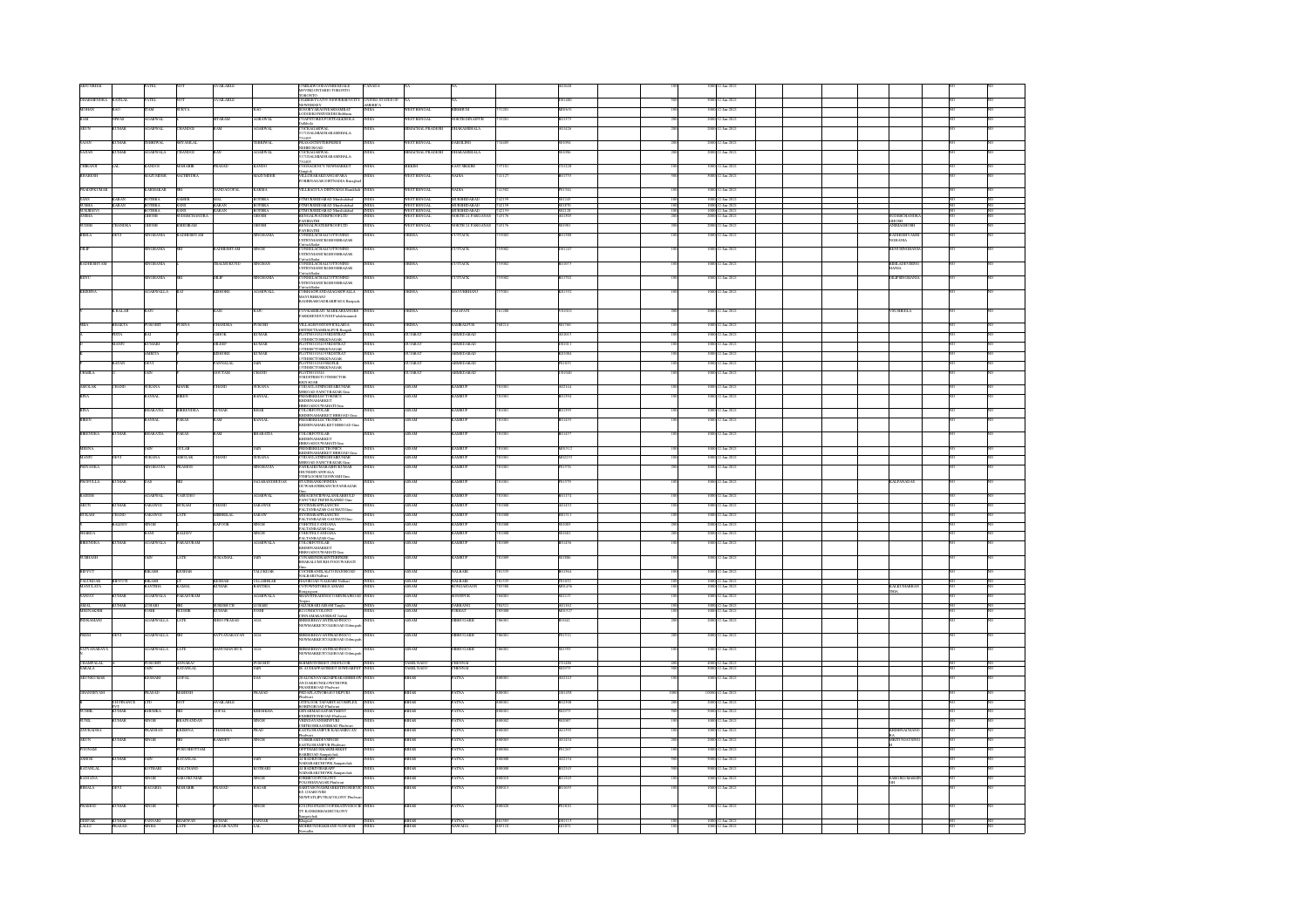|                             |                        |                         |                        | <b>AILABLE</b>                    |                |                                                                                                    |                       |                            |                              |       |                  |      |                                                   |  |                    |  |  |
|-----------------------------|------------------------|-------------------------|------------------------|-----------------------------------|----------------|----------------------------------------------------------------------------------------------------|-----------------------|----------------------------|------------------------------|-------|------------------|------|---------------------------------------------------|--|--------------------|--|--|
|                             |                        |                         |                        |                                   |                | ISMILKWOODAVEREXDALE<br>M9VIM2ONTARIO TORONTO<br>TORONTO<br>ISLIBERTYAT95 NEWJERSEY                |                       |                            |                              |       |                  |      |                                                   |  |                    |  |  |
|                             |                        |                         |                        |                                   |                |                                                                                                    | MERICA                |                            |                              |       |                  |      |                                                   |  |                    |  |  |
| <b>CHAN</b>                 |                        | <b>TAM</b>              | <b>JEYA</b>            |                                   |                | <b>SLIDLA : </b><br>@WIERSEY<br>0000RYARAONEARSAMRAT                                               |                       | <b>AFST RENGAL</b>         | <b>IRRHI M</b>               |       |                  |      | Im 202                                            |  |                    |  |  |
|                             | <b>TWAS</b>            | <b>AGARWAL</b>          |                        | <b>SITARAM</b>                    | <b>KRAWAI</b>  | <b>ODGEKONSIVEEDH Birbhum</b><br>COAPSTORES POSTDALKHOLA                                           | <b>NDIA</b>           | WEST BENGAL                | <b>NORTH DINAIPUR</b>        |       |                  |      | 2-Jan-2021<br>2000                                |  |                    |  |  |
|                             |                        | <b>ARWAI</b>            |                        |                                   |                | alkhola<br>OCRAGARWAL                                                                              |                       | <b>LACHAL PRADES</b>       | <b>HARAMSHAL</b>             |       |                  |      |                                                   |  |                    |  |  |
|                             |                        |                         |                        |                                   |                | 171DALMIADHARAMSHALA-                                                                              |                       |                            |                              |       |                  |      |                                                   |  |                    |  |  |
| <b>SAJAN</b>                | <b>MAI</b>             | <b>BRIWAL</b>           | <b>AMLAL</b>           |                                   |                | 1405<br>ASANTENTERPRISES                                                                           |                       | <b>EST BENGAL</b>          | <b>ARJILING</b>              |       |                  |      | $Jan-202$                                         |  |                    |  |  |
| attan                       | <b>MAP</b>             | <b>LARWAL A</b>         | <b>ENDOL</b>           |                                   | <b>ARWAI</b>   | "RASAN IEN IERFRISES<br>GEHRUROAD<br>"OCRAGARWAL<br>5171 DALMIADHARAMSHALA-                        |                       | MACHAI PRADESH             | A TARAMSHAL A                |       |                  |      | Im 202                                            |  |                    |  |  |
|                             |                        |                         |                        |                                   |                |                                                                                                    |                       |                            |                              |       |                  |      |                                                   |  |                    |  |  |
| CHIRANJI                    |                        | KANDOI                  | AHABIR                 | PRASAD                            | WDO            | 34405<br>OGSAGENCY NEWMARKET                                                                       | ۷D                    | SIKKIM                     | <b>AST SIKKIM</b>            |       | 1228             |      | 1000 12-Jan-2021                                  |  |                    |  |  |
| HABESH                      |                        | AZUMDER                 | HNDRA                  |                                   | <b>AZUMDER</b> | kegtok<br>VILLCHARAKDANGAPARA<br>YOBIRNAGAR DISTNADIA Russi                                        |                       | VEST BENGAL                | ADIA                         |       |                  |      | $tan-202$                                         |  |                    |  |  |
|                             |                        |                         |                        |                                   |                |                                                                                                    |                       |                            |                              |       |                  |      |                                                   |  |                    |  |  |
| PRADIPKUMA                  |                        | <b>PMAKAI</b>           |                        | <b>NDAGOPAL</b>                   | ARMA           | <b>TELBAGULA DISTNADIA Hankl</b>                                                                   | <b>NDIA</b>           | <b>VEST RENGAL</b>         | <b>ADIA</b>                  |       |                  |      | Im 202                                            |  |                    |  |  |
| <b>SANS</b>                 |                        | <b>BOTHRA</b><br>BOTHRA | <b>SAMER</b>           |                                   | OTHRA<br>OTHRA | DTMURSHIDABAD Mushidabad<br>DTMURSHIDABAD Mushidabad                                               | INDIA<br>INDIA        | WEST BENGAL<br>WEST BENGAL | IURSHIDABAD<br>IURSHIDABAD   | 42159 | i01245<br>i01870 |      | 1000<br>ا 2021<br>ساحة معا                        |  |                    |  |  |
| e<br>Stirehe                |                        |                         |                        |                                   |                |                                                                                                    |                       |                            |                              |       |                  |      |                                                   |  |                    |  |  |
| SURJIDEVI<br><b>IMA</b>     |                        | <b>IOTHRA</b><br>HOSH   | DEBCHANDR              | KARAN                             | THRA<br>HOSH   | DTMURSHIDABAD Mushidabad<br>BENGALWATERPROOFLTD                                                    | NDIA<br>NDIA          | WEST BENGAL<br>WEST BENGAL | URSHIDABAD<br>ORTH 24 PARGA? |       | 02128<br>1305    |      | -Jan-2021<br>-Jan-2021<br>$\overline{20}$         |  | UDEBCHAND          |  |  |
|                             |                        |                         |                        |                                   |                | GHATHI<br>NGALWATERPROOFLTD                                                                        |                       | ST BENGA                   | RTH 24 PAR                   |       |                  |      |                                                   |  |                    |  |  |
|                             |                        |                         |                        |                                   |                |                                                                                                    |                       |                            |                              |       |                  |      |                                                   |  |                    |  |  |
| <b>BIMLA</b>                |                        |                         | HESHYA                 |                                   |                | RENDRED OUTER<br>"ANIHATHI<br>CONEELACHALCOTTONIND<br>USTRYMANICKGHOSHBAZAR                        |                       |                            | <b>TTACK</b>                 |       |                  |      |                                                   |  | ADHESHYA<br>GHANIA |  |  |
|                             |                        | <b>JHANIA</b>           |                        | DHESHYAN                          | æн             | US IR TADUNIC KUHOSHBAZAR<br>CONEELACHALCOTTONIND<br>USTRYMANICKGHOSHBAZAR                         |                       | RISSA                      | UTTACK                       |       |                  |      | $tan-202$                                         |  | NUSINGE            |  |  |
|                             |                        |                         |                        |                                   |                |                                                                                                    |                       |                            |                              |       |                  |      |                                                   |  |                    |  |  |
| <b>ADHESH</b>               |                        |                         |                        | <b>ALMUKUN</b>                    |                | istackSadar<br>ONEELACHALCOTTONIND                                                                 |                       |                            | TTACK                        |       |                  |      |                                                   |  | BIMLADEVI<br>HANIA |  |  |
|                             |                        |                         |                        |                                   |                | STRYMANICKGHOSHBAZAR                                                                               |                       |                            |                              |       |                  |      |                                                   |  |                    |  |  |
|                             |                        |                         |                        |                                   |                | utackSadar<br>ONEELACHALCOTTONIND<br>ISTRYMANICKGHOSHRAZAR                                         |                       |                            | <b>TTACK</b>                 |       |                  |      |                                                   |  |                    |  |  |
|                             |                        |                         |                        |                                   |                | <b>utackSadar</b><br>OBHAGWANDASAGARWALLA                                                          |                       |                            |                              |       |                  |      |                                                   |  |                    |  |  |
| KRISHNA                     |                        | <b>GARWALLA</b>         |                        | <b>CISHORE</b>                    | <b>JARWALL</b> | MAYURBHANJ                                                                                         | NDIA                  | <b>DRISSA</b>              | <b><i>IAYURBHANI</i></b>     |       |                  |      | 2-Jan-2021                                        |  |                    |  |  |
|                             |                        |                         |                        |                                   |                | AGHRAROADBARIPADA Baripad                                                                          |                       |                            |                              |       |                  |      |                                                   |  |                    |  |  |
|                             | <b>BALAII</b>          |                         |                        |                                   |                | .<br>20 VKARIRAJU MARKARSANGRE<br>2ARKHENDUUNDI Parlakhemundi                                      |                       |                            | <b>UAPATI</b>                |       |                  |      | $tan-202$                                         |  | SHEELA             |  |  |
|                             |                        |                         |                        |                                   |                |                                                                                                    |                       |                            |                              |       |                  |      |                                                   |  |                    |  |  |
|                             | <b>AKT</b>             | ROHI                    |                        | <b>HANDR</b>                      | <b>TROM</b>    | VILLAGEPOSTOFFICELAIDA                                                                             |                       |                            | MBALPUR                      |       |                  |      | Im(20)                                            |  |                    |  |  |
|                             |                        |                         |                        |                                   | UMAR           | <b>ISTRICTSAMBALPUR Rengali</b><br>LOTNO1034193RDSTRAT                                             |                       | UJARA'                     | HMEDABAD                     |       |                  |      | $Jan-202$                                         |  |                    |  |  |
|                             | <b>IANJI</b>           | <b>KUMARI</b>           |                        | DILEEP                            | <b>CUMAR</b>   | <b>STHSECTORKKNAGAR</b><br>LOTNO1034193RDSTRAT                                                     | <b>NDIA</b>           | <b>JUARAT</b>              | <b>HMEDARAD</b>              |       |                  |      | -<br>Ian-2021<br>1000                             |  |                    |  |  |
|                             |                        |                         |                        |                                   |                | THSECTORKKNAGAR                                                                                    |                       |                            | <b>BEDARA</b>                |       |                  |      |                                                   |  |                    |  |  |
|                             | <b>ATAN</b>            | <b>NEVT</b>             |                        | <b>NNAI AI</b>                    |                | <b>STHSECTORKKNAGAR</b>                                                                            |                       | <b>TTARAT</b>              | <b>HMEDARAF</b>              |       |                  |      | $J99$ 2021                                        |  |                    |  |  |
|                             |                        |                         |                        |                                   |                | <b>STHSECTORKKNAGAR</b>                                                                            |                       |                            |                              |       |                  |      |                                                   |  |                    |  |  |
| <b>TRMEA</b>                |                        |                         |                        | <b>OUTAM</b>                      | <b>IAND</b>    | LOINOIUS##<br>3RDSTREET13THSECTOR                                                                  |                       | <b>HARAT</b>               | <b>HMEDARAF</b>              |       |                  |      | Im 202                                            |  |                    |  |  |
| AMOLAK                      |                        | <b>SURANA</b>           |                        | CHAND                             | SURANA         | GKNAGAR<br>CODAULATSINGHJAIKUMAR                                                                   |                       |                            | AMRUP                        |       |                  |      | 1000 12-Jan-2021                                  |  |                    |  |  |
|                             | CHAND                  |                         | <b>MANIK</b>           |                                   |                |                                                                                                    | NDIA                  | MA22A                      | <b>AMRIP</b>                 |       | 2144             |      |                                                   |  |                    |  |  |
|                             |                        |                         |                        |                                   |                | MSROAD FANCYBAZAR Gre<br>PREMIERELECTORNICS<br>GRISHNAMARKET<br>IBROADGUWAHATI Gre<br>COLORFOTOLAB |                       |                            |                              |       |                  |      |                                                   |  |                    |  |  |
|                             |                        | ARATIA                  | <b>FNDRA</b>           | MAR                               |                |                                                                                                    |                       |                            | AMRIP                        |       |                  |      | Im(202)                                           |  |                    |  |  |
| <b>BIREN</b>                |                        |                         |                        |                                   |                | .<br>RISHNAMARKET HBROAD Gm<br>REMIERELECTRONICS                                                   |                       |                            | AMRUP                        |       |                  |      |                                                   |  |                    |  |  |
|                             |                        | ANSAL.                  | ARAS                   |                                   | <b>WSAI</b>    | RISHNAMARLKET HBROAD Gm                                                                            | <b>NDIA</b>           | MAZZA                      |                              |       |                  |      | 2-Jan-2021<br>1000                                |  |                    |  |  |
|                             |                        |                         |                        |                                   |                | <b>OLORFOTOLAB</b>                                                                                 |                       |                            | 10011                        |       |                  |      |                                                   |  |                    |  |  |
|                             |                        |                         |                        |                                   |                | CRISHNAMARKET                                                                                      |                       |                            |                              |       |                  |      |                                                   |  |                    |  |  |
| MEENA                       |                        |                         | ULAE                   |                                   |                | BROADGUWAHATI Gn<br>REMIERELECTRONICS                                                              |                       |                            | AMRUP                        |       |                  |      | $tan-202$                                         |  |                    |  |  |
| MANJU                       |                        | <b>SURANA</b>           | <b>AMOLAK</b>          |                                   | URANA          | REMIERARRA TINANIA<br>RISHNAMARKET HBROAD (<br>YUNATT ATSINGHJAIKUMAR                              | <b>INDU</b>           | <b>MA221</b>               | AMRUP                        |       |                  |      | 2-Jan-2021<br>1000                                |  |                    |  |  |
| <b>PRIYANKA</b>             |                        | <b>INGHAVIA</b>         | <b>CAMOD</b>           |                                   | <b>NGHAVIA</b> | ASROAD FANCYBAZAR Gmc<br>?ANKAJKUMARASHUKUMAR                                                      |                       | MA 22.                     | AMRUP                        |       |                  |      | $3m-2021$<br>200                                  |  |                    |  |  |
|                             |                        |                         |                        |                                   |                | <b>HUNSHIVANWALA</b>                                                                               | NDIA                  |                            |                              |       |                  |      |                                                   |  |                    |  |  |
| ROFULLA                     |                        |                         |                        |                                   |                | STHFLOORSCOOSWAMI Gmc<br>STATEBANKOFINDIA<br>GUWAHATIBRANCH PANBAZAR                               |                       |                            | .<br>Mrti                    |       |                  |      |                                                   |  |                    |  |  |
|                             |                        |                         |                        |                                   |                |                                                                                                    |                       |                            |                              |       |                  |      |                                                   |  |                    |  |  |
| <b>PAIESH</b>               |                        | <b>CARWAL</b>           | 'ASUIDEO               |                                   | GARWAI         | en:<br>BMAGENCIEWALANKARBULD                                                                       |                       |                            | AMRIP                        |       |                  |      | $J_{50}202$                                       |  |                    |  |  |
| ARUN                        | MA                     | <b>IDWARA</b>           | HUKAM                  | HANI                              | <b>SARAWGE</b> | :<br>ANCYBZ TRPHUKANRD Gm;<br>SYSTEMSAPPLIANCES                                                    | <b>DU</b>             | MA223                      | AMRUP                        |       |                  |      | 2-Jan-2021<br>1000                                |  |                    |  |  |
|                             |                        |                         |                        |                                   |                | ALTANBAZAR GAUHATI Gm<br>YSTEMSAPPLIANCES                                                          |                       |                            |                              |       |                  |      |                                                   |  |                    |  |  |
| HUKAM                       | <b>IANI</b>            | SARAWGI                 | $\overline{AB}$        | <b>ASHRILAL</b>                   | .<br>ARAW      |                                                                                                    | <b>NDIA</b>           | <b>MA223</b>               | AMRUP                        |       |                  |      | $\frac{1}{2}$<br>1000                             |  |                    |  |  |
|                             |                        |                         |                        | enni                              |                | ALTANBAZAR GAUHATI Gmc<br>YHOTELVANDANA                                                            |                       |                            | <b>AMRUE</b>                 |       |                  |      | $tan-202$                                         |  |                    |  |  |
| SHARDA                      |                        | <b>ANT</b>              | <b>M DEV</b>           |                                   | <b>NOH</b>     | <b>ALTANBAZAR Grec</b><br>YOHOTEL VANTANA                                                          | <b>CIVEA</b>          | 1622                       | <b>AMRIP</b>                 |       |                  |      | $-3an-2021$<br>2000                               |  |                    |  |  |
| <b>RIPENDRA</b>             | <b>IMAR</b>            | <b>CARWALA</b>          | ARASI RAM              |                                   | .<br>GARWALA   | <b>ALTANBAZAR Gmc</b><br>COLORFOTOLAB                                                              | .<br>NDI A            | <b>MA221</b>               | AMRUP                        |       | 1436             |      | .bn.202                                           |  |                    |  |  |
|                             |                        |                         |                        |                                   |                | CRISHNAMARKET                                                                                      |                       |                            |                              |       |                  |      |                                                   |  |                    |  |  |
| <b>SUBHASH</b>              |                        |                         | ۷TE                    | URAJMAL                           |                | SEROADGUWAHATI Gre<br>ONARENDRAENTERPRISE<br>HARALUMUKH POGUWAHATI                                 |                       | <b>IMA22</b>               | AMRUP                        |       | 886              |      | J <sub>2021</sub>                                 |  |                    |  |  |
|                             |                        |                         |                        |                                   |                | K:<br> CHIRANJILALCO HAJOROAD                                                                      |                       |                            |                              |       |                  |      |                                                   |  |                    |  |  |
| <b>BIDYUT</b>               |                        |                         | .<br>SHAR              |                                   | <b>UUKDAR</b>  |                                                                                                    |                       |                            | ALBARI                       |       |                  |      |                                                   |  |                    |  |  |
| <b>TALUKDAR</b><br>MANULATA |                        |                         |                        |                                   |                | -<br>ALBARI Nalbari<br>LAJOROAD NALBARI Nali<br>LOTOWNSTORES ASSAM                                 |                       |                            | ALBARI<br>ONGAMGAOS          |       |                  |      |                                                   |  | <b>U.KUMARB</b>    |  |  |
|                             |                        |                         |                        |                                   |                |                                                                                                    |                       |                            |                              |       |                  |      |                                                   |  |                    |  |  |
| .<br>Via v                  |                        | <b>RWAL</b>             | ast in at              |                                   | rwat :         |                                                                                                    |                       |                            | <b>TTPS</b> IS               |       |                  |      |                                                   |  |                    |  |  |
| AMAL.<br>MEENAKSHI          |                        | <b>LART</b>             | <b>TOHIN</b>           | SURESH CH<br>KUMAR                |                | <u>apur</u><br>U.UKBARI ASSAM Tangla<br>210NGCCOLONY                                               | NDIA<br>NDIA          |                            | ARRANG<br>DRHAT              |       |                  |      | $\frac{1000}{1000}$<br> 2-Jan-2021<br> 2-Jan-2021 |  |                    |  |  |
|                             |                        |                         |                        |                                   |                |                                                                                                    |                       |                            |                              |       |                  |      |                                                   |  |                    |  |  |
| NDRAMANI                    |                        | <b>ARWALLA</b>          |                        | HEO PRASAD                        |                | <b>EWMARKETCOLEROAD Dibra</b>                                                                      |                       |                            | <b>BRUGARH</b>               |       |                  |      | Jan-202<br>$\overline{\text{200}}$                |  |                    |  |  |
| REM                         |                        |                         |                        | TYANARAYA                         |                |                                                                                                    |                       |                            | BRUGARH                      |       |                  |      | J <sub>202</sub>                                  |  |                    |  |  |
|                             |                        | <b>ARWALLA</b>          |                        |                                   |                | SHREEBHAVANITRADINGCO<br>NEWMARKETCOLEROAD Dibn                                                    |                       |                            |                              |       |                  |      |                                                   |  |                    |  |  |
| SATYANARA                   |                        | <b>ARWALLA</b>          |                        | <b>IMAN RID</b>                   |                | HREERHAVANITRADINGOO                                                                               |                       |                            | <b>BRIGARH</b>               |       |                  |      |                                                   |  |                    |  |  |
|                             |                        |                         |                        |                                   |                | EWMARKETCOLEROAD Dibn                                                                              |                       |                            |                              |       |                  |      |                                                   |  |                    |  |  |
| CHAMPALAL<br>SARALA         |                        | <b>PUROHIT</b>          | INARAJ<br>(TANLAL      |                                   | <b>UROHIT</b>  | 6BMINTSTREET 2NDFLOOR<br>6 AUDIAPPASTREET SOWEARPET                                                |                       | TAMIL NADU<br>TAMIL NADU   | 'HENNAI<br>'HENNAI           |       |                  |      | 4000 12-Jan-2021<br>5000 12-Jan-2021              |  |                    |  |  |
|                             |                        |                         |                        |                                   |                |                                                                                                    |                       |                            |                              |       |                  |      |                                                   |  |                    |  |  |
| RUNKUMAR                    |                        | SHARI                   | <b>DPAL</b>            |                                   |                | <b>ALOKNAYAKJAIPRAKASHBH</b>                                                                       |                       |                            | <b>TNA</b>                   |       |                  |      | $tan-202$                                         |  |                    |  |  |
|                             |                        |                         |                        |                                   |                | <b>NY DAKBUNGLOWCHOWK</b><br>RASERROAD Philwari<br>RDAFLATNOB6403 SKPURI                           |                       |                            |                              |       |                  |      |                                                   |  |                    |  |  |
| ANSHYAM                     |                        | RASAD                   | <b>AHESE</b>           |                                   | RASAD          |                                                                                                    |                       | <b>SHAR</b>                | ATNA                         |       | 01458            | 1000 | Man-2021                                          |  |                    |  |  |
|                             |                        |                         |                        | All ABLE                          |                | talwari<br>STFLOOR TAPASHYACOMPLEX                                                                 | NDU                   | <b>SHAR</b>                | <b>ATNA</b>                  |       | 2300             |      | $tan-202$                                         |  |                    |  |  |
| <b>ISHIL</b>                |                        | <b>IEMKA</b>            |                        | <b>PAL</b>                        |                | .<br>ORINGROAD Philivati<br>""**************PARTMENT                                               |                       | <b>SHAR</b>                | <b>TNA</b>                   |       |                  |      |                                                   |  |                    |  |  |
| <b>SUNIL</b>                | LMAR                   | ENGH                    |                        |                                   | NGH            | <b>CHIBITIONROAD Pholwar</b><br>RINDAVANSHIVPURI                                                   | m                     | <b>BIHAR</b>               | <b>ATNA</b>                  |       |                  |      | $-3an-2021$<br>1000                               |  |                    |  |  |
| <b>ANURADHA</b>             |                        | <b>RADHAN</b>           |                        | <b>IANDRA</b>                     | <b>RAD</b>     | HITKOHRAANISBAD Philwari<br>ASTLOHANIPUR KADAMKUAN                                                 | NDU                   | BHA                        | <b>ATNA</b>                  |       |                  |      | $2 - \frac{1}{2}$                                 |  |                    |  |  |
|                             |                        |                         |                        |                                   |                | halwari<br>OSRIRAMDEVSINGH                                                                         |                       |                            |                              |       |                  |      |                                                   |  |                    |  |  |
| <b>ARUN</b>                 |                        |                         |                        |                                   |                |                                                                                                    |                       | BHA                        | <b>ATNA</b>                  |       |                  |      | $34m-202$                                         |  |                    |  |  |
| POONAM                      |                        |                         | <b>URUSHOTTAN</b>      |                                   |                | ASTLOHANIPUR Phulwari<br>PPTHAKURBARIMARKE'                                                        |                       | 0.8143                     | <b>ATNA</b>                  |       |                  |      | $3m-202$                                          |  |                    |  |  |
| <b>ASHOK</b>                |                        |                         | ATANLAL                |                                   |                | ARIROAD Sampatchak<br>4 BADRIVIHARAPP                                                              |                       | RIHAR                      | <b>ATNA</b>                  |       |                  |      | J <sub>202</sub>                                  |  |                    |  |  |
| RATANLAL                    |                        | <b>COTHARI</b>          | <b>ALCHAND</b>         |                                   | <b>THAR</b>    | <b>AISARAKCHOWK Sampat</b><br>4 BADRIVIHARAPP                                                      | .<br>NDI A            | <b>BIHAR</b>               | <b>ATNA</b>                  |       |                  |      | 2-Jan-202<br>5000                                 |  |                    |  |  |
| <b>RANJANA</b>              |                        | <b>SINGH</b>            | AROJKUMAR              |                                   | INGH           | <b>AISARAKCHOWK Samps</b><br>9RBICOOPCOLONY                                                        | NDIA                  | BIHAR                      | ATNA                         |       | 01545            |      | 1000 12-Jan-2021                                  |  | <b>SAROJKUMARS</b> |  |  |
|                             |                        |                         |                        |                                   |                | <b>DLOHIANAGAR Phu</b>                                                                             |                       |                            |                              |       |                  |      |                                                   |  |                    |  |  |
| đД                          |                        |                         |                        |                                   |                | ARITASONAN<br>S 120ARUNIN                                                                          |                       |                            |                              |       |                  |      |                                                   |  |                    |  |  |
|                             |                        |                         |                        |                                   |                | WPATLIPUTRACOLONY Pho                                                                              |                       |                            |                              |       |                  |      |                                                   |  |                    |  |  |
| PRAMOD                      | MA                     | NGH                     |                        |                                   | $\frac{1}{2}$  | 01PEOPLESCOOPERATIVESOCI                                                                           |                       | BHAR                       | <b>TNA</b>                   |       |                  |      |                                                   |  |                    |  |  |
|                             |                        |                         |                        |                                   |                | IY KANKERBAGHCOLONY<br>spachak                                                                     |                       |                            |                              |       |                  |      |                                                   |  |                    |  |  |
| DEEPAK<br>LALLU             | <b>KUMAR</b><br>PRASAD | PANSARI<br><b>SINHA</b> | SHARWAN<br><b>LATE</b> | <b>KUMAR</b><br><b>KEDAR NATH</b> | PANSAR         | Khagaal<br>MOHBUNDELKHAND NAWADH                                                                   | INDIA<br><b>INDIA</b> | BIHAR<br>BIHAR             | <b>ATNA</b><br><b>AWAD</b>   |       |                  |      | 1000 12-Jan-202<br>1000<br>Im 202                 |  |                    |  |  |
|                             |                        |                         |                        |                                   |                | and a                                                                                              |                       |                            |                              |       |                  |      |                                                   |  |                    |  |  |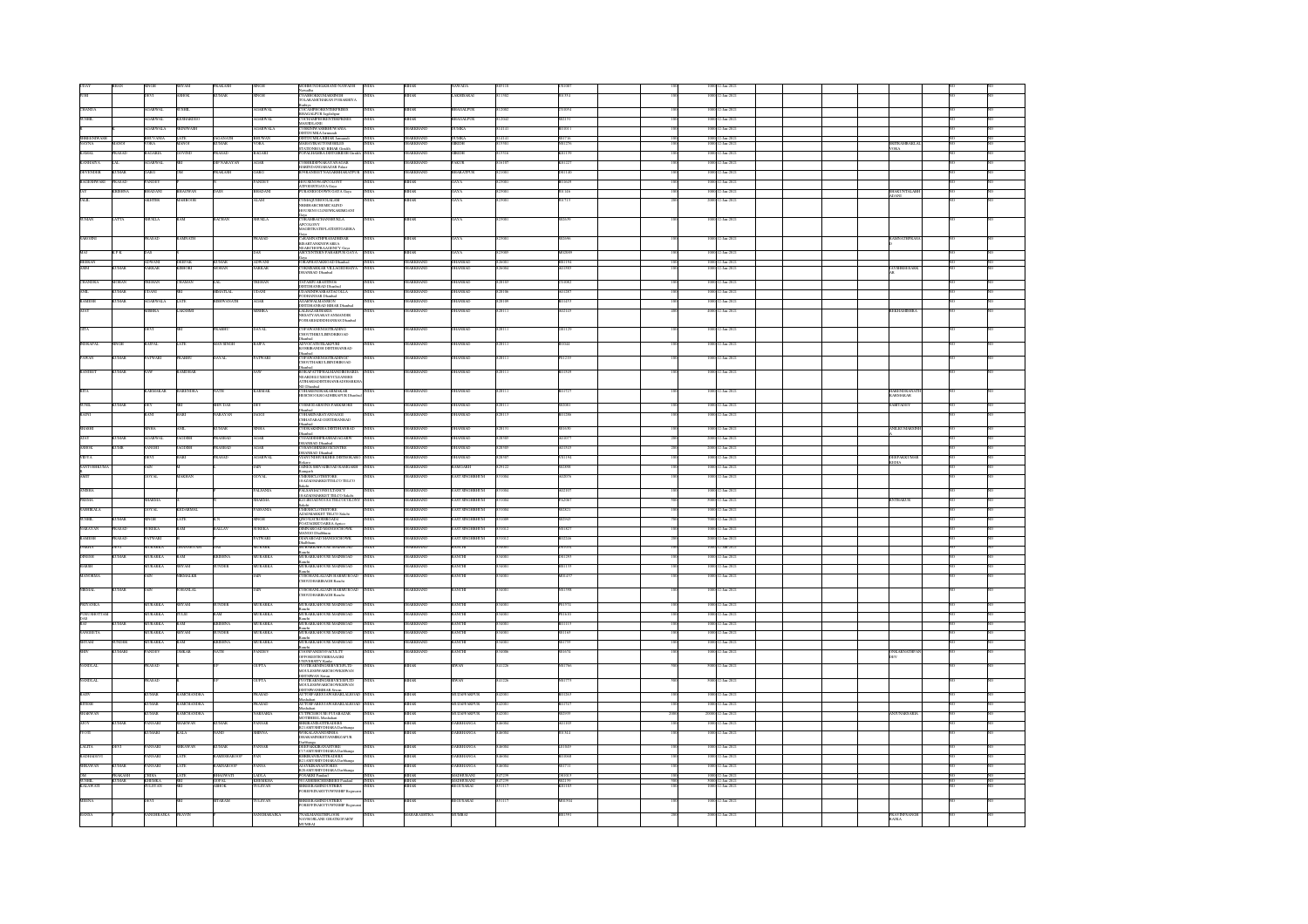|                           |                         |                        |                 | <b>AKASH</b>            | .<br>VOH                | MOHRUNDELKHAND NAWADH                                                                                                                 | <b>NDIA</b>  |                       | WADA                 |                  |                   |                         |  |  |                       |  |  |
|---------------------------|-------------------------|------------------------|-----------------|-------------------------|-------------------------|---------------------------------------------------------------------------------------------------------------------------------------|--------------|-----------------------|----------------------|------------------|-------------------|-------------------------|--|--|-----------------------|--|--|
|                           |                         |                        |                 | $rac{1}{2}$             | NGH                     | ovadba<br>DASHOKKUMARSINGH                                                                                                            |              | <b>HAV</b>            | .<br>KHRARA          |                  |                   |                         |  |  |                       |  |  |
|                           |                         |                        |                 |                         |                         | TOLARAMCHARAN POBARHIYA                                                                                                               |              |                       |                      |                  |                   |                         |  |  |                       |  |  |
| <b>HANDA</b>              |                         | <b>GARWAL</b>          | USHL.           |                         | <b>GARWAL</b>           | arnya<br>OCAMPHORENTERPRISES                                                                                                          | ďЫА          | BIHAR                 | <b>HAGALPUR</b>      |                  |                   | 1000 12-Jan-2021        |  |  |                       |  |  |
| SHIL.                     |                         | .<br>RWAL              | HARD            |                         | <b>ARWAL</b>            | HAGALPUR Jagfishpar<br>OCHAMPHORENTERPRISES<br>IASJIDLANE                                                                             |              |                       | <b>GALPUR</b>        |                  |                   | $an-202$                |  |  |                       |  |  |
|                           |                         | <b>RWAL</b>            |                 |                         | <b>SPWAL</b>            | <b>HEWANIA</b>                                                                                                                        |              |                       | .<br>MK a            |                  |                   |                         |  |  |                       |  |  |
|                           |                         |                        |                 |                         |                         |                                                                                                                                       |              |                       |                      |                  |                   |                         |  |  |                       |  |  |
| SHREENIW<br>NAYNA         | $\overline{\mathbf{w}}$ | <br>ORA                |                 |                         |                         | SKINUWASHBUG WANG<br>HDUMKA Bernardi<br>HDUMKA BHAR Jarmandi<br>WANTRAUTOMOBILES<br>ATIONROAD BIHAR Giridi:<br>PAI HAMBA DISTGIRIDH C | DIA          |                       | <b>NMKA</b><br>RIDH  |                  |                   | -Jan-2021<br>-Jan-2021  |  |  | <b>SRITRAMBAKL</b>    |  |  |
| <b>KAMAL</b>              | <b>APA</b>              | 0.1811                 |                 | isan                    | <b>GARI</b>             |                                                                                                                                       | <b>TYLA</b>  |                       | <b>RIDH</b>          |                  |                   | Im 202                  |  |  |                       |  |  |
| <b>ANHAIYA</b>            |                         | <b>GARWAL</b>          |                 | <b>JP NARAYAN</b>       | <b>GAR</b>              | <b>HRIDIPNARAYANAGAR</b>                                                                                                              | <b>SDIA</b>  | ARKHAND               | AKUR                 | $\overline{122}$ | 1000              | 2-Jan-2021              |  |  |                       |  |  |
| EVENDER                   | <b>LMAR</b>             | ARG                    |                 | RAKASH                  | ARG                     | RINDANGABAZAR Pakur<br>HRANJEET NAGARBHARATPUR                                                                                        | NDIA         | <b>ARKHANI</b>        | <b>HARATPUR</b>      | TT 4             |                   | 1000 12-Jan-2021        |  |  |                       |  |  |
| BAGESHWARI                | <b>RASAD</b>            | ANDEY                  |                 |                         | ANDEY                   | OUSENO96APCOLONY                                                                                                                      | <b>SDIA</b>  | <b>HAR</b>            | <b>AYA</b>           |                  |                   | 1000 12-Jan-2021        |  |  |                       |  |  |
|                           |                         |                        |                 |                         |                         | <b>TPODISTGAYA Gaya</b><br>URANIGODOWN GAYA Gaya                                                                                      |              |                       |                      |                  |                   |                         |  |  |                       |  |  |
|                           |                         | .<br>Mani              | <b>CWA</b>      |                         |                         |                                                                                                                                       | .<br>تانا    |                       | AYA.                 |                  | 1000              | $Jan-202$               |  |  | <b>JAKUNTAL</b>       |  |  |
| MI.                       |                         | <b>CHTER</b>           | HROOR           |                         | <b>AM</b>               | MADEFROOLALAM                                                                                                                         | <b>DIA</b>   | HAR                   | <b>AVA</b>           |                  | $2000$ $\text{F}$ | 2021                    |  |  |                       |  |  |
|                           |                         |                        |                 |                         |                         | :<br>BIHARCHEMICALIND<br>JUSENO124NEWKARIMGANJ                                                                                        |              |                       |                      |                  |                   |                         |  |  |                       |  |  |
| SUMAN                     | ATTA                    | HUKLA                  | AМ              | <b>ACHAN</b>            | HUKLA                   | oya<br>ORAMBACHANSHUKLA                                                                                                               | <b>DIA</b>   | <b>SEHAR</b>          | AYA.                 | 2630             |                   | 000 12-Jan-2021         |  |  |                       |  |  |
|                           |                         |                        |                 |                         |                         | COLONY<br><b>AGISTRATEFLATDISTGAJERA</b>                                                                                              |              |                       |                      |                  |                   |                         |  |  |                       |  |  |
| AROJINI                   |                         | RASAD                  |                 |                         | ASAD                    | pa<br>RAMNATHPRASADBISAR                                                                                                              |              |                       | AYA                  |                  |                   | $Jan-2021$              |  |  |                       |  |  |
|                           |                         |                        |                 |                         |                         |                                                                                                                                       |              |                       |                      |                  |                   |                         |  |  |                       |  |  |
|                           |                         |                        |                 |                         |                         | SARTANKNEWAREA<br>EARCHOPRAAGENCY Gaya<br>SCCENTERN PAHARPUR GAY                                                                      |              |                       |                      |                  |                   |                         |  |  |                       |  |  |
| HEERAN                    |                         | WWANI                  | <b>FFPAR</b>    | TIMAR                   | <b>DWANI</b>            | ga<br>RAPHATAKROAD Dhanbad                                                                                                            | <b>INDIA</b> | HARKHAN               | <b>HANBAI</b>        |                  |                   | 000 12-Jan-202          |  |  |                       |  |  |
|                           |                         | .<br>RKAF              |                 |                         | <b>RKA</b>              | <b>ENISARKAR VILLAGEDHAIV.</b><br>KMSARKAR VILLAGEDHAIV.<br>LANBAD Dhasbad                                                            |              |                       |                      |                  |                   |                         |  |  |                       |  |  |
| CHANDRA                   | OHAN                    | REHAN                  | HAMAN           |                         | REHAN                   | ATASIJUABASTINOS                                                                                                                      | <b>SDIA</b>  | ARKHANI               | HANBAD               | m                |                   | 1000 12-Jan-2021        |  |  |                       |  |  |
|                           |                         |                        |                 |                         |                         | <b>TDHANBAD Dhanbad</b><br>ANINYWASBASTACOLLA                                                                                         |              |                       |                      |                  |                   |                         |  |  |                       |  |  |
| RAMESH                    | <b>LMAR</b>             |                        |                 | HWANATH                 | <b>GAR</b>              | ODHANSAR Dhanbad<br>GARWALMANSION                                                                                                     |              | RKHANI                | <b>LANBAD</b>        |                  |                   |                         |  |  |                       |  |  |
|                           |                         | <b>JARWALA</b>         |                 |                         |                         |                                                                                                                                       |              |                       |                      |                  |                   | 1000 12-Jan-2021        |  |  |                       |  |  |
| <b>AJAY</b>               |                         |                        |                 |                         |                         | KIYOHANBAD BIHAR Dhanbad<br>ALBAZARJHARIA<br>RSATYANARAYANMANDIR<br>OJHARIADISDHANBAS Dhanbad<br>OJHARIADISDHANBAS Dhanbad            |              |                       |                      |                  |                   | $tan-202$               |  |  |                       |  |  |
|                           |                         |                        |                 |                         |                         |                                                                                                                                       |              |                       |                      |                  |                   |                         |  |  |                       |  |  |
| $\overline{\text{S}}$ and |                         | ĒМ                     |                 | <b>ABHU</b>             | <b>AYAL</b>             | <b>OPAWANENGGTRADING</b><br>HOUTHIKULISINDRIROAD                                                                                      |              | ARKHAND               | ANBAD                |                  | $1000$ $12$       | 3-Jan-2021              |  |  |                       |  |  |
| NDRAPAL                   |                         |                        |                 |                         |                         |                                                                                                                                       |              |                       |                      |                  |                   |                         |  |  |                       |  |  |
|                           | GH                      | AJPAL.                 |                 | <b>AAN SINGH</b>        | <b>AJPA</b>             | harbad<br>DVOCATETILAKPURI<br>OSRIBANDH DISTDHANBAD                                                                                   |              | <b><i>ARKHANI</i></b> | WBAD                 |                  |                   | J <sub>202</sub>        |  |  |                       |  |  |
| <b>AWAN</b>               |                         | <b>TWAR</b>            |                 |                         |                         | funbad<br>OPAWANENGGTRADINGC                                                                                                          |              |                       |                      |                  |                   |                         |  |  |                       |  |  |
|                           |                         |                        |                 |                         |                         | HOUTHAIKULISINDRIROAD                                                                                                                 |              |                       |                      |                  |                   |                         |  |  |                       |  |  |
| RANJEET                   | MAR                     |                        | <b>MDHAR</b>    |                         |                         | funbad<br>ORAPATTIPHALMANDIRJHARL!<br><b>EARDELUXEDRYCLEANERS</b>                                                                     |              |                       |                      |                  |                   |                         |  |  |                       |  |  |
|                           |                         |                        |                 |                         |                         | TJHARIADISTDHANBADJHARKH                                                                                                              |              |                       |                      |                  |                   |                         |  |  |                       |  |  |
| <b>ITA</b>                |                         | ARMAKAR                | ARENDRA         |                         | ARMAK                   | ) Dhasbad<br>HARENDRAKARMAKAR                                                                                                         | <b>DIA</b>   | ARKHAND               | <b>LANBAD</b>        |                  |                   | 1000 12-Jan-2021        |  |  | <b>HARENDRANA</b>     |  |  |
|                           |                         |                        |                 |                         |                         | HESCHOOLROADHIRAPUR Dhan                                                                                                              |              |                       |                      |                  |                   |                         |  |  | KARMAKAR              |  |  |
| UNIL                      | <b>MAR</b>              |                        |                 |                         |                         | SMODARSONS PARKMORE                                                                                                                   |              |                       | ANBA                 |                  | 1000              | J <sub>202</sub>        |  |  | ABITADEY              |  |  |
| RAINI                     |                         |                        |                 | ARAYAN                  | .<br>m                  | Xumbad<br>YOHARINARAYANJAGGI<br>'HHATABAD DISTDHANBAD                                                                                 |              | <b>DEHAN</b>          | <b>INRA</b>          |                  |                   | $100^{202}$             |  |  |                       |  |  |
| SHASHI                    |                         | NHA                    |                 | <b>KUMAR</b>            | NHA                     | Aughad<br>YODRAKSINHA DISTDHANBAD                                                                                                     | <b>INDIA</b> | LARKHANE              | HANBAD               | 1630             |                   | 1000 12-Jan-2021        |  |  | <b>ANILKUMARS</b>     |  |  |
|                           |                         |                        |                 |                         |                         | funbal<br>OJAGDISHPRASHADAGARW                                                                                                        |              |                       |                      |                  |                   |                         |  |  |                       |  |  |
| <b>NAY</b>                | <b>L'MAR</b>            | <b>GARWAL</b>          | KEDISH          | <b>PRASHAD</b>          | GAR                     |                                                                                                                                       | INDIA        | ARKHANE               | HANBAD               | 107              |                   | 2000 12-Jan-2021        |  |  |                       |  |  |
| SHOK                      |                         | NGHI                   |                 | SHAD                    | AR                      | HANBAD Dhanbad<br>OSANGHIXEROXCENTRE                                                                                                  | <b>DIA</b>   | RKHANI                | ANBAD                | S4.              | 2000              | J <sub>2021</sub>       |  |  |                       |  |  |
|                           |                         |                        |                 | <b>RASAD</b>            | <b>GARWAI</b>           | <b>ANBAD Dhasbad</b><br>ANUNDHURKHEE DISTBOKAR                                                                                        | NDIA         | RKHAND                | <b>ANBAD</b>         | 119.             |                   | J <sub>2021</sub>       |  |  | DEEPAKKUMA            |  |  |
| VIDYA                     |                         |                        |                 |                         |                         |                                                                                                                                       |              |                       |                      |                  |                   |                         |  |  |                       |  |  |
| AVTOS                     |                         |                        |                 |                         |                         | karo<br>INEX SHIVAJIROAD RAMGARH                                                                                                      | <b>Thia</b>  | <b>KHAN</b>           | MOARE                |                  |                   | J <sub>202</sub>        |  |  | <b>CEDIA</b>          |  |  |
| .<br>Mit                  |                         | <b>OYAL</b>            |                 |                         | <b>YAL</b>              | Amgarh<br>MESHCLOTHSTORE                                                                                                              | <b>Thia</b>  | ARKHAND               | <b>AST SINGHBHUN</b> |                  |                   | $\frac{1}{2}$ an-2021   |  |  |                       |  |  |
|                           |                         |                        |                 |                         |                         | <b>SAZADMARKETTELCO TELCO</b>                                                                                                         |              |                       |                      |                  |                   |                         |  |  |                       |  |  |
| NISHA                     |                         |                        |                 |                         | ALSANIA                 | akchi<br>ALSANIACONSULTANCY                                                                                                           | <b>DIA</b>   | RKHANE                | AST SINGHBHUM        |                  |                   | $3\text{-}$ lan $-2021$ |  |  |                       |  |  |
| <b>REMA</b>               |                         | <b>LARMA</b>           |                 |                         | <b>ARMA</b>             | <b>SAZADMARKET TELCO Sakchi</b><br>G414ROADNO18A TELCOCOLONY                                                                          | NDIA         |                       | <b>AST SINGHBHUM</b> |                  |                   | 5000 12-Jan-2021        |  |  | <b>THAKUR</b>         |  |  |
| <b>ASHIKALA</b>           |                         | .<br>XX                |                 |                         | .<br>SSANLA             | kehî<br>dESHCLOTHSTORE                                                                                                                | <b>SDIA</b>  |                       | <b>ST SINGHBHUM</b>  |                  |                   | 1000 12-Jan-2021        |  |  |                       |  |  |
| <b>ISHIL</b>              |                         | NGH                    |                 |                         | .<br>2011               | ADMARKET TELCO Sakchi                                                                                                                 | <b>NDIA</b>  | RKHAND                | <b>AST SINGHBHUM</b> |                  | 7000 12           | -Jan-2021               |  |  |                       |  |  |
| <b>NARAYAN</b>            | <b>CASAD</b>            | <b>SUREKA</b>          |                 | BALLAV                  | <b>UREKA</b>            | <b>MTAGRICOAREA Agrico</b><br>IMNAROAD MANGOCHOWK                                                                                     | <b>INDIA</b> | ARKHAND               | <b>AST SINGHBHUM</b> | 01827            |                   | 1000 12-Jan-2021        |  |  |                       |  |  |
| :AMESH                    | RASAD                   | <b>ATWARI</b>          |                 |                         | <b>ATWARI</b>           | AANGO Dhalbhum<br>NANAROAD MANGOCHOWK                                                                                                 | INDIA        | <b>ARKHANE</b>        | <b>AST SINGHBHUM</b> | 02246            |                   | 2000 12-Jan-2021        |  |  |                       |  |  |
|                           |                         |                        |                 |                         |                         |                                                                                                                                       | <b>DIA</b>   | <b>KHANI</b>          | NCHI                 |                  | 1000              |                         |  |  |                       |  |  |
| KHA                       |                         | URARKA                 |                 |                         | <b>RARK</b>             | habbarn<br>IURARKAHOUSE MAINROAD                                                                                                      |              |                       |                      |                  |                   | J <sub>2021</sub>       |  |  |                       |  |  |
|                           |                         | <b>RARKA</b>           |                 |                         | <b>RARKA</b>            | nchi<br>:RARKAHOUSE MAINROAD                                                                                                          |              |                       | <b>NCH</b>           |                  |                   | J <sub>2021</sub>       |  |  |                       |  |  |
| <b>HARSH</b>              |                         | URARKA                 |                 |                         | <b>JRARKA</b>           | nchi<br>URARKAHOUSE MAINROAD                                                                                                          |              |                       | <b>NCHI</b>          |                  |                   | J <sub>202</sub>        |  |  |                       |  |  |
| <b>MANORMA</b>            |                         |                        | RMALKR          |                         |                         | urii<br>OSOHANLALJAIN HARMUROAD<br>HOUDHARIBAGH Ranchi                                                                                | NDIA         | ARKHAND               | ANCHI                |                  | 1000              |                         |  |  |                       |  |  |
| <b>NIRMAL</b>             | MAR                     |                        | HANLAL          |                         |                         |                                                                                                                                       | DIA          | ARKHAND               | АСНІ                 | 1300             | 1000 12           | 3-Jan-2021              |  |  |                       |  |  |
|                           |                         |                        |                 |                         |                         | OSOHANLALJAIN HARMUROAE<br>HOUDHARIBAGH Ranchi                                                                                        |              |                       |                      |                  |                   |                         |  |  |                       |  |  |
| <b>PRIYANKA</b>           |                         | <b>URARKA</b>          |                 |                         | <b>URARKA</b>           | <b>IURARKAHOUSE MAINRO</b>                                                                                                            |              |                       | wсн                  |                  | 1000              | J <sub>20</sub> 202     |  |  |                       |  |  |
| PURUSHOTTAM               |                         | <b><i>ERARKA</i></b>   | <b>TIRE</b>     | $\overline{\mathbf{u}}$ | <b>URARKA</b>           | lanchi<br>ÆRARKAHOUSE MAINROAD                                                                                                        | <b>INDIA</b> | <b>ARKHANT</b>        | <b>ANCHI</b>         |                  |                   | 1000 12-Jan-2021        |  |  |                       |  |  |
|                           | <b>IMAR</b>             | <b>MERARKA</b>         | <b>AM</b>       | <b>KRISHNA</b>          | <b>MURARKA</b>          | Ranchi<br>MURARKAHOUSE MAINROAD                                                                                                       | <b>INDIA</b> | <b>LEKHAND</b>        | <b>ANCHE</b>         |                  |                   | 1000 12-Jan-2021        |  |  |                       |  |  |
| SANGEETA                  |                         | MURARKA                | SHYAM           | <b>SUNDER</b>           | <b>MURARKA</b>          | Kanchi<br>MURARKAHOUSE MAINROAD                                                                                                       | <b>INDIA</b> | EARKHAND              | <b>ANCHI</b>         | 116              |                   | 1000 12-Jan-2021        |  |  |                       |  |  |
| SHYAM                     | NDER                    | MURARKA                |                 | RISHNA                  | <b>URARKA</b>           | Ranchi<br>MURARKAHOUSE MAINROAD                                                                                                       | NDIA         | ARKHAND               | <b>ANCHI</b>         |                  |                   | 1000 12-Jan-2021        |  |  |                       |  |  |
|                           |                         |                        |                 |                         |                         |                                                                                                                                       |              |                       | ŃЪ                   |                  |                   | J <sub>202</sub>        |  |  |                       |  |  |
|                           |                         |                        |                 |                         |                         | anchi<br>OONPANDEVFACULTY<br>FFORESTRYBIRSAAGRI                                                                                       |              |                       |                      |                  |                   |                         |  |  | uvri<br>DEV           |  |  |
| ANDLAL.                   |                         | ASAI                   |                 |                         | pp                      |                                                                                                                                       |              |                       |                      |                  |                   |                         |  |  |                       |  |  |
|                           |                         |                        |                 |                         |                         | UNIVERSITY Karke<br>JYOTIEARNINGSERVICEPLTD<br>MOULESHWARICHOWKSIWAN                                                                  |              |                       |                      |                  |                   |                         |  |  |                       |  |  |
| NANDLAL                   |                         | RASAD                  |                 |                         | UPTA                    | STSIWAN Siwan<br>OTIEARNINGSERVICESPLTD<br><b>AOULESHWARICHOWKSIWAN</b>                                                               |              | <b>SIAR</b>           | WAN                  |                  |                   | 5000 12-Jan-2021        |  |  |                       |  |  |
|                           |                         | <b>MAR</b>             |                 |                         |                         | .<br>STSIWANBIHAR Siwan<br>TIOSPARES JAWAHARLALROAL                                                                                   |              |                       | ZAFFARPUR            |                  |                   |                         |  |  |                       |  |  |
| <b>TTESH</b>              |                         | <b>MAR</b>             | <b>MCHANDRA</b> |                         |                         | İsəbabari<br>LITOSPARES JAWAHARLALROAD                                                                                                |              |                       | ZAFFARPUR            |                  |                   | J <sub>20</sub>         |  |  |                       |  |  |
| <b>SHARWAN</b>            |                         | <b>TIMAR</b>           | <b>MCHANDRA</b> |                         | <b>ARSARIA</b>          | kohahari<br>UTPK:EHOUSE PUJABAZAR                                                                                                     | <b>COLA</b>  | 94 HZ                 | <b>BIZAFFARPITR</b>  |                  |                   | 20000 12-Jan-2021       |  |  | <b>HIMADOADI</b>      |  |  |
|                           | MAR                     |                        |                 | MAR                     |                         |                                                                                                                                       | m            |                       |                      |                  |                   |                         |  |  |                       |  |  |
| JOY <sup>-</sup>          |                         | <b>INSARI</b>          | <b>JARWAN</b>   |                         | <b>INSAR</b>            | <b>)TUHEEL Mushahari</b><br>RIRANISATITRADERS                                                                                         |              | <b>SIMMS</b>          | ARBHANGA             |                  |                   | 1000 12-Jan-2021        |  |  |                       |  |  |
| YОTI                      |                         | UMARI                  | ALA             |                         | <b>INNA</b>             | .<br>21 AMYSHIVDHARA Darbharq<br>70KALAN ANDSINHA<br>CONALANANDSINTA<br>HARAMNIKETANMIRZAPUR                                          | <b>TYLA</b>  | <b>SKIEI</b>          | ARBHANGA             |                  | 1000              | 2-Jan-2021              |  |  |                       |  |  |
| ALITA                     |                         |                        |                 |                         |                         |                                                                                                                                       |              |                       |                      |                  |                   | J <sub>202</sub>        |  |  |                       |  |  |
| <b>ADHADE?</b>            |                         | NSARI                  |                 | <b>MESHAROO</b>         |                         | rbhanga<br>EPAKKIRANASTORE                                                                                                            | .<br>تانا    | <b>EN AR</b>          | <b>RRHANGA</b>       |                  |                   | J <sub>20</sub>         |  |  |                       |  |  |
|                           |                         | 94.70                  |                 | <b>ISAROOR</b>          |                         | <b><i>TAMYSHIVDHARA Darbi</i><br/>HRIRANISATITRADERS<br/>LIAMYSHIVDHARA Darbi<br/>AVVID ANASTORES</b>                                 |              |                       | <b>RHANGA</b>        |                  |                   |                         |  |  |                       |  |  |
| <b>HRAWAN</b>             |                         |                        |                 |                         |                         |                                                                                                                                       | <b>DIA</b>   |                       |                      |                  |                   | $\frac{1}{202}$         |  |  |                       |  |  |
|                           | <b>AKAS</b>             | CHDIA                  |                 | BHAGWATI                |                         | <b>AMYSHIVDHARA Darbhas</b><br>IAKRI Pandaul<br><b>CHEMB</b>                                                                          | <b>INDIA</b> | <b>BIHAR</b>          | <b>ADHUBANI</b>      |                  |                   | J <sub>202</sub>        |  |  |                       |  |  |
|                           |                         |                        |                 |                         |                         |                                                                                                                                       |              |                       | ISARA                |                  |                   |                         |  |  |                       |  |  |
|                           |                         |                        |                 |                         |                         | <b>I ASSISTE DE SIDERS FIRIEU<br/>IREER AMINDUSTRIES<br/>¤REFEINARYTOWNSHIP Begus</b><br>FFRAMNDUSTRIES                               |              |                       |                      |                  |                   |                         |  |  |                       |  |  |
| EENA                      |                         |                        |                 | <b>ARAM</b>             | LSYA                    | OREFFINARYTOWNSHIP Ber                                                                                                                |              |                       | IUSARAI              |                  |                   |                         |  |  |                       |  |  |
|                           |                         | <b><i>NGHRAJKA</i></b> | PRAVIN          |                         | <b><i>NGHARAJKA</i></b> | <b>NAILMAN#THFLOOR</b><br>AVROJLANE GHATKOPARW                                                                                        |              | <b>MAHARASHTRA</b>    | MUMBAI               |                  | 2000              | $-$ Jan-202             |  |  | PRAVINPSANGH<br>RAJKA |  |  |